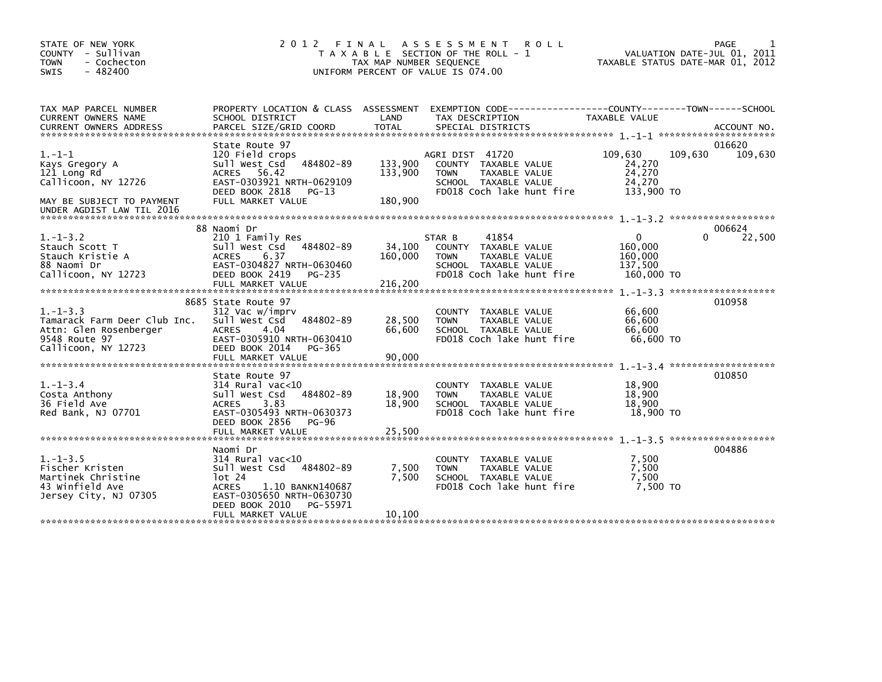| STATE OF NEW YORK<br>COUNTY - Sullivan<br>- Cochecton<br><b>TOWN</b><br>- 482400<br><b>SWIS</b>                  | 2 0 1 2                                                                                                                                                                                       | TAX MAP NUMBER SEQUENCE       | FINAL ASSESSMENT<br><b>ROLL</b><br>T A X A B L E SECTION OF THE ROLL - 1<br>UNIFORM PERCENT OF VALUE IS 074.00                          |                                                             | PAGE<br>VALUATION DATE-JUL 01, 2011<br>TAXABLE STATUS DATE-MAR 01, 2012 |
|------------------------------------------------------------------------------------------------------------------|-----------------------------------------------------------------------------------------------------------------------------------------------------------------------------------------------|-------------------------------|-----------------------------------------------------------------------------------------------------------------------------------------|-------------------------------------------------------------|-------------------------------------------------------------------------|
| TAX MAP PARCEL NUMBER<br>CURRENT OWNERS NAME<br><b>CURRENT OWNERS ADDRESS</b>                                    | SCHOOL DISTRICT<br>PARCEL SIZE/GRID COORD                                                                                                                                                     | LAND<br><b>TOTAL</b>          | PROPERTY LOCATION & CLASS ASSESSMENT EXEMPTION CODE---------------COUNTY-------TOWN------SCHOOL<br>TAX DESCRIPTION<br>SPECIAL DISTRICTS | TAXABLE VALUE                                               | ACCOUNT NO.                                                             |
|                                                                                                                  | State Route 97                                                                                                                                                                                |                               |                                                                                                                                         |                                                             | 016620                                                                  |
| $1. - 1 - 1$<br>Kays Gregory A<br>121 Long Rd<br>Callicoon, NY 12726<br>MAY BE SUBJECT TO PAYMENT                | 120 Field crops<br>Sull West Csd 484802-89<br>ACRES 56.42<br>EAST-0303921 NRTH-0629109<br>DEED BOOK 2818<br>PG-13<br>FULL MARKET VALUE                                                        | 133,900<br>133,900<br>180,900 | AGRI DIST 41720<br>COUNTY TAXABLE VALUE<br>TAXABLE VALUE<br><b>TOWN</b><br>SCHOOL TAXABLE VALUE<br>FD018 Coch lake hunt fire            | 109,630<br>24,270<br>24,270<br>24,270<br>133,900 TO         | 109,630<br>109,630                                                      |
| UNDER AGDIST LAW TIL 2016                                                                                        |                                                                                                                                                                                               |                               |                                                                                                                                         |                                                             |                                                                         |
|                                                                                                                  | 88 Naomi Dr                                                                                                                                                                                   |                               |                                                                                                                                         |                                                             | 006624                                                                  |
| $1.-1-3.2$<br>Stauch Scott T<br>Stauch Kristie A<br>88 Naomi Dr<br>Callicoon, NY 12723                           | 210 1 Family Res<br>sull west Csd<br>484802-89<br><b>ACRES</b><br>6.37<br>EAST-0304827 NRTH-0630460<br>DEED BOOK 2419<br>PG-235                                                               | 34,100<br>160,000             | 41854<br>STAR B<br>COUNTY TAXABLE VALUE<br>TAXABLE VALUE<br><b>TOWN</b><br>SCHOOL TAXABLE VALUE<br>FD018 Coch lake hunt fire            | $\mathbf{0}$<br>160,000<br>160,000<br>137,500<br>160,000 TO | 22,500<br>0                                                             |
|                                                                                                                  |                                                                                                                                                                                               |                               |                                                                                                                                         |                                                             |                                                                         |
| $1. - 1 - 3.3$<br>Tamarack Farm Deer Club Inc.<br>Attn: Glen Rosenberger<br>9548 Route 97<br>Callicoon, NY 12723 | 8685 State Route 97<br>312 Vac w/imprv<br>484802-89<br>Sull West Csd<br><b>ACRES</b><br>4.04<br>EAST-0305910 NRTH-0630410<br>DEED BOOK 2014<br>PG-365                                         | 28,500<br>66.600              | COUNTY TAXABLE VALUE<br><b>TOWN</b><br>TAXABLE VALUE<br>SCHOOL TAXABLE VALUE<br>FD018 Coch lake hunt fire                               | 66,600<br>66,600<br>66,600<br>66,600 TO                     | 010958                                                                  |
|                                                                                                                  |                                                                                                                                                                                               |                               |                                                                                                                                         |                                                             |                                                                         |
| $1. - 1 - 3.4$<br>Costa Anthony<br>36 Field Ave<br>Red Bank, NJ 07701                                            | State Route 97<br>$314$ Rural vac<10<br>484802-89<br>Sull West Csd<br>3.83<br><b>ACRES</b><br>EAST-0305493 NRTH-0630373<br>DEED BOOK 2856<br>PG-96<br>FULL MARKET VALUE                       | 18,900<br>18,900<br>25,500    | COUNTY TAXABLE VALUE<br><b>TAXABLE VALUE</b><br><b>TOWN</b><br>SCHOOL TAXABLE VALUE<br>FD018 Coch lake hunt fire                        | 18,900<br>18,900<br>18,900<br>18,900 TO                     | 010850                                                                  |
|                                                                                                                  |                                                                                                                                                                                               |                               |                                                                                                                                         |                                                             |                                                                         |
| $1.-1-3.5$<br>Fischer Kristen<br>Martinek Christine<br>43 Winfield Ave<br>Jersey City, NJ 07305                  | Naomi Dr<br>$314$ Rural vac< $10$<br>Sull West Csd 484802-89<br>$1$ ot 24<br><b>ACRES</b><br>1.10 BANKN140687<br>EAST-0305650 NRTH-0630730<br>DEED BOOK 2010<br>PG-55971<br>FULL MARKET VALUE | 7,500<br>7.500<br>10,100      | COUNTY TAXABLE VALUE<br><b>TOWN</b><br>TAXABLE VALUE<br>SCHOOL TAXABLE VALUE<br>FD018 Coch lake hunt fire                               | 7,500<br>7,500<br>7.500<br>7,500 TO                         | 004886                                                                  |
|                                                                                                                  |                                                                                                                                                                                               |                               |                                                                                                                                         |                                                             |                                                                         |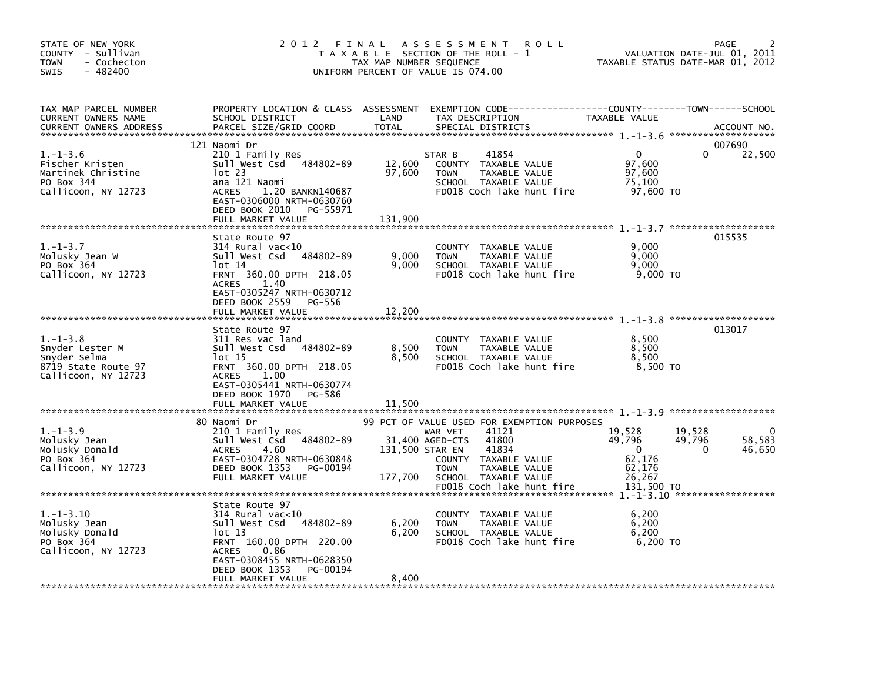| STATE OF NEW YORK<br>COUNTY - Sullivan<br><b>TOWN</b><br>- Cochecton<br>$-482400$<br><b>SWIS</b> | 2012 FINAL                                                                                                                                                                                                             | TAX MAP NUMBER SEQUENCE              | A S S E S S M E N T<br><b>ROLL</b><br>T A X A B L E SECTION OF THE ROLL - 1<br>UNIFORM PERCENT OF VALUE IS 074.00                                                                                                 |                                                                          | <b>PAGE</b><br>VALUATION DATE-JUL 01, 2011<br>TAXABLE STATUS DATE-MAR 01, 2012 |
|--------------------------------------------------------------------------------------------------|------------------------------------------------------------------------------------------------------------------------------------------------------------------------------------------------------------------------|--------------------------------------|-------------------------------------------------------------------------------------------------------------------------------------------------------------------------------------------------------------------|--------------------------------------------------------------------------|--------------------------------------------------------------------------------|
| TAX MAP PARCEL NUMBER<br><b>CURRENT OWNERS NAME</b><br><b>CURRENT OWNERS ADDRESS</b>             | SCHOOL DISTRICT<br>PARCEL SIZE/GRID COORD                                                                                                                                                                              | LAND<br><b>TOTAL</b>                 | PROPERTY LOCATION & CLASS ASSESSMENT EXEMPTION CODE-----------------COUNTY-------TOWN------SCHOOL<br>TAX DESCRIPTION<br>SPECIAL DISTRICTS                                                                         | TAXABLE VALUE                                                            | ACCOUNT NO.                                                                    |
| $1. - 1 - 3.6$<br>Fischer Kristen<br>Martinek Christine<br>PO Box 344<br>Callicoon, NY 12723     | 121 Naomi Dr<br>210 1 Family Res<br>Sull West Csd 484802-89<br>$1$ ot 23<br>ana 121 Naomi<br>1.20 BANKN140687<br><b>ACRES</b><br>EAST-0306000 NRTH-0630760<br>DEED BOOK 2010<br>PG-55971                               | 12,600<br>97,600                     | 41854<br>STAR B<br>COUNTY TAXABLE VALUE<br><b>TOWN</b><br>TAXABLE VALUE<br>SCHOOL TAXABLE VALUE<br>FD018 Coch lake hunt fire                                                                                      | $\Omega$<br>97,600<br>97,600<br>75,100<br>97,600 TO                      | 007690<br>22,500<br>$\Omega$                                                   |
| $1. - 1 - 3.7$<br>Molusky Jean W<br>PO Box 364<br>Callicoon, NY 12723                            | FULL MARKET VALUE<br>State Route 97<br>$314$ Rural vac<10<br>Sull West Csd 484802-89<br>$1$ ot $14$<br>FRNT 360.00 DPTH 218.05<br><b>ACRES</b><br>1.40<br>EAST-0305247 NRTH-0630712                                    | 131,900<br>9,000<br>9,000            | <b>COUNTY</b><br>TAXABLE VALUE<br><b>TOWN</b><br>TAXABLE VALUE<br>SCHOOL TAXABLE VALUE<br>FD018 Coch lake hunt fire                                                                                               | 9.000<br>9.000<br>9.000<br>9,000 TO                                      | 015535                                                                         |
| $1. - 1 - 3.8$<br>Snyder Lester M<br>Snyder Selma<br>8719 State Route 97<br>Callicoon, NY 12723  | DEED BOOK 2559<br>PG-556<br>FULL MARKET VALUE<br>State Route 97<br>311 Res vac land<br>Sull West Csd 484802-89<br>lot 15<br>FRNT 360.00 DPTH 218.05<br><b>ACRES</b><br>1.00<br>EAST-0305441 NRTH-0630774               | 12,200<br>8,500<br>8,500             | COUNTY TAXABLE VALUE<br>TAXABLE VALUE<br><b>TOWN</b><br>SCHOOL TAXABLE VALUE<br>FD018 Coch lake hunt fire                                                                                                         | 8,500<br>8,500<br>8.500<br>8.500 TO                                      | 013017                                                                         |
| $1. - 1 - 3.9$<br>Molusky Jean<br>Molusky Donald<br>PO Box 364<br>Callicoon, NY 12723            | DEED BOOK 1970<br>PG-586<br>FULL MARKET VALUE<br>80 Naomi Dr<br>210 1 Family Res<br>Sull West Csd<br>484802-89<br><b>ACRES</b><br>4.60<br>EAST-0304728 NRTH-0630848<br>DEED BOOK 1353<br>PG-00194<br>FULL MARKET VALUE | 11,500<br>131,500 STAR EN<br>177,700 | 99 PCT OF VALUE USED FOR EXEMPTION PURPOSES<br>41121<br>WAR VET<br>41800<br>31,400 AGED-CTS<br>41834<br>COUNTY TAXABLE VALUE<br><b>TOWN</b><br>TAXABLE VALUE<br>SCHOOL TAXABLE VALUE<br>FD018 Coch lake hunt fire | 19,528<br>49,796<br>$\Omega$<br>62,176<br>62.176<br>26.267<br>131,500 TO | 19,528<br>0<br>58,583<br>49,796<br>46,650<br>0                                 |
| $1. - 1 - 3.10$<br>Molusky Jean<br>Molusky Donald<br>PO Box 364<br>Callicoon, NY 12723           | State Route 97<br>$314$ Rural vac<10<br>Sull West Csd 484802-89<br>lot 13<br>FRNT 160.00 DPTH 220.00<br>0.86<br><b>ACRES</b><br>EAST-0308455 NRTH-0628350<br>DEED BOOK 1353<br>PG-00194<br>FULL MARKET VALUE           | 6,200<br>6,200<br>8,400              | COUNTY TAXABLE VALUE<br><b>TOWN</b><br>TAXABLE VALUE<br>SCHOOL TAXABLE VALUE<br>FD018 Coch lake hunt fire                                                                                                         | 6,200<br>6,200<br>6,200<br>6,200 TO                                      |                                                                                |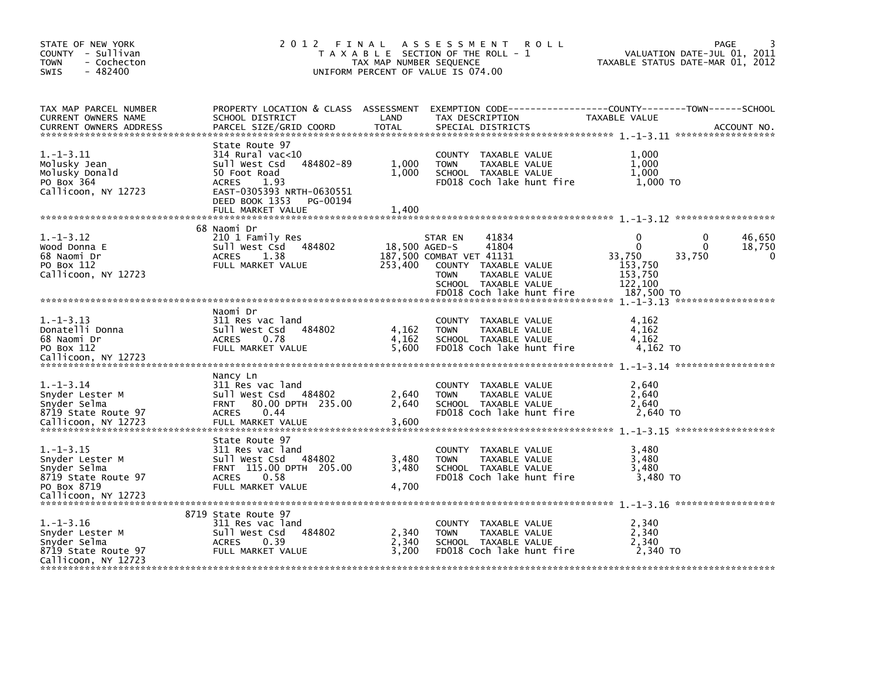| STATE OF NEW YORK<br>COUNTY - Sullivan<br>- Cochecton<br><b>TOWN</b><br>$-482400$<br><b>SWIS</b>            | 2012 FINAL                                                                                                                                                                                 | TAX MAP NUMBER SEQUENCE  | A S S E S S M E N T<br>T A X A B L E SECTION OF THE ROLL - 1<br>UNIFORM PERCENT OF VALUE IS 074.00                                                                 | <b>ROLL</b> |                                                                        | PAGE<br>VALUATION DATE-JUL 01, 2011<br>TAXABLE STATUS DATE-MAR 01, 2012     |
|-------------------------------------------------------------------------------------------------------------|--------------------------------------------------------------------------------------------------------------------------------------------------------------------------------------------|--------------------------|--------------------------------------------------------------------------------------------------------------------------------------------------------------------|-------------|------------------------------------------------------------------------|-----------------------------------------------------------------------------|
| TAX MAP PARCEL NUMBER<br>CURRENT OWNERS NAME<br><b>CURRENT OWNERS ADDRESS</b>                               | PROPERTY LOCATION & CLASS ASSESSMENT<br>SCHOOL DISTRICT<br>PARCEL SIZE/GRID COORD                                                                                                          | LAND<br><b>TOTAL</b>     | TAX DESCRIPTION<br>SPECIAL DISTRICTS                                                                                                                               |             | TAXABLE VALUE                                                          | EXEMPTION CODE-----------------COUNTY-------TOWN------SCHOOL<br>ACCOUNT NO. |
| $1.-1-3.11$<br>Molusky Jean<br>Molusky Donald<br>PO Box 364<br>Callicoon, NY 12723                          | State Route 97<br>$314$ Rural vac<10<br>484802-89<br>Sull West Csd<br>50 Foot Road<br><b>ACRES</b><br>1.93<br>EAST-0305393 NRTH-0630551<br>DEED BOOK 1353<br>PG-00194<br>FULL MARKET VALUE | 1,000<br>1,000<br>1,400  | COUNTY TAXABLE VALUE<br><b>TOWN</b><br>TAXABLE VALUE<br>SCHOOL TAXABLE VALUE<br>FD018 Coch lake hunt fire                                                          |             | 1,000<br>1,000<br>1,000<br>1,000 TO                                    |                                                                             |
|                                                                                                             |                                                                                                                                                                                            |                          |                                                                                                                                                                    |             |                                                                        |                                                                             |
| $1. - 1 - 3.12$<br>Wood Donna E<br>68 Naomi Dr<br>PO Box 112<br>Callicoon, NY 12723                         | 68 Naomi Dr<br>210 1 Family Res<br>Sull West Csd 484802<br><b>ACRES</b><br>1.38<br>FULL MARKET VALUE                                                                                       | 18,500 AGED-S<br>253,400 | 41834<br>STAR EN<br>41804<br>187,500 COMBAT VET 41131<br>COUNTY TAXABLE VALUE<br>TAXABLE VALUE<br><b>TOWN</b><br>SCHOOL TAXABLE VALUE<br>FD018 Coch lake hunt fire |             | 0<br>$\Omega$<br>33,750<br>153,750<br>153,750<br>122,100<br>187,500 TO | 46,650<br>0<br>18,750<br>$\Omega$<br>33,750<br>0                            |
|                                                                                                             |                                                                                                                                                                                            |                          |                                                                                                                                                                    |             |                                                                        |                                                                             |
| $1. - 1 - 3.13$<br>Donatelli Donna<br>68 Naomi Dr<br>PO Box 112<br>Callicoon, NY 12723                      | Naomi Dr<br>311 Res vac land<br>Sull West Csd<br>484802<br>0.78<br><b>ACRES</b><br>FULL MARKET VALUE                                                                                       | 4,162<br>4,162<br>5,600  | COUNTY TAXABLE VALUE<br>TAXABLE VALUE<br><b>TOWN</b><br>SCHOOL TAXABLE VALUE<br>FD018 Coch lake hunt fire                                                          |             | 4,162<br>4.162<br>4.162<br>4,162 TO                                    |                                                                             |
|                                                                                                             | Nancy Ln                                                                                                                                                                                   |                          |                                                                                                                                                                    |             |                                                                        |                                                                             |
| $1. - 1 - 3.14$<br>Snyder Lester M<br>Snyder Selma<br>8719 State Route 97<br>Callicoon, NY 12723            | 311 Res vac land<br>484802<br>Sull West Csd<br>80.00 DPTH 235.00<br><b>FRNT</b><br>0.44<br><b>ACRES</b><br>FULL MARKET VALUE                                                               | 2,640<br>2,640<br>3,600  | COUNTY TAXABLE VALUE<br>TAXABLE VALUE<br><b>TOWN</b><br>SCHOOL TAXABLE VALUE<br>FD018 Coch lake hunt fire                                                          |             | 2,640<br>2,640<br>2,640<br>2,640 TO                                    |                                                                             |
|                                                                                                             | State Route 97                                                                                                                                                                             |                          |                                                                                                                                                                    |             |                                                                        |                                                                             |
| $1.-1-3.15$<br>Snyder Lester M<br>Snyder Selma<br>8719 State Route 97<br>PO Box 8719<br>Callicoon, NY 12723 | 311 Res vac land<br>Sull West Csd 484802<br>FRNT 115.00 DPTH 205.00<br>ACRES<br>0.58<br>FULL MARKET VALUE                                                                                  | 3,480<br>3,480<br>4,700  | COUNTY TAXABLE VALUE<br><b>TOWN</b><br>TAXABLE VALUE<br>SCHOOL TAXABLE VALUE<br>FD018 Coch lake hunt fire                                                          |             | 3,480<br>3,480<br>3,480<br>3,480 TO                                    |                                                                             |
|                                                                                                             | 8719 State Route 97                                                                                                                                                                        |                          |                                                                                                                                                                    |             |                                                                        |                                                                             |
| $1.-1-3.16$<br>Snyder Lester M<br>Snyder Selma<br>8719 State Route 97<br>Callicoon, NY 12723                | 311 Res vac land<br>Sull West Csd<br>484802<br><b>ACRES</b><br>0.39<br>FULL MARKET VALUE                                                                                                   | 2,340<br>2,340<br>3,200  | COUNTY TAXABLE VALUE<br><b>TOWN</b><br>TAXABLE VALUE<br>SCHOOL TAXABLE VALUE<br>FD018 Coch lake hunt fire                                                          |             | 2,340<br>2,340<br>2,340<br>2,340 TO                                    |                                                                             |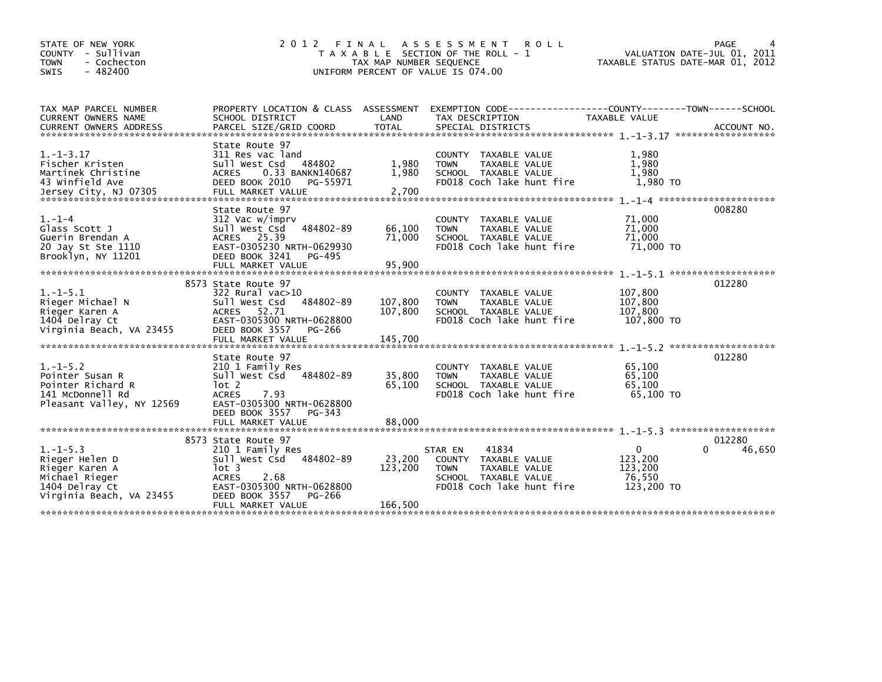| STATE OF NEW YORK<br>COUNTY - Sullivan<br>- Cochecton<br><b>TOWN</b><br>$-482400$<br><b>SWIS</b>                   | 2 0 1 2                                                                                                                                                                              | FINAL<br>TAX MAP NUMBER SEQUENCE | ASSESSMENT ROLL<br>T A X A B L E SECTION OF THE ROLL - 1<br>UNIFORM PERCENT OF VALUE IS 074.00                                          | VALUATION DATE-JUL 01, 2011<br>TAXABLE STATUS DATE-MAR 01, 2012 | PAGE                  |
|--------------------------------------------------------------------------------------------------------------------|--------------------------------------------------------------------------------------------------------------------------------------------------------------------------------------|----------------------------------|-----------------------------------------------------------------------------------------------------------------------------------------|-----------------------------------------------------------------|-----------------------|
| TAX MAP PARCEL NUMBER<br>CURRENT OWNERS NAME<br><b>CURRENT OWNERS ADDRESS</b>                                      | SCHOOL DISTRICT<br>PARCEL SIZE/GRID COORD                                                                                                                                            | LAND<br><b>TOTAL</b>             | PROPERTY LOCATION & CLASS ASSESSMENT EXEMPTION CODE---------------COUNTY-------TOWN------SCHOOL<br>TAX DESCRIPTION<br>SPECIAL DISTRICTS | TAXABLE VALUE                                                   | ACCOUNT NO.           |
| $1.-1-3.17$<br>Fischer Kristen<br>Martinek Christine<br>43 Winfield Ave                                            | State Route 97<br>311 Res vac land<br>Sull West Csd<br>484802<br><b>ACRES</b><br>0.33 BANKN140687<br>DEED BOOK 2010<br>PG-55971                                                      | 1,980<br>1,980<br>2,700          | <b>COUNTY</b><br>TAXABLE VALUE<br>TAXABLE VALUE<br><b>TOWN</b><br>SCHOOL TAXABLE VALUE<br>FD018 Coch lake hunt fire                     | 1,980<br>1,980<br>1,980<br>1,980 TO                             |                       |
| $1. - 1 - 4$<br>Glass Scott J<br>Guerin Brendan A<br>20 Jay St Ste 1110<br>Brooklyn, NY 11201                      | State Route 97<br>312 Vac w/imprv<br>Sull West Csd<br>484802-89<br>ACRES 25.39<br>EAST-0305230 NRTH-0629930<br>DEED BOOK 3241<br>PG-495                                              | 66,100<br>71,000                 | <b>COUNTY</b><br>TAXABLE VALUE<br>TAXABLE VALUE<br><b>TOWN</b><br>SCHOOL TAXABLE VALUE<br>FD018 Coch lake hunt fire                     | 71,000<br>71,000<br>71,000<br>71,000 TO                         | 008280                |
| $1.-1-5.1$<br>Rieger Michael N<br>Rieger Karen A<br>1404 Delray Ct<br>Virginia Beach, VA 23455                     | 8573 State Route 97<br>322 Rural vac>10<br>Sull West Csd<br>484802-89<br><b>ACRES</b><br>52.71<br>EAST-0305300 NRTH-0628800<br>DEED BOOK 3557<br>PG-266<br>FULL MARKET VALUE         | 107,800<br>107,800<br>145,700    | <b>COUNTY</b><br>TAXABLE VALUE<br>TAXABLE VALUE<br><b>TOWN</b><br>SCHOOL TAXABLE VALUE<br>FD018 Coch lake hunt fire                     | 107,800<br>107,800<br>107,800<br>107,800 TO                     | 012280                |
| $1. - 1 - 5.2$<br>Pointer Susan R<br>Pointer Richard R<br>141 McDonnell Rd<br>Pleasant Valley, NY 12569            | State Route 97<br>210 1 Family Res<br>Sull West Csd 484802-89<br>lot 2<br><b>ACRES</b><br>7.93<br>EAST-0305300 NRTH-0628800<br>DEED BOOK 3557<br>PG-343<br>FULL MARKET VALUE         | 35,800<br>65,100<br>88,000       | TAXABLE VALUE<br><b>COUNTY</b><br>TAXABLE VALUE<br><b>TOWN</b><br>SCHOOL TAXABLE VALUE<br>FD018 Coch lake hunt fire                     | 65,100<br>65,100<br>65,100<br>65,100 TO                         | 012280                |
| $1. - 1 - 5.3$<br>Rieger Helen D<br>Rieger Karen A<br>Michael Rieger<br>1404 Delray Ct<br>Virginia Beach, VA 23455 | 8573 State Route 97<br>210 1 Family Res<br>sull west Csd<br>484802-89<br>lot 3<br>2.68<br><b>ACRES</b><br>EAST-0305300 NRTH-0628800<br>DEED BOOK 3557<br>PG-266<br>FULL MARKET VALUE | 23,200<br>123,200<br>166,500     | 41834<br>STAR EN<br><b>COUNTY</b><br>TAXABLE VALUE<br>TAXABLE VALUE<br><b>TOWN</b><br>SCHOOL TAXABLE VALUE<br>FD018 Coch lake hunt fire | $\mathbf{0}$<br>123,200<br>123,200<br>76,550<br>123,200 TO      | 012280<br>46,650<br>0 |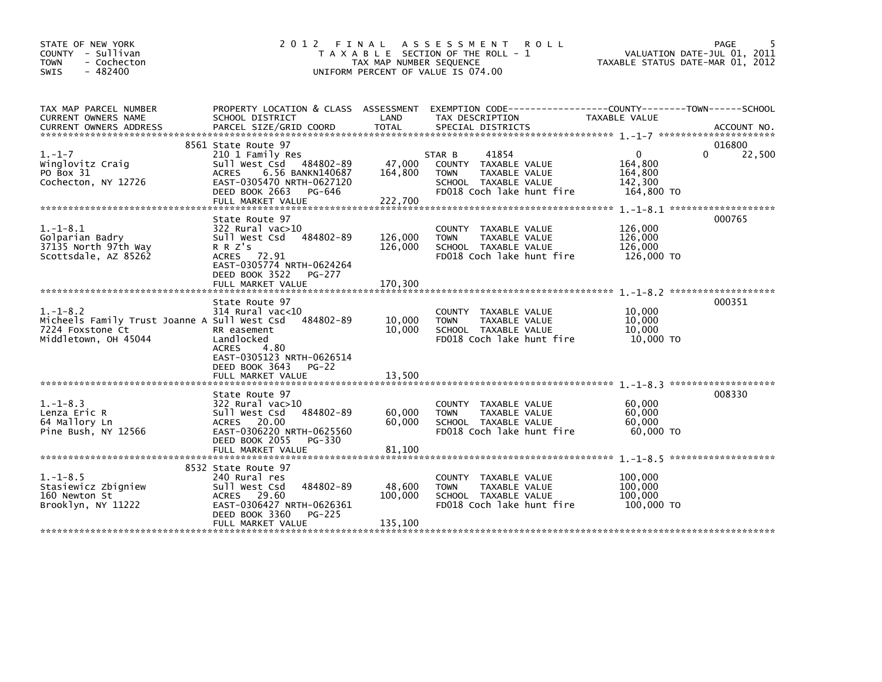| STATE OF NEW YORK<br>COUNTY - Sullivan<br><b>TOWN</b><br>- Cochecton<br>$-482400$<br>SWIS                  | 2012 FINAL                                                                                                                                                                            | TAX MAP NUMBER SEQUENCE       | A S S E S S M E N T<br><b>ROLL</b><br>T A X A B L E SECTION OF THE ROLL - 1<br>UNIFORM PERCENT OF VALUE IS 074.00            |                                                         | PAGE<br>VALUATION DATE-JUL 01, 2011<br>TAXABLE STATUS DATE-MAR 01, 2012 |
|------------------------------------------------------------------------------------------------------------|---------------------------------------------------------------------------------------------------------------------------------------------------------------------------------------|-------------------------------|------------------------------------------------------------------------------------------------------------------------------|---------------------------------------------------------|-------------------------------------------------------------------------|
| TAX MAP PARCEL NUMBER<br><b>CURRENT OWNERS NAME</b>                                                        | PROPERTY LOCATION & CLASS ASSESSMENT<br>SCHOOL DISTRICT                                                                                                                               | LAND                          | EXEMPTION CODE-----------------COUNTY-------TOWN------SCHOOL<br>TAX DESCRIPTION                                              | TAXABLE VALUE                                           |                                                                         |
| $1. - 1 - 7$<br>Winglovitz Craig<br>PO Box 31<br>Cochecton, NY 12726                                       | 8561 State Route 97<br>210 1 Family Res<br>Sull West Csd 484802-89<br><b>ACRES</b><br>6.56 BANKN140687<br>EAST-0305470 NRTH-0627120<br>DEED BOOK 2663<br>PG-646<br>FULL MARKET VALUE  | 47,000<br>164,800<br>222,700  | 41854<br>STAR B<br>COUNTY TAXABLE VALUE<br><b>TOWN</b><br>TAXABLE VALUE<br>SCHOOL TAXABLE VALUE<br>FD018 Coch lake hunt fire | $\Omega$<br>164,800<br>164,800<br>142,300<br>164,800 TO | 016800<br>22,500<br>0                                                   |
| $1. - 1 - 8.1$<br>Golparian Badry<br>37135 North 97th Way<br>Scottsdale, AZ 85262                          | State Route 97<br>322 Rural vac>10<br>Sull West Csd 484802-89<br>R R Z's<br>ACRES 72.91<br>EAST-0305774 NRTH-0624264<br>DEED BOOK 3522<br>PG-277<br>FULL MARKET VALUE                 | 126,000<br>126,000<br>170,300 | COUNTY TAXABLE VALUE<br>TAXABLE VALUE<br><b>TOWN</b><br>SCHOOL TAXABLE VALUE<br>FD018 Coch lake hunt fire                    | 126,000<br>126,000<br>126,000<br>126,000 TO             | 000765                                                                  |
| $1. - 1 - 8.2$<br>Micheels Family Trust Joanne A Sull West Csd<br>7224 Foxstone Ct<br>Middletown, OH 45044 | State Route 97<br>$314$ Rural vac<10<br>484802-89<br>RR easement<br>Landlocked<br><b>ACRES</b><br>4.80<br>EAST-0305123 NRTH-0626514<br>DEED BOOK 3643<br>$PG-22$<br>FULL MARKET VALUE | 10,000<br>10,000<br>13,500    | COUNTY TAXABLE VALUE<br>TAXABLE VALUE<br><b>TOWN</b><br>SCHOOL TAXABLE VALUE<br>FD018 Coch lake hunt fire                    | 10,000<br>10,000<br>10,000<br>10,000 TO                 | 000351                                                                  |
| $1. - 1 - 8.3$<br>Lenza Eric R<br>64 Mallory Ln<br>Pine Bush, NY 12566                                     | State Route 97<br>322 Rural vac>10<br>484802-89<br>Sull West Csd<br>ACRES 20.00<br>EAST-0306220 NRTH-0625560<br>DEED BOOK 2055<br>PG-330<br>FULL MARKET VALUE                         | 60,000<br>60,000<br>81,100    | COUNTY TAXABLE VALUE<br>TAXABLE VALUE<br><b>TOWN</b><br>SCHOOL TAXABLE VALUE<br>FD018 Coch lake hunt fire                    | 60,000<br>60,000<br>60,000<br>60,000 TO                 | 008330                                                                  |
| $1. - 1 - 8.5$<br>Stasiewicz Zbigniew<br>160 Newton St<br>Brooklyn, NY 11222                               | 8532 State Route 97<br>240 Rural res<br>Sull West Csd<br>484802-89<br>ACRES 29.60<br>EAST-0306427 NRTH-0626361<br>DEED BOOK 3360<br>PG-225<br>FULL MARKET VALUE                       | 48,600<br>100,000<br>135,100  | TAXABLE VALUE<br>COUNTY<br><b>TOWN</b><br>TAXABLE VALUE<br>SCHOOL TAXABLE VALUE<br>FD018 Coch lake hunt fire                 | 100,000<br>100,000<br>100,000<br>100,000 TO             |                                                                         |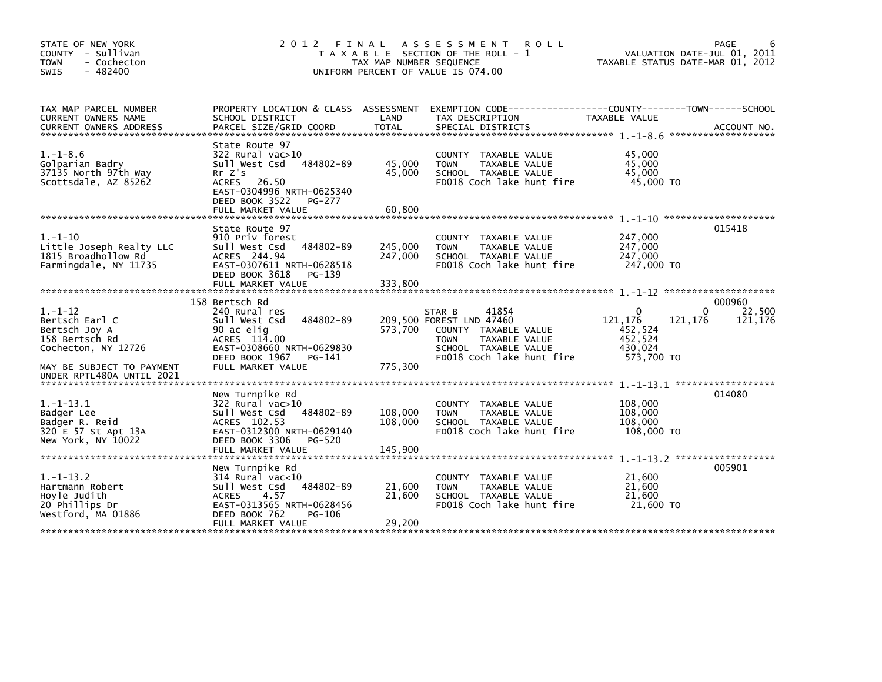| STATE OF NEW YORK<br>COUNTY - Sullivan<br><b>TOWN</b><br>- Cochecton<br>$-482400$<br><b>SWIS</b>                       | 2 0 1 2<br>FINAL                                                                                                                                                           | TAX MAP NUMBER SEQUENCE       | A S S E S S M E N T<br><b>ROLL</b><br>T A X A B L E SECTION OF THE ROLL - 1<br>UNIFORM PERCENT OF VALUE IS 074.00                                        |                                                                    | PAGE<br>VALUATION DATE-JUL 01, 2011<br>TAXABLE STATUS DATE-MAR 01, 2012 |
|------------------------------------------------------------------------------------------------------------------------|----------------------------------------------------------------------------------------------------------------------------------------------------------------------------|-------------------------------|----------------------------------------------------------------------------------------------------------------------------------------------------------|--------------------------------------------------------------------|-------------------------------------------------------------------------|
| TAX MAP PARCEL NUMBER<br>CURRENT OWNERS NAME                                                                           | PROPERTY LOCATION & CLASS ASSESSMENT<br>SCHOOL DISTRICT                                                                                                                    | LAND                          | EXEMPTION CODE-----------------COUNTY-------TOWN------SCHOOL<br>TAX DESCRIPTION                                                                          | TAXABLE VALUE                                                      | ACCOUNT NO.<br>*******************                                      |
| $1. - 1 - 8.6$<br>Golparian Badry<br>37135 North 97th Way<br>Scottsdale, AZ 85262                                      | State Route 97<br>322 Rural vac>10<br>sull west Csd<br>484802-89<br>Rr Z's<br>26.50<br>ACRES<br>EAST-0304996 NRTH-0625340<br>DEED BOOK 3522<br>PG-277<br>FULL MARKET VALUE | 45,000<br>45.000<br>60,800    | COUNTY TAXABLE VALUE<br><b>TOWN</b><br>TAXABLE VALUE<br>SCHOOL TAXABLE VALUE<br>FD018 Coch lake hunt fire                                                | 45,000<br>45,000<br>45,000<br>45,000 TO                            |                                                                         |
| $1. - 1 - 10$<br>Little Joseph Realty LLC<br>1815 Broadhollow Rd<br>Farmingdale, NY 11735                              | State Route 97<br>910 Priv forest<br>484802-89<br>Sull West Csd<br>ACRES 244.94<br>EAST-0307611 NRTH-0628518<br>DEED BOOK 3618<br>PG-139<br>FULL MARKET VALUE              | 245,000<br>247,000<br>333,800 | <b>COUNTY</b><br>TAXABLE VALUE<br>TAXABLE VALUE<br><b>TOWN</b><br>SCHOOL TAXABLE VALUE<br>FD018 Coch lake hunt fire                                      | 247,000<br>247,000<br>247,000<br>247,000 TO                        | 015418                                                                  |
| $1. - 1 - 12$<br>Bertsch Earl C<br>Bertsch Joy A<br>158 Bertsch Rd<br>Cochecton, NY 12726<br>MAY BE SUBJECT TO PAYMENT | 158 Bertsch Rd<br>240 Rural res<br>484802-89<br>Sull West Csd<br>90 ac elig<br>ACRES 114.00<br>EAST-0308660 NRTH-0629830<br>DEED BOOK 1967<br>PG-141<br>FULL MARKET VALUE  | 573,700<br>775.300            | 41854<br>STAR B<br>209,500 FOREST LND 47460<br>COUNTY TAXABLE VALUE<br>TAXABLE VALUE<br><b>TOWN</b><br>SCHOOL TAXABLE VALUE<br>FD018 Coch lake hunt fire | $\Omega$<br>121,176<br>452,524<br>452,524<br>430,024<br>573,700 TO | 000960<br>22,500<br>0<br>121,176<br>121,176                             |
| $1.-1-13.1$<br>Badger Lee<br>Badger R. Reid<br>320 E 57 St Apt 13A<br>New York, NY 10022                               | New Turnpike Rd<br>322 Rural vac>10<br>Sull West Csd<br>484802-89<br>ACRES 102.53<br>EAST-0312300 NRTH-0629140<br>DEED BOOK 3306<br>PG-520<br>FULL MARKET VALUE            | 108,000<br>108,000<br>145,900 | <b>COUNTY</b><br>TAXABLE VALUE<br>TAXABLE VALUE<br><b>TOWN</b><br>SCHOOL TAXABLE VALUE<br>FD018 Coch lake hunt fire                                      | 108,000<br>108,000<br>108,000<br>108,000 TO                        | 014080<br>$1. - 1 - 13.2$ *******************                           |
| $1. -1 - 13.2$<br>Hartmann Robert<br>Hoyle Judith<br>20 Phillips Dr<br>Westford, MA 01886                              | New Turnpike Rd<br>$314$ Rural vac<10<br>Sull West Csd<br>484802-89<br><b>ACRES</b><br>4.57<br>EAST-0313565 NRTH-0628456<br>DEED BOOK 762<br>PG-106<br>FULL MARKET VALUE   | 21,600<br>21,600<br>29,200    | COUNTY TAXABLE VALUE<br><b>TOWN</b><br>TAXABLE VALUE<br>SCHOOL TAXABLE VALUE<br>FD018 Coch lake hunt fire                                                | 21,600<br>21,600<br>21,600<br>21,600 TO                            | 005901                                                                  |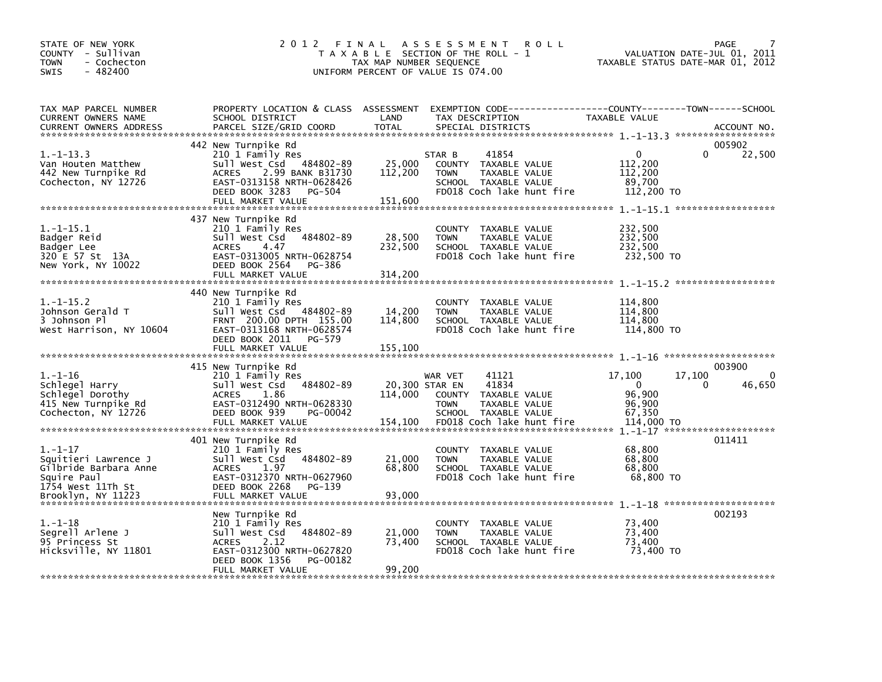| STATE OF NEW YORK<br>COUNTY - Sullivan<br>- Cochecton<br><b>TOWN</b><br>$-482400$<br><b>SWIS</b>                         |                                                                                                                                                                                      | TAX MAP NUMBER SEQUENCE              | 2012 FINAL ASSESSMENT<br><b>ROLL</b><br>T A X A B L E SECTION OF THE ROLL - 1<br>UNIFORM PERCENT OF VALUE IS 074.00                      | VALUATION DATE-JUL 01, 2011<br>TAXABLE STATUS DATE-MAR 01, 2012                      | PAGE                         |
|--------------------------------------------------------------------------------------------------------------------------|--------------------------------------------------------------------------------------------------------------------------------------------------------------------------------------|--------------------------------------|------------------------------------------------------------------------------------------------------------------------------------------|--------------------------------------------------------------------------------------|------------------------------|
| TAX MAP PARCEL NUMBER<br>CURRENT OWNERS NAME<br><b>CURRENT OWNERS ADDRESS</b>                                            | SCHOOL DISTRICT<br>PARCEL SIZE/GRID COORD                                                                                                                                            | LAND<br><b>TOTAL</b>                 | PROPERTY LOCATION & CLASS ASSESSMENT EXEMPTION CODE----------------COUNTY-------TOWN------SCHOOL<br>TAX DESCRIPTION<br>SPECIAL DISTRICTS | TAXABLE VALUE                                                                        | ACCOUNT NO.                  |
| $1.-1-13.3$<br>Van Houten Matthew<br>442 New Turnpike Rd<br>Cochecton, NY 12726                                          | 442 New Turnpike Rd<br>210 1 Family Res<br>Sull West Csd 484802-89<br><b>ACRES</b><br>2.99 BANK B31730<br>EAST-0313158 NRTH-0628426<br>DEED BOOK 3283<br>PG-504<br>FULL MARKET VALUE | 25,000<br>112,200<br>151,600         | 41854<br>STAR B<br>COUNTY TAXABLE VALUE<br><b>TOWN</b><br>TAXABLE VALUE<br>SCHOOL TAXABLE VALUE<br>FD018 Coch lake hunt fire             | $\Omega$<br>$\mathbf{0}$<br>112,200<br>112,200<br>89,700<br>112,200 TO               | 005902<br>22,500             |
| $1.-1-15.1$<br>Badger Reid<br>Badger Lee<br>320 E 57 St 13A<br>New York, NY 10022                                        | 437 New Turnpike Rd<br>210 1 Family Res<br>484802-89<br>Sull West Csd<br><b>ACRES</b><br>4.47<br>EAST-0313005 NRTH-0628754<br>DEED BOOK 2564 PG-386<br>FULL MARKET VALUE             | 28,500<br>232,500<br>314,200         | COUNTY TAXABLE VALUE<br><b>TOWN</b><br>TAXABLE VALUE<br>SCHOOL TAXABLE VALUE<br>FD018 Coch lake hunt fire                                | 232,500<br>232,500<br>232,500<br>232,500 TO                                          |                              |
| $1.-1-15.2$<br>Johnson Gerald T<br>3 Johnson Pl<br>West Harrison, NY 10604                                               | 440 New Turnpike Rd<br>210 1 Family Res<br>Sull West Csd 484802-89<br>FRNT 200.00 DPTH 155.00<br>EAST-0313168 NRTH-0628574<br>DEED BOOK 2011 PG-579                                  | 14,200<br>114,800                    | COUNTY TAXABLE VALUE<br><b>TOWN</b><br>TAXABLE VALUE<br>SCHOOL TAXABLE VALUE<br>FD018 Coch lake hunt fire                                | 114,800<br>114,800<br>114,800<br>114,800 TO                                          |                              |
| $1. - 1 - 16$<br>Schlegel Harry<br>Schlegel Dorothy<br>415 New Turnpike Rd<br>Cochecton, NY 12726                        | 415 New Turnpike Rd<br>210 1 Family Res<br>484802-89<br>sull west Csd<br><b>ACRES</b><br>1.86<br>EAST-0312490 NRTH-0628330<br>PG-00042<br>DEED BOOK 939<br>FULL MARKET VALUE         | 20,300 STAR EN<br>114.000<br>154,100 | 41121<br>WAR VET<br>41834<br>COUNTY TAXABLE VALUE<br>TAXABLE VALUE<br><b>TOWN</b><br>SCHOOL TAXABLE VALUE<br>FD018 Coch lake hunt fire   | 17,100<br>17,100<br>$\Omega$<br>$\Omega$<br>96,900<br>96,900<br>67,350<br>114,000 TO | 003900<br>$\Omega$<br>46,650 |
| $1. - 1 - 17$<br>Squitieri Lawrence J<br>Gilbride Barbara Anne<br>Squire Paul<br>1754 West 11Th St<br>Brooklyn, NY 11223 | 401 New Turnpike Rd<br>210 1 Family Res<br>484802-89<br>Sull West Csd<br>ACRES<br>1.97<br>EAST-0312370 NRTH-0627960<br>DEED BOOK 2268<br>PG-139<br>FULL MARKET VALUE                 | 21,000<br>68,800<br>93,000           | COUNTY TAXABLE VALUE<br><b>TOWN</b><br>TAXABLE VALUE<br>SCHOOL TAXABLE VALUE<br>FD018 Coch lake hunt fire                                | 68,800<br>68,800<br>68,800<br>68,800 TO                                              | 011411                       |
| $1. - 1 - 18$<br>Segrell Arlene J<br>95 Princess St<br>Hicksville, NY 11801                                              | New Turnpike Rd<br>210 1 Family Res<br>484802-89<br>sull west Csd<br><b>ACRES</b><br>2.12<br>EAST-0312300 NRTH-0627820<br>DEED BOOK 1356<br>PG-00182<br>FULL MARKET VALUE            | 21,000<br>73,400<br>99,200           | COUNTY TAXABLE VALUE<br>TAXABLE VALUE<br><b>TOWN</b><br>SCHOOL TAXABLE VALUE<br>FD018 Coch lake hunt fire                                | 73,400<br>73.400<br>73,400<br>73,400 TO                                              | 002193                       |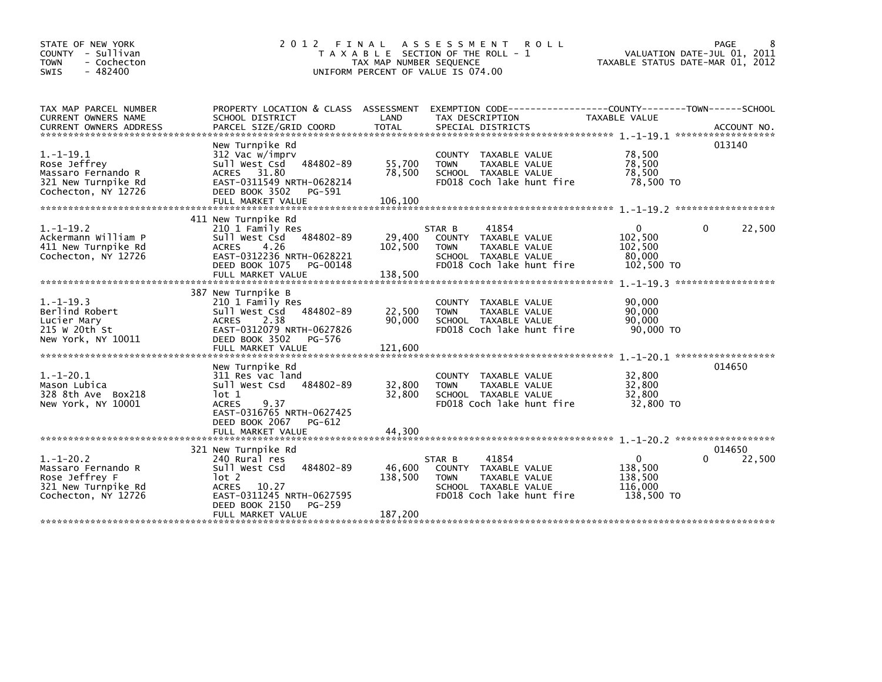| STATE OF NEW YORK<br>COUNTY - Sullivan<br><b>TOWN</b><br>- Cochecton<br>$-482400$<br><b>SWIS</b>  | 2 0 1 2<br>FINAL                                                                                                                                                                   | TAX MAP NUMBER SEQUENCE      | A S S E S S M E N T<br><b>ROLL</b><br>T A X A B L E SECTION OF THE ROLL - 1<br>UNIFORM PERCENT OF VALUE IS 074.00            | TAXABLE STATUS DATE-MAR 01, 2012                 | PAGE<br>8<br>VALUATION DATE-JUL 01, 2011 |
|---------------------------------------------------------------------------------------------------|------------------------------------------------------------------------------------------------------------------------------------------------------------------------------------|------------------------------|------------------------------------------------------------------------------------------------------------------------------|--------------------------------------------------|------------------------------------------|
| TAX MAP PARCEL NUMBER<br>CURRENT OWNERS NAME<br><b>CURRENT OWNERS ADDRESS</b>                     | PROPERTY LOCATION & CLASS ASSESSMENT<br>SCHOOL DISTRICT<br>PARCEL SIZE/GRID COORD                                                                                                  | LAND<br><b>TOTAL</b>         | EXEMPTION CODE-----------------COUNTY-------TOWN------SCHOOL<br>TAX DESCRIPTION<br>SPECIAL DISTRICTS                         | TAXABLE VALUE                                    | ACCOUNT NO.                              |
| $1.-1-19.1$<br>Rose Jeffrey<br>Massaro Fernando R<br>321 New Turnpike Rd<br>Cochecton, NY 12726   | New Turnpike Rd<br>312 Vac w/imprv<br>Sull West Csd<br>484802-89<br>ACRES 31.80<br>EAST-0311549 NRTH-0628214<br>DEED BOOK 3502<br>PG-591<br>FULL MARKET VALUE                      | 55,700<br>78,500<br>106,100  | COUNTY TAXABLE VALUE<br>TAXABLE VALUE<br><b>TOWN</b><br>SCHOOL TAXABLE VALUE<br>FD018 Coch lake hunt fire                    | 78,500<br>78,500<br>78,500<br>78,500 TO          | 013140                                   |
| $1. - 1 - 19.2$<br>Ackermann William P<br>411 New Turnpike Rd<br>Cochecton, NY 12726              | 411 New Turnpike Rd<br>210 1 Family Res<br>Sull West Csd<br>484802-89<br>4.26<br><b>ACRES</b><br>EAST-0312236 NRTH-0628221<br>DEED BOOK 1075<br>PG-00148<br>FULL MARKET VALUE      | 29,400<br>102,500<br>138,500 | 41854<br>STAR B<br>COUNTY TAXABLE VALUE<br><b>TOWN</b><br>TAXABLE VALUE<br>SCHOOL TAXABLE VALUE<br>FD018 Coch lake hunt fire | 0<br>102,500<br>102,500<br>80,000<br>102,500 TO  | 22,500<br>0                              |
| $1. - 1 - 19.3$<br>Berlind Robert<br>Lucier Mary<br>215 W 20th St<br>New York, NY 10011           | 387 New Turnpike B<br>210 1 Family Res<br>484802-89<br>Sull West Csd<br><b>ACRES</b><br>2.38<br>EAST-0312079 NRTH-0627826<br>DEED BOOK 3502<br>PG-576<br>FULL MARKET VALUE         | 22,500<br>90.000<br>121,600  | COUNTY TAXABLE VALUE<br><b>TOWN</b><br>TAXABLE VALUE<br>SCHOOL TAXABLE VALUE<br>FD018 Coch lake hunt fire                    | 90,000<br>90,000<br>90.000<br>90,000 TO          |                                          |
| $1.-1-20.1$<br>Mason Lubica<br>328 8th Ave Box218<br>New York, NY 10001                           | New Turnpike Rd<br>311 Res vac land<br>Sull West Csd<br>484802-89<br>lot 1<br><b>ACRES</b><br>9.37<br>EAST-0316765 NRTH-0627425<br>DEED BOOK 2067<br>PG-612<br>FULL MARKET VALUE   | 32,800<br>32.800<br>44.300   | COUNTY TAXABLE VALUE<br><b>TOWN</b><br><b>TAXABLE VALUE</b><br>SCHOOL TAXABLE VALUE<br>FD018 Coch lake hunt fire             | 32,800<br>32,800<br>32,800<br>32,800 TO          | 014650                                   |
| $1.-1-20.2$<br>Massaro Fernando R<br>Rose Jeffrey F<br>321 New Turnpike Rd<br>Cochecton, NY 12726 | 321 New Turnpike Rd<br>240 Rural res<br>484802-89<br>Sull West Csd<br>lot 2<br>10.27<br><b>ACRES</b><br>EAST-0311245 NRTH-0627595<br>DEED BOOK 2150<br>PG-259<br>FULL MARKET VALUE | 46,600<br>138,500<br>187,200 | 41854<br>STAR B<br>COUNTY TAXABLE VALUE<br><b>TOWN</b><br>TAXABLE VALUE<br>SCHOOL TAXABLE VALUE<br>FD018 Coch lake hunt fire | 0<br>138,500<br>138,500<br>116,000<br>138,500 TO | 014650<br>22,500<br>0                    |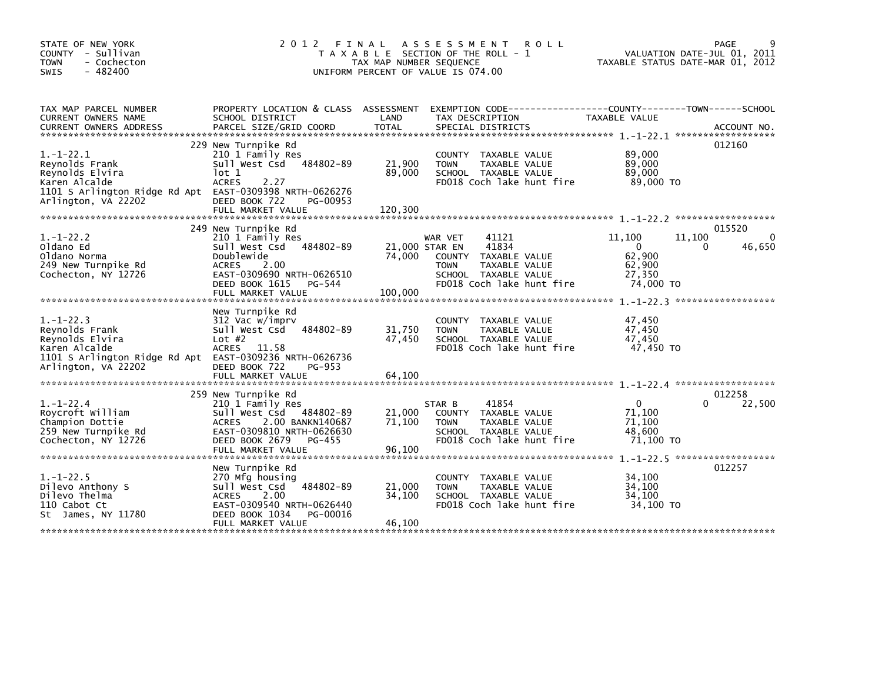| STATE OF NEW YORK<br>COUNTY - Sullivan<br><b>TOWN</b><br>- Cochecton<br>$-482400$<br><b>SWIS</b>                                                        | 2012 FINAL                                                                                                                                                                                | TAX MAP NUMBER SEQUENCE             | A S S E S S M E N T<br><b>ROLL</b><br>T A X A B L E SECTION OF THE ROLL - 1<br>UNIFORM PERCENT OF VALUE IS 074.00                      | VALUATION DATE-JUL 01, 2011<br>TAXABLE STATUS DATE-MAR 01, 2012       | 9<br>PAGE                    |
|---------------------------------------------------------------------------------------------------------------------------------------------------------|-------------------------------------------------------------------------------------------------------------------------------------------------------------------------------------------|-------------------------------------|----------------------------------------------------------------------------------------------------------------------------------------|-----------------------------------------------------------------------|------------------------------|
| TAX MAP PARCEL NUMBER<br>CURRENT OWNERS NAME<br><b>CURRENT OWNERS ADDRESS</b>                                                                           | SCHOOL DISTRICT                                                                                                                                                                           | LAND                                | PROPERTY LOCATION & CLASS ASSESSMENT EXEMPTION CODE---------------COUNTY-------TOWN-----SCHOOL<br>TAX DESCRIPTION                      | TAXABLE VALUE                                                         |                              |
| $1.-1-22.1$<br>Revnolds Frank<br>Reynolds Elvira<br>Karen Alcalde<br>1101 S Arlington Ridge Rd Apt EAST-0309398 NRTH-0626276<br>Arlington, VA 22202     | 229 New Turnpike Rd<br>210 1 Family Res<br>484802-89<br>Sull West Csd<br>lot 1<br><b>ACRES</b><br>2.27<br>DEED BOOK 722<br>PG-00953<br>FULL MARKET VALUE                                  | 21,900<br>89,000<br>120,300         | COUNTY TAXABLE VALUE<br>TAXABLE VALUE<br><b>TOWN</b><br>SCHOOL TAXABLE VALUE<br>FD018 Coch lake hunt fire                              | 89,000<br>89,000<br>89,000<br>89,000 TO                               | 012160                       |
| $1. - 1 - 22.2$<br>Oldano Ed<br>Oldano Norma<br>249 New Turnpike Rd<br>Cochecton, NY 12726                                                              | 249 New Turnpike Rd<br>210 1 Family Res<br>484802-89<br>Sull West Csd<br>Doublewide<br><b>ACRES</b><br>2.00<br>EAST-0309690 NRTH-0626510<br>DEED BOOK 1615<br>PG-544<br>FULL MARKET VALUE | 21,000 STAR EN<br>74,000<br>100,000 | WAR VET<br>41121<br>41834<br>COUNTY TAXABLE VALUE<br>TAXABLE VALUE<br><b>TOWN</b><br>SCHOOL TAXABLE VALUE<br>FD018 Coch lake hunt fire | 11,100<br>11,100<br>0<br>0<br>62,900<br>62,900<br>27,350<br>74,000 TO | 015520<br>$\Omega$<br>46,650 |
| $1. - 1 - 22.3$<br>Reynolds Frank<br>Reynolds Elvira<br>Karen Alcalde<br>1101 S Arlington Ridge Rd Apt EAST-0309236 NRTH-0626736<br>Arlington, VA 22202 | New Turnpike Rd<br>312 Vac w/imprv<br>484802-89<br>Sull West Csd<br>Lot $#2$<br><b>ACRES</b><br>11.58<br>DEED BOOK 722<br>PG-953<br>FULL MARKET VALUE                                     | 31,750<br>47,450<br>64,100          | COUNTY TAXABLE VALUE<br><b>TOWN</b><br>TAXABLE VALUE<br>SCHOOL TAXABLE VALUE<br>FD018 Coch lake hunt fire                              | 47,450<br>47,450<br>47.450<br>47,450 TO                               |                              |
| $1.-1-22.4$<br>Roycroft William<br>Champion Dottie<br>259 New Turnpike Rd<br>Cochecton, NY 12726                                                        | 259 New Turnpike Rd<br>210 1 Family Res<br>Sull West Csd<br>484802-89<br>2.00 BANKN140687<br><b>ACRES</b><br>EAST-0309810 NRTH-0626630<br>DEED BOOK 2679<br>PG-455<br>FULL MARKET VALUE   | 21,000<br>71,100<br>96,100          | 41854<br>STAR B<br>COUNTY TAXABLE VALUE<br><b>TAXABLE VALUE</b><br><b>TOWN</b><br>SCHOOL TAXABLE VALUE<br>FD018 Coch lake hunt fire    | 0<br>0<br>71.100<br>71.100<br>48,600<br>71,100 TO                     | 012258<br>22,500             |
| $1. - 1 - 22.5$<br>Dilevo Anthony S<br>Dilevo Thelma<br>110 Cabot Ct<br>St James, NY 11780                                                              | New Turnpike Rd<br>270 Mfg housing<br>484802-89<br>Sull West Csd<br>2.00<br><b>ACRES</b><br>EAST-0309540 NRTH-0626440<br>DEED BOOK 1034<br>PG-00016<br>FULL MARKET VALUE                  | 21,000<br>34,100<br>46,100          | <b>COUNTY</b><br>TAXABLE VALUE<br><b>TOWN</b><br>TAXABLE VALUE<br>SCHOOL TAXABLE VALUE<br>FD018 Coch lake hunt fire                    | 34,100<br>34.100<br>34,100<br>34,100 TO                               | 012257                       |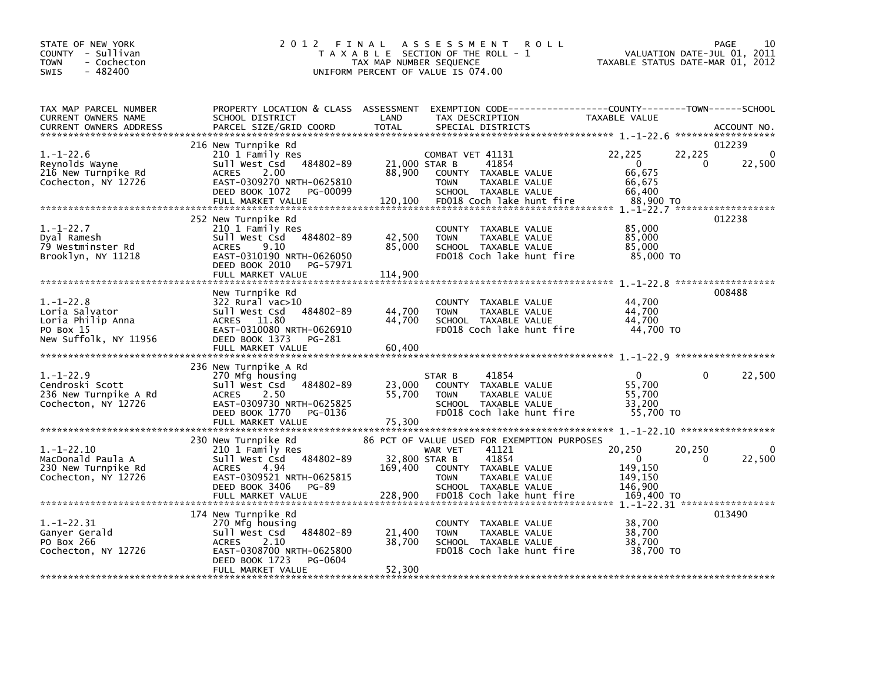| STATE OF NEW YORK<br>COUNTY - Sullivan<br>- Cochecton<br><b>TOWN</b><br>$-482400$<br><b>SWIS</b> | 2 0 1 2                                                                                                                                                                       | FINAL<br>TAX MAP NUMBER SEQUENCE   | A S S E S S M E N T<br>T A X A B L E SECTION OF THE ROLL - 1<br>UNIFORM PERCENT OF VALUE IS 074.00 | <b>ROLL</b>                                                                    | TAXABLE STATUS DATE-MAR 01, 2012                                 |                    | 10<br>PAGE<br>VALUATION DATE-JUL 01, 2011 |
|--------------------------------------------------------------------------------------------------|-------------------------------------------------------------------------------------------------------------------------------------------------------------------------------|------------------------------------|----------------------------------------------------------------------------------------------------|--------------------------------------------------------------------------------|------------------------------------------------------------------|--------------------|-------------------------------------------|
| TAX MAP PARCEL NUMBER<br>CURRENT OWNERS NAME<br><b>CURRENT OWNERS ADDRESS</b>                    | PROPERTY LOCATION & CLASS ASSESSMENT<br>SCHOOL DISTRICT<br>PARCEL SIZE/GRID COORD                                                                                             | LAND<br><b>TOTAL</b>               | TAX DESCRIPTION<br>SPECIAL DISTRICTS                                                               | EXEMPTION CODE-----------------COUNTY-------TOWN------SCHOOL                   | TAXABLE VALUE                                                    |                    | ACCOUNT NO.<br>******************         |
| $1.-1-22.6$<br>Reynolds Wayne<br>216 New Turnpike Rd<br>Cochecton, NY 12726                      | 216 New Turnpike Rd<br>210 1 Family Res<br>Sull West Csd 484802-89<br><b>ACRES</b><br>2.00<br>EAST-0309270 NRTH-0625810<br>DEED BOOK 1072<br>PG-00099<br>FULL MARKET VALUE    | 21,000 STAR B<br>88,900<br>120,100 | COMBAT VET 41131<br>COUNTY TAXABLE VALUE<br><b>TOWN</b><br>SCHOOL TAXABLE VALUE                    | 41854<br>TAXABLE VALUE<br>FD018 Coch lake hunt fire                            | 22,225<br>$\mathbf 0$<br>66,675<br>66,675<br>66.400<br>88,900 TO | 22,225<br>$\Omega$ | 012239<br>$\Omega$<br>22,500              |
| $1.-1-22.7$<br>Dyal Ramesh<br>79 Westminster Rd<br>Brooklyn, NY 11218                            | 252 New Turnpike Rd<br>210 1 Family Res<br>Sull West Csd 484802-89<br><b>ACRES</b><br>9.10<br>EAST-0310190 NRTH-0626050<br>DEED BOOK 2010<br>PG-57971<br>FULL MARKET VALUE    | 42,500<br>85,000<br>114,900        | COUNTY TAXABLE VALUE<br><b>TOWN</b><br>SCHOOL TAXABLE VALUE                                        | TAXABLE VALUE<br>FD018 Coch lake hunt fire                                     | 85,000<br>85,000<br>85,000<br>85,000 TO                          |                    | 012238                                    |
| $1. - 1 - 22.8$<br>Loria Salvator<br>Loria Philip Anna<br>PO Box 15<br>New Suffolk, NY 11956     | New Turnpike Rd<br>322 Rural vac>10<br>484802-89<br>sull west Csd<br>ACRES 11.80<br>EAST-0310080 NRTH-0626910<br>DEED BOOK 1373<br>PG-281<br>FULL MARKET VALUE                | 44,700<br>44,700<br>60,400         | COUNTY TAXABLE VALUE<br><b>TOWN</b><br>SCHOOL TAXABLE VALUE                                        | <b>TAXABLE VALUE</b><br>FD018 Coch lake hunt fire                              | 44,700<br>44.700<br>44,700<br>44,700 TO                          |                    | 008488                                    |
| $1.-1-22.9$<br>Cendroski Scott<br>236 New Turnpike A Rd<br>Cochecton, NY 12726                   | 236 New Turnpike A Rd<br>270 Mfg housing<br>484802-89<br>sull west Csd<br><b>ACRES</b><br>2.50<br>EAST-0309730 NRTH-0625825<br>DEED BOOK 1770<br>PG-0136<br>FULL MARKET VALUE | 23,000<br>55,700<br>75,300         | STAR B<br>COUNTY TAXABLE VALUE<br><b>TOWN</b><br>SCHOOL TAXABLE VALUE                              | 41854<br>TAXABLE VALUE<br>FD018 Coch lake hunt fire                            | $\Omega$<br>55,700<br>55,700<br>33,200<br>55,700 TO              | $\Omega$           | 22,500                                    |
| $1. - 1 - 22.10$<br>MacDonald Paula A<br>230 New Turnpike Rd<br>Cochecton, NY 12726              | 230 New Turnpike Rd<br>210 1 Family Res<br>484802-89<br>Sull West Csd<br>ACRES<br>-4.94<br>EAST-0309521 NRTH-0625815<br>DEED BOOK 3406<br>PG-89                               | 32,800 STAR B<br>169,400           | WAR VET<br>COUNTY TAXABLE VALUE<br><b>TOWN</b><br>SCHOOL TAXABLE VALUE                             | 86 PCT OF VALUE USED FOR EXEMPTION PURPOSES<br>41121<br>41854<br>TAXABLE VALUE | 20,250<br>$\Omega$<br>149,150<br>149,150<br>146,900              | 20.250<br>$\Omega$ | $\Omega$<br>22,500                        |
| $1. - 1 - 22.31$<br>Ganyer Gerald<br>PO Box 266<br>Cochecton, NY 12726                           | 174 New Turnpike Rd<br>270 Mfg housing<br>484802-89<br>Sull West Csd<br>2.10<br><b>ACRES</b><br>EAST-0308700 NRTH-0625800<br>DEED BOOK 1723<br>PG-0604<br>FULL MARKET VALUE   | 21,400<br>38,700<br>52,300         | COUNTY TAXABLE VALUE<br><b>TOWN</b><br>SCHOOL TAXABLE VALUE                                        | TAXABLE VALUE<br>FD018 Coch lake hunt fire                                     | 38,700<br>38,700<br>38,700<br>38,700 TO                          |                    | 013490                                    |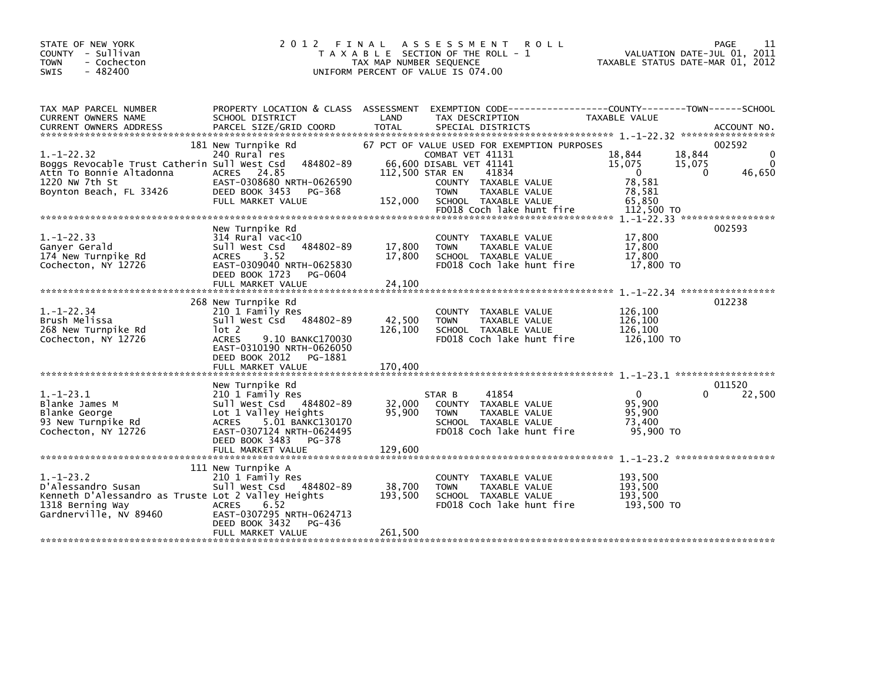| STATE OF NEW YORK<br>COUNTY - Sullivan<br>- Cochecton<br><b>TOWN</b><br>$-482400$<br>SWIS                                                 | 2 0 1 2                                                                                                                                                                                                  | FINAL<br>TAX MAP NUMBER SEQUENCE | A S S E S S M E N T<br><b>ROLL</b><br>T A X A B L E SECTION OF THE ROLL - 1<br>UNIFORM PERCENT OF VALUE IS 074.00                                                                                                       | VALUATION DATE-JUL 01, 2011<br>TAXABLE STATUS DATE-MAR 01, 2012                         | PAGE<br>11                                              |
|-------------------------------------------------------------------------------------------------------------------------------------------|----------------------------------------------------------------------------------------------------------------------------------------------------------------------------------------------------------|----------------------------------|-------------------------------------------------------------------------------------------------------------------------------------------------------------------------------------------------------------------------|-----------------------------------------------------------------------------------------|---------------------------------------------------------|
| TAX MAP PARCEL NUMBER<br>CURRENT OWNERS NAME<br><b>CURRENT OWNERS ADDRESS</b>                                                             | PROPERTY LOCATION & CLASS ASSESSMENT<br>SCHOOL DISTRICT<br>PARCEL SIZE/GRID COORD                                                                                                                        | LAND<br><b>TOTAL</b>             | EXEMPTION CODE------------------COUNTY--------TOWN------SCHOOL<br>TAX DESCRIPTION<br>SPECIAL DISTRICTS                                                                                                                  | TAXABLE VALUE                                                                           | ACCOUNT NO.                                             |
| $1. - 1 - 22.32$<br>Boggs Revocable Trust Catherin Sull West Csd<br>Attn To Bonnie Altadonna<br>1220 NW 7th St<br>Boynton Beach, FL 33426 | 181 New Turnpike Rd<br>240 Rural res<br>484802-89<br>ACRES 24.85<br>EAST-0308680 NRTH-0626590<br>DEED BOOK 3453<br>PG-368<br>FULL MARKET VALUE                                                           | 112,500 STAR EN<br>152,000       | 67 PCT OF VALUE USED FOR EXEMPTION PURPOSES<br>COMBAT VET 41131<br>66,600 DISABL VET 41141<br>41834<br>COUNTY TAXABLE VALUE<br><b>TAXABLE VALUE</b><br><b>TOWN</b><br>SCHOOL TAXABLE VALUE<br>FD018 Coch lake hunt fire | 18,844<br>18,844<br>15,075<br>15,075<br>- 0<br>78,581<br>78,581<br>65,850<br>112,500 TO | 002592<br>$\mathbf 0$<br>$\Omega$<br>46,650<br>$\Omega$ |
|                                                                                                                                           | New Turnpike Rd                                                                                                                                                                                          |                                  |                                                                                                                                                                                                                         |                                                                                         | 002593                                                  |
| $1. - 1 - 22.33$<br>Ganyer Gerald<br>174 New Turnpike Rd<br>Cochecton, NY 12726                                                           | 314 Rural vac<10<br>Sull West Csd<br>484802-89<br>3.52<br><b>ACRES</b><br>EAST-0309040 NRTH-0625830<br>DEED BOOK 1723<br>PG-0604                                                                         | 17,800<br>17,800                 | COUNTY TAXABLE VALUE<br><b>TOWN</b><br>TAXABLE VALUE<br>SCHOOL TAXABLE VALUE<br>FD018 Coch lake hunt fire                                                                                                               | 17,800<br>17,800<br>17,800<br>17,800 TO                                                 |                                                         |
|                                                                                                                                           | FULL MARKET VALUE                                                                                                                                                                                        | 24.100                           |                                                                                                                                                                                                                         |                                                                                         |                                                         |
| $1.-1-22.34$<br>Brush Melissa<br>268 New Turnpike Rd<br>Cochecton, NY 12726                                                               | 268 New Turnpike Rd<br>210 1 Family Res<br>Sull West Csd 484802-89<br>lot 2<br><b>ACRES</b><br>9.10 BANKC170030<br>EAST-0310190 NRTH-0626050<br>DEED BOOK 2012<br>PG-1881                                | 42,500<br>126,100                | COUNTY TAXABLE VALUE<br><b>TOWN</b><br>TAXABLE VALUE<br>SCHOOL TAXABLE VALUE<br>FD018 Coch lake hunt fire                                                                                                               | 126,100<br>126,100<br>126,100<br>126.100 TO                                             | 012238                                                  |
|                                                                                                                                           | FULL MARKET VALUE                                                                                                                                                                                        | 170,400                          |                                                                                                                                                                                                                         |                                                                                         |                                                         |
| $1.-1-23.1$<br>Blanke James M<br>Blanke George<br>93 New Turnpike Rd<br>Cochecton, NY 12726                                               | New Turnpike Rd<br>210 1 Family Res<br>Sull West Csd 484802-89<br>Lot 1 Valley Heights<br>5.01 BANKC130170<br><b>ACRES</b><br>EAST-0307124 NRTH-0624495<br>DEED BOOK 3483<br>PG-378<br>FULL MARKET VALUE | 32,000<br>95,900<br>129,600      | 41854<br>STAR B<br>COUNTY TAXABLE VALUE<br><b>TOWN</b><br>TAXABLE VALUE<br>SCHOOL TAXABLE VALUE<br>FD018 Coch lake hunt fire                                                                                            | $\mathbf{0}$<br>95.900<br>95,900<br>73.400<br>95,900 TO                                 | 011520<br>22,500<br>$\Omega$                            |
| $1.-1-23.2$<br>D'Alessandro Susan<br>Kenneth D'Alessandro as Truste Lot 2 Valley Heights<br>1318 Berning Way<br>Gardnerville, NV 89460    | 111 New Turnpike A<br>210 1 Family Res<br>Sull West Csd 484802-89<br>6.52<br><b>ACRES</b><br>EAST-0307295 NRTH-0624713<br>DEED BOOK 3432<br>PG-436                                                       | 38,700<br>193,500<br>261,500     | COUNTY TAXABLE VALUE<br><b>TOWN</b><br>TAXABLE VALUE<br>SCHOOL TAXABLE VALUE<br>FD018 Coch lake hunt fire                                                                                                               | 193,500<br>193.500<br>193,500<br>193,500 TO                                             |                                                         |
|                                                                                                                                           | FULL MARKET VALUE                                                                                                                                                                                        |                                  |                                                                                                                                                                                                                         |                                                                                         |                                                         |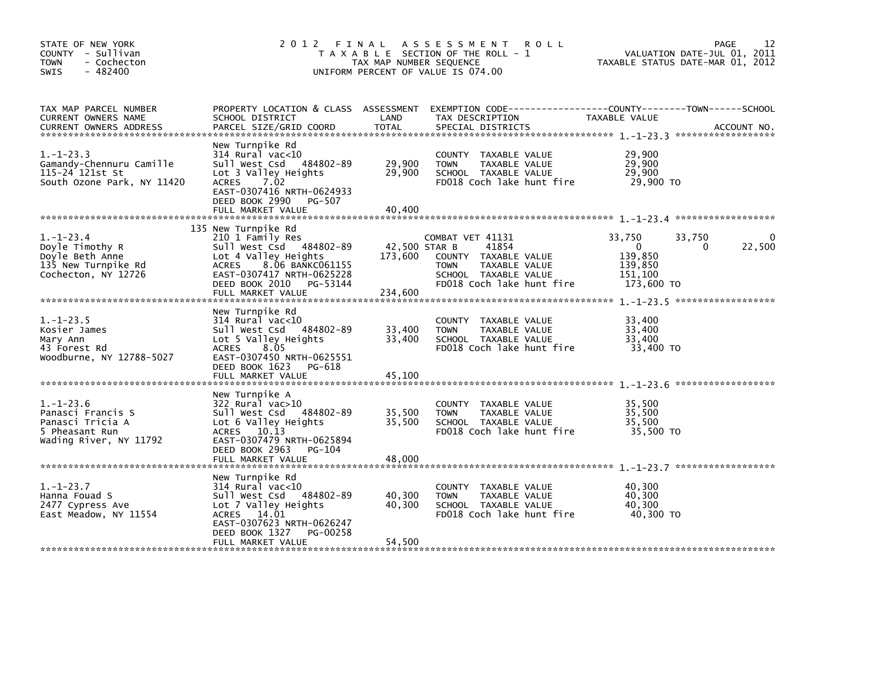| STATE OF NEW YORK<br>COUNTY - Sullivan<br><b>TOWN</b><br>- Cochecton<br>$-482400$<br><b>SWIS</b> |                                                                                                                                                                                         | TAX MAP NUMBER SEQUENCE    | 2012 FINAL ASSESSMENT<br><b>ROLL</b><br>T A X A B L E SECTION OF THE ROLL - 1<br>UNIFORM PERCENT OF VALUE IS 074.00 | TAXABLE STATUS DATE-MAR 01, 2012              | 12<br>PAGE<br>VALUATION DATE-JUL 01, 2011 |
|--------------------------------------------------------------------------------------------------|-----------------------------------------------------------------------------------------------------------------------------------------------------------------------------------------|----------------------------|---------------------------------------------------------------------------------------------------------------------|-----------------------------------------------|-------------------------------------------|
| TAX MAP PARCEL NUMBER<br>CURRENT OWNERS NAME                                                     | SCHOOL DISTRICT                                                                                                                                                                         | LAND                       | PROPERTY LOCATION & CLASS ASSESSMENT EXEMPTION CODE---------------COUNTY-------TOWN-----SCHOOL<br>TAX DESCRIPTION   | TAXABLE VALUE                                 |                                           |
| $1.-1-23.3$<br>Gamandy-Chennuru Camille<br>115-24 121st St<br>South Ozone Park, NY 11420         | New Turnpike Rd<br>$314$ Rural vac<10<br>Sull West Csd 484802-89<br>Lot 3 Valley Heights<br>ACRES 7.02<br>EAST-0307416 NRTH-0624933<br>DEED BOOK 2990<br>PG-507<br>FULL MARKET VALUE    | 29,900<br>29,900<br>40,400 | COUNTY TAXABLE VALUE<br><b>TOWN</b><br>TAXABLE VALUE<br>SCHOOL TAXABLE VALUE<br>FD018 Coch lake hunt fire           | 29,900<br>29,900<br>29,900<br>29,900 TO       |                                           |
| $1.-1-23.4$                                                                                      | 135 New Turnpike Rd<br>210 1 Family Res                                                                                                                                                 |                            | COMBAT VET 41131                                                                                                    | 33,750<br>33,750                              |                                           |
| Doyle Timothy R<br>Doyle Beth Anne<br>135 New Turnpike Rd<br>Cochecton, NY 12726                 | Sull West Csd 484802-89<br>Lot 4 Valley Heights<br>ACRES 8.06 BANKC061155<br>EAST-0307417 NRTH-0625228                                                                                  | 42,500 STAR B<br>173,600   | 41854<br>COUNTY TAXABLE VALUE<br><b>TOWN</b><br>TAXABLE VALUE<br>SCHOOL TAXABLE VALUE                               | $\mathbf{0}$<br>139,850<br>139,850<br>151,100 | 22,500<br>0                               |
|                                                                                                  | DEED BOOK 2010 PG-53144<br>FULL MARKET VALUE                                                                                                                                            | 234,600                    | FD018 Coch lake hunt fire                                                                                           | 173,600 TO                                    |                                           |
| $1. - 1 - 23.5$<br>Kosier James<br>Mary Ann<br>43 Forest Rd<br>Woodburne, NY 12788-5027          | New Turnpike Rd<br>$314$ Rural vac<10<br>Sull West Csd 484802-89<br>Lot 5 Valley Heights<br>8.05<br>ACRES<br>EAST-0307450 NRTH-0625551<br>DEED BOOK 1623 PG-618                         | 33,400<br>33,400           | COUNTY TAXABLE VALUE<br>TAXABLE VALUE<br><b>TOWN</b><br>SCHOOL TAXABLE VALUE<br>FD018 Coch lake hunt fire           | 33,400<br>33,400<br>33,400<br>33,400 TO       |                                           |
|                                                                                                  | FULL MARKET VALUE                                                                                                                                                                       | 45,100                     |                                                                                                                     |                                               |                                           |
| $1.-1-23.6$<br>Panasci Francis S<br>Panasci Tricia A<br>5 Pheasant Run<br>Wading River, NY 11792 | New Turnpike A<br>322 Rural vac>10<br>Sull West Csd 484802-89<br>Lot 6 Valley Heights<br>ACRES 10.13<br>EAST-0307479 NRTH-0625894<br>DEED BOOK 2963<br>PG-104                           | 35,500<br>35,500           | COUNTY TAXABLE VALUE<br><b>TOWN</b><br>TAXABLE VALUE<br>SCHOOL TAXABLE VALUE<br>FD018 Coch lake hunt fire           | 35,500<br>35,500<br>35,500<br>35,500 TO       |                                           |
|                                                                                                  | FULL MARKET VALUE                                                                                                                                                                       | 48,000                     |                                                                                                                     |                                               |                                           |
| $1. - 1 - 23.7$<br>Hanna Fouad S<br>2477 Cypress Ave<br>East Meadow, NY 11554                    | New Turnpike Rd<br>$314$ Rural vac<10<br>Sull West Csd 484802-89<br>Lot 7 Valley Heights<br>ACRES 14.01<br>EAST-0307623 NRTH-0626247<br>DEED BOOK 1327<br>PG-00258<br>FULL MARKET VALUE | 40,300<br>40,300<br>54,500 | COUNTY TAXABLE VALUE<br>TAXABLE VALUE<br>TOWN<br>SCHOOL TAXABLE VALUE<br>FD018 Coch lake hunt fire                  | 40,300<br>40,300<br>40,300<br>40,300 TO       |                                           |
|                                                                                                  |                                                                                                                                                                                         |                            |                                                                                                                     |                                               |                                           |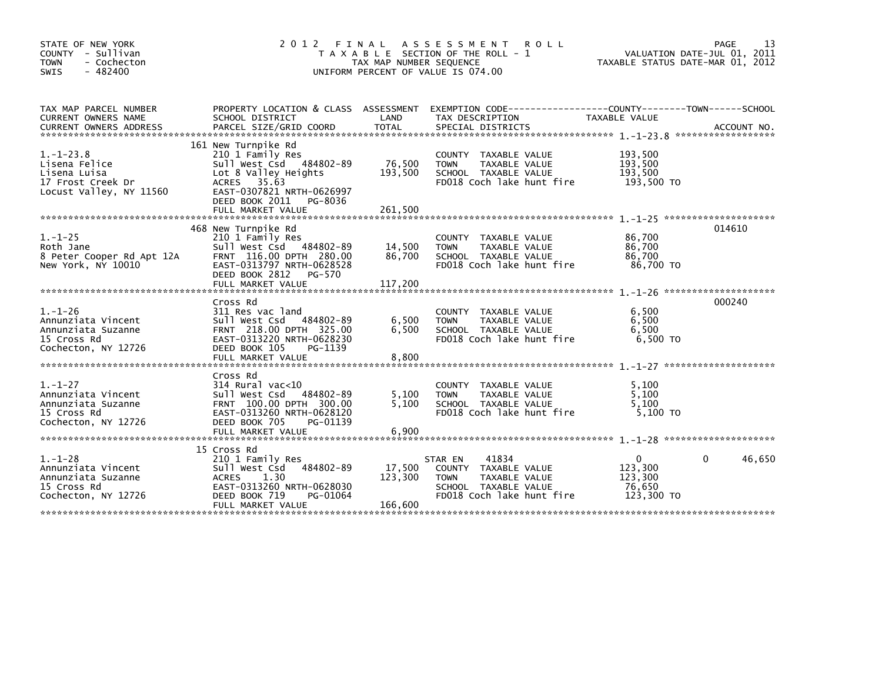| STATE OF NEW YORK<br>COUNTY - Sullivan<br><b>TOWN</b><br>- Cochecton<br>$-482400$<br><b>SWIS</b> | 2 0 1 2<br>A S S E S S M E N T<br>FINAL<br><b>ROLL</b><br>T A X A B L E SECTION OF THE ROLL - 1<br>TAX MAP NUMBER SEQUENCE<br>UNIFORM PERCENT OF VALUE IS 074.00                      |                              |                                                                                                                               |                                                        |             |
|--------------------------------------------------------------------------------------------------|---------------------------------------------------------------------------------------------------------------------------------------------------------------------------------------|------------------------------|-------------------------------------------------------------------------------------------------------------------------------|--------------------------------------------------------|-------------|
| TAX MAP PARCEL NUMBER<br>CURRENT OWNERS NAME                                                     | SCHOOL DISTRICT                                                                                                                                                                       | LAND                         | PROPERTY LOCATION & CLASS ASSESSMENT EXEMPTION CODE----------------COUNTY-------TOWN------SCHOOL<br>TAX DESCRIPTION           | TAXABLE VALUE                                          |             |
| $1. - 1 - 23.8$<br>Lisena Felice<br>Lisena Luisa<br>17 Frost Creek Dr<br>Locust Valley, NY 11560 | 161 New Turnpike Rd<br>210 1 Family Res<br>Sull West Csd 484802-89<br>Lot 8 Valley Heights<br>ACRES 35.63<br>EAST-0307821 NRTH-0626997<br>DEED BOOK 2011 PG-8036<br>FULL MARKET VALUE | 76,500<br>193,500<br>261,500 | COUNTY TAXABLE VALUE<br><b>TOWN</b><br>TAXABLE VALUE<br>SCHOOL TAXABLE VALUE<br>FD018 Coch lake hunt fire                     | 193,500<br>193,500<br>193.500<br>193,500 TO            |             |
| $1. - 1 - 25$<br>Roth Jane<br>8 Peter Cooper Rd Apt 12A<br>New York, NY 10010                    | 468 New Turnpike Rd<br>210 1 Family Res<br>Sull West Csd 484802-89<br>FRNT 116.00 DPTH 280.00<br>EAST-0313797 NRTH-0628528<br>DEED BOOK 2812<br>PG-570<br>FULL MARKET VALUE           | 14,500<br>86,700<br>117,200  | COUNTY TAXABLE VALUE<br>TAXABLE VALUE<br><b>TOWN</b><br>SCHOOL TAXABLE VALUE<br>FD018 Coch lake hunt fire                     | 86,700<br>86,700<br>86,700<br>86.700 TO                | 014610      |
| $1. - 1 - 26$<br>Annunziata Vincent<br>Annunziata Suzanne<br>15 Cross Rd<br>Cochecton, NY 12726  | Cross Rd<br>311 Res vac land<br>Sull West Csd 484802-89<br>FRNT 218.00 DPTH 325.00<br>EAST-0313220 NRTH-0628230<br>DEED BOOK 105<br>PG-1139<br>FULL MARKET VALUE                      | 6,500<br>6,500<br>8,800      | COUNTY TAXABLE VALUE<br><b>TOWN</b><br>TAXABLE VALUE<br>SCHOOL TAXABLE VALUE<br>FD018 Coch lake hunt fire                     | 6,500<br>6,500<br>6,500<br>6,500 TO                    | 000240      |
| $1. - 1 - 27$<br>Annunziata Vincent<br>Annunziata Suzanne<br>15 Cross Rd<br>Cochecton, NY 12726  | Cross Rd<br>$314$ Rural vac< $10$<br>Sull West Csd 484802-89<br>FRNT 100.00 DPTH 300.00<br>EAST-0313260 NRTH-0628120<br>DEED BOOK 705<br>PG-01139                                     | 5,100<br>5.100               | COUNTY TAXABLE VALUE<br><b>TOWN</b><br>TAXABLE VALUE<br>SCHOOL TAXABLE VALUE<br>FD018 Coch lake hunt fire                     | 5,100<br>5,100<br>5.100<br>$5.100$ TO                  |             |
| $1. - 1 - 28$<br>Annunziata Vincent<br>Annunziata Suzanne<br>15 Cross Rd<br>Cochecton, NY 12726  | 15 Cross Rd<br>210 1 Family Res<br>484802-89<br>Sull West Csd<br><b>ACRES</b><br>1.30<br>EAST-0313260 NRTH-0628030<br>DEED BOOK 719<br>PG-01064<br>FULL MARKET VALUE                  | 17,500<br>123,300<br>166,600 | 41834<br>STAR EN<br>COUNTY TAXABLE VALUE<br>TAXABLE VALUE<br><b>TOWN</b><br>SCHOOL TAXABLE VALUE<br>FD018 Coch lake hunt fire | $\Omega$<br>123,300<br>123,300<br>76,650<br>123,300 TO | 46,650<br>0 |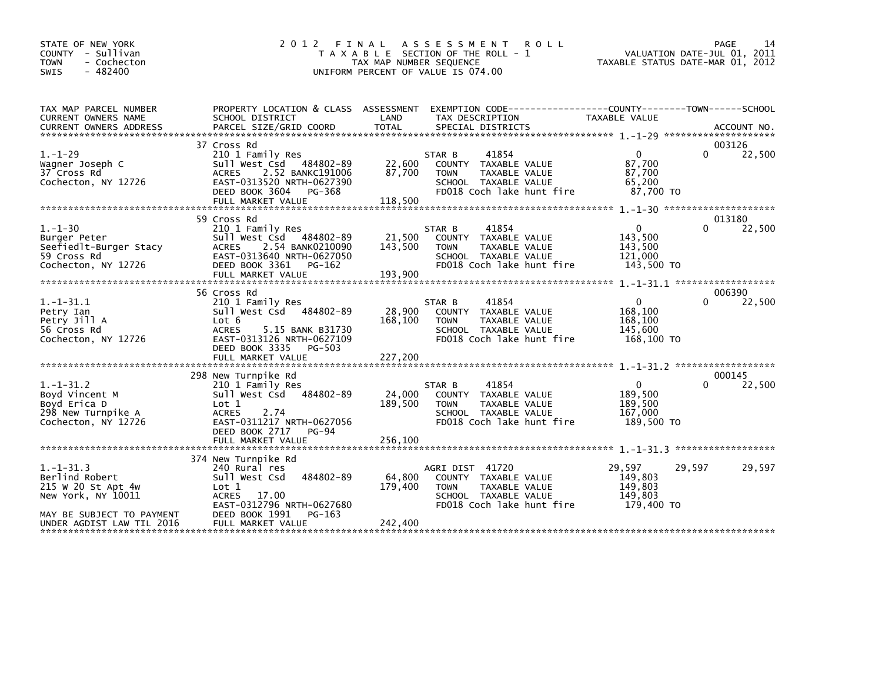| STATE OF NEW YORK<br>COUNTY - Sullivan<br><b>TOWN</b><br>- Cochecton<br>$-482400$<br>SWIS              | 2 0 1 2                                                                                                                                                                               | FINAL<br>A S S E S S M E N T<br><b>ROLL</b><br>T A X A B L E SECTION OF THE ROLL - 1<br>TAX MAP NUMBER SEQUENCE<br>UNIFORM PERCENT OF VALUE IS 074.00               | VALUATION DATE-JUL 01, 2011<br>TAXABLE STATUS DATE-MAR 01, 2012 | PAGE<br>14            |
|--------------------------------------------------------------------------------------------------------|---------------------------------------------------------------------------------------------------------------------------------------------------------------------------------------|---------------------------------------------------------------------------------------------------------------------------------------------------------------------|-----------------------------------------------------------------|-----------------------|
| TAX MAP PARCEL NUMBER<br>CURRENT OWNERS NAME                                                           | PROPERTY LOCATION & CLASS ASSESSMENT<br>SCHOOL DISTRICT                                                                                                                               | LAND<br>TAX DESCRIPTION                                                                                                                                             | <b>TAXABLE VALUE</b>                                            |                       |
|                                                                                                        |                                                                                                                                                                                       |                                                                                                                                                                     |                                                                 |                       |
| $1. - 1 - 29$<br>Wagner Joseph C<br>37 Cross Rd<br>Cochecton, NY 12726                                 | 37 Cross Rd<br>210 1 Family Res<br>Sull West Csd 484802-89<br>2.52 BANKC191006<br><b>ACRES</b><br>EAST-0313520 NRTH-0627390<br>DEED BOOK 3604<br>PG-368<br>FULL MARKET VALUE          | 41854<br>STAR B<br>22,600<br>COUNTY TAXABLE VALUE<br>87,700<br><b>TOWN</b><br>TAXABLE VALUE<br>SCHOOL TAXABLE VALUE<br>FD018 Coch lake hunt fire<br>118,500         | $\Omega$<br>0<br>87,700<br>87,700<br>65,200<br>87,700 TO        | 003126<br>22,500      |
|                                                                                                        |                                                                                                                                                                                       |                                                                                                                                                                     |                                                                 |                       |
| $1. - 1 - 30$<br>Burger Peter<br>Seefiedlt-Burger Stacy<br>59 Cross Rd<br>Cochecton, NY 12726          | 59 Cross Rd<br>210 1 Family Res<br>Sull West Csd 484802-89<br>2.54 BANK0210090<br><b>ACRES</b><br>EAST-0313640 NRTH-0627050<br>DEED BOOK 3361<br>PG-162                               | 41854<br>STAR B<br>21,500<br>COUNTY TAXABLE VALUE<br>143,500<br>TAXABLE VALUE<br><b>TOWN</b><br>SCHOOL TAXABLE VALUE<br>FD018 Coch lake hunt fire                   | $\mathbf 0$<br>143,500<br>143,500<br>121,000<br>143,500 TO      | 013180<br>0<br>22,500 |
|                                                                                                        |                                                                                                                                                                                       |                                                                                                                                                                     |                                                                 |                       |
| $1.-1-31.1$<br>Petry Ian<br>Petry Jill A<br>56 Cross Rd<br>Cochecton, NY 12726                         | 56 Cross Rd<br>210 1 Family Res<br>Sull West Csd 484802-89<br>Lot 6<br><b>ACRES</b><br>5.15 BANK B31730<br>EAST-0313126 NRTH-0627109<br>DEED BOOK 3335<br>PG-503<br>FULL MARKET VALUE | 41854<br>STAR B<br>28,900<br>COUNTY TAXABLE VALUE<br>168,100<br><b>TAXABLE VALUE</b><br><b>TOWN</b><br>SCHOOL TAXABLE VALUE<br>FD018 Coch lake hunt fire<br>227,200 | $\mathbf 0$<br>168,100<br>168,100<br>145,600<br>168,100 TO      | 006390<br>22,500<br>0 |
|                                                                                                        |                                                                                                                                                                                       |                                                                                                                                                                     |                                                                 |                       |
|                                                                                                        | 298 New Turnpike Rd                                                                                                                                                                   |                                                                                                                                                                     |                                                                 | 000145                |
| $1.-1-31.2$<br>Boyd Vincent M<br>Boyd Erica D<br>298 New Turnpike A<br>Cochecton, NY 12726             | 210 1 Family Res<br>484802-89<br>Sull West Csd<br>Lot 1<br><b>ACRES</b><br>2.74<br>EAST-0311217 NRTH-0627056<br>DEED BOOK 2717<br>PG-94                                               | 41854<br>STAR B<br>24,000<br>COUNTY TAXABLE VALUE<br>189,500<br><b>TOWN</b><br>TAXABLE VALUE<br>SCHOOL TAXABLE VALUE<br>FD018 Coch lake hunt fire                   | $\mathbf{0}$<br>189,500<br>189,500<br>167,000<br>189,500 TO     | 22,500                |
|                                                                                                        | FULL MARKET VALUE                                                                                                                                                                     | 256,100                                                                                                                                                             |                                                                 |                       |
|                                                                                                        | 374 New Turnpike Rd                                                                                                                                                                   |                                                                                                                                                                     |                                                                 |                       |
| $1.-1-31.3$<br>Berlind Robert<br>215 W 20 St Apt 4w<br>New York, NY 10011<br>MAY BE SUBJECT TO PAYMENT | 240 Rural res<br>484802-89<br>Sull West Csd<br>Lot 1<br>ACRES 17.00<br>EAST-0312796 NRTH-0627680<br>DEED BOOK 1991<br>PG-163                                                          | AGRI DIST 41720<br>64,800<br>COUNTY TAXABLE VALUE<br>TAXABLE VALUE<br>179,400<br><b>TOWN</b><br>SCHOOL TAXABLE VALUE<br>FD018 Coch lake hunt fire                   | 29,597<br>29,597<br>149,803<br>149,803<br>149,803<br>179.400 TO | 29,597                |
| UNDER AGDIST LAW TIL 2016                                                                              | FULL MARKET VALUE                                                                                                                                                                     | 242,400                                                                                                                                                             |                                                                 |                       |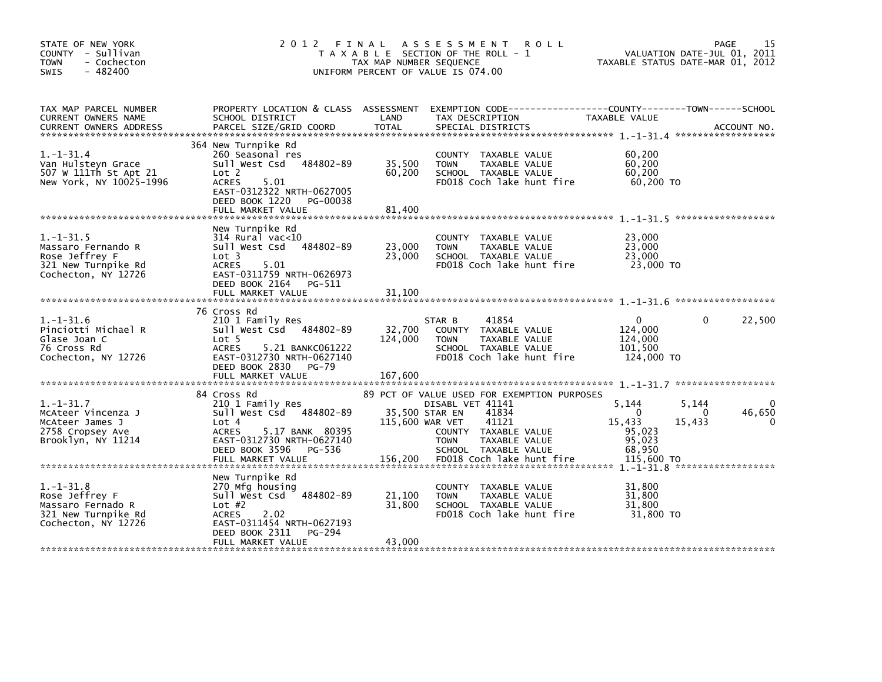| STATE OF NEW YORK<br>COUNTY - Sullivan<br><b>TOWN</b><br>- Cochecton<br>$-482400$<br><b>SWIS</b>                                                                                                                                                                               | 2 0 1 2                                                                                                                                                                              | FINAL<br>TAX MAP NUMBER SEQUENCE | A S S E S S M E N T<br><b>ROLL</b><br>T A X A B L E SECTION OF THE ROLL - 1<br>UNIFORM PERCENT OF VALUE IS 074.00                                                                   | VALUATION DATE-JUL 01, 2011<br>TAXABLE STATUS DATE-MAR 01, 2012                   | 15<br><b>PAGE</b> |
|--------------------------------------------------------------------------------------------------------------------------------------------------------------------------------------------------------------------------------------------------------------------------------|--------------------------------------------------------------------------------------------------------------------------------------------------------------------------------------|----------------------------------|-------------------------------------------------------------------------------------------------------------------------------------------------------------------------------------|-----------------------------------------------------------------------------------|-------------------|
| TAX MAP PARCEL NUMBER<br>CURRENT OWNERS NAME<br>.CURRENT OWNERS ADDRESS PARCEL SIZE/GRID COORD TOTAL SPECIAL DISTRICTS AND MESS ADDRESS PARCEL SIZE/GRID COORD TOTAL SPECIAL DISTRICTS AND MESS AND MESS ASSESSMENT ON A SERVER AND TOTAL SERVER AND TOTAL THE SERVER SERVER A | PROPERTY LOCATION & CLASS ASSESSMENT<br>SCHOOL DISTRICT                                                                                                                              | LAND                             | EXEMPTION CODE------------------COUNTY--------TOWN------SCHOOL<br>TAX DESCRIPTION                                                                                                   | TAXABLE VALUE                                                                     |                   |
| $1. - 1 - 31.4$<br>Van Hulsteyn Grace<br>507 W 111Th St Apt 21<br>New York, NY 10025-1996                                                                                                                                                                                      | 364 New Turnpike Rd<br>260 Seasonal res<br>Sull West Csd<br>484802-89<br>Lot 2<br><b>ACRES</b><br>5.01<br>EAST-0312322 NRTH-0627005<br>DEED BOOK 1220 PG-00038<br>FULL MARKET VALUE  | 35,500<br>60,200<br>81.400       | COUNTY TAXABLE VALUE<br><b>TOWN</b><br>TAXABLE VALUE<br>SCHOOL TAXABLE VALUE<br>FD018 Coch lake hunt fire                                                                           | 60,200<br>60,200<br>60, 200<br>60,200 TO                                          |                   |
| $1.-1-.31.5$<br>Massaro Fernando R<br>Rose Jeffrey F<br>321 New Turnpike Rd<br>Cochecton, NY 12726                                                                                                                                                                             | New Turnpike Rd<br>$314$ Rural vac<10<br>484802-89<br>Sull West Csd<br>Lot 3<br><b>ACRES</b><br>5.01<br>EAST-0311759 NRTH-0626973<br>DEED BOOK 2164 PG-511<br>FULL MARKET VALUE      | 23,000<br>23,000<br>31,100       | COUNTY TAXABLE VALUE<br>TAXABLE VALUE<br><b>TOWN</b><br>SCHOOL TAXABLE VALUE<br>FD018 Coch lake hunt fire                                                                           | 23,000<br>23,000<br>23,000<br>23,000 TO                                           |                   |
| $1. - 1 - 31.6$<br>Pinciotti Michael R<br>Glase Joan C<br>76 Cross Rd<br>Cochecton, NY 12726                                                                                                                                                                                   | 76 Cross Rd<br>210 1 Family Res<br>Sull West Csd 484802-89<br>Lot 5<br><b>ACRES</b><br>5.21 BANKC061222<br>EAST-0312730 NRTH-0627140<br>DEED BOOK 2830<br>PG-79<br>FULL MARKET VALUE | 32,700<br>124,000<br>167,600     | 41854<br>STAR B<br>COUNTY TAXABLE VALUE<br><b>TOWN</b><br>TAXABLE VALUE<br>SCHOOL TAXABLE VALUE<br>FD018 Coch lake hunt fire                                                        | $\Omega$<br>0<br>124,000<br>124,000<br>101,500<br>124,000 TO                      | 22,500            |
| $1. - 1 - 31.7$<br>McAteer Vincenza J<br>McAteer James J<br>2758 Cropsey Ave<br>Brooklyn, NY 11214                                                                                                                                                                             | 84 Cross Rd<br>210 1 Family Res<br>Sull West Csd 484802-89<br>Lot 4<br>5.17 BANK 80395<br><b>ACRES</b><br>EAST-0312730 NRTH-0627140<br>DEED BOOK 3596<br>PG-536                      | 115,600 WAR VET                  | 89 PCT OF VALUE USED FOR EXEMPTION PURPOSES<br>DISABL VET 41141<br>35,500 STAR EN<br>41834<br>41121<br>COUNTY TAXABLE VALUE<br><b>TOWN</b><br>TAXABLE VALUE<br>SCHOOL TAXABLE VALUE | 5,144<br>5,144<br>$\Omega$<br>0<br>15,433<br>15,433<br>95,023<br>95,023<br>68,950 | 46,650            |
| $1. - 1 - 31.8$<br>Rose Jeffrey F<br>Massaro Fernado R<br>321 New Turnpike Rd<br>Cochecton, NY 12726                                                                                                                                                                           | New Turnpike Rd<br>270 Mfg housing<br>484802-89<br>sull west Csd<br>Lot $#2$<br><b>ACRES</b><br>2.02<br>EAST-0311454 NRTH-0627193<br>DEED BOOK 2311<br>PG-294<br>FULL MARKET VALUE   | 21,100<br>31,800<br>43,000       | COUNTY TAXABLE VALUE<br>TAXABLE VALUE<br><b>TOWN</b><br>SCHOOL TAXABLE VALUE<br>FD018 Coch lake hunt fire                                                                           | 31,800<br>31,800<br>31,800<br>31,800 TO                                           |                   |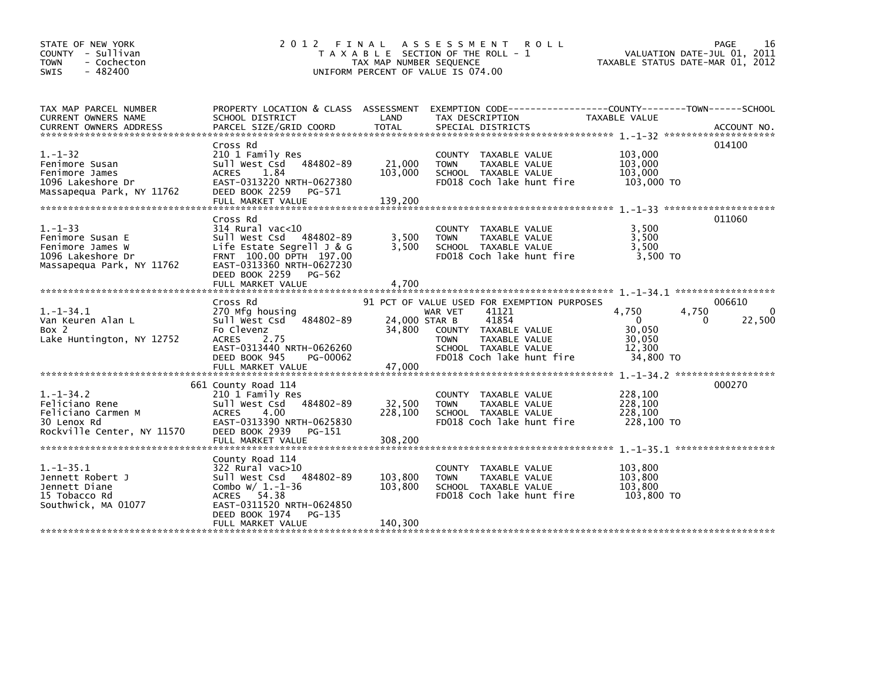| STATE OF NEW YORK<br>COUNTY - Sullivan<br><b>TOWN</b><br>- Cochecton<br>$-482400$<br><b>SWIS</b>        | 2 0 1 2<br>FINAL                                                                                                                                                                      | TAX MAP NUMBER SEQUENCE           | A S S E S S M E N T<br><b>ROLL</b><br>T A X A B L E SECTION OF THE ROLL - 1<br>UNIFORM PERCENT OF VALUE IS 074.00                                                                     | VALUATION DATE-JUL 01, 2011<br>TAXABLE STATUS DATE-MAR 01, 2012                                                          | PAGE<br>16                        |
|---------------------------------------------------------------------------------------------------------|---------------------------------------------------------------------------------------------------------------------------------------------------------------------------------------|-----------------------------------|---------------------------------------------------------------------------------------------------------------------------------------------------------------------------------------|--------------------------------------------------------------------------------------------------------------------------|-----------------------------------|
| TAX MAP PARCEL NUMBER<br>CURRENT OWNERS NAME                                                            | PROPERTY LOCATION & CLASS ASSESSMENT<br>SCHOOL DISTRICT                                                                                                                               | LAND                              | EXEMPTION        CODE------------------COUNTY-------TOWN------SCHOOL<br>TAX DESCRIPTION                                                                                               | TAXABLE VALUE                                                                                                            |                                   |
| $1. - 1 - 32$<br>Fenimore Susan<br>Fenimore James<br>1096 Lakeshore Dr<br>Massapequa Park, NY 11762     | Cross Rd<br>210 1 Family Res<br>484802-89<br>Sull West Csd<br><b>ACRES</b><br>1.84<br>EAST-0313220 NRTH-0627380<br>DEED BOOK 2259<br>PG-571<br>FULL MARKET VALUE                      | 21,000<br>103,000<br>139,200      | COUNTY TAXABLE VALUE<br>TAXABLE VALUE<br><b>TOWN</b><br>SCHOOL TAXABLE VALUE<br>FD018 Coch lake hunt fire                                                                             | 103,000<br>103,000<br>103,000<br>103,000 TO                                                                              | 014100                            |
| $1. - 1 - 33$<br>Fenimore Susan E<br>Fenimore James W<br>1096 Lakeshore Dr<br>Massapequa Park, NY 11762 | Cross Rd<br>$314$ Rural vac< $10$<br>Sull West Csd 484802-89<br>Life Estate Segrell $J & G$<br>FRNT 100.00 DPTH 197.00<br>EAST-0313360 NRTH-0627230<br>DEED BOOK 2259<br>PG-562       | 3,500<br>3.500                    | COUNTY TAXABLE VALUE<br><b>TOWN</b><br>TAXABLE VALUE<br>SCHOOL TAXABLE VALUE<br>FD018 Coch lake hunt fire                                                                             | 3,500<br>3,500<br>3.500<br>3,500 TO                                                                                      | 011060                            |
| *****************************                                                                           | FULL MARKET VALUE                                                                                                                                                                     | 4,700                             |                                                                                                                                                                                       |                                                                                                                          |                                   |
| $1. - 1 - 34.1$<br>Van Keuren Alan L<br>Box 2<br>Lake Huntington, NY 12752                              | Cross Rd<br>270 Mfg housing<br>Sull West Csd<br>484802-89<br>Fo Clevenz<br>2.75<br><b>ACRES</b><br>EAST-0313440 NRTH-0626260<br>DEED BOOK 945<br>PG-00062                             | 24,000 STAR B<br>34,800<br>47,000 | 91 PCT OF VALUE USED FOR EXEMPTION PURPOSES<br>WAR VET<br>41121<br>41854<br>COUNTY TAXABLE VALUE<br>TAXABLE VALUE<br><b>TOWN</b><br>SCHOOL TAXABLE VALUE<br>FD018 Coch lake hunt fire | 4,750<br>4,750<br>$\Omega$<br>30,050<br>30,050<br>12.300<br>34,800 TO                                                    | 006610<br>$\Omega$<br>22,500<br>0 |
| $1. - 1 - 34.2$<br>Feliciano Rene<br>Feliciano Carmen M<br>30 Lenox Rd<br>Rockville Center, NY 11570    | 661 County Road 114<br>210 1 Family Res<br>Sull West Csd<br>484802-89<br>4.00<br><b>ACRES</b><br>EAST-0313390 NRTH-0625830<br>DEED BOOK 2939<br>PG-151<br>FULL MARKET VALUE           | 32,500<br>228.100<br>308,200      | COUNTY TAXABLE VALUE<br><b>TOWN</b><br>TAXABLE VALUE<br>SCHOOL TAXABLE VALUE<br>FD018 Coch lake hunt fire                                                                             | $1. - 1 - 34.2$ *******************<br>228,100<br>228,100<br>228,100<br>228,100 TO<br>$1. -1 - 35.1$ ******************* | 000270                            |
| $1. - 1 - 35.1$<br>Jennett Robert J<br>Jennett Diane<br>15 Tobacco Rd<br>Southwick, MA 01077            | County Road 114<br>322 Rural vac>10<br>Sull West Csd 484802-89<br>Combo $W/ 1. -1-36$<br>54.38<br>ACRES<br>EAST-0311520 NRTH-0624850<br>DEED BOOK 1974<br>PG-135<br>FULL MARKET VALUE | 103,800<br>103,800<br>140,300     | COUNTY TAXABLE VALUE<br>TAXABLE VALUE<br><b>TOWN</b><br>SCHOOL TAXABLE VALUE<br>FD018 Coch lake hunt fire                                                                             | 103,800<br>103,800<br>103.800<br>103,800 TO                                                                              |                                   |
|                                                                                                         |                                                                                                                                                                                       |                                   |                                                                                                                                                                                       |                                                                                                                          |                                   |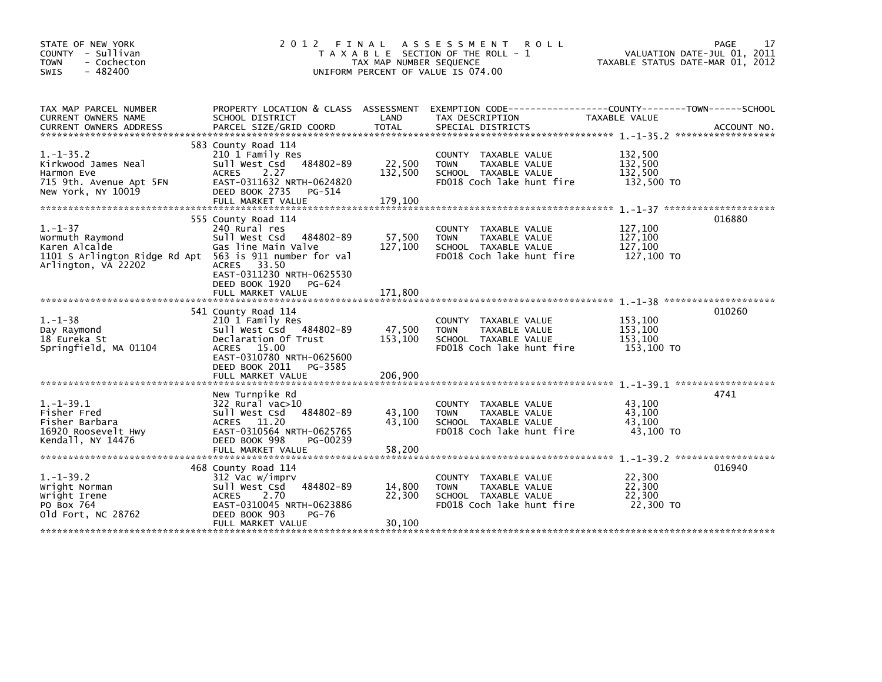| STATE OF NEW YORK<br>COUNTY - Sullivan<br><b>TOWN</b><br>- Cochecton<br>$-482400$<br>SWIS         | 2012 FINAL<br>T A X A B L E SECTION OF THE ROLL - 1<br>TAX MAP NUMBER SEQUENCE<br>UNIFORM PERCENT OF VALUE IS 074.00                                                                                                                              | 17<br>PAGE<br>VALUATION DATE-JUL 01, 2011<br>TAXABLE STATUS DATE-MAR 01, 2012 |                                                                                                                                          |                                             |             |
|---------------------------------------------------------------------------------------------------|---------------------------------------------------------------------------------------------------------------------------------------------------------------------------------------------------------------------------------------------------|-------------------------------------------------------------------------------|------------------------------------------------------------------------------------------------------------------------------------------|---------------------------------------------|-------------|
| TAX MAP PARCEL NUMBER<br>CURRENT OWNERS NAME<br><b>CURRENT OWNERS ADDRESS</b>                     | SCHOOL DISTRICT<br>PARCEL SIZE/GRID COORD                                                                                                                                                                                                         | LAND<br><b>TOTAL</b>                                                          | PROPERTY LOCATION & CLASS ASSESSMENT EXEMPTION CODE----------------COUNTY-------TOWN------SCHOOL<br>TAX DESCRIPTION<br>SPECIAL DISTRICTS | TAXABLE VALUE                               | ACCOUNT NO. |
| $1.-1-35.2$<br>Kirkwood James Neal<br>Harmon Eve<br>715 9th. Avenue Apt 5FN<br>New York, NY 10019 | 583 County Road 114<br>210 1 Family Res<br>Sull West Csd 484802-89<br>2.27<br><b>ACRES</b><br>EAST-0311632 NRTH-0624820<br>DEED BOOK 2735<br>PG-514<br>FULL MARKET VALUE                                                                          | 22,500<br>132,500<br>179.100                                                  | COUNTY TAXABLE VALUE<br>TAXABLE VALUE<br><b>TOWN</b><br>SCHOOL TAXABLE VALUE<br>FD018 Coch lake hunt fire                                | 132,500<br>132,500<br>132.500<br>132,500 TO |             |
| $1. - 1 - 37$<br>Wormuth Raymond<br>Karen Alcalde<br>Arlington, VA 22202                          | 555 County Road 114<br>240 Rural res<br>Sull West Csd<br>484802-89<br>Gas line Main Valve<br>1101 S Arlington Ridge Rd Apt 563 is 911 number for val<br>ACRES 33.50<br>EAST-0311230 NRTH-0625530<br>DEED BOOK 1920<br>PG-624<br>FULL MARKET VALUE | 57,500<br>127,100<br>171,800                                                  | COUNTY TAXABLE VALUE<br><b>TOWN</b><br>TAXABLE VALUE<br>SCHOOL TAXABLE VALUE<br>FD018 Coch lake hunt fire                                | 127,100<br>127,100<br>127,100<br>127,100 TO | 016880      |
| $1. - 1 - 38$<br>Day Raymond<br>18 Eureka St<br>Springfield, MA 01104                             | 541 County Road 114<br>210 1 Family Res<br>Sull West Csd 484802-89<br>Declaration Of Trust<br>ACRES 15.00<br>EAST-0310780 NRTH-0625600<br>DEED BOOK 2011<br>PG-3585<br>FULL MARKET VALUE                                                          | 47,500<br>153,100<br>206,900                                                  | COUNTY TAXABLE VALUE<br>TAXABLE VALUE<br><b>TOWN</b><br>SCHOOL TAXABLE VALUE<br>FD018 Coch lake hunt fire                                | 153,100<br>153,100<br>153,100<br>153,100 TO | 010260      |
| $1. -1 - 39.1$<br>Fisher Fred<br>Fisher Barbara<br>16920 Roosevelt Hwy<br>Kendall, NY 14476       | New Turnpike Rd<br>322 Rural vac>10<br>484802-89<br>Sull West Csd<br>ACRES 11.20<br>EAST-0310564 NRTH-0625765<br>DEED BOOK 998<br>PG-00239<br>FULL MARKET VALUE                                                                                   | 43,100<br>43,100<br>58.200                                                    | COUNTY<br>TAXABLE VALUE<br>TAXABLE VALUE<br><b>TOWN</b><br>SCHOOL TAXABLE VALUE<br>FD018 Coch lake hunt fire                             | 43,100<br>43.100<br>43,100<br>43,100 TO     | 4741        |
| $1.-1-39.2$<br>Wright Norman<br>Wright Irene<br>PO Box 764<br>old Fort, NC 28762                  | 468 County Road 114<br>312 Vac w/imprv<br>484802-89<br>Sull West Csd<br><b>ACRES</b><br>2.70<br>EAST-0310045 NRTH-0623886<br>DEED BOOK 903<br>PG-76<br>FULL MARKET VALUE                                                                          | 14,800<br>22,300<br>30,100                                                    | COUNTY TAXABLE VALUE<br>TAXABLE VALUE<br><b>TOWN</b><br>SCHOOL TAXABLE VALUE<br>FD018 Coch lake hunt fire                                | 22,300<br>22,300<br>22.300<br>22,300 TO     | 016940      |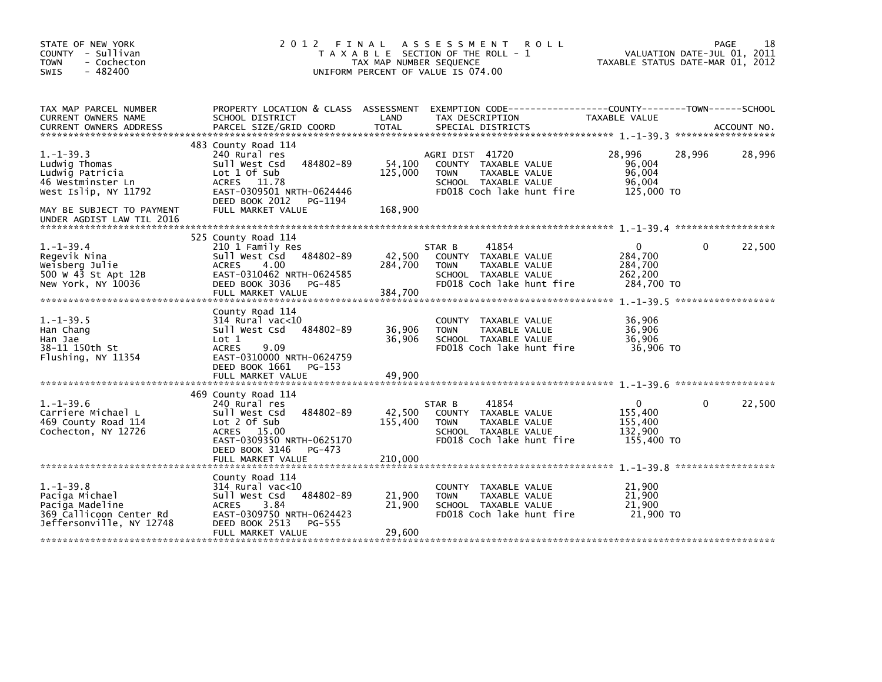| STATE OF NEW YORK<br>COUNTY - Sullivan<br>- Cochecton<br><b>TOWN</b><br>SWIS<br>$-482400$                                    | VALUATION DATE-JUL 01, 2011<br>TAXABLE STATUS DATE-MAR 01, 2012                                                                                                                    | PAGE                         | 18                                                                                                                           |                                                         |          |        |
|------------------------------------------------------------------------------------------------------------------------------|------------------------------------------------------------------------------------------------------------------------------------------------------------------------------------|------------------------------|------------------------------------------------------------------------------------------------------------------------------|---------------------------------------------------------|----------|--------|
| TAX MAP PARCEL NUMBER<br>CURRENT OWNERS NAME                                                                                 | PROPERTY LOCATION & CLASS ASSESSMENT<br>SCHOOL DISTRICT                                                                                                                            | LAND                         | EXEMPTION CODE-----------------COUNTY-------TOWN------SCHOOL<br>TAX DESCRIPTION                                              | TAXABLE VALUE                                           |          |        |
| $1. -1 - 39.3$<br>Ludwig Thomas<br>Ludwig Patricia<br>46 Westminster Ln<br>West Islip, NY 11792<br>MAY BE SUBJECT TO PAYMENT | 483 County Road 114<br>240 Rural res<br>484802-89<br>Sull West Csd<br>Lot 1 Of Sub<br>ACRES 11.78<br>EAST-0309501 NRTH-0624446<br>DEED BOOK 2012<br>PG-1194<br>FULL MARKET VALUE   | 54,100<br>125,000<br>168,900 | AGRI DIST 41720<br>COUNTY TAXABLE VALUE<br><b>TOWN</b><br>TAXABLE VALUE<br>SCHOOL TAXABLE VALUE<br>FD018 Coch lake hunt fire | 28,996<br>96,004<br>96,004<br>96,004<br>125,000 TO      | 28,996   | 28,996 |
| UNDER AGDIST LAW TIL 2016                                                                                                    |                                                                                                                                                                                    |                              |                                                                                                                              |                                                         |          |        |
| $1. - 1 - 39.4$<br>Regevik Nina<br>Weisberg Julie<br>500 W 43 St Apt 12B<br>New York, NY 10036                               | 525 County Road 114<br>210 1 Family Res<br>484802-89<br>Sull West Csd<br><b>ACRES</b><br>4.00<br>EAST-0310462 NRTH-0624585<br>DEED BOOK 3036<br>PG-485<br>FULL MARKET VALUE        | 42,500<br>284,700<br>384,700 | 41854<br>STAR B<br>COUNTY TAXABLE VALUE<br>TAXABLE VALUE<br><b>TOWN</b><br>SCHOOL TAXABLE VALUE<br>FD018 Coch lake hunt fire | $\Omega$<br>284,700<br>284,700<br>262,200<br>284,700 TO | $\Omega$ | 22,500 |
| $1. - 1 - 39.5$<br>Han Chang<br>Han Jae<br>38–11 150th St<br>Flushing, NY 11354                                              | County Road 114<br>$314$ Rural vac<10<br>484802-89<br>Sull West Csd<br>Lot 1<br>9.09<br><b>ACRES</b><br>EAST-0310000 NRTH-0624759<br>DEED BOOK 1661<br>PG-153<br>FULL MARKET VALUE | 36,906<br>36,906<br>49.900   | COUNTY TAXABLE VALUE<br>TAXABLE VALUE<br><b>TOWN</b><br>SCHOOL TAXABLE VALUE<br>FD018 Coch lake hunt fire                    | 36,906<br>36,906<br>36,906<br>36,906 TO                 |          |        |
| $1. - 1 - 39.6$<br>Carriere Michael L<br>469 County Road 114<br>Cochecton, NY 12726                                          | 469 County Road 114<br>240 Rural res<br>484802-89<br>Sull West Csd<br>Lot 2 Of Sub<br>ACRES 15.00<br>EAST-0309350 NRTH-0625170<br>DEED BOOK 3146<br>$PG-473$<br>FULL MARKET VALUE  | 42,500<br>155,400<br>210,000 | 41854<br>STAR B<br>COUNTY TAXABLE VALUE<br><b>TOWN</b><br>TAXABLE VALUE<br>SCHOOL TAXABLE VALUE<br>FD018 Coch lake hunt fire | 0<br>155,400<br>155,400<br>132,900<br>155,400 TO        | 0        | 22,500 |
| $1. - 1 - 39.8$<br>Paciga Michael<br>Paciga Madeline<br>369 Callicoon Center Rd<br>Jeffersonville, NY 12748                  | County Road 114<br>314 Rural vac<10<br>484802-89<br>Sull West Csd<br><b>ACRES</b><br>3.84<br>EAST-0309750 NRTH-0624423<br>DEED BOOK 2513<br>PG-555<br>FULL MARKET VALUE            | 21,900<br>21,900<br>29,600   | COUNTY TAXABLE VALUE<br>TAXABLE VALUE<br><b>TOWN</b><br>SCHOOL TAXABLE VALUE<br>FD018 Coch lake hunt fire                    | 21,900<br>21,900<br>21,900<br>21,900 TO                 |          |        |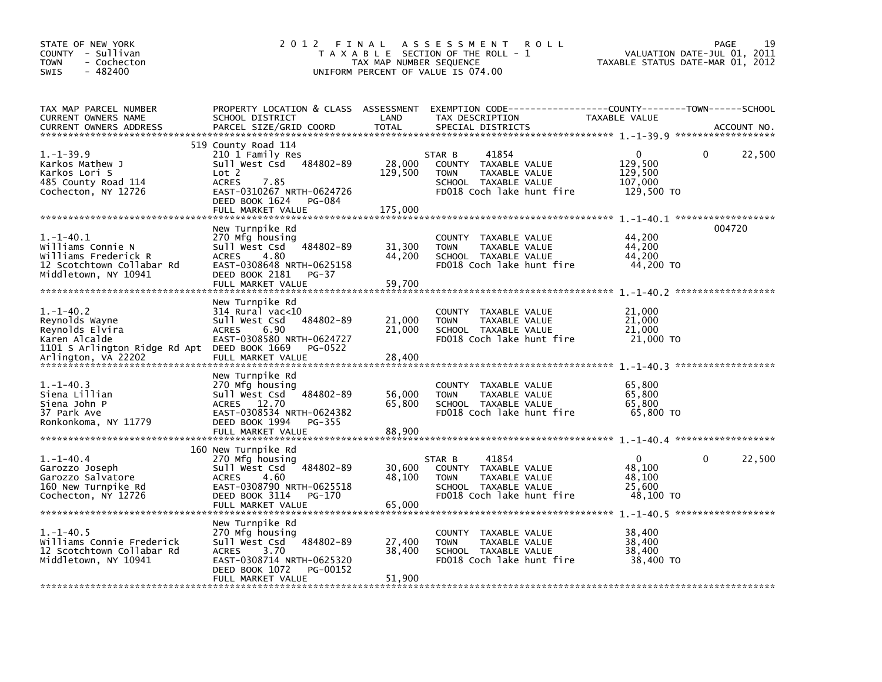| STATE OF NEW YORK<br>COUNTY - Sullivan<br><b>TOWN</b><br>- Cochecton<br>$-482400$<br><b>SWIS</b>                                             | 2012<br>FINAL<br>A S S E S S M E N T<br><b>ROLL</b><br>T A X A B L E SECTION OF THE ROLL - 1<br>TAX MAP NUMBER SEQUENCE<br>UNIFORM PERCENT OF VALUE IS 074.00                               |                              |                                                                                                                              |                                                     |             |
|----------------------------------------------------------------------------------------------------------------------------------------------|---------------------------------------------------------------------------------------------------------------------------------------------------------------------------------------------|------------------------------|------------------------------------------------------------------------------------------------------------------------------|-----------------------------------------------------|-------------|
| TAX MAP PARCEL NUMBER<br>CURRENT OWNERS NAME<br><b>CURRENT OWNERS ADDRESS</b>                                                                | PROPERTY LOCATION & CLASS ASSESSMENT<br>SCHOOL DISTRICT<br>PARCEL SIZE/GRID COORD                                                                                                           | LAND<br><b>TOTAL</b>         | TAX DESCRIPTION<br>SPECIAL DISTRICTS                                                                                         | TAXABLE VALUE                                       | ACCOUNT NO. |
| $1. - 1 - 39.9$<br>Karkos Mathew J<br>Karkos Lori S<br>485 County Road 114<br>Cochecton, NY 12726                                            | 519 County Road 114<br>210 1 Family Res<br>484802-89<br>Sull West Csd<br>Lot 2<br><b>ACRES</b><br>7.85<br>EAST-0310267 NRTH-0624726<br>DEED BOOK 1624<br><b>PG-084</b><br>FULL MARKET VALUE | 28,000<br>129,500<br>175,000 | 41854<br>STAR B<br>COUNTY TAXABLE VALUE<br><b>TOWN</b><br>TAXABLE VALUE<br>SCHOOL TAXABLE VALUE<br>FD018 Coch lake hunt fire | 0<br>129,500<br>129,500<br>107,000<br>129,500 TO    | 0<br>22,500 |
| $1. -1 - 40.1$<br>Williams Connie N<br>Williams Frederick R<br>12 Scotchtown Collabar Rd<br>Middletown, NY 10941                             | New Turnpike Rd<br>270 Mfg housing<br>484802-89<br>Sull West Csd<br><b>ACRES</b><br>4.80<br>EAST-0308648 NRTH-0625158<br>DEED BOOK 2181<br>PG-37<br>FULL MARKET VALUE                       | 31,300<br>44,200<br>59,700   | TAXABLE VALUE<br><b>COUNTY</b><br>TAXABLE VALUE<br><b>TOWN</b><br>SCHOOL TAXABLE VALUE<br>FD018 Coch lake hunt fire          | 44,200<br>44,200<br>44,200<br>44,200 TO             | 004720      |
| $1. - 1 - 40.2$<br>Reynolds Wayne<br>Reynolds Elvira<br>Karen Alcalde<br>1101 S Arlington Ridge Rd Apt DEED BOOK 1669<br>Arlington, VA 22202 | New Turnpike Rd<br>$314$ Rural vac<10<br>484802-89<br>Sull West Csd<br><b>ACRES</b><br>6.90<br>EAST-0308580 NRTH-0624727<br>PG-0522<br>FULL MARKET VALUE                                    | 21,000<br>21,000<br>28,400   | <b>COUNTY</b><br>TAXABLE VALUE<br><b>TOWN</b><br>TAXABLE VALUE<br>SCHOOL TAXABLE VALUE<br>FD018 Coch lake hunt fire          | 21,000<br>21,000<br>21,000<br>21,000 TO             |             |
| $1. - 1 - 40.3$<br>Siena Lillian<br>Siena John P<br>37 Park Ave<br>Ronkonkoma, NY 11779                                                      | New Turnpike Rd<br>270 Mfg housing<br>Sull West Csd<br>484802-89<br>ACRES 12.70<br>EAST-0308534 NRTH-0624382<br>DEED BOOK 1994<br>$PG-355$<br>FULL MARKET VALUE                             | 56,000<br>65,800<br>88,900   | <b>COUNTY</b><br>TAXABLE VALUE<br><b>TOWN</b><br>TAXABLE VALUE<br>SCHOOL TAXABLE VALUE<br>FD018 Coch lake hunt fire          | 65,800<br>65,800<br>65,800<br>65,800 TO             |             |
| $1. - 1 - 40.4$<br>Garozzo Joseph<br>Garozzo Salvatore<br>160 New Turnpike Rd<br>Cochecton, NY 12726                                         | 160 New Turnpike Rd<br>270 Mfg housing<br>Sull West Csd<br>484802-89<br><b>ACRES</b><br>4.60<br>EAST-0308790 NRTH-0625518<br>DEED BOOK 3114<br>PG-170<br>FULL MARKET VALUE                  | 30,600<br>48,100<br>65,000   | 41854<br>STAR B<br>COUNTY TAXABLE VALUE<br><b>TOWN</b><br>TAXABLE VALUE<br>SCHOOL TAXABLE VALUE<br>FD018 Coch lake hunt fire | $\Omega$<br>48,100<br>48,100<br>25,600<br>48.100 TO | 22,500<br>0 |
| $1. - 1 - 40.5$<br>Williams Connie Frederick<br>12 Scotchtown Collabar Rd<br>Middletown, NY 10941                                            | New Turnpike Rd<br>270 Mfg housing<br>Sull West Csd<br>484802-89<br>3.70<br><b>ACRES</b><br>EAST-0308714 NRTH-0625320<br>DEED BOOK 1072<br>PG-00152<br>FULL MARKET VALUE                    | 27,400<br>38,400<br>51,900   | <b>COUNTY</b><br>TAXABLE VALUE<br><b>TOWN</b><br>TAXABLE VALUE<br>SCHOOL TAXABLE VALUE<br>FD018 Coch lake hunt fire          | 38,400<br>38,400<br>38,400<br>38,400 TO             |             |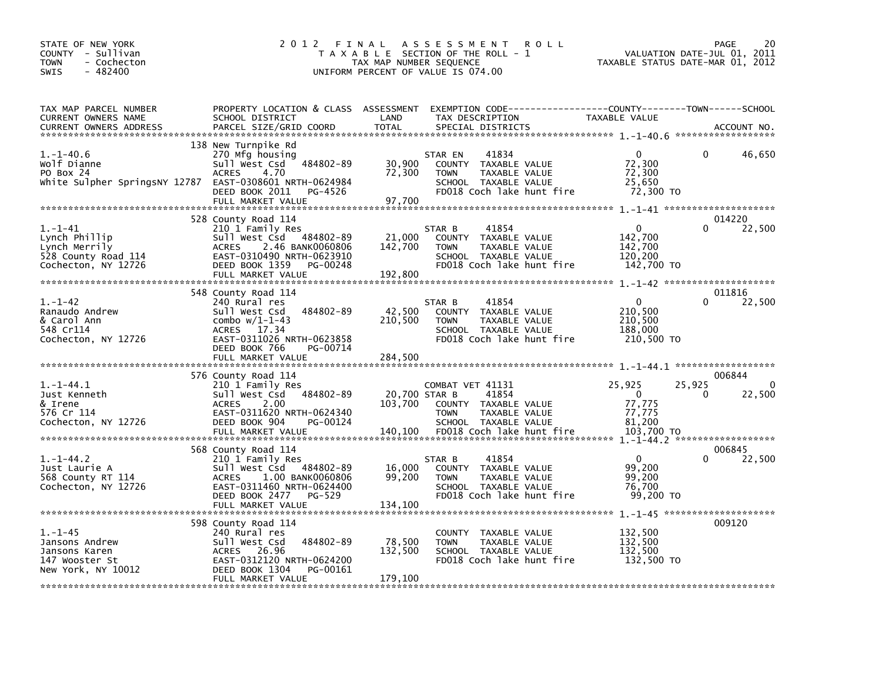| STATE OF NEW YORK<br>COUNTY - Sullivan<br><b>TOWN</b><br>- Cochecton<br>$-482400$<br><b>SWIS</b> | 2 0 1 2                                                                                                                                                                                | FINAL<br>TAX MAP NUMBER SEQUENCE    | <b>ROLL</b><br>A S S E S S M E N T<br>T A X A B L E SECTION OF THE ROLL - 1<br>UNIFORM PERCENT OF VALUE IS 074.00                      | TAXABLE STATUS DATE-MAR 01, 2012                                  | <b>PAGE</b><br>20<br>VALUATION DATE-JUL 01, 2011   |
|--------------------------------------------------------------------------------------------------|----------------------------------------------------------------------------------------------------------------------------------------------------------------------------------------|-------------------------------------|----------------------------------------------------------------------------------------------------------------------------------------|-------------------------------------------------------------------|----------------------------------------------------|
| TAX MAP PARCEL NUMBER                                                                            | PROPERTY LOCATION & CLASS ASSESSMENT                                                                                                                                                   |                                     |                                                                                                                                        |                                                                   |                                                    |
| <b>CURRENT OWNERS NAME</b><br>CURRENT OWNERS ADDRESS                                             | SCHOOL DISTRICT<br>PARCEL SIZE/GRID COORD                                                                                                                                              | LAND<br>TOTAL                       | TAX DESCRIPTION<br>SPECIAL DISTRICTS                                                                                                   | TAXABLE VALUE                                                     | ACCOUNT NO.                                        |
| $1. - 1 - 40.6$<br>Wolf Dianne<br>PO Box 24<br>White Sulpher SpringsNY 12787                     | 138 New Turnpike Rd<br>270 Mfg housing<br>484802-89<br>Sull West Csd<br><b>ACRES</b><br>4.70<br>EAST-0308601 NRTH-0624984<br>DEED BOOK 2011<br>PG-4526<br>FULL MARKET VALUE            | 30,900<br>72,300<br>97,700          | 41834<br>STAR EN<br>COUNTY TAXABLE VALUE<br><b>TOWN</b><br>TAXABLE VALUE<br>SCHOOL TAXABLE VALUE<br>FD018 Coch lake hunt fire          | 0<br>72,300<br>72,300<br>25,650<br>72,300 TO                      | 46,650<br>0                                        |
|                                                                                                  |                                                                                                                                                                                        |                                     |                                                                                                                                        |                                                                   |                                                    |
| $1. - 1 - 41$<br>Lynch Phillip<br>Lynch Merrily<br>528 County Road 114<br>Cochecton, NY 12726    | 528 County Road 114<br>210 1 Family Res<br>Sull West Csd 484802-89<br>2.46 BANK0060806<br><b>ACRES</b><br>EAST-0310490 NRTH-0623910<br>DEED BOOK 1359<br>PG-00248<br>FULL MARKET VALUE | 21,000<br>142,700<br>192,800        | STAR B<br>41854<br>COUNTY TAXABLE VALUE<br><b>TOWN</b><br>TAXABLE VALUE<br>SCHOOL TAXABLE VALUE<br>FD018 Coch lake hunt fire           | $\Omega$<br>142,700<br>142,700<br>120.200<br>142,700 TO           | 014220<br>22,500<br>0                              |
|                                                                                                  | 548 County Road 114                                                                                                                                                                    |                                     |                                                                                                                                        |                                                                   | 011816                                             |
| $1. - 1 - 42$<br>Ranaudo Andrew<br>& Carol Ann<br>548 Cr114<br>Cochecton, NY 12726               | 240 Rural res<br>484802-89<br>Sull West Csd<br>combo $w/1-1-43$<br>17.34<br><b>ACRES</b><br>EAST-0311026 NRTH-0623858<br>DEED BOOK 766<br>PG-00714                                     | 42,500<br>210,500                   | STAR B<br>41854<br>COUNTY TAXABLE VALUE<br>TAXABLE VALUE<br><b>TOWN</b><br>SCHOOL TAXABLE VALUE<br>FD018 Coch lake hunt fire           | 0<br>210,500<br>210,500<br>188,000<br>210,500 TO                  | 22,500<br>$\Omega$                                 |
|                                                                                                  | FULL MARKET VALUE                                                                                                                                                                      | 284,500                             |                                                                                                                                        |                                                                   |                                                    |
| $1.-1-44.1$<br>Just Kenneth<br>& Irene<br>576 Cr 114<br>Cochecton, NY 12726                      | 576 County Road 114<br>210 1 Family Res<br>484802-89<br>Sull West Csd<br>2.00<br><b>ACRES</b><br>EAST-0311620 NRTH-0624340<br>DEED BOOK 904<br>PG-00124<br>FULL MARKET VALUE           | 20,700 STAR B<br>103,700<br>140,100 | COMBAT VET 41131<br>41854<br>COUNTY TAXABLE VALUE<br><b>TOWN</b><br>TAXABLE VALUE<br>SCHOOL TAXABLE VALUE<br>FD018 Coch lake hunt fire | 25,925<br>$\mathbf 0$<br>77,775<br>77,775<br>81,200<br>103,700 TO | 006844<br>25,925<br>$\Omega$<br>22,500<br>$\Omega$ |
|                                                                                                  | 568 County Road 114                                                                                                                                                                    |                                     |                                                                                                                                        |                                                                   | 006845                                             |
| $1.-1-44.2$<br>Just Laurie A<br>568 County RT 114<br>Cochecton, NY 12726                         | 210 1 Family Res<br>Sull West Csd<br>484802-89<br>1.00 BANK0060806<br><b>ACRES</b><br>EAST-0311460 NRTH-0624400<br>DEED BOOK 2477<br>PG-529                                            | 16,000<br>99,200                    | 41854<br>STAR B<br>COUNTY TAXABLE VALUE<br><b>TAXABLE VALUE</b><br><b>TOWN</b><br>SCHOOL TAXABLE VALUE<br>FD018 Coch lake hunt fire    | $\Omega$<br>99.200<br>99.200<br>76.700<br>99,200 TO               | 22,500<br>$1. -1 - 45$ **********************      |
|                                                                                                  | 598 County Road 114                                                                                                                                                                    |                                     |                                                                                                                                        |                                                                   | 009120                                             |
| $1. - 1 - 45$<br>Jansons Andrew<br>Jansons Karen<br>147 Wooster St<br>New York, NY 10012         | 240 Rural res<br>484802-89<br>Sull West Csd<br>26.96<br><b>ACRES</b><br>EAST-0312120 NRTH-0624200<br>DEED BOOK 1304<br>PG-00161<br>FULL MARKET VALUE                                   | 78,500<br>132,500<br>179.100        | COUNTY TAXABLE VALUE<br>TAXABLE VALUE<br><b>TOWN</b><br>SCHOOL TAXABLE VALUE<br>FD018 Coch lake hunt fire                              | 132,500<br>132,500<br>132,500<br>132,500 TO                       |                                                    |
|                                                                                                  |                                                                                                                                                                                        |                                     |                                                                                                                                        |                                                                   |                                                    |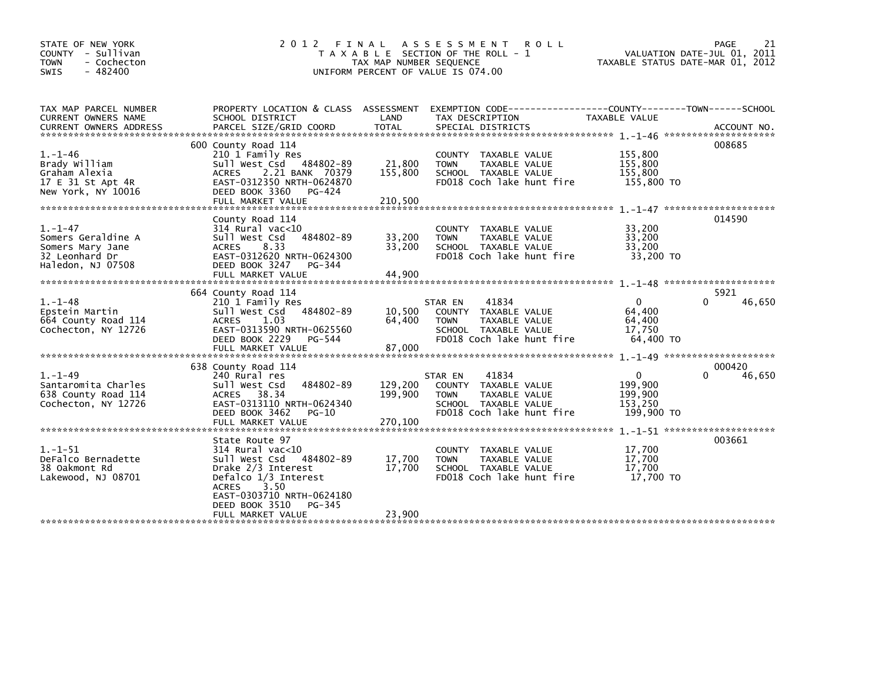| STATE OF NEW YORK<br>COUNTY - Sullivan<br>- Cochecton<br><b>TOWN</b><br>$-482400$<br><b>SWIS</b> | 2 0 1 2<br>FINAL                                                                                                                                                                                     | TAX MAP NUMBER SEQUENCE      | ASSESSMENT ROLL<br>T A X A B L E SECTION OF THE ROLL - 1<br>UNIFORM PERCENT OF VALUE IS 074.00                                | TAXABLE STATUS DATE-MAR 01, 2012                            | PAGE<br>21<br>VALUATION DATE-JUL 01, 2011 |
|--------------------------------------------------------------------------------------------------|------------------------------------------------------------------------------------------------------------------------------------------------------------------------------------------------------|------------------------------|-------------------------------------------------------------------------------------------------------------------------------|-------------------------------------------------------------|-------------------------------------------|
| TAX MAP PARCEL NUMBER<br>CURRENT OWNERS NAME<br><b>CURRENT OWNERS ADDRESS</b>                    | PROPERTY LOCATION & CLASS ASSESSMENT<br>SCHOOL DISTRICT<br>PARCEL SIZE/GRID COORD                                                                                                                    | LAND<br><b>TOTAL</b>         | EXEMPTION CODE-----------------COUNTY-------TOWN------SCHOOL<br>TAX DESCRIPTION<br>SPECIAL DISTRICTS                          | TAXABLE VALUE                                               | ACCOUNT NO.                               |
|                                                                                                  |                                                                                                                                                                                                      |                              |                                                                                                                               |                                                             |                                           |
| $1. - 1 - 46$<br>Brady William<br>Graham Alexia<br>17 E 31 St Apt 4R<br>New York, NY 10016       | 600 County Road 114<br>210 1 Family Res<br>Sull West Csd 484802-89<br>2.21 BANK 70379<br><b>ACRES</b><br>EAST-0312350 NRTH-0624870<br>DEED BOOK 3360<br>PG-424<br>FULL MARKET VALUE                  | 21,800<br>155,800<br>210,500 | COUNTY TAXABLE VALUE<br>TAXABLE VALUE<br><b>TOWN</b><br>SCHOOL TAXABLE VALUE<br>FD018 Coch lake hunt fire                     | 155,800<br>155,800<br>155,800<br>155,800 TO                 | 008685                                    |
|                                                                                                  |                                                                                                                                                                                                      |                              |                                                                                                                               |                                                             |                                           |
| $1. - 1 - 47$<br>Somers Geraldine A<br>Somers Mary Jane<br>32 Leonhard Dr<br>Haledon, NJ 07508   | County Road 114<br>$314$ Rural vac< $10$<br>484802-89<br>Sull West Csd<br><b>ACRES</b><br>8.33<br>EAST-0312620 NRTH-0624300<br>DEED BOOK 3247<br>$PG-344$<br>FULL MARKET VALUE                       | 33,200<br>33,200<br>44.900   | COUNTY TAXABLE VALUE<br>TAXABLE VALUE<br><b>TOWN</b><br>SCHOOL TAXABLE VALUE<br>FD018 Coch lake hunt fire                     | 33,200<br>33,200<br>33,200<br>33,200 TO                     | 014590                                    |
|                                                                                                  | 664 County Road 114                                                                                                                                                                                  |                              |                                                                                                                               |                                                             | 5921                                      |
| $1. - 1 - 48$<br>Epstein Martin<br>664 County Road 114<br>Cochecton, NY 12726                    | 210 1 Family Res<br>484802-89<br>sull west Csd<br>1.03<br><b>ACRES</b><br>EAST-0313590 NRTH-0625560<br>DEED BOOK 2229<br>PG-544<br>FULL MARKET VALUE                                                 | 10,500<br>64.400<br>87,000   | 41834<br>STAR EN<br>COUNTY TAXABLE VALUE<br>TAXABLE VALUE<br><b>TOWN</b><br>SCHOOL TAXABLE VALUE<br>FD018 Coch lake hunt fire | $\mathbf{0}$<br>64,400<br>64,400<br>17,750<br>64.400 TO     | 46,650                                    |
|                                                                                                  | 638 County Road 114                                                                                                                                                                                  |                              |                                                                                                                               |                                                             | 000420                                    |
| $1. - 1 - 49$<br>Santaromita Charles<br>638 County Road 114<br>Cochecton, NY 12726               | 240 Rural res<br>484802-89<br>Sull West Csd<br>38.34<br><b>ACRES</b><br>EAST-0313110 NRTH-0624340<br>DEED BOOK 3462<br>PG-10                                                                         | 129,200<br>199,900           | 41834<br>STAR EN<br>COUNTY TAXABLE VALUE<br>TAXABLE VALUE<br><b>TOWN</b><br>SCHOOL TAXABLE VALUE<br>FD018 Coch lake hunt fire | $\mathbf{0}$<br>199,900<br>199,900<br>153,250<br>199,900 TO | 46,650<br>0                               |
|                                                                                                  | FULL MARKET VALUE                                                                                                                                                                                    | 270,100                      |                                                                                                                               |                                                             |                                           |
| $1. - 1 - 51$<br>DeFalco Bernadette<br>38 Oakmont Rd<br>Lakewood, NJ 08701                       | State Route 97<br>$314$ Rural vac< $10$<br>Sull West Csd<br>484802-89<br>Drake 2/3 Interest<br>Defalco 1/3 Interest<br>3.50<br><b>ACRES</b><br>EAST-0303710 NRTH-0624180<br>DEED BOOK 3510<br>PG-345 | 17,700<br>17,700             | COUNTY TAXABLE VALUE<br>TAXABLE VALUE<br><b>TOWN</b><br>SCHOOL TAXABLE VALUE<br>FD018 Coch lake hunt fire                     | 17,700<br>17,700<br>17.700<br>17.700 TO                     | 003661                                    |
|                                                                                                  | FULL MARKET VALUE                                                                                                                                                                                    | 23,900                       |                                                                                                                               |                                                             |                                           |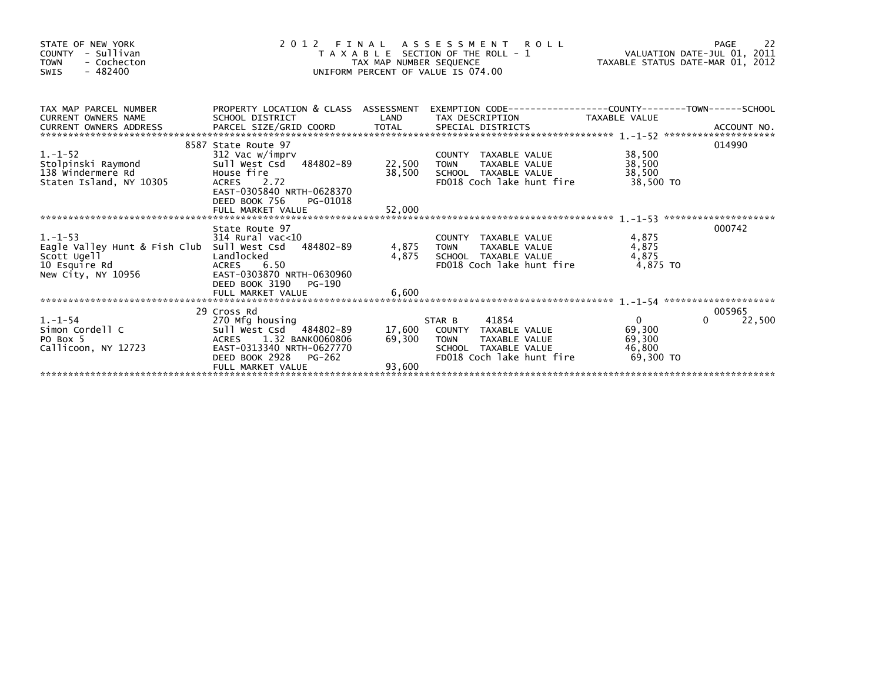| STATE OF NEW YORK<br>- Sullivan<br><b>COUNTY</b><br>- Cochecton<br><b>TOWN</b><br>$-482400$<br><b>SWIS</b>                                                                                                                                                                                       | 2 0 1 2<br>T A X A B L E SECTION OF THE ROLL - 1<br>UNIFORM PERCENT OF VALUE IS 074.00                                                                                       | FINAL ASSESSMENT ROLL<br>AXABLE SECTION OF THE ROLL - 1 VALUATION DATE-JUL 01, 2011<br>TAX MAP NUMBER SEQUENCE |                                                                                                                                     |                                                           |                       |
|--------------------------------------------------------------------------------------------------------------------------------------------------------------------------------------------------------------------------------------------------------------------------------------------------|------------------------------------------------------------------------------------------------------------------------------------------------------------------------------|----------------------------------------------------------------------------------------------------------------|-------------------------------------------------------------------------------------------------------------------------------------|-----------------------------------------------------------|-----------------------|
| TAX MAP PARCEL NUMBER FROPERTY LOCATION<br>CURRENT OWNERS NAME SCHOOL DISTRICT<br>CURRENT OWNERS ADDRESS<br>CURRENT OWNERS ADDRESS FORCEL SIZE/GRID COORD TOTAL SPECIAL DISTRICTS (2008) ACCOUNT NO.<br>EURRENT OWNERS ADDRESS PARCEL SIZE/GRID COORD TOTAL SPECIAL DISTRICTS (2008) 2014 - 2014 |                                                                                                                                                                              | LAND                                                                                                           | PROPERTY LOCATION & CLASS ASSESSMENT EXEMPTION CODE---------------COUNTY-------TOWN------SCHOOL<br>TAX DESCRIPTION TAXABLE VALUE    |                                                           |                       |
| $1.-1-52$<br>:;<br>Stolpinski Raymond<br>138 Windermere Rd<br>Staten Island. NY 10305<br>Staten Island, NY 10305                                                                                                                                                                                 | 8587 State Route 97<br>312 Vac w/imprv<br>Sull West Csd 484802-89<br>House fire<br>ACRES 2.72<br>EAST-0305840 NRTH-0628370<br>DEED BOOK 756<br>PG-01018<br>FULL MARKET VALUE | COUNTY<br>-89 22,500 TOWN<br>-22,500 SCHOO<br>38,500<br>52,000                                                 | COUNTY TAXABLE VALUE<br>TAXABLE VALUE<br>SCHOOL TAXABLE VALUE<br>FD018 Coch lake hunt fire                                          | 38,500<br>38,500<br>38,500<br>38.500 TO                   | 014990                |
| $1. - 1 - 53$<br>Eagle Valley Hunt & Fish Club Sull West Csd 484802-89<br>Scott Ugell<br>Scott Ugell<br>10 Esquire Rd<br>New City, NY 10956                                                                                                                                                      | State Route 97<br>$314$ Rural vac<10<br>Landlocked<br><b>ACRES</b><br>6.50<br>EAST-0303870 NRTH-0630960<br>DEED BOOK 3190<br>PG-190<br>FULL MARKET VALUE                     | 4,875<br>6,600                                                                                                 | COUNTY TAXABLE VALUE<br>4,875 TOWN<br>TAXABLE VALUE<br>SCHOOL TAXABLE VALUE<br>FD018 Coch lake hunt fire                            | 4,875<br>4,875<br>4,875<br>4.875 TO                       | 000742                |
| $1. -1 - 54$<br>Simon Cordell C<br>PO Box 5<br>Callicoon, NY 12723                                                                                                                                                                                                                               | 29 Cross Rd<br>270 Mfg housing<br>Sull West Csd 484802-89<br>ACRES 1.32 BANK0060806<br>EAST-0313340 NRTH-0627770<br>DEED BOOK 2928 PG-262<br>FULL MARKET VALUE               | 69,300<br>93,600                                                                                               | 41854<br>STAR B<br>17,600 COUNTY TAXABLE VALUE<br>TAXABLE VALUE<br><b>TOWN</b><br>SCHOOL TAXABLE VALUE<br>FD018 Coch lake hunt fire | $\overline{0}$<br>69,300<br>69,300<br>46,800<br>69.300 TO | 005965<br>22,500<br>0 |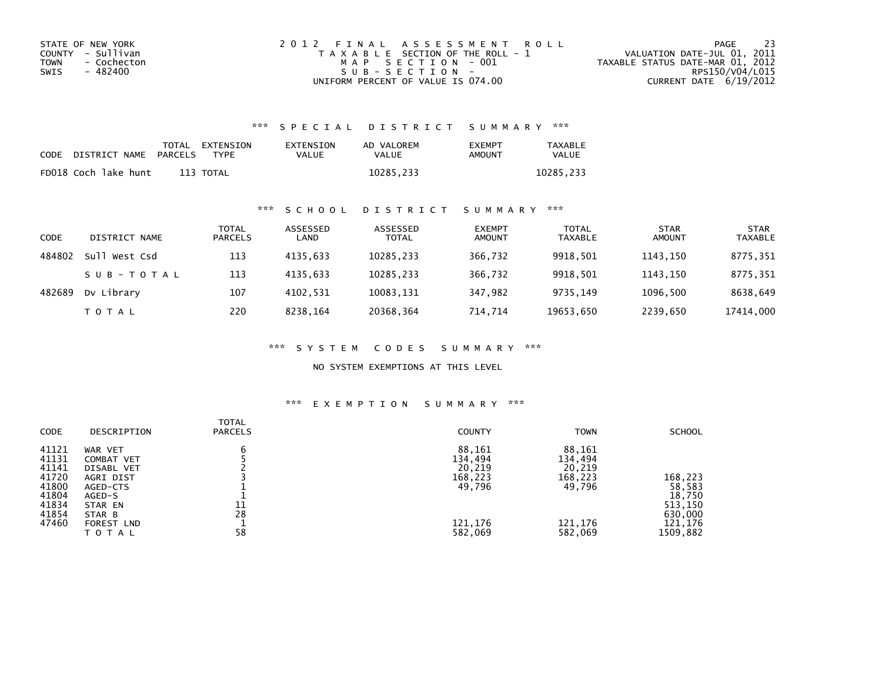| STATE OF NEW YORK   | 2012 FINAL ASSESSMENT ROLL            | -23<br>PAGE                      |
|---------------------|---------------------------------------|----------------------------------|
| COUNTY - Sullivan   | T A X A B L E SECTION OF THE ROLL - 1 | VALUATION DATE-JUL 01, 2011      |
| - Cochecton<br>TOWN | MAP SECTION - 001                     | TAXABLE STATUS DATE-MAR 01, 2012 |
| - 482400<br>SWIS    | SUB-SECTION-                          | RPS150/V04/L015                  |
|                     | UNIFORM PERCENT OF VALUE IS 074.00    | CURRENT DATE 6/19/2012           |

## \*\*\* S P E C I A L D I S T R I C T S U M M A R Y \*\*\*

| CODE | DISTRICT NAME        | PARCELS | TOTAL EXTENSION<br>TYPF | EXTENSION<br><b>VALUE</b> | AD VALOREM<br><b>VALUE</b> | <b>EXEMPT</b><br>AMOUNT | <b>TAXABLE</b><br><b>VALUE</b> |
|------|----------------------|---------|-------------------------|---------------------------|----------------------------|-------------------------|--------------------------------|
|      | FD018 Coch lake hunt |         | 113 TOTAL               |                           | 10285,233                  |                         | 10285.233                      |

## \*\*\* S C H O O L D I S T R I C T S U M M A R Y \*\*\*

| CODE   | DISTRICT NAME    | TOTAL<br><b>PARCELS</b> | ASSESSED<br>LAND | ASSESSED<br><b>TOTAL</b> | <b>EXEMPT</b><br><b>AMOUNT</b> | <b>TOTAL</b><br><b>TAXABLE</b> | <b>STAR</b><br><b>AMOUNT</b> | <b>STAR</b><br><b>TAXABLE</b> |
|--------|------------------|-------------------------|------------------|--------------------------|--------------------------------|--------------------------------|------------------------------|-------------------------------|
| 484802 | sull<br>West Csd | 113                     | 4135.633         | 10285,233                | 366.732                        | 9918,501                       | 1143.150                     | 8775.351                      |
|        | SUB-TOTAL        | 113                     | 4135.633         | 10285,233                | 366,732                        | 9918,501                       | 1143.150                     | 8775,351                      |
| 482689 | Dv Library       | 107                     | 4102.531         | 10083,131                | 347.982                        | 9735.149                       | 1096.500                     | 8638,649                      |
|        | <b>TOTAL</b>     | 220                     | 8238.164         | 20368,364                | 714.714                        | 19653,650                      | 2239,650                     | 17414,000                     |

\*\*\* S Y S T E M C O D E S S U M M A R Y \*\*\*

NO SYSTEM EXEMPTIONS AT THIS LEVEL

## \*\*\* E X E M P T I O N S U M M A R Y \*\*\*

| CODE                                                                          | DESCRIPTION                                                                                                               | <b>TOTAL</b><br><b>PARCELS</b> | <b>COUNTY</b>                                                          | <b>TOWN</b>                                                            | <b>SCHOOL</b>                                                            |
|-------------------------------------------------------------------------------|---------------------------------------------------------------------------------------------------------------------------|--------------------------------|------------------------------------------------------------------------|------------------------------------------------------------------------|--------------------------------------------------------------------------|
| 41121<br>41131<br>41141<br>41720<br>41800<br>41804<br>41834<br>41854<br>47460 | WAR VET<br>COMBAT VET<br>DISABL VET<br>AGRI DIST<br>AGED-CTS<br>AGED-S<br>STAR EN<br>STAR B<br><b>FOREST LND</b><br>TOTAL | b<br>11<br>28<br>58            | 88,161<br>134,494<br>20,219<br>168,223<br>49,796<br>121,176<br>582,069 | 88,161<br>134,494<br>20,219<br>168,223<br>49,796<br>121,176<br>582,069 | 168,223<br>58,583<br>18,750<br>513,150<br>630,000<br>121,176<br>1509,882 |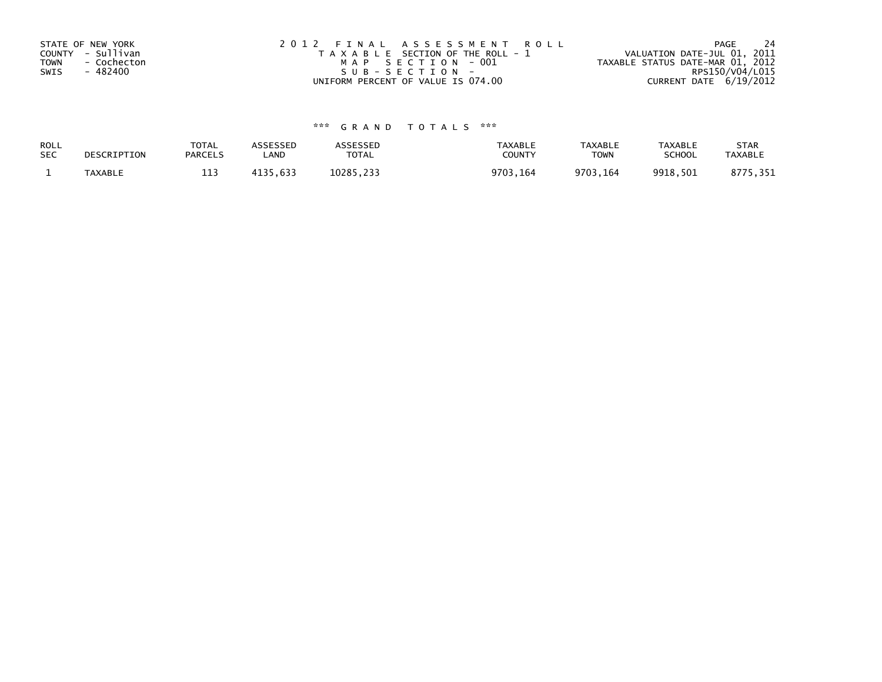| STATE OF NEW YORK          | 2012 FINAL ASSESSMENT ROLL            | 24<br>PAGE                       |
|----------------------------|---------------------------------------|----------------------------------|
| COUNTY - Sullivan          | T A X A B L E SECTION OF THE ROLL - 1 | VALUATION DATE-JUL 01, 2011      |
| <b>TOWN</b><br>- Cochecton | MAP SECTION - 001                     | TAXABLE STATUS DATE-MAR 01, 2012 |
| - 482400<br>SWIS           | SUB-SECTION-                          | RPS150/V04/L015                  |
|                            | UNIFORM PERCENT OF VALUE IS 074.00    | CURRENT DATE 6/19/2012           |

## \*\*\* G R A N D T O T A L S \*\*\*

| ROLL<br><b>SEC</b> | DESCRIPTION | <b>TOTAL</b><br><b>PARCELS</b> | ASSESSEP<br>LAND | <b>SSESSED</b><br>TOTAL | TAXABLE<br>COUNTY | <b>TAXABLE</b><br><b>TOWN</b> | <b>TAXABLE</b><br>SCHOOL | <b>STAR</b><br><b>TAXABLI</b> |
|--------------------|-------------|--------------------------------|------------------|-------------------------|-------------------|-------------------------------|--------------------------|-------------------------------|
|                    | TAYARI F    | ---                            | 633              | 10285                   | ว703<br>. 164     | 9703.164                      | 9918.501                 |                               |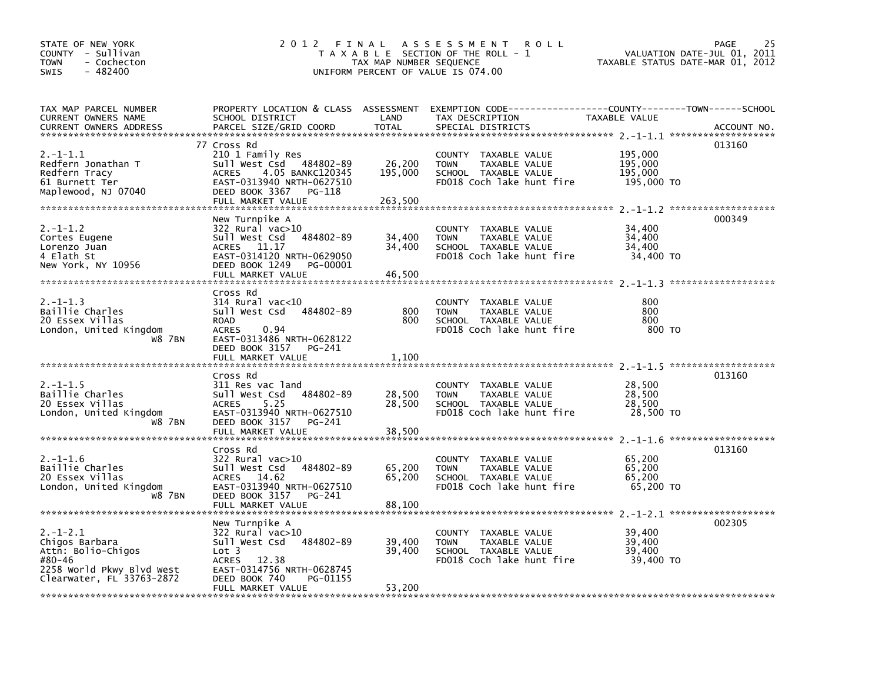| STATE OF NEW YORK<br>COUNTY - Sullivan<br>- Cochecton<br><b>TOWN</b><br>$-482400$<br><b>SWIS</b>                     | 2012 FINAL                                                                                                                                                                        | TAX MAP NUMBER SEQUENCE    | A S S E S S M E N T<br><b>ROLL</b><br>T A X A B L E SECTION OF THE ROLL - 1<br>UNIFORM PERCENT OF VALUE IS 074.00   |                                             | 25<br><b>PAGE</b><br>VALUATION DATE-JUL 01,<br>2011<br>TAXABLE STATUS DATE-MAR 01, 2012 |
|----------------------------------------------------------------------------------------------------------------------|-----------------------------------------------------------------------------------------------------------------------------------------------------------------------------------|----------------------------|---------------------------------------------------------------------------------------------------------------------|---------------------------------------------|-----------------------------------------------------------------------------------------|
| TAX MAP PARCEL NUMBER<br>CURRENT OWNERS NAME                                                                         | SCHOOL DISTRICT                                                                                                                                                                   | LAND<br><b>TOTAL</b>       | PROPERTY LOCATION & CLASS ASSESSMENT EXEMPTION CODE---------------COUNTY-------TOWN-----SCHOOL<br>TAX DESCRIPTION   | TAXABLE VALUE                               |                                                                                         |
| <b>CURRENT OWNERS ADDRESS</b>                                                                                        | PARCEL SIZE/GRID COORD                                                                                                                                                            |                            | SPECIAL DISTRICTS                                                                                                   |                                             | ACCOUNT NO.                                                                             |
| $2. -1 - 1.1$<br>Redfern Jonathan T<br>Redfern Tracy<br>61 Burnett Ter<br>Maplewood, NJ 07040                        | 77 Cross Rd<br>210 1 Family Res<br>Sull West Csd 484802-89<br>4.05 BANKC120345<br>ACRES<br>EAST-0313940 NRTH-0627510<br>DEED BOOK 3367<br>PG-118<br>FULL MARKET VALUE             | 26,200<br>195,000          | COUNTY TAXABLE VALUE<br>TAXABLE VALUE<br><b>TOWN</b><br>SCHOOL TAXABLE VALUE<br>FD018 Coch lake hunt fire           | 195,000<br>195,000<br>195,000<br>195,000 TO | 013160                                                                                  |
|                                                                                                                      |                                                                                                                                                                                   | 263,500                    |                                                                                                                     |                                             |                                                                                         |
| $2. -1 - 1.2$<br>Cortes Eugene<br>Lorenzo Juan<br>4 Elath St<br>New York, NY 10956                                   | New Turnpike A<br>322 Rural vac>10<br>484802-89<br>Sull West Csd<br>ACRES 11.17<br>EAST-0314120 NRTH-0629050<br>DEED BOOK 1249<br>PG-00001<br>FULL MARKET VALUE                   | 34,400<br>34,400<br>46,500 | <b>COUNTY</b><br>TAXABLE VALUE<br>TAXABLE VALUE<br><b>TOWN</b><br>SCHOOL TAXABLE VALUE<br>FD018 Coch lake hunt fire | 34,400<br>34,400<br>34,400<br>34,400 TO     | 000349                                                                                  |
|                                                                                                                      | Cross Rd                                                                                                                                                                          |                            |                                                                                                                     |                                             |                                                                                         |
| $2. -1 - 1.3$<br>Baillie Charles<br>20 Essex Villas<br>London, United Kingdom<br>W8 7BN                              | 314 Rural vac<10<br>Sull West Csd<br>484802-89<br><b>ROAD</b><br><b>ACRES</b><br>0.94<br>EAST-0313486 NRTH-0628122<br>DEED BOOK 3157<br>PG-241<br>FULL MARKET VALUE               | 800<br>800<br>1,100        | <b>COUNTY</b><br>TAXABLE VALUE<br>TAXABLE VALUE<br><b>TOWN</b><br>SCHOOL TAXABLE VALUE<br>FD018 Coch lake hunt fire | 800<br>800<br>800<br>800 TO                 |                                                                                         |
|                                                                                                                      |                                                                                                                                                                                   |                            |                                                                                                                     |                                             |                                                                                         |
| $2. -1 - 1.5$<br>Baillie Charles<br>20 Essex Villas<br>London, United Kingdom<br>W8 7BN                              | Cross Rd<br>311 Res vac land<br>Sull West Csd<br>484802-89<br><b>ACRES</b><br>5.25<br>EAST-0313940 NRTH-0627510<br>DEED BOOK 3157<br>PG-241<br>FULL MARKET VALUE                  | 28,500<br>28,500<br>38,500 | <b>COUNTY</b><br>TAXABLE VALUE<br>TAXABLE VALUE<br><b>TOWN</b><br>SCHOOL TAXABLE VALUE<br>FD018 Coch lake hunt fire | 28,500<br>28,500<br>28,500<br>28,500 TO     | 013160                                                                                  |
|                                                                                                                      |                                                                                                                                                                                   |                            |                                                                                                                     |                                             |                                                                                         |
| 2.-1-1.6<br>Baillie Charles<br>20 Essex Villas<br>London, United Kingdom<br>W8 7BN                                   | Cross Rd<br>322 Rural vac>10<br>484802-89<br>Sull West Csd<br><b>ACRES</b><br>14.62<br>EAST-0313940 NRTH-0627510<br>DEED BOOK 3157<br>PG-241                                      | 65,200<br>65,200           | COUNTY TAXABLE VALUE<br><b>TOWN</b><br>TAXABLE VALUE<br>SCHOOL TAXABLE VALUE<br>FD018 Coch lake hunt fire           | 65,200<br>65,200<br>65,200<br>65,200 TO     | 013160                                                                                  |
|                                                                                                                      | FULL MARKET VALUE                                                                                                                                                                 | 88,100                     |                                                                                                                     |                                             |                                                                                         |
| 2.-1-2.1<br>Chigos Barbara<br>Attn: Bolio-Chigos<br>#80-46<br>2258 World Pkwy Blvd West<br>Clearwater, FL 33763-2872 | New Turnpike A<br>322 Rural vac>10<br>Sull West Csd<br>484802-89<br>Lot 3<br><b>ACRES</b><br>12.38<br>EAST-0314756 NRTH-0628745<br>DEED BOOK 740<br>PG-01155<br>FULL MARKET VALUE | 39,400<br>39,400<br>53,200 | COUNTY<br>TAXABLE VALUE<br><b>TOWN</b><br>TAXABLE VALUE<br>SCHOOL TAXABLE VALUE<br>FD018 Coch lake hunt fire        | 39,400<br>39,400<br>39.400<br>39,400 TO     | 002305                                                                                  |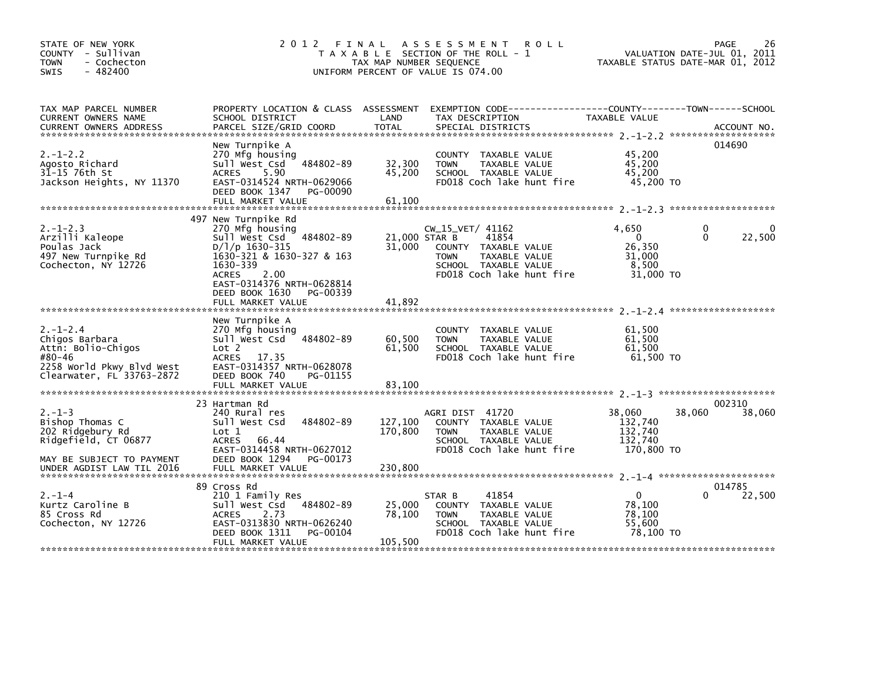| STATE OF NEW YORK<br>COUNTY - Sullivan<br>- Cochecton<br><b>TOWN</b><br>- 482400<br><b>SWIS</b>                                       | 2012 FINAL                                                                                                                                                                                                                             | TAX MAP NUMBER SEQUENCE           | ASSESSMENT ROLL<br>T A X A B L E SECTION OF THE ROLL - 1<br>UNIFORM PERCENT OF VALUE IS 074.00                                           | TAXABLE STATUS DATE-MAR 01, 2012                                  | 26<br><b>PAGE</b><br>VALUATION DATE-JUL 01, 2011 |
|---------------------------------------------------------------------------------------------------------------------------------------|----------------------------------------------------------------------------------------------------------------------------------------------------------------------------------------------------------------------------------------|-----------------------------------|------------------------------------------------------------------------------------------------------------------------------------------|-------------------------------------------------------------------|--------------------------------------------------|
| TAX MAP PARCEL NUMBER<br>CURRENT OWNERS NAME<br><b>CURRENT OWNERS ADDRESS</b>                                                         | SCHOOL DISTRICT<br>PARCEL SIZE/GRID COORD                                                                                                                                                                                              | LAND<br><b>TOTAL</b>              | PROPERTY LOCATION & CLASS ASSESSMENT EXEMPTION CODE-----------------COUNTY-------TOWN-----SCHOOL<br>TAX DESCRIPTION<br>SPECIAL DISTRICTS | TAXABLE VALUE                                                     | ACCOUNT NO.                                      |
| $2. - 1 - 2.2$<br>Agosto Richard<br>31-15 76th St<br>Jackson Heights, NY 11370                                                        | New Turnpike A<br>270 Mfg housing<br>484802-89<br>sull west Csd<br>5.90<br><b>ACRES</b><br>EAST-0314524 NRTH-0629066<br>DEED BOOK 1347<br>PG-00090<br>FULL MARKET VALUE                                                                | 32,300<br>45,200<br>61,100        | COUNTY TAXABLE VALUE<br>TAXABLE VALUE<br><b>TOWN</b><br>SCHOOL TAXABLE VALUE<br>FD018 Coch lake hunt fire                                | 45,200<br>45,200<br>45,200<br>45,200 TO                           | 014690                                           |
| $2. -1 - 2.3$<br>Arzilli Kaleope<br>Poulas Jack<br>497 New Turnpike Rd<br>Cochecton, NY 12726                                         | 497 New Turnpike Rd<br>270 Mfg housing<br>Sull West Csd 484802-89<br>$D/1/p$ 1630-315<br>1630-321 & 1630-327 & 163<br>1630-339<br>2.00<br><b>ACRES</b><br>EAST-0314376 NRTH-0628814<br>DEED BOOK 1630<br>PG-00339<br>FULL MARKET VALUE | 21,000 STAR B<br>31.000<br>41.892 | CW_15_VET/ 41162<br>41854<br>COUNTY TAXABLE VALUE<br><b>TOWN</b><br>TAXABLE VALUE<br>SCHOOL TAXABLE VALUE<br>FD018 Coch lake hunt fire   | 4,650<br>$\overline{0}$<br>26.350<br>31,000<br>8,500<br>31,000 TO | 0<br>0<br>22,500<br>0                            |
| $2. -1 - 2.4$<br>Chigos Barbara<br>Attn: Bolio-Chigos<br>#80-46<br>2258 World Pkwy Blvd West<br>Clearwater, FL 33763-2872             | New Turnpike A<br>270 Mfg housing<br>Sull West Csd<br>484802-89<br>Lot 2<br>ACRES 17.35<br>EAST-0314357 NRTH-0628078<br>DEED BOOK 740<br>PG-01155<br>FULL MARKET VALUE                                                                 | 60,500<br>61,500<br>83,100        | COUNTY TAXABLE VALUE<br>TAXABLE VALUE<br><b>TOWN</b><br>SCHOOL TAXABLE VALUE<br>FD018 Coch lake hunt fire                                | 61,500<br>61,500<br>61,500<br>61,500 TO                           |                                                  |
| $2. - 1 - 3$<br>Bishop Thomas C<br>202 Ridgebury Rd<br>Ridgefield, CT 06877<br>MAY BE SUBJECT TO PAYMENT<br>UNDER AGDIST LAW TIL 2016 | 23 Hartman Rd<br>240 Rural res<br>484802-89<br>sull west Csd<br>Lot 1<br><b>ACRES</b><br>66.44<br>EAST-0314458 NRTH-0627012<br>DEED BOOK 1294<br>PG-00173<br>FULL MARKET VALUE                                                         | 127,100<br>170,800<br>230,800     | AGRI DIST 41720<br>COUNTY TAXABLE VALUE<br><b>TOWN</b><br>TAXABLE VALUE<br>SCHOOL TAXABLE VALUE<br>FD018 Coch lake hunt fire             | 38,060<br>38,060<br>132,740<br>132,740<br>132,740<br>170,800 TO   | 002310<br>38,060                                 |
| $2. - 1 - 4$<br>Kurtz Caroline B<br>85 Cross Rd<br>Cochecton, NY 12726                                                                | 89 Cross Rd<br>210 1 Family Res<br>484802-89<br>Sull West Csd<br><b>ACRES</b><br>2.73<br>EAST-0313830 NRTH-0626240<br>DEED BOOK 1311<br>PG-00104<br>FULL MARKET VALUE                                                                  | 25,000<br>78,100<br>105,500       | 41854<br>STAR B<br>COUNTY TAXABLE VALUE<br>TAXABLE VALUE<br>TOWN<br>SCHOOL TAXABLE VALUE<br>FD018 Coch lake hunt fire                    | $\Omega$<br>78.100<br>78.100<br>55,600<br>78.100 TO               | 014785<br>22,500<br>0                            |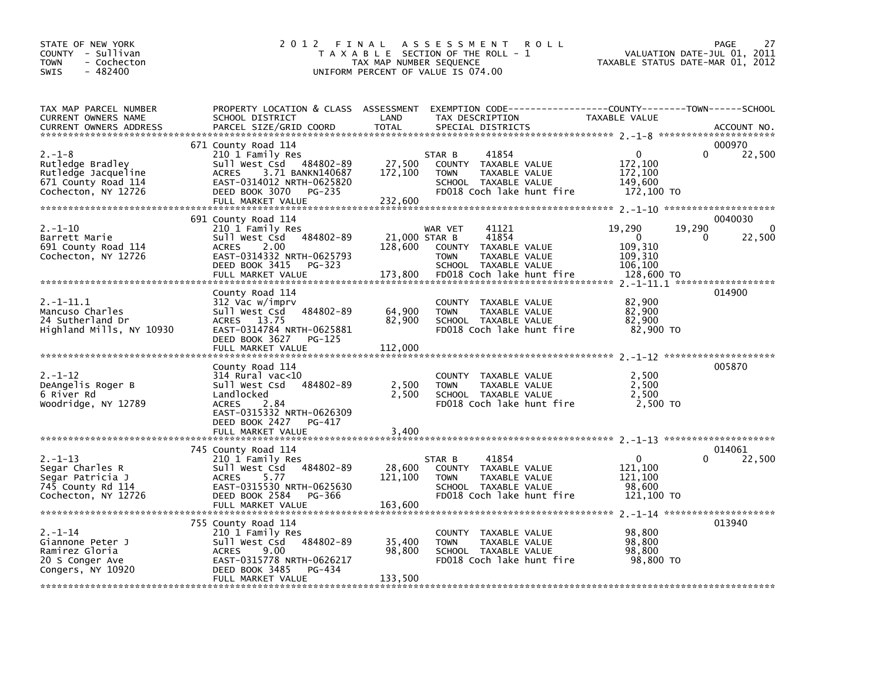| STATE OF NEW YORK<br>COUNTY - Sullivan<br><b>TOWN</b><br>- Cochecton<br>SWIS<br>$-482400$             | 2012 FINAL                                                                                                                                                                           | TAX MAP NUMBER SEQUENCE             | A S S E S S M E N T<br><b>ROLL</b><br>T A X A B L E SECTION OF THE ROLL - 1<br>UNIFORM PERCENT OF VALUE IS 074.00                         | TAXABLE STATUS DATE-MAR 01, 2012                                  | PAGE<br>27<br>VALUATION DATE-JUL 01, 2011    |
|-------------------------------------------------------------------------------------------------------|--------------------------------------------------------------------------------------------------------------------------------------------------------------------------------------|-------------------------------------|-------------------------------------------------------------------------------------------------------------------------------------------|-------------------------------------------------------------------|----------------------------------------------|
| TAX MAP PARCEL NUMBER<br>CURRENT OWNERS NAME<br><b>CURRENT OWNERS ADDRESS</b>                         | SCHOOL DISTRICT<br>PARCEL SIZE/GRID COORD                                                                                                                                            | LAND<br><b>TOTAL</b>                | PROPERTY LOCATION & CLASS ASSESSMENT EXEMPTION CODE----------------COUNTY-------TOWN------SCHOOL<br>TAX DESCRIPTION<br>SPECIAL DISTRICTS  | TAXABLE VALUE                                                     | ACCOUNT NO.                                  |
| $2. - 1 - 8$<br>Rutledge Bradley<br>Rutledge Jacqueline<br>671 County Road 114<br>Cochecton, NY 12726 | 671 County Road 114<br>210 1 Family Res<br>Sull West Csd 484802-89<br>3.71 BANKN140687<br><b>ACRES</b><br>EAST-0314012 NRTH-0625820<br>DEED BOOK 3070<br>PG-235<br>FULL MARKET VALUE | 27,500<br>172,100<br>232,600        | STAR B<br>41854<br>COUNTY TAXABLE VALUE<br><b>TOWN</b><br>TAXABLE VALUE<br>SCHOOL TAXABLE VALUE<br>FD018 Coch lake hunt fire              | 0<br>172,100<br>172,100<br>149,600<br>172,100 TO                  | 000970<br>22,500<br>0                        |
| $2. -1 - 10$<br>Barrett Marie<br>691 County Road 114<br>Cochecton, NY 12726                           | 691 County Road 114<br>210 1 Family Res<br>Sull West Csd 484802-89<br><b>ACRES</b><br>2.00<br>EAST-0314332 NRTH-0625793<br>DEED BOOK 3415<br>PG-323<br>FULL MARKET VALUE             | 21,000 STAR B<br>128,600<br>173,800 | 41121<br>WAR VET<br>41854<br>COUNTY<br>TAXABLE VALUE<br><b>TOWN</b><br>TAXABLE VALUE<br>SCHOOL TAXABLE VALUE<br>FD018 Coch lake hunt fire | 19,290<br>$\Omega$<br>109,310<br>109,310<br>106,100<br>128,600 TO | 0040030<br>19,290<br>$\Omega$<br>22,500<br>∩ |
| 2. -1-11.1<br>Mancuso Charles<br>24 Sutherland Dr<br>Highland Mills, NY 10930                         | County Road 114<br>312 Vac w/imprv<br>Sull West Csd 484802-89<br>ACRES 13.75<br>EAST-0314784 NRTH-0625881<br>DEED BOOK 3627<br>PG-125<br>FULL MARKET VALUE                           | 64,900<br>82,900<br>112,000         | COUNTY TAXABLE VALUE<br><b>TOWN</b><br>TAXABLE VALUE<br>SCHOOL TAXABLE VALUE<br>FD018 Coch lake hunt fire                                 | 82,900<br>82,900<br>82,900<br>82,900 TO                           | 014900                                       |
| $2. - 1 - 12$<br>DeAngelis Roger B<br>6 River Rd<br>Woodridge, NY 12789                               | County Road 114<br>314 Rural vac<10<br>Sull West Csd 484802-89<br>Landlocked<br><b>ACRES</b><br>2.84<br>EAST-0315332 NRTH-0626309<br>DEED BOOK 2427<br>PG-417<br>FULL MARKET VALUE   | 2,500<br>2,500<br>3,400             | COUNTY TAXABLE VALUE<br>TAXABLE VALUE<br><b>TOWN</b><br>SCHOOL TAXABLE VALUE<br>FD018 Coch lake hunt fire                                 | 2,500<br>2,500<br>2,500<br>2.500 TO                               | 005870                                       |
| $2. -1 - 13$<br>Segar Charles R<br>Segar Patricia J<br>745 County Rd 114<br>Cochecton, NY 12726       | 745 County Road 114<br>210 1 Family Res<br>Sull West Csd 484802-89<br>5.77<br><b>ACRES</b><br>EAST-0315530 NRTH-0625630<br>DEED BOOK 2584<br>PG-366<br>FULL MARKET VALUE             | 28,600<br>121,100<br>163,600        | 41854<br>STAR B<br>COUNTY<br>TAXABLE VALUE<br>TAXABLE VALUE<br><b>TOWN</b><br>SCHOOL TAXABLE VALUE<br>FD018 Coch lake hunt fire           | $\Omega$<br>121.100<br>121,100<br>98,600<br>121,100 TO            | 014061<br>22,500                             |
| $2. - 1 - 14$<br>Giannone Peter J<br>Ramirez Gloria<br>20 S Conger Ave<br>Congers, NY 10920           | 755 County Road 114<br>210 1 Family Res<br>Sull West Csd 484802-89<br>9.00<br><b>ACRES</b><br>EAST-0315778 NRTH-0626217<br>DEED BOOK 3485<br>PG-434<br>FULL MARKET VALUE             | 35,400<br>98,800<br>133,500         | COUNTY TAXABLE VALUE<br><b>TOWN</b><br>TAXABLE VALUE<br>SCHOOL TAXABLE VALUE<br>FD018 Coch lake hunt fire                                 | 98,800<br>98,800<br>98,800<br>98,800 TO                           | 013940                                       |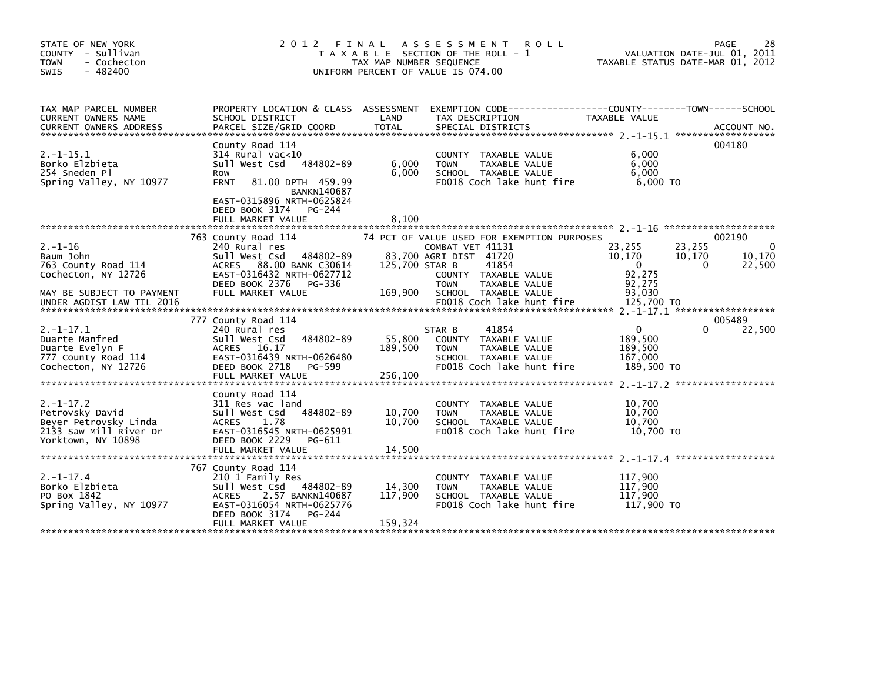| STATE OF NEW YORK<br>COUNTY - Sullivan<br><b>TOWN</b><br>- Cochecton<br>$-482400$<br><b>SWIS</b>           | 2012 FINAL                                                                                                                                                                                                    | TAX MAP NUMBER SEQUENCE      | A S S E S S M E N T<br><b>ROLL</b><br>T A X A B L E SECTION OF THE ROLL - 1<br>UNIFORM PERCENT OF VALUE IS 074.00            |                                                                                       | 28<br>PAGE<br>VALUATION DATE-JUL 01, 2011<br>TAXABLE STATUS DATE-MAR 01, 2012 |
|------------------------------------------------------------------------------------------------------------|---------------------------------------------------------------------------------------------------------------------------------------------------------------------------------------------------------------|------------------------------|------------------------------------------------------------------------------------------------------------------------------|---------------------------------------------------------------------------------------|-------------------------------------------------------------------------------|
| TAX MAP PARCEL NUMBER<br>CURRENT OWNERS NAME<br><b>CURRENT OWNERS ADDRESS</b>                              | PROPERTY LOCATION & CLASS ASSESSMENT<br>SCHOOL DISTRICT<br>PARCEL SIZE/GRID COORD                                                                                                                             | LAND<br><b>TOTAL</b>         | TAX DESCRIPTION<br>SPECIAL DISTRICTS                                                                                         | EXEMPTION        CODE-----------------COUNTY--------TOWN------SCHOOL<br>TAXABLE VALUE | ACCOUNT NO.                                                                   |
| $2. -1 - 15.1$<br>Borko Elzbieta<br>254 Sneden Pl<br>Spring Valley, NY 10977                               | County Road 114<br>314 Rural vac<10<br>Sull West Csd 484802-89<br>Row<br>81.00 DPTH 459.99<br><b>FRNT</b><br><b>BANKN140687</b><br>EAST-0315896 NRTH-0625824<br>DEED BOOK 3174<br>PG-244<br>FULL MARKET VALUE | 6,000<br>6,000<br>8,100      | COUNTY TAXABLE VALUE<br><b>TOWN</b><br>TAXABLE VALUE<br>SCHOOL TAXABLE VALUE<br>FD018 Coch lake hunt fire                    | 6,000<br>6,000<br>6.000<br>$6.000$ TO                                                 | 004180                                                                        |
| $2. - 1 - 16$<br>Baum John<br>763 County Road 114<br>Cochecton, NY 12726                                   | 763 County Road 114<br>240 Rural res<br>Sull West Csd<br>484802-89<br>ACRES 88.00 BANK C30614<br>EAST-0316432 NRTH-0627712                                                                                    | 125,700 STAR B               | 74 PCT OF VALUE USED FOR EXEMPTION PURPOSES<br>COMBAT VET 41131<br>83,700 AGRI DIST 41720<br>41854<br>COUNTY TAXABLE VALUE   | 23,255<br>10,170<br>$\mathbf{0}$<br>92,275                                            | 002190<br>23,255<br>0<br>10,170<br>10,170<br>$\Omega$<br>22,500               |
| MAY BE SUBJECT TO PAYMENT<br>UNDER AGDIST LAW TIL 2016                                                     | DEED BOOK 2376<br>PG-336<br>FULL MARKET VALUE                                                                                                                                                                 | 169,900                      | <b>TOWN</b><br>TAXABLE VALUE<br>SCHOOL TAXABLE VALUE<br>FD018 Coch lake hunt fire                                            | 92,275<br>93,030<br>125,700 TO                                                        |                                                                               |
| $2. -1 - 17.1$<br>Duarte Manfred<br>Duarte Evelyn F<br>777 County Road 114<br>Cochecton, NY 12726          | 777 County Road 114<br>240 Rural res<br>484802-89<br>Sull West Csd<br>ACRES 16.17<br>EAST-0316439 NRTH-0626480<br>DEED BOOK 2718<br>PG-599<br>FULL MARKET VALUE                                               | 55,800<br>189,500<br>256,100 | 41854<br>STAR B<br>COUNTY TAXABLE VALUE<br><b>TOWN</b><br>TAXABLE VALUE<br>SCHOOL TAXABLE VALUE<br>FD018 Coch lake hunt fire | $\mathbf{0}$<br>189,500<br>189,500<br>167,000<br>189,500 TO                           | 005489<br>22,500                                                              |
| $2. -1 - 17.2$<br>Petrovsky David<br>Beyer Petrovsky Linda<br>2133 Saw Mill River Dr<br>Yorktown, NY 10898 | County Road 114<br>311 Res vac land<br>484802-89<br>Sull West Csd<br><b>ACRES</b><br>1.78<br>EAST-0316545 NRTH-0625991<br>DEED BOOK 2229<br>PG-611<br>FULL MARKET VALUE                                       | 10,700<br>10,700<br>14,500   | COUNTY TAXABLE VALUE<br><b>TOWN</b><br>TAXABLE VALUE<br>SCHOOL TAXABLE VALUE<br>FD018 Coch lake hunt fire                    | 10.700<br>10,700<br>10,700<br>10.700 TO                                               |                                                                               |
| $2. -1 - 17.4$<br>Borko Elzbieta<br>PO Box 1842<br>Spring Valley, NY 10977                                 | 767 County Road 114<br>210 1 Family Res<br>sull west Csd<br>484802-89<br>2.57 BANKN140687<br><b>ACRES</b><br>EAST-0316054 NRTH-0625776<br>DEED BOOK 3174<br>PG-244<br>FULL MARKET VALUE                       | 14,300<br>117,900<br>159,324 | TAXABLE VALUE<br><b>COUNTY</b><br><b>TOWN</b><br>TAXABLE VALUE<br>SCHOOL TAXABLE VALUE<br>FD018 Coch lake hunt fire          | 117,900<br>117,900<br>117,900<br>117,900 TO                                           |                                                                               |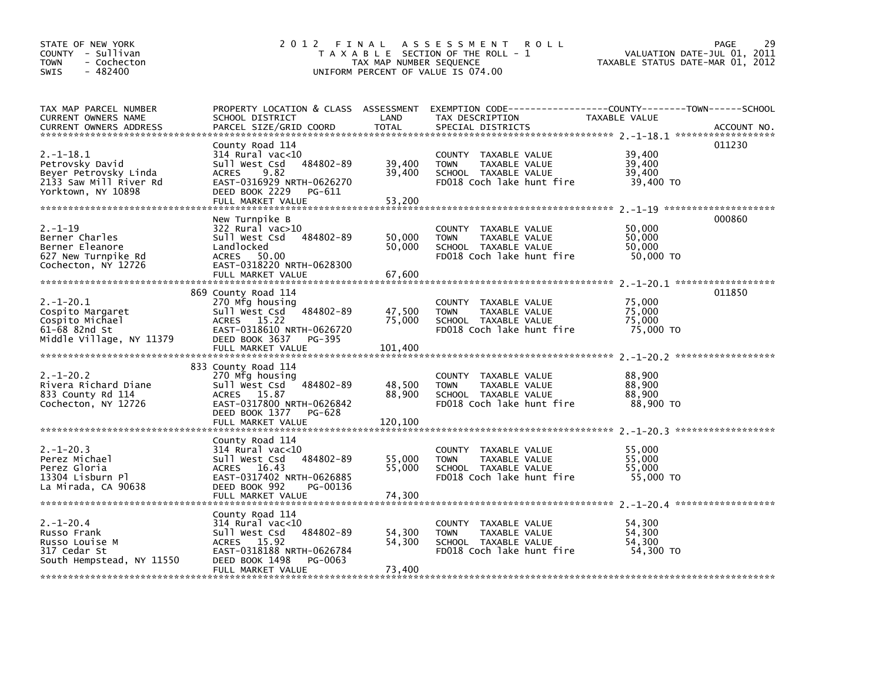| STATE OF NEW YORK<br>COUNTY - Sullivan<br><b>TOWN</b><br>- Cochecton<br>$-482400$<br><b>SWIS</b>           | 2 0 1 2                                                                                                                                                                   | TAX MAP NUMBER SEQUENCE     | FINAL ASSESSMENT<br><b>ROLL</b><br>T A X A B L E SECTION OF THE ROLL - 1<br>UNIFORM PERCENT OF VALUE IS 074.00                           | VALUATION DATE-JUL 01, 2011<br>TAXABLE STATUS DATE-MAR 01, 2012 | 29<br>PAGE  |
|------------------------------------------------------------------------------------------------------------|---------------------------------------------------------------------------------------------------------------------------------------------------------------------------|-----------------------------|------------------------------------------------------------------------------------------------------------------------------------------|-----------------------------------------------------------------|-------------|
| TAX MAP PARCEL NUMBER<br>CURRENT OWNERS NAME<br><b>CURRENT OWNERS ADDRESS</b>                              | SCHOOL DISTRICT<br>PARCEL SIZE/GRID COORD                                                                                                                                 | LAND<br><b>TOTAL</b>        | PROPERTY LOCATION & CLASS ASSESSMENT EXEMPTION CODE----------------COUNTY-------TOWN------SCHOOL<br>TAX DESCRIPTION<br>SPECIAL DISTRICTS | TAXABLE VALUE                                                   | ACCOUNT NO. |
| $2. -1 - 18.1$<br>Petrovsky David<br>Beyer Petrovsky Linda<br>2133 Saw Mill River Rd<br>Yorktown, NY 10898 | County Road 114<br>$314$ Rural vac<10<br>484802-89<br>Sull West Csd<br>9.82<br><b>ACRES</b><br>EAST-0316929 NRTH-0626270<br>DEED BOOK 2229<br>PG-611<br>FULL MARKET VALUE | 39,400<br>39,400<br>53,200  | COUNTY TAXABLE VALUE<br><b>TOWN</b><br>TAXABLE VALUE<br>SCHOOL TAXABLE VALUE<br>FD018 Coch lake hunt fire                                | 39,400<br>39,400<br>39,400<br>39,400 TO                         | 011230      |
| $2. - 1 - 19$<br>Berner Charles<br>Berner Eleanore<br>627 New Turnpike Rd<br>Cochecton, NY 12726           | New Turnpike B<br>$322$ Rural vac $>10$<br>Sull West Csd<br>484802-89<br>Landlocked<br>ACRES 50.00<br>EAST-0318220 NRTH-0628300<br>FULL MARKET VALUE                      | 50,000<br>50,000<br>67,600  | COUNTY TAXABLE VALUE<br><b>TOWN</b><br>TAXABLE VALUE<br>SCHOOL TAXABLE VALUE<br>FD018 Coch lake hunt fire                                | 50,000<br>50,000<br>50,000<br>50,000 TO                         | 000860      |
| $2. -1 - 20.1$<br>Cospito Margaret<br>Cospito Michael<br>61-68 82nd St<br>Middle Village, NY 11379         | 869 County Road 114<br>270 Mfg housing<br>Sull West Csd<br>484802-89<br>ACRES 15.22<br>EAST-0318610 NRTH-0626720<br>DEED BOOK 3637<br>PG-395<br>FULL MARKET VALUE         | 47,500<br>75,000<br>101,400 | COUNTY TAXABLE VALUE<br>TAXABLE VALUE<br><b>TOWN</b><br>SCHOOL TAXABLE VALUE<br>FD018 Coch lake hunt fire                                | 75,000<br>75,000<br>75.000<br>75,000 TO                         | 011850      |
| $2. -1 - 20.2$<br>Rivera Richard Diane<br>833 County Rd 114<br>Cochecton, NY 12726                         | 833 County Road 114<br>270 Mfg housing<br>Sull West Csd<br>484802-89<br>ACRES 15.87<br>EAST-0317800 NRTH-0626842<br>DEED BOOK 1377<br>PG-628<br>FULL MARKET VALUE         | 48,500<br>88,900<br>120,100 | COUNTY TAXABLE VALUE<br>TAXABLE VALUE<br><b>TOWN</b><br>SCHOOL TAXABLE VALUE<br>FD018 Coch lake hunt fire                                | 88,900<br>88,900<br>88,900<br>88,900 TO                         |             |
| $2. -1 - 20.3$<br>Perez Michael<br>Perez Gloria<br>13304 Lisburn Pl<br>La Mirada, CA 90638                 | County Road 114<br>$314$ Rural vac<10<br>Sull West Csd<br>484802-89<br>ACRES 16.43<br>EAST-0317402 NRTH-0626885<br>DEED BOOK 992<br>PG-00136<br>FULL MARKET VALUE         | 55,000<br>55,000<br>74,300  | COUNTY TAXABLE VALUE<br><b>TOWN</b><br>TAXABLE VALUE<br>SCHOOL TAXABLE VALUE<br>FD018 Coch lake hunt fire                                | 55,000<br>55,000<br>55,000<br>55,000 TO                         |             |
| $2. - 1 - 20.4$<br>Russo Frank<br>Russo Louise M<br>317 Cedar St<br>South Hempstead, NY 11550              | County Road 114<br>314 Rural vac<10<br>Sull West Csd<br>484802-89<br>ACRES 15.92<br>EAST-0318188 NRTH-0626784<br>DEED BOOK 1498<br>PG-0063<br>FULL MARKET VALUE           | 54,300<br>54,300<br>73.400  | COUNTY TAXABLE VALUE<br>TAXABLE VALUE<br><b>TOWN</b><br>SCHOOL TAXABLE VALUE<br>FD018 Coch lake hunt fire                                | 54.300<br>54,300<br>54,300<br>54,300 TO                         |             |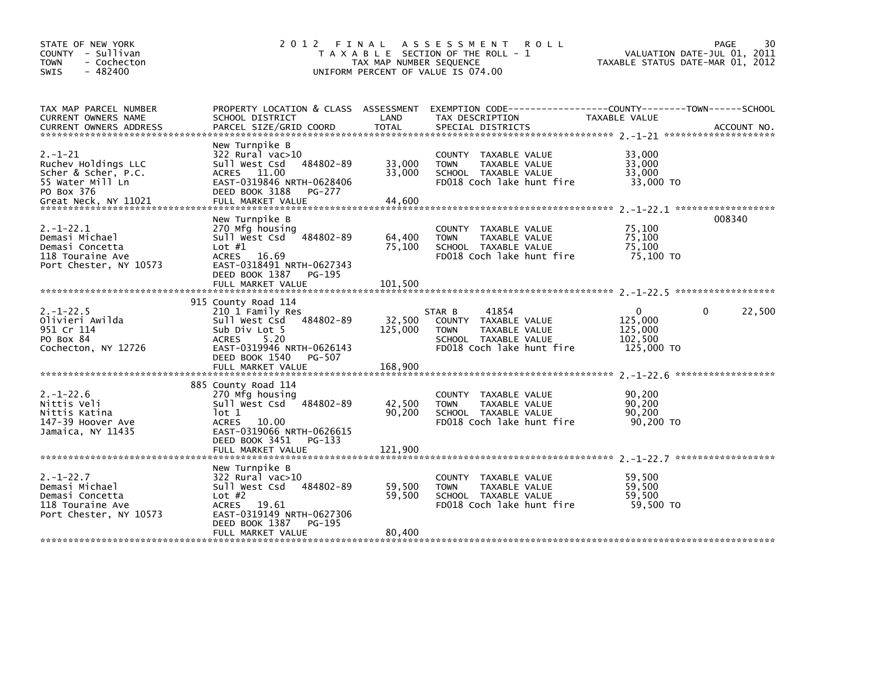| STATE OF NEW YORK<br>COUNTY - Sullivan<br><b>TOWN</b><br>- Cochecton<br>$-482400$<br><b>SWIS</b>   | 2 0 1 2                                                                                                                                                                                   | FINAL<br>TAX MAP NUMBER SEQUENCE | A S S E S S M E N T<br>R O L L<br>T A X A B L E SECTION OF THE ROLL - 1<br>UNIFORM PERCENT OF VALUE IS 074.00                | TAXABLE STATUS DATE-MAR 01, 2012                            | 30<br>PAGE<br>VALUATION DATE-JUL 01, 2011 |
|----------------------------------------------------------------------------------------------------|-------------------------------------------------------------------------------------------------------------------------------------------------------------------------------------------|----------------------------------|------------------------------------------------------------------------------------------------------------------------------|-------------------------------------------------------------|-------------------------------------------|
| TAX MAP PARCEL NUMBER<br>CURRENT OWNERS NAME                                                       | PROPERTY LOCATION & CLASS ASSESSMENT<br>SCHOOL DISTRICT                                                                                                                                   | LAND                             | TAX DESCRIPTION                                                                                                              | TAXABLE VALUE                                               |                                           |
| $2. - 1 - 21$<br>Ruchev Holdings LLC<br>Scher & Scher, P.C.<br>55 Water Mill Ln<br>PO Box 376      | New Turnpike B<br>322 Rural vac>10<br>484802-89<br>Sull West Csd<br>ACRES 11.00<br>EAST-0319846 NRTH-0628406<br>DEED BOOK 3188<br>PG-277                                                  | 33,000<br>33,000<br>44,600       | COUNTY TAXABLE VALUE<br>TAXABLE VALUE<br><b>TOWN</b><br>SCHOOL TAXABLE VALUE<br>FD018 Coch lake hunt fire                    | 33,000<br>33,000<br>33,000<br>33,000 TO                     |                                           |
| $2. - 1 - 22.1$<br>Demasi Michael<br>Demasi Concetta<br>118 Touraine Ave<br>Port Chester, NY 10573 | New Turnpike B<br>270 Mfg housing<br>484802-89<br>Sull West Csd<br>Lot $#1$<br>ACRES 16.69<br>EAST-0318491 NRTH-0627343<br>DEED BOOK 1387 PG-195                                          | 64,400<br>75,100                 | COUNTY TAXABLE VALUE<br>TAXABLE VALUE<br><b>TOWN</b><br>SCHOOL TAXABLE VALUE<br>FD018 Coch lake hunt fire                    | 75,100<br>75,100<br>75,100<br>75,100 TO                     | 008340                                    |
|                                                                                                    | FULL MARKET VALUE                                                                                                                                                                         | 101.500                          |                                                                                                                              |                                                             |                                           |
| $2. -1 - 22.5$<br>Olivieri Awilda<br>951 Cr 114<br>PO Box 84<br>Cochecton, NY 12726                | 915 County Road 114<br>210 1 Family Res<br>Sull West Csd 484802-89<br>Sub Div Lot 5<br><b>ACRES</b><br>5.20<br>EAST-0319946 NRTH-0626143<br>DEED BOOK 1540<br>PG-507<br>FULL MARKET VALUE | 32,500<br>125,000<br>168,900     | 41854<br>STAR B<br>COUNTY TAXABLE VALUE<br>TAXABLE VALUE<br><b>TOWN</b><br>SCHOOL TAXABLE VALUE<br>FD018 Coch lake hunt fire | $\mathbf{0}$<br>125,000<br>125,000<br>102,500<br>125,000 TO | 22,500<br>0                               |
|                                                                                                    |                                                                                                                                                                                           |                                  |                                                                                                                              |                                                             |                                           |
| $2. - 1 - 22.6$<br>Nittis Veli<br>Nittis Katina<br>147-39 Hoover Ave<br>Jamaica, NY 11435          | 885 County Road 114<br>270 Mtg housing<br>Sull West Csd 484802-89<br>lot 1<br>ACRES 10.00<br>EAST-0319066 NRTH-0626615<br>DEED BOOK 3451<br>PG-133<br>FULL MARKET VALUE                   | 42,500<br>90,200<br>121,900      | COUNTY TAXABLE VALUE<br>TAXABLE VALUE<br><b>TOWN</b><br>SCHOOL TAXABLE VALUE<br>FD018 Coch lake hunt fire                    | 90,200<br>90,200<br>90,200<br>90,200 TO                     |                                           |
|                                                                                                    |                                                                                                                                                                                           |                                  |                                                                                                                              |                                                             |                                           |
| $2. - 1 - 22.7$<br>Demasi Michael<br>Demasi Concetta<br>118 Touraine Ave<br>Port Chester, NY 10573 | New Turnpike B<br>322 Rural vac>10<br>Sull West Csd<br>484802-89<br>Lot $#2$<br>ACRES 19.61<br>EAST-0319149 NRTH-0627306<br>DEED BOOK 1387<br>PG-195                                      | 59,500<br>59,500                 | COUNTY TAXABLE VALUE<br>TAXABLE VALUE<br><b>TOWN</b><br>SCHOOL TAXABLE VALUE<br>FD018 Coch lake hunt fire                    | 59,500<br>59,500<br>59,500<br>59,500 TO                     |                                           |
|                                                                                                    | FULL MARKET VALUE                                                                                                                                                                         | 80,400                           |                                                                                                                              |                                                             |                                           |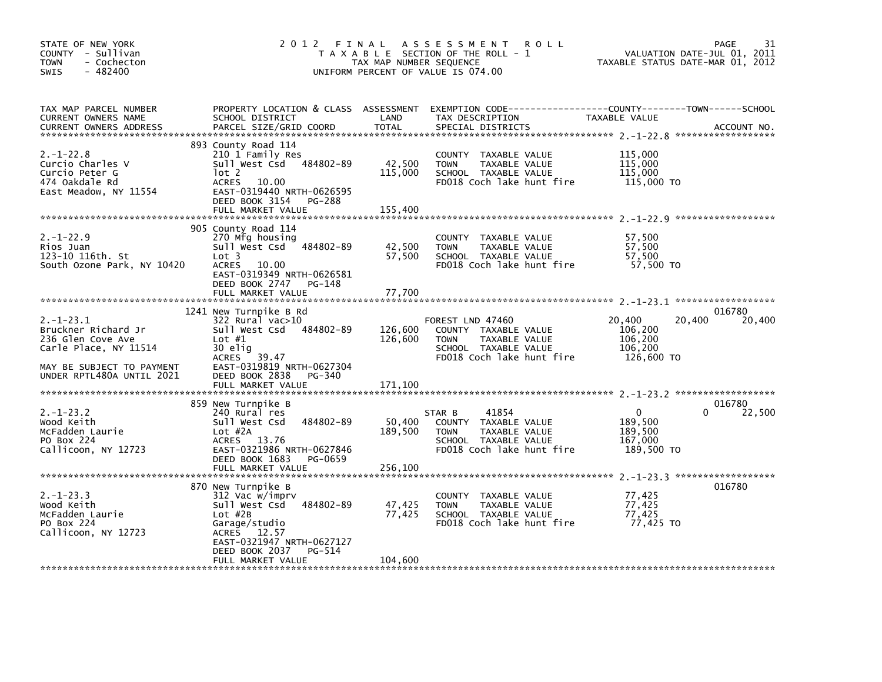| STATE OF NEW YORK<br>COUNTY - Sullivan<br><b>TOWN</b><br>- Cochecton<br>$-482400$<br>SWIS                                                     | 2012 FINAL                                                                                                                                                                        | TAX MAP NUMBER SEQUENCE      | ASSESSMENT ROLL<br>T A X A B L E SECTION OF THE ROLL - 1<br>UNIFORM PERCENT OF VALUE IS 074.00                                         | VALUATION DATE-JUL 01, 2011<br>TAXABLE STATUS DATE-MAR 01, 2012 | 31<br>PAGE            |
|-----------------------------------------------------------------------------------------------------------------------------------------------|-----------------------------------------------------------------------------------------------------------------------------------------------------------------------------------|------------------------------|----------------------------------------------------------------------------------------------------------------------------------------|-----------------------------------------------------------------|-----------------------|
| TAX MAP PARCEL NUMBER<br>CURRENT OWNERS NAME<br><b>CURRENT OWNERS ADDRESS</b>                                                                 | SCHOOL DISTRICT<br>PARCEL SIZE/GRID COORD                                                                                                                                         | LAND<br><b>TOTAL</b>         | PROPERTY LOCATION & CLASS ASSESSMENT EXEMPTION CODE---------------COUNTY-------TOWN-----SCHOOL<br>TAX DESCRIPTION<br>SPECIAL DISTRICTS | TAXABLE VALUE                                                   | ACCOUNT NO.           |
| $2. - 1 - 22.8$<br>Curcio Charles V<br>Curcio Peter G<br>474 Oakdale Rd<br>East Meadow, NY 11554                                              | 893 County Road 114<br>210 1 Family Res<br>Sull West Csd 484802-89<br>lot 2<br>ACRES 10.00<br>EAST-0319440 NRTH-0626595<br>DEED BOOK 3154<br>PG-288<br>FULL MARKET VALUE          | 42,500<br>115,000<br>155,400 | COUNTY TAXABLE VALUE<br><b>TOWN</b><br>TAXABLE VALUE<br>SCHOOL TAXABLE VALUE<br>FD018 Coch lake hunt fire                              | 115,000<br>115,000<br>115,000<br>115,000 TO                     |                       |
|                                                                                                                                               |                                                                                                                                                                                   |                              |                                                                                                                                        |                                                                 |                       |
| $2. -1 - 22.9$<br>Rios Juan<br>123-10 116th. St<br>South Ozone Park, NY 10420                                                                 | 905 County Road 114<br>270 Mfg housing<br>Sull West Csd 484802-89<br>Lot 3<br><b>ACRES</b><br>10.00<br>EAST-0319349 NRTH-0626581<br>DEED BOOK 2747<br>PG-148<br>FULL MARKET VALUE | 42,500<br>57,500<br>77,700   | COUNTY TAXABLE VALUE<br><b>TOWN</b><br>TAXABLE VALUE<br>SCHOOL TAXABLE VALUE<br>FD018 Coch lake hunt fire                              | 57,500<br>57,500<br>57,500<br>57,500 TO                         |                       |
|                                                                                                                                               |                                                                                                                                                                                   |                              |                                                                                                                                        |                                                                 |                       |
| $2. -1 - 23.1$<br>Bruckner Richard Jr<br>236 Glen Cove Ave<br>Carle Place, NY 11514<br>MAY BE SUBJECT TO PAYMENT<br>UNDER RPTL480A UNTIL 2021 | 1241 New Turnpike B Rd<br>322 Rural vac>10<br>Sull West Csd 484802-89<br>Lot $#1$<br>30 elig<br>ACRES 39.47<br>EAST-0319819 NRTH-0627304<br>DEED BOOK 2838<br>PG-340              | 126,600<br>126,600           | FOREST LND 47460<br>COUNTY TAXABLE VALUE<br><b>TOWN</b><br>TAXABLE VALUE<br>SCHOOL TAXABLE VALUE<br>FD018 Coch lake hunt fire          | 20,400<br>20,400<br>106,200<br>106,200<br>106,200<br>126,600 TO | 016780<br>20,400      |
|                                                                                                                                               | FULL MARKET VALUE                                                                                                                                                                 | 171,100                      |                                                                                                                                        |                                                                 |                       |
| $2. -1 - 23.2$<br>Wood Keith<br>McFadden Laurie<br>PO Box 224<br>Callicoon, NY 12723                                                          | 859 New Turnpike B<br>240 Rural res<br>484802-89<br>Sull West Csd<br>Lot #2A<br>ACRES 13.76<br>EAST-0321986 NRTH-0627846<br>DEED BOOK 1683<br>PG-0659                             | 50,400<br>189,500            | 41854<br>STAR B<br>COUNTY TAXABLE VALUE<br>TAXABLE VALUE<br><b>TOWN</b><br>SCHOOL TAXABLE VALUE<br>FD018 Coch lake hunt fire           | $\mathbf{0}$<br>189,500<br>189,500<br>167,000<br>189,500 TO     | 016780<br>22,500<br>0 |
|                                                                                                                                               | FULL MARKET VALUE                                                                                                                                                                 | 256,100                      |                                                                                                                                        |                                                                 |                       |
| $2. -1 - 23.3$<br>Wood Keith<br>McFadden Laurie<br>PO Box 224<br>Callicoon, NY 12723                                                          | 870 New Turnpike B<br>312 Vac w/imprv<br>Sull West Csd 484802-89<br>$Lot$ #2B<br>Garage/studio<br>ACRES 12.57<br>EAST-0321947 NRTH-0627127<br>DEED BOOK 2037<br>PG-514            | 47,425<br>77,425             | COUNTY TAXABLE VALUE<br><b>TOWN</b><br>TAXABLE VALUE<br>SCHOOL TAXABLE VALUE<br>FD018 Coch lake hunt fire                              | 77,425<br>77,425<br>77,425<br>77,425 TO                         | 016780                |
|                                                                                                                                               | FULL MARKET VALUE                                                                                                                                                                 | 104,600                      |                                                                                                                                        |                                                                 |                       |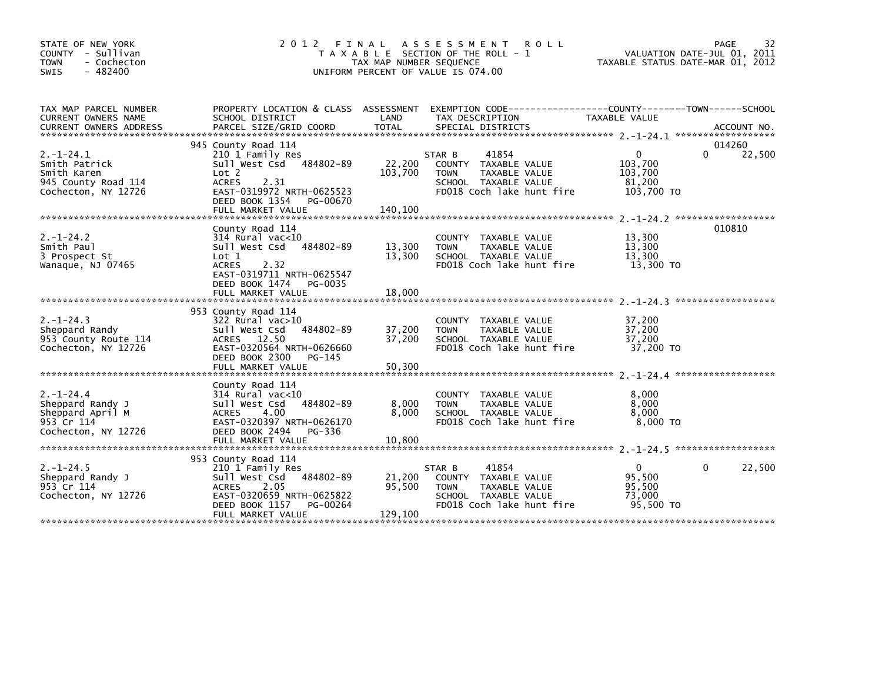| STATE OF NEW YORK<br>COUNTY - Sullivan<br>- Cochecton<br><b>TOWN</b><br><b>SWIS</b><br>- 482400 | 2 0 1 2                                                                                                                                                                                | FINAL<br>TAX MAP NUMBER SEQUENCE | A S S E S S M E N T<br><b>ROLL</b><br>T A X A B L E SECTION OF THE ROLL - 1<br>UNIFORM PERCENT OF VALUE IS 074.00                        | TAXABLE STATUS DATE-MAR 01, 2012                        | 32<br>PAGE<br>VALUATION DATE-JUL 01, 2011 |
|-------------------------------------------------------------------------------------------------|----------------------------------------------------------------------------------------------------------------------------------------------------------------------------------------|----------------------------------|------------------------------------------------------------------------------------------------------------------------------------------|---------------------------------------------------------|-------------------------------------------|
| TAX MAP PARCEL NUMBER<br><b>CURRENT OWNERS NAME</b><br><b>CURRENT OWNERS ADDRESS</b>            | SCHOOL DISTRICT<br>PARCEL SIZE/GRID COORD                                                                                                                                              | LAND<br><b>TOTAL</b>             | PROPERTY LOCATION & CLASS ASSESSMENT EXEMPTION CODE----------------COUNTY-------TOWN------SCHOOL<br>TAX DESCRIPTION<br>SPECIAL DISTRICTS | TAXABLE VALUE                                           | ACCOUNT NO.                               |
| $2. - 1 - 24.1$<br>Smith Patrick<br>Smith Karen<br>945 County Road 114<br>Cochecton, NY 12726   | 945 County Road 114<br>210 1 Family Res<br>484802-89<br>Sull West Csd<br>Lot 2<br>2.31<br><b>ACRES</b><br>EAST-0319972 NRTH-0625523<br>DEED BOOK 1354<br>PG-00670<br>FULL MARKET VALUE | 22,200<br>103,700<br>140,100     | 41854<br>STAR B<br>COUNTY TAXABLE VALUE<br><b>TOWN</b><br>TAXABLE VALUE<br>SCHOOL TAXABLE VALUE<br>FD018 Coch lake hunt fire             | $\Omega$<br>103,700<br>103,700<br>81.200<br>103,700 TO  | 014260<br>22,500<br>0                     |
| $2. - 1 - 24.2$<br>Smith Paul<br>3 Prospect St<br>Wanaque, NJ 07465                             | County Road 114<br>$314$ Rural vac<10<br>484802-89<br>Sull West Csd<br>Lot 1<br><b>ACRES</b><br>2.32<br>EAST-0319711 NRTH-0625547<br>DEED BOOK 1474 PG-0035<br>FULL MARKET VALUE       | 13,300<br>13,300<br>18,000       | COUNTY TAXABLE VALUE<br><b>TOWN</b><br>TAXABLE VALUE<br>SCHOOL TAXABLE VALUE<br>FD018 Coch lake hunt fire                                | 13,300<br>13,300<br>13,300<br>13,300 TO                 | 010810                                    |
| $2. -1 - 24.3$<br>Sheppard Randy<br>953 County Route 114<br>Cochecton, NY 12726                 | 953 County Road 114<br>$322$ Rural vac $>10$<br>Sull West Csd<br>484802-89<br>ACRES 12.50<br>EAST-0320564 NRTH-0626660<br>DEED BOOK 2300<br>PG-145<br>FULL MARKET VALUE                | 37,200<br>37,200<br>50,300       | COUNTY TAXABLE VALUE<br><b>TOWN</b><br>TAXABLE VALUE<br>SCHOOL TAXABLE VALUE<br>FD018 Coch lake hunt fire                                | 37,200<br>37,200<br>37,200<br>37,200 TO                 |                                           |
| $2. - 1 - 24.4$<br>Sheppard Randy J<br>Sheppard April M<br>953 Cr 114<br>Cochecton, NY 12726    | County Road 114<br>$314$ Rural vac< $10$<br>484802-89<br>Sull West Csd<br>4.00<br><b>ACRES</b><br>EAST-0320397 NRTH-0626170<br>DEED BOOK 2494<br>PG-336<br>FULL MARKET VALUE           | 8,000<br>8.000<br>10,800         | COUNTY TAXABLE VALUE<br><b>TOWN</b><br>TAXABLE VALUE<br>SCHOOL TAXABLE VALUE<br>FD018 Coch lake hunt fire                                | 8,000<br>8,000<br>8,000<br>8,000 TO                     |                                           |
| $2. -1 - 24.5$<br>Sheppard Randy J<br>953 Cr 114<br>Cochecton, NY 12726                         | 953 County Road 114<br>210 1 Family Res<br>484802-89<br>Sull West Csd<br><b>ACRES</b><br>2.05<br>EAST-0320659 NRTH-0625822<br>DEED BOOK 1157<br>PG-00264<br>FULL MARKET VALUE          | 21,200<br>95,500<br>129,100      | 41854<br>STAR B<br>COUNTY TAXABLE VALUE<br><b>TOWN</b><br>TAXABLE VALUE<br>SCHOOL TAXABLE VALUE<br>FD018 Coch lake hunt fire             | $\mathbf{0}$<br>95,500<br>95,500<br>73,000<br>95,500 TO | 22,500<br>0                               |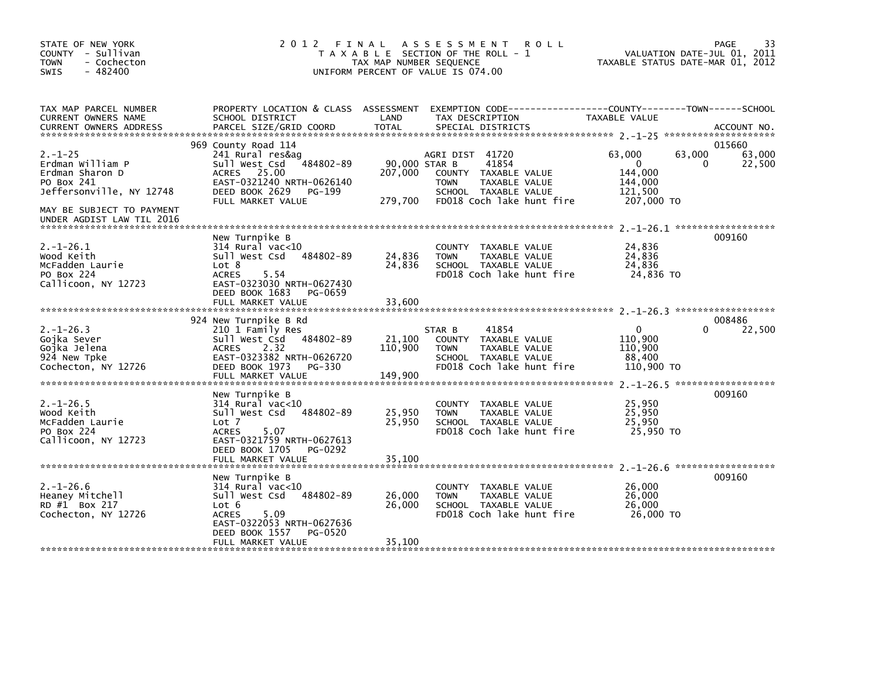| STATE OF NEW YORK<br>COUNTY - Sullivan<br><b>TOWN</b><br>- Cochecton<br>$-482400$<br>SWIS                                   | 2012                                                                                                                                                                               | FINAL<br>TAX MAP NUMBER SEQUENCE    | A S S E S S M E N T<br><b>ROLL</b><br>T A X A B L E SECTION OF THE ROLL - 1<br>UNIFORM PERCENT OF VALUE IS 074.00                     | VALUATION DATE-JUL 01, 2011<br>TAXABLE STATUS DATE-MAR 01, 2012      | 33<br>PAGE                      |
|-----------------------------------------------------------------------------------------------------------------------------|------------------------------------------------------------------------------------------------------------------------------------------------------------------------------------|-------------------------------------|---------------------------------------------------------------------------------------------------------------------------------------|----------------------------------------------------------------------|---------------------------------|
| TAX MAP PARCEL NUMBER<br>CURRENT OWNERS NAME                                                                                | PROPERTY LOCATION & CLASS ASSESSMENT<br>SCHOOL DISTRICT                                                                                                                            | LAND                                | TAX DESCRIPTION                                                                                                                       | TAXABLE VALUE                                                        |                                 |
| $2. - 1 - 25$<br>Erdman William P<br>Erdman Sharon D<br>PO Box 241<br>Jeffersonville, NY 12748<br>MAY BE SUBJECT TO PAYMENT | 969 County Road 114<br>241 Rural res&ag<br>484802-89<br>Sull West Csd<br>25.00<br><b>ACRES</b><br>EAST-0321240 NRTH-0626140<br>DEED BOOK 2629<br>PG-199<br>FULL MARKET VALUE       | 90,000 STAR B<br>207,000<br>279,700 | AGRI DIST 41720<br>41854<br>COUNTY TAXABLE VALUE<br><b>TOWN</b><br>TAXABLE VALUE<br>SCHOOL TAXABLE VALUE<br>FD018 Coch lake hunt fire | 63,000<br>63,000<br>0<br>144,000<br>144,000<br>121.500<br>207,000 TO | 015660<br>63,000<br>22,500<br>0 |
| UNDER AGDIST LAW TIL 2016<br>$2. -1 - 26.1$<br>Wood Keith<br>McFadden Laurie<br>PO Box 224<br>Callicoon, NY 12723           | New Turnpike B<br>$314$ Rural vac<10<br>Sull West Csd<br>484802-89<br>Lot 8<br>5.54<br><b>ACRES</b><br>EAST-0323030 NRTH-0627430<br>DEED BOOK 1683<br>PG-0659<br>FULL MARKET VALUE | 24,836<br>24,836<br>33,600          | COUNTY TAXABLE VALUE<br><b>TOWN</b><br>TAXABLE VALUE<br>SCHOOL TAXABLE VALUE<br>FD018 Coch lake hunt fire                             | 24,836<br>24,836<br>24,836<br>24,836 TO                              | 009160                          |
| $2. -1 - 26.3$<br>Gojka Sever<br>Gojka Jelena<br>924 New Tpke<br>Cochecton, NY 12726                                        | 924 New Turnpike B Rd<br>210 1 Family Res<br>Sull West Csd<br>484802-89<br>2.32<br><b>ACRES</b><br>EAST-0323382 NRTH-0626720<br>DEED BOOK 1973 PG-330<br>FULL MARKET VALUE         | 21,100<br>110,900<br>149,900        | 41854<br>STAR B<br>COUNTY TAXABLE VALUE<br><b>TOWN</b><br>TAXABLE VALUE<br>SCHOOL TAXABLE VALUE<br>FD018 Coch lake hunt fire          | $\Omega$<br>110,900<br>110,900<br>88,400<br>110,900 TO               | 008486<br>22,500<br>0           |
| $2. -1 - 26.5$<br>Wood Keith<br>McFadden Laurie<br>PO Box 224<br>Callicoon, NY 12723                                        | New Turnpike B<br>$314$ Rural vac<10<br>Sull West Csd<br>484802-89<br>Lot 7<br><b>ACRES</b><br>5.07<br>EAST-0321759 NRTH-0627613<br>DEED BOOK 1705<br>PG-0292<br>FULL MARKET VALUE | 25,950<br>25,950<br>35,100          | <b>COUNTY</b><br>TAXABLE VALUE<br>TAXABLE VALUE<br><b>TOWN</b><br>SCHOOL TAXABLE VALUE<br>FD018 Coch lake hunt fire                   | 25,950<br>25,950<br>25,950<br>25.950 TO                              | 009160                          |
| $2. - 1 - 26.6$<br>Heaney Mitchell<br>RD #1 Box 217<br>Cochecton, NY 12726                                                  | New Turnpike B<br>$314$ Rural vac<10<br>Sull West Csd<br>484802-89<br>Lot 6<br>5.09<br><b>ACRES</b><br>EAST-0322053 NRTH-0627636<br>DEED BOOK 1557<br>PG-0520<br>FULL MARKET VALUE | 26,000<br>26,000<br>35,100          | COUNTY<br>TAXABLE VALUE<br><b>TOWN</b><br>TAXABLE VALUE<br>SCHOOL TAXABLE VALUE<br>FD018 Coch lake hunt fire                          | 26,000<br>26,000<br>26,000<br>26,000 TO                              | 009160                          |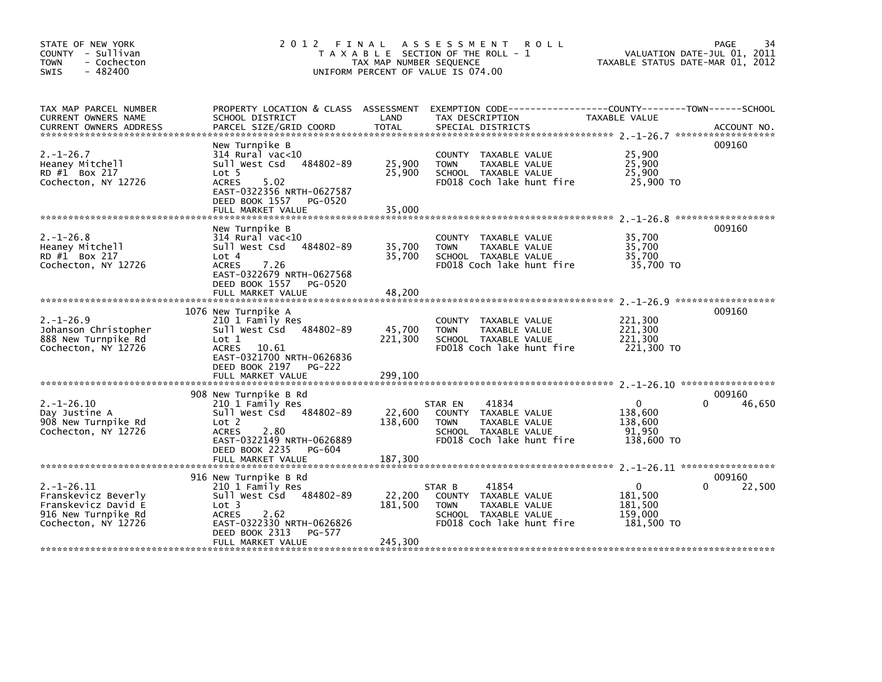| STATE OF NEW YORK<br>COUNTY - Sullivan<br>- Cochecton<br><b>TOWN</b><br>$-482400$<br>SWIS                   | 2012 FINAL                                                                                                                                                                                     | TAX MAP NUMBER SEQUENCE      | A S S E S S M E N T<br><b>ROLL</b><br>T A X A B L E SECTION OF THE ROLL - 1<br>UNIFORM PERCENT OF VALUE IS 074.00             | VALUATION DATE-JUL 01, 2011<br>TAXABLE STATUS DATE-MAR 01, 2012        | 34<br><b>PAGE</b> |
|-------------------------------------------------------------------------------------------------------------|------------------------------------------------------------------------------------------------------------------------------------------------------------------------------------------------|------------------------------|-------------------------------------------------------------------------------------------------------------------------------|------------------------------------------------------------------------|-------------------|
| TAX MAP PARCEL NUMBER<br><b>CURRENT OWNERS NAME</b>                                                         | PROPERTY LOCATION & CLASS ASSESSMENT<br>SCHOOL DISTRICT                                                                                                                                        | LAND                         | EXEMPTION CODE-----------------COUNTY-------TOWN------SCHOOL<br>TAX DESCRIPTION                                               | TAXABLE VALUE                                                          |                   |
| $2. - 1 - 26.7$<br>Heaney Mitchell<br>RD #1 Box 217<br>Cochecton, NY 12726                                  | New Turnpike B<br>$314$ Rural vac< $10$<br>484802-89<br>Sull West Csd<br>Lot 5<br><b>ACRES</b><br>5.02<br>EAST-0322356 NRTH-0627587<br>DEED BOOK 1557 PG-0520<br>FULL MARKET VALUE             | 25,900<br>25,900<br>35,000   | COUNTY TAXABLE VALUE<br>TAXABLE VALUE<br><b>TOWN</b><br>SCHOOL TAXABLE VALUE<br>FD018 Coch lake hunt fire                     | 25,900<br>25,900<br>25,900<br>25,900 TO                                | 009160            |
| $2. - 1 - 26.8$<br>Heaney Mitchell<br>RD #1 Box 217<br>Cochecton, NY 12726                                  | New Turnpike B<br>$314$ Rural vac<10<br>484802-89<br>Sull West Csd<br>Lot 4<br><b>ACRES</b><br>7.26<br>EAST-0322679 NRTH-0627568<br>DEED BOOK 1557 PG-0520<br>FULL MARKET VALUE                | 35,700<br>35,700<br>48,200   | COUNTY TAXABLE VALUE<br><b>TAXABLE VALUE</b><br><b>TOWN</b><br>SCHOOL TAXABLE VALUE<br>FD018 Coch lake hunt fire              | 35,700<br>35,700<br>35,700<br>35,700 TO                                | 009160            |
| $2. - 1 - 26.9$<br>Johanson Christopher<br>888 New Turnpike Rd<br>Cochecton, NY 12726                       | 1076 New Turnpike A<br>210 1 Family Res<br>Sull West Csd 484802-89<br>Lot 1<br>ACRES 10.61<br>EAST-0321700 NRTH-0626836<br>DEED BOOK 2197 PG-222                                               | 45,700<br>221,300            | COUNTY TAXABLE VALUE<br><b>TOWN</b><br><b>TAXABLE VALUE</b><br>SCHOOL TAXABLE VALUE<br>FD018 Coch lake hunt fire              | 221,300<br>221,300<br>221,300<br>221,300 TO                            | 009160            |
| $2. -1 - 26.10$<br>Day Justine A<br>908 New Turnpike Rd<br>Cochecton, NY 12726                              | 908 New Turnpike B Rd<br>210 1 Family Res<br>Sull West Csd 484802-89<br>Lot 2<br><b>ACRES</b><br>2.80<br>EAST-0322149 NRTH-0626889<br>DEED BOOK 2235<br>PG-604                                 | 22,600<br>138,600            | 41834<br>STAR EN<br>COUNTY TAXABLE VALUE<br>TAXABLE VALUE<br><b>TOWN</b><br>SCHOOL TAXABLE VALUE<br>FD018 Coch lake hunt fire | $\mathbf{0}$<br>$\Omega$<br>138,600<br>138,600<br>91,950<br>138,600 TO | 009160<br>46,650  |
| $2. -1 - 26.11$<br>Franskevicz Beverly<br>Franskevicz David E<br>916 New Turnpike Rd<br>Cochecton, NY 12726 | 916 New Turnpike B Rd<br>210 1 Family Res<br>Sull West Csd 484802-89<br>Lot <sub>3</sub><br><b>ACRES</b><br>2.62<br>EAST-0322330 NRTH-0626826<br>DEED BOOK 2313<br>PG-577<br>FULL MARKET VALUE | 22,200<br>181,500<br>245,300 | 41854<br>STAR B<br>COUNTY TAXABLE VALUE<br>TAXABLE VALUE<br><b>TOWN</b><br>SCHOOL TAXABLE VALUE<br>FD018 Coch lake hunt fire  | $\mathbf{0}$<br>0<br>181,500<br>181,500<br>159,000<br>181.500 TO       | 009160<br>22,500  |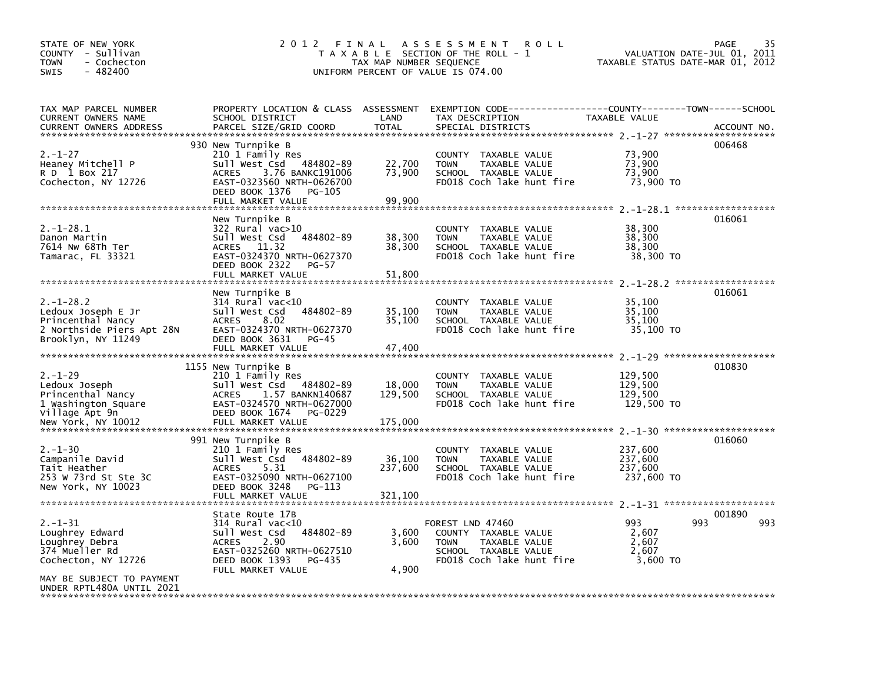| STATE OF NEW YORK<br>COUNTY - Sullivan<br><b>TOWN</b><br>- Cochecton<br>$-482400$<br><b>SWIS</b> | 2012 FINAL                                                    | TAX MAP NUMBER SEQUENCE | A S S E S S M E N T<br><b>ROLL</b><br>T A X A B L E SECTION OF THE ROLL - 1<br>UNIFORM PERCENT OF VALUE IS 074.00 | VALUATION DATE-JUL 01,<br>TAXABLE STATUS DATE-MAR 01, 2012 | 35<br>PAGE<br>2011 |
|--------------------------------------------------------------------------------------------------|---------------------------------------------------------------|-------------------------|-------------------------------------------------------------------------------------------------------------------|------------------------------------------------------------|--------------------|
| TAX MAP PARCEL NUMBER                                                                            | PROPERTY LOCATION & CLASS ASSESSMENT                          |                         | EXEMPTION CODE-----------------COUNTY-------TOWN------SCHOOL                                                      |                                                            |                    |
| CURRENT OWNERS NAME<br><b>CURRENT OWNERS ADDRESS</b>                                             | SCHOOL DISTRICT<br>PARCEL SIZE/GRID COORD                     | LAND<br><b>TOTAL</b>    | TAX DESCRIPTION<br>SPECIAL DISTRICTS                                                                              | TAXABLE VALUE                                              | ACCOUNT NO.        |
|                                                                                                  |                                                               |                         |                                                                                                                   |                                                            | 006468             |
| $2. - 1 - 27$                                                                                    | 930 New Turnpike B<br>210 1 Family Res                        |                         | COUNTY TAXABLE VALUE                                                                                              | 73,900                                                     |                    |
| Heaney Mitchell P                                                                                | Sull West Csd<br>484802-89                                    | 22,700                  | TAXABLE VALUE<br><b>TOWN</b>                                                                                      | 73,900                                                     |                    |
| R D 1 Box 217<br>Cochecton, NY 12726                                                             | 3.76 BANKC191006<br><b>ACRES</b><br>EAST-0323560 NRTH-0626700 | 73,900                  | SCHOOL TAXABLE VALUE<br>FD018 Coch lake hunt fire                                                                 | 73,900<br>73,900 TO                                        |                    |
|                                                                                                  | DEED BOOK 1376<br>PG-105                                      |                         |                                                                                                                   |                                                            |                    |
|                                                                                                  | FULL MARKET VALUE                                             | 99,900                  |                                                                                                                   |                                                            |                    |
|                                                                                                  | New Turnpike B                                                |                         |                                                                                                                   |                                                            | 016061             |
| $2. - 1 - 28.1$                                                                                  | 322 Rural vac>10                                              |                         | COUNTY TAXABLE VALUE                                                                                              | 38,300                                                     |                    |
| Danon Martin                                                                                     | Sull West Csd<br>484802-89                                    | 38,300                  | <b>TOWN</b><br>TAXABLE VALUE                                                                                      | 38,300                                                     |                    |
| 7614 Nw 68Th Ter<br>Tamarac, FL 33321                                                            | ACRES 11.32<br>EAST-0324370 NRTH-0627370                      | 38,300                  | SCHOOL TAXABLE VALUE<br>FD018 Coch lake hunt fire                                                                 | 38,300<br>38,300 TO                                        |                    |
|                                                                                                  | DEED BOOK 2322<br>PG-57                                       |                         |                                                                                                                   |                                                            |                    |
|                                                                                                  | FULL MARKET VALUE                                             | 51,800                  |                                                                                                                   |                                                            |                    |
|                                                                                                  | New Turnpike B                                                |                         |                                                                                                                   |                                                            | 016061             |
| $2. -1 - 28.2$                                                                                   | $314$ Rural vac<10                                            |                         | COUNTY TAXABLE VALUE                                                                                              | 35,100                                                     |                    |
| Ledoux Joseph E Jr                                                                               | 484802-89<br>Sull West Csd                                    | 35,100                  | TAXABLE VALUE<br>TOWN                                                                                             | 35.100                                                     |                    |
| Princenthal Nancy<br>2 Northside Piers Apt 28N                                                   | 8.02<br><b>ACRES</b><br>EAST-0324370 NRTH-0627370             | 35,100                  | SCHOOL TAXABLE VALUE<br>FD018 Coch lake hunt fire                                                                 | 35,100<br>35,100 TO                                        |                    |
| Brooklyn, NY 11249                                                                               | DEED BOOK 3631<br>PG-45                                       |                         |                                                                                                                   |                                                            |                    |
|                                                                                                  | FULL MARKET VALUE                                             | 47,400                  |                                                                                                                   |                                                            |                    |
|                                                                                                  | 1155 New Turnpike B                                           |                         |                                                                                                                   |                                                            | 010830             |
| $2. - 1 - 29$                                                                                    | 210 1 Family Res                                              |                         | COUNTY TAXABLE VALUE                                                                                              | 129,500                                                    |                    |
| Ledoux Joseph                                                                                    | Sull West Csd 484802-89                                       | 18,000                  | TAXABLE VALUE<br><b>TOWN</b>                                                                                      | 129,500<br>129,500                                         |                    |
| Princenthal Nancy<br>1 Washington Square                                                         | 1.57 BANKN140687<br>ACRES<br>EAST-0324570 NRTH-0627000        | 129,500                 | SCHOOL TAXABLE VALUE<br>FD018 Coch lake hunt fire                                                                 | 129,500 TO                                                 |                    |
| Village Apt 9n                                                                                   | DEED BOOK 1674<br>PG-0229                                     |                         |                                                                                                                   |                                                            |                    |
| New York, NY 10012                                                                               | FULL MARKET VALUE                                             | 175,000                 |                                                                                                                   | $2 - 1 - 30$ *********************                         |                    |
|                                                                                                  | 991 New Turnpike B                                            |                         |                                                                                                                   |                                                            | 016060             |
| $2. - 1 - 30$                                                                                    | 210 1 Family Res                                              |                         | COUNTY TAXABLE VALUE                                                                                              | 237,600                                                    |                    |
| Campanile David<br>Tait Heather                                                                  | Sull West Csd<br>484802-89<br><b>ACRES</b><br>5.31            | 36,100<br>237,600       | <b>TOWN</b><br>TAXABLE VALUE<br>SCHOOL TAXABLE VALUE                                                              | 237,600<br>237,600                                         |                    |
| 253 W 73rd St Ste 3C                                                                             | EAST-0325090 NRTH-0627100                                     |                         | FD018 Coch lake hunt fire                                                                                         | 237,600 TO                                                 |                    |
| New York, NY 10023                                                                               | DEED BOOK 3248<br>PG-113                                      |                         |                                                                                                                   |                                                            |                    |
|                                                                                                  | FULL MARKET VALUE                                             | 321,100                 |                                                                                                                   | $2 - 1 - 31$ *********************                         |                    |
|                                                                                                  | State Route 17B                                               |                         |                                                                                                                   |                                                            | 001890             |
| $2. - 1 - 31$                                                                                    | 314 Rural vac<10                                              |                         | FOREST LND 47460                                                                                                  | 993                                                        | 993<br>993         |
| Loughrey Edward<br>Loughrey Debra                                                                | Sull West Csd<br>484802-89<br>2.90<br><b>ACRES</b>            | 3,600<br>3,600          | COUNTY TAXABLE VALUE<br><b>TOWN</b><br>TAXABLE VALUE                                                              | 2,607<br>2,607                                             |                    |
| 374 Mueller Rd                                                                                   | EAST-0325260 NRTH-0627510                                     |                         | SCHOOL TAXABLE VALUE                                                                                              | 2.607                                                      |                    |
| Cochecton, NY 12726                                                                              | DEED BOOK 1393<br>PG-435                                      |                         | FD018 Coch lake hunt fire                                                                                         | 3.600 TO                                                   |                    |
| MAY BE SUBJECT TO PAYMENT<br>UNDER RPTL480A UNTIL 2021                                           | FULL MARKET VALUE                                             | 4,900                   |                                                                                                                   |                                                            |                    |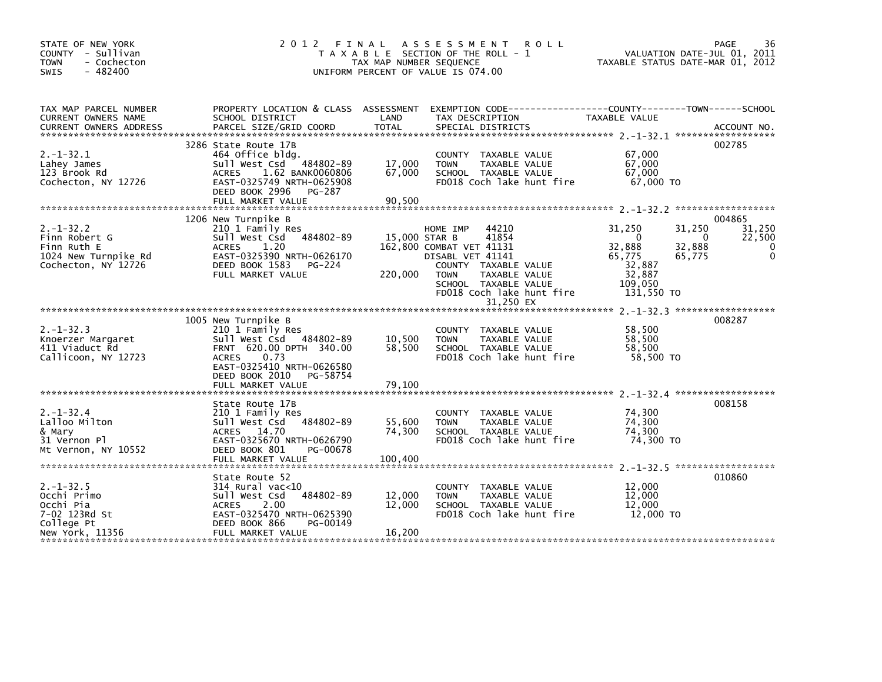| STATE OF NEW YORK<br>COUNTY - Sullivan<br>- Cochecton<br><b>TOWN</b><br>$-482400$<br>SWIS     | 2012 FINAL                                                                                                                                                                                            | TAX MAP NUMBER SEQUENCE     | A S S E S S M E N T<br><b>ROLL</b><br>T A X A B L E SECTION OF THE ROLL - 1<br>UNIFORM PERCENT OF VALUE IS 074.00                                                                                                     | VALUATION DATE-JUL 01, 2011<br>TAXABLE STATUS DATE-MAR 01, 2012                                                   | 36<br>PAGE                                  |
|-----------------------------------------------------------------------------------------------|-------------------------------------------------------------------------------------------------------------------------------------------------------------------------------------------------------|-----------------------------|-----------------------------------------------------------------------------------------------------------------------------------------------------------------------------------------------------------------------|-------------------------------------------------------------------------------------------------------------------|---------------------------------------------|
| TAX MAP PARCEL NUMBER<br>CURRENT OWNERS NAME                                                  | PROPERTY LOCATION & CLASS ASSESSMENT<br>SCHOOL DISTRICT                                                                                                                                               | LAND                        | EXEMPTION CODE-----------------COUNTY-------TOWN------SCHOOL<br>TAX DESCRIPTION                                                                                                                                       | <b>TAXABLE VALUE</b>                                                                                              |                                             |
| $2. -1 - 32.1$<br>Lahey James<br>123 Brook Rd<br>Cochecton, NY 12726                          | 3286 State Route 17B<br>464 Office bldg.<br>Sull West Csd 484802-89<br>1.62 BANK0060806<br><b>ACRES</b><br>EAST-0325749 NRTH-0625908<br>DEED BOOK 2996<br>PG-287                                      | 17,000<br>67,000            | COUNTY TAXABLE VALUE<br><b>TOWN</b><br>TAXABLE VALUE<br>SCHOOL TAXABLE VALUE<br>FD018 Coch lake hunt fire                                                                                                             | 67,000<br>67,000<br>67,000<br>67,000 TO                                                                           | 002785                                      |
|                                                                                               | FULL MARKET VALUE                                                                                                                                                                                     | 90.500                      |                                                                                                                                                                                                                       |                                                                                                                   |                                             |
| $2. -1 - 32.2$<br>Finn Robert G<br>Finn Ruth E<br>1024 New Turnpike Rd<br>Cochecton, NY 12726 | 1206 New Turnpike B<br>210 1 Family Res<br>Sull West Csd<br>484802-89<br><b>ACRES</b><br>1.20<br>EAST-0325390 NRTH-0626170<br>DEED BOOK 1583 PG-224<br>FULL MARKET VALUE                              | 220,000                     | HOME IMP<br>44210<br>41854<br>15,000 STAR B<br>162.800 COMBAT VET 41131<br>DISABL VET 41141<br>COUNTY TAXABLE VALUE<br><b>TOWN</b><br>TAXABLE VALUE<br>SCHOOL TAXABLE VALUE<br>FD018 Coch lake hunt fire<br>31,250 EX | 31,250<br>31,250<br>$\Omega$<br>32,888<br>32,888<br>65,775<br>65,775<br>32,887<br>32,887<br>109,050<br>131,550 TO | 004865<br>31,250<br>22,500<br>- 0<br>0<br>0 |
|                                                                                               |                                                                                                                                                                                                       |                             |                                                                                                                                                                                                                       |                                                                                                                   |                                             |
| $2. -1 - 32.3$<br>Knoerzer Margaret<br>411 Viaduct Rd<br>Callicoon, NY 12723                  | 1005 New Turnpike B<br>210 1 Family Res<br>Sull West Csd 484802-89<br>FRNT 620.00 DPTH 340.00<br><b>ACRES</b><br>0.73<br>EAST-0325410 NRTH-0626580<br>DEED BOOK 2010<br>PG-58754<br>FULL MARKET VALUE | 10,500<br>58,500<br>79,100  | COUNTY TAXABLE VALUE<br><b>TOWN</b><br>TAXABLE VALUE<br>SCHOOL TAXABLE VALUE<br>FD018 Coch lake hunt fire                                                                                                             | 58,500<br>58,500<br>58.500<br>58,500 TO                                                                           | 008287                                      |
|                                                                                               |                                                                                                                                                                                                       |                             |                                                                                                                                                                                                                       |                                                                                                                   |                                             |
| $2. -1 - 32.4$<br>Lalloo Milton<br>& Mary<br>31 Vernon Pl<br>Mt Vernon, NY 10552              | State Route 17B<br>210 1 Family Res<br>Sull West Csd<br>484802-89<br>ACRES 14.70<br>EAST-0325670 NRTH-0626790<br>DEED BOOK 801<br>PG-00678<br>FULL MARKET VALUE                                       | 55,600<br>74,300<br>100.400 | COUNTY TAXABLE VALUE<br><b>TOWN</b><br>TAXABLE VALUE<br>SCHOOL TAXABLE VALUE<br>FD018 Coch lake hunt fire                                                                                                             | 74,300<br>74,300<br>74,300<br>74,300 TO                                                                           | 008158                                      |
| $2. -1 - 32.5$<br>Occhi Primo<br>Occhi Pia<br>7-02 123Rd St<br>College Pt<br>New York, 11356  | State Route 52<br>$314$ Rural vac<10<br>Sull West Csd<br>484802-89<br>2.00<br><b>ACRES</b><br>EAST-0325470 NRTH-0625390<br>DEED BOOK 866<br>PG-00149<br>FULL MARKET VALUE                             | 12,000<br>12,000<br>16,200  | COUNTY TAXABLE VALUE<br><b>TOWN</b><br>TAXABLE VALUE<br>SCHOOL TAXABLE VALUE<br>FD018 Coch lake hunt fire                                                                                                             | 12,000<br>12,000<br>12,000<br>12,000 TO                                                                           | 010860                                      |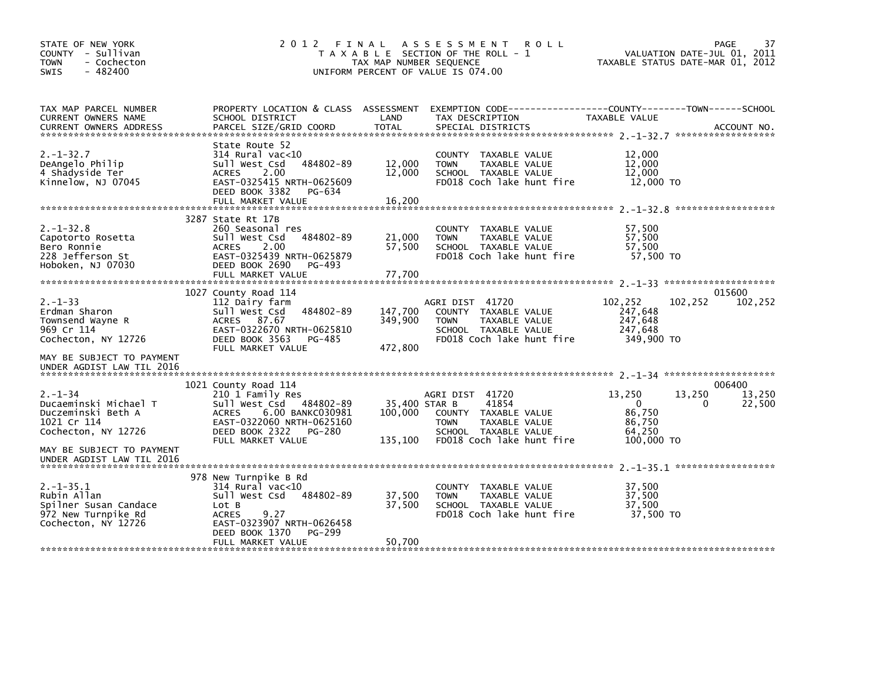| STATE OF NEW YORK<br>COUNTY - Sullivan<br>- Cochecton<br>TOWN<br>$-482400$<br>SWIS                                              | 2012 FINAL                                                                                                                                                                            | TAX MAP NUMBER SEQUENCE             | A S S E S S M E N T<br><b>ROLL</b><br>T A X A B L E SECTION OF THE ROLL - 1<br>UNIFORM PERCENT OF VALUE IS 074.00                     | VALUATION DATE-JUL 01, 2011<br>TAXABLE STATUS DATE-MAR 01, 2012               | 37<br>PAGE                 |
|---------------------------------------------------------------------------------------------------------------------------------|---------------------------------------------------------------------------------------------------------------------------------------------------------------------------------------|-------------------------------------|---------------------------------------------------------------------------------------------------------------------------------------|-------------------------------------------------------------------------------|----------------------------|
| TAX MAP PARCEL NUMBER<br>CURRENT OWNERS NAME                                                                                    | PROPERTY LOCATION & CLASS ASSESSMENT<br>SCHOOL DISTRICT                                                                                                                               | LAND                                | EXEMPTION CODE-----------------COUNTY-------TOWN------SCHOOL<br>TAX DESCRIPTION                                                       | TAXABLE VALUE                                                                 |                            |
| $2. -1 - 32.7$<br>DeAngelo Philip<br>4 Shadyside Ter<br>Kinnelow, NJ 07045                                                      | State Route 52<br>$314$ Rural vac<10<br>484802-89<br>Sull West Csd<br><b>ACRES</b><br>2.00<br>EAST-0325415 NRTH-0625609<br>DEED BOOK 3382<br>PG-634<br>FULL MARKET VALUE              | 12,000<br>12,000<br>16,200          | COUNTY TAXABLE VALUE<br>TAXABLE VALUE<br><b>TOWN</b><br>SCHOOL TAXABLE VALUE<br>FD018 Coch lake hunt fire                             | 12,000<br>12,000<br>12,000<br>12,000 TO                                       |                            |
| $2. -1 - 32.8$<br>Capotorto Rosetta<br>Bero Ronnie<br>228 Jefferson St<br>Hoboken, NJ 07030                                     | 3287 State Rt 17B<br>260 Seasonal res<br>Sull West Csd<br>484802-89<br>2.00<br><b>ACRES</b><br>EAST-0325439 NRTH-0625879<br>DEED BOOK 2690<br>PG-493<br>FULL MARKET VALUE             | 21,000<br>57,500<br>77,700          | COUNTY TAXABLE VALUE<br>TAXABLE VALUE<br><b>TOWN</b><br>SCHOOL TAXABLE VALUE<br>FD018 Coch lake hunt fire                             | 57,500<br>57,500<br>57,500<br>57.500 TO                                       |                            |
| $2. - 1 - 33$<br>Erdman Sharon<br>Townsend Wayne R<br>969 Cr 114<br>Cochecton, NY 12726<br>MAY BE SUBJECT TO PAYMENT            | 1027 County Road 114<br>112 Dairy farm<br>484802-89<br>Sull West Csd<br>87.67<br><b>ACRES</b><br>EAST-0322670 NRTH-0625810<br>DEED BOOK 3563<br>PG-485<br>FULL MARKET VALUE           | 147,700<br>349,900<br>472,800       | AGRI DIST 41720<br>COUNTY TAXABLE VALUE<br><b>TOWN</b><br><b>TAXABLE VALUE</b><br>SCHOOL TAXABLE VALUE<br>FD018 Coch lake hunt fire   | 102,252<br>102,252<br>247,648<br>247,648<br>247,648<br>349,900 TO             | 015600<br>102,252          |
| UNDER AGDIST LAW TIL 2016                                                                                                       |                                                                                                                                                                                       |                                     |                                                                                                                                       |                                                                               |                            |
| $2. - 1 - 34$<br>Ducaeminski Michael T<br>Duczeminski Beth A<br>1021 Cr 114<br>Cochecton, NY 12726<br>MAY BE SUBJECT TO PAYMENT | 1021 County Road 114<br>210 1 Family Res<br>Sull West Csd 484802-89<br>6.00 BANKC030981<br><b>ACRES</b><br>EAST-0322060 NRTH-0625160<br>DEED BOOK 2322<br>PG-280<br>FULL MARKET VALUE | 35,400 STAR B<br>100,000<br>135,100 | AGRI DIST 41720<br>41854<br>COUNTY TAXABLE VALUE<br><b>TOWN</b><br>TAXABLE VALUE<br>SCHOOL TAXABLE VALUE<br>FD018 Coch lake hunt fire | 13,250<br>13,250<br>$\Omega$<br>0<br>86,750<br>86,750<br>64.250<br>100,000 TO | 006400<br>13,250<br>22,500 |
| UNDER AGDIST LAW TIL 2016                                                                                                       |                                                                                                                                                                                       |                                     |                                                                                                                                       |                                                                               |                            |
| $2. -1 - 35.1$<br>Rubin Allan<br>Spilner Susan Candace<br>972 New Turnpike Rd<br>Cochecton, NY 12726                            | 978 New Turnpike B Rd<br>$314$ Rural vac<10<br>sull west Csd<br>484802-89<br>Lot B<br><b>ACRES</b><br>9.27<br>EAST-0323907 NRTH-0626458                                               | 37,500<br>37,500                    | COUNTY TAXABLE VALUE<br>TAXABLE VALUE<br><b>TOWN</b><br>SCHOOL TAXABLE VALUE<br>FD018 Coch lake hunt fire                             | 37,500<br>37,500<br>37,500<br>37,500 TO                                       |                            |
|                                                                                                                                 | DEED BOOK 1370<br>PG-299<br>FULL MARKET VALUE                                                                                                                                         | 50,700                              |                                                                                                                                       |                                                                               |                            |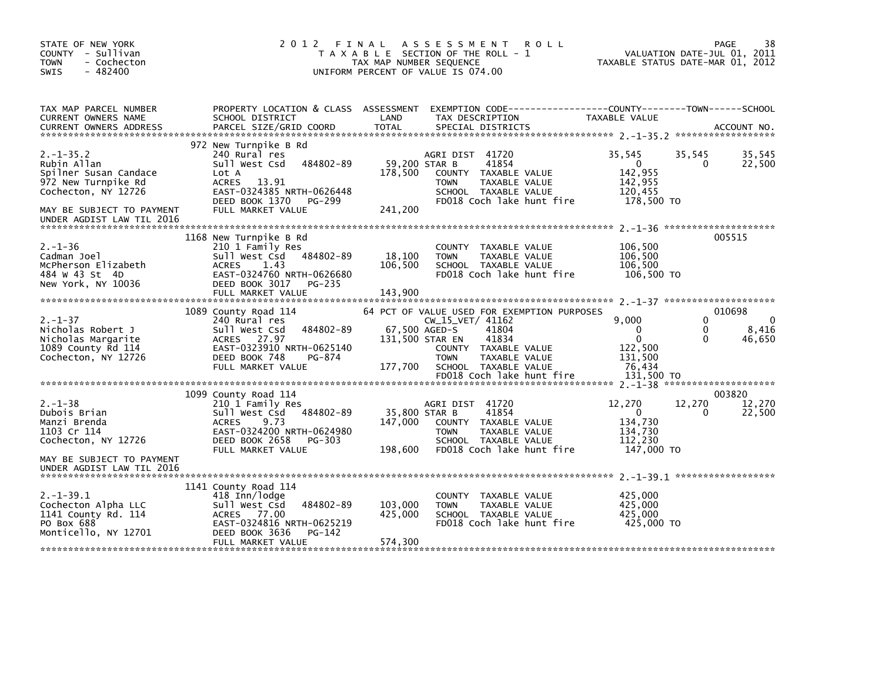| STATE OF NEW YORK<br>COUNTY - Sullivan<br><b>TOWN</b><br>- Cochecton<br>$-482400$<br><b>SWIS</b>                                  |                                                                                                                                                                               | 2012 FINAL ASSESSMENT<br><b>ROLL</b><br>T A X A B L E SECTION OF THE ROLL - 1<br>TAX MAP NUMBER SEQUENCE<br>UNIFORM PERCENT OF VALUE IS 074.00                                                                                                | 38<br>PAGE<br>VALUATION DATE-JUL 01, 2011<br>TAXABLE STATUS DATE-MAR 01, 2012                                                                             |
|-----------------------------------------------------------------------------------------------------------------------------------|-------------------------------------------------------------------------------------------------------------------------------------------------------------------------------|-----------------------------------------------------------------------------------------------------------------------------------------------------------------------------------------------------------------------------------------------|-----------------------------------------------------------------------------------------------------------------------------------------------------------|
| TAX MAP PARCEL NUMBER<br>CURRENT OWNERS NAME                                                                                      | PROPERTY LOCATION & CLASS ASSESSMENT<br>SCHOOL DISTRICT                                                                                                                       | LAND<br>TAX DESCRIPTION                                                                                                                                                                                                                       | EXEMPTION CODE-----------------COUNTY-------TOWN------SCHOOL<br>TAXABLE VALUE                                                                             |
|                                                                                                                                   |                                                                                                                                                                               |                                                                                                                                                                                                                                               |                                                                                                                                                           |
| $2. -1 - 35.2$<br>Rubin Allan<br>Spilner Susan Candace<br>972 New Turnpike Rd<br>Cochecton, NY 12726<br>MAY BE SUBJECT TO PAYMENT | 972 New Turnpike B Rd<br>240 Rural res<br>484802-89<br>Sull West Csd<br>Lot A<br>13.91<br>ACRES<br>EAST-0324385 NRTH-0626448<br>DEED BOOK 1370<br>PG-299<br>FULL MARKET VALUE | AGRI DIST 41720<br>59,200 STAR B<br>41854<br>178,500<br>COUNTY TAXABLE VALUE<br><b>TOWN</b><br>TAXABLE VALUE<br>SCHOOL TAXABLE VALUE<br>FD018 Coch lake hunt fire<br>241,200                                                                  | 35,545<br>35,545<br>35,545<br>22,500<br>$\mathbf{0}$<br>0<br>142,955<br>142,955<br>120,455<br>178,500 TO                                                  |
| UNDER AGDIST LAW TIL 2016                                                                                                         |                                                                                                                                                                               |                                                                                                                                                                                                                                               |                                                                                                                                                           |
| $2. - 1 - 36$<br>Cadman Joel<br>McPherson Elizabeth<br>484 W 43 St 4D<br>New York, NY 10036                                       | 1168 New Turnpike B Rd<br>210 1 Family Res<br>484802-89<br>Sull West Csd<br>ACRES<br>1.43<br>EAST-0324760 NRTH-0626680<br>DEED BOOK 3017 PG-235                               | COUNTY TAXABLE VALUE<br>18,100<br><b>TOWN</b><br>TAXABLE VALUE<br>106,500<br>SCHOOL TAXABLE VALUE<br>FD018 Coch lake hunt fire                                                                                                                | 005515<br>106,500<br>106,500<br>106,500<br>106,500 TO                                                                                                     |
|                                                                                                                                   | FULL MARKET VALUE                                                                                                                                                             | 143,900                                                                                                                                                                                                                                       |                                                                                                                                                           |
| $2. - 1 - 37$<br>Nicholas Robert J<br>Nicholas Margarite<br>1089 County Rd 114<br>Cochecton, NY 12726                             | 1089 County Road 114<br>240 Rural res<br>Sull West Csd<br>484802-89<br>ACRES 27.97<br>EAST-0323910 NRTH-0625140<br>DEED BOOK 748<br>PG-874<br>FULL MARKET VALUE               | 64 PCT OF VALUE USED FOR EXEMPTION PURPOSES<br>CW_15_VET/ 41162<br>67,500 AGED-S<br>41804<br>41834<br>131,500 STAR EN<br>COUNTY TAXABLE VALUE<br>TAXABLE VALUE<br><b>TOWN</b><br>177,700<br>SCHOOL TAXABLE VALUE<br>FD018 Coch lake hunt fire | 010698<br>0<br>9.000<br>$\Omega$<br>8,416<br>$\mathbf{0}$<br>$\Omega$<br>$\mathbf{0}$<br>$\Omega$<br>46,650<br>122,500<br>131,500<br>76,434<br>131.500 TO |
|                                                                                                                                   |                                                                                                                                                                               |                                                                                                                                                                                                                                               |                                                                                                                                                           |
| $2. - 1 - 38$<br>Dubois Brian<br>Manzi Brenda<br>1103 Cr 114<br>Cochecton, NY 12726                                               | 1099 County Road 114<br>210 1 Family Res<br>Sull West Csd 484802-89<br>9.73<br>ACRES<br>EAST-0324200 NRTH-0624980<br>DEED BOOK 2658<br>PG-303<br>FULL MARKET VALUE            | AGRI DIST 41720<br>35,800 STAR B<br>41854<br>147,000<br>COUNTY TAXABLE VALUE<br><b>TOWN</b><br>TAXABLE VALUE<br>SCHOOL TAXABLE VALUE<br>198,600<br>FD018 Coch lake hunt fire                                                                  | 003820<br>12,270<br>12,270<br>12,270<br>$\overline{0}$<br>22,500<br>0<br>134,730<br>134,730<br>112,230<br>147,000 TO                                      |
| MAY BE SUBJECT TO PAYMENT                                                                                                         |                                                                                                                                                                               |                                                                                                                                                                                                                                               |                                                                                                                                                           |
| UNDER AGDIST LAW TIL 2016                                                                                                         |                                                                                                                                                                               |                                                                                                                                                                                                                                               |                                                                                                                                                           |
| $2. -1 - 39.1$<br>Cochecton Alpha LLC<br>1141 County Rd. 114<br>PO Box 688<br>Monticello, NY 12701                                | 1141 County Road 114<br>418 Inn/lodge<br>Sull West Csd<br>484802-89<br>ACRES 77.00<br>EAST-0324816 NRTH-0625219<br>DEED BOOK 3636<br>PG-142<br>FULL MARKET VALUE              | COUNTY TAXABLE VALUE<br>103,000<br><b>TOWN</b><br>TAXABLE VALUE<br>425,000<br>SCHOOL TAXABLE VALUE<br>FD018 Coch lake hunt fire<br>574,300                                                                                                    | 425,000<br>425,000<br>425.000<br>425,000 TO                                                                                                               |
|                                                                                                                                   |                                                                                                                                                                               |                                                                                                                                                                                                                                               |                                                                                                                                                           |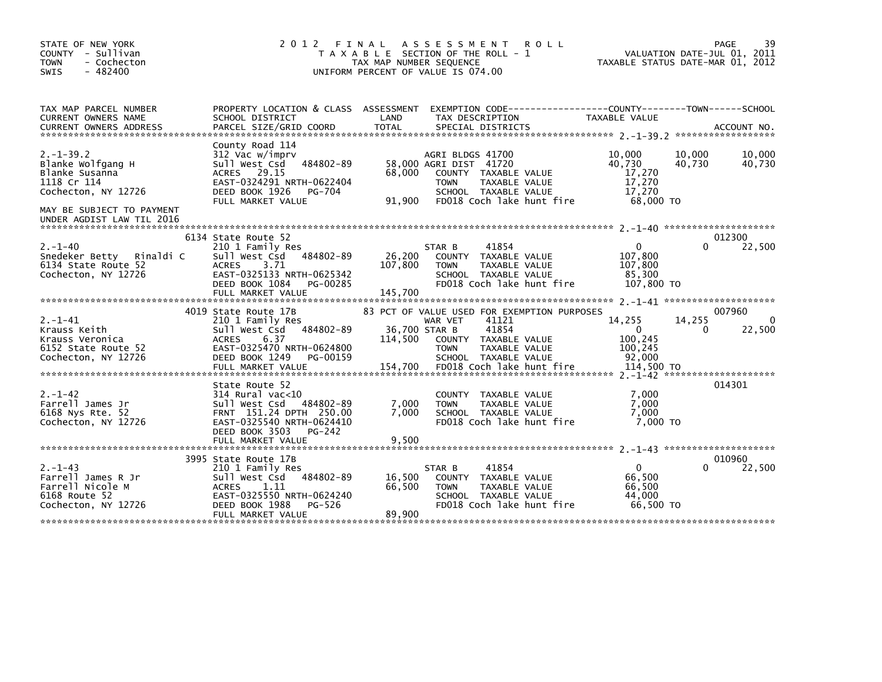| STATE OF NEW YORK<br>COUNTY - Sullivan<br><b>TOWN</b><br>- Cochecton<br>$-482400$<br>SWIS       | 2 0 1 2                                                                                                                                                                        | FINAL<br>ASSESSMENT<br><b>ROLL</b><br>T A X A B L E SECTION OF THE ROLL - 1<br>TAX MAP NUMBER SEQUENCE<br>UNIFORM PERCENT OF VALUE IS 074.00                                                                                 | 39<br>PAGE<br>VALUATION DATE-JUL 01, 2011<br>TAXABLE STATUS DATE-MAR 01, 2012                                       |
|-------------------------------------------------------------------------------------------------|--------------------------------------------------------------------------------------------------------------------------------------------------------------------------------|------------------------------------------------------------------------------------------------------------------------------------------------------------------------------------------------------------------------------|---------------------------------------------------------------------------------------------------------------------|
| TAX MAP PARCEL NUMBER<br>CURRENT OWNERS NAME<br><b>CURRENT OWNERS ADDRESS</b>                   | SCHOOL DISTRICT<br>PARCEL SIZE/GRID COORD                                                                                                                                      | PROPERTY LOCATION & CLASS ASSESSMENT EXEMPTION CODE----------------COUNTY-------TOWN------SCHOOL<br>LAND<br>TAX DESCRIPTION<br><b>TOTAL</b><br>SPECIAL DISTRICTS                                                             | <b>TAXABLE VALUE</b><br>ACCOUNT NO.                                                                                 |
| $2. -1 - 39.2$<br>Blanke Wolfgang H<br>Blanke Susanna<br>1118 Cr 114<br>Cochecton, NY 12726     | County Road 114<br>312 Vac w/imprv<br>484802-89<br>Sull West Csd<br>ACRES 29.15<br>EAST-0324291 NRTH-0622404<br>DEED BOOK 1926<br>PG-704<br>FULL MARKET VALUE                  | AGRI BLDGS 41700<br>58,000 AGRI DIST 41720<br>68,000<br>COUNTY TAXABLE VALUE<br>TAXABLE VALUE<br><b>TOWN</b><br>SCHOOL TAXABLE VALUE<br>91,900<br>FD018 Coch lake hunt fire                                                  | 10,000<br>10,000<br>10,000<br>40.730<br>40,730<br>40,730<br>17,270<br>17,270<br>17.270<br>68,000 TO                 |
| MAY BE SUBJECT TO PAYMENT<br>UNDER AGDIST LAW TIL 2016                                          |                                                                                                                                                                                |                                                                                                                                                                                                                              |                                                                                                                     |
| $2. - 1 - 40$<br>Snedeker Betty<br>Rinaldi C<br>6134 State Route 52<br>Cochecton, NY 12726      | 6134 State Route 52<br>210 1 Family Res<br>484802-89<br>Sull West Csd<br><b>ACRES</b><br>3.71<br>EAST-0325133 NRTH-0625342<br>DEED BOOK 1084<br>PG-00285<br>FULL MARKET VALUE  | STAR B<br>41854<br>26,200<br>COUNTY TAXABLE VALUE<br>107,800<br><b>TOWN</b><br>TAXABLE VALUE<br>SCHOOL TAXABLE VALUE<br>FD018 Coch lake hunt fire<br>145,700                                                                 | 012300<br>22,500<br>$\Omega$<br>0<br>107,800<br>107,800<br>85,300<br>107,800 TO                                     |
| $2. - 1 - 41$<br>Krauss Keith<br>Krauss Veronica<br>6152 State Route 52<br>Cochecton, NY 12726  | 4019 State Route 17B<br>210 1 Family Res<br>484802-89<br>Sull West Csd<br><b>ACRES</b><br>6.37<br>EAST-0325470 NRTH-0624800<br>DEED BOOK 1249<br>PG-00159<br>FULL MARKET VALUE | 83 PCT OF VALUE USED FOR EXEMPTION PURPOSES<br>41121<br>WAR VET<br>36,700 STAR B<br>41854<br>114,500<br>COUNTY TAXABLE VALUE<br><b>TOWN</b><br>TAXABLE VALUE<br>SCHOOL TAXABLE VALUE<br>154,700<br>FD018 Coch lake hunt fire | 007960<br>14,255<br>14,255<br>$\Omega$<br>$\mathbf{0}$<br>22,500<br>0<br>100,245<br>100,245<br>92.000<br>114,500 TO |
| $2. - 1 - 42$<br>Farrell James Jr<br>6168 Nys Rte. 52<br>Cochecton, NY 12726                    | State Route 52<br>$314$ Rural vac< $10$<br>Sull West Csd<br>484802-89<br>FRNT 151.24 DPTH 250.00<br>EAST-0325540 NRTH-0624410<br>DEED BOOK 3503<br>PG-242<br>FULL MARKET VALUE | COUNTY TAXABLE VALUE<br>7,000<br><b>TOWN</b><br>TAXABLE VALUE<br>7,000<br>SCHOOL TAXABLE VALUE<br>FD018 Coch lake hunt fire<br>9,500                                                                                         | 014301<br>7,000<br>7,000<br>7,000<br>7.000 TO                                                                       |
| $2. - 1 - 43$<br>Farrell James R Jr<br>Farrell Nicole M<br>6168 Route 52<br>Cochecton, NY 12726 | 3995 State Route 17B<br>210 1 Family Res<br>484802-89<br>Sull West Csd<br><b>ACRES</b><br>1.11<br>EAST-0325550 NRTH-0624240<br>DEED BOOK 1988<br>PG-526<br>FULL MARKET VALUE   | 41854<br>STAR B<br>16,500<br>COUNTY TAXABLE VALUE<br>66,500<br><b>TOWN</b><br>TAXABLE VALUE<br>SCHOOL TAXABLE VALUE<br>FD018 Coch lake hunt fire<br>89,900                                                                   | 010960<br>$\Omega$<br>22,500<br>0<br>66.500<br>66,500<br>44.000<br>66.500 TO                                        |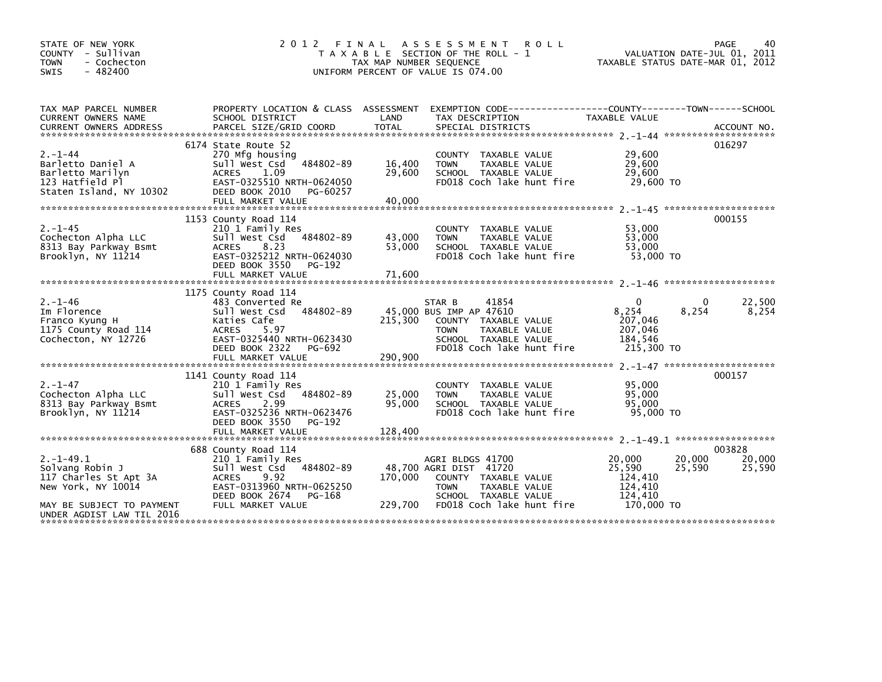| STATE OF NEW YORK<br>COUNTY - Sullivan<br>- Cochecton<br><b>TOWN</b><br>$-482400$<br><b>SWIS</b>                                           | 2 0 1 2                                                                                                                                                                   | TAX MAP NUMBER SEQUENCE     | FINAL ASSESSMENT ROLL<br>T A X A B L E SECTION OF THE ROLL - 1<br>UNIFORM PERCENT OF VALUE IS 074.00                                                    | VALUATION DATE-JUL 01, 2011<br>TAXABLE STATUS DATE-MAR 01, 2012                     | PAGE<br>40                 |
|--------------------------------------------------------------------------------------------------------------------------------------------|---------------------------------------------------------------------------------------------------------------------------------------------------------------------------|-----------------------------|---------------------------------------------------------------------------------------------------------------------------------------------------------|-------------------------------------------------------------------------------------|----------------------------|
| TAX MAP PARCEL NUMBER<br>CURRENT OWNERS NAME<br><b>CURRENT OWNERS ADDRESS</b>                                                              | SCHOOL DISTRICT<br>PARCEL SIZE/GRID COORD                                                                                                                                 | LAND<br><b>TOTAL</b>        | PROPERTY LOCATION & CLASS ASSESSMENT EXEMPTION CODE-----------------COUNTY-------TOWN------SCHOOL<br>TAX DESCRIPTION<br>SPECIAL DISTRICTS               | TAXABLE VALUE                                                                       | ACCOUNT NO.                |
| $2 - 1 - 44$<br>Barletto Daniel A<br>Barletto Marilyn<br>123 Hatfield Pl<br>Staten Island, NY 10302                                        | 6174 State Route 52<br>270 Mfg housing<br>Sull West Csd 484802-89<br>1.09<br><b>ACRES</b><br>EAST-0325510 NRTH-0624050<br>DEED BOOK 2010<br>PG-60257<br>FULL MARKET VALUE | 16,400<br>29,600<br>40,000  | COUNTY TAXABLE VALUE<br>TAXABLE VALUE<br><b>TOWN</b><br>SCHOOL TAXABLE VALUE<br>FD018 Coch lake hunt fire                                               | 29,600<br>29,600<br>29,600<br>29,600 TO                                             | 016297                     |
| $2. - 1 - 45$<br>Cochecton Alpha LLC<br>8313 Bay Parkway Bsmt<br>Brooklyn, NY 11214                                                        | 1153 County Road 114<br>210 1 Family Res<br>Sull West Csd 484802-89<br>8.23<br><b>ACRES</b><br>EAST-0325212 NRTH-0624030<br>DEED BOOK 3550<br>PG-192<br>FULL MARKET VALUE | 43,000<br>53,000<br>71.600  | COUNTY TAXABLE VALUE<br>TAXABLE VALUE<br><b>TOWN</b><br>SCHOOL TAXABLE VALUE<br>FD018 Coch lake hunt fire                                               | 53.000<br>53,000<br>53,000<br>53,000 TO                                             | 000155                     |
| $2. - 1 - 46$<br>Im Florence<br>Franco Kyung H<br>1175 County Road 114<br>Cochecton, NY 12726                                              | 1175 County Road 114<br>483 Converted Re<br>Sull West Csd 484802-89<br>Katies Cafe<br><b>ACRES</b><br>5.97<br>EAST-0325440 NRTH-0623430<br>DEED BOOK 2322<br>PG-692       | 215,300                     | 41854<br>STAR B<br>45,000 BUS IMP AP 47610<br>COUNTY TAXABLE VALUE<br><b>TOWN</b><br>TAXABLE VALUE<br>SCHOOL TAXABLE VALUE<br>FD018 Coch lake hunt fire | $\Omega$<br>0<br>8,254<br>8,254<br>207,046<br>207,046<br>184,546<br>215,300 TO      | 22,500<br>8,254            |
| $2. - 1 - 47$<br>Cochecton Alpha LLC<br>8313 Bay Parkway Bsmt<br>Brooklyn, NY 11214                                                        | 1141 County Road 114<br>210 1 Family Res<br>Sull West Csd 484802-89<br><b>ACRES</b><br>2.99<br>EAST-0325236 NRTH-0623476<br>DEED BOOK 3550<br>PG-192<br>FULL MARKET VALUE | 25,000<br>95,000<br>128,400 | TAXABLE VALUE<br><b>COUNTY</b><br>TAXABLE VALUE<br><b>TOWN</b><br>SCHOOL TAXABLE VALUE<br>FD018 Coch lake hunt fire                                     | 95,000<br>95,000<br>95,000<br>95,000 TO                                             | 000157                     |
| $2. -1 - 49.1$<br>Solvang Robin J<br>117 Charles St Apt 3A<br>New York, NY 10014<br>MAY BE SUBJECT TO PAYMENT<br>UNDER AGDIST LAW TIL 2016 | 688 County Road 114<br>210 1 Family Res<br>Sull West Csd 484802-89<br><b>ACRES</b><br>9.92<br>EAST-0313960 NRTH-0625250<br>DEED BOOK 2674<br>PG-168<br>FULL MARKET VALUE  | 170,000<br>229,700          | AGRI BLDGS 41700<br>48,700 AGRI DIST 41720<br>COUNTY TAXABLE VALUE<br>TAXABLE VALUE<br><b>TOWN</b><br>SCHOOL TAXABLE VALUE<br>FD018 Coch lake hunt fire | 20,000<br>20,000<br>25,590<br>25,590<br>124,410<br>124,410<br>124,410<br>170,000 TO | 003828<br>20,000<br>25,590 |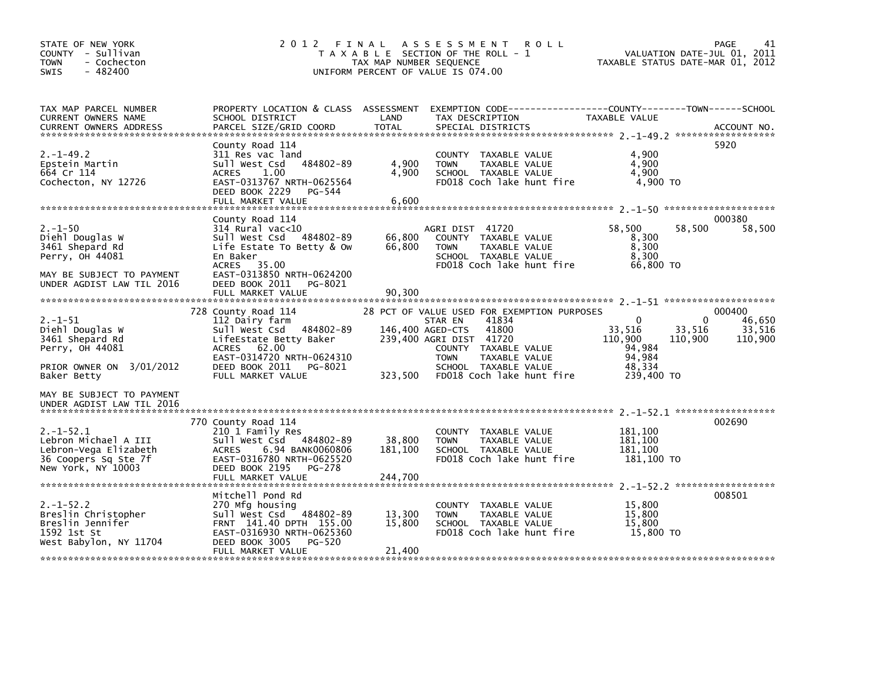| STATE OF NEW YORK<br>COUNTY - Sullivan<br><b>TOWN</b><br>- Cochecton<br>$-482400$<br>SWIS                         | 2012<br>FINAL                                                                                                                                                                         | TAX MAP NUMBER SEQUENCE     | A S S E S S M E N T<br><b>ROLL</b><br>T A X A B L E SECTION OF THE ROLL - 1<br>UNIFORM PERCENT OF VALUE IS 074.00                                                                                                | VALUATION DATE-JUL 01, 2011<br>TAXABLE STATUS DATE-MAR 01, 2012                                            | 41<br>PAGE                            |
|-------------------------------------------------------------------------------------------------------------------|---------------------------------------------------------------------------------------------------------------------------------------------------------------------------------------|-----------------------------|------------------------------------------------------------------------------------------------------------------------------------------------------------------------------------------------------------------|------------------------------------------------------------------------------------------------------------|---------------------------------------|
| TAX MAP PARCEL NUMBER<br>CURRENT OWNERS NAME<br><b>CURRENT OWNERS ADDRESS</b>                                     | SCHOOL DISTRICT<br>PARCEL SIZE/GRID COORD                                                                                                                                             | LAND<br><b>TOTAL</b>        | PROPERTY LOCATION & CLASS ASSESSMENT EXEMPTION CODE----------------COUNTY-------TOWN------SCHOOL<br>TAX DESCRIPTION<br>SPECIAL DISTRICTS                                                                         | <b>TAXABLE VALUE</b>                                                                                       | ACCOUNT NO.                           |
| $2. -1 - 49.2$<br>Epstein Martin<br>664 Cr 114<br>Cochecton, NY 12726                                             | County Road 114<br>311 Res vac land<br>Sull West Csd<br>484802-89<br>1.00<br>ACRES<br>EAST-0313767 NRTH-0625564<br>DEED BOOK 2229<br>PG-544<br>FULL MARKET VALUE                      | 4,900<br>4,900<br>6,600     | COUNTY TAXABLE VALUE<br>TAXABLE VALUE<br><b>TOWN</b><br>SCHOOL TAXABLE VALUE<br>FD018 Coch lake hunt fire                                                                                                        | 4,900<br>4,900<br>4.900<br>4,900 TO                                                                        | 5920                                  |
|                                                                                                                   | County Road 114                                                                                                                                                                       |                             |                                                                                                                                                                                                                  |                                                                                                            | 000380                                |
| $2. - 1 - 50$<br>Diehl Douglas W<br>3461 Shepard Rd<br>Perry, OH 44081                                            | $314$ Rural vac<10<br>sull west Csd<br>484802-89<br>Life Estate To Betty & Ow<br>En Baker<br>ACRES 35.00                                                                              | 66,800<br>66,800            | AGRI DIST 41720<br>COUNTY TAXABLE VALUE<br><b>TOWN</b><br>TAXABLE VALUE<br>SCHOOL TAXABLE VALUE<br>FD018 Coch lake hunt fire                                                                                     | 58,500<br>58,500<br>8,300<br>8,300<br>8.300<br>66,800 TO                                                   | 58,500                                |
| MAY BE SUBJECT TO PAYMENT<br>UNDER AGDIST LAW TIL 2016                                                            | EAST-0313850 NRTH-0624200<br>DEED BOOK 2011<br>PG-8021<br>FULL MARKET VALUE                                                                                                           | 90.300                      |                                                                                                                                                                                                                  |                                                                                                            |                                       |
| $2. - 1 - 51$<br>Diehl Douglas W<br>3461 Shepard Rd<br>Perry, OH 44081<br>PRIOR OWNER ON 3/01/2012<br>Baker Betty | 728 County Road 114<br>112 Dairy farm<br>Sull West Csd 484802-89<br>LifeEstate Betty Baker<br>ACRES 62.00<br>EAST-0314720 NRTH-0624310<br>DEED BOOK 2011 PG-8021<br>FULL MARKET VALUE | 146,400 AGED-CTS<br>323,500 | 28 PCT OF VALUE USED FOR EXEMPTION PURPOSES<br>41834<br>STAR EN<br>41800<br>239,400 AGRI DIST 41720<br>COUNTY TAXABLE VALUE<br><b>TOWN</b><br>TAXABLE VALUE<br>SCHOOL TAXABLE VALUE<br>FD018 Coch lake hunt fire | $\Omega$<br>$\Omega$<br>33,516<br>33,516<br>110,900<br>110,900<br>94,984<br>94,984<br>48,334<br>239,400 TO | 000400<br>46,650<br>33,516<br>110,900 |
| MAY BE SUBJECT TO PAYMENT<br>UNDER AGDIST LAW TIL 2016                                                            |                                                                                                                                                                                       |                             |                                                                                                                                                                                                                  |                                                                                                            |                                       |
| $2. -1 - 52.1$<br>Lebron Michael A III<br>Lebron-Vega Elizabeth<br>36 Coopers Sq Ste 7f<br>New York, NY 10003     | 770 County Road 114<br>210 1 Family Res<br>Sull West Csd 484802-89<br>ACRES 6.94 BANK0060806<br>EAST-0316780 NRTH-0625520<br>DEED BOOK 2195<br>PG-278                                 | 38,800<br>181,100           | COUNTY TAXABLE VALUE<br><b>TOWN</b><br>TAXABLE VALUE<br>SCHOOL TAXABLE VALUE<br>FD018 Coch lake hunt fire                                                                                                        | 181,100<br>181.100<br>181.100<br>181,100 то                                                                | 002690                                |
|                                                                                                                   | FULL MARKET VALUE                                                                                                                                                                     | 244,700                     |                                                                                                                                                                                                                  |                                                                                                            |                                       |
| $2. -1 - 52.2$<br>Breslin Christopher<br>Breslin Jennifer<br>1592 1st St<br>West Babylon, NY 11704                | Mitchell Pond Rd<br>270 Mfg housing<br>Sull West Csd 484802-89<br>FRNT 141.40 DPTH 155.00<br>EAST-0316930 NRTH-0625360<br>DEED BOOK 3005<br>PG-520<br>FULL MARKET VALUE               | 13,300<br>15,800<br>21,400  | COUNTY TAXABLE VALUE<br>TAXABLE VALUE<br><b>TOWN</b><br>SCHOOL TAXABLE VALUE<br>FD018 Coch lake hunt fire                                                                                                        | 15,800<br>15,800<br>15,800<br>15,800 TO                                                                    | 008501                                |
|                                                                                                                   |                                                                                                                                                                                       |                             |                                                                                                                                                                                                                  |                                                                                                            |                                       |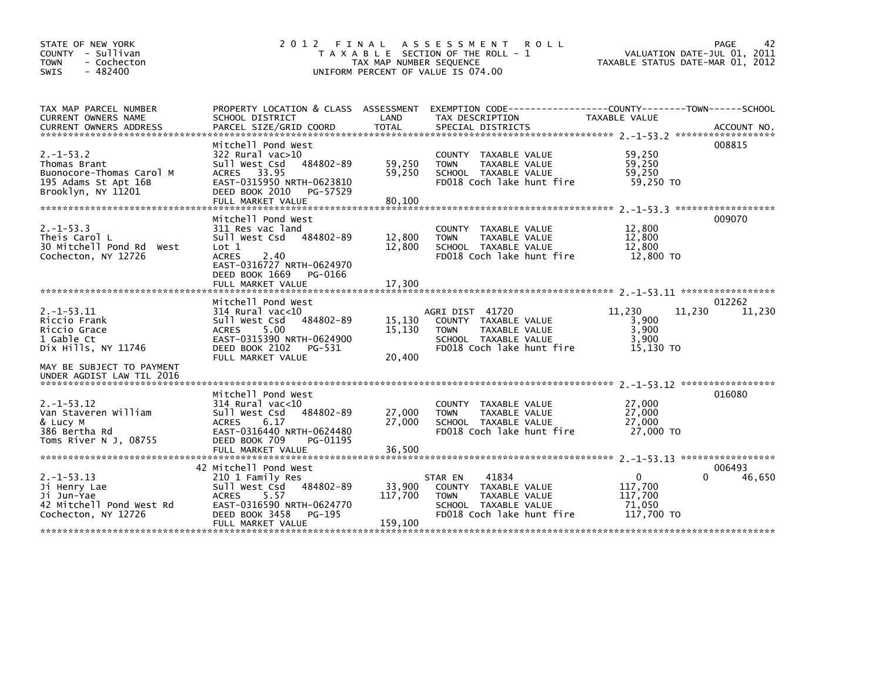| STATE OF NEW YORK<br>COUNTY - Sullivan<br><b>TOWN</b><br>- Cochecton<br>$-482400$<br><b>SWIS</b>         | 2 0 1 2                                                                                                                                                                         | TAX MAP NUMBER SEQUENCE      | FINAL ASSESSMENT<br><b>ROLL</b><br>T A X A B L E SECTION OF THE ROLL - 1<br>UNIFORM PERCENT OF VALUE IS 074.00                          | TAXABLE STATUS DATE-MAR 01, 2012                | PAGE<br>42<br>VALUATION DATE-JUL 01, 2011 |
|----------------------------------------------------------------------------------------------------------|---------------------------------------------------------------------------------------------------------------------------------------------------------------------------------|------------------------------|-----------------------------------------------------------------------------------------------------------------------------------------|-------------------------------------------------|-------------------------------------------|
| TAX MAP PARCEL NUMBER<br>CURRENT OWNERS NAME<br><b>CURRENT OWNERS ADDRESS</b>                            | SCHOOL DISTRICT<br>PARCEL SIZE/GRID COORD                                                                                                                                       | LAND<br><b>TOTAL</b>         | PROPERTY LOCATION & CLASS ASSESSMENT EXEMPTION CODE---------------COUNTY-------TOWN------SCHOOL<br>TAX DESCRIPTION<br>SPECIAL DISTRICTS | TAXABLE VALUE                                   | ACCOUNT NO.                               |
| $2. -1 - 53.2$<br>Thomas Brant<br>Buonocore-Thomas Carol M<br>195 Adams St Apt 16B<br>Brooklyn, NY 11201 | Mitchell Pond West<br>322 Rural vac>10<br>484802-89<br>Sull West Csd<br>ACRES 33.95<br>EAST-0315950 NRTH-0623810<br>DEED BOOK 2010<br>PG-57529<br>FULL MARKET VALUE             | 59,250<br>59,250<br>80,100   | COUNTY TAXABLE VALUE<br><b>TOWN</b><br>TAXABLE VALUE<br>SCHOOL TAXABLE VALUE<br>FD018 Coch lake hunt fire                               | 59,250<br>59,250<br>59.250<br>59,250 TO         | 008815                                    |
| $2. -1 - 53.3$<br>Theis Carol L<br>30 Mitchell Pond Rd<br>West<br>Cochecton, NY 12726                    | Mitchell Pond West<br>311 Res vac land<br>Sull West Csd 484802-89<br>$\text{Lot} 1$<br><b>ACRES</b><br>2.40<br>EAST-0316727 NRTH-0624970<br>DEED BOOK 1669<br>PG-0166           | 12,800<br>12,800             | COUNTY TAXABLE VALUE<br><b>TOWN</b><br>TAXABLE VALUE<br>SCHOOL TAXABLE VALUE<br>FD018 Coch lake hunt fire                               | 12,800<br>12,800<br>12,800<br>12,800 TO         | 009070                                    |
|                                                                                                          | FULL MARKET VALUE                                                                                                                                                               | 17,300                       |                                                                                                                                         |                                                 |                                           |
| $2. -1 - 53.11$<br>Riccio Frank<br>Riccio Grace<br>1 Gable Ct<br>Dix Hills, NY 11746                     | Mitchell Pond West<br>$314$ Rural vac< $10$<br>Sull West Csd<br>484802-89<br><b>ACRES</b><br>5.00<br>EAST-0315390 NRTH-0624900<br>DEED BOOK 2102<br>PG-531<br>FULL MARKET VALUE | 15,130<br>15,130<br>20,400   | AGRI DIST 41720<br>COUNTY TAXABLE VALUE<br><b>TAXABLE VALUE</b><br><b>TOWN</b><br>SCHOOL TAXABLE VALUE<br>FD018 Coch lake hunt fire     | 11,230<br>3,900<br>3,900<br>3,900<br>15.130 TO  | 012262<br>11,230<br>11,230                |
| MAY BE SUBJECT TO PAYMENT<br>UNDER AGDIST LAW TIL 2016                                                   |                                                                                                                                                                                 |                              |                                                                                                                                         |                                                 |                                           |
| $2. -1 - 53.12$<br>Van Staveren William<br>& Lucy M<br>386 Bertha Rd<br>Toms River N J, 08755            | Mitchell Pond West<br>$314$ Rural vac<10<br>Sull West Csd<br>484802-89<br>6.17<br><b>ACRES</b><br>EAST-0316440 NRTH-0624480<br>DEED BOOK 709<br>PG-01195<br>FULL MARKET VALUE   | 27,000<br>27,000<br>36,500   | <b>COUNTY</b><br>TAXABLE VALUE<br><b>TAXABLE VALUE</b><br><b>TOWN</b><br>SCHOOL TAXABLE VALUE<br>FD018 Coch lake hunt fire              | 27,000<br>27,000<br>27,000<br>27,000 TO         | 016080                                    |
|                                                                                                          | 42 Mitchell Pond West                                                                                                                                                           |                              |                                                                                                                                         |                                                 | 006493                                    |
| $2. -1 - 53.13$<br>Ji Henry Lae<br>Ji Jun-Yae<br>42 Mitchell Pond West Rd<br>Cochecton, NY 12726         | 210 1 Family Res<br>sull west Csd<br>484802-89<br><b>ACRES</b><br>5.57<br>EAST-0316590 NRTH-0624770<br>DEED BOOK 3458<br>PG-195<br>FULL MARKET VALUE                            | 33,900<br>117,700<br>159,100 | 41834<br>STAR EN<br>COUNTY TAXABLE VALUE<br><b>TOWN</b><br>TAXABLE VALUE<br>SCHOOL TAXABLE VALUE<br>FD018 Coch lake hunt fire           | 0<br>117,700<br>117,700<br>71,050<br>117,700 TO | 46,650<br>0                               |
|                                                                                                          |                                                                                                                                                                                 |                              |                                                                                                                                         |                                                 |                                           |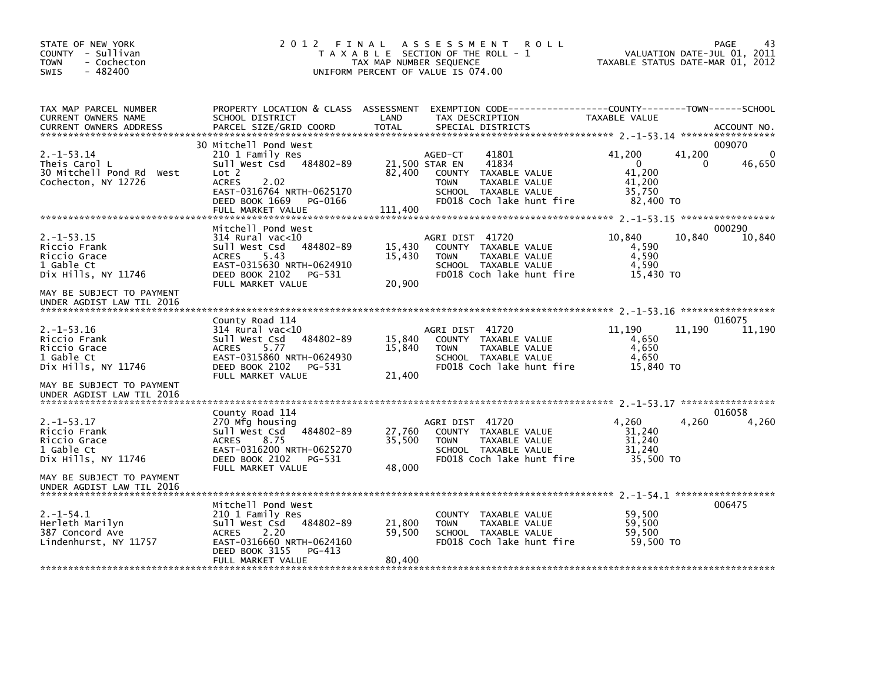| STATE OF NEW YORK<br>COUNTY - Sullivan<br><b>TOWN</b><br>- Cochecton<br>$-482400$<br>SWIS | 2012 FINAL                                                                                                                                                                                         | TAX MAP NUMBER SEQUENCE    | A S S E S S M E N T<br><b>ROLL</b><br>T A X A B L E SECTION OF THE ROLL - 1<br>UNIFORM PERCENT OF VALUE IS 074.00                                        | TAXABLE STATUS DATE-MAR 01, 2012                                        | PAGE<br>43<br>VALUATION DATE-JUL 01, 2011 |
|-------------------------------------------------------------------------------------------|----------------------------------------------------------------------------------------------------------------------------------------------------------------------------------------------------|----------------------------|----------------------------------------------------------------------------------------------------------------------------------------------------------|-------------------------------------------------------------------------|-------------------------------------------|
| TAX MAP PARCEL NUMBER<br>CURRENT OWNERS NAME<br><b>CURRENT OWNERS ADDRESS</b>             | PROPERTY LOCATION & CLASS ASSESSMENT<br>SCHOOL DISTRICT<br>PARCEL SIZE/GRID COORD                                                                                                                  | LAND<br><b>TOTAL</b>       | EXEMPTION CODE------------------COUNTY--------TOWN------SCHOOL<br>TAX DESCRIPTION<br>SPECIAL DISTRICTS                                                   | TAXABLE VALUE                                                           | ACCOUNT NO.                               |
| $2. -1 - 53.14$<br>Theis Carol L<br>30 Mitchell Pond Rd West<br>Cochecton, NY 12726       | 30 Mitchell Pond West<br>210 1 Family Res<br>Sull West Csd<br>484802-89<br>Lot <sub>2</sub><br>2.02<br><b>ACRES</b><br>EAST-0316764 NRTH-0625170<br>DEED BOOK 1669<br>PG-0166<br>FULL MARKET VALUE | 82.400<br>111,400          | 41801<br>AGED-CT<br>21,500 STAR EN<br>41834<br>COUNTY TAXABLE VALUE<br><b>TOWN</b><br>TAXABLE VALUE<br>SCHOOL TAXABLE VALUE<br>FD018 Coch lake hunt fire | 41,200<br>41,200<br>$\Omega$<br>41.200<br>41,200<br>35.750<br>82,400 TO | 009070<br>46,650<br>0                     |
| $2. -1 - 53.15$<br>Riccio Frank<br>Riccio Grace<br>1 Gable Ct<br>Dix Hills, NY 11746      | Mitchell Pond West<br>$314$ Rural vac<10<br>Sull West Csd<br>484802-89<br><b>ACRES</b><br>5.43<br>EAST-0315630 NRTH-0624910<br>DEED BOOK 2102<br>PG-531<br>FULL MARKET VALUE                       | 15,430<br>15,430<br>20,900 | AGRI DIST 41720<br>COUNTY TAXABLE VALUE<br><b>TOWN</b><br><b>TAXABLE VALUE</b><br>SCHOOL TAXABLE VALUE<br>FD018 Coch lake hunt fire                      | 10,840<br>10,840<br>4,590<br>4,590<br>4,590<br>15,430 TO                | 000290<br>10,840                          |
| MAY BE SUBJECT TO PAYMENT<br>UNDER AGDIST LAW TIL 2016                                    |                                                                                                                                                                                                    |                            |                                                                                                                                                          |                                                                         |                                           |
| $2. -1 - 53.16$<br>Riccio Frank<br>Riccio Grace<br>1 Gable Ct<br>Dix Hills, NY 11746      | County Road 114<br>314 Rural vac<10<br>Sull West Csd<br>484802-89<br><b>ACRES</b><br>5.77<br>EAST-0315860 NRTH-0624930<br>DEED BOOK 2102<br>PG-531<br>FULL MARKET VALUE                            | 15,840<br>15,840<br>21,400 | AGRI DIST 41720<br>COUNTY TAXABLE VALUE<br><b>TOWN</b><br>TAXABLE VALUE<br>SCHOOL TAXABLE VALUE<br>FD018 Coch lake hunt fire                             | 11.190<br>11,190<br>4,650<br>4,650<br>4,650<br>15,840 TO                | 016075<br>11,190                          |
| MAY BE SUBJECT TO PAYMENT<br>UNDER AGDIST LAW TIL 2016                                    |                                                                                                                                                                                                    |                            |                                                                                                                                                          |                                                                         |                                           |
| $2. -1 - 53.17$<br>Riccio Frank<br>Riccio Grace<br>1 Gable Ct<br>Dix Hills, NY 11746      | County Road 114<br>270 Mfg housing<br>Sull West Csd<br>484802-89<br><b>ACRES</b><br>8.75<br>EAST-0316200 NRTH-0625270<br>DEED BOOK 2102<br>PG-531<br>FULL MARKET VALUE                             | 27,760<br>35,500           | AGRI DIST 41720<br>COUNTY TAXABLE VALUE<br><b>TOWN</b><br>TAXABLE VALUE<br>SCHOOL TAXABLE VALUE<br>FD018 Coch lake hunt fire                             | 4,260<br>4,260<br>31,240<br>31,240<br>31,240<br>35,500 TO               | 016058<br>4,260                           |
| MAY BE SUBJECT TO PAYMENT<br>UNDER AGDIST LAW TIL 2016                                    |                                                                                                                                                                                                    | 48,000                     |                                                                                                                                                          |                                                                         |                                           |
| $2. -1 - 54.1$<br>Herleth Marilyn<br>387 Concord Ave<br>Lindenhurst, NY 11757             | Mitchell Pond West<br>210 1 Family Res<br>Sull West Csd<br>484802-89<br><b>ACRES</b><br>2.20<br>EAST-0316660 NRTH-0624160<br>DEED BOOK 3155<br>PG-413<br>FULL MARKET VALUE                         | 21,800<br>59,500<br>80,400 | COUNTY<br>TAXABLE VALUE<br><b>TAXABLE VALUE</b><br><b>TOWN</b><br>SCHOOL TAXABLE VALUE<br>FD018 Coch lake hunt fire                                      | 59,500<br>59,500<br>59,500<br>59,500 TO                                 | 006475                                    |
|                                                                                           |                                                                                                                                                                                                    |                            |                                                                                                                                                          |                                                                         |                                           |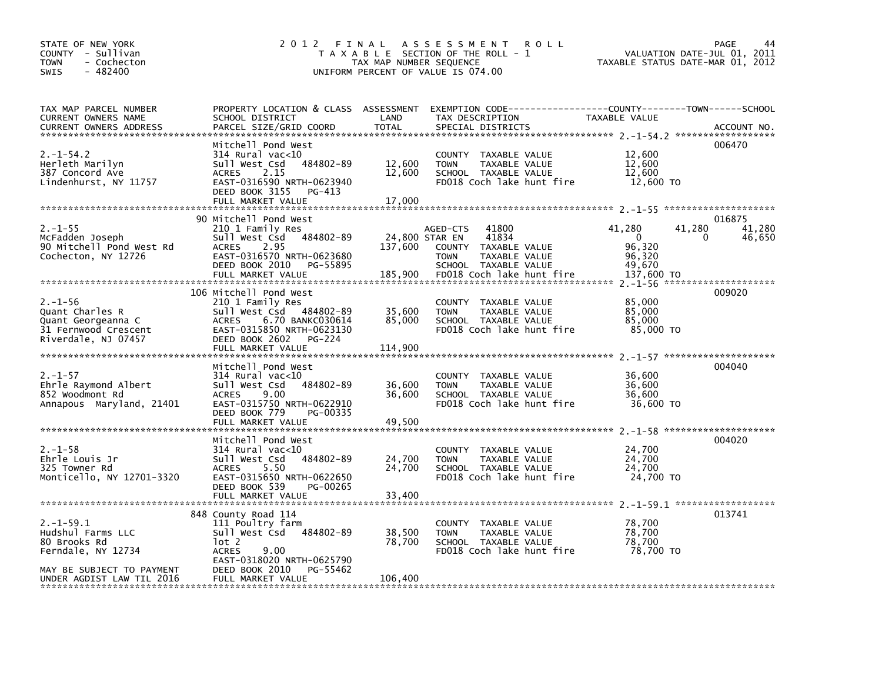| STATE OF NEW YORK<br>COUNTY - Sullivan<br>- Cochecton<br><b>TOWN</b><br>$-482400$<br><b>SWIS</b>                                    | 2012 FINAL                                                                                                                                                                                                  | TAX MAP NUMBER SEQUENCE               | A S S E S S M E N T<br><b>ROLL</b><br>T A X A B L E SECTION OF THE ROLL - 1<br>UNIFORM PERCENT OF VALUE IS 074.00                                 |                                                                    | 44<br><b>PAGE</b><br>VALUATION DATE-JUL 01, 2011<br>TAXABLE STATUS DATE-MAR 01, 2012 |
|-------------------------------------------------------------------------------------------------------------------------------------|-------------------------------------------------------------------------------------------------------------------------------------------------------------------------------------------------------------|---------------------------------------|---------------------------------------------------------------------------------------------------------------------------------------------------|--------------------------------------------------------------------|--------------------------------------------------------------------------------------|
| TAX MAP PARCEL NUMBER<br>CURRENT OWNERS NAME<br>CURRENT OWNERS ADDRESS                                                              | PROPERTY LOCATION & CLASS ASSESSMENT<br>SCHOOL DISTRICT<br>PARCEL SIZE/GRID COORD                                                                                                                           | LAND<br><b>TOTAL</b>                  | EXEMPTION CODE-----------------COUNTY-------TOWN------SCHOOL<br>TAX DESCRIPTION<br>SPECIAL DISTRICTS                                              | TAXABLE VALUE                                                      | ACCOUNT NO.                                                                          |
| $2. -1 - 54.2$<br>Herleth Marilyn<br>387 Concord Ave<br>Lindenhurst, NY 11757                                                       | Mitchell Pond West<br>$314$ Rural vac<10<br>Sull West Csd<br>484802-89<br><b>ACRES</b><br>2.15<br>EAST-0316590 NRTH-0623940<br>DEED BOOK 3155<br>PG-413<br>FULL MARKET VALUE                                | 12,600<br>12,600<br>17,000            | <b>COUNTY</b><br>TAXABLE VALUE<br><b>TOWN</b><br>TAXABLE VALUE<br>SCHOOL TAXABLE VALUE<br>FD018 Coch lake hunt fire                               | 12,600<br>12,600<br>12,600<br>12,600 TO                            | 006470                                                                               |
| $2. - 1 - 55$<br>McFadden Joseph<br>90 Mitchell Pond West Rd<br>Cochecton, NY 12726                                                 | 90 Mitchell Pond West<br>210 1 Family Res<br>484802-89<br>Sull West Csd<br>2.95<br><b>ACRES</b><br>EAST-0316570 NRTH-0623680<br>DEED BOOK 2010<br>PG-55895<br>FULL MARKET VALUE                             | 24,800 STAR EN<br>137,600<br>185,900  | 41800<br>AGED-CTS<br>41834<br><b>COUNTY</b><br>TAXABLE VALUE<br><b>TOWN</b><br>TAXABLE VALUE<br>SCHOOL TAXABLE VALUE<br>FD018 Coch lake hunt fire | 41,280<br>$\mathbf{0}$<br>96,320<br>96,320<br>49,670<br>137,600 TO | 016875<br>41,280<br>41,280<br>∩<br>46,650                                            |
| $2. - 1 - 56$<br>Quant Charles R<br>Quant Georgeanna C<br>31 Fernwood Crescent<br>Riverdale, NJ 07457                               | 106 Mitchell Pond West<br>210 1 Family Res<br>Sull West Csd 484802-89<br>6.70 BANKC030614<br><b>ACRES</b><br>EAST-0315850 NRTH-0623130<br>DEED BOOK 2602<br>PG-224<br>FULL MARKET VALUE                     | 35,600<br>85,000<br>114,900           | TAXABLE VALUE<br><b>COUNTY</b><br>TAXABLE VALUE<br><b>TOWN</b><br>SCHOOL TAXABLE VALUE<br>FD018 Coch lake hunt fire                               | 85,000<br>85,000<br>85,000<br>85,000 TO                            | 009020                                                                               |
| $2. - 1 - 57$<br>Ehrle Raymond Albert<br>852 Woodmont Rd<br>Annapous Maryland, 21401                                                | Mitchell Pond West<br>314 Rural vac<10<br>484802-89<br>Sull West Csd<br>9.00<br><b>ACRES</b><br>EAST-0315750 NRTH-0622910<br>PG-00335<br>DEED BOOK 779<br>FULL MARKET VALUE                                 | 36,600<br>36,600<br>49,500            | <b>COUNTY</b><br>TAXABLE VALUE<br>TAXABLE VALUE<br><b>TOWN</b><br>SCHOOL TAXABLE VALUE<br>FD018 Coch lake hunt fire                               | 36,600<br>36,600<br>36,600<br>36,600 TO                            | 004040                                                                               |
| $2. - 1 - 58$<br>Ehrle Louis Jr<br>325 Towner Rd<br>Monticello, NY 12701-3320                                                       | Mitchell Pond West<br>$314$ Rural vac< $10$<br>484802-89<br>Sull West Csd<br>5.50<br><b>ACRES</b><br>EAST-0315650 NRTH-0622650<br>DEED BOOK 539<br>PG-00265                                                 | 24,700<br>24,700                      | <b>COUNTY</b><br>TAXABLE VALUE<br>TAXABLE VALUE<br><b>TOWN</b><br>SCHOOL TAXABLE VALUE<br>FD018 Coch lake hunt fire                               | 24,700<br>24,700<br>24.700<br>24,700 TO                            | 004020                                                                               |
| $2. -1 - 59.1$<br>Hudshul Farms LLC<br>80 Brooks Rd<br>Ferndale, NY 12734<br>MAY BE SUBJECT TO PAYMENT<br>UNDER AGDIST LAW TIL 2016 | FULL MARKET VALUE<br>848 County Road 114<br>111 Poultry farm<br>484802-89<br>sull west Csd<br>lot 2<br><b>ACRES</b><br>9.00<br>EAST-0318020 NRTH-0625790<br>DEED BOOK 2010<br>PG-55462<br>FULL MARKET VALUE | 33,400<br>38,500<br>78,700<br>106,400 | <b>COUNTY</b><br>TAXABLE VALUE<br><b>TOWN</b><br>TAXABLE VALUE<br>SCHOOL TAXABLE VALUE<br>FD018 Coch lake hunt fire                               | 78,700<br>78,700<br>78.700<br>78,700 TO                            | 013741                                                                               |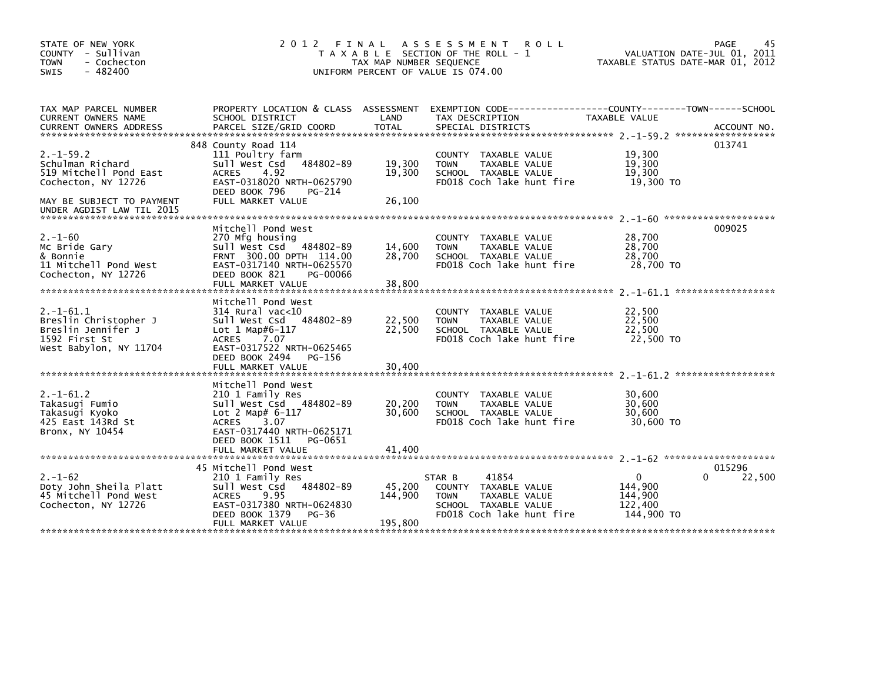| STATE OF NEW YORK<br>COUNTY - Sullivan<br><b>TOWN</b><br>- Cochecton<br>$-482400$<br>SWIS                | 2012 FINAL                                                                                                                                                                                           | TAX MAP NUMBER SEQUENCE      | A S S E S S M E N T<br><b>ROLL</b><br>T A X A B L E SECTION OF THE ROLL - 1<br>UNIFORM PERCENT OF VALUE IS 074.00                        | TAXABLE STATUS DATE-MAR 01, 2012                            | 45<br>PAGE<br>VALUATION DATE-JUL 01, 2011 |
|----------------------------------------------------------------------------------------------------------|------------------------------------------------------------------------------------------------------------------------------------------------------------------------------------------------------|------------------------------|------------------------------------------------------------------------------------------------------------------------------------------|-------------------------------------------------------------|-------------------------------------------|
| TAX MAP PARCEL NUMBER<br>CURRENT OWNERS NAME<br><b>CURRENT OWNERS ADDRESS</b>                            | SCHOOL DISTRICT<br>PARCEL SIZE/GRID COORD                                                                                                                                                            | LAND<br><b>TOTAL</b>         | PROPERTY LOCATION & CLASS ASSESSMENT EXEMPTION CODE----------------COUNTY-------TOWN------SCHOOL<br>TAX DESCRIPTION<br>SPECIAL DISTRICTS | TAXABLE VALUE                                               | ACCOUNT NO.                               |
| $2. -1 - 59.2$<br>Schulman Richard<br>519 Mitchell Pond East<br>Cochecton, NY 12726                      | 848 County Road 114<br>111 Poultry farm<br>Sull West Csd<br>484802-89<br>4.92<br><b>ACRES</b><br>EAST-0318020 NRTH-0625790<br>DEED BOOK 796<br>PG-214                                                | 19,300<br>19,300             | COUNTY TAXABLE VALUE<br>TAXABLE VALUE<br><b>TOWN</b><br>SCHOOL TAXABLE VALUE<br>FD018 Coch lake hunt fire                                | 19,300<br>19,300<br>19.300<br>19,300 TO                     | 013741                                    |
| MAY BE SUBJECT TO PAYMENT<br>UNDER AGDIST LAW TIL 2015                                                   | FULL MARKET VALUE                                                                                                                                                                                    | 26,100                       |                                                                                                                                          |                                                             |                                           |
| $2. - 1 - 60$<br>Mc Bride Gary<br>& Bonnie<br>11 Mitchell Pond West<br>Cochecton, NY 12726               | Mitchell Pond West<br>270 Mfg housing<br>Sull West Csd 484802-89<br>FRNT 300.00 DPTH 114.00<br>EAST-0317140 NRTH-0625570<br>DEED BOOK 821<br>PG-00066<br>FULL MARKET VALUE                           | 14,600<br>28,700<br>38,800   | COUNTY TAXABLE VALUE<br>TAXABLE VALUE<br><b>TOWN</b><br>SCHOOL TAXABLE VALUE<br>FD018 Coch lake hunt fire                                | 28,700<br>28,700<br>28,700<br>28,700 TO                     | 009025                                    |
| $2. -1 - 61.1$<br>Breslin Christopher J<br>Breslin Jennifer J<br>1592 First St<br>West Babylon, NY 11704 | Mitchell Pond West<br>$314$ Rural vac< $10$<br>484802-89<br>Sull West Csd<br>Lot $1$ Map#6-117<br>7.07<br><b>ACRES</b><br>EAST-0317522 NRTH-0625465<br>DEED BOOK 2494<br>PG-156<br>FULL MARKET VALUE | 22,500<br>22,500<br>30,400   | COUNTY TAXABLE VALUE<br>TAXABLE VALUE<br><b>TOWN</b><br>SCHOOL TAXABLE VALUE<br>FD018 Coch lake hunt fire                                | 22,500<br>22,500<br>22.500<br>22,500 TO                     |                                           |
|                                                                                                          | Mitchell Pond West                                                                                                                                                                                   |                              |                                                                                                                                          |                                                             |                                           |
| $2. -1 - 61.2$<br>Takasugi Fumio<br>Takasugi Kyoko<br>425 East 143Rd St<br>Bronx, NY 10454               | 210 1 Family Res<br>Sull West Csd 484802-89<br>Lot 2 Map# $6-117$<br><b>ACRES</b><br>3.07<br>EAST-0317440 NRTH-0625171                                                                               | 20,200<br>30.600             | COUNTY TAXABLE VALUE<br>TAXABLE VALUE<br><b>TOWN</b><br>SCHOOL TAXABLE VALUE<br>FD018 Coch lake hunt fire                                | 30,600<br>30,600<br>30.600<br>30,600 TO                     |                                           |
|                                                                                                          | DEED BOOK 1511<br>PG-0651<br>FULL MARKET VALUE                                                                                                                                                       | 41.400                       |                                                                                                                                          |                                                             |                                           |
| $2. - 1 - 62$<br>Doty John Sheila Platt<br>45 Mitchell Pond West<br>Cochecton, NY 12726                  | 45 Mitchell Pond West<br>210 1 Family Res<br>484802-89<br>Sull West Csd<br><b>ACRES</b><br>9.95<br>EAST-0317380 NRTH-0624830<br>DEED BOOK 1379<br>PG-36<br>FULL MARKET VALUE                         | 45,200<br>144,900<br>195,800 | 41854<br>STAR B<br>COUNTY TAXABLE VALUE<br>TAXABLE VALUE<br><b>TOWN</b><br>SCHOOL TAXABLE VALUE<br>FD018 Coch lake hunt fire             | $\mathbf{0}$<br>144,900<br>144,900<br>122,400<br>144,900 TO | 015296<br>22,500<br>0                     |
|                                                                                                          |                                                                                                                                                                                                      |                              |                                                                                                                                          |                                                             |                                           |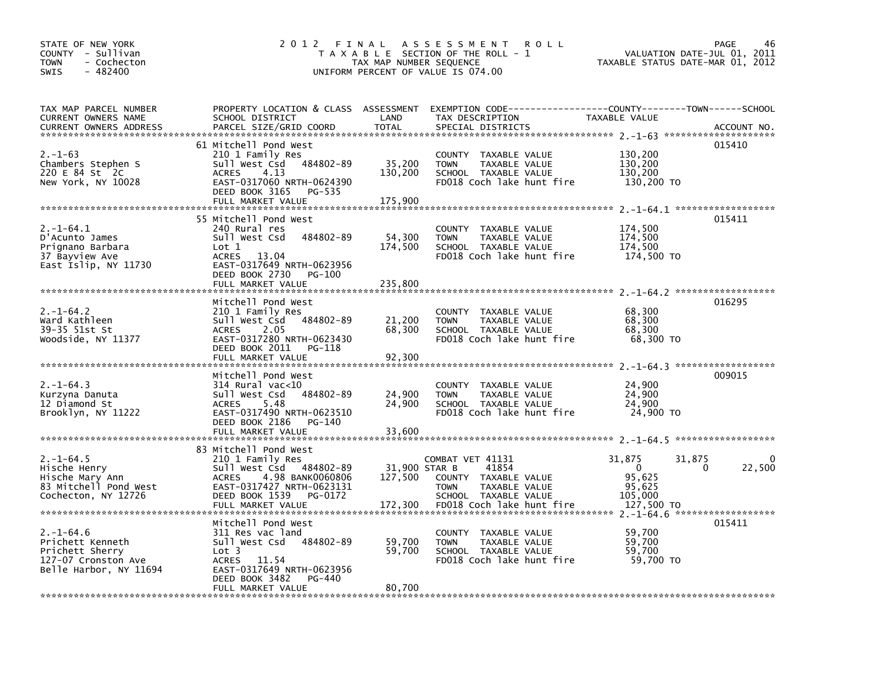| STATE OF NEW YORK<br>COUNTY - Sullivan<br><b>TOWN</b><br>- Cochecton<br>$-482400$<br><b>SWIS</b>        | 2012 FINAL                                                                                                                                                                                      | TAX MAP NUMBER SEQUENCE             | A S S E S S M E N T<br><b>ROLL</b><br>T A X A B L E SECTION OF THE ROLL - 1<br>UNIFORM PERCENT OF VALUE IS 074.00                        | VALUATION DATE-JUL 01,<br>TAXABLE STATUS DATE-MAR 01, 2012                            | PAGE<br>46<br>2011 |
|---------------------------------------------------------------------------------------------------------|-------------------------------------------------------------------------------------------------------------------------------------------------------------------------------------------------|-------------------------------------|------------------------------------------------------------------------------------------------------------------------------------------|---------------------------------------------------------------------------------------|--------------------|
| TAX MAP PARCEL NUMBER<br>CURRENT OWNERS NAME<br><b>CURRENT OWNERS ADDRESS</b>                           | SCHOOL DISTRICT<br>PARCEL SIZE/GRID COORD                                                                                                                                                       | LAND<br><b>TOTAL</b>                | PROPERTY LOCATION & CLASS ASSESSMENT EXEMPTION CODE----------------COUNTY-------TOWN------SCHOOL<br>TAX DESCRIPTION<br>SPECIAL DISTRICTS | TAXABLE VALUE                                                                         | ACCOUNT NO.        |
| $2. - 1 - 63$<br>Chambers Stephen S<br>220 E 84 St 2C<br>New York, NY 10028                             | 61 Mitchell Pond West<br>210 1 Family Res<br>484802-89<br>Sull West Csd<br><b>ACRES</b><br>4.13<br>EAST-0317060 NRTH-0624390<br>DEED BOOK 3165<br>PG-535<br>FULL MARKET VALUE                   | 35,200<br>130,200<br>175,900        | COUNTY TAXABLE VALUE<br><b>TOWN</b><br>TAXABLE VALUE<br>SCHOOL TAXABLE VALUE<br>FD018 Coch lake hunt fire                                | 130,200<br>130,200<br>130,200<br>130,200 TO                                           | 015410             |
| $2. -1 - 64.1$<br>D'Acunto James<br>Prignano Barbara<br>37 Bayview Ave<br>East Islip, NY 11730          | 55 Mitchell Pond West<br>240 Rural res<br>Sull West Csd<br>484802-89<br>Lot 1<br><b>ACRES</b><br>13.04<br>EAST-0317649 NRTH-0623956<br>DEED BOOK 2730<br>PG-100<br>FULL MARKET VALUE            | 54,300<br>174,500<br>235.800        | COUNTY TAXABLE VALUE<br>TAXABLE VALUE<br><b>TOWN</b><br>SCHOOL TAXABLE VALUE<br>FD018 Coch lake hunt fire                                | 174,500<br>174,500<br>174,500<br>174,500 TO                                           | 015411             |
| $2. - 1 - 64.2$<br>Ward Kathleen<br>39-35 51st St<br>Woodside, NY 11377                                 | Mitchell Pond West<br>210 1 Family Res<br>Sull West Csd 484802-89<br><b>ACRES</b><br>2.05<br>EAST-0317280 NRTH-0623430<br>DEED BOOK 2011<br>PG-118<br>FULL MARKET VALUE                         | 21,200<br>68,300<br>92,300          | COUNTY TAXABLE VALUE<br>TAXABLE VALUE<br><b>TOWN</b><br>SCHOOL TAXABLE VALUE<br>FD018 Coch lake hunt fire                                | 68,300<br>68,300<br>68,300<br>68,300 TO                                               | 016295             |
| $2. -1 - 64.3$<br>Kurzyna Danuta<br>12 Diamond St<br>Brooklyn, NY 11222                                 | Mitchell Pond West<br>$314$ Rural vac< $10$<br>Sull West Csd 484802-89<br>5.48<br><b>ACRES</b><br>EAST-0317490 NRTH-0623510<br>DEED BOOK 2186<br>PG-140<br>FULL MARKET VALUE                    | 24,900<br>24,900<br>33,600          | COUNTY TAXABLE VALUE<br>TAXABLE VALUE<br><b>TOWN</b><br>SCHOOL TAXABLE VALUE<br>FD018 Coch lake hunt fire                                | 24,900<br>24,900<br>24.900<br>24,900 TO                                               | 009015             |
| $2. -1 - 64.5$<br>Hische Henry<br>Hische Mary Ann<br>83 Mitchell Pond West<br>Cochecton, NY 12726       | 83 Mitchell Pond West<br>210 1 Family Res<br>Sull West Csd 484802-89<br>4.98 BANK0060806<br><b>ACRES</b><br>EAST-0317427 NRTH-0623131<br>DEED BOOK 1539<br>PG-0172<br>FULL MARKET VALUE         | 31,900 STAR B<br>127,500<br>172,300 | COMBAT VET 41131<br>41854<br>COUNTY TAXABLE VALUE<br><b>TOWN</b><br>TAXABLE VALUE<br>SCHOOL TAXABLE VALUE<br>FD018 Coch lake hunt fire   | 31,875<br>31,875<br>$\Omega$<br>$\Omega$<br>95,625<br>95,625<br>105,000<br>127,500 TO | $\Omega$<br>22,500 |
| $2. - 1 - 64.6$<br>Prichett Kenneth<br>Prichett Sherry<br>127-07 Cronston Ave<br>Belle Harbor, NY 11694 | Mitchell Pond West<br>311 Res vac land<br>sull west Csd<br>484802-89<br>Lot <sub>3</sub><br><b>ACRES</b><br>11.54<br>EAST-0317649 NRTH-0623956<br>DEED BOOK 3482<br>PG-440<br>FULL MARKET VALUE | 59,700<br>59,700<br>80,700          | COUNTY<br>TAXABLE VALUE<br>TAXABLE VALUE<br><b>TOWN</b><br>SCHOOL TAXABLE VALUE<br>FD018 Coch lake hunt fire                             | 59,700<br>59,700<br>59,700<br>59,700 TO                                               | 015411             |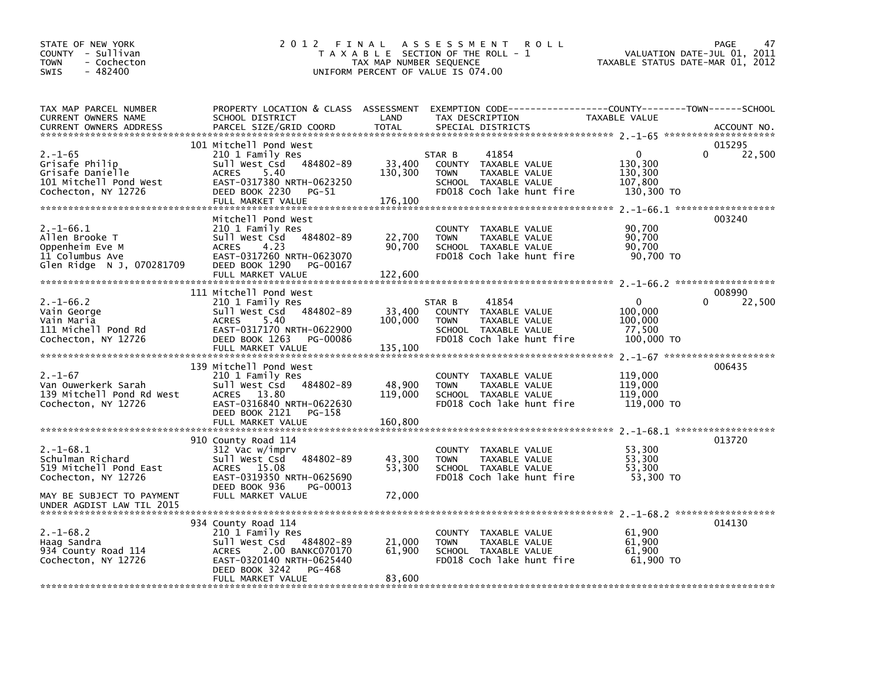| STATE OF NEW YORK<br>COUNTY - Sullivan<br>- Cochecton<br>TOWN<br>$-482400$<br>SWIS                   | 2012 FINAL                                                                                                                                                                           | TAX MAP NUMBER SEQUENCE      | A S S E S S M E N T<br>R O L L<br>T A X A B L E SECTION OF THE ROLL - 1<br>UNIFORM PERCENT OF VALUE IS 074.00                          | VALUATION DATE-JUL 01, 2011<br>TAXABLE STATUS DATE-MAR 01, 2012 | 47<br><b>PAGE</b>            |
|------------------------------------------------------------------------------------------------------|--------------------------------------------------------------------------------------------------------------------------------------------------------------------------------------|------------------------------|----------------------------------------------------------------------------------------------------------------------------------------|-----------------------------------------------------------------|------------------------------|
| TAX MAP PARCEL NUMBER<br>CURRENT OWNERS NAME<br><b>CURRENT OWNERS ADDRESS</b>                        | SCHOOL DISTRICT<br>PARCEL SIZE/GRID COORD                                                                                                                                            | LAND<br><b>TOTAL</b>         | PROPERTY LOCATION & CLASS ASSESSMENT EXEMPTION CODE---------------COUNTY-------TOWN-----SCHOOL<br>TAX DESCRIPTION<br>SPECIAL DISTRICTS | TAXABLE VALUE                                                   | ACCOUNT NO.                  |
| $2. - 1 - 65$<br>Grisafe Philip<br>Grisafe Danielle<br>101 Mitchell Pond West<br>Cochecton, NY 12726 | 101 Mitchell Pond West<br>210 1 Family Res<br>484802-89<br>Sull West Csd<br>5.40<br><b>ACRES</b><br>EAST-0317380 NRTH-0623250<br>DEED BOOK 2230<br>PG-51<br>FULL MARKET VALUE        | 33,400<br>130,300<br>176,100 | 41854<br>STAR B<br>COUNTY TAXABLE VALUE<br>TAXABLE VALUE<br><b>TOWN</b><br>SCHOOL TAXABLE VALUE<br>FD018 Coch lake hunt fire           | $\Omega$<br>130,300<br>130,300<br>107,800<br>130,300 TO         | 015295<br>$\Omega$<br>22,500 |
| $2. -1 - 66.1$<br>Allen Brooke T<br>Oppenheim Eve M<br>11 Columbus Ave<br>Glen Ridge N J, 070281709  | Mitchell Pond West<br>210 1 Family Res<br>Sull West Csd 484802-89<br>4.23<br><b>ACRES</b><br>EAST-0317260 NRTH-0623070<br>DEED BOOK 1290<br>PG-00167<br>FULL MARKET VALUE            | 22,700<br>90,700<br>122,600  | COUNTY TAXABLE VALUE<br><b>TOWN</b><br>TAXABLE VALUE<br>SCHOOL TAXABLE VALUE<br>FD018 Coch lake hunt fire                              | 90,700<br>90,700<br>90.700<br>90,700 TO                         | 003240                       |
| $2. -1 - 66.2$<br>Vain George<br>Vain Maria<br>111 Michell Pond Rd<br>Cochecton, NY 12726            | 111 Mitchell Pond West<br>210 1 Family Res<br>Sull West Csd 484802-89<br>5.40<br><b>ACRES</b><br>EAST-0317170 NRTH-0622900<br>DEED BOOK 1263<br>PG-00086<br>FULL MARKET VALUE        | 33,400<br>100,000<br>135,100 | 41854<br>STAR B<br>COUNTY TAXABLE VALUE<br>TAXABLE VALUE<br><b>TOWN</b><br>SCHOOL TAXABLE VALUE<br>FD018 Coch lake hunt fire           | 0<br>100,000<br>100,000<br>77,500<br>100,000 TO                 | 008990<br>$\Omega$<br>22,500 |
| $2. - 1 - 67$<br>Van Ouwerkerk Sarah<br>139 Mitchell Pond Rd West<br>Cochecton, NY 12726             | 139 Mitchell Pond West<br>210 1 Family Res<br>Sull West Csd<br>484802-89<br>ACRES 13.80<br>EAST-0316840 NRTH-0622630<br>DEED BOOK 2121<br>PG-158<br>FULL MARKET VALUE                | 48,900<br>119,000<br>160,800 | <b>COUNTY</b><br>TAXABLE VALUE<br>TAXABLE VALUE<br><b>TOWN</b><br>SCHOOL TAXABLE VALUE<br>FD018 Coch lake hunt fire                    | 119,000<br>119,000<br>119,000<br>119,000 TO                     | 006435                       |
| $2. -1 - 68.1$<br>Schulman Richard<br>519 Mitchell Pond East<br>Cochecton, NY 12726                  | 910 County Road 114<br>312 Vac w/imprv<br>Sull West Csd<br>484802-89<br>ACRES 15.08<br>EAST-0319350 NRTH-0625690<br>DEED BOOK 936<br>PG-00013                                        | 43,300<br>53,300             | COUNTY TAXABLE VALUE<br>TAXABLE VALUE<br><b>TOWN</b><br>SCHOOL TAXABLE VALUE<br>FD018 Coch lake hunt fire                              | 53,300<br>53,300<br>53,300<br>53,300 TO                         | 013720                       |
| MAY BE SUBJECT TO PAYMENT<br>UNDER AGDIST LAW TIL 2015                                               | FULL MARKET VALUE                                                                                                                                                                    | 72,000                       |                                                                                                                                        |                                                                 |                              |
| $2. -1 - 68.2$<br>Haag Sandra<br>934 County Road 114<br>Cochecton, NY 12726                          | 934 County Road 114<br>210 1 Family Res<br>Sull West Csd 484802-89<br>2.00 BANKC070170<br><b>ACRES</b><br>EAST-0320140 NRTH-0625440<br>DEED BOOK 3242<br>PG-468<br>FULL MARKET VALUE | 21,000<br>61,900<br>83,600   | COUNTY TAXABLE VALUE<br><b>TOWN</b><br>TAXABLE VALUE<br>SCHOOL TAXABLE VALUE<br>FD018 Coch lake hunt fire                              | 61,900<br>61,900<br>61,900<br>61,900 TO                         | 014130                       |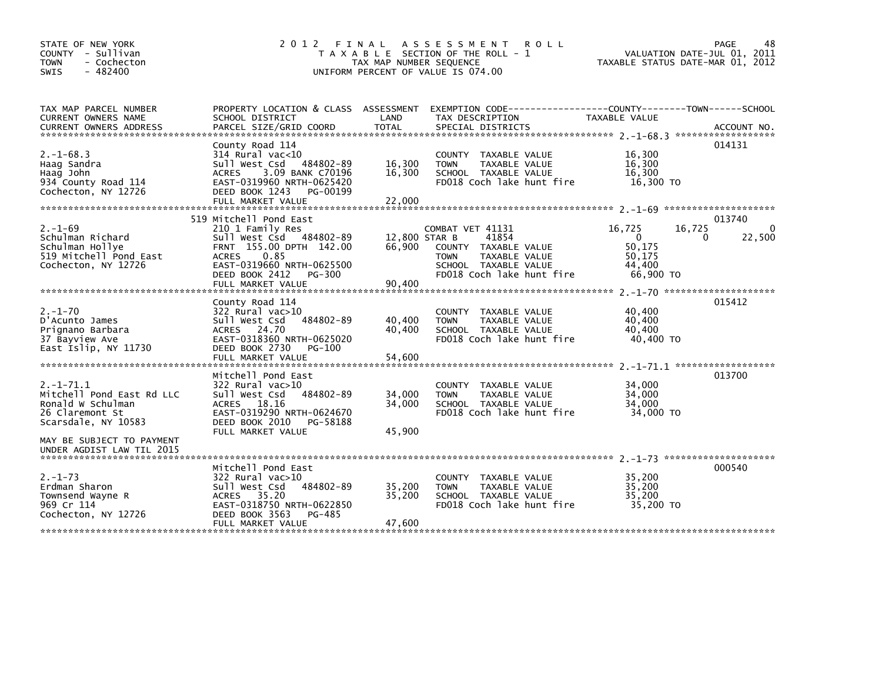| 2 0 1 2                                                                                                                                                             |                                                                                        | <b>ROLL</b>                                                                                                        |                                                                                                                                                                 | PAGE<br>48<br>VALUATION DATE-JUL 01, 2011<br>TAXABLE STATUS DATE-MAR 01, 2012                                                                                                                                                                                                             |
|---------------------------------------------------------------------------------------------------------------------------------------------------------------------|----------------------------------------------------------------------------------------|--------------------------------------------------------------------------------------------------------------------|-----------------------------------------------------------------------------------------------------------------------------------------------------------------|-------------------------------------------------------------------------------------------------------------------------------------------------------------------------------------------------------------------------------------------------------------------------------------------|
| SCHOOL DISTRICT                                                                                                                                                     | LAND                                                                                   | TAX DESCRIPTION                                                                                                    | TAXABLE VALUE                                                                                                                                                   |                                                                                                                                                                                                                                                                                           |
|                                                                                                                                                                     |                                                                                        |                                                                                                                    |                                                                                                                                                                 |                                                                                                                                                                                                                                                                                           |
| County Road 114<br>314 Rural vac<10<br>Sull West Csd 484802-89<br>3.09 BANK C70196<br><b>ACRES</b><br>EAST-0319960 NRTH-0625420<br>DEED BOOK 1243<br>PG-00199       | 16,300<br>16,300                                                                       | COUNTY TAXABLE VALUE<br><b>TOWN</b><br>TAXABLE VALUE<br>SCHOOL TAXABLE VALUE<br>FD018 Coch lake hunt fire          | 16,300<br>16,300<br>16,300                                                                                                                                      | 014131                                                                                                                                                                                                                                                                                    |
|                                                                                                                                                                     |                                                                                        |                                                                                                                    |                                                                                                                                                                 |                                                                                                                                                                                                                                                                                           |
| 210 1 Family Res<br>Sull West Csd 484802-89<br>FRNT 155.00 DPTH 142.00<br>ACRES<br>0.85<br>EAST-0319660 NRTH-0625500<br>DEED BOOK 2412 PG-300                       | 66,900                                                                                 | 41854<br>COUNTY TAXABLE VALUE<br>TAXABLE VALUE<br><b>TOWN</b><br>SCHOOL TAXABLE VALUE<br>FD018 Coch lake hunt fire | 16,725<br>$\mathbf{0}$<br>50,175<br>50,175<br>44,400                                                                                                            | 013740<br>16,725<br>0<br>22,500<br>0                                                                                                                                                                                                                                                      |
|                                                                                                                                                                     |                                                                                        |                                                                                                                    |                                                                                                                                                                 |                                                                                                                                                                                                                                                                                           |
| County Road 114<br>$322$ Rural vac $>10$<br>484802-89<br>Sull West Csd<br>ACRES 24.70<br>EAST-0318360 NRTH-0625020<br>DEED BOOK 2730<br>PG-100<br>FULL MARKET VALUE | 40,400<br>40.400<br>54,600                                                             | COUNTY TAXABLE VALUE<br><b>TOWN</b><br>TAXABLE VALUE<br>SCHOOL TAXABLE VALUE<br>FD018 Coch lake hunt fire          | 40,400<br>40,400<br>40.400                                                                                                                                      | 015412                                                                                                                                                                                                                                                                                    |
|                                                                                                                                                                     |                                                                                        |                                                                                                                    |                                                                                                                                                                 | 013700                                                                                                                                                                                                                                                                                    |
| 322 Rural vac>10<br>Sull West Csd<br>484802-89<br>ACRES 18.16<br>EAST-0319290 NRTH-0624670<br>DEED BOOK 2010<br>PG-58188<br>FULL MARKET VALUE                       | 34,000<br>34,000<br>45,900                                                             | COUNTY TAXABLE VALUE<br><b>TOWN</b><br>TAXABLE VALUE<br>SCHOOL TAXABLE VALUE<br>FD018 Coch lake hunt fire          | 34,000<br>34,000<br>34.000                                                                                                                                      |                                                                                                                                                                                                                                                                                           |
|                                                                                                                                                                     |                                                                                        |                                                                                                                    |                                                                                                                                                                 |                                                                                                                                                                                                                                                                                           |
| Mitchell Pond East<br>322 Rural vac>10<br>Sull West Csd<br>484802-89<br>ACRES 35.20<br>EAST-0318750 NRTH-0622850<br>DEED BOOK 3563<br>PG-485<br>FULL MARKET VALUE   | 35,200<br>35,200<br>47,600                                                             | COUNTY TAXABLE VALUE<br><b>TOWN</b><br>TAXABLE VALUE<br>SCHOOL TAXABLE VALUE<br>FD018 Coch lake hunt fire          | 35,200<br>35,200<br>35,200                                                                                                                                      | 000540                                                                                                                                                                                                                                                                                    |
|                                                                                                                                                                     | FULL MARKET VALUE<br>519 Mitchell Pond East<br>FULL MARKET VALUE<br>Mitchell Pond East | PROPERTY LOCATION & CLASS ASSESSMENT<br>22,000<br>90,400                                                           | FINAL ASSESSMENT<br>T A X A B L E SECTION OF THE ROLL - 1<br>TAX MAP NUMBER SEQUENCE<br>UNIFORM PERCENT OF VALUE IS 074.00<br>COMBAT VET 41131<br>12,800 STAR B | EXEMPTION CODE-----------------COUNTY-------TOWN------SCHOOL<br>.CURRENT OWNERS ADDRESS PARCEL SIZE/GRID COORD TOTAL SPECIAL DISTRICTS (2011-08) ACCOUNT NO ACCOUNT NO AND ARCEL SIZE/GRID COORD TOTAL SPECIAL DISTRICTS<br>16,300 TO<br>66,900 TO<br>40,400 TO<br>34,000 TO<br>35,200 TO |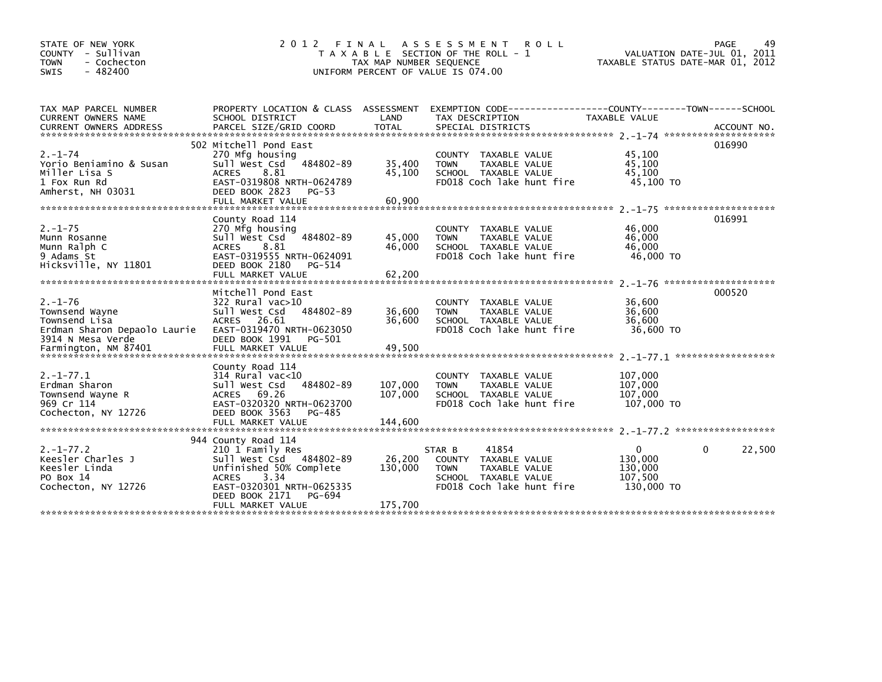| STATE OF NEW YORK<br>COUNTY - Sullivan<br><b>TOWN</b><br>- Cochecton<br>$-482400$<br><b>SWIS</b>                              | 2 0 1 2                                                                                                                                                                                             | TAX MAP NUMBER SEQUENCE       | FINAL ASSESSMENT ROLL<br>T A X A B L E SECTION OF THE ROLL - 1<br>UNIFORM PERCENT OF VALUE IS 074.00                         | VALUATION DATE-JUL 01, 2011<br>TAXABLE STATUS DATE-MAR 01, 2012 | PAGE<br>49  |
|-------------------------------------------------------------------------------------------------------------------------------|-----------------------------------------------------------------------------------------------------------------------------------------------------------------------------------------------------|-------------------------------|------------------------------------------------------------------------------------------------------------------------------|-----------------------------------------------------------------|-------------|
| TAX MAP PARCEL NUMBER<br>CURRENT OWNERS NAME                                                                                  | SCHOOL DISTRICT                                                                                                                                                                                     | LAND                          | PROPERTY LOCATION & CLASS ASSESSMENT EXEMPTION CODE----------------COUNTY-------TOWN------SCHOOL<br>TAX DESCRIPTION          | <b>TAXABLE VALUE</b>                                            |             |
| $2. - 1 - 74$<br>Yorio Beniamino & Susan<br>Miller Lisa S<br>1 Fox Run Rd<br>Amherst, NH 03031                                | 502 Mitchell Pond East<br>270 Mfg housing<br>484802-89<br>Sull West Csd<br><b>ACRES</b><br>8.81<br>EAST-0319808 NRTH-0624789<br>DEED BOOK 2823<br>PG-53                                             | 35,400<br>45,100              | COUNTY TAXABLE VALUE<br>TAXABLE VALUE<br><b>TOWN</b><br>SCHOOL TAXABLE VALUE<br>FD018 Coch lake hunt fire                    | 45,100<br>45,100<br>45,100<br>$45,100$ TO                       | 016990      |
| $2. - 1 - 75$<br>Munn Rosanne<br>Munn Ralph C<br>9 Adams St<br>Hicksville, NY 11801                                           | County Road 114<br>270 Mfg housing<br>Sull West Csd 484802-89<br>8.81<br><b>ACRES</b><br>EAST-0319555 NRTH-0624091<br>DEED BOOK 2180<br>PG-514                                                      | 45,000<br>46,000              | COUNTY TAXABLE VALUE<br><b>TOWN</b><br>TAXABLE VALUE<br>SCHOOL TAXABLE VALUE<br>FD018 Coch lake hunt fire                    | 46,000<br>46,000<br>46,000<br>46,000 TO                         | 016991      |
| $2. - 1 - 76$<br>Townsend Wayne<br>Townsend Lisa<br>Erdman Sharon Depaolo Laurie<br>3914 N Mesa Verde<br>Farmington, NM 87401 | Mitchell Pond East<br>322 Rural vac>10<br>484802-89<br>Sull West Csd<br>ACRES 26.61<br>EAST-0319470 NRTH-0623050<br>DEED BOOK 1991<br>PG-501<br>FULL MARKET VALUE                                   | 36,600<br>36,600<br>49,500    | COUNTY TAXABLE VALUE<br>TAXABLE VALUE<br><b>TOWN</b><br>SCHOOL TAXABLE VALUE<br>FD018 Coch lake hunt fire                    | 36,600<br>36,600<br>36,600<br>36,600 TO                         | 000520      |
| $2. -1 - 77.1$<br>Erdman Sharon<br>Townsend Wayne R<br>969 Cr 114<br>Cochecton, NY 12726                                      | County Road 114<br>$314$ Rural vac< $10$<br>Sull West Csd<br>484802-89<br>69.26<br><b>ACRES</b><br>EAST-0320320 NRTH-0623700<br>DEED BOOK 3563<br>PG-485<br>FULL MARKET VALUE                       | 107,000<br>107,000<br>144,600 | COUNTY TAXABLE VALUE<br>TAXABLE VALUE<br><b>TOWN</b><br>SCHOOL TAXABLE VALUE<br>FD018 Coch lake hunt fire                    | 107,000<br>107,000<br>107,000<br>107,000 TO                     |             |
| $2. -1 - 77.2$<br>Keesler Charles J<br>Keesler Linda<br>PO Box 14<br>Cochecton, NY 12726                                      | 944 County Road 114<br>210 1 Family Res<br>Sull West Csd 484802-89<br>Unfinished 50% Complete<br>3.34<br><b>ACRES</b><br>EAST-0320301 NRTH-0625335<br>DEED BOOK 2171<br>PG-694<br>FULL MARKET VALUE | 26,200<br>130,000<br>175,700  | 41854<br>STAR B<br>COUNTY TAXABLE VALUE<br><b>TOWN</b><br>TAXABLE VALUE<br>SCHOOL TAXABLE VALUE<br>FD018 Coch lake hunt fire | $\mathbf{0}$<br>130,000<br>130,000<br>107,500<br>130,000 TO     | 0<br>22,500 |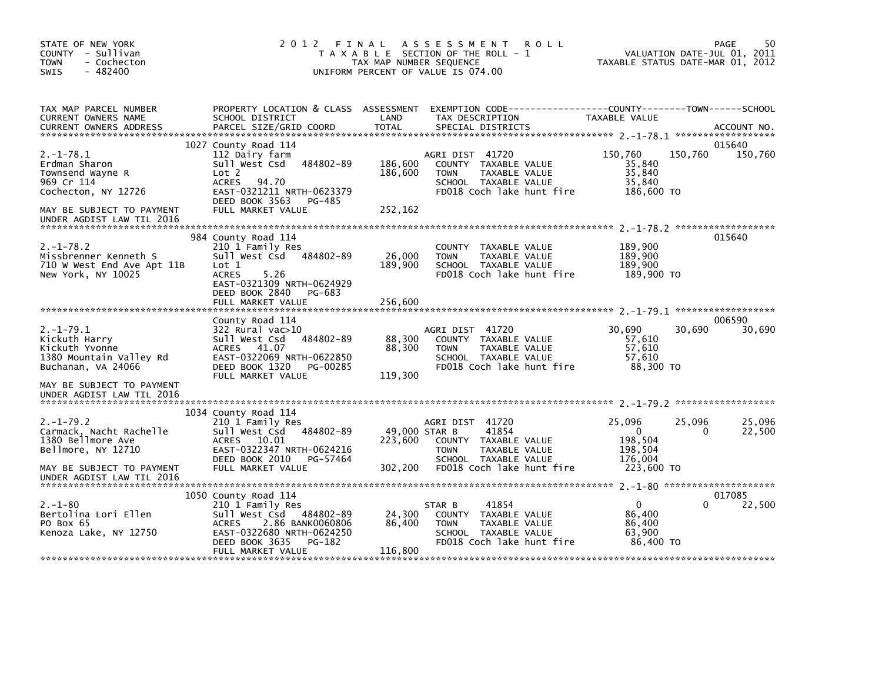| STATE OF NEW YORK<br>COUNTY - Sullivan<br><b>TOWN</b><br>- Cochecton<br>$-482400$<br><b>SWIS</b>                                               | 2012 FINAL                                                                                                                                                                               | A S S E S S M E N T<br><b>ROLL</b><br>T A X A B L E SECTION OF THE ROLL - 1<br>TAX MAP NUMBER SEQUENCE<br>UNIFORM PERCENT OF VALUE IS 074.00                                 | 50<br>PAGE<br>VALUATION DATE-JUL 01, 2011<br>TAXABLE STATUS DATE-MAR 01, 2012                                   |
|------------------------------------------------------------------------------------------------------------------------------------------------|------------------------------------------------------------------------------------------------------------------------------------------------------------------------------------------|------------------------------------------------------------------------------------------------------------------------------------------------------------------------------|-----------------------------------------------------------------------------------------------------------------|
| TAX MAP PARCEL NUMBER<br>CURRENT OWNERS NAME<br><b>CURRENT OWNERS ADDRESS</b>                                                                  | PROPERTY LOCATION & CLASS ASSESSMENT<br>SCHOOL DISTRICT<br>PARCEL SIZE/GRID COORD                                                                                                        | LAND<br>TAX DESCRIPTION<br><b>TOTAL</b><br>SPECIAL DISTRICTS                                                                                                                 | EXEMPTION CODE-----------------COUNTY-------TOWN------SCHOOL<br>TAXABLE VALUE<br>ACCOUNT NO.                    |
| $2. -1 - 78.1$<br>Erdman Sharon<br>Townsend Wayne R<br>969 Cr 114<br>Cochecton, NY 12726                                                       | 1027 County Road 114<br>112 Dairy farm<br>Sull West Csd 484802-89<br>Lot 2<br>ACRES<br>94.70<br>EAST-0321211 NRTH-0623379<br>DEED BOOK 3563<br>PG-485                                    | AGRI DIST 41720<br>186,600<br>COUNTY TAXABLE VALUE<br>186,600<br><b>TOWN</b><br>TAXABLE VALUE<br>SCHOOL TAXABLE VALUE<br>FD018 Coch lake hunt fire                           | 015640<br>150,760<br>150,760<br>150,760<br>35,840<br>35,840<br>35,840<br>186,600 TO                             |
| MAY BE SUBJECT TO PAYMENT<br>UNDER AGDIST LAW TIL 2016                                                                                         | FULL MARKET VALUE                                                                                                                                                                        | 252,162                                                                                                                                                                      |                                                                                                                 |
| $2. - 1 - 78.2$<br>Missbrenner Kenneth S<br>710 W West End Ave Apt 11B<br>New York, NY 10025                                                   | 984 County Road 114<br>210 1 Family Res<br>Sull West Csd 484802-89<br>Lot 1<br><b>ACRES</b><br>5.26<br>EAST-0321309 NRTH-0624929<br>DEED BOOK 2840<br>PG-683<br>FULL MARKET VALUE        | COUNTY TAXABLE VALUE<br>26,000<br>TAXABLE VALUE<br><b>TOWN</b><br>189,900<br>SCHOOL TAXABLE VALUE<br>FD018 Coch lake hunt fire<br>256,600                                    | 015640<br>189,900<br>189,900<br>189.900<br>189,900 TO                                                           |
| $2. -1 - 79.1$<br>Kickuth Harry<br>Kickuth Yvonne<br>1380 Mountain Valley Rd<br>Buchanan, VA 24066                                             | County Road 114<br>$322$ Rural vac $>10$<br>484802-89<br>Sull West Csd<br>ACRES 41.07<br>EAST-0322069 NRTH-0622850<br>DEED BOOK 1320<br>PG-00285<br>FULL MARKET VALUE                    | AGRI DIST 41720<br>88,300<br>COUNTY TAXABLE VALUE<br>88,300<br>TAXABLE VALUE<br><b>TOWN</b><br>SCHOOL TAXABLE VALUE<br>FD018 Coch lake hunt fire<br>119,300                  | 006590<br>30,690<br>30,690<br>30,690<br>57,610<br>57,610<br>57,610<br>88,300 TO                                 |
| MAY BE SUBJECT TO PAYMENT<br>UNDER AGDIST LAW TIL 2016                                                                                         |                                                                                                                                                                                          |                                                                                                                                                                              |                                                                                                                 |
| $2. -1 - 79.2$<br>Carmack, Nacht Rachelle<br>1380 Bellmore Ave<br>Bellmore, NY 12710<br>MAY BE SUBJECT TO PAYMENT<br>UNDER AGDIST LAW TIL 2016 | 1034 County Road 114<br>210 1 Family Res<br>484802-89<br>Sull West Csd<br>10.01<br>ACRES<br>EAST-0322347 NRTH-0624216<br>DEED BOOK 2010<br>PG-57464<br>FULL MARKET VALUE                 | AGRI DIST 41720<br>49,000 STAR B<br>41854<br>223,600<br>COUNTY TAXABLE VALUE<br><b>TOWN</b><br>TAXABLE VALUE<br>SCHOOL TAXABLE VALUE<br>302,200<br>FD018 Coch lake hunt fire | 25,096<br>25,096<br>25,096<br>$\mathbf{0}$<br>$\Omega$<br>22,500<br>198,504<br>198,504<br>176,004<br>223,600 TO |
| $2. - 1 - 80$<br>Bertolina Lori Ellen<br>PO Box 65<br>Kenoza Lake, NY 12750                                                                    | 1050 County Road 114<br>210 1 Family Res<br>Sull West Csd<br>484802-89<br>2.86 BANK0060806<br><b>ACRES</b><br>EAST-0322680 NRTH-0624250<br>DEED BOOK 3635<br>PG-182<br>FULL MARKET VALUE | 41854<br>STAR B<br>24,300<br>COUNTY TAXABLE VALUE<br>86,400<br><b>TOWN</b><br>TAXABLE VALUE<br>SCHOOL TAXABLE VALUE<br>FD018 Coch lake hunt fire<br>116,800                  | 017085<br>22,500<br>$\mathbf{0}$<br>0<br>86,400<br>86,400<br>63,900<br>86,400 TO                                |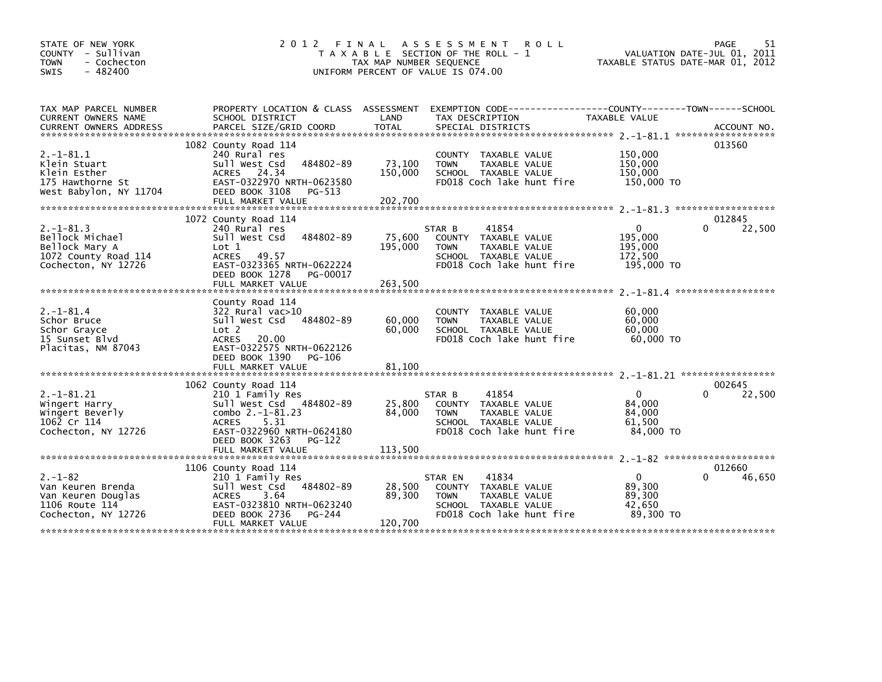| STATE OF NEW YORK<br>COUNTY - Sullivan                 |                                                  |                         | 2012 FINAL ASSESSMENT<br><b>ROLL</b><br>T A X A B L E SECTION OF THE ROLL - 1                                     |                                  | 51<br>PAGE<br>VALUATION DATE-JUL 01, 2011 |  |
|--------------------------------------------------------|--------------------------------------------------|-------------------------|-------------------------------------------------------------------------------------------------------------------|----------------------------------|-------------------------------------------|--|
| <b>TOWN</b><br>- Cochecton<br>$-482400$<br><b>SWIS</b> |                                                  | TAX MAP NUMBER SEQUENCE | UNIFORM PERCENT OF VALUE IS 074.00                                                                                | TAXABLE STATUS DATE-MAR 01, 2012 |                                           |  |
|                                                        |                                                  |                         |                                                                                                                   |                                  |                                           |  |
| TAX MAP PARCEL NUMBER<br>CURRENT OWNERS NAME           | SCHOOL DISTRICT                                  | LAND                    | PROPERTY LOCATION & CLASS ASSESSMENT EXEMPTION CODE---------------COUNTY-------TOWN-----SCHOOL<br>TAX DESCRIPTION | <b>TAXABLE VALUE</b>             |                                           |  |
|                                                        |                                                  |                         |                                                                                                                   |                                  |                                           |  |
|                                                        | 1082 County Road 114                             |                         |                                                                                                                   |                                  | 013560                                    |  |
| $2. -1 - 81.1$                                         | 240 Rural res                                    |                         | COUNTY TAXABLE VALUE                                                                                              | 150,000                          |                                           |  |
| Klein Stuart<br>Klein Esther                           | 484802-89<br>Sull West Csd<br>ACRES 24.34        | 73,100<br>150,000       | <b>TOWN</b><br>TAXABLE VALUE<br>SCHOOL TAXABLE VALUE                                                              | 150,000<br>150,000               |                                           |  |
| 175 Hawthorne St                                       | EAST-0322970 NRTH-0623580                        |                         | FD018 Coch lake hunt fire                                                                                         | 150,000 TO                       |                                           |  |
| West Babylon, NY 11704                                 | DEED BOOK 3108<br>PG-513                         |                         |                                                                                                                   |                                  |                                           |  |
|                                                        | FULL MARKET VALUE                                | 202,700                 |                                                                                                                   |                                  |                                           |  |
|                                                        | 1072 County Road 114                             |                         |                                                                                                                   |                                  | 012845                                    |  |
| $2. -1 - 81.3$                                         | 240 Rural res                                    |                         | STAR B<br>41854                                                                                                   | $\mathbf{0}$                     | 22,500<br>0                               |  |
| Bellock Michael                                        | Sull West Csd<br>484802-89                       | 75,600                  | COUNTY TAXABLE VALUE                                                                                              | 195.000                          |                                           |  |
| Bellock Mary A<br>1072 County Road 114                 | Lot 1<br>ACRES 49.57                             | 195,000                 | TAXABLE VALUE<br><b>TOWN</b><br>SCHOOL TAXABLE VALUE                                                              | 195,000<br>172,500               |                                           |  |
| Cochecton, NY 12726                                    | EAST-0323365 NRTH-0622224                        |                         | FD018 Coch lake hunt fire                                                                                         | 195,000 TO                       |                                           |  |
|                                                        | DEED BOOK 1278<br>PG-00017                       |                         |                                                                                                                   |                                  |                                           |  |
|                                                        | FULL MARKET VALUE                                | 263,500                 |                                                                                                                   |                                  |                                           |  |
|                                                        | County Road 114                                  |                         |                                                                                                                   |                                  |                                           |  |
| $2. -1 - 81.4$                                         | $322$ Rural vac $>10$                            |                         | TAXABLE VALUE<br><b>COUNTY</b>                                                                                    | 60,000                           |                                           |  |
| Schor Bruce<br>Schor Grayce                            | Sull West Csd 484802-89<br>Lot 2                 | 60,000<br>60,000        | <b>TOWN</b><br>TAXABLE VALUE<br>SCHOOL TAXABLE VALUE                                                              | 60,000<br>60,000                 |                                           |  |
| 15 Sunset Blvd                                         | ACRES 20.00                                      |                         | FD018 Coch lake hunt fire                                                                                         | 60.000 TO                        |                                           |  |
| Placitas, NM 87043                                     | EAST-0322575 NRTH-0622126                        |                         |                                                                                                                   |                                  |                                           |  |
|                                                        | DEED BOOK 1390<br>PG-106                         |                         |                                                                                                                   |                                  |                                           |  |
|                                                        |                                                  |                         |                                                                                                                   |                                  |                                           |  |
|                                                        | 1062 County Road 114                             |                         |                                                                                                                   |                                  | 002645                                    |  |
| $2. -1 - 81.21$                                        | 210 1 Family Res                                 |                         | STAR B<br>41854                                                                                                   | $\Omega$                         | $\Omega$<br>22,500                        |  |
| Wingert Harry<br>Wingert Beverly                       | Sull West Csd 484802-89<br>combo $2. -1 - 81.23$ | 25,800<br>84,000        | TAXABLE VALUE<br><b>COUNTY</b><br><b>TOWN</b><br>TAXABLE VALUE                                                    | 84,000<br>84,000                 |                                           |  |
| 1062 Cr 114                                            | 5.31<br><b>ACRES</b>                             |                         | SCHOOL TAXABLE VALUE                                                                                              | 61,500                           |                                           |  |
| Cochecton, NY 12726                                    | EAST-0322960 NRTH-0624180                        |                         | FD018 Coch lake hunt fire                                                                                         | 84,000 TO                        |                                           |  |
|                                                        | DEED BOOK 3263<br>$PG-122$<br>FULL MARKET VALUE  | 113,500                 |                                                                                                                   |                                  |                                           |  |
|                                                        |                                                  |                         |                                                                                                                   |                                  |                                           |  |
|                                                        | 1106 County Road 114                             |                         |                                                                                                                   |                                  | 012660                                    |  |
| $2. - 1 - 82$                                          | 210 1 Family Res<br>Sull West Csd 484802-89      | 28,500                  | 41834<br>STAR EN<br>COUNTY TAXABLE VALUE                                                                          | $\mathbf{0}$<br>89,300           | 46,650<br>∩                               |  |
| Van Keuren Brenda<br>Van Keuren Douglas                | <b>ACRES</b><br>3.64                             | 89.300                  | <b>TOWN</b><br><b>TAXABLE VALUE</b>                                                                               | 89,300                           |                                           |  |
| 1106 Route 114                                         | EAST-0323810 NRTH-0623240                        |                         | SCHOOL TAXABLE VALUE                                                                                              | 42.650                           |                                           |  |
| Cochecton, NY 12726                                    | DEED BOOK 2736<br>PG-244                         |                         | FD018 Coch lake hunt fire                                                                                         | 89,300 TO                        |                                           |  |
|                                                        | FULL MARKET VALUE                                | 120,700                 |                                                                                                                   |                                  |                                           |  |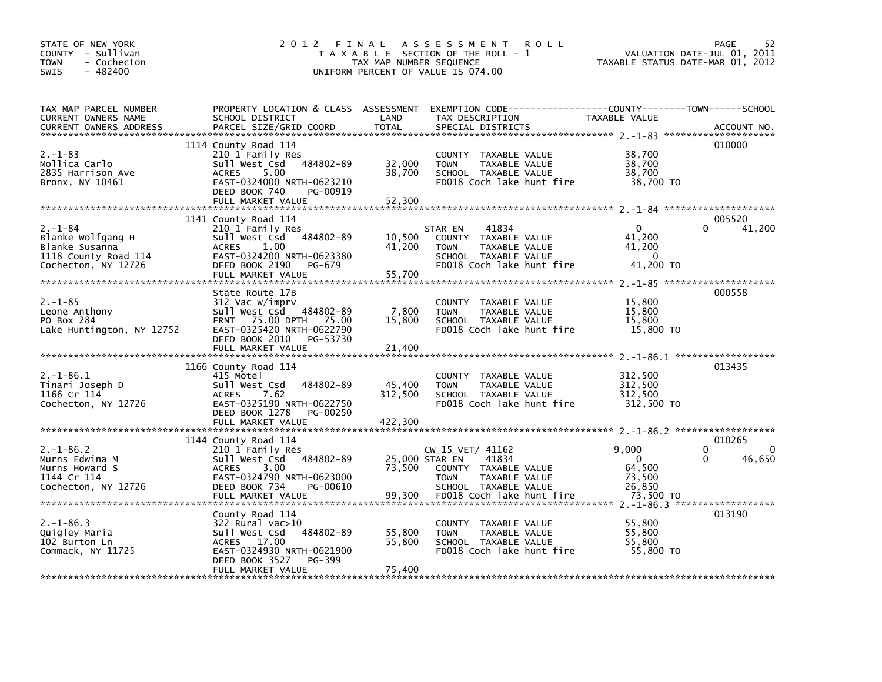| STATE OF NEW YORK<br>COUNTY - Sullivan<br>- Cochecton<br>TOWN<br>$-482400$<br>SWIS                  | 2012 FINAL                                                                                                                                                                    | TAX MAP NUMBER SEQUENCE            | <b>ROLL</b><br>A S S E S S M E N T<br>T A X A B L E SECTION OF THE ROLL - 1<br>UNIFORM PERCENT OF VALUE IS 074.00                      | TAXABLE STATUS DATE-MAR 01, 2012                             | 52<br><b>PAGE</b><br>VALUATION DATE-JUL 01, 2011 |
|-----------------------------------------------------------------------------------------------------|-------------------------------------------------------------------------------------------------------------------------------------------------------------------------------|------------------------------------|----------------------------------------------------------------------------------------------------------------------------------------|--------------------------------------------------------------|--------------------------------------------------|
| TAX MAP PARCEL NUMBER<br>CURRENT OWNERS NAME<br><b>CURRENT OWNERS ADDRESS</b>                       | PROPERTY LOCATION & CLASS ASSESSMENT<br>SCHOOL DISTRICT<br>PARCEL SIZE/GRID COORD                                                                                             | LAND<br><b>TOTAL</b>               | EXEMPTION CODE-----------------COUNTY-------TOWN------SCHOOL<br>TAX DESCRIPTION<br>SPECIAL DISTRICTS                                   | TAXABLE VALUE                                                | ACCOUNT NO.                                      |
| $2. - 1 - 83$<br>Mollica Carlo<br>2835 Harrison Ave<br>Bronx, NY 10461                              | 1114 County Road 114<br>210 1 Family Res<br>484802-89<br>Sull West Csd<br>5.00<br><b>ACRES</b><br>EAST-0324000 NRTH-0623210<br>DEED BOOK 740<br>PG-00919<br>FULL MARKET VALUE | 32,000<br>38,700<br>52,300         | COUNTY TAXABLE VALUE<br>TAXABLE VALUE<br><b>TOWN</b><br>SCHOOL TAXABLE VALUE<br>FD018 Coch lake hunt fire                              | 38,700<br>38,700<br>38,700<br>38,700 TO                      | 010000                                           |
| $2. - 1 - 84$<br>Blanke Wolfgang H<br>Blanke Susanna<br>1118 County Road 114<br>Cochecton, NY 12726 | 1141 County Road 114<br>210 1 Family Res<br>Sull West Csd 484802-89<br><b>ACRES</b><br>1.00<br>EAST-0324200 NRTH-0623380<br>DEED BOOK 2190<br>PG-679<br>FULL MARKET VALUE     | 10,500<br>41,200<br>55,700         | 41834<br>STAR EN<br>COUNTY TAXABLE VALUE<br><b>TOWN</b><br>TAXABLE VALUE<br>SCHOOL TAXABLE VALUE<br>FD018 Coch lake hunt fire          | $\Omega$<br>41,200<br>41,200<br>$\Omega$<br>41,200 TO        | 005520<br>41,200                                 |
| $2. - 1 - 85$<br>Leone Anthony<br>PO Box 284<br>Lake Huntington, NY 12752                           | State Route 17B<br>312 Vac w/imprv<br>Sull West Csd 484802-89<br>FRNT 75.00 DPTH 75.00<br>EAST-0325420 NRTH-0622790<br>DEED BOOK 2010<br>PG-53730<br>FULL MARKET VALUE        | 7,800<br>15,800<br>21,400          | COUNTY TAXABLE VALUE<br>TAXABLE VALUE<br><b>TOWN</b><br>SCHOOL TAXABLE VALUE<br>FD018 Coch lake hunt fire                              | 15,800<br>15,800<br>15,800<br>15.800 TO                      | 000558                                           |
| $2. -1 - 86.1$<br>Tinari Joseph D<br>1166 Cr 114<br>Cochecton, NY 12726                             | 1166 County Road 114<br>415 Motel<br>484802-89<br>Sull West Csd<br>7.62<br><b>ACRES</b><br>EAST-0325190 NRTH-0622750<br>DEED BOOK 1278<br>PG-00250                            | 45,400<br>312,500                  | COUNTY TAXABLE VALUE<br>TAXABLE VALUE<br><b>TOWN</b><br>SCHOOL TAXABLE VALUE<br>FD018 Coch lake hunt fire                              | 312,500<br>312,500<br>312,500<br>312,500 TO                  | 013435                                           |
| $2. -1 - 86.2$<br>Murns Edwina M<br>Murns Howard S<br>1144 Cr 114<br>Cochecton, NY 12726            | 1144 County Road 114<br>210 1 Family Res<br>Sull West Csd<br>484802-89<br>3.00<br><b>ACRES</b><br>EAST-0324790 NRTH-0623000<br>PG-00610<br>DEED BOOK 734<br>FULL MARKET VALUE | 25,000 STAR EN<br>73.500<br>99,300 | CW_15_VET/ 41162<br>41834<br>COUNTY TAXABLE VALUE<br><b>TOWN</b><br>TAXABLE VALUE<br>SCHOOL TAXABLE VALUE<br>FD018 Coch lake hunt fire | 9,000<br>$\Omega$<br>64.500<br>73,500<br>26,850<br>73,500 TO | 010265<br>0<br>0<br>46,650<br>$\Omega$           |
| $2. -1 - 86.3$<br>Quigley Maria<br>102 Burton Ln<br>Commack, NY 11725                               | County Road 114<br>322 Rural vac>10<br>484802-89<br>Sull West Csd<br>ACRES 17.00<br>EAST-0324930 NRTH-0621900<br>DEED BOOK 3527<br>PG-399<br>FULL MARKET VALUE                | 55,800<br>55.800<br>75,400         | COUNTY TAXABLE VALUE<br><b>TOWN</b><br>TAXABLE VALUE<br>SCHOOL TAXABLE VALUE<br>FD018 Coch lake hunt fire                              | 55,800<br>55,800<br>55.800<br>55,800 TO                      | 013190                                           |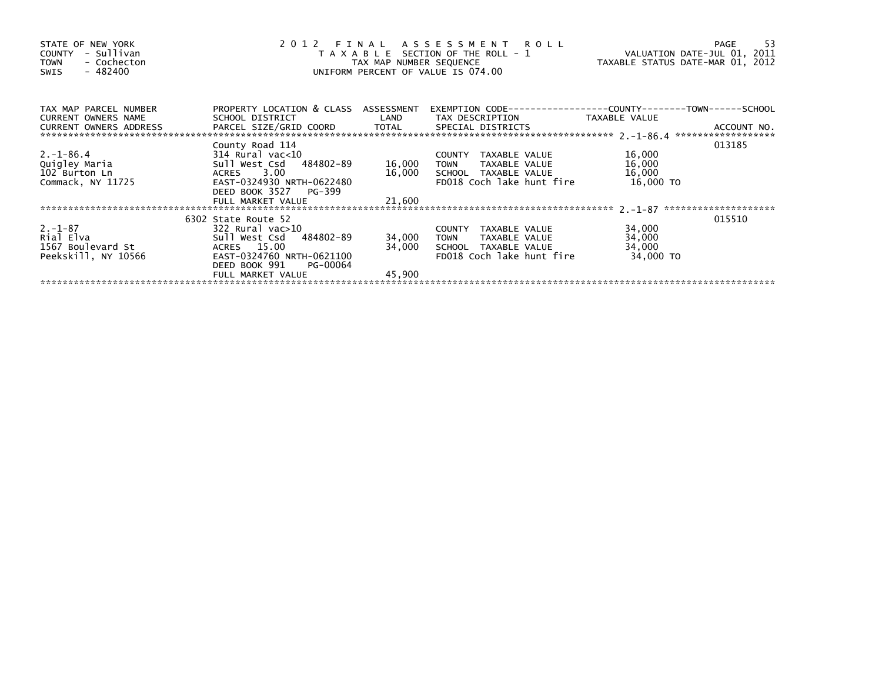| STATE OF NEW YORK<br>- Sullivan<br>COUNTY<br>- Cochecton<br><b>TOWN</b><br>$-482400$<br>SWIS | 2012 FINAL ASSESSMENT ROLL<br>T A X A B L E SECTION OF THE ROLL - 1<br>TAX MAP NUMBER SEQUENCE<br>UNIFORM PERCENT OF VALUE IS 074.00 | VALUATION DATE-JUL 01, 2011<br>TAXABLE STATUS DATE-MAR 01, 2012 | -53<br>PAGE                                                                                        |                  |        |
|----------------------------------------------------------------------------------------------|--------------------------------------------------------------------------------------------------------------------------------------|-----------------------------------------------------------------|----------------------------------------------------------------------------------------------------|------------------|--------|
| TAX MAP PARCEL NUMBER<br><b>CURRENT OWNERS NAME</b>                                          | PROPERTY LOCATION & CLASS ASSESSMENT<br>SCHOOL DISTRICT                                                                              |                                                                 | EXEMPTION CODE-----------------COUNTY-------TOWN------SCHOOL<br>LAND TAX DESCRIPTION TAXABLE VALUE |                  |        |
| CURRENT OWNERS ADDRESS                                                                       |                                                                                                                                      |                                                                 |                                                                                                    |                  |        |
|                                                                                              | County Road 114                                                                                                                      |                                                                 |                                                                                                    |                  | 013185 |
| $2. -1 - 86.4$                                                                               | 314 Rural vac<10<br>314 Rural vac<10<br>Sull West Csd   484802-89                                                                    | 16,000                                                          | COUNTY TAXABLE VALUE                                                                               | 16,000<br>16,000 |        |
| Quigley Maria<br>102 Burton Ln                                                               | ACRES 3.00                                                                                                                           |                                                                 | <b>TOWN</b><br>TAXABLE VALUE<br>16,000 SCHOOL TAXABLE VALUE                                        | 16,000           |        |
| Commack, NY 11725                                                                            | EAST-0324930 NRTH-0622480<br>DEED BOOK 3527 PG-399                                                                                   |                                                                 | FD018 Coch lake hunt fire                                                                          | 16,000 TO        |        |
|                                                                                              | FULL MARKET VALUE                                                                                                                    | 21,600                                                          |                                                                                                    |                  |        |
|                                                                                              |                                                                                                                                      |                                                                 |                                                                                                    |                  |        |
|                                                                                              | 6302 State Route 52                                                                                                                  |                                                                 |                                                                                                    |                  | 015510 |
| $2. -1 - 87$                                                                                 | 322 Rural vac>10                                                                                                                     |                                                                 | COUNTY TAXABLE VALUE                                                                               | 34,000           |        |
| Rial Elva                                                                                    | Sull West Csd 484802-89                                                                                                              | 34,000                                                          | TAXABLE VALUE<br><b>TOWN</b>                                                                       | 34,000           |        |
| 1567 Boulevard St                                                                            | ACRES 15.00                                                                                                                          | 34,000                                                          | SCHOOL TAXABLE VALUE                                                                               | 34,000           |        |
| Peekskill, NY 10566                                                                          | EAST-0324760 NRTH-0621100<br>DEED BOOK 991<br>PG-00064                                                                               |                                                                 | FD018 Coch lake hunt fire                                                                          | 34,000 TO        |        |
|                                                                                              | FULL MARKET VALUE                                                                                                                    | 45,900                                                          |                                                                                                    |                  |        |
|                                                                                              |                                                                                                                                      |                                                                 |                                                                                                    |                  |        |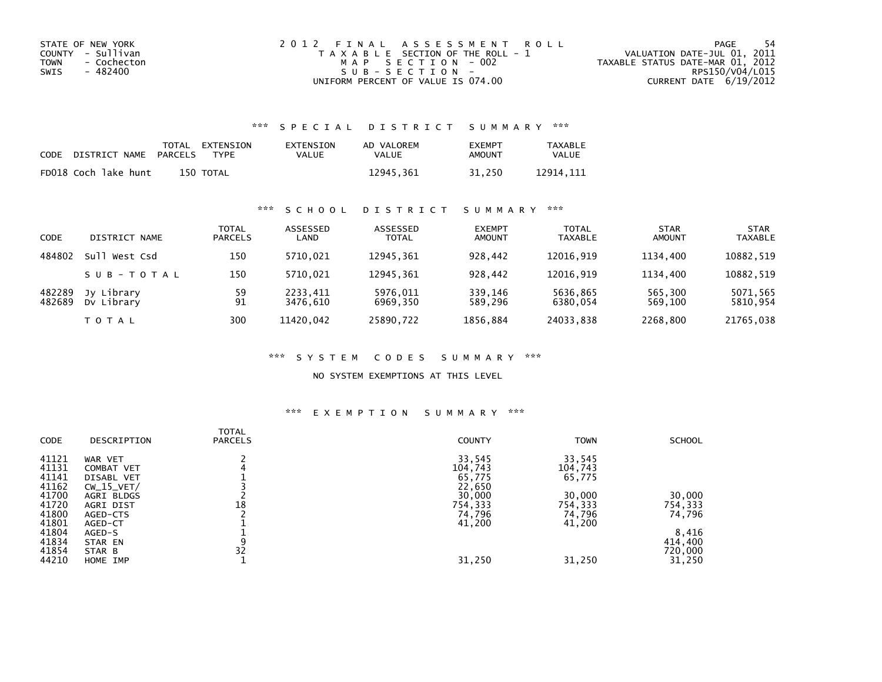| STATE OF NEW YORK   | 2012 FINAL ASSESSMENT ROLL            | -54<br>PAGE                      |
|---------------------|---------------------------------------|----------------------------------|
| COUNTY - Sullivan   | T A X A B L E SECTION OF THE ROLL - 1 | VALUATION DATE-JUL 01, 2011      |
| TOWN<br>- Cochecton | MAP SECTION - 002                     | TAXABLE STATUS DATE-MAR 01, 2012 |
| - 482400<br>SWIS    | SUB-SECTION-                          | RPS150/V04/L015                  |
|                     | UNIFORM PERCENT OF VALUE IS 074.00    | CURRENT DATE 6/19/2012           |

## \*\*\* S P E C I A L D I S T R I C T S U M M A R Y \*\*\*

| CODE | DISTRICT NAME        | PARCELS | TOTAL EXTENSION<br>TYPF | EXTENSION<br>VALUE | AD VALOREM<br>VALUE | <b>EXEMPT</b><br>AMOUNT | <b>TAXABLE</b><br><b>VALUE</b> |
|------|----------------------|---------|-------------------------|--------------------|---------------------|-------------------------|--------------------------------|
|      | FD018 Coch lake hunt |         | 150 TOTAL               |                    | 12945.361           | 31.250                  | 12914.111                      |

## \*\*\* S C H O O L D I S T R I C T S U M M A R Y \*\*\*

| <b>CODE</b>      | DISTRICT NAME            | <b>TOTAL</b><br><b>PARCELS</b> | ASSESSED<br>LAND     | ASSESSED<br><b>TOTAL</b> | <b>EXEMPT</b><br><b>AMOUNT</b> | <b>TOTAL</b><br><b>TAXABLE</b> | <b>STAR</b><br><b>AMOUNT</b> | <b>STAR</b><br><b>TAXABLE</b> |
|------------------|--------------------------|--------------------------------|----------------------|--------------------------|--------------------------------|--------------------------------|------------------------------|-------------------------------|
| 484802           | su1<br>West Csd          | 150                            | 5710.021             | 12945.361                | 928.442                        | 12016.919                      | 1134.400                     | 10882,519                     |
|                  | SUB-TOTAL                | 150                            | 5710.021             | 12945.361                | 928.442                        | 12016.919                      | 1134.400                     | 10882,519                     |
| 482289<br>482689 | Jy Library<br>Dy Library | 59<br>91                       | 2233,411<br>3476.610 | 5976,011<br>6969.350     | 339,146<br>589.296             | 5636,865<br>6380.054           | 565,300<br>569.100           | 5071,565<br>5810,954          |
|                  | TOTAL                    | 300                            | 11420.042            | 25890,722                | 1856,884                       | 24033,838                      | 2268,800                     | 21765,038                     |

### \*\*\* S Y S T E M C O D E S S U M M A R Y \*\*\*

### NO SYSTEM EXEMPTIONS AT THIS LEVEL

### \*\*\* E X E M P T I O N S U M M A R Y \*\*\*

| <b>CODE</b> | DESCRIPTION  | <b>TOTAL</b><br><b>PARCELS</b> | <b>COUNTY</b> | <b>TOWN</b> | <b>SCHOOL</b> |
|-------------|--------------|--------------------------------|---------------|-------------|---------------|
| 41121       | WAR VET      |                                | 33,545        | 33,545      |               |
| 41131       | COMBAT VET   |                                | 104,743       | 104,743     |               |
| 41141       | DISABL VET   |                                | 65,775        | 65,775      |               |
| 41162       | $CW_15_VET/$ |                                | 22,650        |             |               |
| 41700       | AGRI BLDGS   |                                | 30,000        | 30,000      | 30,000        |
| 41720       | AGRI DIST    | 18                             | 754,333       | 754,333     | 754,333       |
| 41800       | AGED-CTS     |                                | 74,796        | 74,796      | 74,796        |
| 41801       | AGED-CT      |                                | 41,200        | 41,200      |               |
| 41804       | AGED-S       |                                |               |             | 8,416         |
| 41834       | STAR EN      | 9                              |               |             | 414,400       |
| 41854       | STAR B       | 32                             |               |             | 720,000       |
| 44210       | HOME IMP     |                                | 31,250        | 31,250      | 31,250        |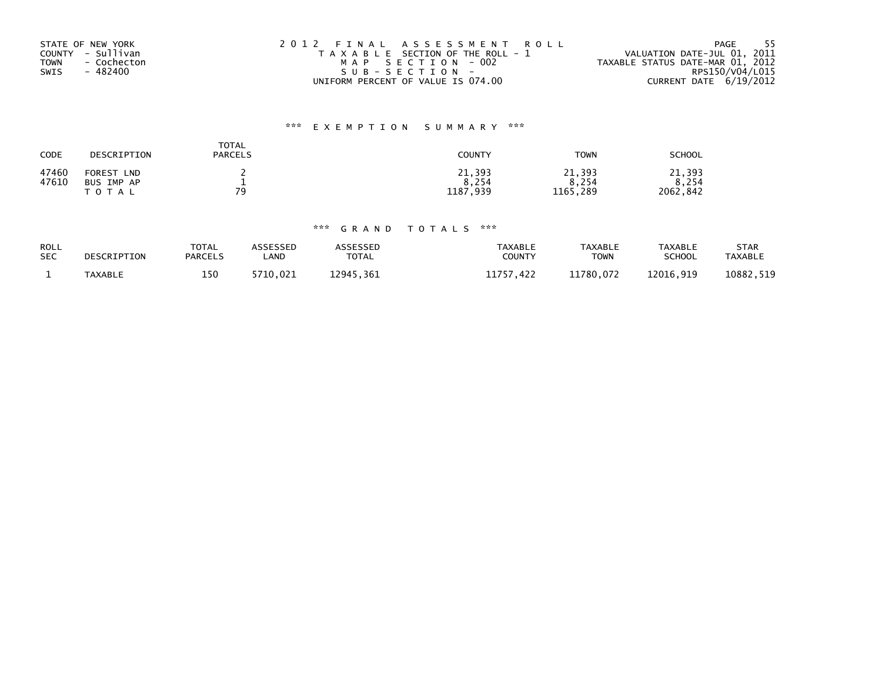| STATE OF NEW YORK          | 2012 FINAL ASSESSMENT ROLL            | - 55<br>PAGE                     |
|----------------------------|---------------------------------------|----------------------------------|
| COUNTY - Sullivan          | T A X A B L E SECTION OF THE ROLL - 1 | VALUATION DATE-JUL 01, 2011      |
| <b>TOWN</b><br>- Cochecton | MAP SECTION - 002                     | TAXABLE STATUS DATE-MAR 01, 2012 |
| - 482400<br>SWIS           | $SUB - SECTION -$                     | RPS150/V04/L015                  |
|                            | UNIFORM PERCENT OF VALUE IS 074.00    | CURRENT DATE 6/19/2012           |

# \*\*\* E X E M P T I O N S U M M A R Y \*\*\*

| CODE  | DESCRIPTION          | <b>TOTAL</b><br><b>PARCELS</b> | <b>COUNTY</b> | <b>TOWN</b> | <b>SCHOOL</b> |
|-------|----------------------|--------------------------------|---------------|-------------|---------------|
| 47460 | FOREST<br><b>LND</b> |                                | 21,393        | 21,393      | 21,393        |
| 47610 | BUS IMP AP           | -                              | 8,254         | 8.254       | 8,254         |
|       | T O T A L            | 70                             | 1187,939      | 1165,289    | 2062,842      |

# \*\*\* G R A N D T O T A L S \*\*\*

| <b>ROLL</b> | DESCRIPTION    | TOTAL          | ASSESSED   | <b>ASSESSED</b> | <b>TAXABLE</b>            | <b>TAXABLE</b> | <b>TAXABLE</b> | <b>STAR</b>    |
|-------------|----------------|----------------|------------|-----------------|---------------------------|----------------|----------------|----------------|
| <b>SEC</b>  |                | <b>PARCELS</b> | <b>AND</b> | <b>TOTAL</b>    | COUNTY                    | ⊤OWN           | <b>SCHOOL</b>  | <b>TAXABLE</b> |
|             | <b>TAXABLE</b> | 150            | 5710.021   | 12945.361       | 11757<br>$^{\prime}$ .422 | 11780.072      | 12016.919      | 10882,519      |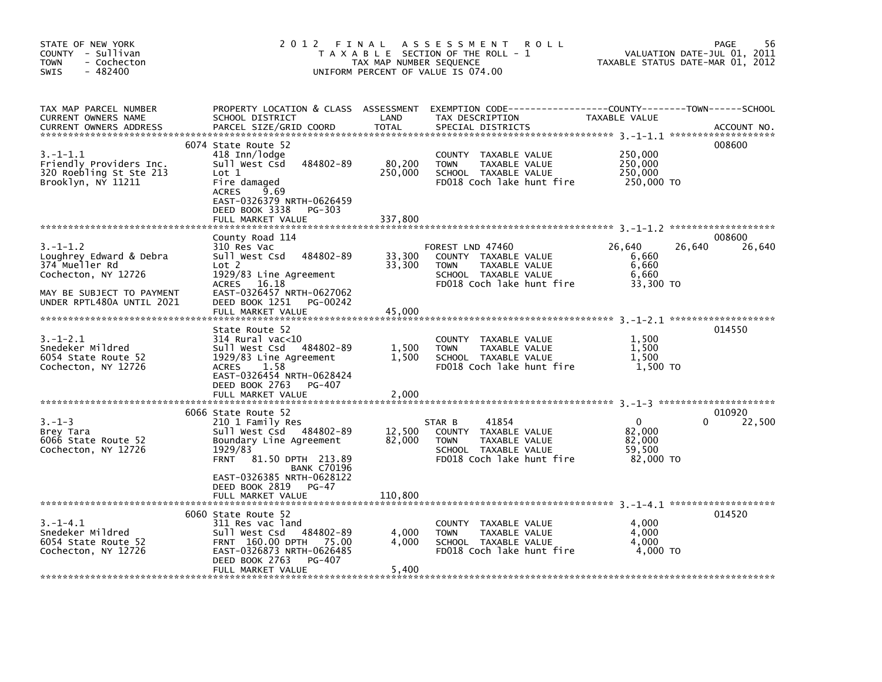| STATE OF NEW YORK<br>COUNTY - Sullivan<br><b>TOWN</b><br>- Cochecton<br>- 482400<br><b>SWIS</b>                 | 2 0 1 2                                                                                                                                                                                           | FINAL<br>TAX MAP NUMBER SEQUENCE | A S S E S S M E N T<br><b>ROLL</b><br>T A X A B L E SECTION OF THE ROLL - 1<br>UNIFORM PERCENT OF VALUE IS 074.00             |                                                        | 56<br>PAGE<br>VALUATION DATE-JUL 01, 2011<br>TAXABLE STATUS DATE-MAR 01, 2012 |
|-----------------------------------------------------------------------------------------------------------------|---------------------------------------------------------------------------------------------------------------------------------------------------------------------------------------------------|----------------------------------|-------------------------------------------------------------------------------------------------------------------------------|--------------------------------------------------------|-------------------------------------------------------------------------------|
| TAX MAP PARCEL NUMBER<br>CURRENT OWNERS NAME<br><b>CURRENT OWNERS ADDRESS</b>                                   | PROPERTY LOCATION & CLASS ASSESSMENT<br>SCHOOL DISTRICT<br>PARCEL SIZE/GRID COORD                                                                                                                 | LAND<br><b>TOTAL</b>             | EXEMPTION CODE-----------------COUNTY-------TOWN------SCHOOL<br>TAX DESCRIPTION<br>SPECIAL DISTRICTS                          | TAXABLE VALUE                                          | ACCOUNT NO.                                                                   |
| $3.-1-1.1$<br>Friendly Providers Inc.<br>320 Roebling St Ste 213<br>Brooklyn, NY 11211                          | 6074 State Route 52<br>418 Inn/lodge<br>484802-89<br>Sull West Csd<br>Lot 1<br>Fire damaged<br>9.69<br><b>ACRES</b><br>EAST-0326379 NRTH-0626459<br>DEED BOOK 3338<br>PG-303<br>FULL MARKET VALUE | 80,200<br>250,000<br>337,800     | COUNTY TAXABLE VALUE<br><b>TOWN</b><br>TAXABLE VALUE<br>SCHOOL TAXABLE VALUE<br>FD018 Coch lake hunt fire                     | 250,000<br>250,000<br>250,000<br>250,000 TO            | 008600                                                                        |
|                                                                                                                 | County Road 114                                                                                                                                                                                   |                                  |                                                                                                                               |                                                        | 008600                                                                        |
| $3. - 1 - 1.2$<br>Loughrey Edward & Debra<br>374 Mueller Rd<br>Cochecton, NY 12726<br>MAY BE SUBJECT TO PAYMENT | 310 Res Vac<br>484802-89<br>Sull West Csd<br>Lot 2<br>1929/83 Line Agreement<br>ACRES 16.18<br>EAST-0326457 NRTH-0627062                                                                          | 33,300<br>33,300                 | FOREST LND 47460<br>COUNTY TAXABLE VALUE<br>TAXABLE VALUE<br><b>TOWN</b><br>SCHOOL TAXABLE VALUE<br>FD018 Coch lake hunt fire | 26,640<br>6,660<br>6,660<br>6,660<br>33,300 TO         | 26,640<br>26,640                                                              |
| UNDER RPTL480A UNTIL 2021                                                                                       | DEED BOOK 1251<br>PG-00242<br>FULL MARKET VALUE                                                                                                                                                   | 45,000                           |                                                                                                                               |                                                        |                                                                               |
|                                                                                                                 |                                                                                                                                                                                                   |                                  |                                                                                                                               |                                                        |                                                                               |
| $3. - 1 - 2.1$<br>Snedeker Mildred<br>6054 State Route 52<br>Cochecton, NY 12726                                | State Route 52<br>314 Rural vac<10<br>Sull West Csd<br>484802-89<br>1929/83 Line Agreement<br>1.58<br><b>ACRES</b><br>EAST-0326454 NRTH-0628424<br>DEED BOOK 2763<br>PG-407                       | 1,500<br>1,500                   | <b>COUNTY</b><br>TAXABLE VALUE<br><b>TOWN</b><br>TAXABLE VALUE<br>SCHOOL TAXABLE VALUE<br>FD018 Coch lake hunt fire           | 1,500<br>1,500<br>1,500<br>1,500 TO                    | 014550                                                                        |
|                                                                                                                 | FULL MARKET VALUE                                                                                                                                                                                 | 2,000                            |                                                                                                                               |                                                        |                                                                               |
| $3. - 1 - 3$<br>Brey Tara<br>6066 State Route 52<br>Cochecton, NY 12726                                         | 6066 State Route 52<br>210 1 Family Res<br>Sull West Csd<br>484802-89<br>Boundary Line Agreement<br>1929/83<br>81.50 DPTH 213.89<br><b>FRNT</b><br><b>BANK C70196</b>                             | 12,500<br>82,000                 | 41854<br>STAR B<br>COUNTY TAXABLE VALUE<br><b>TOWN</b><br>TAXABLE VALUE<br>SCHOOL TAXABLE VALUE<br>FD018 Coch lake hunt fire  | $\mathbf 0$<br>82.000<br>82,000<br>59,500<br>82.000 TO | 010920<br>22,500<br>0                                                         |
|                                                                                                                 | EAST-0326385 NRTH-0628122<br>DEED BOOK 2819<br>PG-47<br>FULL MARKET VALUE                                                                                                                         | 110,800                          |                                                                                                                               |                                                        |                                                                               |
|                                                                                                                 | 6060 State Route 52                                                                                                                                                                               |                                  |                                                                                                                               |                                                        | 014520                                                                        |
| $3. -1 - 4.1$<br>Snedeker Mildred<br>6054 State Route 52<br>Cochecton, NY 12726                                 | 311 Res vac land<br>484802-89<br>Sull West Csd<br>FRNT 160.00 DPTH 75.00<br>EAST-0326873 NRTH-0626485<br>DEED BOOK 2763<br>PG-407                                                                 | 4,000<br>4.000                   | COUNTY TAXABLE VALUE<br><b>TOWN</b><br>TAXABLE VALUE<br>SCHOOL TAXABLE VALUE<br>FD018 Coch lake hunt fire                     | 4,000<br>4,000<br>4.000<br>4,000 TO                    |                                                                               |
|                                                                                                                 | FULL MARKET VALUE                                                                                                                                                                                 | 5,400                            |                                                                                                                               |                                                        |                                                                               |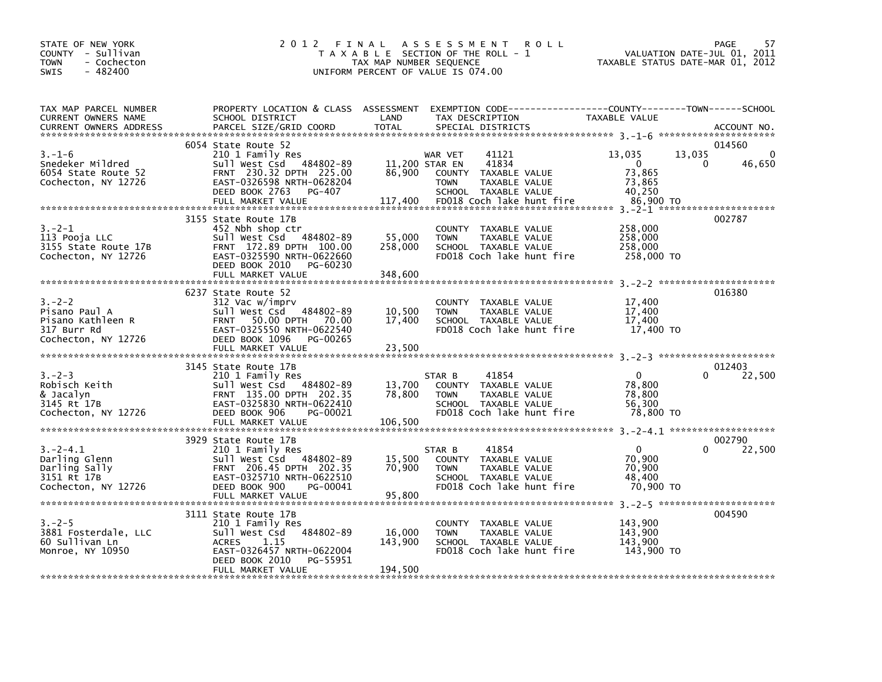| STATE OF NEW YORK<br>COUNTY - Sullivan<br>- Cochecton<br><b>TOWN</b><br>$-482400$<br><b>SWIS</b>                                                                                                                                                     |                                                                                                                                                                                                                         | TAX MAP NUMBER SEQUENCE      | 2012 FINAL ASSESSMENT ROLL<br>T A X A B L E SECTION OF THE ROLL - 1<br>UNIFORM PERCENT OF VALUE IS 074.00                    | VALUATION DATE-JUL 01, 2011<br>TAXABLE STATUS DATE-MAR 01, 2012    | PAGE<br>57                   |
|------------------------------------------------------------------------------------------------------------------------------------------------------------------------------------------------------------------------------------------------------|-------------------------------------------------------------------------------------------------------------------------------------------------------------------------------------------------------------------------|------------------------------|------------------------------------------------------------------------------------------------------------------------------|--------------------------------------------------------------------|------------------------------|
| TAX MAP PARCEL NUMBER<br>CURRENT OWNERS NAME<br>CURRENT OWNERS NAME MANISS STRING OF STATE STATE TO THE SPECIAL DISTRICTS CURRENT OWNERS ADDRESS PARCEL SIZE/GRID COORD TOTAL SPECIAL DISTRICTS (2000) TOTAL STRING ON THE STATE OF ACCOUNT NO.      | PROPERTY LOCATION & CLASS ASSESSMENT EXEMPTION CODE---------------COUNTY-------TOWN-----SCHOOL                                                                                                                          |                              | TAX DESCRIPTION<br>TAX DESCRIPTION<br>SPECIAL DISTRICTS                                                                      |                                                                    |                              |
|                                                                                                                                                                                                                                                      | 6054 State Route 52                                                                                                                                                                                                     |                              |                                                                                                                              |                                                                    | 014560                       |
| $3 - 2 - 1$<br>113 Pooja LLC                                                                                                                                                                                                                         | 3155 State Route 17B<br>452 Nbh shop ctr<br>452 NDM SHOP Ctr<br>Sull West Csd 484802-89 55,000 TOWN<br>FRNT 172.89 DPTH 100.00 258,000 SCHOO<br>DEED BOOK 2010 PG-60230<br>FULL MARKET VALUE                            | 348,600                      | COUNTY TAXABLE VALUE<br>TAXABLE VALUE<br>258,000 SCHOOL TAXABLE VALUE<br>FD018 Coch lake hunt fire                           | 258,000<br>258,000<br>258,000<br>258,000 TO                        | 002787                       |
| $3 - 2 - 2$<br>Pisano Paul A<br>Pisano Kathleen R<br>Pisano Kathleen R<br>317 Burr Rd<br>Cochecton, NY 12726<br>Cochecton, NY 12726<br>Cochecton, NY 12726<br>COCHECTON DEED BOOK 1096<br>DEED BOOK 1096<br>PG-00265                                 | 6237 State Route 52<br>312 Vac w/imprv<br>SIZ VAC WIMIN'S<br>Sull West Csd 484802-89 10,500 TOWN TAXABLE VALUE<br>FRNT 50.00 DPTH 70.00 17,400 SCHOOL TAXABLE VALUE<br>EAST-0325550 NRTH-0622540 FD018 Coch lake hunt f |                              | COUNTY TAXABLE VALUE<br>SCHOOL TAXABLE VALUE<br>FD018 Coch lake hunt fire 17,400 TO                                          | 17,400<br>17,400<br>17,400                                         | 016380                       |
| $3 - 2 - 3$<br>Robisch Keith<br>& Jacalyn<br>3145 Rt 17B<br>Cochecton, NY 12726                                                                                                                                                                      | 3145 State Route 17B<br>210 1 1 1 1 1 1 1 1 1 1 1 1 1 1 1 1 2 2 - 0 50<br>Sull West Csd 484802-0 5<br>FRNT 135.00 DPTH 202.35<br>EAST-0325830 NRTH-0622410<br>DEED BOOK 906 PG-00021                                    |                              | SCHOOL TAXABLE VALUE<br>FD018 Coch lake hunt fire                                                                            | $\overline{0}$<br>78,800<br>78,800<br>56,300<br>78,800 TO          | 012403<br>$\Omega$<br>22,500 |
| $3.-2-4.1$<br>3.-2-4.1<br>Darling Glenn<br>Darling Sally<br>Darling Sally<br>Darling Sally<br>Sull West Csd 484802-89<br>FRNT 206.45 DPTH 202.35<br>70,900<br>3151 Rt 17B<br>202011<br>CAST-0325710 NRTH-0622510<br>202011<br>Cochecton, NY 12726    | 3929 State Route 17B<br>210 1 Family Res<br>DEED BOOK 900<br>PG-00041                                                                                                                                                   |                              | STAR B<br>41854<br>COUNTY TAXABLE VALUE<br>TAXABLE VALUE<br><b>TOWN</b><br>SCHOOL TAXABLE VALUE<br>FD018 Coch lake hunt fire | $\overline{\mathbf{0}}$<br>70,900<br>70,900<br>48,400<br>70.900 TO | 002790<br>$\Omega$<br>22,500 |
| 3.-2-5<br>3881 Fosterdale, LLC<br>60 Sullivan Ln<br>Monroe, NY 10950<br>Monroe, NY 10950<br>CONFINITY CONSIST PASSES<br>CONFINITY CONSIST PASSES<br>CONFINITY PASSES<br>CONFINITY PASSES<br>CONFINITY PASSES<br>CONFINITY PASSES<br>CONFINITY PASSES | 3111 State Route 17B<br>DEED BOOK 2010 PG-55951<br>FULL MARKET VALUE                                                                                                                                                    | 16,000<br>143,900<br>194,500 | COUNTY TAXABLE VALUE<br>TAXABLE VALUE<br><b>TOWN</b><br>SCHOOL TAXABLE VALUE<br>FD018 Coch lake hunt fire                    | 143,900<br>143,900<br>143,900<br>143.900 TO                        | 004590                       |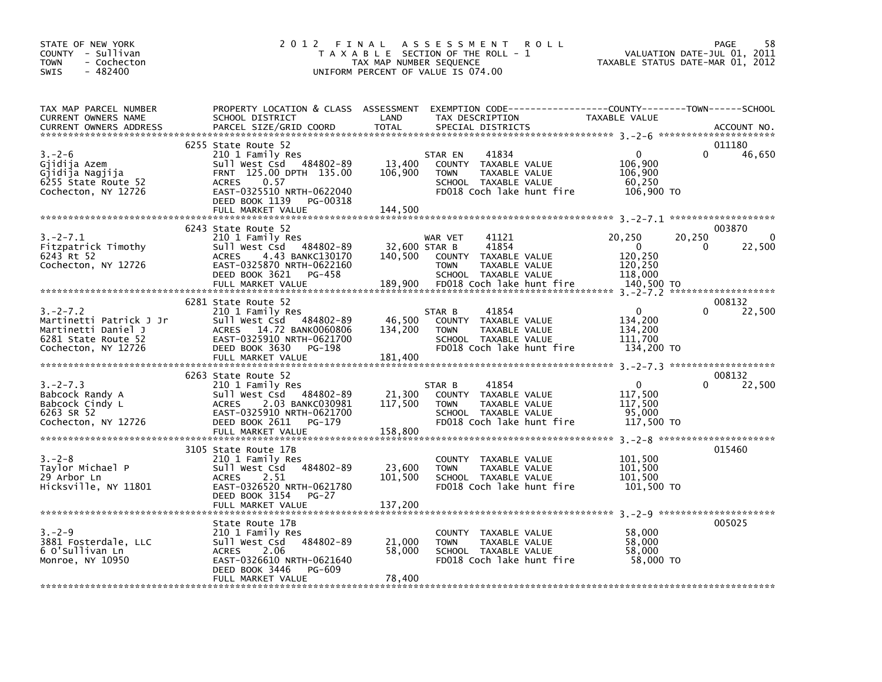| STATE OF NEW YORK<br>COUNTY - Sullivan<br><b>TOWN</b><br>- Cochecton<br><b>SWIS</b><br>- 482400               |                                                                                                                                                                                                    | TAX MAP NUMBER SEQUENCE      | 2012 FINAL ASSESSMENT ROLL<br>T A X A B L E SECTION OF THE ROLL - 1<br>UNIFORM PERCENT OF VALUE IS 074.00                               | VALUATION DATE-JUL 01, 2011<br>TAXABLE STATUS DATE-MAR 01, 2012                 | 58<br>PAGE                       |
|---------------------------------------------------------------------------------------------------------------|----------------------------------------------------------------------------------------------------------------------------------------------------------------------------------------------------|------------------------------|-----------------------------------------------------------------------------------------------------------------------------------------|---------------------------------------------------------------------------------|----------------------------------|
| TAX MAP PARCEL NUMBER<br>CURRENT OWNERS NAME<br><b>CURRENT OWNERS ADDRESS</b>                                 | SCHOOL DISTRICT<br>PARCEL SIZE/GRID COORD                                                                                                                                                          | LAND<br>TOTAL                | PROPERTY LOCATION & CLASS ASSESSMENT EXEMPTION CODE---------------COUNTY-------TOWN------SCHOOL<br>TAX DESCRIPTION<br>SPECIAL DISTRICTS | <b>TAXABLE VALUE</b>                                                            | ACCOUNT NO.                      |
| $3 - 2 - 6$<br>Gjidija Azem<br>Gjidija Nagjija<br>6255 State Route 52<br>Cochecton, NY 12726                  | 6255 State Route 52<br>210 1 Family Res<br>Sull West Csd 484802-89<br>FRNT 125.00 DPTH 135.00<br><b>ACRES</b><br>0.57<br>EAST-0325510 NRTH-0622040<br>DEED BOOK 1139 PG-00318<br>FULL MARKET VALUE | 13,400<br>106,900<br>144,500 | 41834<br>STAR EN<br>COUNTY TAXABLE VALUE<br>TAXABLE VALUE<br><b>TOWN</b><br>SCHOOL TAXABLE VALUE<br>FD018 Coch lake hunt fire           | $\Omega$<br>106,900<br>106,900<br>60,250<br>106,900 TO                          | 011180<br>46,650                 |
| $3.-2-7.1$<br>Fitzpatrick Timothy<br>6243 Rt 52<br>Cochecton, NY 12726                                        | 6243 State Route 52<br>210 1 Family Res<br>Sull West Csd 484802-89<br>4.43 BANKC130170<br><b>ACRES</b><br>EAST-0325870 NRTH-0622160<br>DEED BOOK 3621 PG-458                                       | 32,600 STAR B                | 41121<br>WAR VET<br>41854<br>140,500 COUNTY TAXABLE VALUE<br>TAXABLE VALUE<br><b>TOWN</b><br>SCHOOL TAXABLE VALUE                       | 20,250<br>20,250<br>$\overline{0}$<br>$\Omega$<br>120,250<br>120,250<br>118,000 | 003870<br>$\mathbf{0}$<br>22,500 |
| $3. -2 - 7.2$<br>Martinetti Patrick J Jr<br>Martinetti Daniel J<br>6281 State Route 52<br>Cochecton, NY 12726 | 6281 State Route 52<br>210 1 Family Res<br>Sull West Csd 484802-89<br>ACRES 14.72 BANK0060806<br>EAST-0325910 NRTH-0621700<br>DEED BOOK 3630 PG-198                                                | 46,500<br>134,200            | 41854<br>STAR B<br>COUNTY TAXABLE VALUE<br>TAXABLE VALUE<br><b>TOWN</b><br>SCHOOL TAXABLE VALUE<br>FD018 Coch lake hunt fire            | $\overline{0}$<br>0<br>134,200<br>134,200<br>111,700<br>134,200 TO              | 008132<br>22,500                 |
| $3. -2 - 7.3$<br>Babcock Randy A<br>Babcock Cindy L<br>6263 SR 52<br>Cochecton, NY 12726                      | 6263 State Route 52<br>210 1 Family Res<br>Sull West Csd 484802-89<br>ACRES 2.03 BANKC030981<br>EAST-0325910 NRTH-0621700<br>DEED BOOK 2611 PG-179                                                 | 21,300<br>117,500            | 41854<br>STAR B<br>COUNTY TAXABLE VALUE<br>TAXABLE VALUE<br><b>TOWN</b><br>SCHOOL TAXABLE VALUE<br>FD018 Coch lake hunt fire            | $\overline{0}$<br>0<br>117,500<br>117,500<br>95,000<br>117,500 TO               | 008132<br>22,500                 |
| $3 - 2 - 8$<br>Taylor Michael P<br>29 Arbor Ln<br>Hicksville, NY 11801                                        | 3105 State Route 17B<br>210 1 Family Res<br>484802-89<br>Sull West Csd<br>2.51<br><b>ACRES</b><br>EAST-0326520 NRTH-0621780<br>DEED BOOK 3154 PG-27<br>FULL MARKET VALUE                           | 23,600<br>101,500<br>137,200 | COUNTY TAXABLE VALUE<br>TAXABLE VALUE<br><b>TOWN</b><br>SCHOOL TAXABLE VALUE<br>FD018 Coch lake hunt fire                               | 101,500<br>101,500<br>101,500<br>101,500 TO                                     | 015460                           |
| $3 - 2 - 9$<br>3881 Fosterdale, LLC<br>6 O'Sullivan Ln<br>Monroe, NY 10950                                    | State Route 17B<br>210 1 Family Res<br>484802-89<br>sull west Csd<br>ACRES 2.06<br>EAST-0326610 NRTH-0621640<br>DEED BOOK 3446<br>PG-609<br>FULL MARKET VALUE                                      | 21,000<br>58,000<br>78,400   | COUNTY TAXABLE VALUE<br>TAXABLE VALUE<br><b>TOWN</b><br>SCHOOL TAXABLE VALUE<br>FD018 Coch lake hunt fire                               | 58.000<br>58,000<br>58,000<br>58,000 TO                                         | 005025                           |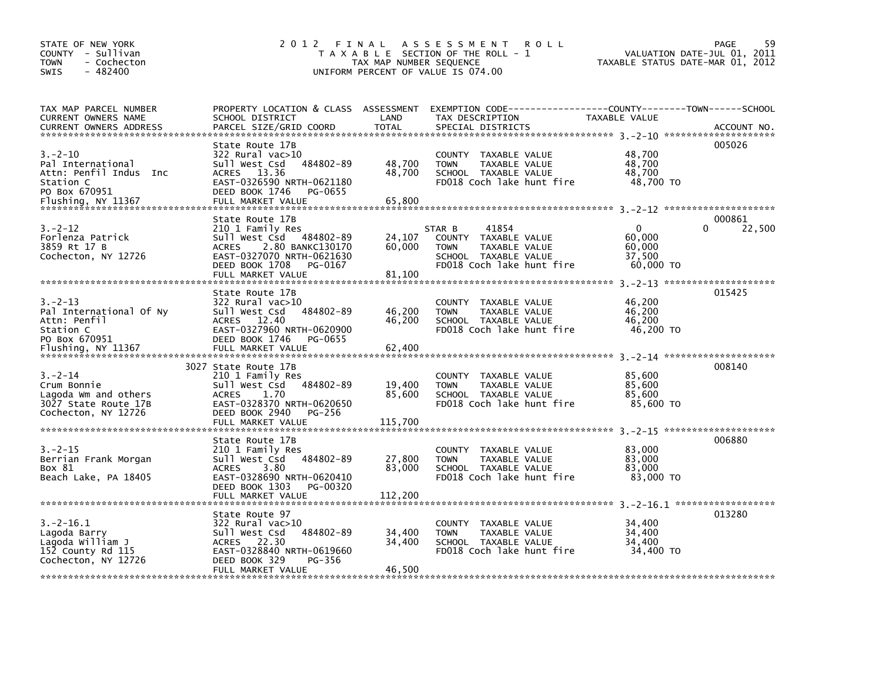| STATE OF NEW YORK<br>COUNTY - Sullivan<br><b>TOWN</b><br>- Cochecton<br>$-482400$<br><b>SWIS</b>                |                                                                                                                                                                                   | TAX MAP NUMBER SEQUENCE     | 2012 FINAL ASSESSMENT<br><b>ROLL</b><br>T A X A B L E SECTION OF THE ROLL - 1<br>UNIFORM PERCENT OF VALUE IS 074.00                       |                                                         | 59<br><b>PAGE</b><br>VALUATION DATE-JUL 01, 2011<br>TAXABLE STATUS DATE-MAR 01, 2012 |
|-----------------------------------------------------------------------------------------------------------------|-----------------------------------------------------------------------------------------------------------------------------------------------------------------------------------|-----------------------------|-------------------------------------------------------------------------------------------------------------------------------------------|---------------------------------------------------------|--------------------------------------------------------------------------------------|
| TAX MAP PARCEL NUMBER<br>CURRENT OWNERS NAME<br><b>CURRENT OWNERS ADDRESS</b>                                   | SCHOOL DISTRICT<br>PARCEL SIZE/GRID COORD                                                                                                                                         | LAND<br><b>TOTAL</b>        | PROPERTY LOCATION & CLASS ASSESSMENT EXEMPTION CODE-----------------COUNTY-------TOWN------SCHOOL<br>TAX DESCRIPTION<br>SPECIAL DISTRICTS | TAXABLE VALUE                                           | ACCOUNT NO.                                                                          |
| $3 - 2 - 10$<br>Pal International<br>Attn: Penfil Indus Inc<br>Station C<br>PO Box 670951<br>Flushing, NY 11367 | State Route 17B<br>322 Rural vac>10<br>484802-89<br>Sull West Csd<br>ACRES 13.36<br>EAST-0326590 NRTH-0621180<br>DEED BOOK 1746 PG-0655<br>FULL MARKET VALUE                      | 48,700<br>48,700<br>65,800  | COUNTY TAXABLE VALUE<br><b>TOWN</b><br>TAXABLE VALUE<br>SCHOOL TAXABLE VALUE<br>FD018 Coch lake hunt fire                                 | 48,700<br>48,700<br>48.700<br>48,700 TO                 | 005026                                                                               |
| $3 - 2 - 12$<br>Forlenza Patrick<br>3859 Rt 17 B<br>Cochecton, NY 12726                                         | State Route 17B<br>210 1 Family Res<br>Sull West Csd 484802-89<br>2.80 BANKC130170<br><b>ACRES</b><br>EAST-0327070 NRTH-0621630<br>DEED BOOK 1708<br>PG-0167<br>FULL MARKET VALUE | 24,107<br>60,000<br>81,100  | 41854<br>STAR B<br>COUNTY TAXABLE VALUE<br><b>TOWN</b><br>TAXABLE VALUE<br>SCHOOL TAXABLE VALUE<br>FD018 Coch lake hunt fire              | $\mathbf{0}$<br>60.000<br>60,000<br>37,500<br>60,000 TO | 000861<br>$\Omega$<br>22,500                                                         |
| $3 - 2 - 13$<br>Pal International Of Ny<br>Attn: Penfil<br>Station C<br>PO Box 670951<br>Flushing, NY 11367     | State Route 17B<br>322 Rural vac>10<br>484802-89<br>Sull West Csd<br><b>ACRES</b><br>12.40<br>EAST-0327960 NRTH-0620900<br>DEED BOOK 1746<br>PG-0655<br>FULL MARKET VALUE         | 46,200<br>46,200<br>62,400  | COUNTY TAXABLE VALUE<br>TAXABLE VALUE<br><b>TOWN</b><br>SCHOOL TAXABLE VALUE<br>FD018 Coch lake hunt fire                                 | 46,200<br>46,200<br>46,200<br>46,200 TO                 | 015425                                                                               |
| $3. - 2 - 14$<br>Crum Bonnie<br>Lagoda Wm and others<br>3027 State Route 17B<br>Cochecton, NY 12726             | 3027 State Route 17B<br>210 1 Family Res<br>Sull West Csd 484802-89<br>1.70<br><b>ACRES</b><br>EAST-0328370 NRTH-0620650<br>DEED BOOK 2940<br>PG-256<br>FULL MARKET VALUE         | 19,400<br>85,600<br>115,700 | COUNTY TAXABLE VALUE<br>TAXABLE VALUE<br><b>TOWN</b><br>SCHOOL TAXABLE VALUE<br>FD018 Coch lake hunt fire                                 | 85,600<br>85,600<br>85,600<br>85,600 TO                 | 008140                                                                               |
| $3. -2 - 15$<br>Berrian Frank Morgan<br>Box 81<br>Beach Lake, PA 18405                                          | State Route 17B<br>210 1 Family Res<br>484802-89<br>Sull West Csd<br><b>ACRES</b><br>3.80<br>EAST-0328690 NRTH-0620410<br>DEED BOOK 1303<br>PG-00320<br>FULL MARKET VALUE         | 27,800<br>83,000<br>112,200 | COUNTY TAXABLE VALUE<br><b>TOWN</b><br>TAXABLE VALUE<br>SCHOOL TAXABLE VALUE<br>FD018 Coch lake hunt fire                                 | 83,000<br>83,000<br>83,000<br>83,000 TO                 | 006880                                                                               |
| $3.-2-16.1$<br>Lagoda Barry<br>Lagoda William J<br>152 County Rd 115<br>Cochecton, NY 12726                     | State Route 97<br>322 Rural vac>10<br>Sull West Csd<br>484802-89<br>ACRES 22.30<br>EAST-0328840 NRTH-0619660<br>DEED BOOK 329<br>PG-356<br>FULL MARKET VALUE                      | 34,400<br>34,400<br>46,500  | COUNTY TAXABLE VALUE<br>TAXABLE VALUE<br><b>TOWN</b><br>SCHOOL TAXABLE VALUE<br>FD018 Coch lake hunt fire                                 | 34,400<br>34,400<br>34,400<br>34,400 TO                 | 013280                                                                               |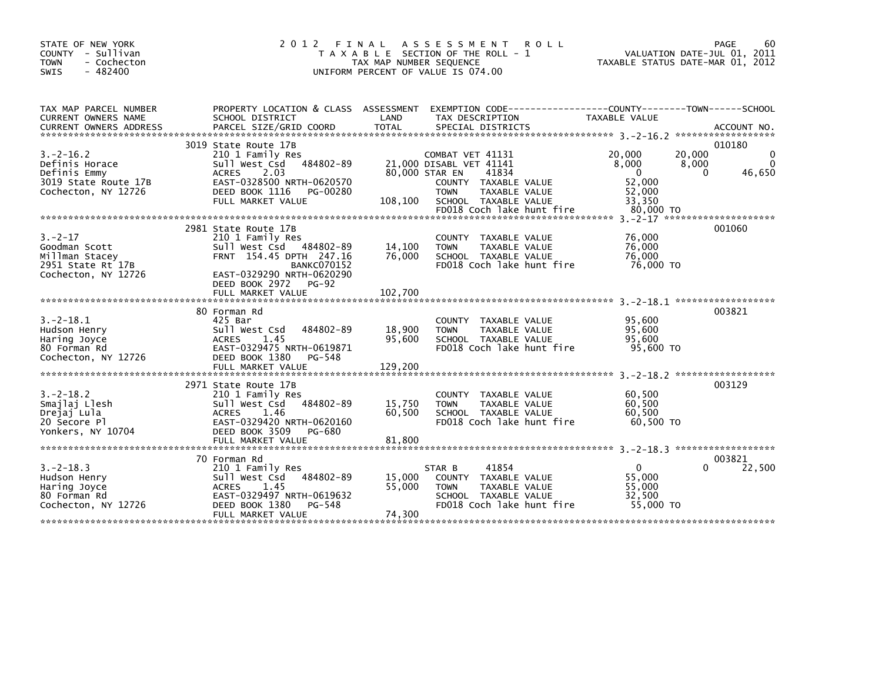| STATE OF NEW YORK<br>COUNTY - Sullivan<br><b>TOWN</b><br>- Cochecton<br>$-482400$<br>SWIS    | 2 0 1 2                                                                                                                                                                                                  | FINAL<br>T A X A B L E SECTION OF THE ROLL - 1<br>TAX MAP NUMBER SEQUENCE<br>UNIFORM PERCENT OF VALUE IS 074.00 | A S S E S S M E N T<br><b>ROLL</b>                                                                                                                 |                                                                        | 60<br>PAGE<br>VALUATION DATE-JUL 01, 2011<br>TAXABLE STATUS DATE-MAR 01, 2012 |
|----------------------------------------------------------------------------------------------|----------------------------------------------------------------------------------------------------------------------------------------------------------------------------------------------------------|-----------------------------------------------------------------------------------------------------------------|----------------------------------------------------------------------------------------------------------------------------------------------------|------------------------------------------------------------------------|-------------------------------------------------------------------------------|
| TAX MAP PARCEL NUMBER<br>CURRENT OWNERS NAME<br><b>CURRENT OWNERS ADDRESS</b>                | PROPERTY LOCATION & CLASS ASSESSMENT EXEMPTION CODE----------------COUNTY-------TOWN------SCHOOL<br>SCHOOL DISTRICT<br>PARCEL SIZE/GRID COORD                                                            | LAND<br><b>TOTAL</b>                                                                                            | TAX DESCRIPTION<br>SPECIAL DISTRICTS                                                                                                               | TAXABLE VALUE                                                          | ACCOUNT NO.                                                                   |
| $3.-2-16.2$<br>Definis Horace<br>Definis Emmy<br>3019 State Route 17B<br>Cochecton, NY 12726 | 3019 State Route 17B<br>210 1 Family Res<br>484802-89<br>Sull West Csd<br>2.03<br><b>ACRES</b><br>EAST-0328500 NRTH-0620570<br>DEED BOOK 1116<br>PG-00280<br>FULL MARKET VALUE                           | 80,000 STAR EN<br><b>TOWN</b><br>108,100                                                                        | COMBAT VET 41131<br>21,000 DISABL VET 41141<br>41834<br>COUNTY TAXABLE VALUE<br>TAXABLE VALUE<br>SCHOOL TAXABLE VALUE<br>FD018 Coch lake hunt fire | 20,000<br>8,000<br>$\Omega$<br>52,000<br>52,000<br>33,350<br>80,000 TO | 010180<br>20,000<br>8,000<br>46,650<br>$\Omega$                               |
| $3. -2 - 17$<br>Goodman Scott<br>Millman Stacey<br>2951 State Rt 17B<br>Cochecton, NY 12726  | 2981 State Route 17B<br>210 1 Family Res<br>Sull West Csd 484802-89<br>FRNT 154.45 DPTH 247.16<br><b>BANKC070152</b><br>EAST-0329290 NRTH-0620290<br>DEED BOOK 2972<br><b>PG-92</b><br>FULL MARKET VALUE | 14,100<br><b>TOWN</b><br>76,000<br>102,700                                                                      | COUNTY TAXABLE VALUE<br>TAXABLE VALUE<br>SCHOOL TAXABLE VALUE<br>FD018 Coch lake hunt fire                                                         | 76,000<br>76,000<br>76,000<br>76,000 TO                                | $3. -2 - 17$ **********************<br>001060                                 |
| $3. -2 - 18.1$<br>Hudson Henry<br>Haring Joyce<br>80 Forman Rd<br>Cochecton, NY 12726        | 80 Forman Rd<br>425 Bar<br>484802-89<br>Sull West Csd<br>1.45<br><b>ACRES</b><br>EAST-0329475 NRTH-0619871<br>DEED BOOK 1380<br>PG-548<br>FULL MARKET VALUE                                              | 18,900<br><b>TOWN</b><br>95,600<br>129,200                                                                      | <b>COUNTY</b><br>TAXABLE VALUE<br>TAXABLE VALUE<br>SCHOOL TAXABLE VALUE<br>FD018 Coch lake hunt fire                                               | 95,600<br>95,600<br>95.600<br>95,600 TO                                | 003821                                                                        |
| $3. -2 - 18.2$<br>Smajlaj Llesh<br>Drejaj Lula<br>20 Secore Pl<br>Yonkers, NY 10704          | 2971 State Route 17B<br>210 1 Family Res<br>Sull West Csd<br>484802-89<br>1.46<br><b>ACRES</b><br>EAST-0329420 NRTH-0620160<br>DEED BOOK 3509<br>PG-680<br>FULL MARKET VALUE                             | 15,750<br><b>TOWN</b><br>60,500<br>81,800                                                                       | COUNTY TAXABLE VALUE<br>TAXABLE VALUE<br>SCHOOL TAXABLE VALUE<br>FD018 Coch lake hunt fire                                                         | 60,500<br>60,500<br>60,500<br>60.500 TO                                | 003129                                                                        |
| $3. -2 - 18.3$<br>Hudson Henry<br>Haring Joyce<br>80 Forman Rd<br>Cochecton, NY 12726        | 70 Forman Rd<br>210 1 Family Res<br>484802-89<br>Sull West Csd<br>1.45<br><b>ACRES</b><br>EAST-0329497 NRTH-0619632<br>DEED BOOK 1380<br>PG-548<br>FULL MARKET VALUE                                     | STAR B<br>15,000<br>55,000<br><b>TOWN</b><br>74,300                                                             | 41854<br>COUNTY TAXABLE VALUE<br>TAXABLE VALUE<br>SCHOOL TAXABLE VALUE<br>FD018 Coch lake hunt fire                                                | $\mathbf{0}$<br>55,000<br>55,000<br>32.500<br>55,000 TO                | 003821<br>22,500<br>0                                                         |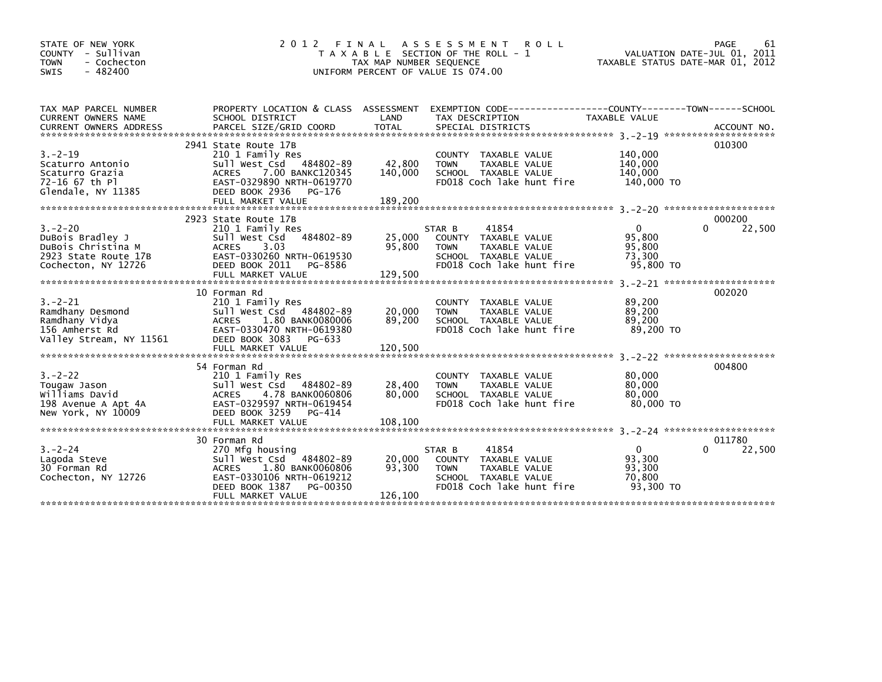| STATE OF NEW YORK<br>COUNTY - Sullivan<br><b>TOWN</b><br>- Cochecton<br>$-482400$<br>SWIS             | 2012<br>FINAL                                                                                                                                                                     | TAX MAP NUMBER SEQUENCE      | A S S E S S M E N T<br><b>ROLL</b><br>T A X A B L E SECTION OF THE ROLL - 1<br>UNIFORM PERCENT OF VALUE IS 074.00                   | TAXABLE STATUS DATE-MAR 01, 2012                          | PAGE<br>61<br>VALUATION DATE-JUL 01, 2011 |
|-------------------------------------------------------------------------------------------------------|-----------------------------------------------------------------------------------------------------------------------------------------------------------------------------------|------------------------------|-------------------------------------------------------------------------------------------------------------------------------------|-----------------------------------------------------------|-------------------------------------------|
| TAX MAP PARCEL NUMBER<br><b>CURRENT OWNERS NAME</b>                                                   | PROPERTY LOCATION & CLASS ASSESSMENT<br>SCHOOL DISTRICT                                                                                                                           | LAND                         | EXEMPTION CODE-----------------COUNTY-------TOWN------SCHOOL<br>TAX DESCRIPTION                                                     | TAXABLE VALUE                                             | ACCOUNT NO.<br>********************       |
| $3. -2 - 19$<br>Scaturro Antonio<br>Scaturro Grazia<br>72-16 67 th Pl<br>Glendale, NY 11385           | 2941 State Route 17B<br>210 1 Family Res<br>Sull West Csd 484802-89<br>7.00 BANKC120345<br>ACRES<br>EAST-0329890 NRTH-0619770<br>DEED BOOK 2936<br>PG-176<br>FULL MARKET VALUE    | 42,800<br>140,000<br>189,200 | COUNTY TAXABLE VALUE<br><b>TOWN</b><br>TAXABLE VALUE<br>SCHOOL TAXABLE VALUE<br>FD018 Coch lake hunt fire                           | 140,000<br>140,000<br>140,000<br>140,000 TO               | 010300                                    |
|                                                                                                       | 2923 State Route 17B                                                                                                                                                              |                              |                                                                                                                                     |                                                           | 000200                                    |
| $3. -2 - 20$<br>DuBois Bradley J<br>DuBois Christina M<br>2923 State Route 17B<br>Cochecton, NY 12726 | 210 1 Family Res<br>484802-89<br>Sull West Csd<br>3.03<br><b>ACRES</b><br>EAST-0330260 NRTH-0619530<br>DEED BOOK 2011<br>PG-8586                                                  | 25,000<br>95,800             | 41854<br>STAR B<br>COUNTY TAXABLE VALUE<br><b>TOWN</b><br>TAXABLE VALUE<br>SCHOOL TAXABLE VALUE<br>FD018 Coch lake hunt fire        | $\mathbf{0}$<br>95,800<br>95,800<br>73,300<br>95,800 TO   | 22,500                                    |
|                                                                                                       |                                                                                                                                                                                   |                              |                                                                                                                                     |                                                           |                                           |
| $3. - 2 - 21$<br>Ramdhany Desmond<br>Ramdhany Vidya<br>156 Amherst Rd<br>Valley Stream, NY 11561      | 10 Forman Rd<br>210 1 Family Res<br>Sull West Csd 484802-89<br>1.80 BANK0080006<br><b>ACRES</b><br>EAST-0330470 NRTH-0619380<br>DEED BOOK 3083<br>PG-633                          | 20,000<br>89,200             | COUNTY TAXABLE VALUE<br><b>TAXABLE VALUE</b><br><b>TOWN</b><br>SCHOOL TAXABLE VALUE<br>FD018 Coch lake hunt fire                    | 89,200<br>89,200<br>89,200<br>89.200 TO                   | 002020                                    |
|                                                                                                       |                                                                                                                                                                                   |                              |                                                                                                                                     |                                                           |                                           |
| $3. -2 - 22$<br>Tougaw Jason<br>Williams David<br>198 Avenue A Apt 4A<br>New York, NY 10009           | 54 Forman Rd<br>210 1 Family Res<br>484802-89<br>Sull West Csd<br><b>ACRES</b><br>4.78 BANK0060806<br>EAST-0329597 NRTH-0619454<br>DEED BOOK 3259<br>PG-414                       | 28,400<br>80,000             | COUNTY TAXABLE VALUE<br>TAXABLE VALUE<br><b>TOWN</b><br>SCHOOL TAXABLE VALUE<br>FD018 Coch lake hunt fire                           | 80,000<br>80,000<br>80,000<br>80.000 TO                   | 004800                                    |
|                                                                                                       |                                                                                                                                                                                   |                              |                                                                                                                                     |                                                           |                                           |
| $3 - 2 - 24$<br>Lagoda Steve<br>30 Forman Rd<br>Cochecton, NY 12726                                   | 30 Forman Rd<br>270 Mfg housing<br>484802-89<br>Sull West Csd<br>1.80 BANK0060806<br><b>ACRES</b><br>EAST-0330106 NRTH-0619212<br>PG-00350<br>DEED BOOK 1387<br>FULL MARKET VALUE | 20,000<br>93,300<br>126,100  | 41854<br>STAR B<br>COUNTY TAXABLE VALUE<br><b>TAXABLE VALUE</b><br><b>TOWN</b><br>SCHOOL TAXABLE VALUE<br>FD018 Coch lake hunt fire | $\overline{0}$<br>93,300<br>93,300<br>70,800<br>93.300 TO | 011780<br>$\Omega$<br>22,500              |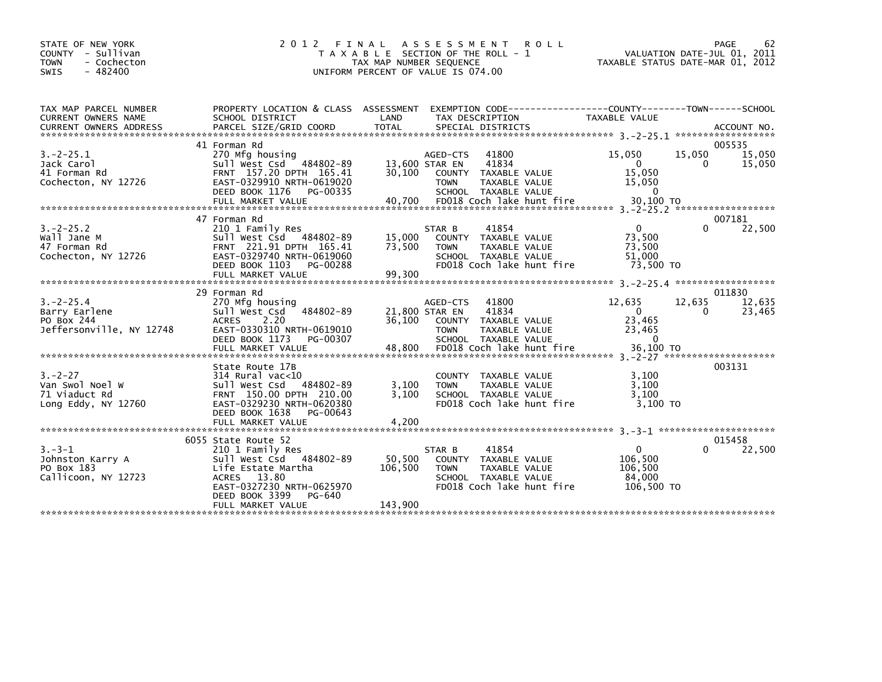| STATE OF NEW YORK<br>COUNTY - Sullivan<br>- Cochecton<br><b>TOWN</b><br>$-482400$<br><b>SWIS</b> | 2 0 1 2<br>FINAL                                                                                                                                                                      | T A X A B L E SECTION OF THE ROLL - 1<br>TAX MAP NUMBER SEQUENCE<br>UNIFORM PERCENT OF VALUE IS 074.00 | A S S E S S M E N T                      | <b>ROLL</b>                                                                                           | TAXABLE STATUS DATE-MAR 01, 2012                                      | VALUATION DATE-JUL 01, 2011 | PAGE<br>62                 |
|--------------------------------------------------------------------------------------------------|---------------------------------------------------------------------------------------------------------------------------------------------------------------------------------------|--------------------------------------------------------------------------------------------------------|------------------------------------------|-------------------------------------------------------------------------------------------------------|-----------------------------------------------------------------------|-----------------------------|----------------------------|
| TAX MAP PARCEL NUMBER<br>CURRENT OWNERS NAME                                                     | PROPERTY LOCATION & CLASS ASSESSMENT<br>SCHOOL DISTRICT                                                                                                                               | LAND                                                                                                   |                                          | EXEMPTION CODE-----------------COUNTY-------TOWN------SCHOOL<br>TAX DESCRIPTION                       | TAXABLE VALUE                                                         |                             |                            |
| $3. -2 - 25.1$<br>Jack Carol<br>41 Forman Rd<br>Cochecton, NY 12726                              | 41 Forman Rd<br>270 Mfg housing<br>Sull West Csd 484802-89<br>FRNT 157.20 DPTH 165.41<br>EAST-0329910 NRTH-0619020<br>DEED BOOK 1176<br>PG-00335                                      | 13,600 STAR EN<br>30,100                                                                               | AGED-CTS<br><b>TOWN</b>                  | 41800<br>41834<br>COUNTY TAXABLE VALUE<br>TAXABLE VALUE<br>SCHOOL TAXABLE VALUE                       | 15,050<br>$\mathbf{0}$<br>15,050<br>15,050<br>$\Omega$                | 15,050<br>$\Omega$          | 005535<br>15,050<br>15,050 |
| $3. -2 - 25.2$<br>Wall Jane M<br>47 Forman Rd<br>Cochecton, NY 12726                             | 47 Forman Rd<br>210 1 Family Res<br>Sull West Csd 484802-89<br>FRNT 221.91 DPTH 165.41<br>EAST-0329740 NRTH-0619060<br>DEED BOOK 1103<br>PG-00288<br>FULL MARKET VALUE                | 15,000<br>73,500<br>99,300                                                                             | STAR B<br><b>TOWN</b>                    | 41854<br>COUNTY TAXABLE VALUE<br>TAXABLE VALUE<br>SCHOOL TAXABLE VALUE<br>FD018 Coch lake hunt fire   | $\mathbf{0}$<br>73,500<br>73,500<br>51,000<br>73.500 TO               | <sup>0</sup>                | 007181<br>22,500           |
| $3. -2 - 25.4$<br>Barry Earlene<br>PO Box 244<br>Jeffersonville, NY 12748                        | 29 Forman Rd<br>270 Mfg housing<br>Sull West Csd<br>484802-89<br>2.20<br><b>ACRES</b><br>EAST-0330310 NRTH-0619010<br>DEED BOOK 1173<br>PG-00307<br>FULL MARKET VALUE                 | 21,800 STAR EN<br>36.100<br>48,800                                                                     | AGED-CTS<br><b>COUNTY</b><br><b>TOWN</b> | 41800<br>41834<br>TAXABLE VALUE<br>TAXABLE VALUE<br>SCHOOL TAXABLE VALUE<br>FD018 Coch lake hunt fire | 12,635<br>$\overline{0}$<br>23.465<br>23,465<br>$\Omega$<br>36,100 TO | 12,635<br>$\Omega$          | 011830<br>12,635<br>23,465 |
| $3 - 2 - 27$<br>Van Swol Noel W<br>71 Viaduct Rd<br>Long Eddy, NY 12760                          | State Route 17B<br>$314$ Rural vac< $10$<br>Sull West Csd 484802-89<br>FRNT 150.00 DPTH 210.00<br>EAST-0329230 NRTH-0620380<br>DEED BOOK 1638<br>PG-00643<br>FULL MARKET VALUE        | 3,100<br>3.100<br>4,200                                                                                | <b>TOWN</b>                              | COUNTY TAXABLE VALUE<br><b>TAXABLE VALUE</b><br>SCHOOL TAXABLE VALUE<br>FD018 Coch lake hunt fire     | 3.100<br>3.100<br>3.100<br>$3.100$ TO                                 |                             | 003131                     |
| $3. - 3 - 1$<br>Johnston Karry A<br>PO Box 183<br>Callicoon, NY 12723                            | 6055 State Route 52<br>210 1 Family Res<br>Sull West Csd 484802-89<br>Life Estate Martha<br>ACRES 13.80<br>EAST-0327230 NRTH-0625970<br>DEED BOOK 3399<br>PG-640<br>FULL MARKET VALUE | 50,500<br>106,500<br>143,900                                                                           | STAR B<br><b>TOWN</b>                    | 41854<br>COUNTY TAXABLE VALUE<br>TAXABLE VALUE<br>SCHOOL TAXABLE VALUE<br>FD018 Coch lake hunt fire   | $\Omega$<br>106.500<br>106,500<br>84,000<br>106,500 TO                |                             | 015458<br>22,500           |
|                                                                                                  |                                                                                                                                                                                       |                                                                                                        |                                          |                                                                                                       |                                                                       |                             |                            |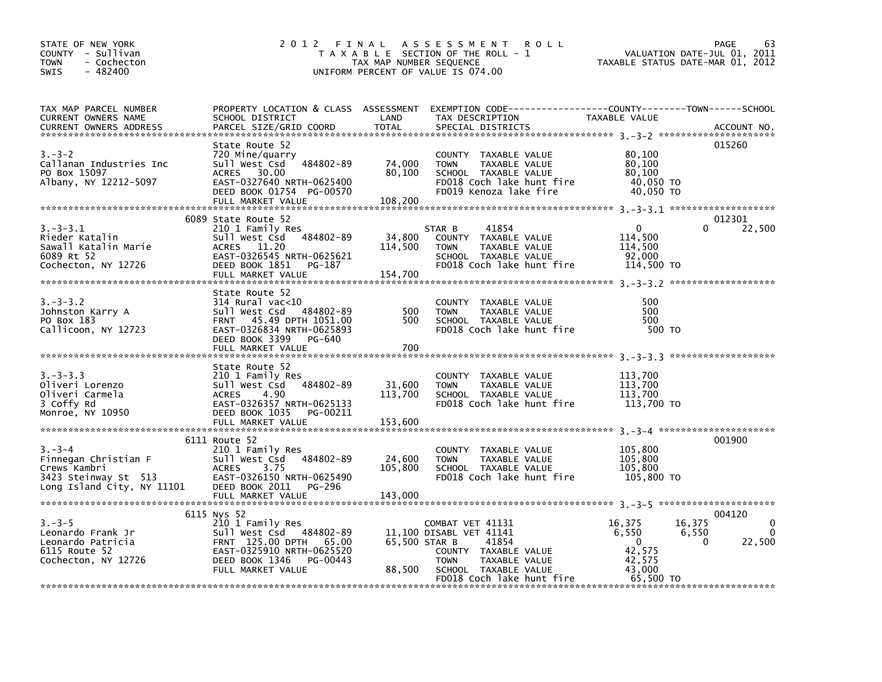| STATE OF NEW YORK<br>COUNTY - Sullivan<br><b>TOWN</b><br>- Cochecton<br>$-482400$<br><b>SWIS</b>          |                                                                                                                                                                             | TAX MAP NUMBER SEQUENCE      | 2012 FINAL ASSESSMENT<br><b>ROLL</b><br>T A X A B L E SECTION OF THE ROLL - 1<br>UNIFORM PERCENT OF VALUE IS 074.00                                               | TAXABLE STATUS DATE-MAR 01, 2012                                                       | 63<br>PAGE<br>VALUATION DATE-JUL 01, 2011                         |
|-----------------------------------------------------------------------------------------------------------|-----------------------------------------------------------------------------------------------------------------------------------------------------------------------------|------------------------------|-------------------------------------------------------------------------------------------------------------------------------------------------------------------|----------------------------------------------------------------------------------------|-------------------------------------------------------------------|
| TAX MAP PARCEL NUMBER<br>CURRENT OWNERS NAME<br><b>CURRENT OWNERS ADDRESS</b>                             | SCHOOL DISTRICT<br>PARCEL SIZE/GRID COORD                                                                                                                                   | LAND<br><b>TOTAL</b>         | PROPERTY LOCATION & CLASS ASSESSMENT EXEMPTION CODE----------------COUNTY-------TOWN------SCHOOL<br>TAX DESCRIPTION<br>SPECIAL DISTRICTS                          | TAXABLE VALUE                                                                          | ACCOUNT NO.                                                       |
| $3 - 3 - 2$<br>Callanan Industries Inc<br>PO Box 15097<br>Albany, NY 12212-5097                           | State Route 52<br>720 Mine/quarry<br>484802-89<br>Sull West Csd<br>ACRES 30.00<br>EAST-0327640 NRTH-0625400<br>DEED BOOK 01754 PG-00570<br>FULL MARKET VALUE                | 74,000<br>80,100<br>108,200  | COUNTY TAXABLE VALUE<br><b>TOWN</b><br>TAXABLE VALUE<br>SCHOOL TAXABLE VALUE<br>FD018 Coch lake hunt fire<br>FD019 Kenoza lake fire                               | 80,100<br>80,100<br>80,100<br>40,050 TO<br>40,050 TO                                   | 015260                                                            |
| $3. - 3 - 3.1$<br>Rieder Katalin<br>Sawall Katalin Marie<br>6089 Rt 52<br>Cochecton, NY 12726             | 6089 State Route 52<br>210 1 Family Res<br>Sull West Csd 484802-89<br>ACRES 11.20<br>EAST-0326545 NRTH-0625621<br>DEED BOOK 1851<br>PG-187<br>FULL MARKET VALUE             | 34,800<br>114,500<br>154.700 | 41854<br>STAR B<br>COUNTY TAXABLE VALUE<br>TAXABLE VALUE<br><b>TOWN</b><br>SCHOOL TAXABLE VALUE<br>FD018 Coch lake hunt fire                                      | $\mathbf 0$<br>114,500<br>114,500<br>92,000<br>114,500 TO                              | 012301<br>$\Omega$<br>22,500                                      |
| $3. - 3 - 3.2$<br>Johnston Karry A<br>PO Box 183<br>Callicoon, NY 12723                                   | State Route 52<br>$314$ Rural vac<10<br>484802-89<br>Sull West Csd<br>FRNT 45.49 DPTH 1051.00<br>EAST-0326834 NRTH-0625893<br>DEED BOOK 3399<br>PG-640<br>FULL MARKET VALUE | 500<br>500<br>700            | COUNTY TAXABLE VALUE<br><b>TOWN</b><br>TAXABLE VALUE<br>SCHOOL TAXABLE VALUE<br>FD018 Coch lake hunt fire                                                         | 500<br>500<br>500<br>500 TO                                                            |                                                                   |
| $3. - 3 - 3.3$<br>Oliveri Lorenzo<br>Oliveri Carmela<br>3 Coffy Rd<br>Monroe, NY 10950                    | State Route 52<br>210 1 Family Res<br>Sull West Csd 484802-89<br>4.90<br><b>ACRES</b><br>EAST-0326357 NRTH-0625133<br>DEED BOOK 1035<br>PG-00211<br>FULL MARKET VALUE       | 31,600<br>113,700<br>153,600 | COUNTY TAXABLE VALUE<br>TAXABLE VALUE<br><b>TOWN</b><br>SCHOOL TAXABLE VALUE<br>FD018 Coch lake hunt fire                                                         | 113,700<br>113,700<br>113,700<br>113,700 TO                                            |                                                                   |
| $3 - 3 - 4$<br>Finnegan Christian F<br>Crews Kambri<br>3423 Steinway St 513<br>Long Island City, NY 11101 | 6111 Route 52<br>210 1 Family Res<br>Sull West Csd 484802-89<br>3.75<br><b>ACRES</b><br>EAST-0326150 NRTH-0625490<br>DEED BOOK 2011<br>PG-296<br>FULL MARKET VALUE          | 24,600<br>105,800<br>143,000 | COUNTY TAXABLE VALUE<br>TAXABLE VALUE<br><b>TOWN</b><br>SCHOOL TAXABLE VALUE<br>FD018 Coch lake hunt fire                                                         | 105,800<br>105,800<br>105,800<br>105,800 TO                                            | 001900                                                            |
| $3 - 3 - 5$<br>Leonardo Frank Jr<br>Leonardo Patricia<br>6115 Route 52<br>Cochecton, NY 12726             | 6115 Nys 52<br>210 1 Family Res<br>Sull West Csd 484802-89<br>FRNT 125.00 DPTH 65.00<br>EAST-0325910 NRTH-0625520<br>DEED BOOK 1346<br>PG-00443<br>FULL MARKET VALUE        | 65.500 STAR B<br>88,500      | COMBAT VET 41131<br>11.100 DISABL VET 41141<br>41854<br>COUNTY TAXABLE VALUE<br>TAXABLE VALUE<br><b>TOWN</b><br>SCHOOL TAXABLE VALUE<br>FD018 Coch lake hunt fire | 16,375<br>16,375<br>6,550<br>$\overline{0}$<br>42,575<br>42,575<br>43,000<br>65,500 TO | 004120<br>$\mathbf{0}$<br>6,550<br>$\Omega$<br>22,500<br>$\Omega$ |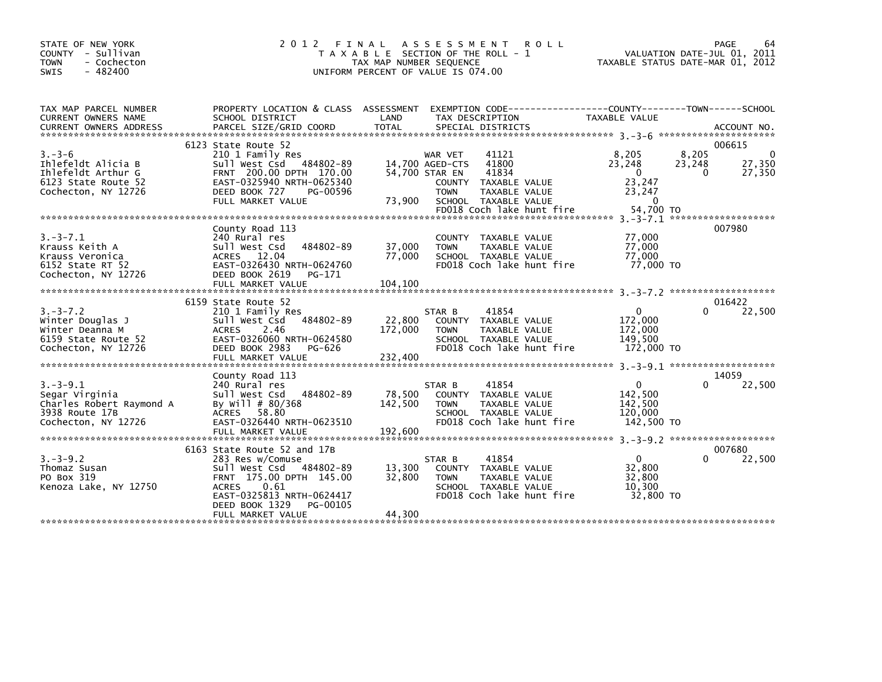| STATE OF NEW YORK<br>COUNTY - Sullivan<br><b>TOWN</b><br>- Cochecton<br>$-482400$<br><b>SWIS</b>      | 2 0 1 2                                                                                                                                                                                                       | FINAL<br>T A X A B L E SECTION OF THE ROLL - 1<br>TAX MAP NUMBER SEQUENCE<br>UNIFORM PERCENT OF VALUE IS 074.00 | A S S E S S M E N T                                         | <b>ROLL</b>                                                                                         | TAXABLE STATUS DATE-MAR 01, 2012                                |                                 | PAGE<br>64<br>VALUATION DATE-JUL 01, 2011 |
|-------------------------------------------------------------------------------------------------------|---------------------------------------------------------------------------------------------------------------------------------------------------------------------------------------------------------------|-----------------------------------------------------------------------------------------------------------------|-------------------------------------------------------------|-----------------------------------------------------------------------------------------------------|-----------------------------------------------------------------|---------------------------------|-------------------------------------------|
| TAX MAP PARCEL NUMBER<br>CURRENT OWNERS NAME                                                          | PROPERTY LOCATION & CLASS ASSESSMENT EXEMPTION CODE----------------COUNTY-------TOWN-----SCHOOL<br>SCHOOL DISTRICT                                                                                            | LAND                                                                                                            | TAX DESCRIPTION                                             |                                                                                                     | TAXABLE VALUE                                                   |                                 |                                           |
|                                                                                                       | 6123 State Route 52                                                                                                                                                                                           |                                                                                                                 |                                                             |                                                                                                     |                                                                 |                                 | 006615                                    |
| $3 - 3 - 6$<br>Ihlefeldt Alicia B<br>Ihlefeldt Arthur G<br>6123 State Route 52<br>Cochecton, NY 12726 | 210 1 Family Res<br>Sull West Csd 484802-89<br>FRNT 200.00 DPTH 170.00<br>EAST-0325940 NRTH-0625340<br>DEED BOOK 727<br>PG-00596<br>FULL MARKET VALUE                                                         | 73,900                                                                                                          | WAR VET<br>14,700 AGED-CTS<br>54,700 STAR EN<br><b>TOWN</b> | 41121<br>41800<br>41834<br>COUNTY TAXABLE VALUE<br>TAXABLE VALUE<br>SCHOOL TAXABLE VALUE            | 8,205<br>23,248<br>$\mathbf{0}$<br>23,247<br>23,247<br>$\Omega$ | 8,205<br>23,248<br>$\mathbf{0}$ | $\Omega$<br>27,350<br>27,350              |
|                                                                                                       |                                                                                                                                                                                                               |                                                                                                                 |                                                             |                                                                                                     |                                                                 |                                 |                                           |
| $3. -3 - 7.1$<br>Krauss Keith A<br>Krauss Veronica<br>6152 State RT 52<br>Cochecton, NY 12726         | County Road 113<br>240 Rural res<br>Sull West Csd<br>484802-89<br>ACRES 12.04<br>EAST-0326430 NRTH-0624760<br>DEED BOOK 2619<br>PG-171                                                                        | 37,000<br>77,000                                                                                                | <b>TOWN</b>                                                 | COUNTY TAXABLE VALUE<br>TAXABLE VALUE<br>SCHOOL TAXABLE VALUE<br>FD018 Coch lake hunt fire          | 77,000<br>77,000<br>77.000<br>77,000 TO                         |                                 | 007980                                    |
|                                                                                                       |                                                                                                                                                                                                               |                                                                                                                 |                                                             |                                                                                                     |                                                                 |                                 |                                           |
|                                                                                                       | 6159 State Route 52                                                                                                                                                                                           |                                                                                                                 |                                                             |                                                                                                     |                                                                 |                                 | 016422                                    |
| $3. -3 - 7.2$<br>Winter Douglas J<br>Winter Deanna M<br>6159 State Route 52<br>Cochecton, NY 12726    | 210 1 Family Res<br>Sull West Csd 484802-89<br><b>ACRES</b><br>2.46<br>EAST-0326060 NRTH-0624580<br>DEED BOOK 2983<br>PG-626<br>FULL MARKET VALUE                                                             | 22,800<br>172,000<br>232,400                                                                                    | STAR B<br><b>TOWN</b>                                       | 41854<br>COUNTY TAXABLE VALUE<br>TAXABLE VALUE<br>SCHOOL TAXABLE VALUE<br>FD018 Coch lake hunt fire | 0<br>172,000<br>172,000<br>149,500<br>172,000 TO                | 0                               | 22,500                                    |
|                                                                                                       |                                                                                                                                                                                                               |                                                                                                                 |                                                             |                                                                                                     |                                                                 |                                 |                                           |
| $3. - 3 - 9.1$<br>Segar Virginia<br>Charles Robert Raymond A<br>3938 Route 17B<br>Cochecton, NY 12726 | County Road 113<br>240 Rural res<br>Sull West Csd<br>484802-89<br>By Will # 80/368<br>ACRES 58.80<br>EAST-0326440 NRTH-0623510<br>FULL MARKET VALUE                                                           | 78,500<br>142,500<br>192,600                                                                                    | STAR B<br><b>TOWN</b>                                       | 41854<br>COUNTY TAXABLE VALUE<br>TAXABLE VALUE<br>SCHOOL TAXABLE VALUE<br>FD018 Coch lake hunt fire | $\Omega$<br>142,500<br>142,500<br>120,000<br>142,500 TO         | 0                               | 14059<br>22,500                           |
|                                                                                                       |                                                                                                                                                                                                               |                                                                                                                 |                                                             |                                                                                                     |                                                                 |                                 |                                           |
| $3. -3 - 9.2$<br>Thomaz Susan<br>PO Box 319<br>Kenoza Lake, NY 12750                                  | 6163 State Route 52 and 17B<br>283 Res w/Comuse<br>Sull West Csd 484802-89<br>FRNT 175.00 DPTH 145.00<br>0.61<br><b>ACRES</b><br>EAST-0325813 NRTH-0624417<br>DEED BOOK 1329<br>PG-00105<br>FULL MARKET VALUE | 13,300<br>32,800<br>44,300                                                                                      | STAR B<br><b>TOWN</b>                                       | 41854<br>COUNTY TAXABLE VALUE<br>TAXABLE VALUE<br>SCHOOL TAXABLE VALUE<br>FD018 Coch lake hunt fire | $\Omega$<br>32,800<br>32,800<br>10,300<br>32,800 TO             | 0                               | 007680<br>22,500                          |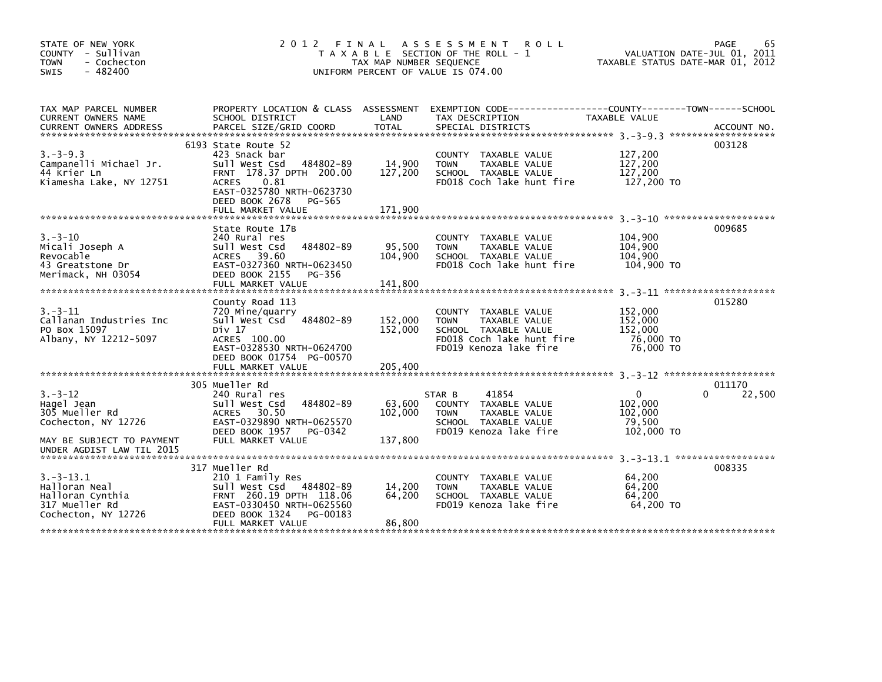| STATE OF NEW YORK<br>COUNTY - Sullivan<br><b>TOWN</b><br>- Cochecton<br>$-482400$<br><b>SWIS</b>  |                                                                                                                                                                                                     | TAX MAP NUMBER SEQUENCE      | 2012 FINAL ASSESSMENT<br><b>ROLL</b><br>T A X A B L E SECTION OF THE ROLL - 1<br>UNIFORM PERCENT OF VALUE IS 074.00                 | TAXABLE STATUS DATE-MAR 01, 2012                        | 65<br>PAGE<br>VALUATION DATE-JUL 01, 2011 |
|---------------------------------------------------------------------------------------------------|-----------------------------------------------------------------------------------------------------------------------------------------------------------------------------------------------------|------------------------------|-------------------------------------------------------------------------------------------------------------------------------------|---------------------------------------------------------|-------------------------------------------|
| TAX MAP PARCEL NUMBER<br>CURRENT OWNERS NAME                                                      | PROPERTY LOCATION & CLASS ASSESSMENT<br>SCHOOL DISTRICT                                                                                                                                             | LAND                         | EXEMPTION CODE-----------------COUNTY-------TOWN------SCHOOL<br>TAX DESCRIPTION                                                     | TAXABLE VALUE                                           |                                           |
| $3. -3 - 9.3$<br>Campanelli Michael Jr.<br>44 Krier Ln<br>Kiamesha Lake, NY 12751                 | 6193 State Route 52<br>423 Snack bar<br>Sull West Csd<br>484802-89<br>FRNT 178.37 DPTH 200.00<br>0.81<br><b>ACRES</b><br>EAST-0325780 NRTH-0623730<br>DEED BOOK 2678<br>PG-565<br>FULL MARKET VALUE | 14,900<br>127,200<br>171,900 | COUNTY TAXABLE VALUE<br><b>TOWN</b><br>TAXABLE VALUE<br>SCHOOL TAXABLE VALUE<br>FD018 Coch lake hunt fire                           | 127,200<br>127,200<br>127,200<br>127,200 TO             | 003128                                    |
| $3 - 3 - 10$<br>Micali Joseph A<br>Revocable<br>43 Greatstone Dr<br>Merimack, NH 03054            | State Route 17B<br>240 Rural res<br>Sull West Csd<br>484802-89<br>ACRES 39.60<br>EAST-0327360 NRTH-0623450<br>DEED BOOK 2155<br>PG-356<br>FULL MARKET VALUE                                         | 95,500<br>104,900<br>141,800 | COUNTY TAXABLE VALUE<br>TAXABLE VALUE<br><b>TOWN</b><br>SCHOOL TAXABLE VALUE<br>FD018 Coch lake hunt fire                           | 104,900<br>104,900<br>104,900<br>104,900 TO             | 009685                                    |
| $3. - 3 - 11$<br>Callanan Industries Inc<br>PO Box 15097<br>Albany, NY 12212-5097                 | County Road 113<br>720 Mine/quarry<br>Sull West Csd 484802-89<br>Div 17<br>ACRES 100.00<br>EAST-0328530 NRTH-0624700<br>DEED BOOK 01754 PG-00570                                                    | 152,000<br>152,000           | COUNTY TAXABLE VALUE<br>TAXABLE VALUE<br><b>TOWN</b><br>SCHOOL TAXABLE VALUE<br>FD018 Coch lake hunt fire<br>FD019 Kenoza lake fire | 152,000<br>152,000<br>152,000<br>76,000 TO<br>76,000 TO | 015280                                    |
|                                                                                                   | FULL MARKET VALUE                                                                                                                                                                                   | 205,400                      |                                                                                                                                     |                                                         |                                           |
| $3. - 3 - 12$<br>Hagel Jean<br>305 Mueller Rd<br>Cochecton, NY 12726<br>MAY BE SUBJECT TO PAYMENT | 305 Mueller Rd<br>240 Rural res<br>Sull West Csd<br>484802-89<br>ACRES 30.50<br>EAST-0329890 NRTH-0625570<br>DEED BOOK 1957<br>PG-0342<br>FULL MARKET VALUE                                         | 63,600<br>102,000<br>137,800 | 41854<br>STAR B<br>COUNTY TAXABLE VALUE<br>TAXABLE VALUE<br><b>TOWN</b><br>SCHOOL TAXABLE VALUE<br>FD019 Kenoza lake fire           | 0<br>102,000<br>102,000<br>79,500<br>102,000 TO         | 011170<br>22,500<br>0                     |
| UNDER AGDIST LAW TIL 2015                                                                         |                                                                                                                                                                                                     |                              |                                                                                                                                     |                                                         |                                           |
| $3. - 3 - 13.1$<br>Halloran Neal<br>Halloran Cynthia<br>317 Mueller Rd<br>Cochecton, NY 12726     | 317 Mueller Rd<br>210 1 Family Res<br>Sull West Csd 484802-89<br>FRNT 260.19 DPTH 118.06<br>EAST-0330450 NRTH-0625560<br>DEED BOOK 1324<br>PG-00183<br>FULL MARKET VALUE                            | 14,200<br>64.200<br>86,800   | COUNTY TAXABLE VALUE<br><b>TOWN</b><br>TAXABLE VALUE<br>SCHOOL TAXABLE VALUE<br>FD019 Kenoza lake fire                              | 64,200<br>64,200<br>64.200<br>64,200 TO                 | 008335                                    |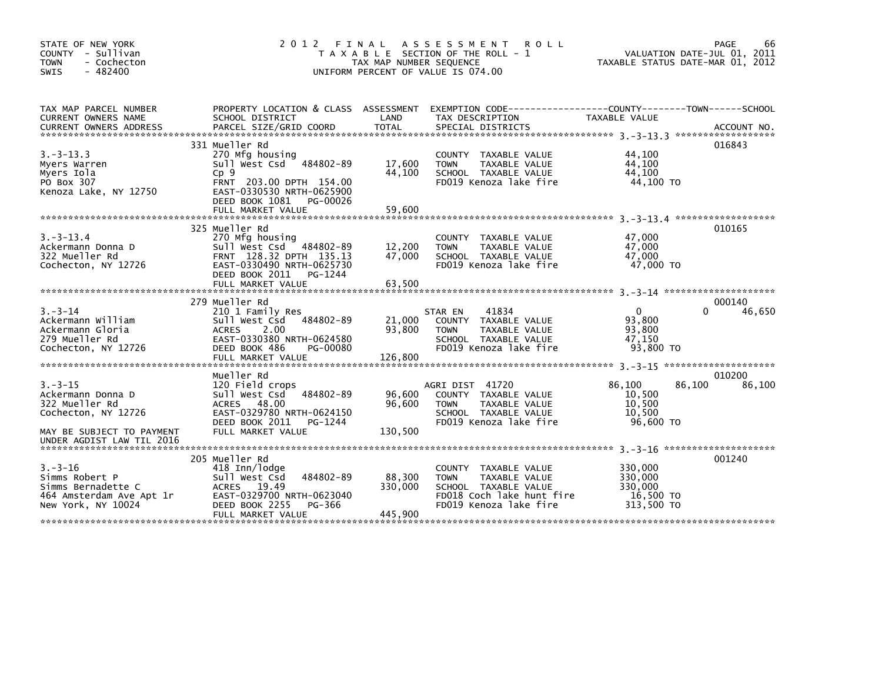| STATE OF NEW YORK<br>- Sullivan<br><b>COUNTY</b><br>- Cochecton<br><b>TOWN</b><br>$-482400$<br><b>SWIS</b>                           | 2 0 1 2<br>T A X A B L E                                                                                                                                                       | FINAL<br>TAX MAP NUMBER SEQUENCE       | A S S E S S M E N T<br><b>ROLL</b><br>SECTION OF THE ROLL - 1<br>UNIFORM PERCENT OF VALUE IS 074.00                                                  | TAXABLE STATUS DATE-MAR 01, 2012                            | PAGE<br>66<br>VALUATION DATE-JUL 01, 2011 |
|--------------------------------------------------------------------------------------------------------------------------------------|--------------------------------------------------------------------------------------------------------------------------------------------------------------------------------|----------------------------------------|------------------------------------------------------------------------------------------------------------------------------------------------------|-------------------------------------------------------------|-------------------------------------------|
| TAX MAP PARCEL NUMBER<br>CURRENT OWNERS NAME                                                                                         | PROPERTY LOCATION & CLASS ASSESSMENT<br>SCHOOL DISTRICT                                                                                                                        | LAND                                   | EXEMPTION CODE-----------------COUNTY-------TOWN------SCHOOL<br>TAX DESCRIPTION                                                                      | TAXABLE VALUE                                               |                                           |
| $3. -3 - 13.3$<br>Myers Warren<br>Myers Iola<br>PO Box 307<br>Kenoza Lake, NY 12750                                                  | 331 Mueller Rd<br>270 Mfg housing<br>Sull West Csd 484802-89<br>Cp9<br>FRNT 203.00 DPTH 154.00<br>EAST-0330530 NRTH-0625900<br>DEED BOOK 1081<br>PG-00026<br>FULL MARKET VALUE | 17,600<br>44,100<br>59,600             | <b>COUNTY</b><br>TAXABLE VALUE<br>TAXABLE VALUE<br><b>TOWN</b><br>SCHOOL TAXABLE VALUE<br>FD019 Kenoza lake fire                                     | 44,100<br>44,100<br>44,100<br>44,100 TO                     | 016843                                    |
| $3. - 3 - 13.4$<br>Ackermann Donna D<br>322 Mueller Rd<br>Cochecton, NY 12726                                                        | 325 Mueller Rd<br>270 Mfg housing<br>Sull West Csd 484802-89<br>FRNT 128.32 DPTH 135.13<br>EAST-0330490 NRTH-0625730<br>DEED BOOK 2011<br>PG-1244                              | 12,200<br>47.000                       | COUNTY TAXABLE VALUE<br><b>TOWN</b><br>TAXABLE VALUE<br>SCHOOL TAXABLE VALUE<br>FD019 Kenoza lake fire                                               | 47,000<br>47,000<br>47.000<br>47,000 TO                     | 010165                                    |
| $3. - 3 - 14$<br>Ackermann William<br>Ackermann Gloria<br>279 Mueller Rd<br>Cochecton, NY 12726                                      | 279 Mueller Rd<br>210 1 Family Res<br>Sull West Csd 484802-89<br><b>ACRES</b><br>2.00<br>EAST-0330380 NRTH-0624580<br>DEED BOOK 486<br>PG-00080                                | 21,000<br>93,800                       | 41834<br>STAR EN<br>TAXABLE VALUE<br><b>COUNTY</b><br><b>TOWN</b><br><b>TAXABLE VALUE</b><br>SCHOOL TAXABLE VALUE<br>FD019 Kenoza lake fire          | $\Omega$<br>93,800<br>93,800<br>47,150<br>93,800 TO         | 000140<br>$\Omega$<br>46,650              |
| $3. - 3 - 15$<br>Ackermann Donna D<br>322 Mueller Rd<br>Cochecton, NY 12726<br>MAY BE SUBJECT TO PAYMENT                             | FULL MARKET VALUE<br>Mueller Rd<br>120 Field crops<br>Sull West Csd<br>484802-89<br>ACRES 48.00<br>EAST-0329780 NRTH-0624150<br>DEED BOOK 2011<br>PG-1244<br>FULL MARKET VALUE | 126,800<br>96.600<br>96,600<br>130,500 | AGRI DIST 41720<br><b>COUNTY</b><br>TAXABLE VALUE<br><b>TOWN</b><br>TAXABLE VALUE<br>SCHOOL TAXABLE VALUE<br>FD019 Kenoza lake fire                  | 86,100<br>86,100<br>10,500<br>10,500<br>10.500<br>96,600 TO | 010200<br>86,100                          |
| UNDER AGDIST LAW TIL 2016<br>$3. - 3 - 16$<br>Simms Robert P<br>Simms Bernadette C<br>464 Amsterdam Ave Apt 1r<br>New York, NY 10024 | 205 Mueller Rd<br>418 Inn/lodge<br>484802-89<br>Sull West Csd<br>19.49<br><b>ACRES</b><br>EAST-0329700 NRTH-0623040<br>DEED BOOK 2255<br>PG-366<br>FULL MARKET VALUE           | 88,300<br>330.000<br>445,900           | TAXABLE VALUE<br><b>COUNTY</b><br><b>TOWN</b><br><b>TAXABLE VALUE</b><br>SCHOOL TAXABLE VALUE<br>FD018 Coch lake hunt fire<br>FD019 Kenoza lake fire | 330,000<br>330,000<br>330,000<br>16,500 TO<br>313,500 TO    | 001240                                    |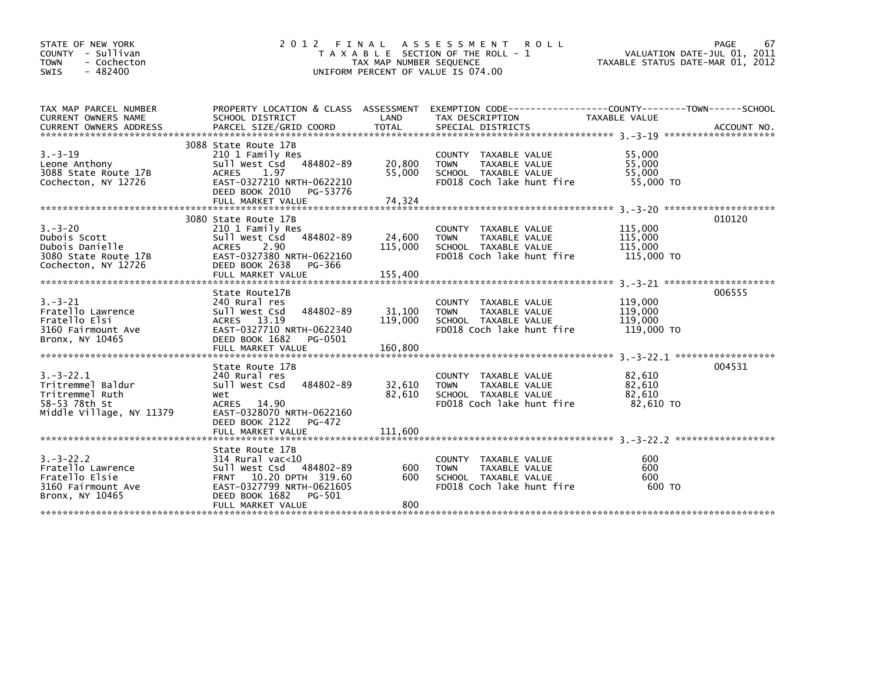| STATE OF NEW YORK<br>COUNTY - Sullivan<br><b>TOWN</b><br>- Cochecton<br>$-482400$<br><b>SWIS</b>     | 2 0 1 2                                                                                                                                                                        | FINAL<br>TAX MAP NUMBER SEQUENCE | A S S E S S M E N T<br><b>ROLL</b><br>T A X A B L E SECTION OF THE ROLL - 1<br>UNIFORM PERCENT OF VALUE IS 074.00                       | VALUATION DATE-JUL 01, 2011<br>TAXABLE STATUS DATE-MAR 01, 2012 | PAGE<br>67  |
|------------------------------------------------------------------------------------------------------|--------------------------------------------------------------------------------------------------------------------------------------------------------------------------------|----------------------------------|-----------------------------------------------------------------------------------------------------------------------------------------|-----------------------------------------------------------------|-------------|
| TAX MAP PARCEL NUMBER<br>CURRENT OWNERS NAME<br><b>CURRENT OWNERS ADDRESS</b>                        | SCHOOL DISTRICT<br>PARCEL SIZE/GRID COORD                                                                                                                                      | LAND<br><b>TOTAL</b>             | PROPERTY LOCATION & CLASS ASSESSMENT EXEMPTION CODE---------------COUNTY-------TOWN------SCHOOL<br>TAX DESCRIPTION<br>SPECIAL DISTRICTS | <b>TAXABLE VALUE</b>                                            | ACCOUNT NO. |
| $3 - 3 - 19$<br>Leone Anthony<br>3088 State Route 17B<br>Cochecton, NY 12726                         | 3088 State Route 17B<br>210 1 Family Res<br>484802-89<br>Sull West Csd<br><b>ACRES</b><br>1.97<br>EAST-0327210 NRTH-0622210<br>DEED BOOK 2010<br>PG-53776<br>FULL MARKET VALUE | 20,800<br>55,000<br>74,324       | COUNTY TAXABLE VALUE<br>TAXABLE VALUE<br><b>TOWN</b><br>SCHOOL TAXABLE VALUE<br>FD018 Coch lake hunt fire                               | 55,000<br>55,000<br>55,000<br>55,000 TO                         |             |
| $3. - 3 - 20$<br>Dubois Scott<br>Dubois Danielle<br>3080 State Route 17B<br>Cochecton, NY 12726      | 3080 State Route 17B<br>210 1 Family Res<br>484802-89<br>Sull West Csd<br>ACRES<br>2.90<br>EAST-0327380 NRTH-0622160<br>DEED BOOK 2638<br>PG-366                               | 24,600<br>115,000                | COUNTY TAXABLE VALUE<br>TAXABLE VALUE<br><b>TOWN</b><br>SCHOOL TAXABLE VALUE<br>FD018 Coch lake hunt fire                               | 115,000<br>115,000<br>115,000<br>115,000 TO                     | 010120      |
| $3. - 3 - 21$<br>Fratello Lawrence<br>Fratello Elsi<br>3160 Fairmount Ave<br>Bronx, NY 10465         | State Route17B<br>240 Rural res<br>484802-89<br>Sull West Csd<br>ACRES 13.19<br>EAST-0327710 NRTH-0622340<br>DEED BOOK 1682<br>PG-0501<br>FULL MARKET VALUE                    | 31,100<br>119,000<br>160.800     | COUNTY TAXABLE VALUE<br><b>TOWN</b><br>TAXABLE VALUE<br>SCHOOL TAXABLE VALUE<br>FD018 Coch lake hunt fire                               | 119,000<br>119,000<br>119,000<br>119,000 TO                     | 006555      |
| $3. - 3 - 22.1$<br>Tritremmel Baldur<br>Tritremmel Ruth<br>58-53 78th St<br>Middle Village, NY 11379 | State Route 17B<br>240 Rural res<br>Sull West Csd<br>484802-89<br>Wet<br>ACRES 14.90<br>EAST-0328070 NRTH-0622160<br>DEED BOOK 2122<br>PG-472<br>FULL MARKET VALUE             | 32,610<br>82,610<br>111.600      | COUNTY TAXABLE VALUE<br>TAXABLE VALUE<br><b>TOWN</b><br>SCHOOL TAXABLE VALUE<br>FD018 Coch lake hunt fire                               | 82,610<br>82,610<br>82,610<br>82,610 TO                         | 004531      |
| $3. - 3 - 22.2$<br>Fratello Lawrence<br>Fratello Elsie<br>3160 Fairmount Ave<br>Bronx, NY 10465      | State Route 17B<br>$314$ Rural vac<10<br>Sull West Csd<br>484802-89<br>FRNT 10.20 DPTH 319.60<br>EAST-0327799 NRTH-0621605<br>DEED BOOK 1682<br>PG-501<br>FULL MARKET VALUE    | 600<br>600<br>800                | COUNTY<br>TAXABLE VALUE<br><b>TOWN</b><br>TAXABLE VALUE<br>SCHOOL TAXABLE VALUE<br>FD018 Coch lake hunt fire                            | 600<br>600<br>600<br>600 TO                                     |             |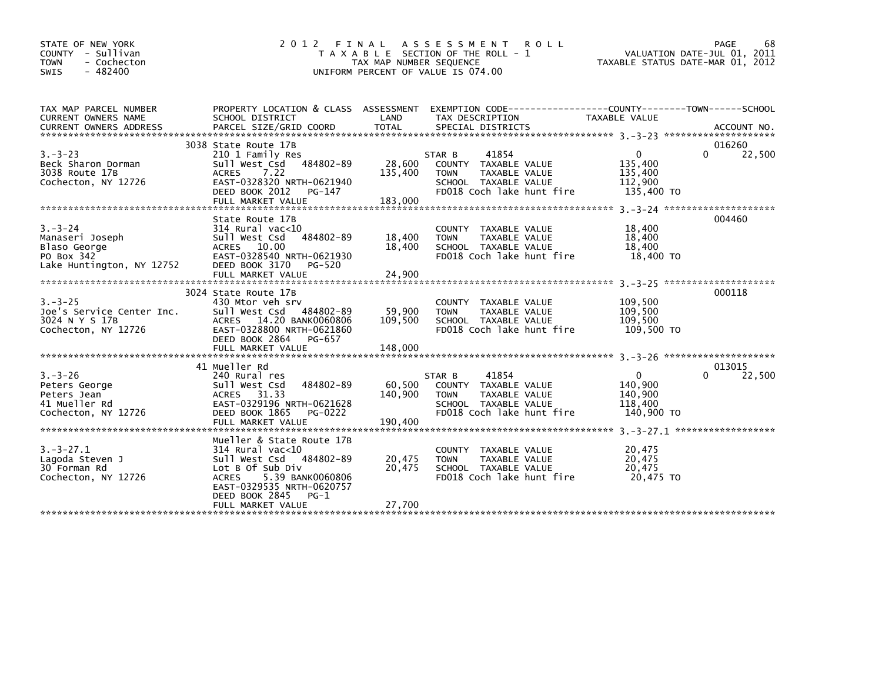| STATE OF NEW YORK<br>COUNTY - Sullivan<br>- Cochecton<br><b>TOWN</b><br>$-482400$<br>SWIS   | 2012 FINAL                                                                                                                                                                                                           | TAX MAP NUMBER SEQUENCE      | A S S E S S M E N T<br><b>ROLL</b><br>T A X A B L E SECTION OF THE ROLL - 1<br>UNIFORM PERCENT OF VALUE IS 074.00               | VALUATION DATE-JUL 01, 2011<br>TAXABLE STATUS DATE-MAR 01, 2012                   | PAGE<br>68                   |
|---------------------------------------------------------------------------------------------|----------------------------------------------------------------------------------------------------------------------------------------------------------------------------------------------------------------------|------------------------------|---------------------------------------------------------------------------------------------------------------------------------|-----------------------------------------------------------------------------------|------------------------------|
| TAX MAP PARCEL NUMBER<br>CURRENT OWNERS NAME                                                | SCHOOL DISTRICT                                                                                                                                                                                                      | LAND                         | PROPERTY LOCATION & CLASS ASSESSMENT EXEMPTION CODE----------------COUNTY-------TOWN------SCHOOL<br>TAX DESCRIPTION             | <b>TAXABLE VALUE</b>                                                              |                              |
| $3. - 3 - 23$<br>Beck Sharon Dorman<br>3038 Route 17B<br>Cochecton, NY 12726                | 3038 State Route 17B<br>210 1 Family Res<br>484802-89<br>Sull West Csd<br><b>ACRES</b><br>7.22<br>EAST-0328320 NRTH-0621940<br>DEED BOOK 2012<br>PG-147<br>FULL MARKET VALUE                                         | 28,600<br>135,400<br>183,000 | 41854<br>STAR B<br>COUNTY TAXABLE VALUE<br><b>TOWN</b><br>TAXABLE VALUE<br>SCHOOL TAXABLE VALUE<br>FD018 Coch lake hunt fire    | 0<br>135,400<br>135,400<br>112,900<br>135,400 TO                                  | 016260<br>$\Omega$<br>22,500 |
| $3. - 3 - 24$<br>Manaseri Joseph<br>Blaso George<br>PO Box 342<br>Lake Huntington, NY 12752 | State Route 17B<br>$314$ Rural vac<10<br>Sull West Csd<br>484802-89<br>ACRES 10.00<br>EAST-0328540 NRTH-0621930<br>DEED BOOK 3170<br>PG-520<br>FULL MARKET VALUE                                                     | 18,400<br>18,400<br>24,900   | COUNTY<br>TAXABLE VALUE<br>TAXABLE VALUE<br><b>TOWN</b><br>SCHOOL TAXABLE VALUE<br>FD018 Coch lake hunt fire                    | 18,400<br>18,400<br>18,400<br>18,400 TO                                           | 004460                       |
| $3. - 3 - 25$<br>Joe's Service Center Inc.<br>3024 N Y S 17B<br>Cochecton, NY 12726         | 3024 State Route 17B<br>430 Mtor veh srv<br>Sull West Csd<br>484802-89<br>ACRES 14.20 BANK0060806<br>EAST-0328800 NRTH-0621860<br>DEED BOOK 2864<br>PG-657<br>FULL MARKET VALUE                                      | 59,900<br>109,500<br>148,000 | <b>COUNTY</b><br>TAXABLE VALUE<br>TAXABLE VALUE<br><b>TOWN</b><br>SCHOOL TAXABLE VALUE<br>FD018 Coch lake hunt fire             | 109,500<br>109,500<br>109,500<br>109,500 TO<br>3. - 3 - 26 ********************** | 000118                       |
| $3. - 3 - 26$<br>Peters George<br>Peters Jean<br>41 Mueller Rd<br>Cochecton, NY 12726       | 41 Mueller Rd<br>240 Rural res<br>484802-89<br>Sull West Csd<br>31.33<br>ACRES<br>EAST-0329196 NRTH-0621628<br>DEED BOOK 1865<br>PG-0222<br>FULL MARKET VALUE                                                        | 60,500<br>140,900<br>190,400 | 41854<br>STAR B<br>COUNTY<br>TAXABLE VALUE<br>TAXABLE VALUE<br><b>TOWN</b><br>SCHOOL TAXABLE VALUE<br>FD018 Coch lake hunt fire | $\mathbf{0}$<br>140.900<br>140,900<br>118,400<br>140,900 TO                       | 013015<br>22,500<br>0        |
| $3. -3 - 27.1$<br>Lagoda Steven J<br>30 Forman Rd<br>Cochecton, NY 12726                    | Mueller & State Route 17B<br>$314$ Rural vac< $10$<br>484802-89<br>Sull West Csd<br>Lot B Of Sub Div<br>5.39 BANK0060806<br><b>ACRES</b><br>EAST-0329535 NRTH-0620757<br>DEED BOOK 2845<br>PG-1<br>FULL MARKET VALUE | 20,475<br>20,475<br>27,700   | TAXABLE VALUE<br>COUNTY<br><b>TOWN</b><br>TAXABLE VALUE<br>SCHOOL TAXABLE VALUE<br>FD018 Coch lake hunt fire                    | 20,475<br>20,475<br>20,475<br>20,475 TO                                           |                              |
|                                                                                             |                                                                                                                                                                                                                      |                              |                                                                                                                                 |                                                                                   |                              |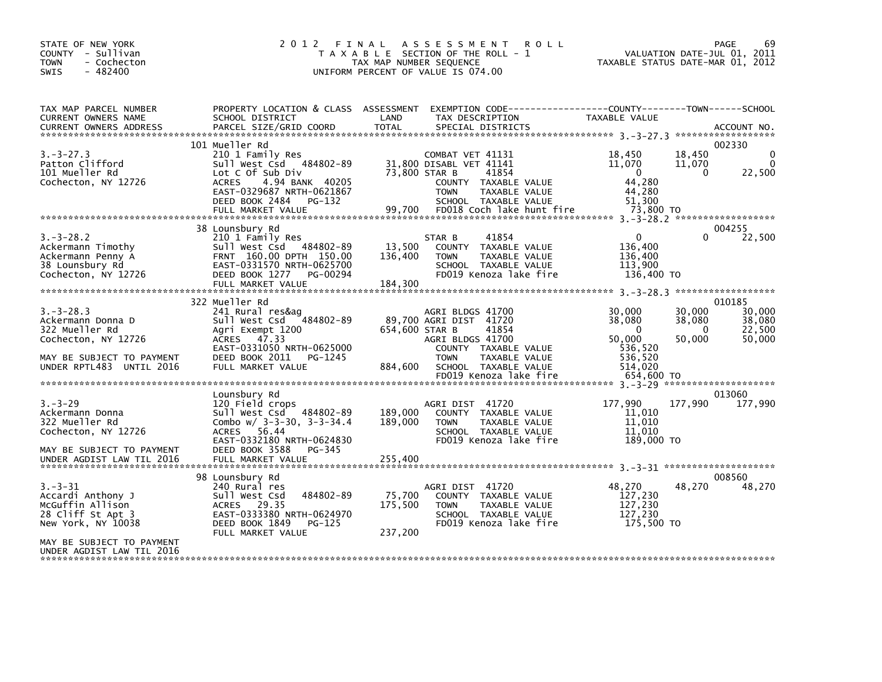| STATE OF NEW YORK<br>COUNTY - Sullivan<br><b>TOWN</b><br>- Cochecton<br>$-482400$<br><b>SWIS</b>                                                            | 2012                                                                                                                                                                                               | TAX MAP NUMBER SEQUENCE      | FINAL ASSESSMENT<br><b>ROLL</b><br>T A X A B L E SECTION OF THE ROLL - 1<br>UNIFORM PERCENT OF VALUE IS 074.00                                                    | TAXABLE STATUS DATE-MAR 01, 2012                                            |                                        | 69<br>PAGE<br>VALUATION DATE-JUL 01, 2011      |
|-------------------------------------------------------------------------------------------------------------------------------------------------------------|----------------------------------------------------------------------------------------------------------------------------------------------------------------------------------------------------|------------------------------|-------------------------------------------------------------------------------------------------------------------------------------------------------------------|-----------------------------------------------------------------------------|----------------------------------------|------------------------------------------------|
| TAX MAP PARCEL NUMBER<br>CURRENT OWNERS NAME<br><b>CURRENT OWNERS ADDRESS</b>                                                                               | SCHOOL DISTRICT<br>PARCEL SIZE/GRID COORD                                                                                                                                                          | LAND<br>TOTAL                | PROPERTY LOCATION & CLASS ASSESSMENT EXEMPTION CODE----------------COUNTY-------TOWN-----SCHOOL<br>TAX DESCRIPTION<br>SPECIAL DISTRICTS                           | TAXABLE VALUE                                                               |                                        | ACCOUNT NO.                                    |
| $3. - 3 - 27.3$<br>Patton Clifford<br>101 Mueller Rd<br>Cochecton, NY 12726                                                                                 | 101 Mueller Rd<br>210 1 Family Res<br>Sull West Csd 484802-89<br>Lot C Of Sub Div<br><b>ACRES</b><br>4.94 BANK 40205<br>EAST-0329687 NRTH-0621867<br>DEED BOOK 2484<br>PG-132<br>FULL MARKET VALUE | 73,800 STAR B<br>99,700      | COMBAT VET 41131<br>31,800 DISABL VET 41141<br>41854<br>COUNTY TAXABLE VALUE<br><b>TOWN</b><br>TAXABLE VALUE<br>SCHOOL TAXABLE VALUE<br>FD018 Coch lake hunt fire | 18,450<br>11,070<br>$\mathbf{0}$<br>44,280<br>44,280<br>51.300<br>73,800 TO | 18,450<br>11,070<br>$\Omega$           | 002330<br>$\Omega$<br>$\Omega$<br>22,500       |
| $3. -3 - 28.2$<br>Ackermann Timothy<br>Ackermann Penny A<br>38 Lounsbury Rd<br>Cochecton, NY 12726                                                          | 38 Lounsbury Rd<br>210 1 Family Res<br>Sull West Csd 484802-89<br>FRNT 160.00 DPTH 150.00<br>EAST-0331570 NRTH-0625700<br>DEED BOOK 1277 PG-00294                                                  | 13,500<br>136,400            | 41854<br>STAR B<br>COUNTY TAXABLE VALUE<br>TAXABLE VALUE<br><b>TOWN</b><br>SCHOOL TAXABLE VALUE<br>FD019 Kenoza lake fire                                         | $\mathbf{0}$<br>136,400<br>136,400<br>113,900<br>136,400 TO                 | $\Omega$                               | 004255<br>22,500                               |
| $3. -3 - 28.3$<br>Ackermann Donna D<br>322 Mueller Rd<br>Cochecton, NY 12726<br>MAY BE SUBJECT TO PAYMENT<br>UNDER RPTL483 UNTIL 2016                       | 322 Mueller Rd<br>241 Rural res&ag<br>Sull West Csd 484802-89<br>Agri Exempt 1200<br>ACRES 47.33<br>EAST-0331050 NRTH-0625000<br>DEED BOOK 2011<br>PG-1245<br>FULL MARKET VALUE                    | 654,600 STAR B<br>884,600    | AGRI BLDGS 41700<br>89,700 AGRI DIST 41720<br>41854<br>AGRI BLDGS 41700<br>COUNTY TAXABLE VALUE<br><b>TOWN</b><br>TAXABLE VALUE<br>SCHOOL TAXABLE VALUE           | 30,000<br>38,080<br>$\Omega$<br>50,000<br>536,520<br>536,520<br>514,020     | 30,000<br>38,080<br>$\Omega$<br>50,000 | 010185<br>30,000<br>38,080<br>22,500<br>50,000 |
|                                                                                                                                                             |                                                                                                                                                                                                    |                              | FD019 Kenoza lake fire                                                                                                                                            | 654.600 TO                                                                  |                                        |                                                |
| $3. - 3 - 29$<br>Ackermann Donna<br>322 Mueller Rd<br>Cochecton, NY 12726<br>MAY BE SUBJECT TO PAYMENT                                                      | Lounsbury Rd<br>120 Field crops<br>Sull West Csd 484802-89<br>Combo $w/$ 3-3-30, 3-3-34.4<br>56.44<br><b>ACRES</b><br>EAST-0332180 NRTH-0624830<br>DEED BOOK 3588<br>PG-345                        | 189,000<br>189,000           | AGRI DIST 41720<br>COUNTY TAXABLE VALUE<br>TAXABLE VALUE<br><b>TOWN</b><br>SCHOOL TAXABLE VALUE<br>FD019 Kenoza lake fire                                         | 177,990<br>11,010<br>11,010<br>11.010<br>189,000 TO                         | 177,990                                | 013060<br>177,990                              |
| $3. - 3 - 31$<br>Accardi Anthony J<br>McGuffin Allison<br>28 Cliff St Apt 3<br>New York, NY 10038<br>MAY BE SUBJECT TO PAYMENT<br>UNDER AGDIST LAW TIL 2016 | 98 Lounsbury Rd<br>240 Rural res<br>484802-89<br>Sull West Csd<br>ACRES 29.35<br>EAST-0333380 NRTH-0624970<br>DEED BOOK 1849<br>PG-125<br>FULL MARKET VALUE                                        | 75,700<br>175,500<br>237,200 | AGRI DIST 41720<br>COUNTY TAXABLE VALUE<br>TAXABLE VALUE<br><b>TOWN</b><br>SCHOOL TAXABLE VALUE<br>FD019 Kenoza lake fire                                         | 48.270<br>127,230<br>127,230<br>127,230<br>175,500 TO                       | 48,270                                 | 008560<br>48,270                               |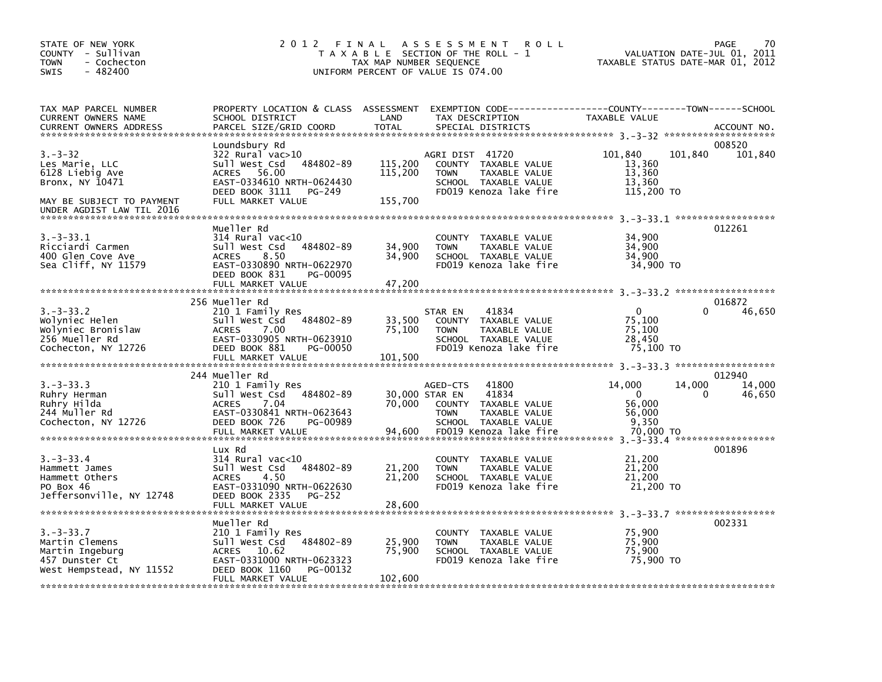| STATE OF NEW YORK<br>COUNTY - Sullivan<br><b>TOWN</b><br>- Cochecton<br>$-482400$<br><b>SWIS</b> | 2 0 1 2<br>FINAL                                       | TAX MAP NUMBER SEQUENCE | A S S E S S M E N T<br><b>ROLL</b><br>T A X A B L E SECTION OF THE ROLL - 1<br>UNIFORM PERCENT OF VALUE IS 074.00   | VALUATION DATE-JUL 01,<br>TAXABLE STATUS DATE-MAR 01, 2012 | 70<br>PAGE<br>2011 |
|--------------------------------------------------------------------------------------------------|--------------------------------------------------------|-------------------------|---------------------------------------------------------------------------------------------------------------------|------------------------------------------------------------|--------------------|
| TAX MAP PARCEL NUMBER<br><b>CURRENT OWNERS NAME</b>                                              | SCHOOL DISTRICT                                        | LAND                    | PROPERTY LOCATION & CLASS ASSESSMENT EXEMPTION CODE----------------COUNTY-------TOWN------SCHOOL<br>TAX DESCRIPTION | TAXABLE VALUE                                              |                    |
| <b>CURRENT OWNERS ADDRESS</b><br>******************************                                  | PARCEL SIZE/GRID COORD                                 | <b>TOTAL</b>            | SPECIAL DISTRICTS                                                                                                   |                                                            | ACCOUNT NO.        |
|                                                                                                  | Loundsbury Rd                                          |                         |                                                                                                                     |                                                            | 008520             |
| $3. - 3 - 32$                                                                                    | $322$ Rural vac $>10$                                  |                         | AGRI DIST 41720                                                                                                     | 101,840<br>101,840                                         | 101,840            |
| Les Marie, LLC                                                                                   | Sull West Csd 484802-89<br>ACRES 56.00                 | 115,200<br>115,200      | COUNTY TAXABLE VALUE                                                                                                | 13,360<br>13,360                                           |                    |
| 6128 Liebig Ave<br>Bronx, NY 10471                                                               | EAST-0334610 NRTH-0624430                              |                         | <b>TOWN</b><br>TAXABLE VALUE<br>SCHOOL TAXABLE VALUE                                                                | 13,360                                                     |                    |
|                                                                                                  | DEED BOOK 3111<br>PG-249                               |                         | FD019 Kenoza lake fire                                                                                              | 115,200 TO                                                 |                    |
| MAY BE SUBJECT TO PAYMENT<br>UNDER AGDIST LAW TIL 2016                                           | FULL MARKET VALUE                                      | 155.700                 |                                                                                                                     |                                                            |                    |
|                                                                                                  | Mueller Rd                                             |                         |                                                                                                                     |                                                            | 012261             |
| $3. -3 - 33.1$                                                                                   | $314$ Rural vac<10                                     |                         | COUNTY TAXABLE VALUE                                                                                                | 34,900                                                     |                    |
| Ricciardi Carmen                                                                                 | 484802-89<br>Sull West Csd                             | 34,900                  | TAXABLE VALUE<br><b>TOWN</b>                                                                                        | 34,900                                                     |                    |
| 400 Glen Cove Ave<br>Sea Cliff, NY 11579                                                         | 8.50<br><b>ACRES</b><br>EAST-0330890 NRTH-0622970      | 34,900                  | SCHOOL TAXABLE VALUE<br>FD019 Kenoza lake fire                                                                      | 34,900<br>34,900 TO                                        |                    |
|                                                                                                  | DEED BOOK 831<br>PG-00095                              |                         |                                                                                                                     |                                                            |                    |
|                                                                                                  | FULL MARKET VALUE                                      | 47,200                  |                                                                                                                     |                                                            |                    |
|                                                                                                  |                                                        |                         |                                                                                                                     |                                                            |                    |
| $3. -3 - 33.2$                                                                                   | 256 Mueller Rd<br>210 1 Family Res                     |                         | 41834<br>STAR EN                                                                                                    | $\mathbf{0}$<br>0                                          | 016872<br>46,650   |
| Wolyniec Helen                                                                                   | Sull West Csd<br>484802-89                             | 33,500                  | COUNTY TAXABLE VALUE                                                                                                | 75,100                                                     |                    |
| Wolyniec Bronislaw                                                                               | 7.00<br><b>ACRES</b>                                   | 75,100                  | <b>TOWN</b><br>TAXABLE VALUE                                                                                        | 75,100                                                     |                    |
| 256 Mueller Rd<br>Cochecton, NY 12726                                                            | EAST-0330905 NRTH-0623910<br>DEED BOOK 881<br>PG-00050 |                         | SCHOOL TAXABLE VALUE<br>FD019 Kenoza lake fire                                                                      | 28,450<br>75,100 TO                                        |                    |
|                                                                                                  | FULL MARKET VALUE                                      | 101,500                 |                                                                                                                     |                                                            |                    |
|                                                                                                  |                                                        |                         |                                                                                                                     |                                                            |                    |
| $3. -3 - 33.3$                                                                                   | 244 Mueller Rd<br>210 1 Family Res                     |                         | 41800<br>AGED-CTS                                                                                                   | 14,000<br>14,000                                           | 012940<br>14,000   |
| Ruhry Herman                                                                                     | Sull West Csd<br>484802-89                             | 30,000 STAR EN          | 41834                                                                                                               | $\mathbf 0$<br>0                                           | 46,650             |
| Ruhry Hilda                                                                                      | 7.04<br><b>ACRES</b>                                   | 70,000                  | COUNTY TAXABLE VALUE                                                                                                | 56,000                                                     |                    |
| 244 Muller Rd                                                                                    | EAST-0330841 NRTH-0623643                              |                         | TAXABLE VALUE<br><b>TOWN</b>                                                                                        | 56,000                                                     |                    |
| Cochecton, NY 12726                                                                              | DEED BOOK 726<br>PG-00989<br>FULL MARKET VALUE         | 94,600                  | SCHOOL TAXABLE VALUE<br>FD019 Kenoza lake fire                                                                      | 9,350<br>70,000 TO                                         |                    |
|                                                                                                  |                                                        |                         |                                                                                                                     |                                                            |                    |
|                                                                                                  | Lux Rd                                                 |                         |                                                                                                                     |                                                            | 001896             |
| $3. -3 - 33.4$<br>Hammett James                                                                  | $314$ Rural vac<10<br>Sull West Csd<br>484802-89       | 21,200                  | COUNTY TAXABLE VALUE<br>TAXABLE VALUE<br><b>TOWN</b>                                                                | 21,200<br>21,200                                           |                    |
| Hammett Others                                                                                   | 4.50<br><b>ACRES</b>                                   | 21,200                  | SCHOOL TAXABLE VALUE                                                                                                | 21,200                                                     |                    |
| PO Box 46                                                                                        | EAST-0331090 NRTH-0622630                              |                         | FD019 Kenoza lake fire                                                                                              | 21,200 TO                                                  |                    |
| Jeffersonville, NY 12748                                                                         | DEED BOOK 2335<br><b>PG-252</b><br>FULL MARKET VALUE   | 28,600                  |                                                                                                                     |                                                            |                    |
|                                                                                                  |                                                        |                         |                                                                                                                     |                                                            |                    |
|                                                                                                  | Mueller Rd                                             |                         |                                                                                                                     |                                                            | 002331             |
| $3. -3 - 33.7$<br>Martin Clemens                                                                 | 210 1 Family Res<br>sull west Csd<br>484802-89         | 25,900                  | COUNTY TAXABLE VALUE<br>TAXABLE VALUE<br><b>TOWN</b>                                                                | 75,900<br>75,900                                           |                    |
| Martin Ingeburg                                                                                  | ACRES 10.62                                            | 75,900                  | SCHOOL TAXABLE VALUE                                                                                                | 75,900                                                     |                    |
| 457 Dunster Ct                                                                                   | EAST-0331000 NRTH-0623323                              |                         | FD019 Kenoza lake fire                                                                                              | 75,900 TO                                                  |                    |
| West Hempstead, NY 11552                                                                         | DEED BOOK 1160<br>PG-00132                             | 102,600                 |                                                                                                                     |                                                            |                    |
|                                                                                                  | FULL MARKET VALUE                                      |                         |                                                                                                                     |                                                            |                    |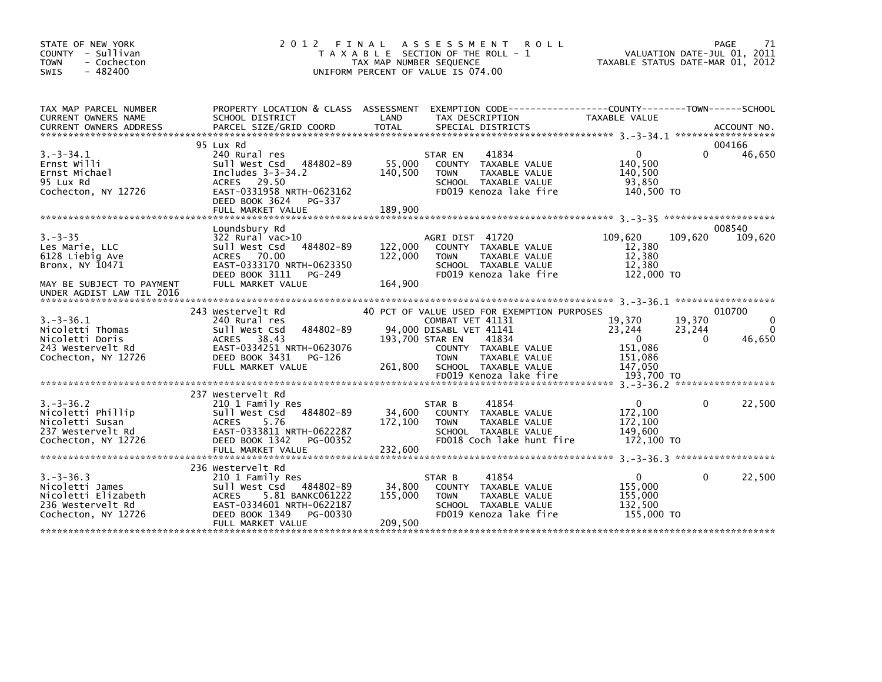| STATE OF NEW YORK<br>COUNTY - Sullivan<br>- Cochecton<br><b>TOWN</b><br>$-482400$<br><b>SWIS</b>     | 2 0 1 2<br>FINAL                                                                                                                                                                     | A S S E S S M E N T<br><b>ROLL</b><br>T A X A B L E SECTION OF THE ROLL - 1<br>TAX MAP NUMBER SEQUENCE<br>UNIFORM PERCENT OF VALUE IS 074.00                 | PAGE<br>VALUATION DATE-JUL 01, 2011<br>TAXABLE STATUS DATE-MAR 01, 2012       | 71                                 |  |  |
|------------------------------------------------------------------------------------------------------|--------------------------------------------------------------------------------------------------------------------------------------------------------------------------------------|--------------------------------------------------------------------------------------------------------------------------------------------------------------|-------------------------------------------------------------------------------|------------------------------------|--|--|
| TAX MAP PARCEL NUMBER<br><b>CURRENT OWNERS NAME</b>                                                  | PROPERTY LOCATION & CLASS ASSESSMENT<br>SCHOOL DISTRICT                                                                                                                              | LAND<br>TAX DESCRIPTION                                                                                                                                      | EXEMPTION CODE-----------------COUNTY-------TOWN------SCHOOL<br>TAXABLE VALUE |                                    |  |  |
|                                                                                                      |                                                                                                                                                                                      |                                                                                                                                                              |                                                                               |                                    |  |  |
|                                                                                                      | 95 Lux Rd                                                                                                                                                                            |                                                                                                                                                              |                                                                               | 004166                             |  |  |
| $3. - 3 - 34.1$<br>Ernst Willi<br>Ernst Michael<br>95 Lux Rd<br>Cochecton, NY 12726                  | 240 Rural res<br>484802-89<br>Sull West Csd<br>Includes $3-3-34.2$<br>29.50<br><b>ACRES</b><br>EAST-0331958 NRTH-0623162<br>DEED BOOK 3624<br>PG-337                                 | 41834<br>STAR EN<br>55,000<br>TAXABLE VALUE<br><b>COUNTY</b><br>140,500<br><b>TOWN</b><br>TAXABLE VALUE<br>SCHOOL TAXABLE VALUE<br>FD019 Kenoza lake fire    | $\Omega$<br>$\Omega$<br>140.500<br>140,500<br>93,850<br>140,500 TO            | 46,650                             |  |  |
|                                                                                                      | FULL MARKET VALUE                                                                                                                                                                    | 189,900                                                                                                                                                      |                                                                               |                                    |  |  |
|                                                                                                      | Loundsbury Rd                                                                                                                                                                        |                                                                                                                                                              |                                                                               | 008540                             |  |  |
| $3. - 3 - 35$<br>Les Marie, LLC<br>6128 Liebig Ave<br>Bronx, NY 10471                                | $322$ Rural vac $>10$<br>484802-89<br>Sull West Csd<br>ACRES 70.00<br>EAST-0333170 NRTH-0623350<br>DEED BOOK 3111<br>PG-249                                                          | AGRI DIST 41720<br>122,000<br>COUNTY TAXABLE VALUE<br>122,000<br><b>TOWN</b><br>TAXABLE VALUE<br>SCHOOL TAXABLE VALUE<br>FD019 Kenoza lake fire              | 109,620<br>109,620<br>12,380<br>12,380<br>12,380<br>122,000 TO                | 109,620                            |  |  |
| MAY BE SUBJECT TO PAYMENT<br>UNDER AGDIST LAW TIL 2016                                               | FULL MARKET VALUE                                                                                                                                                                    | 164,900                                                                                                                                                      |                                                                               |                                    |  |  |
|                                                                                                      | 243 Westervelt Rd                                                                                                                                                                    | 40 PCT OF VALUE USED FOR EXEMPTION PURPOSES                                                                                                                  |                                                                               | 010700                             |  |  |
| $3.-3-36.1$<br>Nicoletti Thomas<br>Nicoletti Doris                                                   | 240 Rural res<br>484802-89<br>Sull West Csd<br>38.43<br>ACRES                                                                                                                        | COMBAT VET 41131<br>94,000 DISABL VET 41141<br>193,700 STAR EN<br>41834                                                                                      | 19,370<br>19,370<br>23,244<br>23,244<br>$\Omega$<br>$\Omega$                  | $\Omega$<br>$\mathbf{0}$<br>46,650 |  |  |
| 243 Westervelt Rd<br>Cochecton, NY 12726                                                             | EAST-0334251 NRTH-0623076<br>DEED BOOK 3431<br>PG-126<br>FULL MARKET VALUE                                                                                                           | COUNTY TAXABLE VALUE<br><b>TOWN</b><br>TAXABLE VALUE<br>261,800<br>SCHOOL TAXABLE VALUE<br>FD019 Kenoza lake fire                                            | 151,086<br>151,086<br>147,050<br>193,700 TO                                   |                                    |  |  |
|                                                                                                      |                                                                                                                                                                                      |                                                                                                                                                              |                                                                               |                                    |  |  |
| $3. - 3 - 36.2$<br>Nicoletti Phillip<br>Nicoletti Susan<br>237 Westervelt Rd<br>Cochecton, NY 12726  | 237 Westervelt Rd<br>210 1 Family Res<br>484802-89<br>Sull West Csd<br>5.76<br><b>ACRES</b><br>EAST-0333811 NRTH-0622287<br>DEED BOOK 1342<br>PG-00352<br>FULL MARKET VALUE          | 41854<br>STAR B<br>34,600<br>COUNTY TAXABLE VALUE<br>172,100<br><b>TOWN</b><br>TAXABLE VALUE<br>SCHOOL TAXABLE VALUE<br>FD018 Coch lake hunt fire<br>232,600 | $\mathbf{0}$<br>$\Omega$<br>172,100<br>172,100<br>149.600<br>172,100 TO       | 22,500                             |  |  |
|                                                                                                      |                                                                                                                                                                                      |                                                                                                                                                              |                                                                               |                                    |  |  |
| $3. -3 - 36.3$<br>Nicoletti James<br>Nicoletti Elizabeth<br>236 Westervelt Rd<br>Cochecton, NY 12726 | 236 Westervelt Rd<br>210 1 Family Res<br>Sull West Csd 484802-89<br><b>ACRES</b><br>5.81 BANKC061222<br>EAST-0334601 NRTH-0622187<br>DEED BOOK 1349<br>PG-00330<br>FULL MARKET VALUE | 41854<br>STAR B<br>34,800<br>COUNTY TAXABLE VALUE<br>155,000<br><b>TOWN</b><br>TAXABLE VALUE<br>SCHOOL TAXABLE VALUE<br>FD019 Kenoza lake fire<br>209,500    | $\mathbf{0}$<br>$\Omega$<br>155,000<br>155,000<br>132,500<br>155,000 TO       | 22,500                             |  |  |
|                                                                                                      |                                                                                                                                                                                      |                                                                                                                                                              |                                                                               |                                    |  |  |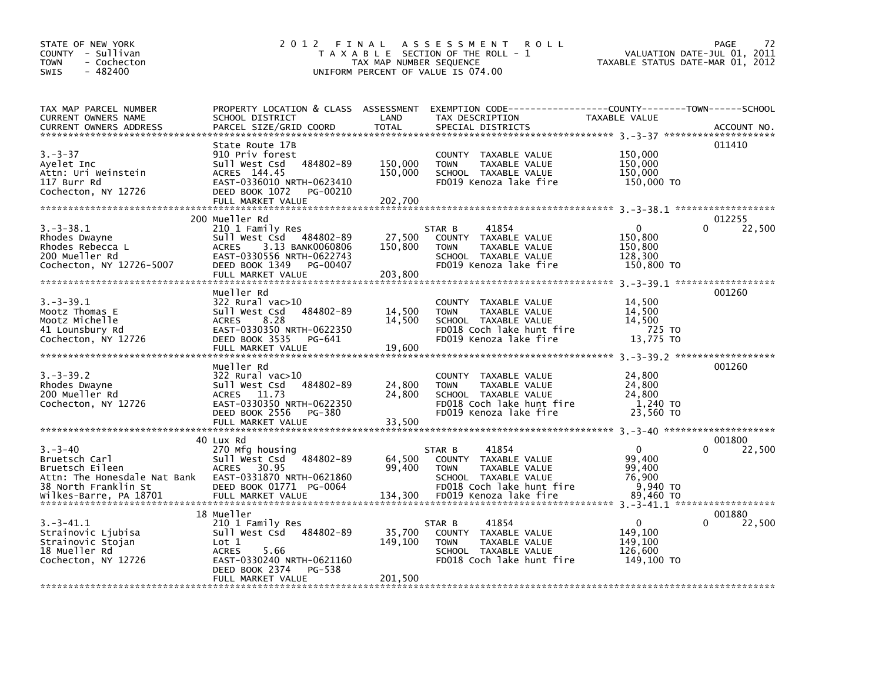| STATE OF NEW YORK<br>COUNTY - Sullivan<br><b>TOWN</b><br>- Cochecton<br>SWIS<br>$-482400$                 | 2012                                                                                                                                                                        | FINAL<br>TAX MAP NUMBER SEQUENCE | A S S E S S M E N T<br><b>ROLL</b><br>T A X A B L E SECTION OF THE ROLL - 1<br>UNIFORM PERCENT OF VALUE IS 074.00                             | VALUATION DATE-JUL 01,<br>TAXABLE STATUS DATE-MAR 01, 2012 | 72<br>PAGE<br>2011           |
|-----------------------------------------------------------------------------------------------------------|-----------------------------------------------------------------------------------------------------------------------------------------------------------------------------|----------------------------------|-----------------------------------------------------------------------------------------------------------------------------------------------|------------------------------------------------------------|------------------------------|
| TAX MAP PARCEL NUMBER<br>CURRENT OWNERS NAME<br><b>CURRENT OWNERS ADDRESS</b>                             | PROPERTY LOCATION & CLASS ASSESSMENT<br>SCHOOL DISTRICT<br>PARCEL SIZE/GRID COORD                                                                                           | LAND<br><b>TOTAL</b>             | EXEMPTION CODE-----------------COUNTY-------TOWN------SCHOOL<br>TAX DESCRIPTION<br>SPECIAL DISTRICTS                                          | TAXABLE VALUE                                              | ACCOUNT NO.                  |
| $3. - 3 - 37$<br>Ayelet Inc<br>Attn: Uri Weinstein<br>117 Burr Rd<br>Cochecton, NY 12726                  | State Route 17B<br>910 Priv forest<br>484802-89<br>Sull West Csd<br>ACRES 144.45<br>EAST-0336010 NRTH-0623410<br>DEED BOOK 1072<br>PG-00210<br>FULL MARKET VALUE            | 150,000<br>150,000<br>202,700    | COUNTY<br>TAXABLE VALUE<br><b>TOWN</b><br>TAXABLE VALUE<br>SCHOOL TAXABLE VALUE<br>FD019 Kenoza lake fire                                     | 150,000<br>150,000<br>150,000<br>150,000 TO                | 011410                       |
|                                                                                                           | 200 Mueller Rd                                                                                                                                                              |                                  |                                                                                                                                               |                                                            | 012255                       |
| 3.–3–38.1<br>Rhodes Dwayne<br>Rhodes Rebecca L<br>200 Mueller Rd<br>Cochecton, NY 12726-5007              | 210 1 Family Res<br>Sull West Csd 484802-89<br>3.13 BANK0060806<br><b>ACRES</b><br>EAST-0330556 NRTH-0622743<br>DEED BOOK 1349<br>PG-00407<br>FULL MARKET VALUE             | 27,500<br>150,800<br>203,800     | 41854<br>STAR B<br>COUNTY TAXABLE VALUE<br><b>TOWN</b><br>TAXABLE VALUE<br>SCHOOL TAXABLE VALUE<br>FD019 Kenoza lake fire                     | $\Omega$<br>150,800<br>150,800<br>128,300<br>150,800 TO    | 22,500<br>$\Omega$           |
|                                                                                                           |                                                                                                                                                                             |                                  |                                                                                                                                               |                                                            |                              |
| 3.–3–39.1<br>Mootz Thomas E<br>Mootz Michelle<br>41 Lounsbury Rd<br>Cochecton, NY 12726                   | Mueller Rd<br>$322$ Rural vac $>10$<br>484802-89<br>Sull West Csd<br><b>ACRES</b><br>8.28<br>EAST-0330350 NRTH-0622350<br>DEED BOOK 3535<br>PG-641<br>FULL MARKET VALUE     | 14,500<br>14,500<br>19,600       | <b>COUNTY</b><br>TAXABLE VALUE<br>TAXABLE VALUE<br><b>TOWN</b><br>SCHOOL TAXABLE VALUE<br>FD018 Coch lake hunt fire<br>FD019 Kenoza lake fire | 14,500<br>14,500<br>14,500<br>725 TO<br>13,775 TO          | 001260                       |
| $3. - 3 - 39.2$<br>Rhodes Dwayne<br>200 Mueller Rd<br>Cochecton, NY 12726                                 | Mueller Rd<br>322 Rural vac>10<br>484802-89<br>Sull West Csd<br>11.73<br><b>ACRES</b><br>EAST-0330350 NRTH-0622350<br>DEED BOOK 2556<br>PG-380<br>FULL MARKET VALUE         | 24,800<br>24,800<br>33,500       | <b>COUNTY</b><br>TAXABLE VALUE<br>TAXABLE VALUE<br><b>TOWN</b><br>SCHOOL TAXABLE VALUE<br>FD018 Coch lake hunt fire<br>FD019 Kenoza lake fire | 24,800<br>24,800<br>24.800<br>1,240 TO<br>23,560 TO        | 001260                       |
|                                                                                                           |                                                                                                                                                                             |                                  |                                                                                                                                               |                                                            |                              |
| $3. - 3 - 40$<br>Bruetsch Carl<br>Bruetsch Eileen<br>Attn: The Honesdale Nat Bank<br>38 North Franklin St | 40 Lux Rd<br>270 Mtg housing<br>484802-89<br>Sull West Csd<br>30.95<br><b>ACRES</b><br>EAST-0331870 NRTH-0621860<br>DEED BOOK 01771 PG-0064                                 | 64,500<br>99,400                 | STAR B<br>41854<br>TAXABLE VALUE<br>COUNTY<br><b>TOWN</b><br>TAXABLE VALUE<br>SCHOOL TAXABLE VALUE<br>FD018 Coch lake hunt fire               | $\mathbf{0}$<br>99,400<br>99,400<br>76,900<br>9,940 TO     | 001800<br>22,500<br>$\Omega$ |
| wilkes-Barre. PA 18701                                                                                    | FULL MARKET VALUE                                                                                                                                                           | 134,300                          | FD019 Kenoza lake fire                                                                                                                        | 89,460 TO                                                  |                              |
| 3.–3–41.1<br>Strainovic Ljubisa<br>Strainovic Stojan<br>18 Mueller Rd<br>Cochecton, NY 12726              | 18 Mueller<br>210 1 Family Res<br>sull west Csd<br>484802-89<br>Lot 1<br><b>ACRES</b><br>5.66<br>EAST-0330240 NRTH-0621160<br>DEED BOOK 2374<br>PG-538<br>FULL MARKET VALUE | 35,700<br>149,100<br>201,500     | 41854<br>STAR B<br>COUNTY<br>TAXABLE VALUE<br><b>TOWN</b><br>TAXABLE VALUE<br>SCHOOL TAXABLE VALUE<br>FD018 Coch lake hunt fire               | 0<br>149,100<br>149,100<br>126,600<br>149,100 TO           | 001880<br>22,500<br>0        |
|                                                                                                           |                                                                                                                                                                             |                                  |                                                                                                                                               |                                                            |                              |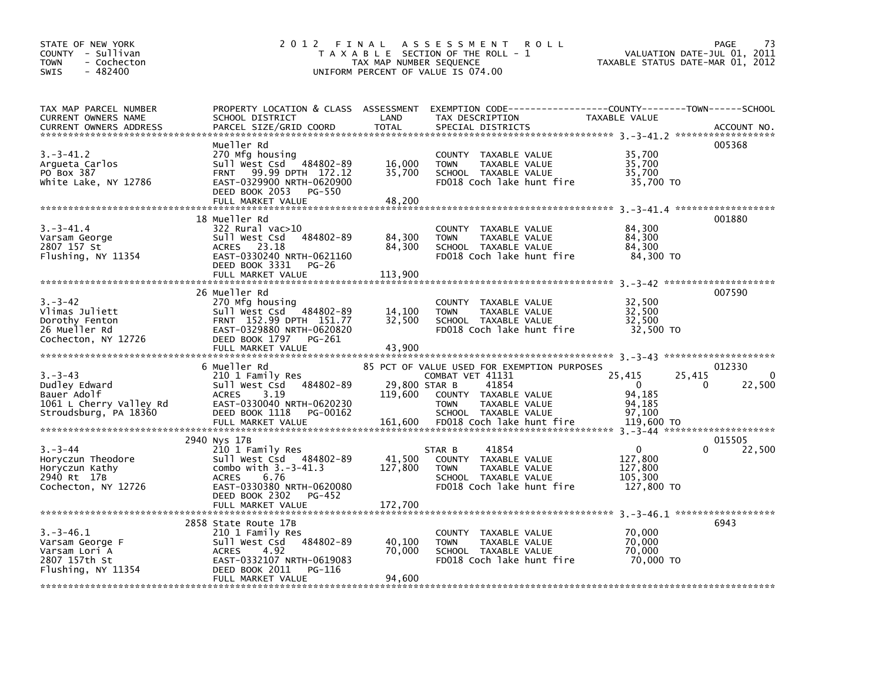| STATE OF NEW YORK<br>COUNTY - Sullivan<br>- Cochecton<br>TOWN<br>- 482400<br><b>SWIS</b>          | 2012 FINAL                                                                                                                                                                               | TAX MAP NUMBER SEQUENCE             | A S S E S S M E N T<br><b>ROLL</b><br>T A X A B L E SECTION OF THE ROLL - 1<br>UNIFORM PERCENT OF VALUE IS 074.00                                                                     | VALUATION DATE-JUL 01, 2011<br>TAXABLE STATUS DATE-MAR 01, 2012               | PAGE<br>73                   |
|---------------------------------------------------------------------------------------------------|------------------------------------------------------------------------------------------------------------------------------------------------------------------------------------------|-------------------------------------|---------------------------------------------------------------------------------------------------------------------------------------------------------------------------------------|-------------------------------------------------------------------------------|------------------------------|
| TAX MAP PARCEL NUMBER<br>CURRENT OWNERS NAME<br><b>CURRENT OWNERS ADDRESS</b>                     | PROPERTY LOCATION & CLASS ASSESSMENT<br>SCHOOL DISTRICT<br>PARCEL SIZE/GRID COORD                                                                                                        | LAND<br><b>TOTAL</b>                | EXEMPTION CODE-----------------COUNTY-------TOWN------SCHOOL<br>TAX DESCRIPTION<br>SPECIAL DISTRICTS                                                                                  | TAXABLE VALUE                                                                 | ACCOUNT NO.                  |
| $3.-3-41.2$<br>Arqueta Carlos<br>PO Box 387<br>White Lake, NY 12786                               | Mueller Rd<br>270 Mfg housing<br>Sull West Csd 484802-89<br>99.99 DPTH 172.12<br><b>FRNT</b><br>EAST-0329900 NRTH-0620900<br>DEED BOOK 2053<br>PG-550<br>FULL MARKET VALUE               | 16,000<br>35,700<br>48,200          | COUNTY TAXABLE VALUE<br>TAXABLE VALUE<br><b>TOWN</b><br>SCHOOL TAXABLE VALUE<br>FD018 Coch lake hunt fire                                                                             | 35,700<br>35,700<br>35,700<br>35,700 TO                                       | 005368                       |
| $3.-3-41.4$<br>Varsam George<br>2807 157 St<br>Flushing, NY 11354                                 | 18 Mueller Rd<br>322 Rural vac>10<br>Sull West Csd 484802-89<br>ACRES 23.18<br>EAST-0330240 NRTH-0621160<br>DEED BOOK 3331<br>PG-26<br>FULL MARKET VALUE                                 | 84,300<br>84,300<br>113,900         | COUNTY TAXABLE VALUE<br>TAXABLE VALUE<br><b>TOWN</b><br>SCHOOL TAXABLE VALUE<br>FD018 Coch lake hunt fire                                                                             | 84,300<br>84,300<br>84,300<br>84,300 TO                                       | 001880                       |
| $3 - 3 - 42$<br>Vlimas Juliett<br>Dorothy Fenton<br>26 Mueller Rd<br>Cochecton, NY 12726          | 26 Mueller Rd<br>270 Mfg housing<br>Sull West Csd 484802-89<br>FRNT 152.99 DPTH 151.77<br>EAST-0329880 NRTH-0620820<br>DEED BOOK 1797<br>PG-261<br>FULL MARKET VALUE                     | 14,100<br>32,500<br>43,900          | COUNTY TAXABLE VALUE<br><b>TOWN</b><br>TAXABLE VALUE<br>SCHOOL TAXABLE VALUE<br>FD018 Coch lake hunt fire                                                                             | 32,500<br>32,500<br>32,500<br>32,500 TO                                       | 007590                       |
| $3. - 3 - 43$<br>Dudley Edward<br>Bauer Adolf<br>1061 L Cherry Valley Rd<br>Stroudsburg, PA 18360 | 6 Mueller Rd<br>210 1 Family Res<br>Sull West Csd 484802-89<br>3.19<br><b>ACRES</b><br>EAST-0330040 NRTH-0620230<br>DEED BOOK 1118<br>PG-00162<br>FULL MARKET VALUE                      | 29,800 STAR B<br>119,600<br>161,600 | 85 PCT OF VALUE USED FOR EXEMPTION PURPOSES<br>COMBAT VET 41131<br>41854<br>COUNTY TAXABLE VALUE<br><b>TOWN</b><br>TAXABLE VALUE<br>SCHOOL TAXABLE VALUE<br>FD018 Coch lake hunt fire | 25,415<br>25,415<br>$\Omega$<br>0<br>94,185<br>94,185<br>97,100<br>119,600 TO | 012330<br>$\Omega$<br>22,500 |
| $3. - 3 - 44$<br>Horyczun Theodore<br>Horyczun Kathy<br>2940 Rt 17B<br>Cochecton, NY 12726        | 2940 Nys 17B<br>210 1 Family Res<br>Sull West Csd 484802-89<br>combo with $3.-3-41.3$<br>6.76<br><b>ACRES</b><br>EAST-0330380 NRTH-0620080<br>DEED BOOK 2302 PG-452<br>FULL MARKET VALUE | 41,500<br>127,800<br>172,700        | 41854<br>STAR B<br>COUNTY TAXABLE VALUE<br><b>TOWN</b><br>TAXABLE VALUE<br>SCHOOL TAXABLE VALUE<br>FD018 Coch lake hunt fire                                                          | $\mathbf{0}$<br>0<br>127,800<br>127,800<br>105,300<br>127,800 TO              | 015505<br>22,500             |
| 3.–3–46.1<br>Varsam George F<br>Varsam Lori A<br>2807 157th St<br>Flushing, NY 11354              | 2858 State Route 17B<br>210 1 Family Res<br>Sull West Csd 484802-89<br><b>ACRES</b><br>4.92<br>EAST-0332107 NRTH-0619083<br>DEED BOOK 2011<br>PG-116<br>FULL MARKET VALUE                | 40,100<br>70,000<br>94,600          | COUNTY TAXABLE VALUE<br>TAXABLE VALUE<br><b>TOWN</b><br>SCHOOL TAXABLE VALUE<br>FD018 Coch lake hunt fire                                                                             | 70,000<br>70,000<br>70,000<br>70,000 TO                                       | 6943                         |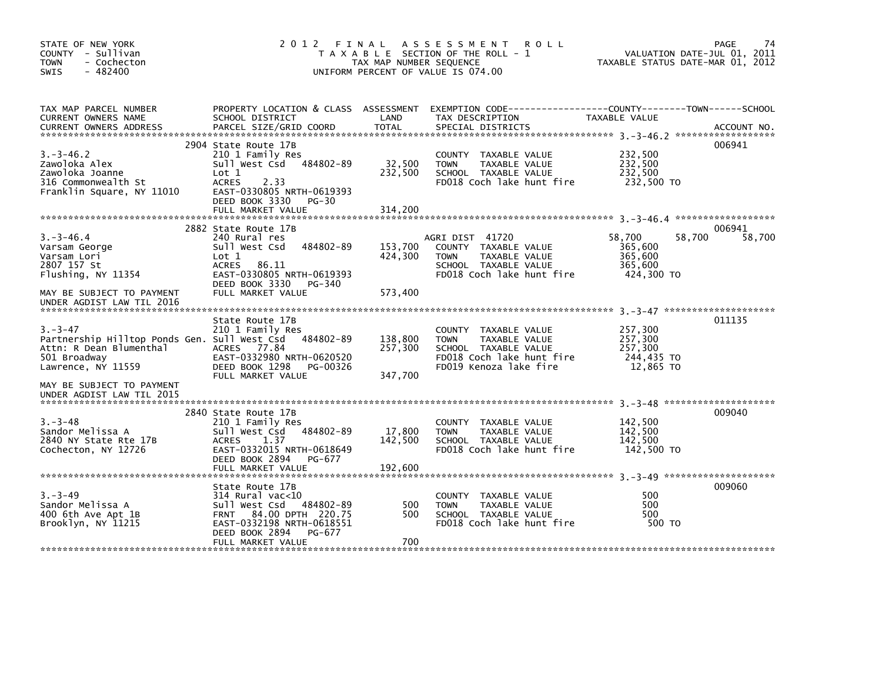| STATE OF NEW YORK<br>COUNTY - Sullivan<br><b>TOWN</b><br>- Cochecton<br>$-482400$<br><b>SWIS</b>                                        | 2012 FINAL                                                                                                                                                                     | TAX MAP NUMBER SEQUENCE       | A S S E S S M E N T<br><b>ROLL</b><br>T A X A B L E SECTION OF THE ROLL - 1<br>UNIFORM PERCENT OF VALUE IS 074.00                   | VALUATION DATE-JUL 01, 2011<br>TAXABLE STATUS DATE-MAR 01, 2012 | PAGE<br>74       |
|-----------------------------------------------------------------------------------------------------------------------------------------|--------------------------------------------------------------------------------------------------------------------------------------------------------------------------------|-------------------------------|-------------------------------------------------------------------------------------------------------------------------------------|-----------------------------------------------------------------|------------------|
| TAX MAP PARCEL NUMBER<br>CURRENT OWNERS NAME                                                                                            | SCHOOL DISTRICT                                                                                                                                                                | LAND                          | PROPERTY LOCATION & CLASS ASSESSMENT EXEMPTION CODE----------------COUNTY--------TOWN------SCHOOL<br>TAX DESCRIPTION                | TAXABLE VALUE                                                   |                  |
| $3. -3 - 46.2$<br>Zawoloka Alex<br>Zawoloka Joanne<br>316 Commonwealth St<br>Franklin Square, NY 11010                                  | 2904 State Route 17B<br>210 1 Family Res<br>Sull West Csd 484802-89<br>Lot 1<br><b>ACRES</b><br>2.33<br>EAST-0330805 NRTH-0619393<br>DEED BOOK 3330 PG-30<br>FULL MARKET VALUE | 32,500<br>232,500<br>314,200  | COUNTY TAXABLE VALUE<br><b>TOWN</b><br>TAXABLE VALUE<br>SCHOOL TAXABLE VALUE<br>FD018 Coch lake hunt fire                           | 232,500<br>232,500<br>232,500<br>232,500 TO                     | 006941           |
| $3. -3 - 46.4$<br>Varsam George<br>Varsam Lori<br>2807 157 St<br>Flushing, NY 11354                                                     | 2882 State Route 17B<br>240 Rural res<br>484802-89<br>Sull West Csd<br>Lot 1<br>ACRES 86.11<br>EAST-0330805 NRTH-0619393<br>DEED BOOK 3330 PG-340                              | 153,700<br>424,300            | AGRI DIST 41720<br>COUNTY TAXABLE VALUE<br><b>TOWN</b><br>TAXABLE VALUE<br>SCHOOL TAXABLE VALUE<br>FD018 Coch lake hunt fire        | 58,700<br>58,700<br>365,600<br>365,600<br>365,600<br>424,300 TO | 006941<br>58,700 |
| MAY BE SUBJECT TO PAYMENT<br>UNDER AGDIST LAW TIL 2016                                                                                  | FULL MARKET VALUE<br>State Route 17B                                                                                                                                           | 573,400                       |                                                                                                                                     |                                                                 | 011135           |
| $3 - 3 - 47$<br>Partnership Hilltop Ponds Gen. Sull West Csd 484802-89<br>Attn: R Dean Blumenthal<br>501 Broadway<br>Lawrence, NY 11559 | 210 1 Family Res<br>ACRES 77.84<br>EAST-0332980 NRTH-0620520<br>DEED BOOK 1298<br>PG-00326<br>FULL MARKET VALUE                                                                | 138,800<br>257,300<br>347,700 | COUNTY TAXABLE VALUE<br>TAXABLE VALUE<br><b>TOWN</b><br>SCHOOL TAXABLE VALUE<br>FD018 Coch lake hunt fire<br>FD019 Kenoza lake fire | 257,300<br>257,300<br>257.300<br>244,435 TO<br>12,865 TO        |                  |
| MAY BE SUBJECT TO PAYMENT<br>UNDER AGDIST LAW TIL 2015                                                                                  |                                                                                                                                                                                |                               |                                                                                                                                     |                                                                 |                  |
| $3. - 3 - 48$<br>Sandor Melissa A<br>2840 NY State Rte 17B<br>Cochecton, NY 12726                                                       | 2840 State Route 17B<br>210 1 Family Res<br>Sull West Csd 484802-89<br>ACRES<br>1.37<br>EAST-0332015 NRTH-0618649<br>DEED BOOK 2894 PG-677                                     | 17,800<br>142,500             | COUNTY TAXABLE VALUE<br>TAXABLE VALUE<br><b>TOWN</b><br>SCHOOL TAXABLE VALUE<br>FD018 Coch lake hunt fire                           | 142,500<br>142,500<br>142,500<br>142,500 TO                     | 009040           |
| $3 - 3 - 49$<br>Sandor Melissa A<br>400 6th Ave Apt 1B<br>Brooklyn, NY 11215                                                            | State Route 17B<br>314 Rural vac<10<br>Sull West Csd 484802-89<br>FRNT 84.00 DPTH 220.75<br>EAST-0332198 NRTH-0618551<br>DEED BOOK 2894<br>PG-677<br>FULL MARKET VALUE         | 500<br>500<br>700             | COUNTY TAXABLE VALUE<br><b>TOWN</b><br>TAXABLE VALUE<br>SCHOOL TAXABLE VALUE<br>FD018 Coch lake hunt fire                           | 500<br>500<br>500<br>500 TO                                     | 009060           |
|                                                                                                                                         |                                                                                                                                                                                |                               |                                                                                                                                     |                                                                 |                  |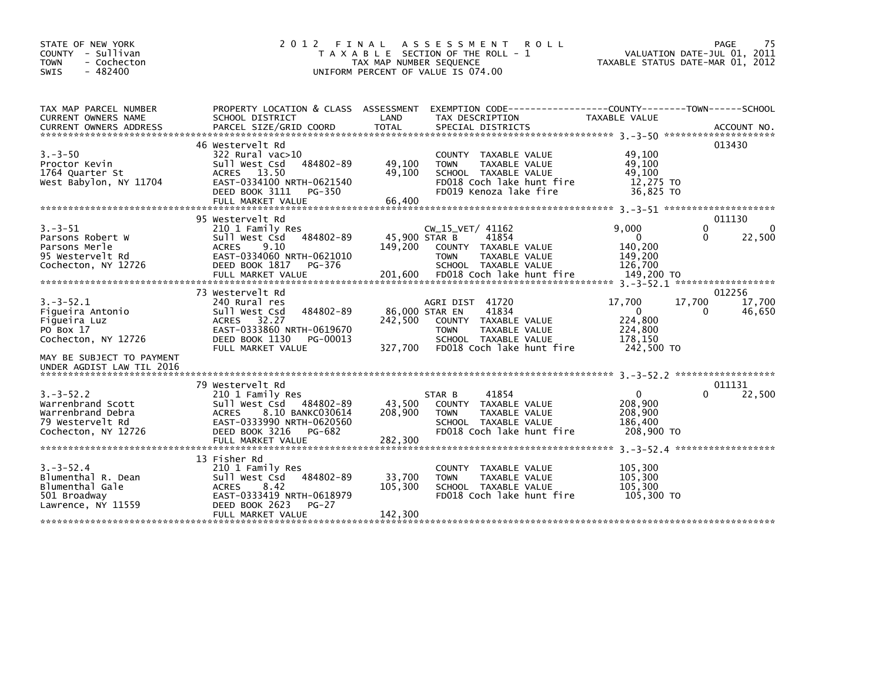| STATE OF NEW YORK<br>COUNTY - Sullivan<br><b>TOWN</b><br>- Cochecton<br>- 482400<br><b>SWIS</b>                     | 2 0 1 2                                                                                                                                                                  | FINAL<br>TAX MAP NUMBER SEQUENCE     | A S S E S S M E N T<br><b>ROLL</b><br>T A X A B L E SECTION OF THE ROLL - 1<br>UNIFORM PERCENT OF VALUE IS 074.00                       | VALUATION DATE-JUL 01, 2011<br>TAXABLE STATUS DATE-MAR 01, 2012                 | PAGE<br>75                                               |
|---------------------------------------------------------------------------------------------------------------------|--------------------------------------------------------------------------------------------------------------------------------------------------------------------------|--------------------------------------|-----------------------------------------------------------------------------------------------------------------------------------------|---------------------------------------------------------------------------------|----------------------------------------------------------|
| TAX MAP PARCEL NUMBER<br>CURRENT OWNERS NAME                                                                        | PROPERTY LOCATION & CLASS ASSESSMENT<br>SCHOOL DISTRICT                                                                                                                  | LAND                                 | EXEMPTION CODE-----------------COUNTY-------TOWN------SCHOOL<br>TAX DESCRIPTION                                                         | TAXABLE VALUE                                                                   |                                                          |
| $3 - 3 - 50$<br>Proctor Kevin<br>1764 Quarter St<br>West Babylon, NY 11704                                          | 46 Westervelt Rd<br>322 Rural vac>10<br>Sull West Csd<br>484802-89<br>ACRES 13.50<br>EAST-0334100 NRTH-0621540<br>DEED BOOK 3111<br>PG-350<br>FULL MARKET VALUE          | 49,100<br>49,100<br>66,400           | COUNTY TAXABLE VALUE<br>TAXABLE VALUE<br><b>TOWN</b><br>SCHOOL TAXABLE VALUE<br>FD018 Coch lake hunt fire<br>FD019 Kenoza lake fire     | 49,100<br>49,100<br>49,100<br>12,275 TO<br>36,825 TO                            | 013430                                                   |
| $3. - 3 - 51$<br>Parsons Robert W<br>Parsons Merle<br>95 Westervelt Rd<br>Cochecton, NY 12726                       | 95 Westervelt Rd<br>210 1 Family Res<br>484802-89<br>Sull West Csd<br><b>ACRES</b><br>9.10<br>EAST-0334060 NRTH-0621010<br>DEED BOOK 1817<br>PG-376<br>FULL MARKET VALUE | 45,900 STAR B<br>149,200<br>201,600  | $CW_15_VET/41162$<br>41854<br>COUNTY TAXABLE VALUE<br><b>TOWN</b><br>TAXABLE VALUE<br>SCHOOL TAXABLE VALUE<br>FD018 Coch lake hunt fire | 9,000<br>$\Omega$<br>140,200<br>149,200<br>126.700<br>149,200 TO                | 011130<br>$\mathbf{0}$<br>$\Omega$<br>22,500<br>$\Omega$ |
| $3. -3 - 52.1$<br>Figueira Antonio<br>Figueira Luz<br>PO Box 17<br>Cochecton, NY 12726<br>MAY BE SUBJECT TO PAYMENT | 73 Westervelt Rd<br>240 Rural res<br>484802-89<br>Sull West Csd<br>ACRES<br>32.27<br>EAST-0333860 NRTH-0619670<br>DEED BOOK 1130<br>PG-00013<br>FULL MARKET VALUE        | 86,000 STAR EN<br>242,500<br>327,700 | AGRI DIST 41720<br>41834<br>COUNTY TAXABLE VALUE<br><b>TOWN</b><br>TAXABLE VALUE<br>SCHOOL TAXABLE VALUE<br>FD018 Coch lake hunt fire   | 17,700<br>17,700<br>$\mathbf{0}$<br>224,800<br>224,800<br>178,150<br>242,500 TO | 012256<br>17,700<br>0<br>46,650                          |
| UNDER AGDIST LAW TIL 2016<br>$3. - 3 - 52.2$<br>Warrenbrand Scott<br>Warrenbrand Debra                              | 79 Westervelt Rd<br>210 1 Family Res<br>Sull West Csd 484802-89<br><b>ACRES</b><br>8.10 BANKC030614                                                                      | 43,500<br>208,900                    | 41854<br>STAR B<br>COUNTY TAXABLE VALUE<br><b>TOWN</b><br>TAXABLE VALUE                                                                 | $3. -3 - 52.2$ *******************<br>0<br>208,900<br>208,900                   | 011131<br>22,500<br>0                                    |
| 79 Westervelt Rd<br>Cochecton, NY 12726                                                                             | EAST-0333990 NRTH-0620560<br>DEED BOOK 3216<br>PG-682<br>FULL MARKET VALUE                                                                                               | 282,300                              | SCHOOL TAXABLE VALUE<br>FD018 Coch lake hunt fire                                                                                       | 186,400<br>208,900 TO                                                           |                                                          |
| $3. - 3 - 52.4$<br>Blumenthal R. Dean<br>Blumenthal Gale<br>501 Broadway<br>Lawrence, NY 11559                      | 13 Fisher Rd<br>210 1 Family Res<br>484802-89<br>Sull West Csd<br>8.42<br><b>ACRES</b><br>EAST-0333419 NRTH-0618979<br>DEED BOOK 2623<br>$PG-27$<br>FULL MARKET VALUE    | 33,700<br>105,300<br>142,300         | TAXABLE VALUE<br><b>COUNTY</b><br>TAXABLE VALUE<br><b>TOWN</b><br>SCHOOL TAXABLE VALUE<br>FD018 Coch lake hunt fire                     | 105,300<br>105.300<br>105,300<br>105,300 TO                                     |                                                          |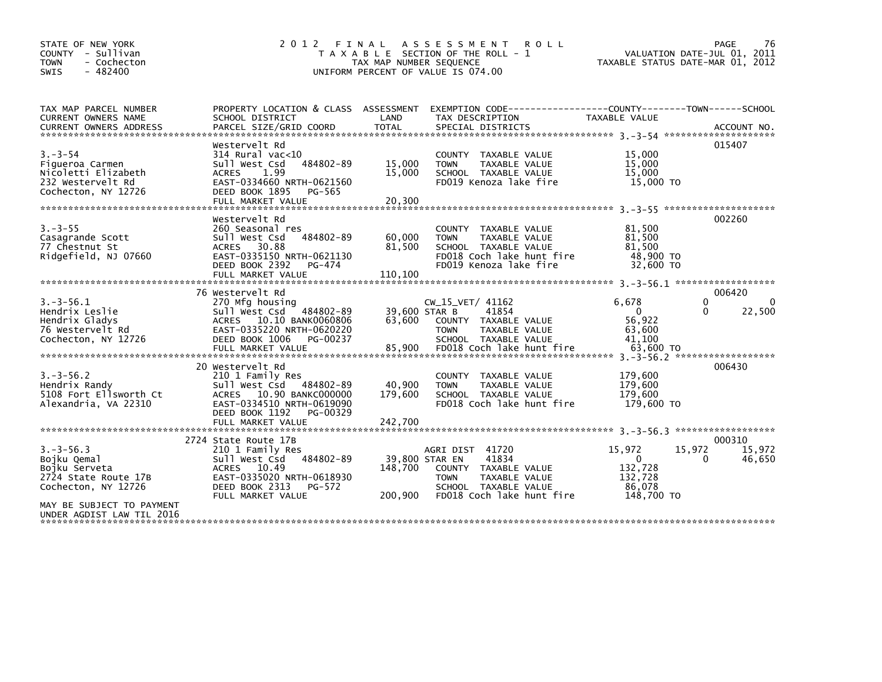| STATE OF NEW YORK<br>COUNTY - Sullivan<br>- Cochecton<br><b>TOWN</b><br>$-482400$<br><b>SWIS</b>                                                        | 2 0 1 2<br>FINAL                                                                                                                                                              | TAX MAP NUMBER SEQUENCE              | A S S E S S M E N T R O L L<br>T A X A B L E SECTION OF THE ROLL - 1<br>UNIFORM PERCENT OF VALUE IS 074.00                            |                                                                      | PAGE<br>76<br>VALUATION DATE-JUL 01, 2011<br>TAXABLE STATUS DATE-MAR 01, 2012 |
|---------------------------------------------------------------------------------------------------------------------------------------------------------|-------------------------------------------------------------------------------------------------------------------------------------------------------------------------------|--------------------------------------|---------------------------------------------------------------------------------------------------------------------------------------|----------------------------------------------------------------------|-------------------------------------------------------------------------------|
| TAX MAP PARCEL NUMBER<br>CURRENT OWNERS NAME                                                                                                            | PROPERTY LOCATION & CLASS ASSESSMENT<br>SCHOOL DISTRICT                                                                                                                       | LAND                                 | EXEMPTION CODE-----------------COUNTY-------TOWN------SCHOOL<br>TAX DESCRIPTION                                                       | TAXABLE VALUE                                                        |                                                                               |
| $3. - 3 - 54$<br>Figueroa Carmen<br>Nicoletti Elizabeth<br>232 Westervelt Rd<br>Cochecton, NY 12726                                                     | Westervelt Rd<br>$314$ Rural vac<10<br>484802-89<br>Sull West Csd<br>1.99<br><b>ACRES</b><br>EAST-0334660 NRTH-0621560<br>DEED BOOK 1895<br>PG-565<br>FULL MARKET VALUE       | 15,000<br>15,000<br>20,300           | COUNTY TAXABLE VALUE<br>TAXABLE VALUE<br><b>TOWN</b><br>SCHOOL TAXABLE VALUE<br>FD019 Kenoza lake fire                                | 15,000<br>15,000<br>15,000<br>15,000 TO                              | 015407                                                                        |
| $3. - 3 - 55$<br>Casagrande Scott<br>77 Chestnut St<br>Ridgefield, NJ 07660                                                                             | Westervelt Rd<br>260 Seasonal res<br>Sull West Csd<br>484802-89<br>ACRES 30.88<br>EAST-0335150 NRTH-0621130<br>DEED BOOK 2392<br>PG-474                                       | 60,000<br>81,500                     | COUNTY TAXABLE VALUE<br><b>TOWN</b><br>TAXABLE VALUE<br>SCHOOL TAXABLE VALUE<br>FD018 Coch lake hunt fire<br>FD019 Kenoza lake fire   | 81,500<br>81,500<br>81,500<br>48,900 TO<br>32,600 TO                 | 002260                                                                        |
| $3. -3 - 56.1$<br>Hendrix Leslie<br>Hendrix Gladys<br>76 Westervelt Rd<br>Cochecton, NY 12726                                                           | 76 Westervelt Rd<br>270 Mfg housing<br>Sull West Csd 484802-89<br>ACRES 10.10 BANK0060806<br>EAST-0335220 NRTH-0620220<br>DEED BOOK 1006<br>PG-00237                          | 39.600 STAR B<br>63.600              | $CW_15_VET/41162$<br>41854<br>COUNTY TAXABLE VALUE<br><b>TOWN</b><br>TAXABLE VALUE<br>SCHOOL TAXABLE VALUE                            | 6.678<br>$\mathbf{0}$<br>56,922<br>63.600<br>41,100                  | 006420<br>0<br>$\Omega$<br>22,500<br>0                                        |
| $3. -3 - 56.2$<br>Hendrix Randy<br>5108 Fort Ellsworth Ct<br>Alexandria, VA 22310                                                                       | 20 Westervelt Rd<br>210 1 Family Res<br>sull west Csd<br>484802-89<br>ACRES 10.90 BANKC000000<br>EAST-0334510 NRTH-0619090<br>DEED BOOK 1192<br>PG-00329<br>FULL MARKET VALUE | 40,900<br>179,600<br>242,700         | COUNTY TAXABLE VALUE<br>TAXABLE VALUE<br><b>TOWN</b><br>SCHOOL TAXABLE VALUE<br>FD018 Coch lake hunt fire                             | 179,600<br>179,600<br>179,600<br>179.600 TO                          | 006430                                                                        |
| $3. -3 - 56.3$<br>Bojku Qemal<br>Bojku Serveta<br>2724 State Route 17B<br>Cochecton, NY 12726<br>MAY BE SUBJECT TO PAYMENT<br>UNDER AGDIST LAW TIL 2016 | 2724 State Route 17B<br>210 1 Family Res<br>Sull West Csd<br>484802-89<br>ACRES 10.49<br>EAST-0335020 NRTH-0618930<br>DEED BOOK 2313<br>PG-572<br>FULL MARKET VALUE           | 39,800 STAR EN<br>148,700<br>200.900 | AGRI DIST 41720<br>41834<br>COUNTY TAXABLE VALUE<br><b>TOWN</b><br>TAXABLE VALUE<br>SCHOOL TAXABLE VALUE<br>FD018 Coch lake hunt fire | 15,972<br>$\mathbf{0}$<br>132,728<br>132,728<br>86,078<br>148,700 TO | 000310<br>15,972<br>15,972<br>46,650<br>0                                     |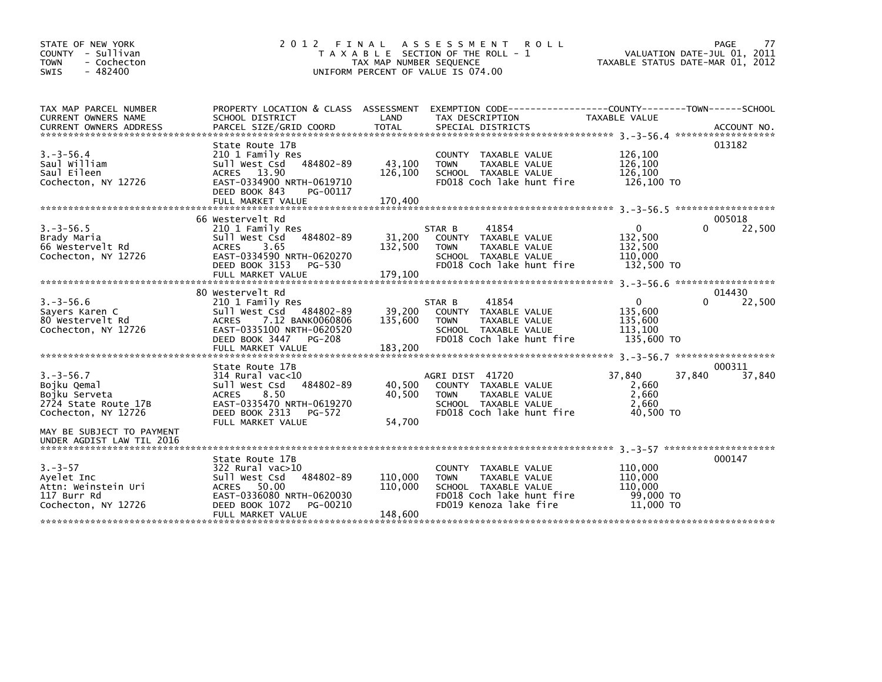| STATE OF NEW YORK<br>COUNTY - Sullivan<br><b>TOWN</b><br>- Cochecton<br>$-482400$<br><b>SWIS</b> | 2 0 1 2<br>FINAL                                                                                                                                                                                          | TAX MAP NUMBER SEQUENCE                 | A S S E S S M E N T<br><b>ROLL</b><br>T A X A B L E SECTION OF THE ROLL - 1<br>UNIFORM PERCENT OF VALUE IS 074.00                   |                                                         | 77<br>PAGE<br>VALUATION DATE-JUL 01, 2011<br>TAXABLE STATUS DATE-MAR 01, 2012 |
|--------------------------------------------------------------------------------------------------|-----------------------------------------------------------------------------------------------------------------------------------------------------------------------------------------------------------|-----------------------------------------|-------------------------------------------------------------------------------------------------------------------------------------|---------------------------------------------------------|-------------------------------------------------------------------------------|
| TAX MAP PARCEL NUMBER<br><b>CURRENT OWNERS NAME</b>                                              | SCHOOL DISTRICT                                                                                                                                                                                           | LAND                                    | PROPERTY LOCATION & CLASS ASSESSMENT EXEMPTION CODE---------------COUNTY-------TOWN------SCHOOL<br>TAX DESCRIPTION                  | TAXABLE VALUE                                           |                                                                               |
| $3. - 3 - 56.4$<br>Saul William<br>Saul Eileen<br>Cochecton, NY 12726                            | State Route 17B<br>210 1 Family Res<br>484802-89<br>Sull West Csd<br>ACRES 13.90<br>EAST-0334900 NRTH-0619710<br>DEED BOOK 843<br>PG-00117<br>FULL MARKET VALUE                                           | 43,100<br>126,100<br>170,400            | COUNTY TAXABLE VALUE<br><b>TOWN</b><br>TAXABLE VALUE<br>SCHOOL TAXABLE VALUE<br>FD018 Coch lake hunt fire                           | 126,100<br>126,100<br>126,100<br>126,100 TO             | 013182                                                                        |
| $3. - 3 - 56.5$<br>Brady Maria<br>66 Westervelt Rd<br>Cochecton, NY 12726                        | 66 Westervelt Rd<br>210 1 Family Res<br>484802-89<br>Sull West Csd<br>3.65<br><b>ACRES</b><br>EAST-0334590 NRTH-0620270<br>DEED BOOK 3153<br>PG-530                                                       | 31,200<br>132,500                       | 41854<br>STAR B<br>COUNTY TAXABLE VALUE<br><b>TOWN</b><br>TAXABLE VALUE<br>SCHOOL TAXABLE VALUE<br>FD018 Coch lake hunt fire        | $\Omega$<br>132,500<br>132,500<br>110.000<br>132,500 TO | 005018<br>22,500<br>$\Omega$                                                  |
| $3. -3 - 56.6$<br>Sayers Karen C<br>80 Westervelt Rd<br>Cochecton, NY 12726                      | FULL MARKET VALUE<br>80 Westervelt Rd<br>210 1 Family Res<br>Sull West Csd<br>484802-89<br>7.12 BANK0060806<br><b>ACRES</b><br>EAST-0335100 NRTH-0620520<br>DEED BOOK 3447<br>PG-208<br>FULL MARKET VALUE | 179,100<br>39,200<br>135,600<br>183,200 | STAR B<br>41854<br>COUNTY TAXABLE VALUE<br>TAXABLE VALUE<br><b>TOWN</b><br>SCHOOL TAXABLE VALUE<br>FD018 Coch lake hunt fire        | 0<br>135,600<br>135,600<br>113,100<br>135,600 TO        | 014430<br>$\Omega$<br>22,500                                                  |
| $3. - 3 - 56.7$<br>Bojku Qemal<br>Bojku Serveta<br>2724 State Route 17B<br>Cochecton, NY 12726   | State Route 17B<br>$314$ Rural vac<10<br>484802-89<br>Sull West Csd<br>8.50<br><b>ACRES</b><br>EAST-0335470 NRTH-0619270<br>DEED BOOK 2313<br>PG-572                                                      | 40,500<br>40,500                        | AGRI DIST 41720<br>COUNTY TAXABLE VALUE<br>TAXABLE VALUE<br><b>TOWN</b><br>SCHOOL TAXABLE VALUE<br>FD018 Coch lake hunt fire        | 37,840<br>2,660<br>2,660<br>2.660<br>40.500 TO          | 000311<br>37,840<br>37,840                                                    |
| MAY BE SUBJECT TO PAYMENT<br>UNDER AGDIST LAW TIL 2016                                           | FULL MARKET VALUE                                                                                                                                                                                         | 54.700                                  |                                                                                                                                     |                                                         |                                                                               |
| $3. - 3 - 57$<br>Ayelet Inc<br>Attn: Weinstein Uri<br>117 Burr Rd<br>Cochecton, NY 12726         | State Route 17B<br>$322$ Rural vac $>10$<br>484802-89<br>Sull West Csd<br>ACRES 50.00<br>EAST-0336080 NRTH-0620030<br>DEED BOOK 1072<br>PG-00210<br>FULL MARKET VALUE                                     | 110,000<br>110,000<br>148,600           | COUNTY TAXABLE VALUE<br><b>TOWN</b><br>TAXABLE VALUE<br>SCHOOL TAXABLE VALUE<br>FD018 Coch lake hunt fire<br>FD019 Kenoza lake fire | 110,000<br>110,000<br>110,000<br>99,000 TO<br>11,000 TO | 000147                                                                        |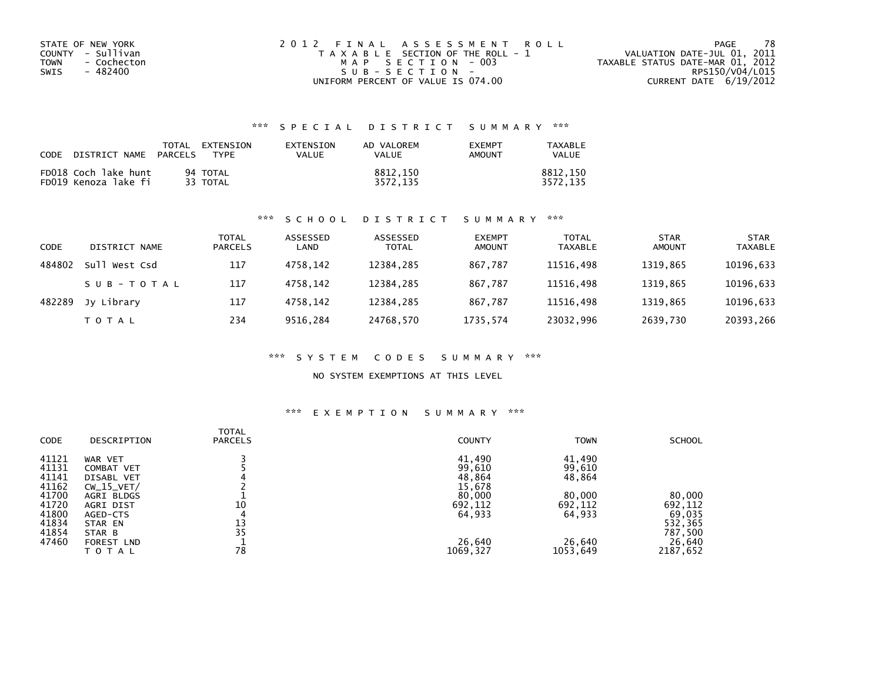| STATE OF NEW YORK          | 2012 FINAL ASSESSMENT ROLL            | -78<br>PAGE                      |
|----------------------------|---------------------------------------|----------------------------------|
| COUNTY - Sullivan          | T A X A B L E SECTION OF THE ROLL - 1 | VALUATION DATE-JUL 01, 2011      |
| <b>TOWN</b><br>- Cochecton | MAP SECTION - 003                     | TAXABLE STATUS DATE-MAR 01, 2012 |
| SWIS<br>- 482400           | $SUB - SECTION -$                     | RPS150/V04/L015                  |
|                            | UNIFORM PERCENT OF VALUE IS 074.00    | CURRENT DATE 6/19/2012           |

| CODE | DISTRICT NAME                                | <b>PARCELS</b> | TOTAL EXTENSION<br>TYPF | EXTENSION<br>VALUE | AD VALOREM<br>VALUE  | <b>FXFMPT</b><br><b>AMOUNT</b> | TAXABLE<br><b>VALUE</b> |
|------|----------------------------------------------|----------------|-------------------------|--------------------|----------------------|--------------------------------|-------------------------|
|      | FD018 Coch lake hunt<br>FD019 Kenoza lake fi |                | 94 TOTAL<br>33 TOTAL    |                    | 8812.150<br>3572.135 |                                | 8812.150<br>3572.135    |

### \*\*\* S C H O O L D I S T R I C T S U M M A R Y \*\*\*

| CODE   | DISTRICT NAME   | <b>TOTAL</b><br><b>PARCELS</b> | ASSESSED<br>LAND | ASSESSED<br><b>TOTAL</b> | <b>EXEMPT</b><br><b>AMOUNT</b> | <b>TOTAL</b><br><b>TAXABLE</b> | <b>STAR</b><br><b>AMOUNT</b> | <b>STAR</b><br><b>TAXABLE</b> |
|--------|-----------------|--------------------------------|------------------|--------------------------|--------------------------------|--------------------------------|------------------------------|-------------------------------|
| 484802 | West Csd<br>Su1 | 117                            | 4758.142         | 12384,285                | 867,787                        | 11516,498                      | 1319,865                     | 10196,633                     |
|        | SUB-TOTAL       | 117                            | 4758.142         | 12384.285                | 867.787                        | 11516.498                      | 1319.865                     | 10196,633                     |
| 482289 | Jy Library      | 117                            | 4758.142         | 12384.285                | 867.787                        | 11516,498                      | 1319.865                     | 10196,633                     |
|        | T O T A L       | 234                            | 9516,284         | 24768,570                | 1735,574                       | 23032,996                      | 2639,730                     | 20393,266                     |

### \*\*\* S Y S T E M C O D E S S U M M A R Y \*\*\*

### NO SYSTEM EXEMPTIONS AT THIS LEVEL

| CODE  | DESCRIPTION       | <b>TOTAL</b><br><b>PARCELS</b> | <b>COUNTY</b> | <b>TOWN</b> | <b>SCHOOL</b> |
|-------|-------------------|--------------------------------|---------------|-------------|---------------|
| 41121 | WAR VET           |                                | 41,490        | 41,490      |               |
| 41131 | COMBAT VET        |                                | 99,610        | 99,610      |               |
| 41141 | <b>DISABL VET</b> |                                | 48,864        | 48,864      |               |
| 41162 | $CW_15_VET/$      |                                | 15,678        |             |               |
| 41700 | AGRI BLDGS        |                                | 80,000        | 80,000      | 80,000        |
| 41720 | AGRI DIST         | 10                             | 692,112       | 692,112     | 692,112       |
| 41800 | AGED-CTS          | 4                              | 64,933        | 64,933      | 69,035        |
| 41834 | STAR EN           | 13                             |               |             | 532,365       |
| 41854 | STAR B            | 35                             |               |             | 787,500       |
| 47460 | FOREST LND        |                                | 26,640        | 26,640      | 26,640        |
|       | <b>TOTAL</b>      | 78                             | 1069,327      | 1053,649    | 2187,652      |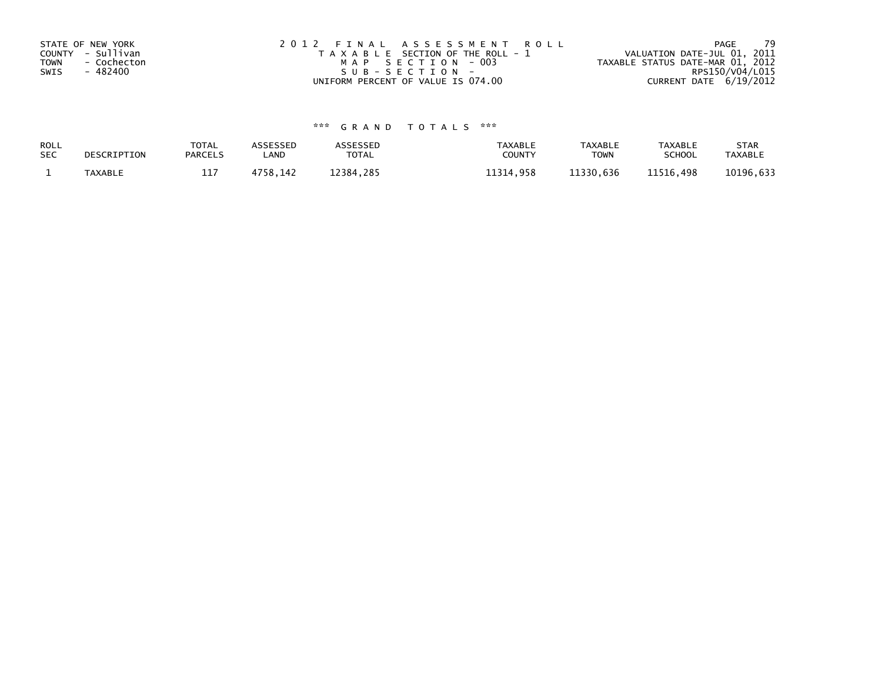| STATE OF NEW YORK          | 2012 FINAL ASSESSMENT ROLL            | -79<br>PAGE                      |
|----------------------------|---------------------------------------|----------------------------------|
| COUNTY - Sullivan          | T A X A B L E SECTION OF THE ROLL - 1 | VALUATION DATE-JUL 01, 2011      |
| <b>TOWN</b><br>- Cochecton | MAP SECTION - 003                     | TAXABLE STATUS DATE-MAR 01, 2012 |
| - 482400<br>SWIS           | SUB-SECTION-                          | RPS150/V04/L015                  |
|                            | UNIFORM PERCENT OF VALUE IS 074.00    | CURRENT DATE 6/19/2012           |

| ROLL       | DESCRIPTION    | <b>TOTAL</b>   | ASSESSED | <b>\SSESSED</b> | <b>TAXABLE</b> | <b>TAXABLE</b> | <b>TAXABLE</b> | <b>STAR</b>    |
|------------|----------------|----------------|----------|-----------------|----------------|----------------|----------------|----------------|
| <b>SEC</b> |                | <b>PARCELS</b> | LAND     | <b>TOTAL</b>    | COUNTY         | <b>TOWN</b>    | <b>SCHOOL</b>  | <b>TAXABLE</b> |
|            | <b>TAXABLE</b> | 117<br>ᅩᆂ      | 4758.142 | 12384.285       | 11314.958      | 11330.636      | 11516,498      | 10196,633      |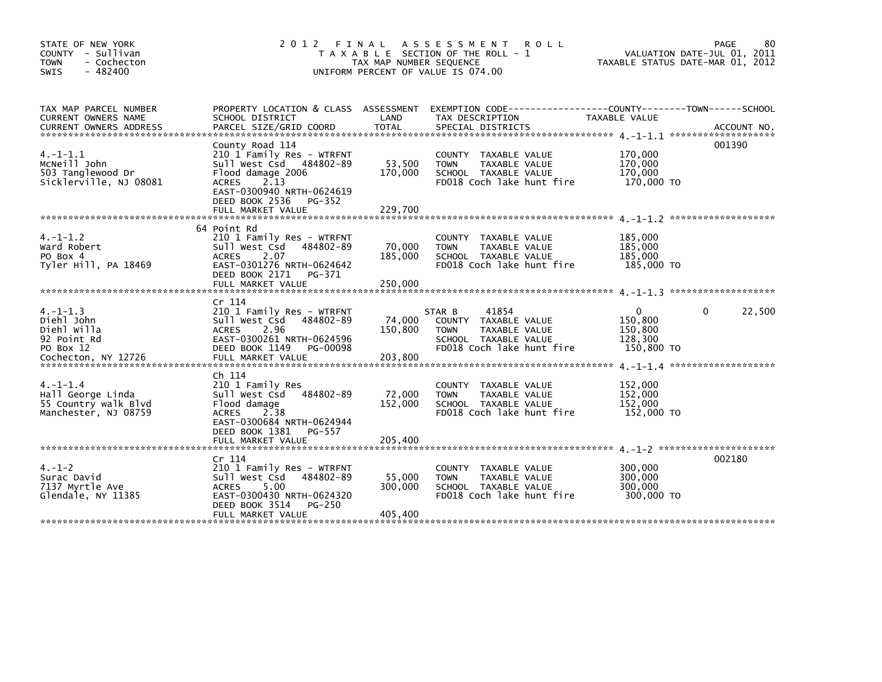| STATE OF NEW YORK<br>COUNTY - Sullivan<br>- Cochecton<br><b>TOWN</b><br>$-482400$<br><b>SWIS</b> |                                                                                                                                                                               | TAX MAP NUMBER SEQUENCE      | 2012 FINAL ASSESSMENT<br><b>ROLL</b><br>T A X A B L E SECTION OF THE ROLL - 1<br>UNIFORM PERCENT OF VALUE IS 074.00                 | VALUATION DATE-JUL 01, 2011<br>TAXABLE STATUS DATE-MAR 01, 2012 | 80<br>PAGE  |
|--------------------------------------------------------------------------------------------------|-------------------------------------------------------------------------------------------------------------------------------------------------------------------------------|------------------------------|-------------------------------------------------------------------------------------------------------------------------------------|-----------------------------------------------------------------|-------------|
| TAX MAP PARCEL NUMBER<br>CURRENT OWNERS NAME                                                     | SCHOOL DISTRICT                                                                                                                                                               | LAND                         | PROPERTY LOCATION & CLASS ASSESSMENT EXEMPTION CODE---------------COUNTY-------TOWN------SCHOOL<br>TAX DESCRIPTION                  | TAXABLE VALUE                                                   |             |
| $4. -1 - 1.1$<br>MCNeill John<br>503 Tanglewood Dr<br>Sicklerville, NJ 08081                     | County Road 114<br>210 1 Family Res - WTRFNT<br>Sull West Csd 484802-89<br>Flood damage 2006<br><b>ACRES</b><br>2.13<br>EAST-0300940 NRTH-0624619<br>DEED BOOK 2536<br>PG-352 | 53,500<br>170,000            | COUNTY TAXABLE VALUE<br>TAXABLE VALUE<br><b>TOWN</b><br>SCHOOL TAXABLE VALUE<br>FD018 Coch lake hunt fire                           | 170,000<br>170,000<br>170,000<br>170,000 TO                     | 001390      |
|                                                                                                  | FULL MARKET VALUE                                                                                                                                                             | 229,700                      |                                                                                                                                     |                                                                 |             |
| $4. -1 - 1.2$<br>Ward Robert<br>PO Box 4<br>Tyler Hill, PA 18469                                 | 64 Point Rd<br>210 1 Family Res - WTRFNT<br>Sull West Csd 484802-89<br><b>ACRES</b><br>2.07<br>EAST-0301276 NRTH-0624642<br>DEED BOOK 2171<br>PG-371                          | 70,000<br>185,000            | COUNTY TAXABLE VALUE<br><b>TOWN</b><br>TAXABLE VALUE<br>SCHOOL TAXABLE VALUE<br>FD018 Coch lake hunt fire                           | 185,000<br>185,000<br>185,000<br>185,000 TO                     |             |
|                                                                                                  |                                                                                                                                                                               |                              |                                                                                                                                     |                                                                 |             |
| $4. -1 - 1.3$<br>Diehl John<br>Diehl Willa<br>92 Point Rd<br>PO Box 12<br>Cochecton, NY 12726    | Cr 114<br>210 1 Family Res - WTRFNT<br>Sull West Csd 484802-89<br><b>ACRES</b><br>2.96<br>EAST-0300261 NRTH-0624596<br>DEED BOOK 1149<br>PG-00098<br>FULL MARKET VALUE        | 74,000<br>150.800<br>203,800 | 41854<br>STAR B<br>COUNTY TAXABLE VALUE<br><b>TOWN</b><br><b>TAXABLE VALUE</b><br>SCHOOL TAXABLE VALUE<br>FD018 Coch lake hunt fire | 0<br>150,800<br>150,800<br>128,300<br>150,800 TO                | 0<br>22,500 |
| $4. -1 - 1.4$<br>Hall George Linda<br>55 Country walk Blvd<br>Manchester, NJ 08759               | Ch 114<br>210 1 Family Res<br>Sull West Csd 484802-89<br>Flood damage<br><b>ACRES</b><br>2.38<br>EAST-0300684 NRTH-0624944<br>DEED BOOK 1381<br>PG-557<br>FULL MARKET VALUE   | 72,000<br>152,000<br>205,400 | <b>COUNTY</b><br>TAXABLE VALUE<br><b>TAXABLE VALUE</b><br><b>TOWN</b><br>SCHOOL TAXABLE VALUE<br>FD018 Coch lake hunt fire          | 152,000<br>152,000<br>152,000<br>152,000 TO                     |             |
|                                                                                                  |                                                                                                                                                                               |                              |                                                                                                                                     |                                                                 |             |
| $4. - 1 - 2$<br>Surac David<br>7137 Myrtle Ave<br>Glendale, NY 11385                             | Cr 114<br>210 1 Family Res - WTRFNT<br>Sull West Csd 484802-89<br>5.00<br><b>ACRES</b><br>EAST-0300430 NRTH-0624320<br>DEED BOOK 3514<br>PG-250<br>FULL MARKET VALUE          | 55,000<br>300,000<br>405,400 | TAXABLE VALUE<br><b>COUNTY</b><br><b>TOWN</b><br>TAXABLE VALUE<br>SCHOOL TAXABLE VALUE<br>FD018 Coch lake hunt fire                 | 300,000<br>300,000<br>300,000<br>300,000 TO                     | 002180      |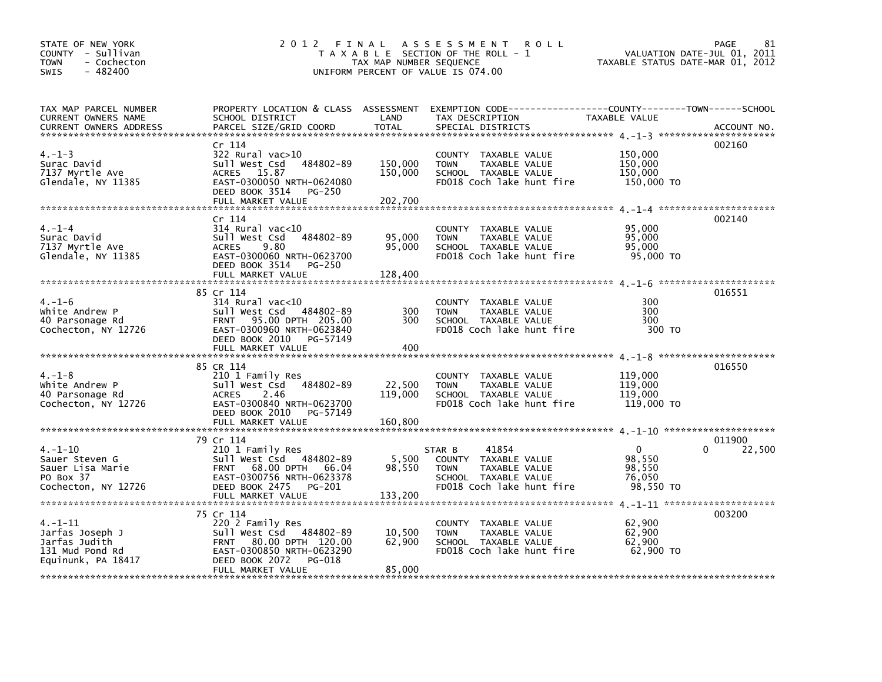| STATE OF NEW YORK<br>COUNTY - Sullivan<br><b>TOWN</b><br>- Cochecton<br>$-482400$<br><b>SWIS</b> |                                                                                                                                                                  | TAX MAP NUMBER SEQUENCE       | 2012 FINAL ASSESSMENT<br><b>ROLL</b><br>T A X A B L E SECTION OF THE ROLL - 1<br>UNIFORM PERCENT OF VALUE IS 074.00          | TAXABLE STATUS DATE-MAR 01, 2012                        | PAGE<br>81<br>VALUATION DATE-JUL 01, 2011 |
|--------------------------------------------------------------------------------------------------|------------------------------------------------------------------------------------------------------------------------------------------------------------------|-------------------------------|------------------------------------------------------------------------------------------------------------------------------|---------------------------------------------------------|-------------------------------------------|
| TAX MAP PARCEL NUMBER<br>CURRENT OWNERS NAME<br><b>CURRENT OWNERS ADDRESS</b>                    | PROPERTY LOCATION & CLASS ASSESSMENT EXEMPTION CODE----------------COUNTY-------TOWN------SCHOOL<br>SCHOOL DISTRICT<br>PARCEL SIZE/GRID COORD                    | LAND<br>TOTAL                 | TAX DESCRIPTION<br>SPECIAL DISTRICTS                                                                                         | TAXABLE VALUE                                           | ACCOUNT NO.                               |
| $4. - 1 - 3$<br>Surac David<br>7137 Myrtle Ave<br>Glendale, NY 11385                             | Cr 114<br>$322$ Rural vac $>10$<br>Sull West Csd 484802-89<br>ACRES 15.87<br>EAST-0300050 NRTH-0624080<br>DEED BOOK 3514 PG-250<br>FULL MARKET VALUE             | 150,000<br>150,000<br>202,700 | COUNTY TAXABLE VALUE<br><b>TOWN</b><br>TAXABLE VALUE<br>SCHOOL TAXABLE VALUE<br>FD018 Coch lake hunt fire                    | 150,000<br>150,000<br>150,000<br>150,000 TO             | 002160                                    |
|                                                                                                  |                                                                                                                                                                  |                               |                                                                                                                              |                                                         |                                           |
| $4. - 1 - 4$<br>Surac David<br>7137 Myrtle Ave<br>Glendale, NY 11385                             | Cr 114<br>$314$ Rural vac<10<br>Sull West Csd<br>484802-89<br>ACRES 9.80<br>EAST-0300060 NRTH-0623700<br>DEED BOOK 3514 PG-250<br>FULL MARKET VALUE              | 95,000<br>95,000<br>128,400   | COUNTY TAXABLE VALUE<br><b>TOWN</b><br>TAXABLE VALUE<br>SCHOOL TAXABLE VALUE<br>FD018 Coch lake hunt fire                    | 95,000<br>95,000<br>95,000<br>95,000 TO                 | 002140                                    |
|                                                                                                  |                                                                                                                                                                  |                               |                                                                                                                              |                                                         |                                           |
| $4. - 1 - 6$<br>White Andrew P<br>40 Parsonage Rd<br>Cochecton, NY 12726                         | 85 Cr 114<br>$314$ Rural vac<10<br>Sull West Csd 484802-89<br>FRNT 95.00 DPTH 205.00<br>EAST-0300960 NRTH-0623840<br>DEED BOOK 2010 PG-57149                     | 300<br>300                    | COUNTY TAXABLE VALUE<br><b>TOWN</b><br>TAXABLE VALUE<br>SCHOOL TAXABLE VALUE<br>FD018 Coch lake hunt fire                    | 300<br>300<br>300<br>300 TO                             | 016551                                    |
|                                                                                                  |                                                                                                                                                                  |                               |                                                                                                                              |                                                         |                                           |
| $4. - 1 - 8$<br>White Andrew P<br>40 Parsonage Rd<br>Cochecton, NY 12726                         | 85 CR 114<br>210 1 Family Res<br>484802-89<br>Sull West Csd<br><b>ACRES</b><br>2.46<br>EAST-0300840 NRTH-0623700<br>DEED BOOK 2010 PG-57149                      | 22,500<br>119,000             | COUNTY TAXABLE VALUE<br><b>TOWN</b><br>TAXABLE VALUE<br>SCHOOL TAXABLE VALUE<br>FD018 Coch lake hunt fire                    | 119,000<br>119,000<br>119,000<br>119,000 TO             | 016550                                    |
|                                                                                                  |                                                                                                                                                                  |                               |                                                                                                                              |                                                         |                                           |
| $4. - 1 - 10$<br>Sauer Steven G<br>Sauer Lisa Marie<br>PO Box 37<br>Cochecton, NY 12726          | 79 Cr 114<br>210 1 Family Res<br>Sull West Csd 484802-89<br>FRNT 68.00 DPTH 66.04<br>EAST-0300756 NRTH-0623378<br>DEED BOOK 2475 PG-201                          | 5,500<br>98,550               | 41854<br>STAR B<br>COUNTY TAXABLE VALUE<br>TAXABLE VALUE<br><b>TOWN</b><br>SCHOOL TAXABLE VALUE<br>FD018 Coch lake hunt fire | $\mathbf{0}$<br>98,550<br>98,550<br>76,050<br>98,550 TO | 011900<br>0<br>22,500                     |
|                                                                                                  |                                                                                                                                                                  |                               |                                                                                                                              |                                                         |                                           |
| $4. -1 - 11$<br>Jarfas Joseph J<br>Jarfas Judith<br>131 Mud Pond Rd<br>Equinunk, PA 18417        | 75 Cr 114<br>220 2 Family Res<br>Sull West Csd 484802-89<br>FRNT 80.00 DPTH 120.00<br>EAST-0300850 NRTH-0623290<br>DEED BOOK 2072<br>PG-018<br>FULL MARKET VALUE | 10,500<br>62,900<br>85,000    | COUNTY TAXABLE VALUE<br>TAXABLE VALUE<br><b>TOWN</b><br>SCHOOL TAXABLE VALUE<br>FD018 Coch lake hunt fire                    | 62,900<br>62,900<br>62,900<br>62,900 TO                 | 003200                                    |
|                                                                                                  |                                                                                                                                                                  |                               |                                                                                                                              |                                                         |                                           |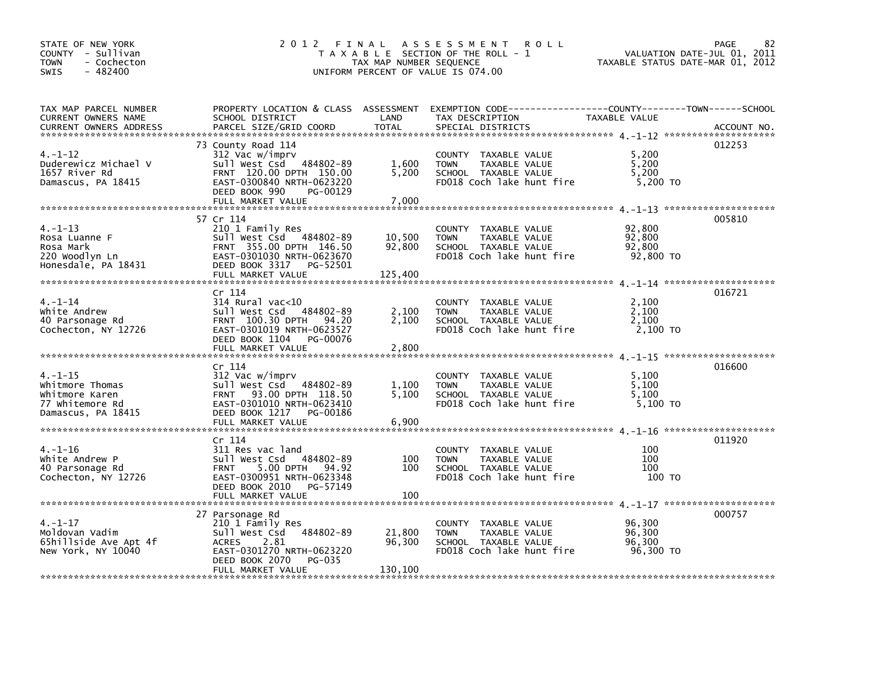| STATE OF NEW YORK<br>COUNTY - Sullivan<br>- Cochecton<br><b>TOWN</b><br>$-482400$<br><b>SWIS</b> | 2012 FINAL                                                                                                                                                                 | TAX MAP NUMBER SEQUENCE     | A S S E S S M E N T<br><b>ROLL</b><br>T A X A B L E SECTION OF THE ROLL - 1<br>UNIFORM PERCENT OF VALUE IS 074.00                       | VALUATION DATE-JUL 01, 2011<br>TAXABLE STATUS DATE-MAR 01, 2012 | PAGE<br>82  |
|--------------------------------------------------------------------------------------------------|----------------------------------------------------------------------------------------------------------------------------------------------------------------------------|-----------------------------|-----------------------------------------------------------------------------------------------------------------------------------------|-----------------------------------------------------------------|-------------|
| TAX MAP PARCEL NUMBER<br>CURRENT OWNERS NAME<br><b>CURRENT OWNERS ADDRESS</b>                    | SCHOOL DISTRICT<br>PARCEL SIZE/GRID COORD                                                                                                                                  | LAND<br><b>TOTAL</b>        | PROPERTY LOCATION & CLASS ASSESSMENT EXEMPTION CODE----------------COUNTY-------TOWN-----SCHOOL<br>TAX DESCRIPTION<br>SPECIAL DISTRICTS | TAXABLE VALUE                                                   | ACCOUNT NO. |
| $4. - 1 - 12$<br>Duderewicz Michael V<br>1657 River Rd<br>Damascus, PA 18415                     | 73 County Road 114<br>312 Vac w/imprv<br>Sull West Csd 484802-89<br>FRNT 120.00 DPTH 150.00<br>EAST-0300840 NRTH-0623220<br>DEED BOOK 990<br>PG-00129<br>FULL MARKET VALUE | 1,600<br>5,200<br>7,000     | COUNTY TAXABLE VALUE<br>TAXABLE VALUE<br><b>TOWN</b><br>SCHOOL TAXABLE VALUE<br>FD018 Coch lake hunt fire                               | 5,200<br>5,200<br>5,200<br>5,200 TO                             | 012253      |
|                                                                                                  | 57 Cr 114                                                                                                                                                                  |                             |                                                                                                                                         |                                                                 | 005810      |
| $4. -1 - 13$<br>Rosa Luanne F<br>Rosa Mark<br>220 Woodlyn Ln<br>Honesdale, PA 18431              | 210 1 Family Res<br>Sull West Csd 484802-89<br>FRNT 355.00 DPTH 146.50<br>EAST-0301030 NRTH-0623670<br>DEED BOOK 3317 PG-52501<br>FULL MARKET VALUE                        | 10,500<br>92,800<br>125,400 | COUNTY TAXABLE VALUE<br><b>TOWN</b><br>TAXABLE VALUE<br>SCHOOL TAXABLE VALUE<br>FD018 Coch lake hunt fire                               | 92,800<br>92,800<br>92,800<br>92,800 TO                         |             |
|                                                                                                  |                                                                                                                                                                            |                             |                                                                                                                                         |                                                                 |             |
| $4. - 1 - 14$<br>white Andrew<br>40 Parsonage Rd<br>Cochecton, NY 12726                          | Cr 114<br>$314$ Rural vac<10<br>Sull West Csd 484802-89<br>FRNT 100.30 DPTH<br>94.20<br>EAST-0301019 NRTH-0623527<br>DEED BOOK 1104<br>PG-00076                            | 2,100<br>2,100              | COUNTY TAXABLE VALUE<br><b>TOWN</b><br>TAXABLE VALUE<br>SCHOOL TAXABLE VALUE<br>FD018 Coch lake hunt fire                               | 2,100<br>2,100<br>2.100<br>2,100 TO                             | 016721      |
|                                                                                                  | FULL MARKET VALUE                                                                                                                                                          | 2,800                       |                                                                                                                                         |                                                                 |             |
| $4. -1 - 15$<br>Whitmore Thomas<br>Whitmore Karen<br>77 whitemore Rd<br>Damascus, PA 18415       | Cr 114<br>312 Vac w/imprv<br>Sull West Csd 484802-89<br>FRNT 93.00 DPTH 118.50<br>EAST-0301010 NRTH-0623410<br>DEED BOOK 1217 PG-00186                                     | 1,100<br>5.100              | COUNTY TAXABLE VALUE<br>TAXABLE VALUE<br><b>TOWN</b><br>SCHOOL TAXABLE VALUE<br>FD018 Coch lake hunt fire                               | 5,100<br>5,100<br>5.100<br>5,100 TO                             | 016600      |
|                                                                                                  | FULL MARKET VALUE                                                                                                                                                          | 6,900                       |                                                                                                                                         |                                                                 |             |
| $4. - 1 - 16$<br>White Andrew P<br>40 Parsonage Rd<br>Cochecton, NY 12726                        | Cr 114<br>311 Res vac land<br>Sull West Csd 484802-89<br>5.00 DPTH<br>94.92<br><b>FRNT</b><br>EAST-0300951 NRTH-0623348<br>DEED BOOK 2010<br>PG-57149<br>FULL MARKET VALUE | 100<br>100<br>100           | COUNTY TAXABLE VALUE<br><b>TOWN</b><br>TAXABLE VALUE<br>SCHOOL TAXABLE VALUE<br>FD018 Coch lake hunt fire                               | 100<br>100<br>100<br>100 TO                                     | 011920      |
|                                                                                                  | 27 Parsonage Rd                                                                                                                                                            |                             |                                                                                                                                         |                                                                 | 000757      |
| $4. - 1 - 17$<br>Moldovan Vadim<br>65hillside Ave Apt 4f<br>New York, NY 10040                   | 210 1 Family Res<br>484802-89<br>Sull West Csd<br><b>ACRES</b><br>2.81<br>EAST-0301270 NRTH-0623220<br>DEED BOOK 2070<br>PG-035                                            | 21,800<br>96,300            | COUNTY TAXABLE VALUE<br><b>TOWN</b><br>TAXABLE VALUE<br>SCHOOL TAXABLE VALUE<br>FD018 Coch lake hunt fire                               | 96,300<br>96,300<br>96,300<br>96,300 TO                         |             |
|                                                                                                  | FULL MARKET VALUE                                                                                                                                                          | 130,100                     |                                                                                                                                         |                                                                 |             |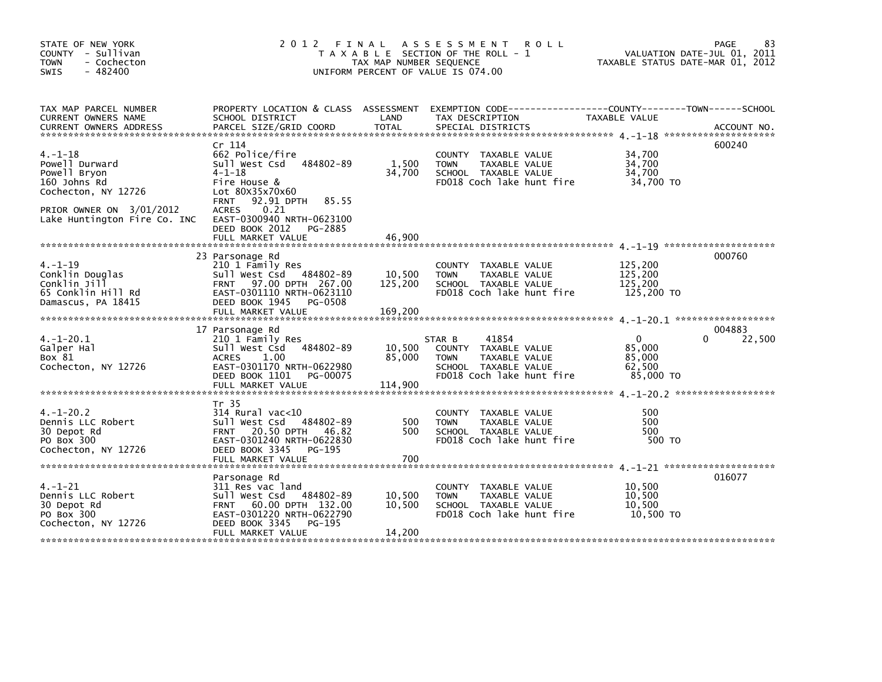| STATE OF NEW YORK<br>COUNTY - Sullivan<br><b>TOWN</b><br>- Cochecton<br>$-482400$<br><b>SWIS</b>                                                                                                           | 2 0 1 2                                                                                                                                                                                                                         | TAX MAP NUMBER SEQUENCE      | FINAL ASSESSMENT<br><b>ROLL</b><br>T A X A B L E SECTION OF THE ROLL - 1<br>UNIFORM PERCENT OF VALUE IS 074.00               | TAXABLE STATUS DATE-MAR 01, 2012                    | PAGE<br>83<br>VALUATION DATE-JUL 01, 2011 |
|------------------------------------------------------------------------------------------------------------------------------------------------------------------------------------------------------------|---------------------------------------------------------------------------------------------------------------------------------------------------------------------------------------------------------------------------------|------------------------------|------------------------------------------------------------------------------------------------------------------------------|-----------------------------------------------------|-------------------------------------------|
| TAX MAP PARCEL NUMBER<br>CURRENT OWNERS NAME<br>.CURRENT OWNERS ADDRESS PARCEL SIZE/GRID COORD TOTAL SPECIAL DISTRICTS (ACCOUNT NO ACCOUNT NO ACCOUNT NO AND ARCEL SIZE/GRID COORD TOTAL SPECIAL DISTRICTS | SCHOOL DISTRICT                                                                                                                                                                                                                 | LAND                         | PROPERTY LOCATION & CLASS ASSESSMENT EXEMPTION CODE----------------COUNTY-------TOWN-----SCHOOL<br>TAX DESCRIPTION           | TAXABLE VALUE                                       |                                           |
| $4. - 1 - 18$<br>Powell Durward<br>Powell Bryon<br>160 Johns Rd<br>Cochecton, NY 12726<br>PRIOR OWNER ON 3/01/2012<br>Lake Huntington Fire Co. INC                                                         | Cr 114<br>662 Police/fire<br>Sull West Csd 484802-89<br>$4 - 1 - 18$<br>Fire House &<br>Lot 80X35x70x60<br>92.91 DPTH<br>85.55<br><b>FRNT</b><br>0.21<br><b>ACRES</b><br>EAST-0300940 NRTH-0623100<br>DEED BOOK 2012<br>PG-2885 | 1,500<br>34,700              | COUNTY TAXABLE VALUE<br>TAXABLE VALUE<br><b>TOWN</b><br>SCHOOL TAXABLE VALUE<br>FD018 Coch lake hunt fire                    | 34,700<br>34,700<br>34,700<br>34,700 TO             | 600240                                    |
|                                                                                                                                                                                                            | FULL MARKET VALUE                                                                                                                                                                                                               | 46,900                       |                                                                                                                              |                                                     |                                           |
| $4. - 1 - 19$<br>Conklin Douglas<br>Conklin Jill<br>65 Conklin Hill Rd<br>Damascus, PA 18415                                                                                                               | 23 Parsonage Rd<br>210 1 Family Res<br>Sull West Csd 484802-89<br>FRNT 97.00 DPTH 267.00<br>EAST-0301110 NRTH-0623110<br>DEED BOOK 1945<br>PG-0508<br>FULL MARKET VALUE                                                         | 10,500<br>125,200<br>169,200 | COUNTY TAXABLE VALUE<br><b>TOWN</b><br>TAXABLE VALUE<br>SCHOOL TAXABLE VALUE<br>FD018 Coch lake hunt fire                    | 125,200<br>125,200<br>125.200<br>125,200 TO         | 000760                                    |
|                                                                                                                                                                                                            | 17 Parsonage Rd                                                                                                                                                                                                                 |                              |                                                                                                                              |                                                     | 004883                                    |
| $4. -1 - 20.1$<br>Galper Hal<br>Box 81<br>Cochecton, NY 12726                                                                                                                                              | 210 1 Family Res<br>484802-89<br>Sull West Csd<br>1.00<br>ACRES<br>EAST-0301170 NRTH-0622980<br>DEED BOOK 1101<br>PG-00075<br>FULL MARKET VALUE                                                                                 | 10,500<br>85,000<br>114,900  | STAR B<br>41854<br>COUNTY TAXABLE VALUE<br>TAXABLE VALUE<br><b>TOWN</b><br>SCHOOL TAXABLE VALUE<br>FD018 Coch lake hunt fire | $\Omega$<br>85,000<br>85,000<br>62,500<br>85,000 TO | 22,500<br>$\Omega$                        |
|                                                                                                                                                                                                            |                                                                                                                                                                                                                                 |                              |                                                                                                                              |                                                     |                                           |
| $4. - 1 - 20.2$<br>Dennis LLC Robert<br>30 Depot Rd<br>PO Box 300<br>Cochecton, NY 12726                                                                                                                   | Tr 35<br>314 Rural vac<10<br>Sull West Csd 484802-89<br>FRNT 20.50 DPTH 46.82<br>EAST-0301240 NRTH-0622830<br>DEED BOOK 3345<br>PG-195<br>FULL MARKET VALUE                                                                     | 500<br>500<br>700            | COUNTY TAXABLE VALUE<br><b>TOWN</b><br>TAXABLE VALUE<br>SCHOOL TAXABLE VALUE<br>FD018 Coch lake hunt fire                    | 500<br>500<br>500<br>500 TO                         |                                           |
|                                                                                                                                                                                                            |                                                                                                                                                                                                                                 |                              |                                                                                                                              |                                                     |                                           |
| $4. - 1 - 21$<br>Dennis LLC Robert<br>30 Depot Rd<br>PO Box 300<br>Cochecton, NY 12726                                                                                                                     | Parsonage Rd<br>311 Res vac land<br>Sull West Csd 484802-89<br>FRNT 60.00 DPTH 132.00<br>EAST-0301220 NRTH-0622790<br>PG-195<br>DEED BOOK 3345                                                                                  | 10,500<br>10,500             | COUNTY TAXABLE VALUE<br>TAXABLE VALUE<br><b>TOWN</b><br>SCHOOL TAXABLE VALUE<br>FD018 Coch lake hunt fire                    | 10,500<br>10,500<br>10.500<br>10,500 TO             | 016077                                    |
|                                                                                                                                                                                                            | FULL MARKET VALUE                                                                                                                                                                                                               | 14,200                       |                                                                                                                              |                                                     |                                           |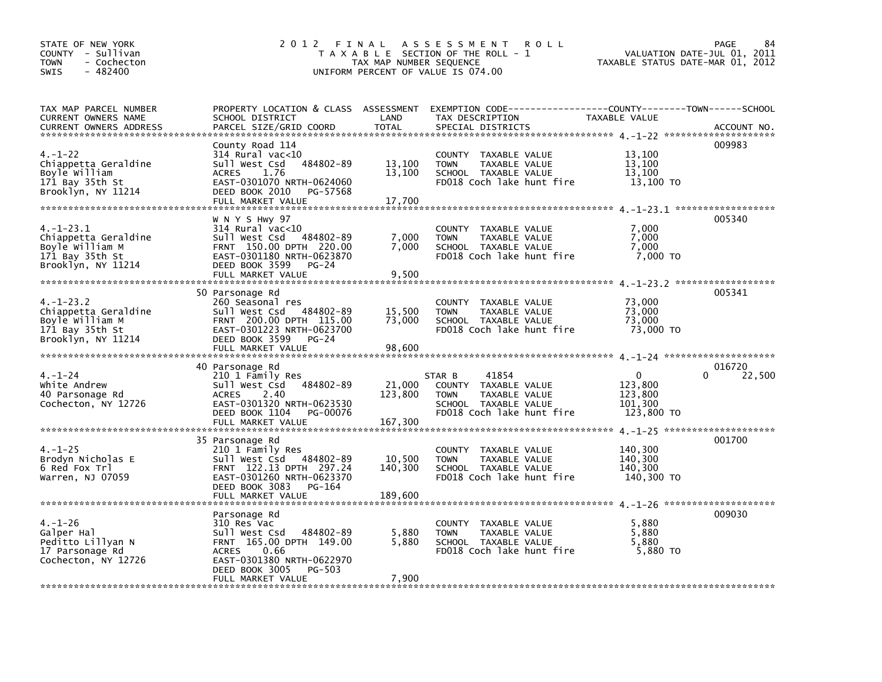| STATE OF NEW YORK<br>COUNTY - Sullivan<br>- Cochecton<br>TOWN<br>$-482400$<br><b>SWIS</b>       | 2012 FINAL                                                                                                                                                                                 | TAX MAP NUMBER SEQUENCE      | A S S E S S M E N T<br><b>ROLL</b><br>T A X A B L E SECTION OF THE ROLL - 1<br>UNIFORM PERCENT OF VALUE IS 074.00            | VALUATION DATE-JUL 01, 2011<br>TAXABLE STATUS DATE-MAR 01, 2012 | PAGE<br>84       |
|-------------------------------------------------------------------------------------------------|--------------------------------------------------------------------------------------------------------------------------------------------------------------------------------------------|------------------------------|------------------------------------------------------------------------------------------------------------------------------|-----------------------------------------------------------------|------------------|
| TAX MAP PARCEL NUMBER<br>CURRENT OWNERS NAME<br><b>CURRENT OWNERS ADDRESS</b>                   | PROPERTY LOCATION & CLASS ASSESSMENT<br>SCHOOL DISTRICT<br>PARCEL SIZE/GRID COORD                                                                                                          | LAND<br><b>TOTAL</b>         | EXEMPTION        CODE-----------------COUNTY-------TOWN------SCHOOL<br>TAX DESCRIPTION<br>SPECIAL DISTRICTS                  | TAXABLE VALUE                                                   | ACCOUNT NO.      |
| $4. - 1 - 22$<br>Chiappetta Geraldine<br>Boyle William<br>171 Bay 35th St<br>Brooklyn, NY 11214 | County Road 114<br>$314$ Rural vac<10<br>484802-89<br>Sull West Csd<br><b>ACRES</b><br>1.76<br>EAST-0301070 NRTH-0624060<br>DEED BOOK 2010<br>PG-57568<br>FULL MARKET VALUE                | 13,100<br>13,100<br>17,700   | COUNTY TAXABLE VALUE<br>TAXABLE VALUE<br><b>TOWN</b><br>SCHOOL TAXABLE VALUE<br>FD018 Coch lake hunt fire                    | 13,100<br>13,100<br>13,100<br>13,100 TO                         | 009983           |
| 4.-1-23.1<br>Chiappetta Geraldine<br>Boyle William M<br>171 Bay 35th St<br>Brooklyn, NY 11214   | W N Y S Hwy 97<br>$314$ Rural vac< $10$<br>Sull West Csd 484802-89<br>FRNT 150.00 DPTH 220.00<br>EAST-0301180 NRTH-0623870<br>DEED BOOK 3599<br><b>PG-24</b><br>FULL MARKET VALUE          | 7,000<br>7,000<br>9,500      | COUNTY TAXABLE VALUE<br>TAXABLE VALUE<br><b>TOWN</b><br>SCHOOL TAXABLE VALUE<br>FD018 Coch lake hunt fire                    | 7,000<br>7,000<br>7,000<br>7,000 TO                             | 005340           |
| 4.-1-23.2<br>Chiappetta Geraldine<br>Boyle William M<br>171 Bay 35th St<br>Brooklyn, NY 11214   | 50 Parsonage Rd<br>260 Seasonal res<br>Sull West Csd 484802-89<br>FRNT 200.00 DPTH 115.00<br>EAST-0301223 NRTH-0623700<br>DEED BOOK 3599<br>PG-24<br>FULL MARKET VALUE                     | 15,500<br>73,000<br>98,600   | COUNTY TAXABLE VALUE<br>TAXABLE VALUE<br><b>TOWN</b><br>SCHOOL TAXABLE VALUE<br>FD018 Coch lake hunt fire                    | 73,000<br>73,000<br>73,000<br>73,000 TO                         | 005341           |
| $4. - 1 - 24$<br>White Andrew<br>40 Parsonage Rd<br>Cochecton, NY 12726                         | 40 Parsonage Rd<br>210 1 Family Res<br>484802-89<br>sull west Csd<br><b>ACRES</b><br>2.40<br>EAST-0301320 NRTH-0623530<br>DEED BOOK 1104<br>PG-00076<br>FULL MARKET VALUE                  | 21,000<br>123,800<br>167,300 | 41854<br>STAR B<br>COUNTY TAXABLE VALUE<br><b>TOWN</b><br>TAXABLE VALUE<br>SCHOOL TAXABLE VALUE<br>FD018 Coch lake hunt fire | $\Omega$<br>123,800<br>123,800<br>101,300<br>123,800 TO         | 016720<br>22,500 |
| $4. - 1 - 25$<br>Brodyn Nicholas E<br>6 Red Fox Trl<br>Warren, NJ 07059                         | 35 Parsonage Rd<br>210 1 Family Res<br>Sull West Csd 484802-89<br>FRNT 122.13 DPTH 297.24<br>EAST-0301260 NRTH-0623370<br>DEED BOOK 3083<br>PG-164<br>FULL MARKET VALUE                    | 10,500<br>140,300<br>189,600 | COUNTY TAXABLE VALUE<br><b>TOWN</b><br>TAXABLE VALUE<br>SCHOOL TAXABLE VALUE<br>FD018 Coch lake hunt fire                    | 140,300<br>140,300<br>140,300<br>140,300 TO                     | 001700           |
| $4. - 1 - 26$<br>Galper Hal<br>Peditto Lillyan N<br>17 Parsonage Rd<br>Cochecton, NY 12726      | Parsonage Rd<br>310 Res Vac<br>Sull West Csd<br>484802-89<br>FRNT 165.00 DPTH 149.00<br>0.66<br><b>ACRES</b><br>EAST-0301380 NRTH-0622970<br>DEED BOOK 3005<br>PG-503<br>FULL MARKET VALUE | 5,880<br>5,880<br>7,900      | COUNTY TAXABLE VALUE<br>TAXABLE VALUE<br><b>TOWN</b><br>SCHOOL TAXABLE VALUE<br>FD018 Coch lake hunt fire                    | 5,880<br>5,880<br>5,880<br>5,880 TO                             | 009030           |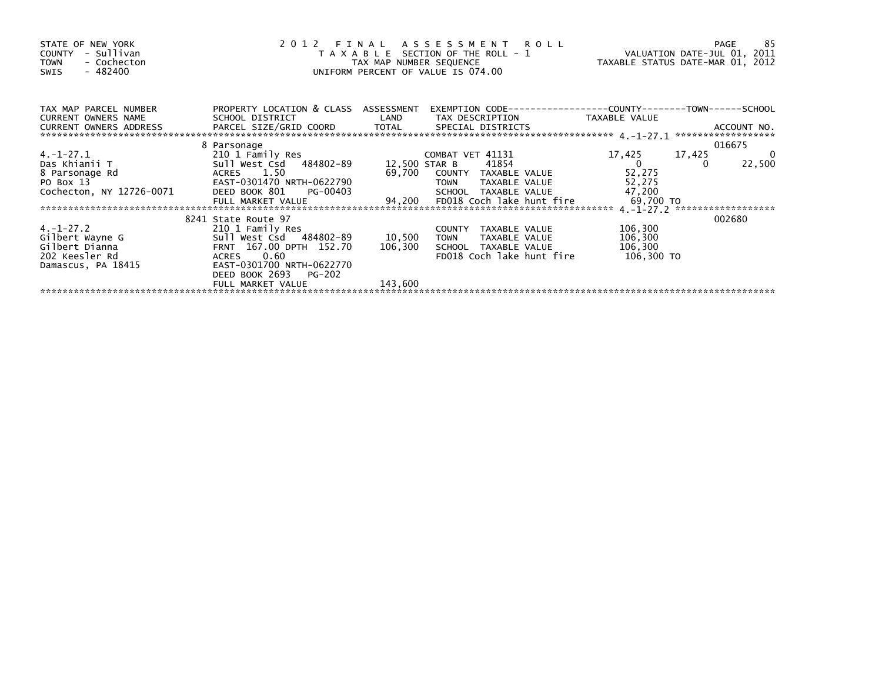| STATE OF NEW YORK<br>- Sullivan<br>COUNTY<br>- Cochecton<br><b>TOWN</b><br>- 482400<br>SWIS |                                                         | TAX MAP NUMBER SEQUENCE | 2012 FINAL ASSESSMENT ROLL<br>T A X A B L E SECTION OF THE ROLL - 1<br>UNIFORM PERCENT OF VALUE IS 074.00 | VALUATION DATE-JUL 01, 2011<br>TAXABLE STATUS DATE-MAR 01, 2012 | 85<br>PAGE                        |
|---------------------------------------------------------------------------------------------|---------------------------------------------------------|-------------------------|-----------------------------------------------------------------------------------------------------------|-----------------------------------------------------------------|-----------------------------------|
| TAX MAP PARCEL NUMBER<br>CURRENT OWNERS NAME                                                | PROPERTY LOCATION & CLASS ASSESSMENT<br>SCHOOL DISTRICT | LAND                    | TAX DESCRIPTION                                                                                           | TAXABLE VALUE                                                   |                                   |
|                                                                                             |                                                         |                         |                                                                                                           |                                                                 | ACCOUNT NO.<br>****************** |
|                                                                                             | 8 Parsonage                                             |                         |                                                                                                           |                                                                 | 016675                            |
| $4. -1 - 27.1$                                                                              | 210 1 Family Res                                        |                         | COMBAT VET 41131                                                                                          | 17,425                                                          | $\mathbf 0$<br>17,425             |
| Das Khianii T                                                                               |                                                         |                         | 41854                                                                                                     | $\Omega$                                                        | 22,500                            |
| 8 Parsonage Rd                                                                              | ACRES 1.50                                              |                         | 69,700 COUNTY TAXABLE VALUE                                                                               | 52,275                                                          |                                   |
| PO Box 13                                                                                   | EAST-0301470 NRTH-0622790                               |                         | <b>TOWN</b><br>TAXABLE VALUE                                                                              | 52,275                                                          |                                   |
| Cochecton, NY 12726-0071                                                                    | DEED BOOK 801<br>PG-00403                               |                         | SCHOOL TAXABLE VALUE                                                                                      | 47,200                                                          |                                   |
|                                                                                             | FULL MARKET VALUE                                       |                         | 94,200 FD018 Coch lake hunt fire                                                                          | 69,700 TO                                                       |                                   |
|                                                                                             |                                                         |                         |                                                                                                           |                                                                 |                                   |
| $4. - 1 - 27.2$                                                                             | 8241 State Route 97<br>210 1 Family Res                 |                         | COUNTY TAXABLE VALUE                                                                                      | 106,300                                                         | 002680                            |
| Gilbert Wayne G                                                                             | Sull West Csd 484802-89                                 | 10,500                  | <b>TOWN</b><br>TAXABLE VALUE                                                                              | 106,300                                                         |                                   |
| Gilbert Dianna                                                                              | FRNT 167.00 DPTH 152.70                                 | 106,300                 | SCHOOL TAXABLE VALUE                                                                                      | 106,300                                                         |                                   |
| 202 Keesler Rd                                                                              | ACRES 0.60                                              |                         | FD018 Coch lake hunt fire                                                                                 | 106,300 то                                                      |                                   |
| Damascus, PA 18415                                                                          | EAST-0301700 NRTH-0622770                               |                         |                                                                                                           |                                                                 |                                   |
|                                                                                             | DEED BOOK 2693<br>PG-202                                |                         |                                                                                                           |                                                                 |                                   |
|                                                                                             | FULL MARKET VALUE                                       | 143,600                 |                                                                                                           |                                                                 |                                   |
|                                                                                             |                                                         |                         |                                                                                                           |                                                                 |                                   |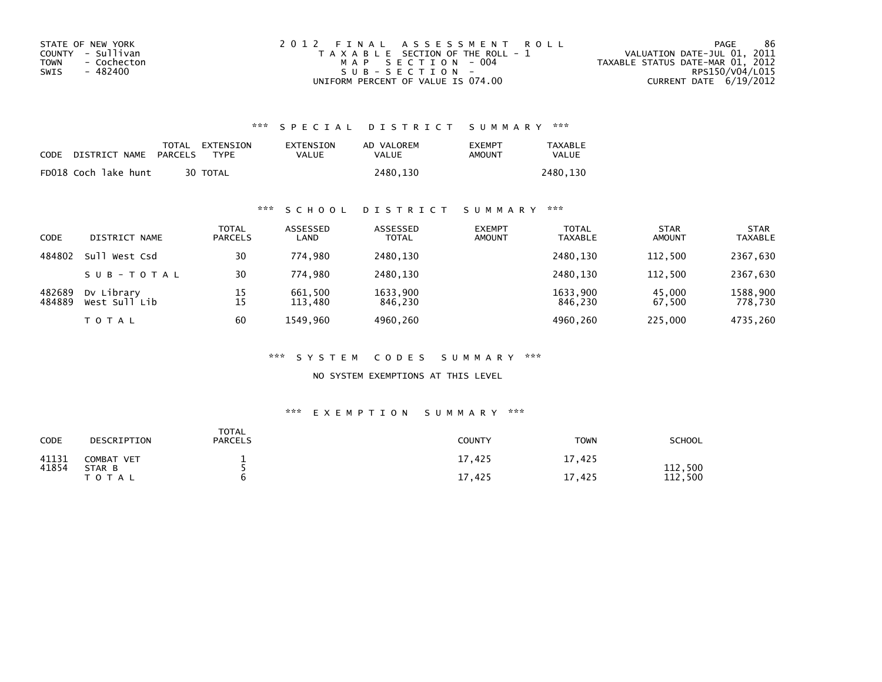| STATE OF NEW YORK   | 2012 FINAL ASSESSMENT ROLL            | 86<br>PAGE                       |
|---------------------|---------------------------------------|----------------------------------|
| COUNTY - Sullivan   | T A X A B L E SECTION OF THE ROLL - 1 | VALUATION DATE-JUL 01, 2011      |
| TOWN<br>- Cochecton | MAP SECTION - 004                     | TAXABLE STATUS DATE-MAR 01, 2012 |
| SWIS<br>- 482400    | SUB-SECTION-                          | RPS150/V04/L015                  |
|                     | UNIFORM PERCENT OF VALUE IS 074.00    | CURRENT DATE 6/19/2012           |

| CODE | DISTRICT NAME        | PARCELS | TOTAL EXTENSION<br><b>TYPF</b> | EXTENSION<br>VALUE | AD VALOREM<br>VALUE | <b>FXFMPT</b><br>AMOUNT | <b>TAXABLE</b><br>VALUE |
|------|----------------------|---------|--------------------------------|--------------------|---------------------|-------------------------|-------------------------|
|      | FD018 Coch lake hunt |         | 30 TOTAL                       |                    | 2480.130            |                         | 2480.130                |

## \*\*\* S C H O O L D I S T R I C T S U M M A R Y \*\*\*

| <b>CODE</b>      | DISTRICT NAME               | TOTAL<br><b>PARCELS</b> | ASSESSED<br>LAND   | ASSESSED<br><b>TOTAL</b> | <b>EXEMPT</b><br><b>AMOUNT</b> | <b>TOTAL</b><br><b>TAXABLE</b> | <b>STAR</b><br><b>AMOUNT</b> | <b>STAR</b><br><b>TAXABLE</b> |
|------------------|-----------------------------|-------------------------|--------------------|--------------------------|--------------------------------|--------------------------------|------------------------------|-------------------------------|
| 484802           | Sull West Csd               | 30                      | 774.980            | 2480,130                 |                                | 2480.130                       | 112,500                      | 2367,630                      |
|                  | SUB-TOTAL                   | 30                      | 774.980            | 2480,130                 |                                | 2480.130                       | 112.500                      | 2367,630                      |
| 482689<br>484889 | Dv Library<br>West Sull Lib | 15<br>15                | 661.500<br>113,480 | 1633.900<br>846,230      |                                | 1633.900<br>846,230            | 45.000<br>67,500             | 1588.900<br>778,730           |
|                  | T O T A L                   | 60                      | 1549.960           | 4960,260                 |                                | 4960.260                       | 225,000                      | 4735.260                      |

### \*\*\* S Y S T E M C O D E S S U M M A R Y \*\*\*

NO SYSTEM EXEMPTIONS AT THIS LEVEL

| CODE           | DESCRIPTION          | TOTAL<br><b>PARCELS</b> | <b>COUNTY</b> | <b>TOWN</b> | SCHOOL         |
|----------------|----------------------|-------------------------|---------------|-------------|----------------|
| 41131<br>41854 | COMBAT VET<br>STAR B |                         | 17,425        | 17,425      | 112,500        |
|                | TOTAL                |                         | 17,425        | ,425<br>17  | 112<br>. , 500 |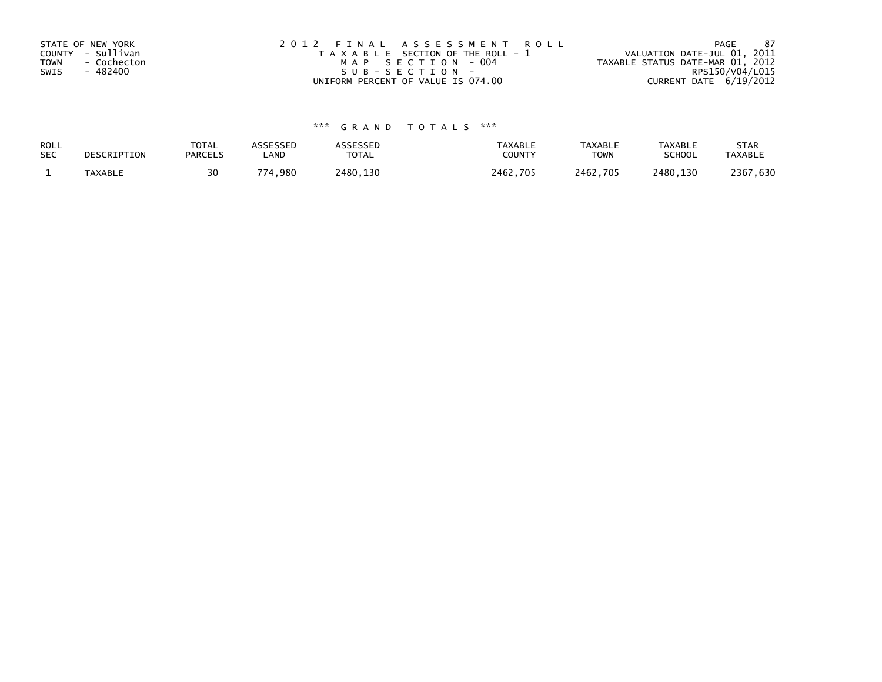| STATE OF NEW YORK   | 2012 FINAL ASSESSMENT ROLL            | -87<br>PAGE                      |
|---------------------|---------------------------------------|----------------------------------|
| COUNTY - Sullivan   | T A X A B L E SECTION OF THE ROLL - 1 | VALUATION DATE-JUL 01, 2011      |
| - Cochecton<br>TOWN | MAP SECTION - 004                     | TAXABLE STATUS DATE-MAR 01, 2012 |
| - 482400<br>SWIS    | SUB-SECTION-                          | RPS150/V04/L015                  |
|                     | UNIFORM PERCENT OF VALUE IS 074.00    | CURRENT DATE $6/19/2012$         |

| ROLL       | DESCRIPTION | <b>TOTAL</b>   | <b>ASSESSED</b> | ASSESSED     | <b>TAXABLE</b> | <b>TAXABLE</b> | TAXABLE       | <b>STAR</b>    |
|------------|-------------|----------------|-----------------|--------------|----------------|----------------|---------------|----------------|
| <b>SEC</b> |             | <b>PARCELS</b> | LAND            | <b>TOTAL</b> | COUNTY         | <b>TOWN</b>    | <b>SCHOOL</b> | <b>TAXABLE</b> |
|            | TAXABLE     | 30             | 774,980         | 2480.130     | 2462.705       | 2462,705       | 2480.130      | 2367,630       |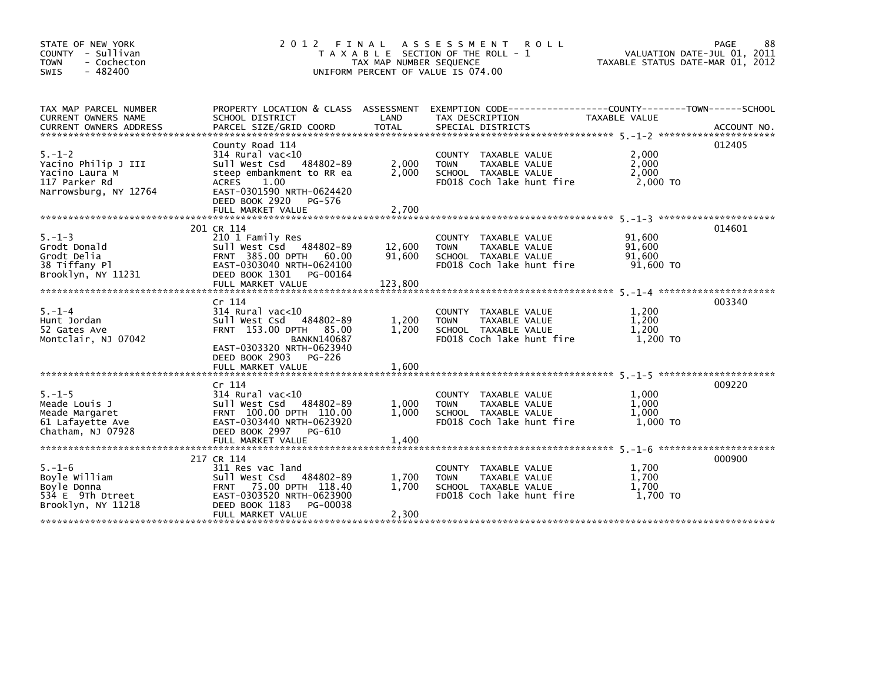| STATE OF NEW YORK<br>COUNTY - Sullivan<br><b>TOWN</b><br>- Cochecton<br>$-482400$<br>SWIS       | 2 0 1 2                                                                                                                                                                                             | TAX MAP NUMBER SEQUENCE | FINAL ASSESSMENT ROLL<br>T A X A B L E SECTION OF THE ROLL - 1<br>UNIFORM PERCENT OF VALUE IS 074.00                 | VALUATION DATE-JUL 01, 2011<br>TAXABLE STATUS DATE-MAR 01, 2012 | 88<br>PAGE |
|-------------------------------------------------------------------------------------------------|-----------------------------------------------------------------------------------------------------------------------------------------------------------------------------------------------------|-------------------------|----------------------------------------------------------------------------------------------------------------------|-----------------------------------------------------------------|------------|
| TAX MAP PARCEL NUMBER<br>CURRENT OWNERS NAME                                                    | SCHOOL DISTRICT                                                                                                                                                                                     | LAND                    | PROPERTY LOCATION & CLASS ASSESSMENT EXEMPTION CODE-----------------COUNTY-------TOWN------SCHOOL<br>TAX DESCRIPTION | TAXABLE VALUE                                                   |            |
| $5. - 1 - 2$<br>Yacino Philip J III<br>Yacino Laura M<br>117 Parker Rd<br>Narrowsburg, NY 12764 | County Road 114<br>$314$ Rural vac< $10$<br>Sull West Csd 484802-89<br>steep embankment to RR ea<br><b>ACRES</b><br>1.00<br>EAST-0301590 NRTH-0624420<br>DEED BOOK 2920 PG-576<br>FULL MARKET VALUE | 2,000<br>2,000<br>2,700 | COUNTY TAXABLE VALUE<br><b>TOWN</b><br>TAXABLE VALUE<br>SCHOOL TAXABLE VALUE<br>FD018 Coch lake hunt fire            | 2,000<br>2,000<br>2.000<br>2,000 TO                             | 012405     |
|                                                                                                 | 201 CR 114                                                                                                                                                                                          |                         |                                                                                                                      |                                                                 | 014601     |
| $5. - 1 - 3$<br>Grodt Donald<br>Grodt Delia<br>38 Tiffany Pl<br>Brooklyn, NY 11231              | 210 1 Family Res<br>Sull West Csd 484802-89<br>FRNT 385.00 DPTH 60.00<br>EAST-0303040 NRTH-0624100<br>DEED BOOK 1301<br>PG-00164                                                                    | 12,600<br>91,600        | COUNTY TAXABLE VALUE<br>TAXABLE VALUE<br><b>TOWN</b><br>SCHOOL TAXABLE VALUE<br>FD018 Coch lake hunt fire            | 91,600<br>91,600<br>91.600<br>91.600 TO                         |            |
|                                                                                                 |                                                                                                                                                                                                     |                         |                                                                                                                      |                                                                 |            |
| $5. - 1 - 4$<br>Hunt Jordan<br>52 Gates Ave<br>Montclair, NJ 07042                              | $Cr$ 114<br>$314$ Rural vac<10<br>Sull West Csd 484802-89<br>FRNT 153.00 DPTH 85.00<br><b>BANKN140687</b><br>EAST-0303320 NRTH-0623940<br>DEED BOOK 2903 PG-226                                     | 1,200<br>1,200          | COUNTY TAXABLE VALUE<br>TAXABLE VALUE<br><b>TOWN</b><br>SCHOOL TAXABLE VALUE<br>FD018 Coch lake hunt fire            | 1,200<br>1,200<br>1,200<br>1,200 TO                             | 003340     |
|                                                                                                 | FULL MARKET VALUE                                                                                                                                                                                   | 1,600                   |                                                                                                                      |                                                                 |            |
| $5. - 1 - 5$<br>Meade Louis J<br>Meade Margaret<br>61 Lafayette Ave<br>Chatham, NJ 07928        | Cr 114<br>$314$ Rural vac<10<br>Sull West Csd 484802-89<br>FRNT 100.00 DPTH 110.00<br>EAST-0303440 NRTH-0623920<br>DEED BOOK 2997 PG-610                                                            | 1,000<br>1,000          | COUNTY TAXABLE VALUE<br><b>TOWN</b><br>TAXABLE VALUE<br>SCHOOL TAXABLE VALUE<br>FD018 Coch lake hunt fire            | 1,000<br>1,000<br>1,000<br>1.000 TO                             | 009220     |
|                                                                                                 | FULL MARKET VALUE                                                                                                                                                                                   | 1,400                   |                                                                                                                      |                                                                 |            |
| $5. - 1 - 6$<br>Boyle William<br>Boyle Donna<br>534 E 9Th Dtreet<br>Brooklyn, NY 11218          | 217 CR 114<br>311 Res vac land<br>Sull West Csd 484802-89<br>FRNT 75.00 DPTH 118.40<br>EAST-0303520 NRTH-0623900<br>DEED BOOK 1183<br>PG-00038<br>FULL MARKET VALUE                                 | 1,700<br>1,700<br>2,300 | COUNTY TAXABLE VALUE<br>TAXABLE VALUE<br><b>TOWN</b><br>SCHOOL TAXABLE VALUE<br>FD018 Coch lake hunt fire            | 1,700<br>1,700<br>1,700<br>1.700 TO                             | 000900     |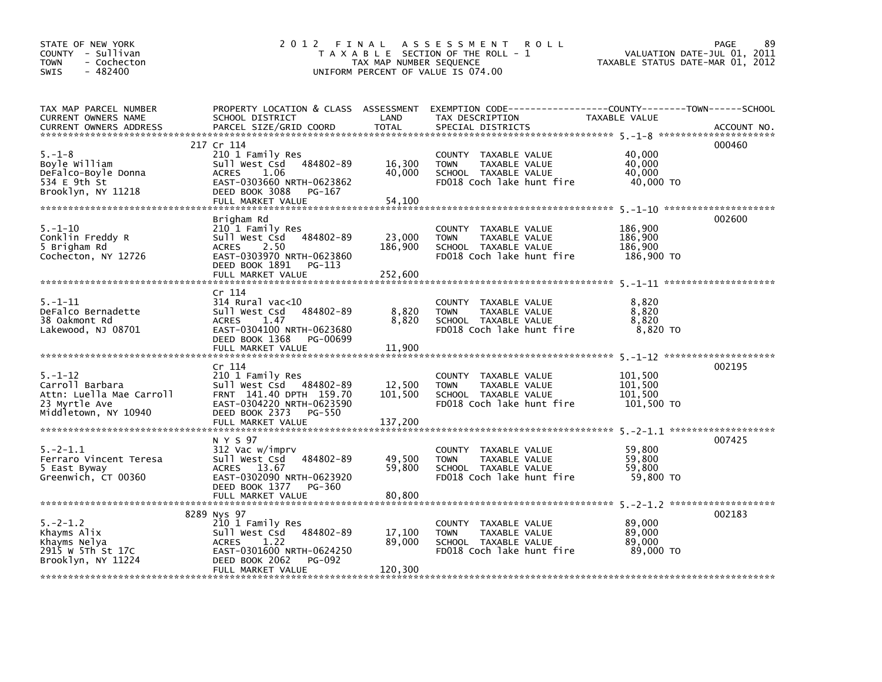| STATE OF NEW YORK<br>COUNTY - Sullivan<br>- Cochecton<br><b>TOWN</b><br>$-482400$<br><b>SWIS</b>      |                                                                                                                                                                  | TAX MAP NUMBER SEQUENCE      | <b>ROLL</b><br>2012 FINAL ASSESSMENT<br>T A X A B L E SECTION OF THE ROLL - 1<br>UNIFORM PERCENT OF VALUE IS 074.00                       | VALUATION DATE-JUL 01, 2011<br>TAXABLE STATUS DATE-MAR 01, 2012 | 89<br>PAGE  |
|-------------------------------------------------------------------------------------------------------|------------------------------------------------------------------------------------------------------------------------------------------------------------------|------------------------------|-------------------------------------------------------------------------------------------------------------------------------------------|-----------------------------------------------------------------|-------------|
| TAX MAP PARCEL NUMBER<br>CURRENT OWNERS NAME<br><b>CURRENT OWNERS ADDRESS</b>                         | SCHOOL DISTRICT<br>PARCEL SIZE/GRID COORD                                                                                                                        | LAND<br><b>TOTAL</b>         | PROPERTY LOCATION & CLASS ASSESSMENT EXEMPTION CODE-----------------COUNTY-------TOWN------SCHOOL<br>TAX DESCRIPTION<br>SPECIAL DISTRICTS | TAXABLE VALUE                                                   | ACCOUNT NO. |
| $5. - 1 - 8$<br>Boyle William<br>DeFalco-Boyle Donna<br>534 E 9th St<br>Brooklyn, NY 11218            | 217 Cr 114<br>210 1 Family Res<br>Sull West Csd 484802-89<br><b>ACRES</b><br>1.06<br>EAST-0303660 NRTH-0623862<br>DEED BOOK 3088<br>PG-167<br>FULL MARKET VALUE  | 16,300<br>40,000<br>54,100   | COUNTY TAXABLE VALUE<br><b>TOWN</b><br>TAXABLE VALUE<br>SCHOOL TAXABLE VALUE<br>FD018 Coch lake hunt fire                                 | 40,000<br>40,000<br>40,000<br>40,000 TO                         | 000460      |
| $5. - 1 - 10$<br>Conklin Freddy R<br>5 Brigham Rd<br>Cochecton, NY 12726                              | Brigham Rd<br>210 1 Family Res<br>Sull West Csd 484802-89<br><b>ACRES</b><br>2.50<br>EAST-0303970 NRTH-0623860<br>DEED BOOK 1891 PG-113<br>FULL MARKET VALUE     | 23,000<br>186,900<br>252,600 | COUNTY TAXABLE VALUE<br>TAXABLE VALUE<br><b>TOWN</b><br>SCHOOL TAXABLE VALUE<br>FD018 Coch lake hunt fire                                 | 186,900<br>186,900<br>186,900<br>186,900 TO                     | 002600      |
| $5. - 1 - 11$<br>DeFalco Bernadette<br>38 Oakmont Rd<br>Lakewood, NJ 08701                            | Cr 114<br>$314$ Rural vac<10<br>Sull West Csd 484802-89<br><b>ACRES</b><br>1.47<br>EAST-0304100 NRTH-0623680<br>DEED BOOK 1368<br>PG-00699<br>FULL MARKET VALUE  | 8,820<br>8,820<br>11,900     | COUNTY TAXABLE VALUE<br><b>TOWN</b><br>TAXABLE VALUE<br>SCHOOL TAXABLE VALUE<br>FD018 Coch lake hunt fire                                 | 8,820<br>8,820<br>8,820<br>8,820 TO                             |             |
| $5. - 1 - 12$<br>Carroll Barbara<br>Attn: Luella Mae Carroll<br>23 Myrtle Ave<br>Middletown, NY 10940 | Cr 114<br>210 1 Family Res<br>Sull West Csd 484802-89<br>FRNT 141.40 DPTH 159.70<br>EAST-0304220 NRTH-0623590<br>DEED BOOK 2373 PG-550<br>FULL MARKET VALUE      | 12,500<br>101,500<br>137,200 | COUNTY TAXABLE VALUE<br>TAXABLE VALUE<br><b>TOWN</b><br>SCHOOL TAXABLE VALUE<br>FD018 Coch lake hunt fire                                 | 101,500<br>101,500<br>101,500<br>101,500 TO                     | 002195      |
| $5. -2 - 1.1$<br>Ferraro Vincent Teresa<br>5 East Byway<br>Greenwich, CT 00360                        | N Y S 97<br>312 Vac w/imprv<br>484802-89<br>Sull West Csd<br>ACRES 13.67<br>EAST-0302090 NRTH-0623920<br>DEED BOOK 1377 PG-360<br>FULL MARKET VALUE              | 49,500<br>59,800<br>80,800   | COUNTY TAXABLE VALUE<br>TAXABLE VALUE<br><b>TOWN</b><br>SCHOOL TAXABLE VALUE<br>FD018 Coch lake hunt fire                                 | 59,800<br>59,800<br>59,800<br>59,800 TO                         | 007425      |
| $5. -2 - 1.2$<br>Khayms Alix<br>Khayms Nelya<br>2915 W 5Th St 17C<br>Brooklyn, NY 11224               | 8289 Nys 97<br>210 1 Family Res<br>Sull West Csd 484802-89<br><b>ACRES</b><br>1.22<br>EAST-0301600 NRTH-0624250<br>DEED BOOK 2062<br>PG-092<br>FULL MARKET VALUE | 17,100<br>89,000<br>120,300  | COUNTY TAXABLE VALUE<br><b>TOWN</b><br>TAXABLE VALUE<br>SCHOOL TAXABLE VALUE<br>FD018 Coch lake hunt fire                                 | 89,000<br>89,000<br>89,000<br>89,000 TO                         | 002183      |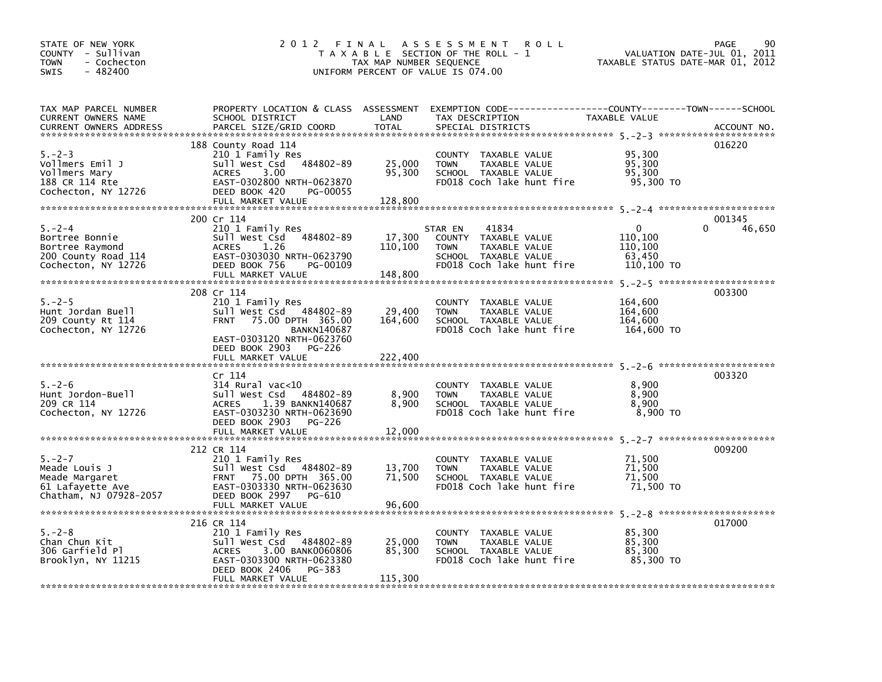| STATE OF NEW YORK<br>COUNTY - Sullivan<br><b>TOWN</b><br>- Cochecton<br>SWIS<br>$-482400$      |                                                                                                                                                                           | TAX MAP NUMBER SEQUENCE      | 2012 FINAL ASSESSMENT<br><b>ROLL</b><br>T A X A B L E SECTION OF THE ROLL - 1<br>UNIFORM PERCENT OF VALUE IS 074.00                      | VALUATION DATE-JUL 01, 2011<br>TAXABLE STATUS DATE-MAR 01, 2012 | 90<br>PAGE            |
|------------------------------------------------------------------------------------------------|---------------------------------------------------------------------------------------------------------------------------------------------------------------------------|------------------------------|------------------------------------------------------------------------------------------------------------------------------------------|-----------------------------------------------------------------|-----------------------|
| TAX MAP PARCEL NUMBER<br>CURRENT OWNERS NAME<br><b>CURRENT OWNERS ADDRESS</b>                  | SCHOOL DISTRICT<br>PARCEL SIZE/GRID COORD                                                                                                                                 | LAND<br>TOTAL                | PROPERTY LOCATION & CLASS ASSESSMENT EXEMPTION CODE----------------COUNTY-------TOWN------SCHOOL<br>TAX DESCRIPTION<br>SPECIAL DISTRICTS | TAXABLE VALUE                                                   | ACCOUNT NO.           |
| $5. - 2 - 3$<br>Vollmers Emil J<br>Vollmers Mary<br>188 CR 114 Rte<br>Cochecton, NY 12726      | 188 County Road 114<br>210 1 Family Res<br>Sull West Csd 484802-89<br>3.00<br>ACRES<br>EAST-0302800 NRTH-0623870<br>DEED BOOK 420<br>PG-00055<br>FULL MARKET VALUE        | 25,000<br>95,300<br>128,800  | COUNTY TAXABLE VALUE<br>TAXABLE VALUE<br><b>TOWN</b><br>SCHOOL TAXABLE VALUE<br>FD018 Coch lake hunt fire                                | 95,300<br>95,300<br>95,300<br>95,300 TO                         | 016220                |
|                                                                                                |                                                                                                                                                                           |                              |                                                                                                                                          |                                                                 |                       |
| $5. -2 - 4$<br>Bortree Bonnie<br>Bortree Raymond<br>200 County Road 114<br>Cochecton, NY 12726 | 200 Cr 114<br>210 1 Family Res<br>Sull West Csd 484802-89<br>ACRES<br>1.26<br>EAST-0303030 NRTH-0623790<br>DEED BOOK 756<br>PG-00109<br>FULL MARKET VALUE                 | 17,300<br>110,100<br>148,800 | STAR EN<br>41834<br>COUNTY TAXABLE VALUE<br><b>TOWN</b><br>TAXABLE VALUE<br>SCHOOL TAXABLE VALUE<br>FD018 Coch lake hunt fire            | $\Omega$<br>110,100<br>110,100<br>63,450<br>110,100 TO          | 001345<br>46,650<br>0 |
|                                                                                                |                                                                                                                                                                           |                              |                                                                                                                                          |                                                                 |                       |
| $5. - 2 - 5$<br>Hunt Jordan Buell<br>209 County Rt 114<br>Cochecton, NY 12726                  | 208 Cr 114<br>210 1 Family Res<br>Sull West Csd 484802-89<br>75.00 DPTH 365.00<br><b>FRNT</b><br><b>BANKN140687</b><br>EAST-0303120 NRTH-0623760<br>DEED BOOK 2903 PG-226 | 29,400<br>164,600            | COUNTY TAXABLE VALUE<br><b>TOWN</b><br>TAXABLE VALUE<br>SCHOOL TAXABLE VALUE<br>FD018 Coch lake hunt fire                                | 164,600<br>164,600<br>164,600<br>164,600 TO                     | 003300                |
|                                                                                                |                                                                                                                                                                           |                              |                                                                                                                                          |                                                                 |                       |
| $5. - 2 - 6$<br>Hunt Jordon-Buell<br>209 CR 114<br>Cochecton, NY 12726                         | Cr 114<br>$314$ Rural vac< $10$<br>Sull West Csd<br>484802-89<br>1.39 BANKN140687<br><b>ACRES</b><br>EAST-0303230 NRTH-0623690<br>DEED BOOK 2903 PG-226                   | 8,900<br>8,900               | COUNTY TAXABLE VALUE<br><b>TOWN</b><br>TAXABLE VALUE<br>SCHOOL TAXABLE VALUE<br>FD018 Coch lake hunt fire                                | 8,900<br>8.900<br>8,900<br>8,900 TO                             | 003320                |
|                                                                                                |                                                                                                                                                                           |                              |                                                                                                                                          |                                                                 |                       |
| $5. - 2 - 7$<br>Meade Louis J<br>Meade Margaret<br>61 Lafayette Ave<br>Chatham, NJ 07928-2057  | 212 CR 114<br>210 1 Family Res<br>Sull West Csd 484802-89<br>FRNT 75.00 DPTH 365.00<br>EAST-0303330 NRTH-0623630<br>DEED BOOK 2997 PG-610                                 | 13,700<br>71,500             | COUNTY TAXABLE VALUE<br><b>TOWN</b><br>TAXABLE VALUE<br>SCHOOL TAXABLE VALUE<br>FD018 Coch lake hunt fire                                | 71,500<br>71,500<br>71,500<br>71,500 TO                         | 009200                |
|                                                                                                | 216 CR 114                                                                                                                                                                |                              |                                                                                                                                          |                                                                 | 017000                |
| $5. - 2 - 8$<br>Chan Chun Kit<br>306 Garfield Pl<br>Brooklyn, NY 11215                         | 210 1 Family Res<br>Sull West Csd 484802-89<br>3.00 BANK0060806<br>ACRES<br>EAST-0303300 NRTH-0623380<br>DEED BOOK 2406<br>PG-383<br>FULL MARKET VALUE                    | 25,000<br>85,300<br>115,300  | COUNTY TAXABLE VALUE<br>TAXABLE VALUE<br><b>TOWN</b><br>SCHOOL TAXABLE VALUE<br>FD018 Coch lake hunt fire                                | 85,300<br>85,300<br>85,300<br>85,300 TO                         |                       |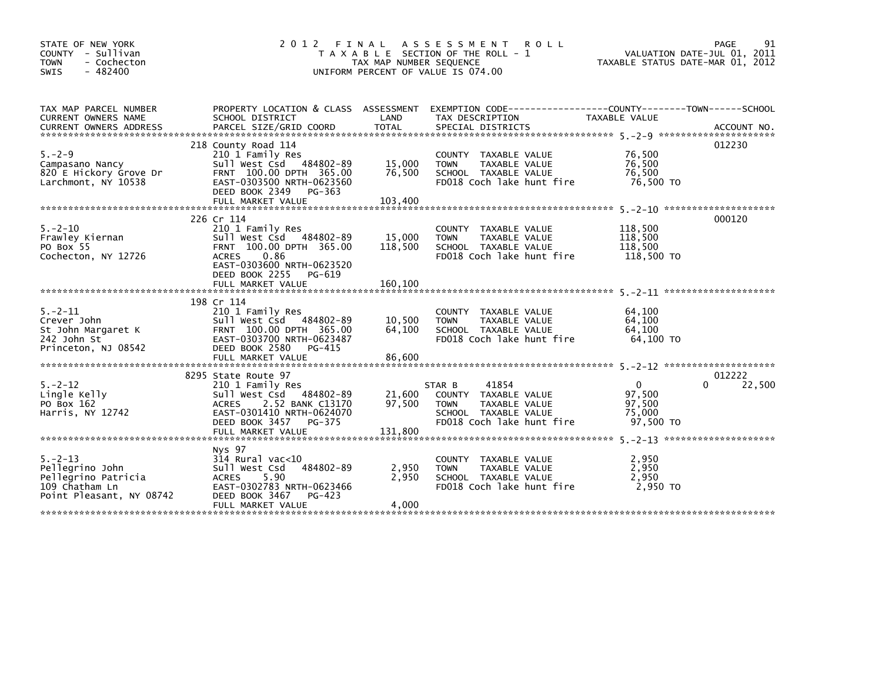| STATE OF NEW YORK<br>COUNTY - Sullivan<br>- Cochecton<br><b>TOWN</b><br><b>SWIS</b><br>$-482400$      | 2012 FINAL                                                                                                                                                                                 | TAX MAP NUMBER SEQUENCE      | A S S E S S M E N T<br><b>ROLL</b><br>T A X A B L E SECTION OF THE ROLL - 1<br>UNIFORM PERCENT OF VALUE IS 074.00                        | VALUATION DATE-JUL 01, 2011<br>TAXABLE STATUS DATE-MAR 01, 2012 | 91<br>PAGE       |
|-------------------------------------------------------------------------------------------------------|--------------------------------------------------------------------------------------------------------------------------------------------------------------------------------------------|------------------------------|------------------------------------------------------------------------------------------------------------------------------------------|-----------------------------------------------------------------|------------------|
| TAX MAP PARCEL NUMBER<br>CURRENT OWNERS NAME<br><b>CURRENT OWNERS ADDRESS</b>                         | SCHOOL DISTRICT<br>PARCEL SIZE/GRID COORD                                                                                                                                                  | LAND<br><b>TOTAL</b>         | PROPERTY LOCATION & CLASS ASSESSMENT EXEMPTION CODE----------------COUNTY-------TOWN------SCHOOL<br>TAX DESCRIPTION<br>SPECIAL DISTRICTS | TAXABLE VALUE                                                   | ACCOUNT NO.      |
| $5. - 2 - 9$<br>Campasano Nancy<br>820 E Hickory Grove Dr<br>Larchmont, NY 10538                      | 218 County Road 114<br>210 1 Family Res<br>Sull West Csd 484802-89<br>FRNT 100.00 DPTH 365.00<br>EAST-0303500 NRTH-0623560<br>DEED BOOK 2349 PG-363                                        | 15,000<br>76,500             | COUNTY TAXABLE VALUE<br>TAXABLE VALUE<br><b>TOWN</b><br>SCHOOL TAXABLE VALUE<br>FD018 Coch lake hunt fire                                | 76,500<br>76,500<br>76,500<br>76,500 TO                         | 012230           |
| $5. - 2 - 10$<br>Frawley Kiernan<br>PO Box 55<br>Cochecton, NY 12726                                  | 226 Cr 114<br>210 1 Family Res<br>Sull West Csd 484802-89<br>FRNT 100.00 DPTH 365.00<br>0.86<br><b>ACRES</b><br>EAST-0303600 NRTH-0623520<br>DEED BOOK 2255<br>PG-619<br>FULL MARKET VALUE | 15,000<br>118,500<br>160,100 | COUNTY TAXABLE VALUE<br>TAXABLE VALUE<br><b>TOWN</b><br>SCHOOL TAXABLE VALUE<br>FD018 Coch lake hunt fire                                | 118,500<br>118,500<br>118,500<br>118,500 TO                     | 000120           |
| $5. - 2 - 11$<br>Crever John<br>St John Margaret K<br>242 John St<br>Princeton, NJ 08542              | 198 Cr 114<br>210 1 Family Res<br>Sull West Csd 484802-89<br>FRNT 100.00 DPTH 365.00<br>EAST-0303700 NRTH-0623487<br>DEED BOOK 2580<br>PG-415<br>FULL MARKET VALUE                         | 10,500<br>64,100<br>86,600   | COUNTY TAXABLE VALUE<br>TAXABLE VALUE<br><b>TOWN</b><br>SCHOOL TAXABLE VALUE<br>FD018 Coch lake hunt fire                                | 64.100<br>64.100<br>64,100<br>64.100 TO                         |                  |
| $5. - 2 - 12$<br>Lingle Kelly<br>PO Box 162<br>Harris, NY 12742                                       | 8295 State Route 97<br>210 1 Family Res<br>Sull West Csd 484802-89<br>2.52 BANK C13170<br><b>ACRES</b><br>EAST-0301410 NRTH-0624070<br>DEED BOOK 3457<br>PG-375                            | 21,600<br>97,500             | 41854<br>STAR B<br>COUNTY TAXABLE VALUE<br><b>TOWN</b><br>TAXABLE VALUE<br>SCHOOL TAXABLE VALUE<br>FD018 Coch lake hunt fire             | $\Omega$<br>97,500<br>97,500<br>75,000<br>97.500 TO             | 012222<br>22,500 |
| $5. - 2 - 13$<br>Pellegrino John<br>Pellegrino Patricia<br>109 Chatham Ln<br>Point Pleasant, NY 08742 | Nys 97<br>$314$ Rural vac<10<br>Sull West Csd<br>484802-89<br>5.90<br><b>ACRES</b><br>EAST-0302783 NRTH-0623466<br>DEED BOOK 3467<br>PG-423<br>FULL MARKET VALUE                           | 2,950<br>2,950<br>4,000      | COUNTY TAXABLE VALUE<br><b>TOWN</b><br>TAXABLE VALUE<br>SCHOOL TAXABLE VALUE<br>FD018 Coch lake hunt fire                                | 2,950<br>2,950<br>2,950<br>2,950 TO                             |                  |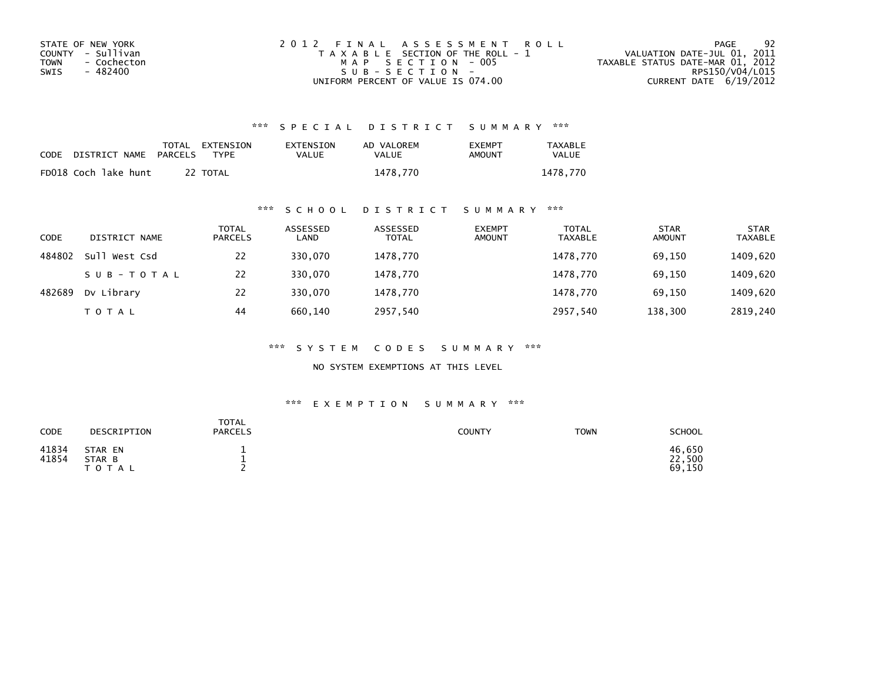| STATE OF NEW YORK   | 2012 FINAL ASSESSMENT ROLL            | -92<br>PAGE                      |
|---------------------|---------------------------------------|----------------------------------|
| COUNTY - Sullivan   | T A X A B L E SECTION OF THE ROLL - 1 | VALUATION DATE-JUL 01, 2011      |
| TOWN<br>- Cochecton | MAP SECTION - 005                     | TAXABLE STATUS DATE-MAR 01, 2012 |
| - 482400<br>SWIS    | SUB-SECTION-                          | RPS150/V04/L015                  |
|                     | UNIFORM PERCENT OF VALUE IS 074.00    | CURRENT DATE 6/19/2012           |

| CODE | DISTRICT NAME        | <b>PARCELS</b> | TOTAL EXTENSION<br>TYPF | EXTENSION<br>VALUE | AD VALOREM<br>VALUE | <b>FXFMPT</b><br>AMOUNT | <b>TAXABLE</b><br>VALUE |
|------|----------------------|----------------|-------------------------|--------------------|---------------------|-------------------------|-------------------------|
|      | FD018 Coch lake hunt |                | 22 TOTAL                |                    | 1478.770            |                         | 1478.770                |

### \*\*\* S C H O O L D I S T R I C T S U M M A R Y \*\*\*

| CODE   | DISTRICT NAME | <b>TOTAL</b><br><b>PARCELS</b> | ASSESSED<br>LAND | ASSESSED<br><b>TOTAL</b> | <b>EXEMPT</b><br><b>AMOUNT</b> | <b>TOTAL</b><br><b>TAXABLE</b> | <b>STAR</b><br><b>AMOUNT</b> | <b>STAR</b><br><b>TAXABLE</b> |
|--------|---------------|--------------------------------|------------------|--------------------------|--------------------------------|--------------------------------|------------------------------|-------------------------------|
| 484802 | Sull West Csd | 22                             | 330.070          | 1478,770                 |                                | 1478.770                       | 69,150                       | 1409,620                      |
|        | SUB-TOTAL     | 22                             | 330.070          | 1478,770                 |                                | 1478,770                       | 69,150                       | 1409,620                      |
| 482689 | Dv Library    | 22                             | 330,070          | 1478,770                 |                                | 1478,770                       | 69,150                       | 1409,620                      |
|        | <b>TOTAL</b>  | 44                             | 660.140          | 2957,540                 |                                | 2957,540                       | 138,300                      | 2819,240                      |

\*\*\* S Y S T E M C O D E S S U M M A R Y \*\*\*

NO SYSTEM EXEMPTIONS AT THIS LEVEL

| CODE           | DESCRIPTION                       | <b>TOTAL</b><br><b>PARCELS</b> | <b>COUNTY</b> | <b>TOWN</b> | <b>SCHOOL</b>              |
|----------------|-----------------------------------|--------------------------------|---------------|-------------|----------------------------|
| 41834<br>41854 | STAR EN<br>STAR B<br><b>TOTAL</b> |                                |               |             | 46,650<br>22,500<br>69,150 |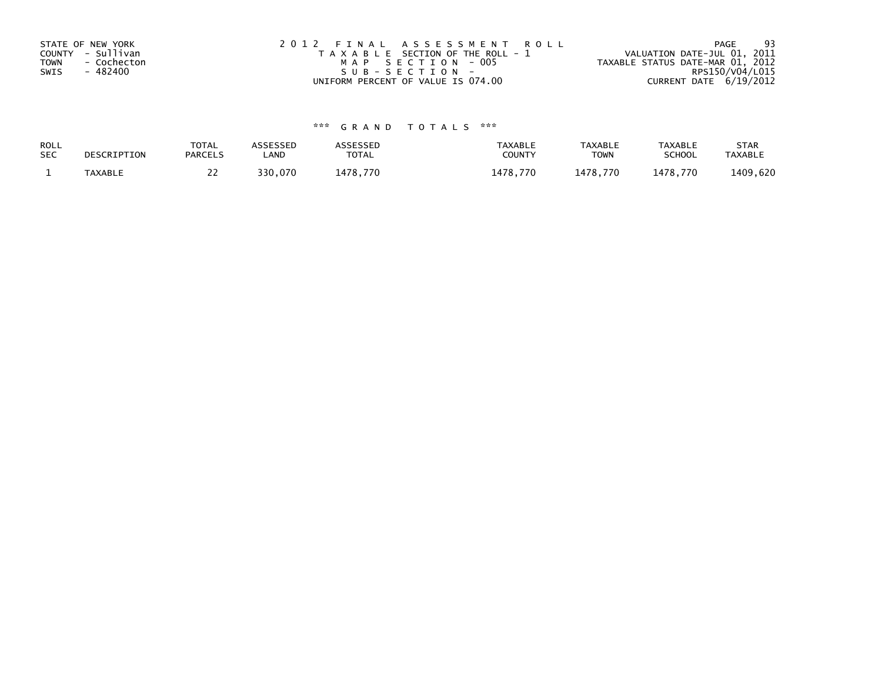| STATE OF NEW YORK<br>COUNTY - Sullivan<br>- Cochecton<br>TOWN<br>- 482400<br>SWIS | 2012 FINAL ASSESSMENT ROLL<br>T A X A B L E SECTION OF THE ROLL - 1<br>MAP SECTION - 005<br>$S \cup B - S \in C \cup D$ | -93<br>PAGE<br>VALUATION DATE-JUL 01, 2011<br>TAXABLE STATUS DATE-MAR 01, 2012<br>RPS150/V04/L015 |
|-----------------------------------------------------------------------------------|-------------------------------------------------------------------------------------------------------------------------|---------------------------------------------------------------------------------------------------|
|                                                                                   | UNIFORM PERCENT OF VALUE IS 074.00                                                                                      | CURRENT DATE 6/19/2012                                                                            |

| ROLL       | DESCRIPTION | <b>TOTAL</b>   | ASSESSED | ASSESSED | <b>TAXABLE</b> | <b>TAXABLE</b> | <b>TAXABLE</b> | <b>STAR</b>    |
|------------|-------------|----------------|----------|----------|----------------|----------------|----------------|----------------|
| <b>SEC</b> |             | <b>PARCELS</b> | LAND     | TOTAL    | <b>COUNTY</b>  | <b>TOWN</b>    | <b>SCHOOL</b>  | <b>TAXABLE</b> |
|            | TAXABLE     | <u>_ _</u>     | 330,070  | 1478,770 | 1478.770       | 1478.770       | 1478.770       | 1409,620       |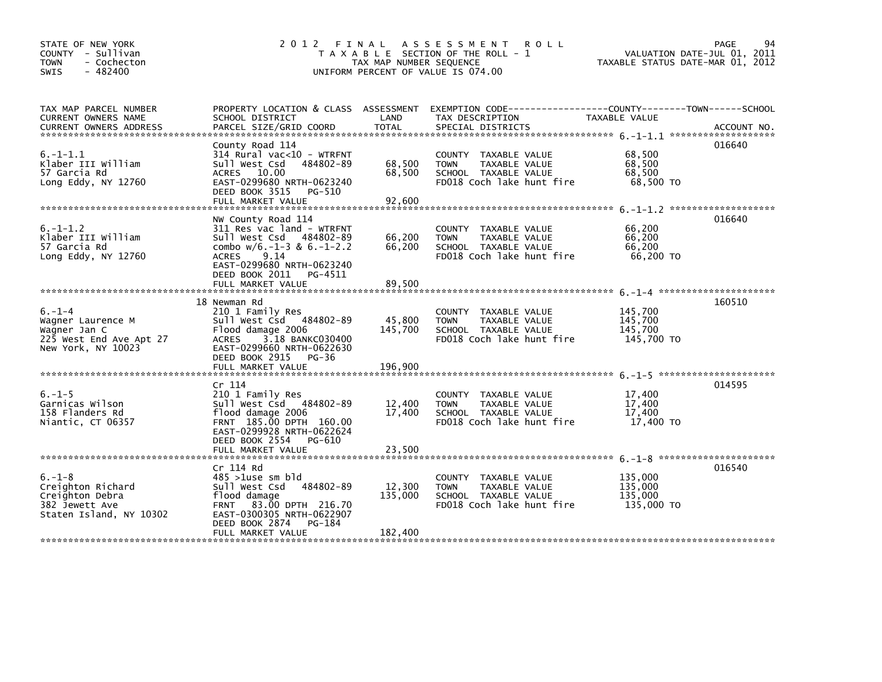| STATE OF NEW YORK<br>COUNTY - Sullivan<br><b>TOWN</b><br>- Cochecton<br>$-482400$<br><b>SWIS</b>   |                                                                                                                                                                                                                | TAX MAP NUMBER SEQUENCE      | 2012 FINAL ASSESSMENT<br><b>ROLL</b><br>T A X A B L E SECTION OF THE ROLL - 1<br>UNIFORM PERCENT OF VALUE IS 074.00  | VALUATION DATE-JUL 01, 2011<br>TAXABLE STATUS DATE-MAR 01, 2012 | 94<br>PAGE |
|----------------------------------------------------------------------------------------------------|----------------------------------------------------------------------------------------------------------------------------------------------------------------------------------------------------------------|------------------------------|----------------------------------------------------------------------------------------------------------------------|-----------------------------------------------------------------|------------|
| TAX MAP PARCEL NUMBER<br>CURRENT OWNERS NAME                                                       | SCHOOL DISTRICT                                                                                                                                                                                                | LAND                         | PROPERTY LOCATION & CLASS ASSESSMENT EXEMPTION CODE-----------------COUNTY-------TOWN------SCHOOL<br>TAX DESCRIPTION | TAXABLE VALUE                                                   |            |
| $6. -1 - 1.1$<br>Klaber III William<br>57 Garcia Rd<br>Long Eddy, NY 12760                         | County Road 114<br>314 Rural vac<10 - WTRFNT<br>Sull West Csd<br>484802-89<br>ACRES 10.00<br>EAST-0299680 NRTH-0623240<br>DEED BOOK 3515 PG-510<br>FULL MARKET VALUE                                           | 68,500<br>68,500<br>92,600   | COUNTY TAXABLE VALUE<br><b>TOWN</b><br>TAXABLE VALUE<br>SCHOOL TAXABLE VALUE<br>FD018 Coch lake hunt fire            | 68,500<br>68,500<br>68,500<br>68,500 TO                         | 016640     |
| $6. -1 - 1.2$<br>Klaber III William<br>57 Garcia Rd<br>Long Eddy, NY 12760                         | NW County Road 114<br>311 Res vac land - WTRFNT<br>Sull West Csd 484802-89<br>combo $w/6$ .-1-3 & 6.-1-2.2<br>9.14<br><b>ACRES</b><br>EAST-0299680 NRTH-0623240<br>DEED BOOK 2011 PG-4511<br>FULL MARKET VALUE | 66,200<br>66,200<br>89,500   | COUNTY TAXABLE VALUE<br>TAXABLE VALUE<br><b>TOWN</b><br>SCHOOL TAXABLE VALUE<br>FD018 Coch lake hunt fire            | 66,200<br>66,200<br>66,200<br>66,200 TO                         | 016640     |
| $6. - 1 - 4$<br>Wagner Laurence M<br>Wagner Jan C<br>225 West End Ave Apt 27<br>New York, NY 10023 | 18 Newman Rd<br>210 1 Family Res<br>Sull West Csd 484802-89<br>Flood damage 2006<br><b>ACRES</b><br>3.18 BANKC030400<br>EAST-0299660 NRTH-0622630<br>DEED BOOK 2915 PG-36<br>FULL MARKET VALUE                 | 45,800<br>145,700<br>196,900 | COUNTY TAXABLE VALUE<br><b>TOWN</b><br>TAXABLE VALUE<br>SCHOOL TAXABLE VALUE<br>FD018 Coch lake hunt fire            | 145,700<br>145,700<br>145,700<br>145,700 TO                     | 160510     |
| $6. - 1 - 5$<br>Garnicas Wilson<br>158 Flanders Rd<br>Niantic, CT 06357                            | Cr 114<br>210 1 Family Res<br>Sull West Csd 484802-89<br>flood damage 2006<br>FRNT 185.00 DPTH 160.00<br>EAST-0299928 NRTH-0622624<br>DEED BOOK 2554 PG-610<br>FULL MARKET VALUE                               | 12,400<br>17,400<br>23,500   | COUNTY TAXABLE VALUE<br><b>TOWN</b><br>TAXABLE VALUE<br>SCHOOL TAXABLE VALUE<br>FD018 Coch lake hunt fire            | 17,400<br>17,400<br>17,400<br>17,400 TO                         | 014595     |
| $6. - 1 - 8$<br>Creighton Richard<br>Creighton Debra<br>382 Jewett Ave<br>Staten Island, NY 10302  | Cr 114 Rd<br>$485 > 1$ use sm bld<br>Sull West Csd 484802-89<br>flood damage<br>FRNT 83.00 DPTH 216.70<br>EAST-0300305 NRTH-0622907<br>DEED BOOK 2874<br>PG-184<br>FULL MARKET VALUE                           | 12,300<br>135,000<br>182,400 | COUNTY TAXABLE VALUE<br><b>TOWN</b><br>TAXABLE VALUE<br>SCHOOL TAXABLE VALUE<br>FD018 Coch lake hunt fire            | 135,000<br>135,000<br>135,000<br>135,000 TO                     | 016540     |
|                                                                                                    |                                                                                                                                                                                                                |                              |                                                                                                                      |                                                                 |            |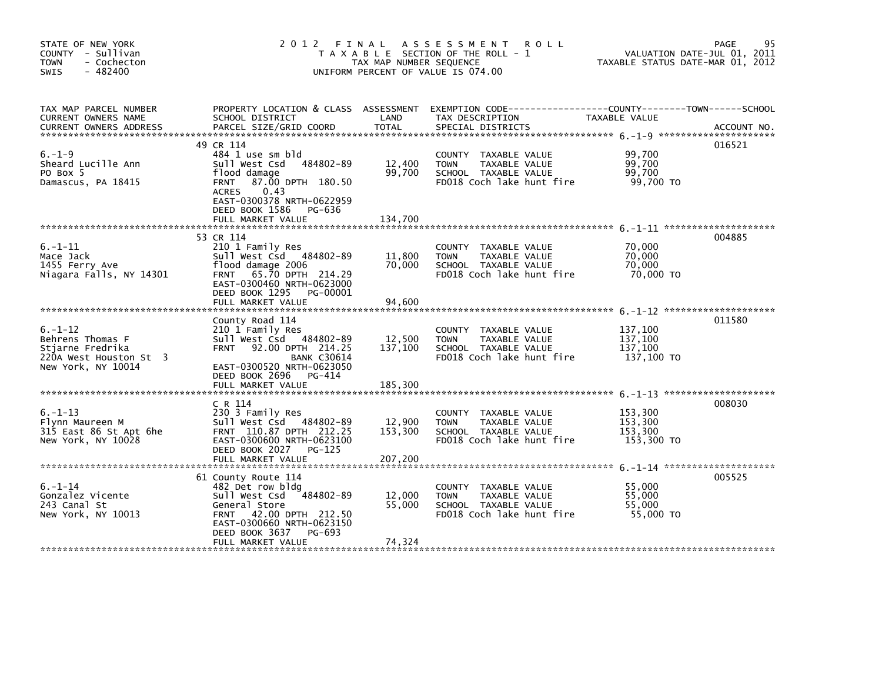| STATE OF NEW YORK<br>COUNTY - Sullivan<br><b>TOWN</b><br>- Cochecton<br>$-482400$<br>SWIS             | 2012 FINAL ASSESSMENT<br>T A X A B L E SECTION OF THE ROLL - 1<br>TAX MAP NUMBER SEQUENCE<br>UNIFORM PERCENT OF VALUE IS 074.00                                                                          | 95<br>PAGE<br>VALUATION DATE-JUL 01, 2011<br>TAXABLE STATUS DATE-MAR 01, 2012 |                                                                                                                                          |                                             |             |
|-------------------------------------------------------------------------------------------------------|----------------------------------------------------------------------------------------------------------------------------------------------------------------------------------------------------------|-------------------------------------------------------------------------------|------------------------------------------------------------------------------------------------------------------------------------------|---------------------------------------------|-------------|
| TAX MAP PARCEL NUMBER<br>CURRENT OWNERS NAME<br><b>CURRENT OWNERS ADDRESS</b>                         | SCHOOL DISTRICT<br>PARCEL SIZE/GRID COORD                                                                                                                                                                | LAND<br>TOTAL                                                                 | PROPERTY LOCATION & CLASS ASSESSMENT EXEMPTION CODE----------------COUNTY-------TOWN------SCHOOL<br>TAX DESCRIPTION<br>SPECIAL DISTRICTS | TAXABLE VALUE                               | ACCOUNT NO. |
| $6. - 1 - 9$<br>Sheard Lucille Ann<br>PO Box 5<br>Damascus, PA 18415                                  | 49 CR 114<br>484 1 use sm bld<br>Sull West Csd 484802-89<br>flood damage<br>FRNT 87.00 DPTH 180.50<br>0.43<br><b>ACRES</b><br>EAST-0300378 NRTH-0622959<br>DEED BOOK 1586<br>PG-636<br>FULL MARKET VALUE | 12,400<br>99,700<br>134.700                                                   | COUNTY TAXABLE VALUE<br>TAXABLE VALUE<br><b>TOWN</b><br>SCHOOL TAXABLE VALUE<br>FD018 Coch lake hunt fire                                | 99,700<br>99,700<br>99,700<br>99,700 TO     | 016521      |
| $6. - 1 - 11$<br>Mace Jack<br>1455 Ferry Ave<br>Niagara Falls, NY 14301                               | 53 CR 114<br>210 1 Family Res<br>Sull West Csd 484802-89<br>flood damage 2006<br>FRNT 65.70 DPTH 214.29<br>EAST-0300460 NRTH-0623000<br>DEED BOOK 1295<br>PG-00001<br>FULL MARKET VALUE                  | 11,800<br>70,000<br>94,600                                                    | COUNTY TAXABLE VALUE<br><b>TOWN</b><br>TAXABLE VALUE<br>SCHOOL TAXABLE VALUE<br>FD018 Coch lake hunt fire                                | 70,000<br>70,000<br>70,000<br>70,000 TO     | 004885      |
| $6. - 1 - 12$<br>Behrens Thomas F<br>Stjarne Fredrika<br>220A West Houston St 3<br>New York, NY 10014 | County Road 114<br>210 1 Family Res<br>Sull West Csd 484802-89<br><b>FRNT</b><br>92.00 DPTH 214.25<br><b>BANK C30614</b><br>EAST-0300520 NRTH-0623050<br>DEED BOOK 2696 PG-414<br>FULL MARKET VALUE      | 12,500<br>137,100<br>185,300                                                  | COUNTY TAXABLE VALUE<br><b>TOWN</b><br>TAXABLE VALUE<br>SCHOOL TAXABLE VALUE<br>FD018 Coch lake hunt fire                                | 137,100<br>137,100<br>137,100<br>137,100 TO | 011580      |
| $6. - 1 - 13$<br>Flynn Maureen M<br>315 East 86 St Apt 6he<br>New York, NY 10028                      | C R 114<br>230 3 Family Res<br>Sull West Csd 484802-89<br>FRNT 110.87 DPTH 212.25<br>EAST-0300600 NRTH-0623100<br>DEED BOOK 2027 PG-125                                                                  | 12,900<br>153,300                                                             | COUNTY TAXABLE VALUE<br><b>TOWN</b><br>TAXABLE VALUE<br>SCHOOL TAXABLE VALUE<br>FD018 Coch lake hunt fire                                | 153,300<br>153,300<br>153.300<br>153,300 TO | 008030      |
| $6. - 1 - 14$<br>Gonzalez Vicente<br>243 Canal St<br>New York, NY 10013                               | 61 County Route 114<br>482 Det row bldg<br>Sull West Csd 484802-89<br>General Store<br>FRNT 42.00 DPTH 212.50<br>EAST-0300660 NRTH-0623150<br>DEED BOOK 3637<br>PG-693<br>FULL MARKET VALUE              | 12,000<br>55,000<br>74,324                                                    | COUNTY TAXABLE VALUE<br><b>TOWN</b><br>TAXABLE VALUE<br>SCHOOL TAXABLE VALUE<br>FD018 Coch lake hunt fire                                | 55,000<br>55,000<br>55,000<br>55,000 TO     | 005525      |
|                                                                                                       |                                                                                                                                                                                                          |                                                                               |                                                                                                                                          |                                             |             |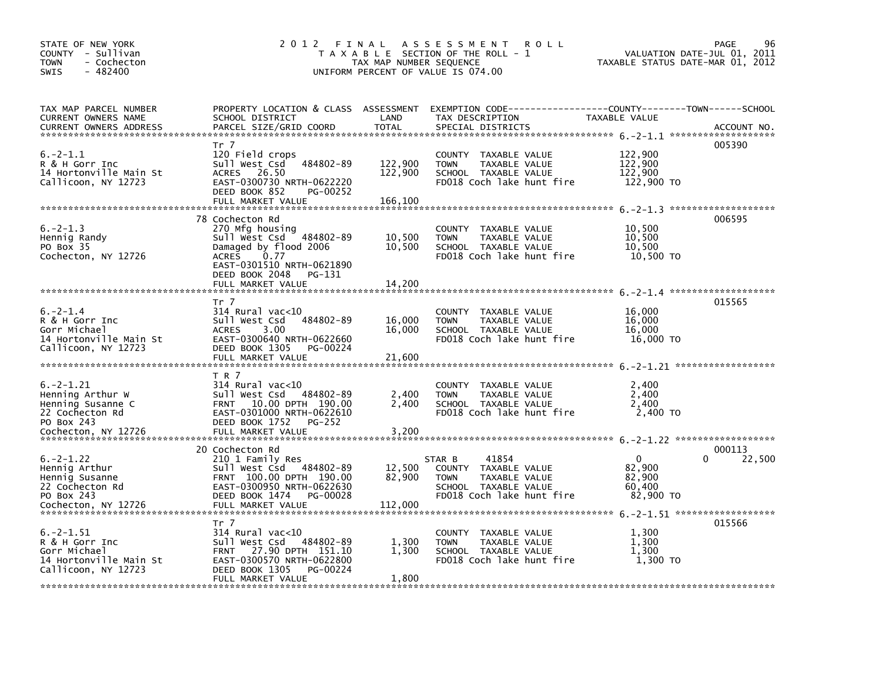| STATE OF NEW YORK<br>COUNTY - Sullivan<br>- Cochecton<br>TOWN<br>- 482400<br>SWIS                               | 2012 FINAL                                                                                                                                                                                   | TAX MAP NUMBER SEQUENCE       | A S S E S S M E N T<br><b>ROLL</b><br>T A X A B L E SECTION OF THE ROLL - 1<br>UNIFORM PERCENT OF VALUE IS 074.00            | VALUATION DATE-JUL 01, 2011<br>TAXABLE STATUS DATE-MAR 01, 2012 | PAGE<br>96            |
|-----------------------------------------------------------------------------------------------------------------|----------------------------------------------------------------------------------------------------------------------------------------------------------------------------------------------|-------------------------------|------------------------------------------------------------------------------------------------------------------------------|-----------------------------------------------------------------|-----------------------|
| TAX MAP PARCEL NUMBER<br>CURRENT OWNERS NAME<br><b>CURRENT OWNERS ADDRESS</b>                                   | PROPERTY LOCATION & CLASS ASSESSMENT<br>SCHOOL DISTRICT<br>PARCEL SIZE/GRID COORD                                                                                                            | LAND<br><b>TOTAL</b>          | EXEMPTION CODE-----------------COUNTY-------TOWN------SCHOOL<br>TAX DESCRIPTION<br>SPECIAL DISTRICTS                         | TAXABLE VALUE                                                   | ACCOUNT NO.           |
| $6. -2 - 1.1$<br>R & H Gorr Inc<br>14 Hortonville Main St<br>Callicoon, NY 12723                                | Tr 7<br>120 Field crops<br>484802-89<br>Sull West Csd<br>ACRES 26.50<br>EAST-0300730 NRTH-0622220<br>DEED BOOK 852<br>PG-00252<br>FULL MARKET VALUE                                          | 122,900<br>122,900<br>166,100 | COUNTY TAXABLE VALUE<br>TAXABLE VALUE<br><b>TOWN</b><br>SCHOOL TAXABLE VALUE<br>FD018 Coch lake hunt fire                    | 122,900<br>122,900<br>122,900<br>122,900 TO                     | 005390                |
| $6. -2 - 1.3$<br>Hennig Randy<br>PO Box 35<br>Cochecton, NY 12726                                               | 78 Cochecton Rd<br>270 Mfg housing<br>Sull West Csd 484802-89<br>Damaged by flood 2006<br><b>ACRES</b><br>0.77<br>EAST-0301510 NRTH-0621890<br>DEED BOOK 2048<br>PG-131<br>FULL MARKET VALUE | 10,500<br>10,500<br>14,200    | COUNTY TAXABLE VALUE<br><b>TOWN</b><br>TAXABLE VALUE<br>SCHOOL TAXABLE VALUE<br>FD018 Coch lake hunt fire                    | 10,500<br>10,500<br>10,500<br>10,500 TO                         | 006595                |
| $6. -2 - 1.4$<br>R & H Gorr Inc<br>Gorr Michael<br>14 Hortonville Main St<br>Callicoon, NY 12723                | Tr 7<br>$314$ Rural vac<10<br>Sull West Csd<br>484802-89<br><b>ACRES</b><br>3.00<br>EAST-0300640 NRTH-0622660<br>DEED BOOK 1305<br>PG-00224<br>FULL MARKET VALUE                             | 16,000<br>16,000<br>21,600    | COUNTY TAXABLE VALUE<br><b>TOWN</b><br>TAXABLE VALUE<br>SCHOOL TAXABLE VALUE<br>FD018 Coch lake hunt fire                    | 16,000<br>16,000<br>16,000<br>16,000 TO                         | 015565                |
| $6. -2 - 1.21$<br>Henning Arthur W<br>Henning Susanne C<br>22 Cochecton Rd<br>PO Box 243<br>Cochecton, NY 12726 | T R 7<br>$314$ Rural vac< $10$<br>484802-89<br>Sull West Csd<br>10.00 DPTH 190.00<br><b>FRNT</b><br>EAST-0301000 NRTH-0622610<br>DEED BOOK 1752<br>PG-252<br>FULL MARKET VALUE               | 2,400<br>2,400<br>3,200       | COUNTY TAXABLE VALUE<br><b>TOWN</b><br>TAXABLE VALUE<br>SCHOOL TAXABLE VALUE<br>FD018 Coch lake hunt fire                    | 2,400<br>2,400<br>2,400<br>2,400 TO                             |                       |
| $6. -2 - 1.22$<br>Hennig Arthur<br>Hennig Susanne<br>22 Cochecton Rd<br>PO Box 243<br>Cochecton, NY 12726       | 20 Cochecton Rd<br>210 1 Family Res<br>Sull West Csd 484802-89<br>FRNT 100.00 DPTH 190.00<br>EAST-0300950 NRTH-0622630<br>DEED BOOK 1474<br>PG-00028<br>FULL MARKET VALUE                    | 12,500<br>82,900<br>112,000   | STAR B<br>41854<br>COUNTY TAXABLE VALUE<br><b>TOWN</b><br>TAXABLE VALUE<br>SCHOOL TAXABLE VALUE<br>FD018 Coch lake hunt fire | $\Omega$<br>82,900<br>82,900<br>60,400<br>82,900 TO             | 000113<br>0<br>22,500 |
| $6. -2 - 1.51$<br>R & H Gorr Inc<br>Gorr Michael<br>14 Hortonville Main St<br>Callicoon, NY 12723               | Tr 7<br>$314$ Rural vac< $10$<br>484802-89<br>Sull West Csd<br>27.90 DPTH 151.10<br><b>FRNT</b><br>EAST-0300570 NRTH-0622800<br>DEED BOOK 1305<br>PG-00224<br>FULL MARKET VALUE              | 1,300<br>1,300<br>1,800       | COUNTY TAXABLE VALUE<br><b>TOWN</b><br>TAXABLE VALUE<br>SCHOOL TAXABLE VALUE<br>FD018 Coch lake hunt fire                    | 1,300<br>1.300<br>1,300<br>1,300 TO                             | 015566                |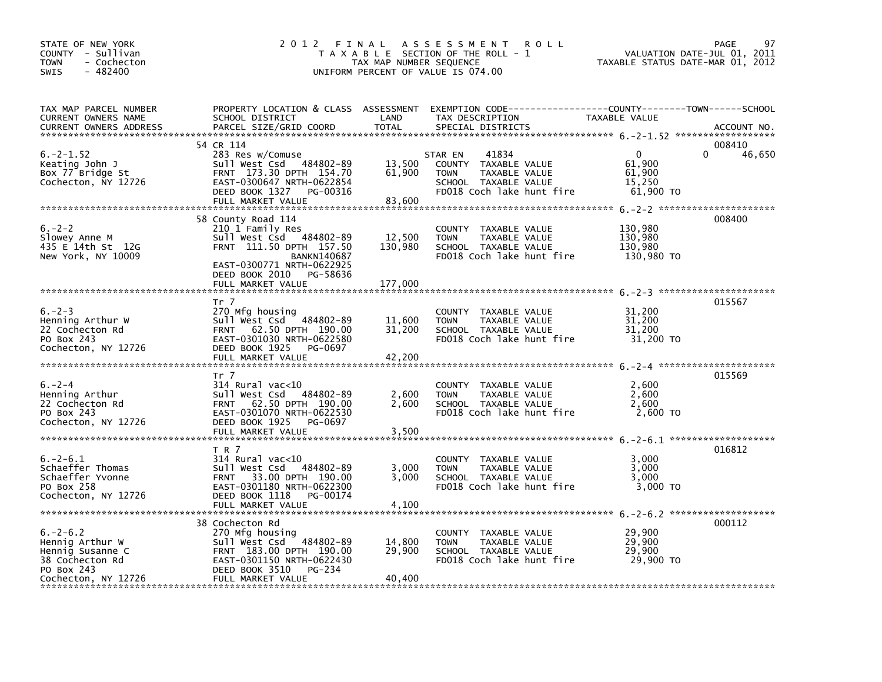| STATE OF NEW YORK<br>COUNTY - Sullivan<br>- Cochecton<br><b>TOWN</b><br>$-482400$<br>SWIS                     |                                                                                                                                                                                                    | TAX MAP NUMBER SEQUENCE      | 2012 FINAL ASSESSMENT<br><b>ROLL</b><br>T A X A B L E SECTION OF THE ROLL - 1<br>UNIFORM PERCENT OF VALUE IS 074.00                     | TAXABLE STATUS DATE-MAR 01, 2012                    | 97<br>PAGE<br>VALUATION DATE-JUL 01, 2011 |
|---------------------------------------------------------------------------------------------------------------|----------------------------------------------------------------------------------------------------------------------------------------------------------------------------------------------------|------------------------------|-----------------------------------------------------------------------------------------------------------------------------------------|-----------------------------------------------------|-------------------------------------------|
| TAX MAP PARCEL NUMBER<br>CURRENT OWNERS NAME<br><b>CURRENT OWNERS ADDRESS</b>                                 | SCHOOL DISTRICT<br>PARCEL SIZE/GRID COORD                                                                                                                                                          | LAND<br><b>TOTAL</b>         | PROPERTY LOCATION & CLASS ASSESSMENT EXEMPTION CODE----------------COUNTY-------TOWN-----SCHOOL<br>TAX DESCRIPTION<br>SPECIAL DISTRICTS | TAXABLE VALUE                                       | ACCOUNT NO.                               |
| $6. -2 - 1.52$<br>Keating John J<br>Box 77 Bridge St<br>Cochecton, NY 12726                                   | 54 CR 114<br>283 Res w/Comuse<br>Sull West Csd 484802-89<br>FRNT 173.30 DPTH 154.70<br>EAST-0300647 NRTH-0622854<br>DEED BOOK 1327<br>PG-00316<br>FULL MARKET VALUE                                | 13,500<br>61,900<br>83,600   | 41834<br>STAR EN<br>COUNTY TAXABLE VALUE<br>TAXABLE VALUE<br><b>TOWN</b><br>SCHOOL TAXABLE VALUE<br>FD018 Coch lake hunt fire           | $\Omega$<br>61,900<br>61,900<br>15,250<br>61,900 TO | 008410<br>46,650                          |
| $6. -2 - 2$<br>Slowey Anne M<br>435 E 14th St 12G<br>New York, NY 10009                                       | 58 County Road 114<br>210 1 Family Res<br>Sull West Csd 484802-89<br>FRNT 111.50 DPTH 157.50<br><b>BANKN140687</b><br>EAST-0300771 NRTH-0622925<br>DEED BOOK 2010<br>PG-58636<br>FULL MARKET VALUE | 12,500<br>130,980<br>177,000 | COUNTY TAXABLE VALUE<br><b>TOWN</b><br>TAXABLE VALUE<br>SCHOOL TAXABLE VALUE<br>FD018 Coch lake hunt fire                               | 130,980<br>130,980<br>130,980<br>130,980 TO         | 008400                                    |
| $6. -2 - 3$<br>Henning Arthur W<br>22 Cochecton Rd<br>PO Box 243<br>Cochecton, NY 12726                       | Tr 7<br>270 Mfg housing<br>Sull West Csd 484802-89<br>FRNT 62.50 DPTH 190.00<br>EAST-0301030 NRTH-0622580<br>DEED BOOK 1925<br>PG-0697<br>FULL MARKET VALUE                                        | 11,600<br>31,200<br>42,200   | COUNTY TAXABLE VALUE<br><b>TOWN</b><br>TAXABLE VALUE<br>SCHOOL TAXABLE VALUE<br>FD018 Coch lake hunt fire                               | 31,200<br>31,200<br>31,200<br>31,200 TO             | 015567                                    |
| $6. -2 - 4$<br>Henning Arthur<br>22 Cochecton Rd<br>PO Box 243<br>Cochecton, NY 12726                         | Tr 7<br>314 Rural vac<10<br>Sull West Csd 484802-89<br>FRNT 62.50 DPTH 190.00<br>EAST-0301070 NRTH-0622530<br>DEED BOOK 1925<br>PG-0697<br>FULL MARKET VALUE                                       | 2,600<br>2,600<br>3,500      | COUNTY TAXABLE VALUE<br><b>TOWN</b><br>TAXABLE VALUE<br>SCHOOL TAXABLE VALUE<br>FD018 Coch lake hunt fire                               | 2,600<br>2,600<br>2.600<br>2,600 TO                 | 015569                                    |
| $6. -2 - 6.1$<br>Schaeffer Thomas<br>Schaeffer Yvonne<br>PO Box 258<br>Cochecton, NY 12726                    | T R 7<br>$314$ Rural vac<10<br>Sull West Csd 484802-89<br>FRNT 33.00 DPTH 190.00<br>EAST-0301180 NRTH-0622300<br>DEED BOOK 1118<br>PG-00174<br>FULL MARKET VALUE                                   | 3,000<br>3.000<br>4,100      | COUNTY TAXABLE VALUE<br><b>TOWN</b><br>TAXABLE VALUE<br>SCHOOL TAXABLE VALUE<br>FD018 Coch lake hunt fire                               | 3,000<br>3,000<br>3,000<br>3,000 TO                 | 016812                                    |
| $6. - 2 - 6.2$<br>Hennig Arthur W<br>Hennig Susanne C<br>38 Cochecton Rd<br>PO Box 243<br>Cochecton, NY 12726 | 38 Cochecton Rd<br>270 Mfg housing<br>484802-89<br>Sull West Csd<br>FRNT 183.00 DPTH 190.00<br>EAST-0301150 NRTH-0622430<br>DEED BOOK 3510<br>PG-234<br>FULL MARKET VALUE                          | 14,800<br>29,900<br>40,400   | COUNTY TAXABLE VALUE<br><b>TOWN</b><br>TAXABLE VALUE<br>SCHOOL TAXABLE VALUE<br>FD018 Coch lake hunt fire                               | 29,900<br>29,900<br>29,900<br>29,900 TO             | 000112                                    |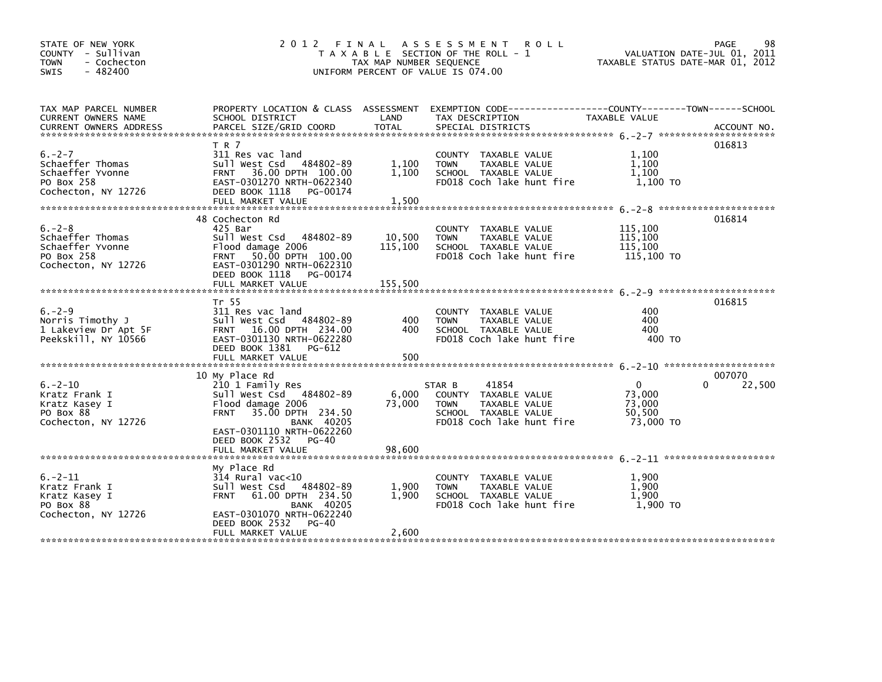| STATE OF NEW YORK<br>COUNTY - Sullivan<br><b>TOWN</b><br>- Cochecton<br>- 482400<br>SWIS |                                                                                                                                                                                                  | TAX MAP NUMBER SEQUENCE | 2012 FINAL ASSESSMENT ROLL<br>T A X A B L E SECTION OF THE ROLL - 1<br>UNIFORM PERCENT OF VALUE IS 074.00                    | VALUATION DATE-JUL 01, 2011<br>TAXABLE STATUS DATE-MAR 01, 2012     | PAGE<br>98       |
|------------------------------------------------------------------------------------------|--------------------------------------------------------------------------------------------------------------------------------------------------------------------------------------------------|-------------------------|------------------------------------------------------------------------------------------------------------------------------|---------------------------------------------------------------------|------------------|
| TAX MAP PARCEL NUMBER<br>CURRENT OWNERS NAME                                             | SCHOOL DISTRICT                                                                                                                                                                                  | LAND                    | PROPERTY LOCATION & CLASS ASSESSMENT EXEMPTION CODE---------------COUNTY--------TOWN------SCHOOL<br>TAX DESCRIPTION          | TAXABLE VALUE                                                       |                  |
| $6. -2 - 7$<br>Schaeffer Thomas<br>Schaeffer Yvonne<br>PO Box 258<br>Cochecton, NY 12726 | T R 7<br>311 Res vac land<br>Sull West Csd 484802-89<br>FRNT 36.00 DPTH 100.00<br>EAST-0301270 NRTH-0622340<br>DEED BOOK 1118 PG-00174<br>FULL MARKET VALUE                                      | 1,100<br>1,100<br>1,500 | COUNTY TAXABLE VALUE<br>TAXABLE VALUE<br><b>TOWN</b><br>SCHOOL TAXABLE VALUE<br>FD018 Coch lake hunt fire                    | 1,100<br>1,100<br>1.100<br>1,100 TO                                 | 016813           |
| $6. -2 - 8$<br>Schaeffer Thomas<br>Schaeffer Yvonne<br>PO Box 258<br>Cochecton, NY 12726 | 48 Cochecton Rd<br>425 Bar<br>Sull West Csd 484802-89<br>Flood damage 2006<br>FRNT 50.00 DPTH 100.00<br>EAST-0301290 NRTH-0622310<br>DEED BOOK 1118 PG-00174                                     | 10,500<br>115,100       | COUNTY TAXABLE VALUE<br>TAXABLE VALUE<br><b>TOWN</b><br>SCHOOL TAXABLE VALUE<br>FD018 Coch lake hunt fire                    | 115,100<br>115,100<br>115,100<br>115,100 TO                         | 016814           |
| $6. -2 - 9$<br>Norris Timothy J<br>1 Lakeview Dr Apt 5F<br>Peekskill, NY 10566           | Tr 55<br>311 Res vac land<br>Sull West Csd 484802-89<br>FRNT 16.00 DPTH 234.00<br>EAST-0301130 NRTH-0622280<br>DEED BOOK 1381 PG-612                                                             | 400<br>400              | COUNTY TAXABLE VALUE<br>TAXABLE VALUE<br><b>TOWN</b><br>SCHOOL TAXABLE VALUE<br>FD018 Coch lake hunt fire                    | 400<br>400<br>400<br>400 TO                                         | 016815           |
| $6. -2 - 10$<br>Kratz Frank I<br>Kratz Kasey I<br>PO Box 88<br>Cochecton, NY 12726       | 10 My Place Rd<br>210 1 Family Res<br>Sull West Csd 484802-89<br>Flood damage 2006<br>35.00 DPTH 234.50<br><b>FRNT</b><br><b>BANK 40205</b><br>EAST-0301110 NRTH-0622260<br>DEED BOOK 2532 PG-40 | 6,000<br>73,000         | 41854<br>STAR B<br>COUNTY TAXABLE VALUE<br><b>TOWN</b><br>TAXABLE VALUE<br>SCHOOL TAXABLE VALUE<br>FD018 Coch lake hunt fire | $\mathbf{0}$<br>$\Omega$<br>73,000<br>73,000<br>50,500<br>73,000 TO | 007070<br>22,500 |
| $6. -2 - 11$<br>Kratz Frank I<br>Kratz Kasey I<br>PO Box 88<br>Cochecton, NY 12726       | My Place Rd<br>314 Rural vac<10<br>484802-89<br>Sull West Csd<br>FRNT 61.00 DPTH 234.50<br><b>BANK 40205</b><br>EAST-0301070 NRTH-0622240<br>DEED BOOK 2532<br>PG-40                             | 1,900<br>1,900          | COUNTY TAXABLE VALUE<br><b>TOWN</b><br>TAXABLE VALUE<br>SCHOOL TAXABLE VALUE<br>FD018 Coch lake hunt fire                    | 1,900<br>1.900<br>1,900<br>1,900 TO                                 |                  |
|                                                                                          | FULL MARKET VALUE                                                                                                                                                                                | 2,600                   |                                                                                                                              |                                                                     |                  |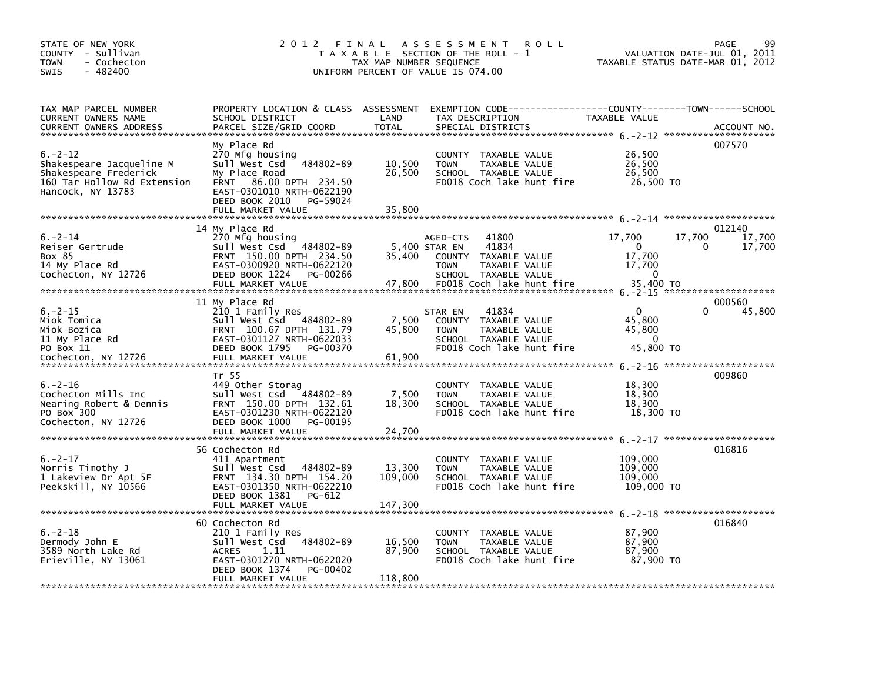| STATE OF NEW YORK<br>COUNTY - Sullivan<br><b>TOWN</b><br>- Cochecton<br>$-482400$<br><b>SWIS</b>                      | 2012 FINAL                                                                                                                                                                                     | TAX MAP NUMBER SEQUENCE     | A S S E S S M E N T<br><b>ROLL</b><br>T A X A B L E SECTION OF THE ROLL - 1<br>UNIFORM PERCENT OF VALUE IS 074.00                                        | VALUATION DATE-JUL 01, 2011<br>TAXABLE STATUS DATE-MAR 01, 2012                    | 99<br>PAGE                 |
|-----------------------------------------------------------------------------------------------------------------------|------------------------------------------------------------------------------------------------------------------------------------------------------------------------------------------------|-----------------------------|----------------------------------------------------------------------------------------------------------------------------------------------------------|------------------------------------------------------------------------------------|----------------------------|
| TAX MAP PARCEL NUMBER<br>CURRENT OWNERS NAME<br><b>CURRENT OWNERS ADDRESS</b>                                         | SCHOOL DISTRICT<br>PARCEL SIZE/GRID COORD                                                                                                                                                      | LAND<br><b>TOTAL</b>        | PROPERTY LOCATION & CLASS ASSESSMENT EXEMPTION CODE----------------COUNTY-------TOWN------SCHOOL<br>TAX DESCRIPTION<br>SPECIAL DISTRICTS                 | TAXABLE VALUE                                                                      | ACCOUNT NO.                |
| $6. -2 - 12$<br>Shakespeare Jacqueline M<br>Shakespeare Frederick<br>160 Tar Hollow Rd Extension<br>Hancock, NY 13783 | My Place Rd<br>270 Mfg housing<br>Sull West Csd 484802-89<br>My Place Road<br>86.00 DPTH 234.50<br><b>FRNT</b><br>EAST-0301010 NRTH-0622190<br>DEED BOOK 2010<br>PG-59024<br>FULL MARKET VALUE | 10,500<br>26,500<br>35,800  | COUNTY TAXABLE VALUE<br>TAXABLE VALUE<br><b>TOWN</b><br>SCHOOL TAXABLE VALUE<br>FD018 Coch lake hunt fire                                                | 26,500<br>26,500<br>26,500<br>26,500 TO                                            | 007570                     |
| $6. -2 - 14$<br>Reiser Gertrude<br>Box 85<br>14 My Place Rd<br>Cochecton, NY 12726                                    | 14 My Place Rd<br>270 Mfg housing<br>Sull West Csd 484802-89<br>FRNT 150.00 DPTH 234.50<br>EAST-0300920 NRTH-0622120<br>DEED BOOK 1224<br>PG-00266<br>FULL MARKET VALUE                        | 35,400<br>47,800            | 41800<br>AGED-CTS<br>41834<br>5,400 STAR EN<br>COUNTY TAXABLE VALUE<br><b>TOWN</b><br>TAXABLE VALUE<br>SCHOOL TAXABLE VALUE<br>FD018 Coch lake hunt fire | 17,700<br>17,700<br>$\mathbf{0}$<br>0<br>17,700<br>17,700<br>$\Omega$<br>35,400 TO | 012140<br>17,700<br>17,700 |
| $6. -2 - 15$<br>Miok Tomica<br>Miok Bozica<br>11 My Place Rd<br>PO Box 11<br>Cochecton, NY 12726                      | 11 My Place Rd<br>210 1 Family Res<br>Sull West Csd 484802-89<br>FRNT 100.67 DPTH 131.79<br>EAST-0301127 NRTH-0622033<br>DEED BOOK 1795<br>PG-00370<br>FULL MARKET VALUE                       | 7,500<br>45,800<br>61,900   | 41834<br>STAR EN<br>COUNTY TAXABLE VALUE<br>TAXABLE VALUE<br><b>TOWN</b><br>SCHOOL TAXABLE VALUE<br>FD018 Coch lake hunt fire                            | $\Omega$<br>45,800<br>45,800<br>$\Omega$<br>45,800 TO                              | 000560<br>45,800           |
| $6. -2 - 16$<br>Cochecton Mills Inc<br>Nearing Robert & Dennis<br>PO Box 300<br>Cochecton, NY 12726                   | Tr 55<br>449 Other Storag<br>Sull West Csd 484802-89<br>FRNT 150.00 DPTH 132.61<br>EAST-0301230 NRTH-0622120<br>DEED BOOK 1000<br>PG-00195                                                     | 7,500<br>18,300             | COUNTY TAXABLE VALUE<br><b>TOWN</b><br>TAXABLE VALUE<br>SCHOOL TAXABLE VALUE<br>FD018 Coch lake hunt fire                                                | 18,300<br>18,300<br>18,300<br>18,300 TO                                            | 009860                     |
| $6. -2 - 17$<br>Norris Timothy J<br>1 Lakeview Dr Apt 5F<br>Peekskill, NY 10566                                       | 56 Cochecton Rd<br>411 Apartment<br>484802-89<br>Sull West Csd<br>FRNT 134.30 DPTH 154.20<br>EAST-0301350 NRTH-0622210<br>DEED BOOK 1381<br>PG-612                                             | 13,300<br>109,000           | COUNTY TAXABLE VALUE<br>TAXABLE VALUE<br><b>TOWN</b><br>SCHOOL TAXABLE VALUE<br>FD018 Coch lake hunt fire                                                | 109,000<br>109,000<br>109,000<br>109,000 TO                                        | 016816                     |
| $6. -2 - 18$<br>Dermody John E<br>3589 North Lake Rd<br>Erieville, NY 13061                                           | 60 Cochecton Rd<br>210 1 Family Res<br>484802-89<br>Sull West Csd<br><b>ACRES</b><br>1.11<br>EAST-0301270 NRTH-0622020<br>DEED BOOK 1374<br>PG-00402<br>FULL MARKET VALUE                      | 16,500<br>87,900<br>118,800 | COUNTY TAXABLE VALUE<br>TAXABLE VALUE<br><b>TOWN</b><br>SCHOOL TAXABLE VALUE<br>FD018 Coch lake hunt fire                                                | 87,900<br>87.900<br>87,900<br>87,900 TO                                            | 016840                     |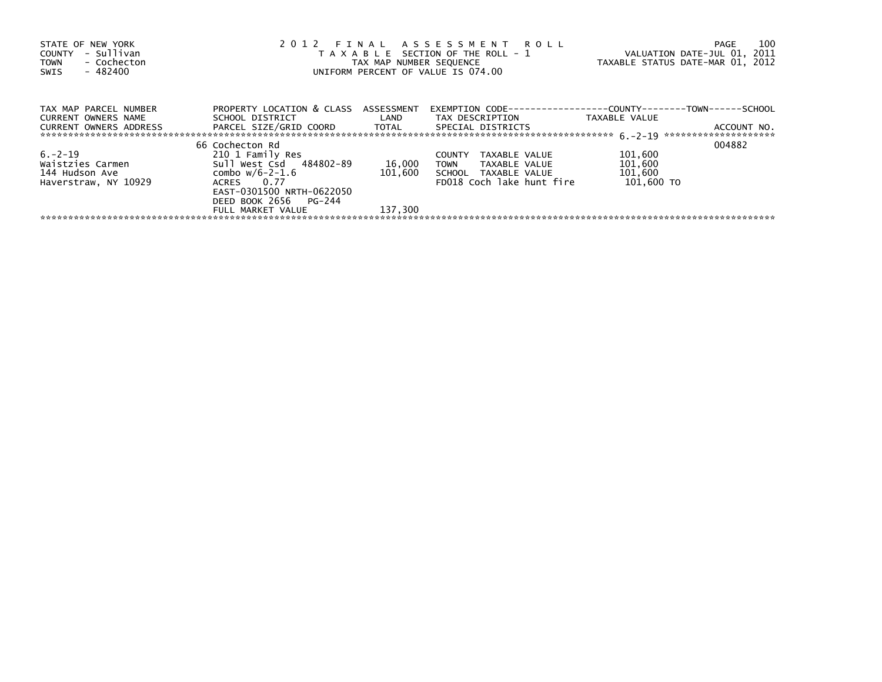| 2012 FINAL ASSESSMENT ROLL<br>STATE OF NEW YORK<br>- Sullivan<br>T A X A B L E SECTION OF THE ROLL - 1<br>COUNTY<br>- Cochecton<br>TAX MAP NUMBER SEQUENCE<br><b>TOWN</b><br>$-482400$<br>UNIFORM PERCENT OF VALUE IS 074.00<br>SWIS |                                      |                   |                                | PAGE<br>VALUATION DATE-JUL 01, 2011<br>TAXABLE STATUS DATE-MAR 01, 2012 | 100         |
|--------------------------------------------------------------------------------------------------------------------------------------------------------------------------------------------------------------------------------------|--------------------------------------|-------------------|--------------------------------|-------------------------------------------------------------------------|-------------|
| TAX MAP PARCEL NUMBER                                                                                                                                                                                                                | PROPERTY LOCATION & CLASS ASSESSMENT |                   |                                | EXEMPTION        CODE-----------------COUNTY--------TOWN------SCHOOL    |             |
| CURRENT OWNERS NAME                                                                                                                                                                                                                  | SCHOOL DISTRICT                      | <b>Example 12</b> | TAX DESCRIPTION                | TAXABLE VALUE                                                           |             |
| CURRENT OWNERS ADDRESS                                                                                                                                                                                                               | PARCEL SIZE/GRID COORD TOTAL         |                   | SPECIAL DISTRICTS              |                                                                         | ACCOUNT NO. |
|                                                                                                                                                                                                                                      | 66 Cochecton Rd                      |                   |                                | 004882                                                                  |             |
| $6. -2 - 19$                                                                                                                                                                                                                         | 210 1 Family Res                     |                   | <b>COUNTY</b><br>TAXABLE VALUE | 101,600                                                                 |             |
| Waistzies Carmen                                                                                                                                                                                                                     | Sull West Csd 484802-89              | 16,000            | TOWN<br>TAXABLE VALUE          | 101,600                                                                 |             |
| 144 Hudson Ave                                                                                                                                                                                                                       | combo w/6-2-1.6                      | 101,600           | SCHOOL TAXABLE VALUE           | 101,600                                                                 |             |
| Haverstraw, NY 10929                                                                                                                                                                                                                 | ACRES 0.77                           |                   | FD018 Coch lake hunt fire      | 101.600 TO                                                              |             |
|                                                                                                                                                                                                                                      | EAST-0301500 NRTH-0622050            |                   |                                |                                                                         |             |
|                                                                                                                                                                                                                                      | DEED BOOK 2656 PG-244                |                   |                                |                                                                         |             |
|                                                                                                                                                                                                                                      | FULL MARKET VALUE                    | 137,300           |                                |                                                                         |             |
|                                                                                                                                                                                                                                      |                                      |                   |                                |                                                                         |             |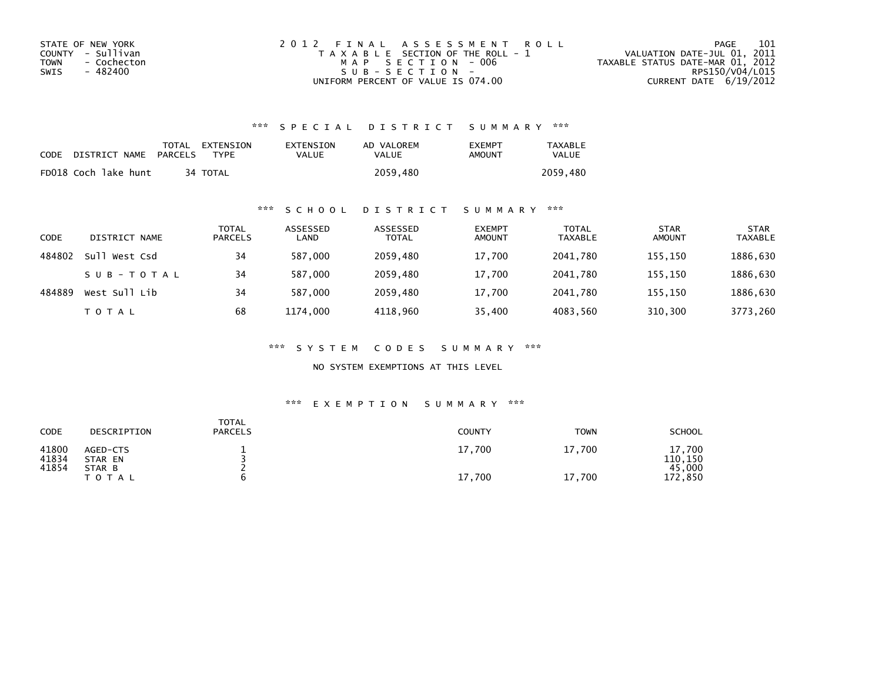| STATE OF NEW YORK   | 2012 FINAL ASSESSMENT ROLL            | 101<br>PAGE                      |
|---------------------|---------------------------------------|----------------------------------|
| COUNTY - Sullivan   | T A X A B L E SECTION OF THE ROLL - 1 | VALUATION DATE-JUL 01, 2011      |
| TOWN<br>- Cochecton | MAP SECTION - 006                     | TAXABLE STATUS DATE-MAR 01, 2012 |
| - 482400<br>SWIS    | SUB-SECTION-                          | RPS150/V04/L015                  |
|                     | UNIFORM PERCENT OF VALUE IS 074.00    | CURRENT DATE 6/19/2012           |

| CODE | DISTRICT NAME        | PARCELS | TOTAL EXTENSION<br><b>TYPF</b> | EXTENSION<br>VALUE | AD VALOREM<br>VALUE | <b>EXEMPT</b><br>AMOUNT | <b>TAXABLE</b><br><b>VALUE</b> |
|------|----------------------|---------|--------------------------------|--------------------|---------------------|-------------------------|--------------------------------|
|      | FD018 Coch lake hunt |         | 34 TOTAL                       |                    | 2059,480            |                         | 2059.480                       |

### \*\*\* S C H O O L D I S T R I C T S U M M A R Y \*\*\*

| CODE   | DISTRICT NAME | <b>TOTAL</b><br><b>PARCELS</b> | ASSESSED<br>LAND | ASSESSED<br><b>TOTAL</b> | <b>EXEMPT</b><br><b>AMOUNT</b> | <b>TOTAL</b><br><b>TAXABLE</b> | <b>STAR</b><br><b>AMOUNT</b> | <b>STAR</b><br><b>TAXABLE</b> |
|--------|---------------|--------------------------------|------------------|--------------------------|--------------------------------|--------------------------------|------------------------------|-------------------------------|
| 484802 | Sull West Csd | 34                             | 587.000          | 2059,480                 | 17,700                         | 2041.780                       | 155.150                      | 1886,630                      |
|        | SUB-TOTAL     | 34                             | 587.000          | 2059,480                 | 17,700                         | 2041.780                       | 155.150                      | 1886,630                      |
| 484889 | West Sull Lib | 34                             | 587,000          | 2059,480                 | 17,700                         | 2041.780                       | 155,150                      | 1886,630                      |
|        | <b>TOTAL</b>  | 68                             | 1174,000         | 4118,960                 | 35,400                         | 4083,560                       | 310,300                      | 3773,260                      |

\*\*\* S Y S T E M C O D E S S U M M A R Y \*\*\*

NO SYSTEM EXEMPTIONS AT THIS LEVEL

| CODE           | DESCRIPTION         | TOTAL<br><b>PARCELS</b> | <b>COUNTY</b> | <b>TOWN</b> | <b>SCHOOL</b>     |
|----------------|---------------------|-------------------------|---------------|-------------|-------------------|
| 41800<br>41834 | AGED-CTS<br>STAR EN |                         | 17,700        | 17.700      | 17,700<br>110,150 |
| 41854          | STAR B<br>T O T A L | h                       | 17,700        | 17,700      | 45.000<br>172,850 |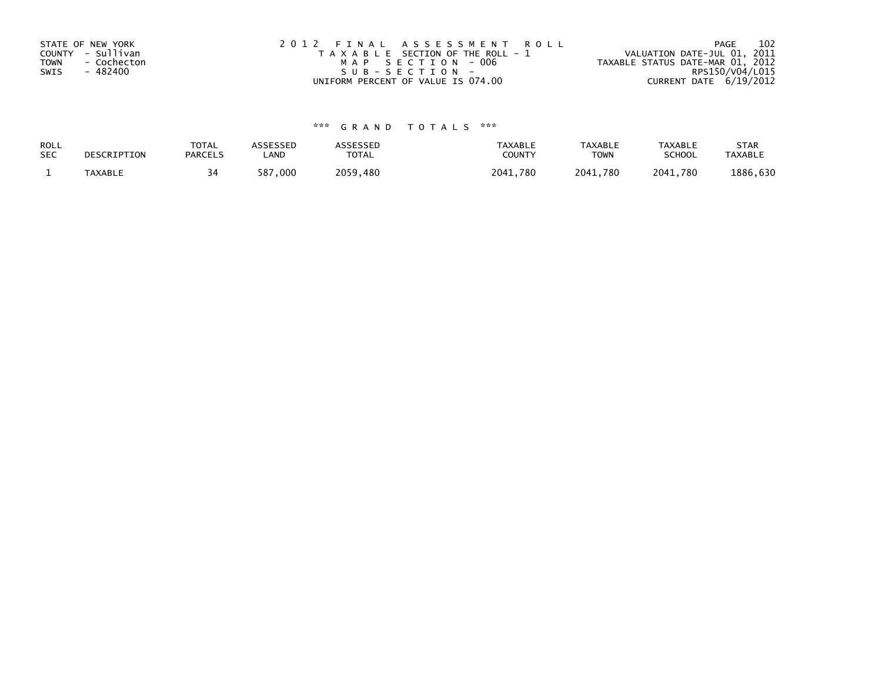| STATE OF NEW YORK<br>COUNTY - Sullivan<br><b>TOWN</b><br>- Cochecton<br>SWIS<br>- 482400 | 2012 FINAL ASSESSMENT ROLL<br>T A X A B L E SECTION OF THE ROLL - 1<br>MAP SECTION - 006<br>SUB-SECTION- | 102<br>PAGE<br>VALUATION DATE-JUL 01, 2011<br>TAXABLE STATUS DATE-MAR 01, 2012<br>RPS150/V04/L015 |
|------------------------------------------------------------------------------------------|----------------------------------------------------------------------------------------------------------|---------------------------------------------------------------------------------------------------|
|                                                                                          | UNIFORM PERCENT OF VALUE IS 074.00                                                                       | CURRENT DATE 6/19/2012                                                                            |

| ROLL       | DESCRIPTION    | <b>TOTAL</b>   | ASSESSED                 | <b>ASSESSED</b> | <b>TAXABLE</b> | <b>TAXABLE</b> | TAXABLE       | <b>STAR</b>    |
|------------|----------------|----------------|--------------------------|-----------------|----------------|----------------|---------------|----------------|
| <b>SEC</b> |                | <b>PARCELS</b> | LAND                     | TOTAL           | COUNT          | TOWN           | <b>SCHOOL</b> | <b>TAXABLE</b> |
|            | <b>TAXABLE</b> |                | $^{\prime}$ , 000<br>587 | 2059.480        | 2041.780       | 2041,780       | 2041,780      | 1886,630       |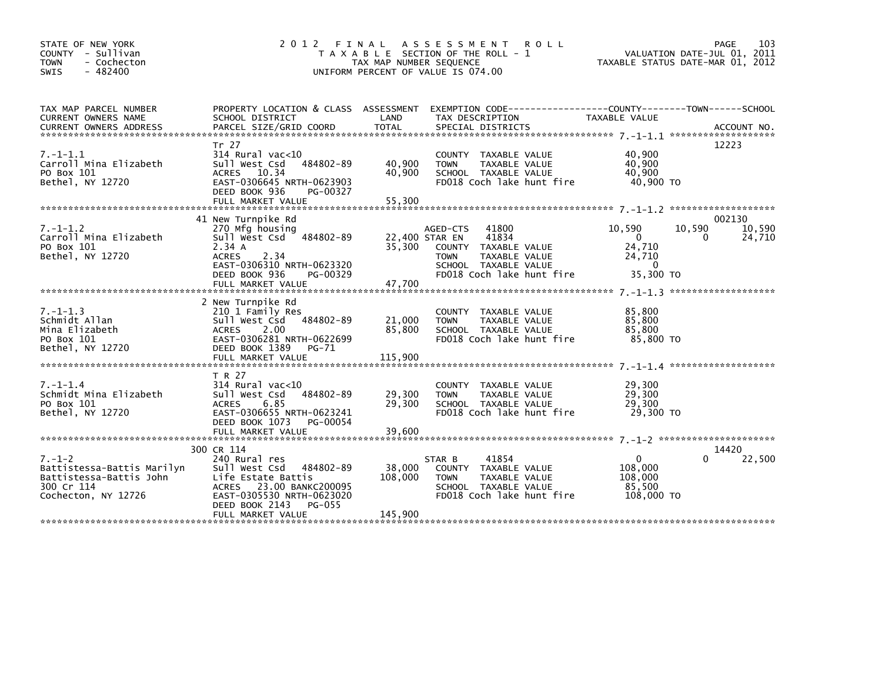| STATE OF NEW YORK<br>COUNTY - Sullivan<br>- Cochecton<br><b>TOWN</b><br>$-482400$<br><b>SWIS</b>           | 2012<br>FINAL                                                                                                                                                                         | TAX MAP NUMBER SEQUENCE      | A S S E S S M E N T<br><b>ROLL</b><br>T A X A B L E SECTION OF THE ROLL - 1<br>UNIFORM PERCENT OF VALUE IS 074.00                      |                                                        | PAGE<br>103<br>VALUATION DATE-JUL 01, 2011<br>TAXABLE STATUS DATE-MAR 01, 2012 |  |
|------------------------------------------------------------------------------------------------------------|---------------------------------------------------------------------------------------------------------------------------------------------------------------------------------------|------------------------------|----------------------------------------------------------------------------------------------------------------------------------------|--------------------------------------------------------|--------------------------------------------------------------------------------|--|
| TAX MAP PARCEL NUMBER<br>CURRENT OWNERS NAME                                                               | SCHOOL DISTRICT                                                                                                                                                                       | LAND                         | PROPERTY LOCATION & CLASS ASSESSMENT EXEMPTION CODE----------------COUNTY-------TOWN------SCHOOL<br>TAX DESCRIPTION                    | TAXABLE VALUE                                          |                                                                                |  |
| $7. - 1 - 1.1$<br>Carroll Mina Elizabeth<br>PO Box 101<br>Bethel, NY 12720                                 | Tr 27<br>314 Rural vac<10<br>sull west Csd<br>484802-89<br><b>ACRES</b><br>10.34<br>EAST-0306645 NRTH-0623903<br>DEED BOOK 936<br>PG-00327<br>FULL MARKET VALUE                       | 40,900<br>40,900<br>55,300   | COUNTY TAXABLE VALUE<br>TAXABLE VALUE<br><b>TOWN</b><br>SCHOOL TAXABLE VALUE<br>FD018 Coch lake hunt fire                              | 40,900<br>40,900<br>40,900<br>40,900 TO                | 12223                                                                          |  |
| $7. - 1 - 1.2$                                                                                             | 41 New Turnpike Rd<br>270 Mfg housing                                                                                                                                                 |                              | 41800<br>AGED-CTS                                                                                                                      | 10,590                                                 | 002130<br>10,590<br>10,590                                                     |  |
| Carroll Mina Elizabeth<br>PO Box 101<br>Bethel, NY 12720                                                   | Sull West Csd 484802-89<br>2.34 A<br><b>ACRES</b><br>2.34<br>EAST-0306310 NRTH-0623320<br>DEED BOOK 936<br>PG-00329                                                                   | 22,400 STAR EN<br>35,300     | 41834<br><b>COUNTY</b><br>TAXABLE VALUE<br>TAXABLE VALUE<br><b>TOWN</b><br>SCHOOL TAXABLE VALUE<br>FD018 Coch lake hunt fire           | $\Omega$<br>24,710<br>24,710<br>$\Omega$<br>35,300 TO  | 24,710<br>0                                                                    |  |
|                                                                                                            | 2 New Turnpike Rd                                                                                                                                                                     |                              |                                                                                                                                        |                                                        |                                                                                |  |
| $7. - 1 - 1.3$<br>Schmidt Allan<br>Mina Elizabeth<br>PO Box 101<br>Bethel, NY 12720                        | 210 1 Family Res<br>Sull West Csd 484802-89<br><b>ACRES</b><br>2.00<br>EAST-0306281 NRTH-0622699<br>DEED BOOK 1389<br>PG-71                                                           | 21,000<br>85,800             | <b>COUNTY</b><br>TAXABLE VALUE<br>TAXABLE VALUE<br><b>TOWN</b><br>SCHOOL TAXABLE VALUE<br>FD018 Coch lake hunt fire                    | 85,800<br>85,800<br>85,800<br>85,800 TO                |                                                                                |  |
|                                                                                                            | T R 27                                                                                                                                                                                |                              |                                                                                                                                        |                                                        |                                                                                |  |
| $7. - 1 - 1.4$<br>Schmidt Mina Elizabeth<br>PO Box 101<br>Bethel, NY 12720                                 | $314$ Rural vac<10<br>484802-89<br>Sull West Csd<br><b>ACRES</b><br>6.85<br>EAST-0306655 NRTH-0623241<br>DEED BOOK 1073<br>PG-00054                                                   | 29,300<br>29,300             | <b>COUNTY</b><br>TAXABLE VALUE<br><b>TAXABLE VALUE</b><br><b>TOWN</b><br>SCHOOL TAXABLE VALUE<br>FD018 Coch lake hunt fire             | 29,300<br>29,300<br>29,300<br>29,300 TO                |                                                                                |  |
|                                                                                                            | FULL MARKET VALUE                                                                                                                                                                     | 39.600                       |                                                                                                                                        |                                                        |                                                                                |  |
| $7. - 1 - 2$<br>Battistessa-Battis Marilyn<br>Battistessa-Battis John<br>300 Cr 114<br>Cochecton, NY 12726 | 300 CR 114<br>240 Rural res<br>Sull West Csd 484802-89<br>Life Estate Battis<br>ACRES 23.00 BANKC200095<br>EAST-0305530 NRTH-0623020<br>DEED BOOK 2143<br>PG-055<br>FULL MARKET VALUE | 38,000<br>108,000<br>145,900 | 41854<br>STAR B<br><b>COUNTY</b><br>TAXABLE VALUE<br><b>TOWN</b><br>TAXABLE VALUE<br>SCHOOL TAXABLE VALUE<br>FD018 Coch lake hunt fire | $\Omega$<br>108,000<br>108,000<br>85,500<br>108,000 TO | 14420<br>22,500<br>0                                                           |  |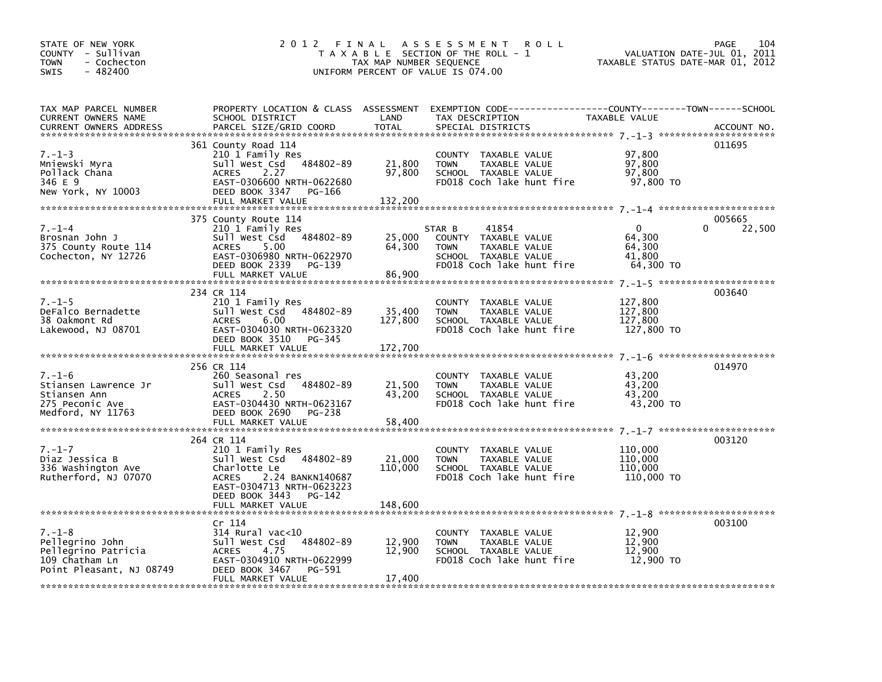| STATE OF NEW YORK<br>COUNTY - Sullivan<br>- Cochecton<br>TOWN<br>$-482400$<br>SWIS                   |                                                                                                                                                                                          | TAX MAP NUMBER SEQUENCE      | 2012 FINAL ASSESSMENT ROLL<br>T A X A B L E SECTION OF THE ROLL - 1<br>UNIFORM PERCENT OF VALUE IS 074.00                                | VALUATION DATE-JUL 01, 2011<br>TAXABLE STATUS DATE-MAR 01, 2012 | PAGE<br>104           |
|------------------------------------------------------------------------------------------------------|------------------------------------------------------------------------------------------------------------------------------------------------------------------------------------------|------------------------------|------------------------------------------------------------------------------------------------------------------------------------------|-----------------------------------------------------------------|-----------------------|
| TAX MAP PARCEL NUMBER<br>CURRENT OWNERS NAME<br><b>CURRENT OWNERS ADDRESS</b>                        | SCHOOL DISTRICT<br>PARCEL SIZE/GRID COORD                                                                                                                                                | LAND<br><b>TOTAL</b>         | PROPERTY LOCATION & CLASS ASSESSMENT EXEMPTION CODE----------------COUNTY-------TOWN------SCHOOL<br>TAX DESCRIPTION<br>SPECIAL DISTRICTS | TAXABLE VALUE                                                   | ACCOUNT NO.           |
| $7. - 1 - 3$<br>Mniewski Myra<br>Pollack Chana<br>346 E 9<br>New York, NY 10003                      | 361 County Road 114<br>210 1 Family Res<br>Sull West Csd 484802-89<br>2.27<br><b>ACRES</b><br>EAST-0306600 NRTH-0622680<br>DEED BOOK 3347<br>PG-166<br>FULL MARKET VALUE                 | 21,800<br>97,800<br>132,200  | COUNTY TAXABLE VALUE<br>TAXABLE VALUE<br><b>TOWN</b><br>SCHOOL TAXABLE VALUE<br>FD018 Coch lake hunt fire                                | 97,800<br>97,800<br>97,800<br>97,800 TO                         | 011695                |
| $7. - 1 - 4$<br>Brosnan John J<br>375 County Route 114<br>Cochecton, NY 12726                        | 375 County Route 114<br>210 1 Family Res<br>Sull West Csd 484802-89<br>5.00<br>ACRES<br>EAST-0306980 NRTH-0622970<br>DEED BOOK 2339<br>PG-139<br>FULL MARKET VALUE                       | 25,000<br>64,300<br>86,900   | STAR B<br>41854<br>COUNTY TAXABLE VALUE<br>TAXABLE VALUE<br><b>TOWN</b><br>SCHOOL TAXABLE VALUE<br>FD018 Coch lake hunt fire             | $\mathbf{0}$<br>64,300<br>64,300<br>41,800<br>64,300 TO         | 005665<br>0<br>22,500 |
| $7. - 1 - 5$<br>DeFalco Bernadette<br>38 Oakmont Rd<br>Lakewood, NJ 08701                            | 234 CR 114<br>210 1 Family Res<br>Sull West Csd 484802-89<br>6.00<br>ACRES<br>EAST-0304030 NRTH-0623320<br>DEED BOOK 3510<br>PG-345<br>FULL MARKET VALUE                                 | 35,400<br>127,800<br>172,700 | COUNTY TAXABLE VALUE<br><b>TOWN</b><br>TAXABLE VALUE<br>SCHOOL TAXABLE VALUE<br>FD018 Coch lake hunt fire                                | 127,800<br>127,800<br>127,800<br>127,800 TO                     | 003640                |
| $7. - 1 - 6$<br>Stiansen Lawrence Jr<br>Stiansen Ann<br>275 Peconic Ave<br>Medford, NY 11763         | 256 CR 114<br>260 Seasonal res<br>Sull West Csd 484802-89<br><b>ACRES</b><br>2.50<br>EAST-0304430 NRTH-0623167<br>DEED BOOK 2690<br>PG-238<br>FULL MARKET VALUE                          | 21,500<br>43,200<br>58,400   | COUNTY TAXABLE VALUE<br><b>TOWN</b><br>TAXABLE VALUE<br>SCHOOL TAXABLE VALUE<br>FD018 Coch lake hunt fire                                | 43,200<br>43,200<br>43,200<br>43,200 TO                         | 014970                |
| $7. - 1 - 7$<br>Diaz Jessica B<br>336 Washington Ave<br>Rutherford, NJ 07070                         | 264 CR 114<br>210 1 Family Res<br>Sull West Csd 484802-89<br>Charlotte Le<br>2.24 BANKN140687<br><b>ACRES</b><br>EAST-0304713 NRTH-0623223<br>DEED BOOK 3443 PG-142<br>FULL MARKET VALUE | 21,000<br>110,000<br>148,600 | COUNTY TAXABLE VALUE<br><b>TOWN</b><br>TAXABLE VALUE<br>SCHOOL TAXABLE VALUE<br>FD018 Coch lake hunt fire                                | 110,000<br>110,000<br>110,000<br>110,000 TO                     | 003120                |
| $7. - 1 - 8$<br>Pellegrino John<br>Pellegrino Patricia<br>109 Chatham Ln<br>Point Pleasant, NJ 08749 | Cr 114<br>$314$ Rural vac< $10$<br>484802-89<br>Sull West Csd<br>4.75<br><b>ACRES</b><br>EAST-0304910 NRTH-0622999<br>DEED BOOK 3467<br>PG-591<br>FULL MARKET VALUE                      | 12,900<br>12,900<br>17,400   | COUNTY TAXABLE VALUE<br>TAXABLE VALUE<br><b>TOWN</b><br>SCHOOL TAXABLE VALUE<br>FD018 Coch lake hunt fire                                | 12,900<br>12,900<br>12,900<br>12,900 TO                         | 003100                |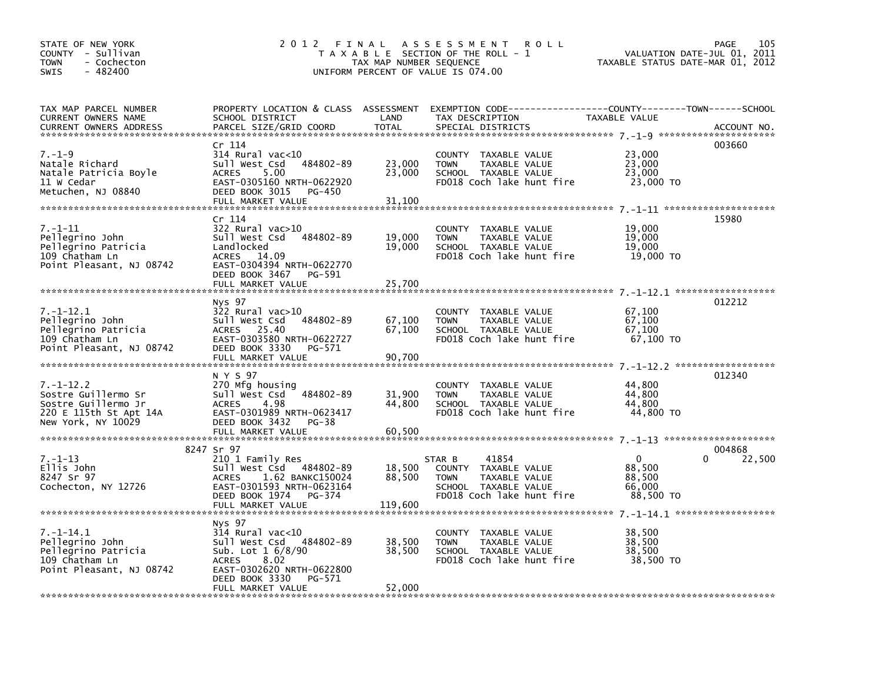| STATE OF NEW YORK<br>COUNTY - Sullivan<br>- Cochecton<br>TOWN<br>$-482400$<br><b>SWIS</b>                     | 2 0 1 2<br>FINAL ASSESSMENT<br>PAGE<br><b>ROLL</b><br>T A X A B L E SECTION OF THE ROLL - 1<br>VALUATION DATE-JUL 01,<br>TAXABLE STATUS DATE-MAR 01, 2012<br>TAX MAP NUMBER SEQUENCE<br>UNIFORM PERCENT OF VALUE IS 074.00 |                             |                                                                                                                                         |                                                        | 105<br>2011      |
|---------------------------------------------------------------------------------------------------------------|----------------------------------------------------------------------------------------------------------------------------------------------------------------------------------------------------------------------------|-----------------------------|-----------------------------------------------------------------------------------------------------------------------------------------|--------------------------------------------------------|------------------|
| TAX MAP PARCEL NUMBER<br>CURRENT OWNERS NAME<br><b>CURRENT OWNERS ADDRESS</b>                                 | SCHOOL DISTRICT<br>PARCEL SIZE/GRID COORD                                                                                                                                                                                  | LAND<br><b>TOTAL</b>        | PROPERTY LOCATION & CLASS ASSESSMENT EXEMPTION CODE---------------COUNTY-------TOWN------SCHOOL<br>TAX DESCRIPTION<br>SPECIAL DISTRICTS | TAXABLE VALUE                                          | ACCOUNT NO.      |
| $7. - 1 - 9$<br>Natale Richard<br>Natale Patricia Boyle<br>11 W Cedar<br>Metuchen, NJ 08840                   | Cr 114<br>$314$ Rural vac<10<br>484802-89<br>Sull West Csd<br>5.00<br><b>ACRES</b><br>EAST-0305160 NRTH-0622920<br>DEED BOOK 3015<br>PG-450<br>FULL MARKET VALUE                                                           | 23,000<br>23,000<br>31,100  | COUNTY TAXABLE VALUE<br>TAXABLE VALUE<br><b>TOWN</b><br>SCHOOL TAXABLE VALUE<br>FD018 Coch lake hunt fire                               | 23,000<br>23,000<br>23,000<br>23,000 TO                | 003660           |
| $7. - 1 - 11$<br>Pellegrino John<br>Pellegrino Patricia<br>109 Chatham Ln<br>Point Pleasant, NJ 08742         | Cr 114<br>322 Rural vac>10<br>sull west Csd<br>484802-89<br>Landlocked<br>ACRES 14.09<br>EAST-0304394 NRTH-0622770<br>DEED BOOK 3467 PG-591<br>FULL MARKET VALUE                                                           | 19,000<br>19,000<br>25,700  | COUNTY TAXABLE VALUE<br>TAXABLE VALUE<br><b>TOWN</b><br>SCHOOL TAXABLE VALUE<br>FD018 Coch lake hunt fire                               | 19,000<br>19,000<br>19,000<br>19,000 TO                | 15980            |
| $7. - 1 - 12.1$<br>Pellegrino John<br>Pellegrino Patricia<br>109 Chatham Ln<br>Point Pleasant, NJ 08742       | Nys 97<br>$322$ Rural vac $>10$<br>Sull West Csd<br>484802-89<br>ACRES 25.40<br>EAST-0303580 NRTH-0622727<br>DEED BOOK 3330<br>PG-571<br>FULL MARKET VALUE                                                                 | 67,100<br>67,100<br>90,700  | COUNTY TAXABLE VALUE<br>TAXABLE VALUE<br><b>TOWN</b><br>SCHOOL TAXABLE VALUE<br>FD018 Coch lake hunt fire                               | 67,100<br>67,100<br>67,100<br>67.100 TO                | 012212           |
| $7. - 1 - 12.2$<br>Sostre Guillermo Sr<br>Sostre Guillermo Jr<br>220 E 115th St Apt 14A<br>New York, NY 10029 | N Y S 97<br>270 Mfg housing<br>Sull West Csd<br>484802-89<br>4.98<br><b>ACRES</b><br>EAST-0301989 NRTH-0623417<br>DEED BOOK 3432<br>PG-38<br>FULL MARKET VALUE                                                             | 31,900<br>44,800<br>60,500  | COUNTY TAXABLE VALUE<br>TAXABLE VALUE<br><b>TOWN</b><br>SCHOOL TAXABLE VALUE<br>FD018 Coch lake hunt fire                               | 44,800<br>44,800<br>44.800<br>44,800 TO                | 012340           |
| $7. - 1 - 13$<br>Ellis John<br>8247 Sr 97<br>Cochecton, NY 12726                                              | 8247 Sr 97<br>210 1 Family Res<br>Sull West Csd 484802-89<br>1.62 BANKC150024<br>ACRES<br>EAST-0301593 NRTH-0623164<br>DEED BOOK 1974<br>PG-374<br>FULL MARKET VALUE                                                       | 18,500<br>88,500<br>119,600 | 41854<br>STAR B<br>COUNTY TAXABLE VALUE<br><b>TOWN</b><br>TAXABLE VALUE<br>SCHOOL TAXABLE VALUE<br>FD018 Coch lake hunt fire            | $\mathbf 0$<br>88,500<br>88,500<br>66,000<br>88,500 TO | 004868<br>22,500 |
| $7. - 1 - 14.1$<br>Pellegrino John<br>Pellegrino Patricia<br>109 Chatham Ln<br>Point Pleasant, NJ 08742       | Nys 97<br>$314$ Rural vac< $10$<br>Sull West Csd 484802-89<br>Sub. Lot $1\,6/8/90$<br>8.02<br><b>ACRES</b><br>EAST-0302620 NRTH-0622800<br>DEED BOOK 3330<br>PG-571<br>FULL MARKET VALUE                                   | 38,500<br>38,500<br>52,000  | COUNTY TAXABLE VALUE<br><b>TOWN</b><br>TAXABLE VALUE<br>SCHOOL TAXABLE VALUE<br>FD018 Coch lake hunt fire                               | 38,500<br>38,500<br>38,500<br>38,500 TO                |                  |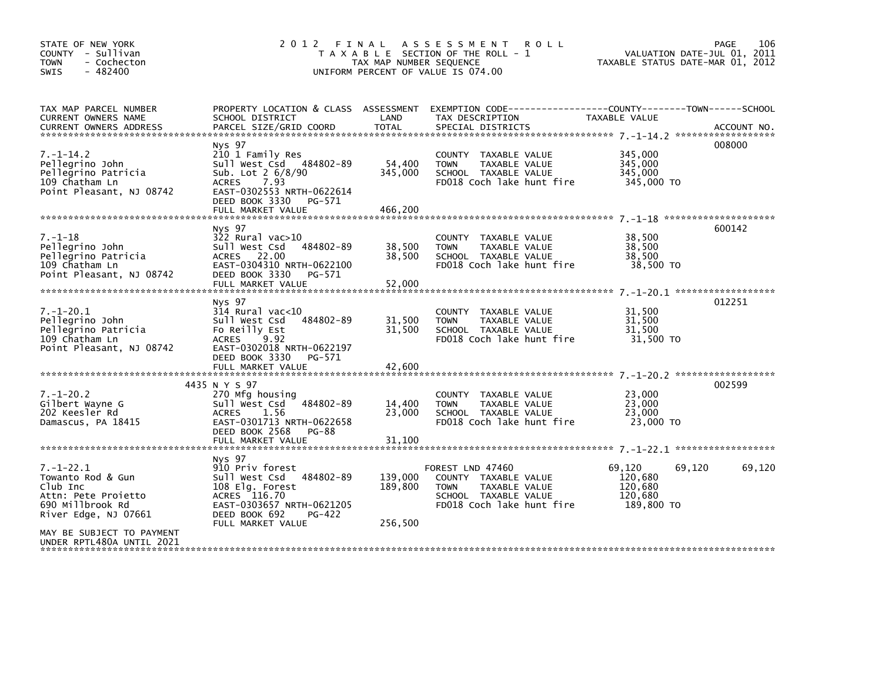| STATE OF NEW YORK<br>COUNTY - Sullivan<br>- Cochecton<br><b>TOWN</b><br>$-482400$<br><b>SWIS</b>                                                                              |                                                                                                                                                                                   | TAX MAP NUMBER SEQUENCE       | 2012 FINAL ASSESSMENT<br><b>ROLL</b><br>T A X A B L E SECTION OF THE ROLL - 1<br>UNIFORM PERCENT OF VALUE IS 074.00           | VALUATION DATE-JUL 01, 2011<br>TAXABLE STATUS DATE-MAR 01, 2012 | 106<br>PAGE |
|-------------------------------------------------------------------------------------------------------------------------------------------------------------------------------|-----------------------------------------------------------------------------------------------------------------------------------------------------------------------------------|-------------------------------|-------------------------------------------------------------------------------------------------------------------------------|-----------------------------------------------------------------|-------------|
| TAX MAP PARCEL NUMBER<br>CURRENT OWNERS NAME<br><b>CURRENT OWNERS ADDRESS</b>                                                                                                 | PROPERTY LOCATION & CLASS ASSESSMENT<br>SCHOOL DISTRICT<br>PARCEL SIZE/GRID COORD                                                                                                 | LAND<br><b>TOTAL</b>          | EXEMPTION CODE-----------------COUNTY-------TOWN------SCHOOL<br>TAX DESCRIPTION<br>SPECIAL DISTRICTS                          | TAXABLE VALUE                                                   | ACCOUNT NO. |
| $7. - 1 - 14.2$<br>Pellegrino John<br>Pellegrino Patricia<br>109 Chatham Ln<br>Point Pleasant, NJ 08742                                                                       | Nys 97<br>210 1 Family Res<br>Sull West Csd 484802-89<br>Sub. Lot 2 6/8/90<br><b>ACRES</b><br>7.93<br>EAST-0302553 NRTH-0622614<br>DEED BOOK 3330<br>PG-571<br>FULL MARKET VALUE  | 54,400<br>345,000<br>466,200  | COUNTY TAXABLE VALUE<br><b>TOWN</b><br>TAXABLE VALUE<br>SCHOOL TAXABLE VALUE<br>FD018 Coch lake hunt fire                     | 345,000<br>345,000<br>345,000<br>345,000 TO                     | 008000      |
| $7. - 1 - 18$<br>Pellegrino John<br>Pellegrino Patricia<br>109 Chatham Ln<br>Point Pleasant, NJ 08742                                                                         | Nys 97<br>$322$ Rural vac $>10$<br>484802-89<br>Sull West Csd<br>22.00<br><b>ACRES</b><br>EAST-0304310 NRTH-0622100<br>DEED BOOK 3330<br>PG-571<br>FULL MARKET VALUE              | 38,500<br>38,500<br>52,000    | COUNTY TAXABLE VALUE<br><b>TOWN</b><br>TAXABLE VALUE<br>SCHOOL TAXABLE VALUE<br>FD018 Coch lake hunt fire                     | 38,500<br>38,500<br>38,500<br>38,500 TO                         | 600142      |
| $7. - 1 - 20.1$<br>Pellegrino John<br>Pellegrino Patricia<br>109 Chatham Ln<br>Point Pleasant, NJ 08742                                                                       | Nys 97<br>$314$ Rural vac<10<br>Sull West Csd<br>484802-89<br>Fo Reilly Est<br><b>ACRES</b><br>9.92<br>EAST-0302018 NRTH-0622197<br>DEED BOOK 3330<br>PG-571<br>FULL MARKET VALUE | 31,500<br>31,500<br>42,600    | <b>COUNTY</b><br>TAXABLE VALUE<br>TAXABLE VALUE<br><b>TOWN</b><br>SCHOOL TAXABLE VALUE<br>FD018 Coch lake hunt fire           | 31,500<br>31,500<br>31,500<br>31,500 TO                         | 012251      |
| $7. - 1 - 20.2$<br>Gilbert Wayne G<br>202 Keesler Rd<br>Damascus, PA 18415                                                                                                    | 4435 N Y S 97<br>270 Mfg housing<br>Sull West Csd 484802-89<br><b>ACRES</b><br>1.56<br>EAST-0301713 NRTH-0622658<br>DEED BOOK 2568<br><b>PG-88</b><br>FULL MARKET VALUE           | 14,400<br>23,000<br>31,100    | COUNTY TAXABLE VALUE<br>TAXABLE VALUE<br><b>TOWN</b><br>SCHOOL TAXABLE VALUE<br>FD018 Coch lake hunt fire                     | 23,000<br>23,000<br>23,000<br>23,000 TO                         | 002599      |
| $7. - 1 - 22.1$<br>Towanto Rod & Gun<br>Club Inc<br>Attn: Pete Projetto<br>690 Millbrook Rd<br>River Edge, NJ 07661<br>MAY BE SUBJECT TO PAYMENT<br>UNDER RPTL480A UNTIL 2021 | Nys 97<br>910 Priv forest<br>Sull West Csd 484802-89<br>108 Elg. Forest<br>ACRES 116.70<br>EAST-0303657 NRTH-0621205<br>DEED BOOK 692<br>PG-422<br>FULL MARKET VALUE              | 139,000<br>189,800<br>256,500 | FOREST LND 47460<br>COUNTY TAXABLE VALUE<br>TAXABLE VALUE<br><b>TOWN</b><br>SCHOOL TAXABLE VALUE<br>FD018 Coch lake hunt fire | 69,120<br>69,120<br>120,680<br>120,680<br>120.680<br>189,800 TO | 69,120      |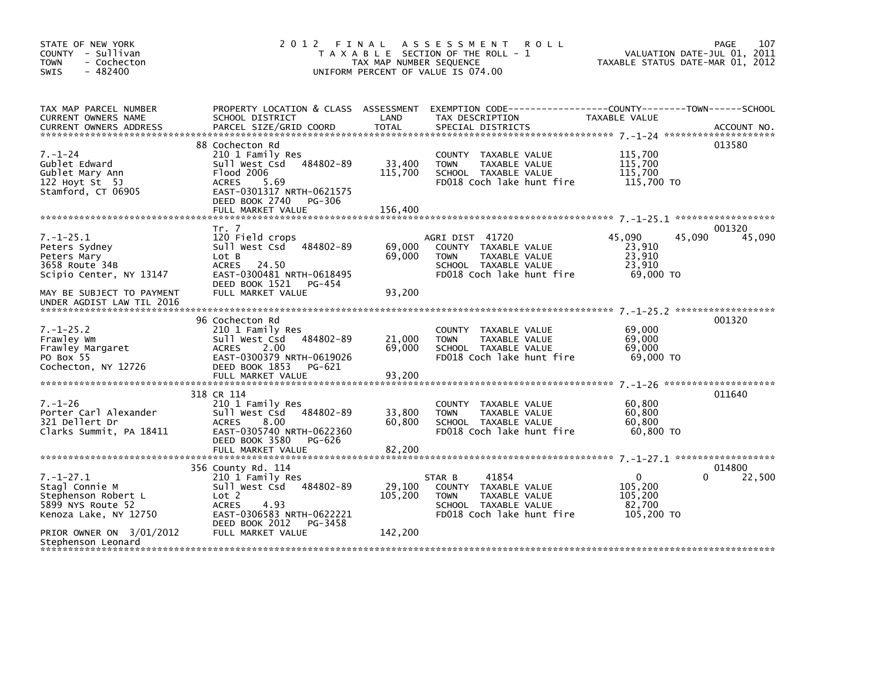| STATE OF NEW YORK<br>COUNTY - Sullivan<br><b>TOWN</b><br>- Cochecton<br>$-482400$<br><b>SWIS</b>       | 2 0 1 2                                                                                                                                                                               | FINAL<br>TAX MAP NUMBER SEQUENCE | A S S E S S M E N T<br><b>ROLL</b><br>T A X A B L E SECTION OF THE ROLL - 1<br>UNIFORM PERCENT OF VALUE IS 074.00            | TAXABLE STATUS DATE-MAR 01, 2012                            | 107<br><b>PAGE</b><br>VALUATION DATE-JUL 01, 2011 |
|--------------------------------------------------------------------------------------------------------|---------------------------------------------------------------------------------------------------------------------------------------------------------------------------------------|----------------------------------|------------------------------------------------------------------------------------------------------------------------------|-------------------------------------------------------------|---------------------------------------------------|
| TAX MAP PARCEL NUMBER<br>CURRENT OWNERS NAME                                                           | PROPERTY LOCATION & CLASS ASSESSMENT<br>SCHOOL DISTRICT                                                                                                                               | LAND                             | EXEMPTION CODE------------------COUNTY--------TOWN------SCHOOL<br>TAX DESCRIPTION                                            | TAXABLE VALUE                                               |                                                   |
| $7. - 1 - 24$<br>Gublet Edward<br>Gublet Mary Ann<br>122 Hoyt St 5J<br>Stamford, CT 06905              | 88 Cochecton Rd<br>210 1 Family Res<br>484802-89<br>Sull West Csd<br>Flood 2006<br><b>ACRES</b><br>5.69<br>EAST-0301317 NRTH-0621575<br>DEED BOOK 2740<br>PG-306<br>FULL MARKET VALUE | 33,400<br>115,700<br>156,400     | COUNTY TAXABLE VALUE<br>TAXABLE VALUE<br><b>TOWN</b><br>SCHOOL TAXABLE VALUE<br>FD018 Coch lake hunt fire                    | 115,700<br>115,700<br>115,700<br>115,700 TO                 | 013580                                            |
|                                                                                                        |                                                                                                                                                                                       |                                  |                                                                                                                              |                                                             | 001320                                            |
| $7. - 1 - 25.1$<br>Peters Sydney<br>Peters Mary<br>3658 Route 34B<br>Scipio Center, NY 13147           | Tr. 7<br>120 Field crops<br>Sull West Csd 484802-89<br>Lot B<br>24.50<br><b>ACRES</b><br>EAST-0300481 NRTH-0618495                                                                    | 69,000<br>69,000                 | AGRI DIST 41720<br>COUNTY TAXABLE VALUE<br><b>TOWN</b><br>TAXABLE VALUE<br>SCHOOL TAXABLE VALUE<br>FD018 Coch lake hunt fire | 45.090<br>45,090<br>23,910<br>23,910<br>23.910<br>69,000 TO | 45,090                                            |
| MAY BE SUBJECT TO PAYMENT<br>UNDER AGDIST LAW TIL 2016                                                 | DEED BOOK 1521<br>PG-454<br>FULL MARKET VALUE                                                                                                                                         | 93,200                           |                                                                                                                              |                                                             |                                                   |
| $7. - 1 - 25.2$<br>Frawley Wm<br>Frawley Margaret<br>PO Box 55<br>Cochecton, NY 12726                  | 96 Cochecton Rd<br>210 1 Family Res<br>Sull West Csd<br>484802-89<br><b>ACRES</b><br>2.00<br>EAST-0300379 NRTH-0619026<br>DEED BOOK 1853<br>PG-621                                    | 21,000<br>69.000                 | COUNTY TAXABLE VALUE<br><b>TOWN</b><br>TAXABLE VALUE<br>SCHOOL TAXABLE VALUE<br>FD018 Coch lake hunt fire                    | 69,000<br>69,000<br>69,000<br>69,000 TO                     | 001320                                            |
|                                                                                                        | FULL MARKET VALUE                                                                                                                                                                     | 93,200                           |                                                                                                                              |                                                             |                                                   |
| $7. - 1 - 26$<br>Porter Carl Alexander<br>321 Dellert Dr<br>Clarks Summit, PA 18411                    | 318 CR 114<br>210 1 Family Res<br>Sull West Csd<br>484802-89<br><b>ACRES</b><br>8.00<br>EAST-0305740 NRTH-0622360<br>DEED BOOK 3580<br>PG-626<br>FULL MARKET VALUE                    | 33,800<br>60,800<br>82,200       | COUNTY<br>TAXABLE VALUE<br>TAXABLE VALUE<br><b>TOWN</b><br>SCHOOL TAXABLE VALUE<br>FD018 Coch lake hunt fire                 | 60,800<br>60,800<br>60,800<br>60.800 TO                     | 011640                                            |
|                                                                                                        | 356 County Rd. 114                                                                                                                                                                    |                                  |                                                                                                                              |                                                             | 014800                                            |
| $7. - 1 - 27.1$<br>Stagl Connie M<br>Stephenson Robert L<br>5899 NYS Route 52<br>Kenoza Lake, NY 12750 | 210 1 Family Res<br>Sull West Csd<br>484802-89<br>Lot 2<br><b>ACRES</b><br>4.93<br>EAST-0306583 NRTH-0622221<br>DEED BOOK 2012<br>PG-3458                                             | 29,100<br>105,200                | 41854<br>STAR B<br>COUNTY TAXABLE VALUE<br>TAXABLE VALUE<br><b>TOWN</b><br>SCHOOL TAXABLE VALUE<br>FD018 Coch lake hunt fire | $\mathbf{0}$<br>105,200<br>105,200<br>82,700<br>105,200 TO  | 22,500                                            |
| PRIOR OWNER ON 3/01/2012<br>Stephenson Leonard                                                         | FULL MARKET VALUE                                                                                                                                                                     | 142.200                          |                                                                                                                              |                                                             |                                                   |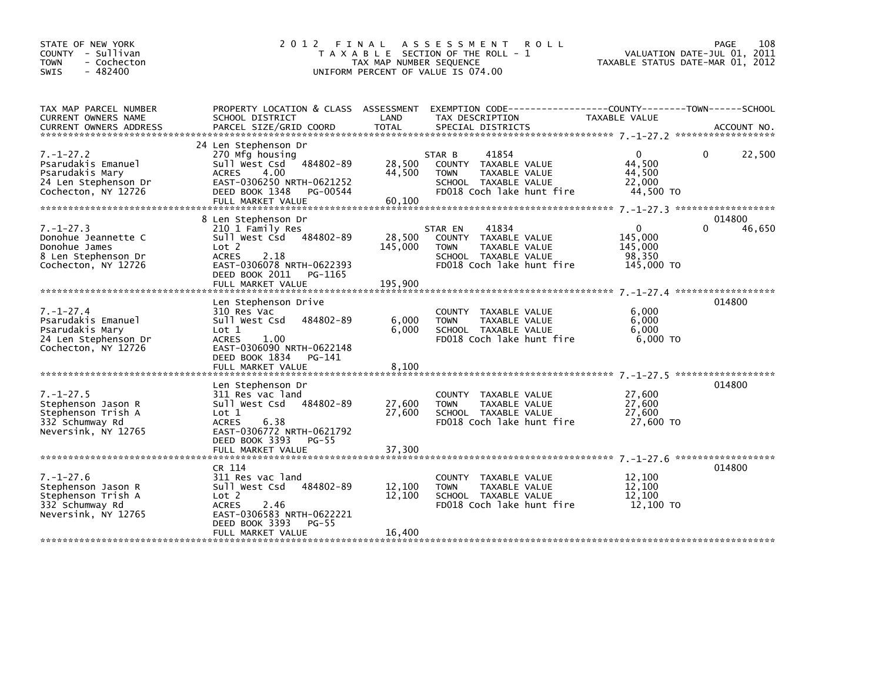| STATE OF NEW YORK<br>COUNTY - Sullivan<br>- Cochecton<br><b>TOWN</b><br>$-482400$<br>SWIS               |                                                                                                                                                                                           | TAX MAP NUMBER SEQUENCE      | 2012 FINAL ASSESSMENT<br><b>ROLL</b><br>T A X A B L E SECTION OF THE ROLL - 1<br>UNIFORM PERCENT OF VALUE IS 074.00           | VALUATION DATE-JUL 01, 2011<br>TAXABLE STATUS DATE-MAR 01, 2012 | 108<br><b>PAGE</b>           |
|---------------------------------------------------------------------------------------------------------|-------------------------------------------------------------------------------------------------------------------------------------------------------------------------------------------|------------------------------|-------------------------------------------------------------------------------------------------------------------------------|-----------------------------------------------------------------|------------------------------|
| TAX MAP PARCEL NUMBER<br>CURRENT OWNERS NAME                                                            | SCHOOL DISTRICT                                                                                                                                                                           | LAND                         | PROPERTY LOCATION & CLASS ASSESSMENT EXEMPTION CODE---------------COUNTY-------TOWN-----SCHOOL<br>TAX DESCRIPTION             | TAXABLE VALUE                                                   |                              |
| $7. - 1 - 27.2$<br>Psarudakis Emanuel<br>Psarudakis Mary<br>24 Len Stephenson Dr<br>Cochecton, NY 12726 | 24 Len Stephenson Dr<br>270 Mfg housing<br>484802-89<br>Sull West Csd<br><b>ACRES</b><br>4.00<br>EAST-0306250 NRTH-0621252<br>DEED BOOK 1348<br>PG-00544<br>FULL MARKET VALUE             | 28,500<br>44,500<br>60,100   | 41854<br>STAR B<br>COUNTY TAXABLE VALUE<br><b>TOWN</b><br>TAXABLE VALUE<br>SCHOOL TAXABLE VALUE<br>FD018 Coch lake hunt fire  | $\Omega$<br>44,500<br>44,500<br>22,000<br>44,500 TO             | 22,500<br>0                  |
| $7. - 1 - 27.3$<br>Donohue Jeannette C<br>Donohue James<br>8 Len Stephenson Dr<br>Cochecton, NY 12726   | 8 Len Stephenson Dr<br>210 1 Family Res<br>Sull West Csd<br>484802-89<br>Lot 2<br><b>ACRES</b><br>2.18<br>EAST-0306078 NRTH-0622393<br>DEED BOOK 2011<br>PG-1165<br>FULL MARKET VALUE     | 28,500<br>145,000<br>195,900 | 41834<br>STAR EN<br>COUNTY TAXABLE VALUE<br><b>TOWN</b><br>TAXABLE VALUE<br>SCHOOL TAXABLE VALUE<br>FD018 Coch lake hunt fire | $\Omega$<br>145.000<br>145,000<br>98,350<br>145,000 TO          | 014800<br>$\Omega$<br>46,650 |
| $7. - 1 - 27.4$<br>Psarudakis Emanuel<br>Psarudakis Mary<br>24 Len Stephenson Dr<br>Cochecton, NY 12726 | Len Stephenson Drive<br>310 Res Vac<br>Sull West Csd<br>484802-89<br>$\text{Lot} 1$<br><b>ACRES</b><br>1.00<br>EAST-0306090 NRTH-0622148<br>DEED BOOK 1834<br>PG-141<br>FULL MARKET VALUE | 6,000<br>6,000<br>8,100      | COUNTY TAXABLE VALUE<br><b>TOWN</b><br>TAXABLE VALUE<br>SCHOOL TAXABLE VALUE<br>FD018 Coch lake hunt fire                     | 6,000<br>6,000<br>6.000<br>$6.000$ TO                           | 014800                       |
| $7. - 1 - 27.5$<br>Stephenson Jason R<br>Stephenson Trish A<br>332 Schumway Rd<br>Neversink, NY 12765   | Len Stephenson Dr<br>311 Res vac land<br>Sull West Csd 484802-89<br>Lot 1<br><b>ACRES</b><br>6.38<br>EAST-0306772 NRTH-0621792<br>DEED BOOK 3393<br>PG-55<br>FULL MARKET VALUE            | 27,600<br>27,600<br>37,300   | COUNTY TAXABLE VALUE<br><b>TOWN</b><br>TAXABLE VALUE<br>SCHOOL TAXABLE VALUE<br>FD018 Coch lake hunt fire                     | 27,600<br>27,600<br>27,600<br>27,600 TO                         | 014800                       |
| $7. - 1 - 27.6$<br>Stephenson Jason R<br>Stephenson Trish A<br>332 Schumway Rd<br>Neversink, NY 12765   | CR 114<br>311 Res vac land<br>Sull West Csd<br>484802-89<br>Lot 2<br><b>ACRES</b><br>2.46<br>EAST-0306583 NRTH-0622221<br>DEED BOOK 3393<br><b>PG-55</b><br>FULL MARKET VALUE             | 12,100<br>12,100<br>16,400   | COUNTY TAXABLE VALUE<br><b>TOWN</b><br>TAXABLE VALUE<br>SCHOOL TAXABLE VALUE<br>FD018 Coch lake hunt fire                     | 12,100<br>12.100<br>12,100<br>12,100 TO                         | 014800                       |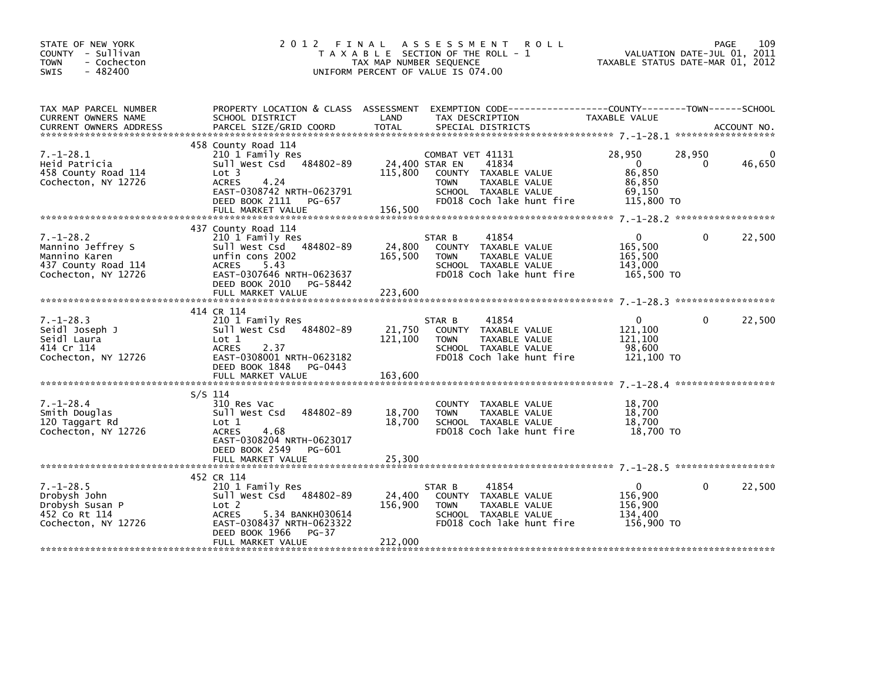| STATE OF NEW YORK<br>COUNTY - Sullivan<br><b>TOWN</b><br>- Cochecton<br>$-482400$<br><b>SWIS</b>    | 2012 FINAL                                                                                                                                                                          | A S S E S S M E N T<br><b>ROLL</b><br>T A X A B L E SECTION OF THE ROLL - 1<br>TAX MAP NUMBER SEQUENCE<br>UNIFORM PERCENT OF VALUE IS 074.00                                                                                                             | 109<br>PAGE<br>VALUATION DATE-JUL 01, 2011<br>TAXABLE STATUS DATE-MAR 01, 2012                |
|-----------------------------------------------------------------------------------------------------|-------------------------------------------------------------------------------------------------------------------------------------------------------------------------------------|----------------------------------------------------------------------------------------------------------------------------------------------------------------------------------------------------------------------------------------------------------|-----------------------------------------------------------------------------------------------|
| TAX MAP PARCEL NUMBER<br>CURRENT OWNERS NAME                                                        | PROPERTY LOCATION & CLASS ASSESSMENT<br>SCHOOL DISTRICT                                                                                                                             | LAND<br>TAX DESCRIPTION<br>.CURRENT OWNERS ADDRESS PARCEL SIZE/GRID COORD TOTAL SPECIAL DISTRICTS AND MELLE ACCOUNT NO ACCOUNT NO AND A ACCOUNT NO A SERVER AND RESERVE TO A A SERVER AND RESERVE TO A SERVER AND RESERVE TO A SERVER AND THE RESERVE TO | EXEMPTION CODE-----------------COUNTY-------TOWN------SCHOOL<br>TAXABLE VALUE                 |
| $7. - 1 - 28.1$<br>Heid Patricia<br>458 County Road 114<br>Cochecton, NY 12726                      | 458 County Road 114<br>210 1 Family Res<br>Sull West Csd 484802-89<br>Lot 3<br>4.24<br>ACRES<br>EAST-0308742 NRTH-0623791<br>DEED BOOK 2111 PG-657<br>FULL MARKET VALUE             | COMBAT VET 41131<br>24,400 STAR EN<br>41834<br>115,800<br>COUNTY TAXABLE VALUE<br>TAXABLE VALUE<br><b>TOWN</b><br>SCHOOL TAXABLE VALUE<br>FD018 Coch lake hunt fire<br>156,500                                                                           | 28,950<br>28,950<br>46,650<br>$\overline{0}$<br>0<br>86,850<br>86,850<br>69,150<br>115,800 TO |
| $7. - 1 - 28.2$<br>Mannino Jeffrey S<br>Mannino Karen<br>437 County Road 114<br>Cochecton, NY 12726 | 437 County Road 114<br>210 1 Family Res<br>Sull West Csd 484802-89<br>unfin cons 2002<br>ACRES<br>5.43<br>EAST-0307646 NRTH-0623637<br>DEED BOOK 2010 PG-58442<br>FULL MARKET VALUE | 41854<br>STAR B<br>24,800<br>COUNTY TAXABLE VALUE<br>165,500<br><b>TOWN</b><br>TAXABLE VALUE<br>SCHOOL TAXABLE VALUE<br>FD018 Coch lake hunt fire<br>223,600                                                                                             | 22,500<br>$\overline{0}$<br>$\Omega$<br>165,500<br>165,500<br>143,000<br>165,500 TO           |
| $7. - 1 - 28.3$<br>Seidl Joseph J<br>Seidl Laura<br>414 Cr 114<br>Cochecton, NY 12726               | 414 CR 114<br>210 1 Family Res<br>Sull West Csd 484802-89<br>Lot 1<br>2.37<br><b>ACRES</b><br>EAST-0308001 NRTH-0623182<br>DEED BOOK 1848 PG-0443<br>FULL MARKET VALUE              | 41854<br>STAR B<br>21,750<br>COUNTY TAXABLE VALUE<br>121,100<br>TAXABLE VALUE<br><b>TOWN</b><br>SCHOOL TAXABLE VALUE<br>FD018 Coch lake hunt fire<br>163,600                                                                                             | 22,500<br>$\Omega$<br>$\Omega$<br>121,100<br>121,100<br>98,600<br>121,100 TO                  |
| $7. - 1 - 28.4$<br>Smith Douglas<br>120 Taggart Rd<br>Cochecton, NY 12726                           | $S/S$ 114<br>310 Res Vac<br>484802-89<br>Sull West Csd<br>Lot 1<br><b>ACRES</b><br>4.68<br>EAST-0308204 NRTH-0623017<br>DEED BOOK 2549<br>PG-601                                    | COUNTY TAXABLE VALUE<br>18,700<br><b>TOWN</b><br>TAXABLE VALUE<br>18,700<br>SCHOOL TAXABLE VALUE<br>FD018 Coch lake hunt fire                                                                                                                            | 18,700<br>18,700<br>18,700<br>18,700 TO                                                       |
| $7. - 1 - 28.5$<br>Drobysh John<br>Drobysh Susan P<br>452 Co Rt 114<br>Cochecton, NY 12726          | 452 CR 114<br>210 1 Family Res<br>Sull West Csd 484802-89<br>Lot 2<br>5.34 BANKH030614<br><b>ACRES</b><br>EAST-0308437 NRTH-0623322<br>DEED BOOK 1966<br>PG-37<br>FULL MARKET VALUE | STAR B<br>41854<br>24,400<br>COUNTY TAXABLE VALUE<br>156,900<br>TAXABLE VALUE<br><b>TOWN</b><br>SCHOOL TAXABLE VALUE<br>FD018 Coch lake hunt fire<br>212,000                                                                                             | $\Omega$<br>22,500<br>$\mathbf{0}$<br>156,900<br>156,900<br>134.400<br>156,900 TO             |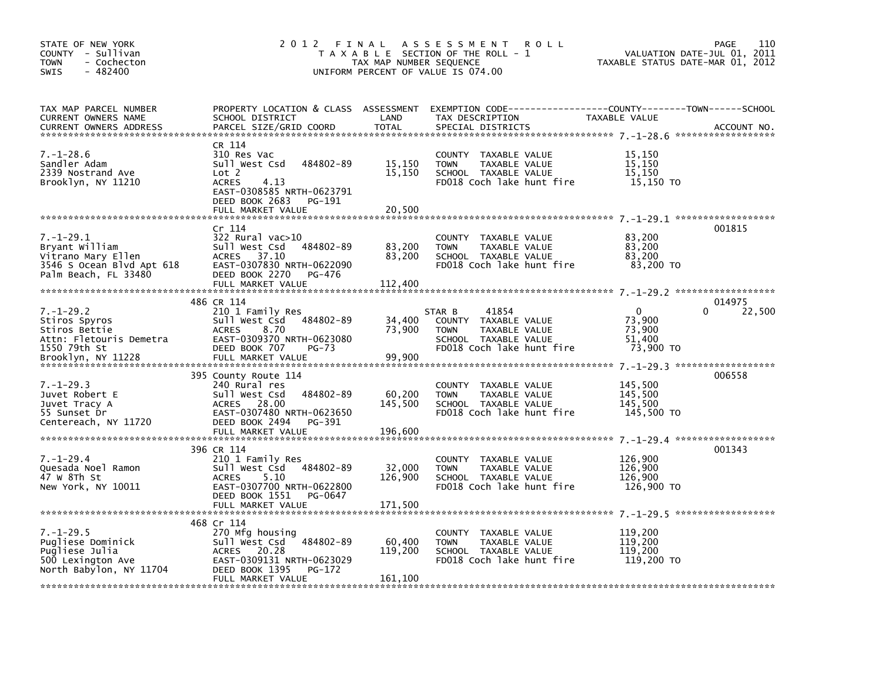| STATE OF NEW YORK<br>COUNTY - Sullivan<br><b>TOWN</b><br>- Cochecton<br>SWIS<br>$-482400$                    | 2 0 1 2<br>FINAL                                                                                                                                                     | TAX MAP NUMBER SEQUENCE      | A S S E S S M E N T<br><b>ROLL</b><br>T A X A B L E SECTION OF THE ROLL - 1<br>UNIFORM PERCENT OF VALUE IS 074.00                        | TAXABLE STATUS DATE-MAR 01, 2012                       | 110<br>PAGE<br>VALUATION DATE-JUL 01, 2011 |
|--------------------------------------------------------------------------------------------------------------|----------------------------------------------------------------------------------------------------------------------------------------------------------------------|------------------------------|------------------------------------------------------------------------------------------------------------------------------------------|--------------------------------------------------------|--------------------------------------------|
| TAX MAP PARCEL NUMBER<br><b>CURRENT OWNERS NAME</b><br><b>CURRENT OWNERS ADDRESS</b>                         | SCHOOL DISTRICT<br>PARCEL SIZE/GRID COORD                                                                                                                            | LAND<br><b>TOTAL</b>         | PROPERTY LOCATION & CLASS ASSESSMENT EXEMPTION CODE----------------COUNTY-------TOWN------SCHOOL<br>TAX DESCRIPTION<br>SPECIAL DISTRICTS | TAXABLE VALUE                                          | ACCOUNT NO.                                |
| $7. - 1 - 28.6$<br>Sandler Adam<br>2339 Nostrand Ave<br>Brooklyn, NY 11210                                   | CR 114<br>310 Res Vac<br>484802-89<br>Sull West Csd<br>Lot 2<br><b>ACRES</b><br>4.13<br>EAST-0308585 NRTH-0623791<br>DEED BOOK 2683<br>PG-191<br>FULL MARKET VALUE   | 15,150<br>15,150<br>20,500   | COUNTY TAXABLE VALUE<br>TAXABLE VALUE<br><b>TOWN</b><br>SCHOOL TAXABLE VALUE<br>FD018 Coch lake hunt fire                                | 15,150<br>15,150<br>15,150<br>15,150 TO                |                                            |
| $7. - 1 - 29.1$<br>Bryant William<br>Vitrano Mary Ellen<br>3546 S Ocean Blvd Apt 618<br>Palm Beach, FL 33480 | Cr 114<br>$322$ Rural vac $>10$<br>484802-89<br>Sull West Csd<br><b>ACRES</b><br>37.10<br>EAST-0307830 NRTH-0622090<br>DEED BOOK 2270<br>PG-476<br>FULL MARKET VALUE | 83,200<br>83,200<br>112,400  | COUNTY TAXABLE VALUE<br>TAXABLE VALUE<br><b>TOWN</b><br>SCHOOL TAXABLE VALUE<br>FD018 Coch lake hunt fire                                | 83,200<br>83,200<br>83,200<br>83,200 TO                | 001815                                     |
| $7. - 1 - 29.2$<br>Stiros Spyros<br>Stiros Bettie<br>Attn: Fletouris Demetra<br>1550 79th St                 | 486 CR 114<br>210 1 Family Res<br>Sull West Csd<br>484802-89<br><b>ACRES</b><br>8.70<br>EAST-0309370 NRTH-0623080<br>DEED BOOK 707<br>$PG-73$                        | 34,400<br>73,900             | 41854<br>STAR B<br>COUNTY TAXABLE VALUE<br><b>TOWN</b><br>TAXABLE VALUE<br>SCHOOL TAXABLE VALUE<br>FD018 Coch lake hunt fire             | $\mathbf 0$<br>73,900<br>73,900<br>51,400<br>73,900 TO | 014975<br>22,500<br>0                      |
| $7. - 1 - 29.3$<br>Juvet Robert E<br>Juvet Tracy A<br>55 Sunset Dr<br>Centereach, NY 11720                   | 395 County Route 114<br>240 Rural res<br>Sull West Csd<br>484802-89<br>ACRES 28.00<br>EAST-0307480 NRTH-0623650<br>DEED BOOK 2494<br>PG-391<br>FULL MARKET VALUE     | 60,200<br>145,500<br>196,600 | COUNTY TAXABLE VALUE<br><b>TOWN</b><br>TAXABLE VALUE<br>SCHOOL TAXABLE VALUE<br>FD018 Coch lake hunt fire                                | 145,500<br>145,500<br>145.500<br>145,500 TO            | 006558                                     |
| $7. - 1 - 29.4$<br>Quesada Noel Ramon<br>47 W 8Th St<br>New York, NY 10011                                   | 396 CR 114<br>210 1 Family Res<br>484802-89<br>Sull West Csd<br><b>ACRES</b><br>5.10<br>EAST-0307700 NRTH-0622800<br>DEED BOOK 1551<br>PG-0647<br>FULL MARKET VALUE  | 32,000<br>126,900<br>171,500 | <b>COUNTY</b><br>TAXABLE VALUE<br>TAXABLE VALUE<br><b>TOWN</b><br>SCHOOL TAXABLE VALUE<br>FD018 Coch lake hunt fire                      | 126,900<br>126,900<br>126,900<br>126,900 TO            | 001343                                     |
| $7. - 1 - 29.5$<br>Pugliese Dominick<br>Pugliese Julia<br>500 Lexington Ave<br>North Babylon, NY 11704       | 468 Cr 114<br>270 Mfg housing<br>484802-89<br>Sull West Csd<br>ACRES 20.28<br>EAST-0309131 NRTH-0623029<br>DEED BOOK 1395<br>PG-172<br>FULL MARKET VALUE             | 60,400<br>119,200<br>161,100 | <b>COUNTY</b><br>TAXABLE VALUE<br>TAXABLE VALUE<br><b>TOWN</b><br>SCHOOL TAXABLE VALUE<br>FD018 Coch lake hunt fire                      | 119,200<br>119,200<br>119,200<br>119,200 TO            |                                            |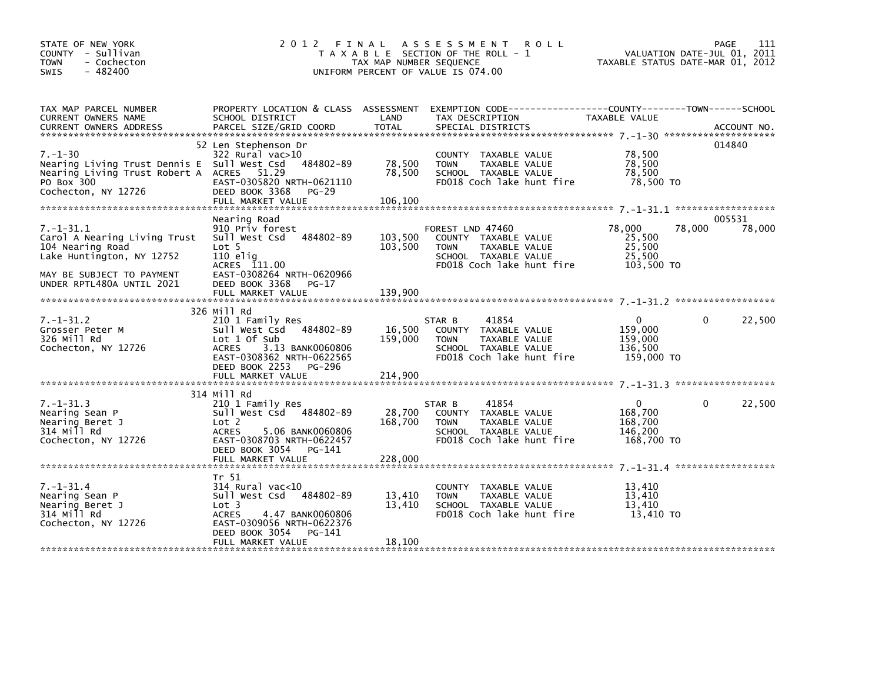| STATE OF NEW YORK<br>COUNTY - Sullivan<br><b>TOWN</b><br>- Cochecton<br>$-482400$<br><b>SWIS</b>                                               |                                                                                                                                                                         | TAX MAP NUMBER SEQUENCE     | 2012 FINAL ASSESSMENT ROLL<br>T A X A B L E SECTION OF THE ROLL - 1<br>UNIFORM PERCENT OF VALUE IS 074.00                               | VALUATION DATE-JUL 01, 2011<br>TAXABLE STATUS DATE-MAR 01, 2012 | PAGE<br>111            |
|------------------------------------------------------------------------------------------------------------------------------------------------|-------------------------------------------------------------------------------------------------------------------------------------------------------------------------|-----------------------------|-----------------------------------------------------------------------------------------------------------------------------------------|-----------------------------------------------------------------|------------------------|
| TAX MAP PARCEL NUMBER<br>CURRENT OWNERS NAME<br><b>CURRENT OWNERS ADDRESS</b>                                                                  | SCHOOL DISTRICT<br>PARCEL SIZE/GRID COORD                                                                                                                               | LAND<br><b>TOTAL</b>        | PROPERTY LOCATION & CLASS ASSESSMENT EXEMPTION CODE----------------COUNTY-------TOWN-----SCHOOL<br>TAX DESCRIPTION<br>SPECIAL DISTRICTS | TAXABLE VALUE                                                   | ACCOUNT NO.            |
| $7. - 1 - 30$<br>Nearing Living Trust Dennis E Sull West Csd<br>Nearing Living Trust Robert A ACRES 51.29<br>PO Box 300<br>Cochecton, NY 12726 | 52 Len Stephenson Dr<br>322 Rural vac>10<br>484802-89<br>EAST-0305820 NRTH-0621110<br>DEED BOOK 3368<br>$PG-29$<br>FULL MARKET VALUE                                    | 78,500<br>78,500<br>106,100 | COUNTY TAXABLE VALUE<br>TAXABLE VALUE<br><b>TOWN</b><br>SCHOOL TAXABLE VALUE<br>FD018 Coch lake hunt fire                               | 78,500<br>78,500<br>78.500<br>78,500 TO                         | 014840                 |
| $7. - 1 - 31.1$<br>Carol A Nearing Living Trust<br>104 Nearing Road<br>Lake Huntington, NY 12752<br>MAY BE SUBJECT TO PAYMENT                  | Nearing Road<br>910 Priv forest<br>Sull West Csd 484802-89<br>Lot 5<br>110 elig<br>ACRES 111.00<br>EAST-0308264 NRTH-0620966                                            | 103,500<br>103,500          | FOREST LND 47460<br>COUNTY TAXABLE VALUE<br>TAXABLE VALUE<br><b>TOWN</b><br>SCHOOL TAXABLE VALUE<br>FD018 Coch lake hunt fire           | 78,000<br>78,000<br>25,500<br>25,500<br>25,500<br>103,500 TO    | 005531<br>78,000       |
| UNDER RPTL480A UNTIL 2021                                                                                                                      | DEED BOOK 3368<br>PG-17                                                                                                                                                 |                             |                                                                                                                                         |                                                                 |                        |
| $7. - 1 - 31.2$<br>Grosser Peter M<br>326 Mill Rd<br>Cochecton, NY 12726                                                                       | 326 Mill Rd<br>210 1 Family Res<br>Sull West Csd 484802-89<br>Lot 1 of Sub<br>3.13 BANK0060806<br><b>ACRES</b><br>EAST-0308362 NRTH-0622565<br>DEED BOOK 2253<br>PG-296 | 16,500<br>159,000           | STAR B<br>41854<br>COUNTY TAXABLE VALUE<br>TAXABLE VALUE<br><b>TOWN</b><br>SCHOOL TAXABLE VALUE<br>FD018 Coch lake hunt fire            | $\mathbf{0}$<br>159,000<br>159,000<br>136,500<br>159,000 TO     | 22,500<br>$\Omega$     |
|                                                                                                                                                |                                                                                                                                                                         |                             |                                                                                                                                         |                                                                 |                        |
| $7. - 1 - 31.3$<br>Nearing Sean P<br>Nearing Beret J<br>314 Mill Rd<br>Cochecton, NY 12726                                                     | 314 Mill Rd<br>210 1 Family Res<br>Sull West Csd 484802-89<br>Lot 2<br><b>ACRES</b><br>5.06 BANK0060806<br>EAST-0308703 NRTH-0622457<br>DEED BOOK 3054 PG-141           | 28,700<br>168,700           | STAR B<br>41854<br>COUNTY TAXABLE VALUE<br>TAXABLE VALUE<br><b>TOWN</b><br>SCHOOL TAXABLE VALUE<br>FD018 Coch lake hunt fire            | $\mathbf{0}$<br>168.700<br>168,700<br>146,200<br>168.700 TO     | 22,500<br>$\mathbf{0}$ |
|                                                                                                                                                |                                                                                                                                                                         |                             |                                                                                                                                         |                                                                 |                        |
| $7. - 1 - 31.4$<br>Nearing Sean P<br>Nearing Beret J<br>314 Mill Rd<br>Cochecton, NY 12726                                                     | Tr 51<br>$314$ Rural vac<10<br>484802-89<br>Sull West Csd<br>Lot 3<br><b>ACRES</b><br>4.47 BANK0060806<br>EAST-0309056 NRTH-0622376                                     | 13,410<br>13,410            | COUNTY TAXABLE VALUE<br>TAXABLE VALUE<br><b>TOWN</b><br>SCHOOL TAXABLE VALUE<br>FD018 Coch lake hunt fire                               | 13,410<br>13.410<br>13,410<br>13,410 TO                         |                        |
|                                                                                                                                                | DEED BOOK 3054<br>PG-141<br>FULL MARKET VALUE                                                                                                                           | 18,100                      |                                                                                                                                         |                                                                 |                        |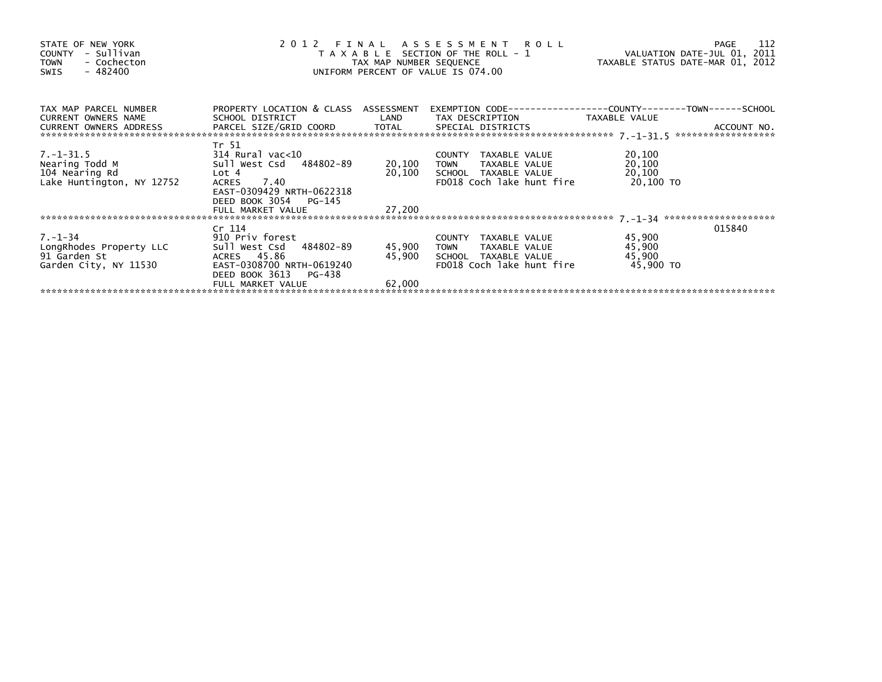| STATE OF NEW YORK<br>- Sullivan<br>COUNTY<br>- Cochecton<br><b>TOWN</b><br>- 482400<br>SWIS | 2 0 1 2                                                 | TAX MAP NUMBER SEQUENCE | FINAL ASSESSMENT ROLL<br>T A X A B L E SECTION OF THE ROLL - 1<br>UNIFORM PERCENT OF VALUE IS 074.00 | VALUATION DATE-JUL 01, 2011<br>TAXABLE STATUS DATE-MAR 01, 2012 | 112<br>PAGE |
|---------------------------------------------------------------------------------------------|---------------------------------------------------------|-------------------------|------------------------------------------------------------------------------------------------------|-----------------------------------------------------------------|-------------|
| TAX MAP PARCEL NUMBER<br>CURRENT OWNERS NAME                                                | PROPERTY LOCATION & CLASS ASSESSMENT<br>SCHOOL DISTRICT | LAND                    | EXEMPTION CODE-----------------COUNTY-------TOWN------SCHOOL<br>TAX DESCRIPTION                      | TAXABLE VALUE                                                   |             |
| CURRENT OWNERS ADDRESS                                                                      |                                                         |                         |                                                                                                      |                                                                 |             |
|                                                                                             | Tr 51                                                   |                         |                                                                                                      |                                                                 |             |
| 7.-1-31.5<br>Nearing Todd M                                                                 | $314$ Rural vac< $10$                                   |                         | COUNTY TAXABLE VALUE                                                                                 | 20,100                                                          |             |
| Nearing Todd M                                                                              | Sull West Csd 484802-89                                 | 20,100                  | TAXABLE VALUE<br><b>TOWN</b>                                                                         | 20,100                                                          |             |
| 104 Nearing Rd                                                                              | Lot 4                                                   | 20,100                  | SCHOOL TAXABLE VALUE                                                                                 | 20,100                                                          |             |
| Lake Huntington, NY 12752                                                                   | 7.40<br><b>ACRES</b>                                    |                         | FD018 Coch lake hunt fire                                                                            | 20,100 TO                                                       |             |
|                                                                                             | EAST-0309429 NRTH-0622318<br>DEED BOOK 3054 PG-145      |                         |                                                                                                      |                                                                 |             |
|                                                                                             | FULL MARKET VALUE                                       | 27,200                  |                                                                                                      |                                                                 |             |
|                                                                                             |                                                         |                         |                                                                                                      |                                                                 |             |
|                                                                                             | Cr 114                                                  |                         |                                                                                                      |                                                                 | 015840      |
| $7. - 1 - 34$                                                                               | 910 Priv forest                                         |                         | COUNTY TAXABLE VALUE                                                                                 | 45,900                                                          |             |
| LongRhodes Property LLC                                                                     | Sull West Csd 484802-89                                 | 45,900                  | <b>TOWN</b><br>TAXABLE VALUE                                                                         | 45,900                                                          |             |
| 91 Garden St                                                                                | ACRES 45.86                                             | 45,900                  | SCHOOL TAXABLE VALUE                                                                                 | 45,900                                                          |             |
| Garden City, NY 11530                                                                       | EAST-0308700 NRTH-0619240                               |                         | FD018 Coch lake hunt fire                                                                            | 45,900 TO                                                       |             |
|                                                                                             | DEED BOOK 3613<br>PG-438<br>FULL MARKET VALUE           | 62,000                  |                                                                                                      |                                                                 |             |
|                                                                                             |                                                         |                         |                                                                                                      |                                                                 |             |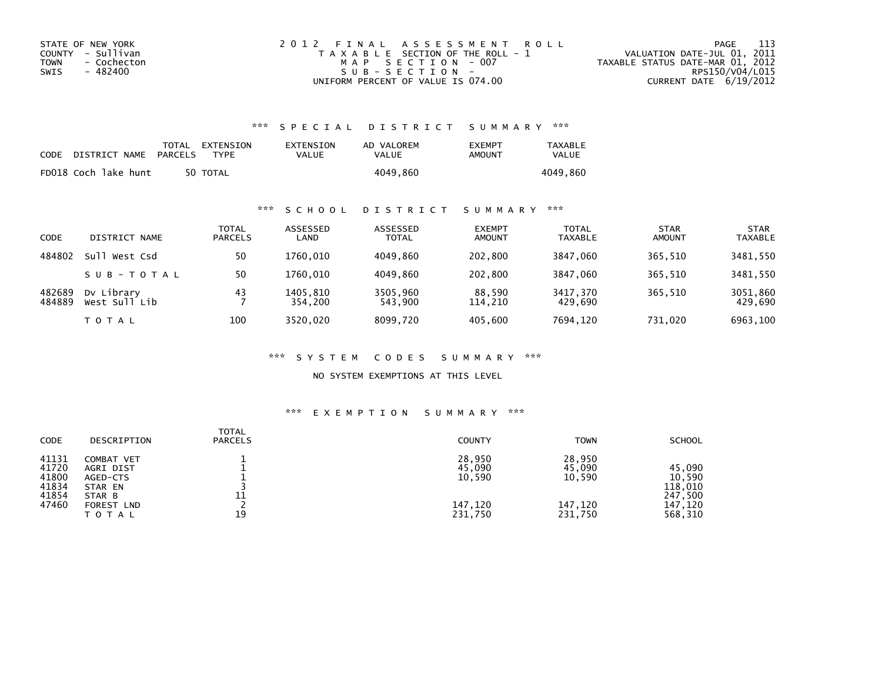| STATE OF NEW YORK   | 2012 FINAL ASSESSMENT ROLL            | - 113<br>PAGE                    |
|---------------------|---------------------------------------|----------------------------------|
| COUNTY - Sullivan   | T A X A B L E SECTION OF THE ROLL - 1 | VALUATION DATE-JUL 01, 2011      |
| TOWN<br>- Cochecton | MAP SECTION - 007                     | TAXABLE STATUS DATE-MAR 01, 2012 |
| - 482400<br>SWIS    | SUB-SECTION-                          | RPS150/V04/L015                  |
|                     | UNIFORM PERCENT OF VALUE IS 074.00    | CURRENT DATE 6/19/2012           |

## \*\*\* S P E C I A L D I S T R I C T S U M M A R Y \*\*\*

| CODE | DISTRICT NAME        | PARCELS | TOTAL EXTENSION<br><b>TYPF</b> | EXTENSION<br><b>VALUE</b> | AD VALOREM<br>VALUE | <b>FXFMPT</b><br>AMOUNT | <b>TAXABLE</b><br><b>VALUE</b> |
|------|----------------------|---------|--------------------------------|---------------------------|---------------------|-------------------------|--------------------------------|
|      | FD018 Coch lake hunt |         | 50 TOTAL                       |                           | 4049.860            |                         | 4049.860                       |

## \*\*\* S C H O O L D I S T R I C T S U M M A R Y \*\*\*

| CODE             | DISTRICT NAME               | TOTAL<br><b>PARCELS</b> | ASSESSED<br>LAND    | ASSESSED<br><b>TOTAL</b> | <b>EXEMPT</b><br><b>AMOUNT</b> | <b>TOTAL</b><br><b>TAXABLE</b> | <b>STAR</b><br><b>AMOUNT</b> | <b>STAR</b><br><b>TAXABLE</b> |
|------------------|-----------------------------|-------------------------|---------------------|--------------------------|--------------------------------|--------------------------------|------------------------------|-------------------------------|
| 484802           | sull<br>West Csd            | 50                      | 1760.010            | 4049.860                 | 202,800                        | 3847.060                       | 365.510                      | 3481.550                      |
|                  | SUB-TOTAL                   | 50                      | 1760.010            | 4049.860                 | 202,800                        | 3847.060                       | 365.510                      | 3481,550                      |
| 482689<br>484889 | Dy Library<br>West Sull Lib | 43                      | 1405.810<br>354.200 | 3505.960<br>543,900      | 88,590<br>114,210              | 3417,370<br>429,690            | 365.510                      | 3051,860<br>429,690           |
|                  | T O T A L                   | 100                     | 3520.020            | 8099.720                 | 405.600                        | 7694,120                       | 731.020                      | 6963,100                      |

#### \*\*\* S Y S T E M C O D E S S U M M A R Y \*\*\*

NO SYSTEM EXEMPTIONS AT THIS LEVEL

#### \*\*\* E X E M P T I O N S U M M A R Y \*\*\*

| <b>CODE</b>                                        | DESCRIPTION                                                                                | <b>TOTAL</b><br><b>PARCELS</b> | <b>COUNTY</b>                                    | <b>TOWN</b>                                      | <b>SCHOOL</b>                                                |
|----------------------------------------------------|--------------------------------------------------------------------------------------------|--------------------------------|--------------------------------------------------|--------------------------------------------------|--------------------------------------------------------------|
| 41131<br>41720<br>41800<br>41834<br>41854<br>47460 | COMBAT VET<br>AGRI DIST<br>AGED-CTS<br>STAR EN<br>STAR B<br><b>FOREST LND</b><br>T O T A L | 11<br>19                       | 28,950<br>45,090<br>10,590<br>147,120<br>231.750 | 28,950<br>45,090<br>10,590<br>147,120<br>231,750 | 45,090<br>10,590<br>118,010<br>247,500<br>147,120<br>568,310 |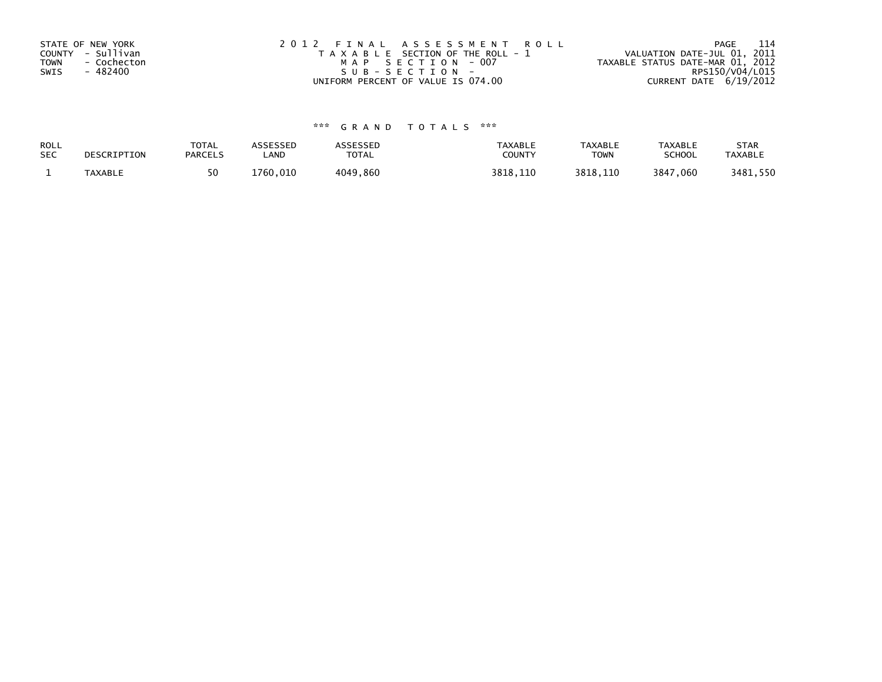| STATE OF NEW YORK | 2012 FINAL ASSESSMENT ROLL            | - 114<br>PAGE                    |
|-------------------|---------------------------------------|----------------------------------|
| COUNTY - Sullivan | T A X A B L E SECTION OF THE ROLL - 1 | VALUATION DATE-JUL 01, 2011      |
| TOWN - Cochecton  | MAP SECTION - 007                     | TAXABLE STATUS DATE-MAR 01, 2012 |
| SWIS<br>- 482400  | SUB-SECTION-                          | RPS150/V04/L015                  |
|                   | UNIFORM PERCENT OF VALUE IS 074.00    | CURRENT DATE 6/19/2012           |

# \*\*\* G R A N D T O T A L S \*\*\*

| ROLL       | DESCRIPTION | <b>TOTAL</b>   | ASSESSED | ASSESSED     | <b>TAXABLE</b> | <b>TAXABLE</b> | <b>TAXABLE</b> | <b>STAR</b>    |
|------------|-------------|----------------|----------|--------------|----------------|----------------|----------------|----------------|
| <b>SEC</b> |             | <b>PARCELS</b> | _AND     | <b>TOTAL</b> | <b>COUNTY</b>  | ⊤OWN           | <b>SCHOOL</b>  | <b>TAXABLE</b> |
|            | TAXABLE     | 50             | 1760.010 | 4049,860     | 3818.110       | 3818.110       | 3847,060       | 3481,550       |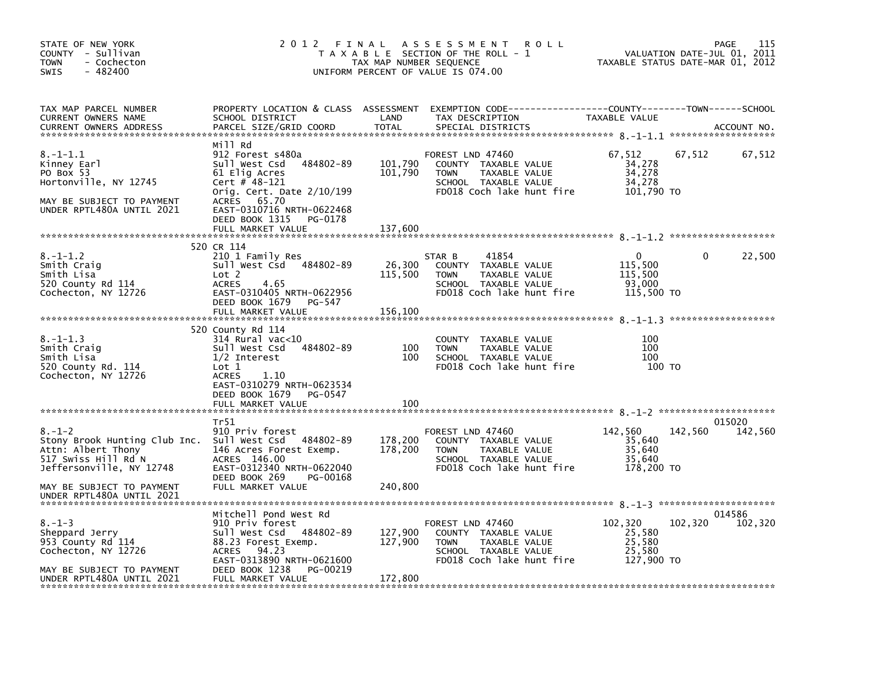| STATE OF NEW YORK<br>COUNTY - Sullivan<br><b>TOWN</b><br>- Cochecton<br>SWIS<br>$-482400$                                                                                   | 2012 FINAL                                                                                                                                                                                          | TAX MAP NUMBER SEQUENCE       | ASSESSMENT ROLL<br>T A X A B L E SECTION OF THE ROLL - 1<br>UNIFORM PERCENT OF VALUE IS 074.00                                          | TAXABLE STATUS DATE-MAR 01, 2012                    | VALUATION DATE-JUL 01, | 115<br>PAGE<br>2011 |
|-----------------------------------------------------------------------------------------------------------------------------------------------------------------------------|-----------------------------------------------------------------------------------------------------------------------------------------------------------------------------------------------------|-------------------------------|-----------------------------------------------------------------------------------------------------------------------------------------|-----------------------------------------------------|------------------------|---------------------|
| TAX MAP PARCEL NUMBER<br>CURRENT OWNERS NAME<br><b>CURRENT OWNERS ADDRESS</b>                                                                                               | SCHOOL DISTRICT<br>PARCEL SIZE/GRID COORD                                                                                                                                                           | LAND<br><b>TOTAL</b>          | PROPERTY LOCATION & CLASS ASSESSMENT EXEMPTION CODE---------------COUNTY-------TOWN------SCHOOL<br>TAX DESCRIPTION<br>SPECIAL DISTRICTS | TAXABLE VALUE                                       |                        | ACCOUNT NO.         |
| $8. - 1 - 1.1$<br>Kinney Earl<br>PO Box 53<br>Hortonville, NY 12745<br>MAY BE SUBJECT TO PAYMENT<br>UNDER RPTL480A UNTIL 2021                                               | Mill Rd<br>912 Forest s480a<br>Sull West Csd 484802-89<br>61 Elig Acres<br>Cert # $48-121$<br>Orig. Cert. Date $2/10/199$<br>ACRES 65.70<br>EAST-0310716 NRTH-0622468<br>DEED BOOK 1315<br>PG-0178  | 101,790<br>101,790            | FOREST LND 47460<br>COUNTY TAXABLE VALUE<br><b>TOWN</b><br>TAXABLE VALUE<br>SCHOOL TAXABLE VALUE<br>FD018 Coch lake hunt fire           | 67,512<br>34,278<br>34,278<br>34,278<br>101,790 TO  | 67,512                 | 67,512              |
|                                                                                                                                                                             | FULL MARKET VALUE                                                                                                                                                                                   | 137,600                       |                                                                                                                                         |                                                     |                        |                     |
| $8. - 1 - 1.2$<br>Smith Craig<br>Smith Lisa<br>520 County Rd 114<br>Cochecton, NY 12726                                                                                     | 520 CR 114<br>210 1 Family Res<br>Sull West Csd 484802-89<br>Lot 2<br>4.65<br><b>ACRES</b><br>EAST-0310405 NRTH-0622956<br>DEED BOOK 1679<br>PG-547                                                 | 26,300<br>115,500             | STAR B<br>41854<br>COUNTY TAXABLE VALUE<br><b>TOWN</b><br>TAXABLE VALUE<br>SCHOOL TAXABLE VALUE<br>FD018 Coch lake hunt fire            | 0<br>115,500<br>115,500<br>93,000<br>115,500 TO     |                        | 22,500              |
|                                                                                                                                                                             | FULL MARKET VALUE                                                                                                                                                                                   | 156,100                       |                                                                                                                                         |                                                     |                        |                     |
| $8. - 1 - 1.3$<br>Smith Craig<br>Smith Lisa<br>520 County Rd. 114<br>Cochecton, NY 12726                                                                                    | 520 County Rd 114<br>$314$ Rural vac< $10$<br>484802-89<br>Sull West Csd<br>$1/2$ Interest<br>Lot 1<br><b>ACRES</b><br>1.10<br>EAST-0310279 NRTH-0623534<br>DEED BOOK 1679<br>PG-0547               | 100<br>100                    | COUNTY TAXABLE VALUE<br>TAXABLE VALUE<br><b>TOWN</b><br>SCHOOL TAXABLE VALUE<br>FD018 Coch lake hunt fire                               | 100<br>100<br>100<br>100 TO                         |                        |                     |
|                                                                                                                                                                             | FULL MARKET VALUE                                                                                                                                                                                   | 100                           |                                                                                                                                         |                                                     |                        |                     |
| $8. - 1 - 2$<br>Stony Brook Hunting Club Inc. Sull West Csd 484802-89<br>Attn: Albert Thony<br>517 Swiss Hill Rd N<br>Jeffersonville, NY 12748<br>MAY BE SUBJECT TO PAYMENT | Tr51<br>910 Priv forest<br>146 Acres Forest Exemp.<br>ACRES 146.00<br>EAST-0312340 NRTH-0622040<br>DEED BOOK 269<br>PG-00168<br>FULL MARKET VALUE                                                   | 178,200<br>178,200<br>240,800 | FOREST LND 47460<br>COUNTY TAXABLE VALUE<br><b>TOWN</b><br>TAXABLE VALUE<br>SCHOOL TAXABLE VALUE<br>FD018 Coch lake hunt fire           | 142,560<br>35,640<br>35,640<br>35,640<br>178,200 TO | 142,560                | 015020<br>142,560   |
| UNDER RPTL480A UNTIL 2021                                                                                                                                                   |                                                                                                                                                                                                     |                               |                                                                                                                                         |                                                     |                        |                     |
| $8. - 1 - 3$<br>Sheppard Jerry<br>953 County Rd 114<br>Cochecton, NY 12726<br>MAY BE SUBJECT TO PAYMENT<br>UNDER RPTL480A UNTIL 2021                                        | Mitchell Pond West Rd<br>910 Priv forest<br>Sull West Csd 484802-89<br>88.23 Forest Exemp.<br>94.23<br><b>ACRES</b><br>EAST-0313890 NRTH-0621600<br>DEED BOOK 1238<br>PG-00219<br>FULL MARKET VALUE | 127,900<br>127,900<br>172,800 | FOREST LND 47460<br>COUNTY TAXABLE VALUE<br><b>TOWN</b><br>TAXABLE VALUE<br>SCHOOL TAXABLE VALUE<br>FD018 Coch lake hunt fire           | 102,320<br>25,580<br>25,580<br>25,580<br>127,900 TO | 102,320                | 014586<br>102,320   |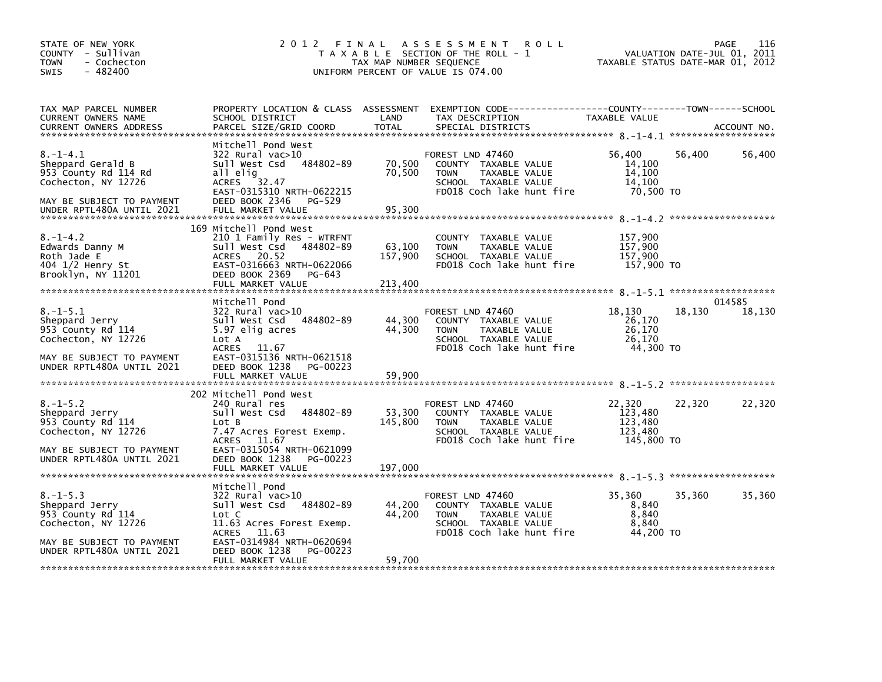| STATE OF NEW YORK<br>COUNTY - Sullivan<br><b>TOWN</b><br>- Cochecton<br>$-482400$<br><b>SWIS</b>                                             | 2012 FINAL                                                                                                                                                                                                | TAX MAP NUMBER SEQUENCE      | A S S E S S M E N T<br><b>ROLL</b><br>T A X A B L E SECTION OF THE ROLL - 1<br>UNIFORM PERCENT OF VALUE IS 074.00                        | VALUATION DATE-JUL 01, 2011<br>TAXABLE STATUS DATE-MAR 01, 2012 | 116<br>PAGE      |
|----------------------------------------------------------------------------------------------------------------------------------------------|-----------------------------------------------------------------------------------------------------------------------------------------------------------------------------------------------------------|------------------------------|------------------------------------------------------------------------------------------------------------------------------------------|-----------------------------------------------------------------|------------------|
| TAX MAP PARCEL NUMBER<br>CURRENT OWNERS NAME<br><b>CURRENT OWNERS ADDRESS</b>                                                                | SCHOOL DISTRICT<br>PARCEL SIZE/GRID COORD                                                                                                                                                                 | LAND<br><b>TOTAL</b>         | PROPERTY LOCATION & CLASS ASSESSMENT EXEMPTION CODE----------------COUNTY-------TOWN------SCHOOL<br>TAX DESCRIPTION<br>SPECIAL DISTRICTS | <b>TAXABLE VALUE</b>                                            | ACCOUNT NO.      |
| $8. - 1 - 4.1$<br>Sheppard Gerald B<br>953 County Rd 114 Rd<br>Cochecton, NY 12726<br>MAY BE SUBJECT TO PAYMENT<br>UNDER RPTL480A UNTIL 2021 | Mitchell Pond West<br>322 Rural vac>10<br>Sull West Csd<br>484802-89<br>all elig<br>ACRES 32.47<br>EAST-0315310 NRTH-0622215<br>DEED BOOK 2346<br>PG-529<br>FULL MARKET VALUE                             | 70,500<br>70,500<br>95,300   | FOREST LND 47460<br>COUNTY TAXABLE VALUE<br><b>TOWN</b><br>TAXABLE VALUE<br>SCHOOL TAXABLE VALUE<br>FD018 Coch lake hunt fire            | 56,400<br>56,400<br>14,100<br>14,100<br>14,100<br>70,500 TO     | 56,400           |
| 8.–1–4.2<br>Edwards Danny M<br>Roth Jade E<br>404 1/2 Henry St<br>Brooklyn, NY 11201                                                         | 169 Mitchell Pond West<br>210 1 Family Res - WTRFNT<br>Sull West Csd 484802-89<br>20.52<br>ACRES<br>EAST-0316663 NRTH-0622066<br>DEED BOOK 2369<br>PG-643                                                 | 63,100<br>157,900            | COUNTY TAXABLE VALUE<br>TAXABLE VALUE<br><b>TOWN</b><br>SCHOOL TAXABLE VALUE<br>FD018 Coch lake hunt fire                                | 157,900<br>157,900<br>157,900<br>157,900 TO                     |                  |
| $8. - 1 - 5.1$<br>Sheppard Jerry<br>953 County Rd 114<br>Cochecton, NY 12726<br>MAY BE SUBJECT TO PAYMENT<br>UNDER RPTL480A UNTIL 2021       | Mitchell Pond<br>$322$ Rural vac $>10$<br>Sull West Csd 484802-89<br>5.97 elig acres<br>Lot A<br><b>ACRES</b><br>11.67<br>EAST-0315136 NRTH-0621518<br>DEED BOOK 1238<br>PG-00223<br>FULL MARKET VALUE    | 44,300<br>44,300<br>59,900   | FOREST LND 47460<br>COUNTY TAXABLE VALUE<br><b>TOWN</b><br>TAXABLE VALUE<br>SCHOOL TAXABLE VALUE<br>FD018 Coch lake hunt fire            | 18,130<br>18,130<br>26,170<br>26,170<br>26,170<br>44,300 TO     | 014585<br>18,130 |
| $8. - 1 - 5.2$<br>Sheppard Jerry<br>953 County Rd 114<br>Cochecton, NY 12726<br>MAY BE SUBJECT TO PAYMENT<br>UNDER RPTL480A UNTIL 2021       | 202 Mitchell Pond West<br>240 Rural res<br>Sull West Csd<br>484802-89<br>Lot B<br>7.47 Acres Forest Exemp.<br>ACRES 11.67<br>EAST-0315054 NRTH-0621099<br>DEED BOOK 1238<br>PG-00223<br>FULL MARKET VALUE | 53,300<br>145,800<br>197,000 | FOREST LND 47460<br>COUNTY TAXABLE VALUE<br>TAXABLE VALUE<br><b>TOWN</b><br>SCHOOL TAXABLE VALUE<br>FD018 Coch lake hunt fire            | 22,320<br>22,320<br>123,480<br>123,480<br>123,480<br>145,800 TO | 22,320           |
| $8. - 1 - 5.3$<br>Sheppard Jerry<br>953 County Rd 114<br>Cochecton, NY 12726<br>MAY BE SUBJECT TO PAYMENT<br>UNDER RPTL480A UNTIL 2021       | Mitchell Pond<br>322 Rural vac>10<br>484802-89<br>Sull West Csd<br>Lot C<br>11.63 Acres Forest Exemp.<br>ACRES<br>11.63<br>EAST-0314984 NRTH-0620694<br>DEED BOOK 1238<br>PG-00223<br>FULL MARKET VALUE   | 44,200<br>44,200<br>59,700   | FOREST LND 47460<br>COUNTY TAXABLE VALUE<br>TAXABLE VALUE<br><b>TOWN</b><br>SCHOOL TAXABLE VALUE<br>FD018 Coch lake hunt fire            | 35,360<br>35,360<br>8,840<br>8,840<br>8,840<br>44,200 TO        | 35,360           |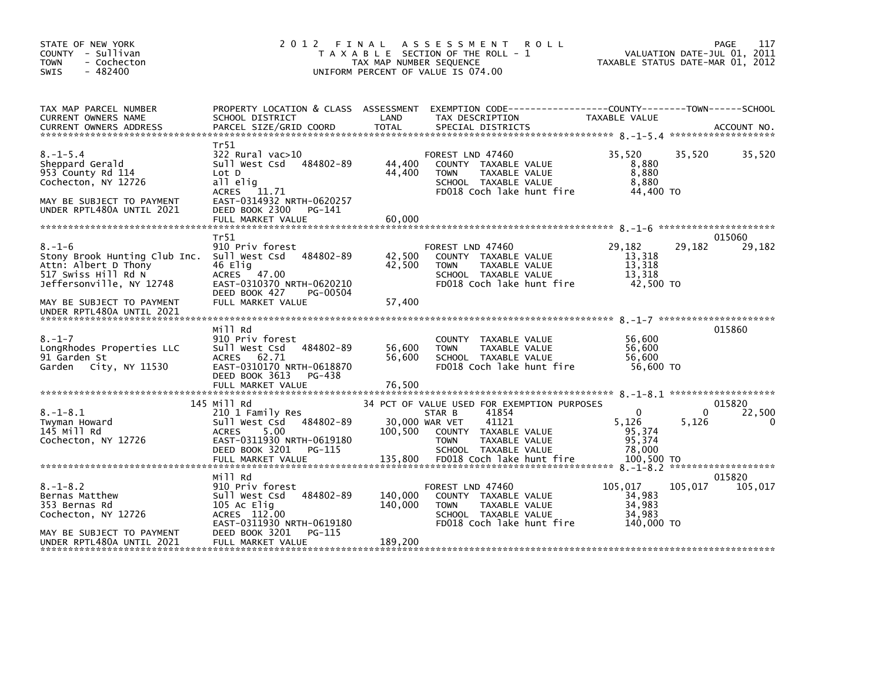| STATE OF NEW YORK<br>COUNTY - Sullivan<br>- Cochecton<br><b>TOWN</b><br>- 482400<br><b>SWIS</b>                                         | 2012 FINAL                                                                                                                                               | A S S E S S M E N T R O L L<br>T A X A B L E SECTION OF THE ROLL - 1<br>TAX MAP NUMBER SEQUENCE<br>UNIFORM PERCENT OF VALUE IS 074.00 | TAXABLE STATUS DATE-MAR 01, 2012                                                                                                                        | PAGE<br>VALUATION DATE-JUL 01, 2011                 | 117        |                       |
|-----------------------------------------------------------------------------------------------------------------------------------------|----------------------------------------------------------------------------------------------------------------------------------------------------------|---------------------------------------------------------------------------------------------------------------------------------------|---------------------------------------------------------------------------------------------------------------------------------------------------------|-----------------------------------------------------|------------|-----------------------|
| TAX MAP PARCEL NUMBER<br>CURRENT OWNERS NAME<br><b>CURRENT OWNERS ADDRESS</b>                                                           | SCHOOL DISTRICT<br>PARCEL SIZE/GRID COORD                                                                                                                | LAND<br>TOTAL                                                                                                                         | PROPERTY LOCATION & CLASS ASSESSMENT EXEMPTION CODE-----------------COUNTY-------TOWN------SCHOOL<br>TAX DESCRIPTION<br>SPECIAL DISTRICTS               | TAXABLE VALUE                                       |            | ACCOUNT NO.           |
|                                                                                                                                         |                                                                                                                                                          |                                                                                                                                       |                                                                                                                                                         |                                                     |            |                       |
| $8. - 1 - 5.4$<br>Sheppard Gerald<br>953 County Rd 114<br>Cochecton, NY 12726<br>MAY BE SUBJECT TO PAYMENT<br>UNDER RPTL480A UNTIL 2021 | Tr51<br>$322$ Rural vac $>10$<br>Sull West Csd<br>484802-89<br>Lot D<br>all elig<br>ACRES 11.71<br>EAST-0314932 NRTH-0620257<br>DEED BOOK 2300<br>PG-141 | 44,400<br>44,400                                                                                                                      | FOREST LND 47460<br>COUNTY TAXABLE VALUE<br>TAXABLE VALUE<br><b>TOWN</b><br>SCHOOL TAXABLE VALUE<br>FD018 Coch lake hunt fire                           | 35,520<br>8,880<br>8,880<br>8.880<br>44,400 TO      | 35.520     | 35,520                |
|                                                                                                                                         | FULL MARKET VALUE                                                                                                                                        | 60,000                                                                                                                                |                                                                                                                                                         |                                                     |            |                       |
|                                                                                                                                         | Tr51                                                                                                                                                     |                                                                                                                                       |                                                                                                                                                         |                                                     |            | 015060                |
| $8. - 1 - 6$<br>Stony Brook Hunting Club Inc.<br>Attn: Albert D Thony<br>517 Swiss Hill Rd N<br>Jeffersonville, NY 12748                | 910 Priv forest<br>484802-89<br>Sull West Csd<br>46 Elig<br>ACRES 47.00<br>EAST-0310370 NRTH-0620210<br>DEED BOOK 427<br>PG-00504                        | 42,500<br>42,500                                                                                                                      | FOREST LND 47460<br>COUNTY TAXABLE VALUE<br>TAXABLE VALUE<br><b>TOWN</b><br>SCHOOL TAXABLE VALUE<br>FD018 Coch lake hunt fire                           | 29,182<br>13,318<br>13,318<br>13,318<br>42,500 TO   | 29,182     | 29,182                |
| MAY BE SUBJECT TO PAYMENT<br>UNDER RPTL480A UNTIL 2021                                                                                  | FULL MARKET VALUE                                                                                                                                        | 57,400                                                                                                                                |                                                                                                                                                         |                                                     |            |                       |
|                                                                                                                                         | Mill Rd                                                                                                                                                  |                                                                                                                                       |                                                                                                                                                         |                                                     | 015860     |                       |
| $8. - 1 - 7$<br>LongRhodes Properties LLC<br>91 Garden St<br>Garden City, NY 11530                                                      | 910 Priv forest<br>484802-89<br>Sull West Csd<br>ACRES 62.71<br>EAST-0310170 NRTH-0618870<br>DEED BOOK 3613<br>PG-438<br>FULL MARKET VALUE               | 56,600<br>56,600<br>76,500                                                                                                            | COUNTY TAXABLE VALUE<br>TAXABLE VALUE<br><b>TOWN</b><br>SCHOOL TAXABLE VALUE<br>FD018 Coch lake hunt fire                                               | 56,600<br>56,600<br>56.600<br>56,600 TO             |            |                       |
|                                                                                                                                         |                                                                                                                                                          |                                                                                                                                       |                                                                                                                                                         |                                                     |            |                       |
| $8. - 1 - 8.1$<br>Twyman Howard<br>145 Mill Rd<br>Cochecton, NY 12726                                                                   | 145 Mill Rd<br>210 1 Family Res<br>Sull West Csd 484802-89<br>5.00<br><b>ACRES</b><br>EAST-0311930 NRTH-0619180<br>DEED BOOK 3201<br>PG-115              | 30,000 WAR VET<br>100,500                                                                                                             | 34 PCT OF VALUE USED FOR EXEMPTION PURPOSES<br>STAR B<br>41854<br>41121<br>COUNTY TAXABLE VALUE<br><b>TOWN</b><br>TAXABLE VALUE<br>SCHOOL TAXABLE VALUE | $\mathbf{0}$<br>5,126<br>95,374<br>95,374<br>78,000 | 0<br>5,126 | 015820<br>22,500<br>0 |
|                                                                                                                                         | Mill Rd                                                                                                                                                  |                                                                                                                                       |                                                                                                                                                         |                                                     | 015820     |                       |
| $8. - 1 - 8.2$<br>Bernas Matthew<br>353 Bernas Rd<br>Cochecton, NY 12726                                                                | 910 Priv forest<br>Sull West Csd<br>484802-89<br>105 Ac Elig<br>ACRES 112.00<br>EAST-0311930 NRTH-0619180                                                | 140,000<br>140,000                                                                                                                    | FOREST LND 47460<br>COUNTY TAXABLE VALUE<br>TAXABLE VALUE<br>TOWN<br>SCHOOL TAXABLE VALUE<br>FD018 Coch lake hunt fire                                  | 105,017<br>34,983<br>34,983<br>34,983<br>140,000 TO | 105,017    | 105,017               |
| MAY BE SUBJECT TO PAYMENT<br>UNDER RPTL480A UNTIL 2021                                                                                  | PG-115<br>DEED BOOK 3201<br>FULL MARKET VALUE                                                                                                            | 189,200                                                                                                                               |                                                                                                                                                         |                                                     |            |                       |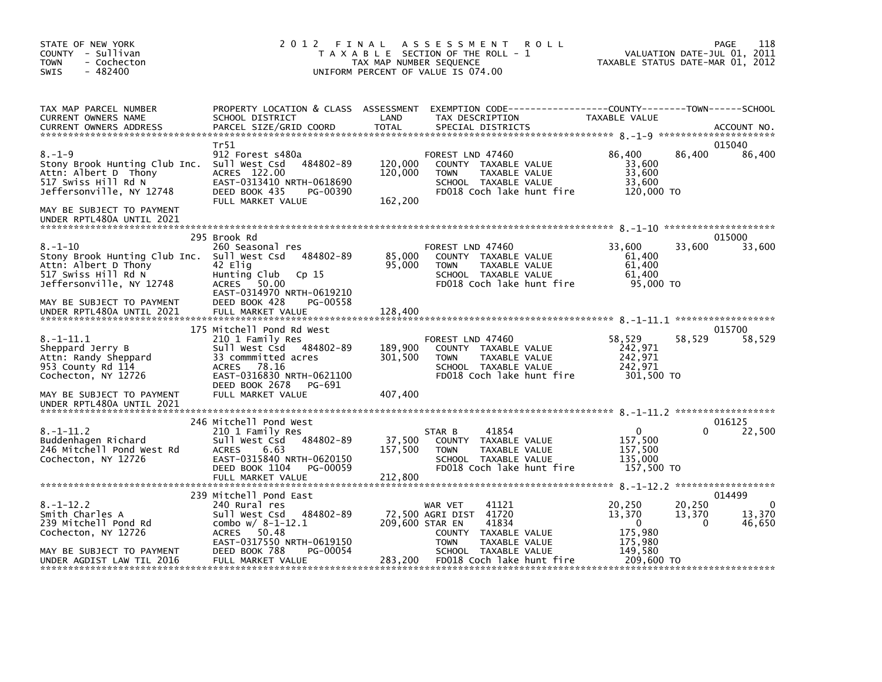| STATE OF NEW YORK<br>COUNTY - Sullivan<br><b>TOWN</b><br>- Cochecton<br>$-482400$<br><b>SWIS</b>                          | 2 0 1 2<br>FINAL                                                                                                                              | TAX MAP NUMBER SEQUENCE       | A S S E S S M E N T<br><b>ROLL</b><br>T A X A B L E SECTION OF THE ROLL - 1<br>UNIFORM PERCENT OF VALUE IS 074.00                        |                                                         | 118<br>PAGE<br>VALUATION DATE-JUL 01, 2011<br>TAXABLE STATUS DATE-MAR 01, 2012 |
|---------------------------------------------------------------------------------------------------------------------------|-----------------------------------------------------------------------------------------------------------------------------------------------|-------------------------------|------------------------------------------------------------------------------------------------------------------------------------------|---------------------------------------------------------|--------------------------------------------------------------------------------|
| TAX MAP PARCEL NUMBER<br>CURRENT OWNERS NAME<br><b>CURRENT OWNERS ADDRESS</b>                                             | SCHOOL DISTRICT<br>PARCEL SIZE/GRID COORD                                                                                                     | LAND<br>TOTAL                 | PROPERTY LOCATION & CLASS ASSESSMENT EXEMPTION CODE----------------COUNTY-------TOWN------SCHOOL<br>TAX DESCRIPTION<br>SPECIAL DISTRICTS | TAXABLE VALUE                                           | ACCOUNT NO.                                                                    |
|                                                                                                                           | Tr51                                                                                                                                          |                               |                                                                                                                                          |                                                         | 015040                                                                         |
| $8. - 1 - 9$<br>Stony Brook Hunting Club Inc.<br>Attn: Albert D Thony<br>517 Swiss Hill Rd N<br>Jeffersonville, NY 12748  | 912 Forest s480a<br>Sull West Csd<br>484802-89<br>ACRES 122.00<br>EAST-0313410 NRTH-0618690<br>DEED BOOK 435<br>PG-00390<br>FULL MARKET VALUE | 120,000<br>120,000<br>162,200 | FOREST LND 47460<br>COUNTY TAXABLE VALUE<br><b>TOWN</b><br>TAXABLE VALUE<br>SCHOOL TAXABLE VALUE<br>FD018 Coch lake hunt fire            | 86,400<br>33,600<br>33,600<br>33,600<br>120,000 TO      | 86,400<br>86,400                                                               |
| MAY BE SUBJECT TO PAYMENT<br>UNDER RPTL480A UNTIL 2021                                                                    |                                                                                                                                               |                               |                                                                                                                                          |                                                         |                                                                                |
|                                                                                                                           | 295 Brook Rd                                                                                                                                  |                               |                                                                                                                                          |                                                         | 015000                                                                         |
| $8. - 1 - 10$<br>Stony Brook Hunting Club Inc.<br>Attn: Albert D Thony<br>517 Swiss Hill Rd N<br>Jeffersonville, NY 12748 | 260 Seasonal res<br>Sull West Csd<br>484802-89<br>42 Elig<br>Hunting Club<br>Cp 15<br><b>ACRES</b><br>50.00<br>EAST-0314970 NRTH-0619210      | 85,000<br>95,000              | FOREST LND 47460<br>COUNTY TAXABLE VALUE<br>TAXABLE VALUE<br><b>TOWN</b><br>SCHOOL TAXABLE VALUE<br>FD018 Coch lake hunt fire            | 33.600<br>61,400<br>61,400<br>61.400<br>95,000 TO       | 33,600<br>33,600                                                               |
| MAY BE SUBJECT TO PAYMENT<br>UNDER RPTL480A UNTIL 2021                                                                    | DEED BOOK 428<br>PG-00558<br>FULL MARKET VALUE                                                                                                | 128,400                       |                                                                                                                                          |                                                         |                                                                                |
|                                                                                                                           | 175 Mitchell Pond Rd West                                                                                                                     |                               |                                                                                                                                          |                                                         | 015700                                                                         |
| $8. - 1 - 11.1$<br>Sheppard Jerry B<br>Attn: Randy Sheppard<br>953 County Rd 114<br>Cochecton, NY 12726                   | 210 1 Family Res<br>Sull West Csd<br>484802-89<br>33 commmitted acres<br>78.16<br><b>ACRES</b><br>EAST-0316830 NRTH-0621100                   | 189,900<br>301,500            | FOREST LND 47460<br>COUNTY TAXABLE VALUE<br><b>TOWN</b><br>TAXABLE VALUE<br>SCHOOL TAXABLE VALUE<br>FD018 Coch lake hunt fire            | 58,529<br>242,971<br>242,971<br>242.971<br>301,500 TO   | 58,529<br>58,529                                                               |
| MAY BE SUBJECT TO PAYMENT<br>UNDER RPTL480A UNTIL 2021                                                                    | DEED BOOK 2678<br>PG-691<br>FULL MARKET VALUE                                                                                                 | 407,400                       |                                                                                                                                          |                                                         |                                                                                |
|                                                                                                                           | 246 Mitchell Pond West                                                                                                                        |                               |                                                                                                                                          |                                                         | 016125                                                                         |
| $8. - 1 - 11.2$<br>Buddenhagen Richard<br>246 Mitchell Pond West Rd<br>Cochecton, NY 12726                                | 210 1 Family Res<br>Sull West Csd<br>484802-89<br><b>ACRES</b><br>6.63<br>EAST-0315840 NRTH-0620150<br>DEED BOOK 1104<br>PG-00059             | 37,500<br>157,500             | 41854<br>STAR B<br>COUNTY TAXABLE VALUE<br><b>TOWN</b><br>TAXABLE VALUE<br>SCHOOL TAXABLE VALUE<br>FD018 Coch lake hunt fire             | $\Omega$<br>157,500<br>157,500<br>135.000<br>157,500 TO | 22,500<br>0                                                                    |
|                                                                                                                           | FULL MARKET VALUE                                                                                                                             | 212,800                       |                                                                                                                                          |                                                         |                                                                                |
|                                                                                                                           | 239 Mitchell Pond East                                                                                                                        |                               |                                                                                                                                          |                                                         | 014499                                                                         |
| $8. - 1 - 12.2$<br>Smith Charles A<br>239 Mitchell Pond Rd                                                                | 240 Rural res<br>484802-89<br>Sull West Csd<br>combo $w/ 8 - 1 - 12.1$<br>50.48<br><b>ACRES</b>                                               | 209,600 STAR EN               | 41121<br>WAR VET<br>72,500 AGRI DIST 41720<br>41834<br><b>COUNTY</b><br>TAXABLE VALUE                                                    | 20,250<br>13,370<br>$\Omega$<br>175,980                 | 20,250<br>0<br>13,370<br>13,370<br>46,650<br>$\Omega$                          |
| Cochecton, NY 12726<br>MAY BE SUBJECT TO PAYMENT<br>UNDER AGDIST LAW TIL 2016                                             | EAST-0317550 NRTH-0619150<br>DEED BOOK 788<br>PG-00054<br>FULL MARKET VALUE                                                                   | 283,200                       | <b>TOWN</b><br>TAXABLE VALUE<br>SCHOOL TAXABLE VALUE<br>FD018 Coch lake hunt fire                                                        | 175,980<br>149,580<br>209,600 TO                        |                                                                                |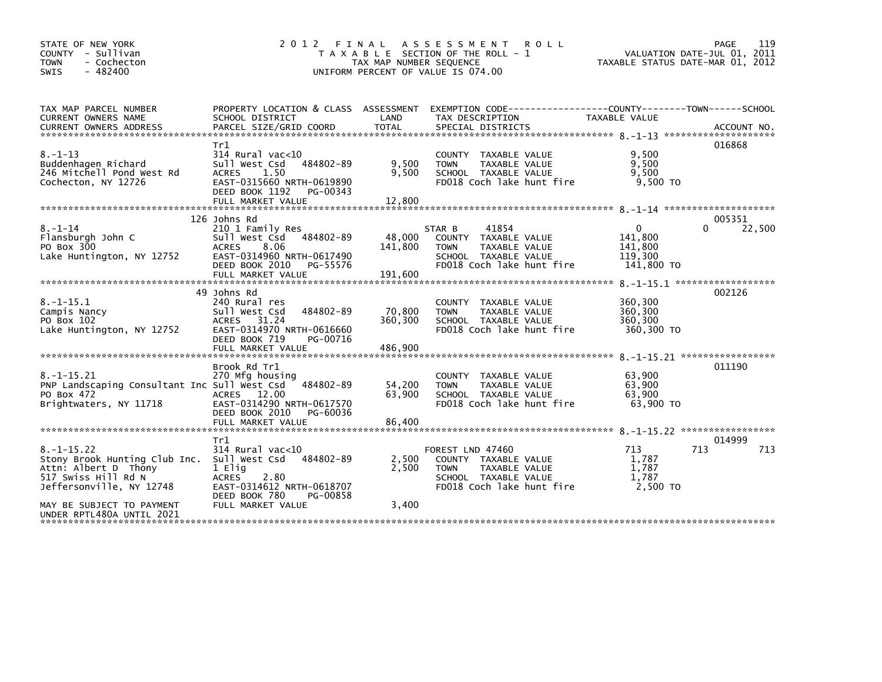| STATE OF NEW YORK<br>COUNTY - Sullivan<br><b>TOWN</b><br>- Cochecton<br>$-482400$<br>SWIS                                   | A S S E S S M E N T<br><b>ROLL</b><br>T A X A B L E SECTION OF THE ROLL - 1<br>TAX MAP NUMBER SEQUENCE<br>UNIFORM PERCENT OF VALUE IS 074.00           | 119<br>PAGE<br>VALUATION DATE-JUL 01, 2011<br>TAXABLE STATUS DATE-MAR 01, 2012 |                                                                                                                               |                                                         |                      |
|-----------------------------------------------------------------------------------------------------------------------------|--------------------------------------------------------------------------------------------------------------------------------------------------------|--------------------------------------------------------------------------------|-------------------------------------------------------------------------------------------------------------------------------|---------------------------------------------------------|----------------------|
| TAX MAP PARCEL NUMBER<br>CURRENT OWNERS NAME<br><b>CURRENT OWNERS ADDRESS</b>                                               | PROPERTY LOCATION & CLASS ASSESSMENT<br>SCHOOL DISTRICT<br>PARCEL SIZE/GRID COORD                                                                      | LAND<br><b>TOTAL</b>                                                           | EXEMPTION CODE-----------------COUNTY-------TOWN------SCHOOL<br>TAX DESCRIPTION<br>SPECIAL DISTRICTS                          | <b>TAXABLE VALUE</b>                                    | ACCOUNT NO.          |
| $8. - 1 - 13$<br>Buddenhagen Richard<br>246 Mitchell Pond West Rd<br>Cochecton, NY 12726                                    | Tr1<br>$314$ Rural vac<10<br>484802-89<br>Sull West Csd<br>1.50<br><b>ACRES</b><br>EAST-0315660 NRTH-0619890<br>DEED BOOK 1192<br>PG-00343             | 9,500<br>9,500                                                                 | COUNTY<br>TAXABLE VALUE<br>TAXABLE VALUE<br><b>TOWN</b><br>SCHOOL TAXABLE VALUE<br>FD018 Coch lake hunt fire                  | 9,500<br>9,500<br>9,500<br>$9.500$ TO                   | 016868               |
|                                                                                                                             | 126 Johns Rd                                                                                                                                           |                                                                                |                                                                                                                               |                                                         | 005351               |
| $8. - 1 - 14$<br>Flansburgh John C<br>PO Box 300<br>Lake Huntington, NY 12752                                               | 210 1 Family Res<br>Sull West Csd<br>484802-89<br><b>ACRES</b><br>8.06<br>EAST-0314960 NRTH-0617490<br>DEED BOOK 2010<br>PG-55576<br>FULL MARKET VALUE | 48,000<br>141,800<br>191,600                                                   | 41854<br>STAR B<br>COUNTY TAXABLE VALUE<br>TAXABLE VALUE<br><b>TOWN</b><br>SCHOOL TAXABLE VALUE<br>FD018 Coch lake hunt fire  | $\Omega$<br>141,800<br>141,800<br>119,300<br>141,800 TO | 22,500<br>0          |
| $8. -1 - 15.1$<br>Campis Nancy<br>PO Box 102<br>Lake Huntington, NY 12752                                                   | 49 Johns Rd<br>240 Rural res<br>Sull West Csd<br>484802-89<br>ACRES 31.24<br>EAST-0314970 NRTH-0616660<br>DEED BOOK 719<br>PG-00716                    | 70,800<br>360,300                                                              | COUNTY TAXABLE VALUE<br>TAXABLE VALUE<br><b>TOWN</b><br>SCHOOL TAXABLE VALUE<br>FD018 Coch lake hunt fire                     | 360,300<br>360,300<br>360,300<br>360,300 TO             | 002126               |
|                                                                                                                             | FULL MARKET VALUE                                                                                                                                      | 486,900                                                                        |                                                                                                                               |                                                         |                      |
| $8. -1 - 15.21$<br>PNP Landscaping Consultant Inc Sull West Csd<br>PO Box 472<br>Brightwaters, NY 11718                     | Brook Rd Tr1<br>270 Mfg housing<br>484802-89<br>ACRES 12.00<br>EAST-0314290 NRTH-0617570<br>DEED BOOK 2010<br>PG-60036<br>FULL MARKET VALUE            | 54,200<br>63,900<br>86,400                                                     | TAXABLE VALUE<br><b>COUNTY</b><br>TAXABLE VALUE<br><b>TOWN</b><br>SCHOOL TAXABLE VALUE<br>FD018 Coch lake hunt fire           | 63.900<br>63,900<br>63,900<br>63.900 TO                 | 011190               |
|                                                                                                                             |                                                                                                                                                        |                                                                                |                                                                                                                               |                                                         |                      |
| $8. -1 - 15.22$<br>Stony Brook Hunting Club Inc.<br>Attn: Albert D Thony<br>517 Swiss Hill Rd N<br>Jeffersonville, NY 12748 | Tr1<br>$314$ Rural vac<10<br>Sull West Csd<br>484802-89<br>1 Elig<br>ACRES<br>2.80<br>EAST-0314612 NRTH-0618707<br>DEED BOOK 780<br>PG-00858           | 2,500<br>2,500                                                                 | FOREST LND 47460<br>COUNTY TAXABLE VALUE<br>TAXABLE VALUE<br><b>TOWN</b><br>SCHOOL TAXABLE VALUE<br>FD018 Coch lake hunt fire | 713<br>1,787<br>1.787<br>1,787<br>2.500 TO              | 014999<br>713<br>713 |
| MAY BE SUBJECT TO PAYMENT<br>UNDER RPTL480A UNTIL 2021                                                                      | FULL MARKET VALUE                                                                                                                                      | 3,400                                                                          |                                                                                                                               |                                                         |                      |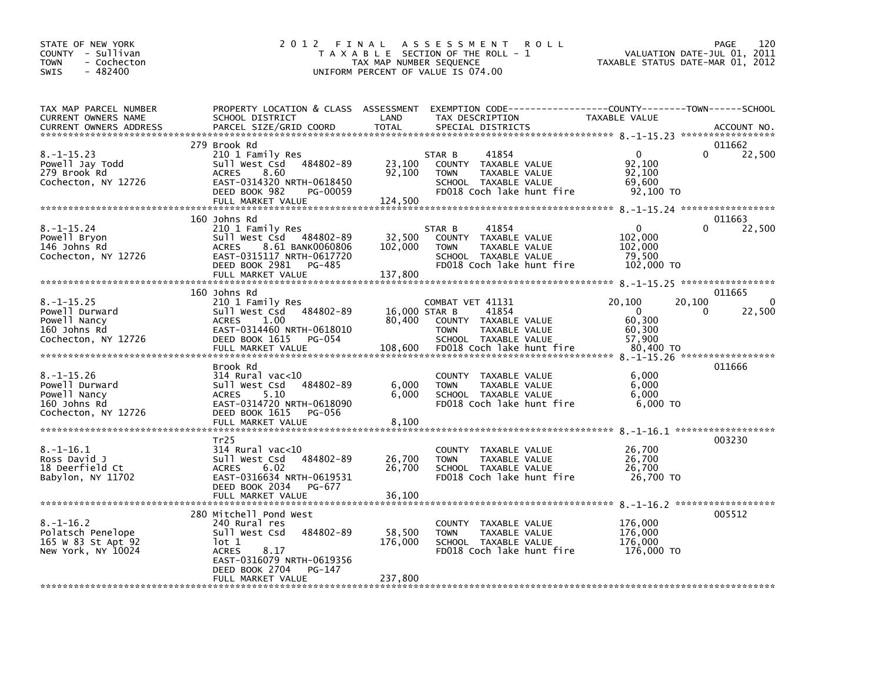| STATE OF NEW YORK<br>COUNTY - Sullivan<br>- Cochecton<br><b>TOWN</b><br>$-482400$<br><b>SWIS</b> | 2 0 1 2<br>FINAL                                                                                                                                                                     | TAX MAP NUMBER SEQUENCE            | A S S E S S M E N T<br><b>ROLL</b><br>T A X A B L E SECTION OF THE ROLL - 1<br>UNIFORM PERCENT OF VALUE IS 074.00                      |                                                               | 120<br><b>PAGE</b><br>VALUATION DATE-JUL 01, 2011<br>TAXABLE STATUS DATE-MAR 01, 2012 |
|--------------------------------------------------------------------------------------------------|--------------------------------------------------------------------------------------------------------------------------------------------------------------------------------------|------------------------------------|----------------------------------------------------------------------------------------------------------------------------------------|---------------------------------------------------------------|---------------------------------------------------------------------------------------|
| TAX MAP PARCEL NUMBER<br>CURRENT OWNERS NAME<br><b>CURRENT OWNERS ADDRESS</b>                    | PROPERTY LOCATION & CLASS ASSESSMENT<br>SCHOOL DISTRICT<br>PARCEL SIZE/GRID COORD                                                                                                    | LAND<br><b>TOTAL</b>               | EXEMPTION CODE------------------COUNTY--------TOWN------SCHOOL<br>TAX DESCRIPTION<br>SPECIAL DISTRICTS                                 | TAXABLE VALUE                                                 | ACCOUNT NO.                                                                           |
|                                                                                                  | 279 Brook Rd                                                                                                                                                                         |                                    |                                                                                                                                        |                                                               | 011662                                                                                |
| $8. -1 - 15.23$<br>Powell Jay Todd<br>279 Brook Rd<br>Cochecton, NY 12726                        | 210 1 Family Res<br>484802-89<br>Sull West Csd<br>8.60<br><b>ACRES</b><br>EAST-0314320 NRTH-0618450<br>DEED BOOK 982<br>PG-00059                                                     | 23,100<br>92,100                   | 41854<br>STAR B<br>COUNTY TAXABLE VALUE<br>TAXABLE VALUE<br><b>TOWN</b><br>SCHOOL TAXABLE VALUE<br>FD018 Coch lake hunt fire           | $\mathbf{0}$<br>92,100<br>92,100<br>69,600<br>92,100 TO       | 22,500                                                                                |
|                                                                                                  | FULL MARKET VALUE                                                                                                                                                                    | 124,500                            |                                                                                                                                        |                                                               |                                                                                       |
|                                                                                                  | 160 Johns Rd                                                                                                                                                                         |                                    |                                                                                                                                        |                                                               | 011663                                                                                |
| $8. -1 - 15.24$<br>Powell Bryon<br>146 Johns Rd<br>Cochecton, NY 12726                           | 210 1 Family Res<br>Sull West Csd 484802-89<br>8.61 BANK0060806<br><b>ACRES</b><br>EAST-0315117 NRTH-0617720<br>DEED BOOK 2981<br>PG-485<br>FULL MARKET VALUE                        | 32,500<br>102,000<br>137,800       | 41854<br>STAR B<br>COUNTY TAXABLE VALUE<br>TAXABLE VALUE<br><b>TOWN</b><br>SCHOOL TAXABLE VALUE<br>FD018 Coch lake hunt fire           | $\mathbf 0$<br>102,000<br>102,000<br>79,500<br>102,000 TO     | 22,500                                                                                |
|                                                                                                  |                                                                                                                                                                                      |                                    |                                                                                                                                        |                                                               |                                                                                       |
|                                                                                                  | 160 Johns Rd                                                                                                                                                                         |                                    |                                                                                                                                        |                                                               | 011665                                                                                |
| $8. -1 - 15.25$<br>Powell Durward<br>Powell Nancy<br>160 Johns Rd<br>Cochecton, NY 12726         | 210 1 Family Res<br>Sull West Csd<br>484802-89<br>1.00<br><b>ACRES</b><br>EAST-0314460 NRTH-0618010<br>DEED BOOK 1615<br><b>PG-054</b><br>FULL MARKET VALUE                          | 16,000 STAR B<br>80,400<br>108,600 | COMBAT VET 41131<br>41854<br>COUNTY TAXABLE VALUE<br>TAXABLE VALUE<br><b>TOWN</b><br>SCHOOL TAXABLE VALUE<br>FD018 Coch lake hunt fire | 20,100<br>$\Omega$<br>60,300<br>60,300<br>57,900<br>80,400 TO | 20,100<br>0<br>0<br>22,500                                                            |
|                                                                                                  |                                                                                                                                                                                      |                                    |                                                                                                                                        |                                                               |                                                                                       |
| $8. - 1 - 15.26$<br>Powell Durward<br>Powell Nancy<br>160 Johns Rd<br>Cochecton, NY 12726        | Brook Rd<br>314 Rural vac<10<br>Sull West Csd<br>484802-89<br>5.10<br><b>ACRES</b><br>EAST-0314720 NRTH-0618090<br>DEED BOOK 1615<br>PG-056<br>FULL MARKET VALUE                     | 6.000<br>6,000<br>8,100            | <b>COUNTY</b><br>TAXABLE VALUE<br>TAXABLE VALUE<br><b>TOWN</b><br>SCHOOL TAXABLE VALUE<br>FD018 Coch lake hunt fire                    | 6,000<br>6,000<br>6,000<br>$6,000$ TO                         | 011666                                                                                |
|                                                                                                  |                                                                                                                                                                                      |                                    |                                                                                                                                        |                                                               |                                                                                       |
| $8. - 1 - 16.1$<br>Ross David J<br>18 Deerfield Ct<br>Babylon, NY 11702                          | Tr <sub>25</sub><br>314 Rural vac<10<br>484802-89<br>Sull West Csd<br>6.02<br><b>ACRES</b><br>EAST-0316634 NRTH-0619531<br>DEED BOOK 2034<br>PG-677                                  | 26,700<br>26,700                   | <b>COUNTY</b><br>TAXABLE VALUE<br><b>TOWN</b><br>TAXABLE VALUE<br>SCHOOL TAXABLE VALUE<br>FD018 Coch lake hunt fire                    | 26,700<br>26,700<br>26.700<br>26,700 TO                       | 003230                                                                                |
|                                                                                                  | FULL MARKET VALUE                                                                                                                                                                    | 36,100                             |                                                                                                                                        |                                                               |                                                                                       |
| $8. - 1 - 16.2$<br>Polatsch Penelope<br>165 W 83 St Apt 92<br>New York, NY 10024                 | 280 Mitchell Pond West<br>240 Rural res<br>484802-89<br>Sull West Csd<br>lot 1<br><b>ACRES</b><br>8.17<br>EAST-0316079 NRTH-0619356<br>DEED BOOK 2704<br>PG-147<br>FULL MARKET VALUE | 58,500<br>176,000<br>237,800       | TAXABLE VALUE<br><b>COUNTY</b><br>TAXABLE VALUE<br><b>TOWN</b><br>SCHOOL TAXABLE VALUE<br>FD018 Coch lake hunt fire                    | 176,000<br>176,000<br>176,000<br>176,000 TO                   | 8. -1-16.2 *******************<br>005512                                              |
|                                                                                                  |                                                                                                                                                                                      |                                    |                                                                                                                                        |                                                               |                                                                                       |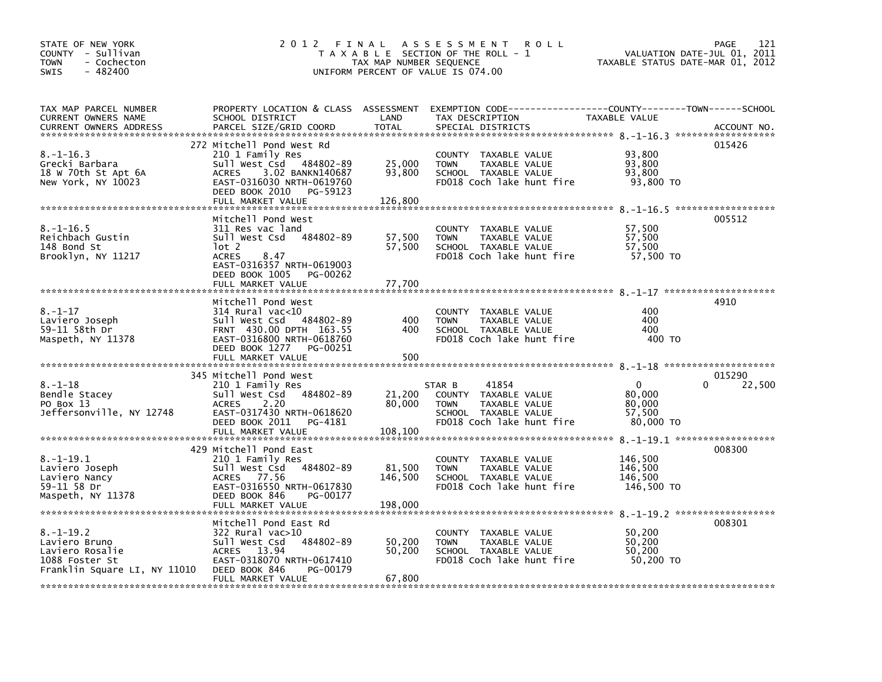| STATE OF NEW YORK<br>COUNTY - Sullivan<br><b>TOWN</b><br>- Cochecton<br>$-482400$<br><b>SWIS</b>      | 2012 FINAL                                                                                                                                                                         | TAX MAP NUMBER SEQUENCE     | A S S E S S M E N T<br><b>ROLL</b><br>T A X A B L E SECTION OF THE ROLL - 1<br>UNIFORM PERCENT OF VALUE IS 074.00                        | VALUATION DATE-JUL 01,<br>TAXABLE STATUS DATE-MAR 01, 2012 | <b>PAGE</b><br>121<br>2011   |
|-------------------------------------------------------------------------------------------------------|------------------------------------------------------------------------------------------------------------------------------------------------------------------------------------|-----------------------------|------------------------------------------------------------------------------------------------------------------------------------------|------------------------------------------------------------|------------------------------|
| TAX MAP PARCEL NUMBER<br>CURRENT OWNERS NAME<br><b>CURRENT OWNERS ADDRESS</b>                         | SCHOOL DISTRICT<br>PARCEL SIZE/GRID COORD                                                                                                                                          | LAND<br><b>TOTAL</b>        | PROPERTY LOCATION & CLASS ASSESSMENT EXEMPTION CODE-----------------COUNTY-------TOWN-----SCHOOL<br>TAX DESCRIPTION<br>SPECIAL DISTRICTS | <b>TAXABLE VALUE</b>                                       | ACCOUNT NO.                  |
| $8. - 1 - 16.3$<br>Grecki Barbara<br>18 W 70th St Apt 6A<br>New York, NY 10023                        | 272 Mitchell Pond West Rd<br>210 1 Family Res<br>Sull West Csd 484802-89<br>3.02 BANKN140687<br>ACRES<br>EAST-0316030 NRTH-0619760<br>DEED BOOK 2010 PG-59123<br>FULL MARKET VALUE | 25,000<br>93,800<br>126,800 | COUNTY TAXABLE VALUE<br>TAXABLE VALUE<br><b>TOWN</b><br>SCHOOL TAXABLE VALUE<br>FD018 Coch lake hunt fire                                | 93,800<br>93,800<br>93.800<br>93,800 TO                    | 015426                       |
| $8. - 1 - 16.5$<br>Reichbach Gustin<br>148 Bond St<br>Brooklyn, NY 11217                              | Mitchell Pond West<br>311 Res vac land<br>Sull West Csd 484802-89<br>lot 2<br><b>ACRES</b><br>8.47<br>EAST-0316357 NRTH-0619003<br>DEED BOOK 1005 PG-00262<br>FULL MARKET VALUE    | 57,500<br>57,500<br>77,700  | COUNTY TAXABLE VALUE<br>TAXABLE VALUE<br><b>TOWN</b><br>SCHOOL TAXABLE VALUE<br>FD018 Coch lake hunt fire                                | 57,500<br>57,500<br>57,500<br>57,500 TO                    | 005512                       |
| $8. - 1 - 17$<br>Laviero Joseph<br>59-11 58th Dr<br>Maspeth, NY 11378                                 | Mitchell Pond West<br>$314$ Rural vac<10<br>Sull West Csd<br>484802-89<br>FRNT 430.00 DPTH 163.55<br>EAST-0316800 NRTH-0618760<br>DEED BOOK 1277 PG-00251                          | 400<br>400                  | COUNTY TAXABLE VALUE<br><b>TOWN</b><br>TAXABLE VALUE<br>SCHOOL TAXABLE VALUE<br>FD018 Coch lake hunt fire                                | 400<br>400<br>400<br>400 TO                                | 4910                         |
| $8. - 1 - 18$<br>Bendle Stacey<br>PO Box 13<br>Jeffersonville, NY 12748                               | 345 Mitchell Pond West<br>210 1 Family Res<br>484802-89<br>Sull West Csd<br>2.20<br>ACRES<br>EAST-0317430 NRTH-0618620<br>DEED BOOK 2011 PG-4181                                   | 21,200<br>80,000            | STAR B<br>41854<br>COUNTY TAXABLE VALUE<br>TAXABLE VALUE<br><b>TOWN</b><br>SCHOOL TAXABLE VALUE<br>FD018 Coch lake hunt fire             | $\mathbf{0}$<br>80,000<br>80,000<br>57,500<br>80,000 TO    | 015290<br>22,500<br>$\Omega$ |
| $8. - 1 - 19.1$<br>Laviero Joseph<br>Laviero Nancy<br>59-11 58 Dr<br>Maspeth, NY 11378                | 429 Mitchell Pond East<br>210 1 Family Res<br>484802-89<br>Sull West Csd<br>ACRES 77.56<br>EAST-0316550 NRTH-0617830<br>DEED BOOK 846<br>PG-00177                                  | 81,500<br>146,500           | COUNTY TAXABLE VALUE<br><b>TOWN</b><br>TAXABLE VALUE<br>SCHOOL TAXABLE VALUE<br>FD018 Coch lake hunt fire                                | 146,500<br>146,500<br>146,500<br>146,500 TO                | 008300                       |
| $8. - 1 - 19.2$<br>Laviero Bruno<br>Laviero Rosalie<br>1088 Foster St<br>Franklin Square LI, NY 11010 | Mitchell Pond East Rd<br>322 Rural vac>10<br>484802-89<br>Sull West Csd<br>ACRES 13.94<br>EAST-0318070 NRTH-0617410<br>DEED BOOK 846<br>PG-00179<br>FULL MARKET VALUE              | 50,200<br>50,200<br>67,800  | COUNTY TAXABLE VALUE<br>TAXABLE VALUE<br><b>TOWN</b><br>SCHOOL TAXABLE VALUE<br>FD018 Coch lake hunt fire                                | 50,200<br>50,200<br>50,200<br>50,200 TO                    | 008301                       |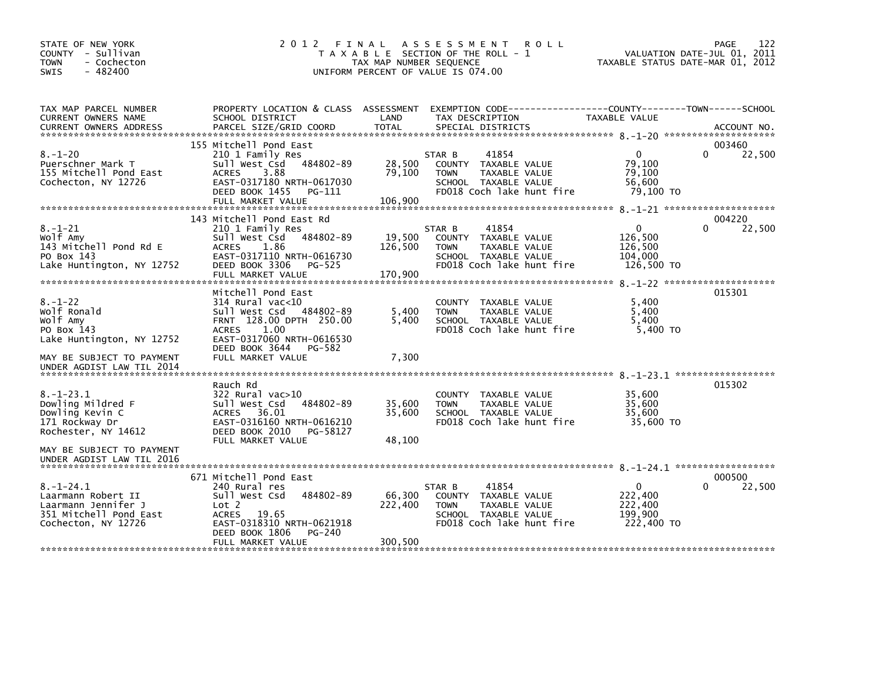| STATE OF NEW YORK<br>COUNTY - Sullivan<br><b>TOWN</b><br>- Cochecton<br>$-482400$<br>SWIS                     | 2 0 1 2                                                                                                                                                                                          | TAX MAP NUMBER SEQUENCE      | FINAL ASSESSMENT<br><b>ROLL</b><br>T A X A B L E SECTION OF THE ROLL - 1<br>UNIFORM PERCENT OF VALUE IS 074.00               | 122<br><b>PAGE</b><br>VALUATION DATE-JUL 01, 2011<br>TAXABLE STATUS DATE-MAR 01, 2012               |  |
|---------------------------------------------------------------------------------------------------------------|--------------------------------------------------------------------------------------------------------------------------------------------------------------------------------------------------|------------------------------|------------------------------------------------------------------------------------------------------------------------------|-----------------------------------------------------------------------------------------------------|--|
| TAX MAP PARCEL NUMBER<br>CURRENT OWNERS NAME<br><b>CURRENT OWNERS ADDRESS</b>                                 | PROPERTY LOCATION & CLASS ASSESSMENT<br>SCHOOL DISTRICT<br>PARCEL SIZE/GRID COORD                                                                                                                | LAND<br><b>TOTAL</b>         | TAX DESCRIPTION<br>SPECIAL DISTRICTS                                                                                         | EXEMPTION        CODE-----------------COUNTY-------TOWN------SCHOOL<br>TAXABLE VALUE<br>ACCOUNT NO. |  |
| $8. - 1 - 20$<br>Puerschner Mark T<br>155 Mitchell Pond East<br>Cochecton, NY 12726                           | 155 Mitchell Pond East<br>210 1 Family Res<br>484802-89<br>Sull West Csd<br><b>ACRES</b><br>3.88<br>EAST-0317180 NRTH-0617030<br>DEED BOOK 1455<br>PG-111<br>FULL MARKET VALUE                   | 28,500<br>79,100<br>106,900  | 41854<br>STAR B<br>COUNTY TAXABLE VALUE<br><b>TOWN</b><br>TAXABLE VALUE<br>SCHOOL TAXABLE VALUE<br>FD018 Coch lake hunt fire | 003460<br>$\mathbf{0}$<br>0<br>22,500<br>79.100<br>79.100<br>56,600<br>79,100 TO                    |  |
|                                                                                                               | 143 Mitchell Pond East Rd                                                                                                                                                                        |                              |                                                                                                                              | 004220                                                                                              |  |
| $8. - 1 - 21$<br>Wolf Amy<br>143 Mitchell Pond Rd E<br>PO Box 143<br>Lake Huntington, NY 12752                | 210 1 Family Res<br>484802-89<br>Sull West Csd<br><b>ACRES</b><br>1.86<br>EAST-0317110 NRTH-0616730<br>DEED BOOK 3306<br>PG-525<br>FULL MARKET VALUE                                             | 19,500<br>126,500<br>170,900 | 41854<br>STAR B<br>COUNTY TAXABLE VALUE<br>TAXABLE VALUE<br><b>TOWN</b><br>SCHOOL TAXABLE VALUE<br>FD018 Coch lake hunt fire | 0<br>0<br>22,500<br>126,500<br>126,500<br>104,000<br>126,500 TO                                     |  |
|                                                                                                               |                                                                                                                                                                                                  |                              |                                                                                                                              |                                                                                                     |  |
| $8. - 1 - 22$<br>Wolf Ronald<br>Wolf Amy<br>PO Box 143<br>Lake Huntington, NY 12752                           | Mitchell Pond East<br>$314$ Rural vac<10<br>Sull West Csd<br>484802-89<br>FRNT 128.00 DPTH 250.00<br>1.00<br><b>ACRES</b><br>EAST-0317060 NRTH-0616530<br>DEED BOOK 3644<br>PG-582               | 5,400<br>5,400               | COUNTY TAXABLE VALUE<br><b>TOWN</b><br>TAXABLE VALUE<br>SCHOOL TAXABLE VALUE<br>FD018 Coch lake hunt fire                    | 015301<br>5,400<br>5,400<br>5,400<br>5.400 TO                                                       |  |
| MAY BE SUBJECT TO PAYMENT<br>UNDER AGDIST LAW TIL 2014                                                        | FULL MARKET VALUE                                                                                                                                                                                | 7,300                        |                                                                                                                              |                                                                                                     |  |
| $8. - 1 - 23.1$<br>Dowling Mildred F<br>Dowling Kevin C<br>171 Rockway Dr<br>Rochester, NY 14612              | Rauch Rd<br>322 Rural vac>10<br>Sull West Csd<br>484802-89<br>36.01<br>ACRES<br>EAST-0316160 NRTH-0616210<br>DEED BOOK 2010<br>PG-58127<br>FULL MARKET VALUE                                     | 35,600<br>35,600<br>48.100   | COUNTY TAXABLE VALUE<br><b>TOWN</b><br>TAXABLE VALUE<br>SCHOOL TAXABLE VALUE<br>FD018 Coch lake hunt fire                    | 015302<br>35,600<br>35.600<br>35,600<br>35,600 TO                                                   |  |
| MAY BE SUBJECT TO PAYMENT<br>UNDER AGDIST LAW TIL 2016                                                        |                                                                                                                                                                                                  |                              |                                                                                                                              |                                                                                                     |  |
| $8. - 1 - 24.1$<br>Laarmann Robert II<br>Laarmann Jennifer J<br>351 Mitchell Pond East<br>Cochecton, NY 12726 | 671 Mitchell Pond East<br>240 Rural res<br>484802-89<br>Sull West Csd<br>Lot <sub>2</sub><br>19.65<br><b>ACRES</b><br>EAST-0318310 NRTH-0621918<br>DEED BOOK 1806<br>PG-240<br>FULL MARKET VALUE | 66,300<br>222,400<br>300,500 | 41854<br>STAR B<br>COUNTY TAXABLE VALUE<br><b>TOWN</b><br>TAXABLE VALUE<br>SCHOOL TAXABLE VALUE<br>FD018 Coch lake hunt fire | 000500<br>$\Omega$<br>0<br>22,500<br>222,400<br>222,400<br>199,900<br>222,400 TO                    |  |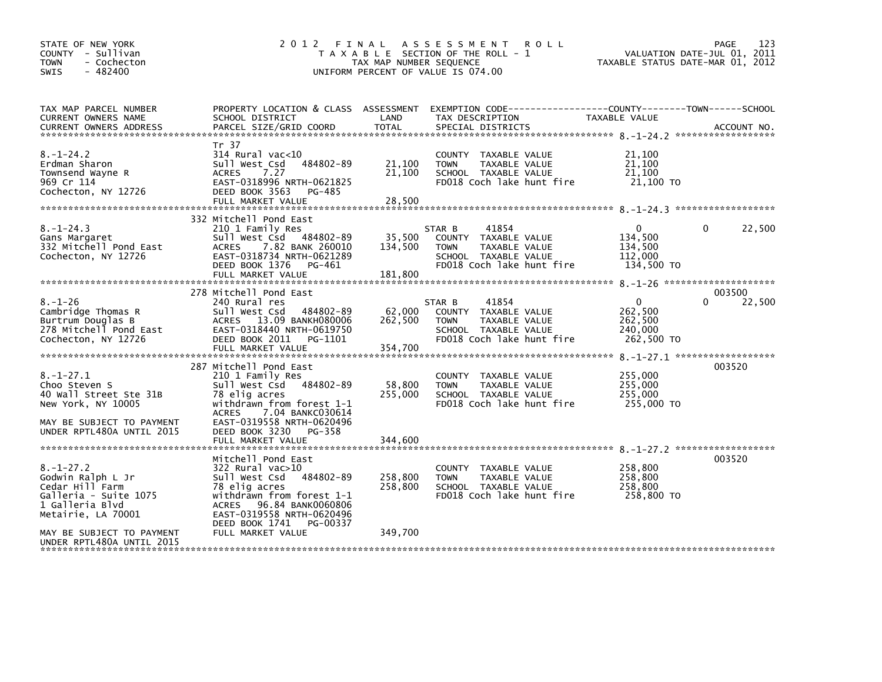| STATE OF NEW YORK<br>COUNTY - Sullivan<br><b>TOWN</b><br>- Cochecton<br>$-482400$<br><b>SWIS</b>                                           | 2012 FINAL                                                                                                                                                                                                          | TAX MAP NUMBER SEQUENCE      | ASSESSMENT ROLL<br>T A X A B L E SECTION OF THE ROLL - 1<br>UNIFORM PERCENT OF VALUE IS 074.00                                          | TAXABLE STATUS DATE-MAR 01, 2012                            | PAGE<br>123<br>VALUATION DATE-JUL 01, 2011 |
|--------------------------------------------------------------------------------------------------------------------------------------------|---------------------------------------------------------------------------------------------------------------------------------------------------------------------------------------------------------------------|------------------------------|-----------------------------------------------------------------------------------------------------------------------------------------|-------------------------------------------------------------|--------------------------------------------|
| TAX MAP PARCEL NUMBER<br>CURRENT OWNERS NAME<br><b>CURRENT OWNERS ADDRESS</b>                                                              | SCHOOL DISTRICT<br>PARCEL SIZE/GRID COORD                                                                                                                                                                           | LAND<br><b>TOTAL</b>         | PROPERTY LOCATION & CLASS ASSESSMENT EXEMPTION CODE---------------COUNTY-------TOWN------SCHOOL<br>TAX DESCRIPTION<br>SPECIAL DISTRICTS | TAXABLE VALUE                                               | ACCOUNT NO.                                |
| $8. - 1 - 24.2$<br>Erdman Sharon<br>Townsend Wayne R<br>969 Cr 114<br>Cochecton, NY 12726                                                  | Tr 37<br>$314$ Rural vac<10<br>484802-89<br>Sull West Csd<br><b>ACRES</b><br>7.27<br>EAST-0318996 NRTH-0621825<br>DEED BOOK 3563<br>PG-485<br>FULL MARKET VALUE                                                     | 21,100<br>21,100<br>28,500   | COUNTY TAXABLE VALUE<br><b>TOWN</b><br>TAXABLE VALUE<br>SCHOOL TAXABLE VALUE<br>FD018 Coch lake hunt fire                               | 21,100<br>21,100<br>21,100<br>21,100 TO                     |                                            |
| $8. - 1 - 24.3$<br>Gans Margaret<br>332 Mitchell Pond East<br>Cochecton, NY 12726                                                          | 332 Mitchell Pond East<br>210 1 Family Res<br>Sull West Csd 484802-89<br>7.82 BANK 260010<br><b>ACRES</b><br>EAST-0318734 NRTH-0621289<br>DEED BOOK 1376 PG-461<br>FULL MARKET VALUE                                | 35,500<br>134,500<br>181,800 | STAR B<br>41854<br>COUNTY TAXABLE VALUE<br>TAXABLE VALUE<br><b>TOWN</b><br>SCHOOL TAXABLE VALUE<br>FD018 Coch lake hunt fire            | $^{\circ}$<br>134,500<br>134,500<br>112,000<br>134,500 TO   | 22,500<br>0                                |
| $8. - 1 - 26$<br>Cambridge Thomas R<br>Burtrum Douglas B<br>278 Mitchell Pond East<br>Cochecton, NY 12726                                  | 278 Mitchell Pond East<br>240 Rural res<br>484802-89<br>Sull West Csd<br>ACRES 13.09 BANKH080006<br>EAST-0318440 NRTH-0619750<br>DEED BOOK 2011<br>PG-1101<br>FULL MARKET VALUE                                     | 62,000<br>262,500<br>354,700 | 41854<br>STAR B<br>COUNTY TAXABLE VALUE<br><b>TOWN</b><br>TAXABLE VALUE<br>SCHOOL TAXABLE VALUE<br>FD018 Coch lake hunt fire            | $\mathbf{0}$<br>262,500<br>262,500<br>240,000<br>262,500 TO | 003500<br>22,500<br>$\Omega$               |
| $8. - 1 - 27.1$<br>Choo Steven S<br>40 Wall Street Ste 31B<br>New York, NY 10005<br>MAY BE SUBJECT TO PAYMENT<br>UNDER RPTL480A UNTIL 2015 | 287 Mitchell Pond East<br>210 1 Family Res<br>484802-89<br>Sull West Csd<br>78 elig acres<br>withdrawn from forest 1-1<br><b>ACRES</b><br>7.04 BANKC030614<br>EAST-0319558 NRTH-0620496<br>DEED BOOK 3230<br>PG-358 | 58,800<br>255,000            | COUNTY TAXABLE VALUE<br><b>TOWN</b><br>TAXABLE VALUE<br>SCHOOL TAXABLE VALUE<br>FD018 Coch lake hunt fire                               | 255,000<br>255,000<br>255,000<br>255,000 TO                 | 003520                                     |
|                                                                                                                                            | FULL MARKET VALUE                                                                                                                                                                                                   | 344,600                      |                                                                                                                                         |                                                             |                                            |
| $8. - 1 - 27.2$<br>Godwin Ralph L Jr<br>Cedar Hill Farm<br>Galleria - Suite 1075<br>1 Galleria Blvd<br>Metairie, LA 70001                  | Mitchell Pond East<br>$322$ Rural vac $>10$<br>Sull West Csd 484802-89<br>78 elig acres<br>withdrawn from forest 1-1<br>ACRES 96.84 BANK0060806<br>EAST-0319558 NRTH-0620496                                        | 258,800<br>258,800           | COUNTY TAXABLE VALUE<br><b>TAXABLE VALUE</b><br><b>TOWN</b><br>SCHOOL TAXABLE VALUE<br>FD018 Coch lake hunt fire                        | 258,800<br>258,800<br>258,800<br>258,800 TO                 | 003520                                     |
| MAY BE SUBJECT TO PAYMENT<br>UNDER RPTL480A UNTIL 2015                                                                                     | DEED BOOK 1741<br>PG-00337<br>FULL MARKET VALUE                                                                                                                                                                     | 349,700                      |                                                                                                                                         |                                                             |                                            |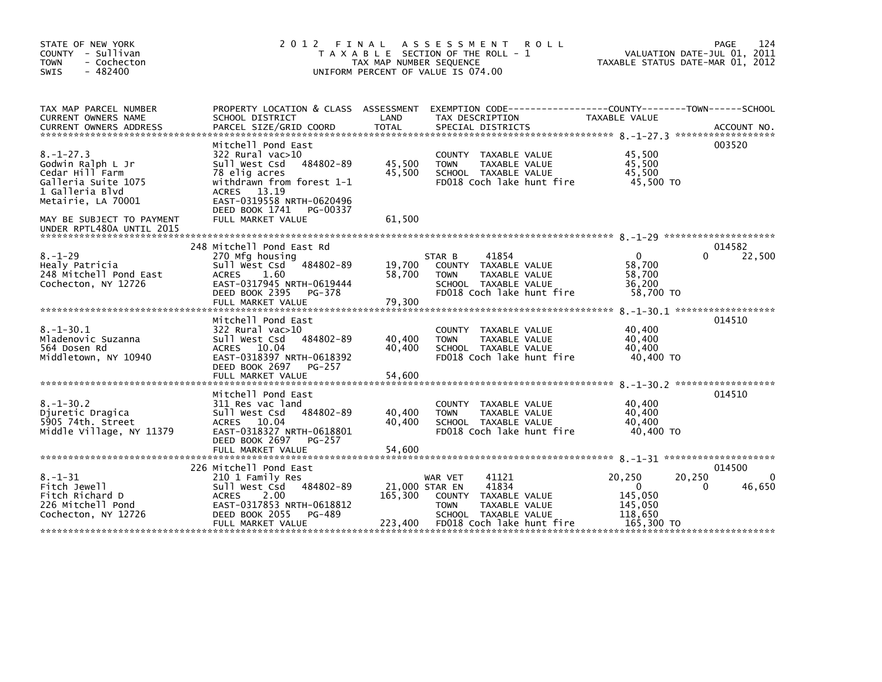| STATE OF NEW YORK<br>COUNTY - Sullivan<br><b>TOWN</b><br>- Cochecton<br>$-482400$<br>SWIS                               | 2 0 1 2                                                                                                                                                                                             | TAX MAP NUMBER SEQUENCE              | FINAL ASSESSMENT<br><b>ROLL</b><br>T A X A B L E SECTION OF THE ROLL - 1<br>UNIFORM PERCENT OF VALUE IS 074.00                                   | VALUATION DATE-JUL 01, 2011<br>TAXABLE STATUS DATE-MAR 01, 2012                  | 124<br><b>PAGE</b>    |
|-------------------------------------------------------------------------------------------------------------------------|-----------------------------------------------------------------------------------------------------------------------------------------------------------------------------------------------------|--------------------------------------|--------------------------------------------------------------------------------------------------------------------------------------------------|----------------------------------------------------------------------------------|-----------------------|
| TAX MAP PARCEL NUMBER<br>CURRENT OWNERS NAME                                                                            | SCHOOL DISTRICT                                                                                                                                                                                     | LAND                                 | PROPERTY LOCATION & CLASS ASSESSMENT EXEMPTION CODE---------------COUNTY-------TOWN------SCHOOL<br>TAX DESCRIPTION                               | TAXABLE VALUE                                                                    |                       |
| $8. - 1 - 27.3$<br>Godwin Ralph L Jr<br>Cedar Hill Farm<br>Galleria Suite 1075<br>1 Galleria Blvd<br>Metairie, LA 70001 | Mitchell Pond East<br>322 Rural vac>10<br>Sull West Csd 484802-89<br>78 elig acres<br>withdrawn from forest 1-1<br><b>ACRES</b><br>13.19<br>EAST-0319558 NRTH-0620496<br>DEED BOOK 1741<br>PG-00337 | 45,500<br>45,500                     | COUNTY TAXABLE VALUE<br>TAXABLE VALUE<br><b>TOWN</b><br>SCHOOL TAXABLE VALUE<br>FD018 Coch lake hunt fire                                        | 45,500<br>45,500<br>45.500<br>45,500 TO                                          | 003520                |
| MAY BE SUBJECT TO PAYMENT<br>UNDER RPTL480A UNTIL 2015                                                                  | FULL MARKET VALUE                                                                                                                                                                                   | 61,500                               |                                                                                                                                                  |                                                                                  |                       |
| $8. - 1 - 29$<br>Healy Patricia<br>248 Mitchell Pond East<br>Cochecton, NY 12726                                        | 248 Mitchell Pond East Rd<br>270 Mfg housing<br>Sull West Csd<br>484802-89<br>1.60<br><b>ACRES</b><br>EAST-0317945 NRTH-0619444<br>DEED BOOK 2395<br>PG-378<br>FULL MARKET VALUE                    | 19,700<br>58,700<br>79,300           | 41854<br>STAR B<br>COUNTY TAXABLE VALUE<br>TAXABLE VALUE<br><b>TOWN</b><br>SCHOOL TAXABLE VALUE<br>FD018 Coch lake hunt fire                     | 0<br>0<br>58.700<br>58,700<br>36,200<br>58,700 TO                                | 014582<br>22,500      |
| $8. - 1 - 30.1$<br>Mladenovic Suzanna<br>564 Dosen Rd<br>Middletown, NY 10940                                           | Mitchell Pond East<br>$322$ Rural vac $>10$<br>Sull West Csd 484802-89<br>ACRES 10.04<br>EAST-0318397 NRTH-0618392<br>DEED BOOK 2697 PG-257<br>FULL MARKET VALUE                                    | 40,400<br>40.400<br>54,600           | COUNTY TAXABLE VALUE<br>TAXABLE VALUE<br><b>TOWN</b><br>SCHOOL TAXABLE VALUE<br>FD018 Coch lake hunt fire                                        | 40,400<br>40,400<br>40,400<br>40,400 TO<br>8. -1-30.2 *******************        | 014510                |
| $8. - 1 - 30.2$<br>Djuretic Dragica<br>5905 74th. Street<br>Middle Village, NY 11379                                    | Mitchell Pond East<br>311 Res vac land<br>Sull West Csd 484802-89<br>ACRES 10.04<br>EAST-0318327 NRTH-0618801<br>DEED BOOK 2697<br>PG-257<br>FULL MARKET VALUE                                      | 40,400<br>40.400<br>54,600           | COUNTY TAXABLE VALUE<br><b>TOWN</b><br>TAXABLE VALUE<br>SCHOOL TAXABLE VALUE<br>FD018 Coch lake hunt fire                                        | 40,400<br>40,400<br>40.400<br>40,400 TO                                          | 014510                |
| $8. - 1 - 31$<br>Fitch Jewell<br>Fitch Richard D<br>226 Mitchell Pond<br>Cochecton, NY 12726                            | 226 Mitchell Pond East<br>210 1 Family Res<br>Sull West Csd 484802-89<br><b>ACRES</b><br>2.00<br>EAST-0317853 NRTH-0618812<br>DEED BOOK 2055<br>PG-489<br>FULL MARKET VALUE                         | 21,000 STAR EN<br>165.300<br>223,400 | 41121<br>WAR VET<br>41834<br>TAXABLE VALUE<br><b>COUNTY</b><br><b>TOWN</b><br>TAXABLE VALUE<br>SCHOOL TAXABLE VALUE<br>FD018 Coch lake hunt fire | 20,250<br>20,250<br>$\Omega$<br>0<br>145,050<br>145,050<br>118,650<br>165,300 TO | 014500<br>0<br>46,650 |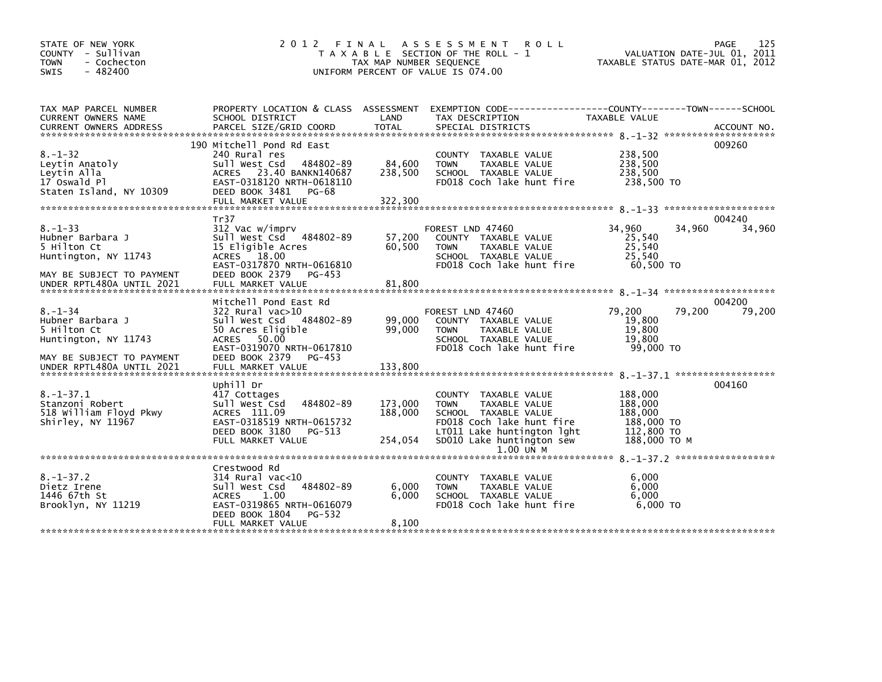| STATE OF NEW YORK<br>COUNTY - Sullivan<br>- Cochecton<br>TOWN<br>$-482400$<br><b>SWIS</b>             | 2 0 1 2                                                                                                                                                                          | FINAL<br>TAX MAP NUMBER SEQUENCE | ASSESSMENT ROLL<br>T A X A B L E SECTION OF THE ROLL - 1<br>UNIFORM PERCENT OF VALUE IS 074.00                                                                                      | VALUATION DATE-JUL 01, 2011<br>TAXABLE STATUS DATE-MAR 01, 2012           | 125<br>PAGE      |
|-------------------------------------------------------------------------------------------------------|----------------------------------------------------------------------------------------------------------------------------------------------------------------------------------|----------------------------------|-------------------------------------------------------------------------------------------------------------------------------------------------------------------------------------|---------------------------------------------------------------------------|------------------|
|                                                                                                       |                                                                                                                                                                                  |                                  |                                                                                                                                                                                     |                                                                           |                  |
| TAX MAP PARCEL NUMBER<br>CURRENT OWNERS NAME<br>CURRENT OWNERS ADDRESS                                | PROPERTY LOCATION & CLASS ASSESSMENT<br>SCHOOL DISTRICT                                                                                                                          | LAND                             | EXEMPTION CODE-----------------COUNTY-------TOWN------SCHOOL<br>TAX DESCRIPTION                                                                                                     | TAXABLE VALUE                                                             |                  |
| $8. - 1 - 32$<br>Leytin Anatoly<br>Leytin Alla<br>17 Oswald Pl<br>Staten Island, NY 10309             | 190 Mitchell Pond Rd East<br>240 Rural res<br>484802-89<br>Sull West Csd<br>ACRES 23.40 BANKN140687<br>EAST-0318120 NRTH-0618110<br>DEED BOOK 3481<br>PG-68<br>FULL MARKET VALUE | 84,600<br>238,500<br>322,300     | COUNTY TAXABLE VALUE<br>TAXABLE VALUE<br><b>TOWN</b><br>SCHOOL TAXABLE VALUE<br>FD018 Coch lake hunt fire                                                                           | 238,500<br>238,500<br>238,500<br>238,500 TO                               | 009260           |
| $8. - 1 - 33$<br>Hubner Barbara J<br>5 Hilton Ct<br>Huntington, NY 11743<br>MAY BE SUBJECT TO PAYMENT | Tr37<br>312 Vac w/imprv<br>Sull West Csd 484802-89<br>15 Eligible Acres<br>ACRES 18.00<br>EAST-0317870 NRTH-0616810<br>DEED BOOK 2379<br>PG-453                                  | 57,200<br>60,500                 | FOREST LND 47460<br>COUNTY TAXABLE VALUE<br>TAXABLE VALUE<br><b>TOWN</b><br>SCHOOL TAXABLE VALUE<br>FD018 Coch lake hunt fire                                                       | 34,960<br>34,960<br>25,540<br>25,540<br>25,540<br>60,500 TO               | 004240<br>34,960 |
| UNDER RPTL480A UNTIL 2021                                                                             | FULL MARKET VALUE                                                                                                                                                                | 81,800                           |                                                                                                                                                                                     |                                                                           |                  |
| $8. - 1 - 34$<br>Hubner Barbara J<br>5 Hilton Ct<br>Huntington, NY 11743<br>MAY BE SUBJECT TO PAYMENT | Mitchell Pond East Rd<br>$322$ Rural vac $>10$<br>Sull West Csd 484802-89<br>50 Acres Eligible<br>ACRES 50.00<br>EAST-0319070 NRTH-0617810<br>DEED BOOK 2379 PG-453              | 99,000<br>99,000                 | FOREST LND 47460<br>COUNTY TAXABLE VALUE<br>TAXABLE VALUE<br><b>TOWN</b><br>SCHOOL TAXABLE VALUE<br>FD018 Coch lake hunt fire                                                       | 79,200<br>79,200<br>19,800<br>19,800<br>19,800<br>99,000 TO               | 004200<br>79,200 |
|                                                                                                       |                                                                                                                                                                                  |                                  |                                                                                                                                                                                     |                                                                           |                  |
| $8. - 1 - 37.1$<br>Stanzoni Robert<br>518 William Floyd Pkwy<br>Shirley, NY 11967                     | Uphill Dr<br>417 Cottages<br>484802-89<br>Sull West Csd<br>ACRES 111.09<br>EAST-0318519 NRTH-0615732<br>DEED BOOK 3180<br>PG-513<br>FULL MARKET VALUE                            | 173,000<br>188,000<br>254,054    | COUNTY TAXABLE VALUE<br><b>TOWN</b><br>TAXABLE VALUE<br>SCHOOL TAXABLE VALUE<br>FD018 Coch lake hunt fire<br>LT011 Lake huntington lght<br>SD010 Lake huntington sew<br>$1.00$ UN M | 188,000<br>188,000<br>188,000<br>188,000 TO<br>112,800 TO<br>188,000 то м | 004160           |
|                                                                                                       |                                                                                                                                                                                  |                                  |                                                                                                                                                                                     |                                                                           |                  |
| $8. - 1 - 37.2$<br>Dietz Irene<br>1446 67th St<br>Brooklyn, NY 11219                                  | Crestwood Rd<br>314 Rural vac<10<br>484802-89<br>Sull West Csd<br>1.00<br><b>ACRES</b><br>EAST-0319865 NRTH-0616079<br>DEED BOOK 1804<br>PG-532                                  | 6,000<br>6,000                   | <b>COUNTY</b><br>TAXABLE VALUE<br>TAXABLE VALUE<br><b>TOWN</b><br>SCHOOL TAXABLE VALUE<br>FD018 Coch lake hunt fire                                                                 | 6,000<br>6,000<br>6,000<br>$6,000$ TO                                     |                  |
|                                                                                                       | FULL MARKET VALUE                                                                                                                                                                | 8,100                            |                                                                                                                                                                                     |                                                                           |                  |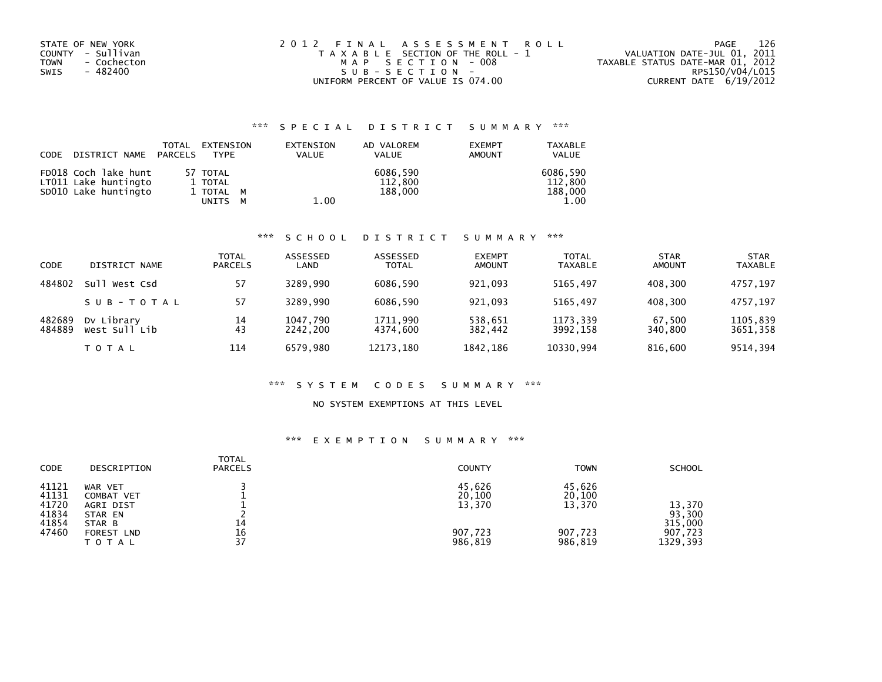| MAP SECTION - 008 | TAXABLE STATUS DATE-MAR 01, 2012            |
|-------------------|---------------------------------------------|
| SUB-SECTION-      | RPS150/V04/L015<br>CURRENT DATE $6/19/2012$ |
|                   | UNIFORM PERCENT OF VALUE IS 074.00          |

## \*\*\* S P E C I A L D I S T R I C T S U M M A R Y \*\*\*

| CODE | DISTRICT NAME PARCELS                                                | TOTAL | EXTENSION<br><b>TYPF</b>                  | EXTENSION<br>VALUE | AD VALOREM<br><b>VALUE</b>     | <b>EXEMPT</b><br>AMOUNT | <b>TAXABLE</b><br><b>VALUE</b>         |
|------|----------------------------------------------------------------------|-------|-------------------------------------------|--------------------|--------------------------------|-------------------------|----------------------------------------|
|      | FD018 Coch lake hunt<br>LT011 Lake huntingto<br>SD010 Lake huntingto |       | 57 TOTAL<br>1 TOTAL<br>1 TOTAL M<br>UNITS | 1.00               | 6086.590<br>112,800<br>188,000 |                         | 6086,590<br>112.800<br>188,000<br>1.00 |

#### \*\*\* S C H O O L D I S T R I C T S U M M A R Y \*\*\*

| CODE             | DISTRICT NAME               | TOTAL<br><b>PARCELS</b> | ASSESSED<br>LAND     | ASSESSED<br><b>TOTAL</b> | <b>EXEMPT</b><br><b>AMOUNT</b> | <b>TOTAL</b><br><b>TAXABLE</b> | <b>STAR</b><br><b>AMOUNT</b> | <b>STAR</b><br><b>TAXABLE</b> |
|------------------|-----------------------------|-------------------------|----------------------|--------------------------|--------------------------------|--------------------------------|------------------------------|-------------------------------|
| 484802           | Sull West Csd               | 57                      | 3289.990             | 6086,590                 | 921.093                        | 5165.497                       | 408.300                      | 4757.197                      |
|                  | SUB-TOTAL                   | 57                      | 3289.990             | 6086.590                 | 921.093                        | 5165.497                       | 408.300                      | 4757.197                      |
| 482689<br>484889 | Dy Library<br>West Sull Lib | 14<br>43                | 1047,790<br>2242.200 | 1711,990<br>4374.600     | 538,651<br>382.442             | 1173,339<br>3992.158           | 67,500<br>340.800            | 1105,839<br>3651.358          |
|                  | TOTAL                       | 114                     | 6579.980             | 12173,180                | 1842,186                       | 10330,994                      | 816.600                      | 9514.394                      |

### \*\*\* S Y S T E M C O D E S S U M M A R Y \*\*\*

#### NO SYSTEM EXEMPTIONS AT THIS LEVEL

## \*\*\* E X E M P T I O N S U M M A R Y \*\*\*

| <b>CODE</b>                                        | DESCRIPTION                                                           | <b>TOTAL</b><br><b>PARCELS</b> | <b>COUNTY</b>                         | <b>TOWN</b>                           | <b>SCHOOL</b>                          |
|----------------------------------------------------|-----------------------------------------------------------------------|--------------------------------|---------------------------------------|---------------------------------------|----------------------------------------|
| 41121<br>41131<br>41720<br>41834<br>41854<br>47460 | WAR VET<br>COMBAT VET<br>AGRI DIST<br>STAR EN<br>STAR B<br>FOREST LND | 14<br>16                       | 45,626<br>20,100<br>13,370<br>907,723 | 45,626<br>20,100<br>13,370<br>907,723 | 13,370<br>93,300<br>315,000<br>907,723 |
|                                                    | TOTAL                                                                 | 37                             | 986,819                               | 986,819                               | 1329, 393                              |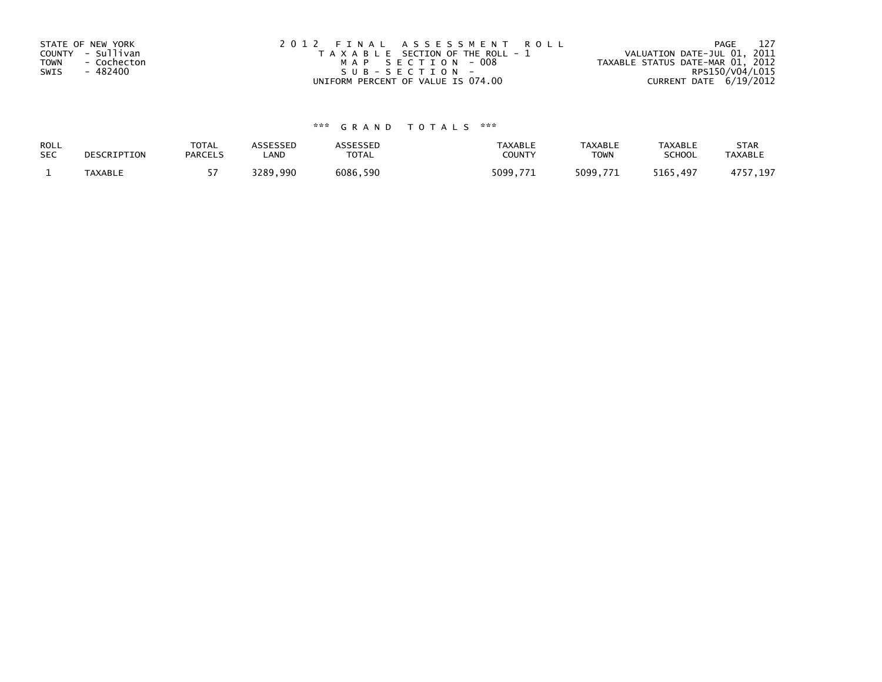| STATE OF NEW YORK          | 2012 FINAL ASSESSMENT ROLL            | 127<br>PAGE                      |
|----------------------------|---------------------------------------|----------------------------------|
| COUNTY - Sullivan          | T A X A B L E SECTION OF THE ROLL - 1 | VALUATION DATE-JUL 01, 2011      |
| <b>TOWN</b><br>- Cochecton | MAP SECTION - 008                     | TAXABLE STATUS DATE-MAR 01, 2012 |
| - 482400<br>SWIS           | SUB-SECTION-                          | RPS150/V04/L015                  |
|                            | UNIFORM PERCENT OF VALUE IS 074.00    | CURRENT DATE 6/19/2012           |

# \*\*\* G R A N D T O T A L S \*\*\*

| ROLL       | DESCRIPTION | <b>TOTAL</b>   | ASSESSED | <b>\SSESSED</b> | <b>TAXABLE</b> | <b>TAXABLE</b> | <b>TAXABLE</b> | <b>STAR</b>    |
|------------|-------------|----------------|----------|-----------------|----------------|----------------|----------------|----------------|
| <b>SEC</b> |             | <b>PARCELS</b> | ∟AND     | <b>TOTAL</b>    | COUNTY         | TOWN           | <b>SCHOOL</b>  | <b>TAXABLE</b> |
|            | TAXABLE     |                | 3289,990 | 6086,590        | 5099.771       | 5099,771       | 5165,497       | 1757.197       |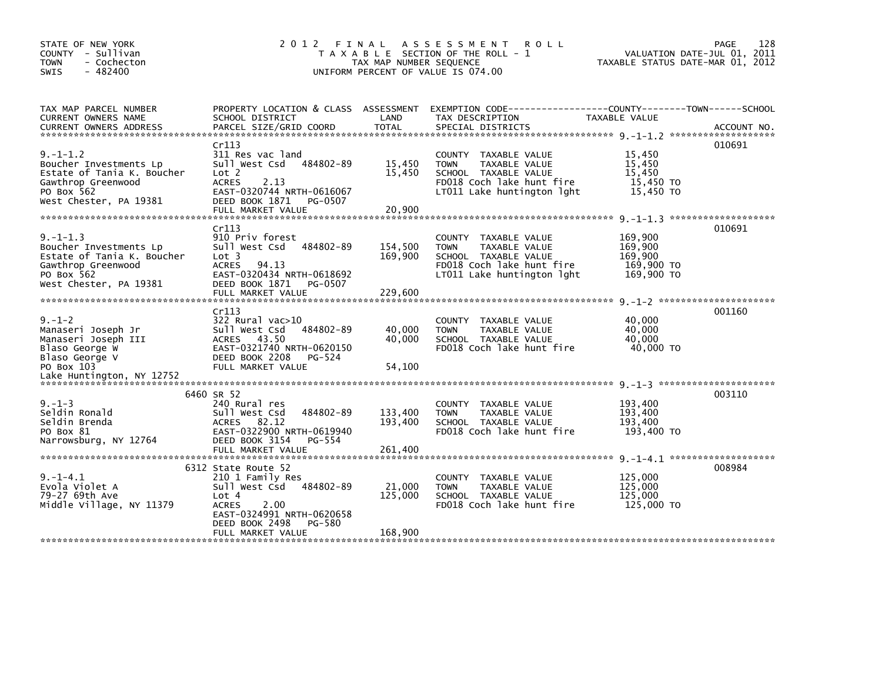| STATE OF NEW YORK<br>COUNTY - Sullivan<br>- Cochecton<br><b>TOWN</b><br>$-482400$<br>SWIS                                            |                                                                                                                                                                         | TAX MAP NUMBER SEQUENCE       | 2012 FINAL ASSESSMENT<br><b>ROLL</b><br>T A X A B L E SECTION OF THE ROLL - 1<br>UNIFORM PERCENT OF VALUE IS 074.00                     | VALUATION DATE-JUL 01, 2011<br>TAXABLE STATUS DATE-MAR 01, 2012 | 128<br>PAGE |
|--------------------------------------------------------------------------------------------------------------------------------------|-------------------------------------------------------------------------------------------------------------------------------------------------------------------------|-------------------------------|-----------------------------------------------------------------------------------------------------------------------------------------|-----------------------------------------------------------------|-------------|
| TAX MAP PARCEL NUMBER<br>CURRENT OWNERS NAME                                                                                         | SCHOOL DISTRICT                                                                                                                                                         | LAND                          | PROPERTY LOCATION & CLASS ASSESSMENT EXEMPTION CODE----------------COUNTY-------TOWN------SCHOOL<br>TAX DESCRIPTION                     | TAXABLE VALUE                                                   |             |
| $9. - 1 - 1.2$<br>Boucher Investments Lp<br>Estate of Tania K. Boucher<br>Gawthrop Greenwood<br>PO Box 562<br>West Chester, PA 19381 | Cr113<br>311 Res vac land<br>Sull West Csd<br>484802-89<br>Lot <sub>2</sub><br>2.13<br><b>ACRES</b><br>EAST-0320744 NRTH-0616067<br>DEED BOOK 1871<br>PG-0507           | 15,450<br>15,450              | COUNTY TAXABLE VALUE<br>TAXABLE VALUE<br><b>TOWN</b><br>SCHOOL TAXABLE VALUE<br>FD018 Coch lake hunt fire<br>LT011 Lake huntington lght | 15,450<br>15,450<br>15,450<br>15,450 TO<br>15,450 TO            | 010691      |
| $9. -1 - 1.3$<br>Boucher Investments Lp<br>Estate of Tania K. Boucher<br>Gawthrop Greenwood<br>PO Box 562<br>West Chester, PA 19381  | Cr113<br>910 Priv forest<br>Sull West Csd<br>484802-89<br>Lot 3<br><b>ACRES</b><br>94.13<br>EAST-0320434 NRTH-0618692<br>DEED BOOK 1871<br>PG-0507<br>FULL MARKET VALUE | 154,500<br>169,900<br>229,600 | COUNTY TAXABLE VALUE<br>TAXABLE VALUE<br><b>TOWN</b><br>SCHOOL TAXABLE VALUE<br>FD018 Coch lake hunt fire<br>LT011 Lake huntington lght | 169,900<br>169,900<br>169,900<br>169,900 TO<br>169,900 TO       | 010691      |
|                                                                                                                                      |                                                                                                                                                                         |                               |                                                                                                                                         |                                                                 | 001160      |
| $9. - 1 - 2$<br>Manaseri Joseph Jr<br>Manaseri Joseph III<br>Blaso George W<br>Blaso George V                                        | Cr113<br>$322$ Rural vac $>10$<br>Sull West Csd<br>484802-89<br>ACRES 43.50<br>EAST-0321740 NRTH-0620150<br>DEED BOOK 2208<br>PG-524                                    | 40,000<br>40,000              | COUNTY TAXABLE VALUE<br><b>TOWN</b><br>TAXABLE VALUE<br>SCHOOL TAXABLE VALUE<br>FD018 Coch lake hunt fire                               | 40,000<br>40,000<br>40.000<br>40,000 TO                         |             |
| PO Box 103                                                                                                                           | FULL MARKET VALUE                                                                                                                                                       | 54,100                        |                                                                                                                                         |                                                                 |             |
| $9. - 1 - 3$<br>Seldin Ronald<br>Seldin Brenda<br>PO Box 81<br>Narrowsburg, NY 12764                                                 | 6460 SR 52<br>240 Rural res<br>484802-89<br>Sull West Csd<br>82.12<br><b>ACRES</b><br>EAST-0322900 NRTH-0619940<br>DEED BOOK 3154<br>PG-554<br>FULL MARKET VALUE        | 133,400<br>193,400<br>261,400 | COUNTY TAXABLE VALUE<br><b>TOWN</b><br>TAXABLE VALUE<br>SCHOOL TAXABLE VALUE<br>FD018 Coch lake hunt fire                               | 193,400<br>193,400<br>193,400<br>193,400 TO                     | 003110      |
|                                                                                                                                      | 6312 State Route 52                                                                                                                                                     |                               |                                                                                                                                         |                                                                 | 008984      |
| $9. -1 - 4.1$<br>Evola Violet A<br>79-27 69th Ave<br>Middle Village, NY 11379                                                        | 210 1 Family Res<br>Sull West Csd<br>484802-89<br>Lot 4<br>2.00<br><b>ACRES</b><br>EAST-0324991 NRTH-0620658<br>DEED BOOK 2498<br>PG-580                                | 21,000<br>125,000             | COUNTY TAXABLE VALUE<br><b>TOWN</b><br>TAXABLE VALUE<br>SCHOOL TAXABLE VALUE<br>FD018 Coch lake hunt fire                               | 125,000<br>125,000<br>125,000<br>125,000 TO                     |             |
|                                                                                                                                      | FULL MARKET VALUE                                                                                                                                                       | 168,900                       |                                                                                                                                         |                                                                 |             |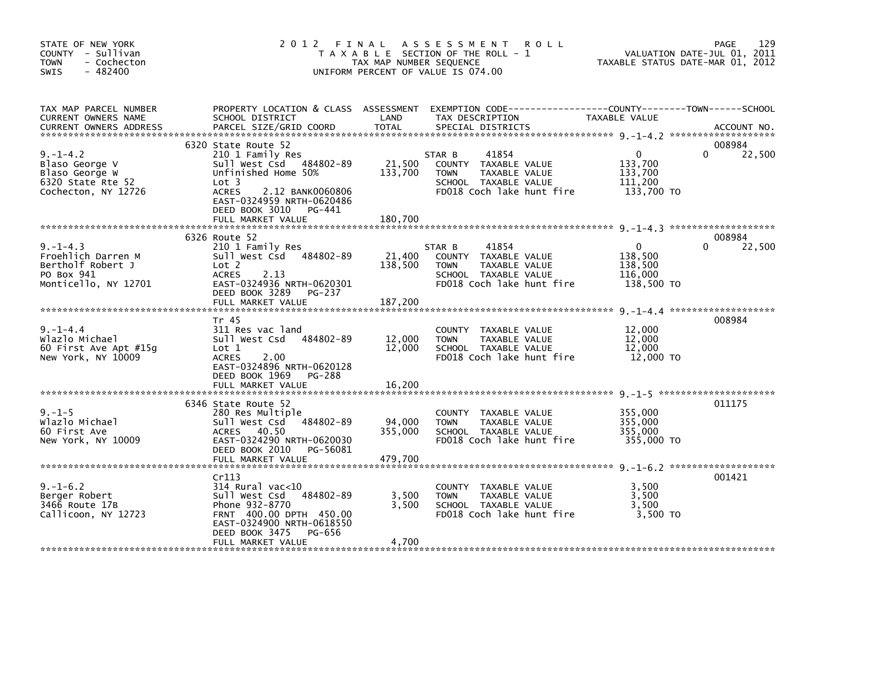| STATE OF NEW YORK<br>COUNTY - Sullivan<br><b>TOWN</b><br>- Cochecton<br>$-482400$<br><b>SWIS</b> | 2012 FINAL                                                                                                                                                                                                           | TAX MAP NUMBER SEQUENCE      | A S S E S S M E N T<br><b>ROLL</b><br>T A X A B L E SECTION OF THE ROLL - 1<br>UNIFORM PERCENT OF VALUE IS 074.00            | TAXABLE STATUS DATE-MAR 01, 2012                            | 129<br>PAGE<br>VALUATION DATE-JUL 01, 2011 |
|--------------------------------------------------------------------------------------------------|----------------------------------------------------------------------------------------------------------------------------------------------------------------------------------------------------------------------|------------------------------|------------------------------------------------------------------------------------------------------------------------------|-------------------------------------------------------------|--------------------------------------------|
| TAX MAP PARCEL NUMBER<br>CURRENT OWNERS NAME<br><b>CURRENT OWNERS ADDRESS</b>                    | PROPERTY LOCATION & CLASS ASSESSMENT<br>SCHOOL DISTRICT<br>PARCEL SIZE/GRID COORD                                                                                                                                    | LAND<br><b>TOTAL</b>         | EXEMPTION CODE------------------COUNTY--------TOWN------SCHOOL<br>TAX DESCRIPTION<br>SPECIAL DISTRICTS                       | TAXABLE VALUE                                               | ACCOUNT NO.                                |
| $9. - 1 - 4.2$<br>Blaso George V<br>Blaso George W<br>6320 State Rte 52<br>Cochecton, NY 12726   | 6320 State Route 52<br>210 1 Family Res<br>Sull West Csd 484802-89<br>Unfinished Home 50%<br>Lot 3<br><b>ACRES</b><br>2.12 BANK0060806<br>EAST-0324959 NRTH-0620486<br>DEED BOOK 3010<br>PG-441<br>FULL MARKET VALUE | 21,500<br>133,700<br>180.700 | 41854<br>STAR B<br>COUNTY TAXABLE VALUE<br>TAXABLE VALUE<br><b>TOWN</b><br>SCHOOL TAXABLE VALUE<br>FD018 Coch lake hunt fire | $\mathbf{0}$<br>133,700<br>133,700<br>111,200<br>133,700 TO | 008984<br>22,500<br>0                      |
|                                                                                                  |                                                                                                                                                                                                                      |                              |                                                                                                                              |                                                             |                                            |
| $9. - 1 - 4.3$<br>Froehlich Darren M<br>Bertholf Robert J<br>PO Box 941<br>Monticello, NY 12701  | 6326 Route 52<br>210 1 Family Res<br>Sull West Csd 484802-89<br>Lot 2<br><b>ACRES</b><br>2.13<br>EAST-0324936 NRTH-0620301<br>DEED BOOK 3289<br>PG-237<br>FULL MARKET VALUE                                          | 21,400<br>138,500<br>187,200 | STAR B<br>41854<br>COUNTY TAXABLE VALUE<br><b>TOWN</b><br>TAXABLE VALUE<br>SCHOOL TAXABLE VALUE<br>FD018 Coch lake hunt fire | $\mathbf{0}$<br>138,500<br>138,500<br>116,000<br>138,500 TO | 008984<br>22,500<br>0                      |
|                                                                                                  |                                                                                                                                                                                                                      |                              |                                                                                                                              |                                                             |                                            |
| $9. - 1 - 4.4$<br>Wlazlo Michael<br>60 First Ave Apt $#15q$<br>New York, NY 10009                | Tr 45<br>311 Res vac land<br>Sull West Csd 484802-89<br>Lot 1<br>2.00<br><b>ACRES</b><br>EAST-0324896 NRTH-0620128<br>DEED BOOK 1969<br>PG-288<br>FULL MARKET VALUE                                                  | 12,000<br>12,000<br>16,200   | COUNTY TAXABLE VALUE<br><b>TOWN</b><br>TAXABLE VALUE<br>SCHOOL TAXABLE VALUE<br>FD018 Coch lake hunt fire                    | 12,000<br>12,000<br>12,000<br>12,000 TO                     | 008984                                     |
|                                                                                                  |                                                                                                                                                                                                                      |                              |                                                                                                                              |                                                             |                                            |
| $9. - 1 - 5$<br>Wlazlo Michael<br>60 First Ave<br>New York, NY 10009                             | 6346 State Route 52<br>280 Res Multiple<br>Sull West Csd 484802-89<br>ACRES 40.50<br>EAST-0324290 NRTH-0620030<br>DEED BOOK 2010 PG-56081<br>FULL MARKET VALUE                                                       | 94,000<br>355,000<br>479,700 | COUNTY TAXABLE VALUE<br><b>TOWN</b><br>TAXABLE VALUE<br>SCHOOL TAXABLE VALUE<br>FD018 Coch lake hunt fire                    | 355,000<br>355,000<br>355,000<br>355,000 TO                 | 011175                                     |
|                                                                                                  |                                                                                                                                                                                                                      |                              |                                                                                                                              |                                                             |                                            |
| $9. - 1 - 6.2$<br>Berger Robert<br>3466 Route 17B<br>Callicoon, NY 12723                         | Cr113<br>$314$ Rural vac<10<br>484802-89<br>Sull West Csd<br>Phone 932-8770<br>FRNT 400.00 DPTH 450.00<br>EAST-0324900 NRTH-0618550<br>DEED BOOK 3475<br>PG-656                                                      | 3,500<br>3,500               | COUNTY TAXABLE VALUE<br>TAXABLE VALUE<br><b>TOWN</b><br>SCHOOL TAXABLE VALUE<br>FD018 Coch lake hunt fire                    | 3.500<br>3,500<br>3,500<br>3.500 TO                         | 001421                                     |
|                                                                                                  | FULL MARKET VALUE                                                                                                                                                                                                    | 4,700                        |                                                                                                                              |                                                             |                                            |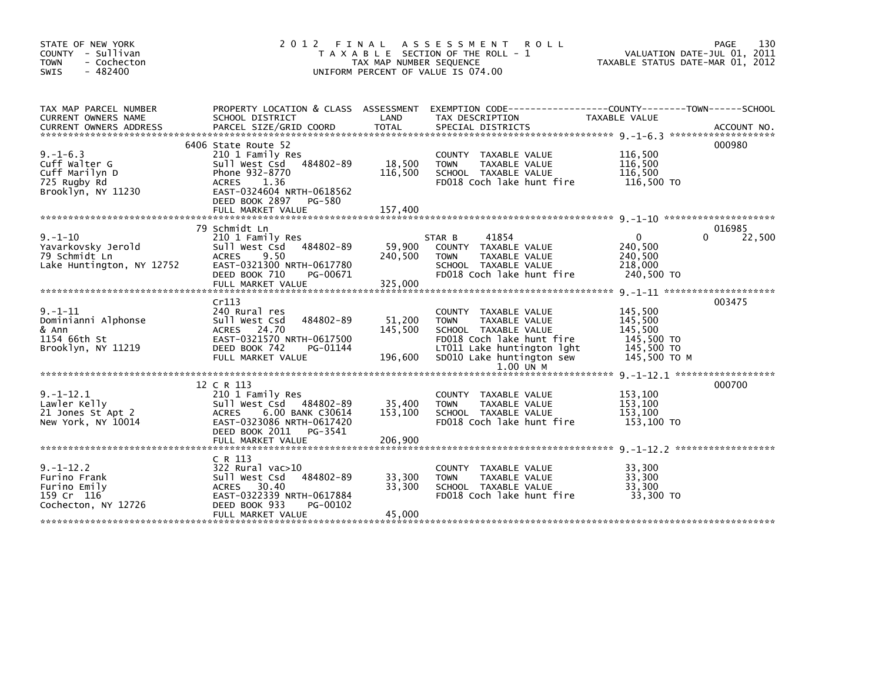| STATE OF NEW YORK<br>COUNTY - Sullivan<br><b>TOWN</b><br>- Cochecton<br>$-482400$<br><b>SWIS</b> | 2 0 1 2                                                                                                                                                                                       | FINAL<br>TAX MAP NUMBER SEQUENCE | A S S E S S M E N T<br><b>ROLL</b><br>T A X A B L E SECTION OF THE ROLL - 1<br>UNIFORM PERCENT OF VALUE IS 074.00                                                                           | TAXABLE STATUS DATE-MAR 01, 2012                                          | 130<br>PAGE<br>VALUATION DATE-JUL 01, 2011 |
|--------------------------------------------------------------------------------------------------|-----------------------------------------------------------------------------------------------------------------------------------------------------------------------------------------------|----------------------------------|---------------------------------------------------------------------------------------------------------------------------------------------------------------------------------------------|---------------------------------------------------------------------------|--------------------------------------------|
| TAX MAP PARCEL NUMBER<br>CURRENT OWNERS NAME<br><b>CURRENT OWNERS ADDRESS</b>                    | SCHOOL DISTRICT<br>PARCEL SIZE/GRID COORD                                                                                                                                                     | LAND<br><b>TOTAL</b>             | PROPERTY LOCATION & CLASS ASSESSMENT EXEMPTION CODE---------------COUNTY-------TOWN------SCHOOL<br>TAX DESCRIPTION<br>SPECIAL DISTRICTS                                                     | TAXABLE VALUE                                                             | ACCOUNT NO.                                |
| $9. - 1 - 6.3$<br>Cuff Walter G<br>Cuff Marilyn D<br>725 Rugby Rd<br>Brooklyn, NY 11230          | 6406 State Route 52<br>210 1 Family Res<br>484802-89<br>Sull West Csd<br>Phone 932-8770<br>1.36<br><b>ACRES</b><br>EAST-0324604 NRTH-0618562<br>DEED BOOK 2897<br>PG-580<br>FULL MARKET VALUE | 18,500<br>116,500<br>157,400     | COUNTY TAXABLE VALUE<br>TAXABLE VALUE<br><b>TOWN</b><br>SCHOOL TAXABLE VALUE<br>FD018 Coch lake hunt fire                                                                                   | 116,500<br>116,500<br>116,500<br>116,500 TO                               | 000980                                     |
|                                                                                                  | 79 Schmidt Ln                                                                                                                                                                                 |                                  |                                                                                                                                                                                             |                                                                           | 016985                                     |
| $9. - 1 - 10$<br>Yavarkovsky Jerold<br>79 Schmidt Ln<br>Lake Huntington, NY 12752                | 210 1 Family Res<br>Sull West Csd<br>484802-89<br>9.50<br><b>ACRES</b><br>EAST-0321300 NRTH-0617780<br>DEED BOOK 710<br>PG-00671<br>FULL MARKET VALUE                                         | 59,900<br>240,500<br>325,000     | 41854<br>STAR B<br>COUNTY TAXABLE VALUE<br>TAXABLE VALUE<br><b>TOWN</b><br>SCHOOL TAXABLE VALUE<br>FD018 Coch lake hunt fire                                                                | $\mathbf{0}$<br>240,500<br>240,500<br>218,000<br>240,500 TO               | 22,500<br>$\Omega$                         |
|                                                                                                  | Cr113                                                                                                                                                                                         |                                  |                                                                                                                                                                                             |                                                                           | 003475                                     |
| $9. - 1 - 11$<br>Dominianni Alphonse<br>& Ann<br>1154 66th St<br>Brooklyn, NY 11219              | 240 Rural res<br>484802-89<br>Sull West Csd<br>ACRES 24.70<br>EAST-0321570 NRTH-0617500<br>DEED BOOK 742<br>PG-01144<br>FULL MARKET VALUE                                                     | 51,200<br>145,500<br>196,600     | TAXABLE VALUE<br><b>COUNTY</b><br>TAXABLE VALUE<br><b>TOWN</b><br>SCHOOL TAXABLE VALUE<br>FD018 Coch lake hunt fire<br>LT011 Lake huntington lght<br>SD010 Lake huntington sew<br>1.00 UN M | 145,500<br>145,500<br>145,500<br>145,500 TO<br>145,500 TO<br>145,500 TO M |                                            |
|                                                                                                  |                                                                                                                                                                                               |                                  |                                                                                                                                                                                             |                                                                           |                                            |
| $9. - 1 - 12.1$<br>Lawler Kelly<br>21 Jones St Apt 2<br>New York, NY 10014                       | 12 C R 113<br>210 1 Family Res<br>484802-89<br>Sull West Csd<br>6.00 BANK C30614<br><b>ACRES</b><br>EAST-0323086 NRTH-0617420<br>DEED BOOK 2011<br>PG-3541                                    | 35,400<br>153,100                | COUNTY TAXABLE VALUE<br><b>TOWN</b><br>TAXABLE VALUE<br>SCHOOL TAXABLE VALUE<br>FD018 Coch lake hunt fire                                                                                   | 153,100<br>153,100<br>153,100<br>153,100 TO                               | 000700                                     |
|                                                                                                  | FULL MARKET VALUE                                                                                                                                                                             | 206,900                          |                                                                                                                                                                                             |                                                                           |                                            |
| $9. - 1 - 12.2$<br>Furino Frank<br>Furino Emily<br>159 Cr 116<br>Cochecton, NY 12726             | C R 113<br>322 Rural vac>10<br>484802-89<br>Sull West Csd<br>ACRES 30.40<br>EAST-0322339 NRTH-0617884<br>DEED BOOK 933<br>PG-00102                                                            | 33,300<br>33,300                 | <b>COUNTY</b><br>TAXABLE VALUE<br>TAXABLE VALUE<br><b>TOWN</b><br>SCHOOL TAXABLE VALUE<br>FD018 Coch lake hunt fire                                                                         | 33,300<br>33,300<br>33,300<br>33,300 TO                                   |                                            |
|                                                                                                  | FULL MARKET VALUE                                                                                                                                                                             | 45,000                           |                                                                                                                                                                                             |                                                                           |                                            |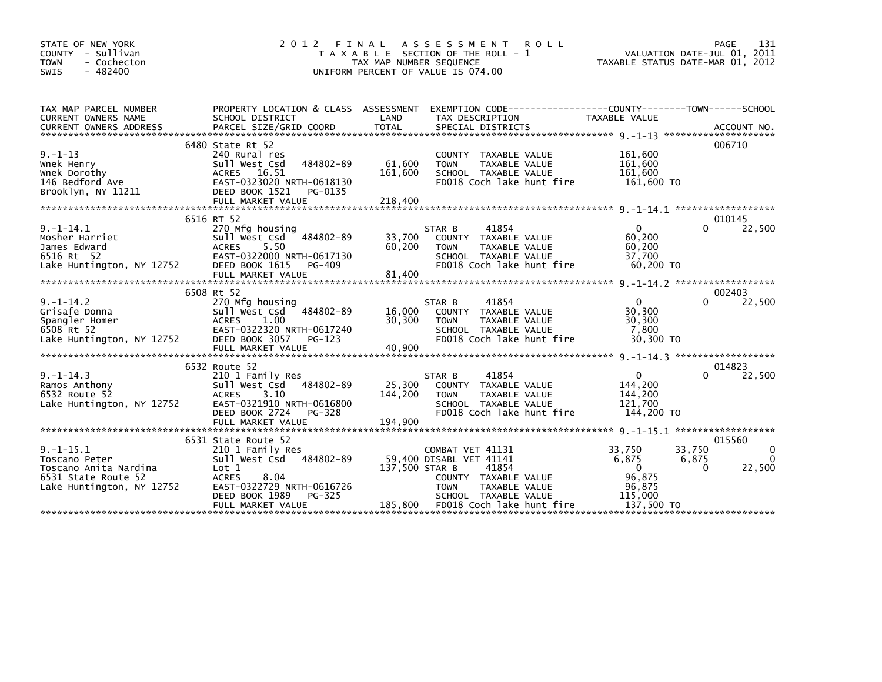| STATE OF NEW YORK<br>COUNTY - Sullivan<br>- Cochecton<br><b>TOWN</b><br>$-482400$<br><b>SWIS</b>             | 2 0 1 2<br>FINAL                                                                                                                                                      | A S S E S S M E N T<br><b>ROLL</b><br>T A X A B L E SECTION OF THE ROLL - 1<br>TAX MAP NUMBER SEQUENCE<br>UNIFORM PERCENT OF VALUE IS 074.00                                                   | 131<br>PAGE<br>VALUATION DATE-JUL 01, 2011<br>TAXABLE STATUS DATE-MAR 01, 2012                                                            |
|--------------------------------------------------------------------------------------------------------------|-----------------------------------------------------------------------------------------------------------------------------------------------------------------------|------------------------------------------------------------------------------------------------------------------------------------------------------------------------------------------------|-------------------------------------------------------------------------------------------------------------------------------------------|
| TAX MAP PARCEL NUMBER<br>CURRENT OWNERS NAME                                                                 | SCHOOL DISTRICT                                                                                                                                                       | PROPERTY LOCATION & CLASS ASSESSMENT EXEMPTION CODE----------------COUNTY-------TOWN------SCHOOL<br>LAND<br>TAX DESCRIPTION                                                                    | <b>TAXABLE VALUE</b>                                                                                                                      |
| $9. - 1 - 13$<br>Wnek Henry<br>Wnek Dorothy<br>146 Bedford Ave<br>Brooklyn, NY 11211                         | 6480 State Rt 52<br>240 Rural res<br>484802-89<br>Sull West Csd<br>ACRES 16.51<br>EAST-0323020 NRTH-0618130<br>DEED BOOK 1521<br>PG-0135                              | COUNTY TAXABLE VALUE<br>61,600<br>TAXABLE VALUE<br><b>TOWN</b><br>161,600<br>SCHOOL TAXABLE VALUE<br>FD018 Coch lake hunt fire                                                                 | 006710<br>161,600<br>161,600<br>161,600<br>161,600 TO                                                                                     |
| $9. -1 - 14.1$<br>Mosher Harriet<br>James Edward<br>6516 Rt 52<br>Lake Huntington, NY 12752                  | 6516 RT 52<br>270 Mfg housing<br>Sull West Csd 484802-89<br>5.50<br><b>ACRES</b><br>EAST-0322000 NRTH-0617130<br>DEED BOOK 1615<br>PG-409<br>FULL MARKET VALUE        | 41854<br>STAR B<br>33,700<br>COUNTY TAXABLE VALUE<br>60,200<br>TAXABLE VALUE<br><b>TOWN</b><br>SCHOOL TAXABLE VALUE<br>FD018 Coch lake hunt fire<br>81,400                                     | 010145<br>$\Omega$<br>22,500<br>0<br>60.200<br>60,200<br>37,700<br>60,200 TO                                                              |
|                                                                                                              | 6508 Rt 52                                                                                                                                                            |                                                                                                                                                                                                | 002403                                                                                                                                    |
| $9. - 1 - 14.2$<br>Grisafe Donna<br>Spangler Homer<br>6508 Rt 52<br>Lake Huntington, NY 12752                | 270 Mfg housing<br>484802-89<br>Sull West Csd<br><b>ACRES</b><br>1.00<br>EAST-0322320 NRTH-0617240<br>DEED BOOK 3057<br>PG-123<br>FULL MARKET VALUE                   | STAR B<br>41854<br>16,000<br>COUNTY TAXABLE VALUE<br>30,300<br><b>TOWN</b><br>TAXABLE VALUE<br>SCHOOL TAXABLE VALUE<br>FD018 Coch lake hunt fire<br>40,900                                     | $\mathbf{0}$<br>22,500<br>0<br>30,300<br>30,300<br>7,800<br>30,300 TO                                                                     |
|                                                                                                              |                                                                                                                                                                       |                                                                                                                                                                                                |                                                                                                                                           |
| $9. -1 - 14.3$<br>Ramos Anthony<br>6532 Route 52<br>Lake Huntington, NY 12752                                | 6532 Route 52<br>210 1 Family Res<br>484802-89<br>Sull West Csd<br>3.10<br><b>ACRES</b><br>EAST-0321910 NRTH-0616800<br>DEED BOOK 2724<br>PG-328<br>FULL MARKET VALUE | 41854<br>STAR B<br>25,300<br>COUNTY TAXABLE VALUE<br>144,200<br>TAXABLE VALUE<br><b>TOWN</b><br>SCHOOL TAXABLE VALUE<br>FD018 Coch lake hunt fire<br>194,900                                   | 014823<br>$\overline{0}$<br>22,500<br>0<br>144,200<br>144,200<br>121.700<br>144,200 TO                                                    |
|                                                                                                              | 6531 State Route 52                                                                                                                                                   |                                                                                                                                                                                                | 015560                                                                                                                                    |
| $9. -1 - 15.1$<br>Toscano Peter<br>Toscano Anita Nardina<br>6531 State Route 52<br>Lake Huntington, NY 12752 | 210 1 Family Res<br>Sull West Csd 484802-89<br>Lot 1<br>8.04<br><b>ACRES</b><br>EAST-0322729 NRTH-0616726<br>DEED BOOK 1989<br>PG-325<br>FULL MARKET VALUE            | COMBAT VET 41131<br>59,400 DISABL VET 41141<br>137,500 STAR B<br>41854<br>COUNTY TAXABLE VALUE<br><b>TOWN</b><br>TAXABLE VALUE<br>SCHOOL TAXABLE VALUE<br>185,800<br>FD018 Coch lake hunt fire | 33,750<br>33,750<br>$\Omega$<br>6,875<br>6,875<br>$\Omega$<br>22,500<br>$\Omega$<br>$\Omega$<br>96,875<br>96,875<br>115,000<br>137,500 TO |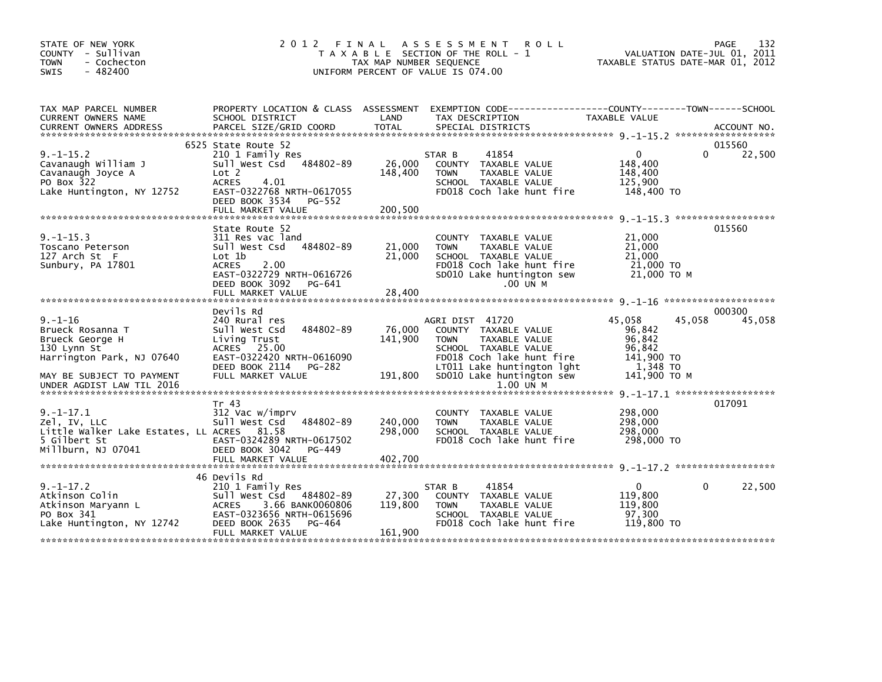| STATE OF NEW YORK<br>COUNTY - Sullivan<br><b>TOWN</b><br>- Cochecton<br>$-482400$<br>SWIS                           | 2012 FINAL                                                                                                                                                                             | TAX MAP NUMBER SEQUENCE       | A S S E S S M E N T<br><b>ROLL</b><br>T A X A B L E SECTION OF THE ROLL - 1<br>UNIFORM PERCENT OF VALUE IS 074.00                                          |                                                                | 132<br>PAGE<br>VALUATION DATE-JUL 01, 2011<br>TAXABLE STATUS DATE-MAR 01, 2012 |
|---------------------------------------------------------------------------------------------------------------------|----------------------------------------------------------------------------------------------------------------------------------------------------------------------------------------|-------------------------------|------------------------------------------------------------------------------------------------------------------------------------------------------------|----------------------------------------------------------------|--------------------------------------------------------------------------------|
| TAX MAP PARCEL NUMBER<br>CURRENT OWNERS NAME                                                                        | PROPERTY LOCATION & CLASS ASSESSMENT<br>SCHOOL DISTRICT                                                                                                                                | LAND                          | EXEMPTION CODE-----------------COUNTY-------TOWN------SCHOOL<br>TAX DESCRIPTION                                                                            | TAXABLE VALUE                                                  |                                                                                |
| $9. -1 - 15.2$<br>Cavanaugh William J<br>Cavanaugh Joyce A<br>PO Box 322<br>Lake Huntington, NY 12752               | 6525 State Route 52<br>210 1 Family Res<br>484802-89<br>Sull West Csd<br>Lot 2<br><b>ACRES</b><br>4.01<br>EAST-0322768 NRTH-0617055<br>DEED BOOK 3534<br>$PG-552$<br>FULL MARKET VALUE | 26,000<br>148,400<br>200,500  | 41854<br>STAR B<br>COUNTY TAXABLE VALUE<br><b>TOWN</b><br>TAXABLE VALUE<br>SCHOOL TAXABLE VALUE<br>FD018 Coch lake hunt fire                               | $\Omega$<br>148,400<br>148,400<br>125,900<br>148,400 TO        | 015560<br>22,500<br>0                                                          |
| $9. -1 - 15.3$<br>Toscano Peterson<br>127 Arch St $\,$ F<br>Sunbury, PA 17801                                       | State Route 52<br>311 Res vac land<br>484802-89<br>Sull West Csd<br>Lot 1b<br><b>ACRES</b><br>2.00<br>EAST-0322729 NRTH-0616726<br>DEED BOOK 3092<br>PG-641<br>FULL MARKET VALUE       | 21,000<br>21,000<br>28,400    | COUNTY<br>TAXABLE VALUE<br>TAXABLE VALUE<br><b>TOWN</b><br>SCHOOL TAXABLE VALUE<br>FD018 Coch lake hunt fire<br>SD010 Lake huntington sew<br>.00 UN M      | 21,000<br>21,000<br>21,000<br>21,000 TO<br>21,000 TO M         | 015560                                                                         |
| $9. - 1 - 16$<br>Brueck Rosanna T<br>Brueck George H<br>130 Lynn St<br>Harrington Park, NJ 07640                    | Devils Rd<br>240 Rural res<br>484802-89<br>Sull West Csd<br>Living Trust<br>ACRES 25.00<br>EAST-0322420 NRTH-0616090<br>DEED BOOK 2114<br>PG-282                                       | 76,000<br>141,900             | AGRI DIST 41720<br>COUNTY TAXABLE VALUE<br><b>TOWN</b><br>TAXABLE VALUE<br>SCHOOL TAXABLE VALUE<br>FD018 Coch lake hunt fire<br>LT011 Lake huntington lght | 45,058<br>96,842<br>96,842<br>96.842<br>141,900 TO<br>1.348 TO | 000300<br>45,058<br>45,058                                                     |
| MAY BE SUBJECT TO PAYMENT<br>UNDER AGDIST LAW TIL 2016                                                              | FULL MARKET VALUE                                                                                                                                                                      | 191,800                       | SD010 Lake huntington sew<br>1.00 UN M                                                                                                                     | 141,900 ТО М                                                   |                                                                                |
| $9. - 1 - 17.1$<br>Zel, IV, LLC<br>Little Walker Lake Estates, LL ACRES 81.58<br>5 Gilbert St<br>Millburn, NJ 07041 | Tr 43<br>312 Vac w/imprv<br>Sull West Csd<br>484802-89<br>EAST-0324289 NRTH-0617502<br>DEED BOOK 3042<br>$PG-449$<br>FULL MARKET VALUE                                                 | 240,000<br>298,000<br>402,700 | COUNTY TAXABLE VALUE<br>TAXABLE VALUE<br><b>TOWN</b><br>SCHOOL TAXABLE VALUE<br>FD018 Coch lake hunt fire                                                  | 298,000<br>298,000<br>298,000<br>298,000 TO                    | 017091                                                                         |
|                                                                                                                     |                                                                                                                                                                                        |                               |                                                                                                                                                            |                                                                |                                                                                |
| $9. -1 - 17.2$<br>Atkinson Colin<br>Atkinson Maryann L<br>PO Box 341<br>Lake Huntington, NY 12742                   | 46 Devils Rd<br>210 1 Family Res<br>Sull West Csd 484802-89<br>3.66 BANK0060806<br><b>ACRES</b><br>EAST-0323656 NRTH-0615696<br>DEED BOOK 2635<br>PG-464<br>FULL MARKET VALUE          | 27,300<br>119,800<br>161,900  | 41854<br>STAR B<br>COUNTY TAXABLE VALUE<br><b>TOWN</b><br>TAXABLE VALUE<br>SCHOOL TAXABLE VALUE<br>FD018 Coch lake hunt fire                               | $\mathbf{0}$<br>119,800<br>119,800<br>97,300<br>119,800 TO     | 22,500<br>0                                                                    |
|                                                                                                                     |                                                                                                                                                                                        |                               |                                                                                                                                                            |                                                                |                                                                                |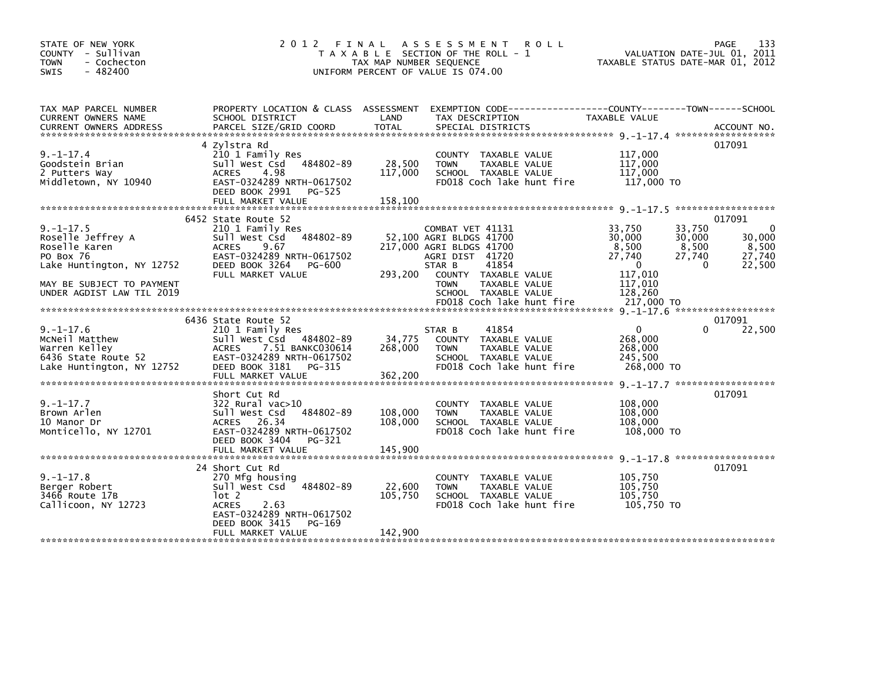|                                                                                                                                                                                 |                              | ROLL                                                                                                               |                                                                                                                                                                                                                                                                              | 133<br><b>PAGE</b><br>VALUATION DATE-JUL 01, 2011                                                                                                 |
|---------------------------------------------------------------------------------------------------------------------------------------------------------------------------------|------------------------------|--------------------------------------------------------------------------------------------------------------------|------------------------------------------------------------------------------------------------------------------------------------------------------------------------------------------------------------------------------------------------------------------------------|---------------------------------------------------------------------------------------------------------------------------------------------------|
| SCHOOL DISTRICT                                                                                                                                                                 | LAND                         | TAX DESCRIPTION                                                                                                    | TAXABLE VALUE                                                                                                                                                                                                                                                                |                                                                                                                                                   |
| 4 Zylstra Rd<br>210 1 Family Res<br>484802-89<br>Sull West Csd<br><b>ACRES</b><br>4.98<br>EAST-0324289 NRTH-0617502<br>DEED BOOK 2991<br>PG-525<br>FULL MARKET VALUE            | 28,500<br>117,000<br>158,100 | COUNTY TAXABLE VALUE<br>TAXABLE VALUE<br><b>TOWN</b><br>SCHOOL TAXABLE VALUE<br>FD018 Coch lake hunt fire          | 117,000<br>117,000<br>117,000<br>117,000 TO                                                                                                                                                                                                                                  | 017091                                                                                                                                            |
| 6452 State Route 52<br>210 1 Family Res<br>Sull West Csd 484802-89<br><b>ACRES</b><br>9.67<br>EAST-0324289 NRTH-0617502<br>DEED BOOK 3264<br>PG-600<br>FULL MARKET VALUE        | 293,200                      | 41854<br>COUNTY TAXABLE VALUE<br><b>TOWN</b><br>TAXABLE VALUE<br>SCHOOL TAXABLE VALUE                              | 33,750<br>30,000<br>8,500<br>27,740<br>$\Omega$<br>117,010<br>117,010<br>128,260                                                                                                                                                                                             | 017091<br>33,750<br>$\mathbf{0}$<br>30,000<br>30,000<br>8,500<br>8,500<br>27,740<br>27,740<br>$\Omega$<br>22,500                                  |
|                                                                                                                                                                                 |                              |                                                                                                                    |                                                                                                                                                                                                                                                                              |                                                                                                                                                   |
| 6436 State Route 52<br>210 1 Family Res<br>Sull West Csd 484802-89<br>ACRES<br>7.51 BANKC030614<br>EAST-0324289 NRTH-0617502<br>DEED BOOK 3181<br>PG-315<br>FULL MARKET VALUE   | 34,775<br>268,000<br>362,200 | 41854<br>COUNTY TAXABLE VALUE<br>TAXABLE VALUE<br><b>TOWN</b><br>SCHOOL TAXABLE VALUE<br>FD018 Coch lake hunt fire | $\mathbf{0}$<br>268,000<br>268,000<br>245.500<br>268,000 TO                                                                                                                                                                                                                  | 017091<br>22,500                                                                                                                                  |
| Short Cut Rd<br>$322$ Rural vac $>10$<br>484802-89<br>Sull West Csd<br>ACRES 26.34<br>EAST-0324289 NRTH-0617502<br>DEED BOOK 3404<br>PG-321                                     | 108,000<br>108,000           | COUNTY TAXABLE VALUE<br>TAXABLE VALUE<br><b>TOWN</b><br>SCHOOL TAXABLE VALUE<br>FD018 Coch lake hunt fire          | 108,000<br>108,000<br>108,000<br>108,000 TO                                                                                                                                                                                                                                  | 017091                                                                                                                                            |
| 24 Short Cut Rd<br>270 Mfg housing<br>Sull West Csd<br>484802-89<br>lot 2<br><b>ACRES</b><br>2.63<br>EAST-0324289 NRTH-0617502<br>DEED BOOK 3415<br>PG-169<br>FULL MARKET VALUE | 22,600<br>105,750<br>142,900 | COUNTY TAXABLE VALUE<br><b>TOWN</b><br>TAXABLE VALUE<br>SCHOOL TAXABLE VALUE<br>FD018 Coch lake hunt fire          | 105,750<br>105,750<br>105,750<br>105,750 TO                                                                                                                                                                                                                                  | 017091                                                                                                                                            |
|                                                                                                                                                                                 |                              | 2012 FINAL                                                                                                         | A S S E S S M E N T<br>T A X A B L E SECTION OF THE ROLL - 1<br>TAX MAP NUMBER SEQUENCE<br>UNIFORM PERCENT OF VALUE IS 074.00<br>COMBAT VET 41131<br>52,100 AGRI BLDGS 41700<br>217,000 AGRI BLDGS 41700<br>AGRI DIST 41720<br>STAR B<br>FD018 Coch lake hunt fire<br>STAR B | TAXABLE STATUS DATE-MAR 01, 2012<br>PROPERTY LOCATION & CLASS ASSESSMENT EXEMPTION CODE----------------COUNTY-------TOWN-----SCHOOL<br>217,000 TO |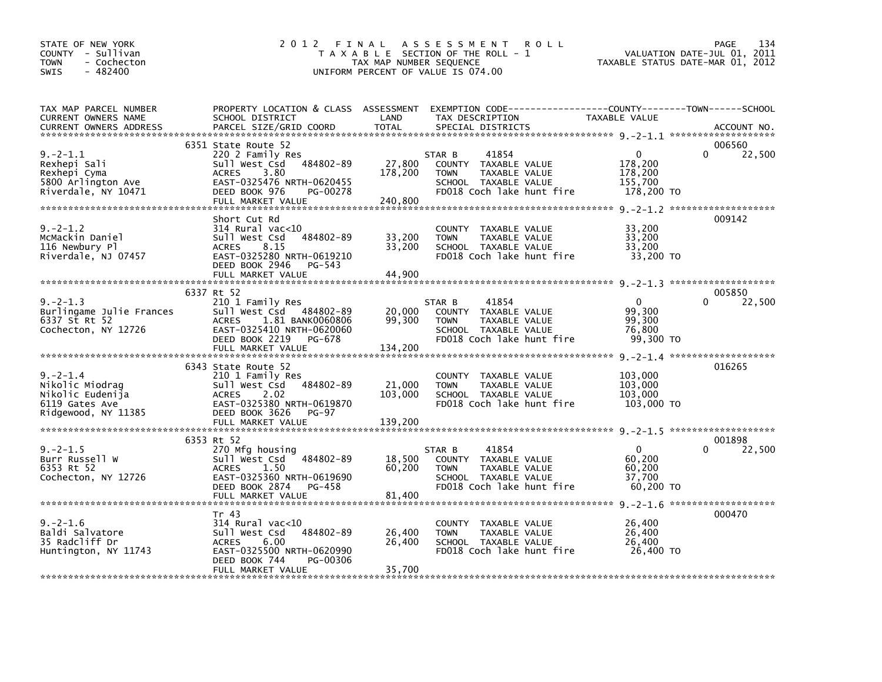| STATE OF NEW YORK<br>COUNTY - Sullivan<br><b>TOWN</b><br>- Cochecton<br>$-482400$<br><b>SWIS</b> | 2 0 1 2                                                                                                                                                                      | FINAL<br>TAX MAP NUMBER SEQUENCE | A S S E S S M E N T<br><b>ROLL</b><br>T A X A B L E SECTION OF THE ROLL - 1<br>UNIFORM PERCENT OF VALUE IS 074.00                        | TAXABLE STATUS DATE-MAR 01, 2012                           | 134<br>PAGE<br>VALUATION DATE-JUL 01, 2011 |
|--------------------------------------------------------------------------------------------------|------------------------------------------------------------------------------------------------------------------------------------------------------------------------------|----------------------------------|------------------------------------------------------------------------------------------------------------------------------------------|------------------------------------------------------------|--------------------------------------------|
| TAX MAP PARCEL NUMBER<br>CURRENT OWNERS NAME<br><b>CURRENT OWNERS ADDRESS</b>                    | SCHOOL DISTRICT<br>PARCEL SIZE/GRID COORD                                                                                                                                    | LAND<br><b>TOTAL</b>             | PROPERTY LOCATION & CLASS ASSESSMENT EXEMPTION CODE----------------COUNTY-------TOWN------SCHOOL<br>TAX DESCRIPTION<br>SPECIAL DISTRICTS | TAXABLE VALUE                                              | ACCOUNT NO.                                |
| $9. -2 - 1.1$<br>Rexhepi Sali<br>Rexhepi Cyma<br>5800 Arlington Ave<br>Riverdale, NY 10471       | 6351 State Route 52<br>220 2 Family Res<br>484802-89<br>Sull West Csd<br>3.80<br><b>ACRES</b><br>EAST-0325476 NRTH-0620455<br>DEED BOOK 976<br>PG-00278<br>FULL MARKET VALUE | 27,800<br>178,200<br>240,800     | STAR B<br>41854<br>COUNTY TAXABLE VALUE<br><b>TOWN</b><br>TAXABLE VALUE<br>SCHOOL TAXABLE VALUE<br>FD018 Coch lake hunt fire             | $\mathbf 0$<br>178,200<br>178,200<br>155,700<br>178,200 TO | 006560<br>$\Omega$<br>22,500               |
| $9. -2 - 1.2$<br>McMackin Daniel<br>116 Newbury Pl<br>Riverdale, NJ 07457                        | Short Cut Rd<br>$314$ Rural vac<10<br>484802-89<br>Sull West Csd<br><b>ACRES</b><br>8.15<br>EAST-0325280 NRTH-0619210<br>DEED BOOK 2946<br>PG-543<br>FULL MARKET VALUE       | 33,200<br>33,200<br>44,900       | <b>COUNTY</b><br>TAXABLE VALUE<br><b>TOWN</b><br>TAXABLE VALUE<br>SCHOOL TAXABLE VALUE<br>FD018 Coch lake hunt fire                      | 33,200<br>33,200<br>33,200<br>33,200 TO                    | 009142                                     |
|                                                                                                  | 6337 Rt 52                                                                                                                                                                   |                                  |                                                                                                                                          |                                                            | 005850                                     |
| $9. -2 - 1.3$<br>Burlingame Julie Frances<br>6337 St Rt 52<br>Cochecton, NY 12726                | 210 1 Family Res<br>Sull West Csd 484802-89<br>1.81 BANK0060806<br><b>ACRES</b><br>EAST-0325410 NRTH-0620060<br>DEED BOOK 2219<br>PG-678<br>FULL MARKET VALUE                | 20,000<br>99,300<br>134,200      | 41854<br>STAR B<br>COUNTY TAXABLE VALUE<br><b>TOWN</b><br>TAXABLE VALUE<br>SCHOOL TAXABLE VALUE<br>FD018 Coch lake hunt fire             | $\Omega$<br>99.300<br>99,300<br>76,800<br>99,300 TO        | 22,500<br>0                                |
| $9. -2 - 1.4$<br>Nikolic Miodrag<br>Nikolic Eudenija<br>6119 Gates Ave<br>Ridgewood, NY 11385    | 6343 State Route 52<br>210 1 Family Res<br>484802-89<br>Sull West Csd<br><b>ACRES</b><br>2.02<br>EAST-0325380 NRTH-0619870<br>DEED BOOK 3626<br>PG-97<br>FULL MARKET VALUE   | 21,000<br>103,000<br>139,200     | COUNTY TAXABLE VALUE<br>TAXABLE VALUE<br><b>TOWN</b><br>SCHOOL TAXABLE VALUE<br>FD018 Coch lake hunt fire                                | 103,000<br>103,000<br>103,000<br>103,000 TO                | 016265                                     |
|                                                                                                  |                                                                                                                                                                              |                                  |                                                                                                                                          |                                                            |                                            |
| $9. -2 - 1.5$<br>Burr Russell W<br>6353 Rt 52<br>Cochecton, NY 12726                             | 6353 Rt 52<br>270 Mfg housing<br>Sull West Csd<br>484802-89<br><b>ACRES</b><br>1.50<br>EAST-0325360 NRTH-0619690<br>DEED BOOK 2874<br>PG-458<br>FULL MARKET VALUE            | 18,500<br>60,200<br>81,400       | 41854<br>STAR B<br>COUNTY TAXABLE VALUE<br><b>TAXABLE VALUE</b><br><b>TOWN</b><br>SCHOOL TAXABLE VALUE<br>FD018 Coch lake hunt fire      | $\mathbf{0}$<br>60,200<br>60,200<br>37,700<br>60,200 TO    | 001898<br>$\Omega$<br>22,500               |
|                                                                                                  | Tr 43                                                                                                                                                                        |                                  |                                                                                                                                          |                                                            | 000470                                     |
| $9. -2 - 1.6$<br>Baldi Salvatore<br>35 Radcliff Dr<br>Huntington, NY 11743                       | 314 Rural vac<10<br>484802-89<br>Sull West Csd<br>6.00<br><b>ACRES</b><br>EAST-0325500 NRTH-0620990<br>DEED BOOK 744<br>PG-00306<br>FULL MARKET VALUE                        | 26,400<br>26,400<br>35,700       | COUNTY TAXABLE VALUE<br>TAXABLE VALUE<br><b>TOWN</b><br>SCHOOL TAXABLE VALUE<br>FD018 Coch lake hunt fire                                | 26,400<br>26,400<br>26,400<br>26,400 TO                    |                                            |
|                                                                                                  |                                                                                                                                                                              |                                  |                                                                                                                                          |                                                            |                                            |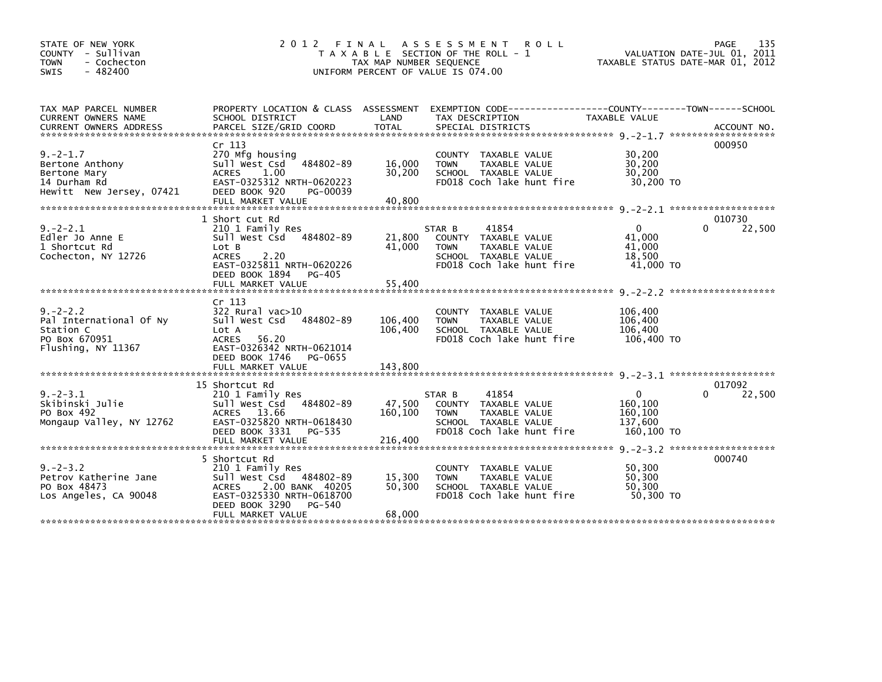| STATE OF NEW YORK<br>COUNTY - Sullivan<br>- Cochecton<br>TOWN<br>$-482400$<br><b>SWIS</b>    | 2 0 1 2                                                                                                                                                                           | TAX MAP NUMBER SEQUENCE       | FINAL ASSESSMENT<br><b>ROLL</b><br>T A X A B L E SECTION OF THE ROLL - 1<br>UNIFORM PERCENT OF VALUE IS 074.00               |                                                             | 135<br>PAGE<br>VALUATION DATE-JUL 01, 2011<br>TAXABLE STATUS DATE-MAR 01, 2012 |
|----------------------------------------------------------------------------------------------|-----------------------------------------------------------------------------------------------------------------------------------------------------------------------------------|-------------------------------|------------------------------------------------------------------------------------------------------------------------------|-------------------------------------------------------------|--------------------------------------------------------------------------------|
| TAX MAP PARCEL NUMBER<br>CURRENT OWNERS NAME                                                 | PROPERTY LOCATION & CLASS ASSESSMENT<br>SCHOOL DISTRICT                                                                                                                           | LAND                          | EXEMPTION CODE-----------------COUNTY-------TOWN------SCHOOL<br>TAX DESCRIPTION                                              | <b>TAXABLE VALUE</b>                                        |                                                                                |
| $9. -2 - 1.7$<br>Bertone Anthony<br>Bertone Mary<br>14 Durham Rd<br>Hewitt New Jersey, 07421 | Cr 113<br>270 Mfg housing<br>Sull West Csd 484802-89<br><b>ACRES</b><br>1.00<br>EAST-0325312 NRTH-0620223<br>DEED BOOK 920<br>PG-00039<br>FULL MARKET VALUE                       | 16,000<br>30,200<br>40,800    | COUNTY TAXABLE VALUE<br><b>TOWN</b><br>TAXABLE VALUE<br>SCHOOL TAXABLE VALUE<br>FD018 Coch lake hunt fire                    | 30,200<br>30,200<br>30.200<br>30,200 TO                     | 000950                                                                         |
| $9. -2 - 2.1$<br>Edler Jo Anne E<br>1 Shortcut Rd<br>Cochecton, NY 12726                     | 1 Short cut Rd<br>210 1 Family Res<br>Sull West Csd 484802-89<br>Lot B<br><b>ACRES</b><br>2.20<br>EAST-0325811 NRTH-0620226<br>DEED BOOK 1894<br>PG-405                           | 21,800<br>41,000              | 41854<br>STAR B<br>COUNTY TAXABLE VALUE<br>TAXABLE VALUE<br><b>TOWN</b><br>SCHOOL TAXABLE VALUE<br>FD018 Coch lake hunt fire | $\mathbf{0}$<br>41,000<br>41,000<br>18,500<br>41,000 TO     | 010730<br>22,500<br>$\Omega$                                                   |
| $9. -2 - 2.2$<br>Pal International Of Ny<br>Station C<br>PO Box 670951<br>Flushing, NY 11367 | Cr <sub>113</sub><br>322 Rural vac>10<br>Sull West Csd 484802-89<br>Lot A<br><b>ACRES</b><br>56.20<br>EAST-0326342 NRTH-0621014<br>DEED BOOK 1746<br>PG-0655<br>FULL MARKET VALUE | 106,400<br>106,400<br>143,800 | COUNTY TAXABLE VALUE<br><b>TAXABLE VALUE</b><br><b>TOWN</b><br>SCHOOL TAXABLE VALUE<br>FD018 Coch lake hunt fire             | 106,400<br>106,400<br>106,400<br>106,400 TO                 |                                                                                |
| $9. -2 - 3.1$<br>Skibinski Julie<br>PO Box 492<br>Mongaup Valley, NY 12762                   | 15 Shortcut Rd<br>210 1 Family Res<br>Sull West Csd<br>484802-89<br>13.66<br><b>ACRES</b><br>EAST-0325820 NRTH-0618430<br>DEED BOOK 3331<br>PG-535<br>FULL MARKET VALUE           | 47,500<br>160,100<br>216,400  | 41854<br>STAR B<br>COUNTY TAXABLE VALUE<br>TAXABLE VALUE<br><b>TOWN</b><br>SCHOOL TAXABLE VALUE<br>FD018 Coch lake hunt fire | $\mathbf{0}$<br>160,100<br>160,100<br>137,600<br>160,100 TO | 017092<br>22,500<br>$\Omega$                                                   |
| $9. - 2 - 3.2$<br>Petrov Katherine Jane<br>PO Box 48473<br>Los Angeles, CA 90048             | 5 Shortcut Rd<br>210 1 Family Res<br>Sull West Csd 484802-89<br><b>ACRES</b><br>2.00 BANK 40205<br>EAST-0325330 NRTH-0618700<br>DEED BOOK 3290<br>PG-540<br>FULL MARKET VALUE     | 15,300<br>50,300<br>68,000    | COUNTY TAXABLE VALUE<br><b>TAXABLE VALUE</b><br><b>TOWN</b><br>SCHOOL TAXABLE VALUE<br>FD018 Coch lake hunt fire             | 50,300<br>50,300<br>50,300<br>50.300 TO                     | 000740                                                                         |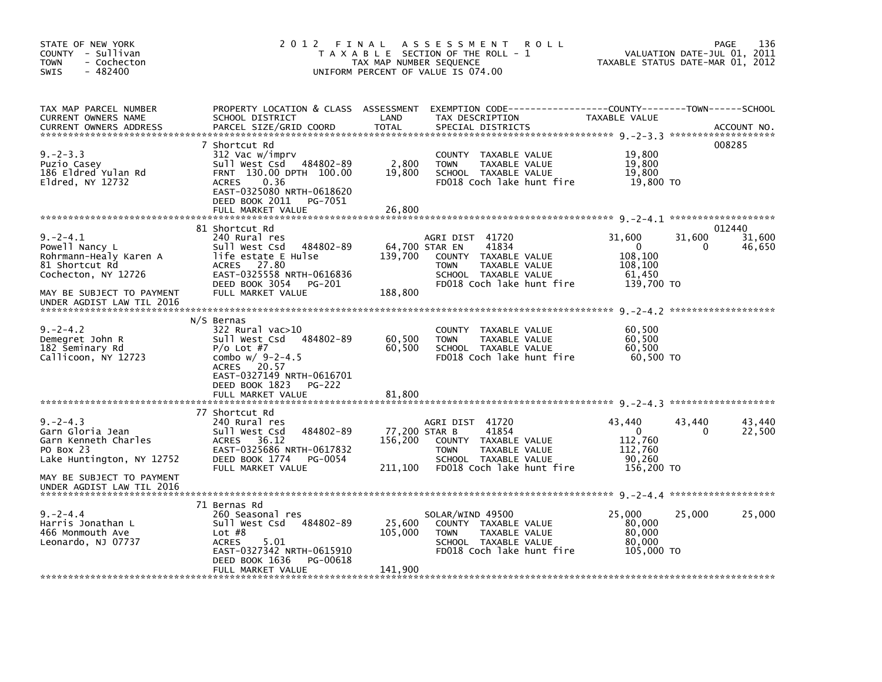| STATE OF NEW YORK<br>COUNTY - Sullivan<br><b>TOWN</b><br>- Cochecton<br>$-482400$<br>SWIS           | 2012 FINAL                                                                                                                                                                                    | TAX MAP NUMBER SEQUENCE             | A S S E S S M E N T<br><b>ROLL</b><br>T A X A B L E SECTION OF THE ROLL - 1<br>UNIFORM PERCENT OF VALUE IS 074.00                                       | TAXABLE STATUS DATE-MAR 01, 2012                                     |             | 136<br>PAGE<br>VALUATION DATE-JUL 01, 2011 |
|-----------------------------------------------------------------------------------------------------|-----------------------------------------------------------------------------------------------------------------------------------------------------------------------------------------------|-------------------------------------|---------------------------------------------------------------------------------------------------------------------------------------------------------|----------------------------------------------------------------------|-------------|--------------------------------------------|
| TAX MAP PARCEL NUMBER<br>CURRENT OWNERS NAME<br><b>CURRENT OWNERS ADDRESS</b>                       | SCHOOL DISTRICT<br>PARCEL SIZE/GRID COORD                                                                                                                                                     | LAND<br><b>TOTAL</b>                | PROPERTY LOCATION & CLASS ASSESSMENT EXEMPTION CODE----------------COUNTY-------TOWN------SCHOOL<br>TAX DESCRIPTION<br>SPECIAL DISTRICTS                | TAXABLE VALUE                                                        |             | ACCOUNT NO.                                |
| $9. -2 - 3.3$<br>Puzio Casey<br>186 Eldred Yulan Rd<br>Eldred, NY 12732                             | 7 Shortcut Rd<br>312 Vac w/imprv<br>Sull West Csd 484802-89<br>FRNT 130.00 DPTH 100.00<br>0.36<br><b>ACRES</b><br>EAST-0325080 NRTH-0618620<br>DEED BOOK 2011<br>PG-7051<br>FULL MARKET VALUE | 2,800<br>19,800<br>26,800           | TAXABLE VALUE<br>COUNTY<br>TAXABLE VALUE<br><b>TOWN</b><br>SCHOOL TAXABLE VALUE<br>FD018 Coch lake hunt fire                                            | 19,800<br>19,800<br>19,800<br>19,800 TO                              |             | 008285                                     |
|                                                                                                     | 81 Shortcut Rd                                                                                                                                                                                |                                     |                                                                                                                                                         |                                                                      |             | 012440                                     |
| $9. -2 - 4.1$<br>Powell Nancy L<br>Rohrmann-Healy Karen A<br>81 Shortcut Rd<br>Cochecton, NY 12726  | 240 Rural res<br>484802-89<br>Sull West Csd<br>life estate E Hulse<br>ACRES 27.80<br>EAST-0325558 NRTH-0616836<br>DEED BOOK 3054<br>PG-201                                                    | 139,700                             | AGRI DIST 41720<br>64,700 STAR EN<br>41834<br>COUNTY TAXABLE VALUE<br>TAXABLE VALUE<br><b>TOWN</b><br>SCHOOL TAXABLE VALUE<br>FD018 Coch lake hunt fire | 31,600<br>$\Omega$<br>108,100<br>108,100<br>61,450<br>139,700 TO     | 31,600<br>0 | 31,600<br>46,650                           |
| MAY BE SUBJECT TO PAYMENT<br>UNDER AGDIST LAW TIL 2016                                              | FULL MARKET VALUE                                                                                                                                                                             | 188,800                             |                                                                                                                                                         |                                                                      |             |                                            |
| $9. -2 - 4.2$<br>Demegret John R<br>182 Seminary Rd<br>Callicoon, NY 12723                          | N/S Bernas<br>$322$ Rural vac $>10$<br>Sull West Csd 484802-89<br>$P/O$ Lot #7<br>combo $w/9-2-4.5$<br>ACRES 20.57<br>EAST-0327149 NRTH-0616701<br>DEED BOOK 1823<br><b>PG-222</b>            | 60,500<br>60,500                    | COUNTY TAXABLE VALUE<br><b>TOWN</b><br>TAXABLE VALUE<br>SCHOOL TAXABLE VALUE<br>FD018 Coch lake hunt fire                                               | 60,500<br>60,500<br>60,500<br>60.500 TO                              |             |                                            |
|                                                                                                     | FULL MARKET VALUE                                                                                                                                                                             | 81,800                              |                                                                                                                                                         |                                                                      |             |                                            |
| $9. -2 - 4.3$<br>Garn Gloria Jean<br>Garn Kenneth Charles<br>PO Box 23<br>Lake Huntington, NY 12752 | 77 Shortcut Rd<br>240 Rural res<br>Sull West Csd<br>484802-89<br>36.12<br><b>ACRES</b><br>EAST-0325686 NRTH-0617832<br>DEED BOOK 1774<br>PG-0054<br>FULL MARKET VALUE                         | 77,200 STAR B<br>156,200<br>211,100 | AGRI DIST 41720<br>41854<br>COUNTY TAXABLE VALUE<br><b>TOWN</b><br>TAXABLE VALUE<br>SCHOOL TAXABLE VALUE<br>FD018 Coch lake hunt fire                   | 43.440<br>$\mathbf{0}$<br>112,760<br>112,760<br>90,260<br>156,200 TO | 43.440<br>0 | 43,440<br>22,500                           |
| MAY BE SUBJECT TO PAYMENT<br>UNDER AGDIST LAW TIL 2016                                              |                                                                                                                                                                                               |                                     |                                                                                                                                                         |                                                                      |             |                                            |
| $9. -2 - 4.4$<br>Harris Jonathan L<br>466 Monmouth Ave<br>Leonardo, NJ 07737                        | 71 Bernas Rd<br>260 Seasonal res<br>Sull West Csd<br>484802-89<br>Lot $#8$<br><b>ACRES</b><br>5.01<br>EAST-0327342 NRTH-0615910<br>DEED BOOK 1636<br>PG-00618<br>FULL MARKET VALUE            | 25,600<br>105,000<br>141,900        | SOLAR/WIND 49500<br>COUNTY TAXABLE VALUE<br><b>TOWN</b><br>TAXABLE VALUE<br>SCHOOL TAXABLE VALUE<br>FD018 Coch lake hunt fire                           | 25,000<br>80,000<br>80,000<br>80,000<br>105,000 TO                   | 25,000      | 25,000                                     |
|                                                                                                     |                                                                                                                                                                                               |                                     |                                                                                                                                                         |                                                                      |             |                                            |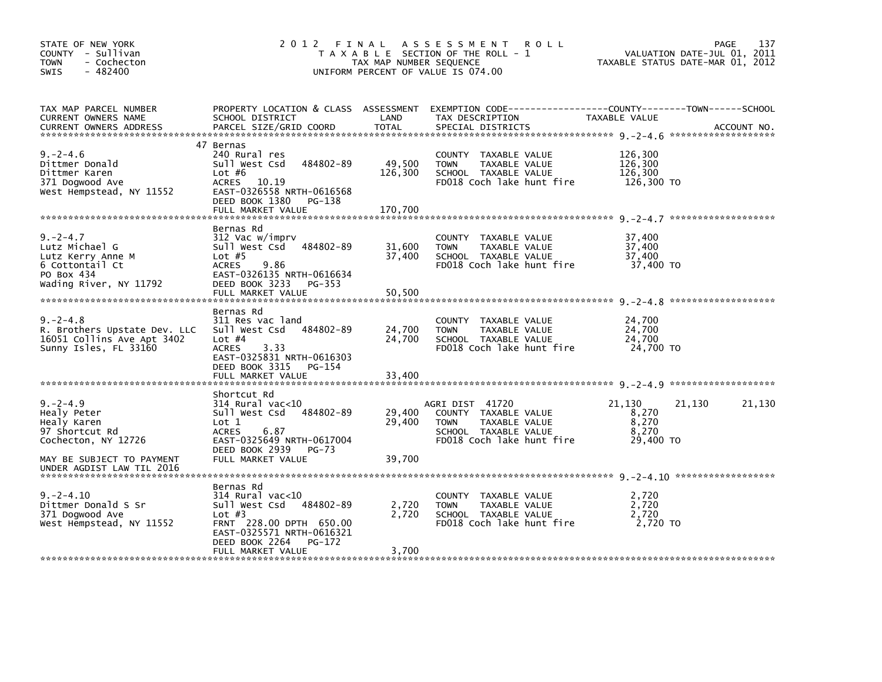| STATE OF NEW YORK<br>COUNTY - Sullivan<br>- Cochecton<br><b>TOWN</b><br>$-482400$<br>SWIS                         | 2012 FINAL                                                                                                                                                                              | TAX MAP NUMBER SEQUENCE      | A S S E S S M E N T<br><b>ROLL</b><br>T A X A B L E SECTION OF THE ROLL - 1<br>UNIFORM PERCENT OF VALUE IS 074.00            |                                                | 137<br>PAGE<br>VALUATION DATE-JUL 01, 2011<br>TAXABLE STATUS DATE-MAR 01, 2012 |
|-------------------------------------------------------------------------------------------------------------------|-----------------------------------------------------------------------------------------------------------------------------------------------------------------------------------------|------------------------------|------------------------------------------------------------------------------------------------------------------------------|------------------------------------------------|--------------------------------------------------------------------------------|
| TAX MAP PARCEL NUMBER<br>CURRENT OWNERS NAME<br><b>CURRENT OWNERS ADDRESS</b>                                     | PROPERTY LOCATION & CLASS ASSESSMENT<br>SCHOOL DISTRICT<br>PARCEL SIZE/GRID COORD                                                                                                       | LAND<br><b>TOTAL</b>         | EXEMPTION CODE-----------------COUNTY-------TOWN------SCHOOL<br>TAX DESCRIPTION<br>SPECIAL DISTRICTS                         | TAXABLE VALUE                                  | ACCOUNT NO.                                                                    |
| $9. -2 - 4.6$<br>Dittmer Donald<br>Dittmer Karen<br>371 Dogwood Ave<br>West Hempstead, NY 11552                   | 47 Bernas<br>240 Rural res<br>484802-89<br>Sull West Csd<br>Lot $#6$<br>ACRES<br>10.19<br>EAST-0326558 NRTH-0616568<br>DEED BOOK 1380<br>PG-138<br>FULL MARKET VALUE                    | 49,500<br>126,300<br>170.700 | COUNTY TAXABLE VALUE<br>TAXABLE VALUE<br><b>TOWN</b><br>SCHOOL TAXABLE VALUE<br>FD018 Coch lake hunt fire                    | 126,300<br>126,300<br>126.300<br>126,300 TO    |                                                                                |
| $9. -2 - 4.7$<br>Lutz Michael G<br>Lutz Kerry Anne M<br>6 Cottontail Ct<br>PO Box 434<br>Wading River, NY 11792   | Bernas Rd<br>312 Vac w/imprv<br>Sull West Csd 484802-89<br>Lot $#5$<br>9.86<br><b>ACRES</b><br>EAST-0326135 NRTH-0616634<br>DEED BOOK 3233<br>PG-353<br>FULL MARKET VALUE               | 31,600<br>37,400<br>50,500   | COUNTY TAXABLE VALUE<br>TAXABLE VALUE<br><b>TOWN</b><br>SCHOOL TAXABLE VALUE<br>FD018 Coch lake hunt fire                    | 37,400<br>37,400<br>37,400<br>37,400 TO        |                                                                                |
| $9. -2 - 4.8$<br>R. Brothers Upstate Dev. LLC<br>16051 Collins Ave Apt 3402<br>Sunny Isles, FL 33160              | Bernas Rd<br>311 Res vac land<br>Sull West Csd 484802-89<br>Lot $#4$<br><b>ACRES</b><br>3.33<br>EAST-0325831 NRTH-0616303<br>DEED BOOK 3315<br>PG-154<br>FULL MARKET VALUE              | 24,700<br>24,700<br>33,400   | COUNTY TAXABLE VALUE<br><b>TOWN</b><br>TAXABLE VALUE<br>SCHOOL TAXABLE VALUE<br>FD018 Coch lake hunt fire                    | 24,700<br>24,700<br>24,700<br>24,700 TO        |                                                                                |
| $9. -2 - 4.9$<br>Healy Peter<br>Healy Karen<br>97 Shortcut Rd<br>Cochecton, NY 12726<br>MAY BE SUBJECT TO PAYMENT | Shortcut Rd<br>$314$ Rural vac< $10$<br>Sull West Csd<br>484802-89<br>Lot 1<br>6.87<br><b>ACRES</b><br>EAST-0325649 NRTH-0617004<br>DEED BOOK 2939<br><b>PG-73</b><br>FULL MARKET VALUE | 29,400<br>29,400<br>39,700   | AGRI DIST 41720<br>COUNTY TAXABLE VALUE<br>TAXABLE VALUE<br><b>TOWN</b><br>SCHOOL TAXABLE VALUE<br>FD018 Coch lake hunt fire | 21,130<br>8,270<br>8,270<br>8,270<br>29,400 TO | 21,130<br>21,130                                                               |
| UNDER AGDIST LAW TIL 2016<br>$9. -2 - 4.10$<br>Dittmer Donald S Sr<br>371 Dogwood Ave<br>West Hempstead, NY 11552 | Bernas Rd<br>$314$ Rural vac< $10$<br>Sull West Csd 484802-89<br>Lot $#3$<br>FRNT 228.00 DPTH 650.00<br>EAST-0325571 NRTH-0616321<br>DEED BOOK 2264<br>PG-172<br>FULL MARKET VALUE      | 2,720<br>2,720<br>3,700      | COUNTY TAXABLE VALUE<br><b>TOWN</b><br>TAXABLE VALUE<br>SCHOOL TAXABLE VALUE<br>FD018 Coch lake hunt fire                    | 2,720<br>2,720<br>2,720<br>2,720 TO            |                                                                                |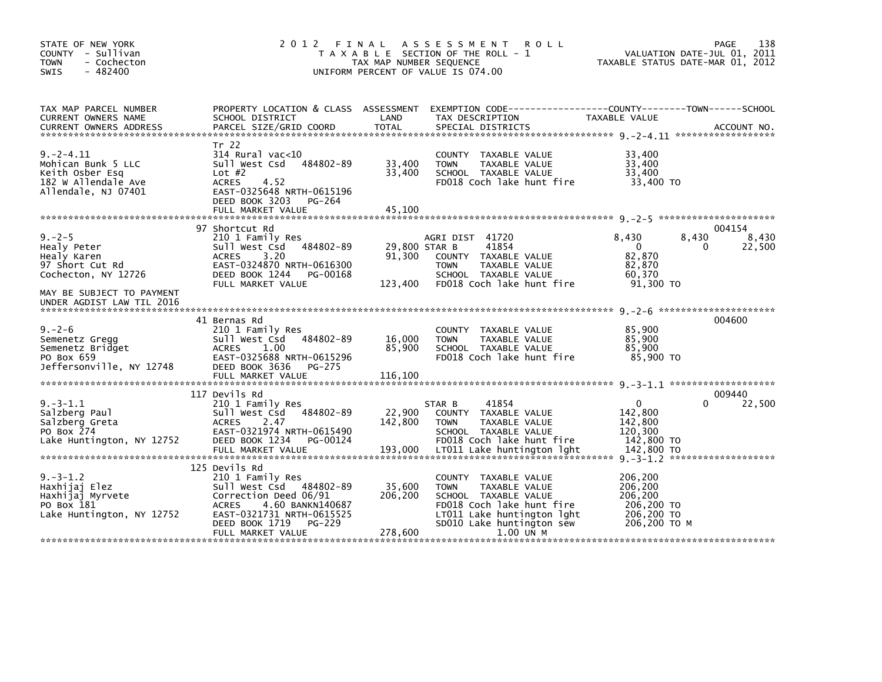| STATE OF NEW YORK<br>COUNTY - Sullivan<br><b>TOWN</b><br>- Cochecton<br>SWIS<br>$-482400$                                                            | 2012 FINAL                                                                                                                                                                            | TAX MAP NUMBER SEQUENCE    | A S S E S S M E N T<br><b>ROLL</b><br>T A X A B L E SECTION OF THE ROLL - 1<br>UNIFORM PERCENT OF VALUE IS 074.00                                                    |                                                                           | 138<br>PAGE<br>VALUATION DATE-JUL 01, 2011<br>TAXABLE STATUS DATE-MAR 01, 2012 |
|------------------------------------------------------------------------------------------------------------------------------------------------------|---------------------------------------------------------------------------------------------------------------------------------------------------------------------------------------|----------------------------|----------------------------------------------------------------------------------------------------------------------------------------------------------------------|---------------------------------------------------------------------------|--------------------------------------------------------------------------------|
| TAX MAP PARCEL NUMBER<br>CURRENT OWNERS NAME<br><b>CURRENT OWNERS ADDRESS</b>                                                                        | PROPERTY LOCATION & CLASS ASSESSMENT<br>SCHOOL DISTRICT<br>PARCEL SIZE/GRID COORD                                                                                                     | LAND<br><b>TOTAL</b>       | EXEMPTION CODE-----------------COUNTY-------TOWN------SCHOOL<br>TAX DESCRIPTION<br>SPECIAL DISTRICTS                                                                 | TAXABLE VALUE                                                             | ACCOUNT NO.                                                                    |
| $9. -2 - 4.11$<br>Mohican Bunk 5 LLC<br>Keith Osber Esq<br>182 W Allendale Ave<br>Allendale, NJ 07401                                                | Tr 22<br>$314$ Rural vac<10<br>484802-89<br>Sull West Csd<br>Lot $#2$<br><b>ACRES</b><br>4.52<br>EAST-0325648 NRTH-0615196<br>DEED BOOK 3203<br>PG-264<br>FULL MARKET VALUE           | 33,400<br>33,400<br>45,100 | COUNTY TAXABLE VALUE<br><b>TOWN</b><br>TAXABLE VALUE<br>SCHOOL TAXABLE VALUE<br>FD018 Coch lake hunt fire                                                            | 33,400<br>33,400<br>33,400<br>33,400 TO                                   |                                                                                |
|                                                                                                                                                      | 97 Shortcut Rd                                                                                                                                                                        |                            |                                                                                                                                                                      |                                                                           | 004154                                                                         |
| $9. - 2 - 5$<br>Healy Peter<br>Healy Karen<br>97 Short Cut Rd<br>Cochecton, NY 12726                                                                 | 210 1 Family Res<br>484802-89<br>Sull West Csd<br>3.20<br><b>ACRES</b><br>EAST-0324870 NRTH-0616300<br>DEED BOOK 1244<br>PG-00168                                                     | 91,300                     | AGRI DIST 41720<br>41854<br>29,800 STAR B<br>COUNTY TAXABLE VALUE<br><b>TOWN</b><br>TAXABLE VALUE<br>SCHOOL TAXABLE VALUE                                            | 8,430<br>$\mathbf{0}$<br>82,870<br>82,870<br>60.370                       | 8,430<br>8,430<br>22,500<br>0                                                  |
| MAY BE SUBJECT TO PAYMENT<br>UNDER AGDIST LAW TIL 2016                                                                                               | FULL MARKET VALUE                                                                                                                                                                     | 123,400                    | FD018 Coch lake hunt fire                                                                                                                                            | $91.300$ TO                                                               |                                                                                |
| $9 - 2 - 6$<br>Semenetz Gregg                                                                                                                        | 41 Bernas Rd<br>210 1 Family Res<br>484802-89<br>Sull West Csd                                                                                                                        | 16,000                     | COUNTY TAXABLE VALUE<br><b>TOWN</b><br>TAXABLE VALUE                                                                                                                 | 85,900<br>85,900                                                          | 004600                                                                         |
| Semenetz Bridget<br>PO Box 659<br>Jeffersonville, NY 12748                                                                                           | <b>ACRES</b><br>1.00<br>EAST-0325688 NRTH-0615296<br>DEED BOOK 3636<br>PG-275                                                                                                         | 85.900                     | SCHOOL TAXABLE VALUE<br>FD018 Coch lake hunt fire                                                                                                                    | 85.900<br>85,900 TO                                                       |                                                                                |
|                                                                                                                                                      | FULL MARKET VALUE                                                                                                                                                                     | 116,100                    |                                                                                                                                                                      |                                                                           |                                                                                |
| $9. -3 - 1.1$                                                                                                                                        | 117 Devils Rd<br>210 1 Family Res                                                                                                                                                     |                            | 41854<br>STAR B                                                                                                                                                      | $\mathbf{0}$                                                              | 009440<br>22,500                                                               |
| Salzberg Paul<br>Salzberg Greta<br>PO Box 274<br>Lake Huntington, NY 12752                                                                           | 484802-89<br>Sull West Csd<br><b>ACRES</b><br>2.47<br>EAST-0321974 NRTH-0615490<br>DEED BOOK 1234<br>PG-00124                                                                         | 22,900<br>142,800          | COUNTY TAXABLE VALUE<br><b>TOWN</b><br>TAXABLE VALUE<br>SCHOOL TAXABLE VALUE<br>FD018 Coch lake hunt fire                                                            | 142,800<br>142,800<br>120,300<br>142,800 TO                               |                                                                                |
| 2010 1011 1193,000 1011 1016 1011 1016 1011 102,800 TO 142,800 TO 142,800 TO 142,800 FOLL MARKET VALUE 193,000 17011 Lake huntington 1ght 142,800 TO |                                                                                                                                                                                       |                            |                                                                                                                                                                      |                                                                           |                                                                                |
| $9. -3 - 1.2$<br>Haxhijaj Elez<br>Haxhijaj Myrvete<br>PO Box 181<br>Lake Huntington, NY 12752                                                        | 125 Devils Rd<br>210 1 Family Res<br>Sull West Csd<br>484802-89<br>Correction Deed 06/91<br>4.60 BANKN140687<br><b>ACRES</b><br>EAST-0321731 NRTH-0615525<br>DEED BOOK 1719<br>PG-229 | 35,600<br>206,200          | COUNTY TAXABLE VALUE<br><b>TOWN</b><br>TAXABLE VALUE<br>SCHOOL TAXABLE VALUE<br>FD018 Coch lake hunt fire<br>LT011 Lake huntington lght<br>SD010 Lake huntington sew | 206,200<br>206,200<br>206,200<br>206,200 TO<br>206,200 TO<br>206.200 ТО М |                                                                                |
|                                                                                                                                                      | FULL MARKET VALUE                                                                                                                                                                     | 278,600                    | 1.00 UN M                                                                                                                                                            |                                                                           |                                                                                |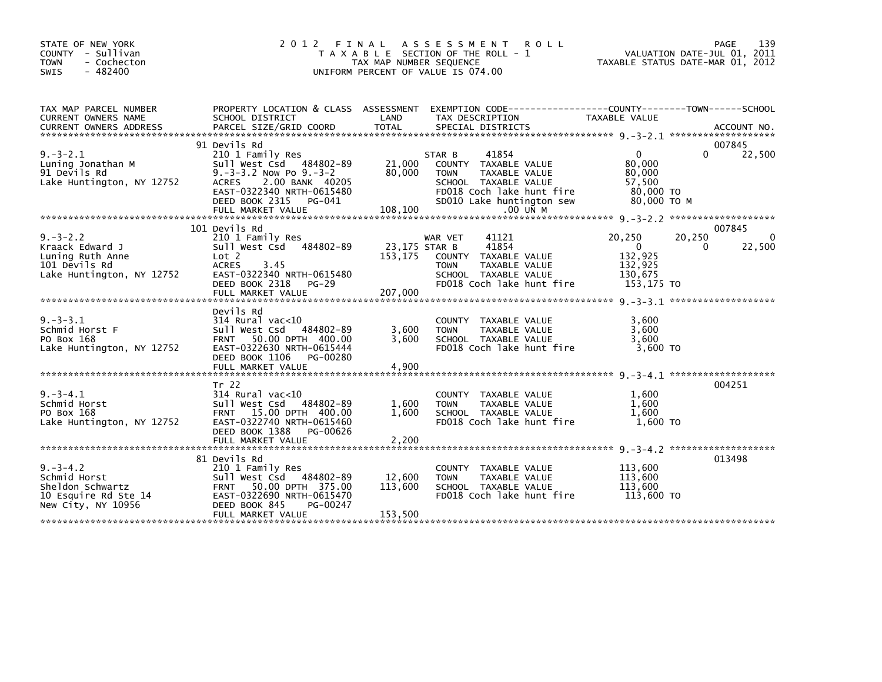| STATE OF NEW YORK<br>COUNTY - Sullivan<br><b>TOWN</b><br>- Cochecton<br>$-482400$<br>SWIS          | 2 0 1 2                                                                                                                                                                                                           | FINAL<br>TAX MAP NUMBER SEQUENCE    | A S S E S S M E N T<br><b>ROLL</b><br>T A X A B L E SECTION OF THE ROLL - 1<br>UNIFORM PERCENT OF VALUE IS 074.00                                                     |                                                                    | 139<br>PAGE<br>VALUATION DATE-JUL 01, 2011<br>TAXABLE STATUS DATE-MAR 01, 2012 |
|----------------------------------------------------------------------------------------------------|-------------------------------------------------------------------------------------------------------------------------------------------------------------------------------------------------------------------|-------------------------------------|-----------------------------------------------------------------------------------------------------------------------------------------------------------------------|--------------------------------------------------------------------|--------------------------------------------------------------------------------|
| TAX MAP PARCEL NUMBER<br>CURRENT OWNERS NAME                                                       | SCHOOL DISTRICT                                                                                                                                                                                                   | LAND                                | PROPERTY LOCATION & CLASS ASSESSMENT EXEMPTION CODE---------------COUNTY-------TOWN------SCHOOL<br>TAX DESCRIPTION                                                    | TAXABLE VALUE                                                      |                                                                                |
| $9. -3 - 2.1$<br>Luning Jonathan M<br>91 Devils Rd<br>Lake Huntington, NY 12752                    | 91 Devils Rd<br>210 1 Family Res<br>484802-89<br>Sull West Csd<br>$9. -3 -3.2$ Now Po $9. -3 -2$<br><b>ACRES</b><br>2.00 BANK 40205<br>EAST-0322340 NRTH-0615480<br>DEED BOOK 2315<br>PG-041<br>FULL MARKET VALUE | 21,000<br>80,000<br>108,100         | 41854<br>STAR B<br>COUNTY TAXABLE VALUE<br><b>TOWN</b><br>TAXABLE VALUE<br>SCHOOL TAXABLE VALUE<br>FD018 Coch lake hunt fire<br>SD010 Lake huntington sew<br>.00 UN M | $\Omega$<br>80,000<br>80,000<br>57,500<br>80,000 TO<br>80,000 то м | 007845<br>22,500<br>0                                                          |
|                                                                                                    | 101 Devils Rd                                                                                                                                                                                                     |                                     |                                                                                                                                                                       |                                                                    | 007845                                                                         |
| $9. -3 - 2.2$<br>Kraack Edward J<br>Luning Ruth Anne<br>101 Devils Rd<br>Lake Huntington, NY 12752 | 210 1 Family Res<br>Sull West Csd<br>484802-89<br>Lot 2<br><b>ACRES</b><br>3.45<br>EAST-0322340 NRTH-0615480<br>DEED BOOK 2318 PG-29<br>FULL MARKET VALUE                                                         | 23,175 STAR B<br>153,175<br>207,000 | WAR VET<br>41121<br>41854<br>COUNTY TAXABLE VALUE<br>TAXABLE VALUE<br><b>TOWN</b><br>SCHOOL TAXABLE VALUE<br>FD018 Coch lake hunt fire                                | 20,250<br>$\Omega$<br>132,925<br>132,925<br>130.675<br>153,175 TO  | 20,250<br>0<br>22,500<br>0                                                     |
| $9. -3 - 3.1$<br>Schmid Horst F<br>PO Box 168<br>Lake Huntington, NY 12752                         | Devils Rd<br>$314$ Rural vac< $10$<br>Sull West Csd 484802-89<br>FRNT 50.00 DPTH 400.00<br>EAST-0322630 NRTH-0615444<br>DEED BOOK 1106<br>PG-00280<br>FULL MARKET VALUE                                           | 3,600<br>3.600<br>4,900             | COUNTY TAXABLE VALUE<br><b>TOWN</b><br>TAXABLE VALUE<br>SCHOOL TAXABLE VALUE<br>FD018 Coch lake hunt fire                                                             | 3,600<br>3,600<br>3.600<br>3,600 TO                                | *******************                                                            |
|                                                                                                    |                                                                                                                                                                                                                   |                                     |                                                                                                                                                                       |                                                                    |                                                                                |
| $9. -3 - 4.1$<br>Schmid Horst<br>PO Box 168<br>Lake Huntington, NY 12752                           | Tr 22<br>$314$ Rural vac<10<br>Sull West Csd 484802-89<br>FRNT 15.00 DPTH 400.00<br>EAST-0322740 NRTH-0615460<br>DEED BOOK 1388<br>PG-00626                                                                       | 1,600<br>1.600                      | COUNTY TAXABLE VALUE<br>TAXABLE VALUE<br><b>TOWN</b><br>SCHOOL TAXABLE VALUE<br>FD018 Coch lake hunt fire                                                             | 1,600<br>1,600<br>1,600<br>1,600 TO                                | 004251                                                                         |
|                                                                                                    | FULL MARKET VALUE                                                                                                                                                                                                 | 2,200                               |                                                                                                                                                                       |                                                                    |                                                                                |
| $9. -3 - 4.2$<br>Schmid Horst<br>Sheldon Schwartz<br>10 Esquire Rd Ste 14<br>New City, NY 10956    | 81 Devils Rd<br>210 1 Family Res<br>Sull West Csd 484802-89<br><b>FRNT</b><br>50.00 DPTH 375.00<br>EAST-0322690 NRTH-0615470<br>DEED BOOK 845<br>PG-00247<br>FULL MARKET VALUE                                    | 12,600<br>113,600<br>153,500        | COUNTY<br>TAXABLE VALUE<br><b>TOWN</b><br>TAXABLE VALUE<br>SCHOOL TAXABLE VALUE<br>FD018 Coch lake hunt fire                                                          | 113,600<br>113,600<br>113,600<br>113,600 TO                        | 013498                                                                         |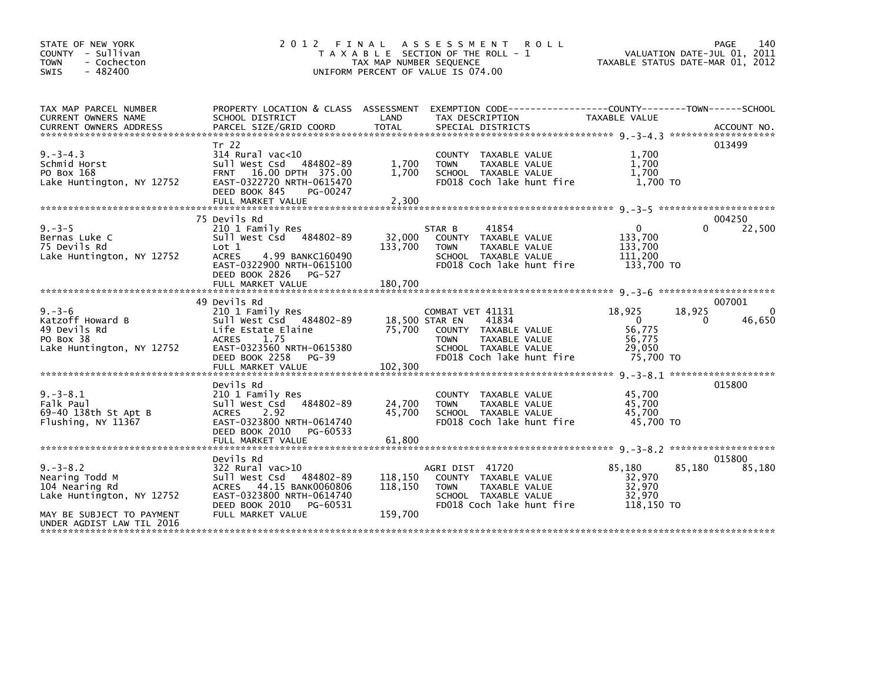| STATE OF NEW YORK<br>COUNTY - Sullivan<br><b>TOWN</b><br>- Cochecton<br>$-482400$<br><b>SWIS</b>            | 2 0 1 2                                                                                                                                                                   | TAX MAP NUMBER SEQUENCE       | FINAL ASSESSMENT ROLL<br>T A X A B L E SECTION OF THE ROLL - 1<br>UNIFORM PERCENT OF VALUE IS 074.00                                                     | TAXABLE STATUS DATE-MAR 01, 2012                                    |             | PAGE<br>140<br>VALUATION DATE-JUL 01, 2011 |
|-------------------------------------------------------------------------------------------------------------|---------------------------------------------------------------------------------------------------------------------------------------------------------------------------|-------------------------------|----------------------------------------------------------------------------------------------------------------------------------------------------------|---------------------------------------------------------------------|-------------|--------------------------------------------|
| TAX MAP PARCEL NUMBER<br>CURRENT OWNERS NAME                                                                | SCHOOL DISTRICT                                                                                                                                                           | LAND                          | PROPERTY LOCATION & CLASS ASSESSMENT EXEMPTION CODE----------------COUNTY--------TOWN------SCHOOL<br>TAX DESCRIPTION                                     | TAXABLE VALUE                                                       |             |                                            |
| $9. -3 - 4.3$<br>Schmid Horst<br>PO Box 168<br>Lake Huntington, NY 12752                                    | Tr 22<br>$314$ Rural vac<10<br>Sull West Csd 484802-89<br><b>FRNT</b><br>16.00 DPTH 375.00<br>EAST-0322720 NRTH-0615470<br>DEED BOOK 845<br>PG-00247<br>FULL MARKET VALUE | 1.700<br>1.700<br>2,300       | COUNTY TAXABLE VALUE<br>TAXABLE VALUE<br><b>TOWN</b><br>SCHOOL TAXABLE VALUE<br>FD018 Coch lake hunt fire                                                | 1,700<br>1,700<br>1.700<br>1,700 TO                                 |             | 013499                                     |
|                                                                                                             |                                                                                                                                                                           |                               |                                                                                                                                                          |                                                                     |             |                                            |
| $9. - 3 - 5$<br>Bernas Luke C<br>75 Devils Rd<br>Lake Huntington, NY 12752                                  | 75 Devils Rd<br>210 1 Family Res<br>Sull West Csd 484802-89<br>Lot 1<br>4.99 BANKC160490<br>ACRES<br>EAST-0322900 NRTH-0615100<br>DEED BOOK 2826<br>PG-527                | 32,000<br>133,700             | 41854<br>STAR B<br>COUNTY TAXABLE VALUE<br>TAXABLE VALUE<br><b>TOWN</b><br>SCHOOL TAXABLE VALUE<br>FD018 Coch lake hunt fire                             | $\mathbf{0}$<br>133,700<br>133,700<br>111,200<br>133.700 TO         | 0           | 004250<br>22,500                           |
|                                                                                                             |                                                                                                                                                                           |                               |                                                                                                                                                          |                                                                     |             |                                            |
|                                                                                                             | 49 Devils Rd                                                                                                                                                              |                               |                                                                                                                                                          |                                                                     |             | 007001                                     |
| $9. - 3 - 6$<br>Katzoff Howard B<br>49 Devils Rd<br>PO Box 38<br>Lake Huntington, NY 12752                  | 210 1 Family Res<br>Sull West Csd 484802-89<br>Life Estate Elaine<br>ACRES<br>1.75<br>EAST-0323560 NRTH-0615380<br>DEED BOOK 2258<br>PG-39                                | 75,700                        | COMBAT VET 41131<br>41834<br>18,500 STAR EN<br>COUNTY TAXABLE VALUE<br>TAXABLE VALUE<br><b>TOWN</b><br>SCHOOL TAXABLE VALUE<br>FD018 Coch lake hunt fire | 18,925<br>$\overline{0}$<br>56,775<br>56,775<br>29,050<br>75.700 TO | 18,925<br>0 | 0<br>46,650                                |
|                                                                                                             |                                                                                                                                                                           |                               |                                                                                                                                                          |                                                                     |             |                                            |
| $9. -3 - 8.1$<br>Falk Paul<br>69-40 138th St Apt B<br>Flushing, NY 11367                                    | Devils Rd<br>210 1 Family Res<br>Sull West Csd 484802-89<br>2.92<br><b>ACRES</b><br>EAST-0323800 NRTH-0614740<br>DEED BOOK 2010<br>PG-60533<br>FULL MARKET VALUE          | 24,700<br>45,700<br>61,800    | COUNTY TAXABLE VALUE<br>TAXABLE VALUE<br><b>TOWN</b><br>SCHOOL TAXABLE VALUE<br>FD018 Coch lake hunt fire                                                | 45,700<br>45,700<br>45,700<br>45,700 TO                             |             | 015800                                     |
|                                                                                                             | Devils Rd                                                                                                                                                                 |                               |                                                                                                                                                          |                                                                     |             | 015800                                     |
| $9. -3 - 8.2$<br>Nearing Todd M<br>104 Nearing Rd<br>Lake Huntington, NY 12752<br>MAY BE SUBJECT TO PAYMENT | 322 Rural vac>10<br>Sull West Csd 484802-89<br>ACRES 44.15 BANK0060806<br>EAST-0323800 NRTH-0614740<br>DEED BOOK 2010<br>PG-60531<br>FULL MARKET VALUE                    | 118,150<br>118,150<br>159,700 | AGRI DIST 41720<br>COUNTY TAXABLE VALUE<br><b>TOWN</b><br>TAXABLE VALUE<br>SCHOOL TAXABLE VALUE<br>FD018 Coch lake hunt fire                             | 85,180<br>32.970<br>32,970<br>32,970<br>118,150 TO                  | 85,180      | 85,180                                     |
| UNDER AGDIST LAW TIL 2016                                                                                   |                                                                                                                                                                           |                               |                                                                                                                                                          |                                                                     |             |                                            |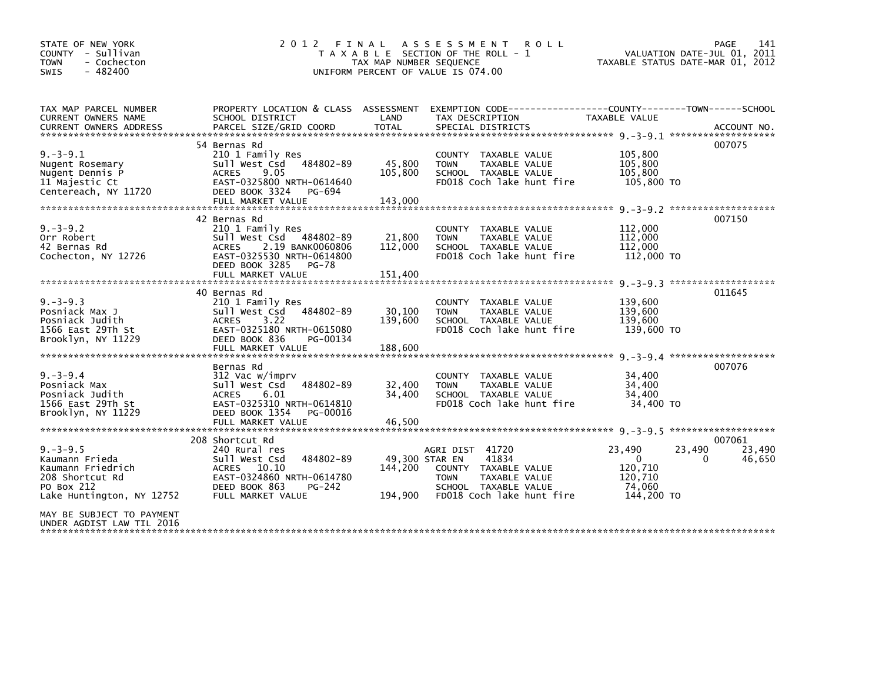| STATE OF NEW YORK<br>COUNTY - Sullivan<br>- Cochecton<br><b>TOWN</b><br>$-482400$<br><b>SWIS</b>                   | 2 0 1 2                                                                                                                                                            | TAX MAP NUMBER SEQUENCE              | FINAL ASSESSMENT<br><b>ROLL</b><br>T A X A B L E SECTION OF THE ROLL - 1<br>UNIFORM PERCENT OF VALUE IS 074.00                        | TAXABLE STATUS DATE-MAR 01, 2012                          | PAGE<br>141<br>VALUATION DATE-JUL 01, 2011      |
|--------------------------------------------------------------------------------------------------------------------|--------------------------------------------------------------------------------------------------------------------------------------------------------------------|--------------------------------------|---------------------------------------------------------------------------------------------------------------------------------------|-----------------------------------------------------------|-------------------------------------------------|
| TAX MAP PARCEL NUMBER<br>CURRENT OWNERS NAME                                                                       | SCHOOL DISTRICT                                                                                                                                                    | LAND                                 | PROPERTY LOCATION & CLASS ASSESSMENT EXEMPTION CODE----------------COUNTY-------TOWN------SCHOOL<br>TAX DESCRIPTION                   | <b>TAXABLE VALUE</b>                                      |                                                 |
| $9. -3 - 9.1$<br>Nugent Rosemary<br>Nugent Dennis P<br>11 Majestic Ct<br>Centereach, NY 11720                      | 54 Bernas Rd<br>210 1 Family Res<br>Sull West Csd 484802-89<br>9.05<br><b>ACRES</b><br>EAST-0325800 NRTH-0614640<br>DEED BOOK 3324<br>PG-694<br>FULL MARKET VALUE  | 45,800<br>105,800<br>143,000         | COUNTY TAXABLE VALUE<br>TAXABLE VALUE<br><b>TOWN</b><br>SCHOOL TAXABLE VALUE<br>FD018 Coch lake hunt fire                             | 105,800<br>105,800<br>105,800<br>105,800 TO               | 007075                                          |
| $9. -3 - 9.2$<br>Orr Robert<br>42 Bernas Rd<br>Cochecton, NY 12726                                                 | 42 Bernas Rd<br>210 1 Family Res<br>Sull West Csd 484802-89<br>ACRES 2.19 BANK0060806<br>EAST-0325530 NRTH-0614800<br>DEED BOOK 3285<br>PG-78<br>FULL MARKET VALUE | 21,800<br>112,000<br>151,400         | COUNTY TAXABLE VALUE<br><b>TOWN</b><br>TAXABLE VALUE<br>SCHOOL TAXABLE VALUE<br>FD018 Coch lake hunt fire                             | 112,000<br>112,000<br>112,000<br>112,000 TO               | 007150                                          |
| $9. -3 - 9.3$<br>Posniack Max J<br>Posniack Judith<br>1566 East 29Th St<br>Brooklyn, NY 11229                      | 40 Bernas Rd<br>210 1 Family Res<br>Sull West Csd 484802-89<br>3.22<br><b>ACRES</b><br>EAST-0325180 NRTH-0615080<br>DEED BOOK 836<br>PG-00134<br>FULL MARKET VALUE | 30,100<br>139,600<br>188,600         | COUNTY TAXABLE VALUE<br><b>TOWN</b><br>TAXABLE VALUE<br>SCHOOL TAXABLE VALUE<br>FD018 Coch lake hunt fire                             | 139,600<br>139,600<br>139,600<br>139,600 TO               | 011645                                          |
| $9. - 3 - 9.4$<br>Posniack Max<br>Posniack Judith<br>1566 East 29Th St<br>Brooklyn, NY 11229                       | Bernas Rd<br>312 Vac w/imprv<br>Sull West Csd<br>484802-89<br>6.01<br><b>ACRES</b><br>EAST-0325310 NRTH-0614810<br>DEED BOOK 1354<br>PG-00016<br>FULL MARKET VALUE | 32,400<br>34,400<br>46,500           | COUNTY TAXABLE VALUE<br>TAXABLE VALUE<br><b>TOWN</b><br>SCHOOL TAXABLE VALUE<br>FD018 Coch lake hunt fire                             | 34,400<br>34,400<br>34,400<br>34,400 TO                   | $9 - 3 - 9 - 4$ *********************<br>007076 |
| $9. -3 - 9.5$<br>Kaumann Frieda<br>Kaumann Friedrich<br>208 Shortcut Rd<br>PO Box 212<br>Lake Huntington, NY 12752 | 208 Shortcut Rd<br>240 Rural res<br>484802-89<br>Sull West Csd<br>ACRES 10.10<br>EAST-0324860 NRTH-0614780<br>DEED BOOK 863<br>PG-242<br>FULL MARKET VALUE         | 49,300 STAR EN<br>144.200<br>194.900 | AGRI DIST 41720<br>41834<br>COUNTY TAXABLE VALUE<br>TAXABLE VALUE<br><b>TOWN</b><br>SCHOOL TAXABLE VALUE<br>FD018 Coch lake hunt fire | 23,490<br>0<br>120,710<br>120,710<br>74,060<br>144,200 TO | 007061<br>23,490<br>23,490<br>0<br>46,650       |
| MAY BE SUBJECT TO PAYMENT<br>UNDER AGDIST LAW TIL 2016                                                             |                                                                                                                                                                    |                                      |                                                                                                                                       |                                                           |                                                 |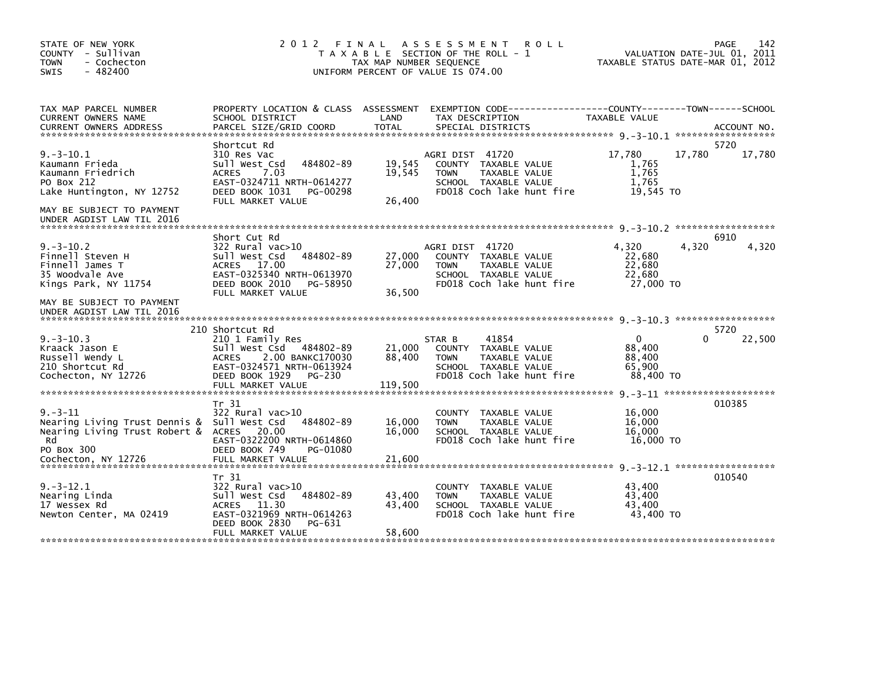| STATE OF NEW YORK<br>COUNTY - Sullivan<br><b>TOWN</b><br>- Cochecton<br>$-482400$<br><b>SWIS</b>                                                           | 2012                                                                                                                                                             | FINAL<br>TAX MAP NUMBER SEQUENCE | A S S E S S M E N T<br><b>ROLL</b><br>T A X A B L E SECTION OF THE ROLL - 1<br>UNIFORM PERCENT OF VALUE IS 074.00            |                                                         | 142<br>PAGE<br>VALUATION DATE-JUL 01, 2011<br>TAXABLE STATUS DATE-MAR 01, 2012 |
|------------------------------------------------------------------------------------------------------------------------------------------------------------|------------------------------------------------------------------------------------------------------------------------------------------------------------------|----------------------------------|------------------------------------------------------------------------------------------------------------------------------|---------------------------------------------------------|--------------------------------------------------------------------------------|
| TAX MAP PARCEL NUMBER<br>CURRENT OWNERS NAME                                                                                                               | SCHOOL DISTRICT                                                                                                                                                  | LAND                             | PROPERTY LOCATION & CLASS ASSESSMENT EXEMPTION CODE---------------COUNTY-------TOWN-----SCHOOL<br>TAX DESCRIPTION            | TAXABLE VALUE                                           |                                                                                |
| $9. -3 - 10.1$<br>Kaumann Frieda<br>Kaumann Friedrich<br>PO Box 212<br>Lake Huntington, NY 12752<br>MAY BE SUBJECT TO PAYMENT<br>UNDER AGDIST LAW TIL 2016 | Shortcut Rd<br>310 Res Vac<br>484802-89<br>Sull West Csd<br>7.03<br><b>ACRES</b><br>EAST-0324711 NRTH-0614277<br>DEED BOOK 1031<br>PG-00298<br>FULL MARKET VALUE | 19,545<br>19,545<br>26,400       | AGRI DIST 41720<br>COUNTY TAXABLE VALUE<br><b>TOWN</b><br>TAXABLE VALUE<br>SCHOOL TAXABLE VALUE<br>FD018 Coch lake hunt fire | 17,780<br>1,765<br>1,765<br>1.765<br>19,545 TO          | 5720<br>17,780<br>17,780                                                       |
|                                                                                                                                                            |                                                                                                                                                                  |                                  |                                                                                                                              |                                                         |                                                                                |
| $9. -3 - 10.2$<br>Finnell Steven H<br>Finnell James T<br>35 Woodvale Ave<br>Kings Park, NY 11754                                                           | Short Cut Rd<br>322 Rural vac>10<br>484802-89<br>Sull West Csd<br>ACRES 17.00<br>EAST-0325340 NRTH-0613970<br>DEED BOOK 2010<br>PG-58950<br>FULL MARKET VALUE    | 27,000<br>27,000<br>36,500       | AGRI DIST 41720<br>COUNTY TAXABLE VALUE<br><b>TOWN</b><br>TAXABLE VALUE<br>SCHOOL TAXABLE VALUE<br>FD018 Coch lake hunt fire | 4,320<br>22,680<br>22,680<br>22,680<br>27,000 TO        | 6910<br>4,320<br>4,320                                                         |
| MAY BE SUBJECT TO PAYMENT<br>UNDER AGDIST LAW TIL 2016                                                                                                     |                                                                                                                                                                  |                                  |                                                                                                                              |                                                         |                                                                                |
|                                                                                                                                                            | 210 Shortcut Rd                                                                                                                                                  |                                  |                                                                                                                              |                                                         | 5720                                                                           |
| $9. -3 - 10.3$<br>Kraack Jason E<br>Russell Wendy L<br>210 Shortcut Rd<br>Cochecton, NY 12726                                                              | 210 1 Family Res<br>Sull West Csd 484802-89<br><b>ACRES</b><br>2.00 BANKC170030<br>EAST-0324571 NRTH-0613924<br>DEED BOOK 1929<br>PG-230<br>FULL MARKET VALUE    | 21,000<br>88,400<br>119,500      | 41854<br>STAR B<br>COUNTY TAXABLE VALUE<br><b>TOWN</b><br>TAXABLE VALUE<br>SCHOOL TAXABLE VALUE<br>FD018 Coch lake hunt fire | $\mathbf{0}$<br>88,400<br>88,400<br>65,900<br>88,400 TO | 22,500<br>0                                                                    |
|                                                                                                                                                            | Tr 31                                                                                                                                                            |                                  |                                                                                                                              |                                                         | 010385                                                                         |
| $9. - 3 - 11$<br>Nearing Living Trust Dennis &<br>Nearing Living Trust Robert &<br>Rd<br>PO Box 300                                                        | 322 Rural vac>10<br>Sull West Csd<br>484802-89<br>ACRES 20.00<br>EAST-0322200 NRTH-0614860<br>DEED BOOK 749<br>PG-01080                                          | 16,000<br>16.000                 | <b>COUNTY</b><br>TAXABLE VALUE<br>TAXABLE VALUE<br><b>TOWN</b><br>SCHOOL TAXABLE VALUE<br>FD018 Coch lake hunt fire          | 16,000<br>16,000<br>16.000<br>16,000 TO                 |                                                                                |
| Cochecton, NY 12726                                                                                                                                        | FULL MARKET VALUE                                                                                                                                                | 21,600                           |                                                                                                                              |                                                         |                                                                                |
| $9. -3 - 12.1$<br>Nearing Linda<br>17 Wessex Rd<br>Newton Center, MA 02419                                                                                 | Tr 31<br>322 Rural vac>10<br>Sull West Csd<br>484802-89<br><b>ACRES</b><br>11.30<br>EAST-0321969 NRTH-0614263<br>DEED BOOK 2830<br>PG-631                        | 43,400<br>43,400                 | COUNTY TAXABLE VALUE<br><b>TOWN</b><br>TAXABLE VALUE<br>SCHOOL TAXABLE VALUE<br>FD018 Coch lake hunt fire                    | 43,400<br>43,400<br>43,400<br>43,400 TO                 | 010540                                                                         |
|                                                                                                                                                            | FULL MARKET VALUE                                                                                                                                                | 58,600                           |                                                                                                                              |                                                         |                                                                                |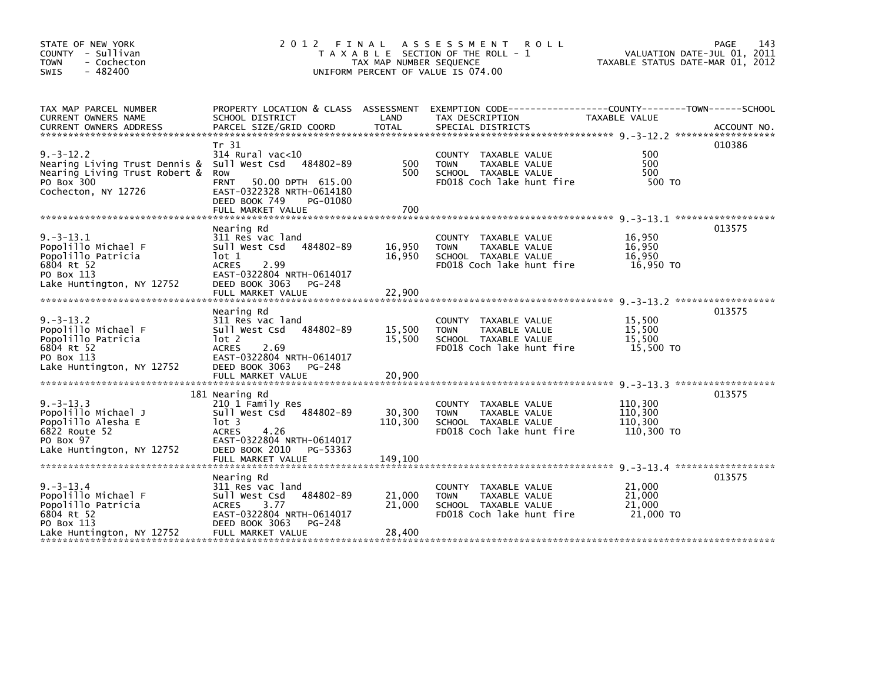| STATE OF NEW YORK<br>COUNTY - Sullivan<br><b>TOWN</b><br>- Cochecton<br>- 482400<br><b>SWIS</b>                                     |                                                                                                                                                                                      | TAX MAP NUMBER SEQUENCE      | 2012 FINAL ASSESSMENT<br><b>ROLL</b><br>T A X A B L E SECTION OF THE ROLL - 1<br>UNIFORM PERCENT OF VALUE IS 074.00 | VALUATION DATE-JUL 01, 2011<br>TAXABLE STATUS DATE-MAR 01, 2012 | 143<br>PAGE |
|-------------------------------------------------------------------------------------------------------------------------------------|--------------------------------------------------------------------------------------------------------------------------------------------------------------------------------------|------------------------------|---------------------------------------------------------------------------------------------------------------------|-----------------------------------------------------------------|-------------|
| TAX MAP PARCEL NUMBER<br>CURRENT OWNERS NAME                                                                                        | SCHOOL DISTRICT                                                                                                                                                                      | LAND                         | PROPERTY LOCATION & CLASS ASSESSMENT EXEMPTION CODE----------------COUNTY-------TOWN------SCHOOL<br>TAX DESCRIPTION | TAXABLE VALUE                                                   |             |
| $9. -3 - 12.2$<br>Nearing Living Trust Dennis & Sull West Csd<br>Nearing Living Trust Robert &<br>PO Box 300<br>Cochecton, NY 12726 | Tr 31<br>$314$ Rural vac<10<br>484802-89<br>Row<br><b>FRNT</b><br>50.00 DPTH 615.00<br>EAST-0322328 NRTH-0614180<br>DEED BOOK 749<br>PG-01080<br>FULL MARKET VALUE                   | 500<br>500<br>700            | COUNTY TAXABLE VALUE<br><b>TOWN</b><br>TAXABLE VALUE<br>SCHOOL TAXABLE VALUE<br>FD018 Coch lake hunt fire           | 500<br>500<br>500<br>500 TO                                     | 010386      |
| $9. -3 - 13.1$<br>Popolillo Michael F<br>Popolillo Patricia<br>6804 Rt 52<br>PO Box 113<br>Lake Huntington, NY 12752                | Nearing Rd<br>311 Res vac land<br>sull west Csd<br>484802-89<br>lot 1<br><b>ACRES</b><br>2.99<br>EAST-0322804 NRTH-0614017<br>DEED BOOK 3063<br>PG-248<br>FULL MARKET VALUE          | 16,950<br>16,950<br>22,900   | COUNTY TAXABLE VALUE<br><b>TOWN</b><br>TAXABLE VALUE<br>SCHOOL TAXABLE VALUE<br>FD018 Coch lake hunt fire           | 16,950<br>16,950<br>16.950<br>16,950 TO                         | 013575      |
| $9. -3 - 13.2$<br>Popolillo Michael F<br>Popolillo Patricia<br>6804 Rt 52<br>PO Box 113<br>Lake Huntington, NY 12752                | Nearing Rd<br>311 Res vac land<br>484802-89<br>Sull West Csd<br>lot 2<br><b>ACRES</b><br>2.69<br>EAST-0322804 NRTH-0614017<br>DEED BOOK 3063<br>PG-248<br>FULL MARKET VALUE          | 15,500<br>15,500<br>20,900   | COUNTY TAXABLE VALUE<br><b>TOWN</b><br>TAXABLE VALUE<br>SCHOOL TAXABLE VALUE<br>FD018 Coch lake hunt fire           | 15,500<br>15.500<br>15,500<br>15,500 TO                         | 013575      |
| $9. -3 - 13.3$<br>Popolillo Michael J<br>Popolillo Alesha E<br>6822 Route 52<br>PO Box 97<br>Lake Huntington, NY 12752              | 181 Nearing Rd<br>210 1 Family Res<br>Sull West Csd<br>484802-89<br>$1$ ot 3<br>4.26<br><b>ACRES</b><br>EAST-0322804 NRTH-0614017<br>DEED BOOK 2010<br>PG-53363<br>FULL MARKET VALUE | 30,300<br>110,300<br>149,100 | COUNTY TAXABLE VALUE<br><b>TOWN</b><br>TAXABLE VALUE<br>SCHOOL TAXABLE VALUE<br>FD018 Coch lake hunt fire           | 110,300<br>110,300<br>110,300<br>110,300 TO                     | 013575      |
| $9. -3 - 13.4$<br>Popolillo Michael F<br>Popolillo Patricia<br>6804 Rt 52<br>PO Box 113<br>Lake Huntington, NY 12752                | Nearing Rd<br>311 Res vac land<br>484802-89<br>Sull West Csd<br><b>ACRES</b><br>3.77<br>EAST-0322804 NRTH-0614017<br>DEED BOOK 3063<br>PG-248<br>FULL MARKET VALUE                   | 21,000<br>21,000<br>28,400   | COUNTY TAXABLE VALUE<br><b>TOWN</b><br>TAXABLE VALUE<br>SCHOOL TAXABLE VALUE<br>FD018 Coch lake hunt fire           | 21,000<br>21,000<br>21,000<br>21,000 TO                         | 013575      |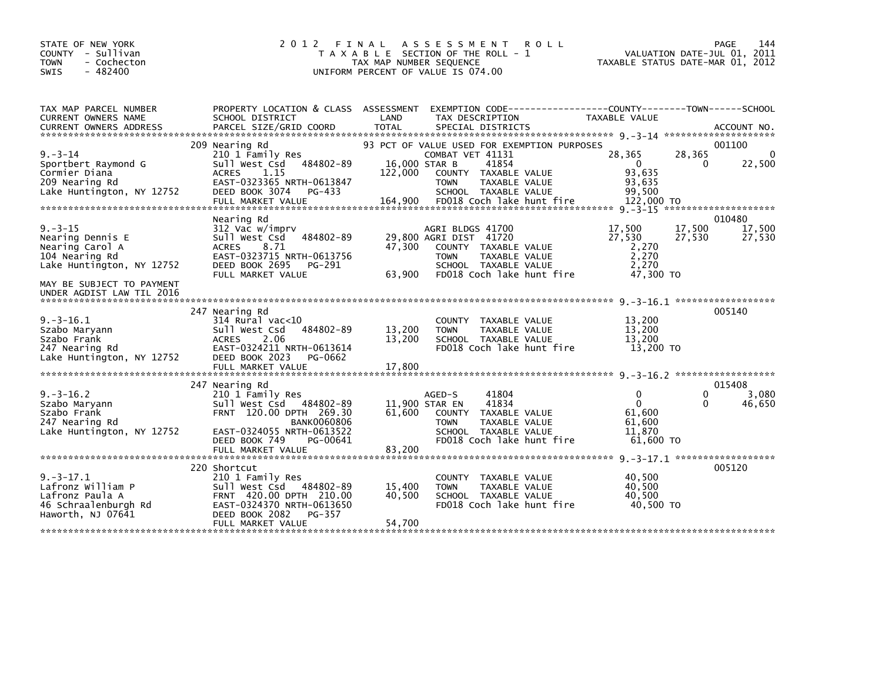| STATE OF NEW YORK<br>2012 FINAL<br>COUNTY - Sullivan                                              | A S S E S S M E N T R O L L<br>T A X A B L E SECTION OF THE ROLL - 1                            | PAGE<br>144<br>VALUATION DATE-JUL 01, 2011                    |
|---------------------------------------------------------------------------------------------------|-------------------------------------------------------------------------------------------------|---------------------------------------------------------------|
| - Cochecton<br><b>TOWN</b><br>$-482400$<br><b>SWIS</b>                                            | TAX MAP NUMBER SEQUENCE<br>UNIFORM PERCENT OF VALUE IS 074.00                                   | TAXABLE STATUS DATE-MAR 01, 2012                              |
|                                                                                                   |                                                                                                 |                                                               |
| TAX MAP PARCEL NUMBER                                                                             | PROPERTY LOCATION & CLASS ASSESSMENT EXEMPTION CODE---------------COUNTY-------TOWN------SCHOOL |                                                               |
| CURRENT OWNERS NAME<br>SCHOOL DISTRICT                                                            | LAND<br>TAX DESCRIPTION                                                                         | <b>TAXABLE VALUE</b>                                          |
| 209 Nearing Rd                                                                                    | 93 PCT OF VALUE USED FOR EXEMPTION PURPOSES                                                     | 001100                                                        |
| $9. - 3 - 14$<br>210 1 Family Res<br>484802-89<br>sull west Csd<br>Sportbert Raymond G            | COMBAT VET 41131<br>16,000 STAR B<br>41854                                                      | 28,365<br>28,365<br>$\Omega$<br>$\overline{0}$<br>22,500<br>0 |
| Cormier Diana<br><b>ACRES</b><br>1.15                                                             | 122,000<br>COUNTY TAXABLE VALUE                                                                 | 93.635                                                        |
| 209 Nearing Rd<br>EAST-0323365 NRTH-0613847<br>Lake Huntington, NY 12752<br>DEED BOOK 3074 PG-433 | TAXABLE VALUE<br><b>TOWN</b><br>SCHOOL TAXABLE VALUE                                            | 93,635<br>99,500                                              |
| FULL MARKET VALUE                                                                                 | 164,900<br>FD018 Coch lake hunt fire                                                            | 122,000 TO                                                    |
| Nearing Rd                                                                                        |                                                                                                 | 010480                                                        |
| $9. - 3 - 15$<br>312 Vac w/imprv                                                                  | AGRI BLDGS 41700                                                                                | 17,500<br>17,500<br>17,500                                    |
| Nearing Dennis E<br>Sull West Csd<br>484802-89<br>Nearing Carol A<br><b>ACRES</b><br>8.71         | 29,800 AGRI DIST 41720<br>47.300<br>COUNTY TAXABLE VALUE                                        | 27,530<br>27,530<br>27,530<br>2,270                           |
| EAST-0323715 NRTH-0613756<br>104 Nearing Rd                                                       | <b>TOWN</b><br>TAXABLE VALUE                                                                    | 2,270                                                         |
| Lake Huntington, NY 12752<br>DEED BOOK 2695<br>PG-291<br>FULL MARKET VALUE                        | SCHOOL TAXABLE VALUE<br>FD018 Coch lake hunt fire<br>63,900                                     | 2,270<br>47,300 TO                                            |
| MAY BE SUBJECT TO PAYMENT<br>UNDER AGDIST LAW TIL 2016                                            |                                                                                                 |                                                               |
| 247 Nearing Rd                                                                                    |                                                                                                 | 005140                                                        |
| $9. -3 - 16.1$<br>$314$ Rural vac<10                                                              | COUNTY TAXABLE VALUE                                                                            | 13,200                                                        |
| 484802-89<br>Szabo Maryann<br>Sull West Csd<br>Szabo Frank<br><b>ACRES</b><br>2.06                | 13,200<br><b>TOWN</b><br>TAXABLE VALUE<br>13,200<br>SCHOOL TAXABLE VALUE                        | 13,200<br>13,200                                              |
| EAST-0324211 NRTH-0613614<br>247 Nearing Rd                                                       | FD018 Coch lake hunt fire                                                                       | 13,200 TO                                                     |
| Lake Huntington, NY 12752<br>DEED BOOK 2023 PG-0662                                               |                                                                                                 |                                                               |
|                                                                                                   |                                                                                                 |                                                               |
| 247 Nearing Rd<br>$9. -3 - 16.2$<br>210 1 Family Res                                              | 41804<br>AGED-S                                                                                 | 015408<br>3,080<br>0<br>0                                     |
| Sull West Csd 484802-89<br>Szabo Maryann                                                          | 11,900 STAR EN<br>41834                                                                         | $\mathbf 0$<br>46,650<br>0                                    |
| FRNT 120.00 DPTH 269.30<br>Szabo Frank<br><b>BANK0060806</b><br>247 Nearing Rd                    | 61.600<br>COUNTY TAXABLE VALUE<br>TAXABLE VALUE<br><b>TOWN</b>                                  | 61.600<br>61.600                                              |
| EAST-0324055 NRTH-0613522<br>Lake Huntington, NY 12752                                            | SCHOOL TAXABLE VALUE                                                                            | 11.870                                                        |
| DEED BOOK 749<br>PG-00641<br>FULL MARKET VALUE                                                    | FD018 Coch lake hunt fire<br>83,200                                                             | $61,600$ TO                                                   |
|                                                                                                   |                                                                                                 |                                                               |
| 220 Shortcut<br>$9. -3 - 17.1$<br>210 1 Family Res                                                | COUNTY TAXABLE VALUE                                                                            | 005120<br>40,500                                              |
| Lafronz William P<br>Sull West Csd 484802-89                                                      | 15,400<br><b>TAXABLE VALUE</b><br><b>TOWN</b>                                                   | 40.500                                                        |
| Lafronz Paula A<br>FRNT 420.00 DPTH 210.00<br>46 Schraalenburgh Rd<br>EAST-0324370 NRTH-0613650   | 40,500<br>SCHOOL TAXABLE VALUE<br>FD018 Coch lake hunt fire                                     | 40,500<br>40,500 TO                                           |
| Haworth, NJ 07641<br>DEED BOOK 2082<br>PG-357                                                     |                                                                                                 |                                                               |
| FULL MARKET VALUE                                                                                 | 54,700                                                                                          |                                                               |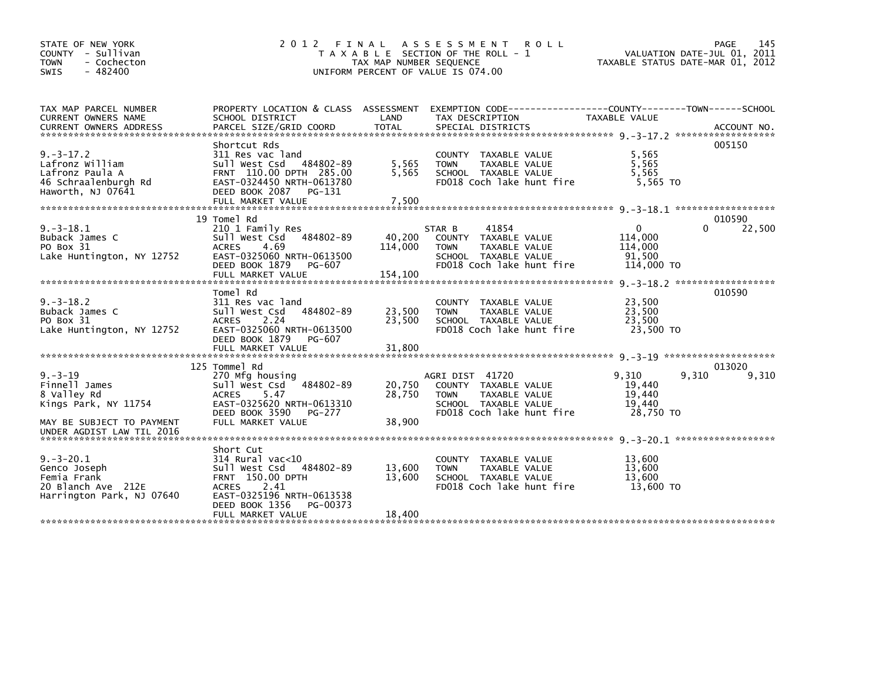| STATE OF NEW YORK<br>COUNTY - Sullivan<br>- Cochecton<br><b>TOWN</b><br>$-482400$<br><b>SWIS</b>                                | 2012<br>FINAL                                                                                                                                                                             | TAX MAP NUMBER SEQUENCE    | A S S E S S M E N T<br><b>ROLL</b><br>T A X A B L E SECTION OF THE ROLL - 1<br>UNIFORM PERCENT OF VALUE IS 074.00                             | VALUATION DATE-JUL 01, 2011<br>TAXABLE STATUS DATE-MAR 01, 2012 | 145<br>PAGE           |
|---------------------------------------------------------------------------------------------------------------------------------|-------------------------------------------------------------------------------------------------------------------------------------------------------------------------------------------|----------------------------|-----------------------------------------------------------------------------------------------------------------------------------------------|-----------------------------------------------------------------|-----------------------|
| TAX MAP PARCEL NUMBER<br>CURRENT OWNERS NAME                                                                                    | PROPERTY LOCATION & CLASS ASSESSMENT<br>SCHOOL DISTRICT                                                                                                                                   | LAND                       | EXEMPTION CODE-----------------COUNTY-------TOWN------SCHOOL<br>TAX DESCRIPTION                                                               | TAXABLE VALUE                                                   |                       |
| $9. -3 - 17.2$<br>Lafronz William<br>Lafronz Paula A<br>46 Schraalenburgh Rd<br>Haworth, NJ 07641                               | Shortcut Rds<br>311 Res vac land<br>Sull West Csd 484802-89<br>FRNT 110.00 DPTH 285.00<br>EAST-0324450 NRTH-0613780<br>DEED BOOK 2087 PG-131                                              | 5,565<br>5,565             | COUNTY TAXABLE VALUE<br>TAXABLE VALUE<br><b>TOWN</b><br>SCHOOL TAXABLE VALUE<br>FD018 Coch lake hunt fire                                     | 5,565<br>5,565<br>5,565<br>5,565 TO                             | 005150                |
| $9. -3 - 18.1$<br>Buback James C<br>PO Box 31<br>Lake Huntington, NY 12752                                                      | 19 Tomel Rd<br>210 1 Family Res<br>Sull West Csd<br>484802-89<br><b>ACRES</b><br>4.69<br>EAST-0325060 NRTH-0613500<br>DEED BOOK 1879<br>PG-607                                            | 40,200<br>114,000          | 41854<br>STAR B<br>COUNTY TAXABLE VALUE<br><b>TOWN</b><br>TAXABLE VALUE<br>SCHOOL TAXABLE VALUE<br>FD018 Coch lake hunt fire                  | $\mathbf{0}$<br>114,000<br>114,000<br>91.500<br>114,000 TO      | 010590<br>0<br>22,500 |
| $9. -3 - 18.2$<br>Buback James C<br>PO Box 31<br>Lake Huntington, NY 12752                                                      | Tomel Rd<br>311 Res vac land<br>484802-89<br>Sull West Csd<br><b>ACRES</b><br>2.24<br>EAST-0325060 NRTH-0613500<br>DEED BOOK 1879<br>PG-607                                               | 23,500<br>23.500           | COUNTY TAXABLE VALUE<br><b>TOWN</b><br>TAXABLE VALUE<br>SCHOOL TAXABLE VALUE<br>FD018 Coch lake hunt fire                                     | 23,500<br>23,500<br>23,500<br>23,500 TO                         | 010590                |
| $9. - 3 - 19$<br>Finnell James<br>8 Valley Rd<br>Kings Park, NY 11754<br>MAY BE SUBJECT TO PAYMENT<br>UNDER AGDIST LAW TIL 2016 | 125 Tommel Rd<br>270 Mfg housing<br>Sull West Csd 484802-89<br>5.47<br><b>ACRES</b><br>EAST-0325620 NRTH-0613310<br>DEED BOOK 3590<br>PG-277<br>FULL MARKET VALUE                         | 20,750<br>28,750<br>38,900 | AGRI DIST 41720<br><b>COUNTY</b><br>TAXABLE VALUE<br><b>TAXABLE VALUE</b><br><b>TOWN</b><br>SCHOOL TAXABLE VALUE<br>FD018 Coch lake hunt fire | 9,310<br>9,310<br>19,440<br>19,440<br>19,440<br>28,750 TO       | 013020<br>9,310       |
| $9. -3 - 20.1$<br>Genco Joseph<br>Femia Frank<br>20 Blanch Ave 212E<br>Harrington Park, NJ 07640                                | Short Cut<br>$314$ Rural vac< $10$<br>Sull West Csd 484802-89<br>FRNT 150.00 DPTH<br>2.41<br><b>ACRES</b><br>EAST-0325196 NRTH-0613538<br>DEED BOOK 1356<br>PG-00373<br>FULL MARKET VALUE | 13,600<br>13,600<br>18.400 | COUNTY TAXABLE VALUE<br><b>TAXABLE VALUE</b><br><b>TOWN</b><br>SCHOOL TAXABLE VALUE<br>FD018 Coch lake hunt fire                              | 13,600<br>13,600<br>13,600<br>13,600 TO                         |                       |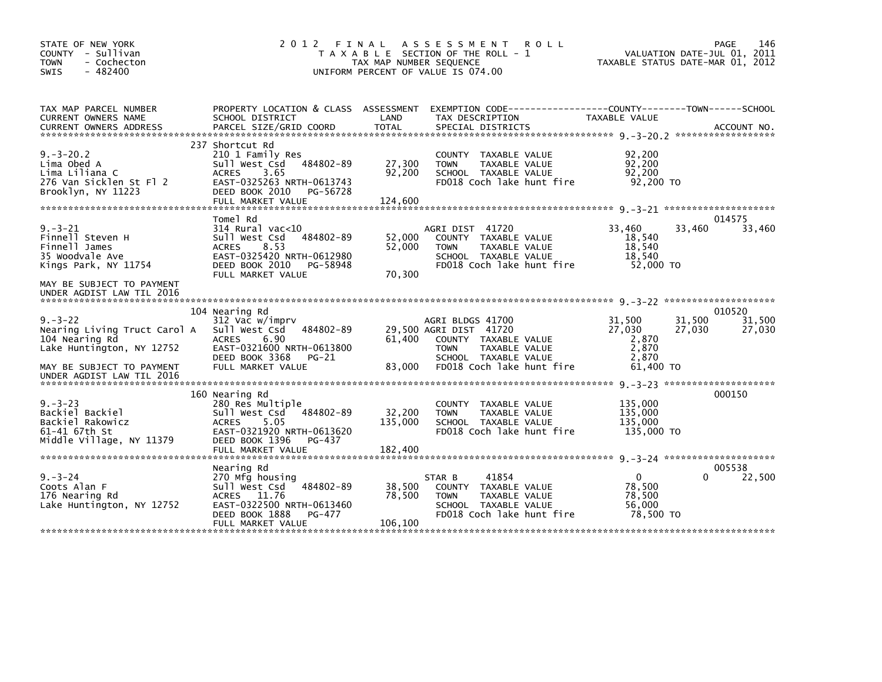| STATE OF NEW YORK<br>COUNTY - Sullivan<br>- Cochecton<br><b>TOWN</b><br>$-482400$<br><b>SWIS</b>                                                       | 2012                                                                                                                                                                      | FINAL<br>TAX MAP NUMBER SEQUENCE | A S S E S S M E N T<br><b>ROLL</b><br>T A X A B L E SECTION OF THE ROLL - 1<br>UNIFORM PERCENT OF VALUE IS 074.00                                       |                                                          | 146<br>PAGE<br>VALUATION DATE-JUL 01, 2011<br>TAXABLE STATUS DATE-MAR 01, 2012 |
|--------------------------------------------------------------------------------------------------------------------------------------------------------|---------------------------------------------------------------------------------------------------------------------------------------------------------------------------|----------------------------------|---------------------------------------------------------------------------------------------------------------------------------------------------------|----------------------------------------------------------|--------------------------------------------------------------------------------|
| TAX MAP PARCEL NUMBER<br>CURRENT OWNERS NAME<br><b>CURRENT OWNERS ADDRESS</b>                                                                          | SCHOOL DISTRICT<br>PARCEL SIZE/GRID COORD                                                                                                                                 | LAND<br><b>TOTAL</b>             | PROPERTY LOCATION & CLASS ASSESSMENT EXEMPTION CODE----------------COUNTY-------TOWN------SCHOOL<br>TAX DESCRIPTION<br>SPECIAL DISTRICTS                | TAXABLE VALUE                                            | ACCOUNT NO.                                                                    |
| $9. - 3 - 20.2$<br>Lima Obed A<br>Lima Liliana C<br>276 Van Sicklen St Fl 2<br>Brooklyn, NY 11223                                                      | 237 Shortcut Rd<br>210 1 Family Res<br>484802-89<br>Sull West Csd<br><b>ACRES</b><br>3.65<br>EAST-0325263 NRTH-0613743<br>DEED BOOK 2010<br>PG-56728<br>FULL MARKET VALUE | 27,300<br>92,200<br>124,600      | COUNTY TAXABLE VALUE<br>TAXABLE VALUE<br><b>TOWN</b><br>SCHOOL TAXABLE VALUE<br>FD018 Coch lake hunt fire                                               | 92,200<br>92,200<br>92,200<br>92,200 TO                  |                                                                                |
| $9. - 3 - 21$<br>Finnell Steven H<br>Finnell James<br>35 Woodvale Ave<br>Kings Park, NY 11754<br>MAY BE SUBJECT TO PAYMENT                             | Tome] Rd<br>$314$ Rural vac< $10$<br>484802-89<br>Sull West Csd<br>8.53<br><b>ACRES</b><br>EAST-0325420 NRTH-0612980<br>DEED BOOK 2010<br>PG-58948<br>FULL MARKET VALUE   | 52,000<br>52,000<br>70,300       | AGRI DIST 41720<br>COUNTY TAXABLE VALUE<br>TAXABLE VALUE<br><b>TOWN</b><br>SCHOOL TAXABLE VALUE<br>FD018 Coch lake hunt fire                            | 33,460<br>18,540<br>18,540<br>18,540<br>52,000 TO        | 014575<br>33,460<br>33,460                                                     |
| UNDER AGDIST LAW TIL 2016<br>$9. - 3 - 22$<br>Nearing Living Truct Carol A<br>104 Nearing Rd<br>Lake Huntington, NY 12752<br>MAY BE SUBJECT TO PAYMENT | 104 Nearing Rd<br>312 Vac w/imprv<br>484802-89<br>Sull West Csd<br>6.90<br><b>ACRES</b><br>EAST-0321600 NRTH-0613800<br>DEED BOOK 3368<br>PG-21<br>FULL MARKET VALUE      | 61,400<br>83,000                 | AGRI BLDGS 41700<br>29,500 AGRI DIST 41720<br>COUNTY TAXABLE VALUE<br><b>TOWN</b><br>TAXABLE VALUE<br>SCHOOL TAXABLE VALUE<br>FD018 Coch lake hunt fire | 31,500<br>27,030<br>2,870<br>2,870<br>2.870<br>61,400 TO | 010520<br>31,500<br>31,500<br>27,030<br>27,030                                 |
| UNDER AGDIST LAW TIL 2016<br>$9. - 3 - 23$<br>Backiel Backiel<br>Backiel Rakowicz<br>61-41 67th St<br>Middle Village, NY 11379                         | 160 Nearing Rd<br>280 Res Multiple<br>Sull West Csd<br>484802-89<br>5.05<br><b>ACRES</b><br>EAST-0321920 NRTH-0613620<br>DEED BOOK 1396<br>PG-437<br>FULL MARKET VALUE    | 32,200<br>135,000<br>182,400     | TAXABLE VALUE<br><b>COUNTY</b><br><b>TOWN</b><br>TAXABLE VALUE<br>SCHOOL TAXABLE VALUE<br>FD018 Coch lake hunt fire                                     | 135,000<br>135,000<br>135,000<br>135,000 TO              | 000150                                                                         |
| $9. - 3 - 24$<br>Coots Alan F<br>176 Nearing Rd<br>Lake Huntington, NY 12752                                                                           | Nearing Rd<br>270 Mfg housing<br>484802-89<br>Sull West Csd<br><b>ACRES</b><br>11.76<br>EAST-0322500 NRTH-0613460<br>DEED BOOK 1888<br>PG-477<br>FULL MARKET VALUE        | 38,500<br>78,500<br>106,100      | 41854<br>STAR B<br>COUNTY TAXABLE VALUE<br>TAXABLE VALUE<br><b>TOWN</b><br>SCHOOL TAXABLE VALUE<br>FD018 Coch lake hunt fire                            | $\mathbf{0}$<br>78,500<br>78,500<br>56,000<br>78,500 TO  | 005538<br>22,500<br>0                                                          |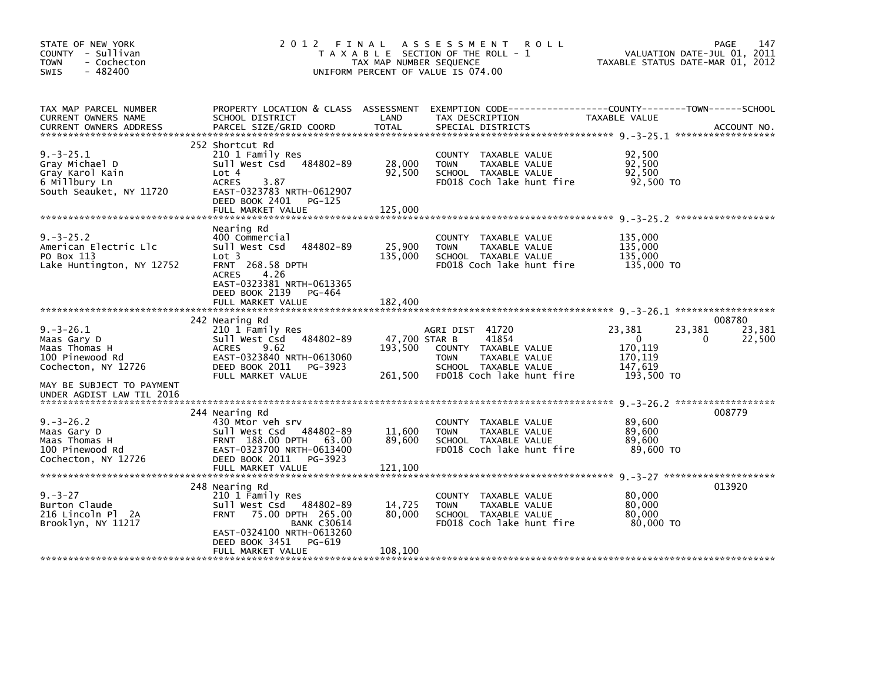| STATE OF NEW YORK<br>COUNTY - Sullivan<br><b>TOWN</b><br>- Cochecton<br>$-482400$<br><b>SWIS</b>                      | 2 0 1 2                                                                                                                                                                                                      | FINAL<br>TAX MAP NUMBER SEQUENCE    | A S S E S S M E N T<br><b>ROLL</b><br>T A X A B L E SECTION OF THE ROLL - 1<br>UNIFORM PERCENT OF VALUE IS 074.00                        | VALUATION DATE-JUL 01, 2011<br>TAXABLE STATUS DATE-MAR 01, 2012      | 147<br>PAGE                     |
|-----------------------------------------------------------------------------------------------------------------------|--------------------------------------------------------------------------------------------------------------------------------------------------------------------------------------------------------------|-------------------------------------|------------------------------------------------------------------------------------------------------------------------------------------|----------------------------------------------------------------------|---------------------------------|
| TAX MAP PARCEL NUMBER<br>CURRENT OWNERS NAME<br><b>CURRENT OWNERS ADDRESS</b>                                         | SCHOOL DISTRICT<br>PARCEL SIZE/GRID COORD                                                                                                                                                                    | LAND<br><b>TOTAL</b>                | PROPERTY LOCATION & CLASS ASSESSMENT EXEMPTION CODE----------------COUNTY-------TOWN------SCHOOL<br>TAX DESCRIPTION<br>SPECIAL DISTRICTS | TAXABLE VALUE                                                        | ACCOUNT NO.                     |
| $9. -3 - 25.1$<br>Gray Michael D<br>Gray Karol Kain<br>6 Millbury Ln<br>South Seauket, NY 11720                       | 252 Shortcut Rd<br>210 1 Family Res<br>Sull West Csd 484802-89<br>Lot 4<br>3.87<br><b>ACRES</b><br>EAST-0323783 NRTH-0612907<br>DEED BOOK 2401<br>PG-125<br>FULL MARKET VALUE                                | 28,000<br>92,500<br>125,000         | COUNTY TAXABLE VALUE<br>TAXABLE VALUE<br><b>TOWN</b><br>SCHOOL TAXABLE VALUE<br>FD018 Coch lake hunt fire                                | 92,500<br>92,500<br>92.500<br>92,500 TO                              |                                 |
| $9. -3 - 25.2$<br>American Electric Llc<br>PO Box 113<br>Lake Huntington, NY 12752                                    | Nearing Rd<br>400 Commercial<br>Sull West Csd 484802-89<br>Lot <sub>3</sub><br><b>FRNT 268.58 DPTH</b><br>4.26<br><b>ACRES</b><br>EAST-0323381 NRTH-0613365<br>DEED BOOK 2139<br>PG-464<br>FULL MARKET VALUE | 25,900<br>135,000<br>182,400        | COUNTY TAXABLE VALUE<br><b>TOWN</b><br>TAXABLE VALUE<br>SCHOOL TAXABLE VALUE<br>FD018 Coch lake hunt fire                                | 135,000<br>135,000<br>135,000<br>135,000 TO                          |                                 |
| $9. -3 - 26.1$<br>Maas Gary D<br>Maas Thomas H<br>100 Pinewood Rd<br>Cochecton, NY 12726<br>MAY BE SUBJECT TO PAYMENT | 242 Nearing Rd<br>210 1 Family Res<br>484802-89<br>Sull West Csd<br><b>ACRES</b><br>9.62<br>EAST-0323840 NRTH-0613060<br>DEED BOOK 2011 PG-3923<br>FULL MARKET VALUE                                         | 47,700 STAR B<br>193,500<br>261,500 | AGRI DIST 41720<br>41854<br>COUNTY TAXABLE VALUE<br><b>TOWN</b><br>TAXABLE VALUE<br>SCHOOL TAXABLE VALUE<br>FD018 Coch lake hunt fire    | 23,381<br>23,381<br>0<br>170.119<br>170,119<br>147,619<br>193,500 TO | 008780<br>23,381<br>22,500<br>0 |
| UNDER AGDIST LAW TIL 2016<br>$9. -3 - 26.2$<br>Maas Gary D<br>Maas Thomas H<br>100 Pinewood Rd<br>Cochecton, NY 12726 | 244 Nearing Rd<br>430 Mtor veh srv<br>Sull West Csd 484802-89<br>FRNT 188.00 DPTH 63.00<br>EAST-0323700 NRTH-0613400<br>DEED BOOK 2011<br>PG-3923<br>FULL MARKET VALUE                                       | 11,600<br>89,600<br>121,100         | COUNTY TAXABLE VALUE<br><b>TOWN</b><br>TAXABLE VALUE<br>SCHOOL TAXABLE VALUE<br>FD018 Coch lake hunt fire                                | 89,600<br>89,600<br>89,600<br>89,600 TO                              | 008779                          |
| $9. - 3 - 27$<br>Burton Claude<br>216 Lincoln Pl 2A<br>Brooklyn, NY 11217                                             | 248 Nearing Rd<br>210 1 Family Res<br>Sull West Csd<br>484802-89<br>75.00 DPTH 265.00<br><b>FRNT</b><br><b>BANK C30614</b><br>EAST-0324100 NRTH-0613260<br>DEED BOOK 3451<br>PG-619<br>FULL MARKET VALUE     | 14,725<br>80,000<br>108,100         | COUNTY TAXABLE VALUE<br><b>TOWN</b><br>TAXABLE VALUE<br>SCHOOL TAXABLE VALUE<br>FD018 Coch lake hunt fire                                | 80,000<br>80,000<br>80,000<br>80.000 TO                              | 013920                          |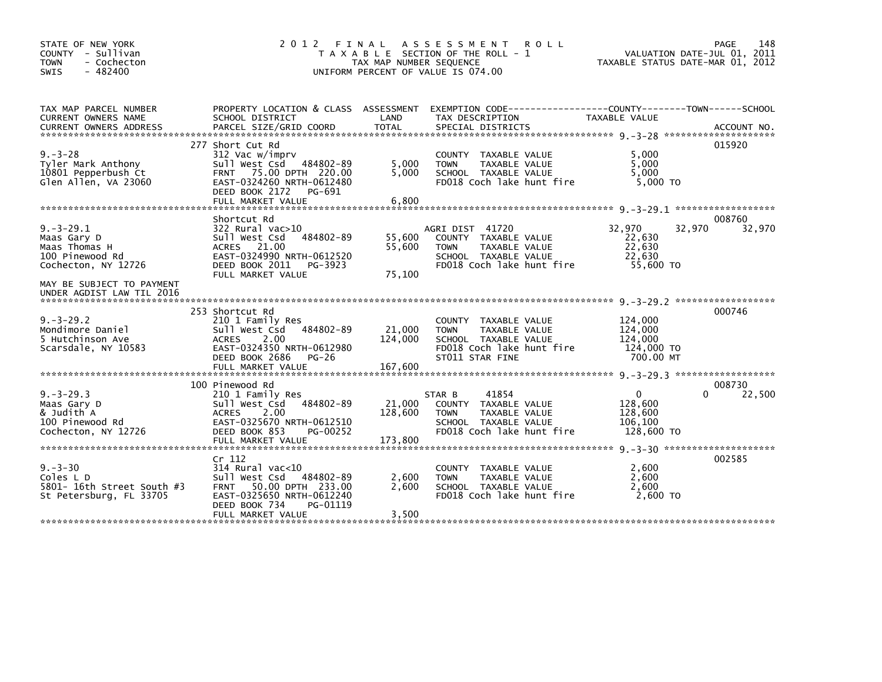| STATE OF NEW YORK<br>COUNTY - Sullivan<br>- Cochecton<br><b>TOWN</b><br>$-482400$<br><b>SWIS</b> | 2012<br>FINAL                                                                                                                                                                       | TAX MAP NUMBER SEQUENCE    | A S S E S S M E N T<br><b>ROLL</b><br>T A X A B L E SECTION OF THE ROLL - 1<br>UNIFORM PERCENT OF VALUE IS 074.00            | 148<br>PAGE<br>VALUATION DATE-JUL 01, 2011<br>TAXABLE STATUS DATE-MAR 01, 2012 |                    |  |  |
|--------------------------------------------------------------------------------------------------|-------------------------------------------------------------------------------------------------------------------------------------------------------------------------------------|----------------------------|------------------------------------------------------------------------------------------------------------------------------|--------------------------------------------------------------------------------|--------------------|--|--|
| TAX MAP PARCEL NUMBER<br>CURRENT OWNERS NAME                                                     | PROPERTY LOCATION & CLASS ASSESSMENT<br>SCHOOL DISTRICT                                                                                                                             | LAND                       | EXEMPTION CODE-----------------COUNTY-------TOWN------SCHOOL<br>TAX DESCRIPTION                                              | TAXABLE VALUE                                                                  |                    |  |  |
| $9. - 3 - 28$<br>Tyler Mark Anthony<br>10801 Pepperbush Ct<br>Glen Allen, VA 23060               | 277 Short Cut Rd<br>312 Vac w/imprv<br>Sull West Csd<br>484802-89<br>75.00 DPTH 220.00<br><b>FRNT</b><br>EAST-0324260 NRTH-0612480<br>DEED BOOK 2172<br>PG-691<br>FULL MARKET VALUE | 5,000<br>5,000<br>6,800    | COUNTY TAXABLE VALUE<br>TAXABLE VALUE<br><b>TOWN</b><br>SCHOOL TAXABLE VALUE<br>FD018 Coch lake hunt fire                    | 5,000<br>5,000<br>5,000<br>5,000 TO                                            | 015920             |  |  |
|                                                                                                  | Shortcut Rd                                                                                                                                                                         |                            |                                                                                                                              |                                                                                | 008760             |  |  |
| $9. -3 - 29.1$<br>Maas Gary D<br>Maas Thomas H<br>100 Pinewood Rd<br>Cochecton, NY 12726         | $322$ Rural vac $>10$<br>Sull West Csd<br>484802-89<br>ACRES 21.00<br>EAST-0324990 NRTH-0612520<br>DEED BOOK 2011<br>PG-3923<br>FULL MARKET VALUE                                   | 55,600<br>55,600<br>75,100 | AGRI DIST 41720<br>COUNTY TAXABLE VALUE<br><b>TOWN</b><br>TAXABLE VALUE<br>SCHOOL TAXABLE VALUE<br>FD018 Coch lake hunt fire | 32.970<br>32,970<br>22,630<br>22,630<br>22.630<br>55,600 TO                    | 32,970             |  |  |
| MAY BE SUBJECT TO PAYMENT<br>UNDER AGDIST LAW TIL 2016                                           |                                                                                                                                                                                     |                            |                                                                                                                              |                                                                                |                    |  |  |
| $9. -3 - 29.2$<br>Mondimore Daniel<br>5 Hutchinson Ave<br>Scarsdale, NY 10583                    | 253 Shortcut Rd<br>210 1 Family Res<br>484802-89<br>Sull West Csd<br><b>ACRES</b><br>2.00<br>EAST-0324350 NRTH-0612980<br>DEED BOOK 2686<br>PG-26                                   | 21,000<br>124,000          | COUNTY TAXABLE VALUE<br><b>TOWN</b><br>TAXABLE VALUE<br>SCHOOL TAXABLE VALUE<br>FD018 Coch lake hunt fire<br>ST011 STAR FINE | 124,000<br>124,000<br>124,000<br>124,000 TO<br>700.00 MT                       | 000746             |  |  |
|                                                                                                  | 100 Pinewood Rd                                                                                                                                                                     |                            |                                                                                                                              |                                                                                | 008730             |  |  |
| $9. -3 - 29.3$<br>Maas Gary D<br>& Judith A<br>100 Pinewood Rd<br>Cochecton, NY 12726            | 210 1 Family Res<br>484802-89<br>Sull West Csd<br>2.00<br><b>ACRES</b><br>EAST-0325670 NRTH-0612510<br>DEED BOOK 853<br>PG-00252                                                    | 21,000<br>128,600          | 41854<br>STAR B<br>COUNTY TAXABLE VALUE<br>TAXABLE VALUE<br><b>TOWN</b><br>SCHOOL TAXABLE VALUE<br>FD018 Coch lake hunt fire | $\mathbf{0}$<br>128,600<br>128,600<br>106,100<br>128,600 TO                    | 22,500<br>$\Omega$ |  |  |
|                                                                                                  | FULL MARKET VALUE                                                                                                                                                                   | 173,800                    |                                                                                                                              |                                                                                |                    |  |  |
| $9. - 3 - 30$<br>Coles L D<br>5801- 16th Street South #3<br>St Petersburg, FL 33705              | Cr 112<br>$314$ Rural vac<10<br>Sull West Csd<br>484802-89<br>50.00 DPTH 233.00<br><b>FRNT</b><br>EAST-0325650 NRTH-0612240<br>DEED BOOK 734<br>PG-01119<br>FULL MARKET VALUE       | 2,600<br>2,600<br>3,500    | COUNTY TAXABLE VALUE<br><b>TOWN</b><br>TAXABLE VALUE<br>SCHOOL TAXABLE VALUE<br>FD018 Coch lake hunt fire                    | 2,600<br>2.600<br>2,600<br>$2.600$ TO                                          | 002585             |  |  |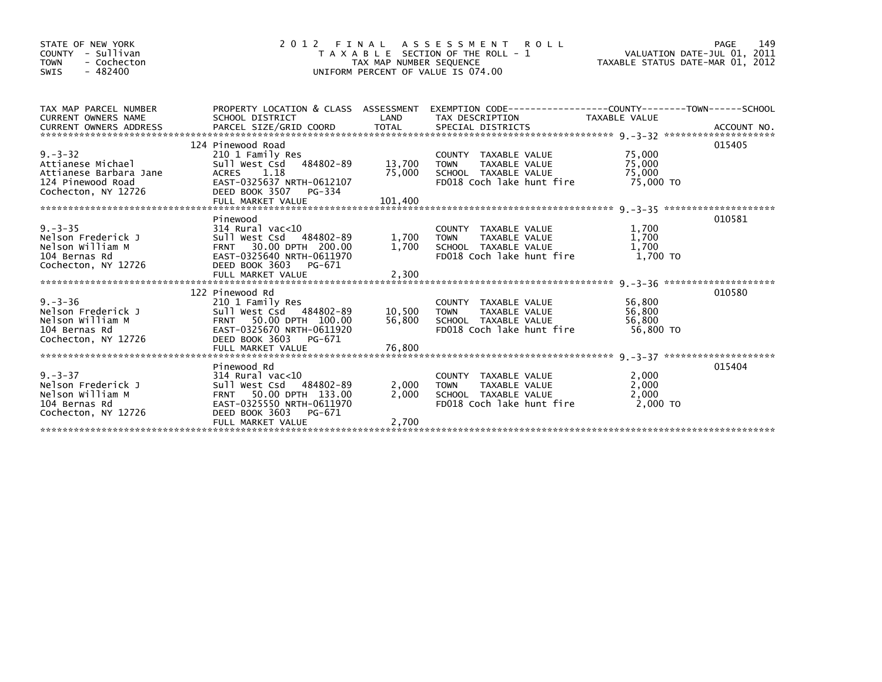| STATE OF NEW YORK<br>COUNTY - Sullivan<br><b>TOWN</b><br>- Cochecton<br>$-482400$<br>SWIS                 | 2 0 1 2                                                                                                                                                            | TAX MAP NUMBER SEQUENCE | FINAL ASSESSMENT ROLL<br>T A X A B L E SECTION OF THE ROLL - 1<br>UNIFORM PERCENT OF VALUE IS 074.00                                         | TAXABLE STATUS DATE-MAR 01, 2012                          |        |
|-----------------------------------------------------------------------------------------------------------|--------------------------------------------------------------------------------------------------------------------------------------------------------------------|-------------------------|----------------------------------------------------------------------------------------------------------------------------------------------|-----------------------------------------------------------|--------|
| TAX MAP PARCEL NUMBER                                                                                     |                                                                                                                                                                    |                         | PROPERTY LOCATION & CLASS ASSESSMENT EXEMPTION CODE----------------COUNTY-------TOWN------SCHOOL                                             | TAXABLE VALUE                                             |        |
| $9. - 3 - 32$<br>Attianese Michael<br>Attianese Barbara Jane<br>124 Pinewood Road<br>Cochecton, NY 12726  | 124 Pinewood Road<br>210 1 Family Res<br>Sull West Csd 484802-89<br>ACRES 1.18<br>EAST-0325637 NRTH-0612107<br>DEED BOOK 3507 PG-334                               | 13,700 TOWN<br>75,000   | COUNTY TAXABLE VALUE<br>TOWN      TAXABLE VALUE<br>SCHOOL TAXABLE VALUE<br>FD018 Coch lake hunt fire                                         | 75,000<br>75,000<br>75,000<br>75,000 TO                   | 015405 |
| $9. -3 - 35$<br>9.-3-35<br>Nelson Frederick J<br>Nelson William M<br>104 Bernas Rd<br>Cochecton, NY 12726 | Pinewood<br>314 Rural vac<10<br>Sull West Csd 484802-89<br>FRNT 30.00 DPTH 200.00<br>EAST-0325640 NRTH-0611970<br>DEED BOOK 3603 PG-671                            | 1,700                   | COUNTY TAXABLE VALUE<br>r TAXABLE VALUE<br>TAXABLE VALUE<br>TAXABLE VALUE<br>1,700 TOWN<br>SCHOOL TAXABLE VALUE<br>FD018 Coch lake hunt fire | 1,700<br>1,700<br>1,700<br>$1.700$ TO                     | 010581 |
| $9. - 3 - 36$<br>יכיכל<br>Nelson Frederick J<br>Nelson William M<br>104 Bernas Rd<br>Cochecton, NY 12726  | 122 Pinewood Rd<br>210 1 Family Res<br>Sull West Csd 484802-89<br>FRNT 50.00 DPTH 100.00<br>EAST-0325670 NRTH-0611920<br>DEED BOOK 3603 PG-671                     | 10,500 TOWN<br>56,800   | COUNTY TAXABLE VALUE<br>TAXABLE VALUE<br>SCHOOL TAXABLE VALUE<br>FD018 Coch lake hunt fire                                                   | 56,800<br>56,800<br>56,800<br>56.800 TO                   | 010580 |
| $9. -3-37$<br>Nelson Frederick J<br>$1 \text{ cm }$ William M<br>Cochecton, NY 12726                      | Pinewood Rd<br>314 Rural vac<10<br>Sull West Csd 484802-89<br>FRNT 50.00 DPTH 133.00<br>EAST-0325550 NRTH-0611970<br>DEED BOOK 3603<br>PG-671<br>FULL MARKET VALUE | 2,000<br>2,700          | COUNTY TAXABLE VALUE<br>2,000 TOWN<br>TOWN      TAXABLE VALUE<br>SCHOOL   TAXABLE VALUE<br>FD018 Coch lake hunt fire                         | 2,000<br>2,000<br>2,000<br>и прострой до 10 км и 2,000 то | 015404 |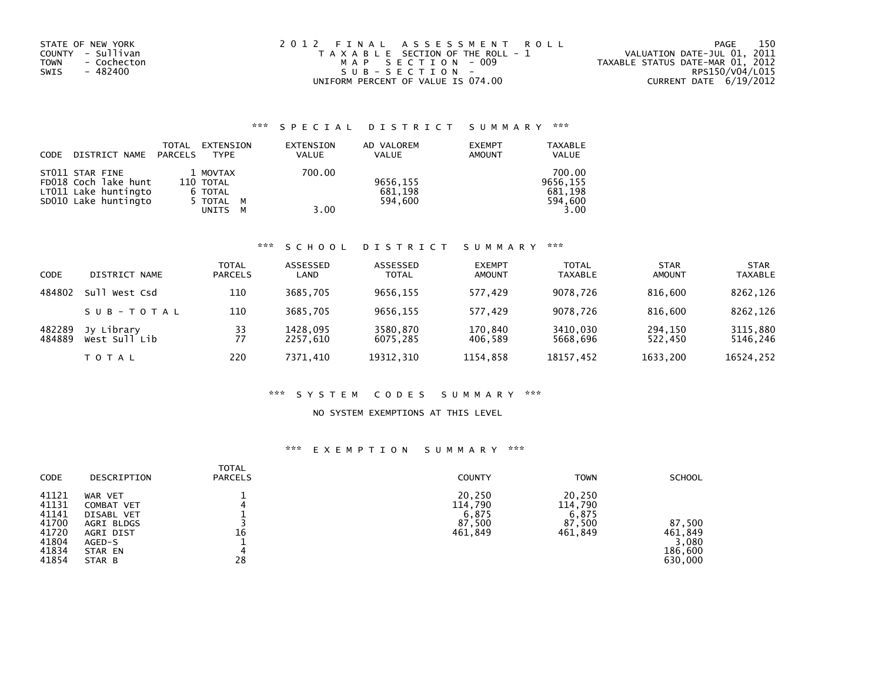| STATE OF NEW YORK<br>COUNTY - Sullivan<br>- Cochecton<br>TOWN<br>- 482400<br>SWIS | 2012 FINAL ASSESSMENT ROLL<br>T A X A B L E SECTION OF THE ROLL - 1<br>MAP SECTION - 009<br>SUB-SECTION- | 150<br>PAGE<br>VALUATION DATE-JUL 01, 2011<br>TAXABLE STATUS DATE-MAR 01, 2012<br>RPS150/V04/L015 |
|-----------------------------------------------------------------------------------|----------------------------------------------------------------------------------------------------------|---------------------------------------------------------------------------------------------------|
|                                                                                   | UNIFORM PERCENT OF VALUE IS 074.00                                                                       | CURRENT DATE 6/19/2012                                                                            |

# \*\*\* S P E C I A L D I S T R I C T S U M M A R Y \*\*\*

| CODE | DISTRICT NAME                                                                           | TOTAL<br>PARCELS | EXTENSION<br><b>TYPE</b>                             |        | EXTENSION<br><b>VALUE</b> | AD VALOREM<br>VALUE            | <b>EXEMPT</b><br><b>AMOUNT</b> | <b>TAXABLE</b><br><b>VALUE</b>                   |
|------|-----------------------------------------------------------------------------------------|------------------|------------------------------------------------------|--------|---------------------------|--------------------------------|--------------------------------|--------------------------------------------------|
|      | ST011 STAR FINE<br>FD018 Coch lake hunt<br>LT011 Lake huntingto<br>SD010 Lake huntingto |                  | 1 MOVTAX<br>110 TOTAL<br>6 TOTAL<br>5 TOTAL<br>UNITS | M<br>м | 700.00<br>3.00            | 9656,155<br>681,198<br>594.600 |                                | 700.00<br>9656.155<br>681.198<br>594,600<br>3.00 |

### \*\*\* S C H O O L D I S T R I C T S U M M A R Y \*\*\*

| CODE             | DISTRICT NAME               | <b>TOTAL</b><br><b>PARCELS</b> | ASSESSED<br>LAND     | ASSESSED<br><b>TOTAL</b> | <b>EXEMPT</b><br><b>AMOUNT</b> | <b>TOTAL</b><br><b>TAXABLE</b> | <b>STAR</b><br><b>AMOUNT</b> | <b>STAR</b><br><b>TAXABLE</b> |
|------------------|-----------------------------|--------------------------------|----------------------|--------------------------|--------------------------------|--------------------------------|------------------------------|-------------------------------|
| 484802           | Sull<br>West Csd            | 110                            | 3685.705             | 9656.155                 | 577.429                        | 9078.726                       | 816,600                      | 8262,126                      |
|                  | SUB-TOTAL                   | 110                            | 3685,705             | 9656.155                 | 577,429                        | 9078.726                       | 816,600                      | 8262,126                      |
| 482289<br>484889 | Jy Library<br>West Sull Lib | 33<br>77                       | 1428,095<br>2257.610 | 3580,870<br>6075.285     | 170,840<br>406.589             | 3410,030<br>5668.696           | 294,150<br>522.450           | 3115,880<br>5146,246          |
|                  | <b>TOTAL</b>                | 220                            | 7371.410             | 19312, 310               | 1154.858                       | 18157,452                      | 1633,200                     | 16524,252                     |

### \*\*\* S Y S T E M C O D E S S U M M A R Y \*\*\*

### NO SYSTEM EXEMPTIONS AT THIS LEVEL

## \*\*\* E X E M P T I O N S U M M A R Y \*\*\*

| <b>CODE</b>                                                          | DESCRIPTION                                                                                   | <b>TOTAL</b><br><b>PARCELS</b> | <b>COUNTY</b>                                   | <b>TOWN</b>                                     | <b>SCHOOL</b>                                    |
|----------------------------------------------------------------------|-----------------------------------------------------------------------------------------------|--------------------------------|-------------------------------------------------|-------------------------------------------------|--------------------------------------------------|
| 41121<br>41131<br>41141<br>41700<br>41720<br>41804<br>41834<br>41854 | WAR VET<br>COMBAT VET<br>DISABL VET<br>AGRI BLDGS<br>AGRI DIST<br>AGED-S<br>STAR EN<br>STAR B | 16<br>28                       | 20,250<br>114,790<br>6.875<br>87,500<br>461,849 | 20,250<br>114,790<br>6.875<br>87,500<br>461,849 | 87,500<br>461,849<br>3,080<br>186,600<br>630,000 |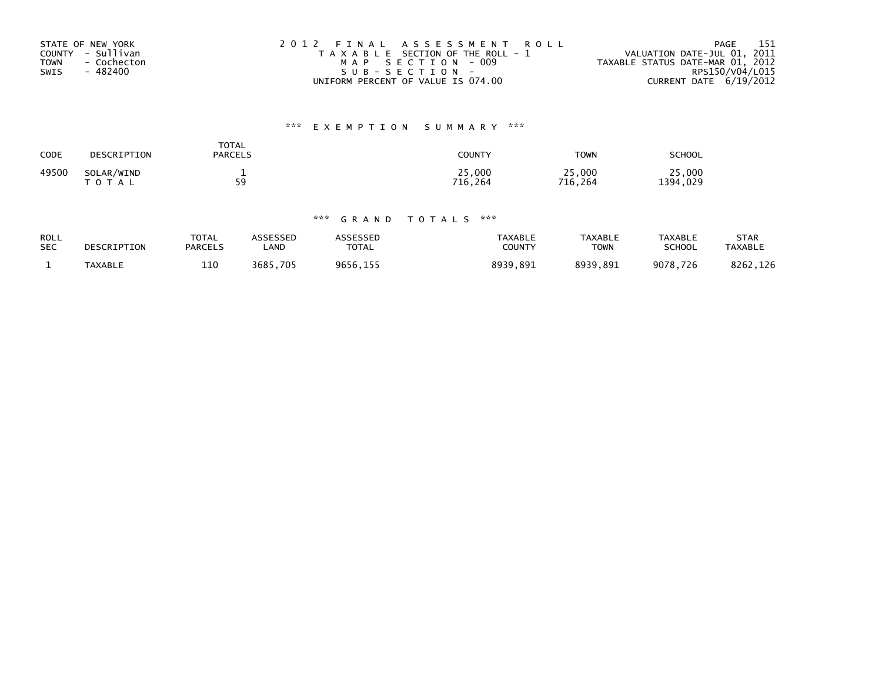| STATE OF NEW YORK   | 2012 FINAL ASSESSMENT ROLL            | 151<br>PAGE                      |
|---------------------|---------------------------------------|----------------------------------|
| COUNTY - Sullivan   | T A X A B L E SECTION OF THE ROLL - 1 | VALUATION DATE-JUL 01, 2011      |
| - Cochecton<br>TOWN | MAP SECTION - 009                     | TAXABLE STATUS DATE-MAR 01, 2012 |
| - 482400<br>SWIS    | SUB-SECTION-                          | RPS150/V04/L015                  |
|                     | UNIFORM PERCENT OF VALUE IS 074.00    | CURRENT DATE $6/19/2012$         |

# \*\*\* E X E M P T I O N S U M M A R Y \*\*\*

| CODE  | DESCRIPTION                | TOTAL<br><b>PARCELS</b> | COUNTY            | <b>TOWN</b>       | SCHOOL             |
|-------|----------------------------|-------------------------|-------------------|-------------------|--------------------|
| 49500 | SOLAR/WIND<br><b>TOTAL</b> | -<br>59<br>- -          | 25,000<br>716.264 | 25,000<br>716.264 | 25,000<br>1394,029 |

## \*\*\* G R A N D T O T A L S \*\*\*

| <b>ROLL</b> | DESCRIPTION    | <b>TOTAL</b>   | <b>ASSESSED</b> | ASSESSED     | TAXABLE       | TAXABLE     | <b>TAXABLE</b> | STAR           |
|-------------|----------------|----------------|-----------------|--------------|---------------|-------------|----------------|----------------|
| <b>SEC</b>  |                | <b>PARCELS</b> | _AND            | <b>TOTAL</b> | <b>COUNTY</b> | <b>TOWN</b> | <b>SCHOOL</b>  | <b>TAXABLE</b> |
|             | <b>TAXABLE</b> | 110            | 3685.705        | 9656.155     | 8939,891      | 8939.891    | 9078.726       | 8262.126       |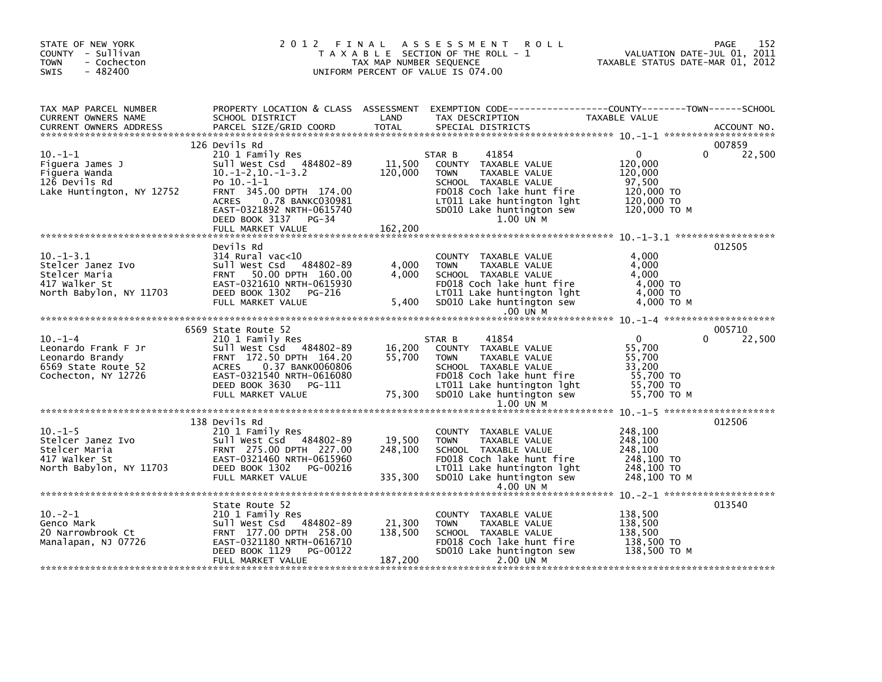| STATE OF NEW YORK<br>COUNTY - Sullivan<br><b>TOWN</b><br>- Cochecton<br>$-482400$<br><b>SWIS</b>                                                                                                                                                     |                                                                                                                                                                                                          | TAX MAP NUMBER SEQUENCE      | 2012 FINAL ASSESSMENT ROLL<br>T A X A B L E SECTION OF THE ROLL - 1<br>UNIFORM PERCENT OF VALUE IS 074.00                                                                                                                                                                  | ۔۔۔<br>2011    VALUATION DATE-JUL<br>2012    TAXABLE STATUS DATE-MAR | 152<br>PAGE                  |
|------------------------------------------------------------------------------------------------------------------------------------------------------------------------------------------------------------------------------------------------------|----------------------------------------------------------------------------------------------------------------------------------------------------------------------------------------------------------|------------------------------|----------------------------------------------------------------------------------------------------------------------------------------------------------------------------------------------------------------------------------------------------------------------------|----------------------------------------------------------------------|------------------------------|
| TAX MAP PARCEL NUMBER<br>CURRENT OWNERS NAME<br>CURRENT OWNERS ADDRESS                                                                                                                                                                               |                                                                                                                                                                                                          |                              |                                                                                                                                                                                                                                                                            |                                                                      |                              |
| $10. -1 - 1$<br>Figuera James J<br>Figuera Wanda<br>Figuera Wanda<br>Figuera Wanda<br>The Rd<br>Construction of the Same School of the Same School of the Same School of the Same School of the School of School of School of the Rd                 | 126 Devils Rd<br>210 1 Family Res<br>$10.-1-2,10.-1-3.2$<br>Po $10.-1-1$<br>FRNT 345.00 DPTH 174.00<br>ACRES 0.238 BANKC030981<br>EAST-0321892 NRTH-0615740<br>DEED BOOK 3137 PG-34<br>FULL MARKET VALUE | 120,000<br>$-34$ 162,200     | 41854<br>STAR B<br><b>TOWN</b><br>TAXABLE VALUE<br>SCHOOL TAXABLE VALUE<br>FDO18 Coch lake hunt fire 120,000 TO<br>LTO11 Lake huntington lght 120,000 TO<br>SDO10 Lake huntington sew 120,000 TO M<br>120,000 TO M<br>1.00 UN M                                            | $\mathbf{0}$<br>120,000<br>120,000                                   | 007859<br>22,500<br>$\Omega$ |
| $10.-1-3.1$<br>10.-1-3.1<br>Stelcer Janez Ivo<br>Stelcer Maria (10 Sull West Csd 484802-89<br>Stelcer Maria (17 Walker St EAST-0321610 NRTH-0615930<br>North Babylon, NY 11703 DEED BOOK 1302 PG-216                                                 | Devils Rd<br>sull West Csd 484802-89<br>DEED BOOK 1302 PG-216<br>FULL MARKET VALUE                                                                                                                       |                              | COUNTY TAXABLE VALUE<br>4,000 TOWN TAXABLE VALUE 4,000<br>4,000 SCHOOL TAXABLE VALUE 4,000<br>FD018 Coch lake hunt fire 4,000 TO<br>LT011 Lake huntington lght 4,000 TO<br>5,400 SD010 Lake huntington sew 4,000 TO M<br>.00 UN M                                          | 4,000                                                                | 012505                       |
|                                                                                                                                                                                                                                                      |                                                                                                                                                                                                          |                              |                                                                                                                                                                                                                                                                            |                                                                      |                              |
| $10. -1 -4$<br>Leonardo Frank F Jr<br>Leonardo Brandy<br>6569 State Route 52<br>Cochecton, NY 12726                                                                                                                                                  | 6569 State Route 52<br>210 1 Family Res<br>Sull West Csd 484802-89<br>FRNT 172.50 DPTH 164.20<br>ACRES 0.37 BANK0060806<br>EAST-0321540 NRTH-0616080<br>DEED BOOK 3630 PG-111<br>FULL MARKET VALUE       |                              | 41854<br>STAR B<br>84802-89 16,200 164.20 55,700<br>164.20 55,700 TOWNY TAXABLE VALUE 55,700<br>RO060806 55,700 SCHOOL TAXABLE VALUE 55,700<br>-0616080 FD018 Coch lake hunt fire 55,700 TO<br>PG-111 12 LT011 Lake huntington 1ght 55,700 TO<br>75,300 SD0<br>$1.00$ UN M | $\overline{0}$<br>55,700 TO M                                        | 005710<br>22,500<br>$\Omega$ |
|                                                                                                                                                                                                                                                      |                                                                                                                                                                                                          |                              |                                                                                                                                                                                                                                                                            |                                                                      |                              |
| 10.-1-5<br>Stelcer Janez Ivo<br>Stelcer Maria<br>417 Walker St<br>North Babylon, NY 11703<br>210 1 Family Res<br>210 1 Family Res<br>Sull West Csd 484802-89<br>FRNT 275.00 DPTH 227.00<br>FRNT 275.00 DPTH 227.00<br>ADFED BOOK 1302<br>PEED BOOK 1 | 138 Devils Rd<br>FULL MARKET VALUE                                                                                                                                                                       | 19,500                       | COUNTY TAXABLE VALUE<br>TAXABLE VALUE<br><b>TOWN</b><br>248,100<br>FD018 Coch lake hunt fire 248,100 TO<br>LT011 Lake huntington lght 248,100 TO<br>335,300 SD010 Lake huntington sew 248,100 TO                                                                           | 248,100<br>248,100<br>248,100 то м                                   | 012506                       |
|                                                                                                                                                                                                                                                      |                                                                                                                                                                                                          |                              |                                                                                                                                                                                                                                                                            |                                                                      |                              |
| $10.-2-1$<br>Genco Mark<br>20 Narrowbrook Ct<br>Manalapan, NJ 07726                                                                                                                                                                                  | State Route 52<br>210 1 Family Res<br>Sull West Csd 484802-89<br>FRNT 177.00 DPTH 258.00<br>EAST-0321180 NRTH-0616710<br>DEED BOOK 1129 PG-00122                                                         | 21,300<br>138,500<br>187,200 | COUNTY TAXABLE VALUE<br>TOWN TAXABLE VALUE<br>TOWN TAXABLE VALUE<br>SCHOOL TAXABLE VALUE<br>FDO18 Coch lake hunt fire<br>SDO10 Lake huntington sew 138,500 TO M<br>SDO10 Lake huntington sew 138,500 TO M                                                                  | 138,500                                                              | 013540                       |
|                                                                                                                                                                                                                                                      | FULL MARKET VALUE                                                                                                                                                                                        |                              | 2.00 UN M                                                                                                                                                                                                                                                                  |                                                                      |                              |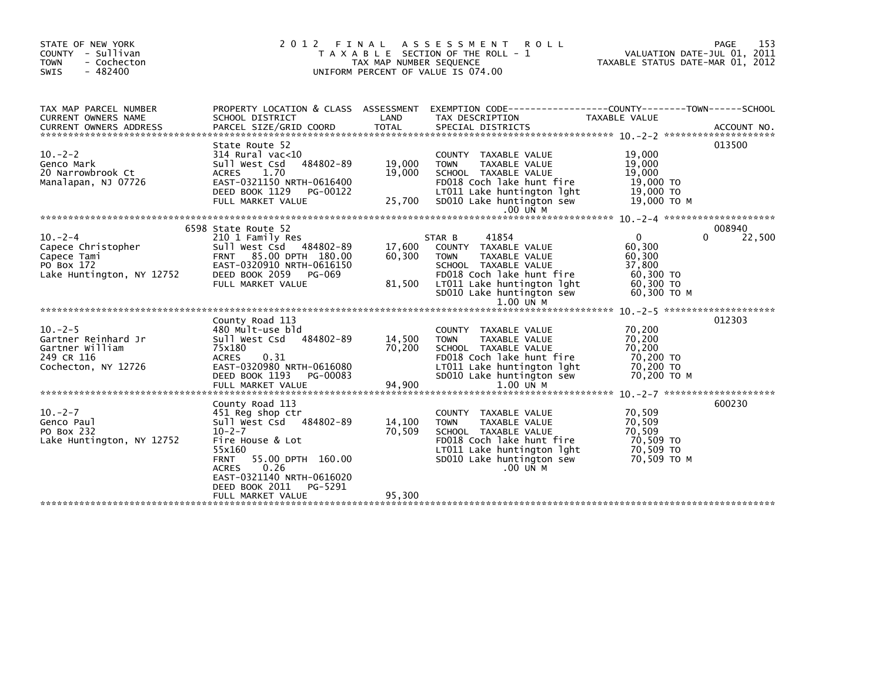| STATE OF NEW YORK<br>COUNTY - Sullivan<br>- Cochecton<br><b>TOWN</b><br>$-482400$<br><b>SWIS</b> | 2012 FINAL                                                                                                                                                                                                                         | TAX MAP NUMBER SEQUENCE    | A S S E S S M E N T<br><b>ROLL</b><br>T A X A B L E SECTION OF THE ROLL - 1<br>UNIFORM PERCENT OF VALUE IS 074.00                                                                                      | VALUATION DATE-JUL 01, 2011<br>TAXABLE STATUS DATE-MAR 01, 2012                      | 153<br>PAGE      |
|--------------------------------------------------------------------------------------------------|------------------------------------------------------------------------------------------------------------------------------------------------------------------------------------------------------------------------------------|----------------------------|--------------------------------------------------------------------------------------------------------------------------------------------------------------------------------------------------------|--------------------------------------------------------------------------------------|------------------|
| TAX MAP PARCEL NUMBER<br><b>CURRENT OWNERS NAME</b>                                              | PROPERTY LOCATION & CLASS ASSESSMENT<br>SCHOOL DISTRICT                                                                                                                                                                            | LAND                       | EXEMPTION CODE-----------------COUNTY-------TOWN------SCHOOL<br>TAX DESCRIPTION                                                                                                                        | <b>TAXABLE VALUE</b>                                                                 |                  |
| $10. -2 - 2$<br>Genco Mark<br>20 Narrowbrook Ct<br>Manalapan, NJ 07726                           | State Route 52<br>$314$ Rural vac<10<br>484802-89<br>Sull West Csd<br><b>ACRES</b><br>1.70<br>EAST-0321150 NRTH-0616400<br>DEED BOOK 1129<br>PG-00122<br>FULL MARKET VALUE                                                         | 19,000<br>19,000<br>25,700 | COUNTY TAXABLE VALUE<br><b>TOWN</b><br><b>TAXABLE VALUE</b><br>SCHOOL TAXABLE VALUE<br>FD018 Coch lake hunt fire<br>LT011 Lake huntington lght<br>SD010 Lake huntington sew<br>.00 UN M                | 19,000<br>19,000<br>19,000<br>19,000 TO<br>19,000 TO<br>19,000 то м                  | 013500           |
|                                                                                                  |                                                                                                                                                                                                                                    |                            |                                                                                                                                                                                                        |                                                                                      |                  |
| $10 - 2 - 4$<br>Capece Christopher<br>Capece Tami<br>PO Box 172<br>Lake Huntington, NY 12752     | 6598 State Route 52<br>210 1 Family Res<br>Sull West Csd 484802-89<br>FRNT 85.00 DPTH 180.00<br>EAST-0320910 NRTH-0616150<br>DEED BOOK 2059<br>PG-069<br>FULL MARKET VALUE                                                         | 17,600<br>60,300<br>81,500 | 41854<br>STAR B<br>COUNTY TAXABLE VALUE<br><b>TOWN</b><br>TAXABLE VALUE<br>SCHOOL TAXABLE VALUE<br>FD018 Coch lake hunt fire<br>LT011 Lake huntington lght<br>SD010 Lake huntington sew<br>$1.00$ UN M | $\Omega$<br>0<br>60,300<br>60,300<br>37,800<br>60,300 TO<br>60,300 ТО<br>60,300 ТО М | 008940<br>22,500 |
|                                                                                                  | County Road 113                                                                                                                                                                                                                    |                            |                                                                                                                                                                                                        | $10. -2 - 5$ **********************                                                  | 012303           |
| $10. -2 - 5$<br>Gartner Reinhard Jr<br>Gartner William<br>249 CR 116<br>Cochecton, NY 12726      | 480 Mult-use bld<br>Sull West Csd<br>484802-89<br>75x180<br>0.31<br><b>ACRES</b><br>EAST-0320980 NRTH-0616080<br>DEED BOOK 1193<br>PG-00083                                                                                        | 14,500<br>70,200           | COUNTY TAXABLE VALUE<br><b>TAXABLE VALUE</b><br><b>TOWN</b><br>SCHOOL TAXABLE VALUE<br>FD018 Coch lake hunt fire<br>LT011 Lake huntington lght<br>SD010 Lake huntington sew                            | 70,200<br>70,200<br>70,200<br>70,200 TO<br>70,200 TO<br>70,200 TO M                  |                  |
|                                                                                                  |                                                                                                                                                                                                                                    |                            |                                                                                                                                                                                                        | $10 - 2 - 7$ **********************                                                  |                  |
| $10. -2 - 7$<br>Genco Paul<br>PO Box 232<br>Lake Huntington, NY 12752                            | County Road 113<br>451 Reg shop ctr<br>Sull West Csd 484802-89<br>$10 - 2 - 7$<br>Fire House & Lot<br>55x160<br>55.00 DPTH 160.00<br><b>FRNT</b><br>0.26<br><b>ACRES</b><br>EAST-0321140 NRTH-0616020<br>DEED BOOK 2011<br>PG-5291 | 14,100<br>70,509           | COUNTY TAXABLE VALUE<br><b>TAXABLE VALUE</b><br><b>TOWN</b><br>SCHOOL TAXABLE VALUE<br>FD018 Coch lake hunt fire<br>LT011 Lake huntington lght<br>SD010 Lake huntington sew<br>$.00$ UN M              | 70,509<br>70,509<br>70,509<br>70,509 TO<br>70,509 TO<br>70,509 ТО М                  | 600230           |
|                                                                                                  | FULL MARKET VALUE                                                                                                                                                                                                                  | 95,300                     |                                                                                                                                                                                                        |                                                                                      |                  |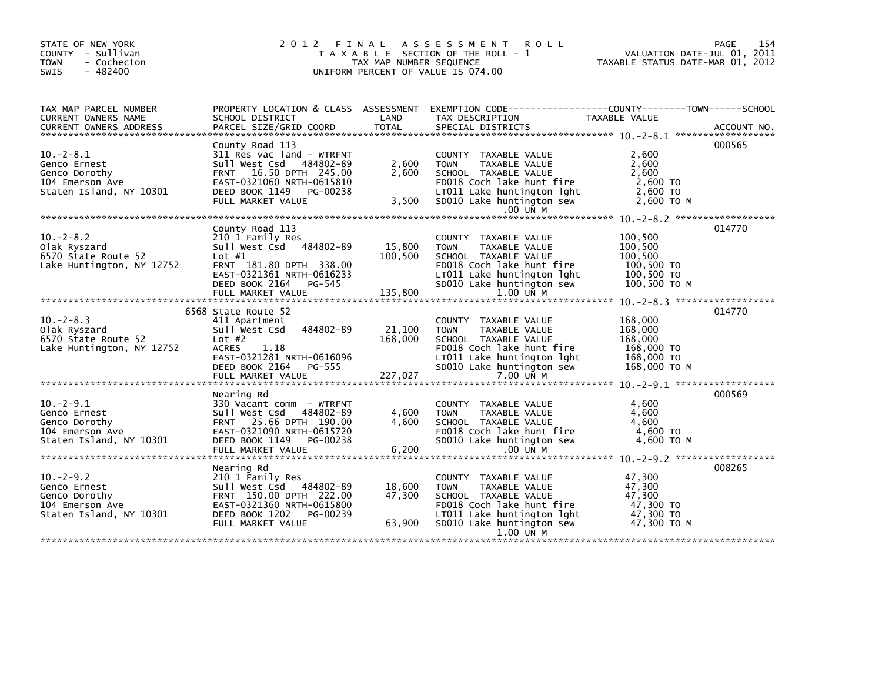| STATE OF NEW YORK<br>COUNTY - Sullivan<br><b>TOWN</b><br>- Cochecton<br>$-482400$<br><b>SWIS</b> |                                                                                                                                                                                       | TAX MAP NUMBER SEQUENCE      | 2012 FINAL ASSESSMENT<br><b>ROLL</b><br>T A X A B L E SECTION OF THE ROLL - 1<br>UNIFORM PERCENT OF VALUE IS 074.00                                                               | PAGE<br>154<br>VALUATION DATE-JUL 01, 2011<br>TAXABLE STATUS DATE-MAR 01, 2012        |
|--------------------------------------------------------------------------------------------------|---------------------------------------------------------------------------------------------------------------------------------------------------------------------------------------|------------------------------|-----------------------------------------------------------------------------------------------------------------------------------------------------------------------------------|---------------------------------------------------------------------------------------|
| TAX MAP PARCEL NUMBER<br>CURRENT OWNERS NAME                                                     | PROPERTY LOCATION & CLASS ASSESSMENT<br>SCHOOL DISTRICT                                                                                                                               | LAND                         | TAX DESCRIPTION                                                                                                                                                                   | EXEMPTION CODE------------------COUNTY--------TOWN------SCHOOL<br>TAXABLE VALUE       |
| $10. -2 - 8.1$<br>Genco Ernest<br>Genco Dorothy<br>104 Emerson Ave<br>Staten Island, NY 10301    | County Road 113<br>311 Res vac land - WTRFNT<br>Sull West Csd 484802-89<br>FRNT 16.50 DPTH 245.00<br>EAST-0321060 NRTH-0615810<br>DEED BOOK 1149 PG-00238<br>FULL MARKET VALUE        | 2,600<br>2,600<br>3,500      | COUNTY TAXABLE VALUE<br><b>TOWN</b><br>TAXABLE VALUE<br>SCHOOL TAXABLE VALUE<br>FD018 Coch lake hunt fire<br>LT011 Lake huntington lght<br>SD010 Lake huntington sew              | 000565<br>2.600<br>2,600<br>2,600<br>2,600 TO<br>2,600 TO<br>2.600 TO M               |
|                                                                                                  |                                                                                                                                                                                       |                              | $.00$ UN M                                                                                                                                                                        |                                                                                       |
| $10 - 2 - 8.2$<br>Olak Ryszard<br>6570 State Route 52<br>Lake Huntington, NY 12752               | County Road 113<br>210 1 Family Res<br>Sull West Csd 484802-89<br>Lot $#1$<br>FRNT 181.80 DPTH 338.00<br>EAST-0321361 NRTH-0616233<br>DEED BOOK 2164<br>$PG-545$<br>FULL MARKET VALUE | 15,800<br>100,500<br>135,800 | COUNTY TAXABLE VALUE<br><b>TOWN</b><br>TAXABLE VALUE<br>SCHOOL TAXABLE VALUE<br>FD018 Coch lake hunt fire<br>LT011 Lake huntington lght<br>SD010 Lake huntington sew<br>1.00 UN M | 014770<br>100,500<br>100,500<br>100,500<br>100,500 TO<br>$100,500$ TO<br>100,500 ТО М |
|                                                                                                  |                                                                                                                                                                                       |                              |                                                                                                                                                                                   |                                                                                       |
| $10. -2 - 8.3$<br>Olak Ryszard<br>6570 State Route 52<br>Lake Huntington, NY 12752               | 6568 State Route 52<br>411 Apartment<br>484802-89<br>Sull West Csd<br>Lot $#2$<br><b>ACRES</b><br>1.18<br>EAST-0321281 NRTH-0616096<br>DEED BOOK 2164 PG-555<br>FULL MARKET VALUE     | 21,100<br>168,000<br>227,027 | COUNTY TAXABLE VALUE<br>TAXABLE VALUE<br><b>TOWN</b><br>SCHOOL TAXABLE VALUE<br>FD018 Coch lake hunt fire<br>LT011 Lake huntington lght<br>SD010 Lake huntington sew<br>7.00 UN M | 014770<br>168,000<br>168,000<br>168,000<br>168,000 TO<br>168,000 TO<br>168,000 ТО М   |
|                                                                                                  | Nearing Rd                                                                                                                                                                            |                              |                                                                                                                                                                                   | 000569                                                                                |
| $10. -2 - 9.1$<br>Genco Ernest<br>Genco Dorothy<br>104 Emerson Ave<br>Staten Island, NY 10301    | 330 Vacant comm - WTRFNT<br>Sull West Csd 484802-89<br>FRNT 25.66 DPTH 190.00<br>EAST-0321090 NRTH-0615720<br>DEED BOOK 1149 PG-00238                                                 | 4,600<br>4,600               | COUNTY TAXABLE VALUE<br><b>TOWN</b><br>TAXABLE VALUE<br>SCHOOL TAXABLE VALUE<br>FD018 Coch lake hunt fire<br>SD010 Lake huntington sew                                            | 4.600<br>4.600<br>4,600<br>4,600 TO<br>4,600 TO M                                     |
|                                                                                                  | Nearing Rd                                                                                                                                                                            |                              |                                                                                                                                                                                   | 008265                                                                                |
| $10. -2 - 9.2$<br>Genco Ernest<br>Genco Dorothy<br>104 Emerson Ave<br>Staten Island, NY 10301    | 210 1 Family Res<br>Sull West Csd 484802-89<br>FRNT 150.00 DPTH 222.00<br>EAST-0321360 NRTH-0615800<br>DEED BOOK 1202<br>PG-00239                                                     | 18,600<br>47,300             | COUNTY TAXABLE VALUE<br><b>TOWN</b><br>TAXABLE VALUE<br>SCHOOL TAXABLE VALUE<br>FD018 Coch lake hunt fire<br>LT011 Lake huntington lght                                           | 47,300<br>47,300<br>47,300<br>47,300 TO<br>47,300 TO                                  |
|                                                                                                  | FULL MARKET VALUE                                                                                                                                                                     | 63,900                       | SD010 Lake huntington sew<br>1.00 UN M                                                                                                                                            | 47.300 TO M                                                                           |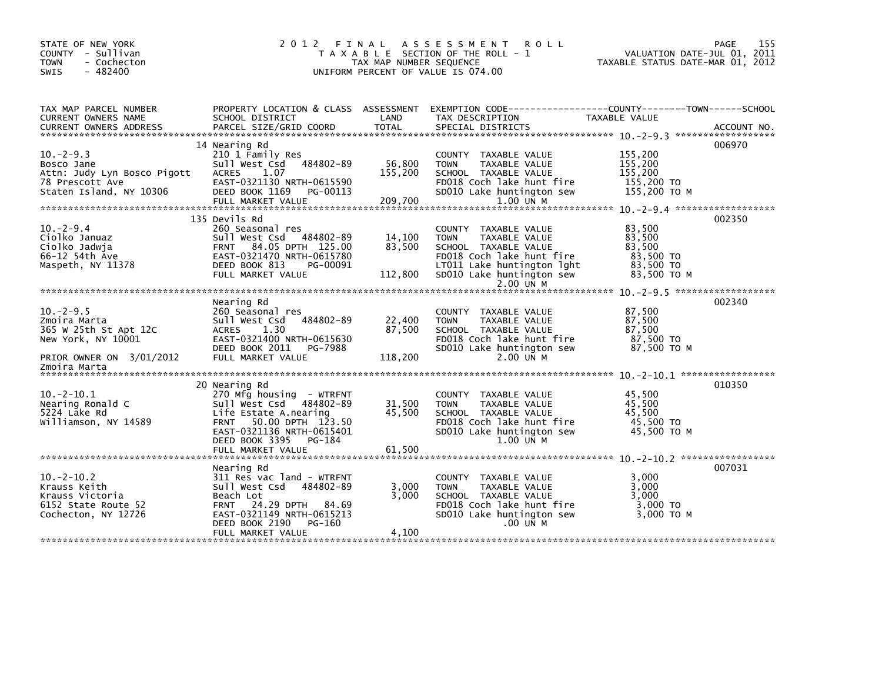| STATE OF NEW YORK<br>COUNTY - Sullivan<br><b>TOWN</b><br>- Cochecton<br>$-482400$<br>SWIS |                                                                                                                                                  | TAX MAP NUMBER SEQUENCE | 2012 FINAL ASSESSMENT<br><b>ROLL</b><br>T A X A B L E SECTION OF THE ROLL - 1<br>UNIFORM PERCENT OF VALUE IS 074.00                            | TAXABLE STATUS DATE-MAR 01, 2012                       | 155<br>PAGE<br>VALUATION DATE-JUL 01, 2011 |
|-------------------------------------------------------------------------------------------|--------------------------------------------------------------------------------------------------------------------------------------------------|-------------------------|------------------------------------------------------------------------------------------------------------------------------------------------|--------------------------------------------------------|--------------------------------------------|
| TAX MAP PARCEL NUMBER<br>CURRENT OWNERS NAME                                              | PROPERTY LOCATION & CLASS ASSESSMENT EXEMPTION CODE-----------------COUNTY-------TOWN------SCHOOL<br>SCHOOL DISTRICT                             | LAND                    | TAX DESCRIPTION                                                                                                                                | TAXABLE VALUE                                          |                                            |
|                                                                                           | 14 Nearing Rd                                                                                                                                    |                         |                                                                                                                                                |                                                        | 006970                                     |
| $10 - 2 - 9.3$<br>Bosco Jane<br>Attn: Judy Lyn Bosco Pigott<br>78 Prescott Ave            | 210 1 Family Res<br>Sull West Csd<br>484802-89<br><b>ACRES</b><br>1.07<br>EAST-0321130 NRTH-0615590                                              | 56,800<br>155,200       | COUNTY TAXABLE VALUE<br><b>TAXABLE VALUE</b><br><b>TOWN</b><br>SCHOOL TAXABLE VALUE<br>FD018 Coch lake hunt fire                               | 155,200<br>155,200<br>155,200<br>155,200 TO            |                                            |
| Staten Island, NY 10306                                                                   | DEED BOOK 1169 PG-00113<br>FULL MARKET VALUE                                                                                                     | 209,700                 | SD010 Lake huntington sew<br>$1.00$ UN M                                                                                                       | 155,200 TO M                                           |                                            |
|                                                                                           |                                                                                                                                                  |                         |                                                                                                                                                |                                                        |                                            |
| $10. -2 - 9.4$<br>Ciolko Januaz<br>Ciolko Jadwia<br>66-12 54th Ave<br>Maspeth, NY 11378   | 135 Devils Rd<br>260 Seasonal res<br>Sull West Csd 484802-89<br>FRNT 84.05 DPTH 125.00<br>EAST-0321470 NRTH-0615780<br>DEED BOOK 813<br>PG-00091 | 14,100<br>83,500        | COUNTY TAXABLE VALUE<br><b>TAXABLE VALUE</b><br><b>TOWN</b><br>SCHOOL TAXABLE VALUE<br>FD018 Coch lake hunt fire<br>LT011 Lake huntington lght | 83,500<br>83,500<br>83,500<br>83,500 TO<br>83,500 TO   | 002350                                     |
|                                                                                           | FULL MARKET VALUE                                                                                                                                | 112,800                 | SD010 Lake huntington sew                                                                                                                      | 83,500 TO M                                            |                                            |
|                                                                                           |                                                                                                                                                  |                         | 2.00 UN M                                                                                                                                      |                                                        |                                            |
|                                                                                           | Nearing Rd                                                                                                                                       |                         |                                                                                                                                                |                                                        | 002340                                     |
| $10. -2 - 9.5$<br>Zmoira Marta<br>365 W 25th St Apt 12C<br>New York, NY 10001             | 260 Seasonal res<br>Sull West Csd<br>484802-89<br>ACRES<br>1.30<br>EAST-0321400 NRTH-0615630<br>DEED BOOK 2011<br>PG-7988                        | 22,400<br>87,500        | COUNTY TAXABLE VALUE<br><b>TAXABLE VALUE</b><br><b>TOWN</b><br>SCHOOL TAXABLE VALUE<br>FD018 Coch lake hunt fire<br>SD010 Lake huntington sew  | 87,500<br>87,500<br>87,500<br>87,500 TO<br>87,500 TO M |                                            |
| PRIOR OWNER ON 3/01/2012                                                                  | FULL MARKET VALUE                                                                                                                                | 118,200                 | $2.00$ UN M                                                                                                                                    |                                                        |                                            |
| Zmoira Marta                                                                              |                                                                                                                                                  |                         |                                                                                                                                                |                                                        |                                            |
| $10. -2 - 10.1$                                                                           | 20 Nearing Rd<br>270 Mfg housing - WTRFNT                                                                                                        |                         | COUNTY TAXABLE VALUE                                                                                                                           | 45.500                                                 | 010350                                     |
| Nearing Ronald C<br>5224 Lake Rd<br>Williamson, NY 14589                                  | Sull West Csd 484802-89<br>Life Estate A.nearing<br>50.00 DPTH 123.50<br><b>FRNT</b><br>EAST-0321136 NRTH-0615401<br>DEED BOOK 3395 PG-184       | 31,500<br>45,500        | <b>TOWN</b><br>TAXABLE VALUE<br>SCHOOL TAXABLE VALUE<br>FD018 Coch lake hunt fire<br>SD010 Lake huntington sew<br>$1.00$ UN M                  | 45,500<br>45,500<br>45,500 TO<br>45,500 TO M           |                                            |
|                                                                                           | FULL MARKET VALUE                                                                                                                                | 61,500                  |                                                                                                                                                |                                                        |                                            |
| $10 - 2 - 10.2$<br>Krauss Keith                                                           | Nearing Rd<br>311 Res vac land - WTRFNT<br>Sull West Csd<br>484802-89                                                                            | 3,000                   | COUNTY<br>TAXABLE VALUE<br><b>TOWN</b><br>TAXABLE VALUE                                                                                        | 3,000<br>3,000                                         | 007031                                     |
| Krauss Victoria<br>6152 State Route 52<br>Cochecton, NY 12726                             | Beach Lot<br>FRNT 24.29 DPTH 84.69<br>EAST-0321149 NRTH-0615213<br>DEED BOOK 2190<br>PG-160                                                      | 3,000                   | SCHOOL TAXABLE VALUE<br>FD018 Coch lake hunt fire<br>SD010 Lake huntington sew<br>$.00$ UN M                                                   | 3.000<br>3,000 TO<br>3.000 TO M                        |                                            |
|                                                                                           | FULL MARKET VALUE                                                                                                                                | 4,100                   |                                                                                                                                                |                                                        |                                            |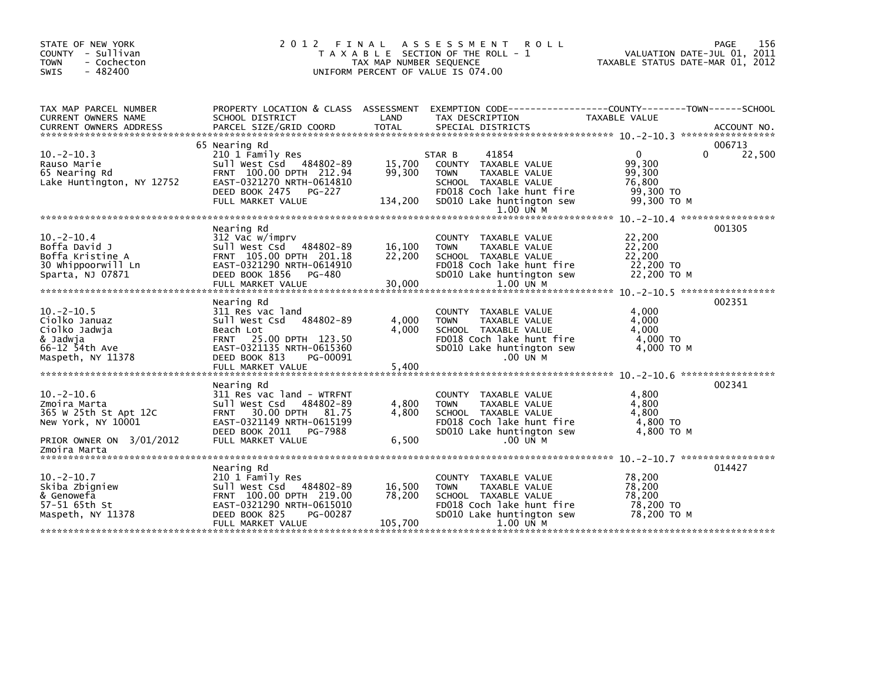| STATE OF NEW YORK<br>COUNTY - Sullivan<br><b>TOWN</b><br>- Cochecton<br>$-482400$<br><b>SWIS</b>                           | 2 0 1 2<br>FINAL<br>T A X A B L E SECTION OF THE ROLL - 1<br>TAX MAP NUMBER SEQUENCE<br>UNIFORM PERCENT OF VALUE IS 074.00                                                              | TAXABLE STATUS DATE-MAR 01, 2012 | 156<br>PAGE<br>VALUATION DATE-JUL 01, 2011                                                                                                                             |                                                                        |                       |
|----------------------------------------------------------------------------------------------------------------------------|-----------------------------------------------------------------------------------------------------------------------------------------------------------------------------------------|----------------------------------|------------------------------------------------------------------------------------------------------------------------------------------------------------------------|------------------------------------------------------------------------|-----------------------|
| TAX MAP PARCEL NUMBER<br>CURRENT OWNERS NAME                                                                               | PROPERTY LOCATION & CLASS ASSESSMENT<br>SCHOOL DISTRICT                                                                                                                                 | LAND                             | EXEMPTION CODE-----------------COUNTY-------TOWN------SCHOOL<br>TAX DESCRIPTION                                                                                        | TAXABLE VALUE                                                          |                       |
| $10 - 2 - 10.3$<br>Rauso Marie<br>65 Nearing Rd<br>Lake Huntington, NY 12752                                               | 65 Nearing Rd<br>210 1 Family Res<br>Sull West Csd 484802-89<br>FRNT 100.00 DPTH 212.94<br>EAST-0321270 NRTH-0614810<br>DEED BOOK 2475<br>PG-227<br>FULL MARKET VALUE                   | 15,700<br>99,300<br>134,200      | 41854<br>STAR B<br>COUNTY TAXABLE VALUE<br>TAXABLE VALUE<br><b>TOWN</b><br>SCHOOL TAXABLE VALUE<br>FD018 Coch lake hunt fire<br>SD010 Lake huntington sew<br>1.00 UN M | $\mathbf{0}$<br>99,300<br>99,300<br>76,800<br>99,300 TO<br>99,300 TO M | 006713<br>22,500<br>0 |
| $10.-2-10.4$<br>Boffa David J<br>Boffa Kristine A<br>30 Whippoorwill Ln<br>Sparta, NJ 07871                                | Nearing Rd<br>312 Vac w/imprv<br>Sull West Csd 484802-89<br>FRNT 105.00 DPTH 201.18<br>EAST-0321290 NRTH-0614910<br>DEED BOOK 1856 PG-480<br>FULL MARKET VALUE                          | 16,100<br>22,200<br>30,000       | <b>COUNTY</b><br>TAXABLE VALUE<br><b>TOWN</b><br>TAXABLE VALUE<br>SCHOOL TAXABLE VALUE<br>FD018 Coch lake hunt fire<br>SD010 Lake huntington sew<br>1.00 UN M          | 22,200<br>22,200<br>22,200<br>22,200 TO<br>22,200 TO M                 | 001305                |
| $10. -2 - 10.5$<br>Ciolko Januaz<br>Ciolko Jadwja<br>& Jadwja<br>66-12 54th Ave<br>Maspeth, NY 11378                       | Nearing Rd<br>311 Res vac land<br>484802-89<br>Sull West Csd<br>Beach Lot<br>FRNT 25.00 DPTH 123.50<br>EAST-0321135 NRTH-0615360<br>DEED BOOK 813<br>PG-00091<br>FULL MARKET VALUE      | 4.000<br>4.000<br>5,400          | COUNTY TAXABLE VALUE<br>TAXABLE VALUE<br><b>TOWN</b><br>SCHOOL TAXABLE VALUE<br>FD018 Coch lake hunt fire<br>SD010 Lake huntington sew<br>.00 UN M                     | 4,000<br>4,000<br>4.000<br>$4,000$ TO<br>4,000 TO M                    | 002351                |
| $10 - 2 - 10.6$<br>Zmoira Marta<br>365 W 25th St Apt 12C<br>New York, NY 10001<br>PRIOR OWNER ON 3/01/2012<br>Zmoira Marta | Nearing Rd<br>311 Res vac land - WTRFNT<br>Sull West Csd<br>484802-89<br>30.00 DPTH 81.75<br><b>FRNT</b><br>EAST-0321149 NRTH-0615199<br>DEED BOOK 2011<br>PG-7988<br>FULL MARKET VALUE | 4,800<br>4,800<br>6,500          | COUNTY<br>TAXABLE VALUE<br>TAXABLE VALUE<br><b>TOWN</b><br>SCHOOL TAXABLE VALUE<br>FD018 Coch lake hunt fire<br>SD010 Lake huntington sew<br>.00 UN M                  | 4,800<br>4.800<br>4,800<br>4,800 TO<br>4.800 TO M                      | 002341                |
| $10.-2-10.7$<br>Skiba Zbigniew<br>& Genowefa<br>57-51 65th St<br>Maspeth, NY 11378                                         | Nearing Rd<br>210 1 Family Res<br>Sull West Csd 484802-89<br>FRNT 100.00 DPTH 219.00<br>EAST-0321290 NRTH-0615010<br>DEED BOOK 825<br>PG-00287<br>FULL MARKET VALUE                     | 16,500<br>78,200<br>105,700      | COUNTY TAXABLE VALUE<br>TAXABLE VALUE<br><b>TOWN</b><br>SCHOOL TAXABLE VALUE<br>FD018 Coch lake hunt fire<br>SD010 Lake huntington sew<br>1.00 UN M                    | 78,200<br>78,200<br>78.200<br>78,200 TO<br>78.200 TO M                 | 014427                |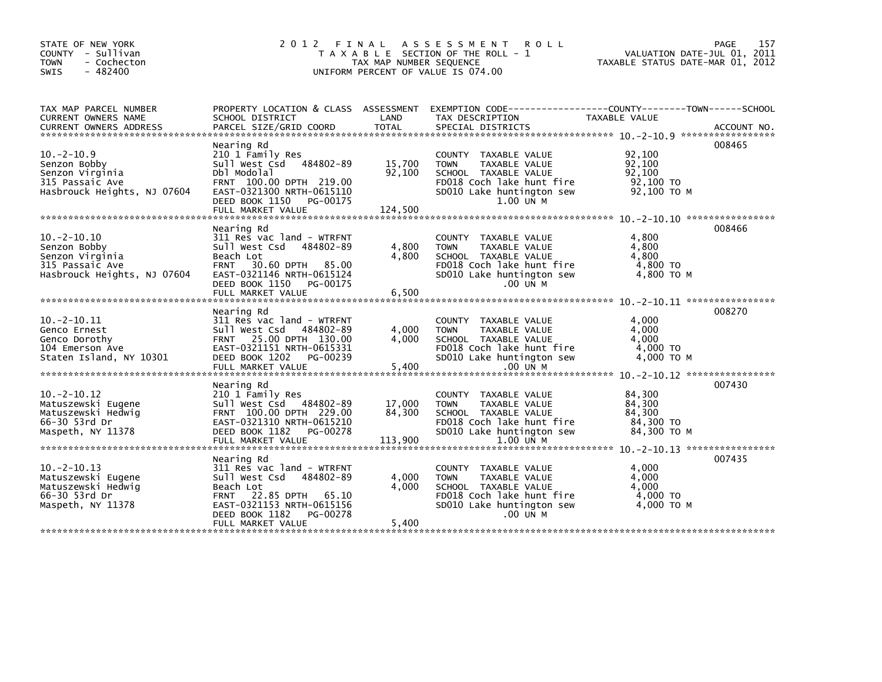| STATE OF NEW YORK                          | 2 0 1 2                                             |                         | FINAL ASSESSMENT<br><b>ROLL</b>                              |                                  | 157<br>PAGE                 |
|--------------------------------------------|-----------------------------------------------------|-------------------------|--------------------------------------------------------------|----------------------------------|-----------------------------|
| COUNTY - Sullivan                          |                                                     |                         | T A X A B L E SECTION OF THE ROLL - 1                        |                                  | VALUATION DATE-JUL 01, 2011 |
| - Cochecton<br><b>TOWN</b>                 |                                                     | TAX MAP NUMBER SEQUENCE |                                                              | TAXABLE STATUS DATE-MAR 01, 2012 |                             |
| $-482400$<br>SWIS                          |                                                     |                         | UNIFORM PERCENT OF VALUE IS 074.00                           |                                  |                             |
|                                            |                                                     |                         |                                                              |                                  |                             |
|                                            |                                                     |                         |                                                              |                                  |                             |
| TAX MAP PARCEL NUMBER                      | PROPERTY LOCATION & CLASS ASSESSMENT                |                         | EXEMPTION CODE-----------------COUNTY-------TOWN------SCHOOL |                                  |                             |
| CURRENT OWNERS NAME                        | SCHOOL DISTRICT                                     | LAND                    | TAX DESCRIPTION                                              | TAXABLE VALUE                    |                             |
|                                            |                                                     |                         |                                                              |                                  |                             |
|                                            |                                                     |                         |                                                              |                                  |                             |
|                                            | Nearing Rd                                          |                         |                                                              |                                  | 008465                      |
| $10. -2 - 10.9$                            | 210 1 Family Res                                    |                         | COUNTY TAXABLE VALUE                                         | 92,100                           |                             |
| Senzon Bobby                               | 484802-89<br>Sull West Csd                          | 15,700                  | <b>TOWN</b><br>TAXABLE VALUE                                 | 92,100                           |                             |
| Senzon Virginia                            | Dbl Modolal                                         | 92,100                  | SCHOOL TAXABLE VALUE                                         | 92.100                           |                             |
| 315 Passaic Ave                            | FRNT 100.00 DPTH 219.00                             |                         | FD018 Coch lake hunt fire                                    | 92,100 TO                        |                             |
| Hasbrouck Heights, NJ 07604                | EAST-0321300 NRTH-0615110                           |                         | SD010 Lake huntington sew                                    | 92,100 ТО М                      |                             |
|                                            | DEED BOOK 1150<br>PG-00175                          |                         | 1.00 UN M                                                    |                                  |                             |
|                                            | FULL MARKET VALUE                                   | 124,500                 |                                                              |                                  |                             |
|                                            |                                                     |                         |                                                              |                                  |                             |
|                                            | Nearing Rd                                          |                         |                                                              |                                  | 008466                      |
| $10. -2 - 10.10$                           | 311 Res vac land - WTRFNT                           |                         | COUNTY TAXABLE VALUE                                         | 4,800                            |                             |
| Senzon Bobby                               | Sull West Csd<br>484802-89                          | 4,800                   | <b>TOWN</b><br>TAXABLE VALUE                                 | 4,800                            |                             |
| Senzon Virginia                            | Beach Lot                                           | 4,800                   | SCHOOL TAXABLE VALUE                                         | 4,800                            |                             |
| 315 Passaic Ave                            | 30.60 DPTH 85.00<br><b>FRNT</b>                     |                         | FD018 Coch lake hunt fire                                    | 4,800 TO                         |                             |
| Hasbrouck Heights, NJ 07604                | EAST-0321146 NRTH-0615124                           |                         | SD010 Lake huntington sew                                    | 4,800 TO M                       |                             |
|                                            | DEED BOOK 1150 PG-00175                             |                         | .00 UN M                                                     |                                  |                             |
|                                            | FULL MARKET VALUE                                   | 6.500                   |                                                              |                                  |                             |
|                                            |                                                     |                         |                                                              |                                  |                             |
|                                            | Nearing Rd                                          |                         |                                                              |                                  | 008270                      |
| $10. -2 - 10.11$                           | 311 Res vac land - WTRFNT                           |                         | COUNTY TAXABLE VALUE                                         | 4,000                            |                             |
| Genco Ernest                               | Sull West Csd 484802-89                             | 4,000<br>4.000          | <b>TOWN</b><br>TAXABLE VALUE                                 | 4,000<br>4,000                   |                             |
| Genco Dorothy                              | FRNT 25.00 DPTH 130.00<br>EAST-0321151 NRTH-0615331 |                         | SCHOOL TAXABLE VALUE<br>FD018 Coch lake hunt fire            | 4,000 TO                         |                             |
| 104 Emerson Ave<br>Staten Island, NY 10301 | DEED BOOK 1202 PG-00239                             |                         | SD010 Lake huntington sew                                    | 4,000 ТО М                       |                             |
|                                            |                                                     |                         |                                                              |                                  |                             |
|                                            |                                                     |                         |                                                              |                                  |                             |
|                                            | Nearing Rd                                          |                         |                                                              |                                  | 007430                      |
| $10. -2 - 10.12$                           | 210 1 Family Res                                    |                         | COUNTY TAXABLE VALUE                                         | 84,300                           |                             |
| Matuszewski Eugene                         | Sull West Csd 484802-89                             | 17,000                  | <b>TOWN</b><br>TAXABLE VALUE                                 | 84,300                           |                             |
| Matuszewski Hedwig                         | FRNT 100.00 DPTH 229.00                             | 84,300                  | SCHOOL TAXABLE VALUE                                         | 84,300                           |                             |
| 66-30 53rd Dr                              | EAST-0321310 NRTH-0615210                           |                         | FD018 Coch lake hunt fire                                    | 84,300 TO                        |                             |
| Maspeth, NY 11378                          | DEED BOOK 1182<br>PG-00278                          |                         | SD010 Lake huntington sew                                    | 84,300 ТО М                      |                             |
|                                            | FULL MARKET VALUE                                   | 113,900                 | 1.00 UN M                                                    |                                  |                             |
|                                            |                                                     |                         |                                                              |                                  |                             |
|                                            | Nearing Rd                                          |                         |                                                              |                                  | 007435                      |
| $10. -2 - 10.13$                           | 311 Res vac land - WTRFNT                           |                         | COUNTY TAXABLE VALUE                                         | 4,000                            |                             |
| Matuszewski Eugene                         | 484802-89<br>Sull West Csd                          | 4,000                   | TAXABLE VALUE<br><b>TOWN</b>                                 | 4,000                            |                             |
| Matuszewski Hedwig                         | Beach Lot                                           | 4,000                   | SCHOOL TAXABLE VALUE                                         | 4,000                            |                             |
| 66-30 53rd Dr                              | FRNT 22.85 DPTH 65.10                               |                         | FD018 Coch lake hunt fire                                    | $4,000$ TO                       |                             |
| Maspeth, NY 11378                          | EAST-0321153 NRTH-0615156                           |                         | SD010 Lake huntington sew                                    | 4,000 TO M                       |                             |
|                                            | DEED BOOK 1182<br>PG-00278                          |                         | .00 UN M                                                     |                                  |                             |
|                                            | FULL MARKET VALUE                                   | 5,400                   |                                                              |                                  |                             |
|                                            |                                                     |                         |                                                              |                                  |                             |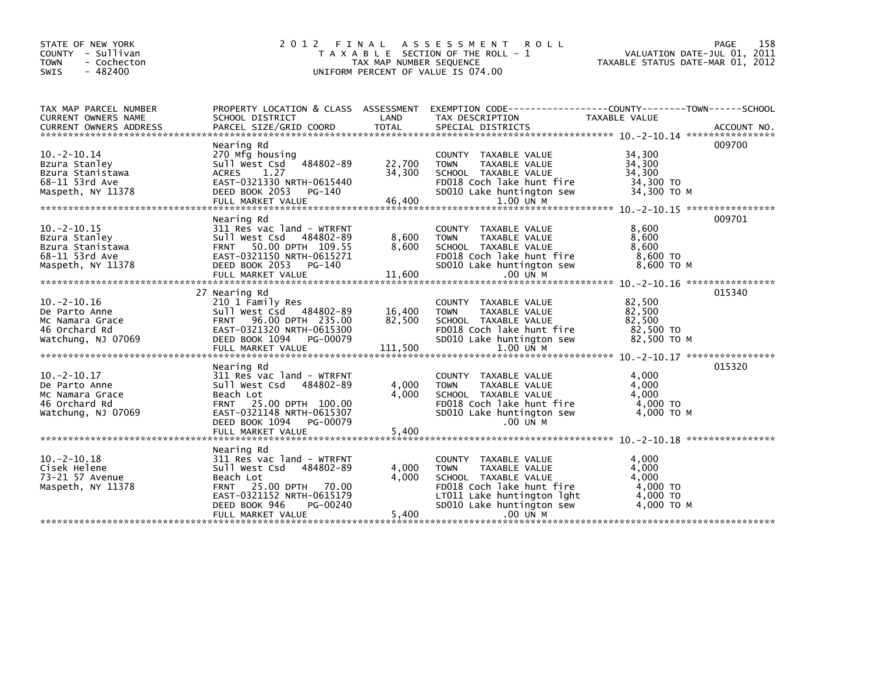| STATE OF NEW YORK                                    | 2 0 1 2<br>FINAL                             |                         | A S S E S S M E N T R O L L                                  |                                  | PAGE<br>158                 |
|------------------------------------------------------|----------------------------------------------|-------------------------|--------------------------------------------------------------|----------------------------------|-----------------------------|
| COUNTY - Sullivan                                    |                                              |                         | T A X A B L E SECTION OF THE ROLL - 1                        |                                  | VALUATION DATE-JUL 01, 2011 |
| - Cochecton<br><b>TOWN</b>                           |                                              | TAX MAP NUMBER SEQUENCE |                                                              | TAXABLE STATUS DATE-MAR 01, 2012 |                             |
| - 482400<br><b>SWIS</b>                              |                                              |                         | UNIFORM PERCENT OF VALUE IS 074.00                           |                                  |                             |
|                                                      |                                              |                         |                                                              |                                  |                             |
|                                                      |                                              |                         |                                                              |                                  |                             |
| TAX MAP PARCEL NUMBER                                | PROPERTY LOCATION & CLASS ASSESSMENT         |                         | EXEMPTION CODE-----------------COUNTY-------TOWN------SCHOOL |                                  |                             |
| CURRENT OWNERS NAME<br><b>CURRENT OWNERS ADDRESS</b> | SCHOOL DISTRICT<br>PARCEL SIZE/GRID COORD    | LAND<br><b>TOTAL</b>    | TAX DESCRIPTION<br>SPECIAL DISTRICTS                         | TAXABLE VALUE                    | ACCOUNT NO.                 |
|                                                      |                                              |                         |                                                              |                                  |                             |
|                                                      | Nearing Rd                                   |                         |                                                              |                                  | 009700                      |
| $10. -2 - 10.14$                                     | 270 Mfg housing                              |                         | COUNTY TAXABLE VALUE                                         | 34,300                           |                             |
| Bzura Stanley                                        | 484802-89<br>Sull West Csd                   | 22,700                  | TAXABLE VALUE<br><b>TOWN</b>                                 | 34,300                           |                             |
| Bzura Stanistawa                                     | 1.27<br>ACRES                                | 34,300                  | SCHOOL TAXABLE VALUE                                         | 34,300                           |                             |
| 68-11 53rd Ave                                       | EAST-0321330 NRTH-0615440                    |                         | FD018 Coch lake hunt fire                                    | 34,300 TO                        |                             |
| Maspeth, NY 11378                                    | DEED BOOK 2053<br>PG-140                     |                         | SD010 Lake huntington sew                                    | 34.300 TO M                      |                             |
|                                                      | FULL MARKET VALUE                            | 46,400                  | 1.00 UN M                                                    |                                  |                             |
|                                                      |                                              |                         |                                                              |                                  |                             |
|                                                      | Nearing Rd                                   |                         |                                                              |                                  | 009701                      |
| $10. -2 - 10.15$                                     | 311 Res vac land - WTRFNT                    |                         | COUNTY TAXABLE VALUE                                         | 8,600                            |                             |
| Bzura Stanley                                        | Sull West Csd<br>484802-89                   | 8,600                   | <b>TOWN</b><br>TAXABLE VALUE                                 | 8,600                            |                             |
| Bzura Stanistawa                                     | FRNT 50.00 DPTH 109.55                       | 8,600                   | SCHOOL TAXABLE VALUE                                         | 8,600                            |                             |
| 68-11 53rd Ave                                       | EAST-0321150 NRTH-0615271                    |                         | FD018 Coch lake hunt fire                                    | 8,600 TO                         |                             |
| Maspeth, NY 11378                                    | DEED BOOK 2053<br>PG-140                     |                         | SD010 Lake huntington sew                                    | 8.600 TO M                       |                             |
|                                                      |                                              |                         |                                                              |                                  |                             |
|                                                      | 27 Nearing Rd                                |                         |                                                              |                                  | 015340                      |
| $10. -2 - 10.16$                                     | 210 1 Family Res                             |                         | <b>COUNTY</b><br>TAXABLE VALUE                               | 82,500                           |                             |
| De Parto Anne                                        | Sull West Csd 484802-89                      | 16,400                  | <b>TOWN</b><br>TAXABLE VALUE                                 | 82,500                           |                             |
| Mc Namara Grace                                      | 96.00 DPTH 235.00<br><b>FRNT</b>             | 82,500                  | SCHOOL TAXABLE VALUE                                         | 82,500                           |                             |
| 46 Orchard Rd                                        | EAST-0321320 NRTH-0615300                    |                         | FD018 Coch lake hunt fire                                    | 82,500 TO                        |                             |
| Watchung, NJ 07069                                   | DEED BOOK 1094 PG-00079                      |                         | SD010 Lake huntington sew                                    | 82,500 TO M                      |                             |
|                                                      | FULL MARKET VALUE                            | 111,500                 | 1.00 UN M                                                    |                                  |                             |
|                                                      |                                              |                         |                                                              |                                  |                             |
|                                                      | Nearing Rd                                   |                         |                                                              |                                  | 015320                      |
| $10. -2 - 10.17$                                     | 311 Res vac land - WTRFNT                    |                         | <b>COUNTY</b><br>TAXABLE VALUE                               | 4,000                            |                             |
| De Parto Anne                                        | Sull West Csd<br>484802-89                   | 4,000                   | <b>TOWN</b><br>TAXABLE VALUE                                 | 4,000                            |                             |
| Mc Namara Grace                                      | Beach Lot                                    | 4,000                   | SCHOOL TAXABLE VALUE                                         | 4,000                            |                             |
| 46 Orchard Rd                                        | FRNT 25.00 DPTH 100.00                       |                         | FD018 Coch lake hunt fire                                    | 4.000 TO                         |                             |
| Watchung, NJ 07069                                   | EAST-0321148 NRTH-0615307                    |                         | SD010 Lake huntington sew                                    | 4,000 TO M                       |                             |
|                                                      | DEED BOOK 1094<br>PG-00079                   |                         | .00 UN M                                                     |                                  |                             |
|                                                      | FULL MARKET VALUE                            | 5,400                   |                                                              |                                  |                             |
|                                                      |                                              |                         |                                                              |                                  |                             |
|                                                      | Nearing Rd                                   |                         |                                                              |                                  |                             |
| $10. -2 - 10.18$                                     | 311 Res vac land - WTRFNT                    |                         | COUNTY TAXABLE VALUE                                         | 4,000                            |                             |
| Cisek Helene                                         | Sull West Csd 484802-89                      | 4,000<br>4,000          | <b>TOWN</b><br>TAXABLE VALUE                                 | 4,000<br>4.000                   |                             |
| 73-21 57 Avenue<br>Maspeth, NY 11378                 | Beach Lot<br>25.00 DPTH 70.00<br><b>FRNT</b> |                         | SCHOOL TAXABLE VALUE<br>FD018 Coch lake hunt fire            | 4,000 TO                         |                             |
|                                                      | EAST-0321152 NRTH-0615179                    |                         | LT011 Lake huntington lght                                   | 4.000 TO                         |                             |
|                                                      | DEED BOOK 946<br>PG-00240                    |                         | SD010 Lake huntington sew                                    | 4,000 TO M                       |                             |
|                                                      | FULL MARKET VALUE                            | 5,400                   | .00 UN M                                                     |                                  |                             |
|                                                      |                                              |                         |                                                              |                                  |                             |
|                                                      |                                              |                         |                                                              |                                  |                             |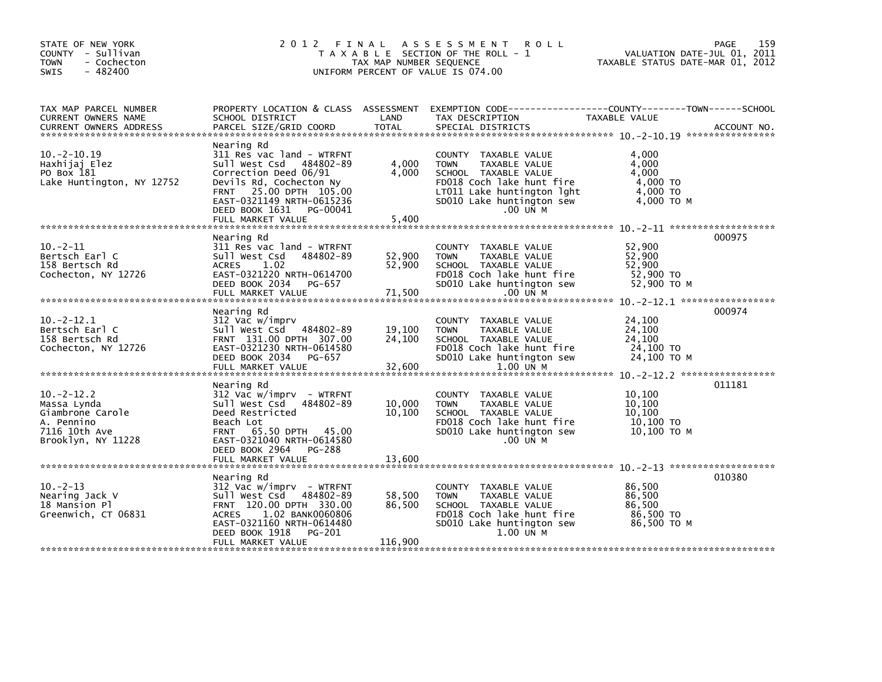| STATE OF NEW YORK<br>COUNTY - Sullivan<br><b>TOWN</b><br>- Cochecton<br>$-482400$<br>SWIS               | 2012 FINAL<br>T A X A B L E SECTION OF THE ROLL - 1<br>TAX MAP NUMBER SEQUENCE<br>UNIFORM PERCENT OF VALUE IS 074.00                                                                                                          | 159<br>PAGE<br>VALUATION DATE-JUL 01, 2011<br>TAXABLE STATUS DATE-MAR 01, 2012 |                                                                                                                                                                                    |                                                                 |        |
|---------------------------------------------------------------------------------------------------------|-------------------------------------------------------------------------------------------------------------------------------------------------------------------------------------------------------------------------------|--------------------------------------------------------------------------------|------------------------------------------------------------------------------------------------------------------------------------------------------------------------------------|-----------------------------------------------------------------|--------|
| TAX MAP PARCEL NUMBER<br><b>CURRENT OWNERS NAME</b>                                                     | SCHOOL DISTRICT                                                                                                                                                                                                               | LAND                                                                           | PROPERTY LOCATION & CLASS ASSESSMENT EXEMPTION CODE----------------COUNTY-------TOWN------SCHOOL<br>TAX DESCRIPTION                                                                | TAXABLE VALUE                                                   |        |
| $10. -2 - 10.19$<br>Haxhijaj Elez<br>PO Box 181<br>Lake Huntington, NY 12752                            | Nearing Rd<br>311 Res vac land - WTRFNT<br>Sull West Csd 484802-89<br>Correction Deed 06/91<br>Devils Rd, Cochecton Ny<br>FRNT 25.00 DPTH 105.00<br>EAST-0321149 NRTH-0615236<br>DEED BOOK 1631 PG-00041<br>FULL MARKET VALUE | 4,000<br>4,000<br>5,400                                                        | COUNTY TAXABLE VALUE<br><b>TOWN</b><br>TAXABLE VALUE<br>SCHOOL TAXABLE VALUE<br>FD018 Coch lake hunt fire<br>LT011 Lake huntington lght<br>SD010 Lake huntington sew<br>$.00$ UN M | 4,000<br>4,000<br>4,000<br>4,000 TO<br>4,000 TO<br>$4,000$ TO M |        |
|                                                                                                         | Nearing Rd                                                                                                                                                                                                                    |                                                                                |                                                                                                                                                                                    |                                                                 | 000975 |
| $10. -2 - 11$<br>Bertsch Earl C<br>158 Bertsch Rd<br>Cochecton, NY 12726                                | 311 Res vac land - WTRFNT<br>Sull West Csd<br>484802-89<br><b>ACRES</b><br>1.02<br>EAST-0321220 NRTH-0614700<br>DEED BOOK 2034 PG-657                                                                                         | 52,900<br>52,900                                                               | COUNTY TAXABLE VALUE<br><b>TOWN</b><br>TAXABLE VALUE<br>SCHOOL TAXABLE VALUE<br>FD018 Coch lake hunt fire<br>SD010 Lake huntington sew                                             | 52,900<br>52,900<br>52.900<br>52,900 TO<br>52,900 TO M          |        |
|                                                                                                         |                                                                                                                                                                                                                               |                                                                                |                                                                                                                                                                                    |                                                                 |        |
| $10. -2 - 12.1$<br>Bertsch Earl C<br>158 Bertsch Rd<br>Cochecton, NY 12726                              | Nearing Rd<br>312 Vac w/imprv<br>Sull West Csd 484802-89<br>FRNT 131.00 DPTH 307.00<br>EAST-0321230 NRTH-0614580<br>DEED BOOK 2034<br>PG-657<br>FULL MARKET VALUE                                                             | 19,100<br>24,100<br>32,600                                                     | COUNTY TAXABLE VALUE<br><b>TOWN</b><br>TAXABLE VALUE<br>SCHOOL TAXABLE VALUE<br>FD018 Coch lake hunt fire<br>SD010 Lake huntington sew<br>$1.00$ UN M                              | 24,100<br>24,100<br>24,100<br>24,100 TO<br>24,100 ТО М          | 000974 |
|                                                                                                         |                                                                                                                                                                                                                               |                                                                                |                                                                                                                                                                                    |                                                                 |        |
| $10. -2 - 12.2$<br>Massa Lynda<br>Giambrone Carole<br>A. Pennino<br>7116 10th Ave<br>Brooklyn, NY 11228 | Nearing Rd<br>312 Vac w/imprv - WTRFNT<br>Sull West Csd 484802-89<br>Deed Restricted<br>Beach Lot<br>FRNT 65.50 DPTH 45.00<br>EAST-0321040 NRTH-0614580<br>DEED BOOK 2964 PG-288                                              | 10,000<br>10,100                                                               | COUNTY TAXABLE VALUE<br><b>TOWN</b><br>TAXABLE VALUE<br>SCHOOL TAXABLE VALUE<br>FD018 Coch lake hunt fire<br>SD010 Lake huntington sew<br>$.00$ UN M                               | 10,100<br>10,100<br>10,100<br>10,100 TO<br>10,100 ТО М          | 011181 |
|                                                                                                         |                                                                                                                                                                                                                               |                                                                                |                                                                                                                                                                                    |                                                                 |        |
| $10. -2 - 13$                                                                                           | Nearing Rd<br>$312$ Vac w/imprv - WTRFNT                                                                                                                                                                                      |                                                                                | COUNTY TAXABLE VALUE                                                                                                                                                               | 86,500                                                          | 010380 |
| Nearing Jack V<br>18 Mansion Pl<br>Greenwich, CT 06831                                                  | Sull West Csd 484802-89<br>FRNT 120.00 DPTH 330.00<br>1.02 BANK0060806<br><b>ACRES</b><br>EAST-0321160 NRTH-0614480<br>DEED BOOK 1918<br>PG-201                                                                               | 58,500<br>86,500                                                               | <b>TOWN</b><br>TAXABLE VALUE<br>SCHOOL TAXABLE VALUE<br>FD018 Coch lake hunt fire<br>SD010 Lake huntington sew<br>1.00 UN M                                                        | 86,500<br>86.500<br>86,500 TO<br>86,500 ТО М                    |        |
|                                                                                                         | FULL MARKET VALUE                                                                                                                                                                                                             | 116,900                                                                        |                                                                                                                                                                                    |                                                                 |        |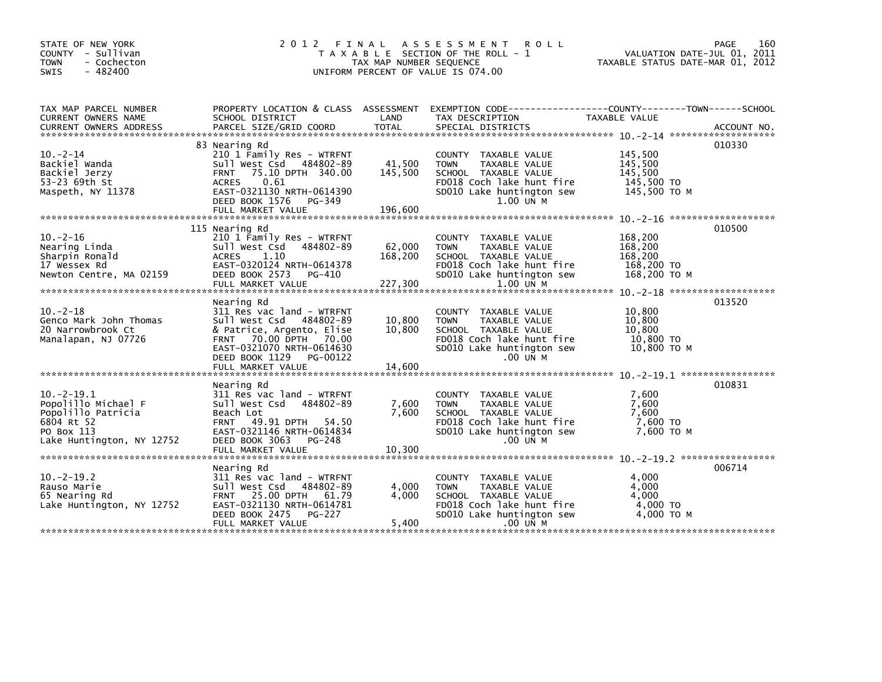| STATE OF NEW YORK<br>COUNTY - Sullivan<br><b>TOWN</b><br>- Cochecton<br>$-482400$<br>SWIS | 2012 FINAL                                                   | TAX MAP NUMBER SEQUENCE | A S S E S S M E N T<br><b>ROLL</b><br>T A X A B L E SECTION OF THE ROLL - 1<br>UNIFORM PERCENT OF VALUE IS 074.00   | VALUATION DATE-JUL 01, 2011<br>TAXABLE STATUS DATE-MAR 01, 2012 | PAGE<br>160 |
|-------------------------------------------------------------------------------------------|--------------------------------------------------------------|-------------------------|---------------------------------------------------------------------------------------------------------------------|-----------------------------------------------------------------|-------------|
| TAX MAP PARCEL NUMBER<br>CURRENT OWNERS NAME                                              | SCHOOL DISTRICT                                              | LAND                    | PROPERTY LOCATION & CLASS ASSESSMENT EXEMPTION CODE----------------COUNTY-------TOWN------SCHOOL<br>TAX DESCRIPTION | TAXABLE VALUE                                                   |             |
|                                                                                           |                                                              |                         |                                                                                                                     |                                                                 |             |
|                                                                                           | 83 Nearing Rd                                                |                         |                                                                                                                     |                                                                 | 010330      |
| $10. -2 - 14$                                                                             | 210 1 Family Res - WTRFNT                                    |                         | COUNTY TAXABLE VALUE                                                                                                | 145,500                                                         |             |
| Backiel Wanda                                                                             | Sull West Csd 484802-89                                      | 41,500                  | TAXABLE VALUE<br><b>TOWN</b>                                                                                        | 145,500                                                         |             |
| Backiel Jerzy<br>53-23 69th St                                                            | 75.10 DPTH 340.00<br><b>FRNT</b><br>0.61<br>ACRES            | 145,500                 | SCHOOL TAXABLE VALUE<br>FD018 Coch lake hunt fire                                                                   | 145,500<br>145,500 TO                                           |             |
| Maspeth, NY 11378                                                                         | EAST-0321130 NRTH-0614390<br>DEED BOOK 1576<br>PG-349        |                         | SD010 Lake huntington sew<br>1.00 UN M                                                                              | 145,500 TO M                                                    |             |
|                                                                                           |                                                              |                         |                                                                                                                     |                                                                 |             |
|                                                                                           | 115 Nearing Rd                                               |                         |                                                                                                                     |                                                                 | 010500      |
| $10 - 2 - 16$                                                                             | 210 1 Family Res - WTRFNT                                    |                         | COUNTY TAXABLE VALUE                                                                                                | 168,200                                                         |             |
| Nearing Linda                                                                             | Sull West Csd 484802-89                                      | 62,000                  | <b>TOWN</b><br>TAXABLE VALUE                                                                                        | 168,200                                                         |             |
| Sharpin Ronald                                                                            | <b>ACRES</b><br>1.10                                         | 168,200                 | SCHOOL TAXABLE VALUE                                                                                                | 168,200                                                         |             |
| 17 Wessex Rd<br>Newton Centre, MA 02159                                                   | EAST-0320124 NRTH-0614378<br>DEED BOOK 2573 PG-410           |                         | FD018 Coch lake hunt fire<br>SD010 Lake huntington sew                                                              | 168,200 TO<br>168,200 ТО М                                      |             |
|                                                                                           |                                                              |                         |                                                                                                                     |                                                                 |             |
|                                                                                           |                                                              |                         |                                                                                                                     |                                                                 |             |
|                                                                                           | Nearing Rd                                                   |                         |                                                                                                                     |                                                                 | 013520      |
| $10 - 2 - 18$                                                                             | 311 Res vac land - WTRFNT                                    |                         | COUNTY TAXABLE VALUE                                                                                                | 10,800                                                          |             |
| Genco Mark John Thomas<br>20 Narrowbrook Ct                                               | Sull West Csd 484802-89<br>& Patrice, Argento, Elise         | 10,800<br>10,800        | <b>TOWN</b><br>TAXABLE VALUE<br>SCHOOL TAXABLE VALUE                                                                | 10,800<br>10,800                                                |             |
| Manalapan, NJ 07726                                                                       | FRNT 70.00 DPTH 70.00                                        |                         | FD018 Coch lake hunt fire                                                                                           | 10,800 TO                                                       |             |
|                                                                                           | EAST-0321070 NRTH-0614630                                    |                         | SD010 Lake huntington sew                                                                                           | 10,800 ТО М                                                     |             |
|                                                                                           | DEED BOOK 1129 PG-00122                                      |                         | .00 UN M                                                                                                            |                                                                 |             |
|                                                                                           | FULL MARKET VALUE                                            | 14,600                  |                                                                                                                     |                                                                 |             |
|                                                                                           | Nearing Rd                                                   |                         |                                                                                                                     |                                                                 | 010831      |
| $10. -2 - 19.1$                                                                           | 311 Res vac land - WTRFNT                                    |                         | COUNTY TAXABLE VALUE                                                                                                | 7,600                                                           |             |
| Popolillo Michael F                                                                       | 484802-89<br>Sull West Csd                                   | 7,600                   | <b>TOWN</b><br>TAXABLE VALUE                                                                                        | 7,600                                                           |             |
| Popolillo Patricia                                                                        | Beach Lot                                                    | 7,600                   | SCHOOL TAXABLE VALUE                                                                                                | 7,600                                                           |             |
| 6804 Rt 52<br>PO Box 113                                                                  | <b>FRNT</b><br>49.91 DPTH 54.50<br>EAST-0321146 NRTH-0614834 |                         | FD018 Coch lake hunt fire<br>SD010 Lake huntington sew                                                              | 7,600 TO<br>7,600 TO M                                          |             |
| Lake Huntington, NY 12752                                                                 | DEED BOOK 3063 PG-248                                        |                         | .00 UN M                                                                                                            |                                                                 |             |
|                                                                                           | FULL MARKET VALUE                                            | 10,300                  |                                                                                                                     |                                                                 |             |
|                                                                                           |                                                              |                         |                                                                                                                     |                                                                 |             |
|                                                                                           | Nearing Rd                                                   |                         |                                                                                                                     |                                                                 | 006714      |
| $10.-2-19.2$<br>Rauso Marie                                                               | 311 Res vac land - WTRFNT<br>Sull West Csd 484802-89         | 4,000                   | COUNTY TAXABLE VALUE<br><b>TOWN</b><br>TAXABLE VALUE                                                                | 4,000<br>4,000                                                  |             |
| 65 Nearing Rd                                                                             | FRNT 25.00 DPTH 61.79                                        | 4.000                   | SCHOOL TAXABLE VALUE                                                                                                | 4.000                                                           |             |
| Lake Huntington, NY 12752                                                                 | EAST-0321130 NRTH-0614781                                    |                         | FD018 Coch lake hunt fire                                                                                           | 4,000 TO                                                        |             |
|                                                                                           | DEED BOOK 2475<br>PG-227                                     |                         | SD010 Lake huntington sew                                                                                           | 4,000 TO M                                                      |             |
|                                                                                           | FULL MARKET VALUE                                            | 5,400                   | .00 UN M                                                                                                            |                                                                 |             |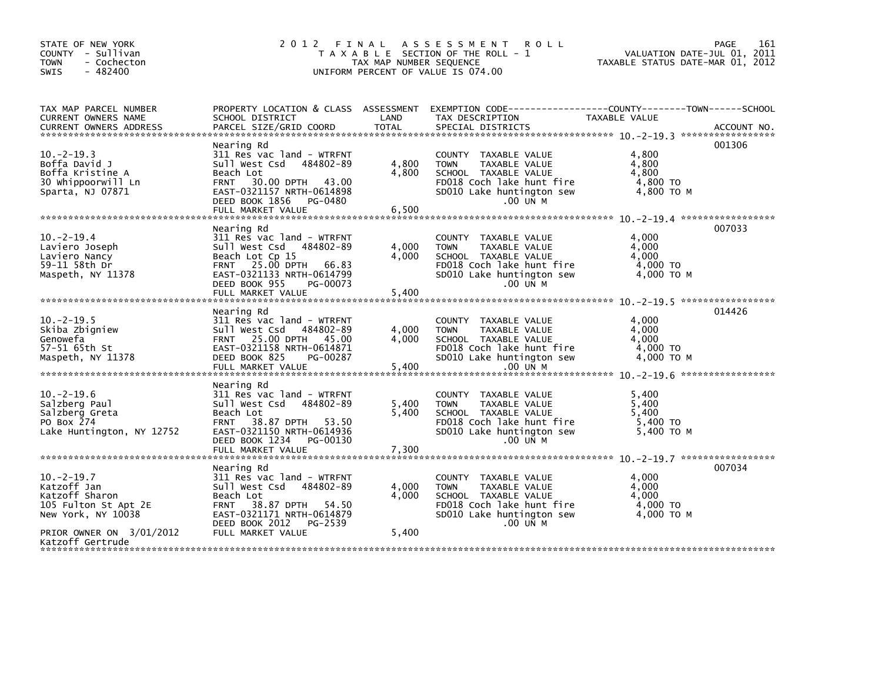| COUNTY - Sullivan<br>- Cochecton<br><b>TOWN</b><br>$-482400$<br>SWIS                                                                           | 2 0 1 2                                                                                                                                                                                               | TAX MAP NUMBER SEQUENCE | FINAL ASSESSMENT<br><b>ROLL</b><br>T A X A B L E SECTION OF THE ROLL - 1<br>UNIFORM PERCENT OF VALUE IS 074.00                                       | VALUATION DATE-JUL 01, 2011<br>TAXABLE STATUS DATE-MAR 01, 2012 | 161<br>PAGE |
|------------------------------------------------------------------------------------------------------------------------------------------------|-------------------------------------------------------------------------------------------------------------------------------------------------------------------------------------------------------|-------------------------|------------------------------------------------------------------------------------------------------------------------------------------------------|-----------------------------------------------------------------|-------------|
| TAX MAP PARCEL NUMBER<br>CURRENT OWNERS NAME<br><b>CURRENT OWNERS ADDRESS</b>                                                                  | SCHOOL DISTRICT<br>PARCEL SIZE/GRID COORD                                                                                                                                                             | LAND<br><b>TOTAL</b>    | PROPERTY LOCATION & CLASS ASSESSMENT EXEMPTION CODE---------------COUNTY-------TOWN------SCHOOL<br>TAX DESCRIPTION<br>SPECIAL DISTRICTS              | TAXABLE VALUE                                                   | ACCOUNT NO. |
| $10. -2 - 19.3$<br>Boffa David J<br>Boffa Kristine A<br>30 Whippoorwill Ln<br>Sparta, NJ 07871                                                 | Nearing Rd<br>311 Res vac land - WTRFNT<br>Sull West Csd 484802-89<br>Beach Lot<br>30.00 DPTH 43.00<br><b>FRNT</b><br>EAST-0321157 NRTH-0614898<br>DEED BOOK 1856<br>PG-0480<br>FULL MARKET VALUE     | 4,800<br>4,800<br>6,500 | COUNTY TAXABLE VALUE<br>TAXABLE VALUE<br><b>TOWN</b><br>SCHOOL TAXABLE VALUE<br>FD018 Coch lake hunt fire<br>SD010 Lake huntington sew<br>.00 UN M   | 4,800<br>4,800<br>4.800<br>4,800 TO<br>4,800 TO M               | 001306      |
| $10. -2 - 19.4$<br>Laviero Joseph<br>Laviero Nancy<br>59-11 58th Dr<br>Maspeth, NY 11378                                                       | Nearing Rd<br>311 Res vac land - WTRFNT<br>Sull West Csd 484802-89<br>Beach Lot Cp 15<br>FRNT 25.00 DPTH 66.83<br>EAST-0321133 NRTH-0614799<br>DEED BOOK 955<br>PG-00073<br>FULL MARKET VALUE         | 4,000<br>4,000<br>5,400 | COUNTY TAXABLE VALUE<br><b>TOWN</b><br>TAXABLE VALUE<br>SCHOOL TAXABLE VALUE<br>FD018 Coch lake hunt fire<br>SD010 Lake huntington sew<br>$.00$ UN M | 4,000<br>4,000<br>4,000<br>4,000 TO<br>4,000 TO M               | 007033      |
| $10. -2 - 19.5$<br>Skiba Zbigniew<br>Genowefa<br>57-51 65th St<br>Maspeth, NY 11378                                                            | Nearing Rd<br>311 Res vac land - WTRFNT<br>Sull West Csd 484802-89<br>FRNT 25.00 DPTH 45.00<br>EAST-0321158 NRTH-0614871<br>DEED BOOK 825<br>PG-00287<br>FULL MARKET VALUE                            | 4.000<br>4.000<br>5.400 | COUNTY TAXABLE VALUE<br>TAXABLE VALUE<br><b>TOWN</b><br>SCHOOL TAXABLE VALUE<br>FD018 Coch lake hunt fire<br>SD010 Lake huntington sew<br>.00 UN M   | 4,000<br>4.000<br>4,000<br>4,000 TO<br>4.000 TO M               | 014426      |
| $10.-2-19.6$<br>Salzberg Paul<br>Salzberg Greta<br>PO Box 274<br>Lake Huntington, NY 12752                                                     | Nearing Rd<br>311 Res vac land - WTRFNT<br>Sull West Csd<br>484802-89<br>Beach Lot<br>38.87 DPTH 53.50<br><b>FRNT</b><br>EAST-0321150 NRTH-0614936<br>DEED BOOK 1234<br>PG-00130<br>FULL MARKET VALUE | 5,400<br>5,400<br>7,300 | COUNTY TAXABLE VALUE<br><b>TOWN</b><br>TAXABLE VALUE<br>SCHOOL TAXABLE VALUE<br>FD018 Coch lake hunt fire<br>SD010 Lake huntington sew<br>.00 UN M   | 5,400<br>5,400<br>5,400<br>5.400 TO<br>5.400 TO M               |             |
| $10. -2 - 19.7$<br>Katzoff Jan<br>Katzoff Sharon<br>105 Fulton St Apt 2E<br>New York, NY 10038<br>PRIOR OWNER ON 3/01/2012<br>Katzoff Gertrude | Nearing Rd<br>311 Res vac land - WTRFNT<br>Sull West Csd<br>484802-89<br>Beach Lot<br>FRNT 38.87 DPTH 54.50<br>EAST-0321171 NRTH-0614879<br>DEED BOOK 2012<br>PG-2539<br>FULL MARKET VALUE            | 4,000<br>4,000<br>5,400 | COUNTY TAXABLE VALUE<br><b>TOWN</b><br>TAXABLE VALUE<br>SCHOOL TAXABLE VALUE<br>FD018 Coch lake hunt fire<br>SD010 Lake huntington sew<br>$.00$ UN M | 4,000<br>4.000<br>4,000<br>4,000 TO<br>4.000 TO M               | 007034      |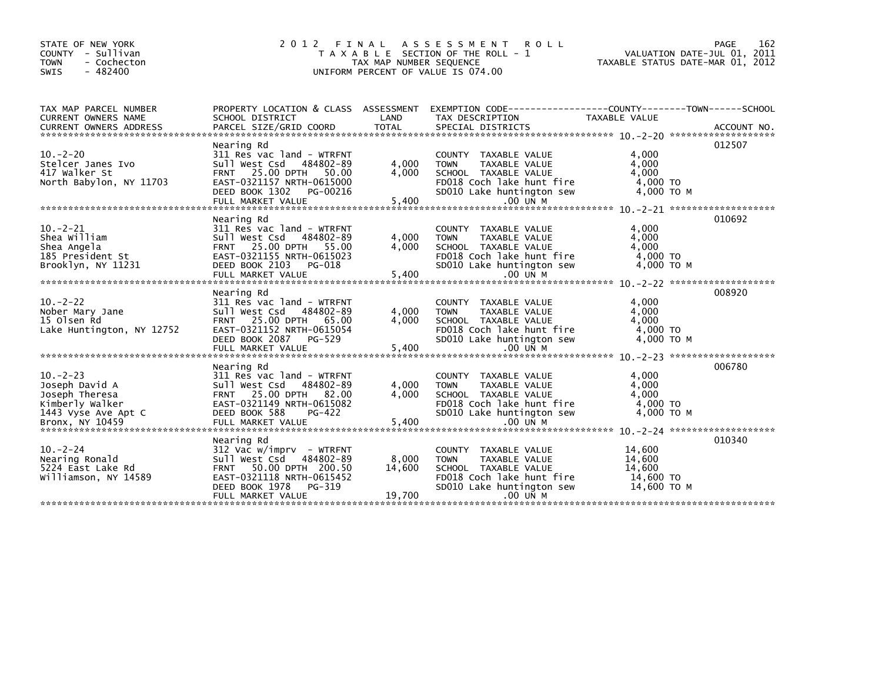| STATE OF NEW YORK<br>COUNTY - Sullivan<br><b>TOWN</b><br>- Cochecton<br>$-482400$<br><b>SWIS</b> | 2 0 1 2                                                                                                                                                                     | FINAL<br>TAX MAP NUMBER SEQUENCE | ASSESSMENT ROLL<br>T A X A B L E SECTION OF THE ROLL - 1<br>UNIFORM PERCENT OF VALUE IS 074.00                                                               | VALUATION DATE-JUL 01, 2011<br>TAXABLE STATUS DATE-MAR 01, 2012 | 162<br>PAGE |
|--------------------------------------------------------------------------------------------------|-----------------------------------------------------------------------------------------------------------------------------------------------------------------------------|----------------------------------|--------------------------------------------------------------------------------------------------------------------------------------------------------------|-----------------------------------------------------------------|-------------|
| TAX MAP PARCEL NUMBER<br>CURRENT OWNERS NAME                                                     | SCHOOL DISTRICT                                                                                                                                                             | LAND                             | PROPERTY LOCATION & CLASS ASSESSMENT EXEMPTION CODE----------------COUNTY-------TOWN------SCHOOL<br>TAX DESCRIPTION                                          | TAXABLE VALUE                                                   |             |
| $10. -2 - 20$<br>Stelcer Janes Ivo<br>417 Walker St<br>North Babylon, NY 11703                   | Nearing Rd<br>311 Res vac land - WTRFNT<br>Sull West Csd 484802-89<br>FRNT 25.00 DPTH 50.00<br>EAST-0321157 NRTH-0615000<br>DEED BOOK 1302 PG-00216<br>FULL MARKET VALUE    | 4,000<br>4,000<br>5,400          | COUNTY TAXABLE VALUE<br>TAXABLE VALUE<br><b>TOWN</b><br>SCHOOL TAXABLE VALUE<br>FD018 Coch lake hunt fire<br>SD010 Lake huntington sew<br>.00 UN M           | 4,000<br>4,000<br>4,000<br>4,000 TO<br>4,000 TO M               | 012507      |
| $10. -2 - 21$<br>Shea William<br>Shea Angela<br>185 President St<br>Brooklyn, NY 11231           | Nearing Rd<br>311 Res vac land - WTRFNT<br>Sull West Csd 484802-89<br>FRNT 25.00 DPTH 55.00<br>EAST-0321155 NRTH-0615023<br>DEED BOOK 2103<br>PG-018<br>FULL MARKET VALUE   | 4,000<br>4,000<br>5,400          | COUNTY TAXABLE VALUE<br>TAXABLE VALUE<br><b>TOWN</b><br>SCHOOL TAXABLE VALUE<br>FD018 Coch lake hunt fire<br>SD010 Lake huntington sew<br>$.00$ UN M         | 4,000<br>4,000<br>4.000<br>4,000 TO<br>4,000 TO M               | 010692      |
| $10 - 2 - 22$<br>Nober Mary Jane<br>15 Olsen Rd<br>Lake Huntington, NY 12752                     | Nearing Rd<br>311 Res vac land - WTRFNT<br>Sull West Csd 484802-89<br>FRNT 25.00 DPTH 65.00<br>EAST-0321152 NRTH-0615054<br>DEED BOOK 2087<br>PG-529<br>FULL MARKET VALUE   | 4,000<br>4,000<br>5,400          | COUNTY TAXABLE VALUE<br>TAXABLE VALUE<br><b>TOWN</b><br>SCHOOL TAXABLE VALUE<br>FD018 Coch lake hunt fire<br>SD010 Lake huntington sew<br>$.00$ UN M         | 4,000<br>4,000<br>4,000<br>4,000 TO<br>4,000 TO M               | 008920      |
| $10. -2 - 23$<br>Joseph David A<br>Joseph Theresa<br>Kimberly Walker<br>1443 Vyse Ave Apt C      | Nearing Rd<br>311 Res vac land - WTRFNT<br>Sull West Csd<br>484802-89<br>FRNT 25.00 DPTH 82.00<br>EAST-0321149 NRTH-0615082<br>DEED BOOK 588<br>PG-422                      | 4,000<br>4.000                   | COUNTY TAXABLE VALUE<br>TAXABLE VALUE<br><b>TOWN</b><br>SCHOOL TAXABLE VALUE<br>FD018 Coch lake hunt fire<br>SD010 Lake huntington sew                       | 4,000<br>4,000<br>4,000<br>4,000 TO<br>4,000 TO M               | 006780      |
| $10. -2 - 24$<br>Nearing Ronald<br>5224 East Lake Rd<br>Williamson, NY 14589                     | Nearing Rd<br>$312$ Vac w/imprv - WTRFNT<br>484802-89<br>Sull West Csd<br>FRNT 50.00 DPTH 200.50<br>EAST-0321118 NRTH-0615452<br>DEED BOOK 1978 PG-319<br>FULL MARKET VALUE | 8,000<br>14,600<br>19,700        | <b>COUNTY</b><br>TAXABLE VALUE<br>TAXABLE VALUE<br><b>TOWN</b><br>SCHOOL TAXABLE VALUE<br>FD018 Coch lake hunt fire<br>SD010 Lake huntington sew<br>.00 UN M | 14,600<br>14,600<br>14,600<br>14,600 TO<br>14,600 ТО М          | 010340      |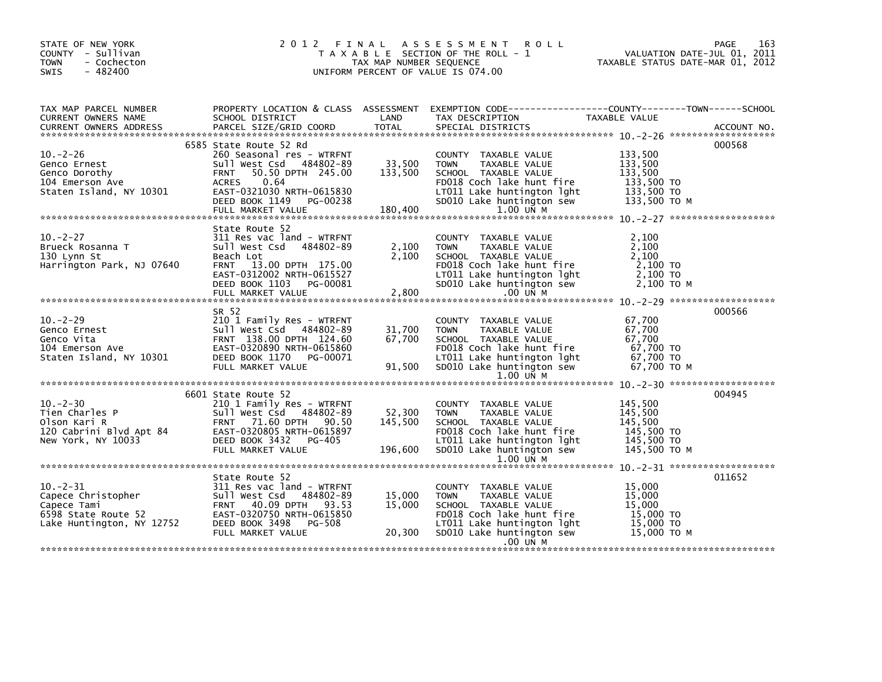| VALUATION DATE-JUL 01, 2011<br>TAXABLE STATUS DATE-MAR 01, 2012                                                                                                                                                                   |
|-----------------------------------------------------------------------------------------------------------------------------------------------------------------------------------------------------------------------------------|
| TAX MAP PARCEL NUMBER PROPERTY LOCATION & CLASS ASSESSMENT EXEMPTION CODE-----------------COUNTY-------TOWN-----SCHOOL CURRENT OWNERS NAME SCHOOL DISTRICT LAND TAX DESCRIPTION TAXABLE VALUE<br>CURRENT OWNERS ADDRESS PARCEL SI |
|                                                                                                                                                                                                                                   |
|                                                                                                                                                                                                                                   |
|                                                                                                                                                                                                                                   |
|                                                                                                                                                                                                                                   |
|                                                                                                                                                                                                                                   |
|                                                                                                                                                                                                                                   |
|                                                                                                                                                                                                                                   |
|                                                                                                                                                                                                                                   |
|                                                                                                                                                                                                                                   |
|                                                                                                                                                                                                                                   |
|                                                                                                                                                                                                                                   |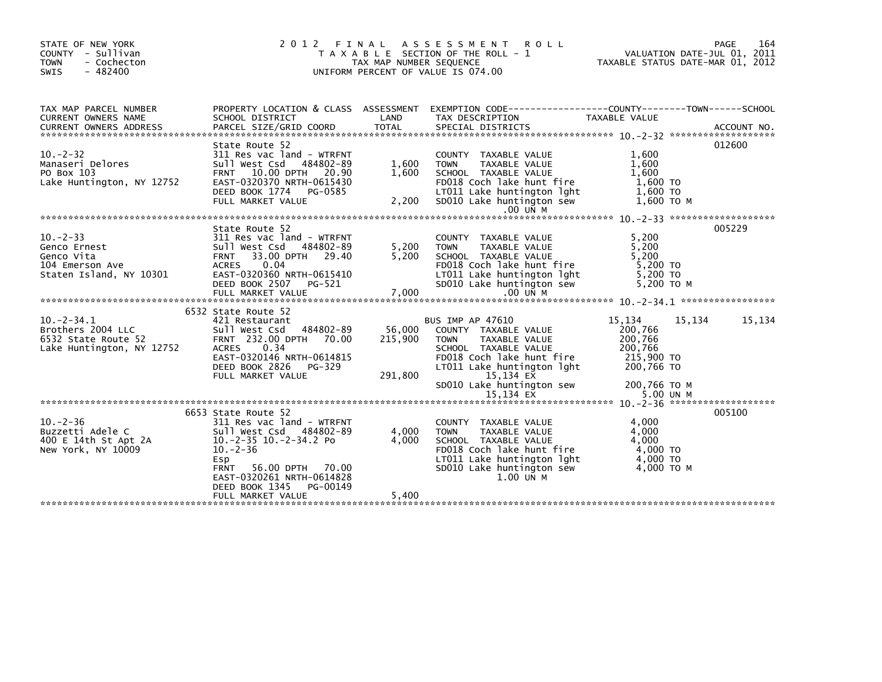| STATE OF NEW YORK<br>COUNTY - Sullivan<br>- Cochecton<br><b>TOWN</b><br>$-482400$<br><b>SWIS</b> | 2012 FINAL                                                                                                                                                                                                                                           | TAX MAP NUMBER SEQUENCE      | A S S E S S M E N T<br><b>ROLL</b><br>T A X A B L E SECTION OF THE ROLL - 1<br>UNIFORM PERCENT OF VALUE IS 074.00                                                                                                         | TAXABLE STATUS DATE-MAR 01, 2012                                                                 | 164<br><b>PAGE</b><br>VALUATION DATE-JUL 01, 2011 |
|--------------------------------------------------------------------------------------------------|------------------------------------------------------------------------------------------------------------------------------------------------------------------------------------------------------------------------------------------------------|------------------------------|---------------------------------------------------------------------------------------------------------------------------------------------------------------------------------------------------------------------------|--------------------------------------------------------------------------------------------------|---------------------------------------------------|
| TAX MAP PARCEL NUMBER<br><b>CURRENT OWNERS NAME</b>                                              | SCHOOL DISTRICT                                                                                                                                                                                                                                      | LAND                         | PROPERTY LOCATION & CLASS ASSESSMENT EXEMPTION CODE----------------COUNTY-------TOWN------SCHOOL<br>TAX DESCRIPTION                                                                                                       | TAXABLE VALUE                                                                                    |                                                   |
| $10. -2 - 32$<br>Manaseri Delores<br>PO Box 103<br>Lake Huntington, NY 12752                     | State Route 52<br>311 Res vac land - WTRFNT<br>Sull West Csd 484802-89<br>FRNT 10.00 DPTH 20.90<br>EAST-0320370 NRTH-0615430<br>DEED BOOK 1774 PG-0585<br>FULL MARKET VALUE                                                                          | 1,600<br>1,600<br>2,200      | COUNTY TAXABLE VALUE<br><b>TOWN</b><br>TAXABLE VALUE<br>SCHOOL TAXABLE VALUE<br>FD018 Coch lake hunt fire<br>LT011 Lake huntington lght<br>SD010 Lake huntington sew<br>$.00$ UN M                                        | 1,600<br>1,600<br>1.600<br>1,600 TO<br>1,600 TO<br>1,600 ТО М                                    | 012600                                            |
| $10 - 2 - 33$<br>Genco Ernest<br>Genco Vita<br>104 Emerson Ave<br>Staten Island, NY 10301        | State Route 52<br>311 Res vac land - WTRFNT<br>Sull West Csd 484802-89<br>FRNT 33.00 DPTH 29.40<br>0.04<br><b>ACRES</b><br>EAST-0320360 NRTH-0615410<br>DEED BOOK 2507 PG-521<br>FULL MARKET VALUE                                                   | 5,200<br>5,200<br>7,000      | COUNTY TAXABLE VALUE<br>TAXABLE VALUE<br><b>TOWN</b><br>SCHOOL TAXABLE VALUE<br>FD018 Coch lake hunt fire<br>LT011 Lake huntington lght<br>SD010 Lake huntington sew<br>.00 UN M                                          | 5,200<br>5,200<br>5.200<br>5,200 TO<br>5,200 TO<br>5.200 TO M                                    | 005229                                            |
| $10. -2 - 34.1$<br>Brothers 2004 LLC<br>6532 State Route 52<br>Lake Huntington, NY 12752         | 6532 State Route 52<br>421 Restaurant<br>Sull West Csd 484802-89<br>FRNT 232.00 DPTH 70.00<br><b>ACRES</b><br>0.34<br>EAST-0320146 NRTH-0614815<br>DEED BOOK 2826<br>PG-329<br>FULL MARKET VALUE                                                     | 56,000<br>215,900<br>291,800 | <b>BUS IMP AP 47610</b><br>COUNTY TAXABLE VALUE<br><b>TOWN</b><br>TAXABLE VALUE<br>SCHOOL TAXABLE VALUE<br>FD018 Coch lake hunt fire<br>LT011 Lake huntington lght<br>15,134 EX<br>SD010 Lake huntington sew<br>15.134 EX | 15,134<br>200,766<br>200,766<br>200,766<br>215,900 TO<br>200,766 ТО<br>200,766 ТО М<br>5.00 UN M | 15.134<br>15,134                                  |
| $10 - 2 - 36$<br>Buzzetti Adele C<br>400 E 14th St Apt 2A<br>New York, NY 10009                  | 6653 State Route 52<br>311 Res vac land - WTRFNT<br>Sull West Csd 484802-89<br>$10.-2-35$ $10.-2-34.2$ Po<br>$10. -2 - 36$<br>Esp<br>56.00 DPTH 70.00<br><b>FRNT</b><br>EAST-0320261 NRTH-0614828<br>PG-00149<br>DEED BOOK 1345<br>FULL MARKET VALUE | 4,000<br>4,000<br>5,400      | COUNTY TAXABLE VALUE<br>TAXABLE VALUE<br><b>TOWN</b><br>SCHOOL TAXABLE VALUE<br>FD018 Coch lake hunt fire<br>LT011 Lake huntington lght<br>SD010 Lake huntington sew<br>$1.00$ UN M                                       | 4.000<br>4,000<br>4.000<br>4,000 TO<br>4,000 TO<br>4.000 TO M                                    | 005100                                            |
|                                                                                                  |                                                                                                                                                                                                                                                      |                              |                                                                                                                                                                                                                           |                                                                                                  |                                                   |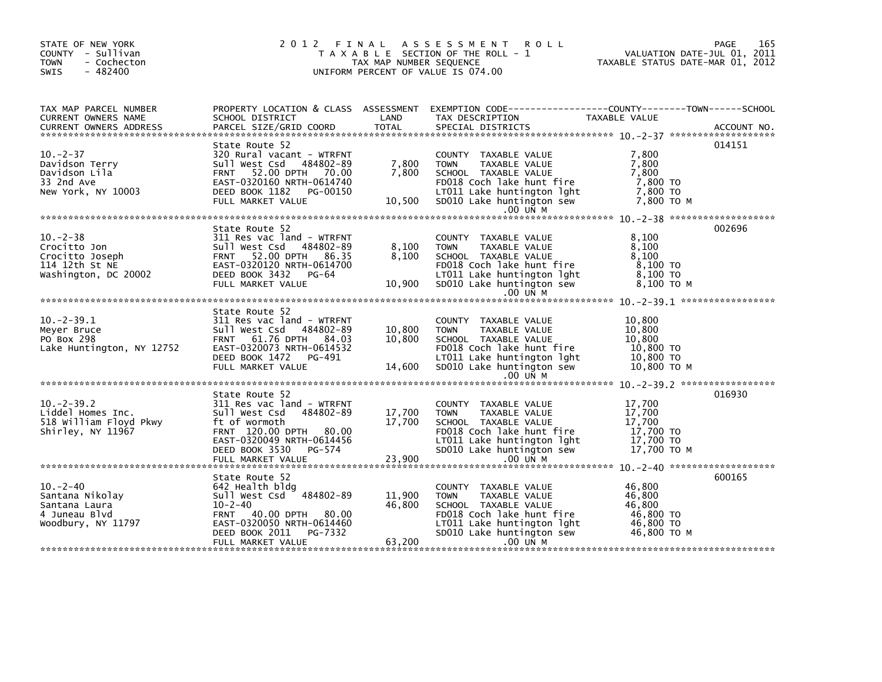| STATE OF NEW YORK<br>COUNTY - Sullivan<br><b>TOWN</b><br>- Cochecton<br>- 482400<br>SWIS                                                                                                                                                                         |                                                                                                                                                                         |                  | 2012 FINAL ASSESSMENT ROLL<br>PAGE 165 کا PAGE 165 کا PAGE 165 کا PAGE 165 کا PAGE 165 کا PAGE 165 کا PAGE 165 کا TAXA B L E SECTION OF THE ROLL – 1<br>TAXA B L E SECTION OF THE ROLL – 1 TAXABLE STATUS DATE-MAR 01, 2012<br>UNIFORM PERCENT OF VALUE IS 074.00 |                                                      |        |
|------------------------------------------------------------------------------------------------------------------------------------------------------------------------------------------------------------------------------------------------------------------|-------------------------------------------------------------------------------------------------------------------------------------------------------------------------|------------------|-------------------------------------------------------------------------------------------------------------------------------------------------------------------------------------------------------------------------------------------------------------------|------------------------------------------------------|--------|
| TAX MAP PARCEL NUMBER<br>TAX MAP PARCEL NUMBER THE SCHOOL DISTRICT<br>CURRENT OWNERS NAME SCHOOL DISTRICT TO THE TAX DESCRIPTION TAXABLE VALUE<br>CURRENT OWNERS ADDRESS PARCEL SIZE/GRID COORD TOTAL SPECIAL DISTRICTS ACCOUNT NO.<br>************************* |                                                                                                                                                                         |                  | PROPERTY LOCATION & CLASS ASSESSMENT EXEMPTION CODE---------------COUNTY-------TOWN-----SCHOOL                                                                                                                                                                    |                                                      |        |
|                                                                                                                                                                                                                                                                  |                                                                                                                                                                         |                  |                                                                                                                                                                                                                                                                   |                                                      |        |
| $10. -2 - 37$<br>Davidson Terry<br>Davidson Lila<br>33 2nd Ave<br>New York, NY 10003                                                                                                                                                                             | State Route 52                                                                                                                                                          |                  | 320 Rural vacant - WTRFNT<br>Sull west Csd 484802-89 7,800 TOWN TAXABLE VALUE 7,800<br>FRNT 52.00 DPTH 70.00 7,800 SCHOOL TAXABLE VALUE 7,800<br>EAST-0320160 NRTH-0614740 FD018 Coch lake hunt fire 7,800 TO<br>DEED BOOK 1182 PG-001                            |                                                      | 014151 |
|                                                                                                                                                                                                                                                                  |                                                                                                                                                                         |                  |                                                                                                                                                                                                                                                                   |                                                      |        |
| 10.-2-38 311 Res vac land - WTRFNT<br>Crocitto Jon Sull West Csd 484802-89 8,100 TOWN TAXABLE VALUE 8,100<br>Crocitto Joseph FRNT 52.00 DPTH 86.35 8,100 SCHOOL TAXABLE VALUE 8,100<br>114 12th St NE EAST-0320120 NRTH-0614700 FD01                             | State Route 52                                                                                                                                                          |                  |                                                                                                                                                                                                                                                                   | 8,100 то м                                           | 002696 |
|                                                                                                                                                                                                                                                                  |                                                                                                                                                                         |                  |                                                                                                                                                                                                                                                                   |                                                      |        |
| 10.-2-39.1 311 Res vac land - WTRFNT<br>Meyer Bruce sull west Csd 484802-89 10,800 TOWN TAXABLE VALUE 10,800<br>PO Box 298 FRNT 61.76 DPTH 84.03 10,800 SCHOOL TAXABLE VALUE 10,800<br>Lake Huntington, NY 12752 EAST-0320073 NRTH-0                             | State Route 52                                                                                                                                                          |                  |                                                                                                                                                                                                                                                                   |                                                      |        |
|                                                                                                                                                                                                                                                                  |                                                                                                                                                                         |                  |                                                                                                                                                                                                                                                                   |                                                      |        |
| Shirley, NY 11967                                                                                                                                                                                                                                                | State Route 52<br>311 Res vac land - WTRFNT<br>Sull West Csd 484802-89<br>ft of wormoth<br>FRNT 120.00 DPTH 80.00<br>EAST-0320049 NRTH-0614456<br>DEED BOOK 3530 PG-574 | 17,700<br>17,700 | COUNTY TAXABLE VALUE<br><b>TOWN</b><br>TAXABLE VALUE<br>SCHOOL TAXABLE VALUE<br>FD018 coch lake hunt fire<br>LT011 Lake huntington lght 17,700 TO<br>SD010 Lake huntington sew                                                                                    | 17,700<br>17,700<br>17,700<br>17,700 то м            | 016930 |
|                                                                                                                                                                                                                                                                  |                                                                                                                                                                         |                  |                                                                                                                                                                                                                                                                   |                                                      |        |
|                                                                                                                                                                                                                                                                  | State Route 52                                                                                                                                                          |                  |                                                                                                                                                                                                                                                                   |                                                      | 600165 |
| $10 - 2 - 40$<br>10.-2-40<br>Santana Nikolay<br>Santana Laura<br>4 Juneau Blvd<br>Woodbury, NY 11797                                                                                                                                                             | 642 Health bldg<br>Sull West Csd 484802-89<br>$10 - 2 - 40$<br>FRNT 40.00 DPTH 80.00<br>EAST-0320050 NRTH-0614460<br>DEED BOOK 2011<br>PG-7332                          | 11,900<br>46,800 | COUNTY TAXABLE VALUE<br>TAXABLE VALUE<br><b>TOWN</b><br>SCHOOL TAXABLE VALUE<br>FD018 Coch lake hunt fire<br>LT011 Lake huntington lght<br>SD010 Lake huntington sew 46,800 TO M                                                                                  | 46,800<br>46,800<br>46.800<br>46,800 TO<br>46,800 TO |        |
|                                                                                                                                                                                                                                                                  | FULL MARKET VALUE                                                                                                                                                       | 63,200           | $.00$ UN M                                                                                                                                                                                                                                                        |                                                      |        |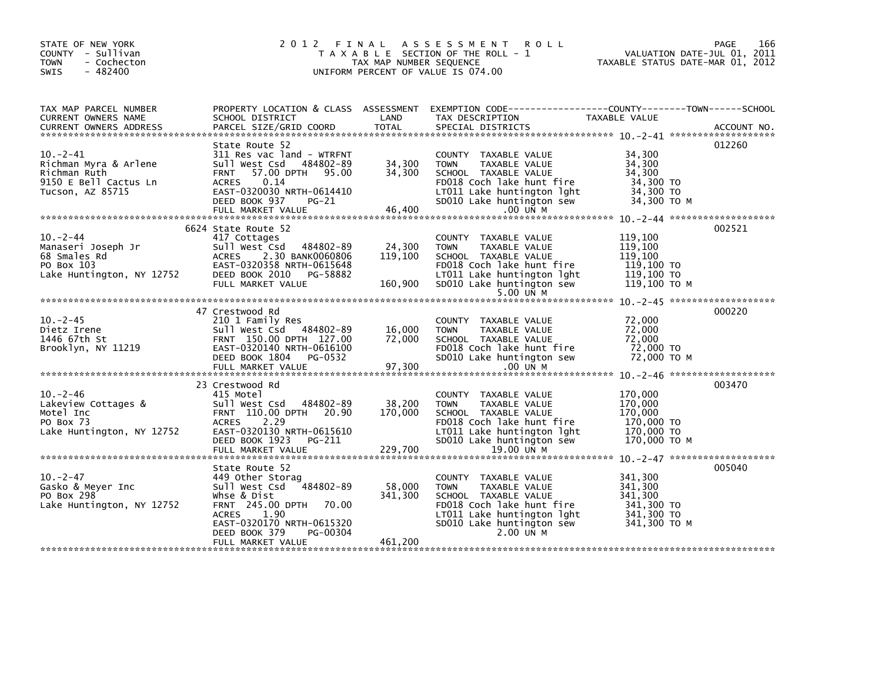| STATE OF NEW YORK<br>COUNTY - Sullivan<br><b>TOWN</b><br>- Cochecton<br>$-482400$<br><b>SWIS</b>                                                                    |                                                                                                                                                                                             |                              | 2012 FINAL ASSESSMENT ROLL<br>$\begin{array}{ccc}\nT & A & N & H \\ T & A & X & A \\ T & T & A\n\end{array}$ T A X A B L E SECTION OF THE ROLL - 1<br>UNIFORM PERCENT OF VALUE IS 074.00 | PAGE 166<br>VALUATION DATE-JUL 01, 2011<br>TAXABLE STATUS DATE WARE 2011<br>TAXABLE STATUS DATE-MAR 01, 2012 |        |
|---------------------------------------------------------------------------------------------------------------------------------------------------------------------|---------------------------------------------------------------------------------------------------------------------------------------------------------------------------------------------|------------------------------|------------------------------------------------------------------------------------------------------------------------------------------------------------------------------------------|--------------------------------------------------------------------------------------------------------------|--------|
| TAX MAP PARCEL NUMBER<br>CURRENT OWNERS NAME                                                                                                                        | SCHOOL DISTRICT                                                                                                                                                                             | LAND                         | PROPERTY LOCATION & CLASS ASSESSMENT EXEMPTION CODE---------------COUNTY-------TOWN------SCHOOL<br>TAX DESCRIPTION                                                                       | TAXABLE VALUE                                                                                                |        |
|                                                                                                                                                                     |                                                                                                                                                                                             |                              |                                                                                                                                                                                          |                                                                                                              |        |
| $10. -2 - 41$<br>Richman Myra & Arlene<br>Richman Ruth<br>9150 E Bell Cactus Ln<br>Tucson, AZ 85715                                                                 | State Route 52<br>311 Res vac land - WTRFNT<br>Sull West Csd 484802-89<br>57.00 DPTH 95.00<br><b>FRNT</b><br>0.14<br><b>ACRES</b><br>EAST-0320030 NRTH-0614410<br>DEED BOOK 937<br>PG-21    | 34,300<br>34,300<br>34,300   | COUNTY TAXABLE VALUE<br><b>TOWN</b><br>TAXABLE VALUE<br>SCHOOL TAXABLE VALUE<br>FD018 Coch lake hunt fire<br>LT011 Lake huntington lght<br>SD010 Lake huntington sew                     | 34,300<br>34,300<br>34,300<br>34,300 TO<br>34,300 TO<br>34,300 TO M                                          | 012260 |
|                                                                                                                                                                     |                                                                                                                                                                                             |                              |                                                                                                                                                                                          |                                                                                                              |        |
| $10 - 2 - 44$<br>Nanaseri Joseph Jr<br>Manaseri Joseph Jr<br>68 Smales Rd<br>PO Box 103<br>Lake Huntington, NY 12752<br>Lake Huntington, NY 12752<br>DEED BOOK 2010 | 6624 State Route 52<br>417 Cottages<br>484802-89<br>2.30 BANK0060806<br>EAST-0320358 NRTH-0615648<br>PG-58882<br>FULL MARKET VALUE                                                          | 24,300<br>119,100<br>160,900 | COUNTY TAXABLE VALUE<br><b>TOWN</b><br>TAXABLE VALUE<br>SCHOOL TAXABLE VALUE<br>FD018 Coch lake hunt fire<br>LT011 Lake huntington lght<br>SD010 Lake huntington sew                     | 119,100<br>119,100<br>119,100<br>119,100 TO<br>119,100 TO<br>119,100 то м                                    | 002521 |
|                                                                                                                                                                     |                                                                                                                                                                                             |                              | 5.00 UN M                                                                                                                                                                                |                                                                                                              |        |
|                                                                                                                                                                     | 47 Crestwood Rd                                                                                                                                                                             |                              |                                                                                                                                                                                          |                                                                                                              | 000220 |
| $10 - 2 - 45$<br>Dietz Irene<br>1446 67th St<br>Brooklyn, NY 11219                                                                                                  | 210 1 Family Res<br>Sull West Csd 484802-89<br>FRNT 150.00 DPTH 127.00<br>EAST-0320140 NRTH-0616100<br>DEED BOOK 1804<br>PG-0532                                                            | 16,000<br>72,000             | COUNTY TAXABLE VALUE<br>TAXABLE VALUE<br><b>TOWN</b><br>SCHOOL TAXABLE VALUE<br>FD018 Coch lake hunt fire<br>SD010 Lake huntington sew                                                   | 72,000<br>72,000<br>72,000<br>72,000 TO<br>72.000 то м                                                       |        |
|                                                                                                                                                                     |                                                                                                                                                                                             |                              |                                                                                                                                                                                          |                                                                                                              |        |
| $10. -2 - 46$<br>Lakeview Cottages &<br>Motel Inc<br>PO Box 73<br>Lake Huntington, NY 12752                                                                         | 23 Crestwood Rd<br>415 Motel<br>484802-89<br>Sull West Csd<br>FRNT 110.00 DPTH 20.90<br>ACRES 2.29<br>EAST-0320130 NRTH-0615610<br>DEED BOOK 1923<br>PG-211<br>FULL MARKET VALUE            | 38,200<br>170,000<br>229,700 | COUNTY TAXABLE VALUE<br><b>TOWN</b><br>TAXABLE VALUE<br>SCHOOL TAXABLE VALUE<br>FD018 Coch lake hunt fire<br>LT011 Lake huntington lght<br>SD010 Lake huntington sew<br>19.00 UN M       | 170,000<br>170,000<br>170,000<br>170,000 TO<br>170,000 TO<br>170,000 TO M                                    | 003470 |
|                                                                                                                                                                     | State Route 52                                                                                                                                                                              |                              |                                                                                                                                                                                          |                                                                                                              | 005040 |
| $10 - 2 - 47$<br>Gasko & Meyer Inc<br>PO Box 298<br>Lake Huntington, NY 12752                                                                                       | 449 Other Storag<br>Sull West Csd 484802-89<br>whse & Dist<br>FRNT 245.00 DPTH 70.00<br><b>ACRES</b><br>1.90<br>EAST-0320170 NRTH-0615320<br>PG-00304<br>DEED BOOK 379<br>FULL MARKET VALUE | 58,000<br>341,300<br>461,200 | COUNTY TAXABLE VALUE<br><b>TOWN</b><br>TAXABLE VALUE<br>SCHOOL TAXABLE VALUE<br>FD018 Coch lake hunt fire<br>LT011 Lake huntington lght<br>SD010 Lake huntington sew<br>2.00 UN M        | 341,300<br>341,300<br>341,300<br>$341,300$ TO<br>341,300 TO<br>341,300 то м                                  |        |
|                                                                                                                                                                     |                                                                                                                                                                                             |                              |                                                                                                                                                                                          |                                                                                                              |        |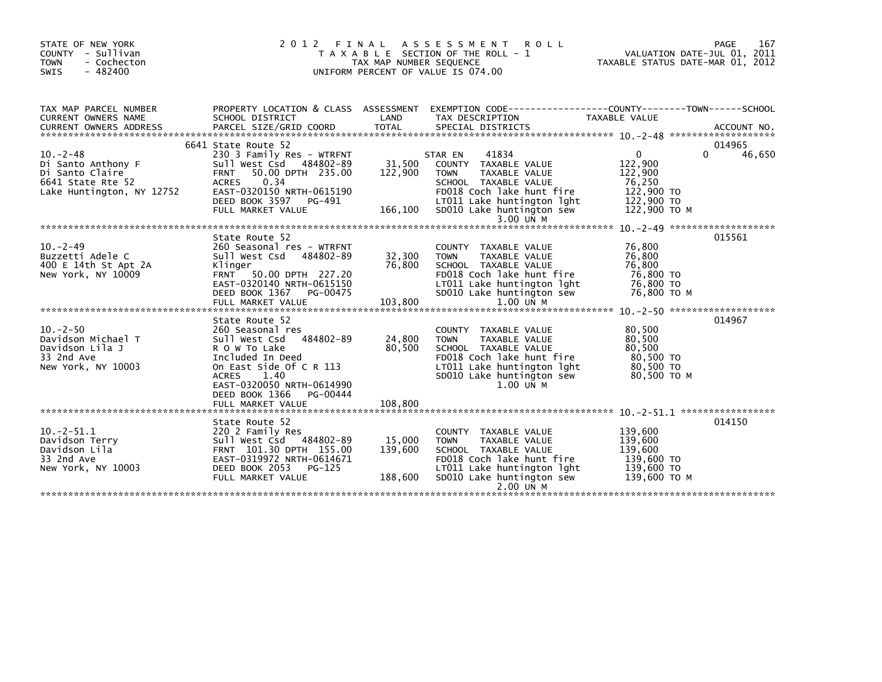| STATE OF NEW YORK<br>COUNTY - Sullivan<br><b>TOWN</b><br>- Cochecton<br>$-482400$<br>SWIS                |                                                                                                                                                                                                             | TAX MAP NUMBER SEQUENCE      | 2012 FINAL ASSESSMENT<br><b>ROLL</b><br>T A X A B L E SECTION OF THE ROLL - 1<br>UNIFORM PERCENT OF VALUE IS 074.00                                                                                   | VALUATION DATE-JUL 01, 2011<br>TAXABLE STATUS DATE-MAR 01, 2012                            | PAGE<br>167           |
|----------------------------------------------------------------------------------------------------------|-------------------------------------------------------------------------------------------------------------------------------------------------------------------------------------------------------------|------------------------------|-------------------------------------------------------------------------------------------------------------------------------------------------------------------------------------------------------|--------------------------------------------------------------------------------------------|-----------------------|
| TAX MAP PARCEL NUMBER<br>CURRENT OWNERS NAME                                                             | SCHOOL DISTRICT                                                                                                                                                                                             | LAND                         | PROPERTY LOCATION & CLASS ASSESSMENT EXEMPTION CODE----------------COUNTY-------TOWN-----SCHOOL<br>TAX DESCRIPTION                                                                                    | TAXABLE VALUE                                                                              |                       |
| $10 - 2 - 48$<br>Di Santo Anthony F<br>Di Santo Claire<br>6641 State Rte 52<br>Lake Huntington, NY 12752 | 6641 State Route 52<br>230 3 Family Res - WTRFNT<br>Sull West Csd 484802-89<br>50.00 DPTH 235.00<br><b>FRNT</b><br>0.34<br>ACRES<br>EAST-0320150 NRTH-0615190<br>DEED BOOK 3597 PG-491<br>FULL MARKET VALUE | 31,500<br>122,900<br>166,100 | 41834<br>STAR EN<br>COUNTY TAXABLE VALUE<br><b>TOWN</b><br>TAXABLE VALUE<br>SCHOOL TAXABLE VALUE<br>FD018 Coch lake hunt fire<br>LT011 Lake huntington lght<br>SD010 Lake huntington sew<br>3.00 UN M | $\mathbf{0}$<br>122,900<br>122,900<br>76,250<br>122,900 TO<br>$122,900$ TO<br>122,900 ТО М | 014965<br>0<br>46,650 |
|                                                                                                          |                                                                                                                                                                                                             |                              |                                                                                                                                                                                                       |                                                                                            | 015561                |
| $10 - 2 - 49$<br>Buzzetti Adele C<br>400 E 14th St Apt 2A<br>New York, NY 10009                          | State Route 52<br>260 Seasonal res - WTRFNT<br>Sull West Csd 484802-89<br>Klinger<br>FRNT 50.00 DPTH 227.20<br>EAST-0320140 NRTH-0615150<br>DEED BOOK 1367 PG-00475<br>FULL MARKET VALUE                    | 32,300<br>76.800<br>103,800  | COUNTY TAXABLE VALUE<br>TAXABLE VALUE<br><b>TOWN</b><br>SCHOOL TAXABLE VALUE<br>FD018 Coch lake hunt fire<br>LT011 Lake huntington lght<br>SD010 Lake huntington sew<br>1.00 UN M                     | 76,800<br>76,800<br>76.800<br>76,800 TO<br>76,800 TO<br>76,800 ТО М                        |                       |
|                                                                                                          | State Route 52                                                                                                                                                                                              |                              |                                                                                                                                                                                                       |                                                                                            | 014967                |
| $10. -2 - 50$<br>Davidson Michael T<br>Davidson Lila J<br>33 2nd Ave<br>New York, NY 10003               | 260 Seasonal res<br>Sull West Csd 484802-89<br>R O W To Lake<br>Included In Deed<br>On East Side Of C R 113<br><b>ACRES</b><br>1.40<br>EAST-0320050 NRTH-0614990<br>DEED BOOK 1366 PG-00444                 | 24,800<br>80,500             | COUNTY TAXABLE VALUE<br>TAXABLE VALUE<br><b>TOWN</b><br>SCHOOL TAXABLE VALUE<br>FD018 Coch lake hunt fire<br>LT011 Lake huntington lght<br>SD010 Lake huntington sew<br>$1.00$ UN M                   | 80,500<br>80,500<br>80,500<br>80,500 TO<br>80,500 TO<br>80,500 ТО М                        |                       |
|                                                                                                          |                                                                                                                                                                                                             |                              |                                                                                                                                                                                                       |                                                                                            |                       |
| $10.-2-51.1$<br>Davidson Terry<br>Davidson Lila<br>33 2nd Ave<br>New York, NY 10003                      | State Route 52<br>220 2 Family Res<br>Sull West Csd 484802-89<br>FRNT 101.30 DPTH 155.00<br>EAST-0319972 NRTH-0614671<br>DEED BOOK 2053 PG-125<br>FULL MARKET VALUE                                         | 15,000<br>139,600<br>188,600 | COUNTY TAXABLE VALUE<br>TAXABLE VALUE<br><b>TOWN</b><br>SCHOOL TAXABLE VALUE<br>FD018 Coch lake hunt fire<br>LT011 Lake huntington lght<br>SD010 Lake huntington sew                                  | 139,600<br>139,600<br>139,600<br>139,600 TO<br>139,600 TO<br>139,600 ТО М                  | 014150                |
|                                                                                                          |                                                                                                                                                                                                             |                              | 2.00 UN M                                                                                                                                                                                             |                                                                                            |                       |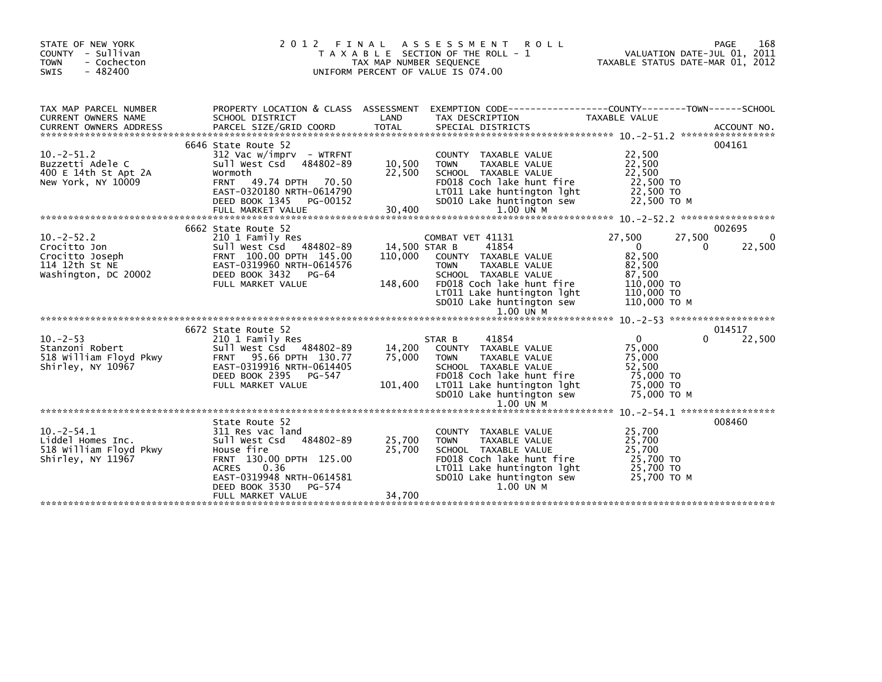| STATE OF NEW YORK<br>COUNTY - Sullivan<br>- Cochecton<br><b>TOWN</b><br><b>SWIS</b><br>$-482400$ | 2012                                                                                                                                                                                                            | FINAL<br>TAX MAP NUMBER SEQUENCE    | A S S E S S M E N T<br><b>ROLL</b><br>T A X A B L E SECTION OF THE ROLL - 1<br>UNIFORM PERCENT OF VALUE IS 074.00                                                                                                         | VALUATION DATE-JUL 01, 2011<br>TAXABLE STATUS DATE-MAR 01, 2012                                             | 168<br>PAGE                      |
|--------------------------------------------------------------------------------------------------|-----------------------------------------------------------------------------------------------------------------------------------------------------------------------------------------------------------------|-------------------------------------|---------------------------------------------------------------------------------------------------------------------------------------------------------------------------------------------------------------------------|-------------------------------------------------------------------------------------------------------------|----------------------------------|
| TAX MAP PARCEL NUMBER<br>CURRENT OWNERS NAME                                                     | PROPERTY LOCATION & CLASS ASSESSMENT<br>SCHOOL DISTRICT                                                                                                                                                         | LAND                                | TAX DESCRIPTION                                                                                                                                                                                                           | TAXABLE VALUE                                                                                               |                                  |
| $10.-2-51.2$<br>Buzzetti Adele C<br>400 E 14th St Apt 2A<br>New York, NY 10009                   | 6646 State Route 52<br>$312$ Vac w/imprv - WTRFNT<br>Sull West Csd 484802-89<br>Wormoth<br><b>FRNT 49.74 DPTH</b><br>70.50<br>EAST-0320180 NRTH-0614790<br>DEED BOOK 1345<br>PG-00152<br>FULL MARKET VALUE      | 10,500<br>22,500<br>30,400          | COUNTY TAXABLE VALUE<br>TAXABLE VALUE<br><b>TOWN</b><br>SCHOOL TAXABLE VALUE<br>FD018 Coch lake hunt fire<br>LT011 Lake huntington lght<br>SD010 Lake huntington sew<br>$1.00$ UN M                                       | 22,500<br>22,500<br>22,500<br>22,500 TO<br>22,500 TO<br>22,500 TO M                                         | 004161                           |
| $10. -2 - 52.2$<br>Crocitto Jon<br>Crocitto Joseph<br>114 12th St NE<br>Washington, DC 20002     | 6662 State Route 52<br>210 1 Family Res<br>Sull West Csd 484802-89<br>FRNT 100.00 DPTH 145.00<br>EAST-0319960 NRTH-0614576<br>DEED BOOK 3432<br>PG-64<br>FULL MARKET VALUE                                      | 14,500 STAR B<br>110,000<br>148,600 | COMBAT VET 41131<br>41854<br>COUNTY TAXABLE VALUE<br><b>TAXABLE VALUE</b><br><b>TOWN</b><br>SCHOOL TAXABLE VALUE<br>FD018 Coch lake hunt fire<br>LT011 Lake huntington lght<br>SD010 Lake huntington sew<br>$1.00$ UN $M$ | 27,500<br>27,500<br>$\Omega$<br>0<br>82,500<br>82,500<br>87,500<br>110,000 TO<br>110,000 TO<br>110,000 ТО М | 002695<br>$\mathbf{0}$<br>22,500 |
| $10 - 2 - 53$<br>Stanzoni Robert<br>518 William Floyd Pkwy<br>Shirley, NY 10967                  | 6672 State Route 52<br>210 1 Family Res<br>Sull West Csd 484802-89<br>FRNT 95.66 DPTH 130.77<br>EAST-0319916 NRTH-0614405<br>DEED BOOK 2395<br>PG-547<br>FULL MARKET VALUE                                      | 14,200<br>75,000<br>101,400         | 41854<br>STAR B<br>COUNTY TAXABLE VALUE<br><b>TOWN</b><br><b>TAXABLE VALUE</b><br>SCHOOL TAXABLE VALUE<br>FD018 Coch lake hunt fire<br>LT011 Lake huntington lght<br>SD010 Lake huntington sew<br>1.00 UN M               | $\Omega$<br>$\Omega$<br>75,000<br>75,000<br>52,500<br>75,000 TO<br>75,000 TO<br>75,000 TO M                 | 014517<br>22,500                 |
| $10 - 2 - 54.1$<br>Liddel Homes Inc.<br>518 William Floyd Pkwy<br>Shirley, NY 11967              | State Route 52<br>311 Res vac land<br>Sull West Csd<br>484802-89<br>House fire<br>FRNT 130.00 DPTH 125.00<br>0.36<br><b>ACRES</b><br>EAST-0319948 NRTH-0614581<br>DEED BOOK 3530<br>PG-574<br>FULL MARKET VALUE | 25,700<br>25,700<br>34,700          | COUNTY TAXABLE VALUE<br><b>TAXABLE VALUE</b><br><b>TOWN</b><br>SCHOOL TAXABLE VALUE<br>FD018 Coch lake hunt fire<br>LT011 Lake huntington lght<br>SD010 Lake huntington sew<br>$1.00$ UN M                                | $10. -2 - 54.1$ ******************<br>25,700<br>25,700<br>25,700<br>25,700 TO<br>25,700 TO<br>25,700 TO M   | 008460                           |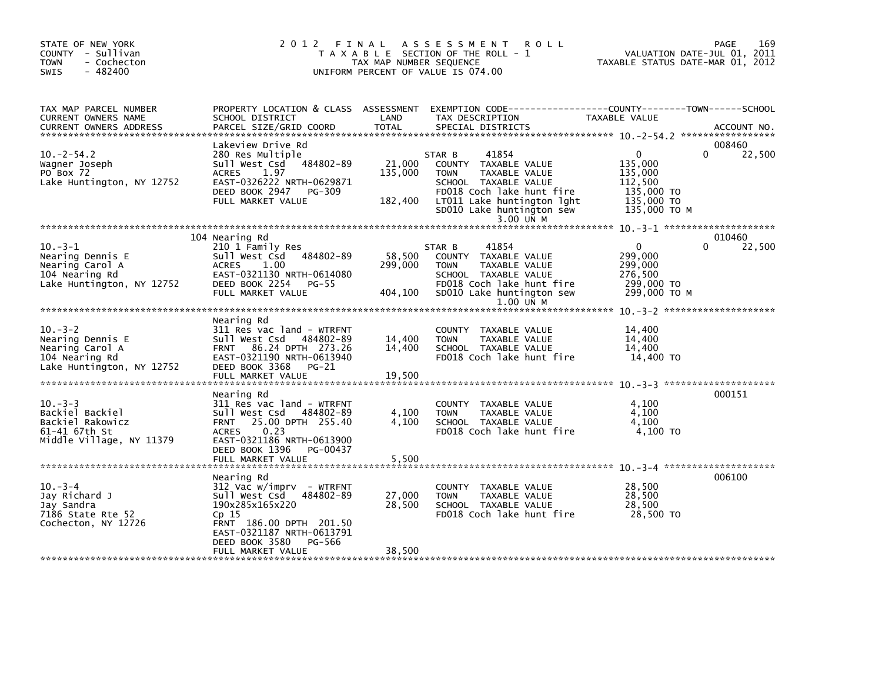| STATE OF NEW YORK<br>COUNTY - Sullivan<br><b>TOWN</b><br>- Cochecton<br>$-482400$<br><b>SWIS</b>   | 2012 FINAL                                                                                                                                                                                                        | TAX MAP NUMBER SEQUENCE      | A S S E S S M E N T<br><b>ROLL</b><br>T A X A B L E SECTION OF THE ROLL - 1<br>UNIFORM PERCENT OF VALUE IS 074.00                                                                                      |                                                                                           | 169<br>PAGE<br>VALUATION DATE-JUL 01, 2011<br>TAXABLE STATUS DATE-MAR 01, 2012 |
|----------------------------------------------------------------------------------------------------|-------------------------------------------------------------------------------------------------------------------------------------------------------------------------------------------------------------------|------------------------------|--------------------------------------------------------------------------------------------------------------------------------------------------------------------------------------------------------|-------------------------------------------------------------------------------------------|--------------------------------------------------------------------------------|
| TAX MAP PARCEL NUMBER<br>CURRENT OWNERS NAME<br><b>CURRENT OWNERS ADDRESS</b>                      | PROPERTY LOCATION & CLASS ASSESSMENT<br>SCHOOL DISTRICT<br>PARCEL SIZE/GRID COORD                                                                                                                                 | LAND<br>TOTAL                | EXEMPTION CODE-----------------COUNTY-------TOWN------SCHOOL<br>TAX DESCRIPTION<br>SPECIAL DISTRICTS                                                                                                   | TAXABLE VALUE                                                                             | ACCOUNT NO.                                                                    |
| $10. -2 - 54.2$<br>Wagner Joseph<br>PO Box 72<br>Lake Huntington, NY 12752                         | Lakeview Drive Rd<br>280 Res Multiple<br>484802-89<br>Sull West Csd<br>1.97<br><b>ACRES</b><br>EAST-0326222 NRTH-0629871<br>DEED BOOK 2947 PG-309<br>FULL MARKET VALUE                                            | 21,000<br>135,000<br>182,400 | 41854<br>STAR B<br>COUNTY TAXABLE VALUE<br>TAXABLE VALUE<br><b>TOWN</b><br>SCHOOL TAXABLE VALUE<br>FD018 Coch lake hunt fire<br>LT011 Lake huntington lght<br>SD010 Lake huntington sew<br>$3.00$ UN M | $\mathbf{0}$<br>135,000<br>135,000<br>112,500<br>135,000 TO<br>135,000 TO<br>135,000 ТО М | 008460<br>22,500<br>$\Omega$                                                   |
|                                                                                                    |                                                                                                                                                                                                                   |                              |                                                                                                                                                                                                        |                                                                                           |                                                                                |
| $10. -3 - 1$<br>Nearing Dennis E<br>Nearing Carol A<br>104 Nearing Rd<br>Lake Huntington, NY 12752 | 104 Nearing Rd<br>210 1 Family Res<br>Sull West Csd 484802-89<br>ACRES<br>1.00<br>EAST-0321130 NRTH-0614080<br>DEED BOOK 2254<br>PG-55<br>FULL MARKET VALUE                                                       | 58,500<br>299,000<br>404,100 | 41854<br>STAR B<br>COUNTY TAXABLE VALUE<br>TAXABLE VALUE<br><b>TOWN</b><br>SCHOOL TAXABLE VALUE<br>FD018 Coch lake hunt fire<br>SD010 Lake huntington sew                                              | $\mathbf{0}$<br>299,000<br>299,000<br>276,500<br>299,000 TO<br>299,000 ТО М               | 010460<br>22,500<br>0                                                          |
|                                                                                                    |                                                                                                                                                                                                                   |                              | $1.00$ UN M                                                                                                                                                                                            |                                                                                           |                                                                                |
| $10. -3 - 2$<br>Nearing Dennis E<br>Nearing Carol A<br>104 Nearing Rd<br>Lake Huntington, NY 12752 | Nearing Rd<br>311 Res vac land - WTRFNT<br>Sull West Csd<br>484802-89<br>FRNT 86.24 DPTH 273.26<br>EAST-0321190 NRTH-0613940<br>DEED BOOK 3368<br>$PG-21$<br>FULL MARKET VALUE                                    | 14,400<br>14,400<br>19,500   | COUNTY TAXABLE VALUE<br><b>TOWN</b><br>TAXABLE VALUE<br>SCHOOL TAXABLE VALUE<br>FD018 Coch lake hunt fire                                                                                              | 14,400<br>14,400<br>14,400<br>14,400 TO                                                   |                                                                                |
|                                                                                                    |                                                                                                                                                                                                                   |                              |                                                                                                                                                                                                        |                                                                                           |                                                                                |
| $10 - 3 - 3$<br>Backiel Backiel<br>Backiel Rakowicz<br>61-41 67th St<br>Middle Village, NY 11379   | Nearing Rd<br>311 Res vac land - WTRFNT<br>Sull West Csd<br>484802-89<br>25.00 DPTH 255.40<br><b>FRNT</b><br>0.23<br><b>ACRES</b><br>EAST-0321186 NRTH-0613900<br>DEED BOOK 1396<br>PG-00437<br>FULL MARKET VALUE | 4,100<br>4,100<br>5,500      | COUNTY TAXABLE VALUE<br>TAXABLE VALUE<br>TOWN<br>SCHOOL TAXABLE VALUE<br>FD018 Coch lake hunt fire                                                                                                     | 4,100<br>4,100<br>4,100<br>4.100 TO                                                       | 000151                                                                         |
|                                                                                                    |                                                                                                                                                                                                                   |                              |                                                                                                                                                                                                        |                                                                                           |                                                                                |
| $10 - 3 - 4$<br>Jay Richard J<br>Jay Sandra<br>7186 State Rte 52<br>Cochecton, NY 12726            | Nearing Rd<br>$312$ Vac w/imprv - WTRFNT<br>Sull West Csd 484802-89<br>190x285x165x220<br>Cp 15<br>FRNT 186.00 DPTH 201.50<br>EAST-0321187 NRTH-0613791<br>DEED BOOK 3580<br>PG-566                               | 27,000<br>28,500             | COUNTY TAXABLE VALUE<br>TAXABLE VALUE<br><b>TOWN</b><br>SCHOOL TAXABLE VALUE<br>FD018 Coch lake hunt fire                                                                                              | 28,500<br>28,500<br>28,500<br>28,500 TO                                                   | 006100                                                                         |
|                                                                                                    | FULL MARKET VALUE                                                                                                                                                                                                 | 38,500                       |                                                                                                                                                                                                        |                                                                                           |                                                                                |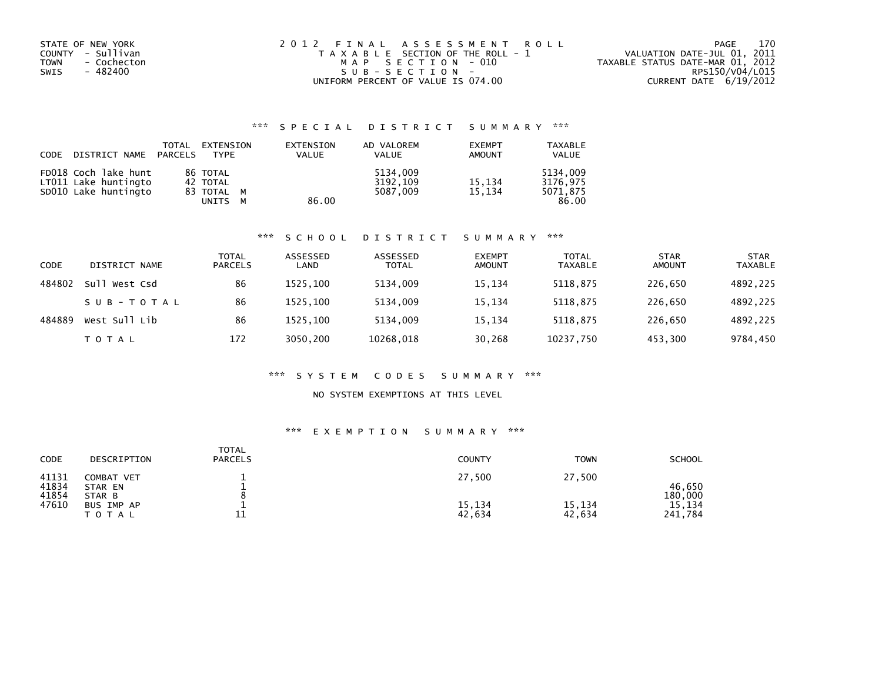| STATE OF NEW YORK          | 2012 FINAL ASSESSMENT ROLL            | 170<br>PAGE                      |
|----------------------------|---------------------------------------|----------------------------------|
| COUNTY - Sullivan          | T A X A B L E SECTION OF THE ROLL - 1 | VALUATION DATE-JUL 01, 2011      |
| <b>TOWN</b><br>- Cochecton | MAP SECTION - 010                     | TAXABLE STATUS DATE-MAR 01, 2012 |
| SWIS<br>- 482400           | SUB-SECTION-                          | RPS150/V04/L015                  |
|                            | UNIFORM PERCENT OF VALUE IS 074.00    | CURRENT DATE 6/19/2012           |

## \*\*\* S P E C I A L D I S T R I C T S U M M A R Y \*\*\*

| CODE | DISTRICT NAME                                                        | TOTAL<br>PARCELS | EXTENSION<br>TYPF                                       | EXTENSION<br><b>VALUE</b> | AD VALOREM<br><b>VALUE</b>       | <b>EXEMPT</b><br><b>AMOUNT</b> | <b>TAXABLE</b><br><b>VALUE</b>            |
|------|----------------------------------------------------------------------|------------------|---------------------------------------------------------|---------------------------|----------------------------------|--------------------------------|-------------------------------------------|
|      | FD018 Coch lake hunt<br>LT011 Lake huntingto<br>SD010 Lake huntingto |                  | 86 TOTAL<br>42 TOTAL<br>83 TOTAL M<br>UNITS<br><b>M</b> | 86.00                     | 5134,009<br>3192,109<br>5087.009 | 15.134<br>15.134               | 5134,009<br>3176.975<br>5071.875<br>86.00 |

### \*\*\* S C H O O L D I S T R I C T S U M M A R Y \*\*\*

| CODE   | DISTRICT NAME | <b>TOTAL</b><br><b>PARCELS</b> | ASSESSED<br>LAND | ASSESSED<br><b>TOTAL</b> | <b>EXEMPT</b><br><b>AMOUNT</b> | <b>TOTAL</b><br><b>TAXABLE</b> | <b>STAR</b><br><b>AMOUNT</b> | <b>STAR</b><br><b>TAXABLE</b> |
|--------|---------------|--------------------------------|------------------|--------------------------|--------------------------------|--------------------------------|------------------------------|-------------------------------|
| 484802 | Sull West Csd | 86                             | 1525.100         | 5134,009                 | 15,134                         | 5118,875                       | 226,650                      | 4892,225                      |
|        | SUB-TOTAL     | 86                             | 1525.100         | 5134.009                 | 15,134                         | 5118.875                       | 226.650                      | 4892,225                      |
| 484889 | West Sull Lib | 86                             | 1525.100         | 5134.009                 | 15,134                         | 5118,875                       | 226.650                      | 4892,225                      |
|        | T O T A L     | 172                            | 3050,200         | 10268,018                | 30,268                         | 10237,750                      | 453,300                      | 9784,450                      |

### \*\*\* S Y S T E M C O D E S S U M M A R Y \*\*\*

### NO SYSTEM EXEMPTIONS AT THIS LEVEL

### \*\*\* E X E M P T I O N S U M M A R Y \*\*\*

| CODE                    | DESCRIPTION                     | <b>TOTAL</b><br><b>PARCELS</b> | <b>COUNTY</b>    | <b>TOWN</b>      | <b>SCHOOL</b>     |
|-------------------------|---------------------------------|--------------------------------|------------------|------------------|-------------------|
| 41131<br>41834<br>41854 | COMBAT VET<br>STAR EN<br>STAR B |                                | 27,500           | 27,500           | 46.650<br>180,000 |
| 47610                   | BUS IMP AP<br><b>TOTAL</b>      | ᆂᆂ                             | 15,134<br>42,634 | 15,134<br>42,634 | 15,134<br>241,784 |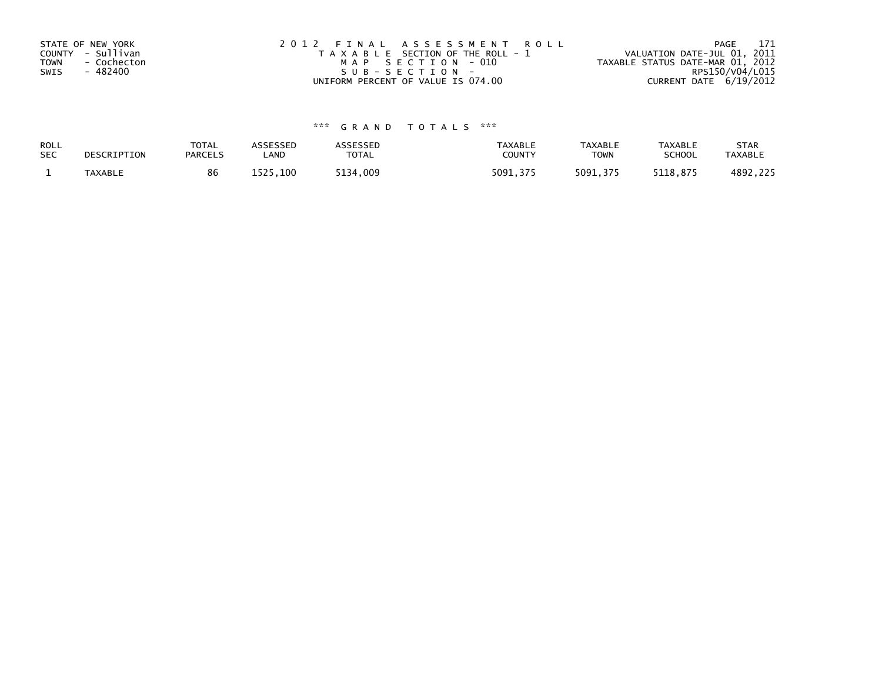| STATE OF NEW YORK<br>COUNTY - Sullivan<br><b>TOWN</b><br>- Cochecton<br>- 482400<br>SWIS | 2012 FINAL ASSESSMENT ROLL<br>T A X A B L E SECTION OF THE ROLL - 1<br>MAP SECTION - 010<br>SUB-SECTION- | 171<br>PAGE<br>VALUATION DATE-JUL 01, 2011<br>TAXABLE STATUS DATE-MAR 01, 2012<br>RPS150/V04/L015 |
|------------------------------------------------------------------------------------------|----------------------------------------------------------------------------------------------------------|---------------------------------------------------------------------------------------------------|
|                                                                                          | UNIFORM PERCENT OF VALUE IS 074.00                                                                       | CURRENT DATE 6/19/2012                                                                            |

# \*\*\* G R A N D T O T A L S \*\*\*

| ROLL       | DESCRIPTION    | <b>TOTAL</b>   | <b>ASSESSED</b> | ASSESSED | <b>TAXABLE</b> | <b>TAXABLE</b> | <b>TAXABLE</b> | <b>STAR</b>    |
|------------|----------------|----------------|-----------------|----------|----------------|----------------|----------------|----------------|
| <b>SEC</b> |                | <b>PARCELS</b> | _AND            | TOTAL    | <b>COUNTY</b>  | <b>TOWN</b>    | <b>SCHOOL</b>  | <b>TAXABLE</b> |
|            | <b>TAXABLE</b> | 86             | 1525,100        | 5134,009 | 5091.375       | 5091.375       | 5118.875       | 4892,225       |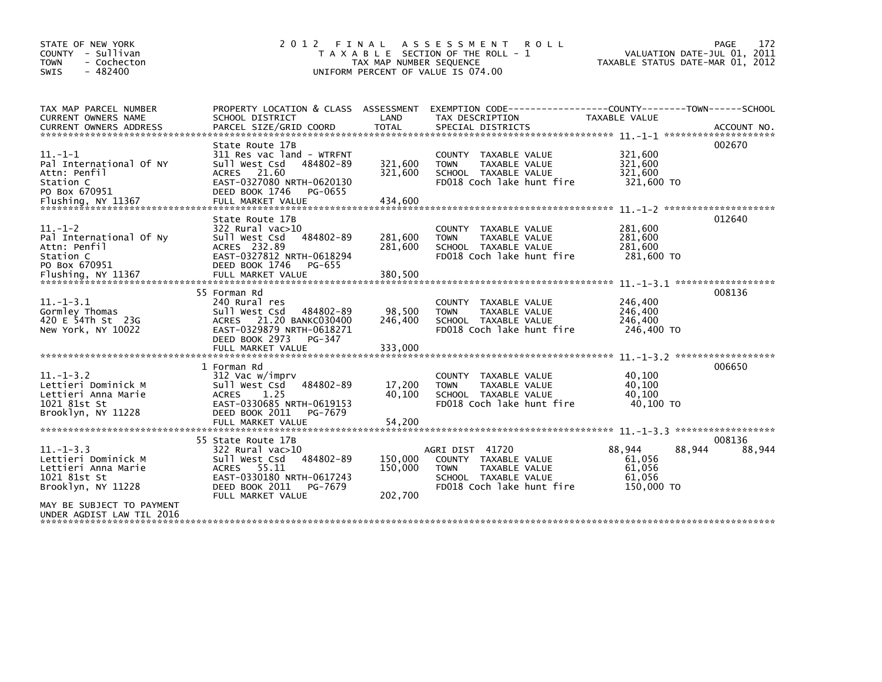| STATE OF NEW YORK<br>COUNTY - Sullivan<br><b>TOWN</b><br>- Cochecton<br>$-482400$<br><b>SWIS</b>                                                              | 2012 FINAL                                                                                                                                                            | TAX MAP NUMBER SEQUENCE<br>UNIFORM PERCENT OF VALUE IS 074.00 | A S S E S S M E N T<br><b>ROLL</b><br>T A X A B L E SECTION OF THE ROLL - 1                                                         | VALUATION DATE-JUL 01, 2011<br>TAXABLE STATUS DATE-MAR 01, 2012                    | 172<br>PAGE      |
|---------------------------------------------------------------------------------------------------------------------------------------------------------------|-----------------------------------------------------------------------------------------------------------------------------------------------------------------------|---------------------------------------------------------------|-------------------------------------------------------------------------------------------------------------------------------------|------------------------------------------------------------------------------------|------------------|
| TAX MAP PARCEL NUMBER<br>CURRENT OWNERS NAME                                                                                                                  | PROPERTY LOCATION & CLASS ASSESSMENT<br>SCHOOL DISTRICT                                                                                                               | LAND                                                          | EXEMPTION CODE-----------------COUNTY-------TOWN------SCHOOL<br>TAX DESCRIPTION                                                     | TAXABLE VALUE                                                                      |                  |
| $11. -1 - 1$<br>Pal International Of NY<br>Attn: Penfil<br>Station C<br>PO Box 670951                                                                         | State Route 17B<br>311 Res vac land - WTRFNT<br>Sull West Csd<br>484802-89<br>ACRES 21.60<br>EAST-0327080 NRTH-0620130<br>DEED BOOK 1746<br>PG-0655                   | 321,600<br>321,600                                            | COUNTY TAXABLE VALUE<br>TAXABLE VALUE<br><b>TOWN</b><br>SCHOOL TAXABLE VALUE<br>FD018 Coch lake hunt fire                           | 321,600<br>321,600<br>321,600<br>321,600 TO                                        | 002670           |
| $11. - 1 - 2$<br>Pal International Of Ny<br>Attn: Penfil<br>Station C<br>PO Box 670951<br>Flushing, NY 11367                                                  | State Route 17B<br>322 Rural vac>10<br>484802-89<br>Sull West Csd<br>ACRES 232.89<br>EAST-0327812 NRTH-0618294<br>DEED BOOK 1746<br>PG-655<br>FULL MARKET VALUE       | 281,600<br>281,600<br>380,500                                 | COUNTY TAXABLE VALUE<br>TAXABLE VALUE<br><b>TOWN</b><br>SCHOOL TAXABLE VALUE<br>FD018 Coch lake hunt fire                           | 281,600<br>281,600<br>281.600<br>281,600 TO                                        | 012640           |
| $11. -1 - 3.1$<br>Gormley Thomas<br>420 E 54Th St 23G<br>New York, NY 10022                                                                                   | 55 Forman Rd<br>240 Rural res<br>Sull West Csd<br>484802-89<br>21.20 BANKC030400<br>ACRES<br>EAST-0329879 NRTH-0618271<br>DEED BOOK 2973<br>PG-347                    | 98,500<br>246,400                                             | COUNTY TAXABLE VALUE<br>TAXABLE VALUE<br><b>TOWN</b><br>SCHOOL TAXABLE VALUE<br>FD018 Coch lake hunt fire                           | $11 - 1 - 3$ 1 ********************<br>246,400<br>246,400<br>246,400<br>246,400 TO | 008136           |
| $11. - 1 - 3.2$<br>Lettieri Dominick M<br>Lettieri Anna Marie<br>1021 81st St<br>Brooklyn, NY 11228                                                           | 1 Forman Rd<br>312 Vac w/imprv<br>484802-89<br>Sull West Csd<br>1.25<br><b>ACRES</b><br>EAST-0330685 NRTH-0619153<br>DEED BOOK 2011<br>PG-7679<br>FULL MARKET VALUE   | 17,200<br>40,100<br>54,200                                    | TAXABLE VALUE<br><b>COUNTY</b><br>TAXABLE VALUE<br><b>TOWN</b><br>SCHOOL TAXABLE VALUE<br>FD018 Coch lake hunt fire                 | 40,100<br>40,100<br>40.100<br>40.100 TO                                            | 006650           |
| $11. - 1 - 3.3$<br>Lettieri Dominick M<br>Lettieri Anna Marie<br>1021 81st St<br>Brooklyn, NY 11228<br>MAY BE SUBJECT TO PAYMENT<br>UNDER AGDIST LAW TIL 2016 | 55 State Route 17B<br>322 Rural vac>10<br>Sull West Csd<br>484802-89<br>55.11<br>ACRES<br>EAST-0330180 NRTH-0617243<br>DEED BOOK 2011<br>PG-7679<br>FULL MARKET VALUE | 150,000<br>150,000<br>202,700                                 | AGRI DIST 41720<br>COUNTY TAXABLE VALUE<br><b>TOWN</b><br><b>TAXABLE VALUE</b><br>SCHOOL TAXABLE VALUE<br>FD018 Coch lake hunt fire | 88,944<br>88,944<br>61,056<br>61,056<br>61,056<br>150,000 TO                       | 008136<br>88,944 |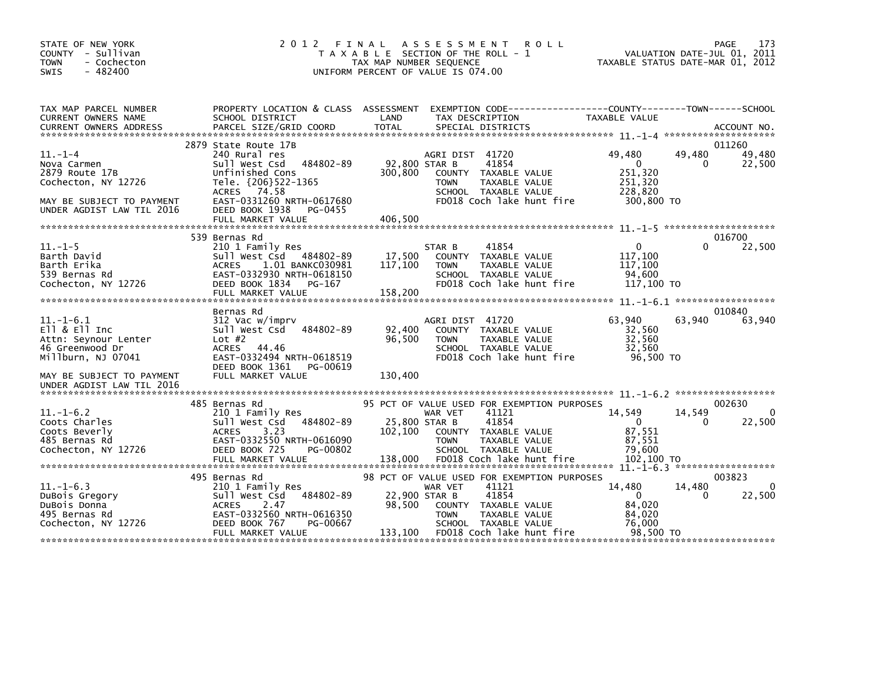| STATE OF NEW YORK<br>COUNTY - Sullivan<br><b>TOWN</b><br>- Cochecton<br>$-482400$<br><b>SWIS</b>                                                          | 2012                                                                                                                                                                                                        | FINAL ASSESSMENT<br><b>ROLL</b><br>T A X A B L E SECTION OF THE ROLL - 1<br>TAX MAP NUMBER SEQUENCE<br>UNIFORM PERCENT OF VALUE IS 074.00                                                                                    | 173<br>PAGE<br>VALUATION DATE-JUL 01, 2011<br>TAXABLE STATUS DATE-MAR 01, 2012                                                  |
|-----------------------------------------------------------------------------------------------------------------------------------------------------------|-------------------------------------------------------------------------------------------------------------------------------------------------------------------------------------------------------------|------------------------------------------------------------------------------------------------------------------------------------------------------------------------------------------------------------------------------|---------------------------------------------------------------------------------------------------------------------------------|
| TAX MAP PARCEL NUMBER<br>CURRENT OWNERS NAME                                                                                                              | SCHOOL DISTRICT                                                                                                                                                                                             | PROPERTY LOCATION & CLASS ASSESSMENT EXEMPTION CODE---------------COUNTY-------TOWN-----SCHOOL<br>LAND<br>TAX DESCRIPTION                                                                                                    | TAXABLE VALUE                                                                                                                   |
| $11. - 1 - 4$<br>Nova Carmen<br>2879 Route 17B<br>Cochecton, NY 12726<br>MAY BE SUBJECT TO PAYMENT<br>UNDER AGDIST LAW TIL 2016                           | 2879 State Route 17B<br>240 Rural res<br>484802-89<br>Sull West Csd<br>Unfinished Cons<br>Tele. {206}522-1365<br>ACRES 74.58<br>EAST-0331260 NRTH-0617680<br>DEED BOOK 1938<br>PG-0455<br>FULL MARKET VALUE | AGRI DIST 41720<br>92,800 STAR B<br>41854<br>300,800<br>COUNTY TAXABLE VALUE<br>TAXABLE VALUE<br>TOWN<br>SCHOOL TAXABLE VALUE<br>FD018 Coch lake hunt fire<br>406,500                                                        | 011260<br>49,480<br>49.480<br>49,480<br>$\overline{0}$<br>$\mathbf{0}$<br>22,500<br>251,320<br>251,320<br>228,820<br>300,800 TO |
|                                                                                                                                                           |                                                                                                                                                                                                             |                                                                                                                                                                                                                              |                                                                                                                                 |
| $11.-1-5$<br>Barth David<br>Barth Erika<br>539 Bernas Rd<br>Cochecton, NY 12726                                                                           | 539 Bernas Rd<br>210 1 Family Res<br>Sull West Csd 484802-89<br><b>ACRES</b><br>1.01 BANKC030981<br>EAST-0332930 NRTH-0618150<br>DEED BOOK 1834<br>PG-167<br>FULL MARKET VALUE                              | 41854<br>STAR B<br>17,500<br>COUNTY TAXABLE VALUE<br>117,100<br><b>TOWN</b><br>TAXABLE VALUE<br>SCHOOL TAXABLE VALUE<br>FD018 Coch lake hunt fire<br>158,200                                                                 | 016700<br>$\mathbf{0}$<br>0<br>22,500<br>117.100<br>117,100<br>94,600<br>117,100 TO                                             |
| $11.-1-6.1$<br>$E11 & E11$ Inc<br>Attn: Seynour Lenter<br>46 Greenwood Dr<br>Millburn, NJ 07041<br>MAY BE SUBJECT TO PAYMENT<br>UNDER AGDIST LAW TIL 2016 | Bernas Rd<br>312 Vac w/imprv<br>484802-89<br>Sull West Csd<br>Lot $#2$<br>ACRES 44.46<br>EAST-0332494 NRTH-0618519<br>DEED BOOK 1361<br>PG-00619<br>FULL MARKET VALUE                                       | AGRI DIST 41720<br>92,400<br>COUNTY TAXABLE VALUE<br>96,500<br>TAXABLE VALUE<br><b>TOWN</b><br>SCHOOL TAXABLE VALUE<br>FD018 Coch lake hunt fire<br>130,400                                                                  | 010840<br>63,940<br>63,940<br>63,940<br>32,560<br>32,560<br>32,560<br>96,500 TO                                                 |
|                                                                                                                                                           |                                                                                                                                                                                                             |                                                                                                                                                                                                                              |                                                                                                                                 |
| $11.-1-6.2$<br>Coots Charles<br>Coots Beverly<br>485 Bernas Rd<br>Cochecton, NY 12726                                                                     | 485 Bernas Rd<br>210 1 Family Res<br>484802-89<br>Sull West Csd<br>3.23<br><b>ACRES</b><br>EAST-0332550 NRTH-0616090<br>DEED BOOK 725<br>PG-00802<br>FULL MARKET VALUE                                      | 95 PCT OF VALUE USED FOR EXEMPTION PURPOSES<br>41121<br>WAR VET<br>41854<br>25,800 STAR B<br>102,100<br>COUNTY TAXABLE VALUE<br>TAXABLE VALUE<br><b>TOWN</b><br>SCHOOL TAXABLE VALUE<br>138,000<br>FD018 Coch lake hunt fire | 002630<br>14,549<br>14,549<br>$\Omega$<br>$\overline{0}$<br>22,500<br>0<br>87,551<br>87.551<br>79,600<br>102,100 TO             |
|                                                                                                                                                           | 495 Bernas Rd                                                                                                                                                                                               | 98 PCT OF VALUE USED FOR EXEMPTION PURPOSES                                                                                                                                                                                  | 003823                                                                                                                          |
| $11.-1-6.3$<br>DuBois Gregory<br>DuBois Donna<br>495 Bernas Rd<br>Cochecton, NY 12726                                                                     | 210 1 Family Res<br>sull west Csd 484802-89<br><b>ACRES</b><br>2.47<br>EAST-0332560 NRTH-0616350<br>DEED BOOK 767<br>PG-00667<br>FULL MARKET VALUE                                                          | 41121<br>WAR VET<br>22,900 STAR B<br>41854<br>98,500<br>COUNTY TAXABLE VALUE<br>TAXABLE VALUE<br><b>TOWN</b><br>SCHOOL TAXABLE VALUE<br>133,100<br>FD018 Coch lake hunt fire                                                 | 14,480<br>14,480<br>$\overline{0}$<br>0<br>22,500<br>84,020<br>84,020<br>76.000<br>98.500 TO                                    |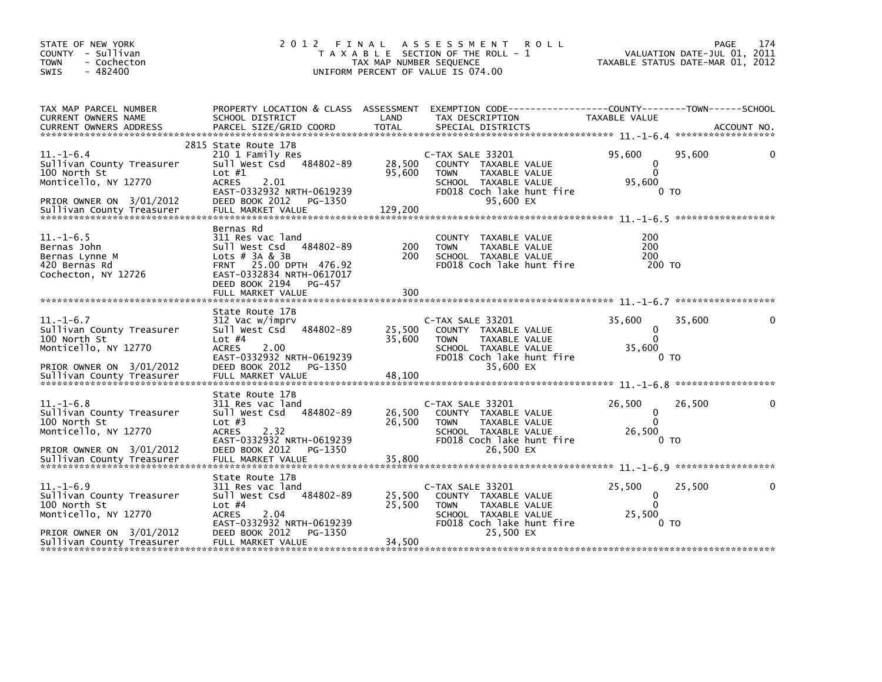| STATE OF NEW YORK<br>COUNTY - Sullivan<br><b>TOWN</b><br>- Cochecton<br>$-482400$<br>SWIS                                                     | 2012 FINAL                                                                                                                                                                              | TAX MAP NUMBER SEQUENCE    | A S S E S S M E N T<br><b>ROLL</b><br>T A X A B L E SECTION OF THE ROLL - 1<br>UNIFORM PERCENT OF VALUE IS 074.00                                 | PAGE<br>VALUATION DATE-JUL 01, 2011<br>TAXABLE STATUS DATE-MAR 01, 2012 | 174 |
|-----------------------------------------------------------------------------------------------------------------------------------------------|-----------------------------------------------------------------------------------------------------------------------------------------------------------------------------------------|----------------------------|---------------------------------------------------------------------------------------------------------------------------------------------------|-------------------------------------------------------------------------|-----|
| TAX MAP PARCEL NUMBER<br>CURRENT OWNERS NAME                                                                                                  | PROPERTY LOCATION & CLASS ASSESSMENT<br>SCHOOL DISTRICT                                                                                                                                 | LAND                       | EXEMPTION CODE-----------------COUNTY-------TOWN------SCHOOL<br>TAX DESCRIPTION                                                                   | TAXABLE VALUE                                                           |     |
| $11. - 1 - 6.4$<br>Sullivan County Treasurer<br>100 North St<br>Monticello, NY 12770<br>PRIOR OWNER ON 3/01/2012                              | 2815 State Route 17B<br>210 1 Family Res<br>Sull West Csd<br>484802-89<br>Lot $#1$<br><b>ACRES</b><br>2.01<br>EAST-0332932 NRTH-0619239<br>DEED BOOK 2012<br>PG-1350                    | 28,500<br>95,600           | C-TAX SALE 33201<br>COUNTY TAXABLE VALUE<br><b>TOWN</b><br>TAXABLE VALUE<br>SCHOOL TAXABLE VALUE<br>FD018 Coch lake hunt fire<br>95,600 EX        | 95,600<br>95,600<br>0<br>$\Omega$<br>95,600<br>0 то                     |     |
| $11. - 1 - 6.5$<br>Bernas John<br>Bernas Lynne M<br>420 Bernas Rd<br>Cochecton, NY 12726                                                      | Bernas Rd<br>311 Res vac land<br>Sull West Csd<br>484802-89<br>Lots $#$ 3A & 3B<br>FRNT 25.00 DPTH 476.92<br>EAST-0332834 NRTH-0617017<br>DEED BOOK 2194<br>PG-457<br>FULL MARKET VALUE | 200<br>200<br>300          | <b>COUNTY</b><br>TAXABLE VALUE<br>TAXABLE VALUE<br><b>TOWN</b><br>SCHOOL TAXABLE VALUE<br>FD018 Coch lake hunt fire                               | 200<br>200<br>200<br>200 TO                                             |     |
| $11.-1-6.7$<br>Sullivan County Treasurer<br>100 North St<br>Monticello, NY 12770<br>PRIOR OWNER ON 3/01/2012                                  | State Route 17B<br>312 Vac w/imprv<br>Sull West Csd<br>484802-89<br>Lot $#4$<br><b>ACRES</b><br>2.00<br>EAST-0332932 NRTH-0619239<br>DEED BOOK 2012<br>PG-1350                          | 25,500<br>35,600           | C-TAX SALE 33201<br>COUNTY TAXABLE VALUE<br>TAXABLE VALUE<br><b>TOWN</b><br>SCHOOL TAXABLE VALUE<br>FD018 Coch lake hunt fire<br>35,600 EX        | 35,600<br>35,600<br>0<br>$\Omega$<br>35,600<br>0 то                     |     |
| $11. - 1 - 6.8$<br>Sullivan County Treasurer<br>100 North St<br>Monticello, NY 12770<br>PRIOR OWNER ON 3/01/2012                              | State Route 17B<br>311 Res vac land<br>Sull West Csd<br>484802-89<br>Lot $#3$<br><b>ACRES</b><br>2.32<br>EAST-0332932 NRTH-0619239<br>DEED BOOK 2012<br>PG-1350                         | 26,500<br>26,500           | C-TAX SALE 33201<br>COUNTY TAXABLE VALUE<br>TAXABLE VALUE<br><b>TOWN</b><br>SCHOOL TAXABLE VALUE<br>FD018 Coch lake hunt fire<br>26,500 EX        | 26,500<br>26,500<br>0<br>$\Omega$<br>26,500<br>0 <sub>T</sub>           |     |
| $11. - 1 - 6.9$<br>Sullivan County Treasurer<br>100 North St<br>Monticello, NY 12770<br>PRIOR OWNER ON 3/01/2012<br>Sullivan County Treasurer | State Route 17B<br>311 Res vac land<br>484802-89<br>Sull West Csd<br>Lot $#4$<br><b>ACRES</b><br>2.04<br>EAST-0332932 NRTH-0619239<br>DEED BOOK 2012<br>PG-1350<br>FULL MARKET VALUE    | 25,500<br>25,500<br>34,500 | C-TAX SALE 33201<br>COUNTY TAXABLE VALUE<br><b>TOWN</b><br><b>TAXABLE VALUE</b><br>SCHOOL TAXABLE VALUE<br>FD018 Coch lake hunt fire<br>25,500 EX | 25,500<br>25,500<br>0<br>$\mathbf{0}$<br>25,500<br>0 <sub>T</sub>       |     |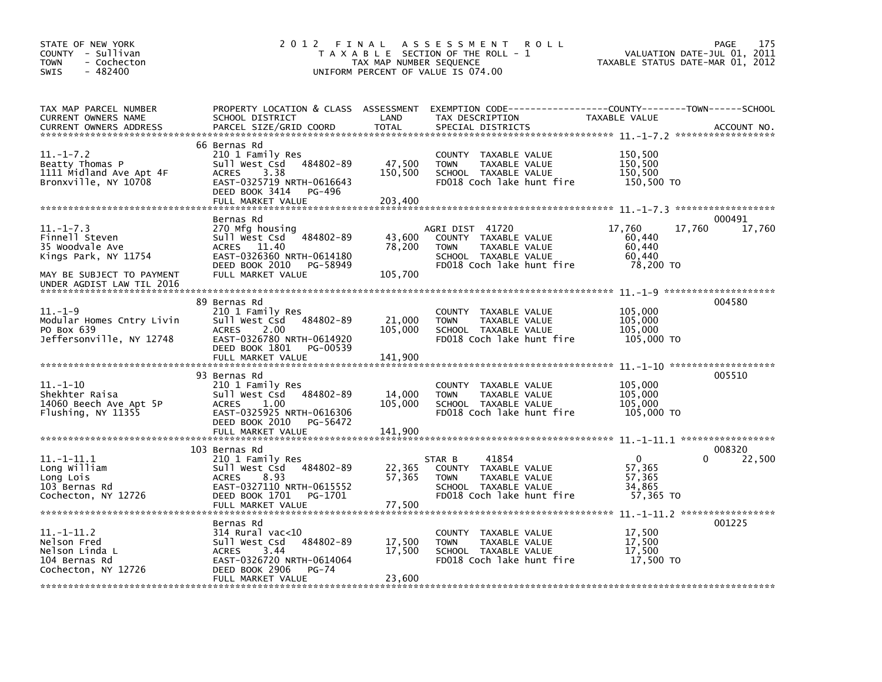| STATE OF NEW YORK<br>COUNTY - Sullivan<br>- Cochecton<br><b>TOWN</b><br>$-482400$<br>SWIS                                              | 2012 FINAL                                                                                                                                                             | TAX MAP NUMBER SEQUENCE      | A S S E S S M E N T<br><b>ROLL</b><br>T A X A B L E SECTION OF THE ROLL - 1<br>UNIFORM PERCENT OF VALUE IS 074.00            | TAXABLE STATUS DATE-MAR 01, 2012                            | 175<br>PAGE<br>VALUATION DATE-JUL 01, 2011 |
|----------------------------------------------------------------------------------------------------------------------------------------|------------------------------------------------------------------------------------------------------------------------------------------------------------------------|------------------------------|------------------------------------------------------------------------------------------------------------------------------|-------------------------------------------------------------|--------------------------------------------|
| TAX MAP PARCEL NUMBER<br>CURRENT OWNERS NAME<br><b>CURRENT OWNERS ADDRESS</b>                                                          | PROPERTY LOCATION & CLASS ASSESSMENT<br>SCHOOL DISTRICT<br>PARCEL SIZE/GRID COORD                                                                                      | LAND<br><b>TOTAL</b>         | EXEMPTION CODE-----------------COUNTY-------TOWN------SCHOOL<br>TAX DESCRIPTION<br>SPECIAL DISTRICTS                         | TAXABLE VALUE                                               | ACCOUNT NO.                                |
| $11. - 1 - 7.2$<br>Beatty Thomas P<br>1111 Midland Ave Apt 4F<br>Bronxville, NY 10708                                                  | 66 Bernas Rd<br>210 1 Family Res<br>Sull West Csd<br>484802-89<br>3.38<br><b>ACRES</b><br>EAST-0325719 NRTH-0616643<br>DEED BOOK 3414<br>PG-496<br>FULL MARKET VALUE   | 47,500<br>150,500<br>203.400 | COUNTY TAXABLE VALUE<br><b>TOWN</b><br>TAXABLE VALUE<br>SCHOOL TAXABLE VALUE<br>FD018 Coch lake hunt fire                    | 150,500<br>150,500<br>150.500<br>150,500 TO                 |                                            |
| $11. - 1 - 7.3$<br>Finnell Steven<br>35 Woodvale Ave<br>Kings Park, NY 11754<br>MAY BE SUBJECT TO PAYMENT<br>UNDER AGDIST LAW TIL 2016 | Bernas Rd<br>270 Mfg housing<br>Sull West Csd<br>484802-89<br>11.40<br><b>ACRES</b><br>EAST-0326360 NRTH-0614180<br>DEED BOOK 2010<br>PG-58949<br>FULL MARKET VALUE    | 43,600<br>78,200<br>105,700  | AGRI DIST 41720<br>COUNTY TAXABLE VALUE<br><b>TOWN</b><br>TAXABLE VALUE<br>SCHOOL TAXABLE VALUE<br>FD018 Coch lake hunt fire | 17,760<br>17,760<br>60,440<br>60,440<br>60,440<br>78,200 TO | 000491<br>17,760                           |
| $11. - 1 - 9$<br>Modular Homes Cntry Livin<br>PO Box 639<br>Jeffersonville, NY 12748                                                   | 89 Bernas Rd<br>210 1 Family Res<br>484802-89<br>Sull West Csd<br><b>ACRES</b><br>2.00<br>EAST-0326780 NRTH-0614920<br>DEED BOOK 1801<br>PG-00539<br>FULL MARKET VALUE | 21,000<br>105,000<br>141,900 | <b>COUNTY</b><br>TAXABLE VALUE<br><b>TOWN</b><br>TAXABLE VALUE<br>SCHOOL TAXABLE VALUE<br>FD018 Coch lake hunt fire          | 105,000<br>105,000<br>105,000<br>105,000 TO                 | 004580                                     |
| $11.-1-10$<br>Shekhter Raisa<br>14060 Beech Ave Apt 5P<br>Flushing, NY 11355                                                           | 93 Bernas Rd<br>210 1 Family Res<br>Sull West Csd<br>484802-89<br><b>ACRES</b><br>1.00<br>EAST-0325925 NRTH-0616306<br>DEED BOOK 2010<br>PG-56472<br>FULL MARKET VALUE | 14,000<br>105,000<br>141,900 | <b>COUNTY</b><br>TAXABLE VALUE<br><b>TOWN</b><br>TAXABLE VALUE<br>SCHOOL TAXABLE VALUE<br>FD018 Coch lake hunt fire          | 105,000<br>105,000<br>105,000<br>105,000 TO                 | 005510                                     |
| $11. -1 - 11.1$<br>Long William<br>Long Lois<br>103 Bernas Rd<br>Cochecton, NY 12726                                                   | 103 Bernas Rd<br>210 1 Family Res<br>484802-89<br>Sull West Csd<br><b>ACRES</b><br>8.93<br>EAST-0327110 NRTH-0615552<br>DEED BOOK 1701<br>PG-1701<br>FULL MARKET VALUE | 22,365<br>57,365<br>77,500   | 41854<br>STAR B<br>COUNTY TAXABLE VALUE<br><b>TOWN</b><br>TAXABLE VALUE<br>SCHOOL TAXABLE VALUE<br>FD018 Coch lake hunt fire | $\mathbf{0}$<br>57,365<br>57,365<br>34,865<br>57,365 TO     | 008320<br>22,500<br>0                      |
| $11. -1 - 11.2$<br>Nelson Fred<br>Nelson Linda L<br>104 Bernas Rd<br>Cochecton, NY 12726                                               | Bernas Rd<br>314 Rural vac<10<br>Sull West Csd<br>484802-89<br><b>ACRES</b><br>3.44<br>EAST-0326720 NRTH-0614064<br>DEED BOOK 2906<br>PG-74<br>FULL MARKET VALUE       | 17,500<br>17,500<br>23,600   | <b>COUNTY</b><br>TAXABLE VALUE<br><b>TOWN</b><br>TAXABLE VALUE<br>SCHOOL TAXABLE VALUE<br>FD018 Coch lake hunt fire          | 17,500<br>17,500<br>17,500<br>17,500 TO                     | 001225                                     |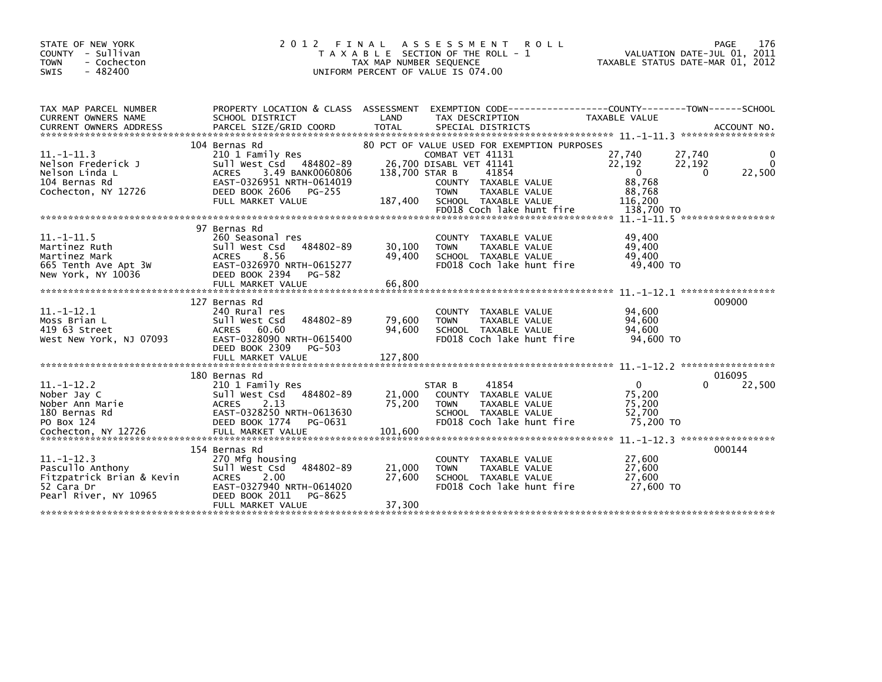| STATE OF NEW YORK<br>- Sullivan<br><b>COUNTY</b><br>- Cochecton<br><b>TOWN</b><br>$-482400$<br><b>SWIS</b> | 2 0 1 2                                                                                                                                                                        | FINAL<br>TAX MAP NUMBER SEOUENCE | A S S E S S M E N T<br><b>ROLL</b><br>T A X A B L E SECTION OF THE ROLL - 1<br>UNIFORM PERCENT OF VALUE IS 074.00                                                                                                | VALUATION DATE-JUL 01, 2011<br>TAXABLE STATUS DATE-MAR 01, 2012                                               | PAGE<br>176             |
|------------------------------------------------------------------------------------------------------------|--------------------------------------------------------------------------------------------------------------------------------------------------------------------------------|----------------------------------|------------------------------------------------------------------------------------------------------------------------------------------------------------------------------------------------------------------|---------------------------------------------------------------------------------------------------------------|-------------------------|
| TAX MAP PARCEL NUMBER<br>CURRENT OWNERS NAME<br><b>CURRENT OWNERS ADDRESS</b>                              | SCHOOL DISTRICT<br>PARCEL SIZE/GRID COORD                                                                                                                                      | LAND<br><b>TOTAL</b>             | PROPERTY LOCATION & CLASS ASSESSMENT EXEMPTION CODE-----------------COUNTY-------TOWN------SCHOOL<br>TAX DESCRIPTION<br>SPECIAL DISTRICTS                                                                        | <b>TAXABLE VALUE</b>                                                                                          | ACCOUNT NO.             |
| $11. -1 - 11.3$<br>Nelson Frederick J<br>Nelson Linda L<br>104 Bernas Rd<br>Cochecton, NY 12726            | 104 Bernas Rd<br>210 1 Family Res<br>Sull West Csd 484802-89<br><b>ACRES</b><br>3.49 BANK0060806<br>EAST-0326951 NRTH-0614019<br>DEED BOOK 2606<br>PG-255<br>FULL MARKET VALUE | 138,700 STAR B<br>187,400        | 80 PCT OF VALUE USED FOR EXEMPTION PURPOSES<br>COMBAT VET 41131<br>26,700 DISABL VET 41141<br>41854<br>COUNTY TAXABLE VALUE<br><b>TOWN</b><br>TAXABLE VALUE<br>SCHOOL TAXABLE VALUE<br>FD018 Coch lake hunt fire | 27,740<br>27,740<br>22,192<br>22,192<br>$\mathbf{0}$<br>$\Omega$<br>88,768<br>88,768<br>116.200<br>138,700 TO | 0<br>$\Omega$<br>22,500 |
| $11. - 1 - 11.5$<br>Martinez Ruth<br>Martinez Mark<br>665 Tenth Ave Apt 3W<br>New York, NY 10036           | 97 Bernas Rd<br>260 Seasonal res<br>484802-89<br>Sull West Csd<br>8.56<br><b>ACRES</b><br>EAST-0326970 NRTH-0615277<br>DEED BOOK 2394<br>PG-582<br>FULL MARKET VALUE           | 30,100<br>49,400<br>66,800       | COUNTY TAXABLE VALUE<br>TAXABLE VALUE<br><b>TOWN</b><br>SCHOOL TAXABLE VALUE<br>FD018 Coch lake hunt fire                                                                                                        | 49.400<br>49,400<br>49,400<br>49,400 TO<br>$11. - 1 - 12.1$ ******************                                |                         |
| $11.-1-12.1$<br>Moss Brian L<br>419 63 Street<br>West New York, NJ 07093                                   | 127 Bernas Rd<br>240 Rural res<br>Sull West Csd<br>484802-89<br>60.60<br><b>ACRES</b><br>EAST-0328090 NRTH-0615400<br>DEED BOOK 2309<br>PG-503<br>FULL MARKET VALUE            | 79,600<br>94,600<br>127,800      | <b>COUNTY</b><br>TAXABLE VALUE<br>TAXABLE VALUE<br><b>TOWN</b><br>SCHOOL TAXABLE VALUE<br>FD018 Coch lake hunt fire                                                                                              | 94,600<br>94,600<br>94,600<br>94,600 TO                                                                       | 009000                  |
| $11.-1-12.2$<br>Nober Jay C<br>Nober Ann Marie<br>180 Bernas Rd<br>PO Box 124                              | 180 Bernas Rd<br>210 1 Family Res<br>484802-89<br>Sull West Csd<br>2.13<br><b>ACRES</b><br>EAST-0328250 NRTH-0613630<br>DEED BOOK 1774<br>PG-0631                              | 21,000<br>75.200                 | 41854<br>STAR B<br>TAXABLE VALUE<br><b>COUNTY</b><br><b>TAXABLE VALUE</b><br><b>TOWN</b><br>SCHOOL TAXABLE VALUE<br>FD018 Coch lake hunt fire                                                                    | $\mathbf{0}$<br>75,200<br>75,200<br>52,700<br>75,200 TO                                                       | 016095<br>22,500        |
| $11.-1-12.3$<br>Pascullo Anthony<br>Fitzpatrick Brian & Kevin<br>52 Cara Dr<br>Pearl River, NY 10965       | 154 Bernas Rd<br>270 Mfg housing<br>484802-89<br>sull west Csd<br>2.00<br><b>ACRES</b><br>EAST-0327940 NRTH-0614020<br>DEED BOOK 2011<br>PG-8625<br>FULL MARKET VALUE          | 21,000<br>27,600<br>37,300       | <b>COUNTY</b><br>TAXABLE VALUE<br>TAXABLE VALUE<br><b>TOWN</b><br>SCHOOL TAXABLE VALUE<br>FD018 Coch lake hunt fire                                                                                              | 27,600<br>27,600<br>27,600<br>27,600 TO                                                                       | 000144                  |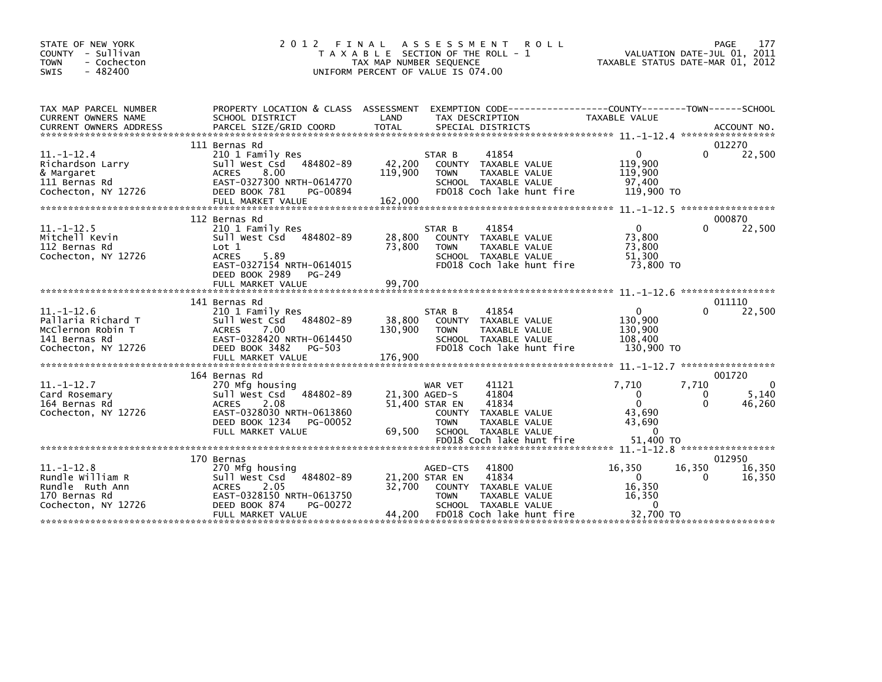| STATE OF NEW YORK<br>- Sullivan<br><b>COUNTY</b><br><b>TOWN</b><br>- Cochecton<br>$-482400$<br>SWIS | 2012 FINAL                                                                                                                                                                  | T A X A B L E SECTION OF THE ROLL - 1<br>TAX MAP NUMBER SEQUENCE<br>UNIFORM PERCENT OF VALUE IS 074.00 | A S S E S S M E N T                       | <b>ROLL</b>                                                                                                           |                                                                               | 177<br>PAGE<br>VALUATION DATE-JUL 01, 2011<br>TAXABLE STATUS DATE-MAR 01, 2012 |
|-----------------------------------------------------------------------------------------------------|-----------------------------------------------------------------------------------------------------------------------------------------------------------------------------|--------------------------------------------------------------------------------------------------------|-------------------------------------------|-----------------------------------------------------------------------------------------------------------------------|-------------------------------------------------------------------------------|--------------------------------------------------------------------------------|
| TAX MAP PARCEL NUMBER<br>CURRENT OWNERS NAME                                                        | PROPERTY LOCATION & CLASS ASSESSMENT<br>SCHOOL DISTRICT                                                                                                                     | LAND                                                                                                   |                                           | TAX DESCRIPTION                                                                                                       | EXEMPTION CODE-----------------COUNTY-------TOWN------SCHOOL<br>TAXABLE VALUE |                                                                                |
| $11.-1-12.4$<br>Richardson Larry<br>& Margaret<br>111 Bernas Rd<br>Cochecton, NY 12726              | 111 Bernas Rd<br>210 1 Family Res<br>Sull West Csd 484802-89<br>8.00<br><b>ACRES</b><br>EAST-0327300 NRTH-0614770<br>DEED BOOK 781<br>PG-00894                              | 42,200<br>119,900                                                                                      | STAR B<br><b>TOWN</b>                     | 41854<br>COUNTY TAXABLE VALUE<br>TAXABLE VALUE<br>SCHOOL TAXABLE VALUE<br>FD018 Coch lake hunt fire                   | 0<br>119,900<br>119,900<br>97.400<br>119,900 TO                               | 012270<br>0<br>22,500                                                          |
| $11. - 1 - 12.5$<br>Mitchell Kevin<br>112 Bernas Rd<br>Cochecton, NY 12726                          | 112 Bernas Rd<br>210 1 Family Res<br>Sull West Csd 484802-89<br>Lot 1<br><b>ACRES</b><br>5.89<br>EAST-0327154 NRTH-0614015<br>DEED BOOK 2989<br>PG-249<br>FULL MARKET VALUE | 28,800<br>73,800<br>99,700                                                                             | STAR B<br><b>TOWN</b>                     | 41854<br>COUNTY TAXABLE VALUE<br>TAXABLE VALUE<br>SCHOOL TAXABLE VALUE<br>FD018 Coch lake hunt fire                   | $\mathbf{0}$<br>73,800<br>73,800<br>51.300<br>73,800 TO                       | 000870<br>22,500<br>$\Omega$                                                   |
| $11.-1-12.6$<br>Pallaria Richard T<br>McClernon Robin T<br>141 Bernas Rd<br>Cochecton, NY 12726     | 141 Bernas Rd<br>210 1 Family Res<br>Sull West Csd 484802-89<br>7.00<br><b>ACRES</b><br>EAST-0328420 NRTH-0614450<br>DEED BOOK 3482<br><b>PG-503</b>                        | 38,800<br>130,900                                                                                      | STAR B<br><b>TOWN</b>                     | 41854<br>COUNTY TAXABLE VALUE<br>TAXABLE VALUE<br>SCHOOL TAXABLE VALUE<br>FD018 Coch lake hunt fire                   | $\Omega$<br>130,900<br>130,900<br>108,400<br>130,900 TO                       | 011110<br>22,500                                                               |
| $11. -1 - 12.7$<br>Card Rosemary<br>164 Bernas Rd<br>Cochecton, NY 12726                            | 164 Bernas Rd<br>270 Mfg housing<br>484802-89<br>Sull West Csd<br>2.08<br><b>ACRES</b><br>EAST-0328030 NRTH-0613860<br>DEED BOOK 1234<br>PG-00052<br>FULL MARKET VALUE      | 21,300 AGED-S<br>69,500                                                                                | WAR VET<br>51,400 STAR EN<br><b>TOWN</b>  | 41121<br>41804<br>41834<br>COUNTY TAXABLE VALUE<br>TAXABLE VALUE<br>SCHOOL TAXABLE VALUE<br>FD018 Coch lake hunt fire | 7.710<br>$\mathbf{0}$<br>0<br>43,690<br>43,690<br>$\Omega$<br>51,400 TO       | 001720<br>7.710<br>$\Omega$<br>5,140<br>0<br>$\Omega$<br>46,260                |
| $11.-1-12.8$<br>Rundle William R<br>Rundle Ruth Ann<br>170 Bernas Rd<br>Cochecton, NY 12726         | 170 Bernas<br>270 Mfg housing<br>484802-89<br>Sull West Csd<br>2.05<br><b>ACRES</b><br>EAST-0328150 NRTH-0613750<br>DEED BOOK 874<br>PG-00272<br>FULL MARKET VALUE          | 32.700<br>44,200                                                                                       | AGED-CTS<br>21,200 STAR EN<br><b>TOWN</b> | 41800<br>41834<br>COUNTY TAXABLE VALUE<br>TAXABLE VALUE<br>SCHOOL TAXABLE VALUE<br>FD018 Coch lake hunt fire          | 16,350<br>$\overline{0}$<br>16,350<br>16,350<br>$\Omega$<br>32,700 TO         | 012950<br>16,350<br>16,350<br>$\Omega$<br>16,350                               |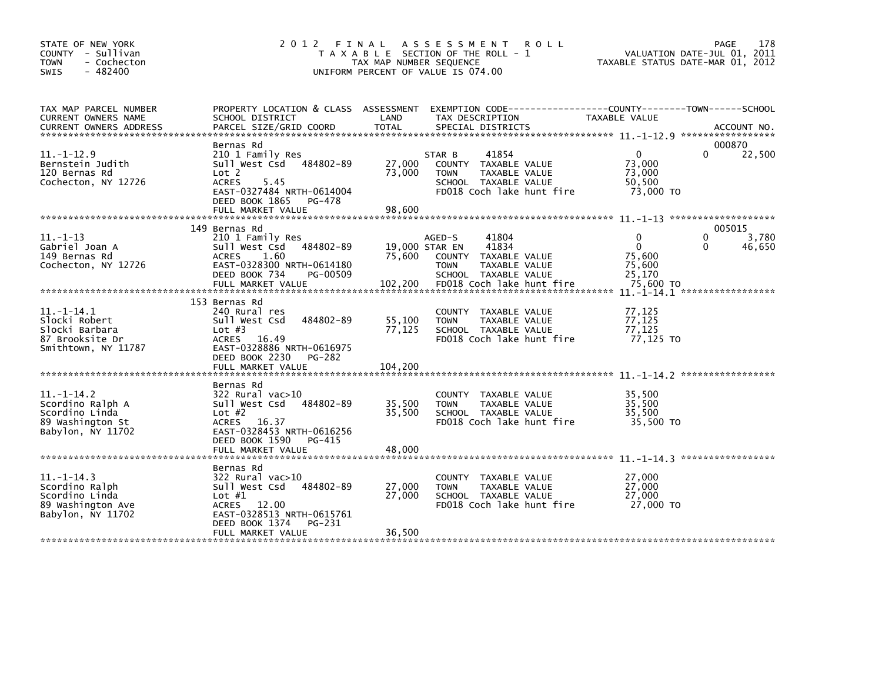| STATE OF NEW YORK<br>COUNTY - Sullivan<br><b>TOWN</b><br>- Cochecton<br>$-482400$<br>SWIS      | 2 0 1 2                                                                                                                                                                         | FINAL<br>TAX MAP NUMBER SEQUENCE | A S S E S S M E N T<br><b>ROLL</b><br>T A X A B L E SECTION OF THE ROLL -<br>UNIFORM PERCENT OF VALUE IS 074.00               | TAXABLE STATUS DATE-MAR 01, 2012                           | 178<br>PAGE<br>VALUATION DATE-JUL 01, 2011                |
|------------------------------------------------------------------------------------------------|---------------------------------------------------------------------------------------------------------------------------------------------------------------------------------|----------------------------------|-------------------------------------------------------------------------------------------------------------------------------|------------------------------------------------------------|-----------------------------------------------------------|
| TAX MAP PARCEL NUMBER<br>CURRENT OWNERS NAME<br>CURRENT OWNERS ADDRESS                         | PROPERTY LOCATION & CLASS ASSESSMENT<br>SCHOOL DISTRICT<br>PARCEL SIZE/GRID COORD                                                                                               | LAND<br>TOTAL                    | EXEMPTION CODE-----------------COUNTY-------TOWN------SCHOOL<br>TAX DESCRIPTION<br>SPECIAL DISTRICTS                          | TAXABLE VALUE                                              | ACCOUNT NO.                                               |
| $11. - 1 - 12.9$<br>Bernstein Judith<br>120 Bernas Rd<br>Cochecton, NY 12726                   | Bernas Rd<br>210 1 Family Res<br>Sull West Csd<br>484802-89<br>Lot 2<br><b>ACRES</b><br>5.45<br>EAST-0327484 NRTH-0614004<br>DEED BOOK 1865<br>PG-478<br>FULL MARKET VALUE      | 27,000<br>73,000<br>98,600       | 41854<br>STAR B<br>COUNTY TAXABLE VALUE<br>TAXABLE VALUE<br><b>TOWN</b><br>SCHOOL TAXABLE VALUE<br>FD018 Coch lake hunt fire  | $\mathbf{0}$<br>73,000<br>73,000<br>50,500<br>73,000 TO    | 000870<br>$\Omega$<br>22,500                              |
|                                                                                                |                                                                                                                                                                                 |                                  |                                                                                                                               |                                                            |                                                           |
| $11.-1-13$<br>Gabriel Joan A<br>149 Bernas Rd<br>Cochecton, NY 12726                           | 149 Bernas Rd<br>210 1 Family Res<br>484802-89<br>Sull West Csd<br>1.60<br><b>ACRES</b><br>EAST-0328300 NRTH-0614180<br>DEED BOOK 734<br>PG-00509                               | 75,600                           | 41804<br>AGED-S<br>41834<br>19,000 STAR EN<br>TAXABLE VALUE<br>COUNTY<br><b>TOWN</b><br>TAXABLE VALUE<br>SCHOOL TAXABLE VALUE | $\mathbf{0}$<br>$\mathbf{0}$<br>75,600<br>75,600<br>25,170 | 005015<br>$\mathbf{0}$<br>3,780<br>46,650<br><sup>0</sup> |
|                                                                                                | FULL MARKET VALUE                                                                                                                                                               | 102,200                          | FD018 Coch lake hunt fire                                                                                                     | 75,600 TO                                                  |                                                           |
| $11.-1-14.1$<br>Slocki Robert<br>Slocki Barbara<br>87 Brooksite Dr<br>Smithtown, NY 11787      | 153 Bernas Rd<br>240 Rural res<br>Sull West Csd<br>484802-89<br>Lot $#3$<br><b>ACRES</b><br>16.49<br>EAST-0328886 NRTH-0616975<br>DEED BOOK 2230<br>PG-282<br>FULL MARKET VALUE | 55,100<br>77,125<br>104,200      | COUNTY TAXABLE VALUE<br><b>TAXABLE VALUE</b><br><b>TOWN</b><br>SCHOOL TAXABLE VALUE<br>FD018 Coch lake hunt fire              | 77,125<br>77,125<br>77,125<br>77,125 TO                    |                                                           |
|                                                                                                |                                                                                                                                                                                 |                                  |                                                                                                                               |                                                            |                                                           |
| $11. -1 - 14.2$<br>Scordino Ralph A<br>Scordino Linda<br>89 Washington St<br>Babylon, NY 11702 | Bernas Rd<br>322 Rural vac>10<br>484802-89<br>Sull West Csd<br>Lot $#2$<br>ACRES 16.37<br>EAST-0328453 NRTH-0616256<br>DEED BOOK 1590<br>PG-415                                 | 35,500<br>35,500<br>48,000       | COUNTY TAXABLE VALUE<br>TAXABLE VALUE<br><b>TOWN</b><br>SCHOOL TAXABLE VALUE<br>FD018 Coch lake hunt fire                     | 35,500<br>35,500<br>35,500<br>35,500 TO                    |                                                           |
|                                                                                                | FULL MARKET VALUE                                                                                                                                                               |                                  |                                                                                                                               |                                                            |                                                           |
| $11. - 1 - 14.3$<br>Scordino Ralph<br>Scordino Linda<br>89 Washington Ave<br>Babylon, NY 11702 | Bernas Rd<br>322 Rural vac>10<br>Sull West Csd<br>484802-89<br>Lot $#1$<br>ACRES 12.00<br>EAST-0328513 NRTH-0615761<br>DEED BOOK 1374<br>PG-231                                 | 27,000<br>27,000                 | COUNTY TAXABLE VALUE<br>TAXABLE VALUE<br><b>TOWN</b><br>SCHOOL TAXABLE VALUE<br>FD018 Coch lake hunt fire                     | 27,000<br>27,000<br>27,000<br>27,000 TO                    |                                                           |
|                                                                                                | FULL MARKET VALUE                                                                                                                                                               | 36,500                           |                                                                                                                               |                                                            |                                                           |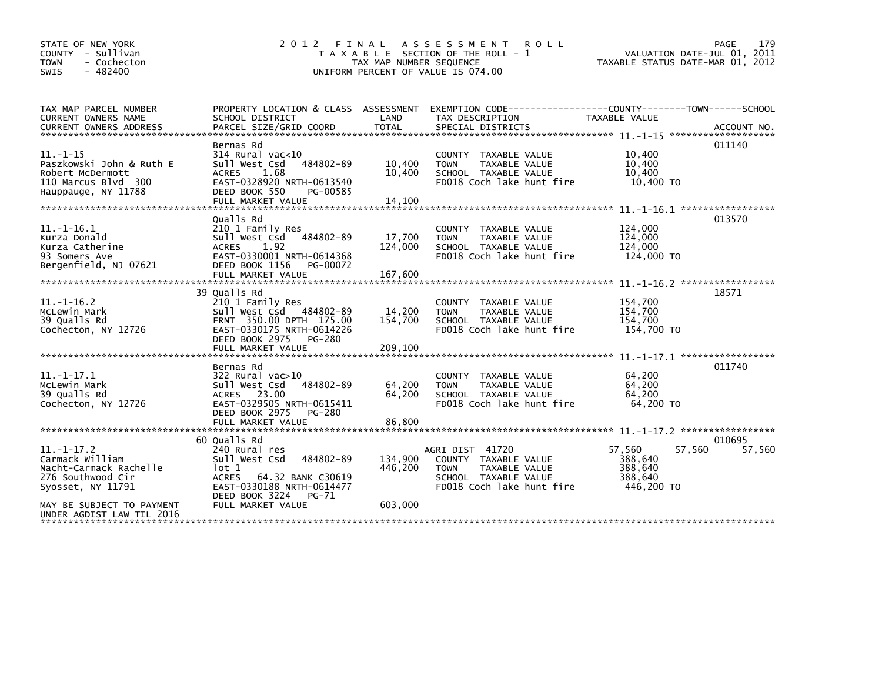| STATE OF NEW YORK<br>COUNTY - Sullivan<br>- Cochecton<br><b>TOWN</b><br>$-482400$<br><b>SWIS</b>             | 2 0 1 2<br>FINAL                                                                                                                                                    | TAX MAP NUMBER SEQUENCE      | A S S E S S M E N T<br><b>ROLL</b><br>T A X A B L E SECTION OF THE ROLL - 1<br>UNIFORM PERCENT OF VALUE IS 074.00                   | VALUATION DATE-JUL 01, 2011<br>TAXABLE STATUS DATE-MAR 01, 2012 | 179<br>PAGE |
|--------------------------------------------------------------------------------------------------------------|---------------------------------------------------------------------------------------------------------------------------------------------------------------------|------------------------------|-------------------------------------------------------------------------------------------------------------------------------------|-----------------------------------------------------------------|-------------|
| TAX MAP PARCEL NUMBER<br>CURRENT OWNERS NAME                                                                 | PROPERTY LOCATION & CLASS ASSESSMENT<br>SCHOOL DISTRICT                                                                                                             | LAND                         | EXEMPTION CODE------------------COUNTY-------TOWN------SCHOOL<br>TAX DESCRIPTION                                                    | TAXABLE VALUE                                                   |             |
|                                                                                                              | Bernas Rd                                                                                                                                                           |                              |                                                                                                                                     |                                                                 | 011140      |
| $11. - 1 - 15$<br>Paszkowski John & Ruth E<br>Robert McDermott<br>110 Marcus Blvd 300<br>Hauppauge, NY 11788 | 314 Rural vac<10<br>Sull West Csd<br>484802-89<br>1.68<br><b>ACRES</b><br>EAST-0328920 NRTH-0613540<br>DEED BOOK 550<br>PG-00585<br>FULL MARKET VALUE               | 10,400<br>10,400<br>14,100   | COUNTY TAXABLE VALUE<br><b>TOWN</b><br>TAXABLE VALUE<br>SCHOOL TAXABLE VALUE<br>FD018 Coch lake hunt fire                           | 10,400<br>10,400<br>10,400<br>10,400 TO                         |             |
|                                                                                                              |                                                                                                                                                                     |                              |                                                                                                                                     | $11. - 1 - 16.1$ *******************                            |             |
| $11. -1 - 16.1$<br>Kurza Donald<br>Kurza Catherine<br>93 Somers Ave<br>Bergenfield, NJ 07621                 | Qualls Rd<br>210 1 Family Res<br>Sull West Csd<br>484802-89<br><b>ACRES</b><br>1.92<br>EAST-0330001 NRTH-0614368<br>DEED BOOK 1156<br>PG-00072<br>FULL MARKET VALUE | 17,700<br>124,000<br>167,600 | COUNTY TAXABLE VALUE<br><b>TAXABLE VALUE</b><br><b>TOWN</b><br>SCHOOL TAXABLE VALUE<br>FD018 Coch lake hunt fire                    | 124,000<br>124,000<br>124,000<br>124,000 TO                     | 013570      |
|                                                                                                              |                                                                                                                                                                     |                              |                                                                                                                                     | $11. - 1 - 16.2$ ******************                             |             |
| $11. -1 - 16.2$<br>McLewin Mark<br>39 Qualls Rd<br>Cochecton, NY 12726                                       | 39 Qualls Rd<br>210 1 Family Res<br>Sull West Csd 484802-89<br>FRNT 350.00 DPTH 175.00<br>EAST-0330175 NRTH-0614226<br>DEED BOOK 2975<br>PG-280                     | 14,200<br>154,700            | COUNTY TAXABLE VALUE<br><b>TOWN</b><br>TAXABLE VALUE<br>SCHOOL TAXABLE VALUE<br>FD018 Coch lake hunt fire                           | 154,700<br>154,700<br>154,700<br>154,700 TO                     | 18571       |
|                                                                                                              |                                                                                                                                                                     |                              |                                                                                                                                     |                                                                 | 011740      |
| $11. -1 - 17.1$<br>McLewin Mark<br>39 Qualls Rd<br>Cochecton, NY 12726                                       | Bernas Rd<br>322 Rural vac>10<br>Sull West Csd<br>484802-89<br>ACRES 23.00<br>EAST-0329505 NRTH-0615411<br>DEED BOOK 2975<br>PG-280                                 | 64,200<br>64,200             | COUNTY TAXABLE VALUE<br><b>TOWN</b><br><b>TAXABLE VALUE</b><br>SCHOOL TAXABLE VALUE<br>FD018 Coch lake hunt fire                    | 64,200<br>64,200<br>64.200<br>64,200 TO                         |             |
|                                                                                                              | FULL MARKET VALUE                                                                                                                                                   | 86,800                       |                                                                                                                                     |                                                                 |             |
|                                                                                                              | 60 Qualls Rd                                                                                                                                                        |                              |                                                                                                                                     |                                                                 | 010695      |
| $11. -1 - 17.2$<br>Carmack William<br>Nacht-Carmack Rachelle<br>276 Southwood Cir<br>Syosset, NY 11791       | 240 Rural res<br>Sull West Csd<br>484802-89<br>lot 1<br>64.32 BANK C30619<br><b>ACRES</b><br>EAST-0330188 NRTH-0614477<br>DEED BOOK 3224<br>PG-71                   | 134,900<br>446,200           | AGRI DIST 41720<br>COUNTY TAXABLE VALUE<br><b>TAXABLE VALUE</b><br><b>TOWN</b><br>SCHOOL TAXABLE VALUE<br>FD018 Coch lake hunt fire | 57,560<br>57,560<br>388,640<br>388,640<br>388.640<br>446,200 TO | 57,560      |
| MAY BE SUBJECT TO PAYMENT<br>UNDER AGDIST LAW TIL 2016                                                       | FULL MARKET VALUE                                                                                                                                                   | 603,000                      |                                                                                                                                     |                                                                 |             |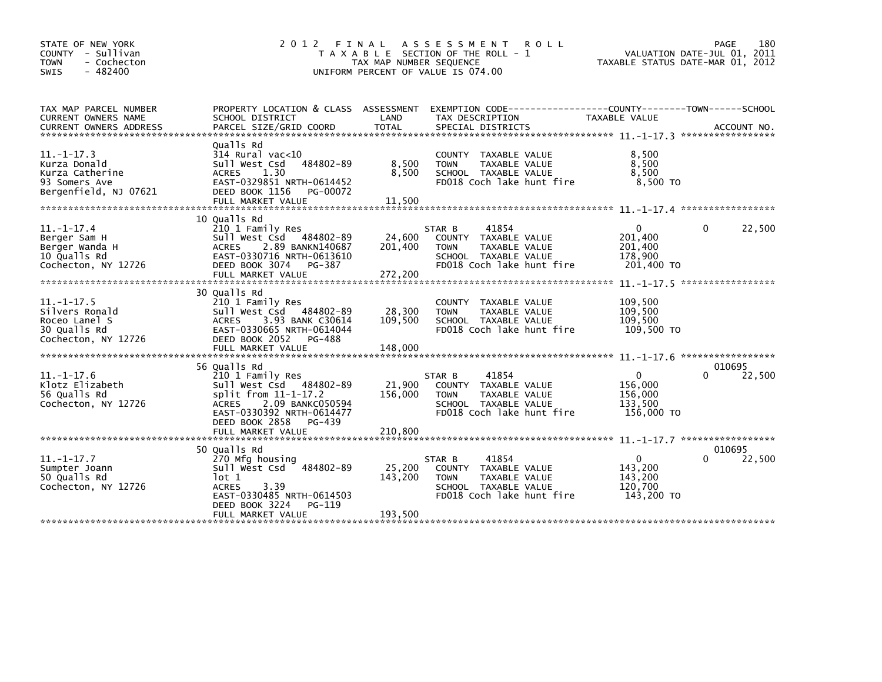| STATE OF NEW YORK<br>COUNTY - Sullivan<br>- Cochecton<br><b>TOWN</b><br>$-482400$<br><b>SWIS</b> | 2 0 1 2<br>FINAL                                                                                                                                                                 | TAX MAP NUMBER SEQUENCE      | A S S E S S M E N T<br><b>ROLL</b><br>T A X A B L E SECTION OF THE ROLL - 1<br>UNIFORM PERCENT OF VALUE IS 074.00            | TAXABLE STATUS DATE-MAR 01, 2012                           | 180<br>PAGE<br>VALUATION DATE-JUL 01, 2011         |
|--------------------------------------------------------------------------------------------------|----------------------------------------------------------------------------------------------------------------------------------------------------------------------------------|------------------------------|------------------------------------------------------------------------------------------------------------------------------|------------------------------------------------------------|----------------------------------------------------|
| TAX MAP PARCEL NUMBER<br><b>CURRENT OWNERS NAME</b><br><b>CURRENT OWNERS ADDRESS</b>             | PROPERTY LOCATION & CLASS ASSESSMENT<br>SCHOOL DISTRICT<br>PARCEL SIZE/GRID COORD                                                                                                | LAND<br><b>TOTAL</b>         | EXEMPTION CODE-----------------COUNTY-------TOWN------SCHOOL<br>TAX DESCRIPTION<br>SPECIAL DISTRICTS                         | TAXABLE VALUE                                              | ACCOUNT NO.                                        |
| $11. -1 - 17.3$<br>Kurza Donald<br>Kurza Catherine<br>93 Somers Ave<br>Bergenfield, NJ 07621     | Qualls Rd<br>$314$ Rural vac< $10$<br>Sull West Csd<br>484802-89<br>1.30<br><b>ACRES</b><br>EAST-0329851 NRTH-0614452<br>DEED BOOK 1156<br>PG-00072<br>FULL MARKET VALUE         | 8,500<br>8,500<br>11,500     | COUNTY TAXABLE VALUE<br>TAXABLE VALUE<br><b>TOWN</b><br>SCHOOL TAXABLE VALUE<br>FD018 Coch lake hunt fire                    | 8,500<br>8,500<br>8,500<br>8.500 TO                        |                                                    |
| $11. - 1 - 17.4$<br>Berger Sam H<br>Berger Wanda H<br>10 Qualls Rd<br>Cochecton, NY 12726        | 10 Qualls Rd<br>210 1 Family Res<br>Sull West Csd 484802-89<br>2.89 BANKN140687<br><b>ACRES</b><br>EAST-0330716 NRTH-0613610<br>DEED BOOK 3074<br>PG-387<br>FULL MARKET VALUE    | 24,600<br>201,400<br>272,200 | 41854<br>STAR B<br>COUNTY TAXABLE VALUE<br><b>TOWN</b><br>TAXABLE VALUE<br>SCHOOL TAXABLE VALUE<br>FD018 Coch lake hunt fire | $\mathbf 0$<br>201,400<br>201,400<br>178,900<br>201,400 TO | 0<br>22,500<br>$11. - 1 - 17.5$ ****************** |
| $11. - 1 - 17.5$<br>Silvers Ronald<br>Roceo Lanel S<br>30 Qualls Rd<br>Cochecton, NY 12726       | 30 Qualls Rd<br>210 1 Family Res<br>Sull West Csd 484802-89<br><b>ACRES</b><br>3.93 BANK C30614<br>EAST-0330665 NRTH-0614044<br>DEED BOOK 2052<br>PG-488<br>FULL MARKET VALUE    | 28,300<br>109.500<br>148,000 | COUNTY TAXABLE VALUE<br><b>TOWN</b><br>TAXABLE VALUE<br>SCHOOL TAXABLE VALUE<br>FD018 Coch lake hunt fire                    | 109,500<br>109,500<br>109,500<br>109,500 TO                |                                                    |
|                                                                                                  |                                                                                                                                                                                  |                              |                                                                                                                              |                                                            |                                                    |
| $11.-1-17.6$<br>Klotz Elizabeth<br>56 Qualls Rd<br>Cochecton, NY 12726                           | 56 Qualls Rd<br>210 1 Family Res<br>Sull West Csd 484802-89<br>split from 11-1-17.2<br><b>ACRES</b><br>2.09 BANKC050594<br>EAST-0330392 NRTH-0614477<br>DEED BOOK 2858<br>PG-439 | 21,900<br>156,000<br>210,800 | 41854<br>STAR B<br>COUNTY TAXABLE VALUE<br><b>TOWN</b><br>TAXABLE VALUE<br>SCHOOL TAXABLE VALUE<br>FD018 Coch lake hunt fire | $\mathbf 0$<br>156,000<br>156,000<br>133,500<br>156,000 TO | 010695<br>22,500                                   |
|                                                                                                  | FULL MARKET VALUE                                                                                                                                                                |                              |                                                                                                                              |                                                            | $11. - 1 - 17.7$ ******************                |
|                                                                                                  | 50 Qualls Rd                                                                                                                                                                     |                              |                                                                                                                              |                                                            | 010695                                             |
| $11.-1-17.7$<br>Sumpter Joann<br>50 Qualls Rd<br>Cochecton, NY 12726                             | 270 Mfg housing<br>Sull West Csd 484802-89<br>lot 1<br>3.39<br><b>ACRES</b><br>EAST-0330485 NRTH-0614503<br>DEED BOOK 3224<br>PG-119<br>FULL MARKET VALUE                        | 25,200<br>143,200            | 41854<br>STAR B<br>COUNTY TAXABLE VALUE<br>TAXABLE VALUE<br><b>TOWN</b><br>SCHOOL TAXABLE VALUE<br>FD018 Coch lake hunt fire | 0<br>143,200<br>143.200<br>120,700<br>143,200 TO           | 22,500                                             |
|                                                                                                  |                                                                                                                                                                                  | 193,500                      |                                                                                                                              |                                                            |                                                    |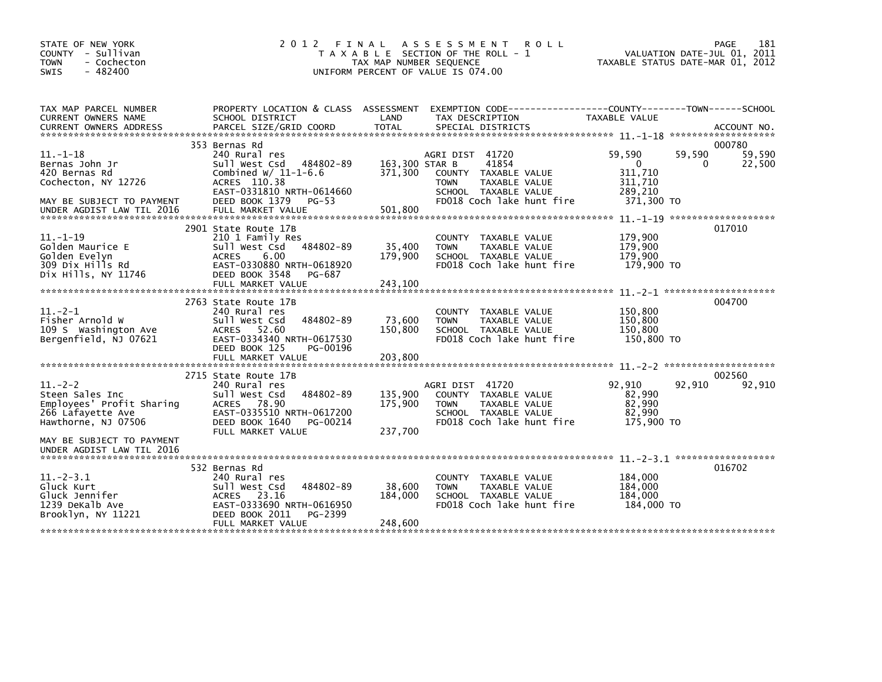| STATE OF NEW YORK<br>COUNTY - Sullivan<br>- Cochecton<br><b>TOWN</b><br>$-482400$<br><b>SWIS</b>                                                                                                                                                                               | 2 0 1 2                                                                                                                                                                      | TAX MAP NUMBER SEQUENCE       | FINAL ASSESSMENT<br><b>ROLL</b><br>T A X A B L E SECTION OF THE ROLL - 1<br>UNIFORM PERCENT OF VALUE IS 074.00                        | TAXABLE STATUS DATE-MAR 01, 2012                                     | PAGE<br>181<br>VALUATION DATE-JUL 01, 2011 |
|--------------------------------------------------------------------------------------------------------------------------------------------------------------------------------------------------------------------------------------------------------------------------------|------------------------------------------------------------------------------------------------------------------------------------------------------------------------------|-------------------------------|---------------------------------------------------------------------------------------------------------------------------------------|----------------------------------------------------------------------|--------------------------------------------|
| TAX MAP PARCEL NUMBER<br>CURRENT OWNERS NAME<br>.CURRENT OWNERS ADDRESS PARCEL SIZE/GRID COORD TOTAL SPECIAL DISTRICTS (ACCOUNT NO ACCOUNT NO ACCOUNT NO AND TAXAS AND RELATION AND RELATION ASSESSMENT AND A STATIONAL SPECIAL DISTRICTS (AND TAXAS AND A AND A AND A AND A A | PROPERTY LOCATION & CLASS ASSESSMENT<br>SCHOOL DISTRICT                                                                                                                      | LAND                          | TAX DESCRIPTION                                                                                                                       | TAXABLE VALUE                                                        |                                            |
|                                                                                                                                                                                                                                                                                | 353 Bernas Rd                                                                                                                                                                |                               |                                                                                                                                       |                                                                      | 000780                                     |
| $11. - 1 - 18$<br>Bernas John Jr<br>420 Bernas Rd<br>Cochecton, NY 12726<br>MAY BE SUBJECT TO PAYMENT                                                                                                                                                                          | 240 Rural res<br>Sull West Csd<br>484802-89<br>Combined $W/$ 11-1-6.6<br>ACRES 110.38<br>EAST-0331810 NRTH-0614660<br>DEED BOOK 1379<br>PG-53                                | 163,300 STAR B<br>371,300     | AGRI DIST 41720<br>41854<br>COUNTY TAXABLE VALUE<br><b>TOWN</b><br>TAXABLE VALUE<br>SCHOOL TAXABLE VALUE<br>FD018 Coch lake hunt fire | 59,590<br>59,590<br>0<br>311,710<br>311,710<br>289,210<br>371,300 TO | 59,590<br>22,500<br>0                      |
| UNDER AGDIST LAW TIL 2016                                                                                                                                                                                                                                                      | FULL MARKET VALUE                                                                                                                                                            | 501.800                       |                                                                                                                                       |                                                                      |                                            |
| $11. - 1 - 19$<br>Golden Maurice E<br>Golden Evelyn<br>309 Dix Hills Rd<br>Dix Hills, NY 11746                                                                                                                                                                                 | 2901 State Route 17B<br>210 1 Family Res<br>Sull West Csd<br>484802-89<br><b>ACRES</b><br>6.00<br>EAST-0330880 NRTH-0618920<br>DEED BOOK 3548<br>PG-687<br>FULL MARKET VALUE | 35,400<br>179,900<br>243,100  | COUNTY TAXABLE VALUE<br><b>TOWN</b><br>TAXABLE VALUE<br>SCHOOL TAXABLE VALUE<br>FD018 Coch lake hunt fire                             | 179,900<br>179,900<br>179,900<br>179,900 TO                          | 017010                                     |
|                                                                                                                                                                                                                                                                                |                                                                                                                                                                              |                               |                                                                                                                                       |                                                                      |                                            |
| $11. -2 - 1$<br>Fisher Arnold W<br>109 S Washington Ave<br>Bergenfield, NJ 07621                                                                                                                                                                                               | 2763 State Route 17B<br>240 Rural res<br>484802-89<br>Sull West Csd<br>ACRES 52.60<br>EAST-0334340 NRTH-0617530<br>DEED BOOK 125<br>PG-00196<br>FULL MARKET VALUE            | 73,600<br>150,800<br>203,800  | COUNTY TAXABLE VALUE<br><b>TOWN</b><br>TAXABLE VALUE<br>SCHOOL TAXABLE VALUE<br>FD018 Coch lake hunt fire                             | 150,800<br>150,800<br>150.800<br>150,800 TO                          | 004700                                     |
|                                                                                                                                                                                                                                                                                |                                                                                                                                                                              |                               |                                                                                                                                       |                                                                      |                                            |
| $11. -2 - 2$<br>Steen Sales Inc<br>Employees' Profit Sharing<br>266 Lafayette Ave<br>Hawthorne, NJ 07506                                                                                                                                                                       | 2715 State Route 17B<br>240 Rural res<br>Sull West Csd<br>484802-89<br>ACRES 78.90<br>EAST-0335510 NRTH-0617200<br>DEED BOOK 1640<br>PG-00214<br>FULL MARKET VALUE           | 135,900<br>175,900<br>237,700 | AGRI DIST 41720<br>COUNTY TAXABLE VALUE<br>TAXABLE VALUE<br><b>TOWN</b><br>SCHOOL TAXABLE VALUE<br>FD018 Coch lake hunt fire          | 92,910<br>92,910<br>82,990<br>82,990<br>82,990<br>175,900 TO         | 002560<br>92,910                           |
| MAY BE SUBJECT TO PAYMENT<br>UNDER AGDIST LAW TIL 2016                                                                                                                                                                                                                         |                                                                                                                                                                              |                               |                                                                                                                                       |                                                                      |                                            |
| $11.-2-3.1$<br>Gluck Kurt<br>Gluck Jennifer<br>1239 DeKalb Ave<br>Brooklyn, NY 11221                                                                                                                                                                                           | 532 Bernas Rd<br>240 Rural res<br>Sull West Csd<br>484802-89<br>ACRES 23.16<br>EAST-0333690 NRTH-0616950<br>DEED BOOK 2011<br>PG-2399<br>FULL MARKET VALUE                   | 38,600<br>184,000<br>248,600  | COUNTY TAXABLE VALUE<br>TAXABLE VALUE<br><b>TOWN</b><br>SCHOOL TAXABLE VALUE<br>FD018 Coch lake hunt fire                             | 184,000<br>184,000<br>184,000<br>184,000 TO                          | 016702                                     |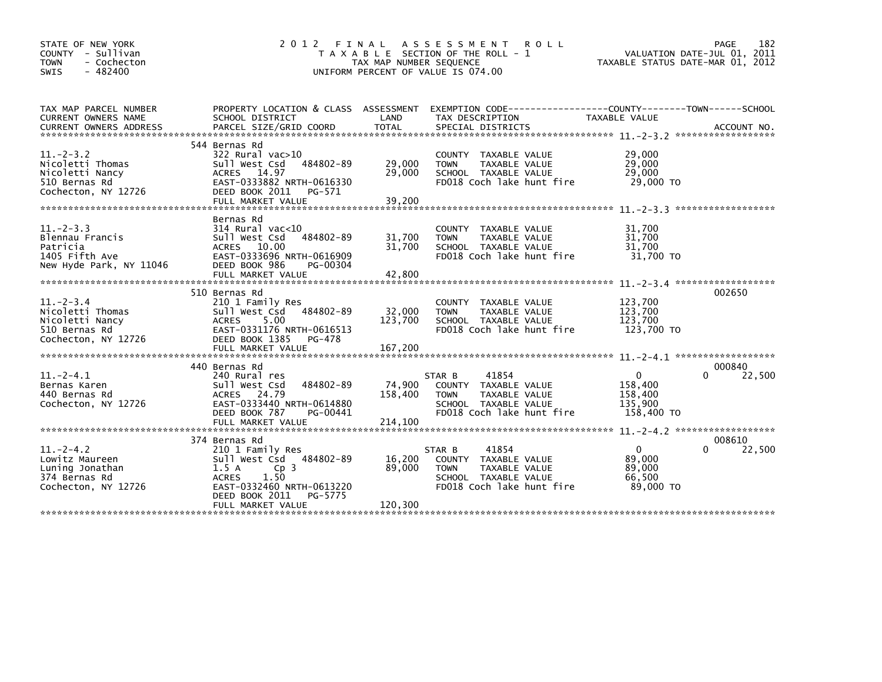| STATE OF NEW YORK<br>COUNTY - Sullivan<br>- Cochecton<br><b>TOWN</b><br>$-482400$<br><b>SWIS</b> | 2 0 1 2                                                                                                                                                                                        | FINAL<br>TAX MAP NUMBER SEQUENCE | <b>ROLL</b><br>A S S E S S M E N T<br>T A X A B L E SECTION OF THE ROLL - 1<br>UNIFORM PERCENT OF VALUE IS 074.00            | TAXABLE STATUS DATE-MAR 01, 2012                            | 182<br>PAGE<br>VALUATION DATE-JUL 01, 2011 |
|--------------------------------------------------------------------------------------------------|------------------------------------------------------------------------------------------------------------------------------------------------------------------------------------------------|----------------------------------|------------------------------------------------------------------------------------------------------------------------------|-------------------------------------------------------------|--------------------------------------------|
| TAX MAP PARCEL NUMBER<br><b>CURRENT OWNERS NAME</b><br><b>CURRENT OWNERS ADDRESS</b>             | PROPERTY LOCATION & CLASS ASSESSMENT<br>SCHOOL DISTRICT<br>PARCEL SIZE/GRID COORD                                                                                                              | LAND<br><b>TOTAL</b>             | EXEMPTION CODE-----------------COUNTY-------TOWN------SCHOOL<br>TAX DESCRIPTION<br>SPECIAL DISTRICTS                         | <b>TAXABLE VALUE</b>                                        | ACCOUNT NO.                                |
| $11 - 2 - 3.2$<br>Nicoletti Thomas<br>Nicoletti Nancy<br>510 Bernas Rd<br>Cochecton, NY 12726    | 544 Bernas Rd<br>322 Rural vac>10<br>484802-89<br>Sull West Csd<br>ACRES 14.97<br>EAST-0333882 NRTH-0616330<br>DEED BOOK 2011<br>PG-571<br>FULL MARKET VALUE                                   | 29,000<br>29,000<br>39,200       | COUNTY TAXABLE VALUE<br>TAXABLE VALUE<br><b>TOWN</b><br>SCHOOL TAXABLE VALUE<br>FD018 Coch lake hunt fire                    | 29,000<br>29,000<br>29,000<br>29,000 TO                     |                                            |
| $11. -2 - 3.3$<br>Blennau Francis<br>Patricia<br>1405 Fifth Ave<br>New Hyde Park, NY 11046       | Bernas Rd<br>$314$ Rural vac<10<br>Sull West Csd<br>484802-89<br>ACRES 10.00<br>EAST-0333696 NRTH-0616909<br>DEED BOOK 986<br>PG-00304<br>FULL MARKET VALUE                                    | 31,700<br>31,700<br>42,800       | COUNTY<br>TAXABLE VALUE<br>TAXABLE VALUE<br><b>TOWN</b><br>SCHOOL TAXABLE VALUE<br>FD018 Coch lake hunt fire                 | 31,700<br>31,700<br>31,700<br>31,700 TO                     |                                            |
| $11. - 2 - 3.4$<br>Nicoletti Thomas<br>Nicoletti Nancy<br>510 Bernas Rd<br>Cochecton, NY 12726   | 510 Bernas Rd<br>210 1 Family Res<br>Sull West Csd<br>484802-89<br><b>ACRES</b><br>5.00<br>EAST-0331176 NRTH-0616513<br>DEED BOOK 1385<br>PG-478<br>FULL MARKET VALUE                          | 32,000<br>123,700<br>167,200     | TAXABLE VALUE<br>COUNTY<br>TAXABLE VALUE<br><b>TOWN</b><br>SCHOOL TAXABLE VALUE<br>FD018 Coch lake hunt fire                 | 123,700<br>123,700<br>123.700<br>123,700 TO                 | 002650                                     |
| $11.-2-4.1$<br>Bernas Karen<br>440 Bernas Rd<br>Cochecton, NY 12726                              | 440 Bernas Rd<br>240 Rural res<br>484802-89<br>Sull West Csd<br>ACRES 24.79<br>EAST-0333440 NRTH-0614880<br>DEED BOOK 787<br>PG-00441<br>FULL MARKET VALUE                                     | 74,900<br>158,400<br>214,100     | 41854<br>STAR B<br>COUNTY TAXABLE VALUE<br><b>TOWN</b><br>TAXABLE VALUE<br>SCHOOL TAXABLE VALUE<br>FD018 Coch lake hunt fire | $\mathbf{0}$<br>158,400<br>158,400<br>135.900<br>158,400 TO | 000840<br>22,500<br>0                      |
| $11 - 2 - 4.2$<br>Lowitz Maureen<br>Luning Jonathan<br>374 Bernas Rd<br>Cochecton, NY 12726      | 374 Bernas Rd<br>210 1 Family Res<br>Sull West Csd 484802-89<br>Cp <sub>3</sub><br>1.5A<br>1.50<br><b>ACRES</b><br>EAST-0332460 NRTH-0613220<br>DEED BOOK 2011<br>PG-5775<br>FULL MARKET VALUE | 16,200<br>89,000<br>120,300      | 41854<br>STAR B<br>COUNTY TAXABLE VALUE<br>TAXABLE VALUE<br><b>TOWN</b><br>SCHOOL TAXABLE VALUE<br>FD018 Coch lake hunt fire | $\mathbf{0}$<br>89,000<br>89,000<br>66,500<br>89,000 TO     | 008610<br>22,500<br>0                      |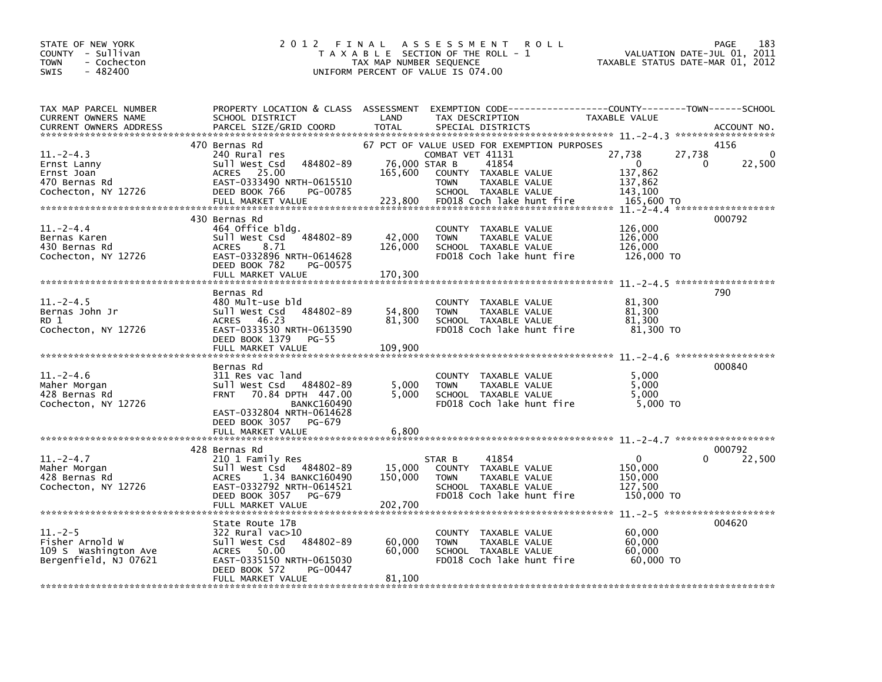| STATE OF NEW YORK<br>COUNTY - Sullivan<br><b>TOWN</b><br>- Cochecton<br>$-482400$<br>SWIS | 2 0 1 2<br>FINAL                                                                                                                                                                              | TAX MAP NUMBER SEQUENCE             | A S S E S S M E N T<br><b>ROLL</b><br>T A X A B L E SECTION OF THE ROLL - 1<br>UNIFORM PERCENT OF VALUE IS 074.00                                                                     | TAXABLE STATUS DATE-MAR 01, 2012                                            | 183<br><b>PAGE</b><br>VALUATION DATE-JUL 01, 2011 |
|-------------------------------------------------------------------------------------------|-----------------------------------------------------------------------------------------------------------------------------------------------------------------------------------------------|-------------------------------------|---------------------------------------------------------------------------------------------------------------------------------------------------------------------------------------|-----------------------------------------------------------------------------|---------------------------------------------------|
| TAX MAP PARCEL NUMBER<br>CURRENT OWNERS NAME<br><b>CURRENT OWNERS ADDRESS</b>             | PROPERTY LOCATION & CLASS ASSESSMENT<br>SCHOOL DISTRICT<br>PARCEL SIZE/GRID COORD                                                                                                             | LAND<br><b>TOTAL</b>                | EXEMPTION CODE------------------COUNTY--------TOWN------SCHOOL<br>TAX DESCRIPTION<br>SPECIAL DISTRICTS                                                                                | TAXABLE VALUE                                                               | ACCOUNT NO.                                       |
| $11. - 2 - 4.3$<br>Ernst Lanny<br>Ernst Joan<br>470 Bernas Rd<br>Cochecton, NY 12726      | 470 Bernas Rd<br>240 Rural res<br>484802-89<br>Sull West Csd<br>ACRES 25.00<br>EAST-0333490 NRTH-0615510<br>DEED BOOK 766<br>PG-00785<br>FULL MARKET VALUE                                    | 76,000 STAR B<br>165,600<br>223,800 | 67 PCT OF VALUE USED FOR EXEMPTION PURPOSES<br>COMBAT VET 41131<br>41854<br>COUNTY TAXABLE VALUE<br><b>TOWN</b><br>TAXABLE VALUE<br>SCHOOL TAXABLE VALUE<br>FD018 Coch lake hunt fire | 27,738<br>27,738<br>$\Omega$<br>137,862<br>137,862<br>143,100<br>165,600 TO | 4156<br>0<br>22,500<br>$\Omega$                   |
| $11. - 2 - 4.4$<br>Bernas Karen<br>430 Bernas Rd<br>Cochecton, NY 12726                   | 430 Bernas Rd<br>464 Office bldg.<br>Sull West Csd 484802-89<br><b>ACRES</b><br>8.71<br>EAST-0332896 NRTH-0614628<br>DEED BOOK 782<br>PG-00575<br>FULL MARKET VALUE                           | 42,000<br>126,000<br>170,300        | COUNTY TAXABLE VALUE<br>TAXABLE VALUE<br><b>TOWN</b><br>SCHOOL TAXABLE VALUE<br>FD018 Coch lake hunt fire                                                                             | 126,000<br>126,000<br>126,000<br>126,000 TO                                 | 000792                                            |
| $11.-2-4.5$<br>Bernas John Jr<br>RD 1<br>Cochecton, NY 12726                              | Bernas Rd<br>480 Mult-use bld<br>Sull West Csd 484802-89<br>ACRES 46.23<br>EAST-0333530 NRTH-0613590<br>DEED BOOK 1379<br><b>PG-55</b><br>FULL MARKET VALUE                                   | 54,800<br>81,300<br>109,900         | COUNTY TAXABLE VALUE<br>TAXABLE VALUE<br><b>TOWN</b><br>SCHOOL TAXABLE VALUE<br>FD018 Coch lake hunt fire                                                                             | 81,300<br>81,300<br>81,300<br>81,300 TO                                     | 790                                               |
| 11. – 2–4.6<br>Maher Morgan<br>428 Bernas Rd<br>Cochecton, NY 12726                       | Bernas Rd<br>311 Res vac land<br>Sull West Csd 484802-89<br>70.84 DPTH 447.00<br><b>FRNT</b><br><b>BANKC160490</b><br>EAST-0332804 NRTH-0614628<br>DEED BOOK 3057 PG-679<br>FULL MARKET VALUE | 5,000<br>5.000<br>6,800             | COUNTY TAXABLE VALUE<br>TAXABLE VALUE<br><b>TOWN</b><br>SCHOOL TAXABLE VALUE<br>FD018 Coch lake hunt fire                                                                             | 5,000<br>5,000<br>5.000<br>5,000 TO                                         | 000840                                            |
| $11.-2-4.7$<br>Maher Morgan<br>428 Bernas Rd<br>Cochecton, NY 12726                       | 428 Bernas Rd<br>210 1 Family Res<br>Sull West Csd 484802-89<br>1.34 BANKC160490<br><b>ACRES</b><br>EAST-0332792 NRTH-0614521<br>DEED BOOK 3057<br>PG-679<br>FULL MARKET VALUE                | 15,000<br>150,000<br>202,700        | 41854<br>STAR B<br>COUNTY TAXABLE VALUE<br>TAXABLE VALUE<br><b>TOWN</b><br>SCHOOL TAXABLE VALUE<br>FD018 Coch lake hunt fire                                                          | $\Omega$<br>150,000<br>150,000<br>127,500<br>150,000 TO                     | 000792<br>22,500                                  |
| $11. - 2 - 5$<br>Fisher Arnold W<br>109 S Washington Ave<br>Bergenfield, NJ 07621         | State Route 17B<br>322 Rural vac>10<br>484802-89<br>Sull West Csd<br>ACRES 50.00<br>EAST-0335150 NRTH-0615030<br>DEED BOOK 572<br>PG-00447<br>FULL MARKET VALUE                               | 60,000<br>60,000<br>81,100          | COUNTY TAXABLE VALUE<br><b>TOWN</b><br>TAXABLE VALUE<br>SCHOOL TAXABLE VALUE<br>FD018 Coch lake hunt fire                                                                             | 60,000<br>60,000<br>60,000<br>60,000 TO                                     | 004620                                            |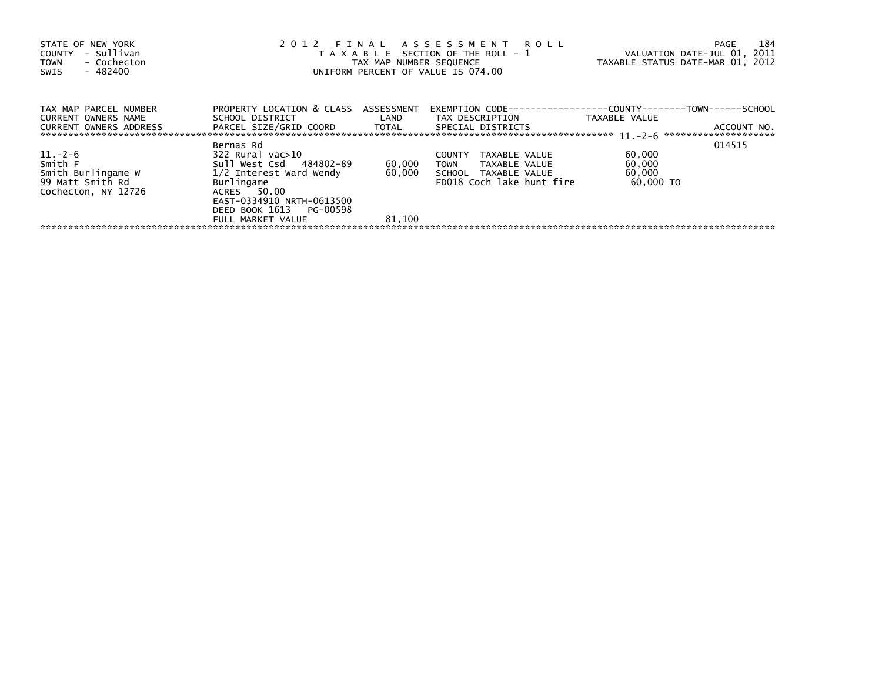| STATE OF NEW YORK<br>- Sullivan<br>COUNTY<br>- Cochecton<br><b>TOWN</b><br>$-482400$<br>SWIS |                                                                                                                                                                                               | TAX MAP NUMBER SEQUENCE | 2012 FINAL ASSESSMENT ROLL<br>T A X A B L E SECTION OF THE ROLL - 1<br>UNIFORM PERCENT OF VALUE IS 074.00        | VALUATION DATE-JUL 01, 2011<br>TAXABLE STATUS DATE-MAR 01, 2012 | 184<br>PAGE |
|----------------------------------------------------------------------------------------------|-----------------------------------------------------------------------------------------------------------------------------------------------------------------------------------------------|-------------------------|------------------------------------------------------------------------------------------------------------------|-----------------------------------------------------------------|-------------|
| TAX MAP PARCEL NUMBER<br>CURRENT OWNERS NAME<br><b>CURRENT OWNERS ADDRESS</b>                | PROPERTY LOCATION & CLASS ASSESSMENT<br>PARCEL SIZE/GRID COORD TOTAL SPECIAL DISTRICTS                                                                                                        |                         | EXEMPTION        CODE------------------COUNTY-------TOWN------SCHOOL                                             | TAXABLE VALUE                                                   | ACCOUNT NO. |
| $11.-2-6$<br>Smith F<br>Smith Burlingame W<br>99 Matt Smith Rd<br>Cochecton, NY 12726        | Bernas Rd<br>322 Rural vac>10<br>Sull West Csd 484802-89<br>1/2 Interest Ward Wendy<br>Burlingame<br>ACRES 50.00<br>EAST-0334910 NRTH-0613500<br>DEED BOOK 1613 PG-00598<br>FULL MARKET VALUE | 60,000<br>81,100        | TAXABLE VALUE<br><b>COUNTY</b><br>TOWN TAXABLE VALUE<br>60,000 SCHOOL TAXABLE VALUE<br>FD018 Coch lake hunt fire | 60,000<br>60,000<br>60,000<br>60.000 TO                         | 014515      |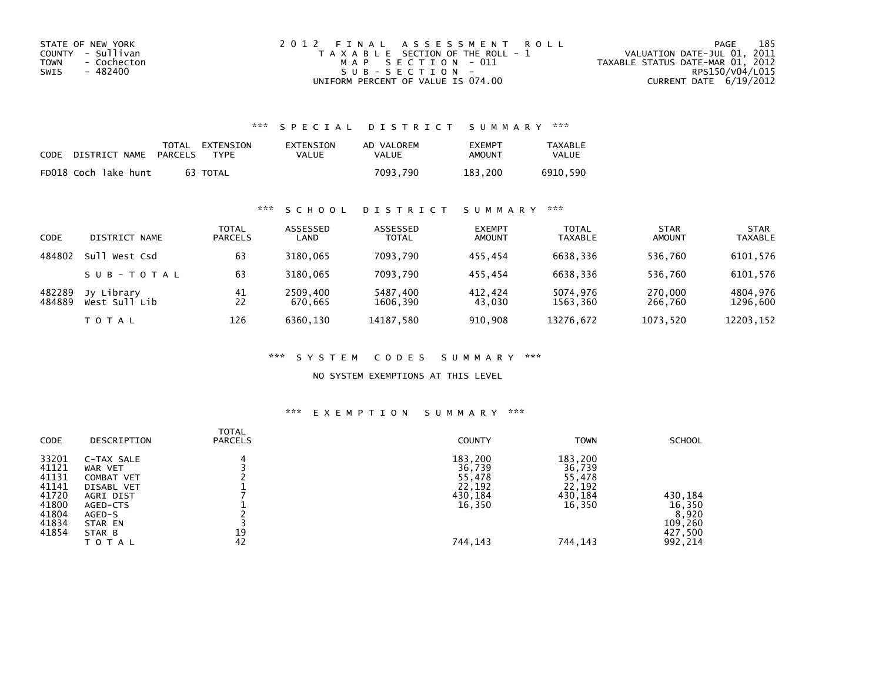| STATE OF NEW YORK   | 2012 FINAL ASSESSMENT ROLL            | 185<br>PAGE                      |
|---------------------|---------------------------------------|----------------------------------|
| COUNTY - Sullivan   | T A X A B L E SECTION OF THE ROLL - 1 | VALUATION DATE-JUL 01, 2011      |
| TOWN<br>- Cochecton | MAP SECTION - 011                     | TAXABLE STATUS DATE-MAR 01, 2012 |
| - 482400<br>SWIS    | SUB-SECTION-                          | RPS150/V04/L015                  |
|                     | UNIFORM PERCENT OF VALUE IS 074.00    | CURRENT DATE 6/19/2012           |

## \*\*\* S P E C I A L D I S T R I C T S U M M A R Y \*\*\*

| CODE | DISTRICT NAME        | PARCELS | TOTAL EXTENSION<br>TYPF | EXTENSION<br>VALUE | AD VALOREM<br>VALUE | <b>EXEMPT</b><br>AMOUNT | <b>TAXABLE</b><br><b>VALUE</b> |
|------|----------------------|---------|-------------------------|--------------------|---------------------|-------------------------|--------------------------------|
|      | FD018 Coch lake hunt |         | 63 TOTAL                |                    | 7093.790            | 183.200                 | 6910.590                       |

## \*\*\* S C H O O L D I S T R I C T S U M M A R Y \*\*\*

| CODE             | DISTRICT NAME               | TOTAL<br><b>PARCELS</b> | ASSESSED<br>LAND    | ASSESSED<br><b>TOTAL</b> | <b>EXEMPT</b><br><b>AMOUNT</b> | <b>TOTAL</b><br><b>TAXABLE</b> | <b>STAR</b><br><b>AMOUNT</b> | <b>STAR</b><br><b>TAXABLE</b> |
|------------------|-----------------------------|-------------------------|---------------------|--------------------------|--------------------------------|--------------------------------|------------------------------|-------------------------------|
| 484802           | Sull<br>West Csd            | 63                      | 3180.065            | 7093.790                 | 455.454                        | 6638.336                       | 536,760                      | 6101,576                      |
|                  | SUB-TOTAL                   | 63                      | 3180.065            | 7093.790                 | 455.454                        | 6638.336                       | 536,760                      | 6101,576                      |
| 482289<br>484889 | Jy Library<br>West Sull Lib | 41<br>22                | 2509,400<br>670.665 | 5487,400<br>1606.390     | 412.424<br>43,030              | 5074.976<br>1563,360           | 270,000<br>266,760           | 4804,976<br>1296,600          |
|                  | <b>TOTAL</b>                | 126                     | 6360.130            | 14187,580                | 910,908                        | 13276,672                      | 1073,520                     | 12203,152                     |

#### \*\*\* S Y S T E M C O D E S S U M M A R Y \*\*\*

### NO SYSTEM EXEMPTIONS AT THIS LEVEL

#### \*\*\* E X E M P T I O N S U M M A R Y \*\*\*

| CODE                                                                          | DESCRIPTION                                                                                                        | <b>TOTAL</b><br><b>PARCELS</b> | <b>COUNTY</b>                                                         | <b>TOWN</b>                                                           | <b>SCHOOL</b>                                               |
|-------------------------------------------------------------------------------|--------------------------------------------------------------------------------------------------------------------|--------------------------------|-----------------------------------------------------------------------|-----------------------------------------------------------------------|-------------------------------------------------------------|
| 33201<br>41121<br>41131<br>41141<br>41720<br>41800<br>41804<br>41834<br>41854 | C-TAX SALE<br>WAR VET<br>COMBAT VET<br>DISABL VET<br>AGRI DIST<br>AGED-CTS<br>AGED-S<br>STAR EN<br>STAR B<br>TOTAL | 19<br>42                       | 183,200<br>36,739<br>55,478<br>22,192<br>430,184<br>16,350<br>744,143 | 183,200<br>36,739<br>55,478<br>22,192<br>430,184<br>16,350<br>744,143 | 430,184<br>16,350<br>8,920<br>109,260<br>427,500<br>992,214 |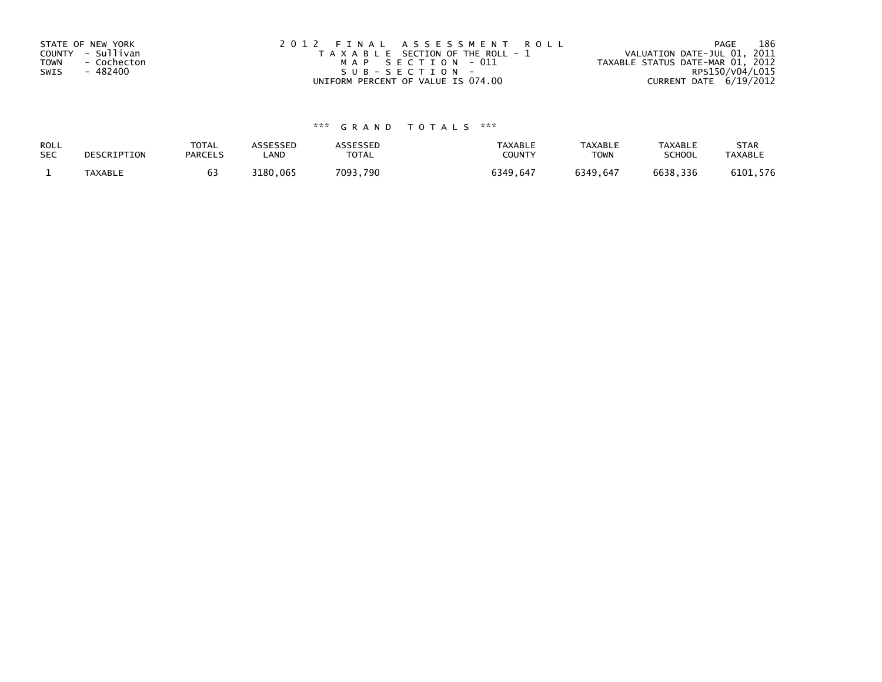| STATE OF NEW YORK          | 2012 FINAL ASSESSMENT ROLL            | 186<br>PAGE                      |
|----------------------------|---------------------------------------|----------------------------------|
| COUNTY - Sullivan          | T A X A B L E SECTION OF THE ROLL - 1 | VALUATION DATE-JUL 01, 2011      |
| <b>TOWN</b><br>- Cochecton | MAP SECTION - 011                     | TAXABLE STATUS DATE-MAR 01, 2012 |
| - 482400<br>SWIS           | SUB-SECTION-                          | RPS150/V04/L015                  |
|                            | UNIFORM PERCENT OF VALUE IS 074.00    | CURRENT DATE 6/19/2012           |

# \*\*\* G R A N D T O T A L S \*\*\*

| ROLL       | DESCRIPTION | <b>TOTAL</b>   | <b>ASSESSED</b> | <b>ASSESSED</b> | <b>TAXABLE</b> | <b>TAXABLE</b> | <b>TAXABLE</b> | <b>STAR</b>    |
|------------|-------------|----------------|-----------------|-----------------|----------------|----------------|----------------|----------------|
| <b>SEC</b> |             | <b>PARCELS</b> | LAND            | <b>TOTAL</b>    | COUNTY         | <b>TOWN</b>    | <b>SCHOOL</b>  | <b>TAXABLE</b> |
|            | TAXABLE     |                | 3180,065        | 7093,790        | 6349.647       | 6349.647       | 6638,336       | 6101,576       |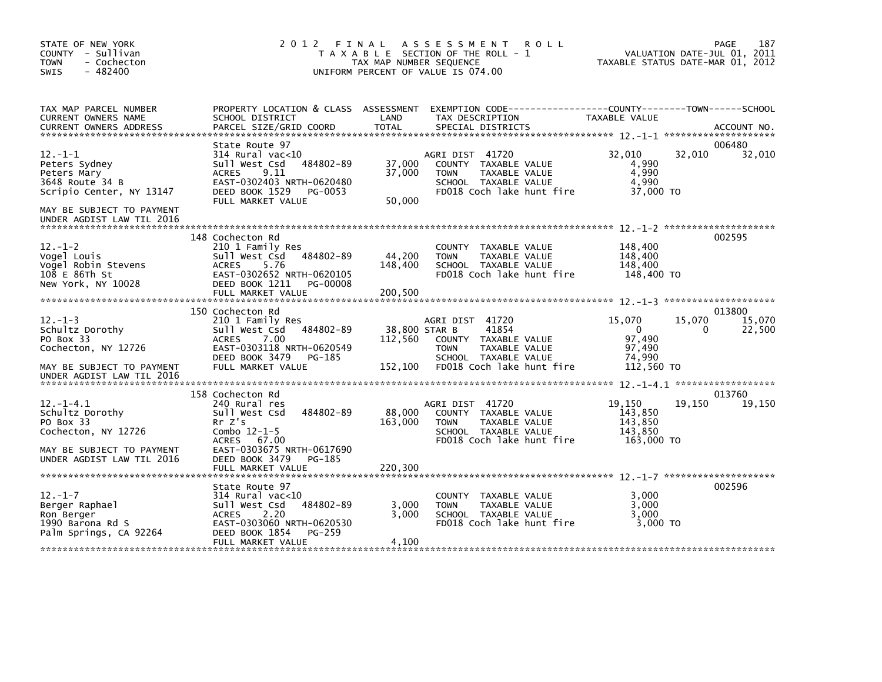| STATE OF NEW YORK<br>COUNTY - Sullivan<br><b>TOWN</b><br>- Cochecton<br>$-482400$<br>SWIS                                                                     | 2012 FINAL                                                                                                                                                                               | TAX MAP NUMBER SEQUENCE      | A S S E S S M E N T<br><b>ROLL</b><br>T A X A B L E SECTION OF THE ROLL - 1<br>UNIFORM PERCENT OF VALUE IS 074.00                                      | TAXABLE STATUS DATE-MAR 01, 2012                                               | PAGE<br>187<br>VALUATION DATE-JUL 01, 2011 |
|---------------------------------------------------------------------------------------------------------------------------------------------------------------|------------------------------------------------------------------------------------------------------------------------------------------------------------------------------------------|------------------------------|--------------------------------------------------------------------------------------------------------------------------------------------------------|--------------------------------------------------------------------------------|--------------------------------------------|
| TAX MAP PARCEL NUMBER<br>CURRENT OWNERS NAME                                                                                                                  | SCHOOL DISTRICT                                                                                                                                                                          | LAND                         | PROPERTY LOCATION & CLASS ASSESSMENT EXEMPTION CODE----------------COUNTY-------TOWN------SCHOOL<br>TAX DESCRIPTION                                    | TAXABLE VALUE                                                                  |                                            |
| $12. -1 - 1$<br>Peters Sydney<br>Peters Mary<br>3648 Route 34 B<br>Scripio Center, NY 13147<br>MAY BE SUBJECT TO PAYMENT<br>UNDER AGDIST LAW TIL 2016         | State Route 97<br>$314$ Rural vac<10<br>484802-89<br>Sull West Csd<br>9.11<br><b>ACRES</b><br>EAST-0302403 NRTH-0620480<br>DEED BOOK 1529 PG-0053<br>FULL MARKET VALUE                   | 37,000<br>37,000<br>50,000   | AGRI DIST 41720<br>COUNTY TAXABLE VALUE<br><b>TOWN</b><br>TAXABLE VALUE<br>SCHOOL TAXABLE VALUE<br>FD018 Coch lake hunt fire                           | 32,010<br>32,010<br>4,990<br>4,990<br>4,990<br>37,000 TO                       | 006480<br>32,010                           |
| $12. - 1 - 2$<br>Vogel Louis<br>Vogel Robin Stevens<br>108 E 86Th St<br>New York, NY 10028                                                                    | 148 Cochecton Rd<br>210 1 Family Res<br>484802-89<br>sull west Csd<br><b>ACRES</b><br>5.76<br>EAST-0302652 NRTH-0620105<br>DEED BOOK 1211 PG-00008<br>FULL MARKET VALUE                  | 44,200<br>148,400<br>200,500 | COUNTY TAXABLE VALUE<br><b>TOWN</b><br>TAXABLE VALUE<br>SCHOOL TAXABLE VALUE<br>FD018 Coch lake hunt fire                                              | 148,400<br>148,400<br>148.400<br>148,400 TO                                    | 002595                                     |
| $12. -1 - 3$<br>Schultz Dorothy<br>PO Box 33<br>Cochecton, NY 12726<br>MAY BE SUBJECT TO PAYMENT                                                              | 150 Cochecton Rd<br>210 1 Family Res<br>Sull West Csd<br>484802-89<br><b>ACRES</b><br>7.00<br>EAST-0303118 NRTH-0620549<br>DEED BOOK 3479<br>PG-185<br>FULL MARKET VALUE                 | 112,560<br>152,100           | AGRI DIST 41720<br>38,800 STAR B<br>41854<br>COUNTY TAXABLE VALUE<br>TAXABLE VALUE<br><b>TOWN</b><br>SCHOOL TAXABLE VALUE<br>FD018 Coch lake hunt fire | 15,070<br>15,070<br>$\overline{0}$<br>97,490<br>97.490<br>74,990<br>112,560 TO | 013800<br>15,070<br>22,500<br>0            |
| UNDER AGDIST LAW TIL 2016<br>$12. - 1 - 4.1$<br>Schultz Dorothy<br>PO Box 33<br>Cochecton, NY 12726<br>MAY BE SUBJECT TO PAYMENT<br>UNDER AGDIST LAW TIL 2016 | 158 Cochecton Rd<br>240 Rural res<br>Sull West Csd<br>484802-89<br>Rr Z's<br>Combo $12-1-5$<br>ACRES 67.00<br>EAST-0303675 NRTH-0617690<br>DEED BOOK 3479<br>PG-185<br>FULL MARKET VALUE | 88,000<br>163,000<br>220,300 | AGRI DIST 41720<br>COUNTY TAXABLE VALUE<br>TAXABLE VALUE<br><b>TOWN</b><br>SCHOOL TAXABLE VALUE<br>FD018 Coch lake hunt fire                           | 19,150<br>19,150<br>143,850<br>143,850<br>143.850<br>163.000 TO                | 013760<br>19,150                           |
| $12. - 1 - 7$<br>Berger Raphael<br>Ron Berger<br>1990 Barona Rd S<br>Palm Springs, CA 92264                                                                   | State Route 97<br>$314$ Rural vac< $10$<br>Sull West Csd<br>484802-89<br>2.20<br><b>ACRES</b><br>EAST-0303060 NRTH-0620530<br>DEED BOOK 1854<br>PG-259<br>FULL MARKET VALUE              | 3,000<br>3,000<br>4,100      | COUNTY TAXABLE VALUE<br><b>TOWN</b><br>TAXABLE VALUE<br>SCHOOL TAXABLE VALUE<br>FD018 Coch lake hunt fire                                              | 3,000<br>3.000<br>3.000<br>3.000 TO                                            | 002596                                     |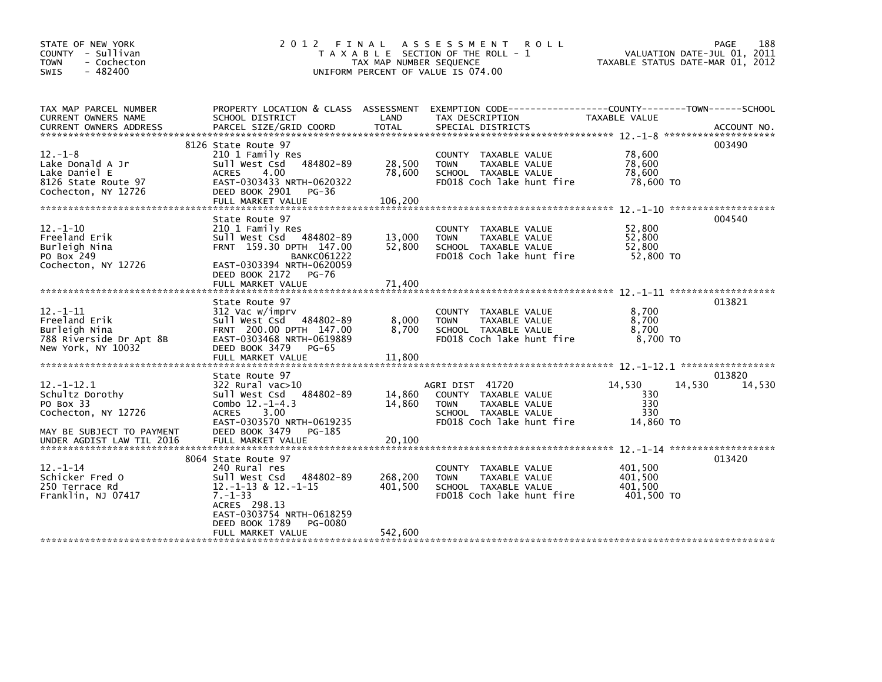| STATE OF NEW YORK<br>COUNTY - Sullivan<br>- Cochecton<br><b>TOWN</b><br>$-482400$<br>SWIS           | 2 0 1 2                                                                                                                                                                                                       | TAX MAP NUMBER SEQUENCE       | FINAL ASSESSMENT<br><b>ROLL</b><br>T A X A B L E SECTION OF THE ROLL - 1<br>UNIFORM PERCENT OF VALUE IS 074.00               | TAXABLE STATUS DATE-MAR 01, 2012            | 188<br><b>PAGE</b><br>VALUATION DATE-JUL 01, 2011 |
|-----------------------------------------------------------------------------------------------------|---------------------------------------------------------------------------------------------------------------------------------------------------------------------------------------------------------------|-------------------------------|------------------------------------------------------------------------------------------------------------------------------|---------------------------------------------|---------------------------------------------------|
| TAX MAP PARCEL NUMBER<br>CURRENT OWNERS NAME                                                        | PROPERTY LOCATION & CLASS ASSESSMENT<br>SCHOOL DISTRICT                                                                                                                                                       | LAND                          | EXEMPTION CODE------------------COUNTY--------TOWN------SCHOOL<br>TAX DESCRIPTION                                            | TAXABLE VALUE                               |                                                   |
| $12. - 1 - 8$<br>Lake Donald A Jr<br>Lake Daniel E<br>8126 State Route 97<br>Cochecton, NY 12726    | 8126 State Route 97<br>210 1 Family Res<br>Sull West Csd 484802-89<br>4.00<br><b>ACRES</b><br>EAST-0303433 NRTH-0620322<br>DEED BOOK 2901<br>PG-36<br>FULL MARKET VALUE                                       | 28,500<br>78,600<br>106,200   | TAXABLE VALUE<br><b>COUNTY</b><br><b>TAXABLE VALUE</b><br><b>TOWN</b><br>SCHOOL TAXABLE VALUE<br>FD018 Coch lake hunt fire   | 78,600<br>78,600<br>78,600<br>78,600 TO     | 003490                                            |
| $12. - 1 - 10$<br>Freeland Erik<br>Burleigh Nina<br>PO Box 249<br>Cochecton, NY 12726               | State Route 97<br>210 1 Family Res<br>Sull West Csd 484802-89<br>FRNT 159.30 DPTH 147.00<br><b>BANKC061222</b><br>EAST-0303394 NRTH-0620059<br>DEED BOOK 2172<br><b>PG-76</b><br>FULL MARKET VALUE            | 13,000<br>52,800<br>71.400    | COUNTY TAXABLE VALUE<br><b>TOWN</b><br>TAXABLE VALUE<br>SCHOOL TAXABLE VALUE<br>FD018 Coch lake hunt fire                    | 52,800<br>52,800<br>52,800<br>52,800 TO     | 004540                                            |
| $12 - 1 - 11$<br>Freeland Erik<br>Burleigh Nina<br>788 Riverside Dr Apt 8B<br>New York, NY 10032    | State Route 97<br>312 Vac w/imprv<br>Sull West Csd 484802-89<br>FRNT 200.00 DPTH 147.00<br>EAST-0303468 NRTH-0619889<br>DEED BOOK 3479<br>PG-65                                                               | 8,000<br>8,700                | COUNTY TAXABLE VALUE<br><b>TAXABLE VALUE</b><br><b>TOWN</b><br>SCHOOL TAXABLE VALUE<br>FD018 Coch lake hunt fire             | 8,700<br>8,700<br>8,700<br>8,700 TO         | 013821                                            |
| $12 - 1 - 12.1$<br>Schultz Dorothy<br>PO Box 33<br>Cochecton, NY 12726<br>MAY BE SUBJECT TO PAYMENT | State Route 97<br>$322$ Rural vac $>10$<br>484802-89<br>Sull West Csd<br>Combo $12.-1-4.3$<br><b>ACRES</b><br>3.00<br>EAST-0303570 NRTH-0619235<br>DEED BOOK 3479<br>PG-185                                   | 14,860<br>14,860              | AGRI DIST 41720<br>COUNTY TAXABLE VALUE<br><b>TOWN</b><br>TAXABLE VALUE<br>SCHOOL TAXABLE VALUE<br>FD018 Coch lake hunt fire | 14.530<br>330<br>330<br>330<br>14,860 TO    | 013820<br>14.530<br>14,530                        |
| $12. - 1 - 14$<br>Schicker Fred O<br>250 Terrace Rd<br>Franklin, NJ 07417                           | 8064 State Route 97<br>240 Rural res<br>484802-89<br>Sull West Csd<br>$12.-1-13$ & $12.-1-15$<br>$7. - 1 - 33$<br>ACRES 298.13<br>EAST-0303754 NRTH-0618259<br>DEED BOOK 1789<br>PG-0080<br>FULL MARKET VALUE | 268,200<br>401,500<br>542,600 | COUNTY TAXABLE VALUE<br><b>TOWN</b><br>TAXABLE VALUE<br>SCHOOL TAXABLE VALUE<br>FD018 Coch lake hunt fire                    | 401,500<br>401,500<br>401.500<br>401,500 TO | 013420                                            |
|                                                                                                     |                                                                                                                                                                                                               |                               |                                                                                                                              |                                             |                                                   |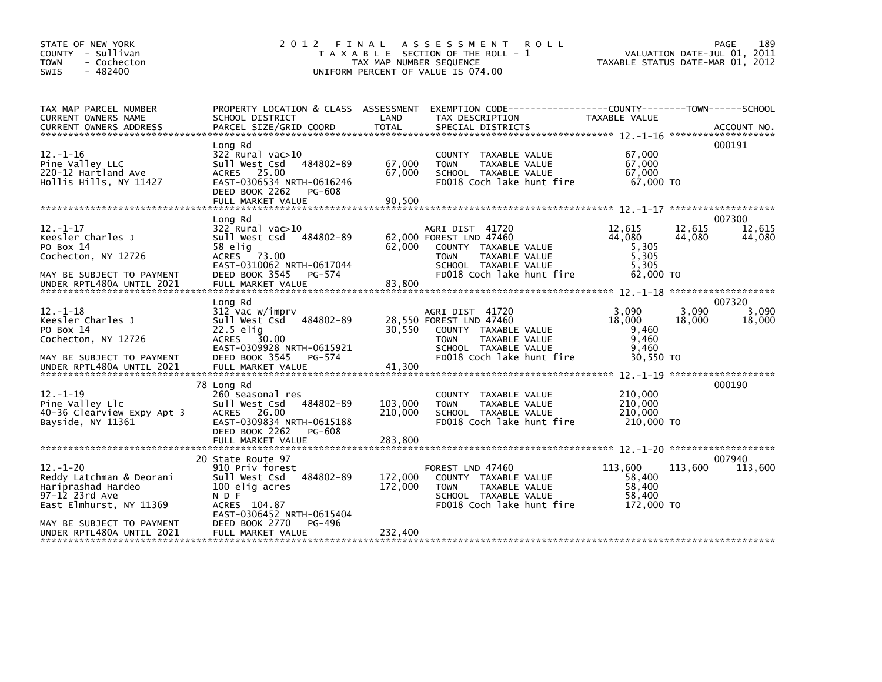| STATE OF NEW YORK<br>COUNTY - Sullivan<br>- Cochecton<br><b>TOWN</b><br>$-482400$<br><b>SWIS</b>                                                                        | 2012<br>FINAL                                                                                                                                                                               | TAX MAP NUMBER SEQUENCE       | A S S E S S M E N T<br><b>ROLL</b><br>T A X A B L E SECTION OF THE ROLL - 1<br>UNIFORM PERCENT OF VALUE IS 074.00                                       |                                                          | 189<br>PAGE<br>VALUATION DATE-JUL 01, 2011<br>TAXABLE STATUS DATE-MAR 01, 2012 |
|-------------------------------------------------------------------------------------------------------------------------------------------------------------------------|---------------------------------------------------------------------------------------------------------------------------------------------------------------------------------------------|-------------------------------|---------------------------------------------------------------------------------------------------------------------------------------------------------|----------------------------------------------------------|--------------------------------------------------------------------------------|
| TAX MAP PARCEL NUMBER<br><b>CURRENT OWNERS NAME</b>                                                                                                                     | PROPERTY LOCATION & CLASS ASSESSMENT<br>SCHOOL DISTRICT                                                                                                                                     | LAND                          | EXEMPTION CODE-----------------COUNTY-------TOWN------SCHOOL<br>TAX DESCRIPTION                                                                         | <b>TAXABLE VALUE</b>                                     |                                                                                |
| $12. - 1 - 16$<br>Pine Valley LLC<br>220-12 Hartland Ave<br>Hollis Hills, NY 11427                                                                                      | Long Rd<br>$322$ Rural vac $>10$<br>Sull West Csd<br>484802-89<br>ACRES 25.00<br>EAST-0306534 NRTH-0616246<br>DEED BOOK 2262<br>PG-608                                                      | 67,000<br>67,000              | COUNTY TAXABLE VALUE<br>TAXABLE VALUE<br><b>TOWN</b><br>SCHOOL TAXABLE VALUE<br>FD018 Coch lake hunt fire                                               | 67,000<br>67,000<br>67,000<br>67.000 TO                  | 000191                                                                         |
| $12. - 1 - 17$<br>Keesler Charles J<br>PO Box 14<br>Cochecton, NY 12726<br>MAY BE SUBJECT TO PAYMENT<br>UNDER RPTL480A UNTIL 2021                                       | Long Rd<br>322 Rural vac>10<br>Sull West Csd 484802-89<br>58 elig<br>ACRES 73.00<br>EAST-0310062 NRTH-0617044<br>DEED BOOK 3545 PG-574<br>FULL MARKET VALUE                                 | 62,000<br>83.800              | AGRI DIST 41720<br>62,000 FOREST LND 47460<br>COUNTY TAXABLE VALUE<br><b>TOWN</b><br>TAXABLE VALUE<br>SCHOOL TAXABLE VALUE<br>FD018 Coch lake hunt fire | 12,615<br>44.080<br>5,305<br>5,305<br>5,305<br>62,000 TO | 007300<br>12,615<br>12,615<br>44,080<br>44,080                                 |
| $12. - 1 - 18$<br>Keesler Charles J<br>PO Box 14<br>Cochecton, NY 12726<br>MAY BE SUBJECT TO PAYMENT                                                                    | Long Rd<br>312 Vac w/imprv<br>484802-89<br>sull west Csd<br>22.5 elig<br>ACRES 30.00<br>EAST-0309928 NRTH-0615921<br>DEED BOOK 3545<br>PG-574                                               | 30.550                        | AGRI DIST 41720<br>28,550 FOREST LND 47460<br>COUNTY TAXABLE VALUE<br>TAXABLE VALUE<br><b>TOWN</b><br>SCHOOL TAXABLE VALUE<br>FD018 Coch lake hunt fire | 3.090<br>18,000<br>9,460<br>9,460<br>9,460<br>30.550 TO  | 007320<br>3,090<br>3.090<br>18,000<br>18,000                                   |
| $12 - 1 - 19$<br>Pine Valley Llc<br>40-36 Clearview Expy Apt 3<br>Bayside, NY 11361                                                                                     | 78 Long Rd<br>260 Seasonal res<br>Sull West Csd<br>484802-89<br>ACRES 26.00<br>EAST-0309834 NRTH-0615188<br>DEED BOOK 2262<br>PG-608                                                        | 103,000<br>210,000            | COUNTY TAXABLE VALUE<br>TAXABLE VALUE<br><b>TOWN</b><br>SCHOOL TAXABLE VALUE<br>FD018 Coch lake hunt fire                                               | 210,000<br>210,000<br>210,000<br>210,000 TO              | 000190                                                                         |
| $12. - 1 - 20$<br>Reddy Latchman & Deorani<br>Hariprashad Hardeo<br>97-12 23rd Ave<br>East Elmhurst, NY 11369<br>MAY BE SUBJECT TO PAYMENT<br>UNDER RPTL480A UNTIL 2021 | 20 State Route 97<br>910 Priv forest<br>Sull West Csd<br>484802-89<br>100 elig acres<br>N D F<br>ACRES 104.87<br>EAST-0306452 NRTH-0615404<br>DEED BOOK 2770<br>PG-496<br>FULL MARKET VALUE | 172,000<br>172.000<br>232,400 | FOREST LND 47460<br>COUNTY TAXABLE VALUE<br><b>TOWN</b><br>TAXABLE VALUE<br>SCHOOL TAXABLE VALUE<br>FD018 Coch lake hunt fire                           | 113,600<br>58,400<br>58,400<br>58,400<br>172,000 TO      | 007940<br>113,600<br>113,600                                                   |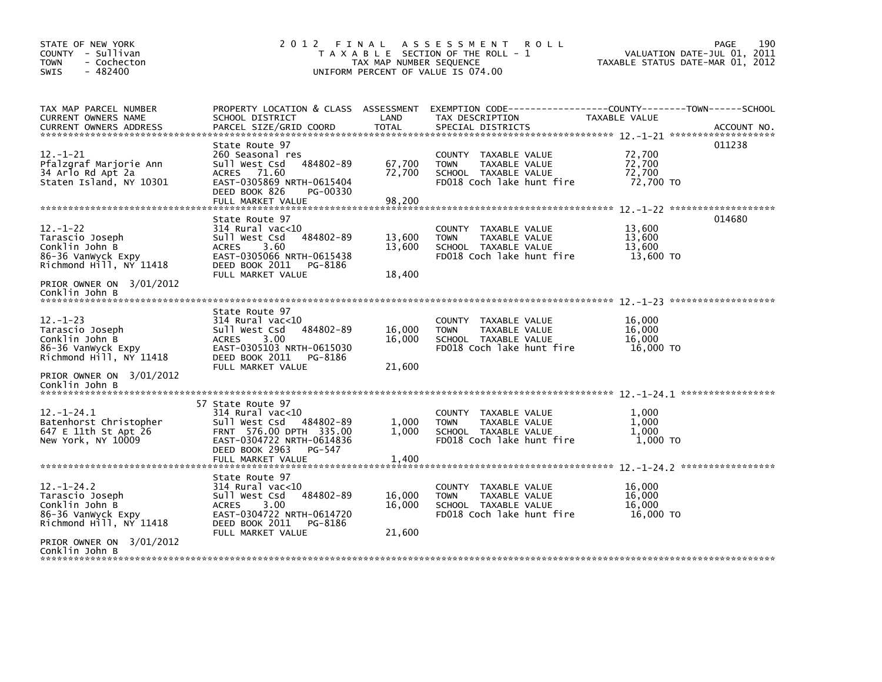| STATE OF NEW YORK<br>COUNTY - Sullivan<br>- Cochecton<br><b>TOWN</b><br>$-482400$<br>SWIS              |                                                                                                                                                                             | TAX MAP NUMBER SEQUENCE    | 2012 FINAL ASSESSMENT ROLL<br>T A X A B L E SECTION OF THE ROLL - 1<br>UNIFORM PERCENT OF VALUE IS 074.00                                | VALUATION DATE-JUL 01, 2011<br>TAXABLE STATUS DATE-MAR 01, 2012 | 190<br>PAGE |
|--------------------------------------------------------------------------------------------------------|-----------------------------------------------------------------------------------------------------------------------------------------------------------------------------|----------------------------|------------------------------------------------------------------------------------------------------------------------------------------|-----------------------------------------------------------------|-------------|
| TAX MAP PARCEL NUMBER<br>CURRENT OWNERS NAME<br><b>CURRENT OWNERS ADDRESS</b>                          | SCHOOL DISTRICT<br>PARCEL SIZE/GRID COORD                                                                                                                                   | LAND<br><b>TOTAL</b>       | PROPERTY LOCATION & CLASS ASSESSMENT EXEMPTION CODE----------------COUNTY-------TOWN------SCHOOL<br>TAX DESCRIPTION<br>SPECIAL DISTRICTS | TAXABLE VALUE                                                   | ACCOUNT NO. |
| $12 - 1 - 21$<br>Pfalzgraf Marjorie Ann<br>34 Arlo Rd Apt 2a<br>Staten Island, NY 10301                | State Route 97<br>260 Seasonal res<br>sull west Csd<br>484802-89<br>ACRES 71.60<br>EAST-0305869 NRTH-0615404<br>DEED BOOK 826<br>PG-00330<br>FULL MARKET VALUE              | 67,700<br>72,700<br>98,200 | COUNTY TAXABLE VALUE<br><b>TOWN</b><br>TAXABLE VALUE<br>SCHOOL TAXABLE VALUE<br>FD018 Coch lake hunt fire                                | 72,700<br>72,700<br>72,700<br>72,700 TO                         | 011238      |
| $12 - 1 - 22$<br>Tarascio Joseph<br>Conklin John B<br>86-36 VanWyck Expy<br>Richmond Hill, NY 11418    | State Route 97<br>$314$ Rural vac<10<br>Sull West Csd<br>484802-89<br><b>ACRES</b><br>3.60<br>EAST-0305066 NRTH-0615438<br>DEED BOOK 2011<br>PG-8186<br>FULL MARKET VALUE   | 13,600<br>13,600<br>18,400 | COUNTY TAXABLE VALUE<br>TAXABLE VALUE<br><b>TOWN</b><br>SCHOOL TAXABLE VALUE<br>FD018 Coch lake hunt fire                                | 13,600<br>13,600<br>13,600<br>13,600 TO                         | 014680      |
| PRIOR OWNER ON 3/01/2012<br>Conklin John B                                                             |                                                                                                                                                                             |                            |                                                                                                                                          |                                                                 |             |
| $12. - 1 - 23$<br>Tarascio Joseph<br>Conklin John B<br>86-36 Vanwyck Expy<br>Richmond Hill, NY 11418   | State Route 97<br>$314$ Rural vac<10<br>Sull West Csd<br>484802-89<br>3.00<br><b>ACRES</b><br>EAST-0305103 NRTH-0615030<br>DEED BOOK 2011<br>PG-8186<br>FULL MARKET VALUE   | 16,000<br>16,000<br>21,600 | COUNTY TAXABLE VALUE<br><b>TOWN</b><br>TAXABLE VALUE<br>SCHOOL TAXABLE VALUE<br>FD018 Coch lake hunt fire                                | 16,000<br>16,000<br>16,000<br>16,000 TO                         |             |
| PRIOR OWNER ON 3/01/2012<br>Conklin John B                                                             |                                                                                                                                                                             |                            |                                                                                                                                          |                                                                 |             |
| $12. - 1 - 24.1$<br>Batenhorst Christopher<br>647 E 11th St Apt 26<br>New York, NY 10009               | 57 State Route 97<br>$314$ Rural vac<10<br>Sull West Csd 484802-89<br>FRNT 576.00 DPTH 335.00<br>EAST-0304722 NRTH-0614836<br>DEED BOOK 2963<br>PG-547<br>FULL MARKET VALUE | 1,000<br>1.000<br>1,400    | COUNTY TAXABLE VALUE<br><b>TOWN</b><br>TAXABLE VALUE<br>SCHOOL TAXABLE VALUE<br>FD018 Coch lake hunt fire                                | 1,000<br>1.000<br>1.000<br>1.000 TO                             |             |
|                                                                                                        | State Route 97                                                                                                                                                              |                            |                                                                                                                                          |                                                                 |             |
| $12. - 1 - 24.2$<br>Tarascio Joseph<br>Conklin John B<br>86-36 Vanwyck Expy<br>Richmond Hill, NY 11418 | $314$ Rural vac< $10$<br>484802-89<br>Sull West Csd<br>3.00<br><b>ACRES</b><br>EAST-0304722 NRTH-0614720<br>DEED BOOK 2011<br>PG-8186                                       | 16,000<br>16,000           | COUNTY TAXABLE VALUE<br><b>TOWN</b><br>TAXABLE VALUE<br>SCHOOL TAXABLE VALUE<br>FD018 Coch lake hunt fire                                | 16,000<br>16.000<br>16.000<br>16,000 TO                         |             |
| PRIOR OWNER ON 3/01/2012<br>Conklin John B                                                             | FULL MARKET VALUE                                                                                                                                                           | 21,600                     |                                                                                                                                          |                                                                 |             |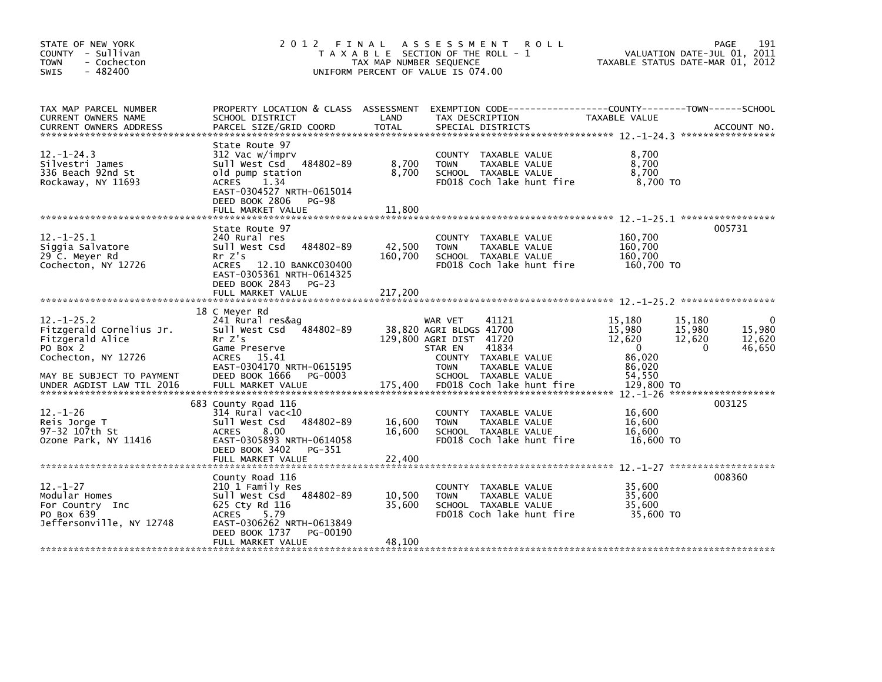| STATE OF NEW YORK<br>COUNTY - Sullivan<br><b>TOWN</b><br>- Cochecton<br>$-482400$<br>SWIS                                                                    | 2012 FINAL                                                                                                                                                                               | TAX MAP NUMBER SEQUENCE    | A S S E S S M E N T<br><b>ROLL</b><br>T A X A B L E SECTION OF THE ROLL - 1<br>UNIFORM PERCENT OF VALUE IS 074.00                                                                                       |                                                                                    | 191<br><b>PAGE</b><br>VALUATION DATE-JUL 01, 2011<br>TAXABLE STATUS DATE-MAR 01, 2012 |
|--------------------------------------------------------------------------------------------------------------------------------------------------------------|------------------------------------------------------------------------------------------------------------------------------------------------------------------------------------------|----------------------------|---------------------------------------------------------------------------------------------------------------------------------------------------------------------------------------------------------|------------------------------------------------------------------------------------|---------------------------------------------------------------------------------------|
| TAX MAP PARCEL NUMBER<br>CURRENT OWNERS NAME                                                                                                                 | PROPERTY LOCATION & CLASS ASSESSMENT<br>SCHOOL DISTRICT                                                                                                                                  | LAND                       | EXEMPTION CODE-----------------COUNTY-------TOWN------SCHOOL<br>TAX DESCRIPTION                                                                                                                         | TAXABLE VALUE                                                                      |                                                                                       |
| $12. - 1 - 24.3$<br>Silvestri James<br>336 Beach 92nd St<br>Rockaway, NY 11693                                                                               | State Route 97<br>312 Vac w/imprv<br>Sull West Csd 484802-89<br>old pump station<br>ACRES<br>1.34<br>EAST-0304527 NRTH-0615014<br>DEED BOOK 2806 PG-98<br>FULL MARKET VALUE              | 8,700<br>8,700<br>11,800   | COUNTY TAXABLE VALUE<br>TAXABLE VALUE<br><b>TOWN</b><br>SCHOOL TAXABLE VALUE<br>FD018 Coch lake hunt fire                                                                                               | 8,700<br>8,700<br>8,700<br>8,700 TO                                                |                                                                                       |
| $12. - 1 - 25.1$<br>Siggia Salvatore<br>29 C. Meyer Rd<br>Cochecton, NY 12726                                                                                | State Route 97<br>240 Rural res<br>Sull West Csd<br>484802-89<br>Rr Z's<br>ACRES 12.10 BANKC030400<br>EAST-0305361 NRTH-0614325<br>DEED BOOK 2843 PG-23                                  | 42,500<br>160,700          | COUNTY TAXABLE VALUE<br>TAXABLE VALUE<br><b>TOWN</b><br>SCHOOL TAXABLE VALUE<br>FD018 Coch lake hunt fire                                                                                               | 160,700<br>160,700<br>160,700<br>160,700 TO                                        | 005731                                                                                |
|                                                                                                                                                              | FULL MARKET VALUE                                                                                                                                                                        | 217,200                    |                                                                                                                                                                                                         |                                                                                    |                                                                                       |
| $12 - 1 - 25.2$<br>Fitzgerald Cornelius Jr.<br>Fitzgerald Alice<br>PO Box 2<br>Cochecton, NY 12726<br>MAY BE SUBJECT TO PAYMENT<br>UNDER AGDIST LAW TIL 2016 | 18 C Meyer Rd<br>241 Rural res&ag<br>Sull West Csd<br>484802-89<br>Rr Z's<br>Game Preserve<br>ACRES 15.41<br>EAST-0304170 NRTH-0615195<br>DEED BOOK 1666<br>PG-0003<br>FULL MARKET VALUE | 175.400                    | 41121<br>WAR VET<br>38,820 AGRI BLDGS 41700<br>129,800 AGRI DIST 41720<br>41834<br>STAR EN<br>COUNTY TAXABLE VALUE<br><b>TOWN</b><br>TAXABLE VALUE<br>SCHOOL TAXABLE VALUE<br>FD018 Coch lake hunt fire | 15.180<br>15,980<br>12,620<br>$\Omega$<br>86,020<br>86,020<br>54,550<br>129,800 TO | 15,180<br>15,980<br>15,980<br>12,620<br>12,620<br>46,650<br>$\Omega$                  |
| $12. - 1 - 26$<br>Reis Jorge T<br>97-32 107th St<br>Ozone Park, NY 11416                                                                                     | 683 County Road 116<br>$314$ Rural vac< $10$<br>484802-89<br>Sull West Csd<br>8.00<br><b>ACRES</b><br>EAST-0305893 NRTH-0614058<br>DEED BOOK 3402<br>PG-351<br>FULL MARKET VALUE         | 16,600<br>16,600<br>22,400 | COUNTY TAXABLE VALUE<br><b>TOWN</b><br>TAXABLE VALUE<br>SCHOOL TAXABLE VALUE<br>FD018 Coch lake hunt fire                                                                                               | 16,600<br>16,600<br>16.600<br>16,600 TO                                            | 003125                                                                                |
| $12. - 1 - 27$<br>Modular Homes<br>For Country Inc<br>PO Box 639<br>Jeffersonville, NY 12748                                                                 | County Road 116<br>210 1 Family Res<br>Sull West Csd 484802-89<br>625 Cty Rd 116<br>5.79<br>ACRES<br>EAST-0306262 NRTH-0613849<br>DEED BOOK 1737<br>PG-00190<br>FULL MARKET VALUE        | 10,500<br>35,600<br>48,100 | COUNTY TAXABLE VALUE<br><b>TOWN</b><br>TAXABLE VALUE<br>SCHOOL TAXABLE VALUE<br>FD018 Coch lake hunt fire                                                                                               | 35,600<br>35.600<br>35.600<br>35,600 TO                                            | 008360                                                                                |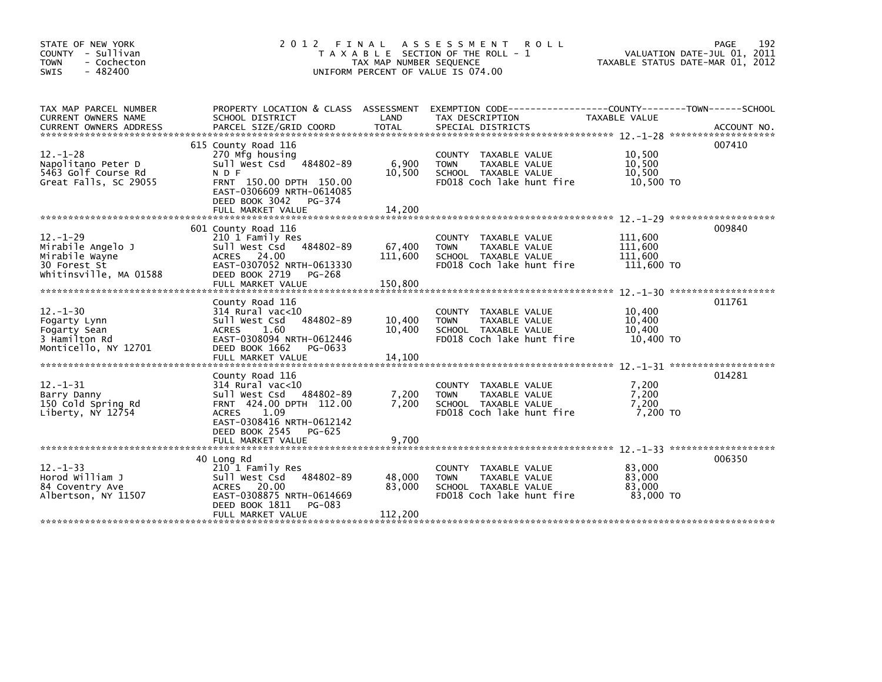| STATE OF NEW YORK<br>COUNTY - Sullivan<br>- Cochecton<br><b>TOWN</b><br>$-482400$<br><b>SWIS</b> | 2 0 1 2                                                                                                                                                                                    | FINAL<br>TAX MAP NUMBER SEQUENCE | A S S E S S M E N T<br><b>ROLL</b><br>T A X A B L E SECTION OF THE ROLL - 1<br>UNIFORM PERCENT OF VALUE IS 074.00 |                                             | 192<br>PAGE<br>VALUATION DATE-JUL 01, 2011<br>TAXABLE STATUS DATE-MAR 01, 2012 |
|--------------------------------------------------------------------------------------------------|--------------------------------------------------------------------------------------------------------------------------------------------------------------------------------------------|----------------------------------|-------------------------------------------------------------------------------------------------------------------|---------------------------------------------|--------------------------------------------------------------------------------|
| TAX MAP PARCEL NUMBER<br>CURRENT OWNERS NAME<br><b>CURRENT OWNERS ADDRESS</b>                    | PROPERTY LOCATION & CLASS ASSESSMENT<br>SCHOOL DISTRICT<br>PARCEL SIZE/GRID COORD                                                                                                          | LAND<br>TOTAL                    | EXEMPTION CODE-----------------COUNTY-------TOWN------SCHOOL<br>TAX DESCRIPTION<br>SPECIAL DISTRICTS              | TAXABLE VALUE                               | ACCOUNT NO.                                                                    |
| $12. - 1 - 28$<br>Napolitano Peter D<br>5463 Golf Course Rd<br>Great Falls, SC 29055             | 615 County Road 116<br>270 Mfg housing<br>Sull West Csd 484802-89<br>N D F<br>FRNT 150.00 DPTH 150.00<br>EAST-0306609 NRTH-0614085<br>DEED BOOK 3042<br>PG-374<br>FULL MARKET VALUE        | 6,900<br>10,500<br>14.200        | COUNTY TAXABLE VALUE<br>TAXABLE VALUE<br><b>TOWN</b><br>SCHOOL TAXABLE VALUE<br>FD018 Coch lake hunt fire         | 10,500<br>10,500<br>10.500<br>10,500 TO     | 007410                                                                         |
| $12. - 1 - 29$<br>Mirabile Angelo J<br>Mirabile Wayne<br>30 Forest St<br>Whitinsville, MA 01588  | 601 County Road 116<br>210 1 Family Res<br>484802-89<br>Sull West Csd<br>ACRES 24.00<br>EAST-0307052 NRTH-0613330<br>DEED BOOK 2719<br>PG-268<br>FULL MARKET VALUE                         | 67,400<br>111,600<br>150,800     | COUNTY TAXABLE VALUE<br><b>TOWN</b><br>TAXABLE VALUE<br>SCHOOL TAXABLE VALUE<br>FD018 Coch lake hunt fire         | 111,600<br>111,600<br>111,600<br>111,600 TO | 009840                                                                         |
| $12 - 1 - 30$<br>Fogarty Lynn<br>Fogarty Sean<br>3 Hamilton Rd<br>Monticello, NY 12701           | County Road 116<br>$314$ Rural vac<10<br>Sull West Csd<br>484802-89<br>1.60<br><b>ACRES</b><br>EAST-0308094 NRTH-0612446<br>DEED BOOK 1662<br>PG-0633<br>FULL MARKET VALUE                 | 10,400<br>10,400<br>14,100       | COUNTY TAXABLE VALUE<br><b>TOWN</b><br>TAXABLE VALUE<br>SCHOOL TAXABLE VALUE<br>FD018 Coch lake hunt fire         | 10,400<br>10,400<br>10,400<br>10,400 TO     | 011761                                                                         |
| $12. - 1 - 31$<br>Barry Danny<br>150 Cold Spring Rd<br>Liberty, NY 12754                         | County Road 116<br>$314$ Rural vac<10<br>Sull West Csd<br>484802-89<br>FRNT 424.00 DPTH 112.00<br>ACRES 1.09<br>EAST-0308416 NRTH-0612142<br>DEED BOOK 2545<br>PG-625<br>FULL MARKET VALUE | 7,200<br>7,200<br>9,700          | COUNTY TAXABLE VALUE<br>TAXABLE VALUE<br><b>TOWN</b><br>SCHOOL TAXABLE VALUE<br>FD018 Coch lake hunt fire         | 7,200<br>7,200<br>7,200<br>7,200 TO         | 014281                                                                         |
| $12. - 1 - 33$<br>Horod William J<br>84 Coventry Ave<br>Albertson, NY 11507                      | 40 Long Rd<br>210 1 Family Res<br>484802-89<br>Sull West Csd<br>ACRES 20.00<br>EAST-0308875 NRTH-0614669<br>DEED BOOK 1811<br>PG-083<br>FULL MARKET VALUE                                  | 48,000<br>83,000<br>112,200      | COUNTY TAXABLE VALUE<br>TAXABLE VALUE<br><b>TOWN</b><br>SCHOOL TAXABLE VALUE<br>FD018 Coch lake hunt fire         | 83,000<br>83,000<br>83,000<br>83,000 TO     | 006350                                                                         |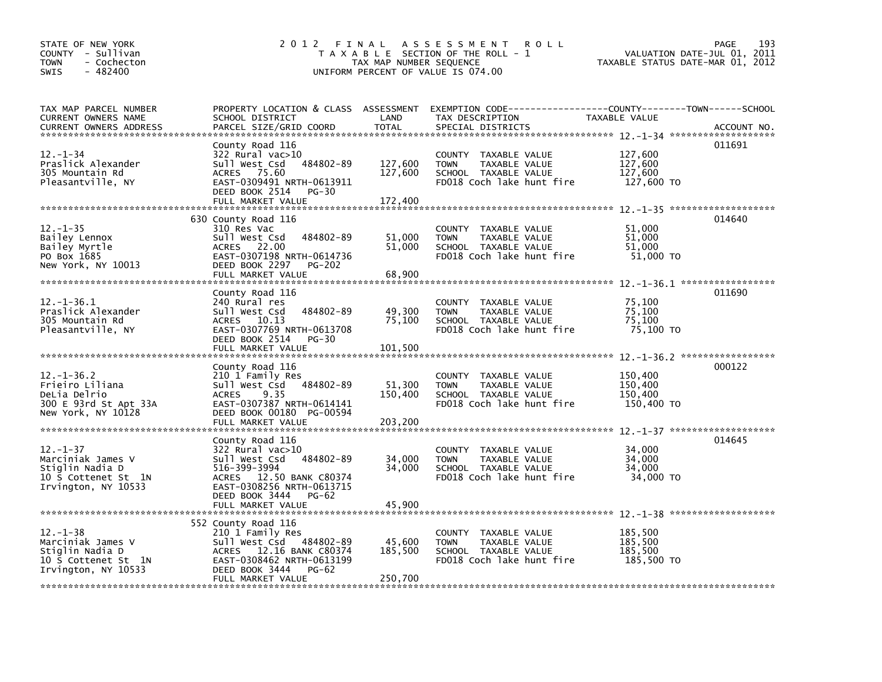| STATE OF NEW YORK<br>COUNTY - Sullivan<br><b>TOWN</b><br>- Cochecton<br>SWIS<br>$-482400$            | 2 0 1 2                                                                                                                                                                                   | TAX MAP NUMBER SEQUENCE       | FINAL ASSESSMENT<br><b>ROLL</b><br>T A X A B L E SECTION OF THE ROLL - 1<br>UNIFORM PERCENT OF VALUE IS 074.00 | TAXABLE STATUS DATE-MAR 01, 2012            | 193<br>PAGE<br>VALUATION DATE-JUL 01, 2011 |
|------------------------------------------------------------------------------------------------------|-------------------------------------------------------------------------------------------------------------------------------------------------------------------------------------------|-------------------------------|----------------------------------------------------------------------------------------------------------------|---------------------------------------------|--------------------------------------------|
| TAX MAP PARCEL NUMBER<br>CURRENT OWNERS NAME<br><b>CURRENT OWNERS ADDRESS</b>                        | PROPERTY LOCATION & CLASS ASSESSMENT<br>SCHOOL DISTRICT<br>PARCEL SIZE/GRID COORD                                                                                                         | LAND<br>TOTAL                 | EXEMPTION CODE-----------------COUNTY-------TOWN------SCHOOL<br>TAX DESCRIPTION<br>SPECIAL DISTRICTS           | TAXABLE VALUE                               | ACCOUNT NO.                                |
| $12 - 1 - 34$<br>Praslick Alexander<br>305 Mountain Rd<br>Pleasantville, NY                          | County Road 116<br>322 Rural vac>10<br>484802-89<br>Sull West Csd<br>ACRES 75.60<br>EAST-0309491 NRTH-0613911<br>DEED BOOK 2514<br>PG-30<br>FULL MARKET VALUE                             | 127,600<br>127,600<br>172,400 | COUNTY TAXABLE VALUE<br><b>TOWN</b><br>TAXABLE VALUE<br>SCHOOL TAXABLE VALUE<br>FD018 Coch lake hunt fire      | 127,600<br>127,600<br>127,600<br>127,600 TO | 011691                                     |
| $12. - 1 - 35$<br>Bailey Lennox<br>Bailey Myrtle<br>PO Box 1685<br>New York, NY 10013                | 630 County Road 116<br>310 Res Vac<br>484802-89<br>Sull West Csd<br>ACRES 22.00<br>EAST-0307198 NRTH-0614736<br>DEED BOOK 2297<br><b>PG-202</b><br>FULL MARKET VALUE                      | 51,000<br>51,000<br>68,900    | COUNTY TAXABLE VALUE<br>TAXABLE VALUE<br><b>TOWN</b><br>SCHOOL TAXABLE VALUE<br>FD018 Coch lake hunt fire      | 51,000<br>51,000<br>51,000<br>51,000 TO     | 014640                                     |
| 12.-1-36.1<br>Praslick Alexander<br>305 Mountain Rd<br>Pleasantville, NY                             | County Road 116<br>240 Rural res<br>Sull West Csd<br>484802-89<br>ACRES 10.13<br>EAST-0307769 NRTH-0613708<br>DEED BOOK 2514<br>$PG-30$<br>FULL MARKET VALUE                              | 49,300<br>75,100<br>101,500   | COUNTY TAXABLE VALUE<br>TAXABLE VALUE<br><b>TOWN</b><br>SCHOOL TAXABLE VALUE<br>FD018 Coch lake hunt fire      | 75,100<br>75,100<br>75,100<br>75,100 TO     | 011690                                     |
| $12. - 1 - 36.2$<br>Frieiro Liliana<br>DeLia Delrio<br>300 E 93rd St Apt 33A<br>New York, NY 10128   | County Road 116<br>210 1 Family Res<br>Sull West Csd 484802-89<br><b>ACRES</b><br>9.35<br>EAST-0307387 NRTH-0614141<br>DEED BOOK 00180 PG-00594<br>FULL MARKET VALUE                      | 51,300<br>150,400<br>203,200  | COUNTY TAXABLE VALUE<br>TAXABLE VALUE<br><b>TOWN</b><br>SCHOOL TAXABLE VALUE<br>FD018 Coch lake hunt fire      | 150,400<br>150,400<br>150,400<br>150,400 TO | 000122                                     |
| $12. - 1 - 37$<br>Marciniak James V<br>Stiglin Nadia D<br>10 S Cottenet St 1N<br>Irvington, NY 10533 | County Road 116<br>322 Rural vac>10<br>Sull West Csd<br>484802-89<br>516-399-3994<br>ACRES 12.50 BANK C80374<br>EAST-0308256 NRTH-0613715<br>DEED BOOK 3444<br>PG-62<br>FULL MARKET VALUE | 34,000<br>34,000<br>45,900    | COUNTY TAXABLE VALUE<br>TAXABLE VALUE<br><b>TOWN</b><br>SCHOOL TAXABLE VALUE<br>FD018 Coch lake hunt fire      | 34,000<br>34,000<br>34,000<br>34,000 TO     | 014645                                     |
| $12.-1-38$<br>Marciniak James V<br>Stiglin Nadia D<br>10 S Cottenet St 1N<br>Irvington, NY 10533     | 552 County Road 116<br>210 1 Family Res<br>Sull West Csd<br>484802-89<br>ACRES 12.16 BANK C80374<br>EAST-0308462 NRTH-0613199<br>DEED BOOK 3444<br><b>PG-62</b><br>FULL MARKET VALUE      | 45,600<br>185,500<br>250,700  | COUNTY TAXABLE VALUE<br>TAXABLE VALUE<br><b>TOWN</b><br>SCHOOL TAXABLE VALUE<br>FD018 Coch lake hunt fire      | 185,500<br>185,500<br>185,500<br>185,500 TO |                                            |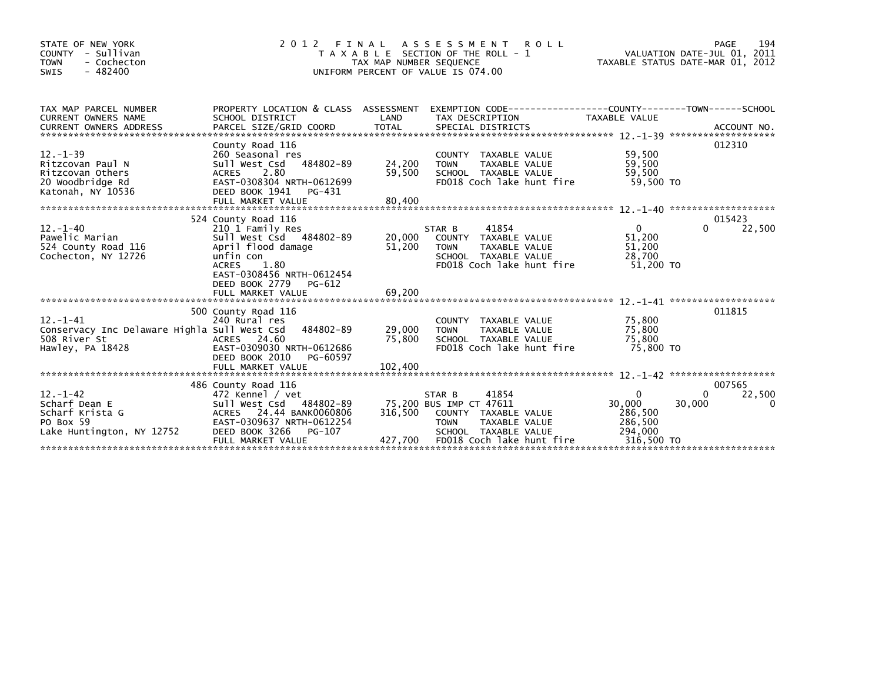| STATE OF NEW YORK<br>COUNTY - Sullivan<br><b>TOWN</b><br>- Cochecton<br>$-482400$<br><b>SWIS</b> | 2012 FINAL                                                                                                         | T A X A B L E SECTION OF THE ROLL - 1<br>TAX MAP NUMBER SEQUENCE<br>UNIFORM PERCENT OF VALUE IS 074.00 | ASSESSMENT ROLL         |                                       |                           | VALUATION DATE-JUL 01, 2011<br>TAXABLE STATUS DATE-MAR 01, 2012 |        | 194<br>PAGE        |
|--------------------------------------------------------------------------------------------------|--------------------------------------------------------------------------------------------------------------------|--------------------------------------------------------------------------------------------------------|-------------------------|---------------------------------------|---------------------------|-----------------------------------------------------------------|--------|--------------------|
| TAX MAP PARCEL NUMBER<br>CURRENT OWNERS NAME                                                     | PROPERTY LOCATION & CLASS ASSESSMENT EXEMPTION CODE----------------COUNTY-------TOWN-----SCHOOL<br>SCHOOL DISTRICT | LAND                                                                                                   | TAX DESCRIPTION         |                                       |                           | TAXABLE VALUE                                                   |        |                    |
|                                                                                                  |                                                                                                                    |                                                                                                        |                         |                                       |                           |                                                                 |        |                    |
|                                                                                                  | County Road 116                                                                                                    |                                                                                                        |                         |                                       |                           |                                                                 |        | 012310             |
| $12 - 1 - 39$<br>Ritzcovan Paul N                                                                | 260 Seasonal res<br>Sull West Csd 484802-89                                                                        | 24,200                                                                                                 | <b>TOWN</b>             | COUNTY TAXABLE VALUE<br>TAXABLE VALUE |                           | 59,500<br>59,500                                                |        |                    |
| Ritzcovan Others                                                                                 | <b>ACRES</b><br>2.80                                                                                               | 59,500                                                                                                 |                         | SCHOOL TAXABLE VALUE                  |                           | 59,500                                                          |        |                    |
| 20 Woodbridge Rd<br>Katonah, NY 10536                                                            | EAST-0308304 NRTH-0612699<br>DEED BOOK 1941<br>PG-431                                                              |                                                                                                        |                         |                                       | FD018 Coch lake hunt fire | 59.500 TO                                                       |        |                    |
|                                                                                                  | FULL MARKET VALUE                                                                                                  | 80,400                                                                                                 |                         |                                       |                           |                                                                 |        |                    |
|                                                                                                  | 524 County Road 116                                                                                                |                                                                                                        |                         |                                       |                           |                                                                 |        | 015423             |
| $12 - 1 - 40$                                                                                    | 210 1 Family Res                                                                                                   |                                                                                                        | STAR B                  | 41854                                 |                           | $\mathbf{0}$                                                    | 0      | 22,500             |
| Pawelic Marian                                                                                   | Sull West Csd 484802-89                                                                                            | 20,000                                                                                                 |                         | COUNTY TAXABLE VALUE                  |                           | 51,200                                                          |        |                    |
| 524 County Road 116                                                                              | April flood damage                                                                                                 | 51,200                                                                                                 | <b>TOWN</b>             | TAXABLE VALUE                         |                           | 51,200                                                          |        |                    |
| Cochecton, NY 12726                                                                              | unfin con                                                                                                          |                                                                                                        |                         | SCHOOL TAXABLE VALUE                  |                           | 28,700                                                          |        |                    |
|                                                                                                  | 1.80<br><b>ACRES</b><br>EAST-0308456 NRTH-0612454                                                                  |                                                                                                        |                         |                                       | FD018 Coch lake hunt fire | 51,200 TO                                                       |        |                    |
|                                                                                                  | DEED BOOK 2779<br>PG-612                                                                                           |                                                                                                        |                         |                                       |                           |                                                                 |        |                    |
|                                                                                                  | FULL MARKET VALUE                                                                                                  | 69,200                                                                                                 |                         |                                       |                           |                                                                 |        |                    |
|                                                                                                  |                                                                                                                    |                                                                                                        |                         |                                       |                           |                                                                 |        |                    |
|                                                                                                  | 500 County Road 116                                                                                                |                                                                                                        |                         |                                       |                           |                                                                 |        | 011815             |
| $12 - 1 - 41$<br>Conservacy Inc Delaware Highla Sull West Csd                                    | 240 Rural res<br>484802-89                                                                                         | 29,000                                                                                                 | <b>TOWN</b>             | COUNTY TAXABLE VALUE<br>TAXABLE VALUE |                           | 75,800<br>75,800                                                |        |                    |
| 508 River St                                                                                     | ACRES 24.60                                                                                                        | 75,800                                                                                                 |                         | SCHOOL TAXABLE VALUE                  |                           | 75,800                                                          |        |                    |
| Hawley, PA 18428                                                                                 | EAST-0309030 NRTH-0612686                                                                                          |                                                                                                        |                         |                                       | FD018 Coch lake hunt fire | 75,800 TO                                                       |        |                    |
|                                                                                                  | DEED BOOK 2010<br>PG-60597                                                                                         |                                                                                                        |                         |                                       |                           |                                                                 |        |                    |
|                                                                                                  |                                                                                                                    |                                                                                                        |                         |                                       |                           |                                                                 |        |                    |
|                                                                                                  |                                                                                                                    |                                                                                                        |                         |                                       |                           |                                                                 |        |                    |
| $12. - 1 - 42$                                                                                   | 486 County Road 116<br>472 Kennel / vet                                                                            |                                                                                                        | STAR B                  | 41854                                 |                           | $\mathbf{0}$                                                    | 0      | 007565             |
| Scharf Dean E                                                                                    | Sull West Csd 484802-89                                                                                            |                                                                                                        | 75,200 BUS IMP CT 47611 |                                       |                           | 30,000                                                          | 30,000 | 22,500<br>$\Omega$ |
| Scharf Krista G                                                                                  | ACRES 24.44 BANK0060806                                                                                            | 316.500                                                                                                |                         | COUNTY TAXABLE VALUE                  |                           | 286,500                                                         |        |                    |
| PO Box 59                                                                                        | EAST-0309637 NRTH-0612254                                                                                          |                                                                                                        | <b>TOWN</b>             | TAXABLE VALUE                         |                           | 286,500                                                         |        |                    |
| Lake Huntington, NY 12752                                                                        | DEED BOOK 3266<br>PG-107                                                                                           |                                                                                                        |                         | SCHOOL TAXABLE VALUE                  |                           | 294,000                                                         |        |                    |
|                                                                                                  | FULL MARKET VALUE                                                                                                  | 427,700                                                                                                |                         |                                       | FD018 Coch lake hunt fire | 316,500 TO                                                      |        |                    |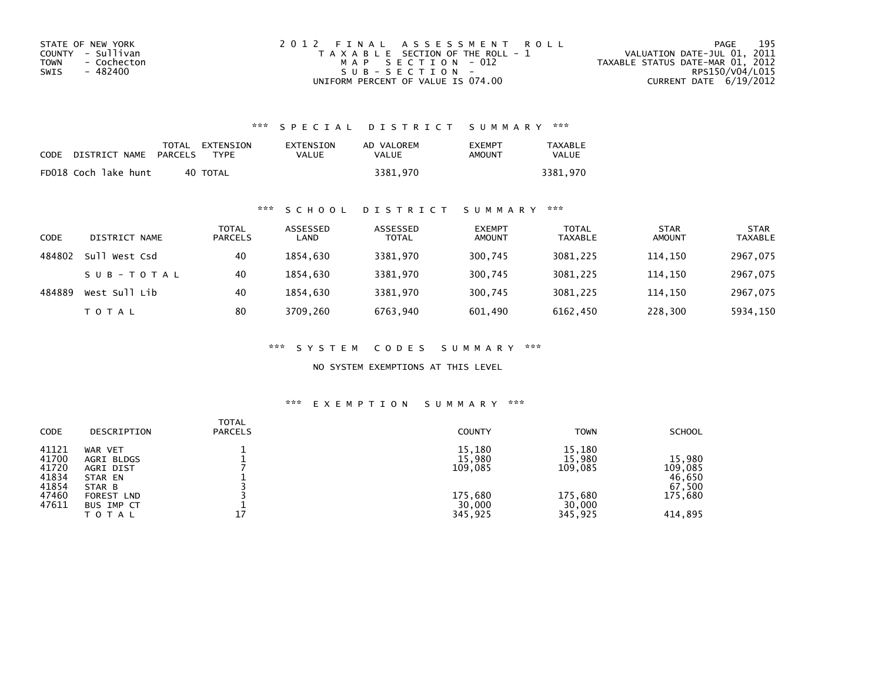| STATE OF NEW YORK   | 2012 FINAL ASSESSMENT ROLL            | 195<br>PAGE                      |
|---------------------|---------------------------------------|----------------------------------|
| COUNTY - Sullivan   | T A X A B L E SECTION OF THE ROLL - 1 | VALUATION DATE-JUL 01, 2011      |
| - Cochecton<br>TOWN | MAP SECTION - 012                     | TAXABLE STATUS DATE-MAR 01, 2012 |
| - 482400<br>SWIS    | SUB-SECTION-                          | RPS150/V04/L015                  |
|                     | UNIFORM PERCENT OF VALUE IS 074.00    | CURRENT DATE 6/19/2012           |

## \*\*\* S P E C I A L D I S T R I C T S U M M A R Y \*\*\*

| CODE | DISTRICT NAME        | PARCELS | TOTAL EXTENSION<br><b>TYPF</b> | EXTENSION<br>VALUE | AD VALOREM<br>VALUE | EXEMPT<br>AMOUNT | <b>TAXABLE</b><br>VALUE |
|------|----------------------|---------|--------------------------------|--------------------|---------------------|------------------|-------------------------|
|      | FD018 Coch lake hunt |         | 40 TOTAL                       |                    | 3381.970            |                  | 3381.970                |

### \*\*\* S C H O O L D I S T R I C T S U M M A R Y \*\*\*

| <b>CODE</b> | DISTRICT NAME    | TOTAL<br><b>PARCELS</b> | ASSESSED<br>LAND | ASSESSED<br><b>TOTAL</b> | <b>EXEMPT</b><br><b>AMOUNT</b> | <b>TOTAL</b><br><b>TAXABLE</b> | <b>STAR</b><br><b>AMOUNT</b> | <b>STAR</b><br><b>TAXABLE</b> |
|-------------|------------------|-------------------------|------------------|--------------------------|--------------------------------|--------------------------------|------------------------------|-------------------------------|
| 484802      | Sull<br>West Csd | 40                      | 1854.630         | 3381.970                 | 300,745                        | 3081.225                       | 114.150                      | 2967,075                      |
|             | SUB-TOTAL        | 40                      | 1854.630         | 3381,970                 | 300,745                        | 3081,225                       | 114,150                      | 2967,075                      |
| 484889      | West Sull Lib    | 40                      | 1854.630         | 3381.970                 | 300,745                        | 3081.225                       | 114.150                      | 2967,075                      |
|             | <b>TOTAL</b>     | 80                      | 3709.260         | 6763,940                 | 601,490                        | 6162,450                       | 228,300                      | 5934,150                      |

\*\*\* S Y S T E M C O D E S S U M M A R Y \*\*\*

NO SYSTEM EXEMPTIONS AT THIS LEVEL

## \*\*\* E X E M P T I O N S U M M A R Y \*\*\*

| <b>CODE</b>                                                 | DESCRIPTION                                                                                                | <b>TOTAL</b><br><b>PARCELS</b> | <b>COUNTY</b>                                               | <b>TOWN</b>                                                 | <b>SCHOOL</b>                                               |
|-------------------------------------------------------------|------------------------------------------------------------------------------------------------------------|--------------------------------|-------------------------------------------------------------|-------------------------------------------------------------|-------------------------------------------------------------|
| 41121<br>41700<br>41720<br>41834<br>41854<br>47460<br>47611 | WAR VET<br>AGRI BLDGS<br>AGRI DIST<br>STAR EN<br>STAR B<br><b>FOREST LND</b><br>BUS IMP CT<br><b>TOTAL</b> | 17                             | 15,180<br>15,980<br>109,085<br>175,680<br>30,000<br>345,925 | 15,180<br>15,980<br>109,085<br>175,680<br>30,000<br>345,925 | 15,980<br>109,085<br>46,650<br>67,500<br>175,680<br>414,895 |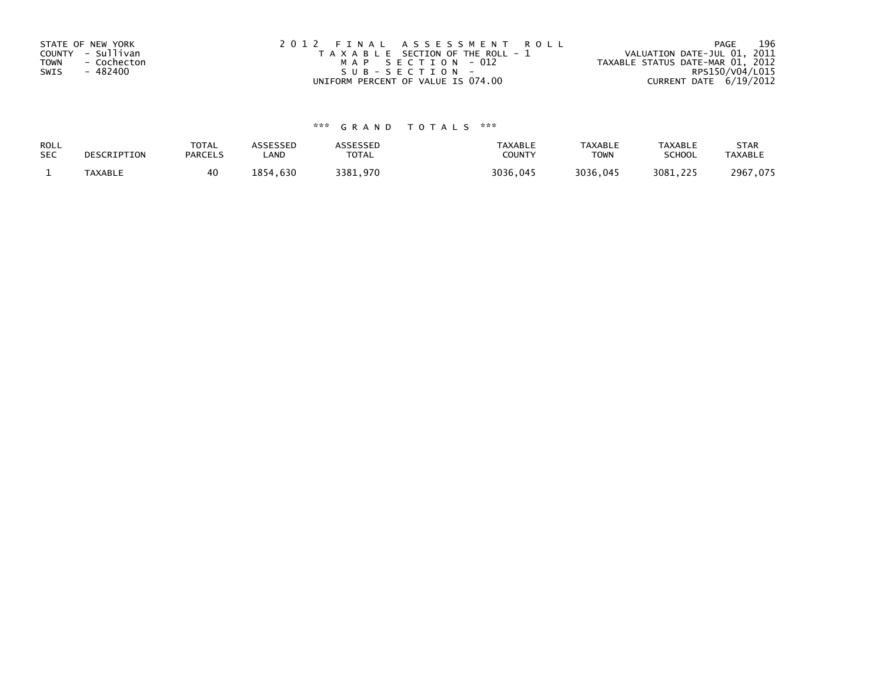| STATE OF NEW YORK          | 2012 FINAL ASSESSMENT ROLL            | 196<br>PAGE                      |
|----------------------------|---------------------------------------|----------------------------------|
| COUNTY - Sullivan          | T A X A B L E SECTION OF THE ROLL - 1 | VALUATION DATE-JUL 01, 2011      |
| <b>TOWN</b><br>- Cochecton | MAP SECTION - 012                     | TAXABLE STATUS DATE-MAR 01, 2012 |
| - 482400<br>SWIS           | SUB-SECTION-                          | RPS150/V04/L015                  |
|                            | UNIFORM PERCENT OF VALUE IS 074.00    | CURRENT DATE 6/19/2012           |

# \*\*\* G R A N D T O T A L S \*\*\*

| ROLL       | DESCRIPTION    | <b>TOTAL</b>   | ASSESSED | ASSESSED | <b>TAXABLE</b> | <b>TAXABLE</b> | <b>TAXABLE</b> | <b>STAR</b>    |
|------------|----------------|----------------|----------|----------|----------------|----------------|----------------|----------------|
| <b>SEC</b> |                | <b>PARCELS</b> | LAND     | TOTAL    | <b>COUNTY</b>  | <b>TOWN</b>    | <b>SCHOOL</b>  | <b>TAXABLE</b> |
|            | <b>TAXABLE</b> | 40             | 1854.630 | 3381.970 | 3036.045       | 3036,045       | 3081.225       | 2967,075       |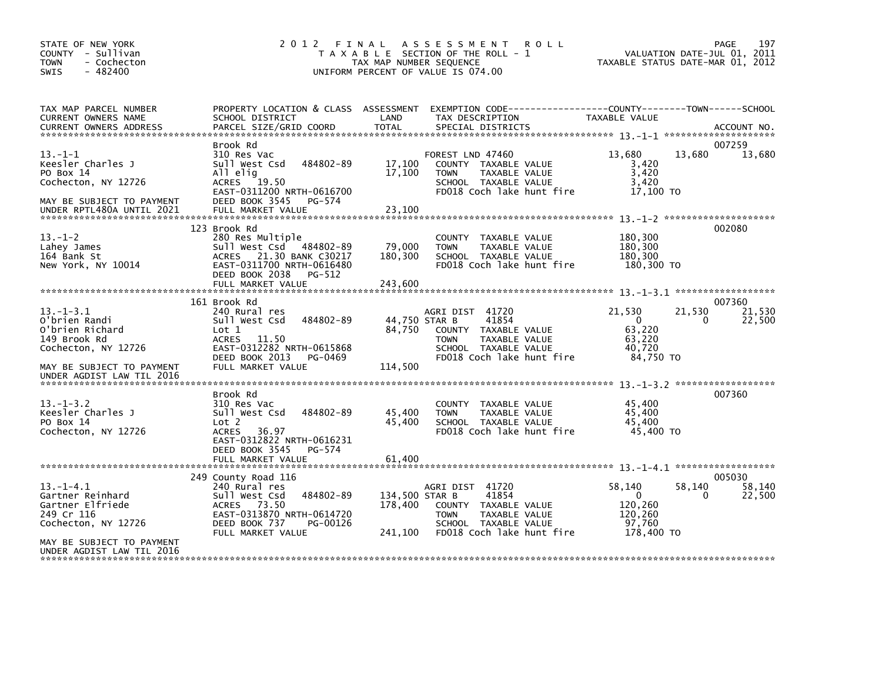| STATE OF NEW YORK<br>COUNTY - Sullivan<br>- Cochecton<br><b>TOWN</b><br>$-482400$<br><b>SWIS</b>                                                   | 2012 FINAL                                                                                                                                                                 | TAX MAP NUMBER SEQUENCE              | A S S E S S M E N T<br><b>ROLL</b><br>T A X A B L E SECTION OF THE ROLL - 1<br>UNIFORM PERCENT OF VALUE IS 074.00                     |                                                                      | PAGE<br>197<br>VALUATION DATE-JUL 01, 2011<br>TAXABLE STATUS DATE-MAR 01, 2012 |
|----------------------------------------------------------------------------------------------------------------------------------------------------|----------------------------------------------------------------------------------------------------------------------------------------------------------------------------|--------------------------------------|---------------------------------------------------------------------------------------------------------------------------------------|----------------------------------------------------------------------|--------------------------------------------------------------------------------|
| TAX MAP PARCEL NUMBER<br>CURRENT OWNERS NAME                                                                                                       | PROPERTY LOCATION & CLASS ASSESSMENT<br>SCHOOL DISTRICT                                                                                                                    | LAND                                 | TAX DESCRIPTION                                                                                                                       | TAXABLE VALUE                                                        |                                                                                |
| $13 - 1 - 1$<br>Keesler Charles J<br>PO Box 14<br>Cochecton, NY 12726<br>MAY BE SUBJECT TO PAYMENT<br>UNDER RPTL480A UNTIL 2021                    | Brook Rd<br>310 Res Vac<br>484802-89<br>Sull West Csd<br>All elig<br>ACRES 19.50<br>EAST-0311200 NRTH-0616700<br>DEED BOOK 3545<br>PG-574<br>FULL MARKET VALUE             | 17,100<br>17,100<br>23,100           | FOREST LND 47460<br>COUNTY TAXABLE VALUE<br>TAXABLE VALUE<br><b>TOWN</b><br>SCHOOL TAXABLE VALUE<br>FD018 Coch lake hunt fire         | 13,680<br>3,420<br>3,420<br>3,420<br>17.100 TO                       | 007259<br>13,680<br>13,680                                                     |
| $13.-1-2$<br>Lahey James<br>164 Bank St<br>New York, NY 10014                                                                                      | 123 Brook Rd<br>280 Res Multiple<br>Sull West Csd 484802-89<br>ACRES 21.30 BANK C30217<br>EAST-0311700 NRTH-0616480<br>DEED BOOK 2038<br>PG-512                            | 79,000<br>180,300                    | COUNTY TAXABLE VALUE<br><b>TOWN</b><br>TAXABLE VALUE<br>SCHOOL TAXABLE VALUE<br>FD018 Coch lake hunt fire                             | 180,300<br>180,300<br>180,300<br>180,300 TO                          | 002080                                                                         |
|                                                                                                                                                    | FULL MARKET VALUE                                                                                                                                                          | 243,600                              |                                                                                                                                       |                                                                      |                                                                                |
| $13 - 1 - 3.1$<br>O'brien Randi<br>O'brien Richard<br>149 Brook Rd<br>Cochecton, NY 12726<br>MAY BE SUBJECT TO PAYMENT                             | 161 Brook Rd<br>240 Rural res<br>484802-89<br>Sull West Csd<br>Lot 1<br>11.50<br>ACRES<br>EAST-0312282 NRTH-0615868<br>PG-0469<br>DEED BOOK 2013<br>FULL MARKET VALUE      | 44,750 STAR B<br>84,750<br>114,500   | AGRI DIST 41720<br>41854<br>COUNTY TAXABLE VALUE<br>TAXABLE VALUE<br><b>TOWN</b><br>SCHOOL TAXABLE VALUE<br>FD018 Coch lake hunt fire | 21,530<br>$\overline{0}$<br>63,220<br>63,220<br>40,720<br>84,750 TO  | 007360<br>21,530<br>21,530<br>22,500<br>0                                      |
| UNDER AGDIST LAW TIL 2016                                                                                                                          |                                                                                                                                                                            |                                      |                                                                                                                                       |                                                                      |                                                                                |
| $13.-1-3.2$<br>Keesler Charles J<br>PO Box 14<br>Cochecton, NY 12726                                                                               | Brook Rd<br>310 Res Vac<br>484802-89<br>Sull West Csd<br>Lot <sub>2</sub><br>36.97<br>ACRES<br>EAST-0312822 NRTH-0616231                                                   | 45,400<br>45,400                     | COUNTY TAXABLE VALUE<br>TAXABLE VALUE<br><b>TOWN</b><br>SCHOOL TAXABLE VALUE<br>FD018 Coch lake hunt fire                             | 45,400<br>45,400<br>45,400<br>45,400 TO                              | 007360                                                                         |
|                                                                                                                                                    | DEED BOOK 3545<br>PG-574<br>FULL MARKET VALUE                                                                                                                              | 61.400                               |                                                                                                                                       |                                                                      |                                                                                |
| $13.-1-4.1$<br>Gartner Reinhard<br>Gartner Elfriede<br>249 Cr 116<br>Cochecton, NY 12726<br>MAY BE SUBJECT TO PAYMENT<br>UNDER AGDIST LAW TIL 2016 | 249 County Road 116<br>240 Rural res<br>484802-89<br>Sull West Csd<br>73.50<br><b>ACRES</b><br>EAST-0313870 NRTH-0614720<br>DEED BOOK 737<br>PG-00126<br>FULL MARKET VALUE | 134,500 STAR B<br>178,400<br>241,100 | AGRI DIST 41720<br>41854<br>COUNTY TAXABLE VALUE<br>TAXABLE VALUE<br><b>TOWN</b><br>SCHOOL TAXABLE VALUE<br>FD018 Coch lake hunt fire | 58,140<br>$\mathbf{0}$<br>120,260<br>120,260<br>97.760<br>178,400 TO | 005030<br>58,140<br>58,140<br>0<br>22,500                                      |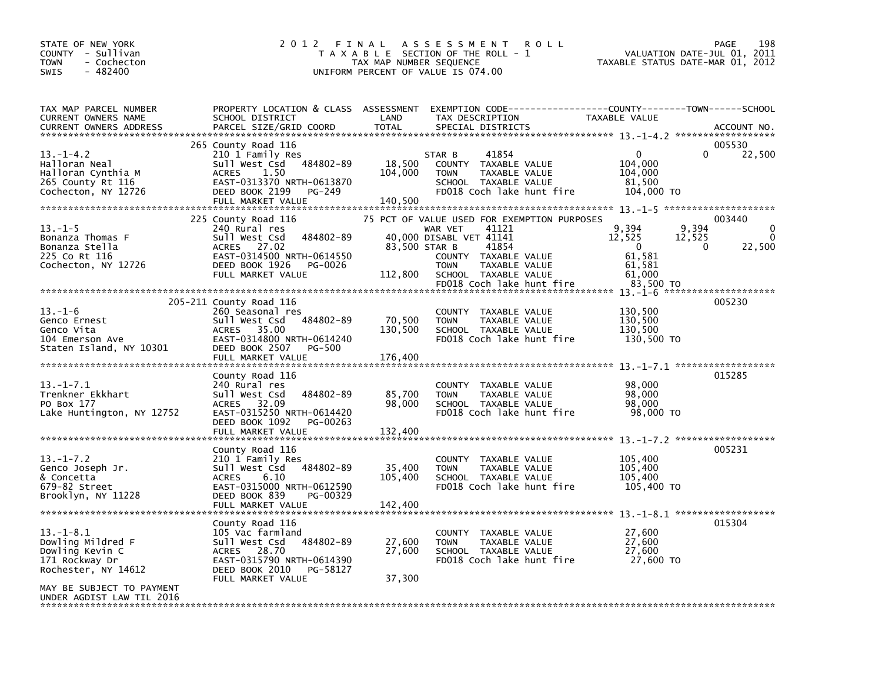| STATE OF NEW YORK<br>COUNTY - Sullivan<br>- Cochecton<br><b>TOWN</b><br>$-482400$<br>SWIS                                 | 2 0 1 2<br>FINAL                                                                                                                                                         | TAX MAP NUMBER SEQUENCE      | A S S E S S M E N T<br><b>ROLL</b><br>T A X A B L E SECTION OF THE ROLL - 1<br>UNIFORM PERCENT OF VALUE IS 074.00                                                                                                | VALUATION DATE-JUL 01,<br>TAXABLE STATUS DATE-MAR 01, 2012                                | PAGE<br>198<br>2011                           |
|---------------------------------------------------------------------------------------------------------------------------|--------------------------------------------------------------------------------------------------------------------------------------------------------------------------|------------------------------|------------------------------------------------------------------------------------------------------------------------------------------------------------------------------------------------------------------|-------------------------------------------------------------------------------------------|-----------------------------------------------|
| TAX MAP PARCEL NUMBER<br>CURRENT OWNERS NAME<br><b>CURRENT OWNERS ADDRESS</b>                                             | PROPERTY LOCATION & CLASS ASSESSMENT<br>SCHOOL DISTRICT<br>PARCEL SIZE/GRID COORD                                                                                        | LAND<br><b>TOTAL</b>         | EXEMPTION CODE-----------------COUNTY-------TOWN------SCHOOL<br>TAX DESCRIPTION<br>SPECIAL DISTRICTS                                                                                                             | TAXABLE VALUE                                                                             | ACCOUNT NO.                                   |
| $13. -1 - 4.2$<br>Halloran Neal<br>Halloran Cynthia M<br>265 County Rt 116<br>Cochecton, NY 12726                         | 265 County Road 116<br>210 1 Family Res<br>Sull West Csd 484802-89<br>1.50<br><b>ACRES</b><br>EAST-0313370 NRTH-0613870<br>DEED BOOK 2199<br>PG-249                      | 18,500<br>104,000            | 41854<br>STAR B<br>COUNTY TAXABLE VALUE<br>TAXABLE VALUE<br><b>TOWN</b><br>SCHOOL TAXABLE VALUE<br>FD018 Coch lake hunt fire                                                                                     | $\mathbf{0}$<br>104,000<br>104,000<br>81,500<br>104,000 TO                                | 005530<br>$\Omega$<br>22,500                  |
| $13. - 1 - 5$<br>Bonanza Thomas F<br>Bonanza Stella<br>225 Co Rt 116<br>Cochecton, NY 12726                               | 225 County Road 116<br>240 Rural res<br>Sull West Csd<br>484802-89<br>ACRES 27.02<br>EAST-0314500 NRTH-0614550<br>DEED BOOK 1926<br>PG-0026<br>FULL MARKET VALUE         | 83,500 STAR B<br>112,800     | 75 PCT OF VALUE USED FOR EXEMPTION PURPOSES<br>41121<br>WAR VET<br>40,000 DISABL VET 41141<br>41854<br>COUNTY TAXABLE VALUE<br><b>TOWN</b><br>TAXABLE VALUE<br>SCHOOL TAXABLE VALUE<br>FD018 Coch lake hunt fire | 9,394<br>9,394<br>12,525<br>12,525<br>$\Omega$<br>61,581<br>61,581<br>61,000<br>83.500 TO | 003440<br>$\Omega$<br>$\Omega$<br>0<br>22,500 |
| $13. - 1 - 6$<br>Genco Ernest<br>Genco Vita<br>104 Emerson Ave<br>Staten Island, NY 10301                                 | 205-211 County Road 116<br>260 Seasonal res<br>Sull West Csd 484802-89<br>ACRES 35.00<br>EAST-0314800 NRTH-0614240<br>DEED BOOK 2507<br>PG-500<br>FULL MARKET VALUE      | 70,500<br>130.500<br>176,400 | <b>COUNTY</b><br>TAXABLE VALUE<br><b>TOWN</b><br>TAXABLE VALUE<br>SCHOOL TAXABLE VALUE<br>FD018 Coch lake hunt fire                                                                                              | 130,500<br>130,500<br>130,500<br>130,500 TO                                               | 005230                                        |
| $13 - 1 - 7.1$<br>Trenkner Ekkhart<br>PO Box 177<br>Lake Huntington, NY 12752                                             | County Road 116<br>240 Rural res<br>Sull West Csd<br>484802-89<br>ACRES 32.09<br>EAST-0315250 NRTH-0614420<br>DEED BOOK 1092<br>PG-00263<br>FULL MARKET VALUE            | 85,700<br>98,000<br>132,400  | <b>COUNTY</b><br>TAXABLE VALUE<br>TAXABLE VALUE<br><b>TOWN</b><br>SCHOOL TAXABLE VALUE<br>FD018 Coch lake hunt fire                                                                                              | 98,000<br>98,000<br>98,000<br>98,000 TO                                                   | 015285                                        |
| $13. - 1 - 7.2$<br>Genco Joseph Jr.<br>& Concetta<br>679-82 Street<br>Brooklyn, NY 11228                                  | County Road 116<br>210 1 Family Res<br>Sull West Csd<br>484802-89<br>6.10<br><b>ACRES</b><br>EAST-0315000 NRTH-0612590<br>DEED BOOK 839<br>PG-00329<br>FULL MARKET VALUE | 35,400<br>105,400<br>142,400 | <b>COUNTY</b><br>TAXABLE VALUE<br>TAXABLE VALUE<br><b>TOWN</b><br>SCHOOL TAXABLE VALUE<br>FD018 Coch lake hunt fire                                                                                              | 105,400<br>105.400<br>105,400<br>105,400 TO                                               | 005231                                        |
| $13.-1-8.1$<br>Dowling Mildred F<br>Dowling Kevin C<br>171 Rockway Dr<br>Rochester, NY 14612<br>MAY BE SUBJECT TO PAYMENT | County Road 116<br>105 Vac farmland<br>Sull West Csd<br>484802-89<br>ACRES 28.70<br>EAST-0315790 NRTH-0614390<br>DEED BOOK 2010<br>PG-58127<br>FULL MARKET VALUE         | 27,600<br>27,600<br>37,300   | <b>COUNTY</b><br>TAXABLE VALUE<br>TAXABLE VALUE<br><b>TOWN</b><br>SCHOOL TAXABLE VALUE<br>FD018 Coch lake hunt fire                                                                                              | 27,600<br>27,600<br>27,600<br>27,600 TO                                                   | 015304                                        |
| UNDER AGDIST LAW TIL 2016                                                                                                 |                                                                                                                                                                          |                              |                                                                                                                                                                                                                  |                                                                                           |                                               |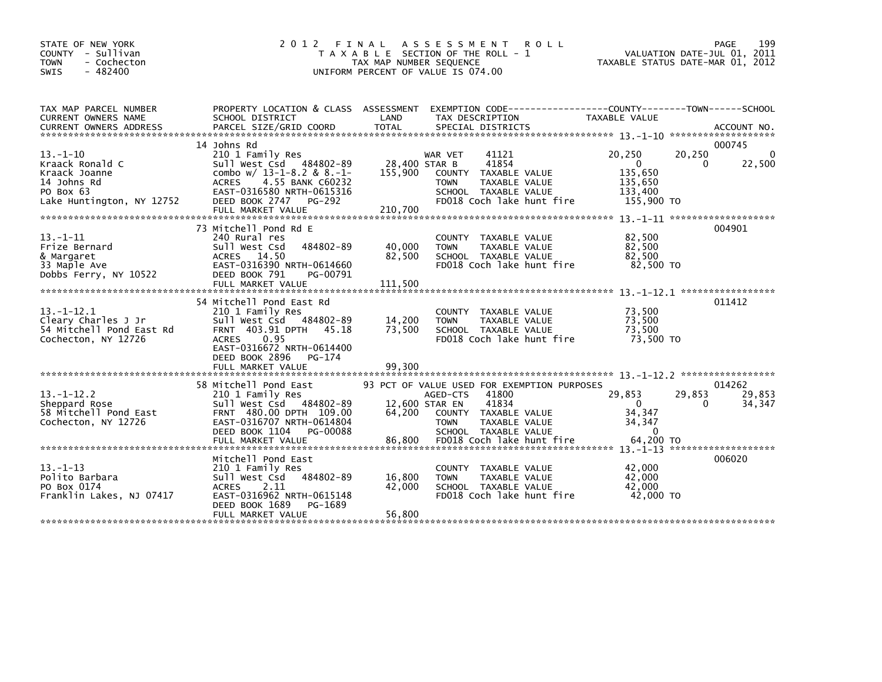| STATE OF NEW YORK<br>COUNTY - Sullivan<br>- Cochecton<br><b>TOWN</b><br>$-482400$<br><b>SWIS</b>           | 2 0 1 2                                                                                                                                                                                                 | FINAL<br>TAX MAP NUMBER SEQUENCE   | A S S E S S M E N T<br><b>ROLL</b><br>T A X A B L E SECTION OF THE ROLL - 1<br>UNIFORM PERCENT OF VALUE IS 074.00                                                                      |                                                                     | 199<br>PAGE<br>VALUATION DATE-JUL 01, 2011<br>TAXABLE STATUS DATE-MAR 01, 2012 |
|------------------------------------------------------------------------------------------------------------|---------------------------------------------------------------------------------------------------------------------------------------------------------------------------------------------------------|------------------------------------|----------------------------------------------------------------------------------------------------------------------------------------------------------------------------------------|---------------------------------------------------------------------|--------------------------------------------------------------------------------|
| TAX MAP PARCEL NUMBER<br><b>CURRENT OWNERS NAME</b>                                                        | PROPERTY LOCATION & CLASS ASSESSMENT<br>SCHOOL DISTRICT                                                                                                                                                 | LAND                               | TAX DESCRIPTION                                                                                                                                                                        | <b>TAXABLE VALUE</b>                                                |                                                                                |
|                                                                                                            |                                                                                                                                                                                                         |                                    |                                                                                                                                                                                        |                                                                     |                                                                                |
| $13 - 1 - 10$<br>Kraack Ronald C<br>Kraack Joanne<br>14 Johns Rd<br>PO Box 63<br>Lake Huntington, NY 12752 | 14 Johns Rd<br>210 1 Family Res<br>Sull West Csd 484802-89<br>combo $w/$ 13-1-8.2 & 8.-1-<br><b>ACRES</b><br>4.55 BANK C60232<br>EAST-0316580 NRTH-0615316<br>DEED BOOK 2747<br>PG-292                  | 28,400 STAR B<br>155,900           | 41121<br>WAR VET<br>41854<br>COUNTY TAXABLE VALUE<br><b>TOWN</b><br>TAXABLE VALUE<br>SCHOOL TAXABLE VALUE<br>FD018 Coch lake hunt fire                                                 | 20,250<br>$\Omega$<br>135,650<br>135,650<br>133,400<br>155,900 TO   | 000745<br>20,250<br>$\mathbf{0}$<br>22,500<br>$\Omega$                         |
|                                                                                                            | FULL MARKET VALUE                                                                                                                                                                                       | 210.700                            |                                                                                                                                                                                        |                                                                     |                                                                                |
| $13 - 1 - 11$<br>Frize Bernard<br>& Margaret<br>33 Maple Ave<br>Dobbs Ferry, NY 10522                      | 73 Mitchell Pond Rd E<br>240 Rural res<br>Sull West Csd<br>484802-89<br>ACRES 14.50<br>EAST-0316390 NRTH-0614660<br>DEED BOOK 791<br>PG-00791<br>FULL MARKET VALUE                                      | 40,000<br>82.500<br>111,500        | <b>COUNTY</b><br>TAXABLE VALUE<br><b>TOWN</b><br>TAXABLE VALUE<br>SCHOOL TAXABLE VALUE<br>FD018 Coch lake hunt fire                                                                    | 82,500<br>82,500<br>82.500<br>82,500 TO                             | 004901                                                                         |
| $13. -1 - 12.1$<br>Cleary Charles J Jr<br>54 Mitchell Pond East Rd<br>Cochecton, NY 12726                  | 54 Mitchell Pond East Rd<br>210 1 Family Res<br>Sull West Csd 484802-89<br>FRNT 403.91 DPTH 45.18<br>0.95<br><b>ACRES</b><br>EAST-0316672 NRTH-0614400<br>DEED BOOK 2896<br>PG-174<br>FULL MARKET VALUE | 14,200<br>73,500<br>99.300         | <b>COUNTY</b><br>TAXABLE VALUE<br>TAXABLE VALUE<br><b>TOWN</b><br>SCHOOL TAXABLE VALUE<br>FD018 Coch lake hunt fire                                                                    | 73,500<br>73.500<br>73,500<br>73.500 TO                             | 011412                                                                         |
| $13 - 1 - 12.2$<br>Sheppard Rose<br>58 Mitchell Pond East<br>Cochecton, NY 12726                           | 58 Mitchell Pond East<br>210 1 Family Res<br>Sull West Csd 484802-89<br>FRNT 480.00 DPTH 109.00<br>EAST-0316707 NRTH-0614804<br>DEED BOOK 1104<br>PG-00088<br>FULL MARKET VALUE                         | 12,600 STAR EN<br>64,200<br>86,800 | 93 PCT OF VALUE USED FOR EXEMPTION PURPOSES<br>41800<br>AGED-CTS<br>41834<br>COUNTY TAXABLE VALUE<br><b>TOWN</b><br>TAXABLE VALUE<br>SCHOOL TAXABLE VALUE<br>FD018 Coch lake hunt fire | 29,853<br>$\Omega$<br>34,347<br>34,347<br>$\mathbf{0}$<br>64,200 TO | 014262<br>29,853<br>29,853<br>34,347<br>0                                      |
| $13 - 1 - 13$<br>Polito Barbara<br>PO Box 0174<br>Franklin Lakes, NJ 07417                                 | Mitchell Pond East<br>210 1 Family Res<br>484802-89<br>Sull West Csd<br><b>ACRES</b><br>2.11<br>EAST-0316962 NRTH-0615148<br>DEED BOOK 1689<br>PG-1689<br>FULL MARKET VALUE                             | 16,800<br>42,000<br>56.800         | TAXABLE VALUE<br><b>COUNTY</b><br>TAXABLE VALUE<br><b>TOWN</b><br>SCHOOL TAXABLE VALUE<br>FD018 Coch lake hunt fire                                                                    | 42,000<br>42.000<br>42,000<br>42,000 TO                             | 006020                                                                         |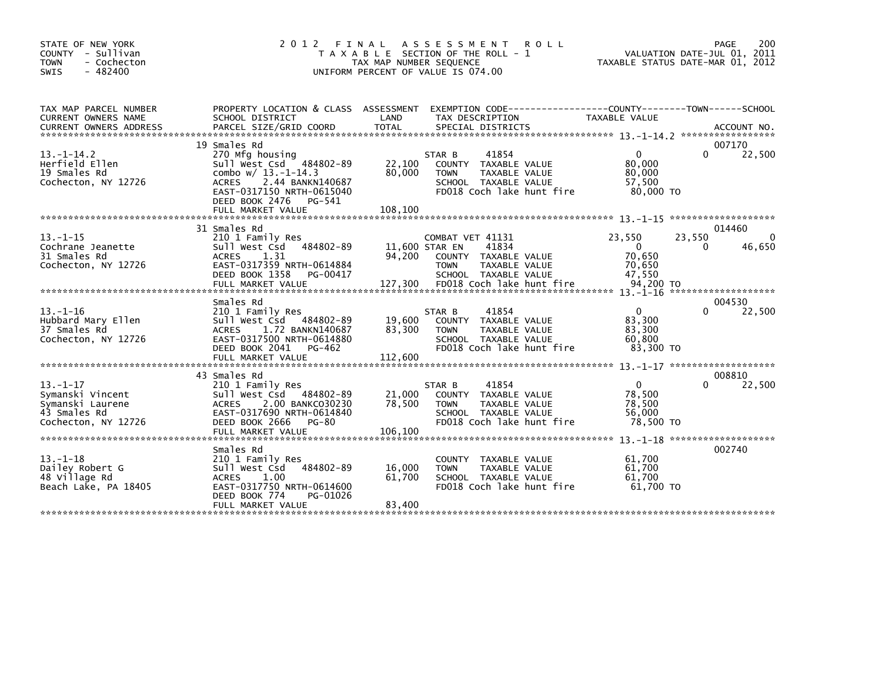| STATE OF NEW YORK<br>COUNTY - Sullivan<br>- Cochecton<br><b>TOWN</b><br>$-482400$<br><b>SWIS</b> | 2 0 1 2                                                                                                                                                                                             | FINAL<br>TAX MAP NUMBER SEQUENCE    | A S S E S S M E N T<br><b>ROLL</b><br>T A X A B L E SECTION OF THE ROLL - 1<br>UNIFORM PERCENT OF VALUE IS 074.00                             | TAXABLE STATUS DATE-MAR 01, 2012                                    | 200<br>PAGE<br>VALUATION DATE-JUL 01, 2011             |
|--------------------------------------------------------------------------------------------------|-----------------------------------------------------------------------------------------------------------------------------------------------------------------------------------------------------|-------------------------------------|-----------------------------------------------------------------------------------------------------------------------------------------------|---------------------------------------------------------------------|--------------------------------------------------------|
| TAX MAP PARCEL NUMBER<br><b>CURRENT OWNERS NAME</b><br><b>CURRENT OWNERS ADDRESS</b>             | PROPERTY LOCATION & CLASS ASSESSMENT<br>SCHOOL DISTRICT<br>PARCEL SIZE/GRID COORD                                                                                                                   | LAND<br><b>TOTAL</b>                | EXEMPTION        CODE-----------------COUNTY-------TOWN------SCHOOL<br>TAX DESCRIPTION<br>SPECIAL DISTRICTS                                   | <b>TAXABLE VALUE</b>                                                | ACCOUNT NO.                                            |
| $13. - 1 - 14.2$<br>Herfield Ellen<br>19 Smales Rd<br>Cochecton, NY 12726                        | 19 Smales Rd<br>270 Mfg housing<br>Sull West Csd 484802-89<br>combo w/ 13.-1-14.3<br>2.44 BANKN140687<br><b>ACRES</b><br>EAST-0317150 NRTH-0615040<br>DEED BOOK 2476<br>PG-541<br>FULL MARKET VALUE | 22,100<br>80,000<br>108,100         | 41854<br>STAR B<br>COUNTY TAXABLE VALUE<br>TAXABLE VALUE<br><b>TOWN</b><br>SCHOOL TAXABLE VALUE<br>FD018 Coch lake hunt fire                  | $\Omega$<br>80,000<br>80,000<br>57,500<br>80,000 TO                 | 007170<br>0<br>22,500                                  |
|                                                                                                  |                                                                                                                                                                                                     |                                     |                                                                                                                                               |                                                                     |                                                        |
| $13 - 1 - 15$<br>Cochrane Jeanette<br>31 Smales Rd<br>Cochecton, NY 12726                        | 31 Smales Rd<br>210 1 Family Res<br>Sull West Csd<br>484802-89<br>1.31<br><b>ACRES</b><br>EAST-0317359 NRTH-0614884<br>DEED BOOK 1358<br>PG-00417<br>FULL MARKET VALUE                              | 11,600 STAR EN<br>94.200<br>127,300 | COMBAT VET 41131<br>41834<br>COUNTY TAXABLE VALUE<br><b>TAXABLE VALUE</b><br><b>TOWN</b><br>SCHOOL TAXABLE VALUE<br>FD018 Coch lake hunt fire | 23.550<br>$\overline{0}$<br>70.650<br>70,650<br>47,550<br>94,200 TO | 014460<br>23,550<br>46,650<br>0<br>******************* |
|                                                                                                  | Smales Rd                                                                                                                                                                                           |                                     |                                                                                                                                               |                                                                     | 004530                                                 |
| $13 - 1 - 16$<br>Hubbard Mary Ellen<br>37 Smales Rd<br>Cochecton. NY 12726                       | 210 1 Family Res<br>Sull West Csd 484802-89<br>1.72 BANKN140687<br><b>ACRES</b><br>EAST-0317500 NRTH-0614880<br>DEED BOOK 2041<br>PG-462<br>FULL MARKET VALUE                                       | 19.600<br>83,300<br>112,600         | 41854<br>STAR B<br>COUNTY TAXABLE VALUE<br>TAXABLE VALUE<br><b>TOWN</b><br>SCHOOL TAXABLE VALUE<br>FD018 Coch lake hunt fire                  | $\mathbf{0}$<br>83.300<br>83,300<br>60.800<br>83.300 TO             | 22,500<br>$\Omega$                                     |
|                                                                                                  |                                                                                                                                                                                                     |                                     |                                                                                                                                               |                                                                     |                                                        |
| $13. - 1 - 17$<br>Symanski Vincent<br>Symanski Laurene<br>43 Smales Rd<br>Cochecton. NY 12726    | 43 Smales Rd<br>210 1 Family Res<br>Sull West Csd 484802-89<br>2.00 BANKC030230<br><b>ACRES</b><br>EAST-0317690 NRTH-0614840<br>DEED BOOK 2666<br><b>PG-80</b><br>FULL MARKET VALUE                 | 21,000<br>78,500<br>106,100         | 41854<br>STAR B<br>COUNTY TAXABLE VALUE<br>TAXABLE VALUE<br><b>TOWN</b><br>SCHOOL TAXABLE VALUE<br>FD018 Coch lake hunt fire                  | $\mathbf{0}$<br>78,500<br>78,500<br>56,000<br>78.500 TO             | 008810<br>22,500                                       |
| $13 - 1 - 18$<br>Dailey Robert G<br>48 Village Rd<br>Beach Lake, PA 18405                        | Smales Rd<br>210 1 Family Res<br>484802-89<br>Sull West Csd<br>1.00<br><b>ACRES</b><br>EAST-0317750 NRTH-0614600<br>DEED BOOK 774<br>PG-01026<br>FULL MARKET VALUE                                  | 16,000<br>61,700<br>83,400          | TAXABLE VALUE<br><b>COUNTY</b><br>TAXABLE VALUE<br><b>TOWN</b><br>SCHOOL TAXABLE VALUE<br>FD018 Coch lake hunt fire                           | 61.700<br>61.700<br>61,700<br>61.700 TO                             | 002740                                                 |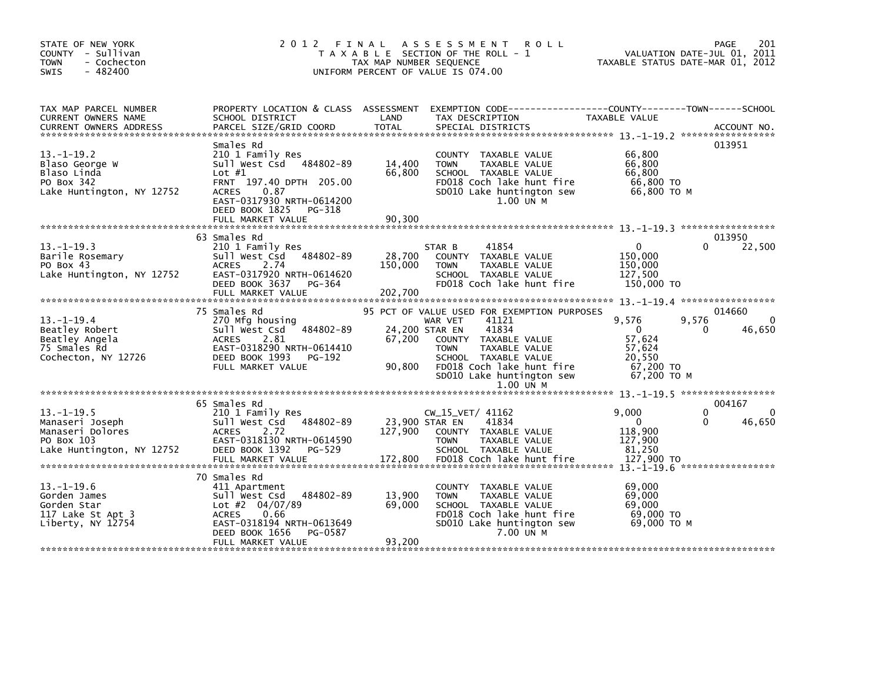| STATE OF NEW YORK<br>COUNTY - Sullivan<br><b>TOWN</b><br>- Cochecton<br>$-482400$<br><b>SWIS</b> | 2 0 1 2<br>FINAL                                                                                                                                                                                      | TAX MAP NUMBER SEQUENCE            | A S S E S S M E N T<br><b>ROLL</b><br>T A X A B L E SECTION OF THE ROLL - 1<br>UNIFORM PERCENT OF VALUE IS 074.00                                                                                                               | TAXABLE STATUS DATE-MAR 01, 2012                                                  | PAGE<br>201<br>VALUATION DATE-JUL 01, 2011 |
|--------------------------------------------------------------------------------------------------|-------------------------------------------------------------------------------------------------------------------------------------------------------------------------------------------------------|------------------------------------|---------------------------------------------------------------------------------------------------------------------------------------------------------------------------------------------------------------------------------|-----------------------------------------------------------------------------------|--------------------------------------------|
| TAX MAP PARCEL NUMBER<br><b>CURRENT OWNERS NAME</b><br><b>CURRENT OWNERS ADDRESS</b>             | PROPERTY LOCATION & CLASS ASSESSMENT EXEMPTION CODE---------------COUNTY-------TOWN------SCHOOL<br>SCHOOL DISTRICT<br>PARCEL SIZE/GRID COORD                                                          | LAND<br>TOTAL                      | TAX DESCRIPTION<br>SPECIAL DISTRICTS                                                                                                                                                                                            | TAXABLE VALUE                                                                     | ACCOUNT NO.                                |
| $13. -1 - 19.2$<br>Blaso George W<br>Blaso Linda<br>PO Box 342<br>Lake Huntington, NY 12752      | Smales Rd<br>210 1 Family Res<br>Sull West Csd 484802-89<br>Lot $#1$<br>FRNT 197.40 DPTH 205.00<br><b>ACRES</b><br>0.87<br>EAST-0317930 NRTH-0614200<br>DEED BOOK 1825<br>PG-318<br>FULL MARKET VALUE | 14,400<br>66,800<br>90.300         | COUNTY TAXABLE VALUE<br><b>TOWN</b><br>TAXABLE VALUE<br>SCHOOL TAXABLE VALUE<br>FD018 Coch lake hunt fire<br>SD010 Lake huntington sew<br>1.00 UN M                                                                             | 66,800<br>66,800<br>66,800<br>66,800 TO<br>66,800 ТО М                            | 013951                                     |
|                                                                                                  |                                                                                                                                                                                                       |                                    |                                                                                                                                                                                                                                 |                                                                                   |                                            |
| $13. -1 - 19.3$<br>Barile Rosemary<br>PO Box 43<br>Lake Huntington, NY 12752                     | 63 Smales Rd<br>210 1 Family Res<br>Sull West Csd 484802-89<br><b>ACRES</b><br>2.74<br>EAST-0317920 NRTH-0614620<br>DEED BOOK 3637<br>PG-364<br>FULL MARKET VALUE                                     | 28,700<br>150,000<br>202,700       | 41854<br>STAR B<br>COUNTY TAXABLE VALUE<br>TAXABLE VALUE<br><b>TOWN</b><br>SCHOOL TAXABLE VALUE<br>FD018 Coch lake hunt fire                                                                                                    | $\mathbf{0}$<br>150,000<br>150,000<br>127,500<br>150,000 TO                       | 013950<br>22,500<br>0                      |
|                                                                                                  |                                                                                                                                                                                                       |                                    |                                                                                                                                                                                                                                 |                                                                                   |                                            |
| $13.-1-19.4$<br>Beatley Robert<br>Beatley Angela<br>75 Smales Rd<br>Cochecton, NY 12726          | 75 Smales Rd<br>270 Mfg housing<br>Sull West Csd 484802-89<br>ACRES 2.81<br>EAST-0318290 NRTH-0614410<br>DEED BOOK 1993<br>PG-192<br>FULL MARKET VALUE                                                | 24,200 STAR EN<br>67,200<br>90,800 | 95 PCT OF VALUE USED FOR EXEMPTION PURPOSES<br>41121<br>WAR VET<br>41834<br>COUNTY TAXABLE VALUE<br>TAXABLE VALUE<br><b>TOWN</b><br>SCHOOL TAXABLE VALUE<br>FD018 Coch lake hunt fire<br>SD010 Lake huntington sew<br>1.00 UN M | 9,576<br>$\overline{0}$<br>57,624<br>57,624<br>20,550<br>67,200 TO<br>67.200 ТО М | 014660<br>9,576<br>$\Omega$<br>46,650<br>0 |
|                                                                                                  | 65 Smales Rd                                                                                                                                                                                          |                                    |                                                                                                                                                                                                                                 |                                                                                   | 004167                                     |
| $13.-1-19.5$<br>Manaseri Joseph<br>Manaseri Dolores<br>PO Box 103<br>Lake Huntington, NY 12752   | 210 1 Family Res<br>Sull West Csd 484802-89<br><b>ACRES</b><br>2.72<br>EAST-0318130 NRTH-0614590<br>DEED BOOK 1392<br>PG-529                                                                          | 23,900 STAR EN<br>127.900          | $CW_15_VET/ 41162$<br>41834<br>COUNTY TAXABLE VALUE<br><b>TOWN</b><br>TAXABLE VALUE<br>SCHOOL TAXABLE VALUE                                                                                                                     | 9,000<br>$\mathbf{0}$<br>118,900<br>127,900<br>81,250                             | $\Omega$<br>0<br>0<br>46,650               |
| $13. - 1 - 19.6$<br>Gorden James<br>Gorden Star<br>117 Lake St Apt 3<br>Liberty, NY 12754        | 70 Smales Rd<br>411 Apartment<br>484802-89<br>Sull West Csd<br>Lot #2 $04/07/89$<br>ACRES<br>0.66<br>EAST-0318194 NRTH-0613649<br>DEED BOOK 1656<br>PG-0587<br>FULL MARKET VALUE                      | 13,900<br>69,000<br>93,200         | COUNTY TAXABLE VALUE<br>TAXABLE VALUE<br><b>TOWN</b><br>SCHOOL TAXABLE VALUE<br>FD018 Coch lake hunt fire<br>SD010 Lake huntington sew<br>7.00 UN M                                                                             | 69,000<br>69,000<br>69,000<br>69,000 TO<br>69,000 ТО М                            |                                            |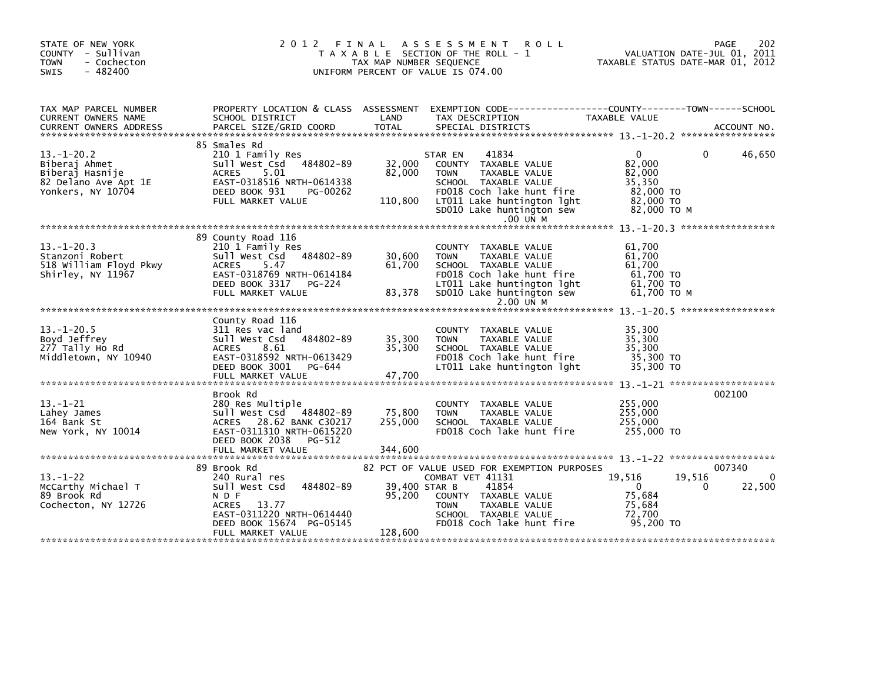| STATE OF NEW YORK<br>COUNTY - Sullivan<br>- Cochecton<br><b>TOWN</b><br>$-482400$<br>SWIS         | 2012 FINAL                                                                                                                                                                 | TAX MAP NUMBER SEQUENCE      | A S S E S S M E N T<br><b>ROLL</b><br>T A X A B L E SECTION OF THE ROLL - 1<br>UNIFORM PERCENT OF VALUE IS 074.00                                                                                             |                                                                                 | 202<br>PAGE<br>VALUATION DATE-JUL 01, 2011<br>TAXABLE STATUS DATE-MAR 01, 2012 |
|---------------------------------------------------------------------------------------------------|----------------------------------------------------------------------------------------------------------------------------------------------------------------------------|------------------------------|---------------------------------------------------------------------------------------------------------------------------------------------------------------------------------------------------------------|---------------------------------------------------------------------------------|--------------------------------------------------------------------------------|
| TAX MAP PARCEL NUMBER<br>CURRENT OWNERS NAME                                                      | PROPERTY LOCATION & CLASS ASSESSMENT<br>SCHOOL DISTRICT                                                                                                                    | LAND                         | EXEMPTION CODE-----------------COUNTY-------TOWN------SCHOOL<br>TAX DESCRIPTION                                                                                                                               | TAXABLE VALUE                                                                   |                                                                                |
| $13. - 1 - 20.2$<br>Biberaj Ahmet<br>Biberaj Hasnije<br>82 Delano Ave Apt 1E<br>Yonkers, NY 10704 | 85 Smales Rd<br>210 1 Family Res<br>Sull West Csd<br>484802-89<br>5.01<br>ACRES<br>EAST-0318516 NRTH-0614338<br>DEED BOOK 931<br>PG-00262<br>FULL MARKET VALUE             | 32,000<br>82,000<br>110,800  | 41834<br>STAR EN<br>COUNTY TAXABLE VALUE<br>TAXABLE VALUE<br><b>TOWN</b><br>SCHOOL TAXABLE VALUE<br>FD018 Coch lake hunt fire<br>LT011 Lake huntington lght<br>SD010 Lake huntington sew<br>.00 UN M          | $\Omega$<br>82,000<br>82,000<br>35,350<br>82,000 TO<br>82,000 TO<br>82,000 TO M | 46,650<br>0                                                                    |
| $13. - 1 - 20.3$<br>Stanzoni Robert<br>518 William Floyd Pkwy<br>Shirley, NY 11967                | 89 County Road 116<br>210 1 Family Res<br>484802-89<br>Sull West Csd<br>5.47<br><b>ACRES</b><br>EAST-0318769 NRTH-0614184<br>DEED BOOK 3317 PG-224<br>FULL MARKET VALUE    | 30,600<br>61,700<br>83,378   | COUNTY TAXABLE VALUE<br>TAXABLE VALUE<br><b>TOWN</b><br>SCHOOL TAXABLE VALUE<br>FD018 Coch lake hunt fire<br>LT011 Lake huntington lght<br>SD010 Lake huntington sew<br>2.00 UN M                             | 61,700<br>61,700<br>61,700<br>61,700 TO<br>61.700 TO<br>61,700 то м             |                                                                                |
| $13. - 1 - 20.5$<br>Boyd Jeffrey<br>277 Tally Ho Rd<br>Middletown, NY 10940                       | County Road 116<br>311 Res vac land<br>484802-89<br>Sull West Csd<br>ACRES<br>8.61<br>EAST-0318592 NRTH-0613429<br>DEED BOOK 3001<br>PG-644<br>FULL MARKET VALUE           | 35,300<br>35,300<br>47,700   | COUNTY TAXABLE VALUE<br><b>TOWN</b><br>TAXABLE VALUE<br>SCHOOL TAXABLE VALUE<br>FD018 Coch lake hunt fire<br>LT011 Lake huntington lght                                                                       | 35,300<br>35,300<br>35,300<br>35,300 TO<br>35,300 TO                            |                                                                                |
| $13 - 1 - 21$<br>Lahey James<br>164 Bank St<br>New York, NY 10014                                 | Brook Rd<br>280 Res Multiple<br>Sull West Csd 484802-89<br>ACRES 28.62 BANK C30217<br>EAST-0311310 NRTH-0615220<br>DEED BOOK 2038<br>PG-512<br>FULL MARKET VALUE           | 75,800<br>255,000<br>344,600 | COUNTY TAXABLE VALUE<br>TAXABLE VALUE<br><b>TOWN</b><br>SCHOOL TAXABLE VALUE<br>FD018 Coch lake hunt fire                                                                                                     | 255,000<br>255,000<br>255,000<br>255,000 TO                                     | 002100                                                                         |
| $13 - 1 - 22$<br>McCarthy Michael T<br>89 Brook Rd<br>Cochecton, NY 12726                         | 89 Brook Rd<br>240 Rural res<br>484802-89<br>Sull West Csd<br>N D F<br><b>ACRES</b><br>13.77<br>EAST-0311220 NRTH-0614440<br>DEED BOOK 15674 PG-05145<br>FULL MARKET VALUE | 95,200<br>128,600            | 82 PCT OF VALUE USED FOR EXEMPTION PURPOSES<br>COMBAT VET 41131<br>39,400 STAR B<br>41854<br>COUNTY TAXABLE VALUE<br><b>TAXABLE VALUE</b><br><b>TOWN</b><br>SCHOOL TAXABLE VALUE<br>FD018 Coch lake hunt fire | 19,516<br>$\mathbf{0}$<br>75,684<br>75,684<br>72,700<br>95,200 TO               | 007340<br>$\Omega$<br>19,516<br>22,500<br>0                                    |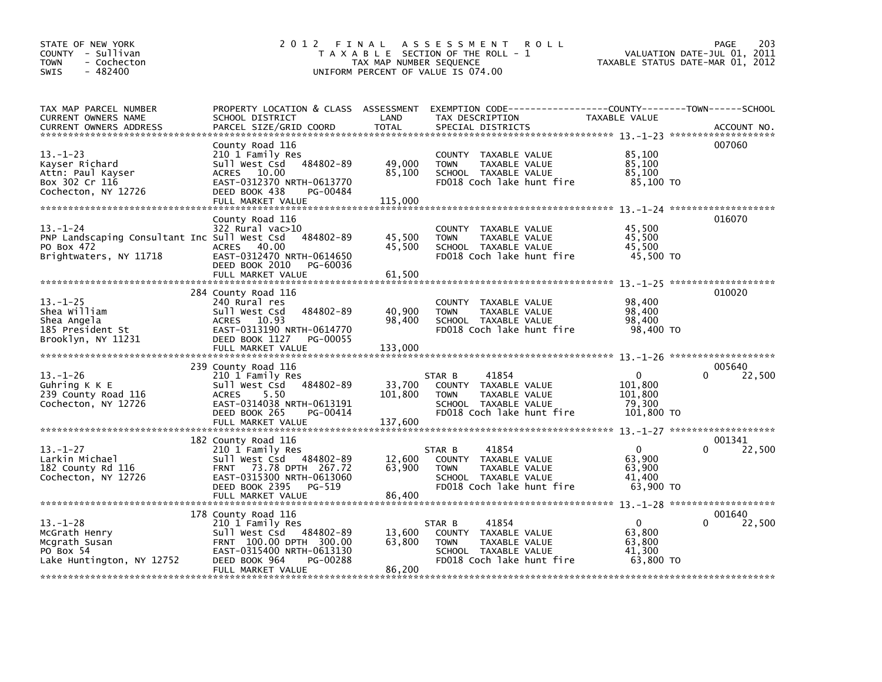| STATE OF NEW YORK<br>COUNTY - Sullivan<br><b>TOWN</b><br>- Cochecton<br>SWIS<br>$-482400$             | 2 0 1 2                                                                                                                                                                              | FINAL<br>TAX MAP NUMBER SEQUENCE | A S S E S S M E N T<br><b>ROLL</b><br>T A X A B L E SECTION OF THE ROLL - 1<br>UNIFORM PERCENT OF VALUE IS 074.00                        |                                                            | 203<br>PAGE<br>VALUATION DATE-JUL 01, 2011<br>TAXABLE STATUS DATE-MAR 01, 2012 |
|-------------------------------------------------------------------------------------------------------|--------------------------------------------------------------------------------------------------------------------------------------------------------------------------------------|----------------------------------|------------------------------------------------------------------------------------------------------------------------------------------|------------------------------------------------------------|--------------------------------------------------------------------------------|
| TAX MAP PARCEL NUMBER<br>CURRENT OWNERS NAME<br><b>CURRENT OWNERS ADDRESS</b>                         | SCHOOL DISTRICT<br>PARCEL SIZE/GRID COORD                                                                                                                                            | LAND<br><b>TOTAL</b>             | PROPERTY LOCATION & CLASS ASSESSMENT EXEMPTION CODE----------------COUNTY-------TOWN------SCHOOL<br>TAX DESCRIPTION<br>SPECIAL DISTRICTS | TAXABLE VALUE                                              | ACCOUNT NO.                                                                    |
| $13 - 1 - 23$<br>Kayser Richard<br>Attn: Paul Kayser<br>Box 302 Cr 116<br>Cochecton, NY 12726         | County Road 116<br>210 1 Family Res<br>Sull West Csd 484802-89<br>ACRES 10.00<br>EAST-0312370 NRTH-0613770<br>DEED BOOK 438<br>PG-00484<br>FULL MARKET VALUE                         | 49,000<br>85,100<br>115,000      | COUNTY TAXABLE VALUE<br><b>TOWN</b><br>TAXABLE VALUE<br>SCHOOL TAXABLE VALUE<br>FD018 Coch lake hunt fire                                | 85,100<br>85,100<br>85,100<br>85,100 TO                    | 007060                                                                         |
| $13 - 1 - 24$<br>PNP Landscaping Consultant Inc Sull West Csd<br>PO Box 472<br>Brightwaters, NY 11718 | County Road 116<br>$322$ Rural vac $>10$<br>484802-89<br>ACRES 40.00<br>EAST-0312470 NRTH-0614650<br>DEED BOOK 2010<br>PG-60036<br>FULL MARKET VALUE                                 | 45,500<br>45,500<br>61,500       | TAXABLE VALUE<br><b>COUNTY</b><br>TAXABLE VALUE<br><b>TOWN</b><br>SCHOOL TAXABLE VALUE<br>FD018 Coch lake hunt fire                      | 45,500<br>45,500<br>45,500<br>45,500 TO                    | 016070                                                                         |
| $13 - 1 - 25$<br>Shea William<br>Shea Angela<br>185 President St<br>Brooklyn, NY 11231                | 284 County Road 116<br>240 Rural res<br>484802-89<br>Sull West Csd<br>10.93<br>ACRES<br>EAST-0313190 NRTH-0614770<br>DEED BOOK 1127<br>PG-00055<br>FULL MARKET VALUE                 | 40,900<br>98,400<br>133,000      | COUNTY TAXABLE VALUE<br>TAXABLE VALUE<br><b>TOWN</b><br>SCHOOL TAXABLE VALUE<br>FD018 Coch lake hunt fire                                | 98,400<br>98,400<br>98,400<br>98,400 TO                    | 010020                                                                         |
| $13 - 1 - 26$<br>Guhring K K E<br>239 County Road 116<br>Cochecton, NY 12726                          | 239 County Road 116<br>210 1 Family Res<br>484802-89<br>Sull West Csd<br><b>ACRES</b><br>5.50<br>EAST-0314038 NRTH-0613191<br>DEED BOOK 265<br>PG-00414                              | 33,700<br>101,800                | 41854<br>STAR B<br>COUNTY TAXABLE VALUE<br>TAXABLE VALUE<br><b>TOWN</b><br>SCHOOL TAXABLE VALUE<br>FD018 Coch lake hunt fire             | $\mathbf{0}$<br>101,800<br>101,800<br>79,300<br>101,800 TO | 005640<br>22,500<br>0                                                          |
| $13 - 1 - 27$<br>Larkin Michael<br>182 County Rd 116<br>Cochecton, NY 12726                           | 182 County Road 116<br>210 1 Family Res<br>Sull West Csd 484802-89<br>73.78 DPTH 267.72<br><b>FRNT</b><br>EAST-0315300 NRTH-0613060<br>DEED BOOK 2395<br>PG-519<br>FULL MARKET VALUE | 12,600<br>63,900<br>86,400       | 41854<br>STAR B<br>COUNTY TAXABLE VALUE<br><b>TOWN</b><br>TAXABLE VALUE<br>SCHOOL TAXABLE VALUE<br>FD018 Coch lake hunt fire             | $\overline{0}$<br>63,900<br>63,900<br>41,400<br>63.900 TO  | 001341<br>0<br>22,500                                                          |
| $13 - 1 - 28$<br>McGrath Henry<br>Mcgrath Susan<br>PO Box 54<br>Lake Huntington, NY 12752             | 178 County Road 116<br>210 1 Family Res<br>Sull West Csd 484802-89<br>FRNT 100.00 DPTH 300.00<br>EAST-0315400 NRTH-0613130<br>DEED BOOK 964<br>PG-00288<br>FULL MARKET VALUE         | 13,600<br>63,800<br>86,200       | 41854<br>STAR B<br>COUNTY TAXABLE VALUE<br>TAXABLE VALUE<br><b>TOWN</b><br>SCHOOL TAXABLE VALUE<br>FD018 Coch lake hunt fire             | $\Omega$<br>63,800<br>63,800<br>41,300<br>63,800 TO        | 001640<br>0<br>22,500                                                          |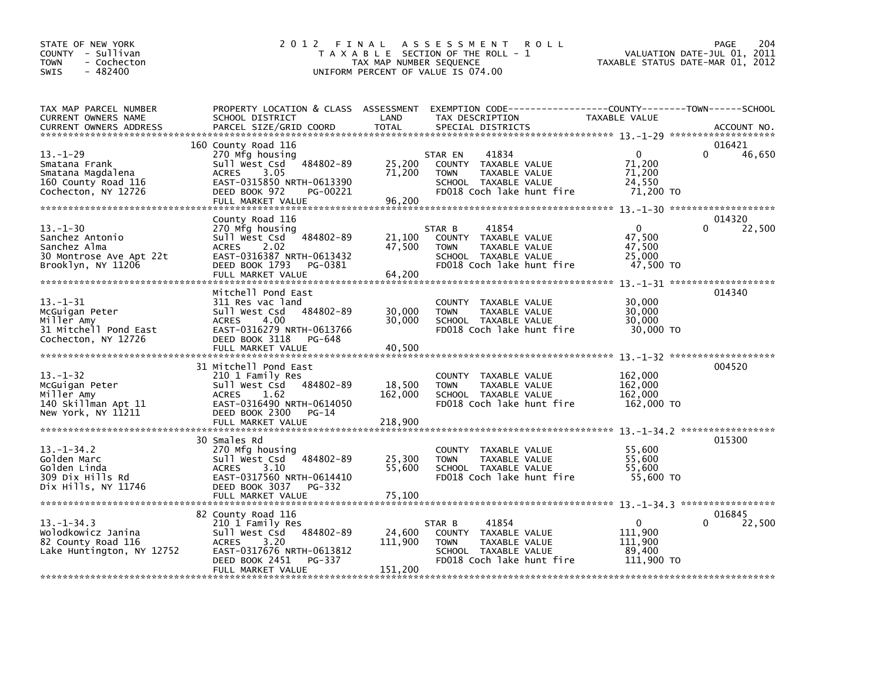| STATE OF NEW YORK<br>COUNTY - Sullivan<br><b>TOWN</b><br>- Cochecton<br>$-482400$<br><b>SWIS</b> | 2 0 1 2                                           | FINAL<br>TAX MAP NUMBER SEQUENCE | <b>ROLL</b><br>A S S E S S M E N T<br>T A X A B L E SECTION OF THE ROLL - 1<br>UNIFORM PERCENT OF VALUE IS 074.00 | TAXABLE STATUS DATE-MAR 01, 2012 | 204<br>PAGE<br>VALUATION DATE-JUL 01, 2011 |
|--------------------------------------------------------------------------------------------------|---------------------------------------------------|----------------------------------|-------------------------------------------------------------------------------------------------------------------|----------------------------------|--------------------------------------------|
| TAX MAP PARCEL NUMBER                                                                            | PROPERTY LOCATION & CLASS ASSESSMENT              |                                  | EXEMPTION CODE------------------COUNTY--------TOWN------SCHOOL                                                    |                                  |                                            |
| CURRENT OWNERS NAME<br><b>CURRENT OWNERS ADDRESS</b>                                             | SCHOOL DISTRICT<br>PARCEL SIZE/GRID COORD         | LAND<br><b>TOTAL</b>             | TAX DESCRIPTION<br>SPECIAL DISTRICTS                                                                              | TAXABLE VALUE                    | ACCOUNT NO.                                |
|                                                                                                  | 160 County Road 116                               |                                  |                                                                                                                   |                                  | 016421                                     |
| $13 - 1 - 29$                                                                                    | 270 Mfg housing                                   |                                  | STAR EN<br>41834                                                                                                  | $\mathbf{0}$                     | $\Omega$<br>46,650                         |
| Smatana Frank                                                                                    | Sull West Csd 484802-89<br><b>ACRES</b>           | 25,200<br>71,200                 | COUNTY TAXABLE VALUE<br>TAXABLE VALUE                                                                             | 71,200<br>71,200                 |                                            |
| Smatana Magdalena<br>160 County Road 116                                                         | 3.05<br>EAST-0315850 NRTH-0613390                 |                                  | <b>TOWN</b><br>SCHOOL TAXABLE VALUE                                                                               | 24,550                           |                                            |
| Cochecton, NY 12726                                                                              | DEED BOOK 972<br>PG-00221                         |                                  | FD018 Coch lake hunt fire                                                                                         | 71,200 TO                        |                                            |
|                                                                                                  | FULL MARKET VALUE                                 | 96,200                           |                                                                                                                   |                                  |                                            |
|                                                                                                  | County Road 116                                   |                                  |                                                                                                                   |                                  | 014320                                     |
| $13 - 1 - 30$                                                                                    | 270 Mfg housing                                   |                                  | 41854<br>STAR B                                                                                                   | $\Omega$                         | 22,500                                     |
| Sanchez Antonio                                                                                  | Sull West Csd<br>484802-89                        | 21,100                           | COUNTY TAXABLE VALUE                                                                                              | 47,500                           |                                            |
| Sanchez Alma                                                                                     | <b>ACRES</b><br>2.02                              | 47,500                           | TAXABLE VALUE<br><b>TOWN</b>                                                                                      | 47,500                           |                                            |
| 30 Montrose Ave Apt 22t<br>Brooklyn, NY 11206                                                    | EAST-0316387 NRTH-0613432<br>DEED BOOK 1793       |                                  | SCHOOL TAXABLE VALUE<br>FD018 Coch lake hunt fire                                                                 | 25,000<br>47,500 TO              |                                            |
|                                                                                                  | PG-0381<br>FULL MARKET VALUE                      | 64,200                           |                                                                                                                   |                                  |                                            |
|                                                                                                  |                                                   |                                  |                                                                                                                   |                                  |                                            |
|                                                                                                  | Mitchell Pond East                                |                                  |                                                                                                                   |                                  | 014340                                     |
| $13 - 1 - 31$                                                                                    | 311 Res vac land<br>484802-89                     | 30,000                           | COUNTY TAXABLE VALUE<br><b>TOWN</b>                                                                               | 30,000<br>30,000                 |                                            |
| McGuigan Peter<br>Miller Amy                                                                     | Sull West Csd<br><b>ACRES</b><br>4.00             | 30,000                           | TAXABLE VALUE<br>SCHOOL TAXABLE VALUE                                                                             | 30,000                           |                                            |
| 31 Mitchell Pond East                                                                            | EAST-0316279 NRTH-0613766                         |                                  | FD018 Coch lake hunt fire                                                                                         | 30,000 TO                        |                                            |
| Cochecton, NY 12726                                                                              | DEED BOOK 3118<br>PG-648                          |                                  |                                                                                                                   |                                  |                                            |
|                                                                                                  | FULL MARKET VALUE                                 | 40,500                           |                                                                                                                   |                                  |                                            |
|                                                                                                  | 31 Mitchell Pond East                             |                                  |                                                                                                                   |                                  | 004520                                     |
| $13 - 1 - 32$                                                                                    | 210 1 Family Res                                  |                                  | COUNTY TAXABLE VALUE                                                                                              | 162,000                          |                                            |
| McGuigan Peter                                                                                   | 484802-89<br>Sull West Csd                        | 18,500                           | TAXABLE VALUE<br><b>TOWN</b>                                                                                      | 162,000                          |                                            |
| Miller Amy<br>140 Skillman Apt 11                                                                | <b>ACRES</b><br>1.62<br>EAST-0316490 NRTH-0614050 | 162,000                          | SCHOOL TAXABLE VALUE<br>FD018 Coch lake hunt fire                                                                 | 162,000<br>162,000 TO            |                                            |
| New York, NY 11211                                                                               | DEED BOOK 2300<br>PG-14                           |                                  |                                                                                                                   |                                  |                                            |
|                                                                                                  | FULL MARKET VALUE                                 | 218,900                          |                                                                                                                   |                                  |                                            |
|                                                                                                  |                                                   |                                  |                                                                                                                   |                                  |                                            |
| $13. - 1 - 34.2$                                                                                 | 30 Smales Rd<br>270 Mfg housing                   |                                  | COUNTY TAXABLE VALUE                                                                                              | 55,600                           | 015300                                     |
| Golden Marc                                                                                      | 484802-89<br>Sull West Csd                        | 25,300                           | TAXABLE VALUE<br><b>TOWN</b>                                                                                      | 55,600                           |                                            |
| Golden Linda                                                                                     | <b>ACRES</b><br>3.10                              | 55,600                           | SCHOOL TAXABLE VALUE                                                                                              | 55,600                           |                                            |
| 309 Dix Hills Rd                                                                                 | EAST-0317560 NRTH-0614410                         |                                  | FD018 Coch lake hunt fire                                                                                         | 55,600 TO                        |                                            |
| Dix Hills, NY 11746                                                                              | DEED BOOK 3037<br>PG-332                          |                                  |                                                                                                                   |                                  |                                            |
|                                                                                                  | 82 County Road 116                                |                                  |                                                                                                                   |                                  | 016845                                     |
| $13 - 1 - 34.3$                                                                                  | 210 1 Family Res                                  |                                  | 41854<br>STAR B                                                                                                   | $\mathbf{0}$                     | 22,500<br>0                                |
| Wolodkowicz Janina                                                                               | 484802-89<br>Sull West Csd                        | 24,600                           | COUNTY TAXABLE VALUE                                                                                              | 111,900                          |                                            |
| 82 County Road 116                                                                               | <b>ACRES</b><br>3.20                              | 111,900                          | TAXABLE VALUE<br><b>TOWN</b>                                                                                      | 111,900                          |                                            |
| Lake Huntington, NY 12752                                                                        | EAST-0317676 NRTH-0613812<br>DEED BOOK 2451       |                                  | SCHOOL TAXABLE VALUE                                                                                              | 89.400<br>111,900 TO             |                                            |
|                                                                                                  | PG-337<br>FULL MARKET VALUE                       | 151,200                          | FD018 Coch lake hunt fire                                                                                         |                                  |                                            |
|                                                                                                  |                                                   |                                  |                                                                                                                   |                                  |                                            |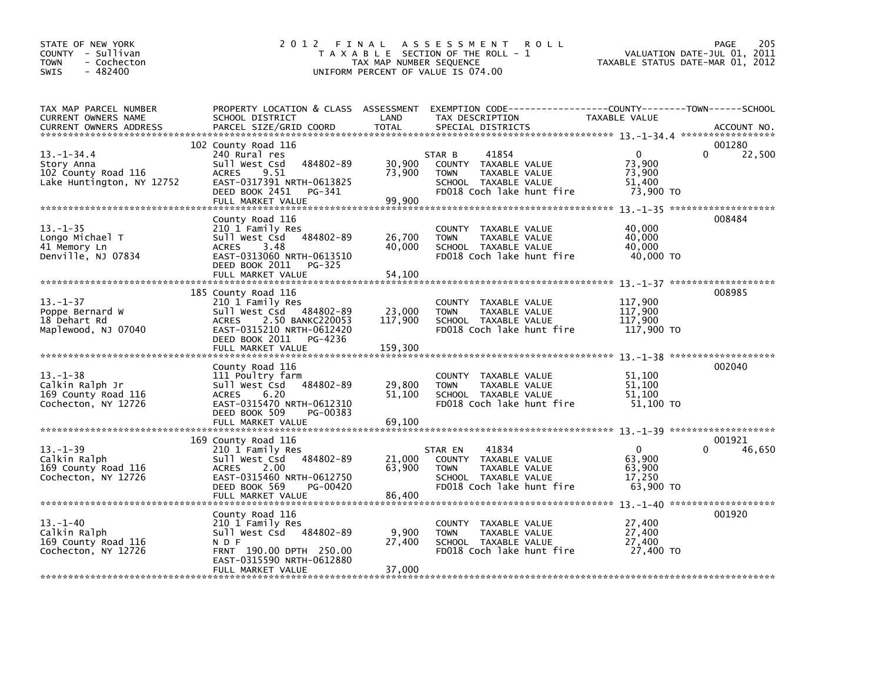| STATE OF NEW YORK<br>COUNTY - Sullivan<br><b>TOWN</b><br>- Cochecton<br>$-482400$<br><b>SWIS</b> | 2 0 1 2                                                                                                                                                                                          | TAX MAP NUMBER SEQUENCE                | FINAL ASSESSMENT<br><b>ROLL</b><br>T A X A B L E SECTION OF THE ROLL - 1<br>UNIFORM PERCENT OF VALUE IS 074.00                          | TAXABLE STATUS DATE-MAR 01, 2012                        | 205<br>PAGE<br>VALUATION DATE-JUL 01, 2011 |
|--------------------------------------------------------------------------------------------------|--------------------------------------------------------------------------------------------------------------------------------------------------------------------------------------------------|----------------------------------------|-----------------------------------------------------------------------------------------------------------------------------------------|---------------------------------------------------------|--------------------------------------------|
| TAX MAP PARCEL NUMBER<br>CURRENT OWNERS NAME<br>CURRENT OWNERS ADDRESS                           | SCHOOL DISTRICT<br>PARCEL SIZE/GRID COORD                                                                                                                                                        | LAND<br><b>TOTAL</b>                   | PROPERTY LOCATION & CLASS ASSESSMENT EXEMPTION CODE---------------COUNTY-------TOWN------SCHOOL<br>TAX DESCRIPTION<br>SPECIAL DISTRICTS | TAXABLE VALUE                                           | ACCOUNT NO.                                |
| $13. - 1 - 34.4$<br>Story Anna<br>102 County Road 116<br>Lake Huntington, NY 12752               | 102 County Road 116<br>240 Rural res<br>Sull West Csd<br>484802-89<br>9.51<br><b>ACRES</b><br>EAST-0317391 NRTH-0613825<br>DEED BOOK 2451<br>PG-341<br>FULL MARKET VALUE                         | 30,900<br>73,900<br>99,900             | 41854<br>STAR B<br>COUNTY TAXABLE VALUE<br><b>TOWN</b><br><b>TAXABLE VALUE</b><br>SCHOOL TAXABLE VALUE<br>FD018 Coch lake hunt fire     | $\mathbf{0}$<br>73,900<br>73,900<br>51,400<br>73,900 TO | 001280<br>0<br>22,500                      |
| $13 - 1 - 35$<br>Longo Michael T<br>41 Memory Ln<br>Denville, NJ 07834                           | County Road 116<br>210 1 Family Res<br>Sull West Csd<br>484802-89<br>ACRES<br>3.48<br>EAST-0313060 NRTH-0613510<br>DEED BOOK 2011<br>PG-325                                                      | 26,700<br>40.000                       | COUNTY TAXABLE VALUE<br><b>TOWN</b><br>TAXABLE VALUE<br>SCHOOL TAXABLE VALUE<br>FD018 Coch lake hunt fire                               | 40,000<br>40,000<br>40,000<br>40,000 TO                 | 008484                                     |
| $13 - 1 - 37$<br>Poppe Bernard W<br>18 Dehart Rd<br>Maplewood, NJ 07040                          | FULL MARKET VALUE<br>185 County Road 116<br>210 1 Family Res<br>Sull West Csd 484802-89<br>2.50 BANKC220053<br>ACRES<br>EAST-0315210 NRTH-0612420<br>DEED BOOK 2011 PG-4236<br>FULL MARKET VALUE | 54,100<br>23,000<br>117,900<br>159,300 | COUNTY TAXABLE VALUE<br><b>TOWN</b><br>TAXABLE VALUE<br>SCHOOL TAXABLE VALUE<br>FD018 Coch lake hunt fire                               | 117,900<br>117,900<br>117,900<br>117,900 TO             | 008985                                     |
| $13 - 1 - 38$<br>Calkin Ralph Jr<br>169 County Road 116<br>Cochecton, NY 12726                   | County Road 116<br>111 Poultry farm<br>Sull West Csd<br>484802-89<br>ACRES<br>6.20<br>EAST-0315470 NRTH-0612310<br>DEED BOOK 509<br>PG-00383<br>FULL MARKET VALUE                                | 29,800<br>51,100<br>69,100             | COUNTY TAXABLE VALUE<br>TAXABLE VALUE<br><b>TOWN</b><br>SCHOOL TAXABLE VALUE<br>FD018 Coch lake hunt fire                               | 51,100<br>51,100<br>51.100<br>51,100 TO                 | 002040                                     |
| $13. - 1 - 39$<br>Calkin Ralph<br>169 County Road 116<br>Cochecton, NY 12726                     | 169 County Road 116<br>210 1 Family Res<br>Sull West Csd<br>484802-89<br>2.00<br><b>ACRES</b><br>EAST-0315460 NRTH-0612750<br>DEED BOOK 569<br>PG-00420<br>FULL MARKET VALUE                     | 21,000<br>63,900<br>86,400             | 41834<br>STAR EN<br>COUNTY TAXABLE VALUE<br><b>TOWN</b><br>TAXABLE VALUE<br>SCHOOL TAXABLE VALUE<br>FD018 Coch lake hunt fire           | $\Omega$<br>63,900<br>63,900<br>17,250<br>63,900 TO     | 001921<br>$\Omega$<br>46,650               |
| $13 - 1 - 40$<br>Calkin Ralph<br>169 County Road 116<br>Cochecton, NY 12726                      | County Road 116<br>210 1 Family Res<br>Sull West Csd 484802-89<br>N D F<br>FRNT 190.00 DPTH 250.00<br>EAST-0315590 NRTH-0612880<br>FULL MARKET VALUE                                             | 9,900<br>27,400<br>37.000              | COUNTY TAXABLE VALUE<br><b>TOWN</b><br>TAXABLE VALUE<br>SCHOOL TAXABLE VALUE<br>FD018 Coch lake hunt fire                               | 27,400<br>27,400<br>27,400<br>27,400 TO                 | 001920                                     |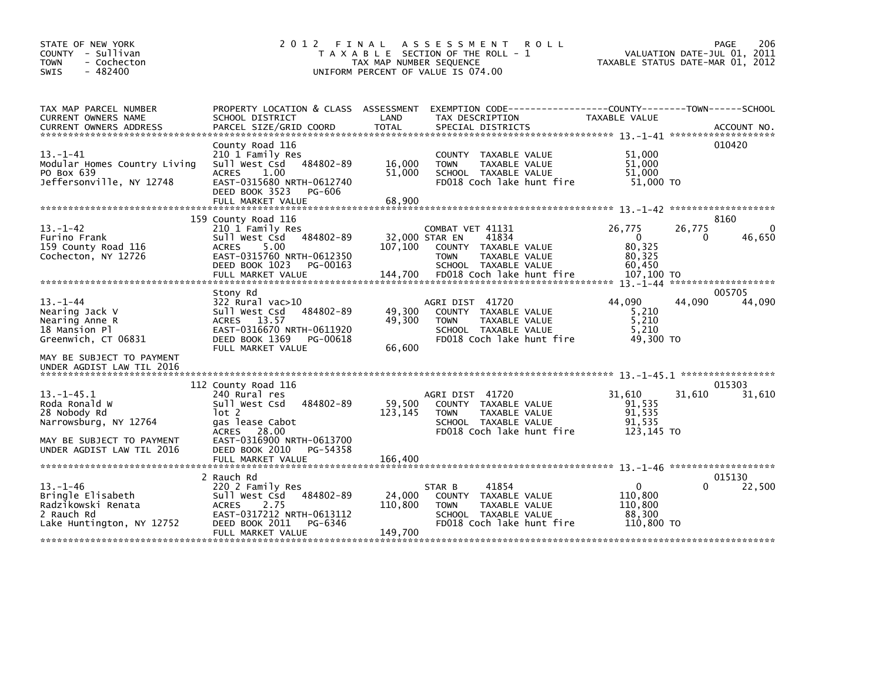| STATE OF NEW YORK<br>COUNTY - Sullivan<br><b>TOWN</b><br>- Cochecton<br>$-482400$<br>SWIS            | 2 0 1 2                                                                                                                                                          | TAX MAP NUMBER SEQUENCE    | FINAL ASSESSMENT<br><b>ROLL</b><br>T A X A B L E SECTION OF THE ROLL - 1<br>UNIFORM PERCENT OF VALUE IS 074.00               | TAXABLE STATUS DATE-MAR 01, 2012                             | PAGE<br>206<br>VALUATION DATE-JUL 01, 2011 |
|------------------------------------------------------------------------------------------------------|------------------------------------------------------------------------------------------------------------------------------------------------------------------|----------------------------|------------------------------------------------------------------------------------------------------------------------------|--------------------------------------------------------------|--------------------------------------------|
| TAX MAP PARCEL NUMBER<br>CURRENT OWNERS NAME<br><b>CURRENT OWNERS ADDRESS</b>                        | PROPERTY LOCATION & CLASS ASSESSMENT<br>SCHOOL DISTRICT<br>PARCEL SIZE/GRID COORD                                                                                | LAND<br><b>TOTAL</b>       | EXEMPTION CODE-----------------COUNTY-------TOWN------SCHOOL<br>TAX DESCRIPTION<br>SPECIAL DISTRICTS                         | TAXABLE VALUE                                                | ACCOUNT NO.                                |
| $13 - 1 - 41$<br>Modular Homes Country Living<br>PO Box 639<br>Jeffersonville, NY 12748              | County Road 116<br>210 1 Family Res<br>Sull West Csd<br>484802-89<br>1.00<br>ACRES<br>EAST-0315680 NRTH-0612740<br>DEED BOOK 3523<br>PG-606<br>FULL MARKET VALUE | 16,000<br>51,000<br>68,900 | COUNTY TAXABLE VALUE<br>TAXABLE VALUE<br><b>TOWN</b><br>SCHOOL TAXABLE VALUE<br>FD018 Coch lake hunt fire                    | 51.000<br>51,000<br>51,000<br>51,000 TO                      | 010420                                     |
|                                                                                                      | 159 County Road 116                                                                                                                                              |                            |                                                                                                                              |                                                              | 8160                                       |
| $13 - 1 - 42$<br>Furino Frank<br>159 County Road 116<br>Cochecton, NY 12726                          | 210 1 Family Res<br>Sull West Csd<br>484802-89<br>5.00<br><b>ACRES</b><br>EAST-0315760 NRTH-0612350<br>DEED BOOK 1023<br>PG-00163                                | 107,100                    | COMBAT VET 41131<br>32,000 STAR EN<br>41834<br>COUNTY TAXABLE VALUE<br><b>TOWN</b><br>TAXABLE VALUE<br>SCHOOL TAXABLE VALUE  | 26,775<br>26,775<br>$\Omega$<br>80,325<br>80.325<br>60,450   | 0<br>46,650                                |
|                                                                                                      |                                                                                                                                                                  |                            |                                                                                                                              | 107,100 TO                                                   | *******************                        |
|                                                                                                      | Stony Rd                                                                                                                                                         |                            |                                                                                                                              |                                                              | 005705                                     |
| $13 - 1 - 44$<br>Nearing Jack V<br>Nearing Anne R<br>18 Mansion Pl                                   | 322 Rural vac>10<br>Sull West Csd<br>484802-89<br>ACRES 13.57<br>EAST-0316670 NRTH-0611920<br>DEED BOOK 1369                                                     | 49,300<br>49,300           | AGRI DIST 41720<br>COUNTY TAXABLE VALUE<br>TAXABLE VALUE<br><b>TOWN</b><br>SCHOOL TAXABLE VALUE<br>FD018 Coch lake hunt fire | 44.090<br>44,090<br>5,210<br>5,210<br>5.210<br>49,300 TO     | 44,090                                     |
| Greenwich, CT 06831                                                                                  | PG-00618<br>FULL MARKET VALUE                                                                                                                                    | 66.600                     |                                                                                                                              |                                                              |                                            |
| MAY BE SUBJECT TO PAYMENT<br>UNDER AGDIST LAW TIL 2016                                               |                                                                                                                                                                  |                            |                                                                                                                              |                                                              |                                            |
|                                                                                                      | 112 County Road 116                                                                                                                                              |                            |                                                                                                                              |                                                              | 015303                                     |
| $13 - 1 - 45.1$<br>Roda Ronald W<br>28 Nobody Rd<br>Narrowsburg, NY 12764                            | 240 Rural res<br>484802-89<br>Sull West Csd<br>$1$ ot 2<br>gas lease Cabot<br>ACRES 28.00                                                                        | 59.500<br>123,145          | AGRI DIST 41720<br>COUNTY TAXABLE VALUE<br>TAXABLE VALUE<br><b>TOWN</b><br>SCHOOL TAXABLE VALUE<br>FD018 Coch lake hunt fire | 31,610<br>31,610<br>91.535<br>91,535<br>91,535<br>123,145 TO | 31,610                                     |
| MAY BE SUBJECT TO PAYMENT<br>UNDER AGDIST LAW TIL 2016                                               | EAST-0316900 NRTH-0613700<br>DEED BOOK 2010<br>PG-54358                                                                                                          |                            |                                                                                                                              |                                                              |                                            |
|                                                                                                      | FULL MARKET VALUE                                                                                                                                                | 166,400                    |                                                                                                                              |                                                              |                                            |
| $13. - 1 - 46$<br>Bringle Elisabeth<br>Radzikowski Renata<br>2 Rauch Rd<br>Lake Huntington, NY 12752 | 2 Rauch Rd<br>220 2 Family Res<br>484802-89<br>Sull West Csd<br><b>ACRES</b><br>2.75<br>EAST-0317212 NRTH-0613112<br>DEED BOOK 2011<br>PG-6346                   | 24,000<br>110,800          | 41854<br>STAR B<br>COUNTY TAXABLE VALUE<br><b>TOWN</b><br>TAXABLE VALUE<br>SCHOOL TAXABLE VALUE<br>FD018 Coch lake hunt fire | 0<br>110,800<br>110,800<br>88,300<br>110,800 TO              | 015130<br>22,500<br>0                      |
|                                                                                                      | FULL MARKET VALUE                                                                                                                                                | 149,700                    |                                                                                                                              |                                                              |                                            |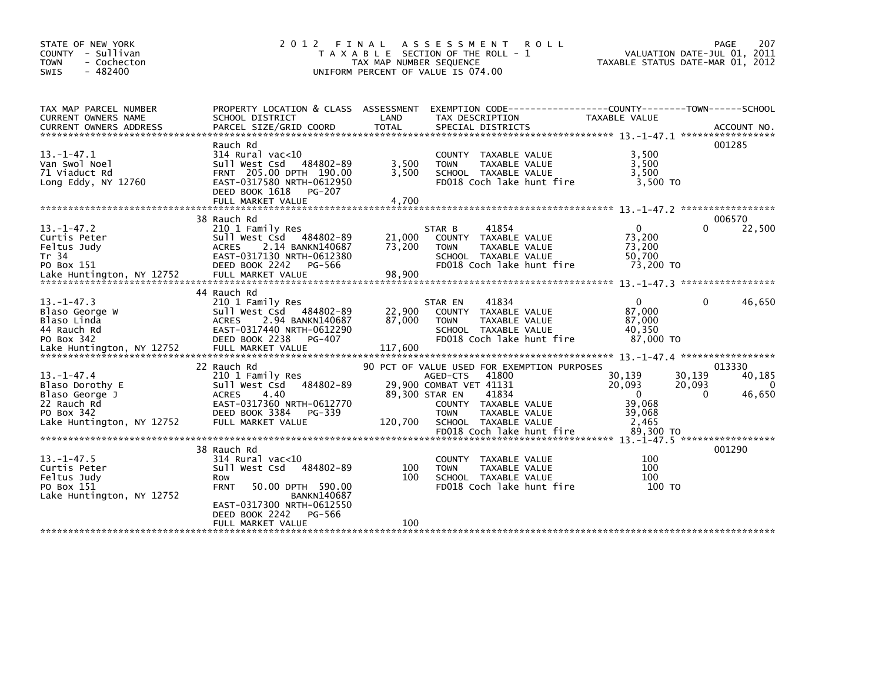| STATE OF NEW YORK<br>COUNTY - Sullivan<br><b>TOWN</b><br>- Cochecton<br>$-482400$<br>SWIS | 2 0 1 2                                                                                                                                                               | FINAL<br>TAX MAP NUMBER SEQUENCE | ASSESSMENT ROLL<br>T A X A B L E SECTION OF THE ROLL - 1<br>UNIFORM PERCENT OF VALUE IS 074.00                                          | TAXABLE STATUS DATE-MAR 01, 2012                        | PAGE<br>207<br>VALUATION DATE-JUL 01, 2011       |
|-------------------------------------------------------------------------------------------|-----------------------------------------------------------------------------------------------------------------------------------------------------------------------|----------------------------------|-----------------------------------------------------------------------------------------------------------------------------------------|---------------------------------------------------------|--------------------------------------------------|
| TAX MAP PARCEL NUMBER<br>CURRENT OWNERS NAME                                              | PROPERTY LOCATION & CLASS ASSESSMENT<br>SCHOOL DISTRICT                                                                                                               | LAND                             | EXEMPTION CODE-----------------COUNTY-------TOWN------SCHOOL<br>TAX DESCRIPTION                                                         | TAXABLE VALUE                                           |                                                  |
| $13 - 1 - 47.1$<br>Van Swol Noel<br>71 Viaduct Rd<br>Long Eddy, NY 12760                  | Rauch Rd<br>$314$ Rural vac< $10$<br>Sull West Csd 484802-89<br>FRNT 205.00 DPTH 190.00<br>EAST-0317580 NRTH-0612950<br>DEED BOOK 1618<br>PG-207<br>FULL MARKET VALUE | 3,500<br>3.500<br>4,700          | COUNTY TAXABLE VALUE<br>TAXABLE VALUE<br><b>TOWN</b><br>SCHOOL TAXABLE VALUE<br>FD018 Coch lake hunt fire                               | 3,500<br>3,500<br>3.500<br>3,500 TO                     | 001285                                           |
|                                                                                           | 38 Rauch Rd                                                                                                                                                           |                                  |                                                                                                                                         |                                                         | 006570                                           |
| $13 - 1 - 47.2$<br>Curtis Peter<br>Feltus Judy<br>Tr 34<br>PO Box 151                     | 210 1 Family Res<br>Sull West Csd 484802-89<br><b>ACRES</b><br>2.14 BANKN140687<br>EAST-0317130 NRTH-0612380<br>DEED BOOK 2242<br>PG-566                              | 21,000<br>73,200                 | 41854<br>STAR B<br>COUNTY TAXABLE VALUE<br>TAXABLE VALUE<br><b>TOWN</b><br>SCHOOL TAXABLE VALUE<br>FD018 Coch lake hunt fire            | $\Omega$<br>73,200<br>73.200<br>50,700<br>73,200 TO     | 22,500<br>0                                      |
|                                                                                           | 44 Rauch Rd                                                                                                                                                           |                                  |                                                                                                                                         |                                                         |                                                  |
| $13 - 1 - 47.3$<br>Blaso George W<br>Blaso Linda<br>44 Rauch Rd<br>PO Box 342             | 210 1 Family Res<br>Sull West Csd 484802-89<br>2.94 BANKN140687<br><b>ACRES</b><br>EAST-0317440 NRTH-0612290<br>DEED BOOK 2238<br>PG-407                              | 22,900<br>87,000                 | STAR EN<br>41834<br><b>COUNTY</b><br>TAXABLE VALUE<br><b>TOWN</b><br>TAXABLE VALUE<br>SCHOOL TAXABLE VALUE<br>FD018 Coch lake hunt fire | $\mathbf{0}$<br>87,000<br>87,000<br>40,350<br>87,000 TO | 46,650<br>0                                      |
| Lake Huntington, NY 12752                                                                 | FULL MARKET VALUE                                                                                                                                                     | 117,600                          |                                                                                                                                         |                                                         |                                                  |
| $13 - 1 - 47.4$<br>Blaso Dorothy E                                                        | 22 Rauch Rd<br>210 1 Family Res<br>Sull West Csd 484802-89                                                                                                            |                                  | 90 PCT OF VALUE USED FOR EXEMPTION PURPOSES<br>41800<br>AGED-CTS<br>29,900 COMBAT VET 41131                                             | 30,139<br>20,093                                        | 013330<br>30,139<br>40,185<br>20,093<br>$\Omega$ |
| Blaso George J<br>22 Rauch Rd<br>PO Box 342<br>Lake Huntington, NY 12752                  | <b>ACRES</b><br>4.40<br>EAST-0317360 NRTH-0612770<br>DEED BOOK 3384<br>PG-339<br>FULL MARKET VALUE                                                                    | 89,300 STAR EN<br>120,700        | 41834<br>COUNTY TAXABLE VALUE<br><b>TOWN</b><br>TAXABLE VALUE<br>SCHOOL TAXABLE VALUE                                                   | $\overline{0}$<br>39,068<br>39,068<br>2,465             | 46,650<br>$\Omega$                               |
|                                                                                           |                                                                                                                                                                       |                                  |                                                                                                                                         |                                                         |                                                  |
| $13 - 1 - 47.5$<br>Curtis Peter<br>Feltus Judy<br>PO Box 151<br>Lake Huntington, NY 12752 | 38 Rauch Rd<br>$314$ Rural vac< $10$<br>Sull West Csd<br>484802-89<br>Row<br><b>FRNT</b><br>50.00 DPTH 590.00<br><b>BANKN140687</b><br>EAST-0317300 NRTH-0612550      | 100<br>100                       | COUNTY TAXABLE VALUE<br>TAXABLE VALUE<br><b>TOWN</b><br>SCHOOL TAXABLE VALUE<br>FD018 Coch lake hunt fire                               | 100<br>100<br>100<br>100 TO                             | 001290                                           |
|                                                                                           | DEED BOOK 2242<br>PG-566<br>FULL MARKET VALUE                                                                                                                         | 100                              |                                                                                                                                         |                                                         |                                                  |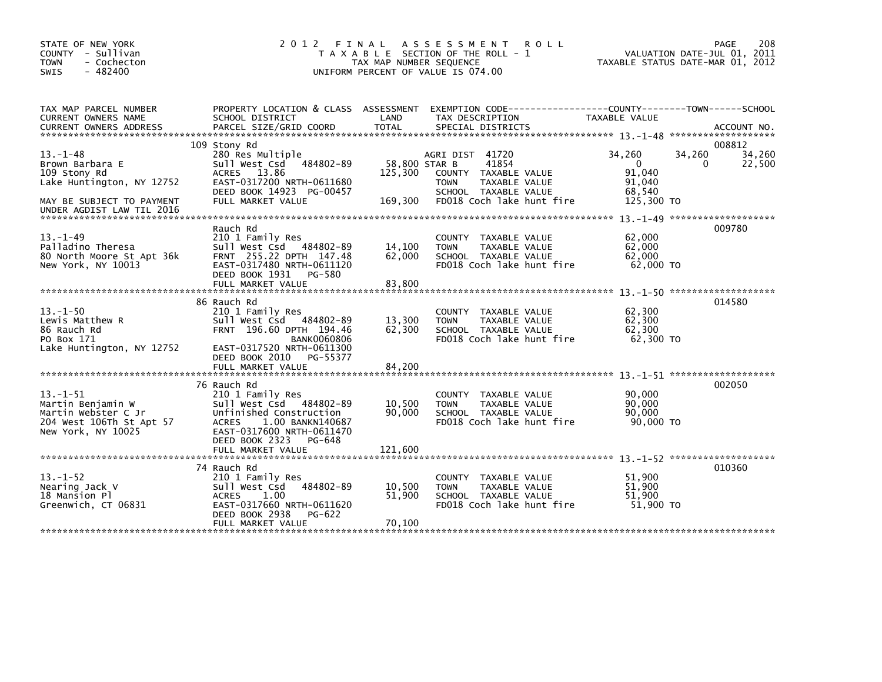| STATE OF NEW YORK<br>COUNTY - Sullivan<br><b>TOWN</b><br>- Cochecton<br>$-482400$<br>SWIS                                               | 2 0 1 2                                                                                                                                                                                  | FINAL<br>TAX MAP NUMBER SEQUENCE      | A S S E S S M E N T<br><b>ROLL</b><br>T A X A B L E SECTION OF THE ROLL - 1<br>UNIFORM PERCENT OF VALUE IS 074.00                     |                                                                | 208<br>PAGE<br>VALUATION DATE-JUL 01, 2011<br>TAXABLE STATUS DATE-MAR 01, 2012 |
|-----------------------------------------------------------------------------------------------------------------------------------------|------------------------------------------------------------------------------------------------------------------------------------------------------------------------------------------|---------------------------------------|---------------------------------------------------------------------------------------------------------------------------------------|----------------------------------------------------------------|--------------------------------------------------------------------------------|
| TAX MAP PARCEL NUMBER<br><b>CURRENT OWNERS NAME</b>                                                                                     | PROPERTY LOCATION & CLASS ASSESSMENT<br>SCHOOL DISTRICT                                                                                                                                  | LAND                                  | EXEMPTION CODE-----------------COUNTY-------TOWN------SCHOOL<br>TAX DESCRIPTION                                                       | TAXABLE VALUE                                                  |                                                                                |
| $13. -1 - 48$<br>Brown Barbara E<br>109 Stony Rd<br>Lake Huntington, NY 12752<br>MAY BE SUBJECT TO PAYMENT<br>UNDER AGDIST LAW TIL 2016 | 109 Stony Rd<br>280 Res Multiple<br>Sull West Csd<br>484802-89<br>ACRES 13.86<br>EAST-0317200 NRTH-0611680<br>DEED BOOK 14923 PG-00457<br>FULL MARKET VALUE                              | 58,800 STAR B<br>125,300<br>169,300   | AGRI DIST 41720<br>41854<br>COUNTY TAXABLE VALUE<br><b>TOWN</b><br>TAXABLE VALUE<br>SCHOOL TAXABLE VALUE<br>FD018 Coch lake hunt fire | 34,260<br>$\Omega$<br>91,040<br>91,040<br>68.540<br>125,300 TO | 008812<br>34,260<br>34,260<br>22,500<br>0                                      |
| $13. - 1 - 49$<br>Palladino Theresa<br>80 North Moore St Apt 36k<br>New York, NY 10013                                                  | Rauch Rd<br>210 1 Family Res<br>Sull West Csd<br>484802-89<br>FRNT 255.22 DPTH 147.48<br>EAST-0317480 NRTH-0611120<br>DEED BOOK 1931<br>PG-580<br>FULL MARKET VALUE                      | 14,100<br>62,000<br>83,800            | TAXABLE VALUE<br>COUNTY<br>TAXABLE VALUE<br><b>TOWN</b><br>SCHOOL TAXABLE VALUE<br>FD018 Coch lake hunt fire                          | 62,000<br>62,000<br>62,000<br>62,000 TO                        | 009780                                                                         |
| $13. -1 - 50$<br>Lewis Matthew R<br>86 Rauch Rd<br>PO Box 171<br>Lake Huntington, NY 12752                                              | 86 Rauch Rd<br>210 1 Family Res<br>Sull West Csd<br>484802-89<br>FRNT 196.60 DPTH 194.46<br><b>BANK0060806</b><br>EAST-0317520 NRTH-0611300<br>DEED BOOK 2010<br>PG-55377                | 13,300<br>62,300                      | <b>COUNTY</b><br>TAXABLE VALUE<br>TAXABLE VALUE<br><b>TOWN</b><br>SCHOOL TAXABLE VALUE<br>FD018 Coch lake hunt fire                   | 62,300<br>62,300<br>62,300<br>62,300 TO                        | 014580                                                                         |
| $13 - 1 - 51$<br>Martin Benjamin W<br>Martin Webster C Jr<br>204 West 106Th St Apt 57<br>New York, NY 10025                             | 76 Rauch Rd<br>210 1 Family Res<br>Sull West Csd 484802-89<br>Unfinished Construction<br>1.00 BANKN140687<br><b>ACRES</b><br>EAST-0317600 NRTH-0611470<br>DEED BOOK 2323<br>PG-648       | 10,500<br>90,000                      | TAXABLE VALUE<br><b>COUNTY</b><br>TAXABLE VALUE<br><b>TOWN</b><br>SCHOOL TAXABLE VALUE<br>FD018 Coch lake hunt fire                   | 90,000<br>90,000<br>90,000<br>90.000 TO                        | 002050                                                                         |
| $13. - 1 - 52$<br>Nearing Jack V<br>18 Mansion Pl<br>Greenwich, CT 06831                                                                | FULL MARKET VALUE<br>74 Rauch Rd<br>210 1 Family Res<br>Sull West Csd<br>484802-89<br><b>ACRES</b><br>1.00<br>EAST-0317660 NRTH-0611620<br>DEED BOOK 2938<br>PG-622<br>FULL MARKET VALUE | 121.600<br>10,500<br>51.900<br>70,100 | TAXABLE VALUE<br><b>COUNTY</b><br><b>TOWN</b><br>TAXABLE VALUE<br>SCHOOL TAXABLE VALUE<br>FD018 Coch lake hunt fire                   | 51,900<br>51,900<br>51.900<br>51,900 TO                        | 010360                                                                         |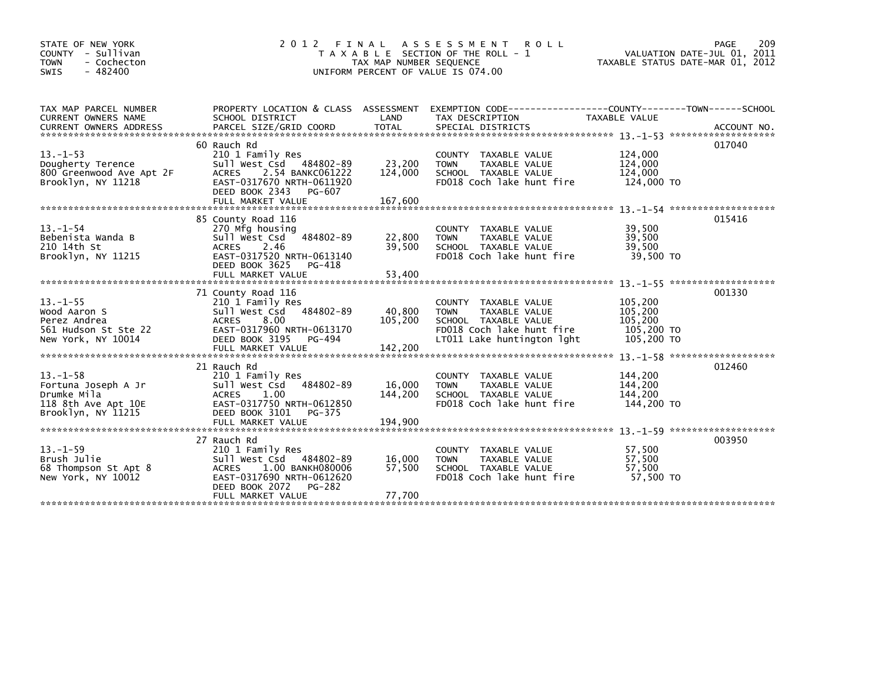| STATE OF NEW YORK<br>COUNTY - Sullivan<br>- Cochecton<br><b>TOWN</b><br>$-482400$<br><b>SWIS</b> | 2 0 1 2                                                                                                                                                                      | TAX MAP NUMBER SEQUENCE      | FINAL ASSESSMENT<br><b>ROLL</b><br>T A X A B L E SECTION OF THE ROLL - 1<br>UNIFORM PERCENT OF VALUE IS 074.00                          | VALUATION DATE-JUL 01, 2011<br>TAXABLE STATUS DATE-MAR 01, 2012 | 209<br>PAGE |
|--------------------------------------------------------------------------------------------------|------------------------------------------------------------------------------------------------------------------------------------------------------------------------------|------------------------------|-----------------------------------------------------------------------------------------------------------------------------------------|-----------------------------------------------------------------|-------------|
| TAX MAP PARCEL NUMBER<br>CURRENT OWNERS NAME                                                     | PROPERTY LOCATION & CLASS ASSESSMENT<br>SCHOOL DISTRICT                                                                                                                      | LAND                         | EXEMPTION        CODE-----------------COUNTY-------TOWN------SCHOOL<br>TAX DESCRIPTION                                                  | TAXABLE VALUE                                                   |             |
| $13 - 1 - 53$<br>Dougherty Terence<br>800 Greenwood Ave Apt 2F<br>Brooklyn, NY 11218             | 60 Rauch Rd<br>210 1 Family Res<br>Sull West Csd 484802-89<br><b>ACRES</b><br>2.54 BANKC061222<br>EAST-0317670 NRTH-0611920<br>DEED BOOK 2343<br>PG-607<br>FULL MARKET VALUE | 23,200<br>124,000<br>167,600 | COUNTY TAXABLE VALUE<br>TAXABLE VALUE<br><b>TOWN</b><br>SCHOOL TAXABLE VALUE<br>FD018 Coch lake hunt fire                               | 124,000<br>124,000<br>124,000<br>124,000 TO                     | 017040      |
| $13. - 1 - 54$<br>Bebenista Wanda B<br>210 14th St<br>Brooklyn, NY 11215                         | 85 County Road 116<br>270 Mfg housing<br>Sull West Csd<br>484802-89<br><b>ACRES</b><br>2.46<br>EAST-0317520 NRTH-0613140<br>DEED BOOK 3625<br>PG-418<br>FULL MARKET VALUE    | 22,800<br>39,500<br>53,400   | COUNTY TAXABLE VALUE<br>TAXABLE VALUE<br><b>TOWN</b><br>SCHOOL TAXABLE VALUE<br>FD018 Coch lake hunt fire                               | 39,500<br>39,500<br>39.500<br>39,500 TO                         | 015416      |
| $13. -1 - 55$<br>Wood Aaron S<br>Perez Andrea<br>561 Hudson St Ste 22<br>New York, NY 10014      | 71 County Road 116<br>210 1 Family Res<br>Sull West Csd<br>484802-89<br>ACRES 8.00<br>EAST-0317960 NRTH-0613170<br>DEED BOOK 3195<br>PG-494                                  | 40,800<br>105.200            | COUNTY TAXABLE VALUE<br>TAXABLE VALUE<br><b>TOWN</b><br>SCHOOL TAXABLE VALUE<br>FD018 Coch lake hunt fire<br>LT011 Lake huntington lght | 105,200<br>105,200<br>105,200<br>105,200 TO<br>105,200 TO       | 001330      |
| $13 - 1 - 58$<br>Fortuna Joseph A Jr<br>Drumke Mila<br>118 8th Ave Apt 10E<br>Brooklyn, NY 11215 | 21 Rauch Rd<br>210 1 Family Res<br>484802-89<br>Sull West Csd<br>1.00<br><b>ACRES</b><br>EAST-0317750 NRTH-0612850<br>DEED BOOK 3101<br>PG-375                               | 16,000<br>144.200            | COUNTY TAXABLE VALUE<br>TAXABLE VALUE<br><b>TOWN</b><br>SCHOOL TAXABLE VALUE<br>FD018 Coch lake hunt fire                               | 144,200<br>144,200<br>144.200<br>144,200 TO                     | 012460      |
| $13 - 1 - 59$<br>Brush Julie<br>68 Thompson St Apt 8<br>New York, NY 10012                       | 27 Rauch Rd<br>210 1 Family Res<br>Sull West Csd 484802-89<br><b>ACRES</b><br>1.00 BANKH080006<br>EAST-0317690 NRTH-0612620<br>DEED BOOK 2072<br>PG-282<br>FULL MARKET VALUE | 16,000<br>57,500<br>77,700   | COUNTY TAXABLE VALUE<br>TAXABLE VALUE<br><b>TOWN</b><br>SCHOOL TAXABLE VALUE<br>FD018 Coch lake hunt fire                               | 57,500<br>57,500<br>57.500<br>57.500 TO                         | 003950      |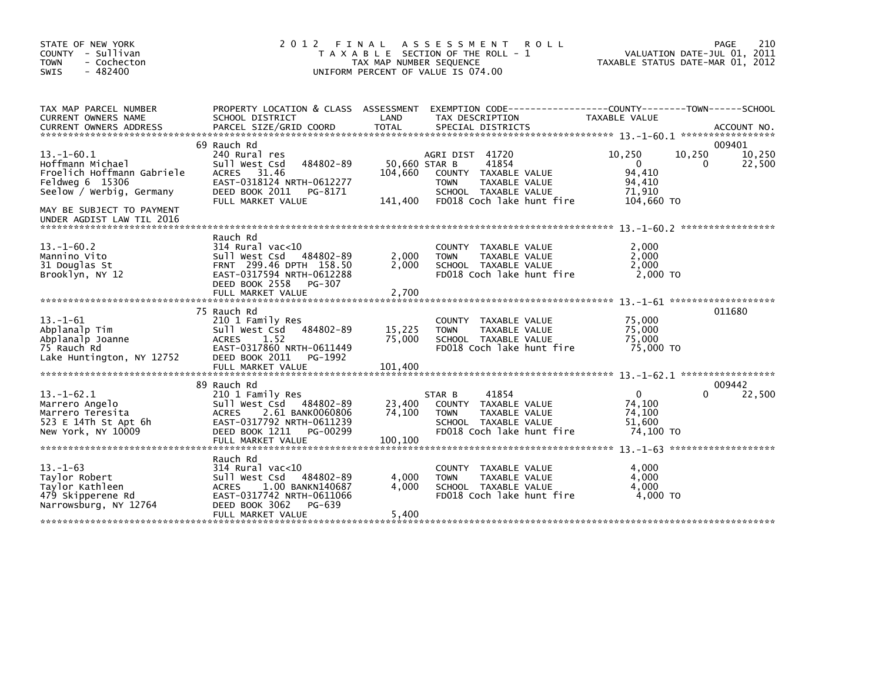| STATE OF NEW YORK<br>COUNTY - Sullivan<br><b>TOWN</b><br>- Cochecton<br>$-482400$<br>SWIS                     | 2 0 1 2                                                                                                                                                                    | FINAL<br>TAX MAP NUMBER SEQUENCE    | A S S E S S M E N T<br><b>ROLL</b><br>T A X A B L E SECTION OF THE ROLL - 1<br>UNIFORM PERCENT OF VALUE IS 074.00                     |                                                                | 210<br>PAGE<br>VALUATION DATE-JUL 01, 2011<br>TAXABLE STATUS DATE-MAR 01, 2012 |
|---------------------------------------------------------------------------------------------------------------|----------------------------------------------------------------------------------------------------------------------------------------------------------------------------|-------------------------------------|---------------------------------------------------------------------------------------------------------------------------------------|----------------------------------------------------------------|--------------------------------------------------------------------------------|
| TAX MAP PARCEL NUMBER<br>CURRENT OWNERS NAME                                                                  | PROPERTY LOCATION & CLASS ASSESSMENT<br>SCHOOL DISTRICT                                                                                                                    | LAND                                | TAX DESCRIPTION                                                                                                                       | TAXABLE VALUE                                                  |                                                                                |
|                                                                                                               | 69 Rauch Rd                                                                                                                                                                |                                     |                                                                                                                                       |                                                                | 009401                                                                         |
| $13.-1-60.1$<br>Hoffmann Michael<br>Froelich Hoffmann Gabriele<br>Feldweg 6 15306<br>Seelow / Werbig, Germany | 240 Rural res<br>Sull West Csd<br>484802-89<br>31.46<br><b>ACRES</b><br>EAST-0318124 NRTH-0612277<br>DEED BOOK 2011<br>PG-8171<br>FULL MARKET VALUE                        | 50,660 STAR B<br>104,660<br>141,400 | AGRI DIST 41720<br>41854<br>COUNTY TAXABLE VALUE<br><b>TOWN</b><br>TAXABLE VALUE<br>SCHOOL TAXABLE VALUE<br>FD018 Coch lake hunt fire | 10,250<br>$\Omega$<br>94,410<br>94,410<br>71,910<br>104,660 TO | 10,250<br>10,250<br>0<br>22,500                                                |
| MAY BE SUBJECT TO PAYMENT<br>UNDER AGDIST LAW TIL 2016                                                        |                                                                                                                                                                            |                                     |                                                                                                                                       |                                                                |                                                                                |
| $13. - 1 - 60.2$<br>Mannino Vito<br>31 Douglas St<br>Brooklyn, NY 12                                          | Rauch Rd<br>$314$ Rural vac<10<br>Sull West Csd<br>484802-89<br>FRNT 299.46 DPTH 158.50<br>EAST-0317594 NRTH-0612288<br>DEED BOOK 2558<br>PG-307<br>FULL MARKET VALUE      | 2,000<br>2,000<br>2,700             | <b>COUNTY</b><br>TAXABLE VALUE<br><b>TOWN</b><br>TAXABLE VALUE<br>SCHOOL TAXABLE VALUE<br>FD018 Coch lake hunt fire                   | 2,000<br>2.000<br>2,000<br>2,000 TO                            |                                                                                |
|                                                                                                               |                                                                                                                                                                            |                                     |                                                                                                                                       |                                                                |                                                                                |
| $13. - 1 - 61$<br>Abplanalp Tim<br>Abplanalp Joanne<br>75 Rauch Rd<br>Lake Huntington, NY 12752               | 75 Rauch Rd<br>210 1 Family Res<br>484802-89<br>Sull West Csd<br><b>ACRES</b><br>1.52<br>EAST-0317860 NRTH-0611449<br>DEED BOOK 2011<br>PG-1992<br>FULL MARKET VALUE       | 15,225<br>75,000<br>101,400         | <b>COUNTY</b><br>TAXABLE VALUE<br><b>TOWN</b><br>TAXABLE VALUE<br>SCHOOL TAXABLE VALUE<br>FD018 Coch lake hunt fire                   | 75,000<br>75,000<br>75.000<br>75,000 TO                        | 011680                                                                         |
|                                                                                                               | 89 Rauch Rd                                                                                                                                                                |                                     |                                                                                                                                       |                                                                | 009442                                                                         |
| $13. - 1 - 62.1$<br>Marrero Angelo<br>Marrero Teresita<br>523 E 14Th St Apt 6h                                | 210 1 Family Res<br>Sull West Csd 484802-89<br>2.61 BANK0060806<br><b>ACRES</b><br>EAST-0317792 NRTH-0611239                                                               | 23,400<br>74,100                    | 41854<br>STAR B<br>COUNTY TAXABLE VALUE<br>TAXABLE VALUE<br><b>TOWN</b><br>SCHOOL TAXABLE VALUE                                       | $\mathbf{0}$<br>74,100<br>74,100<br>51,600                     | 22,500<br>0                                                                    |
| New York, NY 10009                                                                                            | DEED BOOK 1211<br>PG-00299<br>FULL MARKET VALUE                                                                                                                            | 100,100                             | FD018 Coch lake hunt fire                                                                                                             | 74,100 TO                                                      |                                                                                |
| $13 - 1 - 63$<br>Taylor Robert<br>Taylor Kathleen<br>479 Skipperene Rd<br>Narrowsburg, NY 12764               | Rauch Rd<br>$314$ Rural vac< $10$<br>Sull West Csd<br>484802-89<br>ACRES<br>1.00 BANKN140687<br>EAST-0317742 NRTH-0611066<br>DEED BOOK 3062<br>PG-639<br>FULL MARKET VALUE | 4,000<br>4.000<br>5,400             | <b>COUNTY</b><br>TAXABLE VALUE<br>TAXABLE VALUE<br><b>TOWN</b><br>SCHOOL TAXABLE VALUE<br>FD018 Coch lake hunt fire                   | 4,000<br>4,000<br>4.000<br>4,000 TO                            |                                                                                |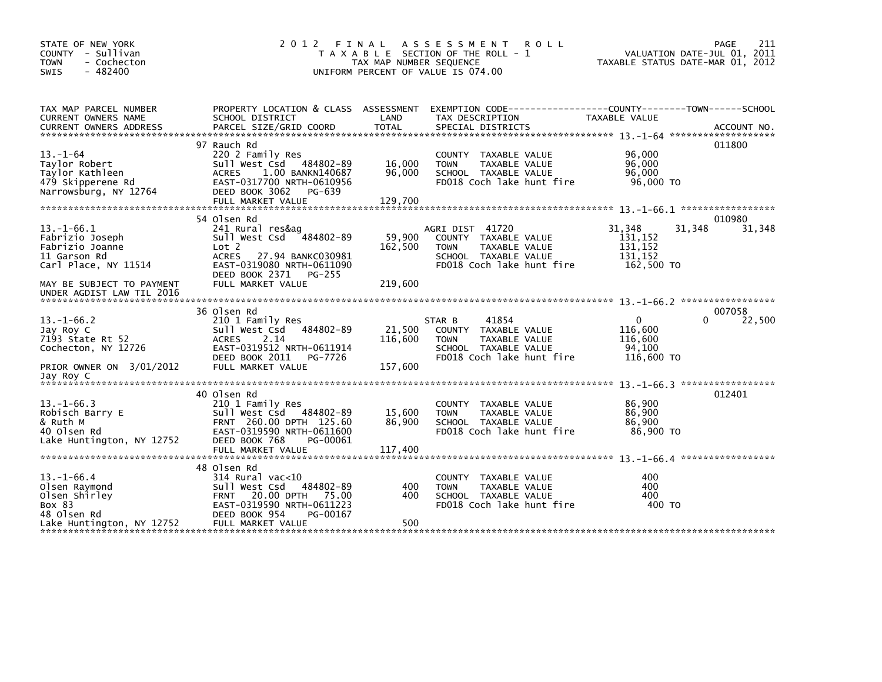| STATE OF NEW YORK<br>COUNTY - Sullivan<br>- Cochecton<br><b>TOWN</b><br>$-482400$<br><b>SWIS</b>     | 2 0 1 2                                                                                                                                                                                | FINAL<br>TAX MAP NUMBER SEQUENCE | A S S E S S M E N T<br><b>ROLL</b><br>T A X A B L E SECTION OF THE ROLL - 1<br>UNIFORM PERCENT OF VALUE IS 074.00            | TAXABLE STATUS DATE-MAR 01, 2012                                | 211<br>PAGE<br>VALUATION DATE-JUL 01, 2011 |
|------------------------------------------------------------------------------------------------------|----------------------------------------------------------------------------------------------------------------------------------------------------------------------------------------|----------------------------------|------------------------------------------------------------------------------------------------------------------------------|-----------------------------------------------------------------|--------------------------------------------|
| TAX MAP PARCEL NUMBER<br>CURRENT OWNERS NAME<br><b>CURRENT OWNERS ADDRESS</b>                        | PROPERTY LOCATION & CLASS ASSESSMENT<br>SCHOOL DISTRICT<br>PARCEL SIZE/GRID COORD                                                                                                      | LAND<br><b>TOTAL</b>             | EXEMPTION CODE-----------------COUNTY-------TOWN------SCHOOL<br>TAX DESCRIPTION<br>SPECIAL DISTRICTS                         | TAXABLE VALUE                                                   | ACCOUNT NO.                                |
| $13. - 1 - 64$<br>Taylor Robert<br>Taylor Kathleen<br>479 Skipperene Rd<br>Narrowsburg, NY 12764     | 97 Rauch Rd<br>220 2 Family Res<br>Sull West Csd 484802-89<br>1.00 BANKN140687<br><b>ACRES</b><br>EAST-0317700 NRTH-0610956<br>DEED BOOK 3062<br>PG-639<br>FULL MARKET VALUE           | 16,000<br>96,000<br>129,700      | COUNTY TAXABLE VALUE<br>TAXABLE VALUE<br><b>TOWN</b><br>SCHOOL TAXABLE VALUE<br>FD018 Coch lake hunt fire                    | 96,000<br>96,000<br>96,000<br>96,000 TO                         | 011800                                     |
| $13 - 1 - 66.1$<br>Fabrizio Joseph<br>Fabrizio Joanne<br>11 Garson Rd<br>Carl Place, NY 11514        | 54 Olsen Rd<br>241 Rural res&ag<br>484802-89<br>sull west Csd<br>Lot 2<br><b>ACRES</b><br>27.94 BANKC030981<br>EAST-0319080 NRTH-0611090<br>DEED BOOK 2371 PG-255<br>FULL MARKET VALUE | 59,900<br>162,500<br>219,600     | AGRI DIST 41720<br>COUNTY TAXABLE VALUE<br><b>TOWN</b><br>TAXABLE VALUE<br>SCHOOL TAXABLE VALUE<br>FD018 Coch lake hunt fire | 31,348<br>31,348<br>131.152<br>131,152<br>131,152<br>162,500 TO | 010980<br>31,348                           |
| MAY BE SUBJECT TO PAYMENT<br>UNDER AGDIST LAW TIL 2016                                               |                                                                                                                                                                                        |                                  |                                                                                                                              |                                                                 |                                            |
| $13. - 1 - 66.2$<br>Jay Roy C<br>7193 State Rt 52<br>Cochecton, NY 12726<br>PRIOR OWNER ON 3/01/2012 | 36 Olsen Rd<br>210 1 Family Res<br>484802-89<br>Sull West Csd<br>2.14<br><b>ACRES</b><br>EAST-0319512 NRTH-0611914<br>DEED BOOK 2011<br>PG-7726<br>FULL MARKET VALUE                   | 21,500<br>116,600<br>157,600     | 41854<br>STAR B<br>COUNTY TAXABLE VALUE<br><b>TOWN</b><br>TAXABLE VALUE<br>SCHOOL TAXABLE VALUE<br>FD018 Coch lake hunt fire | $\mathbf{0}$<br>116,600<br>116,600<br>94.100<br>116,600 TO      | 007058<br>22,500<br>0                      |
| Jay Roy C                                                                                            | 40 Olsen Rd                                                                                                                                                                            |                                  |                                                                                                                              |                                                                 | 012401                                     |
| $13. - 1 - 66.3$<br>Robisch Barry E<br>& Ruth M<br>40 Olsen Rd<br>Lake Huntington, NY 12752          | 210 1 Family Res<br>Sull West Csd<br>484802-89<br>FRNT 260.00 DPTH 125.60<br>EAST-0319590 NRTH-0611600<br>DEED BOOK 768<br>PG-00061                                                    | 15,600<br>86.900                 | <b>COUNTY</b><br>TAXABLE VALUE<br>TAXABLE VALUE<br><b>TOWN</b><br>SCHOOL TAXABLE VALUE<br>FD018 Coch lake hunt fire          | 86,900<br>86,900<br>86.900<br>86,900 TO                         |                                            |
|                                                                                                      | FULL MARKET VALUE                                                                                                                                                                      | 117,400                          |                                                                                                                              |                                                                 |                                            |
| $13.-1-66.4$<br>Olsen Raymond<br>Olsen Shirley<br>Box 83<br>48 Olsen Rd<br>Lake Huntington, NY 12752 | 48 Olsen Rd<br>314 Rural vac<10<br>sull west Csd<br>484802-89<br>20.00 DPTH<br>75.00<br><b>FRNT</b><br>EAST-0319590 NRTH-0611223<br>DEED BOOK 954<br>PG-00167<br>FULL MARKET VALUE     | 400<br>400<br>500                | COUNTY TAXABLE VALUE<br><b>TOWN</b><br>TAXABLE VALUE<br>SCHOOL TAXABLE VALUE<br>FD018 Coch lake hunt fire                    | 400<br>400<br>400<br>400 TO                                     |                                            |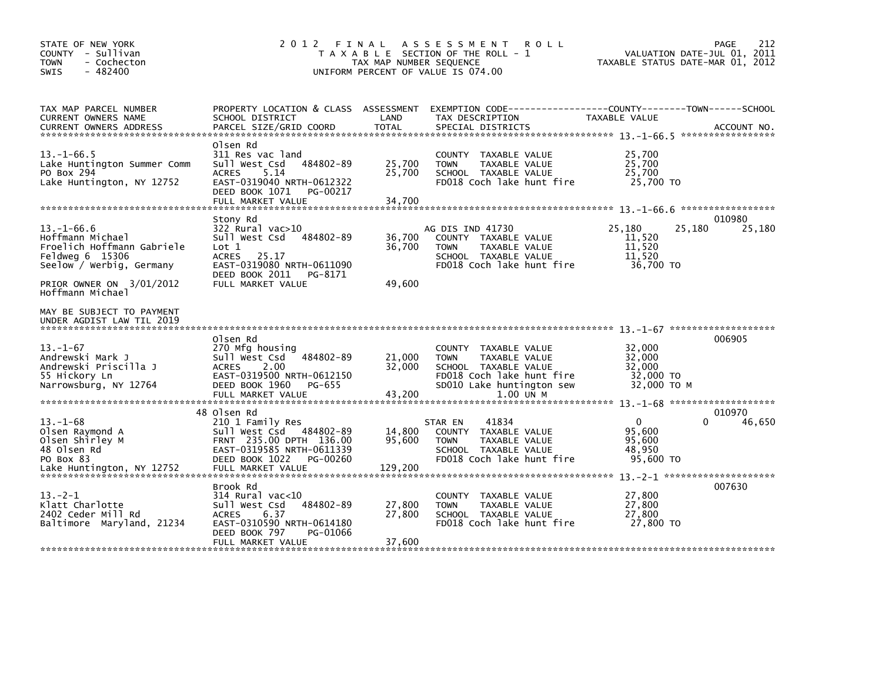| STATE OF NEW YORK<br>COUNTY - Sullivan<br><b>TOWN</b><br>- Cochecton<br>$-482400$<br>SWIS                         | 2012 FINAL                                                                                                                                                            | TAX MAP NUMBER SEQUENCE     | A S S E S S M E N T<br><b>ROLL</b><br>T A X A B L E SECTION OF THE ROLL - 1<br>UNIFORM PERCENT OF VALUE IS 074.00                                             | TAXABLE STATUS DATE-MAR 01, 2012                            | 212<br>PAGE<br>VALUATION DATE-JUL 01, 2011 |
|-------------------------------------------------------------------------------------------------------------------|-----------------------------------------------------------------------------------------------------------------------------------------------------------------------|-----------------------------|---------------------------------------------------------------------------------------------------------------------------------------------------------------|-------------------------------------------------------------|--------------------------------------------|
| TAX MAP PARCEL NUMBER<br>CURRENT OWNERS NAME                                                                      | PROPERTY LOCATION & CLASS ASSESSMENT<br>SCHOOL DISTRICT                                                                                                               | LAND                        | TAX DESCRIPTION                                                                                                                                               | TAXABLE VALUE                                               |                                            |
| $13 - 1 - 66.5$<br>Lake Huntington Summer Comm<br>PO Box 294<br>Lake Huntington, NY 12752                         | Olsen Rd<br>311 Res vac land<br>Sull West Csd<br>484802-89<br><b>ACRES</b><br>5.14<br>EAST-0319040 NRTH-0612322<br>DEED BOOK 1071<br>PG-00217<br>FULL MARKET VALUE    | 25,700<br>25,700<br>34,700  | COUNTY TAXABLE VALUE<br><b>TOWN</b><br>TAXABLE VALUE<br>SCHOOL TAXABLE VALUE<br>FD018 Coch lake hunt fire                                                     | 25,700<br>25,700<br>25,700<br>25,700 TO                     |                                            |
|                                                                                                                   | Stony Rd                                                                                                                                                              |                             |                                                                                                                                                               |                                                             | 010980                                     |
| $13. - 1 - 66.6$<br>Hoffmann Michael<br>Froelich Hoffmann Gabriele<br>Feldweg 6 15306<br>Seelow / Werbig, Germany | $322$ Rural vac $>10$<br>484802-89<br>Sull West Csd<br>Lot 1<br><b>ACRES</b><br>25.17<br>EAST-0319080 NRTH-0611090<br>DEED BOOK 2011<br>PG-8171                       | 36,700<br>36,700            | AG DIS IND 41730<br>COUNTY TAXABLE VALUE<br>TAXABLE VALUE<br><b>TOWN</b><br>SCHOOL TAXABLE VALUE<br>FD018 Coch lake hunt fire                                 | 25,180<br>25,180<br>11,520<br>11,520<br>11,520<br>36.700 TO | 25,180                                     |
| PRIOR OWNER ON 3/01/2012<br>Hoffmann Michael                                                                      | FULL MARKET VALUE                                                                                                                                                     | 49,600                      |                                                                                                                                                               |                                                             |                                            |
| MAY BE SUBJECT TO PAYMENT<br>UNDER AGDIST LAW TIL 2019                                                            |                                                                                                                                                                       |                             |                                                                                                                                                               |                                                             |                                            |
| $13 - 1 - 67$<br>Andrewski Mark J<br>Andrewski Priscilla J<br>55 Hickory Ln<br>Narrowsburg, NY 12764              | Olsen Rd<br>270 Mfg housing<br>Sull West Csd<br>484802-89<br>2.00<br><b>ACRES</b><br>EAST-0319500 NRTH-0612150<br>DEED BOOK 1960<br>PG-655<br>FULL MARKET VALUE       | 21,000<br>32,000<br>43,200  | <b>COUNTY</b><br>TAXABLE VALUE<br><b>TOWN</b><br>TAXABLE VALUE<br>SCHOOL TAXABLE VALUE<br>FD018 Coch lake hunt fire<br>SD010 Lake huntington sew<br>1.00 UN M | 32,000<br>32,000<br>32,000<br>32,000 TO<br>32,000 TO M      | 006905                                     |
|                                                                                                                   |                                                                                                                                                                       |                             |                                                                                                                                                               |                                                             |                                            |
| $13 - 1 - 68$<br>Olsen Raymond A<br>Olsen Shirley M<br>48 Olsen Rd<br>PO Box 83<br>Lake Huntington, NY 12752      | 48 Olsen Rd<br>210 1 Family Res<br>Sull West Csd 484802-89<br>FRNT 235.00 DPTH 136.00<br>EAST-0319585 NRTH-0611339<br>DEED BOOK 1022<br>PG-00260<br>FULL MARKET VALUE | 14,800<br>95,600<br>129,200 | 41834<br>STAR EN<br>COUNTY TAXABLE VALUE<br>TAXABLE VALUE<br><b>TOWN</b><br>SCHOOL TAXABLE VALUE<br>FD018 Coch lake hunt fire                                 | 0<br>95,600<br>95,600<br>48.950<br>95,600 TO                | 010970<br>46,650<br>0                      |
| $13 - 2 - 1$<br>Klatt Charlotte<br>2402 Ceder Mill Rd<br>Baltimore Maryland, 21234                                | Brook Rd<br>314 Rural vac<10<br>Sull West Csd<br>484802-89<br>6.37<br><b>ACRES</b><br>EAST-0310590 NRTH-0614180<br>DEED BOOK 797<br>PG-01066<br>FULL MARKET VALUE     | 27,800<br>27,800<br>37,600  | COUNTY TAXABLE VALUE<br>TAXABLE VALUE<br><b>TOWN</b><br>SCHOOL TAXABLE VALUE<br>FD018 Coch lake hunt fire                                                     | 27,800<br>27,800<br>27,800<br>27,800 TO                     | 007630                                     |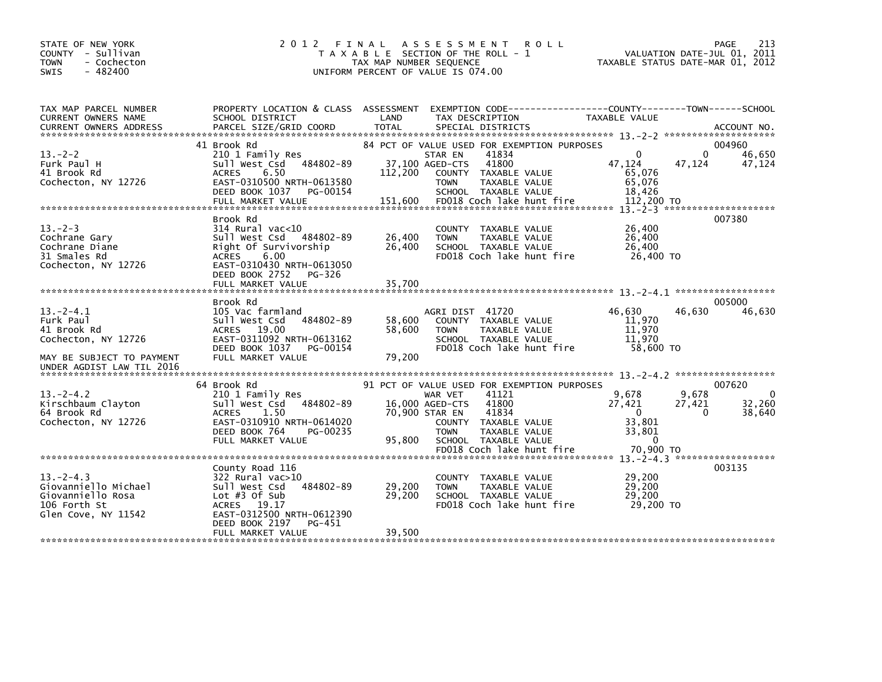| STATE OF NEW YORK<br>COUNTY - Sullivan<br>- Cochecton<br><b>TOWN</b><br>$-482400$<br>SWIS                                                                                                                                              | 2012 FINAL                                                                                                                                                                               | TAX MAP NUMBER SEQUENCE<br>UNIFORM PERCENT OF VALUE IS 074.00 | A S S E S S M E N T<br>T A X A B L E SECTION OF THE ROLL - 1                                                                                                                                   | <b>ROLL</b>                                                                    | 213<br>PAGE<br>VALUATION DATE-JUL 01, 2011<br>TAXABLE STATUS DATE-MAR 01, 2012 |
|----------------------------------------------------------------------------------------------------------------------------------------------------------------------------------------------------------------------------------------|------------------------------------------------------------------------------------------------------------------------------------------------------------------------------------------|---------------------------------------------------------------|------------------------------------------------------------------------------------------------------------------------------------------------------------------------------------------------|--------------------------------------------------------------------------------|--------------------------------------------------------------------------------|
| TAX MAP PARCEL NUMBER<br>CURRENT OWNERS NAME                                                                                                                                                                                           | PROPERTY LOCATION & CLASS ASSESSMENT<br>SCHOOL DISTRICT                                                                                                                                  | LAND                                                          | TAX DESCRIPTION                                                                                                                                                                                | EXEMPTION CODE-----------------COUNTY-------TOWN------SCHOOL<br>TAXABLE VALUE  |                                                                                |
| $13 - 2 - 2$<br>Furk Paul H<br>41 Brook Rd<br>Cochecton, NY 12726<br>200 TOLL MARKET VALUE 200 151,600 FOO18 Coch Take hunt fire 112,200 TO 18-200 TO 18-200 FOO18 Coch Take hunt fire 112,200 TO 18-200 TO 18-200 TO 18-200 TO 18-2-3 | 41 Brook Rd<br>210 1 Family Res<br>Sull West Csd 484802-89<br><b>ACRES</b><br>6.50<br>EAST-0310500 NRTH-0613580<br>DEED BOOK 1037<br>PG-00154                                            | 37,100 AGED-CTS<br>112,200                                    | 84 PCT OF VALUE USED FOR EXEMPTION PURPOSES<br>STAR EN<br>41834<br>41800<br>COUNTY TAXABLE VALUE<br>TAXABLE VALUE<br><b>TOWN</b><br>SCHOOL TAXABLE VALUE                                       | $\mathbf{0}$<br>47,124<br>65,076<br>65,076<br>18.426                           | 004960<br>$\Omega$<br>46,650<br>47,124<br>47,124                               |
| $13 - 2 - 3$<br>Cochrane Gary<br>Cochrane Diane<br>31 Smales Rd<br>Cochecton, NY 12726                                                                                                                                                 | Brook Rd<br>$314$ Rural vac<10<br>Sull West Csd 484802-89<br>Right Of Survivorship<br><b>ACRES</b><br>6.00<br>EAST-0310430 NRTH-0613050<br>DEED BOOK 2752<br>PG-326<br>FULL MARKET VALUE | 26,400<br>26,400<br>35,700                                    | COUNTY TAXABLE VALUE<br>TAXABLE VALUE<br><b>TOWN</b><br>SCHOOL TAXABLE VALUE<br>FD018 Coch lake hunt fire                                                                                      | 26,400<br>26,400<br>26,400<br>26.400 TO                                        | 007380                                                                         |
| $13 - 2 - 4.1$<br>Furk Paul<br>41 Brook Rd<br>Cochecton, NY 12726<br>MAY BE SUBJECT TO PAYMENT<br>UNDER AGDIST LAW TIL 2016                                                                                                            | Brook Rd<br>105 Vac farmland<br>Sull West Csd 484802-89<br>ACRES 19.00<br>EAST-0311092 NRTH-0613162<br>DEED BOOK 1037 PG-00154<br>FULL MARKET VALUE                                      | 58,600<br>58,600<br>79,200                                    | AGRI DIST 41720<br>COUNTY TAXABLE VALUE<br>TAXABLE VALUE<br><b>TOWN</b><br>SCHOOL TAXABLE VALUE<br>FD018 Coch lake hunt fire                                                                   | 46,630<br>11.970<br>11,970<br>11.970<br>58,600 TO                              | 005000<br>46,630<br>46,630                                                     |
|                                                                                                                                                                                                                                        |                                                                                                                                                                                          |                                                               |                                                                                                                                                                                                |                                                                                |                                                                                |
| $13 - 2 - 4.2$<br>Kirschbaum Clayton<br>64 Brook Rd<br>Cochecton, NY 12726                                                                                                                                                             | 64 Brook Rd<br>210 1 Family Res<br>Sull West Csd 484802-89<br><b>ACRES</b><br>1.50<br>EAST-0310910 NRTH-0614020<br>DEED BOOK 764<br>PG-00235<br>FULL MARKET VALUE                        | 16,000 AGED-CTS<br>70,900 STAR EN<br>95.800                   | 91 PCT OF VALUE USED FOR EXEMPTION PURPOSES<br>41121<br>WAR VET<br>41800<br>41834<br>COUNTY TAXABLE VALUE<br>TAXABLE VALUE<br><b>TOWN</b><br>SCHOOL TAXABLE VALUE<br>FD018 Coch lake hunt fire | 9.678<br>27,421<br>$\overline{0}$<br>33,801<br>33,801<br>$\Omega$<br>70,900 TO | 007620<br>9,678<br>$\Omega$<br>27,421<br>32,260<br>38,640<br>$\mathbf{0}$      |
|                                                                                                                                                                                                                                        |                                                                                                                                                                                          |                                                               |                                                                                                                                                                                                |                                                                                |                                                                                |
| $13 - 2 - 4.3$<br>Giovanniello Michael<br>Giovanniello Rosa<br>106 Forth St<br>Glen Cove, NY 11542                                                                                                                                     | County Road 116<br>322 Rural vac>10<br>484802-89<br>Sull West Csd<br>Lot $#3$ Of Sub<br>ACRES 19.17<br>EAST-0312500 NRTH-0612390<br>DEED BOOK 2197<br>PG-451                             | 29,200<br>29,200                                              | COUNTY TAXABLE VALUE<br>TAXABLE VALUE<br><b>TOWN</b><br>SCHOOL TAXABLE VALUE<br>FD018 Coch lake hunt fire                                                                                      | 29,200<br>29,200<br>29,200<br>29,200 TO                                        | 003135                                                                         |
|                                                                                                                                                                                                                                        | FULL MARKET VALUE                                                                                                                                                                        | 39,500                                                        |                                                                                                                                                                                                |                                                                                |                                                                                |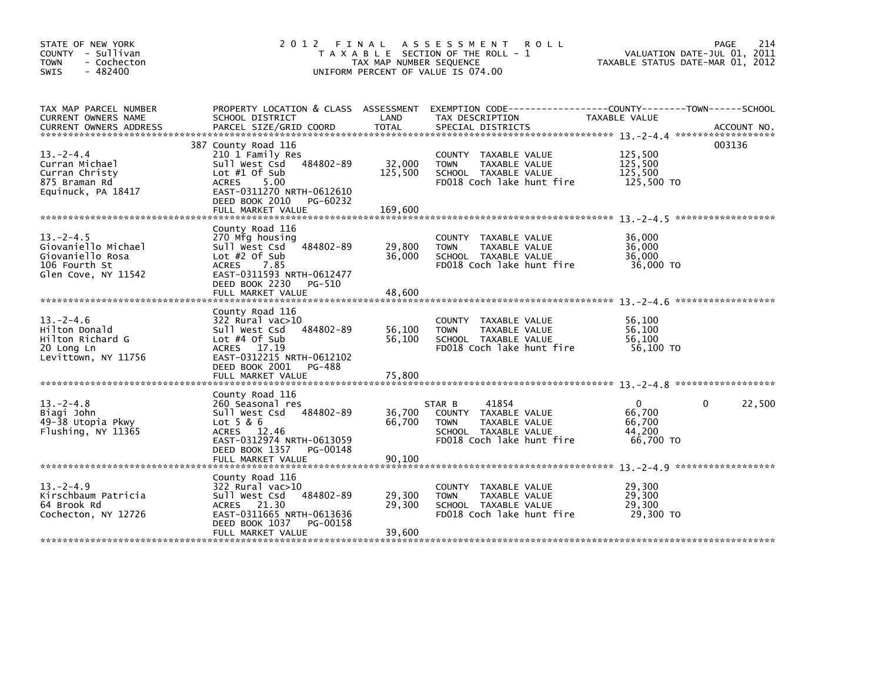| STATE OF NEW YORK<br>COUNTY - Sullivan<br><b>TOWN</b><br>- Cochecton<br>$-482400$<br>SWIS                                                                                                             | 2012 FINAL                                                                                                                                                                                | TAX MAP NUMBER SEQUENCE      | A S S E S S M E N T<br><b>ROLL</b><br>T A X A B L E SECTION OF THE ROLL - 1<br>UNIFORM PERCENT OF VALUE IS 074.00            | TAXABLE STATUS DATE-MAR 01, 2012                        | 214<br>PAGE<br>VALUATION DATE-JUL 01, 2011 |
|-------------------------------------------------------------------------------------------------------------------------------------------------------------------------------------------------------|-------------------------------------------------------------------------------------------------------------------------------------------------------------------------------------------|------------------------------|------------------------------------------------------------------------------------------------------------------------------|---------------------------------------------------------|--------------------------------------------|
| TAX MAP PARCEL NUMBER<br>CURRENT OWNERS NAME<br>CURRENT OWNERS ADDRESS PARCEL SIZE/GRID COORD TOTAL SPECIAL DISTRICTS AND MESS ADDRESS PARCEL SIZE/GRID COORD TOTAL SPECIAL DISTRICTS AND ACCOUNT NO. | PROPERTY LOCATION & CLASS ASSESSMENT<br>SCHOOL DISTRICT                                                                                                                                   | LAND                         | EXEMPTION CODE-----------------COUNTY-------TOWN------SCHOOL<br>TAX DESCRIPTION                                              | TAXABLE VALUE                                           |                                            |
| $13 - 2 - 4.4$<br>Curran Michael<br>Curran Christy<br>875 Braman Rd<br>Equinuck, PA 18417                                                                                                             | 387 County Road 116<br>210 1 Family Res<br>484802-89<br>Sull West Csd<br>Lot $#1$ Of Sub<br>ACRES<br>5.00<br>EAST-0311270 NRTH-0612610<br>DEED BOOK 2010<br>PG-60232<br>FULL MARKET VALUE | 32,000<br>125,500<br>169,600 | COUNTY TAXABLE VALUE<br>TAXABLE VALUE<br><b>TOWN</b><br>SCHOOL TAXABLE VALUE<br>FD018 Coch lake hunt fire                    | 125,500<br>125,500<br>125,500<br>125,500 TO             | 003136                                     |
| $13 - 2 - 4.5$<br>Giovaniello Michael<br>Giovaniello Rosa<br>106 Fourth St<br>Glen Cove, NY 11542                                                                                                     | County Road 116<br>270 Mfg housing<br>484802-89<br>Sull West Csd<br>Lot $#2$ Of Sub<br>ACRES<br>7.85<br>EAST-0311593 NRTH-0612477<br>DEED BOOK 2230<br>PG-510<br>FULL MARKET VALUE        | 29,800<br>36,000<br>48,600   | COUNTY TAXABLE VALUE<br><b>TOWN</b><br>TAXABLE VALUE<br>SCHOOL TAXABLE VALUE<br>FD018 Coch lake hunt fire                    | 36,000<br>36,000<br>36.000<br>36,000 TO                 |                                            |
| $13. -2 - 4.6$<br>Hilton Donald<br>Hilton Richard G<br>20 Long Ln<br>Levittown, NY 11756                                                                                                              | County Road 116<br>$322$ Rural vac $>10$<br>484802-89<br>Sull West Csd<br>Lot $#4$ Of Sub<br>ACRES 17.19<br>EAST-0312215 NRTH-0612102<br>DEED BOOK 2001<br>PG-488<br>FULL MARKET VALUE    | 56,100<br>56,100<br>75,800   | COUNTY TAXABLE VALUE<br>TAXABLE VALUE<br><b>TOWN</b><br>SCHOOL TAXABLE VALUE<br>FD018 Coch lake hunt fire                    | 56,100<br>56.100<br>56,100<br>56.100 TO                 |                                            |
| $13 - 2 - 4.8$<br>Biagi John<br>49-38 Utopia Pkwy<br>Flushing, NY 11365                                                                                                                               | County Road 116<br>260 Seasonal res<br>Sull West Csd<br>484802-89<br>Lot $5 & 6$<br>ACRES 12.46<br>EAST-0312974 NRTH-0613059<br>DEED BOOK 1357<br>PG-00148<br>FULL MARKET VALUE           | 36,700<br>66,700<br>90,100   | 41854<br>STAR B<br>COUNTY TAXABLE VALUE<br><b>TOWN</b><br>TAXABLE VALUE<br>SCHOOL TAXABLE VALUE<br>FD018 Coch lake hunt fire | $\mathbf{0}$<br>66,700<br>66,700<br>44,200<br>66,700 TO | 22,500<br>$\Omega$                         |
| $13 - 2 - 4.9$<br>Kirschbaum Patricia<br>64 Brook Rd<br>Cochecton, NY 12726                                                                                                                           | County Road 116<br>322 Rural vac>10<br>484802-89<br>Sull West Csd<br>ACRES 21.30<br>EAST-0311665 NRTH-0613636<br>DEED BOOK 1037<br>PG-00158<br>FULL MARKET VALUE                          | 29,300<br>29,300<br>39,600   | COUNTY TAXABLE VALUE<br><b>TOWN</b><br>TAXABLE VALUE<br>SCHOOL TAXABLE VALUE<br>FD018 Coch lake hunt fire                    | 29,300<br>29,300<br>29,300<br>29,300 TO                 |                                            |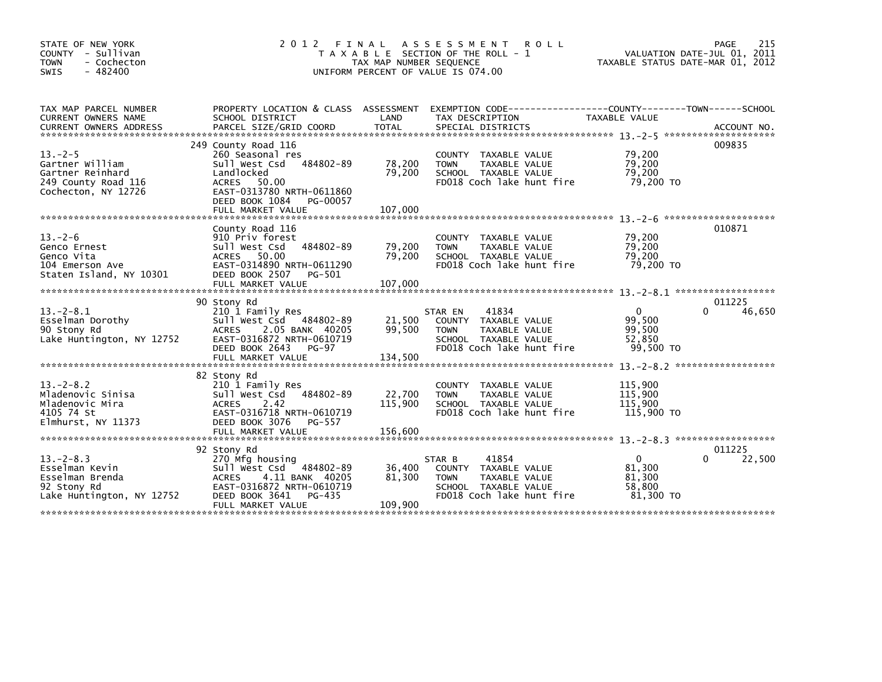| STATE OF NEW YORK<br>COUNTY - Sullivan<br><b>TOWN</b><br>- Cochecton<br>$-482400$<br><b>SWIS</b>  | 2 0 1 2                                                                                                                                                                            | FINAL<br>TAX MAP NUMBER SEQUENCE | A S S E S S M E N T<br><b>ROLL</b><br>T A X A B L E SECTION OF THE ROLL - 1<br>UNIFORM PERCENT OF VALUE IS 074.00             | TAXABLE STATUS DATE-MAR 01, 2012                        | 215<br>PAGE<br>VALUATION DATE-JUL 01, 2011 |
|---------------------------------------------------------------------------------------------------|------------------------------------------------------------------------------------------------------------------------------------------------------------------------------------|----------------------------------|-------------------------------------------------------------------------------------------------------------------------------|---------------------------------------------------------|--------------------------------------------|
| TAX MAP PARCEL NUMBER<br>CURRENT OWNERS NAME<br><b>CURRENT OWNERS ADDRESS</b>                     | PROPERTY LOCATION & CLASS ASSESSMENT<br>SCHOOL DISTRICT<br>PARCEL SIZE/GRID COORD                                                                                                  | LAND<br>TOTAL                    | EXEMPTION CODE-----------------COUNTY-------TOWN------SCHOOL<br>TAX DESCRIPTION<br>SPECIAL DISTRICTS                          | TAXABLE VALUE                                           | ACCOUNT NO.                                |
| $13. -2 - 5$<br>Gartner William<br>Gartner Reinhard<br>249 County Road 116<br>Cochecton, NY 12726 | 249 County Road 116<br>260 Seasonal res<br>Sull West Csd<br>484802-89<br>Landlocked<br>ACRES 50.00<br>EAST-0313780 NRTH-0611860<br>DEED BOOK 1084<br>PG-00057<br>FULL MARKET VALUE | 78,200<br>79,200<br>107,000      | <b>COUNTY</b><br>TAXABLE VALUE<br>TAXABLE VALUE<br><b>TOWN</b><br>SCHOOL TAXABLE VALUE<br>FD018 Coch lake hunt fire           | 79,200<br>79,200<br>79,200<br>79,200 TO                 | 009835                                     |
| $13. - 2 - 6$<br>Genco Ernest<br>Genco Vita<br>104 Emerson Ave<br>Staten Island, NY 10301         | County Road 116<br>910 Priv forest<br>484802-89<br>Sull West Csd<br>ACRES 50.00<br>EAST-0314890 NRTH-0611290<br>DEED BOOK 2507 PG-501<br>FULL MARKET VALUE                         | 79,200<br>79,200<br>107,000      | TAXABLE VALUE<br><b>COUNTY</b><br>TAXABLE VALUE<br><b>TOWN</b><br>SCHOOL TAXABLE VALUE<br>FD018 Coch lake hunt fire           | 79,200<br>79,200<br>79,200<br>79,200 TO                 | 010871                                     |
| $13.-2-8.1$<br>Esselman Dorothy<br>90 Stony Rd<br>Lake Huntington, NY 12752                       | 90 Stony Rd<br>210 1 Family Res<br>Sull West Csd 484802-89<br>2.05 BANK 40205<br><b>ACRES</b><br>EAST-0316872 NRTH-0610719<br>DEED BOOK 2643<br><b>PG-97</b><br>FULL MARKET VALUE  | 21,500<br>99,500<br>134,500      | 41834<br>STAR EN<br>COUNTY TAXABLE VALUE<br><b>TOWN</b><br>TAXABLE VALUE<br>SCHOOL TAXABLE VALUE<br>FD018 Coch lake hunt fire | $\mathbf{0}$<br>99,500<br>99,500<br>52,850<br>99,500 TO | 011225<br>46,650<br>0                      |
| $13. - 2 - 8.2$<br>Mladenovic Sinisa<br>Mladenovic Mira<br>4105 74 St<br>Elmhurst, NY 11373       | 82 Stony Rd<br>210 1 Family Res<br>Sull West Csd<br>484802-89<br>2.42<br><b>ACRES</b><br>EAST-0316718 NRTH-0610719<br>DEED BOOK 3076<br>PG-557<br>FULL MARKET VALUE                | 22,700<br>115,900<br>156,600     | TAXABLE VALUE<br>COUNTY<br><b>TOWN</b><br>TAXABLE VALUE<br>SCHOOL TAXABLE VALUE<br>FD018 Coch lake hunt fire                  | 115,900<br>115,900<br>115,900<br>115,900 TO             |                                            |
| $13. -2 - 8.3$<br>Esselman Kevin<br>Esselman Brenda<br>92 Stony Rd<br>Lake Huntington, NY 12752   | 92 Stony Rd<br>270 Mfg housing<br>Sull West Csd 484802-89<br><b>ACRES</b><br>4.11 BANK 40205<br>EAST-0316872 NRTH-0610719<br>DEED BOOK 3641<br>PG-435<br>FULL MARKET VALUE         | 36,400<br>81,300<br>109,900      | 41854<br>STAR B<br>COUNTY TAXABLE VALUE<br><b>TOWN</b><br>TAXABLE VALUE<br>SCHOOL TAXABLE VALUE<br>FD018 Coch lake hunt fire  | $\Omega$<br>81,300<br>81,300<br>58,800<br>81,300 TO     | 011225<br>22,500<br><sup>0</sup>           |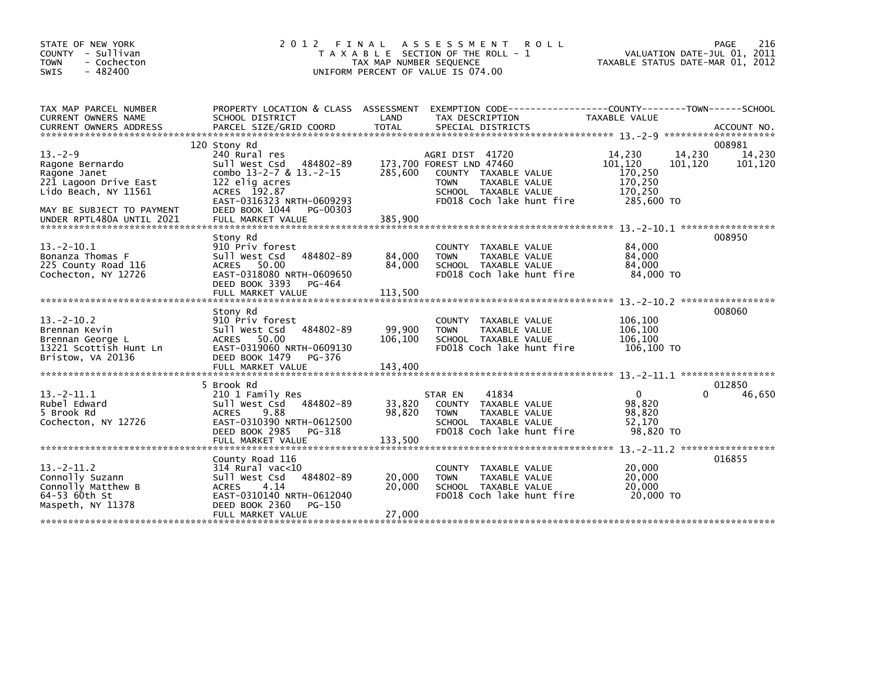| STATE OF NEW YORK<br>COUNTY - Sullivan<br>- Cochecton<br><b>TOWN</b><br>$-482400$<br><b>SWIS</b>                                                            | 2 0 1 2<br>FINAL<br>T A X A B L E SECTION OF THE ROLL - 1<br>TAX MAP NUMBER SEQUENCE<br>UNIFORM PERCENT OF VALUE IS 074.00                                                                                   | 216<br><b>PAGE</b><br>VALUATION DATE-JUL 01, 2011<br>TAXABLE STATUS DATE-MAR 01, 2012 |                                                                                                                                                          |                                                                  |                                                  |
|-------------------------------------------------------------------------------------------------------------------------------------------------------------|--------------------------------------------------------------------------------------------------------------------------------------------------------------------------------------------------------------|---------------------------------------------------------------------------------------|----------------------------------------------------------------------------------------------------------------------------------------------------------|------------------------------------------------------------------|--------------------------------------------------|
| TAX MAP PARCEL NUMBER<br><b>CURRENT OWNERS NAME</b>                                                                                                         | PROPERTY LOCATION & CLASS ASSESSMENT<br>SCHOOL DISTRICT                                                                                                                                                      | LAND                                                                                  | EXEMPTION        CODE-----------------COUNTY-------TOWN------SCHOOL<br>TAX DESCRIPTION                                                                   | TAXABLE VALUE                                                    |                                                  |
|                                                                                                                                                             |                                                                                                                                                                                                              |                                                                                       |                                                                                                                                                          |                                                                  |                                                  |
| $13. - 2 - 9$<br>Ragone Bernardo<br>Ragone Janet<br>221 Lagoon Drive East<br>Lido Beach, NY 11561<br>MAY BE SUBJECT TO PAYMENT<br>UNDER RPTL480A UNTIL 2021 | 120 Stony Rd<br>240 Rural res<br>484802-89<br>Sull West Csd<br>combo $13-2-7$ & $13.-2-15$<br>122 elig acres<br>ACRES 192.87<br>EAST-0316323 NRTH-0609293<br>DEED BOOK 1044<br>PG-00303<br>FULL MARKET VALUE | 285,600<br>385,900                                                                    | AGRI DIST 41720<br>173,700 FOREST LND 47460<br>COUNTY TAXABLE VALUE<br><b>TOWN</b><br>TAXABLE VALUE<br>SCHOOL TAXABLE VALUE<br>FD018 Coch lake hunt fire | 14,230<br>101,120<br>170,250<br>170,250<br>170,250<br>285,600 TO | 008981<br>14,230<br>14,230<br>101,120<br>101,120 |
| $13 - 2 - 10.1$<br>Bonanza Thomas F<br>225 County Road 116<br>Cochecton, NY 12726                                                                           | Stony Rd<br>910 Priv forest<br>Sull West Csd<br>484802-89<br>ACRES 50.00<br>EAST-0318080 NRTH-0609650<br>DEED BOOK 3393<br>PG-464<br>FULL MARKET VALUE                                                       | 84,000<br>84,000<br>113,500                                                           | COUNTY TAXABLE VALUE<br><b>TOWN</b><br>TAXABLE VALUE<br>SCHOOL TAXABLE VALUE<br>FD018 Coch lake hunt fire                                                | 84,000<br>84,000<br>84,000<br>84,000 TO                          | 008950                                           |
| $13 - 2 - 10.2$<br>Brennan Kevin<br>Brennan George L<br>13221 Scottish Hunt Ln<br>Bristow, VA 20136                                                         | Stony Rd<br>910 Priv forest<br>484802-89<br>Sull West Csd<br>ACRES 50.00<br>EAST-0319060 NRTH-0609130<br>DEED BOOK 1479<br>PG-376<br>FULL MARKET VALUE                                                       | 99,900<br>106,100<br>143.400                                                          | <b>COUNTY</b><br>TAXABLE VALUE<br>TAXABLE VALUE<br><b>TOWN</b><br>SCHOOL TAXABLE VALUE<br>FD018 Coch lake hunt fire                                      | 106,100<br>106,100<br>106,100<br>106,100 TO                      | 008060                                           |
| $13 - 2 - 11.1$<br>Rubel Edward<br>5 Brook Rd<br>Cochecton, NY 12726                                                                                        | 5 Brook Rd<br>210 1 Family Res<br>484802-89<br>Sull West Csd<br>9.88<br><b>ACRES</b><br>EAST-0310390 NRTH-0612500<br>DEED BOOK 2985<br>PG-318<br>FULL MARKET VALUE                                           | 33,820<br>98,820<br>133,500                                                           | 41834<br>STAR EN<br>COUNTY TAXABLE VALUE<br>TAXABLE VALUE<br><b>TOWN</b><br>SCHOOL TAXABLE VALUE<br>FD018 Coch lake hunt fire                            | $\mathbf 0$<br>98,820<br>98,820<br>52.170<br>98.820 TO           | 012850<br>$\Omega$<br>46,650                     |
| $13 - 2 - 11.2$<br>Connolly Suzann<br>Connolly Matthew B<br>64-53 60th St<br>Maspeth, NY 11378                                                              | County Road 116<br>$314$ Rural vac< $10$<br>484802-89<br>Sull West Csd<br><b>ACRES</b><br>4.14<br>EAST-0310140 NRTH-0612040<br>DEED BOOK 2360<br>PG-150<br>FULL MARKET VALUE                                 | 20,000<br>20,000<br>27,000                                                            | TAXABLE VALUE<br><b>COUNTY</b><br><b>TOWN</b><br>TAXABLE VALUE<br>SCHOOL TAXABLE VALUE<br>FD018 Coch lake hunt fire                                      | 20,000<br>20,000<br>20,000<br>20,000 TO                          | 016855                                           |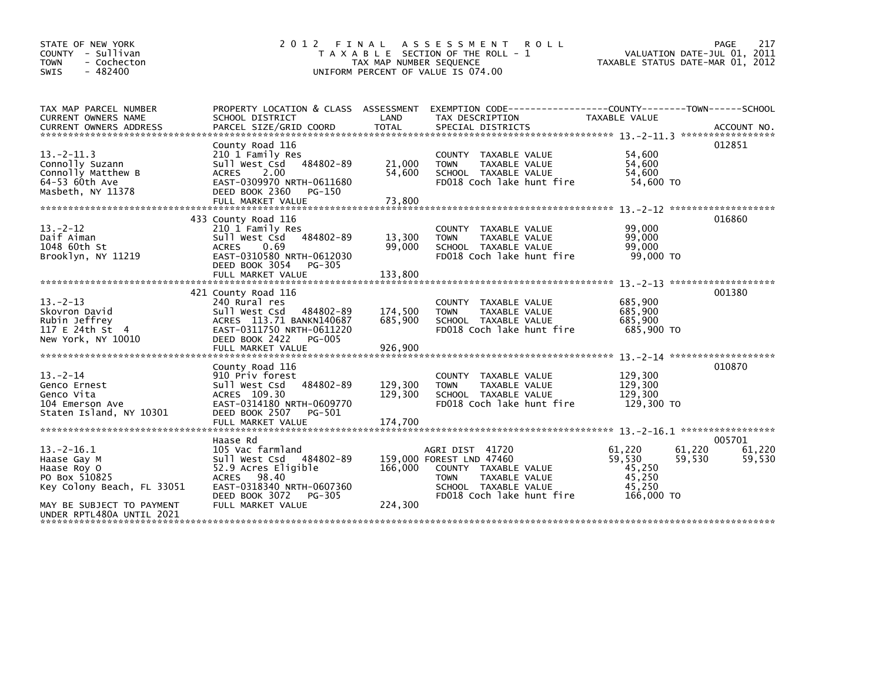| STATE OF NEW YORK<br>COUNTY - Sullivan<br>- Cochecton<br><b>TOWN</b><br>$-482400$<br><b>SWIS</b>                                                       | 2 0 1 2                                                                                                                                                                               | FINAL<br>TAX MAP NUMBER SEQUENCE | A S S E S S M E N T<br><b>ROLL</b><br>T A X A B L E SECTION OF THE ROLL - 1<br>UNIFORM PERCENT OF VALUE IS 074.00                                        | TAXABLE STATUS DATE-MAR 01, 2012                                                 | 217<br>PAGE<br>VALUATION DATE-JUL 01, 2011 |
|--------------------------------------------------------------------------------------------------------------------------------------------------------|---------------------------------------------------------------------------------------------------------------------------------------------------------------------------------------|----------------------------------|----------------------------------------------------------------------------------------------------------------------------------------------------------|----------------------------------------------------------------------------------|--------------------------------------------|
| TAX MAP PARCEL NUMBER<br>CURRENT OWNERS NAME<br><b>CURRENT OWNERS ADDRESS</b>                                                                          | SCHOOL DISTRICT<br>PARCEL SIZE/GRID COORD                                                                                                                                             | LAND<br><b>TOTAL</b>             | PROPERTY LOCATION & CLASS ASSESSMENT EXEMPTION CODE----------------COUNTY-------TOWN------SCHOOL<br>TAX DESCRIPTION<br>SPECIAL DISTRICTS                 | TAXABLE VALUE                                                                    | ACCOUNT NO.                                |
| $13 - 2 - 11.3$<br>Connolly Suzann<br>Connolly Matthew B<br>64-53 60th Ave<br>Masbeth, NY 11378                                                        | County Road 116<br>210 1 Family Res<br>Sull West Csd<br>484802-89<br>2.00<br><b>ACRES</b><br>EAST-0309970 NRTH-0611680<br>DEED BOOK 2360<br>PG-150<br>FULL MARKET VALUE               | 21,000<br>54,600<br>73,800       | COUNTY TAXABLE VALUE<br>TAXABLE VALUE<br><b>TOWN</b><br>SCHOOL TAXABLE VALUE<br>FD018 Coch lake hunt fire                                                | 54,600<br>54,600<br>54,600<br>54,600 TO                                          | 012851                                     |
| $13 - 2 - 12$<br>Daif Aiman<br>1048 60th St<br>Brooklyn, NY 11219                                                                                      | 433 County Road 116<br>210 1 Family Res<br>484802-89<br>Sull West Csd<br>0.69<br><b>ACRES</b><br>EAST-0310580 NRTH-0612030<br>DEED BOOK 3054<br>PG-305<br>FULL MARKET VALUE           | 13,300<br>99,000<br>133,800      | COUNTY TAXABLE VALUE<br>TAXABLE VALUE<br><b>TOWN</b><br>SCHOOL TAXABLE VALUE<br>FD018 Coch lake hunt fire                                                | 99.000<br>99,000<br>99,000<br>99,000 TO                                          | 016860                                     |
| $13 - 2 - 13$<br>Skovron David<br>Rubin Jeffrev<br>117 E 24th St 4<br>New York, NY 10010                                                               | 421 County Road 116<br>240 Rural res<br>Sull West Csd<br>484802-89<br>ACRES 113.71 BANKN140687<br>EAST-0311750 NRTH-0611220<br>DEED BOOK 2422<br><b>PG-005</b><br>FULL MARKET VALUE   | 174,500<br>685,900<br>926,900    | COUNTY TAXABLE VALUE<br><b>TOWN</b><br>TAXABLE VALUE<br>SCHOOL TAXABLE VALUE<br>FD018 Coch lake hunt fire                                                | 685,900<br>685,900<br>685.900<br>685,900 TO                                      | 001380                                     |
| $13 - 2 - 14$<br>Genco Ernest<br>Genco Vita<br>104 Emerson Ave<br>Staten Island, NY 10301                                                              | County Road 116<br>910 Priv forest<br>Sull West Csd<br>484802-89<br>ACRES 109.30<br>EAST-0314180 NRTH-0609770<br>DEED BOOK 2507<br>PG-501                                             | 129,300<br>129,300               | COUNTY TAXABLE VALUE<br><b>TOWN</b><br>TAXABLE VALUE<br>SCHOOL TAXABLE VALUE<br>FD018 Coch lake hunt fire                                                | 129,300<br>129.300<br>129,300<br>129,300 TO                                      | 010870                                     |
| $13 - 2 - 16.1$<br>Haase Gay M<br>Haase Roy O<br>PO Box 510825<br>Key Colony Beach, FL 33051<br>MAY BE SUBJECT TO PAYMENT<br>UNDER RPTL480A UNTIL 2021 | Haase Rd<br>105 Vac farmland<br>Sull West Csd 484802-89<br>52.9 Acres Eligible<br>98.40<br><b>ACRES</b><br>EAST-0318340 NRTH-0607360<br>DEED BOOK 3072<br>PG-305<br>FULL MARKET VALUE | 166,000<br>224,300               | AGRI DIST 41720<br>159,000 FOREST LND 47460<br>COUNTY TAXABLE VALUE<br><b>TOWN</b><br>TAXABLE VALUE<br>SCHOOL TAXABLE VALUE<br>FD018 Coch lake hunt fire | 61.220<br>61,220<br>59,530<br>59.530<br>45,250<br>45,250<br>45.250<br>166,000 TO | 005701<br>61.220<br>59,530                 |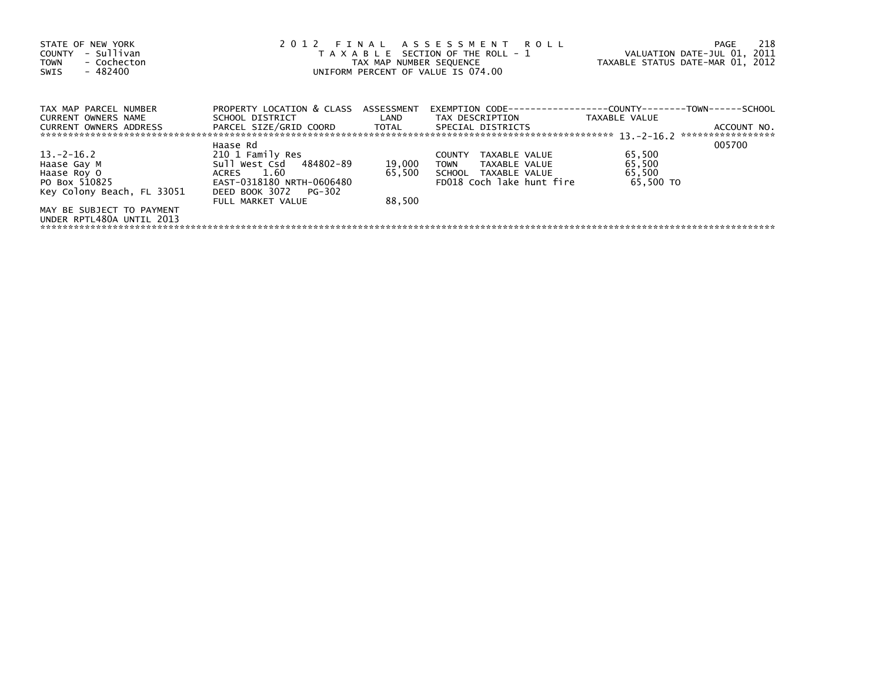| 2012 FINAL ASSESSMENT ROLL<br>STATE OF NEW YORK<br>- Sullivan<br>T A X A B L E SECTION OF THE ROLL - 1<br>COUNTY<br>- Cochecton<br>TAX MAP NUMBER SEQUENCE<br><b>TOWN</b><br>$-482400$<br>UNIFORM PERCENT OF VALUE IS 074.00<br><b>SWIS</b> |                                                 |                            |                                                                      | VALUATION DATE-JUL 01, 2011<br>TAXABLE STATUS DATE-MAR 01, 2012 | 218<br>PAGE |
|---------------------------------------------------------------------------------------------------------------------------------------------------------------------------------------------------------------------------------------------|-------------------------------------------------|----------------------------|----------------------------------------------------------------------|-----------------------------------------------------------------|-------------|
| TAX MAP PARCEL NUMBER                                                                                                                                                                                                                       | PROPERTY LOCATION & CLASS ASSESSMENT            |                            | EXEMPTION        CODE-----------------COUNTY--------TOWN------SCHOOL |                                                                 |             |
| <b>CURRENT OWNERS NAME</b><br><b>CURRENT OWNERS ADDRESS</b>                                                                                                                                                                                 | SCHOOL DISTRICT<br>PARCEL SIZE/GRID COORD TOTAL | <b>Example 18 The LAND</b> | TAX DESCRIPTION<br>SPECIAL DISTRICTS                                 | TAXABLE VALUE                                                   | ACCOUNT NO. |
|                                                                                                                                                                                                                                             | Haase Rd                                        |                            |                                                                      |                                                                 | 005700      |
| 13. –2–16.2                                                                                                                                                                                                                                 | 210 1 Family Res                                |                            | TAXABLE VALUE<br><b>COUNTY</b>                                       | 65,500                                                          |             |
| Haase Gay M                                                                                                                                                                                                                                 | Sull West Csd 484802-89                         | 19,000                     | TOWN<br>TAXABLE VALUE                                                | 65,500                                                          |             |
| Haase Roy O                                                                                                                                                                                                                                 | ACRES 1.60                                      | 65,500                     | SCHOOL TAXABLE VALUE                                                 | 65,500                                                          |             |
| PO Box 510825                                                                                                                                                                                                                               | EAST-0318180 NRTH-0606480                       |                            | FD018 Coch lake hunt fire                                            | 65.500 TO                                                       |             |
| Key Colony Beach, FL 33051                                                                                                                                                                                                                  | DEED BOOK 3072 PG-302<br>FULL MARKET VALUE      | 88.500                     |                                                                      |                                                                 |             |
| MAY BE SUBJECT TO PAYMENT<br>UNDER RPTL480A UNTIL 2013                                                                                                                                                                                      |                                                 |                            |                                                                      |                                                                 |             |
|                                                                                                                                                                                                                                             |                                                 |                            |                                                                      |                                                                 |             |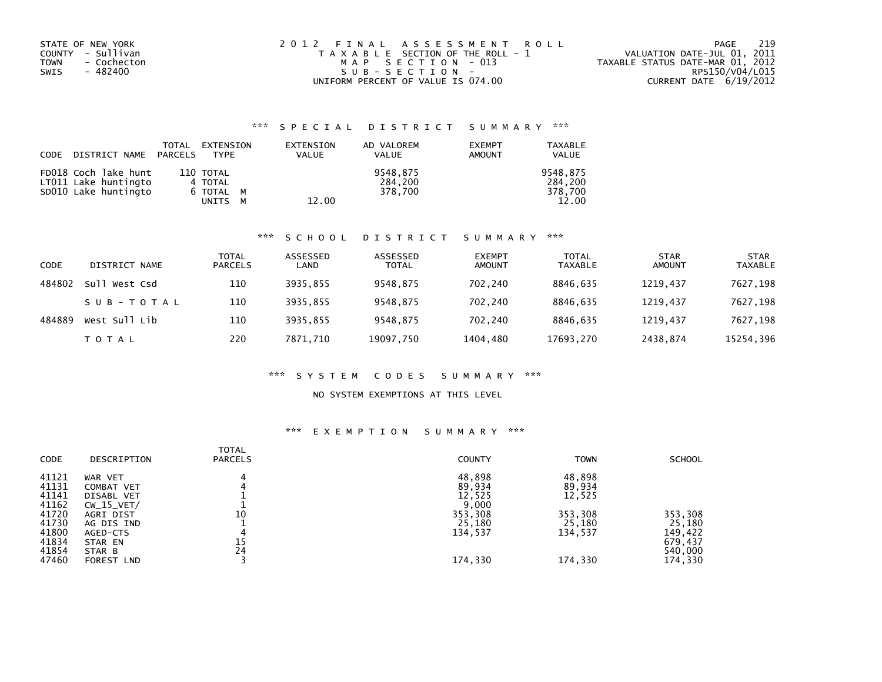| STATE OF NEW YORK   | 2012 FINAL ASSESSMENT ROLL            | 219<br>PAGE                      |
|---------------------|---------------------------------------|----------------------------------|
| COUNTY - Sullivan   | T A X A B L E SECTION OF THE ROLL - 1 | VALUATION DATE-JUL 01, 2011      |
| TOWN<br>- Cochecton | MAP SECTION - 013                     | TAXABLE STATUS DATE-MAR 01, 2012 |
| - 482400<br>SWIS    | SUB-SECTION-                          | RPS150/V04/L015                  |
|                     | UNIFORM PERCENT OF VALUE IS 074.00    | CURRENT DATE $6/19/2012$         |

## \*\*\* S P E C I A L D I S T R I C T S U M M A R Y \*\*\*

| CODE | DISTRICT NAME PARCELS                        | TOTAL | EXTENSION<br>TYPE       | EXTENSION<br><b>VALUE</b> | AD VALOREM<br><b>VALUE</b> | <b>EXEMPT</b><br>AMOUNT | <b>TAXABLE</b><br><b>VALUE</b> |
|------|----------------------------------------------|-------|-------------------------|---------------------------|----------------------------|-------------------------|--------------------------------|
|      | FD018 Coch lake hunt<br>LT011 Lake huntingto |       | 110 TOTAL<br>4 TOTAL    |                           | 9548.875<br>284.200        |                         | 9548.875<br>284.200            |
|      | SD010 Lake huntingto                         |       | 6 TOTAL M<br>UNITS<br>м | 12.00                     | 378.700                    |                         | 378.700<br>12.00               |

#### \*\*\* S C H O O L D I S T R I C T S U M M A R Y \*\*\*

| CODE   | DISTRICT NAME | <b>TOTAL</b><br><b>PARCELS</b> | ASSESSED<br>LAND | ASSESSED<br><b>TOTAL</b> | <b>EXEMPT</b><br><b>AMOUNT</b> | <b>TOTAL</b><br><b>TAXABLE</b> | <b>STAR</b><br><b>AMOUNT</b> | <b>STAR</b><br><b>TAXABLE</b> |
|--------|---------------|--------------------------------|------------------|--------------------------|--------------------------------|--------------------------------|------------------------------|-------------------------------|
| 484802 | Sull West Csd | 110                            | 3935.855         | 9548,875                 | 702.240                        | 8846.635                       | 1219.437                     | 7627,198                      |
|        | SUB-TOTAL     | 110                            | 3935.855         | 9548,875                 | 702.240                        | 8846.635                       | 1219,437                     | 7627,198                      |
| 484889 | West Sull Lib | 110                            | 3935.855         | 9548.875                 | 702.240                        | 8846.635                       | 1219.437                     | 7627,198                      |
|        | <b>TOTAL</b>  | 220                            | 7871.710         | 19097,750                | 1404,480                       | 17693,270                      | 2438,874                     | 15254,396                     |

#### \*\*\* S Y S T E M C O D E S S U M M A R Y \*\*\*

### NO SYSTEM EXEMPTIONS AT THIS LEVEL

## \*\*\* E X E M P T I O N S U M M A R Y \*\*\*

| DESCRIPTION       | <b>TOTAL</b><br><b>PARCELS</b> | <b>COUNTY</b> | <b>TOWN</b> | <b>SCHOOL</b> |
|-------------------|--------------------------------|---------------|-------------|---------------|
| WAR VET           | 4                              | 48,898        | 48,898      |               |
| COMBAT VET        |                                | 89,934        | 89,934      |               |
| DISABL VET        |                                | 12,525        | 12,525      |               |
| $CW_15_VET/$      |                                | 9,000         |             |               |
| AGRI DIST         | 10                             | 353,308       | 353,308     | 353,308       |
| AG DIS IND        |                                | 25,180        | 25,180      | 25,180        |
| AGED-CTS          | 4                              | 134,537       | 134,537     | 149,422       |
| STAR EN           | 15                             |               |             | 679,437       |
| STAR B            | 24                             |               |             | 540,000       |
| <b>FOREST LND</b> |                                | 174,330       | 174,330     | 174,330       |
|                   |                                |               |             |               |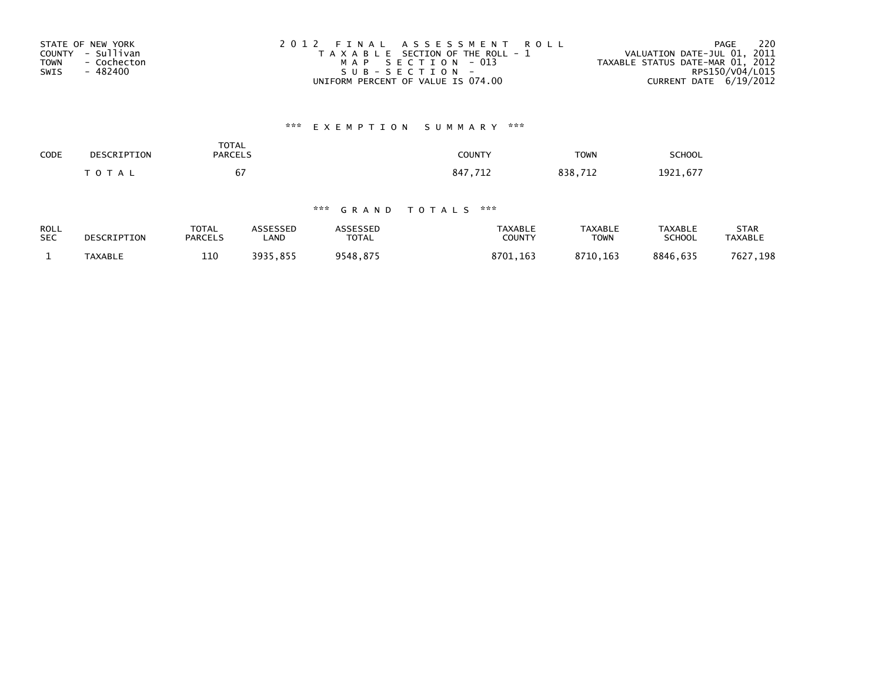| STATE OF NEW YORK          | 2012 FINAL ASSESSMENT ROLL            | 220<br>PAGE                      |
|----------------------------|---------------------------------------|----------------------------------|
| COUNTY - Sullivan          | T A X A B L E SECTION OF THE ROLL - 1 | VALUATION DATE-JUL 01, 2011      |
| <b>TOWN</b><br>- Cochecton | MAP SECTION - 013                     | TAXABLE STATUS DATE-MAR 01, 2012 |
| - 482400<br>SWIS           | $SUB - SECTION -$                     | RPS150/V04/L015                  |
|                            | UNIFORM PERCENT OF VALUE IS 074.00    | CURRENT DATE 6/19/2012           |

# \*\*\* E X E M P T I O N S U M M A R Y \*\*\*

| SCHOOL   | <b>TOWN</b> | COUNTY      | <b>TOTAL</b><br><b>PARCELS</b>           | DESCRIPTION | CODE |
|----------|-------------|-------------|------------------------------------------|-------------|------|
| 1921,677 | 712<br>838, | .712<br>847 | $\overline{\phantom{a}}$<br>ь.<br>$\sim$ | $T$ O T A L |      |

## \*\*\* G R A N D T O T A L S \*\*\*

| <b>ROLL</b> | DESCRIPTION    | <b>TOTAL</b>   | ASSESSED | <b>ASSESSED</b> | TAXABLE       | <b>TAXABLE</b> | TAXABLE       | STAR           |
|-------------|----------------|----------------|----------|-----------------|---------------|----------------|---------------|----------------|
| <b>SEC</b>  |                | <b>PARCELS</b> | LAND     | TOTAL           | <b>COUNTY</b> | TOWN           | <b>SCHOOL</b> | <b>TAXABLE</b> |
|             | <b>TAXABLE</b> | 110            | 3935.855 | 9548,875        | 8701.163      | 8710.163       | 8846.635      | 7627,198       |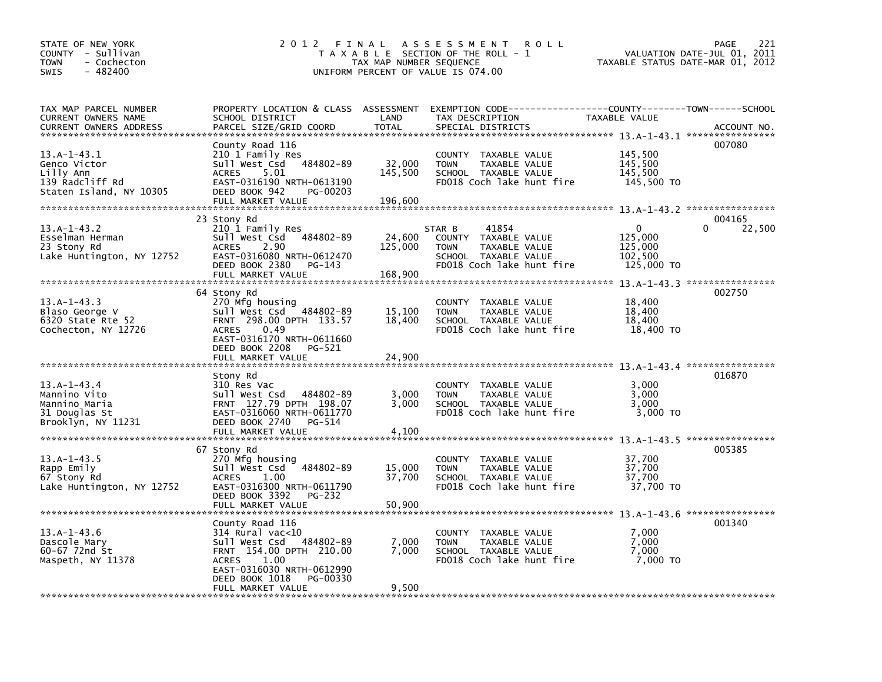| STATE OF NEW YORK<br>COUNTY - Sullivan<br><b>TOWN</b><br>- Cochecton<br>$-482400$<br>SWIS | 2012 FINAL                                                                                                                                                                                           | TAX MAP NUMBER SEQUENCE      | A S S E S S M E N T<br><b>ROLL</b><br>T A X A B L E SECTION OF THE ROLL - 1<br>UNIFORM PERCENT OF VALUE IS 074.00                      | VALUATION DATE-JUL 01,<br>TAXABLE STATUS DATE-MAR 01, 2012 | 221<br><b>PAGE</b><br>2011   |
|-------------------------------------------------------------------------------------------|------------------------------------------------------------------------------------------------------------------------------------------------------------------------------------------------------|------------------------------|----------------------------------------------------------------------------------------------------------------------------------------|------------------------------------------------------------|------------------------------|
| TAX MAP PARCEL NUMBER<br>CURRENT OWNERS NAME<br><b>CURRENT OWNERS ADDRESS</b>             | SCHOOL DISTRICT<br>PARCEL SIZE/GRID COORD                                                                                                                                                            | LAND<br><b>TOTAL</b>         | PROPERTY LOCATION & CLASS ASSESSMENT EXEMPTION CODE---------------COUNTY-------TOWN-----SCHOOL<br>TAX DESCRIPTION<br>SPECIAL DISTRICTS | TAXABLE VALUE                                              | ACCOUNT NO.                  |
| $13.A-1-43.1$<br>Genco Victor<br>Lilly Ann<br>139 Radcliff Rd<br>Staten Island, NY 10305  | County Road 116<br>210 1 Family Res<br>484802-89<br>Sull West Csd<br><b>ACRES</b><br>5.01<br>EAST-0316190 NRTH-0613190<br>DEED BOOK 942<br>PG-00203<br>FULL MARKET VALUE                             | 32,000<br>145,500<br>196,600 | COUNTY TAXABLE VALUE<br>TAXABLE VALUE<br><b>TOWN</b><br>SCHOOL TAXABLE VALUE<br>FD018 Coch lake hunt fire                              | 145,500<br>145,500<br>145,500<br>145,500 TO                | 007080                       |
| $13.A-1-43.2$<br>Esselman Herman<br>23 Stony Rd<br>Lake Huntington, NY 12752              | 23 Stony Rd<br>210 1 Family Res<br>Sull West Csd<br>484802-89<br><b>ACRES</b><br>2.90<br>EAST-0316080 NRTH-0612470<br>DEED BOOK 2380<br>PG-143<br>FULL MARKET VALUE                                  | 24,600<br>125,000<br>168,900 | STAR B<br>41854<br>COUNTY TAXABLE VALUE<br><b>TOWN</b><br>TAXABLE VALUE<br>SCHOOL TAXABLE VALUE<br>FD018 Coch lake hunt fire           | 0<br>125,000<br>125,000<br>102,500<br>125,000 TO           | 004165<br>$\Omega$<br>22,500 |
| $13.A-1-43.3$<br>Blaso George V<br>6320 State Rte 52<br>Cochecton, NY 12726               | 64 Stony Rd<br>270 Mfg housing<br>Sull West Csd<br>484802-89<br>FRNT 298.00 DPTH 133.57<br>0.49<br><b>ACRES</b><br>EAST-0316170 NRTH-0611660<br>DEED BOOK 2208<br><b>PG-521</b><br>FULL MARKET VALUE | 15,100<br>18,400<br>24,900   | <b>COUNTY</b><br>TAXABLE VALUE<br>TAXABLE VALUE<br><b>TOWN</b><br>SCHOOL TAXABLE VALUE<br>FD018 Coch lake hunt fire                    | 18,400<br>18,400<br>18,400<br>18,400 TO                    | 002750                       |
| $13.A-1-43.4$<br>Mannino Vito<br>Mannino Maria<br>31 Douglas St<br>Brooklyn, NY 11231     | Stony Rd<br>310 Res Vac<br>Sull West Csd<br>484802-89<br>FRNT 127.79 DPTH 198.07<br>EAST-0316060 NRTH-0611770<br>DEED BOOK 2740<br>PG-514                                                            | 3,000<br>3,000               | <b>COUNTY</b><br>TAXABLE VALUE<br>TAXABLE VALUE<br><b>TOWN</b><br>SCHOOL TAXABLE VALUE<br>FD018 Coch lake hunt fire                    | 3,000<br>3,000<br>3,000<br>3,000 TO                        | 016870                       |
| $13.A-1-43.5$<br>Rapp Emily<br>67 Stony Rd<br>Lake Huntington, NY 12752                   | FULL MARKET VALUE<br>67 Stony Rd<br>270 Mfg housing<br>484802-89<br>Sull West Csd<br>1.00<br><b>ACRES</b><br>EAST-0316300 NRTH-0611790<br>DEED BOOK 3392<br>PG-232                                   | 4,100<br>15,000<br>37,700    | COUNTY TAXABLE VALUE<br><b>TOWN</b><br>TAXABLE VALUE<br>SCHOOL TAXABLE VALUE<br>FD018 Coch lake hunt fire                              | 37,700<br>37,700<br>37,700<br>37,700 TO                    | 005385                       |
|                                                                                           | FULL MARKET VALUE                                                                                                                                                                                    | 50,900                       |                                                                                                                                        |                                                            | 001340                       |
| $13.A-1-43.6$<br>Dascole Mary<br>60-67 72nd St<br>Maspeth, NY 11378                       | County Road 116<br>314 Rural vac<10<br>Sull West Csd<br>484802-89<br>FRNT 154.00 DPTH 210.00<br><b>ACRES</b><br>1.00<br>EAST-0316030 NRTH-0612990<br>DEED BOOK 1018<br>PG-00330                      | 7,000<br>7,000               | <b>COUNTY</b><br>TAXABLE VALUE<br>TAXABLE VALUE<br><b>TOWN</b><br>SCHOOL TAXABLE VALUE<br>FD018 Coch lake hunt fire                    | 7,000<br>7,000<br>7,000<br>7,000 TO                        |                              |
|                                                                                           | FULL MARKET VALUE                                                                                                                                                                                    | 9,500                        |                                                                                                                                        |                                                            |                              |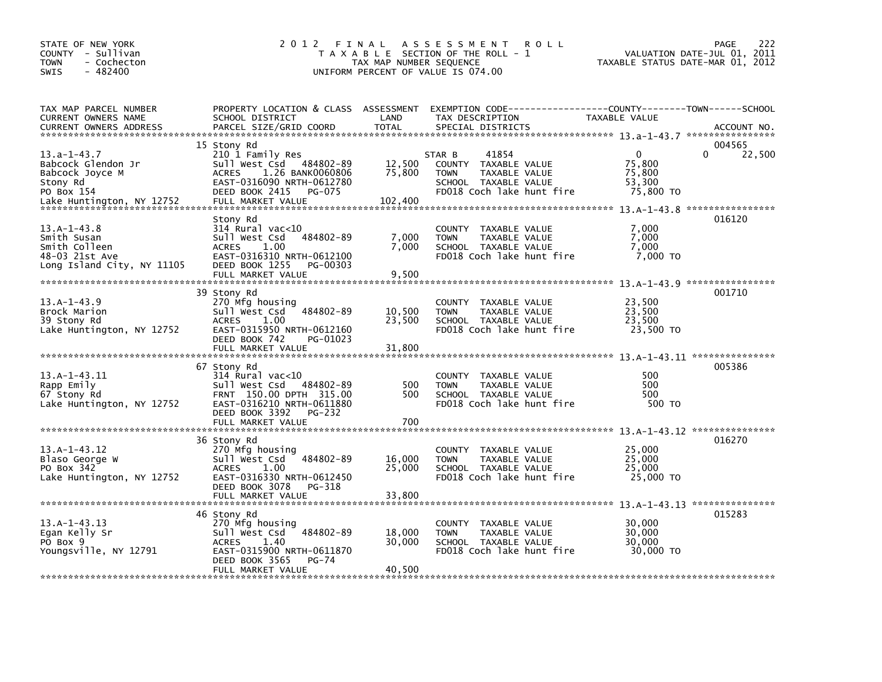| STATE OF NEW YORK<br>COUNTY - Sullivan<br><b>TOWN</b><br>- Cochecton<br>$-482400$<br><b>SWIS</b> | 2 0 1 2                                                                                                                                                                 | FINAL<br>TAX MAP NUMBER SEQUENCE | <b>ROLL</b><br>A S S E S S M E N T<br>T A X A B L E SECTION OF THE ROLL - 1<br>UNIFORM PERCENT OF VALUE IS 074.00            |                                                         | 222<br><b>PAGE</b><br>VALUATION DATE-JUL 01, 2011<br>TAXABLE STATUS DATE-MAR 01, 2012 |
|--------------------------------------------------------------------------------------------------|-------------------------------------------------------------------------------------------------------------------------------------------------------------------------|----------------------------------|------------------------------------------------------------------------------------------------------------------------------|---------------------------------------------------------|---------------------------------------------------------------------------------------|
| TAX MAP PARCEL NUMBER<br>CURRENT OWNERS NAME<br><b>CURRENT OWNERS ADDRESS</b>                    | PROPERTY LOCATION & CLASS ASSESSMENT<br>SCHOOL DISTRICT<br>PARCEL SIZE/GRID COORD                                                                                       | LAND<br><b>TOTAL</b>             | EXEMPTION CODE-----------------COUNTY-------TOWN------SCHOOL<br>TAX DESCRIPTION<br>SPECIAL DISTRICTS                         | TAXABLE VALUE                                           | ACCOUNT NO.                                                                           |
| $13.a-1-43.7$<br>Babcock Glendon Jr<br>Babcock Joyce M<br>Stony Rd<br>PO Box 154                 | 15 Stony Rd<br>210 1 Family Res<br>484802-89<br>Sull West Csd<br>1.26 BANK0060806<br><b>ACRES</b><br>EAST-0316090 NRTH-0612780<br>DEED BOOK 2415<br>PG-075              | 12,500<br>75,800<br>102,400      | STAR B<br>41854<br>COUNTY TAXABLE VALUE<br><b>TOWN</b><br>TAXABLE VALUE<br>SCHOOL TAXABLE VALUE<br>FD018 Coch lake hunt fire | $\mathbf{0}$<br>75,800<br>75,800<br>53,300<br>75,800 TO | 004565<br>$\Omega$<br>22,500                                                          |
| $13.A-1-43.8$<br>Smith Susan<br>Smith Colleen<br>48-03 21st Ave<br>Long Island City, NY 11105    | Stony Rd<br>$314$ Rural vac< $10$<br>484802-89<br>Sull West Csd<br><b>ACRES</b><br>1.00<br>EAST-0316310 NRTH-0612100<br>DEED BOOK 1255<br>PG-00303<br>FULL MARKET VALUE | 7,000<br>7,000<br>9,500          | COUNTY<br>TAXABLE VALUE<br>TAXABLE VALUE<br><b>TOWN</b><br>SCHOOL TAXABLE VALUE<br>FD018 Coch lake hunt fire                 | 7.000<br>7,000<br>7,000<br>7,000 TO                     | 016120                                                                                |
| $13.A-1-43.9$<br>Brock Marion<br>39 Stony Rd<br>Lake Huntington, NY 12752                        | 39 Stony Rd<br>270 Mfg housing<br>484802-89<br>Sull West Csd<br>1.00<br><b>ACRES</b><br>EAST-0315950 NRTH-0612160<br>DEED BOOK 742<br>PG-01023<br>FULL MARKET VALUE     | 10,500<br>23,500<br>31,800       | COUNTY TAXABLE VALUE<br><b>TOWN</b><br>TAXABLE VALUE<br>SCHOOL TAXABLE VALUE<br>FD018 Coch lake hunt fire                    | 23,500<br>23,500<br>23,500<br>23,500 TO                 | 001710                                                                                |
| $13.A-1-43.I1$<br>Rapp Emily<br>67 Stony Rd<br>Lake Huntington, NY 12752                         | 67 Stony Rd<br>314 Rural vac<10<br>Sull West Csd 484802-89<br>FRNT 150.00 DPTH 315.00<br>EAST-0316210 NRTH-0611880<br>DEED BOOK 3392<br>PG-232<br>FULL MARKET VALUE     | 500<br>500<br>700                | COUNTY TAXABLE VALUE<br>TAXABLE VALUE<br><b>TOWN</b><br>SCHOOL TAXABLE VALUE<br>FD018 Coch lake hunt fire                    | 500<br>500<br>500<br>500 TO                             | 005386                                                                                |
| $13.A-1-43.12$<br>Blaso George W<br>PO Box 342<br>Lake Huntington, NY 12752                      | 36 Stony Rd<br>270 Mfg housing<br>484802-89<br>Sull West Csd<br>1.00<br><b>ACRES</b><br>EAST-0316330 NRTH-0612450<br>DEED BOOK 3078<br>PG-318<br>FULL MARKET VALUE      | 16,000<br>25,000<br>33,800       | COUNTY TAXABLE VALUE<br><b>TOWN</b><br>TAXABLE VALUE<br>SCHOOL TAXABLE VALUE<br>FD018 Coch lake hunt fire                    | 25,000<br>25,000<br>25,000<br>25,000 TO                 | 016270                                                                                |
| $13. A - 1 - 43.13$<br>Egan Kelly Sr<br>PO Box 9<br>Youngsville, NY 12791                        | 46 Stony Rd<br>270 Mfg housing<br>Sull West Csd<br>484802-89<br>1.40<br><b>ACRES</b><br>EAST-0315900 NRTH-0611870<br>DEED BOOK 3565<br>$PG-74$<br>FULL MARKET VALUE     | 18,000<br>30,000<br>40,500       | COUNTY TAXABLE VALUE<br><b>TOWN</b><br>TAXABLE VALUE<br>SCHOOL TAXABLE VALUE<br>FD018 Coch lake hunt fire                    | 30,000<br>30,000<br>30,000<br>30,000 TO                 | 015283                                                                                |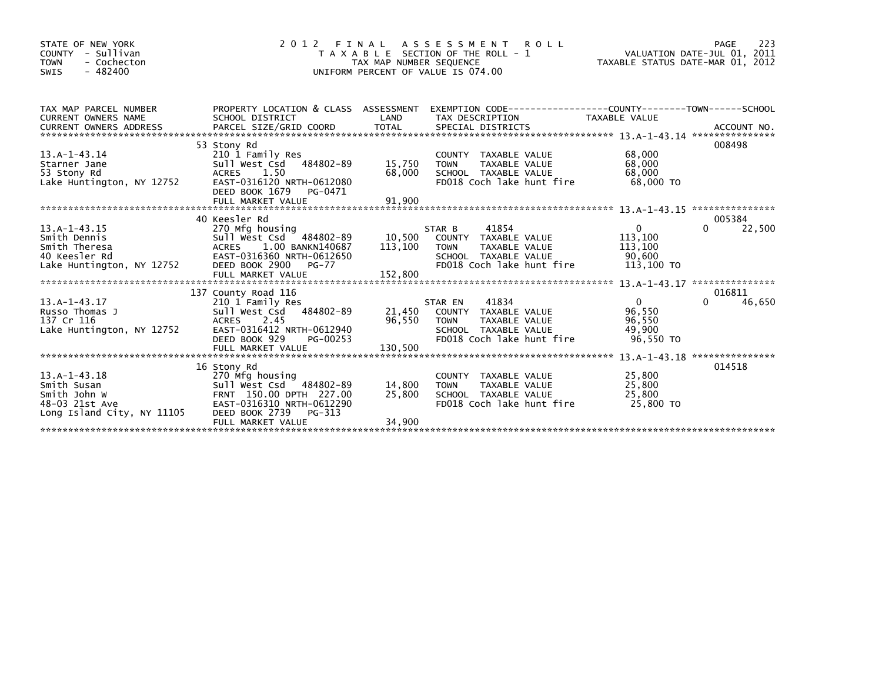| STATE OF NEW YORK<br>- Sullivan<br>COUNTY<br><b>TOWN</b><br>- Cochecton<br>$-482400$<br>SWIS       | FINAL<br>2 0 1 2                                                                                                                                                                                                                      | TAX MAP NUMBER SEQUENCE    | A S S E S S M E N T<br><b>ROLL</b><br>T A X A B L E SECTION OF THE ROLL - 1<br>UNIFORM PERCENT OF VALUE IS 074.00             | VALUATION DATE-JUL 01, 2011<br>TAXABLE STATUS DATE-MAR 01, 2012 | 223<br>PAGE               |
|----------------------------------------------------------------------------------------------------|---------------------------------------------------------------------------------------------------------------------------------------------------------------------------------------------------------------------------------------|----------------------------|-------------------------------------------------------------------------------------------------------------------------------|-----------------------------------------------------------------|---------------------------|
| TAX MAP PARCEL NUMBER<br><b>CURRENT OWNERS NAME</b>                                                | SCHOOL DISTRICT<br>CONNERS ADDRESS FORCEL SIZE/GRID COORD TOTAL SPECIAL DISTRICTS THE SAME HAND CONNERS ACCOUNT NO.<br>EURRENT OWNERS ADDRESS PARCEL SIZE/GRID COORD TOTAL SPECIAL DISTRICTS (2001) 2014 ---------------------------- | LAND                       | PROPERTY LOCATION & CLASS ASSESSMENT EXEMPTION CODE----------------COUNTY-------TOWN-----SCHOOL<br>TAX DESCRIPTION            | TAXABLE VALUE                                                   |                           |
| $13.A-1-43.14$<br>Starner Jane<br>53 Stony Rd<br>Lake Huntington, NY 12752                         | 53 Stony Rd<br>210 1 Family Res<br>Sull West Csd 484802-89<br>1.50<br>ACRES<br>EAST-0316120 NRTH-0612080<br>DEED BOOK 1679<br>PG-0471                                                                                                 | 15,750<br>68,000           | COUNTY TAXABLE VALUE<br>TAXABLE VALUE<br><b>TOWN</b><br>SCHOOL TAXABLE VALUE<br>FD018 Coch lake hunt fire                     | 68,000<br>68,000<br>68,000<br>68,000 TO                         | 008498<br>*************** |
|                                                                                                    | 40 Keesler Rd                                                                                                                                                                                                                         |                            |                                                                                                                               |                                                                 | 005384                    |
| $13. A - 1 - 43.15$<br>Smith Dennis<br>Smith Theresa<br>40 Keesler Rd<br>Lake Huntington, NY 12752 | 270 Mfg housing<br>Sull West Csd 484802-89<br>ACRES 1.00 BANKN140687<br>EAST-0316360 NRTH-0612650<br>DEED BOOK 2900<br>PG-77                                                                                                          | 10,500<br>113,100          | 41854<br>STAR B<br>COUNTY TAXABLE VALUE<br>TAXABLE VALUE<br>TOWN<br>SCHOOL TAXABLE VALUE<br>FD018 Coch lake hunt fire         | $\mathbf{0}$<br>113,100<br>113,100<br>90,600<br>113,100 TO      | 0<br>22,500               |
|                                                                                                    | 137 County Road 116                                                                                                                                                                                                                   |                            |                                                                                                                               |                                                                 | 016811                    |
| $13.A-1-43.17$<br>Russo Thomas J<br>137 Cr 116<br>Lake Huntington, NY 12752                        | 210 1 Family Res<br>484802-89<br>Sull West Csd<br>ACRES 2.45<br>EAST-0316412 NRTH-0612940<br>DEED BOOK 929<br>PG-00253                                                                                                                | 21.450<br>96,550           | 41834<br>STAR EN<br>COUNTY TAXABLE VALUE<br>TAXABLE VALUE<br><b>TOWN</b><br>SCHOOL TAXABLE VALUE<br>FD018 Coch lake hunt fire | $\mathbf{0}$<br>96,550<br>96,550<br>49,900<br>96,550 TO         | 0<br>46,650               |
|                                                                                                    |                                                                                                                                                                                                                                       |                            |                                                                                                                               |                                                                 |                           |
| $13.A-1-43.18$<br>Smith Susan<br>Smith John W<br>48-03 21st Ave<br>Long Island City, NY 11105      | 16 Stony Rd<br>270 Mfg housing<br>Sull West Csd 484802-89<br>FRNT 150.00 DPTH 227.00<br>EAST-0316310 NRTH-0612290<br>DEED BOOK 2739<br>PG-313<br>FULL MARKET VALUE                                                                    | 14.800<br>25,800<br>34,900 | COUNTY TAXABLE VALUE<br>TAXABLE VALUE<br><b>TOWN</b><br>SCHOOL TAXABLE VALUE<br>FD018 Coch lake hunt fire                     | 25,800<br>25,800<br>25,800<br>25,800 TO                         | 014518                    |
|                                                                                                    |                                                                                                                                                                                                                                       |                            |                                                                                                                               |                                                                 |                           |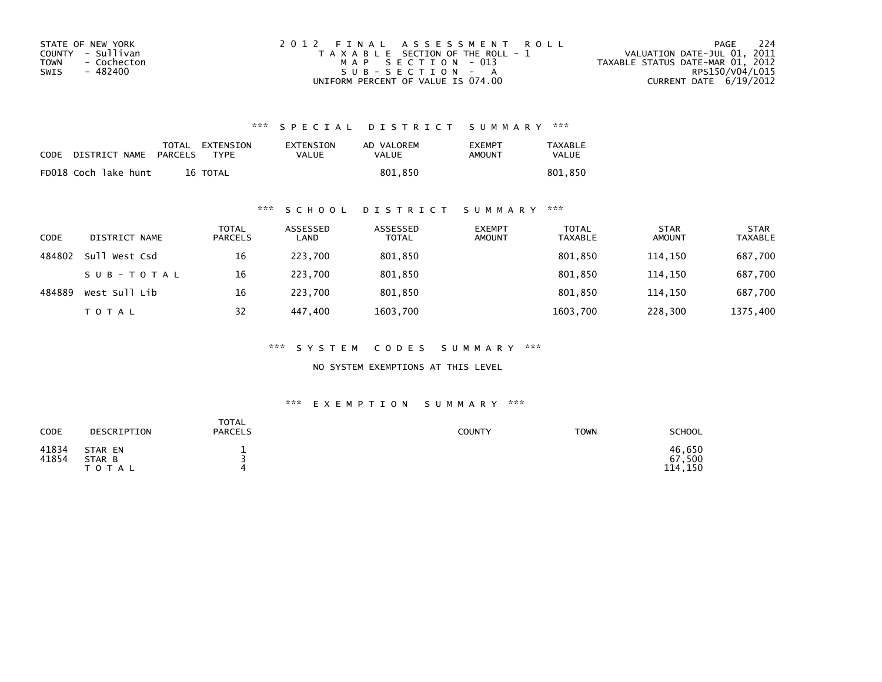| STATE OF NEW YORK   | 2012 FINAL ASSESSMENT ROLL            | -224<br>PAGE                     |
|---------------------|---------------------------------------|----------------------------------|
| COUNTY - Sullivan   | T A X A B L E SECTION OF THE ROLL - 1 | VALUATION DATE-JUL 01, 2011      |
| TOWN<br>- Cochecton | MAP SECTION - 013                     | TAXABLE STATUS DATE-MAR 01, 2012 |
| - 482400<br>SWIS    | $SUB - SECTION - A$                   | RPS150/V04/L015                  |
|                     | UNIFORM PERCENT OF VALUE IS 074.00    | CURRENT DATE $6/19/2012$         |

## \*\*\* S P E C I A L D I S T R I C T S U M M A R Y \*\*\*

| CODE | DISTRICT NAME        | PARCELS | TOTAL EXTENSION<br><b>TYPF</b> | EXTENSION<br>VALUE | AD VALOREM<br>VALUE | <b>FXFMPT</b><br>AMOUNT | <b>TAXABLE</b><br>VALUE |
|------|----------------------|---------|--------------------------------|--------------------|---------------------|-------------------------|-------------------------|
|      | FD018 Coch lake hunt |         | 16 TOTAL                       |                    | 801.850             |                         | 801,850                 |

### \*\*\* S C H O O L D I S T R I C T S U M M A R Y \*\*\*

| CODE   | DISTRICT NAME | <b>TOTAL</b><br><b>PARCELS</b> | ASSESSED<br>LAND | ASSESSED<br><b>TOTAL</b> | <b>EXEMPT</b><br><b>AMOUNT</b> | <b>TOTAL</b><br><b>TAXABLE</b> | <b>STAR</b><br><b>AMOUNT</b> | <b>STAR</b><br><b>TAXABLE</b> |
|--------|---------------|--------------------------------|------------------|--------------------------|--------------------------------|--------------------------------|------------------------------|-------------------------------|
| 484802 | Sull West Csd | 16                             | 223.700          | 801,850                  |                                | 801,850                        | 114,150                      | 687,700                       |
|        | SUB-TOTAL     | 16                             | 223.700          | 801,850                  |                                | 801,850                        | 114.150                      | 687,700                       |
| 484889 | West Sull Lib | 16                             | 223.700          | 801,850                  |                                | 801,850                        | 114.150                      | 687,700                       |
|        | TOTAL         | 32                             | 447.400          | 1603,700                 |                                | 1603,700                       | 228,300                      | 1375,400                      |

\*\*\* S Y S T E M C O D E S S U M M A R Y \*\*\*

NO SYSTEM EXEMPTIONS AT THIS LEVEL

#### \*\*\* E X E M P T I O N S U M M A R Y \*\*\*

| CODE           | DESCRIPTION                       | <b>TOTAL</b><br><b>PARCELS</b> | <b>COUNTY</b> | <b>TOWN</b> | <b>SCHOOL</b>               |
|----------------|-----------------------------------|--------------------------------|---------------|-------------|-----------------------------|
| 41834<br>41854 | STAR EN<br>STAR B<br><b>TOTAL</b> | 4                              |               |             | 46,650<br>67,500<br>114,150 |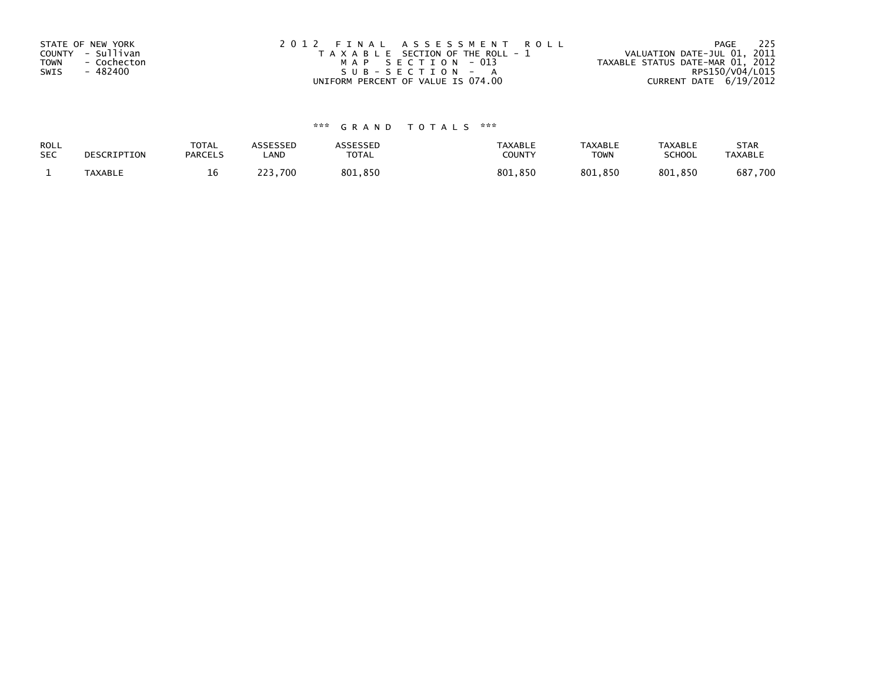| STATE OF NEW YORK<br>COUNTY - Sullivan<br><b>TOWN</b><br>- Cochecton<br>- 482400<br>SWIS | 2012 FINAL ASSESSMENT ROLL<br>T A X A B L E SECTION OF THE ROLL - 1<br>MAP SECTION - 013<br>SUB-SECTION - A | 225<br>PAGE<br>VALUATION DATE-JUL 01, 2011<br>TAXABLE STATUS DATE-MAR 01, 2012<br>RPS150/V04/L015 |
|------------------------------------------------------------------------------------------|-------------------------------------------------------------------------------------------------------------|---------------------------------------------------------------------------------------------------|
|                                                                                          | UNIFORM PERCENT OF VALUE IS 074.00                                                                          | CURRENT DATE 6/19/2012                                                                            |

# \*\*\* G R A N D T O T A L S \*\*\*

| ROLL       | DESCRIPTION | <b>TOTAL</b>   | ASSESSED | ASSESSED | <b>TAXABLE</b> | <b>TAXABLE</b> | <b>TAXABLE</b> | <b>STAR</b>    |
|------------|-------------|----------------|----------|----------|----------------|----------------|----------------|----------------|
| <b>SEC</b> |             | <b>PARCELS</b> | ∟AND     | TOTAL    | <b>COUNTY</b>  | <b>TOWN</b>    | <b>SCHOOL</b>  | <b>TAXABLE</b> |
|            | TAXABLE     | Tр             | 223.700  | 801,850  | 801,850        | 801.850        | 801,850        | 687,700        |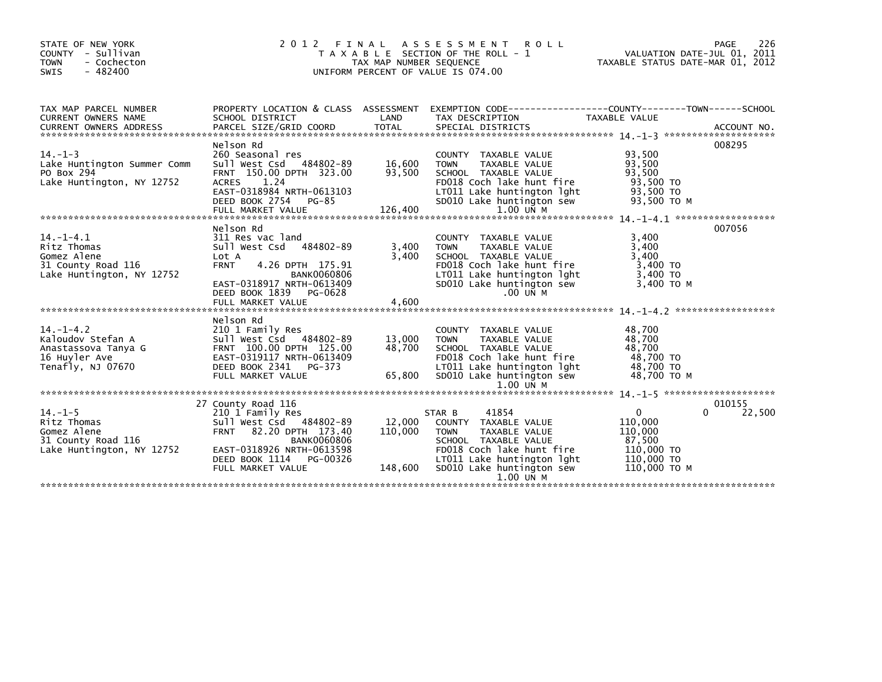| STATE OF NEW YORK<br>COUNTY - Sullivan<br>- Cochecton<br><b>TOWN</b><br>$-482400$<br>SWIS         | 2012 FINAL                                                                                                                                                                                                              | TAX MAP NUMBER SEQUENCE      | ASSESSMENT ROLL<br>T A X A B L E SECTION OF THE ROLL - 1<br>UNIFORM PERCENT OF VALUE IS 074.00                                                                                          | PAGE 226<br>VALUATION DATE-JUL 01, 2011<br>TAXABLE STATUS DATE ULL 21<br>TAXABLE STATUS DATE-MAR 01, 2012 | 226                          |
|---------------------------------------------------------------------------------------------------|-------------------------------------------------------------------------------------------------------------------------------------------------------------------------------------------------------------------------|------------------------------|-----------------------------------------------------------------------------------------------------------------------------------------------------------------------------------------|-----------------------------------------------------------------------------------------------------------|------------------------------|
| TAX MAP PARCEL NUMBER<br>CURRENT OWNERS NAME                                                      | SCHOOL DISTRICT                                                                                                                                                                                                         | LAND                         | PROPERTY LOCATION & CLASS ASSESSMENT EXEMPTION CODE----------------COUNTY-------TOWN-----SCHOOL<br>TAX DESCRIPTION                                                                      | TAXABLE VALUE                                                                                             |                              |
| $14. - 1 - 3$<br>Lake Huntington Summer Comm<br>PO Box 294<br>Lake Huntington, NY 12752           | Nelson Rd<br>260 Seasonal res<br>260 Seasonal res<br>Sull West Csd 484802-89 16,600<br>FRNT 150.00 DPTH 323.00 93,500<br><b>ACRES</b><br>1.24<br>EAST-0318984 NRTH-0613103<br>DEED BOOK 2754 PG-85<br>FULL MARKET VALUE | 126,400                      | COUNTY TAXABLE VALUE<br><b>TOWN</b><br>TAXABLE VALUE<br>SCHOOL TAXABLE VALUE<br>FD018 Coch lake hunt fire<br>LT011 Lake huntington lght<br>SD010 Lake huntington sew<br>1.00 UN M       | 93,500<br>93,500<br>93.500<br>93,500 TO<br>93,500 TO<br>93,500 TO M                                       | 008295                       |
| $14. - 1 - 4.1$<br>Ritz Thomas<br>Gomez Alene<br>31 County Road 116<br>Lake Huntington, NY 12752  | Nelson Rd<br>311 Res vac land<br>Sull West Csd 484802-89<br>Lot A<br><b>FRNT</b><br>4.26 DPTH 175.91<br><b>BANK0060806</b><br>EAST-0318917 NRTH-0613409<br>DEED BOOK 1839<br>PG-0628<br>FULL MARKET VALUE               | 3,400<br>3,400<br>4,600      | COUNTY TAXABLE VALUE<br>TAXABLE VALUE<br><b>TOWN</b><br>SCHOOL TAXABLE VALUE<br>FD018 Coch lake hunt fire<br>LT011 Lake huntington lght<br>SD010 Lake huntington sew<br>$.00$ UN M      | 3.400<br>3,400<br>3.400<br>3,400 TO<br>3,400 TO<br>3,400 TO M                                             | 007056                       |
| $14. - 1 - 4.2$<br>Kaloudov Stefan A<br>Anastassova Tanya G<br>16 Huyler Ave<br>Tenafly, NJ 07670 | Nelson Rd<br>210 1 Family Res<br>Sull West Csd 484802-89<br>FRNT 100.00 DPTH 125.00<br>EAST-0319117 NRTH-0613409<br>DEED BOOK 2341<br>PG-373<br>FULL MARKET VALUE                                                       | 13,000<br>48,700<br>65,800   | COUNTY TAXABLE VALUE<br><b>TOWN</b><br>TAXABLE VALUE<br>SCHOOL TAXABLE VALUE<br>FD018 Coch lake hunt fire<br>LT011 Lake huntington lght<br>SD010 Lake huntington sew<br>1.00 UN M       | 48,700<br>48.700<br>48,700<br>48,700 TO<br>48,700 TO<br>48,700 TO M                                       |                              |
| $14. - 1 - 5$<br>Ritz Thomas<br>Gomez Alene<br>31 County Road 116<br>Lake Huntington, NY 12752    | 27 County Road 116<br>210 1 Family Res<br>Sull West Csd 484802-89<br><b>FRNT</b><br>82.20 DPTH 173.40<br><b>BANK0060806</b><br>EAST-0318926 NRTH-0613598<br>DEED BOOK 1114 PG-00326<br>FULL MARKET VALUE                | 12,000<br>110,000<br>148,600 | 41854<br>STAR B<br>COUNTY TAXABLE VALUE<br><b>TOWN</b><br>TAXABLE VALUE<br>SCHOOL TAXABLE VALUE<br>FD018 Coch lake hunt fire<br>LT011 Lake huntington lght<br>SD010 Lake huntington sew | $\mathbf{0}$<br>110,000<br>110,000<br>87,500<br>110,000 TO<br>110,000 TO<br>110,000 ТО М                  | 010155<br>22,500<br>$\Omega$ |
|                                                                                                   |                                                                                                                                                                                                                         |                              | 1.00 UN M                                                                                                                                                                               |                                                                                                           |                              |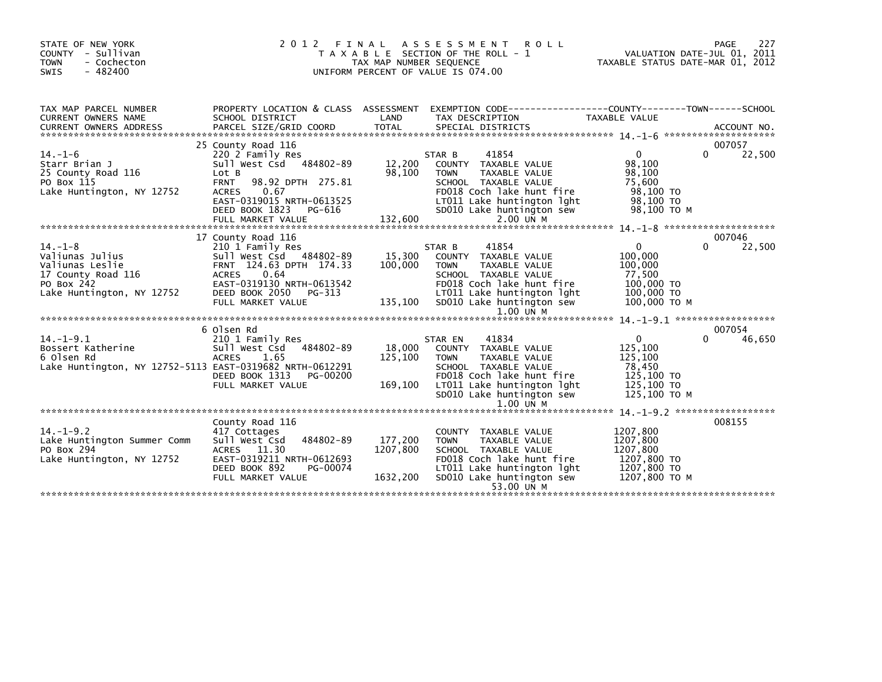| STATE OF NEW YORK<br>COUNTY - Sullivan<br><b>TOWN</b><br>- Cochecton<br>SWIS<br>$-482400$                            | 2012                                                                                                                                                                                                                 | FINAL<br>TAX MAP NUMBER SEQUENCE | A S S E S S M E N T<br><b>ROLL</b><br>T A X A B L E SECTION OF THE ROLL - 1<br>UNIFORM PERCENT OF VALUE IS 074.00                                                                                       | TAXABLE STATUS DATE-MAR 01, 2012                                                         | 227<br>PAGE<br>VALUATION DATE-JUL 01, 2011 |
|----------------------------------------------------------------------------------------------------------------------|----------------------------------------------------------------------------------------------------------------------------------------------------------------------------------------------------------------------|----------------------------------|---------------------------------------------------------------------------------------------------------------------------------------------------------------------------------------------------------|------------------------------------------------------------------------------------------|--------------------------------------------|
| TAX MAP PARCEL NUMBER<br>CURRENT OWNERS NAME<br>CURRENT OWNERS ADDRESS                                               | PROPERTY LOCATION & CLASS ASSESSMENT EXEMPTION CODE----------------COUNTY-------TOWN-----SCHOOL<br>SCHOOL DISTRICT<br>PARCEL SIZE/GRID COORD                                                                         | LAND<br><b>TOTAL</b>             | TAX DESCRIPTION<br>SPECIAL DISTRICTS                                                                                                                                                                    | TAXABLE VALUE                                                                            | ACCOUNT NO.                                |
| $14. - 1 - 6$<br>Starr Brian J<br>25 County Road 116<br>PO Box 115<br>Lake Huntington, NY 12752                      | 25 County Road 116<br>220 2 Family Res<br>Sull West Csd 484802-89<br>Lot B<br><b>FRNT</b><br>98.92 DPTH 275.81<br>0.67<br><b>ACRES</b><br>EAST-0319015 NRTH-0613525<br>DEED BOOK 1823<br>PG-616<br>FULL MARKET VALUE | 12,200<br>98,100<br>132,600      | 41854<br>STAR B<br>COUNTY TAXABLE VALUE<br><b>TOWN</b><br>TAXABLE VALUE<br>SCHOOL TAXABLE VALUE<br>FD018 Coch lake hunt fire<br>LT011 Lake huntington lght<br>SD010 Lake huntington sew<br>$2.00$ UN M  | $\Omega$<br>98,100<br>98,100<br>75,600<br>98,100 TO<br>98,100 TO<br>98,100 TO M          | 007057<br>22,500<br>0                      |
|                                                                                                                      | 17 County Road 116                                                                                                                                                                                                   |                                  |                                                                                                                                                                                                         |                                                                                          | 007046                                     |
| $14. - 1 - 8$<br>Valiunas Julius<br>Valiunas Leslie<br>17 County Road 116<br>PO Box 242<br>Lake Huntington, NY 12752 | 210 1 Family Res<br>Sull West Csd 484802-89<br>FRNT 124.63 DPTH 174.33<br>0.64<br><b>ACRES</b><br>EAST-0319130 NRTH-0613542<br>DEED BOOK 2050<br>PG-313<br>FULL MARKET VALUE                                         | 15,300<br>100,000<br>135,100     | 41854<br>STAR B<br>COUNTY TAXABLE VALUE<br>TAXABLE VALUE<br><b>TOWN</b><br>SCHOOL TAXABLE VALUE<br>FD018 Coch lake hunt fire<br>LT011 Lake huntington lght<br>SD010 Lake huntington sew<br>$1.00$ UN M  | $\Omega$<br>100,000<br>100,000<br>77,500<br>100,000 TO<br>100,000 TO<br>100,000 TO M     | 22,500<br>0                                |
|                                                                                                                      | 6 Olsen Rd                                                                                                                                                                                                           |                                  |                                                                                                                                                                                                         |                                                                                          | 007054                                     |
| $14. - 1 - 9.1$<br>Bossert Katherine<br>6 Olsen Rd<br>Lake Huntington, NY 12752-5113 EAST-0319682 NRTH-0612291       | 210 1 Family Res<br>484802-89<br>Sull West Csd<br><b>ACRES</b><br>1.65<br>DEED BOOK 1313<br>PG-00200<br>FULL MARKET VALUE                                                                                            | 18,000<br>125,100<br>169,100     | 41834<br>STAR EN<br>COUNTY TAXABLE VALUE<br>TAXABLE VALUE<br><b>TOWN</b><br>SCHOOL TAXABLE VALUE<br>FD018 Coch lake hunt fire<br>LT011 Lake huntington lght<br>SD010 Lake huntington sew<br>$1.00$ UN M | $\mathbf{0}$<br>125,100<br>125,100<br>78,450<br>125,100 TO<br>125,100 TO<br>125,100 TO M | 46,650<br>$\Omega$                         |
|                                                                                                                      |                                                                                                                                                                                                                      |                                  |                                                                                                                                                                                                         |                                                                                          |                                            |
| $14. - 1 - 9.2$<br>Lake Huntington Summer Comm<br>PO Box 294<br>Lake Huntington, NY 12752                            | County Road 116<br>417 Cottages<br>Sull West Csd<br>484802-89<br>ACRES 11.30<br>EAST-0319211 NRTH-0612693<br>DEED BOOK 892<br>PG-00074<br>FULL MARKET VALUE                                                          | 177,200<br>1207,800<br>1632,200  | COUNTY TAXABLE VALUE<br><b>TOWN</b><br>TAXABLE VALUE<br>SCHOOL TAXABLE VALUE<br>FD018 Coch lake hunt fire<br>LT011 Lake huntington lght<br>SD010 Lake huntington sew<br>53.00 UN M                      | 1207,800<br>1207,800<br>1207,800<br>1207,800 TO<br>1207,800 TO<br>1207,800 ТО М          | 008155                                     |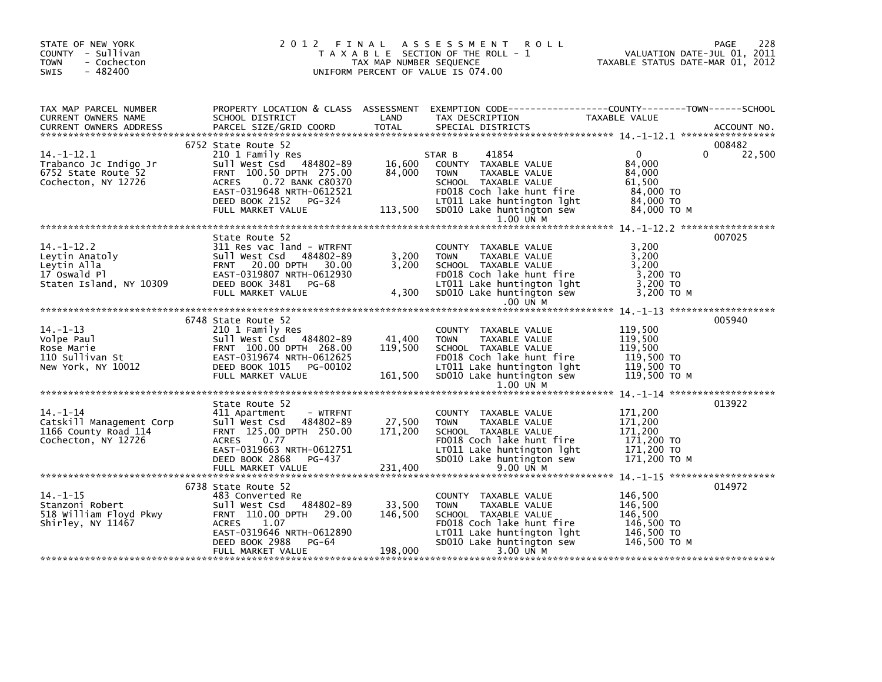| PROPERTY LOCATION & CLASS ASSESSMENT EXEMPTION CODE----------------COUNTY-------TOWN------SCHOOL<br>TAX MAP PARCEL NUMBER<br>TAXABLE VALUE<br>LAND<br>TAX DESCRIPTION<br>CURRENT OWNERS NAME<br>SCHOOL DISTRICT<br>PARCEL SIZE/GRID COORD<br><b>TOTAL</b><br>SPECIAL DISTRICTS<br><b>CURRENT OWNERS ADDRESS</b><br>ACCOUNT NO.<br>6752 State Route 52<br>008482<br>22,500<br>41854<br>$14. - 1 - 12.1$<br>$\overline{0}$<br>0<br>210 1 Family Res<br>STAR B<br>Sull West Csd 484802-89<br>16,600<br>84,000<br>Trabanco Jc Indigo Jr<br>COUNTY TAXABLE VALUE<br>84,000<br>6752 State Route 52<br>FRNT 100.50 DPTH 275.00<br>84,000<br>TAXABLE VALUE<br><b>TOWN</b><br>Cochecton, NY 12726<br>0.72 BANK C80370<br><b>ACRES</b><br>SCHOOL TAXABLE VALUE<br>61,500<br>EAST-0319648 NRTH-0612521<br>FD018 Coch Take hunt fire<br>LT011 Lake huntington 1ght 84,000 TO<br>113,500 SD010 Lake huntington sew 84,000 TO<br>DEED BOOK 2152 PG-324<br>84,000 то м<br>FULL MARKET VALUE<br>1.00 UN M<br>007025<br>State Route 52<br>$14. - 1 - 12.2$<br>311 Res vac land - WTRFNT<br>3,200<br>COUNTY TAXABLE VALUE<br>3,200<br>3,200<br>Sull West Csd<br>484802-89<br><b>TOWN</b><br>TAXABLE VALUE<br>Leytin Anatoly<br>Leytin Alla<br>17 Oswald Pl<br>Staten Island, NY 10309<br>SCHOOL TAXABLE VALUE<br>3,200<br>FRNT 20.00 DPTH 30.00<br>3,200<br>EAST-0319807 NRTH-0612930<br>FD018 Coch lake hunt fire<br>3,200 TO<br>LT011 Lake huntington lght<br>DEED BOOK 3481 PG-68<br>3,200 то<br>3,200 то м<br>4,300<br>SD010 Lake huntington sew<br>FULL MARKET VALUE<br>.00 UN M<br>005940<br>6748 State Route 52<br>119,500<br>210 1 Family Res<br>COUNTY TAXABLE VALUE<br>wse Marie<br>110 Sullivan St<br>New York, NY 10012<br>Sull West Csd 484802-89<br>119,500<br>41,400<br><b>TOWN</b><br>TAXABLE VALUE<br>FRNT 100.00 DPTH 268.00<br>119,500<br>119,500<br>SCHOOL TAXABLE VALUE<br>בג, גבב<br>119,500 TO<br>הם הרי יולד<br>FD018 Coch lake hunt fire<br>EAST-0319674 NRTH-0612625<br>119,500 TO<br>DEED BOOK 1015 PG-00102<br>LT011 Lake huntington lght<br>SD010 Lake huntington sew<br>161,500<br>FULL MARKET VALUE<br>119,500 то м<br>1.00 UN M<br>013922<br>State Route 52<br>$14. - 1 - 14$<br>171,200<br>411 Apartment<br>- WTRFNT<br>COUNTY TAXABLE VALUE<br>27,500<br>Catskill Management Corp<br>Sull West Csd 484802-89<br>171,200<br>TAXABLE VALUE<br><b>TOWN</b><br>171,200<br>FRNT 125.00 DPTH 250.00<br>171,200<br>1166 County Road 114<br>SCHOOL TAXABLE VALUE<br>Cochecton, NY 12726<br><b>ACRES</b><br>0.77<br>FD018 Coch lake hunt fire<br>171,200 TO<br>EAST-0319663 NRTH-0612751<br>LT011 Lake huntington lght<br>171,200 TO<br>SD010 Lake huntington sew<br>171,200 TO M<br>DEED BOOK 2868<br>PG-437<br>014972<br>6738 State Route 52<br>146,500<br>$14. - 1 - 15$<br>483 Converted Re<br>COUNTY TAXABLE VALUE<br>33,500<br>484802-89<br>Stanzoni Robert<br>Sull West Csd<br>146,500<br><b>TOWN</b><br>TAXABLE VALUE<br>FRNT 110.00 DPTH 29.00<br>146,500<br>518 William Floyd Pkwy<br>SCHOOL TAXABLE VALUE<br>146,500<br>146,500 TO<br>Shirley, NY 11467<br><b>ACRES</b><br>1.07<br>FD018 Coch lake hunt fire<br>EAST-0319646 NRTH-0612890<br>146,500 TO<br>LT011 Lake huntington lght<br>DEED BOOK 2988<br>PG-64<br>SD010 Lake huntington sew<br>146,500 то м<br>198,000<br>3.00 UN M<br>FULL MARKET VALUE | STATE OF NEW YORK<br>COUNTY - Sullivan<br><b>TOWN</b><br>- Cochecton<br>$-482400$<br><b>SWIS</b> | 2012 FINAL | TAX MAP NUMBER SEQUENCE | A S S E S S M E N T<br><b>ROLL</b><br>T A X A B L E SECTION OF THE ROLL - 1<br>UNIFORM PERCENT OF VALUE IS 074.00 | 228<br>PAGE<br>VALUATION DATE-JUL 01, 2011<br>TAXABLE STATUS DATE-MAR 01, 2012 |
|------------------------------------------------------------------------------------------------------------------------------------------------------------------------------------------------------------------------------------------------------------------------------------------------------------------------------------------------------------------------------------------------------------------------------------------------------------------------------------------------------------------------------------------------------------------------------------------------------------------------------------------------------------------------------------------------------------------------------------------------------------------------------------------------------------------------------------------------------------------------------------------------------------------------------------------------------------------------------------------------------------------------------------------------------------------------------------------------------------------------------------------------------------------------------------------------------------------------------------------------------------------------------------------------------------------------------------------------------------------------------------------------------------------------------------------------------------------------------------------------------------------------------------------------------------------------------------------------------------------------------------------------------------------------------------------------------------------------------------------------------------------------------------------------------------------------------------------------------------------------------------------------------------------------------------------------------------------------------------------------------------------------------------------------------------------------------------------------------------------------------------------------------------------------------------------------------------------------------------------------------------------------------------------------------------------------------------------------------------------------------------------------------------------------------------------------------------------------------------------------------------------------------------------------------------------------------------------------------------------------------------------------------------------------------------------------------------------------------------------------------------------------------------------------------------------------------------------------------------------------------------------------------------------------------------------------------------------------------------------------------------------------------------------------------------------------------------------------------------------------------------------------------------------------------------------------------------------------------------------------------------------------------------------------------------------------------|--------------------------------------------------------------------------------------------------|------------|-------------------------|-------------------------------------------------------------------------------------------------------------------|--------------------------------------------------------------------------------|
|                                                                                                                                                                                                                                                                                                                                                                                                                                                                                                                                                                                                                                                                                                                                                                                                                                                                                                                                                                                                                                                                                                                                                                                                                                                                                                                                                                                                                                                                                                                                                                                                                                                                                                                                                                                                                                                                                                                                                                                                                                                                                                                                                                                                                                                                                                                                                                                                                                                                                                                                                                                                                                                                                                                                                                                                                                                                                                                                                                                                                                                                                                                                                                                                                                                                                                                              |                                                                                                  |            |                         |                                                                                                                   |                                                                                |
|                                                                                                                                                                                                                                                                                                                                                                                                                                                                                                                                                                                                                                                                                                                                                                                                                                                                                                                                                                                                                                                                                                                                                                                                                                                                                                                                                                                                                                                                                                                                                                                                                                                                                                                                                                                                                                                                                                                                                                                                                                                                                                                                                                                                                                                                                                                                                                                                                                                                                                                                                                                                                                                                                                                                                                                                                                                                                                                                                                                                                                                                                                                                                                                                                                                                                                                              |                                                                                                  |            |                         |                                                                                                                   |                                                                                |
|                                                                                                                                                                                                                                                                                                                                                                                                                                                                                                                                                                                                                                                                                                                                                                                                                                                                                                                                                                                                                                                                                                                                                                                                                                                                                                                                                                                                                                                                                                                                                                                                                                                                                                                                                                                                                                                                                                                                                                                                                                                                                                                                                                                                                                                                                                                                                                                                                                                                                                                                                                                                                                                                                                                                                                                                                                                                                                                                                                                                                                                                                                                                                                                                                                                                                                                              |                                                                                                  |            |                         |                                                                                                                   |                                                                                |
|                                                                                                                                                                                                                                                                                                                                                                                                                                                                                                                                                                                                                                                                                                                                                                                                                                                                                                                                                                                                                                                                                                                                                                                                                                                                                                                                                                                                                                                                                                                                                                                                                                                                                                                                                                                                                                                                                                                                                                                                                                                                                                                                                                                                                                                                                                                                                                                                                                                                                                                                                                                                                                                                                                                                                                                                                                                                                                                                                                                                                                                                                                                                                                                                                                                                                                                              |                                                                                                  |            |                         |                                                                                                                   |                                                                                |
|                                                                                                                                                                                                                                                                                                                                                                                                                                                                                                                                                                                                                                                                                                                                                                                                                                                                                                                                                                                                                                                                                                                                                                                                                                                                                                                                                                                                                                                                                                                                                                                                                                                                                                                                                                                                                                                                                                                                                                                                                                                                                                                                                                                                                                                                                                                                                                                                                                                                                                                                                                                                                                                                                                                                                                                                                                                                                                                                                                                                                                                                                                                                                                                                                                                                                                                              |                                                                                                  |            |                         |                                                                                                                   |                                                                                |
|                                                                                                                                                                                                                                                                                                                                                                                                                                                                                                                                                                                                                                                                                                                                                                                                                                                                                                                                                                                                                                                                                                                                                                                                                                                                                                                                                                                                                                                                                                                                                                                                                                                                                                                                                                                                                                                                                                                                                                                                                                                                                                                                                                                                                                                                                                                                                                                                                                                                                                                                                                                                                                                                                                                                                                                                                                                                                                                                                                                                                                                                                                                                                                                                                                                                                                                              |                                                                                                  |            |                         |                                                                                                                   |                                                                                |
|                                                                                                                                                                                                                                                                                                                                                                                                                                                                                                                                                                                                                                                                                                                                                                                                                                                                                                                                                                                                                                                                                                                                                                                                                                                                                                                                                                                                                                                                                                                                                                                                                                                                                                                                                                                                                                                                                                                                                                                                                                                                                                                                                                                                                                                                                                                                                                                                                                                                                                                                                                                                                                                                                                                                                                                                                                                                                                                                                                                                                                                                                                                                                                                                                                                                                                                              |                                                                                                  |            |                         |                                                                                                                   |                                                                                |
|                                                                                                                                                                                                                                                                                                                                                                                                                                                                                                                                                                                                                                                                                                                                                                                                                                                                                                                                                                                                                                                                                                                                                                                                                                                                                                                                                                                                                                                                                                                                                                                                                                                                                                                                                                                                                                                                                                                                                                                                                                                                                                                                                                                                                                                                                                                                                                                                                                                                                                                                                                                                                                                                                                                                                                                                                                                                                                                                                                                                                                                                                                                                                                                                                                                                                                                              |                                                                                                  |            |                         |                                                                                                                   |                                                                                |
|                                                                                                                                                                                                                                                                                                                                                                                                                                                                                                                                                                                                                                                                                                                                                                                                                                                                                                                                                                                                                                                                                                                                                                                                                                                                                                                                                                                                                                                                                                                                                                                                                                                                                                                                                                                                                                                                                                                                                                                                                                                                                                                                                                                                                                                                                                                                                                                                                                                                                                                                                                                                                                                                                                                                                                                                                                                                                                                                                                                                                                                                                                                                                                                                                                                                                                                              |                                                                                                  |            |                         |                                                                                                                   |                                                                                |
|                                                                                                                                                                                                                                                                                                                                                                                                                                                                                                                                                                                                                                                                                                                                                                                                                                                                                                                                                                                                                                                                                                                                                                                                                                                                                                                                                                                                                                                                                                                                                                                                                                                                                                                                                                                                                                                                                                                                                                                                                                                                                                                                                                                                                                                                                                                                                                                                                                                                                                                                                                                                                                                                                                                                                                                                                                                                                                                                                                                                                                                                                                                                                                                                                                                                                                                              |                                                                                                  |            |                         |                                                                                                                   |                                                                                |
|                                                                                                                                                                                                                                                                                                                                                                                                                                                                                                                                                                                                                                                                                                                                                                                                                                                                                                                                                                                                                                                                                                                                                                                                                                                                                                                                                                                                                                                                                                                                                                                                                                                                                                                                                                                                                                                                                                                                                                                                                                                                                                                                                                                                                                                                                                                                                                                                                                                                                                                                                                                                                                                                                                                                                                                                                                                                                                                                                                                                                                                                                                                                                                                                                                                                                                                              |                                                                                                  |            |                         |                                                                                                                   |                                                                                |
|                                                                                                                                                                                                                                                                                                                                                                                                                                                                                                                                                                                                                                                                                                                                                                                                                                                                                                                                                                                                                                                                                                                                                                                                                                                                                                                                                                                                                                                                                                                                                                                                                                                                                                                                                                                                                                                                                                                                                                                                                                                                                                                                                                                                                                                                                                                                                                                                                                                                                                                                                                                                                                                                                                                                                                                                                                                                                                                                                                                                                                                                                                                                                                                                                                                                                                                              |                                                                                                  |            |                         |                                                                                                                   |                                                                                |
|                                                                                                                                                                                                                                                                                                                                                                                                                                                                                                                                                                                                                                                                                                                                                                                                                                                                                                                                                                                                                                                                                                                                                                                                                                                                                                                                                                                                                                                                                                                                                                                                                                                                                                                                                                                                                                                                                                                                                                                                                                                                                                                                                                                                                                                                                                                                                                                                                                                                                                                                                                                                                                                                                                                                                                                                                                                                                                                                                                                                                                                                                                                                                                                                                                                                                                                              |                                                                                                  |            |                         |                                                                                                                   |                                                                                |
|                                                                                                                                                                                                                                                                                                                                                                                                                                                                                                                                                                                                                                                                                                                                                                                                                                                                                                                                                                                                                                                                                                                                                                                                                                                                                                                                                                                                                                                                                                                                                                                                                                                                                                                                                                                                                                                                                                                                                                                                                                                                                                                                                                                                                                                                                                                                                                                                                                                                                                                                                                                                                                                                                                                                                                                                                                                                                                                                                                                                                                                                                                                                                                                                                                                                                                                              |                                                                                                  |            |                         |                                                                                                                   |                                                                                |
|                                                                                                                                                                                                                                                                                                                                                                                                                                                                                                                                                                                                                                                                                                                                                                                                                                                                                                                                                                                                                                                                                                                                                                                                                                                                                                                                                                                                                                                                                                                                                                                                                                                                                                                                                                                                                                                                                                                                                                                                                                                                                                                                                                                                                                                                                                                                                                                                                                                                                                                                                                                                                                                                                                                                                                                                                                                                                                                                                                                                                                                                                                                                                                                                                                                                                                                              |                                                                                                  |            |                         |                                                                                                                   |                                                                                |
|                                                                                                                                                                                                                                                                                                                                                                                                                                                                                                                                                                                                                                                                                                                                                                                                                                                                                                                                                                                                                                                                                                                                                                                                                                                                                                                                                                                                                                                                                                                                                                                                                                                                                                                                                                                                                                                                                                                                                                                                                                                                                                                                                                                                                                                                                                                                                                                                                                                                                                                                                                                                                                                                                                                                                                                                                                                                                                                                                                                                                                                                                                                                                                                                                                                                                                                              |                                                                                                  |            |                         |                                                                                                                   |                                                                                |
|                                                                                                                                                                                                                                                                                                                                                                                                                                                                                                                                                                                                                                                                                                                                                                                                                                                                                                                                                                                                                                                                                                                                                                                                                                                                                                                                                                                                                                                                                                                                                                                                                                                                                                                                                                                                                                                                                                                                                                                                                                                                                                                                                                                                                                                                                                                                                                                                                                                                                                                                                                                                                                                                                                                                                                                                                                                                                                                                                                                                                                                                                                                                                                                                                                                                                                                              |                                                                                                  |            |                         |                                                                                                                   |                                                                                |
|                                                                                                                                                                                                                                                                                                                                                                                                                                                                                                                                                                                                                                                                                                                                                                                                                                                                                                                                                                                                                                                                                                                                                                                                                                                                                                                                                                                                                                                                                                                                                                                                                                                                                                                                                                                                                                                                                                                                                                                                                                                                                                                                                                                                                                                                                                                                                                                                                                                                                                                                                                                                                                                                                                                                                                                                                                                                                                                                                                                                                                                                                                                                                                                                                                                                                                                              |                                                                                                  |            |                         |                                                                                                                   |                                                                                |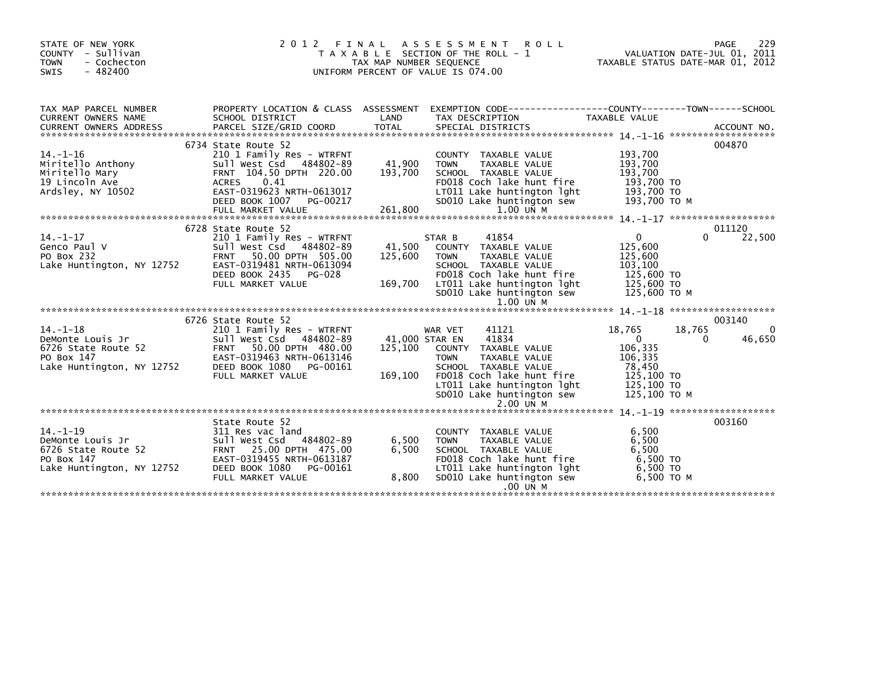| STATE OF NEW YORK<br>COUNTY - Sullivan<br>- Cochecton<br><b>TOWN</b><br>$-482400$<br>SWIS                | 2 0 1 2<br>FINAL                               | A S S E S S M E N T<br>T A X A B L E SECTION OF THE ROLL - 1<br>TAX MAP NUMBER SEQUENCE<br>UNIFORM PERCENT OF VALUE IS 074.00 | ROLL                                                           | TAXABLE STATUS DATE-MAR 01, 2012 | PAGE<br>VALUATION DATE-JUL 01, 2011 | 229         |
|----------------------------------------------------------------------------------------------------------|------------------------------------------------|-------------------------------------------------------------------------------------------------------------------------------|----------------------------------------------------------------|----------------------------------|-------------------------------------|-------------|
| TAX MAP PARCEL NUMBER                                                                                    | PROPERTY LOCATION & CLASS ASSESSMENT           |                                                                                                                               | EXEMPTION CODE------------------COUNTY--------TOWN------SCHOOL |                                  |                                     |             |
| <b>CURRENT OWNERS NAME</b><br>SCHOOL DISTRICT<br><b>CURRENT OWNERS ADDRESS</b><br>PARCEL SIZE/GRID COORD | <b>TOTAL</b>                                   | LAND                                                                                                                          | TAX DESCRIPTION<br>SPECIAL DISTRICTS                           | TAXABLE VALUE                    |                                     | ACCOUNT NO. |
| 6734 State Route 52                                                                                      |                                                |                                                                                                                               |                                                                |                                  |                                     | 004870      |
| $14. - 1 - 16$                                                                                           | 210 1 Family Res - WTRFNT                      |                                                                                                                               | COUNTY TAXABLE VALUE                                           | 193,700                          |                                     |             |
| Miritello Anthony                                                                                        | Sull West Csd 484802-89                        | 41,900<br><b>TOWN</b>                                                                                                         | <b>TAXABLE VALUE</b>                                           | 193,700                          |                                     |             |
| Miritello Mary                                                                                           | FRNT 104.50 DPTH 220.00                        | 193,700                                                                                                                       | SCHOOL TAXABLE VALUE                                           | 193,700                          |                                     |             |
| 19 Lincoln Ave<br>0.41<br><b>ACRES</b>                                                                   |                                                |                                                                                                                               | FD018 Coch lake hunt fire                                      | 193,700 TO                       |                                     |             |
| Ardsley, NY 10502                                                                                        | EAST-0319623 NRTH-0613017                      |                                                                                                                               | LT011 Lake huntington lght                                     | 193,700 TO                       |                                     |             |
| DEED BOOK 1007                                                                                           | PG-00217                                       |                                                                                                                               | SD010 Lake huntington sew                                      | 193,700 ТО М                     |                                     |             |
|                                                                                                          |                                                |                                                                                                                               |                                                                |                                  |                                     |             |
|                                                                                                          |                                                |                                                                                                                               |                                                                |                                  |                                     |             |
| 6728 State Route 52                                                                                      |                                                |                                                                                                                               |                                                                |                                  |                                     | 011120      |
| $14. - 1 - 17$                                                                                           |                                                |                                                                                                                               | 41854                                                          | $\mathbf{0}$                     | 0                                   |             |
|                                                                                                          | 210 1 Family Res - WTRFNT                      | STAR B                                                                                                                        |                                                                | 125,600                          |                                     | 22,500      |
| Genco Paul V                                                                                             | Sull West Csd 484802-89                        | 41,500                                                                                                                        | COUNTY TAXABLE VALUE                                           |                                  |                                     |             |
| PO Box 232<br><b>FRNT</b>                                                                                | 50.00 DPTH 505.00<br>EAST-0319481 NRTH-0613094 | 125,600<br><b>TOWN</b>                                                                                                        | TAXABLE VALUE<br>SCHOOL TAXABLE VALUE                          | 125,600                          |                                     |             |
| Lake Huntington, NY 12752                                                                                |                                                |                                                                                                                               |                                                                | 103,100<br>125,600 TO            |                                     |             |
| DEED BOOK 2435                                                                                           | PG-028                                         |                                                                                                                               | FD018 Coch lake hunt fire                                      |                                  |                                     |             |
| FULL MARKET VALUE                                                                                        |                                                | 169,700                                                                                                                       | LT011 Lake huntington lght                                     | 125,600 TO                       |                                     |             |
|                                                                                                          |                                                |                                                                                                                               | SD010 Lake huntington sew                                      | 125,600 ТО М                     |                                     |             |
|                                                                                                          |                                                |                                                                                                                               | 1.00 UN M                                                      |                                  |                                     |             |
|                                                                                                          |                                                |                                                                                                                               |                                                                |                                  |                                     |             |
| 6726 State Route 52                                                                                      |                                                |                                                                                                                               |                                                                |                                  |                                     | 003140      |
| $14. - 1 - 18$                                                                                           | 210 1 Family Res - WTRFNT                      | WAR VET                                                                                                                       | 41121                                                          | 18,765                           | 18,765                              | 0           |
| DeMonte Louis Jr                                                                                         | Sull West Csd 484802-89                        | 41,000 STAR EN                                                                                                                | 41834                                                          | $\Omega$                         | 0                                   | 46,650      |
| 6726 State Route 52                                                                                      | FRNT 50.00 DPTH 480.00                         | 125,100                                                                                                                       | COUNTY TAXABLE VALUE                                           | 106,335                          |                                     |             |
| PO Box 147                                                                                               | EAST-0319463 NRTH-0613146                      | <b>TOWN</b>                                                                                                                   | TAXABLE VALUE                                                  | 106,335                          |                                     |             |
| Lake Huntington, NY 12752<br>DEED BOOK 1080                                                              | PG-00161                                       |                                                                                                                               | SCHOOL TAXABLE VALUE                                           | 78,450                           |                                     |             |
| FULL MARKET VALUE                                                                                        |                                                | 169,100                                                                                                                       | FD018 Coch lake hunt fire                                      | 125,100 TO                       |                                     |             |
|                                                                                                          |                                                |                                                                                                                               | LT011 Lake huntington lght                                     | 125,100 TO                       |                                     |             |
|                                                                                                          |                                                |                                                                                                                               | SD010 Lake huntington sew                                      | 125,100 ТО М                     |                                     |             |
|                                                                                                          |                                                |                                                                                                                               | $2.00$ $U\bar{N}$ M                                            |                                  |                                     |             |
|                                                                                                          |                                                |                                                                                                                               |                                                                |                                  |                                     |             |
| State Route 52                                                                                           |                                                |                                                                                                                               |                                                                |                                  |                                     | 003160      |
| $14. - 1 - 19$<br>311 Res vac land                                                                       |                                                |                                                                                                                               | COUNTY TAXABLE VALUE                                           | 6,500                            |                                     |             |
| DeMonte Louis Jr                                                                                         | Sull West Csd 484802-89                        | 6,500<br><b>TOWN</b>                                                                                                          | TAXABLE VALUE                                                  | 6,500                            |                                     |             |
| 6726 State Route 52                                                                                      | FRNT 25.00 DPTH 475.00                         | 6,500                                                                                                                         | SCHOOL TAXABLE VALUE                                           | 6.500                            |                                     |             |
| PO Box 147                                                                                               | EAST-0319455 NRTH-0613187                      |                                                                                                                               | FD018 Coch lake hunt fire                                      | 6,500 TO                         |                                     |             |
| Lake Huntington, NY 12752<br>DEED BOOK 1080                                                              | PG-00161                                       |                                                                                                                               | LT011 Lake huntington lght                                     | 6,500 TO                         |                                     |             |
| FULL MARKET VALUE                                                                                        |                                                | 8,800                                                                                                                         | SD010 Lake huntington sew                                      | 6,500 ТО М                       |                                     |             |
|                                                                                                          |                                                |                                                                                                                               | .00 UN M                                                       |                                  |                                     |             |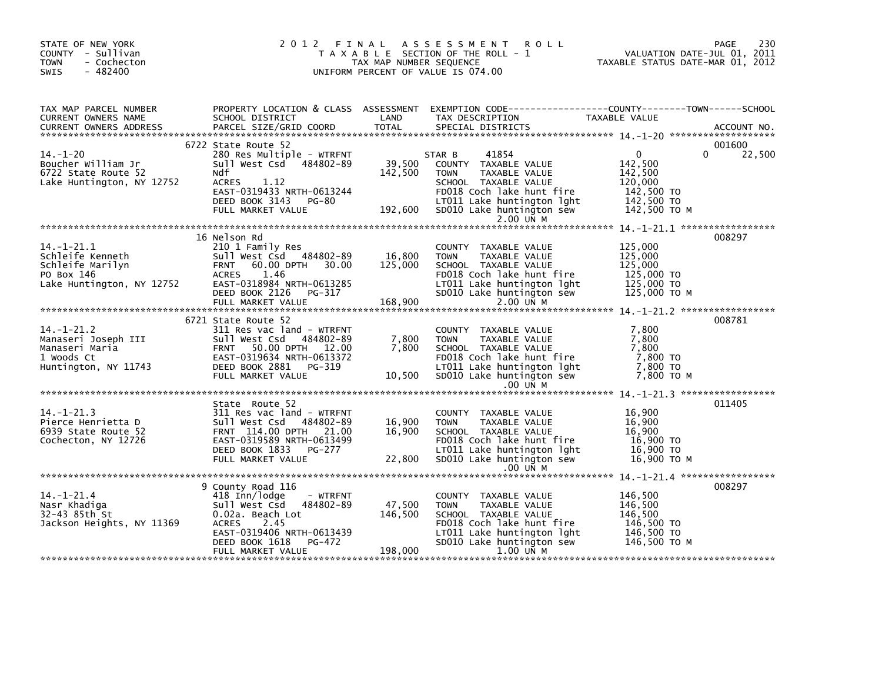| STATE OF NEW YORK<br>COUNTY - Sullivan<br><b>TOWN</b><br>- Cochecton<br>$-482400$<br><b>SWIS</b>    |                                                                                                                                                                                               | TAX MAP NUMBER SEQUENCE      | 2012 FINAL ASSESSMENT<br><b>ROLL</b><br>T A X A B L E SECTION OF THE ROLL - 1<br>UNIFORM PERCENT OF VALUE IS 074.00                                                                     | <br>2011 . VALUATION DATE-JUL<br>2012 ,TAXABLE STATUS DATE-MAR                            | 230<br>PAGE                  |
|-----------------------------------------------------------------------------------------------------|-----------------------------------------------------------------------------------------------------------------------------------------------------------------------------------------------|------------------------------|-----------------------------------------------------------------------------------------------------------------------------------------------------------------------------------------|-------------------------------------------------------------------------------------------|------------------------------|
| TAX MAP PARCEL NUMBER<br>CURRENT OWNERS NAME<br>CURRENT OWNERS ADDRESS                              | SCHOOL DISTRICT<br>PARCEL SIZE/GRID COORD                                                                                                                                                     | LAND<br><b>TOTAL</b>         | PROPERTY LOCATION & CLASS ASSESSMENT EXEMPTION CODE----------------COUNTY-------TOWN------SCHOOL<br>TAX DESCRIPTION<br>SPECIAL DISTRICTS                                                | TAXABLE VALUE                                                                             | ACCOUNT NO.                  |
| $14. - 1 - 20$<br>Boucher William Jr<br>6722 State Route 52<br>Lake Huntington, NY 12752            | 6722 State Route 52<br>280 Res Multiple - WTRFNT<br>Sull West Csd 484802-89<br>Ndf<br>1.12<br>ACRES<br>EAST-0319433 NRTH-0613244<br>DEED BOOK 3143 PG-80<br>FULL MARKET VALUE                 | 39,500<br>142,500<br>192,600 | 41854<br>STAR B<br>COUNTY TAXABLE VALUE<br><b>TOWN</b><br>TAXABLE VALUE<br>SCHOOL TAXABLE VALUE<br>FD018 Coch lake hunt fire<br>LT011 Lake huntington lght<br>SD010 Lake huntington sew | $\mathbf{0}$<br>142,500<br>142,500<br>120,000<br>142,500 TO<br>142,500 TO<br>142,500 TO M | 001600<br>22,500<br>$\Omega$ |
|                                                                                                     |                                                                                                                                                                                               |                              | 2.00 UN M                                                                                                                                                                               |                                                                                           |                              |
| $14. - 1 - 21.1$<br>Schleife Kenneth<br>Schleife Marilyn<br>PO Box 146<br>Lake Huntington, NY 12752 | 16 Nelson Rd<br>210 1 Family Res<br>Sull West Csd 484802-89<br>60.00 DPTH 30.00<br><b>FRNT</b><br>ACRES<br>1.46<br>EAST-0318984 NRTH-0613285<br>DEED BOOK 2126<br>PG-317<br>FULL MARKET VALUE | 16,800<br>125,000<br>168,900 | COUNTY TAXABLE VALUE<br>TAXABLE VALUE<br><b>TOWN</b><br>SCHOOL TAXABLE VALUE<br>FD018 Coch lake hunt fire<br>LT011 Lake huntington lght<br>SD010 Lake huntington sew<br>2.00 UN M       | 125,000<br>125,000<br>125,000<br>125,000 TO<br>125,000 TO<br>125,000 TO M                 | 008297                       |
|                                                                                                     |                                                                                                                                                                                               |                              |                                                                                                                                                                                         |                                                                                           | 008781                       |
|                                                                                                     | 6721 State Route 52<br>311 Res vac land - WTRFNT<br>Sull West Csd 484802-89<br>FRNT 50.00 DPTH 12.00<br>EAST-0319634 NRTH-0613372<br>DEED BOOK 2881 PG-319<br>FULL MARKET VALUE               | 7,800<br>7.800<br>10,500     | COUNTY TAXABLE VALUE<br>TAXABLE VALUE<br><b>TOWN</b><br>SCHOOL TAXABLE VALUE<br>FD018 Coch lake hunt fire<br>LT011 Lake huntington lght<br>SD010 Lake huntington sew<br>$.00$ UN M      | 7,800<br>7,800<br>7.800<br>7,800 TO<br>7,800 TO<br>7.800 то м                             |                              |
|                                                                                                     |                                                                                                                                                                                               |                              |                                                                                                                                                                                         |                                                                                           |                              |
| $14. - 1 - 21.3$<br>Pierce Henrietta D<br>6939 State Route 52<br>Cochecton, NY 12726                | State Route 52<br>311 Res vac land - WTRFNT<br>Sull West Csd 484802-89<br>FRNT 114.00 DPTH 21.00<br>EAST-0319589 NRTH-0613499<br>DEED BOOK 1833 PG-277<br>FULL MARKET VALUE                   | 16,900<br>16,900<br>22,800   | COUNTY TAXABLE VALUE<br><b>TOWN</b><br>TAXABLE VALUE<br>SCHOOL TAXABLE VALUE<br>FD018 Coch lake hunt fire<br>LT011 Lake huntington lght<br>SD010 Lake huntington sew                    | 16,900<br>16,900<br>16.900<br>16,900 TO<br>$16,900$ TO<br>16,900 то м                     | 011405                       |
|                                                                                                     |                                                                                                                                                                                               |                              | .00 UN M                                                                                                                                                                                |                                                                                           |                              |
| $14. - 1 - 21.4$<br>Nasr Khadiga<br>32-43 85th St<br>Jackson Heights, NY 11369                      | 9 County Road 116<br>418 Inn/lodge<br>- WTRFNT<br>sull west Csd<br>484802-89<br>0.02a. Beach Lot<br><b>ACRES</b><br>2.45                                                                      | 47,500<br>146,500            | COUNTY TAXABLE VALUE<br><b>TOWN</b><br>TAXABLE VALUE<br>SCHOOL TAXABLE VALUE<br>FD018 Coch lake hunt fire                                                                               | 146,500<br>146,500<br>146,500<br>146,500 TO                                               | 008297                       |
|                                                                                                     | EAST-0319406 NRTH-0613439<br>PG-472<br>DEED BOOK 1618<br>FULL MARKET VALUE                                                                                                                    | 198,000                      | LT011 Lake huntington lght<br>SD010 Lake huntington sew<br>1.00 UN M                                                                                                                    | 146,500 TO<br>146,500 TO M                                                                |                              |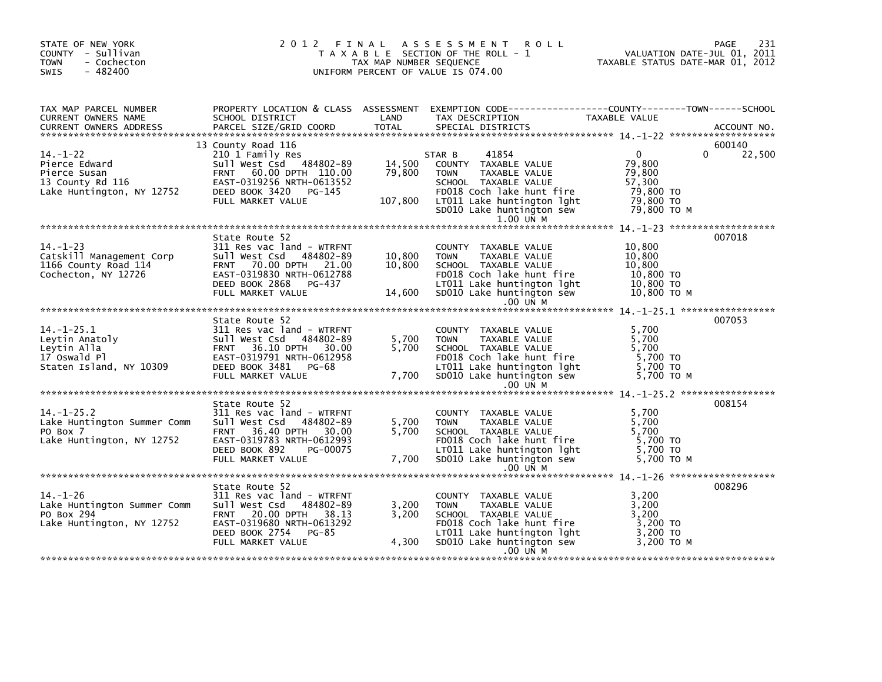| STATE OF NEW YORK<br>COUNTY - Sullivan<br>- Cochecton<br><b>TOWN</b><br>SWIS<br>$-482400$                                                                                                                                                                                |                                                                                                                                                                                             | TAX MAP NUMBER SEQUENCE                     | 2012 FINAL ASSESSMENT<br><b>ROLL</b><br>T A X A B L E SECTION OF THE ROLL - 1<br>UNIFORM PERCENT OF VALUE IS 074.00                                                                                     | <br>VALUATION DATE-JUL 01, 2011<br>TAXABLE STATUS DATE-MAR 01, 2012                   | 231<br>PAGE                  |
|--------------------------------------------------------------------------------------------------------------------------------------------------------------------------------------------------------------------------------------------------------------------------|---------------------------------------------------------------------------------------------------------------------------------------------------------------------------------------------|---------------------------------------------|---------------------------------------------------------------------------------------------------------------------------------------------------------------------------------------------------------|---------------------------------------------------------------------------------------|------------------------------|
| TAX MAP PARCEL NUMBER<br>CURRENT OWNERS NAME<br><b>CURRENT OWNERS ADDRESS</b>                                                                                                                                                                                            | PARCEL SIZE/GRID COORD                                                                                                                                                                      | <b>TOTAL</b>                                | SPECIAL DISTRICTS                                                                                                                                                                                       |                                                                                       | ACCOUNT NO.                  |
| $14. - 1 - 22$<br>First-22<br>Pierce Edward<br>Pierce Susan<br>Pierce Susan<br>Sull West Csd 484802-89<br>Pierce Susan<br>FRNT 60.00 DPTH 110.00<br>13 County Rd 116<br>Lake Huntington, NY 12752<br>DEED BOOK 3420<br>DEED BOOK 3420<br>DEED BOOK 3420<br>DEED BOOK 342 | 13 County Road 116<br>210 1 Family Res<br>sull West Csd 484802-89<br>FULL MARKET VALUE                                                                                                      | 14,500<br>79,800<br>107,800                 | 41854<br>STAR B<br>COUNTY TAXABLE VALUE<br><b>TOWN</b><br>TAXABLE VALUE<br>SCHOOL TAXABLE VALUE<br>FD018 Coch lake hunt fire<br>LTO11 Lake huntington lght<br>SD010 Lake huntington sew<br>1.00 UN M    | $\overline{0}$<br>79,800<br>79,800<br>57,300<br>79,800 TO<br>79,800 TO<br>79,800 то м | 600140<br>22,500<br>$\Omega$ |
| $14. - 1 - 23$<br>Catskill Management Corp<br>1166 County Road 114<br>Cochecton, NY 12726                                                                                                                                                                                | State Route 52<br>311 Res vac land - WTRFNT<br>Sull West Csd 484802-89<br>FRNT 70.00 DPTH 21.00<br>EAST-0319830 NRTH-0612788<br>DEED BOOK 2868 PG-437<br>FULL MARKET VALUE                  | $\frac{10,800}{10,800}$<br>10,800<br>14,600 | COUNTY TAXABLE VALUE<br>TAXABLE VALUE<br><b>TOWN</b><br>SCHOOL TAXABLE VALUE<br>FDO18 Coch lake hunt fire<br>LTO11 Lake huntington lght<br>SDO10 Lake huntington sew<br>$.00$ UN M                      | 10,800<br>10,800<br>10,800<br>10,800 TO<br>10,800 TO<br>10,800 ТО М                   | 007018                       |
| $14. - 1 - 25.1$<br>Leytin Anatoly<br>Leytin Alla<br>17 Oswald Pl<br>Staten Island, NY 10309                                                                                                                                                                             | State Route 52<br>311 Res vac land - WTRFNT<br>Sull West Csd 484802-89<br>FRNT 36.10 DPTH 30.00<br>EAST-0319791 NRTH-0612958<br>DEED BOOK 3481 PG-68<br>FULL MARKET VALUE                   | 5,700<br>5,700<br>7,700                     | COUNTY TAXABLE VALUE<br>TAXABLE VALUE<br><b>TOWN</b><br>SCHOOL TAXABLE VALUE<br>FD018 Coch lake hunt fire<br>LTO11 Lake huntington lght<br>SD010 Lake huntington lght<br>SD010 Lake huntington sew      | 5,700<br>5,700<br>5,700<br>$\frac{1}{5}$ , 700 TO<br>5,700 TO<br>5,700 то м           | 007053                       |
| $14. - 1 - 25.2$<br>Lake Huntington Summer Comm<br>PO Box 7<br>Lake Huntington, NY 12752                                                                                                                                                                                 | State Route 52<br>311 Res vac land - WTRFNT<br>Sull West Csd<br>484802-89<br>36.40 DPTH 30.00<br><b>FRNT</b><br>EAST-0319783 NRTH-0612993<br>DEED BOOK 892<br>PG-00075<br>FULL MARKET VALUE | 5,700<br>5,700<br>7,700                     | .00 UN M<br>COUNTY TAXABLE VALUE<br>TAXABLE VALUE<br><b>TOWN</b><br>SCHOOL TAXABLE VALUE<br>FD018 Coch lake hunt fire<br>LT011 Lake huntington lght<br>SD010 Lake huntington sew<br>$.00$ UN M          | 5,700<br>5,700<br>5,700<br>5,700 TO<br>5,700 TO<br>5,700 TO M                         | 008154                       |
| $14. - 1 - 26$<br>Lake Huntington Summer Comm<br>PO Box 294<br>Lake Huntington, NY 12752                                                                                                                                                                                 | State Route 52<br>311 Res vac land - WTRFNT<br>Sull West Csd 484802-89<br>FRNT 20.00 DPTH 38.13<br>EAST-0319680 NRTH-0613292<br>DEED BOOK 2754 PG-85<br>FULL MARKET VALUE                   | 3,200<br>3,200<br>4,300                     | COUNTY TAXABLE VALUE<br>TAXABLE VALUE<br><b>TOWN</b><br>SCHOOL TAXABLE VALUE<br>$FDO18$ Coch lake hunt fire<br>FD018 Cocn Take There<br>LT011 Lake huntington 1ght 3,200 TO M<br>1,200 TO M<br>.00 UN M | 3,200<br>3,200<br>3,200<br>3,200 TO                                                   | 008296                       |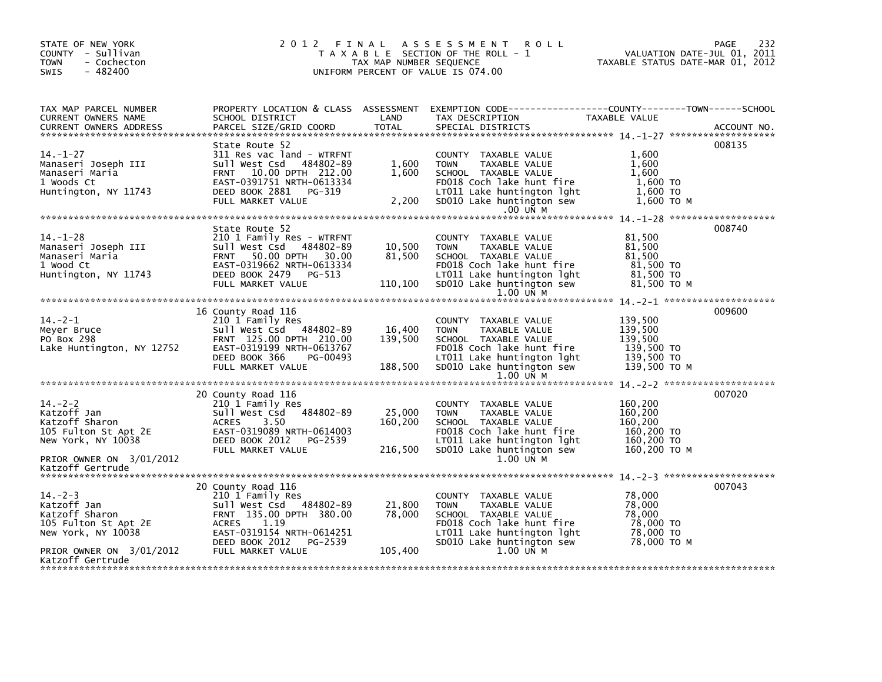| STATE OF NEW YORK<br>COUNTY - Sullivan<br>- Cochecton<br><b>TOWN</b><br>$-482400$<br><b>SWIS</b>                                                          |                                                                                                                                                                             |                               | 2012 FINAL ASSESSMENT ROLL<br>T A X A B L E SECTION OF THE ROLL - 1<br>UNIFORM PERCENT OF VALUE IS 074.00                                                                          | VALUATION DATE-JUL 01, 2011<br>TAXABLE STATUS DATE-MAR 01, 2012<br>TAXABLE STATUS DATE-MAR 01, 2012 | 232<br>PAGE |
|-----------------------------------------------------------------------------------------------------------------------------------------------------------|-----------------------------------------------------------------------------------------------------------------------------------------------------------------------------|-------------------------------|------------------------------------------------------------------------------------------------------------------------------------------------------------------------------------|-----------------------------------------------------------------------------------------------------|-------------|
| TAX MAP PARCEL NUMBER<br>CURRENT OWNERS NAME<br><b>CURRENT OWNERS ADDRESS</b>                                                                             | SCHOOL DISTRICT<br>PARCEL SIZE/GRID COORD                                                                                                                                   | LAND<br><b>TOTAL</b>          | PROPERTY LOCATION & CLASS ASSESSMENT EXEMPTION CODE----------------COUNTY-------TOWN------SCHOOL<br>TAX DESCRIPTION<br>SPECIAL DISTRICTS                                           | TAXABLE VALUE                                                                                       | ACCOUNT NO. |
| $14. - 1 - 27$<br>Manaseri Joseph III<br>Manaseri Maria<br>1 Woods Ct<br>Huntington, NY 11743                                                             | State Route 52<br>311 Res vac land - WTRFNT<br>sull west Csd 484802-89<br>FRNT 10.00 DPTH 212.00<br>EAST-0391751 NRTH-0613334<br>DEED BOOK 2881 PG-319<br>FULL MARKET VALUE | 1,600<br>1,600<br>2,200       | COUNTY TAXABLE VALUE<br><b>TOWN</b><br>TAXABLE VALUE<br>SCHOOL TAXABLE VALUE<br>FD018 Coch lake hunt fire<br>LT011 Lake huntington lght<br>SD010 Lake huntington sew<br>$.00$ UN M | 1,600<br>1.600<br>1,600<br>1,600 TO<br>1.600 TO<br>1,600 TO M                                       | 008135      |
|                                                                                                                                                           |                                                                                                                                                                             |                               |                                                                                                                                                                                    |                                                                                                     |             |
| 14.-1-28<br>Manaseri Joseph III<br>Alissari Maria<br>1 Wood Ct<br>Huntington, NY 11743                                                                    | State Route 52<br>210 1 Family Res - WTRFNT<br>Sull West Csd 484802-89<br>FRNT 50.00 DPTH 30.00<br>EAST-0319662 NRTH-0613334                                                | 10,500<br>81,500              | COUNTY TAXABLE VALUE<br><b>TOWN</b><br>TAXABLE VALUE<br>SCHOOL TAXABLE VALUE<br>FD018 Coch lake hunt fire                                                                          | 81,500<br>81.500<br>81,500<br>81,500 ΤΟ                                                             | 008740      |
|                                                                                                                                                           | DEED BOOK 2479 PG-513<br>FULL MARKET VALUE                                                                                                                                  | 110,100                       | LT011 Lake huntington lght<br>SD010 Lake huntington sew                                                                                                                            | 81,500 TO<br>81,500 ТО М                                                                            |             |
|                                                                                                                                                           |                                                                                                                                                                             |                               | 1.00 UN M                                                                                                                                                                          |                                                                                                     |             |
|                                                                                                                                                           | 16 County Road 116                                                                                                                                                          |                               |                                                                                                                                                                                    |                                                                                                     | 009600      |
| $14. -2 - 1$<br>Meyer Bruce<br>PO Box 298<br>Lake Huntington, NY 12752                                                                                    | 210 1 Family Res<br>Sull West Csd 484802-89<br>FRNT 125.00 DPTH 210.00<br>EAST-0319199 NRTH-0613767<br>DEED BOOK 366<br>PG-00493<br>FULL MARKET VALUE                       | 16,400<br>139,500<br>188,500  | COUNTY TAXABLE VALUE<br>TAXABLE VALUE<br><b>TOWN</b><br>SCHOOL TAXABLE VALUE<br>FD018 Coch lake hunt fire<br>LT011 Lake huntington lght<br>SD010 Lake huntington sew               | 139,500<br>139,500<br>139,500<br>139,500 TO<br>139,500 TO<br>139.500 ТО М                           |             |
|                                                                                                                                                           |                                                                                                                                                                             |                               | 1.00 UN M                                                                                                                                                                          |                                                                                                     |             |
| $14. -2 - 2$<br>Katzoff Jan<br>Katzoff Sharon<br>Note 22 The CAST-0319089 NRTH-0614003<br>New York, NY 10038 DEED BOOK 2012 PG-2539<br>New York, NY 10038 | 20 County Road 116<br>210 1 Family Res<br>Sull West Csd 484802-89<br>3.50<br>ACRES<br>DEED BOOK 2012<br>PG-2539<br>FULL MARKET VALUE                                        | 25,000<br>160, 200<br>216,500 | COUNTY TAXABLE VALUE<br><b>TOWN</b><br>TAXABLE VALUE<br>SCHOOL TAXABLE VALUE<br>FD018 Coch lake hunt fire<br>LT011 Lake huntington lght<br>SD010 Lake huntington sew               | 160,200<br>160,200<br>160,200<br>160,200 TO<br>160,200 TO<br>160,200 то м                           | 007020      |
| PRIOR OWNER ON 3/01/2012<br>Katzoff Gertrude                                                                                                              |                                                                                                                                                                             |                               | 1.00 UN M                                                                                                                                                                          |                                                                                                     |             |
|                                                                                                                                                           | 20 County Road 116                                                                                                                                                          |                               |                                                                                                                                                                                    |                                                                                                     | 007043      |
| $14. - 2 - 3$<br>Katzoff Jan<br>Katzoff Sharon<br>105 Fulton St Apt 2E<br>New York, NY 10038                                                              | 210 1 Family Res<br>Sull West Csd 484802-89<br>FRNT 135.00 DPTH 380.00<br>1.19<br>ACRES<br>EAST-0319154 NRTH-0614251                                                        | 21,800<br>78,000              | COUNTY TAXABLE VALUE<br><b>TOWN</b><br><b>TAXABLE VALUE</b><br>SCHOOL TAXABLE VALUE<br>FD018 Coch lake hunt fire<br>LT011 Lake huntington lght                                     | 78,000<br>78,000<br>78,000<br>78,000 TO<br>78,000 TO                                                |             |
| PRIOR OWNER ON 3/01/2012<br>Katzoff Gertrude                                                                                                              | DEED BOOK 2012<br>PG-2539<br>FULL MARKET VALUE                                                                                                                              | 105,400                       | SD010 Lake huntington sew<br>1.00 UN M                                                                                                                                             | 78,000 то м                                                                                         |             |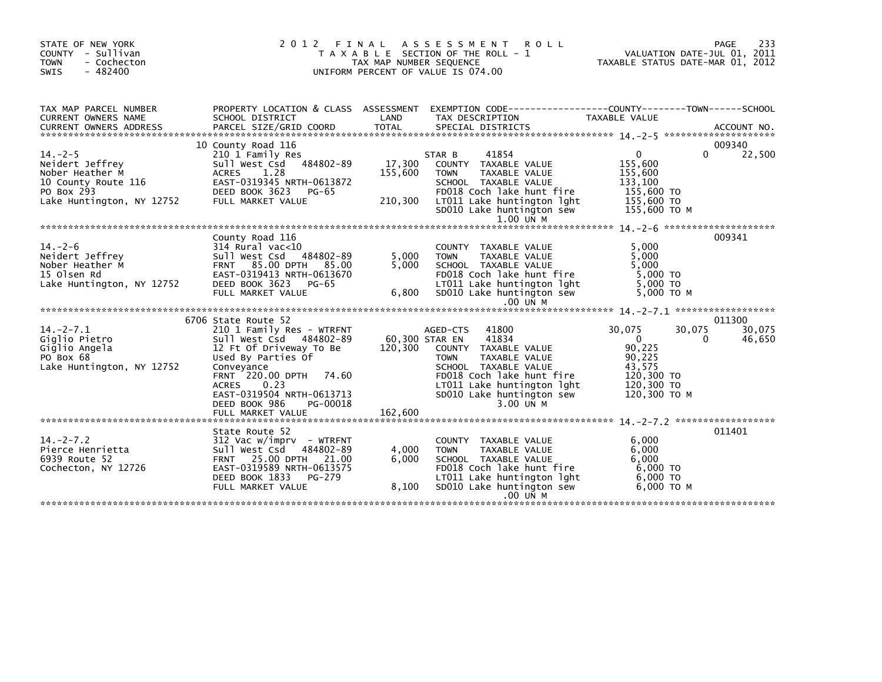| STATE OF NEW YORK<br>COUNTY - Sullivan<br>- Cochecton<br><b>TOWN</b><br>$-482400$<br><b>SWIS</b>                     | 2 0 1 2                                                                                                                                                                                                                                                                     | FINAL<br>TAX MAP NUMBER SEQUENCE                          | A S S E S S M E N T R O L L<br>T A X A B L E SECTION OF THE ROLL - 1<br>UNIFORM PERCENT OF VALUE IS 074.00                                                                                                      | PAGE 233<br>VALUATION DATE-JUL 01, 2011<br>TAXABLE STATUS DATE 11:5 22                                                   |                            |
|----------------------------------------------------------------------------------------------------------------------|-----------------------------------------------------------------------------------------------------------------------------------------------------------------------------------------------------------------------------------------------------------------------------|-----------------------------------------------------------|-----------------------------------------------------------------------------------------------------------------------------------------------------------------------------------------------------------------|--------------------------------------------------------------------------------------------------------------------------|----------------------------|
| TAX MAP PARCEL NUMBER<br>CURRENT OWNERS NAME                                                                         | SCHOOL DISTRICT<br>CURRENT OWNERS ADDRESS FORCEL SIZE/GRID COORD TOTAL SPECIAL DISTRICTS (2001) ACCOUNT NO.<br>A CCOUNT OWNERS ADDRESS FARCEL SIZE/GRID COORD TOTAL SPECIAL DISTRICTS (2004) 2-5 ****************************                                               | LAND                                                      | PROPERTY LOCATION & CLASS ASSESSMENT EXEMPTION CODE----------------COUNTY-------TOWN-----SCHOOL<br>TAX DESCRIPTION                                                                                              | TAXABLE VALUE                                                                                                            |                            |
| $14. -2 - 5$<br>Neidert Jeffrey<br>Nober Heather M<br>10 County Route 116<br>PO Box 293<br>Lake Huntington, NY 12752 | 10 County Road 116<br>210 1 Family Res<br>Sull West Csd 484802-89<br>1.28<br>ACRES<br>כדנכבור EASI-<br>DEED BOOK 3623<br>NY 12752 FULL MARKET VAI<br>EAST-0319345 NRTH-0613872<br>PG-65<br>FULL MARKET VALUE                                                                | 17,300<br>155,600<br>210,300                              | 41854<br>STAR B<br>COUNTY TAXABLE VALUE<br>TAXABLE VALUE<br><b>TOWN</b><br>SCHOOL TAXABLE VALUE<br>FD018 Coch lake hunt fire<br>LTO11 Lake huntington lght<br>SDO10 Lake huntington sew<br>1.00 UN M            | $\overline{0}$<br>$\Omega$<br>155.600<br>155,600<br>133,100<br>155,600 TO<br>155,600 TO<br>155,600 TO M                  | 009340<br>22,500           |
| $14. -2 - 6$<br>Neidert Jeffrey<br>Nober Heather M<br>15 Olsen Rd<br>Lake Huntington, NY 12752                       | County Road 116<br>314 Rural vac<10<br>Sull West Csd 484802-89<br>FRNT 85.00 DPTH 85.00<br>EAST-0319413 NRTH-0613670<br>DEED BOOK 3623<br>PG-65<br>FULL MARKET VALUE                                                                                                        | 5,000<br>5,000<br>6,800                                   | COUNTY TAXABLE VALUE<br><b>TOWN</b><br>TAXABLE VALUE<br>SCHOOL TAXABLE VALUE<br>FD018 Coch lake hunt fire<br>LT011 Lake huntington lght<br>SD010 Lake huntington sew<br>$.00$ UN M                              | 5,000<br>5,000<br>5,000<br>5,000 TO<br>5.000 TO<br>5,000 TO M                                                            | 009341                     |
| $14. -2 - 7.1$<br>Giglio Pietro<br>Giglio Angela<br>PO Box 68<br>Lake Huntington, NY 12752                           | 6706 State Route 52<br>210 1 Family Res - WTRFNT<br>Sull West Csd 484802-89<br>12 Ft Of Driveway To Be<br>Used By Parties Of<br>Conveyance<br>FRNT 220.00 DPTH 74.60<br>0.23<br><b>ACRES</b><br>EAST-0319504 NRTH-0613713<br>DEED BOOK 986<br>PG-00018<br>FULL MARKET VALUE | AGED-CTS<br>60,300 STAR EN<br>COUNT<br>120,300<br>162,600 | 41800<br>AGED-CTS<br>41834<br>COUNTY TAXABLE VALUE<br><b>TOWN</b><br>TAXABLE VALUE<br>SCHOOL TAXABLE VALUE<br>FD018 Coch lake hunt fire<br>LT011 Lake huntington lght<br>SD010 Lake huntington sew<br>3.00 UN M | 30,075<br>30,075<br>$\overline{0}$<br>$\Omega$<br>90,225<br>90,225<br>43,575<br>120,300 TO<br>120,300 TO<br>120,300 ТО М | 011300<br>30,075<br>46,650 |
| $14. -2 - 7.2$<br>Pierce Henrietta<br>6939 Route 52<br>Cochecton, NY 12726                                           | State Route 52<br>312 Vac w/imprv  – WTRFNT<br>Sull West Csd 484802-89<br>FRNT 25.00 DPTH 21.00<br>EAST-0319589 NRTH-0613575<br>DEED BOOK 1833<br>PG-279<br>FULL MARKET VALUE                                                                                               | 4,000<br>6.000<br>8,100                                   | COUNTY TAXABLE VALUE<br>TAXABLE VALUE<br><b>TOWN</b><br>SCHOOL TAXABLE VALUE<br>FD018 Coch lake hunt fire<br>LTO11 Lake huntington lght<br>SD010 Lake huntington sew<br>.00 UN M                                | 6.000<br>6,000<br>6,000<br>6.000 TO<br>$6,000$ TO<br>6.000 TO M                                                          | 011401                     |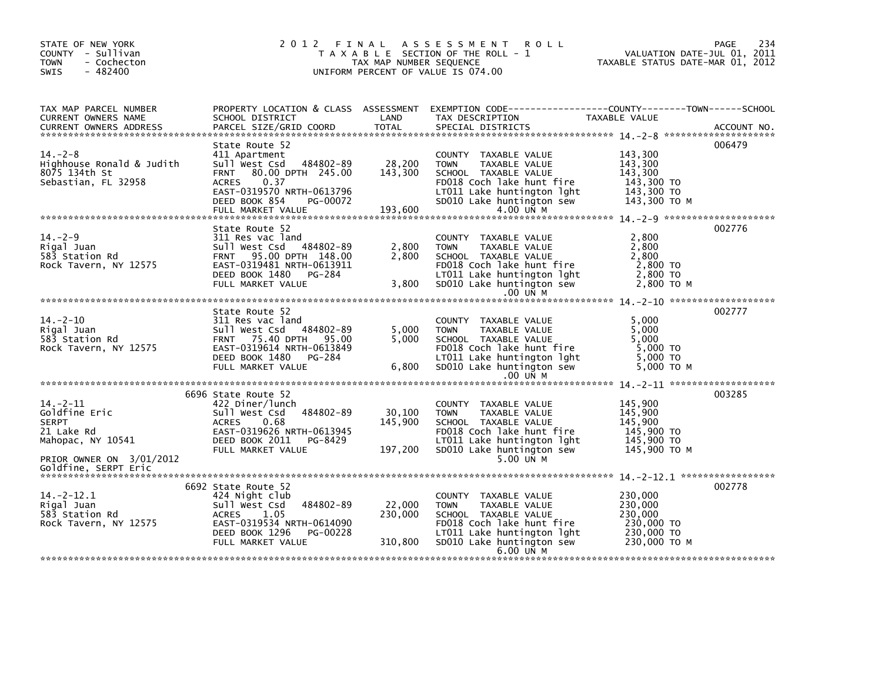| STATE OF NEW YORK<br>COUNTY - Sullivan<br><b>TOWN</b><br>- Cochecton<br>$-482400$<br><b>SWIS</b> |                                                                                                                                                                                                                                                |                                        | 2012 FINAL ASSESSMENT<br><b>ROLL</b><br>T A X A B L E SECTION OF THE ROLL - 1<br>UNIFORM PERCENT OF VALUE IS 074.00                                                                                             | VALUATION DATE-JUL 01, 2011<br>TAXABLE STATUS DATE-MAR 01, 2012           | 234<br>PAGE |
|--------------------------------------------------------------------------------------------------|------------------------------------------------------------------------------------------------------------------------------------------------------------------------------------------------------------------------------------------------|----------------------------------------|-----------------------------------------------------------------------------------------------------------------------------------------------------------------------------------------------------------------|---------------------------------------------------------------------------|-------------|
| TAX MAP PARCEL NUMBER<br>CURRENT OWNERS NAME<br>CURRENT OWNERS ADDRESS                           | SCHOOL DISTRICT<br>PARCEL SIZE/GRID COORD                                                                                                                                                                                                      | LAND<br><b>TOTAL</b>                   | PROPERTY LOCATION & CLASS ASSESSMENT EXEMPTION CODE---------------COUNTY-------TOWN------SCHOOL<br>TAX DESCRIPTION<br>SPECIAL DISTRICTS                                                                         | TAXABLE VALUE                                                             | ACCOUNT NO. |
| $14. - 2 - 8$<br>Highhouse Ronald & Judith<br>8075 134th St<br>Sebastian, FL 32958               | State Route 52<br>411 Apartment<br>Sull West Csd<br>FRNT 80.00 DPTH 245.00<br>0.37<br>ACRES<br>EAST-0319570 NRTH-0613796<br>DEED BOOK 854<br>PG-00072<br>FULL MARKET VALUE                                                                     | 484802-89 28,200<br>143,300<br>193,600 | COUNTY TAXABLE VALUE<br><b>TOWN</b><br>TAXABLE VALUE<br>SCHOOL TAXABLE VALUE<br>FD018 Coch lake hunt fire<br>LT011 Lake huntington lght<br>LTO11 Lake huntington lght<br>SDO10 Lake huntington sew<br>4.00 UN M | 143,300<br>143,300<br>143,300<br>143,300 TO<br>143,300 TO<br>143,300 ТО М | 006479      |
| $14. - 2 - 9$<br>Rigal Juan<br>583 Station Rd<br>Rock Tavern, NY 12575                           | State Route 52<br>311 Res vac land<br>511 Res vac Tanu<br>Sull West Csd 484802-89<br>FRNT 95.00 DPTH 148.00<br>EAST-0319481 NRTH-0613911<br>sull West Csd 484802-89<br>EAST-0319481 NRTH-0613911<br>DEED BOOK 1480 PG-284<br>FULL MARKET VALUE | 2,800<br>2,800                         | COUNTY TAXABLE VALUE<br><b>TOWN</b><br>TAXABLE VALUE<br>SCHOOL TAXABLE VALUE<br>FD018 Coch lake hunt fire<br>LTO11 Lake huntington lght<br>3,800 SD010 Lake huntington sew<br>$.00$ UN M                        | 2,800<br>2,800<br>2.800<br>2,800 TO<br>2,800 TO<br>2,800 TO M             | 002776      |
| $14. - 2 - 10$<br>Rigal Juan                                                                     | State Route 52<br>----- הטענפ 26<br>311 Res vac land<br>Sull West Csd 484802-89<br>FRNT 75 40 מחיי 20                                                                                                                                          | 5,000                                  | COUNTY TAXABLE VALUE<br><b>TOWN</b><br>TAXABLE VALUE                                                                                                                                                            | 5,000<br>5,000                                                            | 002777      |
| 583 Station Rd<br>Rock Tavern, NY 12575                                                          | EAST-0319614 NRTH-0613849<br>DEED BOOK 1480 PG-284<br>FULL MARKET VALUE                                                                                                                                                                        | 5,000                                  | SCHOOL TAXABLE VALUE<br>FD018 Coch lake hunt fire<br>FD018 Cocn Take Hunter<br>LT011 Lake huntington 1ght<br>Cocontraton sew<br>6,800 SD010 Lake huntington sew<br>.00 UN M                                     | 5.000<br>5,000 TO<br>5,000 TO<br>5,000 TO M                               |             |
|                                                                                                  | 6696 State Route 52                                                                                                                                                                                                                            |                                        |                                                                                                                                                                                                                 |                                                                           | 003285      |
| $14. - 2 - 11$<br>Goldfine Eric<br><b>SERPT</b><br>יאבע<br>21 Lake Rd<br>Mahopac, NY 10541       | 422 Diner/lunch<br>484802-89<br>sull west Csd<br><b>ACRES</b><br>0.68<br>EAST-0319626 NRTH-0613945<br>EAST-0319626 NRTH-0613945<br>DEED BOOK 2011   PG-8429                                                                                    | 30,100<br>145,900                      | COUNTY TAXABLE VALUE<br><b>TOWN</b><br>TAXABLE VALUE<br>SCHOOL TAXABLE VALUE<br>FD018 Coch lake hunt fire<br>LT011 Lake huntington lght                                                                         | 145,900<br>145,900<br>145,900<br>145,900 TO<br>145,900 TO<br>145,900 TO   |             |
| PRIOR OWNER ON 3/01/2012<br>Goldfine, SERPT Eric                                                 | FULL MARKET VALUE                                                                                                                                                                                                                              |                                        | 197,200 SD010 Lake huntington sew<br>5.00 UN M                                                                                                                                                                  | 145,900 ТО М                                                              |             |
| $14. -2 - 12.1$<br>Rigal Juan<br>583 Station Rd<br>Rock Tavern, NY 12575                         | 6692 State Route 52<br>424 Night club<br>484802-89<br>sull west Csd<br>ACRES<br>1.05<br>EAST-0319534 NRTH-0614090<br>DEED BOOK 1296 PG-00228<br>FULL MARKET VALUE                                                                              | 22,000<br>230,000<br>310,800           | COUNTY TAXABLE VALUE<br><b>TOWN</b><br>TAXABLE VALUE<br>SCHOOL TAXABLE VALUE<br>FD018 Coch lake hunt fire<br>LT011 Lake huntington lght<br>SD010 Lake huntington sew<br>6.00 UN M                               | 230,000<br>230,000<br>230,000<br>230,000 TO<br>230,000 TO<br>230,000 ТО М | 002778      |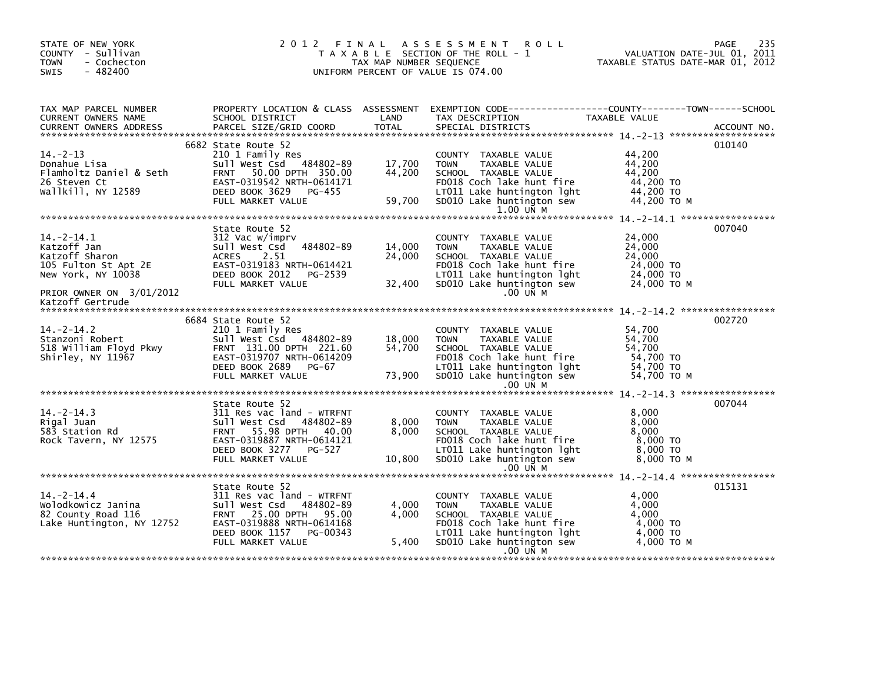| STATE OF NEW YORK<br>COUNTY - Sullivan<br>- Cochecton<br><b>TOWN</b><br>$-482400$<br><b>SWIS</b>                                                             | 2012 FINAL                                                                                                                                                                           | TAX MAP NUMBER SEQUENCE    | A S S E S S M E N T<br><b>ROLL</b><br>T A X A B L E SECTION OF THE ROLL - 1<br>UNIFORM PERCENT OF VALUE IS 074.00                                                                   | VALUATION DATE-JUL 01, 2011<br>TAXABLE STATUS DATE-MAR 01, 2012     | 235<br>PAGE |
|--------------------------------------------------------------------------------------------------------------------------------------------------------------|--------------------------------------------------------------------------------------------------------------------------------------------------------------------------------------|----------------------------|-------------------------------------------------------------------------------------------------------------------------------------------------------------------------------------|---------------------------------------------------------------------|-------------|
| TAX MAP PARCEL NUMBER<br>CURRENT OWNERS NAME<br><b>CURRENT OWNERS ADDRESS</b>                                                                                | SCHOOL DISTRICT<br>PARCEL SIZE/GRID COORD                                                                                                                                            | LAND<br><b>TOTAL</b>       | PROPERTY LOCATION & CLASS ASSESSMENT EXEMPTION CODE----------------COUNTY-------TOWN------SCHOOL<br>TAX DESCRIPTION<br>SPECIAL DISTRICTS                                            | TAXABLE VALUE                                                       | ACCOUNT NO. |
| $14. -2 - 13$<br>Donahue Lisa<br>Donahue Lısa<br>Flamholtz Daniel & Seth<br>26 Steven Ct<br>wallkill, NY 12589                                               | 6682 State Route 52<br>210 1 Family Res<br>Sull West Csd 484802-89<br>50.00 DPTH 350.00<br><b>FRNT</b><br>EAST-0319542 NRTH-0614171<br>DEED BOOK 3629<br>PG-455<br>FULL MARKET VALUE | 17,700<br>44,200<br>59,700 | COUNTY TAXABLE VALUE<br><b>TOWN</b><br>TAXABLE VALUE<br>SCHOOL TAXABLE VALUE<br>FD018 Coch lake hunt fire<br>LT011 Lake huntington lght<br>SD010 Lake huntington sew<br>$1.00$ UN M | 44,200<br>44,200<br>44,200<br>44,200 TO<br>44,200 TO<br>44,200 TO M | 010140      |
| $14. -2 - 14.1$<br>14.-z-14.1<br>Katzoff Jan<br>Katzoff Sharon<br>105 Fulton St Apt 2E<br>New York, NY 10038<br>PRIOR OWNER ON 3/01/2012<br>Katzoff Gertrude | State Route 52<br>312 Vac w/imprv<br>Sull West Csd 484802-89<br><b>ACRES</b><br>2.51<br>EAST-0319183 NRTH-0614421<br>DEED BOOK 2012 PG-2539<br>FULL MARKET VALUE                     | 14,000<br>24,000<br>32,400 | COUNTY TAXABLE VALUE<br><b>TOWN</b><br>TAXABLE VALUE<br>SCHOOL TAXABLE VALUE<br>FD018 Coch lake hunt fire<br>LT011 Lake huntington lght<br>SD010 Lake huntington sew<br>$.00$ UN M  | 24,000<br>24,000<br>24,000<br>24,000 TO<br>24,000 TO<br>24,000 ТО М | 007040      |
| $14. -2 - 14.2$<br>Stanzoni Robert<br>518 William Floyd Pkwy<br>Shirley, NY 11967                                                                            | 6684 State Route 52<br>210 1 Family Res<br>Sull West Csd 484802-89<br>FRNT 131.00 DPTH 221.60<br>EAST-0319707 NRTH-0614209<br>DEED BOOK 2689<br>PG-67<br>FULL MARKET VALUE           | 18,000<br>54,700<br>73,900 | COUNTY TAXABLE VALUE<br><b>TOWN</b><br>TAXABLE VALUE<br>SCHOOL TAXABLE VALUE<br>FD018 Coch lake hunt fire<br>LT011 Lake huntington lght<br>SD010 Lake huntington sew<br>$.00$ UN M  | 54,700<br>54,700<br>54,700<br>54,700 TO<br>54,700 TO<br>54,700 TO M | 002720      |
| $14. -2 - 14.3$<br>Rigal Juan<br>583 Station Rd<br>Rock Tavern, NY 12575                                                                                     | State Route 52<br>311 Res vac land - WTRFNT<br>Sull West Csd<br>484802-89<br>FRNT 55.98 DPTH 40.00<br>EAST-0319887 NRTH-0614121<br>DEED BOOK 3277 PG-527<br>FULL MARKET VALUE        | 8,000<br>8,000<br>10,800   | COUNTY TAXABLE VALUE<br><b>TOWN</b><br>TAXABLE VALUE<br>SCHOOL TAXABLE VALUE<br>FD018 Coch lake hunt fire<br>LT011 Lake huntington lght<br>SD010 Lake huntington sew<br>$.00$ UN M  | 8,000<br>8,000<br>8,000<br>8,000 TO<br>8,000 TO<br>8,000 TO M       | 007044      |
| $14. -2 - 14.4$<br>Wolodkowicz Janina<br>82 County Road 116<br>Lake Huntington, NY 12752                                                                     | State Route 52<br>311 Res vac land - WTRFNT<br>Sull West Csd<br>484802-89<br>FRNT 25.00 DPTH 95.00<br>EAST-0319888 NRTH-0614168<br>DEED BOOK 1157<br>PG-00343<br>FULL MARKET VALUE   | 4,000<br>4,000<br>5,400    | COUNTY TAXABLE VALUE<br><b>TOWN</b><br>TAXABLE VALUE<br>SCHOOL TAXABLE VALUE<br>FD018 Coch lake hunt fire<br>LT011 Lake huntington lght<br>SD010 Lake huntington sew<br>$.00$ UN M  | 4,000<br>4,000<br>4.000<br>4,000 TO<br>4,000 TO<br>4.000 то м       | 015131      |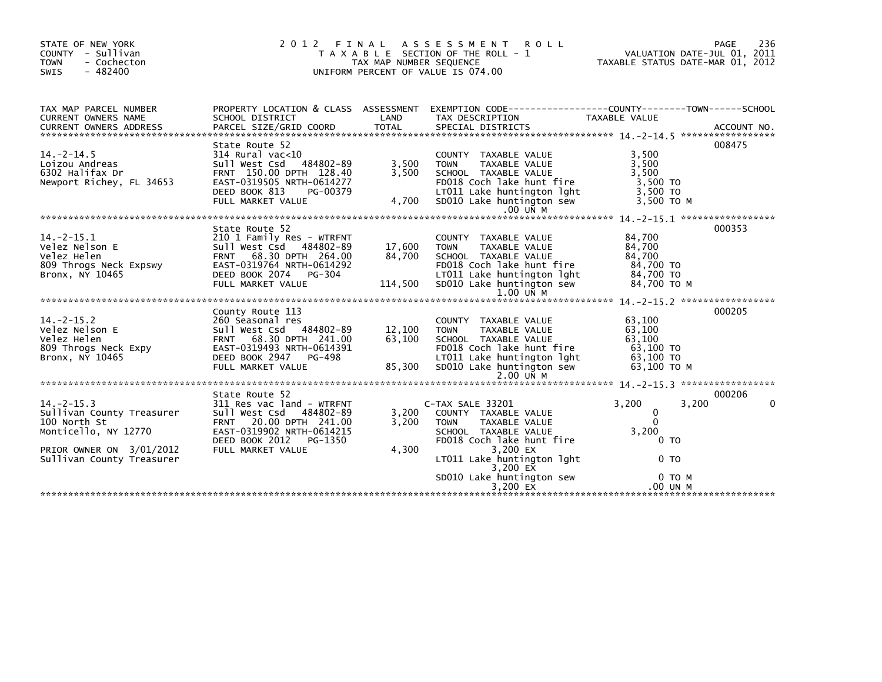| STATE OF NEW YORK<br>COUNTY - Sullivan<br><b>TOWN</b><br>- Cochecton<br>$-482400$<br>SWIS                                                                                                                                                           |                                                                                                                                                                                  |                                       | 2012 FINAL ASSESSMENT ROLL<br>T A X A B L E SECTION OF THE ROLL - 1<br>T A X A B L E SECTION OF THE ROLL - 1<br>TAX MAP NUMBER SEQUENCE TAXABLE STATUS DATE-MAR 01, 2012<br>UNIFORM PERCENT OF VALUE IS 074.00   |                                                                                        | 236<br>PAGE            |
|-----------------------------------------------------------------------------------------------------------------------------------------------------------------------------------------------------------------------------------------------------|----------------------------------------------------------------------------------------------------------------------------------------------------------------------------------|---------------------------------------|------------------------------------------------------------------------------------------------------------------------------------------------------------------------------------------------------------------|----------------------------------------------------------------------------------------|------------------------|
| TAX MAP PARCEL NUMBER<br>CURRENT OWNERS NAME<br>CUNNERS IN THE PARCEL SIZE/GRID COORD<br>CURRENT OWNERS ADDRESS PARCEL SIZE/GRID COORD TOTAL SPECIAL DISTRICTS (2007) ACCOUNT NO                                                                    |                                                                                                                                                                                  |                                       |                                                                                                                                                                                                                  |                                                                                        |                        |
| $14. -2 - 14.5$<br>Loizou Andreas<br>6302 Halifax Dr<br>Newport Richey, FL 34653                                                                                                                                                                    | State Route 52<br>314 Rural vac<10<br>Sull West Csd 484802-89 3,500<br>FRNT 150.00 DPTH 128.40 3,500<br>EAST-0319505 NRTH-0614277<br>DEED BOOK 813 PG-00379<br>FULL MARKET VALUE | 4,700                                 | COUNTY TAXABLE VALUE<br>TAXABLE VALUE<br><b>TOWN</b><br>SCHOOL TAXABLE VALUE<br>FD018 Coch lake hunt fire<br>LT011 Lake huntington lght<br>$5D010$ Lake huntington sew<br>$.00$ UN M                             | 3,500<br>3,500<br>3,500<br>3,500 TO<br>3,500 TO<br>3,500 TO M                          | 008475                 |
| Velez Nelson E<br>Velez Helson E<br>Velez Helen<br>2010 1 Family Res - WTRFNT<br>2011 West Csd<br>484802-89<br>809 Throgs Neck Expswy<br>EAST-0319764 NRTH-0614292<br>Bronx, NY 10465<br>DEED BOOK 2074                                             | State Route 52<br>EAST-031370:<br>DEED BOOK 2074 PG-304<br>FULL MARKET VALUE                                                                                                     | 17.600<br>17,600<br>84,700<br>114,500 | COUNTY TAXABLE VALUE<br><b>TOWN</b><br>TAXABLE VALUE<br>SCHOOL TAXABLE VALUE<br>FD018 Coch lake hunt fire<br>LT011 Lake huntington lght<br>SD010 Lake huntington sew<br>1.00 UN M                                | 84,700<br>84,700<br>84,700<br>84,700 TO<br>84,700 TO<br>84,700 TO M                    | 000353                 |
| 14.-2-15.2<br>Velez Nelson E<br>Velez Helen<br>Velez Helen<br>Velez Helen<br>Sull West Csd 484802-89<br>FRNT 68.30 DPTH 241.00<br>REST-0319493 NRTH-0614391<br>REST-0319493 NRTH-0614391<br>REST-0319493 NRTH-0614391<br>$Bronx$ , $N\bar{Y}$ 10465 | County Route 113<br>EAST-0319493 NRTH-0614391<br>DEED BOOK 2947 PG-498<br>FULL MARKET VALUE 85,300                                                                               | 12,100<br>63,100<br>85,300            | COUNTY TAXABLE VALUE<br>TAXABLE VALUE<br><b>TOWN</b><br>SCHOOL TAXABLE VALUE<br>FD018 Coch lake hunt fire<br>LTO11 Lake huntington lght<br>SDO10 Lake huntington sew                                             | 63,100<br>63,100<br>63,100<br>63,100 TO<br>63,100 TO<br>63,100 ТО М                    | 000205                 |
| 14.-2-15.3<br>Sullivan County Treasurer<br>100 North St<br>Monticello, NY 12770<br>PRIOR OWNER ON 3/01/2012<br>Sullivan County Treasurer                                                                                                            | State Route 52<br>311 Res vac land - WTRFNT<br>Sull West Csd 484802-89<br>FRNT 20.00 DPTH 241.00<br>EAST-0319902 NRTH-0614215<br>DEED BOOK 2012 PG-1350<br>FULL MARKET VALUE     | 3,200<br>3,200<br>4,300               | C-TAX SALE 33201<br>COUNTY TAXABLE VALUE<br>TAXABLE VALUE<br><b>TOWN</b><br>SCHOOL TAXABLE VALUE<br>FD018 Coch lake hunt fire<br>3,200 EX<br>LT011 Lake huntington lght<br>3,200 EX<br>SD010 Lake huntington sew | 3,200<br>3,200<br>0<br>$\Omega$<br>3,200<br>0 <sub>T</sub><br>0 <sub>T</sub><br>O TO M | 000206<br>$\mathbf{0}$ |
|                                                                                                                                                                                                                                                     |                                                                                                                                                                                  |                                       | 3.200 $\overline{EX}$                                                                                                                                                                                            | .00 UN M                                                                               |                        |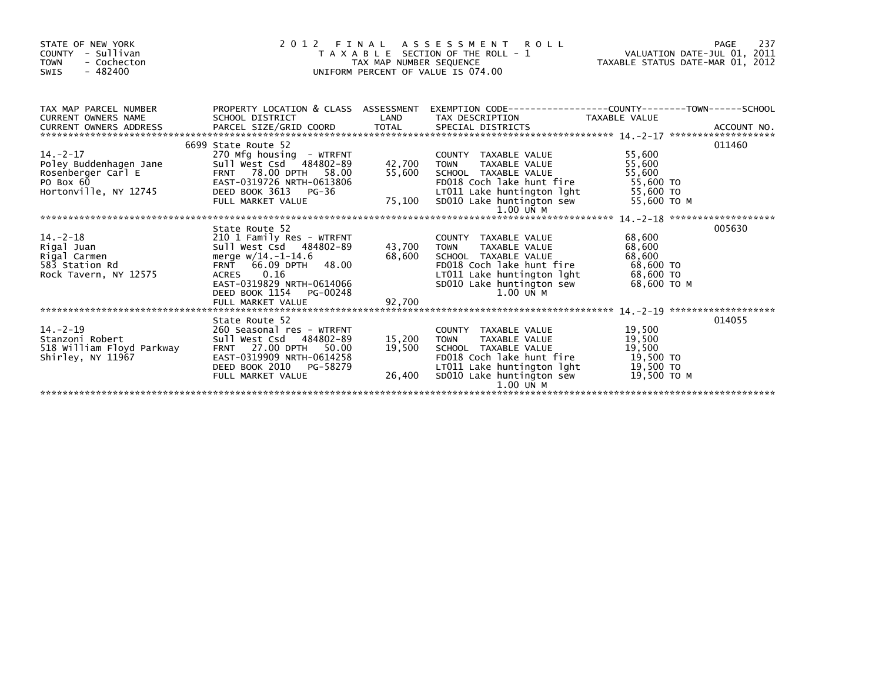| STATE OF NEW YORK<br>COUNTY - Sullivan<br><b>TOWN</b><br>- Cochecton<br>$-482400$<br>SWIS |                                                                                                                                                                                                                                                                                                                                                                                                                                |                            | 2012 FINAL ASSESSMENT ROLL<br>UNIFORM PERCENT OF VALUE IS 074.00                                                                                                                                                           | 2 FINAL ASSESSMENT ROLL<br>TAXABLE SECTION OF THE ROLL - 1 VALUATION DATE-JUL 01, 2011<br>TAX MAP NUMBER SEQUENCE |        |  |
|-------------------------------------------------------------------------------------------|--------------------------------------------------------------------------------------------------------------------------------------------------------------------------------------------------------------------------------------------------------------------------------------------------------------------------------------------------------------------------------------------------------------------------------|----------------------------|----------------------------------------------------------------------------------------------------------------------------------------------------------------------------------------------------------------------------|-------------------------------------------------------------------------------------------------------------------|--------|--|
| TAX MAP PARCEL NUMBER<br>CURRENT OWNERS NAME SCHOOL DISTRICT                              | PROPERTY LOCATION & CLASS ASSESSMENT EXEMPTION CODE----------------COUNTY-------TOWN------SCHOOL<br><b>Example 18 The LAND</b>                                                                                                                                                                                                                                                                                                 |                            | TAX DESCRIPTION TAXABLE VALUE                                                                                                                                                                                              |                                                                                                                   |        |  |
| $14. -2 - 17$                                                                             | 6699 State Route 52                                                                                                                                                                                                                                                                                                                                                                                                            |                            | COUNTY TAXABLE VALUE                                                                                                                                                                                                       | 55,600                                                                                                            | 011460 |  |
|                                                                                           | 270 Mfg housing - WTRFNT<br>Sull West Csd 484802-89 42,700<br>Poley Buddenhagen Jane<br>Poley Buddenhagen Jane<br>Rosenberger Carl E<br>POLEY FRNT 78.00 DPTH 58.00<br>PO Box 60<br>Hortonville, NY 12745<br>DEED BOOK 3613 PG-36                                                                                                                                                                                              | 42,700<br>55,600           | TAXABLE VALUE 55,600<br><b>TOWN</b><br>SCHOOL TAXABLE VALUE 55,600<br>FD018 Coch lake hunt fire 55,600 TO                                                                                                                  |                                                                                                                   |        |  |
|                                                                                           | DEED BOOK 3613 PG-36<br>FULL MARKET VALUE                                                                                                                                                                                                                                                                                                                                                                                      | 75,100                     | LT011 Lake huntington 1ght 55,600 TO<br>SD010 Lake huntington sew 55,600 TO M<br>1.00 UN M                                                                                                                                 |                                                                                                                   |        |  |
|                                                                                           |                                                                                                                                                                                                                                                                                                                                                                                                                                |                            |                                                                                                                                                                                                                            |                                                                                                                   |        |  |
|                                                                                           | DEED BOOK 1154<br>PG-00248                                                                                                                                                                                                                                                                                                                                                                                                     | 43,700 TOWN                | COUNTY TAXABLE VALUE<br>TAXABLE VALUE<br>SCHOOL TAXABLE VALUE<br>FD018 Coch lake hunt fire<br>LT011 Lake huntington 1ght 68,600 TO<br>SD010 Lake huntington sew 68,600 TO M<br>1.00 UN M                                   | 68,600<br>68,600<br>68,600<br>68,600 TO                                                                           | 005630 |  |
|                                                                                           |                                                                                                                                                                                                                                                                                                                                                                                                                                |                            |                                                                                                                                                                                                                            |                                                                                                                   |        |  |
| $14. - 2 - 19$<br>Stanzoni Robert<br>518 William Floyd Parkway<br>Shirley, NY 11967       | State Route 52<br>260 Seasonal res - WTRFNT<br>Sull West Csd 484802-89<br><b>FRNT 27.00 DPTH</b><br>50.00<br>EAST-0319909 NRTH-0614258<br>DEED BOOK 2010 PG-58279<br>an di Salah<br>Salah Salah Salah Salah Salah Salah Salah Salah Salah Salah Salah Salah Salah Salah Salah Salah Salah Salah S<br>Salah Salah Salah Salah Salah Salah Salah Salah Salah Salah Salah Salah Salah Salah Salah Salah Sala<br>FULL MARKET VALUE | 15,200<br>19,500<br>26,400 | COUNTY TAXABLE VALUE 19,500<br>TAXABLE VALUE<br>TOWN<br>SCHOOL TAXABLE VALUE 19,500<br>FD018 Coch lake hunt fire 19,500 TO<br>LT011 Lake huntington lght 19,500 TO<br>SD010 Lake huntington sew 19,500 TO M<br>$1.00$ UN M | 19,500                                                                                                            | 014055 |  |
|                                                                                           |                                                                                                                                                                                                                                                                                                                                                                                                                                |                            |                                                                                                                                                                                                                            |                                                                                                                   |        |  |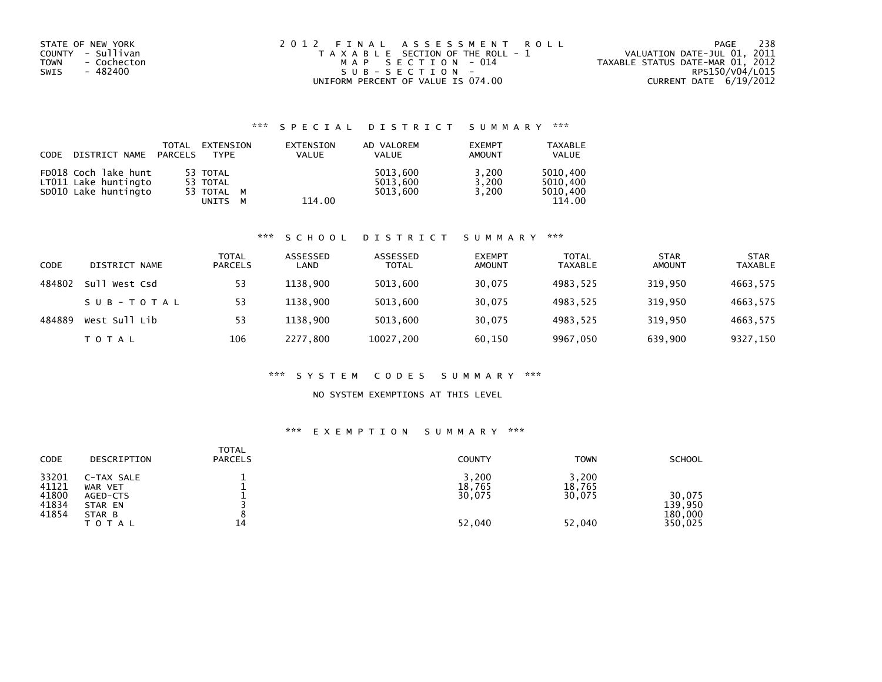| STATE OF NEW YORK<br>COUNTY - Sullivan<br><b>TOWN</b><br>- Cochecton<br>- 482400<br>SWIS | 2012 FINAL ASSESSMENT ROLL<br>T A X A B L E SECTION OF THE ROLL - 1<br>MAP SECTION - 014<br>$SUB - SECTION -$ | - 238<br>PAGE<br>VALUATION DATE-JUL 01, 2011<br>TAXABLE STATUS DATE-MAR 01, 2012<br>RPS150/V04/L015 |
|------------------------------------------------------------------------------------------|---------------------------------------------------------------------------------------------------------------|-----------------------------------------------------------------------------------------------------|
|                                                                                          | UNIFORM PERCENT OF VALUE IS 074.00                                                                            | CURRENT DATE 6/19/2012                                                                              |

## \*\*\* S P E C I A L D I S T R I C T S U M M A R Y \*\*\*

| <b>CODE</b> | DISTRICT NAME                                                        | TOTAL<br>PARCELS | EXTENSION<br><b>TYPF</b>                    |   | EXTENSION<br><b>VALUE</b> | AD VALOREM<br><b>VALUE</b>       | <b>EXEMPT</b><br>AMOUNT | <b>TAXABLE</b><br><b>VALUE</b>             |
|-------------|----------------------------------------------------------------------|------------------|---------------------------------------------|---|---------------------------|----------------------------------|-------------------------|--------------------------------------------|
|             | FD018 Coch lake hunt<br>LT011 Lake huntingto<br>SD010 Lake huntingto |                  | 53 TOTAL<br>53 TOTAL<br>53 TOTAL M<br>UNITS | м | 114.00                    | 5013.600<br>5013.600<br>5013.600 | 3,200<br>3.200<br>3.200 | 5010.400<br>5010.400<br>5010.400<br>114.00 |

#### \*\*\* S C H O O L D I S T R I C T S U M M A R Y \*\*\*

| CODE   | DISTRICT NAME | <b>TOTAL</b><br><b>PARCELS</b> | ASSESSED<br>LAND | ASSESSED<br><b>TOTAL</b> | <b>EXEMPT</b><br><b>AMOUNT</b> | <b>TOTAL</b><br><b>TAXABLE</b> | <b>STAR</b><br><b>AMOUNT</b> | <b>STAR</b><br><b>TAXABLE</b> |
|--------|---------------|--------------------------------|------------------|--------------------------|--------------------------------|--------------------------------|------------------------------|-------------------------------|
| 484802 | Sull West Csd | 53                             | 1138.900         | 5013,600                 | 30,075                         | 4983,525                       | 319,950                      | 4663,575                      |
|        | SUB-TOTAL     | 53                             | 1138.900         | 5013,600                 | 30,075                         | 4983,525                       | 319,950                      | 4663,575                      |
| 484889 | West Sull Lib | 53                             | 1138.900         | 5013.600                 | 30.075                         | 4983.525                       | 319.950                      | 4663,575                      |
|        | T O T A L     | 106                            | 2277,800         | 10027,200                | 60,150                         | 9967,050                       | 639,900                      | 9327,150                      |

#### \*\*\* S Y S T E M C O D E S S U M M A R Y \*\*\*

### NO SYSTEM EXEMPTIONS AT THIS LEVEL

#### \*\*\* E X E M P T I O N S U M M A R Y \*\*\*

| <b>CODE</b>                               | DESCRIPTION                                                     | <b>TOTAL</b><br><b>PARCELS</b> | <b>COUNTY</b>                       | <b>TOWN</b>                         | <b>SCHOOL</b>                           |
|-------------------------------------------|-----------------------------------------------------------------|--------------------------------|-------------------------------------|-------------------------------------|-----------------------------------------|
| 33201<br>41121<br>41800<br>41834<br>41854 | C-TAX SALE<br>WAR VET<br>AGED-CTS<br>STAR EN<br>STAR B<br>TOTAL | 14                             | 3,200<br>18,765<br>30,075<br>52,040 | 3,200<br>18,765<br>30,075<br>52,040 | 30.075<br>139.950<br>180,000<br>350,025 |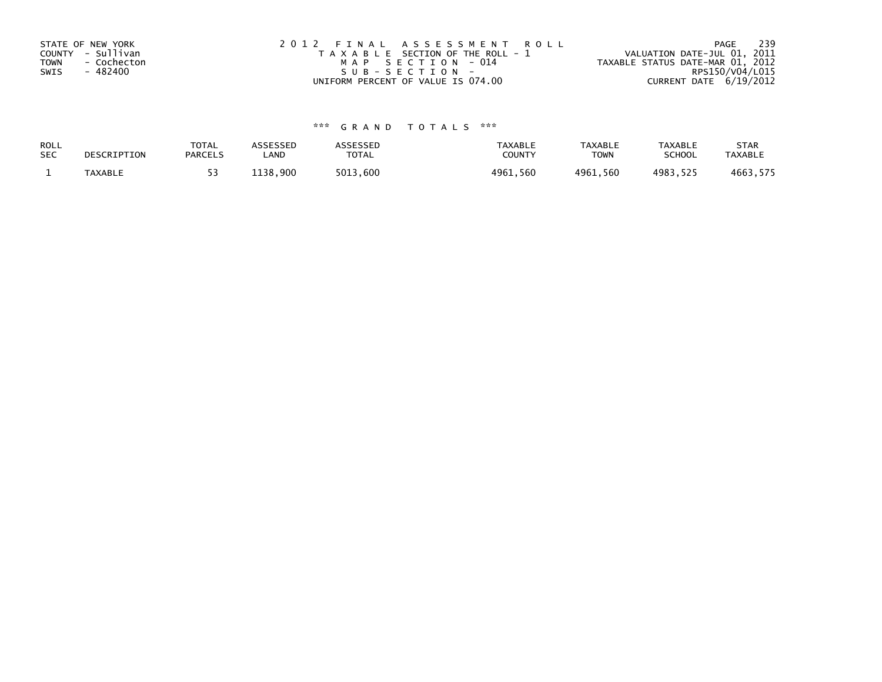| STATE OF NEW YORK | 2012 FINAL ASSESSMENT ROLL            | 239<br>PAGE                      |
|-------------------|---------------------------------------|----------------------------------|
| COUNTY - Sullivan | T A X A B L E SECTION OF THE ROLL - 1 | VALUATION DATE-JUL 01, 2011      |
| TOWN - Cochecton  | MAP SECTION - 014                     | TAXABLE STATUS DATE-MAR 01, 2012 |
| - 482400<br>SWIS  | SUB-SECTION-                          | RPS150/V04/L015                  |
|                   | UNIFORM PERCENT OF VALUE IS 074.00    | CURRENT DATE 6/19/2012           |

# \*\*\* G R A N D T O T A L S \*\*\*

| ROLL       | DESCRIPTION    | <b>TOTAL</b>   | ASSESSED | ASSESSED | <b>TAXABLE</b> | <b>TAXABLE</b> | <b>TAXABLE</b> | <b>STAR</b>    |
|------------|----------------|----------------|----------|----------|----------------|----------------|----------------|----------------|
| <b>SEC</b> |                | <b>PARCELS</b> | LAND     | TOTAL    | <b>COUNTY</b>  | <b>TOWN</b>    | <b>SCHOOL</b>  | <b>TAXABLE</b> |
|            | <b>TAXABLE</b> |                | 1138.900 | 5013.600 | 4961,560       | 4961.560       | 4983.525       | 4663,575       |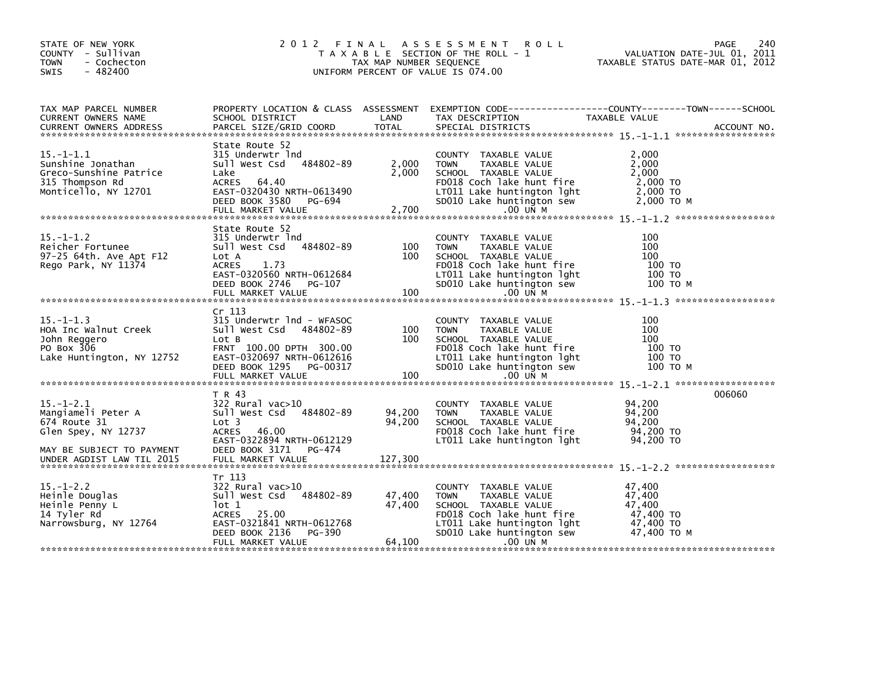| STATE OF NEW YORK<br>COUNTY - Sullivan<br>- Cochecton<br><b>TOWN</b><br>$-482400$<br>SWIS                 |                                                                                                                                                                                            | TAX MAP NUMBER SEQUENCE    | 2012 FINAL ASSESSMENT ROLL<br>T A X A B L E SECTION OF THE ROLL - 1<br>UNIFORM PERCENT OF VALUE IS 074.00                                                                          | PAGE<br>240<br>VALUATION DATE-JUL 01, 2011<br>TAXABLE STATUS DATE-MAR 01, 2012                                    |
|-----------------------------------------------------------------------------------------------------------|--------------------------------------------------------------------------------------------------------------------------------------------------------------------------------------------|----------------------------|------------------------------------------------------------------------------------------------------------------------------------------------------------------------------------|-------------------------------------------------------------------------------------------------------------------|
| TAX MAP PARCEL NUMBER<br>CURRENT OWNERS NAME                                                              | SCHOOL DISTRICT                                                                                                                                                                            | LAND                       | TAX DESCRIPTION                                                                                                                                                                    | PROPERTY LOCATION & CLASS ASSESSMENT EXEMPTION CODE----------------COUNTY-------TOWN------SCHOOL<br>TAXABLE VALUE |
| $15. - 1 - 1.1$<br>Sunshine Jonathan<br>Greco-Sunshine Patrice<br>315 Thompson Rd<br>Monticello, NY 12701 | State Route 52<br>315 Underwtr Ind<br>Sull West Csd 484802-89<br>Lake<br>ACRES 64.40<br>EAST-0320430 NRTH-0613490<br>DEED BOOK 3580<br>PG-694<br>FULL MARKET VALUE                         | 2,000<br>2,000<br>2,700    | COUNTY TAXABLE VALUE<br>TAXABLE VALUE<br><b>TOWN</b><br>SCHOOL TAXABLE VALUE<br>FD018 Coch lake hunt fire<br>LT011 Lake huntington lght<br>SD010 Lake huntington sew<br>.00 UN M   | 2,000<br>2,000<br>2,000<br>2,000 TO<br>2,000 TO<br>$2,000$ TO M                                                   |
| $15. - 1 - 1.2$<br>Reicher Fortunee<br>97-25 64th. Ave Apt F12<br>Rego Park, NY 11374                     | State Route 52<br>315 Underwtr Ind<br>Sull West Csd 484802-89<br>Lot A<br><b>ACRES</b><br>1.73<br>EAST-0320560 NRTH-0612684<br>DEED BOOK 2746 PG-107<br>FULL MARKET VALUE                  | 100<br>100<br>100          | COUNTY TAXABLE VALUE<br>TAXABLE VALUE<br><b>TOWN</b><br>SCHOOL TAXABLE VALUE<br>FD018 Coch lake hunt fire<br>LT011 Lake huntington lght<br>SD010 Lake huntington sew<br>.00 UN M   | 100<br>100<br>100<br>100 TO<br>100 TO<br>100 то м                                                                 |
| $15. - 1 - 1.3$<br>HOA Inc Walnut Creek<br>John Reggero<br>PO Box 306<br>Lake Huntington, NY 12752        | Cr <sub>113</sub><br>315 Underwtr 1nd - WFASOC<br>Sull West Csd 484802-89<br>Lot B<br>FRNT 100.00 DPTH 300.00<br>EAST-0320697 NRTH-0612616<br>DEED BOOK 1295 PG-00317<br>FULL MARKET VALUE | 100<br>100<br>100          | COUNTY TAXABLE VALUE<br>TAXABLE VALUE<br><b>TOWN</b><br>SCHOOL TAXABLE VALUE<br>FD018 Coch lake hunt fire<br>LT011 Lake huntington lght<br>SD010 Lake huntington sew<br>$.00$ UN M | 100<br>100<br>100<br>100 TO<br>100 TO<br>100 то м                                                                 |
| $15. - 1 - 2.1$<br>Mangiameli Peter A<br>674 Route 31<br>Glen Spey, NY 12737<br>MAY BE SUBJECT TO PAYMENT | T R 43<br>322 Rural vac>10<br>Sull West Csd 484802-89<br>Lot 3<br>46.00<br><b>ACRES</b><br>EAST-0322894 NRTH-0612129<br>DEED BOOK 3171<br>PG-474                                           | 94,200<br>94,200           | COUNTY TAXABLE VALUE<br>TAXABLE VALUE<br><b>TOWN</b><br>SCHOOL TAXABLE VALUE<br>FD018 Coch lake hunt fire<br>LT011 Lake huntington lght                                            | 006060<br>94.200<br>94,200<br>94,200<br>94,200 TO<br>94,200 TO                                                    |
| $15. - 1 - 2.2$<br>Heinle Douglas<br>Heinle Penny L<br>14 Tyler Rd<br>Narrowsburg, NY 12764               | Tr 113<br>322 Rural vac>10<br>Sull West Csd 484802-89<br>lot 1<br>ACRES 25.00<br>EAST-0321841 NRTH-0612768<br>PG-390<br>DEED BOOK 2136<br>FULL MARKET VALUE                                | 47,400<br>47,400<br>64,100 | COUNTY TAXABLE VALUE<br><b>TOWN</b><br>TAXABLE VALUE<br>SCHOOL TAXABLE VALUE<br>FD018 Coch lake hunt fire<br>LT011 Lake huntington lght<br>SD010 Lake huntington sew<br>.00 UN M   | 47,400<br>47,400<br>47.400<br>47,400 TO<br>47,400 TO<br>47,400 TO M                                               |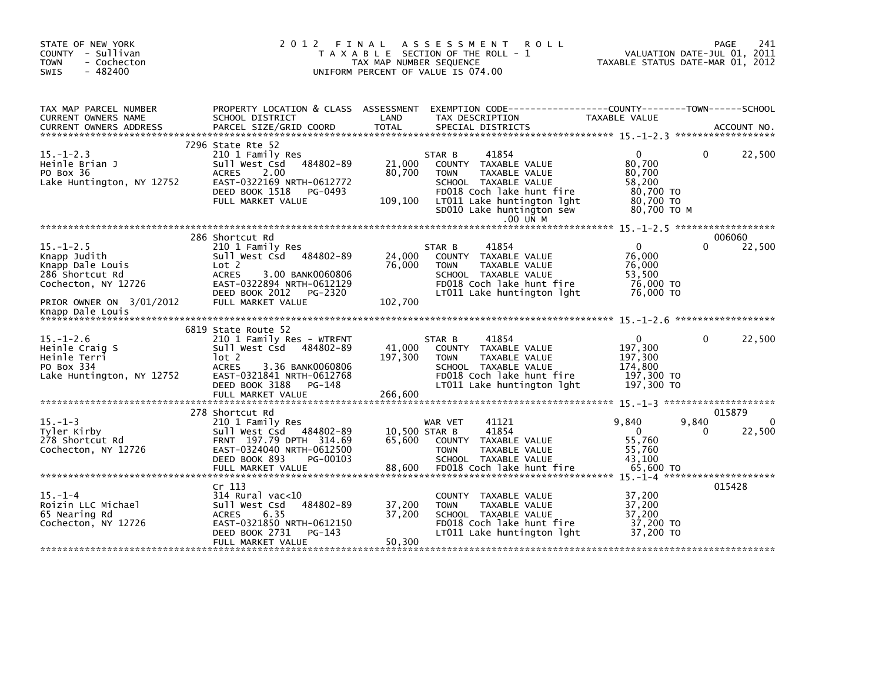| STATE OF NEW YORK<br>COUNTY - Sullivan<br><b>TOWN</b><br>- Cochecton<br>$-482400$<br>SWIS     | 2 0 1 2                                                                                                                                                                                                | FINAL<br>TAX MAP NUMBER SEQUENCE | A S S E S S M E N T<br><b>ROLL</b><br>T A X A B L E SECTION OF THE ROLL - 1<br>UNIFORM PERCENT OF VALUE IS 074.00                                                                                   | TAXABLE STATUS DATE-MAR 01, 2012                                                    | 241<br>PAGE<br>VALUATION DATE-JUL 01, 2011 |
|-----------------------------------------------------------------------------------------------|--------------------------------------------------------------------------------------------------------------------------------------------------------------------------------------------------------|----------------------------------|-----------------------------------------------------------------------------------------------------------------------------------------------------------------------------------------------------|-------------------------------------------------------------------------------------|--------------------------------------------|
| TAX MAP PARCEL NUMBER<br>CURRENT OWNERS NAME                                                  | PROPERTY LOCATION & CLASS ASSESSMENT<br>SCHOOL DISTRICT                                                                                                                                                | LAND                             | TAX DESCRIPTION                                                                                                                                                                                     | TAXABLE VALUE                                                                       |                                            |
| $15. - 1 - 2.3$<br>Heinle Brian J<br>PO Box 36<br>Lake Huntington, NY 12752                   | 7296 State Rte 52<br>210 1 Family Res<br>484802-89<br>Sull West Csd<br>2.00<br><b>ACRES</b><br>EAST-0322169 NRTH-0612772<br>DEED BOOK 1518<br>PG-0493<br>FULL MARKET VALUE                             | 21,000<br>80,700<br>109,100      | 41854<br>STAR B<br>COUNTY TAXABLE VALUE<br><b>TOWN</b><br>TAXABLE VALUE<br>SCHOOL TAXABLE VALUE<br>FD018 Coch lake hunt fire<br>LT011 Lake huntington lght<br>SD010 Lake huntington sew<br>.00 UN M | $\mathbf{0}$<br>80,700<br>80,700<br>58,200<br>80.700 TO<br>80,700 TO<br>80.700 TO M | 22,500<br>0                                |
|                                                                                               | 286 Shortcut Rd                                                                                                                                                                                        |                                  |                                                                                                                                                                                                     |                                                                                     | 006060                                     |
| $15. - 1 - 2.5$<br>Knapp Judith<br>Knapp Dale Louis<br>286 Shortcut Rd<br>Cochecton, NY 12726 | 210 1 Family Res<br>Sull West Csd 484802-89<br>Lot 2<br><b>ACRES</b><br>3.00 BANK0060806<br>EAST-0322894 NRTH-0612129<br>DEED BOOK 2012<br>PG-2320                                                     | 24,000<br>76,000                 | 41854<br>STAR B<br>COUNTY TAXABLE VALUE<br><b>TOWN</b><br>TAXABLE VALUE<br>SCHOOL TAXABLE VALUE<br>FD018 Coch lake hunt fire<br>LT011 Lake huntington lght                                          | $\mathbf{0}$<br>76,000<br>76,000<br>53,500<br>76,000 TO<br>76,000 TO                | 22,500<br>0                                |
| PRIOR OWNER ON 3/01/2012<br>Knapp Dale Louis                                                  | FULL MARKET VALUE                                                                                                                                                                                      | 102,700                          |                                                                                                                                                                                                     |                                                                                     |                                            |
| $15. - 1 - 2.6$<br>Heinle Craig S<br>Heinle Terri<br>PO Box 334<br>Lake Huntington, NY 12752  | 6819 State Route 52<br>210 1 Family Res - WTRFNT<br>Sull West Csd 484802-89<br>lot 2<br><b>ACRES</b><br>3.36 BANK0060806<br>EAST-0321841 NRTH-0612768<br>DEED BOOK 3188<br>PG-148<br>FULL MARKET VALUE | 41,000<br>197,300<br>266,600     | STAR B<br>41854<br>COUNTY TAXABLE VALUE<br>TAXABLE VALUE<br><b>TOWN</b><br>SCHOOL TAXABLE VALUE<br>FD018 Coch lake hunt fire<br>LT011 Lake huntington lght                                          | $\mathbf{0}$<br>197,300<br>197,300<br>174,800<br>197,300 то<br>197,300 TO           | 22,500<br>$\Omega$                         |
|                                                                                               | 278 Shortcut Rd                                                                                                                                                                                        |                                  |                                                                                                                                                                                                     |                                                                                     | 015879                                     |
| $15. - 1 - 3$<br>Tyler Kirby<br>278 Shortcut Rd<br>Cochecton, NY 12726                        | 210 1 Family Res<br>Sull West Csd 484802-89<br>FRNT 197.79 DPTH 314.69<br>EAST-0324040 NRTH-0612500<br>DEED BOOK 893<br>PG-00103<br>FULL MARKET VALUE                                                  | 65,600<br>88,600                 | 41121<br>WAR VET<br>41854<br>10,500 STAR B<br>COUNTY TAXABLE VALUE<br><b>TOWN</b><br>TAXABLE VALUE<br>SCHOOL TAXABLE VALUE<br>FD018 Coch lake hunt fire                                             | 9,840<br>$\Omega$<br>55,760<br>55,760<br>43,100<br>65,600 TO                        | $\Omega$<br>9,840<br>22,500<br>0           |
| $15. - 1 - 4$                                                                                 | Cr 113<br>$314$ Rural vac< $10$                                                                                                                                                                        |                                  | COUNTY TAXABLE VALUE                                                                                                                                                                                | 37,200                                                                              | 015428                                     |
| Roizin LLC Michael<br>65 Nearing Rd<br>Cochecton, NY 12726                                    | 484802-89<br>Sull West Csd<br>6.35<br><b>ACRES</b><br>EAST-0321850 NRTH-0612150<br>DEED BOOK 2731<br>PG-143                                                                                            | 37,200<br>37,200                 | TAXABLE VALUE<br><b>TOWN</b><br>SCHOOL TAXABLE VALUE<br>FD018 Coch lake hunt fire<br>LT011 Lake huntington lght                                                                                     | 37,200<br>37,200<br>37,200 TO<br>37.200 TO                                          |                                            |
|                                                                                               | FULL MARKET VALUE                                                                                                                                                                                      | 50,300                           |                                                                                                                                                                                                     |                                                                                     |                                            |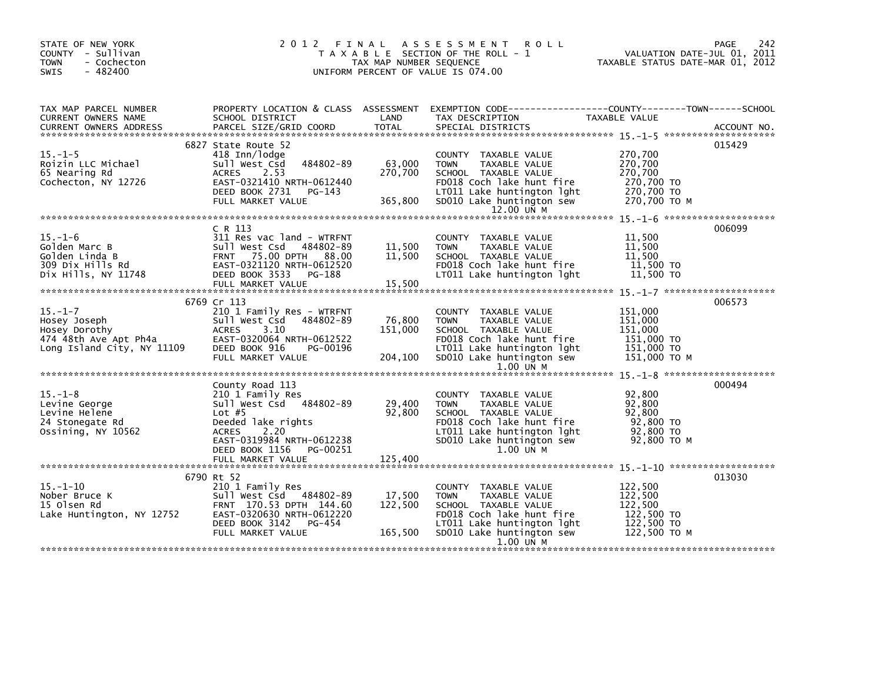| STATE OF NEW YORK<br>COUNTY - Sullivan<br><b>TOWN</b><br>- Cochecton<br>$-482400$<br><b>SWIS</b> |                                                                                                                                                                                     | TAX MAP NUMBER SEQUENCE      | 2012 FINAL ASSESSMENT ROLL<br>T A X A B L E SECTION OF THE ROLL - 1<br>UNIFORM PERCENT OF VALUE IS 074.00                                                                          | VALUATION DATE-JUL 01, 2011<br>TAXABLE STATUS DATE-MAR 01, 2012           | PAGE<br>242 |
|--------------------------------------------------------------------------------------------------|-------------------------------------------------------------------------------------------------------------------------------------------------------------------------------------|------------------------------|------------------------------------------------------------------------------------------------------------------------------------------------------------------------------------|---------------------------------------------------------------------------|-------------|
| TAX MAP PARCEL NUMBER<br>CURRENT OWNERS NAME                                                     | SCHOOL DISTRICT                                                                                                                                                                     | LAND                         | PROPERTY LOCATION & CLASS ASSESSMENT EXEMPTION CODE----------------COUNTY-------TOWN------SCHOOL<br>TAX DESCRIPTION                                                                | TAXABLE VALUE                                                             |             |
| $15. - 1 - 5$<br>Roizin LLC Michael<br>65 Nearing Rd<br>Cochecton, NY 12726                      | 6827 State Route 52<br>418 Inn/lodge<br>484802-89<br>Sull West Csd<br>2.53<br><b>ACRES</b><br>EAST-0321410 NRTH-0612440<br>DEED BOOK 2731<br>PG-143<br>FULL MARKET VALUE            | 63,000<br>270,700<br>365,800 | COUNTY TAXABLE VALUE<br><b>TOWN</b><br>TAXABLE VALUE<br>SCHOOL TAXABLE VALUE<br>FD018 Coch lake hunt fire<br>LT011 Lake huntington lght<br>SD010 Lake huntington sew<br>12.00 UN M | 270,700<br>270,700<br>270,700<br>270,700 TO<br>270,700 TO<br>270,700 TO M | 015429      |
| $15. - 1 - 6$<br>Golden Marc B<br>Golden Linda B<br>309 Dix Hills Rd<br>Dix Hills, NY 11748      | $C$ R $113$<br>311 Res vac land - WTRFNT<br>Sull West Csd 484802-89<br>FRNT 75.00 DPTH 88.00<br>EAST-0321120 NRTH-0612520<br>DEED BOOK 3533<br>PG-188<br>FULL MARKET VALUE          | 11,500<br>11,500<br>15,500   | COUNTY TAXABLE VALUE<br>TAXABLE VALUE<br><b>TOWN</b><br>SCHOOL TAXABLE VALUE<br>FD018 Coch lake hunt fire<br>LT011 Lake huntington lght                                            | 11,500<br>11,500<br>11.500<br>11,500 TO<br>11,500 TO                      | 006099      |
| $15. - 1 - 7$                                                                                    | 6769 Cr 113<br>210 1 Family Res - WTRFNT                                                                                                                                            |                              | COUNTY TAXABLE VALUE                                                                                                                                                               | 151,000                                                                   | 006573      |
| ноѕеу Јоѕерћ<br>Ноѕеу Dorothy<br>474 48th Ave Apt Ph4a<br>Long Island City, NY 11109             | 484802-89<br>Sull West Csd<br><b>ACRES</b><br>3.10<br>EAST-0320064 NRTH-0612522<br>DEED BOOK 916<br>PG-00196<br>FULL MARKET VALUE                                                   | 76,800<br>151,000<br>204,100 | <b>TOWN</b><br>TAXABLE VALUE<br>SCHOOL TAXABLE VALUE<br>FD018 Coch lake hunt fire<br>LT011 Lake huntington lght<br>SD010 Lake huntington sew<br>$1.00$ UN M                        | 151,000<br>151,000<br>151,000 TO<br>151,000 TO<br>151,000 ТО М            |             |
|                                                                                                  |                                                                                                                                                                                     |                              |                                                                                                                                                                                    |                                                                           |             |
| $15. - 1 - 8$<br>Levine George<br>Levine Helene<br>24 Stonegate Rd<br>Ossining, NY 10562         | County Road 113<br>210 1 Family Res<br>Sull West Csd 484802-89<br>Lot $#5$<br>Deeded lake rights<br><b>ACRES</b><br>2.20<br>EAST-0319984 NRTH-0612238<br>DEED BOOK 1156<br>PG-00251 | 29,400<br>92,800             | COUNTY TAXABLE VALUE<br><b>TOWN</b><br>TAXABLE VALUE<br>SCHOOL TAXABLE VALUE<br>FD018 Coch lake hunt fire<br>LT011 Lake huntington lght<br>SD010 Lake huntington sew<br>1.00 UN M  | 92,800<br>92,800<br>92,800<br>92,800 TO<br>92,800 TO<br>92,800 TO M       | 000494      |
|                                                                                                  | FULL MARKET VALUE                                                                                                                                                                   | 125,400                      |                                                                                                                                                                                    |                                                                           |             |
| $15. - 1 - 10$<br>Nober Bruce K<br>15 Olsen Rd<br>Lake Huntington, NY 12752                      | 6790 Rt 52<br>210 1 Family Res<br>Sull West Csd 484802-89<br>FRNT 170.53 DPTH 144.60<br>EAST-0320630 NRTH-0612220<br>DEED BOOK 3142<br>PG-454                                       | 17,500<br>122,500            | COUNTY TAXABLE VALUE<br><b>TOWN</b><br>TAXABLE VALUE<br>SCHOOL TAXABLE VALUE<br>FD018 Coch lake hunt fire<br>LT011 Lake huntington lght                                            | 122,500<br>122,500<br>122.500<br>122,500 TO<br>122,500 TO                 | 013030      |
|                                                                                                  | FULL MARKET VALUE                                                                                                                                                                   | 165,500                      | SD010 Lake huntington sew<br>1.00 UN M                                                                                                                                             | 122,500 то м                                                              |             |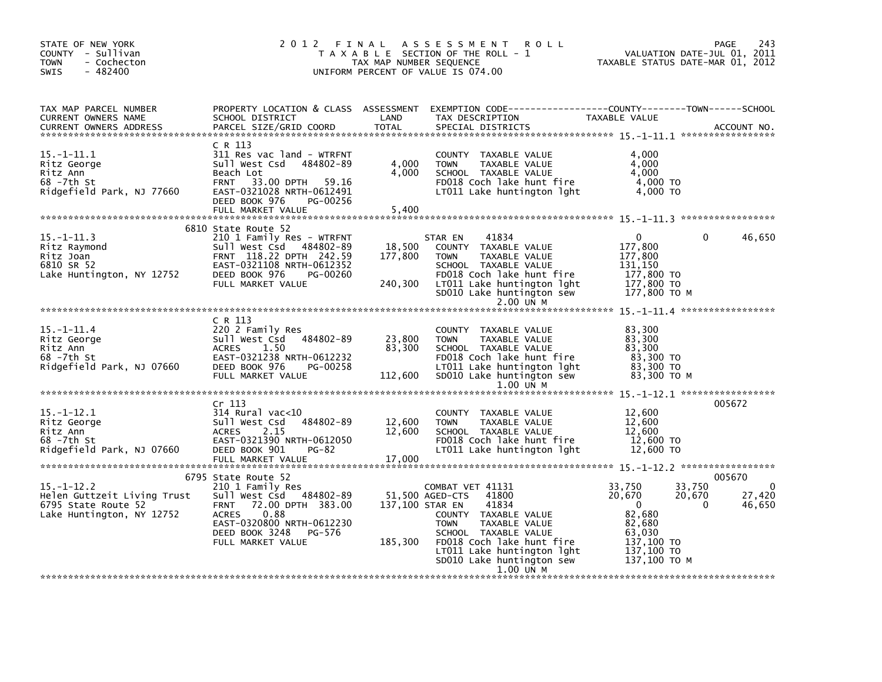| STATE OF NEW YORK<br>COUNTY - Sullivan<br>- Cochecton<br>TOWN<br>$-482400$<br><b>SWIS</b>           | 2012 FINAL                                                                                                                                                                                        | TAX MAP NUMBER SEQUENCE      | A S S E S S M E N T<br><b>ROLL</b><br>T A X A B L E SECTION OF THE ROLL - 1<br>UNIFORM PERCENT OF VALUE IS 074.00                                                                                                                          | TAXABLE STATUS DATE-MAR 01, 2012                                                                                                | 243<br>PAGE<br>VALUATION DATE-JUL 01, 2011 |
|-----------------------------------------------------------------------------------------------------|---------------------------------------------------------------------------------------------------------------------------------------------------------------------------------------------------|------------------------------|--------------------------------------------------------------------------------------------------------------------------------------------------------------------------------------------------------------------------------------------|---------------------------------------------------------------------------------------------------------------------------------|--------------------------------------------|
| TAX MAP PARCEL NUMBER<br>CURRENT OWNERS NAME<br><b>CURRENT OWNERS ADDRESS</b>                       | PROPERTY LOCATION & CLASS ASSESSMENT<br>SCHOOL DISTRICT<br>PARCEL SIZE/GRID COORD                                                                                                                 | LAND<br><b>TOTAL</b>         | EXEMPTION CODE-----------------COUNTY-------TOWN------SCHOOL<br>TAX DESCRIPTION<br>SPECIAL DISTRICTS                                                                                                                                       | TAXABLE VALUE                                                                                                                   | ACCOUNT NO.                                |
| 15. -1-11. 1<br>Ritz George<br>Ritz Ann<br>68 -7th St<br>Ridgefield Park, NJ 77660                  | C R 113<br>311 Res vac land - WTRFNT<br>Sull West Csd<br>484802-89<br>Beach Lot<br><b>FRNT</b><br>33.00 DPTH 59.16<br>EAST-0321028 NRTH-0612491<br>DEED BOOK 976<br>PG-00256<br>FULL MARKET VALUE | 4,000<br>4,000<br>5,400      | COUNTY TAXABLE VALUE<br><b>TOWN</b><br>TAXABLE VALUE<br>SCHOOL TAXABLE VALUE<br>FD018 Coch lake hunt fire<br>LT011 Lake huntington lght                                                                                                    | 4.000<br>4,000<br>4,000<br>4,000 TO<br>4,000 TO                                                                                 |                                            |
| $15. - 1 - 11.3$<br>Ritz Raymond<br>Ritz Joan<br>6810 SR 52<br>Lake Huntington, NY 12752            | 6810 State Route 52<br>210 1 Family Res - WTRFNT<br>sull west Csd<br>484802-89<br>FRNT 118.22 DPTH 242.59<br>EAST-0321108 NRTH-0612352<br>DEED BOOK 976<br>PG-00260<br>FULL MARKET VALUE          | 18,500<br>177,800<br>240,300 | 41834<br>STAR EN<br>COUNTY TAXABLE VALUE<br>TAXABLE VALUE<br><b>TOWN</b><br>SCHOOL TAXABLE VALUE<br>FD018 Coch lake hunt fire<br>LT011 Lake huntington 1ght<br>SD010 Lake huntington sew<br>2.00 UN M                                      | $\Omega$<br>177,800<br>177,800<br>131.150<br>177,800 TO<br>177,800 TO<br>177,800 TO M                                           | 46,650<br>0                                |
| $15. - 1 - 11.4$<br>Ritz George<br>Ritz Ann<br>68 -7th St<br>Ridgefield Park, NJ 07660              | C R 113<br>220 2 Family Res<br>Sull West Csd 484802-89<br><b>ACRES</b><br>1.50<br>EAST-0321238 NRTH-0612232<br>DEED BOOK 976<br>PG-00258<br>FULL MARKET VALUE                                     | 23,800<br>83,300<br>112,600  | COUNTY TAXABLE VALUE<br><b>TOWN</b><br>TAXABLE VALUE<br>SCHOOL TAXABLE VALUE<br>FD018 Coch lake hunt fire<br>LT011 Lake huntington 1ght<br>SD010 Lake huntington sew<br>1.00 UN M                                                          | 83.300<br>83,300<br>83,300<br>83,300 TO<br>83.300 TO<br>83,300 TO M                                                             |                                            |
| $15. - 1 - 12.1$<br>Ritz George<br>Ritz Ann<br>68 -7th St<br>Ridgefield Park, NJ 07660              | Cr 113<br>$314$ Rural vac< $10$<br>Sull West Csd<br>484802-89<br>2.15<br><b>ACRES</b><br>EAST-0321390 NRTH-0612050<br>DEED BOOK 901<br>PG-82                                                      | 12,600<br>12,600             | COUNTY TAXABLE VALUE<br><b>TOWN</b><br>TAXABLE VALUE<br>SCHOOL TAXABLE VALUE<br>FD018 Coch lake hunt fire<br>LT011 Lake huntington lght                                                                                                    | 12,600<br>12,600<br>12,600<br>12,600 TO<br>12,600 TO                                                                            | 005672                                     |
|                                                                                                     | FULL MARKET VALUE<br>6795 State Route 52                                                                                                                                                          | 17,000                       |                                                                                                                                                                                                                                            |                                                                                                                                 | 005670                                     |
| $15. - 1 - 12.2$<br>Helen Guttzeit Living Trust<br>6795 State Route 52<br>Lake Huntington, NY 12752 | 210 1 Family Res<br>484802-89<br>Sull West Csd<br>72.00 DPTH 383.00<br><b>FRNT</b><br>0.88<br><b>ACRES</b><br>EAST-0320800 NRTH-0612230<br>DEED BOOK 3248<br>PG-576<br>FULL MARKET VALUE          | 137,100 STAR EN<br>185,300   | COMBAT VET 41131<br>41800<br>51,500 AGED-CTS<br>41834<br>COUNTY TAXABLE VALUE<br><b>TOWN</b><br>TAXABLE VALUE<br>SCHOOL TAXABLE VALUE<br>FD018 Coch lake hunt fire<br>LT011 Lake huntington 1ght<br>SD010 Lake huntington sew<br>1.00 UN M | 33,750<br>33,750<br>20,670<br>20,670<br>$\mathbf 0$<br>82.680<br>82,680<br>63,030<br>$137,100$ TO<br>137,100 TO<br>137,100 ТО М | 0<br>27,420<br>$\Omega$<br>46,650          |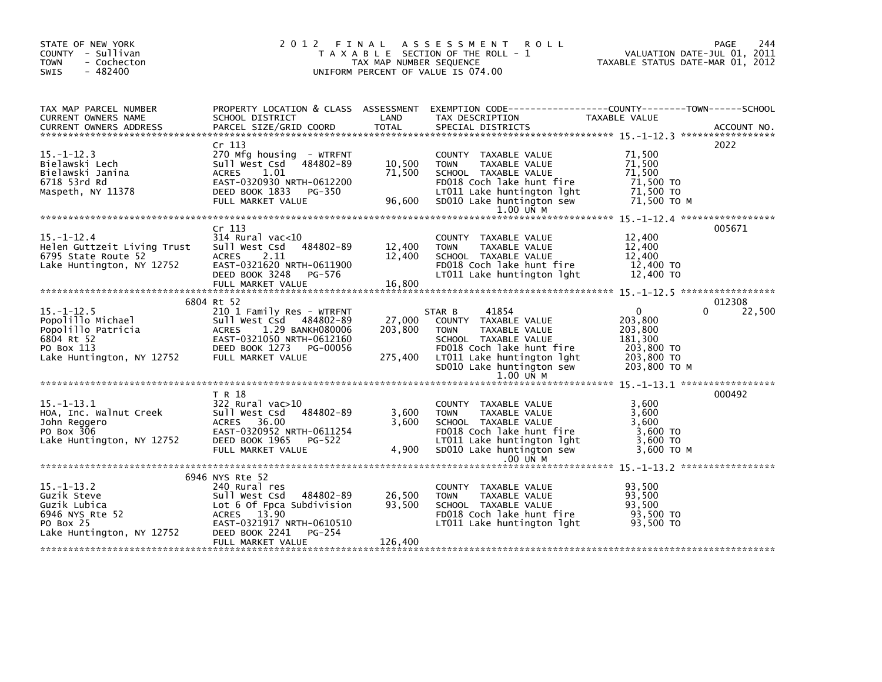| STATE OF NEW YORK<br>COUNTY - Sullivan<br><b>TOWN</b><br>- Cochecton<br>$-482400$<br>SWIS                                                                                                                                                    |                                                   |         | 2012 FINAL ASSESSMENT ROLL<br>T A X A B L E SECTION OF THE ROLL - 1<br>TAX MAP NUMBER SEQUENCE<br>UNIFORM PERCENT OF VALUE IS 074.00 | VALUATION DATE-JUL 01, 2011<br>TAXABLE STATUS DATE-MAR 01, 2012 | PAGE<br>244 |
|----------------------------------------------------------------------------------------------------------------------------------------------------------------------------------------------------------------------------------------------|---------------------------------------------------|---------|--------------------------------------------------------------------------------------------------------------------------------------|-----------------------------------------------------------------|-------------|
| TAX MAP PARCEL NUMBER<br>CURRENT OWNERS NAME                                                                                                                                                                                                 | SCHOOL DISTRICT                                   | LAND    | PROPERTY LOCATION & CLASS ASSESSMENT EXEMPTION CODE----------------COUNTY-------TOWN------SCHOOL<br>TAX DESCRIPTION                  | TAXABLE VALUE                                                   |             |
|                                                                                                                                                                                                                                              |                                                   |         |                                                                                                                                      |                                                                 |             |
|                                                                                                                                                                                                                                              | Cr 113                                            |         |                                                                                                                                      |                                                                 | 2022        |
| $15. - 1 - 12.3$                                                                                                                                                                                                                             | 270 Mfg housing - WTRFNT                          |         | COUNTY TAXABLE VALUE                                                                                                                 | 71,500                                                          |             |
| Bielawski Lech                                                                                                                                                                                                                               | Sull West Csd 484802-89                           | 10,500  | <b>TOWN</b><br>TAXABLE VALUE                                                                                                         | 71,500                                                          |             |
| Bielawski Janina<br>6718 53rd Rd                                                                                                                                                                                                             | 1.01<br><b>ACRES</b><br>EAST-0320930 NRTH-0612200 | 71,500  | SCHOOL TAXABLE VALUE<br>FD018 Coch lake hunt fire                                                                                    | 71,500<br>71,500 TO                                             |             |
| Maspeth, NY 11378                                                                                                                                                                                                                            | DEED BOOK 1833<br>PG-350                          |         |                                                                                                                                      |                                                                 |             |
|                                                                                                                                                                                                                                              | FULL MARKET VALUE                                 |         | LT011 Lake huntington 1ght 71,500 TO<br>96,600 SD010 Lake huntington sew 71,500 TO M                                                 |                                                                 |             |
|                                                                                                                                                                                                                                              |                                                   |         | 1.00 UN M                                                                                                                            |                                                                 |             |
|                                                                                                                                                                                                                                              | Cr <sub>113</sub>                                 |         |                                                                                                                                      |                                                                 | 005671      |
| $15. - 1 - 12.4$                                                                                                                                                                                                                             | 314 Rural vac<10                                  |         | COUNTY TAXABLE VALUE                                                                                                                 | 12,400                                                          |             |
| Helen Guttzeit Living Trust Sull West Csd 484802-89                                                                                                                                                                                          |                                                   | 12,400  | TAXABLE VALUE<br><b>TOWN</b>                                                                                                         | 12,400                                                          |             |
| 6795 State Route 52 <sup>7</sup> ACRES<br>Lake Huntington, NY 12752 EAST-0                                                                                                                                                                   | 2.11                                              | 12,400  | SCHOOL TAXABLE VALUE                                                                                                                 | 12,400                                                          |             |
|                                                                                                                                                                                                                                              | EAST-0321620 NRTH-0611900                         |         | FD018 Coch lake hunt fire                                                                                                            | 12,400 TO                                                       |             |
|                                                                                                                                                                                                                                              | DEED BOOK 3248<br>PG-576                          | 16,800  | LT011 Lake huntington 1ght 12,400 TO                                                                                                 |                                                                 |             |
|                                                                                                                                                                                                                                              | FULL MARKET VALUE                                 |         |                                                                                                                                      |                                                                 |             |
|                                                                                                                                                                                                                                              | 6804 Rt 52                                        |         |                                                                                                                                      |                                                                 | 012308      |
| $15. - 1 - 12.5$                                                                                                                                                                                                                             | 210 1 Family Res - WTRFNT                         |         | 41854<br>STAR B                                                                                                                      | $\mathbf{0}$<br>0                                               | 22,500      |
|                                                                                                                                                                                                                                              |                                                   | 27,000  | COUNTY TAXABLE VALUE                                                                                                                 | 203,800                                                         |             |
| -3.-1-12.3<br>Popolillo Michael Sull West Csd 484802-89<br>Popolillo Patricia ACRES 1.29 BANKH080006<br>6804 Rt 52 EAST-0321050 NRTH-0612160<br>PO Box 113 DEED BOOK 1273 PG-00056<br>Lake Huntington, NY 12752 FULL MARKET VALUE            |                                                   | 203,800 | <b>TOWN</b><br>TAXABLE VALUE                                                                                                         | 203,800                                                         |             |
|                                                                                                                                                                                                                                              |                                                   |         | SCHOOL TAXABLE VALUE                                                                                                                 | 181,300                                                         |             |
|                                                                                                                                                                                                                                              |                                                   |         |                                                                                                                                      |                                                                 |             |
|                                                                                                                                                                                                                                              |                                                   |         | FDULE Coch lake hunt fire<br>275,400 LT011 Lake huntington 1ght 203,800 TO                                                           | 203,800 ТО М                                                    |             |
|                                                                                                                                                                                                                                              |                                                   |         | SD010 Lake huntington sew<br>1.00 UN M                                                                                               |                                                                 |             |
|                                                                                                                                                                                                                                              |                                                   |         |                                                                                                                                      |                                                                 |             |
|                                                                                                                                                                                                                                              | T R 18                                            |         |                                                                                                                                      |                                                                 | 000492      |
| $15. -1 - 13.1$                                                                                                                                                                                                                              | 322 Rural vac>10                                  |         | COUNTY TAXABLE VALUE                                                                                                                 | 3,600                                                           |             |
|                                                                                                                                                                                                                                              |                                                   | 3,600   | TAXABLE VALUE<br><b>TOWN</b>                                                                                                         | 3,600                                                           |             |
|                                                                                                                                                                                                                                              |                                                   | 3,600   | SCHOOL TAXABLE VALUE                                                                                                                 | 3,600                                                           |             |
| 15.-1-13.1<br>HOA, Inc. walnut Creek 5101 West Csd<br>322 RWast Case 36.00<br>20th Reggero 2015 2017-0320952 NRTH-0611254<br>2016 2017-0320952 NRTH-0611254<br>2016 2017-0320952 NRTH-0611254<br>2016 2017-0320952 NRTH-0611254<br>2016 2017 |                                                   |         | FD018 Coch lake hunt fire<br>LT011 Lake huntington lght                                                                              | 3,600 то<br>3,600 то                                            |             |
|                                                                                                                                                                                                                                              |                                                   |         | 4,900 SD010 Lake huntington sew                                                                                                      |                                                                 |             |
|                                                                                                                                                                                                                                              | FULL MARKET VALUE                                 |         | .00 UN M                                                                                                                             | 3,600 TO M                                                      |             |
|                                                                                                                                                                                                                                              |                                                   |         |                                                                                                                                      |                                                                 |             |
|                                                                                                                                                                                                                                              | 6946 NYS Rte 52                                   |         |                                                                                                                                      |                                                                 |             |
| $15. - 1 - 13.2$                                                                                                                                                                                                                             |                                                   |         | COUNTY TAXABLE VALUE                                                                                                                 | 93,500                                                          |             |
|                                                                                                                                                                                                                                              |                                                   |         | <b>TOWN</b><br>TAXABLE VALUE                                                                                                         | 93,500                                                          |             |
|                                                                                                                                                                                                                                              |                                                   |         | SCHOOL TAXABLE VALUE                                                                                                                 | 93.500                                                          |             |
|                                                                                                                                                                                                                                              |                                                   |         | FD018 Coch lake hunt fire 93,500 TO                                                                                                  |                                                                 |             |
| 15.-1-13.2 240 Rural res<br>Guzik Steve Sull West Csd 484802-89 26,500<br>Guzik Lubica Lot 6 of Fpca Subdivision 93,500<br>6946 NYS Rte 52 ACRES 13.90<br>PO Box 25 EAST-0321917 NRTH-0610510<br>Lake Huntington, NY 12752 DEED BOOK 224     |                                                   |         | LTO11 Lake huntington lght                                                                                                           | 93,500 TO                                                       |             |
|                                                                                                                                                                                                                                              | FULL MARKET VALUE                                 | 126,400 |                                                                                                                                      |                                                                 |             |
|                                                                                                                                                                                                                                              |                                                   |         |                                                                                                                                      |                                                                 |             |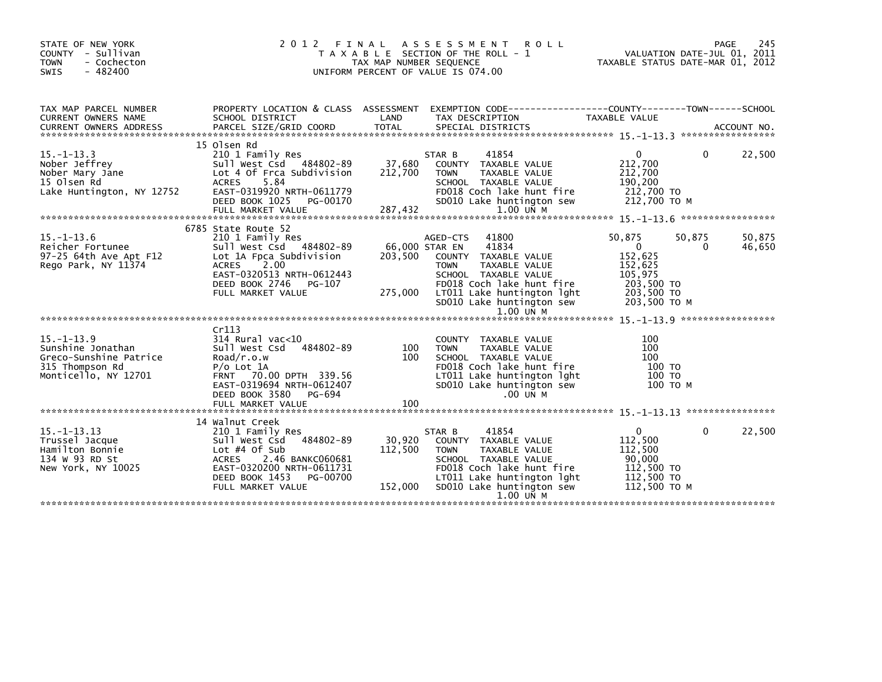| STATE OF NEW YORK<br>COUNTY - Sullivan<br>- Cochecton<br><b>TOWN</b><br>$-482400$<br>SWIS                  | 2012                                                                                                                                                                                                     | FINAL<br>TAX MAP NUMBER SEQUENCE | A S S E S S M E N T<br><b>ROLL</b><br>T A X A B L E SECTION OF THE ROLL - 1<br>UNIFORM PERCENT OF VALUE IS 074.00                                                                                                                   | TAXABLE STATUS DATE-MAR 01, 2012                                                                    |             | 245<br>PAGE<br>VALUATION DATE-JUL 01, 2011 |
|------------------------------------------------------------------------------------------------------------|----------------------------------------------------------------------------------------------------------------------------------------------------------------------------------------------------------|----------------------------------|-------------------------------------------------------------------------------------------------------------------------------------------------------------------------------------------------------------------------------------|-----------------------------------------------------------------------------------------------------|-------------|--------------------------------------------|
| TAX MAP PARCEL NUMBER<br>CURRENT OWNERS NAME                                                               | SCHOOL DISTRICT                                                                                                                                                                                          | LAND                             | PROPERTY LOCATION & CLASS ASSESSMENT EXEMPTION CODE----------------COUNTY-------TOWN------SCHOOL<br>TAX DESCRIPTION                                                                                                                 | TAXABLE VALUE                                                                                       |             |                                            |
| $15. - 1 - 13.3$<br>Nober Jeffrey<br>Nober Mary Jane<br>15 Olsen Rd<br>Lake Huntington, NY 12752           | 15 Olsen Rd<br>210 1 Family Res<br>Sull West Csd 484802-89<br>Lot 4 Of Frca Subdivision<br><b>ACRES</b><br>5.84<br>EAST-0319920 NRTH-0611779<br>DEED BOOK 1025<br>PG-00170<br>FULL MARKET VALUE          | 37,680<br>212,700<br>287,432     | 41854<br>STAR B<br>COUNTY TAXABLE VALUE<br><b>TOWN</b><br><b>TAXABLE VALUE</b><br>SCHOOL TAXABLE VALUE<br>FD018 Coch lake hunt fire<br>SD010 Lake huntington sew<br>$1.00$ UN $M$                                                   | $\mathbf{0}$<br>212,700<br>212,700<br>190,200<br>212,700 TO<br>212,700 TO M                         | $\Omega$    | 22,500                                     |
| $15. - 1 - 13.6$<br>Reicher Fortunee<br>97-25 64th Ave Apt F12<br>Rego Park, NY 11374                      | 6785 State Route 52<br>210 1 Family Res<br>Sull West Csd 484802-89<br>Lot 1A Fpca Subdivision<br>2.00<br>ACRES<br>EAST-0320513 NRTH-0612443<br>DEED BOOK 2746<br>PG-107<br>FULL MARKET VALUE             | 203,500<br>275,000               | 41800<br>AGED-CTS<br>41834<br>66,000 STAR EN<br>COUNTY TAXABLE VALUE<br>TAXABLE VALUE<br><b>TOWN</b><br>SCHOOL TAXABLE VALUE<br>FD018 Coch lake hunt fire<br>LT011 Lake huntington lght<br>SD010 Lake huntington sew<br>$1.00$ UN M | 50,875<br>$\mathbf{0}$<br>152,625<br>152,625<br>105,975<br>203,500 TO<br>203,500 TO<br>203,500 TO M | 50,875<br>0 | 50,875<br>46,650                           |
| $15. - 1 - 13.9$<br>Sunshine Jonathan<br>Greco-Sunshine Patrice<br>315 Thompson Rd<br>Monticello, NY 12701 | Cr113<br>$314$ Rural vac<10<br>484802-89<br>sull west Csd<br>Road/r.o.w<br>$P/O$ Lot $1A$<br>FRNT 70.00 DPTH 339.56<br>EAST-0319694 NRTH-0612407<br>DEED BOOK 3580<br>PG-694<br>FULL MARKET VALUE        | 100<br>100<br>100                | COUNTY TAXABLE VALUE<br><b>TAXABLE VALUE</b><br><b>TOWN</b><br>SCHOOL TAXABLE VALUE<br>FD018 Coch lake hunt fire<br>LT011 Lake huntington lght<br>SD010 Lake huntington sew<br>.00 UN M                                             | 100<br>100<br>100<br>100 TO<br>100 TO<br>100 ТО М                                                   |             |                                            |
| $15. - 1 - 13.13$<br>Trussel Jacque<br>Hamilton Bonnie<br>134 W 93 RD St<br>New York, NY 10025             | 14 Walnut Creek<br>210 1 Family Res<br>484802-89<br>Sull West Csd<br>Lot $#4$ Of Sub<br><b>ACRES</b><br>2.46 BANKC060681<br>EAST-0320200 NRTH-0611731<br>DEED BOOK 1453<br>PG-00700<br>FULL MARKET VALUE | 30,920<br>112,500<br>152,000     | 41854<br>STAR B<br>COUNTY TAXABLE VALUE<br><b>TOWN</b><br><b>TAXABLE VALUE</b><br>SCHOOL TAXABLE VALUE<br>FD018 Coch lake hunt fire<br>LT011 Lake huntington lght<br>SD010 Lake huntington sew<br>1.00 UN M                         | $\mathbf{0}$<br>112,500<br>112,500<br>90,000<br>112,500 TO<br>112,500 TO<br>112,500 TO M            | $\Omega$    | 22,500                                     |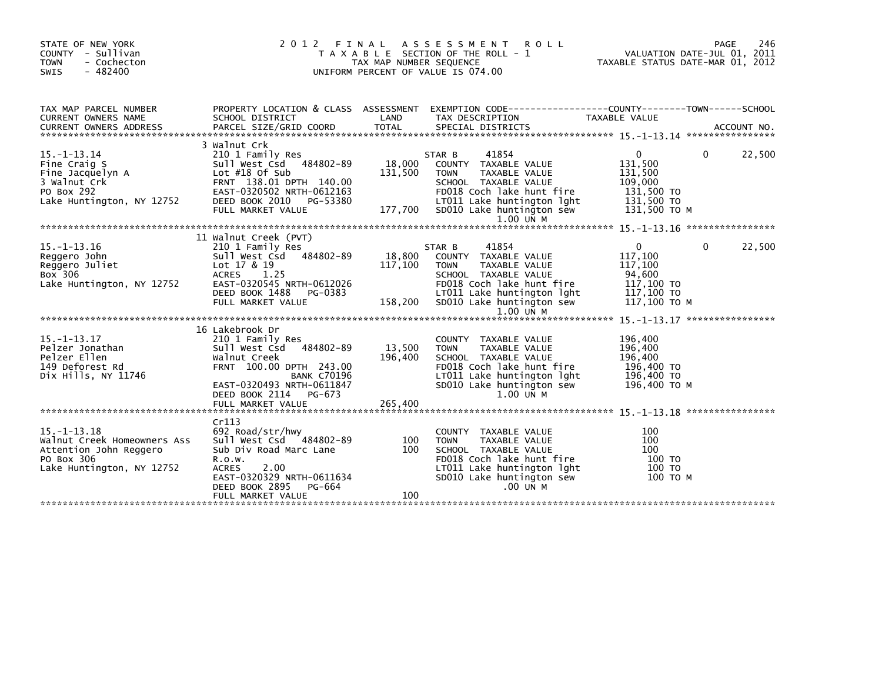| STATE OF NEW YORK<br>COUNTY - Sullivan<br><b>TOWN</b><br>- Cochecton<br>$-482400$<br>SWIS                             | 2 0 1 2<br>FINAL                                                                                                                                                                                              | TAX MAP NUMBER SEQUENCE      | A S S E S S M E N T<br><b>ROLL</b><br>T A X A B L E SECTION OF THE ROLL - 1<br>UNIFORM PERCENT OF VALUE IS 074.00                                                                                      | PAGE<br>VALUATION DATE-JUL 01, 2011<br>TAXABLE STATUS DATE-MAR 01, 2012                              | 246    |
|-----------------------------------------------------------------------------------------------------------------------|---------------------------------------------------------------------------------------------------------------------------------------------------------------------------------------------------------------|------------------------------|--------------------------------------------------------------------------------------------------------------------------------------------------------------------------------------------------------|------------------------------------------------------------------------------------------------------|--------|
| TAX MAP PARCEL NUMBER<br><b>CURRENT OWNERS NAME</b>                                                                   | PROPERTY LOCATION & CLASS ASSESSMENT<br>SCHOOL DISTRICT                                                                                                                                                       | LAND                         | EXEMPTION CODE-----------------COUNTY-------TOWN------SCHOOL<br>TAX DESCRIPTION                                                                                                                        | TAXABLE VALUE                                                                                        |        |
| $15. - 1 - 13.14$<br>Fine Craig S<br>Fine Jacquelyn A<br>3 Walnut Crk<br>PO Box 292<br>Lake Huntington, NY 12752      | 3 Walnut Crk<br>210 1 Family Res<br>Sull West Csd 484802-89<br>Lot $#18$ Of Sub<br>FRNT 138.01 DPTH 140.00<br>EAST-0320502 NRTH-0612163<br>DEED BOOK 2010<br>PG-53380<br>FULL MARKET VALUE                    | 18,000<br>131,500<br>177,700 | 41854<br>STAR B<br>COUNTY TAXABLE VALUE<br><b>TOWN</b><br>TAXABLE VALUE<br>SCHOOL TAXABLE VALUE<br>FD018 Coch lake hunt fire<br>LT011 Lake huntington lght<br>SD010 Lake huntington sew<br>$1.00$ UN M | 0<br>0<br>131,500<br>131,500<br>109,000<br>131,500 TO<br>131,500 TO<br>131,500 TO M                  | 22,500 |
| $15. - 1 - 13.16$<br>Reggero John<br>Reggero Juliet<br>Box 306<br>Lake Huntington, NY 12752                           | 11 Walnut Creek (PVT)<br>210 1 Family Res<br>Sull West Csd 484802-89<br>Lot 17 & 19<br>1.25<br><b>ACRES</b><br>EAST-0320545 NRTH-0612026<br>DEED BOOK 1488<br>PG-0383<br>FULL MARKET VALUE                    | 18,800<br>117,100<br>158,200 | 41854<br>STAR B<br>COUNTY TAXABLE VALUE<br><b>TOWN</b><br>TAXABLE VALUE<br>SCHOOL TAXABLE VALUE<br>FD018 Coch lake hunt fire<br>LT011 Lake huntington lght<br>SD010 Lake huntington sew<br>1.00 UN M   | $\mathbf{0}$<br>$\Omega$<br>117,100<br>117,100<br>94,600<br>117,100 TO<br>117,100 TO<br>117,100 ТО М | 22,500 |
| $15. - 1 - 13.17$<br>Pelzer Jonathan<br>Pelzer Ellen<br>149 Deforest Rd<br>Dix Hills, NY 11746                        | 16 Lakebrook Dr<br>210 1 Family Res<br>Sull West Csd 484802-89<br>Walnut Creek<br>FRNT 100.00 DPTH 243.00<br><b>BANK C70196</b><br>EAST-0320493 NRTH-0611847<br>DEED BOOK 2114<br>PG-673<br>FULL MARKET VALUE | 13,500<br>196,400<br>265,400 | COUNTY TAXABLE VALUE<br><b>TOWN</b><br>TAXABLE VALUE<br>SCHOOL TAXABLE VALUE<br>FD018 Coch lake hunt fire<br>LT011 Lake huntington lght<br>SD010 Lake huntington sew<br>$1.00$ UN M                    | 196,400<br>196,400<br>196,400<br>196,400 TO<br>196,400 TO<br>196,400 ТО М                            |        |
| $15. - 1 - 13.18$<br>Walnut Creek Homeowners Ass<br>Attention John Reggero<br>PO Box 306<br>Lake Huntington, NY 12752 | Cr113<br>692 Road/str/hwy<br>Sull West Csd 484802-89<br>Sub Div Road Marc Lane<br>R.0.W.<br>2.00<br><b>ACRES</b><br>EAST-0320329 NRTH-0611634<br>DEED BOOK 2895<br>PG-664<br>FULL MARKET VALUE                | 100<br>100<br>100            | COUNTY TAXABLE VALUE<br>TAXABLE VALUE<br><b>TOWN</b><br>SCHOOL TAXABLE VALUE<br>FD018 Coch lake hunt fire<br>LT011 Lake huntington lght<br>SD010 Lake huntington sew<br>.00 UN M                       | 100<br>100<br>100<br>100 TO<br>100 TO<br>100 то м                                                    |        |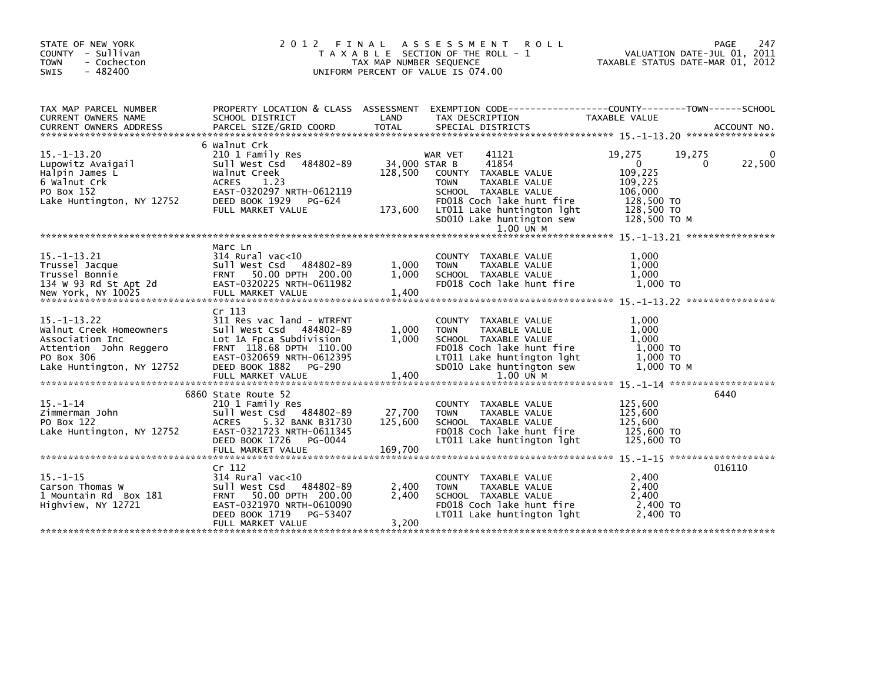| STATE OF NEW YORK<br>COUNTY - Sullivan<br>- Cochecton<br><b>TOWN</b><br>$-482400$<br><b>SWIS</b>                                     | 2012 FINAL                                                                                                                                                                         | TAX MAP NUMBER SEQUENCE             | A S S E S S M E N T<br><b>ROLL</b><br>T A X A B L E SECTION OF THE ROLL - 1<br>UNIFORM PERCENT OF VALUE IS 074.00                                                                                              |                                                                                                     | 247<br>PAGE<br>VALUATION DATE-JUL 01, 2011<br>TAXABLE STATUS DATE-MAR 01, 2012 |
|--------------------------------------------------------------------------------------------------------------------------------------|------------------------------------------------------------------------------------------------------------------------------------------------------------------------------------|-------------------------------------|----------------------------------------------------------------------------------------------------------------------------------------------------------------------------------------------------------------|-----------------------------------------------------------------------------------------------------|--------------------------------------------------------------------------------|
| TAX MAP PARCEL NUMBER<br><b>CURRENT OWNERS NAME</b>                                                                                  | SCHOOL DISTRICT                                                                                                                                                                    | LAND                                | PROPERTY LOCATION & CLASS ASSESSMENT EXEMPTION CODE----------------COUNTY-------TOWN------SCHOOL<br>TAX DESCRIPTION                                                                                            | TAXABLE VALUE                                                                                       |                                                                                |
| $15. - 1 - 13.20$<br>Lupowitz Avaigail<br>Halpin James L<br>6 Walnut Crk<br>PO Box 152<br>Lake Huntington, NY 12752                  | 6 Walnut Crk<br>210 1 Family Res<br>Sull West Csd 484802-89<br>Walnut Creek<br>ACRES<br>1.23<br>EAST-0320297 NRTH-0612119<br>DEED BOOK 1929<br>PG-624<br>FULL MARKET VALUE         | 34,000 STAR B<br>128,500<br>173,600 | 41121<br>WAR VET<br>41854<br>COUNTY TAXABLE VALUE<br><b>TOWN</b><br>TAXABLE VALUE<br>SCHOOL TAXABLE VALUE<br>FD018 Coch lake hunt fire<br>LT011 Lake huntington lght<br>SD010 Lake huntington sew<br>1.00 UN M | 19,275<br>$\mathbf{0}$<br>109,225<br>109,225<br>106,000<br>128,500 TO<br>128,500 TO<br>128,500 ТО М | 19,275<br>22,500<br>$\Omega$                                                   |
| $15. - 1 - 13.21$<br>Trussel Jacque<br>Trussel Bonnie<br>134 W 93 Rd St Apt 2d<br>New York, NY 10025                                 | Marc Ln<br>$314$ Rural vac<10<br>Sull West Csd 484802-89<br>FRNT 50.00 DPTH 200.00<br>EAST-0320225 NRTH-0611982<br>FULL MARKET VALUE                                               | 1,000<br>1,000<br>1,400             | COUNTY TAXABLE VALUE<br><b>TOWN</b><br>TAXABLE VALUE<br>SCHOOL TAXABLE VALUE<br>FD018 Coch lake hunt fire                                                                                                      | 1,000<br>1.000<br>1,000<br>1.000 TO                                                                 |                                                                                |
| $15. - 1 - 13.22$<br>Walnut Creek Homeowners<br>Association Inc<br>Attention John Reggero<br>PO Box 306<br>Lake Huntington, NY 12752 | Cr 113<br>311 Res vac land - WTRFNT<br>Sull West Csd 484802-89<br>Lot 1A Fpca Subdivision<br>FRNT 118.68 DPTH 110.00<br>EAST-0320659 NRTH-0612395<br>DEED BOOK 1882 PG-290         | 1,000<br>1,000<br>1,400             | COUNTY TAXABLE VALUE<br>TAXABLE VALUE<br><b>TOWN</b><br>SCHOOL TAXABLE VALUE<br>FD018 Coch lake hunt fire<br>LT011 Lake huntington lght<br>SD010 Lake huntington sew                                           | 1,000<br>1.000<br>1.000<br>1,000 TO<br>1,000 TO<br>1.000 то м                                       |                                                                                |
| $15. - 1 - 14$<br>Zimmerman John<br>PO Box 122<br>Lake Huntington, NY 12752                                                          | 6860 State Route 52<br>210 1 Family Res<br>Sull West Csd 484802-89<br><b>ACRES</b><br>5.32 BANK B31730<br>EAST-0321723 NRTH-0611345<br>DEED BOOK 1726 PG-0044<br>FULL MARKET VALUE | 27,700<br>125,600<br>169,700        | COUNTY TAXABLE VALUE<br>TAXABLE VALUE<br><b>TOWN</b><br>SCHOOL TAXABLE VALUE<br>FD018 Coch lake hunt fire<br>LT011 Lake huntington lght                                                                        | 125,600<br>125,600<br>125,600<br>125,600 TO<br>125,600 TO                                           | 6440                                                                           |
| $15. - 1 - 15$<br>Carson Thomas W<br>1 Mountain Rd Box 181<br>Highview, NY 12721                                                     | Cr 112<br>314 Rural vac<10<br>Sull West Csd 484802-89<br>FRNT 50.00 DPTH 200.00<br>EAST-0321970 NRTH-0610090<br>DEED BOOK 1719<br>PG-53407<br>FULL MARKET VALUE                    | 2,400<br>2,400<br>3,200             | COUNTY TAXABLE VALUE<br><b>TOWN</b><br>TAXABLE VALUE<br>SCHOOL TAXABLE VALUE<br>FD018 Coch lake hunt fire<br>LT011 Lake huntington lght                                                                        | 2,400<br>2,400<br>2.400<br>2,400 TO<br>2,400 TO                                                     | 016110                                                                         |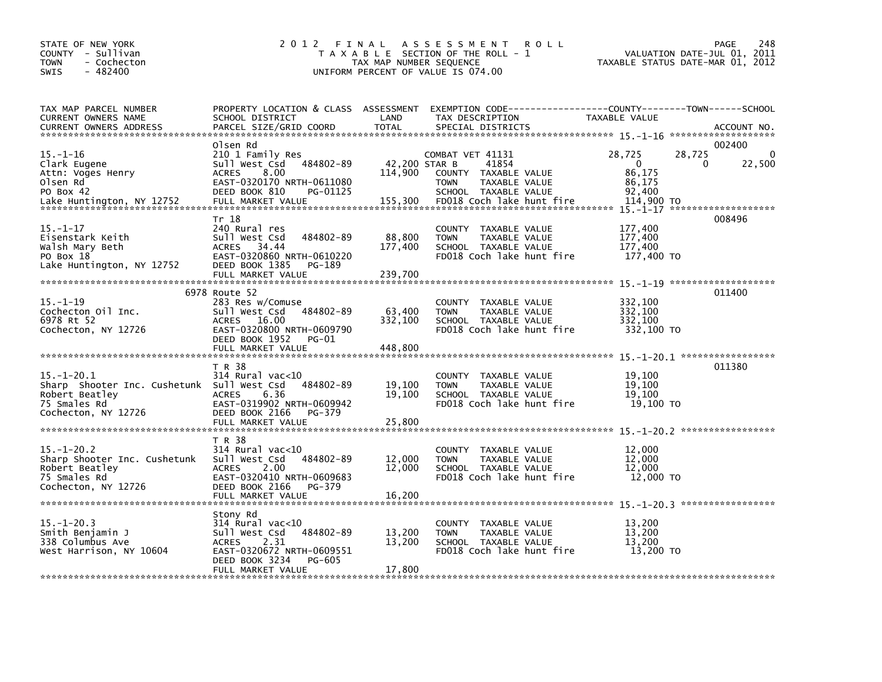| STATE OF NEW YORK<br>COUNTY - Sullivan<br>- Cochecton<br><b>TOWN</b><br>$-482400$<br><b>SWIS</b>                        | 2012 FINAL                                                                                                                                                            | TAX MAP NUMBER SEQUENCE             | A S S E S S M E N T<br><b>ROLL</b><br>T A X A B L E SECTION OF THE ROLL - 1<br>UNIFORM PERCENT OF VALUE IS 074.00                      | VALUATION DATE-JUL 01, 2011<br>TAXABLE STATUS DATE-MAR 01, 2012                      | PAGE<br>248           |
|-------------------------------------------------------------------------------------------------------------------------|-----------------------------------------------------------------------------------------------------------------------------------------------------------------------|-------------------------------------|----------------------------------------------------------------------------------------------------------------------------------------|--------------------------------------------------------------------------------------|-----------------------|
| TAX MAP PARCEL NUMBER<br>CURRENT OWNERS NAME                                                                            | SCHOOL DISTRICT                                                                                                                                                       | LAND                                | PROPERTY LOCATION & CLASS ASSESSMENT EXEMPTION CODE----------------COUNTY-------TOWN------SCHOOL<br>TAX DESCRIPTION                    | TAXABLE VALUE                                                                        |                       |
| $15. - 1 - 16$<br>Clark Eugene<br>Attn: Voges Henry<br>Olsen Rd<br>PO Box 42<br>Lake Huntington, NY 12752               | Olsen Rd<br>210 1 Family Res<br>Sull West Csd 484802-89<br>8.00<br><b>ACRES</b><br>EAST-0320170 NRTH-0611080<br>DEED BOOK 810<br>PG-01125<br>FULL MARKET VALUE        | 42,200 STAR B<br>114,900<br>155,300 | COMBAT VET 41131<br>41854<br>COUNTY TAXABLE VALUE<br><b>TOWN</b><br>TAXABLE VALUE<br>SCHOOL TAXABLE VALUE<br>FD018 Coch lake hunt fire | 28,725<br>28,725<br>$\Omega$<br>$\Omega$<br>86,175<br>86,175<br>92.400<br>114,900 TO | 002400<br>0<br>22,500 |
| $15. - 1 - 17$<br>Eisenstark Keith<br>Walsh Mary Beth<br>PO Box 18<br>Lake Huntington, NY 12752                         | Tr 18<br>240 Rural res<br>Sull West Csd<br>484802-89<br><b>ACRES</b><br>34.44<br>EAST-0320860 NRTH-0610220<br>DEED BOOK 1385<br>PG-189<br>FULL MARKET VALUE           | 88,800<br>177,400<br>239.700        | COUNTY TAXABLE VALUE<br>TAXABLE VALUE<br><b>TOWN</b><br>SCHOOL TAXABLE VALUE<br>FD018 Coch lake hunt fire                              | 177,400<br>177,400<br>177,400<br>177,400 TO                                          | 008496                |
| $15. - 1 - 19$<br>Cochecton Oil Inc.<br>6978 Rt 52<br>Cochecton, NY 12726                                               | 6978 Route 52<br>283 Res w/Comuse<br>sull west Csd<br>484802-89<br>ACRES 16.00<br>EAST-0320800 NRTH-0609790<br>DEED BOOK 1952<br>PG-01<br>FULL MARKET VALUE           | 63,400<br>332,100<br>448,800        | COUNTY TAXABLE VALUE<br><b>TOWN</b><br>TAXABLE VALUE<br>SCHOOL TAXABLE VALUE<br>FD018 Coch lake hunt fire                              | 332,100<br>332,100<br>332.100<br>332,100 TO                                          | 011400                |
| $15. - 1 - 20.1$<br>Sharp Shooter Inc. Cushetunk Sull West Csd<br>Robert Beatley<br>75 Smales Rd<br>Cochecton, NY 12726 | T R 38<br>$314$ Rural vac< $10$<br>484802-89<br>6.36<br><b>ACRES</b><br>EAST-0319902 NRTH-0609942<br>DEED BOOK 2166<br>PG-379<br>FULL MARKET VALUE                    | 19,100<br>19,100<br>25,800          | COUNTY TAXABLE VALUE<br>TAXABLE VALUE<br><b>TOWN</b><br>SCHOOL TAXABLE VALUE<br>FD018 Coch lake hunt fire                              | 19,100<br>19,100<br>19.100<br>19,100 TO                                              | 011380                |
| $15 - 1 - 20.2$<br>Sharp Shooter Inc. Cushetunk<br>Robert Beatley<br>75 Smales Rd<br>Cochecton, NY 12726                | T R 38<br>$314$ Rural vac< $10$<br>484802-89<br>Sull West Csd<br>2.00<br><b>ACRES</b><br>EAST-0320410 NRTH-0609683<br>DEED BOOK 2166<br>PG-379<br>FULL MARKET VALUE   | 12,000<br>12,000<br>16,200          | COUNTY TAXABLE VALUE<br>TAXABLE VALUE<br><b>TOWN</b><br>SCHOOL TAXABLE VALUE<br>FD018 Coch lake hunt fire                              | 12,000<br>12,000<br>12,000<br>12,000 TO                                              |                       |
| $15. - 1 - 20.3$<br>Smith Benjamin J<br>338 Columbus Ave<br>West Harrison, NY 10604                                     | Stony Rd<br>$314$ Rural vac< $10$<br>484802-89<br>Sull West Csd<br><b>ACRES</b><br>2.31<br>EAST-0320672 NRTH-0609551<br>DEED BOOK 3234<br>PG-605<br>FULL MARKET VALUE | 13,200<br>13,200<br>17,800          | COUNTY TAXABLE VALUE<br>TAXABLE VALUE<br><b>TOWN</b><br>SCHOOL TAXABLE VALUE<br>FD018 Coch lake hunt fire                              | 13,200<br>13,200<br>13.200<br>13,200 TO                                              |                       |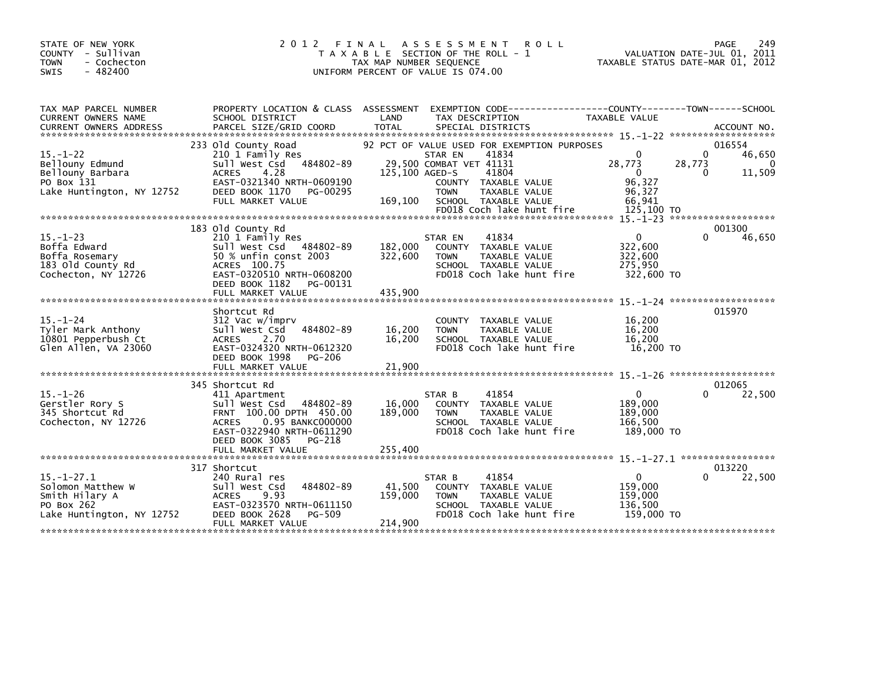| STATE OF NEW YORK<br>COUNTY - Sullivan<br>- Cochecton<br><b>TOWN</b><br>$-482400$<br><b>SWIS</b>   | 2012 FINAL                                                                                                                                                                                                  | <b>ROLL</b><br>A S S E S S M E N T<br>T A X A B L E SECTION OF THE ROLL - 1<br>TAX MAP NUMBER SEQUENCE<br>UNIFORM PERCENT OF VALUE IS 074.00                                                                                                  | PAGE<br>249<br>VALUATION DATE-JUL 01, 2011<br>TAXABLE STATUS DATE-MAR 01, 2012                                                             |
|----------------------------------------------------------------------------------------------------|-------------------------------------------------------------------------------------------------------------------------------------------------------------------------------------------------------------|-----------------------------------------------------------------------------------------------------------------------------------------------------------------------------------------------------------------------------------------------|--------------------------------------------------------------------------------------------------------------------------------------------|
| TAX MAP PARCEL NUMBER<br>CURRENT OWNERS NAME<br><b>CURRENT OWNERS ADDRESS</b>                      | SCHOOL DISTRICT                                                                                                                                                                                             | PROPERTY LOCATION & CLASS ASSESSMENT EXEMPTION CODE---------------COUNTY-------TOWN------SCHOOL<br>LAND<br>TAX DESCRIPTION                                                                                                                    | TAXABLE VALUE                                                                                                                              |
| $15. - 1 - 22$<br>Bellouny Edmund<br>Bellouny Barbara<br>PO Box 131<br>Lake Huntington, NY 12752   | 233 Old County Road<br>210 1 Family Res<br>484802-89<br>Sull West Csd<br>-4.28<br><b>ACRES</b><br>EAST-0321340 NRTH-0609190<br>DEED BOOK 1170 PG-00295<br>FULL MARKET VALUE                                 | 92 PCT OF VALUE USED FOR EXEMPTION PURPOSES<br>41834<br>STAR EN<br>29,500 COMBAT VET 41131<br>125,100 AGED-S<br>41804<br>COUNTY TAXABLE VALUE<br><b>TOWN</b><br>TAXABLE VALUE<br>169,100<br>SCHOOL TAXABLE VALUE<br>FD018 Coch lake hunt fire | 016554<br>$\Omega$<br>46,650<br>28,773<br>28,773<br>$\Omega$<br>$\Omega$<br>11,509<br>$\Omega$<br>96,327<br>96,327<br>66,941<br>125,100 TO |
| $15. - 1 - 23$<br>Boffa Edward<br>Boffa Rosemary<br>183 Old County Rd<br>Cochecton, NY 12726       | 183 old County Rd<br>210 1 Family Res<br>Sull West Csd 484802-89<br>50 % unfin const 2003<br>ACRES 100.75<br>EAST-0320510 NRTH-0608200<br>DEED BOOK 1182<br>PG-00131<br>FULL MARKET VALUE                   | 41834<br>STAR EN<br>182,000<br>COUNTY<br>TAXABLE VALUE<br>322,600<br>TAXABLE VALUE<br><b>TOWN</b><br>SCHOOL TAXABLE VALUE<br>FD018 Coch lake hunt fire<br>435,900                                                                             | 001300<br>46,650<br>$\Omega$<br>322,600<br>322,600<br>275,950<br>322,600 TO                                                                |
| $15. - 1 - 24$<br>Tyler Mark Anthony<br>10801 Pepperbush Ct<br>Glen Allen, VA 23060                | Shortcut Rd<br>312 Vac w/imprv<br>484802-89<br>Sull West Csd<br><b>ACRES</b><br>2.70<br>EAST-0324320 NRTH-0612320<br>DEED BOOK 1998 PG-206                                                                  | COUNTY TAXABLE VALUE<br>16,200<br><b>TOWN</b><br>TAXABLE VALUE<br>16,200<br>SCHOOL TAXABLE VALUE<br>FD018 Coch lake hunt fire                                                                                                                 | 015970<br>16,200<br>16,200<br>16,200<br>16,200 TO                                                                                          |
| $15. - 1 - 26$<br>Gerstler Rory S<br>345 Shortcut Rd<br>Cochecton, NY 12726                        | 345 Shortcut Rd<br>411 Apartment<br>Sull West Csd<br>484802-89<br>FRNT 100.00 DPTH 450.00<br>0.95 BANKC000000<br><b>ACRES</b><br>EAST-0322940 NRTH-0611290<br>DEED BOOK 3085<br>PG-218<br>FULL MARKET VALUE | 41854<br>STAR B<br>16,000<br>COUNTY TAXABLE VALUE<br>189,000<br><b>TOWN</b><br>TAXABLE VALUE<br>SCHOOL TAXABLE VALUE<br>FD018 Coch lake hunt fire<br>255,400                                                                                  | 012065<br>$\mathbf{0}$<br>22,500<br>0<br>189,000<br>189,000<br>166,500<br>189,000 TO                                                       |
| $15. - 1 - 27.1$<br>Solomon Matthew W<br>Smith Hilary A<br>PO Box 262<br>Lake Huntington, NY 12752 | 317 Shortcut<br>240 Rural res<br>484802-89<br>Sull West Csd<br><b>ACRES</b><br>9.93<br>EAST-0323570 NRTH-0611150<br>DEED BOOK 2628<br>PG-509<br>FULL MARKET VALUE                                           | 41854<br>STAR B<br>41,500<br>COUNTY<br>TAXABLE VALUE<br>159,000<br><b>TOWN</b><br>TAXABLE VALUE<br>SCHOOL TAXABLE VALUE<br>FD018 Coch lake hunt fire<br>214,900                                                                               | 013220<br>22,500<br>$\mathbf{0}$<br>159,000<br>159,000<br>136,500<br>159,000 TO                                                            |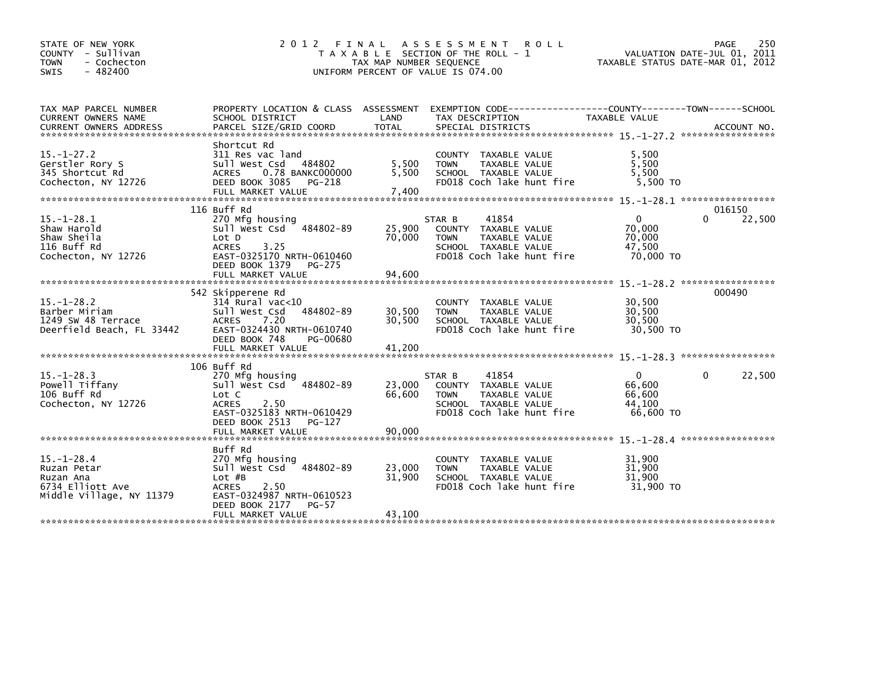| STATE OF NEW YORK<br>COUNTY - Sullivan<br>- Cochecton<br><b>TOWN</b><br>$-482400$<br><b>SWIS</b> | 2 0 1 2<br>T A X A B L E                                                                                                                                 | FINAL<br>TAX MAP NUMBER SEQUENCE | A S S E S S M E N T<br><b>ROLL</b><br>SECTION OF THE ROLL - 1<br>UNIFORM PERCENT OF VALUE IS 074.00                                           | TAXABLE STATUS DATE-MAR 01, 2012             | 250<br>PAGE<br>VALUATION DATE-JUL 01, 2011 |
|--------------------------------------------------------------------------------------------------|----------------------------------------------------------------------------------------------------------------------------------------------------------|----------------------------------|-----------------------------------------------------------------------------------------------------------------------------------------------|----------------------------------------------|--------------------------------------------|
| TAX MAP PARCEL NUMBER<br>CURRENT OWNERS NAME                                                     | PROPERTY LOCATION & CLASS ASSESSMENT<br>SCHOOL DISTRICT                                                                                                  | LAND                             | EXEMPTION        CODE-----------------COUNTY-------TOWN------SCHOOL<br>TAX DESCRIPTION                                                        | TAXABLE VALUE                                |                                            |
| $15. - 1 - 27.2$<br>Gerstler Rory S<br>345 Shortcut Rd<br>Cochecton, NY 12726                    | Shortcut Rd<br>311 Res vac land<br>Sull West Csd 484802<br>0.78 BANKC000000<br><b>ACRES</b><br>DEED BOOK 3085<br>PG-218                                  | 5,500<br>5,500                   | <b>COUNTY</b><br>TAXABLE VALUE<br><b>TOWN</b><br>TAXABLE VALUE<br>SCHOOL TAXABLE VALUE<br>FD018 Coch lake hunt fire                           | 5,500<br>5,500<br>5,500<br>5,500 TO          |                                            |
| $15. - 1 - 28.1$<br>Shaw Harold                                                                  | 116 Buff Rd<br>270 Mfg housing<br>Sull West Csd 484802-89                                                                                                | 25,900                           | STAR B<br>41854<br>TAXABLE VALUE<br><b>COUNTY</b>                                                                                             | $\mathbf{0}$<br>70.000                       | 016150<br>$\mathbf{0}$<br>22,500           |
| Shaw Sheila<br>116 Buff Rd<br>Cochecton, NY 12726                                                | Lot D<br>3.25<br><b>ACRES</b><br>EAST-0325170 NRTH-0610460<br>DEED BOOK 1379<br>PG-275                                                                   | 70,000                           | <b>TOWN</b><br><b>TAXABLE VALUE</b><br>SCHOOL TAXABLE VALUE<br>FD018 Coch lake hunt fire                                                      | 70,000<br>47,500<br>70,000 TO                |                                            |
|                                                                                                  | FULL MARKET VALUE                                                                                                                                        | 94.600                           |                                                                                                                                               |                                              |                                            |
| $15. - 1 - 28.2$<br>Barber Miriam<br>1249 SW 48 Terrace<br>Deerfield Beach, FL 33442             | 542 Skipperene Rd<br>314 Rural vac<10<br>Sull West Csd<br>484802-89<br>7.20<br><b>ACRES</b><br>EAST-0324430 NRTH-0610740<br>DEED BOOK 748<br>PG-00680    | 30,500<br>30.500                 | <b>COUNTY</b><br>TAXABLE VALUE<br><b>TOWN</b><br>TAXABLE VALUE<br>SCHOOL TAXABLE VALUE<br>FD018 Coch lake hunt fire                           | 30,500<br>30,500<br>30.500<br>30,500 TO      | 000490                                     |
|                                                                                                  |                                                                                                                                                          |                                  |                                                                                                                                               |                                              |                                            |
| $15. - 1 - 28.3$<br>Powell Tiffany<br>106 Buff Rd<br>Cochecton, NY 12726                         | 106 Buff Rd<br>270 Mfg housing<br>sull west Csd<br>484802-89<br>Lot C<br><b>ACRES</b><br>2.50<br>EAST-0325183 NRTH-0610429                               | 23,000<br>66,600                 | STAR B<br>41854<br>TAXABLE VALUE<br><b>COUNTY</b><br><b>TAXABLE VALUE</b><br><b>TOWN</b><br>SCHOOL TAXABLE VALUE<br>FD018 Coch lake hunt fire | 0<br>66,600<br>66,600<br>44.100<br>66,600 TO | 22,500<br>0                                |
|                                                                                                  | DEED BOOK 2513<br>$PG-127$<br>FULL MARKET VALUE                                                                                                          | 90.000                           |                                                                                                                                               |                                              |                                            |
| $15. - 1 - 28.4$<br>Ruzan Petar<br>Ruzan Ana<br>6734 Elliott Ave<br>Middle Village, NY 11379     | Buff Rd<br>270 Mfg housing<br>484802-89<br>sull west Csd<br>$Lot$ $#B$<br><b>ACRES</b><br>2.50<br>EAST-0324987 NRTH-0610523<br>DEED BOOK 2177<br>$PG-57$ | 23,000<br>31.900                 | <b>COUNTY</b><br>TAXABLE VALUE<br><b>TOWN</b><br>TAXABLE VALUE<br>SCHOOL TAXABLE VALUE<br>FD018 Coch lake hunt fire                           | 31,900<br>31,900<br>31.900<br>31,900 TO      |                                            |
|                                                                                                  | FULL MARKET VALUE                                                                                                                                        | 43.100                           |                                                                                                                                               |                                              |                                            |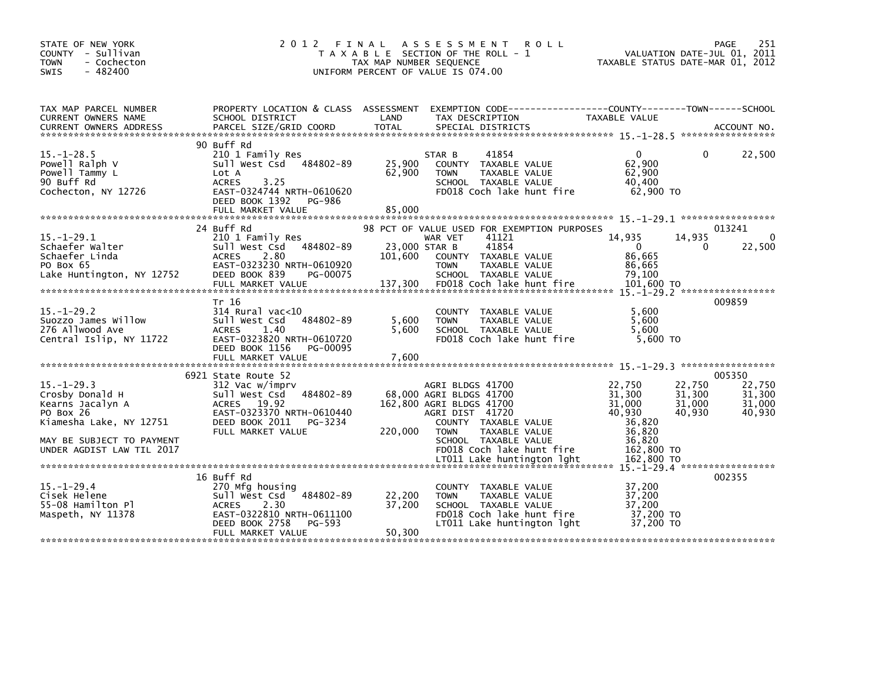| STATE OF NEW YORK<br>COUNTY - Sullivan<br><b>TOWN</b><br>- Cochecton<br>$-482400$<br><b>SWIS</b>                                                          | 2012                                                                                                                                                                        | FINAL<br>A S S E S S M E N T<br>T A X A B L E SECTION OF THE ROLL - 1<br>TAX MAP NUMBER SEQUENCE<br>UNIFORM PERCENT OF VALUE IS 074.00                                                                                                           | 251<br><b>ROLL</b><br>PAGE<br>VALUATION DATE-JUL 01, 2011<br>TAXABLE STATUS DATE-MAR 01, 2012                                                                                            |
|-----------------------------------------------------------------------------------------------------------------------------------------------------------|-----------------------------------------------------------------------------------------------------------------------------------------------------------------------------|--------------------------------------------------------------------------------------------------------------------------------------------------------------------------------------------------------------------------------------------------|------------------------------------------------------------------------------------------------------------------------------------------------------------------------------------------|
| TAX MAP PARCEL NUMBER<br>CURRENT OWNERS NAME<br>CURRENT OWNERS ADDRESS                                                                                    | PROPERTY LOCATION & CLASS ASSESSMENT<br>SCHOOL DISTRICT<br>PARCEL SIZE/GRID COORD                                                                                           | LAND<br>TAX DESCRIPTION<br><b>TOTAL</b><br>SPECIAL DISTRICTS                                                                                                                                                                                     | EXEMPTION CODE-----------------COUNTY-------TOWN------SCHOOL<br>TAXABLE VALUE<br>ACCOUNT NO.                                                                                             |
| $15. - 1 - 28.5$<br>Powell Ralph V<br>Powell Tammy L<br>90 Buff Rd<br>Cochecton, NY 12726                                                                 | 90 Buff Rd<br>210 1 Family Res<br>484802-89<br>Sull West Csd<br>Lot A<br>3.25<br><b>ACRES</b><br>EAST-0324744 NRTH-0610620<br>DEED BOOK 1392<br>PG-986<br>FULL MARKET VALUE | 41854<br>STAR B<br>25,900<br>COUNTY TAXABLE VALUE<br>62,900<br><b>TOWN</b><br>TAXABLE VALUE<br>SCHOOL TAXABLE VALUE<br>FD018 Coch lake hunt fire<br>85,000                                                                                       | 22,500<br>0<br>0<br>62,900<br>62,900<br>40,400<br>62,900 TO                                                                                                                              |
| $15. - 1 - 29.1$<br>Schaefer Walter<br>Schaefer Linda<br>PO Box 65<br>Lake Huntington, NY 12752                                                           | 24 Buff Rd<br>210 1 Family Res<br>484802-89<br>Sull West Csd<br>2.80<br><b>ACRES</b><br>EAST-0323230 NRTH-0610920<br>DEED BOOK 839<br>PG-00075<br>FULL MARKET VALUE         | 98 PCT OF VALUE USED FOR EXEMPTION PURPOSES<br>41121<br>WAR VET<br>41854<br>23,000 STAR B<br>101,600<br>COUNTY TAXABLE VALUE<br>TAXABLE VALUE<br><b>TOWN</b><br>SCHOOL TAXABLE VALUE<br>137,300<br>FD018 Coch lake hunt fire                     | 013241<br>$\Omega$<br>14,935<br>14,935<br>22,500<br>$\overline{0}$<br>0<br>86,665<br>86,665<br>79,100<br>101,600 TO                                                                      |
| $15 - 1 - 29.2$<br>Suozzo James Willow<br>276 Allwood Ave<br>Central Islip, NY 11722                                                                      | Tr 16<br>$314$ Rural vac<10<br>Sull West Csd<br>484802-89<br><b>ACRES</b><br>1.40<br>EAST-0323820 NRTH-0610720<br>DEED BOOK 1156<br>PG-00095<br>FULL MARKET VALUE           | COUNTY TAXABLE VALUE<br>5,600<br>TAXABLE VALUE<br><b>TOWN</b><br>SCHOOL TAXABLE VALUE<br>5,600<br>FD018 Coch lake hunt fire<br>7,600                                                                                                             | 009859<br>5,600<br>5,600<br>5.600<br>$5,600$ TO                                                                                                                                          |
| $15. - 1 - 29.3$<br>Crosby Donald H<br>Kearns Jacalyn A<br>PO Box 26<br>Kiamesha Lake, NY 12751<br>MAY BE SUBJECT TO PAYMENT<br>UNDER AGDIST LAW TIL 2017 | 6921 State Route 52<br>312 Vac w/imprv<br>Sull West Csd 484802-89<br>ACRES 19.92<br>EAST-0323370 NRTH-0610440<br>DEED BOOK 2011<br>PG-3234<br>FULL MARKET VALUE             | AGRI BLDGS 41700<br>68,000 AGRI BLDGS 41700<br>162,800 AGRI BLDGS 41700<br>AGRI DIST 41720<br>COUNTY TAXABLE VALUE<br>220,000<br>TAXABLE VALUE<br><b>TOWN</b><br>SCHOOL TAXABLE VALUE<br>FD018 Coch lake hunt fire<br>LT011 Lake huntington lght | 005350<br>22,750<br>22,750<br>22,750<br>31,300<br>31,300<br>31,300<br>31,000<br>31,000<br>31,000<br>40,930<br>40,930<br>40,930<br>36.820<br>36,820<br>36,820<br>162,800 TO<br>162,800 TO |
| 15. –1–29. 4<br>Cisek Helene<br>55-08 Hamilton Pl<br>Maspeth, NY 11378                                                                                    | 16 Buff Rd<br>270 Mfg housing<br>484802-89<br>Sull West Csd<br><b>ACRES</b><br>2.30<br>EAST-0322810 NRTH-0611100<br>DEED BOOK 2758<br>PG-593<br>FULL MARKET VALUE           | COUNTY TAXABLE VALUE<br>22,200<br>TAXABLE VALUE<br><b>TOWN</b><br>37,200<br>SCHOOL TAXABLE VALUE<br>FD018 Coch lake hunt fire<br>LT011 Lake huntington lght<br>50,300                                                                            | 002355<br>37,200<br>37,200<br>37,200<br>37,200 TO<br>37,200 TO                                                                                                                           |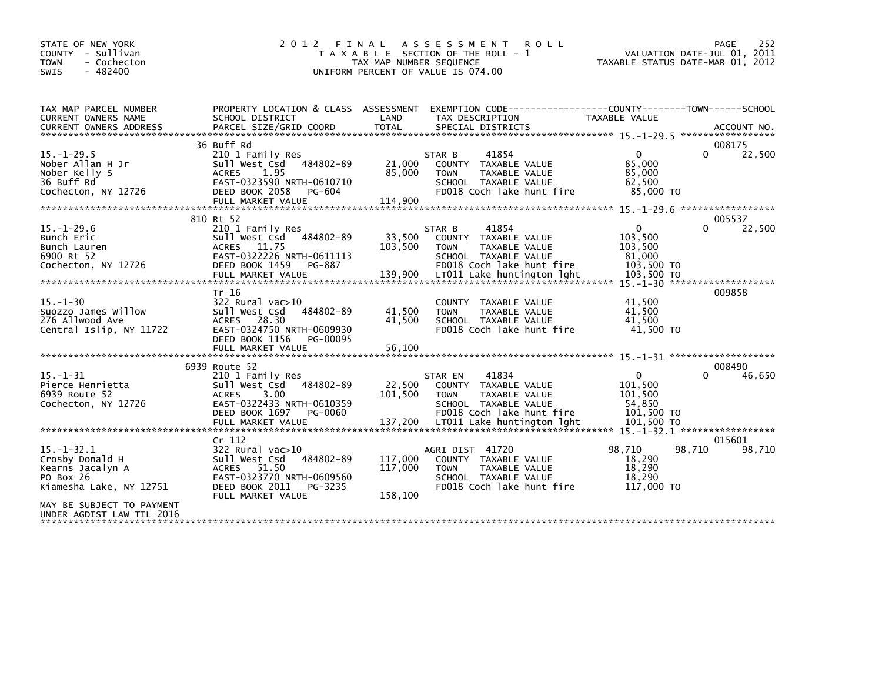| STATE OF NEW YORK<br>COUNTY - Sullivan<br><b>TOWN</b><br>- Cochecton<br>$-482400$<br>SWIS       | 2 0 1 2<br>FINAL                                                                                                                                          | TAX MAP NUMBER SEQUENCE       | A S S E S S M E N T<br><b>ROLL</b><br>T A X A B L E SECTION OF THE ROLL - 1<br>UNIFORM PERCENT OF VALUE IS 074.00             | PAGE<br>252<br>VALUATION DATE-JUL 01, 2011<br>TAXABLE STATUS DATE-MAR 01, 2012       |
|-------------------------------------------------------------------------------------------------|-----------------------------------------------------------------------------------------------------------------------------------------------------------|-------------------------------|-------------------------------------------------------------------------------------------------------------------------------|--------------------------------------------------------------------------------------|
| TAX MAP PARCEL NUMBER<br>CURRENT OWNERS NAME                                                    | PROPERTY LOCATION & CLASS ASSESSMENT<br>SCHOOL DISTRICT                                                                                                   | LAND                          | TAX DESCRIPTION                                                                                                               | EXEMPTION CODE-----------------COUNTY-------TOWN------SCHOOL<br><b>TAXABLE VALUE</b> |
|                                                                                                 | 36 Buff Rd                                                                                                                                                |                               |                                                                                                                               | 008175                                                                               |
| $15. - 1 - 29.5$                                                                                | 210 1 Family Res                                                                                                                                          |                               | 41854<br>STAR B                                                                                                               | $\Omega$<br>22,500<br>$\Omega$                                                       |
| Nober Allan H Jr<br>Nober Kelly S<br>36 Buff Rd<br>Cochecton, NY 12726                          | 484802-89<br>Sull West Csd<br><b>ACRES</b><br>1.95<br>EAST-0323590 NRTH-0610710<br>DEED BOOK 2058<br>PG-604                                               | 21,000<br>85,000              | COUNTY TAXABLE VALUE<br>TAXABLE VALUE<br><b>TOWN</b><br>SCHOOL TAXABLE VALUE<br>FD018 Coch lake hunt fire                     | 85,000<br>85,000<br>62.500<br>85,000 TO                                              |
|                                                                                                 | FULL MARKET VALUE                                                                                                                                         | 114,900                       |                                                                                                                               |                                                                                      |
|                                                                                                 |                                                                                                                                                           |                               |                                                                                                                               |                                                                                      |
| $15. - 1 - 29.6$<br>Bunch Eric<br>Bunch Lauren                                                  | 810 Rt 52<br>210 1 Family Res<br>484802-89<br>Sull West Csd<br>ACRES 11.75                                                                                | 33,500<br>103,500             | 41854<br>STAR B<br>COUNTY TAXABLE VALUE<br><b>TOWN</b><br>TAXABLE VALUE                                                       | 005537<br>$\mathbf{0}$<br>0<br>22,500<br>103,500<br>103,500                          |
| 6900 Rt 52<br>Cochecton, NY 12726                                                               | EAST-0322226 NRTH-0611113<br>DEED BOOK 1459<br>PG-887<br>FULL MARKET VALUE                                                                                | 139,900                       | SCHOOL TAXABLE VALUE<br>FD018 Coch lake hunt fire<br>LT011 Lake huntington lght                                               | 81,000<br>103,500 TO<br>103,500 TO<br>$15 - 1 - 30$ *********************            |
| $15. - 1 - 30$<br>Suozzo James Willow<br>276 Allwood Ave<br>Central Islip, NY 11722             | Tr 16<br>322 Rural vac>10<br>Sull West Csd<br>484802-89<br>ACRES 28.30<br>EAST-0324750 NRTH-0609930<br>DEED BOOK 1156<br>PG-00095<br>FULL MARKET VALUE    | 41.500<br>41,500<br>56,100    | COUNTY TAXABLE VALUE<br><b>TOWN</b><br>TAXABLE VALUE<br>SCHOOL TAXABLE VALUE<br>FD018 Coch lake hunt fire                     | 009858<br>41,500<br>41.500<br>41,500<br>41,500 TO                                    |
|                                                                                                 |                                                                                                                                                           |                               |                                                                                                                               |                                                                                      |
|                                                                                                 | 6939 Route 52                                                                                                                                             |                               |                                                                                                                               | 008490                                                                               |
| $15. - 1 - 31$<br>Pierce Henrietta<br>6939 Route 52<br>Cochecton, NY 12726                      | 210 1 Family Res<br>Sull West Csd<br>484802-89<br>3.00<br><b>ACRES</b><br>EAST-0322433 NRTH-0610359<br>DEED BOOK 1697<br>PG-0060                          | 22,500<br>101,500             | 41834<br>STAR EN<br>COUNTY TAXABLE VALUE<br><b>TOWN</b><br>TAXABLE VALUE<br>SCHOOL TAXABLE VALUE<br>FD018 Coch lake hunt fire | $\mathbf{0}$<br>$\Omega$<br>46,650<br>101,500<br>101,500<br>54.850<br>101,500 TO     |
|                                                                                                 |                                                                                                                                                           |                               |                                                                                                                               |                                                                                      |
| $15. - 1 - 32.1$<br>Crosby Donald H<br>Kearns Jacalyn A<br>PO Box 26<br>Kiamesha Lake, NY 12751 | Cr 112<br>322 Rural vac>10<br>Sull West Csd<br>484802-89<br>51.50<br>ACRES<br>EAST-0323770 NRTH-0609560<br>DEED BOOK 2011<br>PG-3235<br>FULL MARKET VALUE | 117,000<br>117,000<br>158,100 | AGRI DIST 41720<br>COUNTY TAXABLE VALUE<br><b>TOWN</b><br>TAXABLE VALUE<br>SCHOOL TAXABLE VALUE<br>FD018 Coch lake hunt fire  | 015601<br>98,710<br>98,710<br>98,710<br>18,290<br>18,290<br>18,290<br>117,000 TO     |
| MAY BE SUBJECT TO PAYMENT<br>UNDER AGDIST LAW TIL 2016                                          |                                                                                                                                                           |                               |                                                                                                                               |                                                                                      |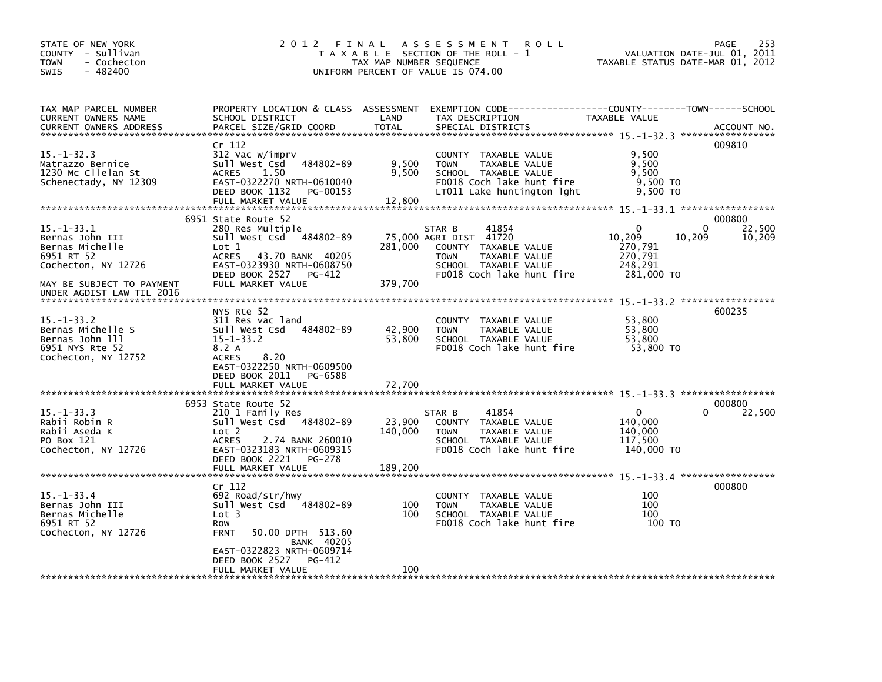| STATE OF NEW YORK<br>COUNTY - Sullivan<br>- Cochecton<br><b>TOWN</b><br>$-482400$<br>SWIS          | 2 0 1 2<br>FINAL                                                                                                                                                | TAX MAP NUMBER SEQUENCE  | A S S E S S M E N T<br><b>ROLL</b><br>T A X A B L E SECTION OF THE ROLL - 1<br>UNIFORM PERCENT OF VALUE IS 074.00                                      | VALUATION DATE-JUL 01, 2011<br>TAXABLE STATUS DATE-MAR 01, 2012                  | PAGE<br>253      |
|----------------------------------------------------------------------------------------------------|-----------------------------------------------------------------------------------------------------------------------------------------------------------------|--------------------------|--------------------------------------------------------------------------------------------------------------------------------------------------------|----------------------------------------------------------------------------------|------------------|
| TAX MAP PARCEL NUMBER<br>CURRENT OWNERS NAME<br><b>CURRENT OWNERS ADDRESS</b>                      | PROPERTY LOCATION & CLASS ASSESSMENT<br>SCHOOL DISTRICT<br>PARCEL SIZE/GRID COORD                                                                               | LAND<br><b>TOTAL</b>     | TAX DESCRIPTION<br>SPECIAL DISTRICTS                                                                                                                   | TAXABLE VALUE                                                                    | ACCOUNT NO.      |
| $15. - 1 - 32.3$<br>Matrazzo Bernice<br>1230 Mc Cllelan St<br>Schenectady, NY 12309                | Cr 112<br>312 Vac w/imprv<br>Sull West Csd<br>484802-89<br>1.50<br><b>ACRES</b><br>EAST-0322270 NRTH-0610040<br>DEED BOOK 1132<br>PG-00153<br>FULL MARKET VALUE | 9,500<br>9,500<br>12,800 | COUNTY TAXABLE VALUE<br><b>TAXABLE VALUE</b><br><b>TOWN</b><br>SCHOOL TAXABLE VALUE<br>FD018 Coch lake hunt fire<br>LT011 Lake huntington lght         | 9,500<br>9.500<br>9,500<br>9,500 TO<br>9,500 TO                                  | 009810           |
|                                                                                                    | 6951 State Route 52                                                                                                                                             |                          |                                                                                                                                                        |                                                                                  | 000800           |
| $15. - 1 - 33.1$<br>Bernas John III<br>Bernas Michelle<br>6951 RT 52<br>Cochecton, NY 12726        | 280 Res Multiple<br>Sull West Csd 484802-89<br>$_{\text{Lot}}$ 1<br><b>ACRES</b><br>43.70 BANK 40205<br>EAST-0323930 NRTH-0608750<br>DEED BOOK 2527 PG-412      | 281,000                  | 41854<br>STAR B<br>75,000 AGRI DIST 41720<br>COUNTY TAXABLE VALUE<br>TAXABLE VALUE<br><b>TOWN</b><br>SCHOOL TAXABLE VALUE<br>FD018 Coch lake hunt fire | $\Omega$<br>0<br>10,209<br>10,209<br>270,791<br>270,791<br>248,291<br>281,000 TO | 22,500<br>10,209 |
| MAY BE SUBJECT TO PAYMENT                                                                          | FULL MARKET VALUE                                                                                                                                               | 379,700                  |                                                                                                                                                        |                                                                                  |                  |
| UNDER AGDIST LAW TIL 2016                                                                          |                                                                                                                                                                 |                          |                                                                                                                                                        |                                                                                  |                  |
| $15. - 1 - 33.2$<br>Bernas Michelle S<br>Bernas John 111<br>6951 NYS Rte 52<br>Cochecton, NY 12752 | NYS Rte 52<br>311 Res vac land<br>484802-89<br>Sull West Csd<br>$15 - 1 - 33.2$<br>8.2 A<br>8.20<br><b>ACRES</b><br>EAST-0322250 NRTH-0609500                   | 42,900<br>53,800         | COUNTY TAXABLE VALUE<br><b>TOWN</b><br>TAXABLE VALUE<br>SCHOOL TAXABLE VALUE<br>FD018 Coch lake hunt fire                                              | 53,800<br>53.800<br>53.800<br>53,800 TO                                          | 600235           |
|                                                                                                    | DEED BOOK 2011<br>PG-6588<br>FULL MARKET VALUE                                                                                                                  | 72,700                   |                                                                                                                                                        |                                                                                  |                  |
|                                                                                                    | 6953 State Route 52                                                                                                                                             |                          |                                                                                                                                                        |                                                                                  | 000800           |
| $15. - 1 - 33.3$<br>Rabii Robin R<br>Rabii Aseda K<br>PO Box 121<br>Cochecton, NY 12726            | 210 1 Family Res<br>Sull West Csd 484802-89<br>Lot 2<br><b>ACRES</b><br>2.74 BANK 260010<br>EAST-0323183 NRTH-0609315<br>DEED BOOK 2221<br>PG-278               | 23,900<br>140,000        | 41854<br>STAR B<br>COUNTY TAXABLE VALUE<br>TAXABLE VALUE<br><b>TOWN</b><br>SCHOOL TAXABLE VALUE<br>FD018 Coch lake hunt fire                           | 0<br>O<br>140,000<br>140,000<br>117,500<br>140,000 TO                            | 22,500           |
|                                                                                                    | FULL MARKET VALUE                                                                                                                                               | 189,200                  |                                                                                                                                                        |                                                                                  |                  |
|                                                                                                    |                                                                                                                                                                 |                          |                                                                                                                                                        |                                                                                  |                  |
| $15. - 1 - 33.4$<br>Bernas John III<br>Bernas Michelle<br>6951 RT 52<br>Cochecton, NY 12726        | Cr 112<br>692 Road/str/hwy<br>Sull West Csd 484802-89<br>Lot 3<br>Row<br>50.00 DPTH 513.60<br><b>FRNT</b>                                                       | 100<br>100               | COUNTY TAXABLE VALUE<br><b>TOWN</b><br>TAXABLE VALUE<br>SCHOOL TAXABLE VALUE<br>FD018 Coch lake hunt fire                                              | 100<br>100<br>100<br>100 TO                                                      | 000800           |
|                                                                                                    | <b>BANK 40205</b><br>EAST-0322823 NRTH-0609714<br>DEED BOOK 2527<br>PG-412<br>FULL MARKET VALUE                                                                 | 100                      |                                                                                                                                                        |                                                                                  |                  |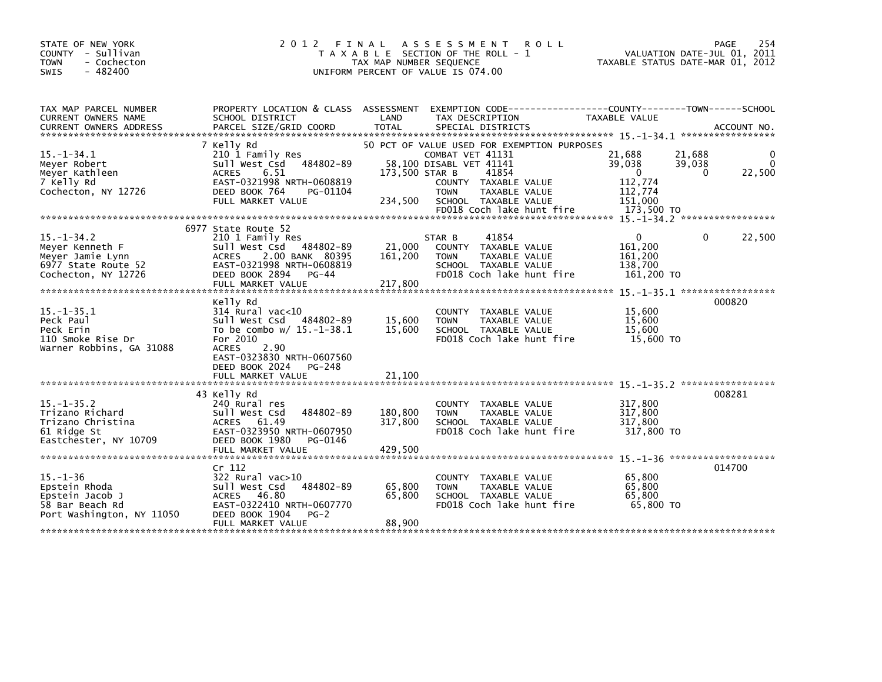| STATE OF NEW YORK<br>COUNTY - Sullivan<br><b>TOWN</b><br>- Cochecton<br>$-482400$<br><b>SWIS</b> | 2012 FINAL                                                                                                                                                                                                                    | TAX MAP NUMBER SEQUENCE | ASSESSMENT ROLL<br>T A X A B L E SECTION OF THE ROLL - 1<br>UNIFORM PERCENT OF VALUE IS 074.00                     | TAXABLE STATUS DATE-MAR 01, 2012 | 254<br>PAGE<br>VALUATION DATE-JUL 01, 2011 |
|--------------------------------------------------------------------------------------------------|-------------------------------------------------------------------------------------------------------------------------------------------------------------------------------------------------------------------------------|-------------------------|--------------------------------------------------------------------------------------------------------------------|----------------------------------|--------------------------------------------|
|                                                                                                  |                                                                                                                                                                                                                               |                         |                                                                                                                    |                                  |                                            |
| TAX MAP PARCEL NUMBER<br>CURRENT OWNERS NAME                                                     | SCHOOL DISTRICT                                                                                                                                                                                                               | LAND                    | PROPERTY LOCATION & CLASS ASSESSMENT EXEMPTION CODE---------------COUNTY-------TOWN------SCHOOL<br>TAX DESCRIPTION | TAXABLE VALUE                    |                                            |
|                                                                                                  | .CURRENT OWNERS ADDRESS PARCEL SIZE/GRID COORD TOTAL SPECIAL DISTRICTS (ACCOUNT NO ACCOUNT NO ACCOUNT NO AND FREE ALL SERIES AND RESEARCH TOTAL SPECIAL DISTRICTS (ASSEMBLIC ACCOUNT NO AND A SERIES AND RESEARCH TO A SERIES |                         |                                                                                                                    |                                  |                                            |
|                                                                                                  | 7 Kelly Rd                                                                                                                                                                                                                    |                         | 50 PCT OF VALUE USED FOR EXEMPTION PURPOSES                                                                        |                                  |                                            |
| $15. -1 - 34.1$<br>Meyer Robert                                                                  | 210 1 Family Res<br>484802-89<br>Sull West Csd                                                                                                                                                                                |                         | COMBAT VET 41131<br>58.100 DISABL VET 41141                                                                        | 21,688<br>39,038                 | 21,688<br>0<br>39,038<br>$\Omega$          |
| Meyer Kathleen                                                                                   | <b>ACRES</b><br>6.51                                                                                                                                                                                                          | 173,500 STAR B          | 41854                                                                                                              | $\Omega$                         | 22,500<br>$\Omega$                         |
| 7 Kelly Rd                                                                                       | EAST-0321998 NRTH-0608819                                                                                                                                                                                                     |                         | COUNTY TAXABLE VALUE                                                                                               | 112,774<br>112,774               |                                            |
| Cochecton, NY 12726                                                                              | DEED BOOK 764<br>PG-01104<br>FULL MARKET VALUE                                                                                                                                                                                | 234,500                 | <b>TOWN</b><br>TAXABLE VALUE<br>SCHOOL TAXABLE VALUE                                                               | 151.000                          |                                            |
|                                                                                                  |                                                                                                                                                                                                                               |                         | FD018 Coch lake hunt fire                                                                                          | 173,500 TO                       |                                            |
|                                                                                                  | 6977 State Route 52                                                                                                                                                                                                           |                         |                                                                                                                    |                                  |                                            |
| $15. -1 - 34.2$                                                                                  | 210 1 Family Res                                                                                                                                                                                                              |                         | 41854<br>STAR B                                                                                                    | $\mathbf{0}$                     | 22,500<br>0                                |
| Meyer Kenneth F                                                                                  | 484802-89<br>Sull West Csd<br>2.00 BANK 80395<br><b>ACRES</b>                                                                                                                                                                 | 21,000<br>161,200       | COUNTY TAXABLE VALUE<br><b>TOWN</b><br>TAXABLE VALUE                                                               | 161,200<br>161,200               |                                            |
| Meyer Jamie Lynn<br>6977 State Route 52                                                          | EAST-0321998 NRTH-0608819                                                                                                                                                                                                     |                         | SCHOOL TAXABLE VALUE                                                                                               | 138,700                          |                                            |
| Cochecton, NY 12726                                                                              | DEED BOOK 2894 PG-44                                                                                                                                                                                                          |                         | FD018 Coch lake hunt fire                                                                                          | 161,200 TO                       |                                            |
|                                                                                                  | FULL MARKET VALUE                                                                                                                                                                                                             | 217,800                 |                                                                                                                    |                                  |                                            |
|                                                                                                  | Kelly Rd                                                                                                                                                                                                                      |                         |                                                                                                                    |                                  | 000820                                     |
| $15. -1 - 35.1$<br>Peck Paul                                                                     | $314$ Rural vac<10<br>Sull West Csd<br>484802-89                                                                                                                                                                              | 15,600                  | COUNTY TAXABLE VALUE<br>TAXABLE VALUE<br><b>TOWN</b>                                                               | 15,600<br>15,600                 |                                            |
| Peck Erin                                                                                        | To be combo $w/15.-1-38.1$                                                                                                                                                                                                    | 15,600                  | SCHOOL TAXABLE VALUE                                                                                               | 15,600                           |                                            |
| 110 Smoke Rise Dr                                                                                | For 2010                                                                                                                                                                                                                      |                         | FD018 Coch lake hunt fire                                                                                          | 15,600 TO                        |                                            |
| Warner Robbins, GA 31088                                                                         | <b>ACRES</b><br>2.90<br>EAST-0323830 NRTH-0607560                                                                                                                                                                             |                         |                                                                                                                    |                                  |                                            |
|                                                                                                  | DEED BOOK 2024<br>PG-248                                                                                                                                                                                                      |                         |                                                                                                                    |                                  |                                            |
|                                                                                                  | FULL MARKET VALUE                                                                                                                                                                                                             | 21,100                  |                                                                                                                    |                                  |                                            |
|                                                                                                  | 43 Kelly Rd                                                                                                                                                                                                                   |                         |                                                                                                                    |                                  | 008281                                     |
| $15. -1 - 35.2$                                                                                  | 240 Rural res                                                                                                                                                                                                                 |                         | COUNTY TAXABLE VALUE                                                                                               | 317,800                          |                                            |
| Trizano Richard<br>Trizano Christina                                                             | 484802-89<br>Sull West Csd<br>ACRES 61.49                                                                                                                                                                                     | 180,800<br>317,800      | TAXABLE VALUE<br><b>TOWN</b><br>SCHOOL TAXABLE VALUE                                                               | 317,800<br>317,800               |                                            |
| 61 Ridge St                                                                                      | EAST-0323950 NRTH-0607950                                                                                                                                                                                                     |                         | FD018 Coch lake hunt fire                                                                                          | 317,800 TO                       |                                            |
| Eastchester, NY 10709                                                                            | DEED BOOK 1980<br>PG-0146<br>FULL MARKET VALUE                                                                                                                                                                                | 429,500                 |                                                                                                                    |                                  |                                            |
|                                                                                                  |                                                                                                                                                                                                                               |                         |                                                                                                                    |                                  |                                            |
|                                                                                                  | Cr 112                                                                                                                                                                                                                        |                         |                                                                                                                    |                                  | 014700                                     |
| $15. - 1 - 36$<br>Epstein Rhoda                                                                  | 322 Rural vac>10<br>Sull West Csd<br>484802-89                                                                                                                                                                                | 65,800                  | COUNTY TAXABLE VALUE<br><b>TAXABLE VALUE</b><br><b>TOWN</b>                                                        | 65,800<br>65,800                 |                                            |
| Epstein Jacob J                                                                                  | ACRES 46.80                                                                                                                                                                                                                   | 65,800                  | SCHOOL TAXABLE VALUE                                                                                               | 65,800                           |                                            |
| 58 Bar Beach Rd<br>Port Washington, NY 11050                                                     | EAST-0322410 NRTH-0607770<br>DEED BOOK 1904<br>$PG-2$                                                                                                                                                                         |                         | FD018 Coch lake hunt fire                                                                                          | 65,800 TO                        |                                            |
|                                                                                                  | FULL MARKET VALUE                                                                                                                                                                                                             | 88,900                  |                                                                                                                    |                                  |                                            |
|                                                                                                  |                                                                                                                                                                                                                               |                         |                                                                                                                    |                                  |                                            |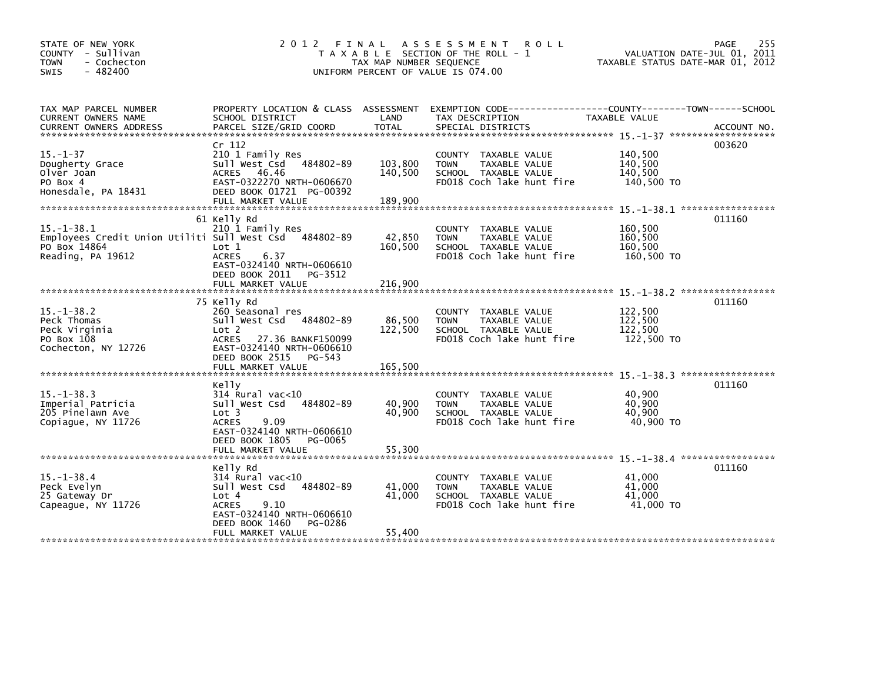| STATE OF NEW YORK<br>COUNTY - Sullivan<br><b>TOWN</b><br>- Cochecton<br>$-482400$<br><b>SWIS</b> | 2 0 1 2                                                                                                                                                                                   | FINAL<br>TAX MAP NUMBER SEQUENCE | ASSESSMENT ROLL<br>T A X A B L E SECTION OF THE ROLL - 1<br>UNIFORM PERCENT OF VALUE IS 074.00                                           | TAXABLE STATUS DATE-MAR 01, 2012            | PAGE<br>255<br>VALUATION DATE-JUL 01, 2011 |
|--------------------------------------------------------------------------------------------------|-------------------------------------------------------------------------------------------------------------------------------------------------------------------------------------------|----------------------------------|------------------------------------------------------------------------------------------------------------------------------------------|---------------------------------------------|--------------------------------------------|
| TAX MAP PARCEL NUMBER<br>CURRENT OWNERS NAME<br><b>CURRENT OWNERS ADDRESS</b>                    | SCHOOL DISTRICT<br>PARCEL SIZE/GRID COORD                                                                                                                                                 | LAND<br><b>TOTAL</b>             | PROPERTY LOCATION & CLASS ASSESSMENT EXEMPTION CODE----------------COUNTY-------TOWN------SCHOOL<br>TAX DESCRIPTION<br>SPECIAL DISTRICTS | TAXABLE VALUE                               | ACCOUNT NO.                                |
|                                                                                                  |                                                                                                                                                                                           |                                  |                                                                                                                                          |                                             |                                            |
| $15. - 1 - 37$<br>Dougherty Grace<br>Olver Joan<br>PO Box 4<br>Honesdale, PA 18431               | Cr 112<br>210 1 Family Res<br>484802-89<br>Sull West Csd<br>ACRES 46.46<br>EAST-0322270 NRTH-0606670<br>DEED BOOK 01721 PG-00392                                                          | 103,800<br>140,500               | COUNTY TAXABLE VALUE<br><b>TOWN</b><br>TAXABLE VALUE<br>SCHOOL TAXABLE VALUE<br>FD018 Coch lake hunt fire                                | 140,500<br>140,500<br>140.500<br>140,500 TO | 003620                                     |
|                                                                                                  | FULL MARKET VALUE                                                                                                                                                                         | 189,900                          |                                                                                                                                          |                                             |                                            |
| 15. –1–38.1<br>Employees Credit Union Utiliti Sull West Csd<br>PO Box 14864<br>Reading, PA 19612 | 61 Kelly Rd<br>210 1 Family Res<br>484802-89<br>Lot 1<br>6.37<br><b>ACRES</b><br>EAST-0324140 NRTH-0606610<br>DEED BOOK 2011<br>PG-3512                                                   | 42,850<br>160,500                | COUNTY<br>TAXABLE VALUE<br>TAXABLE VALUE<br><b>TOWN</b><br>SCHOOL TAXABLE VALUE<br>FD018 Coch lake hunt fire                             | 160,500<br>160,500<br>160,500<br>160,500 TO | 011160                                     |
|                                                                                                  | FULL MARKET VALUE                                                                                                                                                                         | 216,900                          |                                                                                                                                          |                                             |                                            |
| $15. - 1 - 38.2$<br>Peck Thomas<br>Peck Virginia<br>PO Box 108<br>Cochecton, NY 12726            | 75 Kelly Rd<br>260 Seasonal res<br>Sull West Csd<br>484802-89<br>Lot 2<br><b>ACRES</b><br>27.36 BANKF150099<br>EAST-0324140 NRTH-0606610<br>DEED BOOK 2515<br>PG-543<br>FULL MARKET VALUE | 86,500<br>122,500<br>165,500     | COUNTY TAXABLE VALUE<br>TAXABLE VALUE<br><b>TOWN</b><br>SCHOOL TAXABLE VALUE<br>FD018 Coch lake hunt fire                                | 122,500<br>122,500<br>122,500<br>122,500 TO | 011160                                     |
|                                                                                                  |                                                                                                                                                                                           |                                  |                                                                                                                                          |                                             |                                            |
| $15. - 1 - 38.3$<br>Imperial Patricia<br>205 Pinelawn Ave<br>Copiaque, NY 11726                  | Kelly<br>$314$ Rural vac<10<br>484802-89<br>Sull West Csd<br>Lot 3<br>9.09<br><b>ACRES</b><br>EAST-0324140 NRTH-0606610<br>DEED BOOK 1805<br>PG-0065<br>FULL MARKET VALUE                 | 40,900<br>40,900<br>55,300       | COUNTY TAXABLE VALUE<br><b>TAXABLE VALUE</b><br><b>TOWN</b><br>SCHOOL TAXABLE VALUE<br>FD018 Coch lake hunt fire                         | 40,900<br>40,900<br>40.900<br>40.900 TO     | 011160                                     |
|                                                                                                  |                                                                                                                                                                                           |                                  |                                                                                                                                          |                                             |                                            |
| $15. - 1 - 38.4$<br>Peck Evelyn<br>25 Gateway Dr<br>Capeague, NY 11726                           | Kelly Rd<br>$314$ Rural vac< $10$<br>484802-89<br>Sull West Csd<br>Lot 4<br><b>ACRES</b><br>9.10<br>EAST-0324140 NRTH-0606610<br>DEED BOOK 1460<br>PG-0286                                | 41,000<br>41,000                 | COUNTY TAXABLE VALUE<br><b>TAXABLE VALUE</b><br><b>TOWN</b><br>SCHOOL TAXABLE VALUE<br>FD018 Coch lake hunt fire                         | 41,000<br>41.000<br>41,000<br>41,000 TO     | 011160                                     |
|                                                                                                  | FULL MARKET VALUE                                                                                                                                                                         | 55,400                           |                                                                                                                                          |                                             |                                            |
|                                                                                                  |                                                                                                                                                                                           |                                  |                                                                                                                                          |                                             |                                            |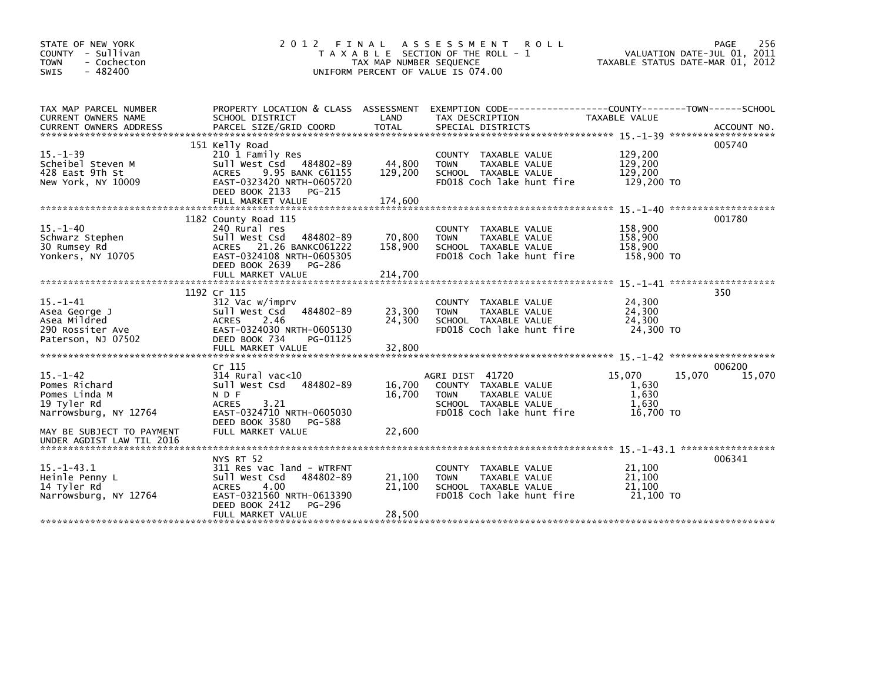| STATE OF NEW YORK<br>COUNTY - Sullivan<br>- Cochecton<br><b>TOWN</b><br>$-482400$<br><b>SWIS</b>                      | 2 0 1 2                                                                                                                                                                      | FINAL<br>TAX MAP NUMBER SEQUENCE | A S S E S S M E N T<br><b>ROLL</b><br>T A X A B L E SECTION OF THE ROLL - 1<br>UNIFORM PERCENT OF VALUE IS 074.00            | 256<br>PAGE<br>VALUATION DATE-JUL 01, 2011<br>TAXABLE STATUS DATE-MAR 01, 2012 |                            |  |
|-----------------------------------------------------------------------------------------------------------------------|------------------------------------------------------------------------------------------------------------------------------------------------------------------------------|----------------------------------|------------------------------------------------------------------------------------------------------------------------------|--------------------------------------------------------------------------------|----------------------------|--|
| TAX MAP PARCEL NUMBER<br><b>CURRENT OWNERS NAME</b>                                                                   | PROPERTY LOCATION & CLASS ASSESSMENT<br>SCHOOL DISTRICT                                                                                                                      | LAND                             | EXEMPTION        CODE-----------------COUNTY-------TOWN------SCHOOL<br>TAX DESCRIPTION                                       | TAXABLE VALUE                                                                  |                            |  |
| $15. - 1 - 39$<br>Scheibel Steven M<br>428 East 9Th St<br>New York, NY 10009                                          | 151 Kelly Road<br>210 1 Family Res<br>Sull West Csd 484802-89<br>9.95 BANK C61155<br><b>ACRES</b><br>EAST-0323420 NRTH-0605720<br>DEED BOOK 2133<br>PG-215                   | 44,800<br>129,200                | COUNTY TAXABLE VALUE<br>TAXABLE VALUE<br><b>TOWN</b><br>SCHOOL TAXABLE VALUE<br>FD018 Coch lake hunt fire                    | 129,200<br>129,200<br>129,200<br>129,200 TO                                    | 005740                     |  |
| $15. - 1 - 40$<br>Schwarz Stephen<br>30 Rumsey Rd<br>Yonkers, NY 10705                                                | 1182 County Road 115<br>240 Rural res<br>Sull West Csd<br>484802-89<br>ACRES 21.26 BANKC061222<br>EAST-0324108 NRTH-0605305<br>DEED BOOK 2639<br>PG-286<br>FULL MARKET VALUE | 70,800<br>158,900<br>214,700     | COUNTY TAXABLE VALUE<br><b>TAXABLE VALUE</b><br><b>TOWN</b><br>SCHOOL TAXABLE VALUE<br>FD018 Coch lake hunt fire             | 158,900<br>158,900<br>158,900<br>158,900 TO                                    | 001780                     |  |
| $15. - 1 - 41$<br>Asea George J<br>Asea Mildred<br>290 Rossiter Ave<br>Paterson, NJ 07502                             | 1192 Cr 115<br>312 Vac w/imprv<br>Sull West Csd<br>484802-89<br><b>ACRES</b><br>2.46<br>EAST-0324030 NRTH-0605130<br>DEED BOOK 734<br>PG-01125<br>FULL MARKET VALUE          | 23,300<br>24,300<br>32,800       | COUNTY TAXABLE VALUE<br>TAXABLE VALUE<br><b>TOWN</b><br>SCHOOL TAXABLE VALUE<br>FD018 Coch lake hunt fire                    | 24,300<br>24,300<br>24,300<br>24,300 TO                                        | 350                        |  |
| $15. - 1 - 42$<br>Pomes Richard<br>Pomes Linda M<br>19 Tyler Rd<br>Narrowsburg, NY 12764<br>MAY BE SUBJECT TO PAYMENT | Cr 115<br>$314$ Rural vac<10<br>Sull West Csd<br>484802-89<br>N D F<br><b>ACRES</b><br>3.21<br>EAST-0324710 NRTH-0605030<br>DEED BOOK 3580<br>PG-588<br>FULL MARKET VALUE    | 16,700<br>16,700<br>22,600       | AGRI DIST 41720<br>COUNTY TAXABLE VALUE<br>TAXABLE VALUE<br><b>TOWN</b><br>SCHOOL TAXABLE VALUE<br>FD018 Coch lake hunt fire | 15,070<br>1,630<br>1,630<br>1,630<br>16.700 TO                                 | 006200<br>15,070<br>15,070 |  |
| UNDER AGDIST LAW TIL 2016<br>$15. - 1 - 43.1$<br>Heinle Penny L<br>14 Tyler Rd<br>Narrowsburg, NY 12764               | NYS RT 52<br>311 Res vac land - WTRFNT<br>484802-89<br>Sull West Csd<br><b>ACRES</b><br>4.00<br>EAST-0321560 NRTH-0613390<br>DEED BOOK 2412<br>PG-296<br>FULL MARKET VALUE   | 21,100<br>21,100<br>28,500       | COUNTY TAXABLE VALUE<br><b>TOWN</b><br>TAXABLE VALUE<br>SCHOOL TAXABLE VALUE<br>FD018 Coch lake hunt fire                    | 21,100<br>21,100<br>21,100<br>21.100 TO                                        | 006341                     |  |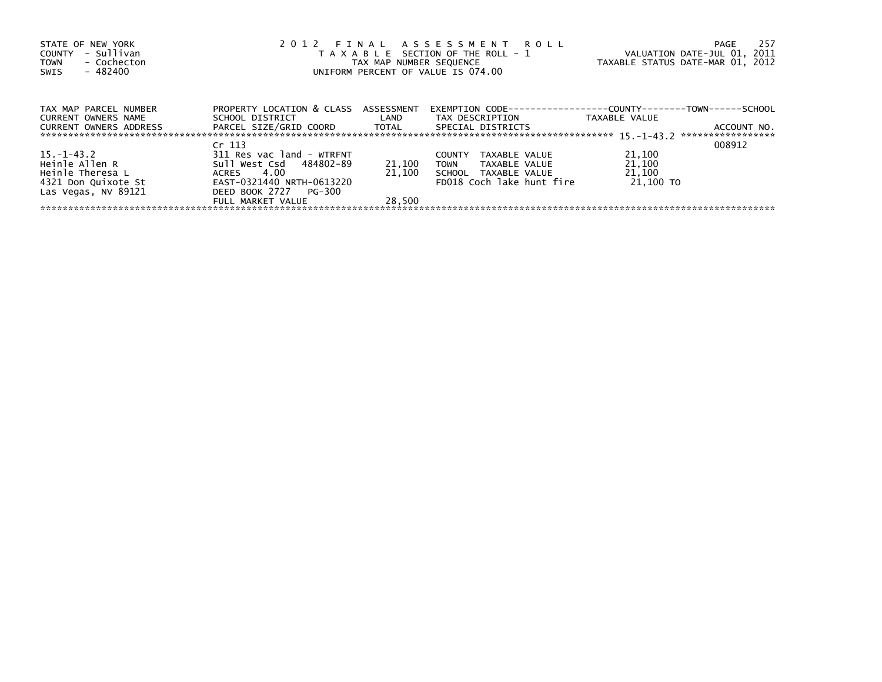| STATE OF NEW YORK<br>- Sullivan<br>COUNTY<br>- Cochecton<br><b>TOWN</b><br>- 482400<br>SWIS |                                                 |        | 2012 FINAL ASSESSMENT ROLL<br>T A X A B L E SECTION OF THE ROLL - 1<br>TAX MAP NUMBER SEQUENCE<br>UNIFORM PERCENT OF VALUE IS 074.00 | VALUATION DATE-JUL 01, 2011<br>TAXABLE STATUS DATE-MAR 01, 2012 | -257<br>PAGE      |
|---------------------------------------------------------------------------------------------|-------------------------------------------------|--------|--------------------------------------------------------------------------------------------------------------------------------------|-----------------------------------------------------------------|-------------------|
| TAX MAP PARCEL NUMBER                                                                       | PROPERTY LOCATION & CLASS ASSESSMENT            |        | EXEMPTION        CODE-----------------COUNTY--------TOWN------SCHOOL                                                                 |                                                                 |                   |
| <b>CURRENT OWNERS NAME</b><br><b>CURRENT OWNERS ADDRESS</b>                                 | SCHOOL DISTRICT<br>PARCEL SIZE/GRID COORD TOTAL | LAND   | TAX DESCRIPTION<br>SPECIAL DISTRICTS                                                                                                 | TAXABLE VALUE                                                   | ACCOUNT NO.       |
|                                                                                             |                                                 |        |                                                                                                                                      |                                                                 | ***************** |
|                                                                                             | Cr <sub>113</sub>                               |        |                                                                                                                                      |                                                                 | 008912            |
| 15. –1–43. 2                                                                                | 311 Res vac land - WTRFNT                       |        | <b>COUNTY</b><br>TAXABLE VALUE                                                                                                       | 21,100                                                          |                   |
| Heinle Allen R                                                                              | Sull West Csd 484802-89                         | 21,100 | <b>TOWN</b><br>TAXABLE VALUE                                                                                                         | 21,100                                                          |                   |
| Heinle Theresa L                                                                            | 4.00<br>ACRES                                   | 21,100 | SCHOOL TAXABLE VALUE                                                                                                                 | 21,100                                                          |                   |
| 4321 Don Quixote St                                                                         | EAST-0321440 NRTH-0613220                       |        | FD018 Coch lake hunt fire                                                                                                            | 21,100 TO                                                       |                   |
| Las Vegas, NV 89121                                                                         | DEED BOOK 2727 PG-300                           |        |                                                                                                                                      |                                                                 |                   |
|                                                                                             | FULL MARKET VALUE                               | 28.500 |                                                                                                                                      |                                                                 |                   |
|                                                                                             |                                                 |        |                                                                                                                                      |                                                                 |                   |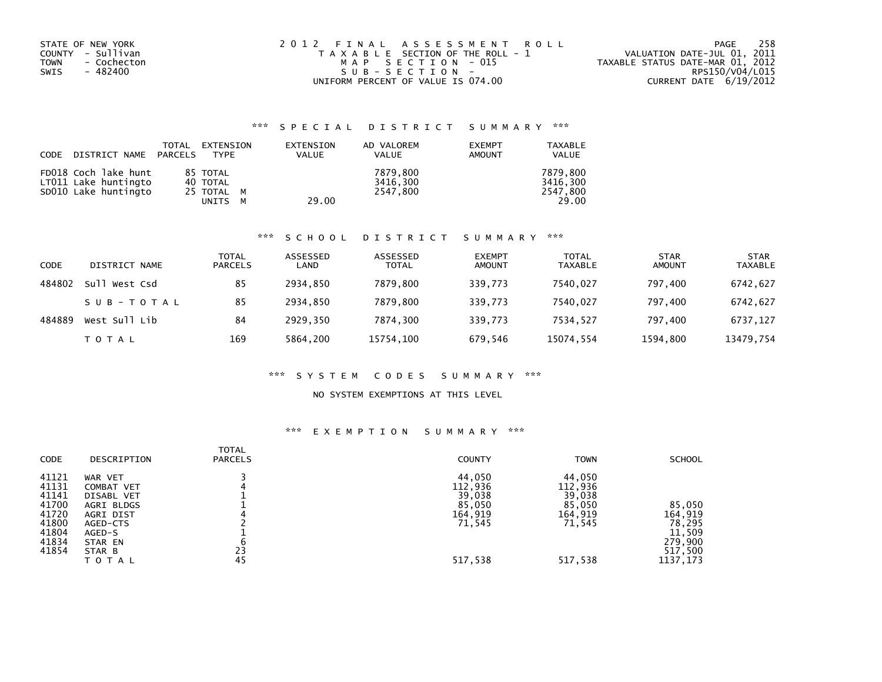| STATE OF NEW YORK   | 2012 FINAL ASSESSMENT ROLL            | 258<br>PAGE                      |
|---------------------|---------------------------------------|----------------------------------|
| COUNTY - Sullivan   | T A X A B L E SECTION OF THE ROLL - 1 | VALUATION DATE-JUL 01, 2011      |
| TOWN<br>- Cochecton | MAP SECTION - 015                     | TAXABLE STATUS DATE-MAR 01, 2012 |
| - 482400<br>SWIS    | SUB-SECTION-                          | RPS150/V04/L015                  |
|                     | UNIFORM PERCENT OF VALUE IS 074.00    | CURRENT DATE $6/19/2012$         |

## \*\*\* S P E C I A L D I S T R I C T S U M M A R Y \*\*\*

| CODE | DISTRICT NAME PARCELS                        | TOTAL | EXTENSION<br>TYPE        | EXTENSION<br>VALUE | AD VALOREM<br><b>VALUE</b> | <b>EXEMPT</b><br><b>AMOUNT</b> | <b>TAXABLE</b><br><b>VALUE</b> |
|------|----------------------------------------------|-------|--------------------------|--------------------|----------------------------|--------------------------------|--------------------------------|
|      | FD018 Coch lake hunt<br>LT011 Lake huntingto |       | 85 TOTAL<br>40 TOTAL     |                    | 7879.800<br>3416.300       |                                | 7879,800<br>3416.300           |
|      | SD010 Lake huntingto                         |       | 25 TOTAL M<br>UNITS<br>M | 29.00              | 2547.800                   |                                | 2547.800<br>29.00              |

#### \*\*\* S C H O O L D I S T R I C T S U M M A R Y \*\*\*

| CODE   | DISTRICT NAME    | <b>TOTAL</b><br><b>PARCELS</b> | ASSESSED<br>LAND | ASSESSED<br><b>TOTAL</b> | <b>EXEMPT</b><br><b>AMOUNT</b> | <b>TOTAL</b><br><b>TAXABLE</b> | <b>STAR</b><br><b>AMOUNT</b> | <b>STAR</b><br><b>TAXABLE</b> |
|--------|------------------|--------------------------------|------------------|--------------------------|--------------------------------|--------------------------------|------------------------------|-------------------------------|
| 484802 | Su11<br>West Csd | 85                             | 2934.850         | 7879.800                 | 339,773                        | 7540.027                       | 797.400                      | 6742,627                      |
|        | SUB-TOTAL        | 85                             | 2934.850         | 7879.800                 | 339.773                        | 7540.027                       | 797.400                      | 6742,627                      |
| 484889 | West Sull Lib    | 84                             | 2929.350         | 7874.300                 | 339.773                        | 7534.527                       | 797.400                      | 6737,127                      |
|        | T O T A L        | 169                            | 5864,200         | 15754,100                | 679,546                        | 15074,554                      | 1594,800                     | 13479,754                     |

#### \*\*\* S Y S T E M C O D E S S U M M A R Y \*\*\*

### NO SYSTEM EXEMPTIONS AT THIS LEVEL

## \*\*\* E X E M P T I O N S U M M A R Y \*\*\*

| <b>CODE</b>             | DESCRIPTION                          | <b>TOTAL</b><br><b>PARCELS</b> | <b>COUNTY</b>               | <b>TOWN</b>                 | <b>SCHOOL</b>                             |
|-------------------------|--------------------------------------|--------------------------------|-----------------------------|-----------------------------|-------------------------------------------|
| 41121<br>41131<br>41141 | WAR VET<br>COMBAT VET<br>DISABL VET  |                                | 44,050<br>112,936<br>39,038 | 44.050<br>112,936<br>39,038 |                                           |
| 41700<br>41720<br>41800 | AGRI BLDGS<br>AGRI DIST<br>AGED-CTS  |                                | 85,050<br>164,919<br>71,545 | 85,050<br>164,919<br>71,545 | 85.050<br>164,919<br>78,295               |
| 41804<br>41834<br>41854 | AGED-S<br>STAR EN<br>STAR B<br>TOTAL | 23<br>45                       | 517,538                     | 517,538                     | 11,509<br>279,900<br>517,500<br>1137, 173 |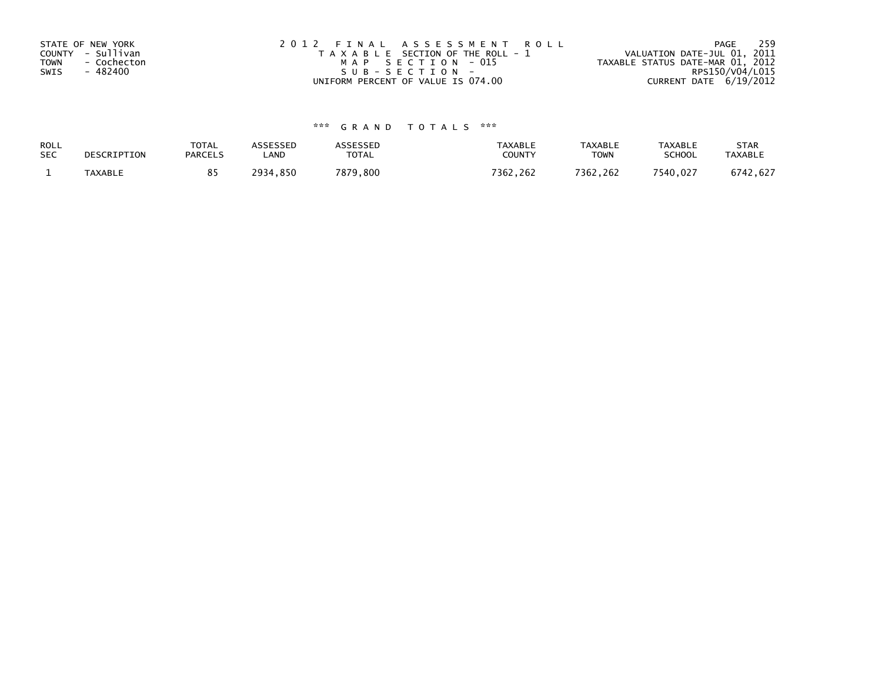| STATE OF NEW YORK          | 2012 FINAL ASSESSMENT ROLL            | 259<br>PAGE                      |
|----------------------------|---------------------------------------|----------------------------------|
| COUNTY - Sullivan          | T A X A B L E SECTION OF THE ROLL - 1 | VALUATION DATE-JUL 01, 2011      |
| <b>TOWN</b><br>- Cochecton | MAP SECTION - 015                     | TAXABLE STATUS DATE-MAR 01, 2012 |
| - 482400<br>SWIS           | SUB-SECTION-                          | RPS150/V04/L015                  |
|                            | UNIFORM PERCENT OF VALUE IS 074.00    | CURRENT DATE 6/19/2012           |

# \*\*\* G R A N D T O T A L S \*\*\*

| ROLL       | DESCRIPTION    | <b>TOTAL</b>   | ASSESSED     | <b>ASSESSED</b> | <b>TAXABLE</b> | <b>TAXABLE</b> | <b>TAXABLE</b> | <b>STAR</b>    |
|------------|----------------|----------------|--------------|-----------------|----------------|----------------|----------------|----------------|
| <b>SEC</b> |                | <b>PARCELS</b> | _AND         | <b>TOTAL</b>    | COUNTY         | <b>TOWN</b>    | <b>SCHOOL</b>  | <b>TAXABLE</b> |
|            | <b>TAXABLE</b> |                | 2934<br>.850 | 7879,800        | 7362.262       | 7362.262       | 7540,027       | 6742,627       |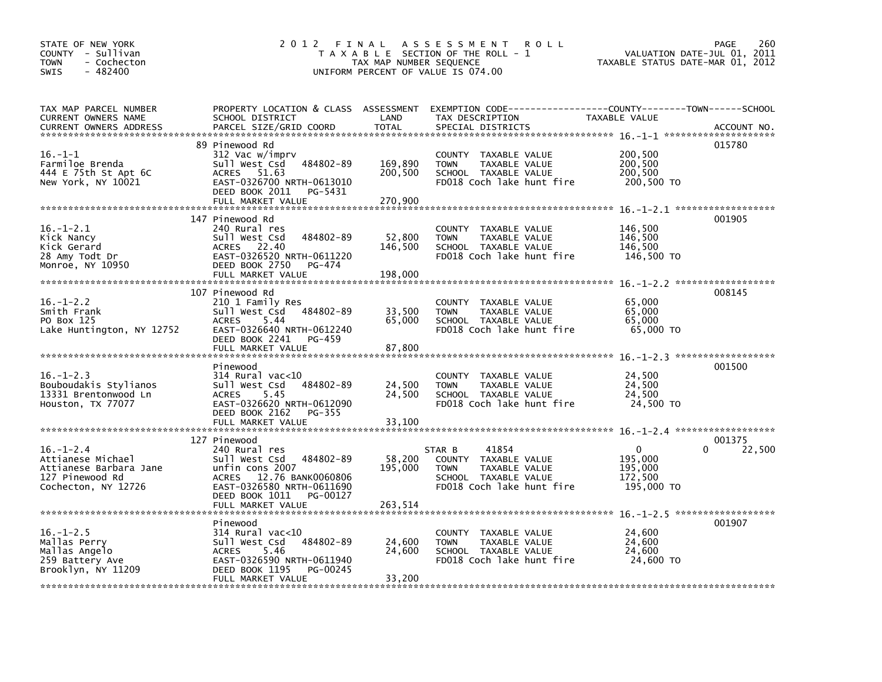| STATE OF NEW YORK<br>COUNTY - Sullivan<br>- Cochecton<br><b>TOWN</b><br>- 482400<br><b>SWIS</b>          | 2012 FINAL                                                                                                                                                                                       | TAX MAP NUMBER SEQUENCE       | A S S E S S M E N T<br><b>ROLL</b><br>T A X A B L E SECTION OF THE ROLL - 1<br>UNIFORM PERCENT OF VALUE IS 074.00            | VALUATION DATE-JUL 01, 2011<br>TAXABLE STATUS DATE-MAR 01, 2012 | PAGE<br>260      |
|----------------------------------------------------------------------------------------------------------|--------------------------------------------------------------------------------------------------------------------------------------------------------------------------------------------------|-------------------------------|------------------------------------------------------------------------------------------------------------------------------|-----------------------------------------------------------------|------------------|
| TAX MAP PARCEL NUMBER<br>CURRENT OWNERS NAME<br><b>CURRENT OWNERS ADDRESS</b>                            | PROPERTY LOCATION & CLASS ASSESSMENT<br>SCHOOL DISTRICT<br>PARCEL SIZE/GRID COORD                                                                                                                | LAND<br><b>TOTAL</b>          | EXEMPTION CODE-----------------COUNTY-------TOWN------SCHOOL<br>TAX DESCRIPTION<br>SPECIAL DISTRICTS                         | TAXABLE VALUE                                                   | ACCOUNT NO.      |
| $16. - 1 - 1$<br>Farmiloe Brenda<br>444 E 75th St Apt 6C<br>New York, NY 10021                           | 89 Pinewood Rd<br>312 Vac w/imprv<br>484802-89<br>Sull West Csd<br>ACRES<br>51.63<br>EAST-0326700 NRTH-0613010<br>DEED BOOK 2011<br>PG-5431<br>FULL MARKET VALUE                                 | 169,890<br>200,500<br>270,900 | COUNTY TAXABLE VALUE<br>TAXABLE VALUE<br><b>TOWN</b><br>SCHOOL TAXABLE VALUE<br>FD018 Coch lake hunt fire                    | 200,500<br>200,500<br>200,500<br>200,500 TO                     | 015780           |
| $16. - 1 - 2.1$<br>Kick Nancy<br>Kick Gerard<br>28 Amy Todt Dr<br>Monroe, NY 10950                       | 147 Pinewood Rd<br>240 Rural res<br>Sull West Csd<br>484802-89<br>ACRES 22.40<br>EAST-0326520 NRTH-0611220<br>DEED BOOK 2750<br>PG-474<br>FULL MARKET VALUE                                      | 52,800<br>146,500<br>198,000  | COUNTY TAXABLE VALUE<br><b>TOWN</b><br>TAXABLE VALUE<br>SCHOOL TAXABLE VALUE<br>FD018 Coch lake hunt fire                    | 146,500<br>146,500<br>146,500<br>146,500 TO                     | 001905           |
| $16. - 1 - 2.2$<br>Smith Frank<br>PO Box 125<br>Lake Huntington, NY 12752                                | 107 Pinewood Rd<br>210 1 Family Res<br>Sull West Csd 484802-89<br>5.44<br><b>ACRES</b><br>EAST-0326640 NRTH-0612240<br>DEED BOOK 2241<br>PG-459<br>FULL MARKET VALUE                             | 33,500<br>65,000<br>87,800    | COUNTY TAXABLE VALUE<br><b>TOWN</b><br>TAXABLE VALUE<br>SCHOOL TAXABLE VALUE<br>FD018 Coch lake hunt fire                    | 65,000<br>65,000<br>65,000<br>65,000 TO                         | 008145           |
| $16. - 1 - 2.3$<br>Bouboudakis Stylianos<br>13331 Brentonwood Ln<br>Houston, TX 77077                    | Pinewood<br>$314$ Rural vac<10<br>Sull West Csd<br>484802-89<br>5.45<br><b>ACRES</b><br>EAST-0326620 NRTH-0612090<br>DEED BOOK 2162<br>PG-355<br>FULL MARKET VALUE                               | 24,500<br>24,500<br>33,100    | COUNTY TAXABLE VALUE<br><b>TOWN</b><br>TAXABLE VALUE<br>SCHOOL TAXABLE VALUE<br>FD018 Coch lake hunt fire                    | 24,500<br>24,500<br>24,500<br>24,500 TO                         | 001500           |
| $16. - 1 - 2.4$<br>Attianese Michael<br>Attianese Barbara Jane<br>127 Pinewood Rd<br>Cochecton, NY 12726 | 127 Pinewood<br>240 Rural res<br>484802-89<br>Sull West Csd<br>unfin cons 2007<br>12.76 BANK0060806<br><b>ACRES</b><br>EAST-0326580 NRTH-0611690<br>DEED BOOK 1011 PG-00127<br>FULL MARKET VALUE | 58,200<br>195,000<br>263,514  | 41854<br>STAR B<br>COUNTY TAXABLE VALUE<br><b>TOWN</b><br>TAXABLE VALUE<br>SCHOOL TAXABLE VALUE<br>FD018 Coch lake hunt fire | $\mathbf{0}$<br>195,000<br>195,000<br>172,500<br>195,000 TO     | 001375<br>22,500 |
| $16. - 1 - 2.5$<br>Mallas Perry<br>Mallas Angelo<br>259 Battery Ave<br>Brooklyn, NY 11209                | Pinewood<br>$314$ Rural vac< $10$<br>484802-89<br>Sull West Csd<br>5.46<br><b>ACRES</b><br>EAST-0326590 NRTH-0611940<br>DEED BOOK 1195<br>PG-00245<br>FULL MARKET VALUE                          | 24,600<br>24,600<br>33,200    | COUNTY TAXABLE VALUE<br>TAXABLE VALUE<br><b>TOWN</b><br>SCHOOL TAXABLE VALUE<br>FD018 Coch lake hunt fire                    | 24,600<br>24,600<br>24,600<br>24,600 TO                         | 001907           |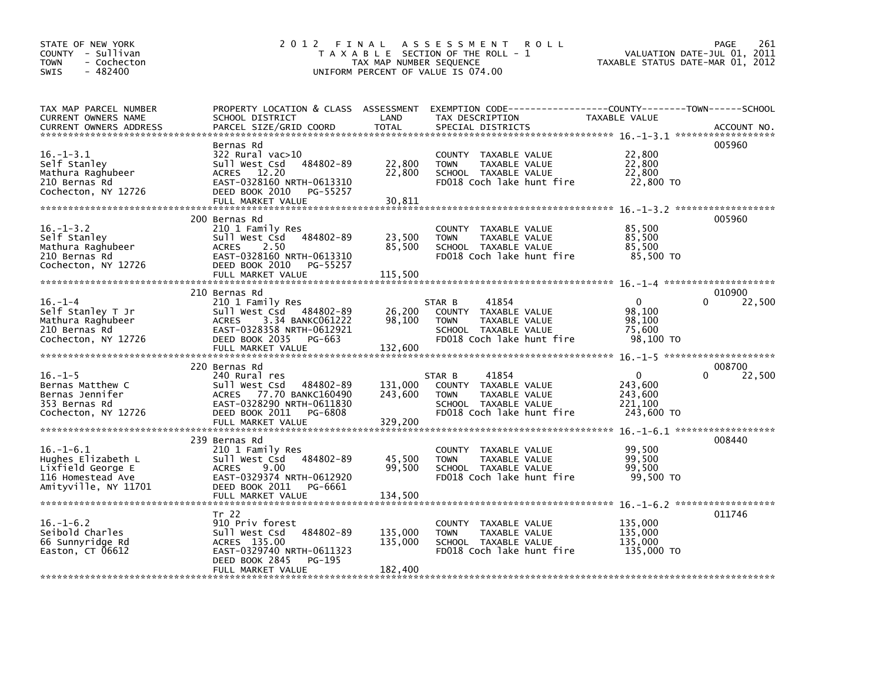| STATE OF NEW YORK<br>COUNTY - Sullivan<br>- Cochecton<br><b>TOWN</b><br>$-482400$<br>SWIS               | 2012 FINAL                                                                                                                                                                | TAX MAP NUMBER SEQUENCE       | A S S E S S M E N T<br><b>ROLL</b><br>T A X A B L E SECTION OF THE ROLL - 1<br>UNIFORM PERCENT OF VALUE IS 074.00            | TAXABLE STATUS DATE-MAR 01, 2012                              | PAGE<br>261<br>VALUATION DATE-JUL 01, 2011 |
|---------------------------------------------------------------------------------------------------------|---------------------------------------------------------------------------------------------------------------------------------------------------------------------------|-------------------------------|------------------------------------------------------------------------------------------------------------------------------|---------------------------------------------------------------|--------------------------------------------|
| TAX MAP PARCEL NUMBER<br>CURRENT OWNERS NAME<br><b>CURRENT OWNERS ADDRESS</b>                           | PROPERTY LOCATION & CLASS ASSESSMENT<br>SCHOOL DISTRICT<br>PARCEL SIZE/GRID COORD                                                                                         | LAND<br><b>TOTAL</b>          | EXEMPTION CODE-----------------COUNTY-------TOWN------SCHOOL<br>TAX DESCRIPTION<br>SPECIAL DISTRICTS                         | TAXABLE VALUE                                                 | ACCOUNT NO.                                |
| $16. - 1 - 3.1$<br>Self Stanley<br>Mathura Raghubeer<br>210 Bernas Rd<br>Cochecton, NY 12726            | Bernas Rd<br>$322$ Rural vac $>10$<br>sull west Csd<br>484802-89<br>12.20<br><b>ACRES</b><br>EAST-0328160 NRTH-0613310<br>DEED BOOK 2010<br>PG-55257<br>FULL MARKET VALUE | 22,800<br>22,800<br>30,811    | COUNTY TAXABLE VALUE<br>TAXABLE VALUE<br><b>TOWN</b><br>SCHOOL TAXABLE VALUE<br>FD018 Coch lake hunt fire                    | 22,800<br>22,800<br>22,800<br>22,800 TO                       | 005960                                     |
|                                                                                                         | 200 Bernas Rd                                                                                                                                                             |                               |                                                                                                                              |                                                               | 005960                                     |
| $16. - 1 - 3.2$<br>Self Stanley<br>Mathura Raghubeer<br>210 Bernas Rd<br>Cochecton, NY 12726            | 210 1 Family Res<br>Sull West Csd 484802-89<br><b>ACRES</b><br>2.50<br>EAST-0328160 NRTH-0613310<br>DEED BOOK 2010<br>PG-55257<br>FULL MARKET VALUE                       | 23,500<br>85,500<br>115,500   | COUNTY TAXABLE VALUE<br><b>TOWN</b><br>TAXABLE VALUE<br>SCHOOL TAXABLE VALUE<br>FD018 Coch lake hunt fire                    | 85,500<br>85,500<br>85,500<br>85.500 TO                       |                                            |
|                                                                                                         | 210 Bernas Rd                                                                                                                                                             |                               |                                                                                                                              |                                                               | 010900                                     |
| $16. - 1 - 4$<br>Self Stanley T Jr<br>Mathura Raghubeer<br>210 Bernas Rd<br>Cochecton, NY 12726         | 210 1 Family Res<br>Sull West Csd 484802-89<br>3.34 BANKC061222<br><b>ACRES</b><br>EAST-0328358 NRTH-0612921<br>DEED BOOK 2035<br>PG-663<br>FULL MARKET VALUE             | 26,200<br>98,100<br>132,600   | 41854<br>STAR B<br>COUNTY TAXABLE VALUE<br>TAXABLE VALUE<br><b>TOWN</b><br>SCHOOL TAXABLE VALUE<br>FD018 Coch lake hunt fire | $\mathbf{0}$<br>98,100<br>98,100<br>75.600<br>98,100 TO       | 22,500<br>0                                |
|                                                                                                         |                                                                                                                                                                           |                               |                                                                                                                              |                                                               |                                            |
| $16. - 1 - 5$<br>Bernas Matthew C<br>Bernas Jennifer<br>353 Bernas Rd<br>Cochecton, NY 12726            | 220 Bernas Rd<br>240 Rural res<br>Sull West Csd<br>484802-89<br>ACRES 77.70 BANKC160490<br>EAST-0328290 NRTH-0611830<br>DEED BOOK 2011<br>PG-6808<br>FULL MARKET VALUE    | 131,000<br>243,600<br>329,200 | 41854<br>STAR B<br>COUNTY TAXABLE VALUE<br>TAXABLE VALUE<br><b>TOWN</b><br>SCHOOL TAXABLE VALUE<br>FD018 Coch lake hunt fire | $\overline{0}$<br>243,600<br>243,600<br>221,100<br>243,600 TO | 008700<br>22,500                           |
|                                                                                                         |                                                                                                                                                                           |                               |                                                                                                                              |                                                               |                                            |
| $16. - 1 - 6.1$<br>Hughes Elizabeth L<br>Lixfield George E<br>116 Homestead Ave<br>Amityville, NY 11701 | 239 Bernas Rd<br>210 1 Family Res<br>484802-89<br>Sull West Csd<br>9.00<br>ACRES<br>EAST-0329374 NRTH-0612920<br>DEED BOOK 2011<br>PG-6661                                | 45,500<br>99,500              | COUNTY TAXABLE VALUE<br>TAXABLE VALUE<br><b>TOWN</b><br>SCHOOL TAXABLE VALUE<br>FD018 Coch lake hunt fire                    | 99,500<br>99,500<br>99,500<br>99,500 TO                       | 008440                                     |
|                                                                                                         |                                                                                                                                                                           |                               |                                                                                                                              |                                                               |                                            |
| $16. - 1 - 6.2$<br>Seibold Charles<br>66 Sunnyridge Rd<br>Easton, CT 06612                              | Tr 22<br>910 Priv forest<br>484802-89<br>Sull West Csd<br>ACRES 135.00<br>EAST-0329740 NRTH-0611323<br>DEED BOOK 2845<br>PG-195<br>FULL MARKET VALUE                      | 135,000<br>135,000<br>182,400 | COUNTY TAXABLE VALUE<br>TAXABLE VALUE<br><b>TOWN</b><br>SCHOOL TAXABLE VALUE<br>FD018 Coch lake hunt fire                    | 135,000<br>135,000<br>135,000<br>135,000 TO                   | 011746                                     |
|                                                                                                         |                                                                                                                                                                           |                               |                                                                                                                              |                                                               |                                            |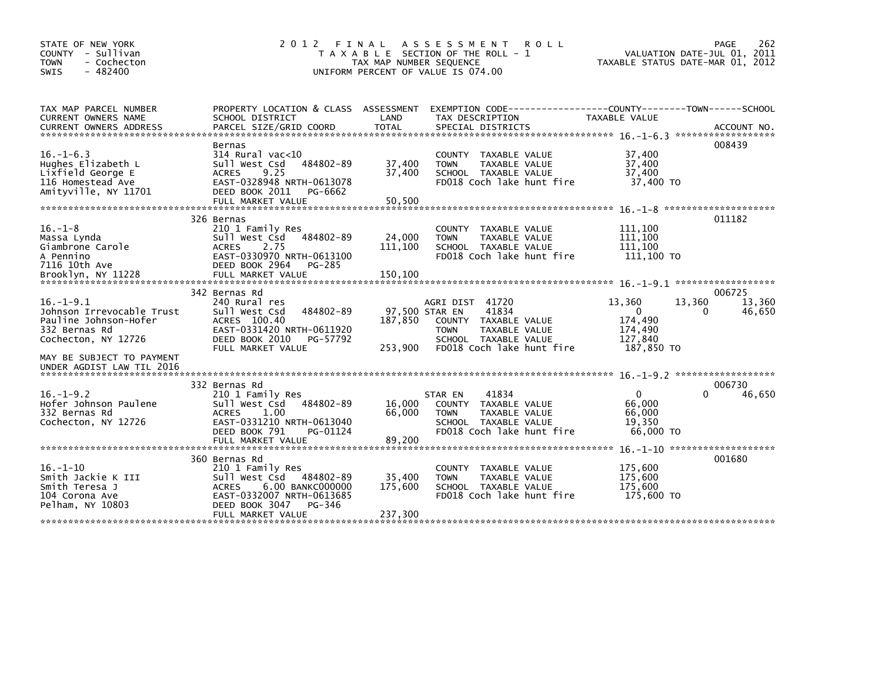| STATE OF NEW YORK<br>- Sullivan<br><b>COUNTY</b><br><b>TOWN</b><br>- Cochecton<br>$-482400$<br><b>SWIS</b>                                                              | 2 0 1 2<br>T A X A B L E                                                                                                                                                          | FINAL<br>A S S E S S M E N T<br>SECTION OF THE ROLL - 1<br>TAX MAP NUMBER SEQUENCE<br>UNIFORM PERCENT OF VALUE IS 074.00 | 262<br>PAGE<br>VALUATION DATE-JUL 01, 2011<br>TAXABLE STATUS DATE-MAR 01, 2012                                                        |                                                                                 |                                 |
|-------------------------------------------------------------------------------------------------------------------------------------------------------------------------|-----------------------------------------------------------------------------------------------------------------------------------------------------------------------------------|--------------------------------------------------------------------------------------------------------------------------|---------------------------------------------------------------------------------------------------------------------------------------|---------------------------------------------------------------------------------|---------------------------------|
| TAX MAP PARCEL NUMBER<br>CURRENT OWNERS NAME<br><b>CURRENT OWNERS ADDRESS</b>                                                                                           | PROPERTY LOCATION & CLASS ASSESSMENT<br>SCHOOL DISTRICT<br>PARCEL SIZE/GRID COORD                                                                                                 | LAND<br><b>TOTAL</b>                                                                                                     | EXEMPTION CODE-----------------COUNTY-------TOWN------SCHOOL<br>TAX DESCRIPTION<br>SPECIAL DISTRICTS                                  | TAXABLE VALUE                                                                   | ACCOUNT NO.                     |
| $16. - 1 - 6.3$<br>Hughes Elizabeth L<br>Lixfield George E<br>116 Homestead Ave<br>Amityville, NY 11701                                                                 | Bernas<br>$314$ Rural vac<10<br>484802-89<br>Sull West Csd<br><b>ACRES</b><br>9.25<br>EAST-0328948 NRTH-0613078<br>DEED BOOK 2011<br>PG-6662                                      | 37,400<br>37,400                                                                                                         | COUNTY TAXABLE VALUE<br>TAXABLE VALUE<br><b>TOWN</b><br>SCHOOL TAXABLE VALUE<br>FD018 Coch lake hunt fire                             | 37,400<br>37,400<br>37,400<br>37,400 TO                                         | 008439                          |
| $16. - 1 - 8$<br>Massa Lynda<br>Giambrone Carole<br>A Pennino<br>7116 10th Ave<br>Brooklyn, NY 11228                                                                    | 326 Bernas<br>210 1 Family Res<br>484802-89<br>Sull West Csd<br>2.75<br><b>ACRES</b><br>EAST-0330970 NRTH-0613100<br>DEED BOOK 2964<br>PG-285<br>FULL MARKET VALUE                | 24,000<br>111,100<br>150,100                                                                                             | COUNTY<br>TAXABLE VALUE<br>TAXABLE VALUE<br><b>TOWN</b><br>SCHOOL TAXABLE VALUE<br>FD018 Coch lake hunt fire                          | 111,100<br>111,100<br>111,100<br>111,100 TO                                     | 011182                          |
| $16. - 1 - 9.1$<br>Johnson Irrevocable Trust<br>Pauline Johnson-Hofer<br>332 Bernas Rd<br>Cochecton, NY 12726<br>MAY BE SUBJECT TO PAYMENT<br>UNDER AGDIST LAW TIL 2016 | 342 Bernas Rd<br>240 Rural res<br>484802-89<br>Sull West Csd<br>ACRES 100.40<br>EAST-0331420 NRTH-0611920<br>DEED BOOK 2010<br>PG-57792<br>FULL MARKET VALUE                      | 97,500 STAR EN<br>187,850<br>253,900                                                                                     | AGRI DIST 41720<br>41834<br>COUNTY TAXABLE VALUE<br><b>TOWN</b><br>TAXABLE VALUE<br>SCHOOL TAXABLE VALUE<br>FD018 Coch lake hunt fire | 13,360<br>13,360<br>$\mathbf{0}$<br>174,490<br>174,490<br>127.840<br>187,850 TO | 006725<br>13,360<br>46,650<br>0 |
| $16. - 1 - 9.2$<br>Hofer Johnson Paulene<br>332 Bernas Rd<br>Cochecton, NY 12726                                                                                        | 332 Bernas Rd<br>210 1 Family Res<br>Sull West Csd<br>484802-89<br>1.00<br><b>ACRES</b><br>EAST-0331210 NRTH-0613040<br>DEED BOOK 791<br>PG-01124                                 | 16,000<br>66,000                                                                                                         | 41834<br>STAR EN<br>COUNTY TAXABLE VALUE<br>TAXABLE VALUE<br><b>TOWN</b><br>SCHOOL TAXABLE VALUE<br>FD018 Coch lake hunt fire         | $\mathbf 0$<br>66,000<br>66,000<br>19.350<br>66,000 TO                          | 006730<br>0<br>46,650           |
| $16. - 1 - 10$<br>Smith Jackie K III<br>Smith Teresa J<br>104 Corona Ave<br>Pelham, NY 10803                                                                            | 360 Bernas Rd<br>210 1 Family Res<br>484802-89<br>Sull West Csd<br>6.00 BANKC000000<br><b>ACRES</b><br>EAST-0332007 NRTH-0613685<br>DEED BOOK 3047<br>PG-346<br>FULL MARKET VALUE | 35,400<br>175,600<br>237,300                                                                                             | <b>COUNTY</b><br>TAXABLE VALUE<br>TAXABLE VALUE<br><b>TOWN</b><br>SCHOOL TAXABLE VALUE<br>FD018 Coch lake hunt fire                   | 175,600<br>175,600<br>175,600<br>175,600 TO                                     | 001680                          |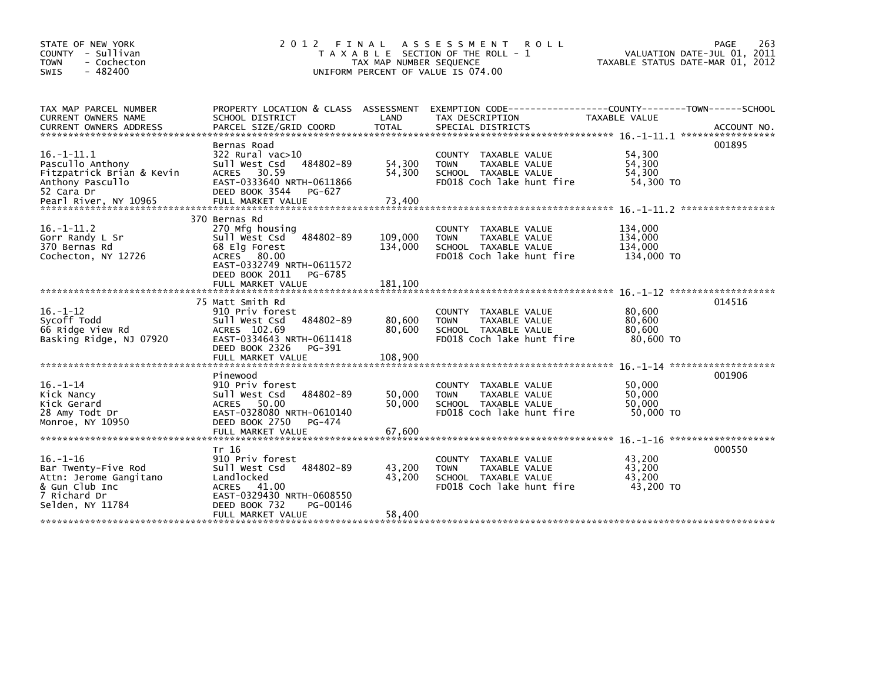| STATE OF NEW YORK<br>COUNTY - Sullivan<br>- Cochecton<br><b>TOWN</b><br>$-482400$<br><b>SWIS</b>                            | 2 0 1 2                                                                                                                                                         | FINAL<br>TAX MAP NUMBER SEQUENCE | A S S E S S M E N T R O L L<br>T A X A B L E SECTION OF THE ROLL - 1<br>UNIFORM PERCENT OF VALUE IS 074.00        | TAXABLE STATUS DATE-MAR 01, 2012            | 263<br>PAGE<br>VALUATION DATE-JUL 01, 2011 |
|-----------------------------------------------------------------------------------------------------------------------------|-----------------------------------------------------------------------------------------------------------------------------------------------------------------|----------------------------------|-------------------------------------------------------------------------------------------------------------------|---------------------------------------------|--------------------------------------------|
| TAX MAP PARCEL NUMBER<br>CURRENT OWNERS NAME                                                                                | SCHOOL DISTRICT                                                                                                                                                 | LAND                             | PROPERTY LOCATION & CLASS ASSESSMENT EXEMPTION CODE---------------COUNTY-------TOWN-----SCHOOL<br>TAX DESCRIPTION | TAXABLE VALUE                               |                                            |
| $16. -1 - 11.1$<br>Pascullo Anthony<br>Fitzpatrick Brian & Kevin<br>Anthony Pascullo<br>52 Cara Dr<br>Pearl River, NY 10965 | Bernas Road<br>$322$ Rural vac $>10$<br>484802-89<br>Sull West Csd<br>ACRES 30.59<br>EAST-0333640 NRTH-0611866<br>DEED BOOK 3544<br>PG-627<br>FULL MARKET VALUE | 54,300<br>54,300<br>73,400       | COUNTY TAXABLE VALUE<br>TAXABLE VALUE<br><b>TOWN</b><br>SCHOOL TAXABLE VALUE<br>FD018 Coch lake hunt fire         | 54,300<br>54,300<br>54.300<br>54,300 TO     | 001895                                     |
| $16. -1 - 11.2$<br>Gorr Randy L Sr<br>370 Bernas Rd<br>Cochecton, NY 12726                                                  | 370 Bernas Rd<br>270 Mfg housing<br>484802-89<br>Sull West Csd<br>68 Elg Forest<br>ACRES 80.00<br>EAST-0332749 NRTH-0611572<br>DEED BOOK 2011 PG-6785           | 109,000<br>134,000               | COUNTY TAXABLE VALUE<br><b>TOWN</b><br>TAXABLE VALUE<br>SCHOOL TAXABLE VALUE<br>FD018 Coch lake hunt fire         | 134,000<br>134,000<br>134,000<br>134,000 TO |                                            |
|                                                                                                                             | 75 Matt Smith Rd                                                                                                                                                |                                  |                                                                                                                   |                                             | 014516                                     |
| $16. - 1 - 12$<br>Svcoff Todd<br>66 Ridge View Rd<br>Basking Ridge, NJ 07920                                                | 910 Priv forest<br>484802-89<br>Sull West Csd<br>ACRES 102.69<br>EAST-0334643 NRTH-0611418<br>DEED BOOK 2326<br>PG-391                                          | 80.600<br>80,600                 | COUNTY TAXABLE VALUE<br><b>TOWN</b><br>TAXABLE VALUE<br>SCHOOL TAXABLE VALUE<br>FD018 Coch lake hunt fire         | 80,600<br>80.600<br>80,600<br>80,600 TO     |                                            |
|                                                                                                                             | FULL MARKET VALUE                                                                                                                                               | 108,900                          |                                                                                                                   |                                             |                                            |
| $16. - 1 - 14$<br>Kick Nancy<br>Kick Gerard<br>28 Amy Todt Dr<br>Monroe, NY 10950                                           | Pinewood<br>910 Priv forest<br>484802-89<br>Sull West Csd<br>ACRES 50.00<br>EAST-0328080 NRTH-0610140<br>DEED BOOK 2750<br>PG-474<br>FULL MARKET VALUE          | 50,000<br>50,000<br>67.600       | COUNTY TAXABLE VALUE<br><b>TOWN</b><br>TAXABLE VALUE<br>SCHOOL TAXABLE VALUE<br>FD018 Coch lake hunt fire         | 50,000<br>50,000<br>50,000<br>50,000 TO     | 001906                                     |
|                                                                                                                             | Tr 16                                                                                                                                                           |                                  |                                                                                                                   |                                             | 000550                                     |
| $16. - 1 - 16$<br>Bar Twenty-Five Rod<br>Attn: Jerome Gangitano<br>& Gun Club Inc<br>7 Richard Dr<br>Selden, NY 11784       | 910 Priv forest<br>484802-89<br>Sull West Csd<br>Landlocked<br>ACRES 41.00<br>EAST-0329430 NRTH-0608550<br>DEED BOOK 732<br>PG-00146                            | 43,200<br>43,200                 | COUNTY TAXABLE VALUE<br><b>TOWN</b><br>TAXABLE VALUE<br>SCHOOL TAXABLE VALUE<br>FD018 Coch lake hunt fire         | 43,200<br>43,200<br>43,200<br>43,200 TO     |                                            |
|                                                                                                                             | FULL MARKET VALUE                                                                                                                                               | 58,400                           |                                                                                                                   |                                             |                                            |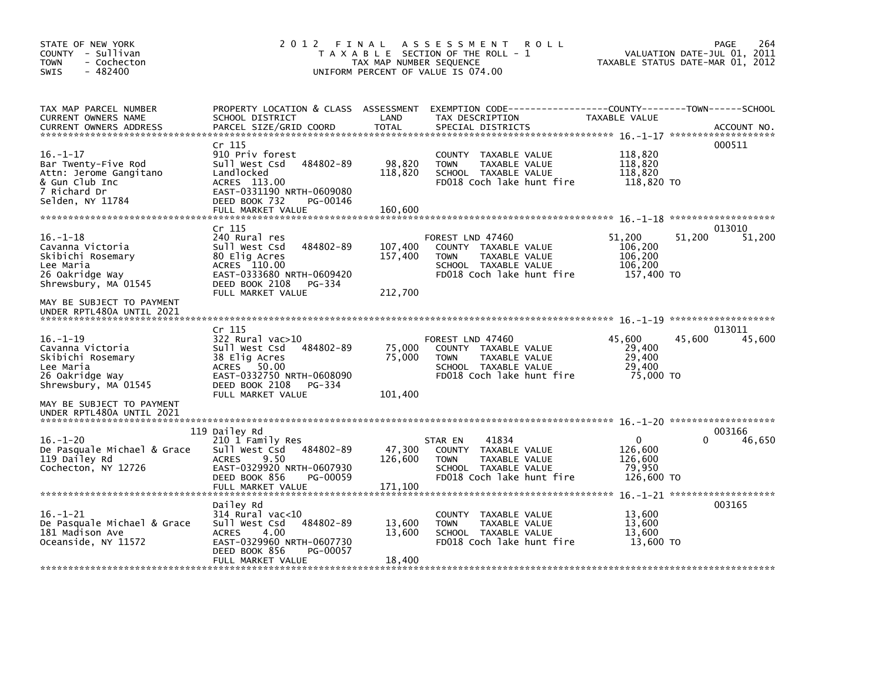| STATE OF NEW YORK<br>COUNTY - Sullivan<br>- Cochecton<br>TOWN<br>$-482400$<br>SWIS                                    | 2012 FINAL ASSESSMENT                                                                                                                                                 | T A X A B L E SECTION OF THE ROLL - 1<br>TAX MAP NUMBER SEQUENCE<br>UNIFORM PERCENT OF VALUE IS 074.00 | VALUATION DATE-JUL 01, 2011<br>TAXABLE STATUS DATE-MAR 01, 2012                                                                          | PAGE<br>264                                                     |                  |
|-----------------------------------------------------------------------------------------------------------------------|-----------------------------------------------------------------------------------------------------------------------------------------------------------------------|--------------------------------------------------------------------------------------------------------|------------------------------------------------------------------------------------------------------------------------------------------|-----------------------------------------------------------------|------------------|
| TAX MAP PARCEL NUMBER<br>CURRENT OWNERS NAME<br><b>CURRENT OWNERS ADDRESS</b>                                         | SCHOOL DISTRICT<br>PARCEL SIZE/GRID COORD                                                                                                                             | LAND<br><b>TOTAL</b>                                                                                   | PROPERTY LOCATION & CLASS ASSESSMENT EXEMPTION CODE----------------COUNTY-------TOWN------SCHOOL<br>TAX DESCRIPTION<br>SPECIAL DISTRICTS | TAXABLE VALUE                                                   | ACCOUNT NO.      |
| $16. - 1 - 17$<br>Bar Twenty-Five Rod<br>Attn: Jerome Gangitano<br>& Gun Club Inc<br>7 Richard Dr<br>Selden, NY 11784 | Cr 115<br>910 Priv forest<br>Sull West Csd 484802-89<br>Landlocked<br>ACRES 113.00<br>EAST-0331190 NRTH-0609080<br>DEED BOOK 732<br>PG-00146<br>FULL MARKET VALUE     | 98,820<br>118,820<br>160.600                                                                           | COUNTY TAXABLE VALUE<br>TAXABLE VALUE<br><b>TOWN</b><br>SCHOOL TAXABLE VALUE<br>FD018 Coch lake hunt fire                                | 118,820<br>118,820<br>118,820<br>118,820 TO                     | 000511           |
|                                                                                                                       | Cr 115                                                                                                                                                                |                                                                                                        |                                                                                                                                          |                                                                 | 013010           |
| $16. - 1 - 18$<br>Cavanna Victoria<br>Skibichi Rosemary<br>Lee Maria<br>26 Oakridge Way<br>Shrewsbury, MA 01545       | 240 Rural res<br>484802-89<br>Sull West Csd<br>80 Elig Acres<br>ACRES 110.00<br>EAST-0333680 NRTH-0609420<br>DEED BOOK 2108<br>PG-334                                 | 107,400<br>157,400                                                                                     | FOREST LND 47460<br>COUNTY TAXABLE VALUE<br><b>TOWN</b><br>TAXABLE VALUE<br>SCHOOL TAXABLE VALUE<br>FD018 Coch lake hunt fire            | 51,200<br>51,200<br>106.200<br>106,200<br>106,200<br>157,400 TO | 51,200           |
| MAY BE SUBJECT TO PAYMENT<br>UNDER RPTL480A UNTIL 2021                                                                | FULL MARKET VALUE                                                                                                                                                     | 212,700                                                                                                |                                                                                                                                          |                                                                 |                  |
|                                                                                                                       |                                                                                                                                                                       |                                                                                                        |                                                                                                                                          |                                                                 |                  |
| $16. - 1 - 19$<br>Cavanna Victoria<br>Skibichi Rosemary<br>Lee Maria<br>26 Oakridge Way<br>Shrewsbury, MA 01545       | $Cr$ 115<br>322 Rural vac>10<br>Sull West Csd 484802-89<br>38 Elig Acres<br>ACRES 50.00<br>EAST-0332750 NRTH-0608090<br>DEED BOOK 2108<br>PG-334<br>FULL MARKET VALUE | 75,000<br>75,000<br>101,400                                                                            | FOREST LND 47460<br>COUNTY TAXABLE VALUE<br><b>TOWN</b><br>TAXABLE VALUE<br>SCHOOL TAXABLE VALUE<br>FD018 Coch lake hunt fire            | 45,600<br>45,600<br>29,400<br>29,400<br>29,400<br>75,000 TO     | 013011<br>45,600 |
| MAY BE SUBJECT TO PAYMENT<br>UNDER RPTL480A UNTIL 2021                                                                |                                                                                                                                                                       |                                                                                                        |                                                                                                                                          |                                                                 |                  |
| $16. - 1 - 20$<br>De Pasquale Michael & Grace<br>119 Dailey Rd<br>Cochecton, NY 12726                                 | 119 Dailey Rd<br>210 1 Family Res<br>Sull West Csd 484802-89<br><b>ACRES</b><br>9.50<br>EAST-0329920 NRTH-0607930<br>DEED BOOK 856<br>PG-00059<br>FULL MARKET VALUE   | 47,300<br>126,600<br>171,100                                                                           | 41834<br>STAR EN<br>COUNTY TAXABLE VALUE<br>TAXABLE VALUE<br><b>TOWN</b><br>SCHOOL TAXABLE VALUE<br>FD018 Coch lake hunt fire            | $\mathbf{0}$<br>0<br>126,600<br>126,600<br>79,950<br>126,600 TO | 003166<br>46,650 |
|                                                                                                                       | Dailey Rd                                                                                                                                                             |                                                                                                        |                                                                                                                                          |                                                                 | 003165           |
| $16. - 1 - 21$<br>De Pasquale Michael & Grace<br>181 Madison Ave<br>Oceanside, NY 11572                               | 314 Rural vac<10<br>Sull West Csd 484802-89<br><b>ACRES</b><br>4.00<br>EAST-0329960 NRTH-0607730<br>DEED BOOK 856<br>PG-00057                                         | 13,600<br>13,600                                                                                       | COUNTY TAXABLE VALUE<br><b>TOWN</b><br>TAXABLE VALUE<br>SCHOOL TAXABLE VALUE<br>FD018 Coch lake hunt fire                                | 13,600<br>13,600<br>13,600<br>13,600 TO                         |                  |
|                                                                                                                       | FULL MARKET VALUE                                                                                                                                                     | 18,400                                                                                                 |                                                                                                                                          |                                                                 |                  |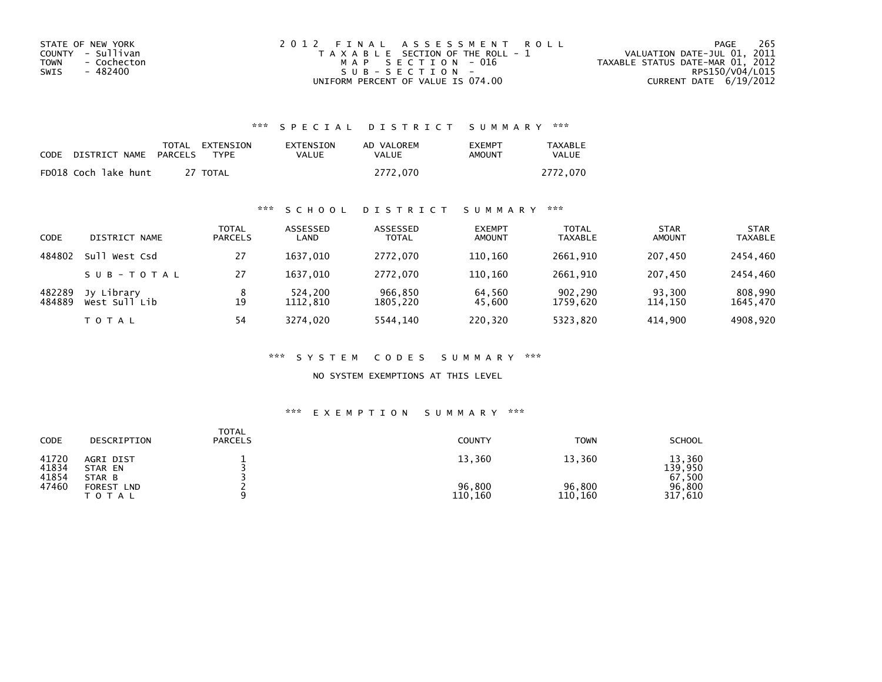| STATE OF NEW YORK   | 2012 FINAL ASSESSMENT ROLL            | 265<br>PAGE                      |
|---------------------|---------------------------------------|----------------------------------|
| COUNTY - Sullivan   | T A X A B L E SECTION OF THE ROLL - 1 | VALUATION DATE-JUL 01, 2011      |
| TOWN<br>- Cochecton | MAP SECTION - 016                     | TAXABLE STATUS DATE-MAR 01, 2012 |
| - 482400<br>SWIS    | SUB-SECTION-                          | RPS150/V04/L015                  |
|                     | UNIFORM PERCENT OF VALUE IS 074.00    | CURRENT DATE 6/19/2012           |

## \*\*\* S P E C I A L D I S T R I C T S U M M A R Y \*\*\*

| CODE | DISTRICT NAME        | <b>PARCELS</b> | TOTAL EXTENSION<br>TYPF | EXTENSION<br>VALUE | AD VALOREM<br>VALUE | <b>FXFMPT</b><br>AMOUNT | <b>TAXABLE</b><br>VALUE |
|------|----------------------|----------------|-------------------------|--------------------|---------------------|-------------------------|-------------------------|
|      | FD018 Coch lake hunt |                | 27 TOTAL                |                    | 2772,070            |                         | 2772.070                |

## \*\*\* S C H O O L D I S T R I C T S U M M A R Y \*\*\*

| CODE             | DISTRICT NAME               | <b>TOTAL</b><br><b>PARCELS</b> | ASSESSED<br>LAND    | ASSESSED<br><b>TOTAL</b> | <b>EXEMPT</b><br><b>AMOUNT</b> | <b>TOTAL</b><br><b>TAXABLE</b> | <b>STAR</b><br><b>AMOUNT</b> | <b>STAR</b><br><b>TAXABLE</b> |
|------------------|-----------------------------|--------------------------------|---------------------|--------------------------|--------------------------------|--------------------------------|------------------------------|-------------------------------|
| 484802           | West Csd<br>Sull            | 27                             | 1637.010            | 2772.070                 | 110.160                        | 2661.910                       | 207.450                      | 2454,460                      |
|                  | SUB-TOTAL                   | 27                             | 1637.010            | 2772.070                 | 110.160                        | 2661.910                       | 207.450                      | 2454,460                      |
| 482289<br>484889 | Jy Library<br>West Sull Lib | 8<br>19                        | 524,200<br>1112.810 | 966,850<br>1805,220      | 64,560<br>45,600               | 902,290<br>1759.620            | 93,300<br>114.150            | 808,990<br>1645,470           |
|                  | T O T A L                   | 54                             | 3274.020            | 5544,140                 | 220,320                        | 5323,820                       | 414,900                      | 4908.920                      |

#### \*\*\* S Y S T E M C O D E S S U M M A R Y \*\*\*

NO SYSTEM EXEMPTIONS AT THIS LEVEL

#### \*\*\* E X E M P T I O N S U M M A R Y \*\*\*

| CODE                    | DESCRIPTION                          | <b>TOTAL</b><br><b>PARCELS</b> | <b>COUNTY</b>     | <b>TOWN</b>       | <b>SCHOOL</b>               |
|-------------------------|--------------------------------------|--------------------------------|-------------------|-------------------|-----------------------------|
| 41720<br>41834<br>41854 | AGRI DIST<br>STAR EN<br>STAR B       |                                | 13,360            | 13,360            | 13,360<br>139.950<br>67,500 |
| 47460                   | FOREST<br><b>LND</b><br><b>TOTAL</b> |                                | 96,800<br>110,160 | 96,800<br>110,160 | 96.800<br>317,610           |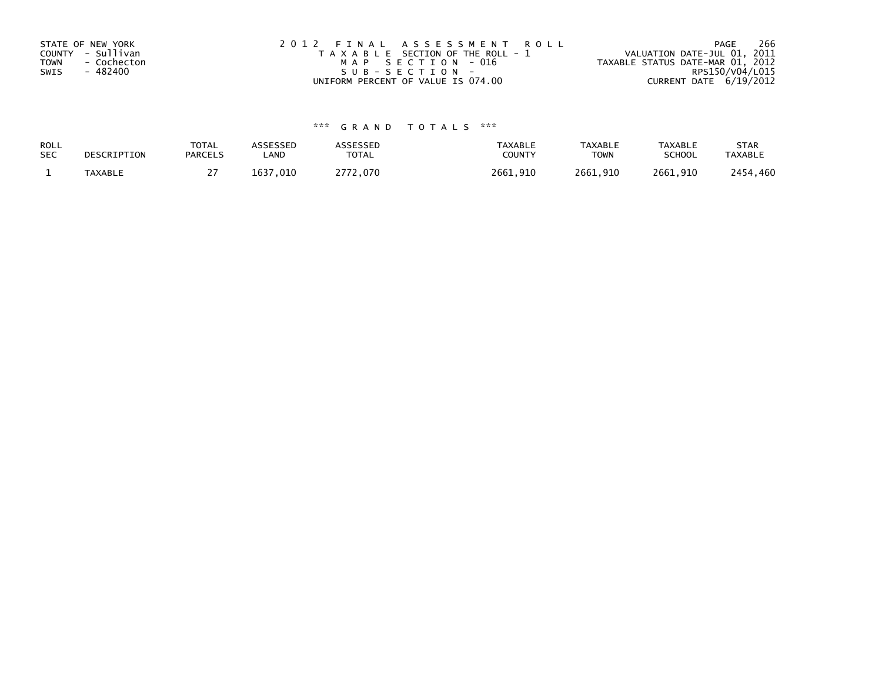| STATE OF NEW YORK   | 2012 FINAL ASSESSMENT ROLL            | 266<br>PAGE                      |
|---------------------|---------------------------------------|----------------------------------|
| COUNTY - Sullivan   | T A X A B L E SECTION OF THE ROLL - 1 | VALUATION DATE-JUL 01, 2011      |
| TOWN<br>- Cochecton | MAP SECTION - 016                     | TAXABLE STATUS DATE-MAR 01, 2012 |
| - 482400<br>SWIS    | SUB-SECTION-                          | RPS150/V04/L015                  |
|                     | UNIFORM PERCENT OF VALUE IS 074.00    | CURRENT DATE $6/19/2012$         |

# \*\*\* G R A N D T O T A L S \*\*\*

| ROLL       | DESCRIPTION    | <b>TOTAL</b>   | ASSESSED     | <b>\SSESSED</b> | <b>TAXABLE</b> | <b>TAXABLE</b> | <b>TAXABLE</b> | <b>STAR</b>    |
|------------|----------------|----------------|--------------|-----------------|----------------|----------------|----------------|----------------|
| <b>SEC</b> |                | <b>PARCELS</b> | LAND         | <b>TOTAL</b>    | COUNTY         | <b>TOWN</b>    | <b>SCHOOL</b>  | <b>TAXABLE</b> |
|            | <b>TAXABLE</b> |                | 1637<br>,010 | רכר<br>.070     | 2661,910       | 2661,910       | 2661,910       | 2454,460       |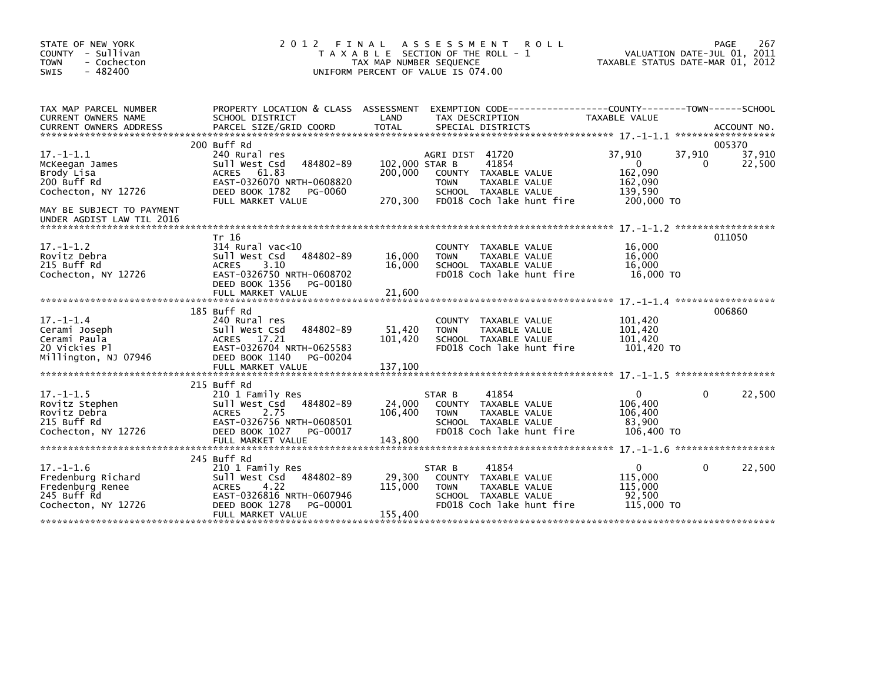| STATE OF NEW YORK<br>COUNTY - Sullivan<br><b>TOWN</b><br>- Cochecton<br>$-482400$<br>SWIS       | 2 0 1 2                                                                                                                                                               | FINAL<br>TAX MAP NUMBER SEQUENCE     | A S S E S S M E N T<br><b>ROLL</b><br>T A X A B L E SECTION OF THE ROLL - 1<br>UNIFORM PERCENT OF VALUE IS 074.00                     | TAXABLE STATUS DATE-MAR 01, 2012                                            | PAGE<br>267<br>VALUATION DATE-JUL 01, 2011 |
|-------------------------------------------------------------------------------------------------|-----------------------------------------------------------------------------------------------------------------------------------------------------------------------|--------------------------------------|---------------------------------------------------------------------------------------------------------------------------------------|-----------------------------------------------------------------------------|--------------------------------------------|
| TAX MAP PARCEL NUMBER<br>CURRENT OWNERS NAME<br><b>CURRENT OWNERS ADDRESS</b>                   | PROPERTY LOCATION & CLASS ASSESSMENT<br>SCHOOL DISTRICT<br>PARCEL SIZE/GRID COORD                                                                                     | LAND<br><b>TOTAL</b>                 | TAX DESCRIPTION<br>SPECIAL DISTRICTS                                                                                                  | TAXABLE VALUE                                                               | ACCOUNT NO.                                |
|                                                                                                 | 200 Buff Rd                                                                                                                                                           |                                      |                                                                                                                                       |                                                                             | 005370                                     |
| $17. - 1 - 1.1$<br>McKeegan James<br>Brody Lisa<br>200 Buff Rd<br>Cochecton, NY 12726           | 240 Rural res<br>484802-89<br>Sull West Csd<br>61.83<br><b>ACRES</b><br>EAST-0326070 NRTH-0608820<br>DEED BOOK 1782<br>PG-0060<br>FULL MARKET VALUE                   | 102,000 STAR B<br>200,000<br>270,300 | AGRI DIST 41720<br>41854<br>COUNTY TAXABLE VALUE<br><b>TOWN</b><br>TAXABLE VALUE<br>SCHOOL TAXABLE VALUE<br>FD018 Coch lake hunt fire | 37,910<br>37,910<br>$\Omega$<br>162,090<br>162,090<br>139,590<br>200,000 TO | 37,910<br>22,500<br>0                      |
| MAY BE SUBJECT TO PAYMENT<br>UNDER AGDIST LAW TIL 2016                                          |                                                                                                                                                                       |                                      |                                                                                                                                       |                                                                             |                                            |
| $17 - 1 - 1.2$<br>Rovitz Debra<br>215 Buff Rd<br>Cochecton, NY 12726                            | Tr 16<br>$314$ Rural vac<10<br>Sull West Csd<br>484802-89<br><b>ACRES</b><br>3.10<br>EAST-0326750 NRTH-0608702<br>DEED BOOK 1356<br>PG-00180<br>FULL MARKET VALUE     | 16,000<br>16,000<br>21,600           | COUNTY<br>TAXABLE VALUE<br>TAXABLE VALUE<br><b>TOWN</b><br>SCHOOL TAXABLE VALUE<br>FD018 Coch lake hunt fire                          | 16,000<br>16,000<br>16,000<br>16,000 TO                                     | 011050                                     |
|                                                                                                 |                                                                                                                                                                       |                                      |                                                                                                                                       |                                                                             |                                            |
| $17. - 1 - 1.4$<br>Cerami Joseph<br>Cerami Paula<br>20 Vickies Pl<br>Millington, NJ 07946       | 185 Buff Rd<br>240 Rural res<br>Sull West Csd<br>484802-89<br>ACRES 17.21<br>EAST-0326704 NRTH-0625583<br>DEED BOOK 1140<br>PG-00204<br>FULL MARKET VALUE             | 51,420<br>101,420<br>137,100         | COUNTY TAXABLE VALUE<br><b>TOWN</b><br>TAXABLE VALUE<br>SCHOOL TAXABLE VALUE<br>FD018 Coch lake hunt fire                             | 101,420<br>101,420<br>101,420<br>101,420 TO                                 | 006860                                     |
|                                                                                                 | 215 Buff Rd                                                                                                                                                           |                                      |                                                                                                                                       |                                                                             |                                            |
| $17. - 1 - 1.5$<br>Rovitz Stephen<br>Rovitz Debra<br>215 Buff Rd<br>Cochecton, NY 12726         | 210 1 Family Res<br>Sull West Csd<br>484802-89<br>2.75<br><b>ACRES</b><br>EAST-0326756 NRTH-0608501<br>DEED BOOK 1027<br>PG-00017                                     | 24,000<br>106,400                    | 41854<br>STAR B<br>COUNTY TAXABLE VALUE<br>TAXABLE VALUE<br><b>TOWN</b><br>SCHOOL TAXABLE VALUE<br>FD018 Coch lake hunt fire          | $\mathbf{0}$<br>106,400<br>106,400<br>83,900<br>106,400 TO                  | 22,500<br>$\Omega$                         |
|                                                                                                 | FULL MARKET VALUE                                                                                                                                                     | 143,800                              |                                                                                                                                       |                                                                             |                                            |
| $17. - 1 - 1.6$<br>Fredenburg Richard<br>Fredenburg Renee<br>245 Buff Rd<br>Cochecton, NY 12726 | 245 Buff Rd<br>210 1 Family Res<br>Sull West Csd<br>484802-89<br>4.22<br><b>ACRES</b><br>EAST-0326816 NRTH-0607946<br>DEED BOOK 1278<br>PG-00001<br>FULL MARKET VALUE | 29,300<br>115,000<br>155,400         | 41854<br>STAR B<br>COUNTY TAXABLE VALUE<br><b>TOWN</b><br>TAXABLE VALUE<br>SCHOOL TAXABLE VALUE<br>FD018 Coch lake hunt fire          | $\Omega$<br>115,000<br>115,000<br>92.500<br>115,000 TO                      | 22,500<br>$\Omega$                         |
|                                                                                                 |                                                                                                                                                                       |                                      |                                                                                                                                       |                                                                             |                                            |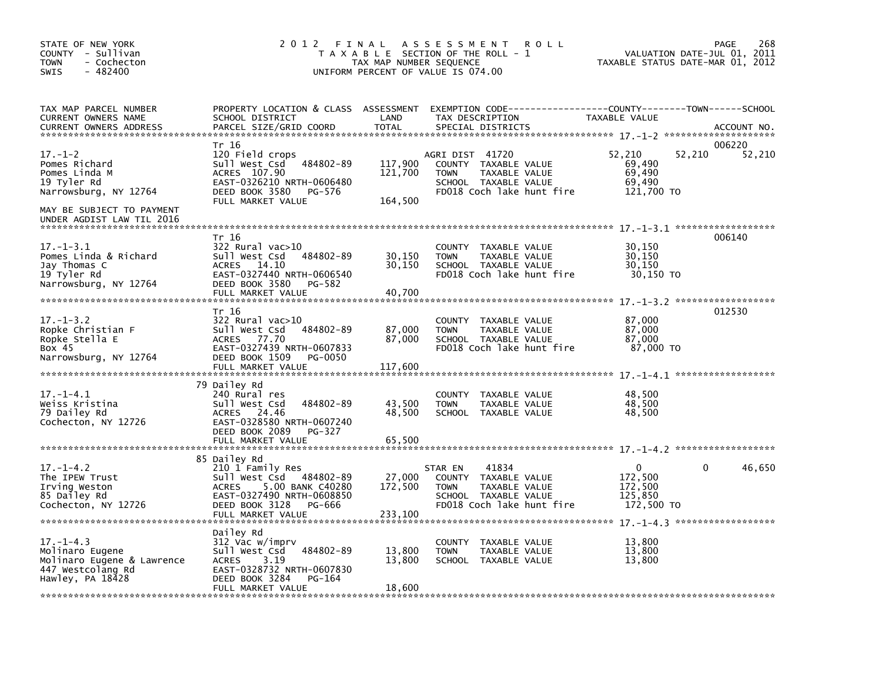| STATE OF NEW YORK<br>COUNTY - Sullivan<br><b>TOWN</b><br>- Cochecton<br>$-482400$<br><b>SWIS</b>          | 2 0 1 2                                                                                                                                                          | FINAL<br>TAX MAP NUMBER SEQUENCE | A S S E S S M E N T<br><b>ROLL</b><br>T A X A B L E SECTION OF THE ROLL - 1<br>UNIFORM PERCENT OF VALUE IS 074.00                | TAXABLE STATUS DATE-MAR 01, 2012                             | 268<br>PAGE<br>VALUATION DATE-JUL 01, 2011 |
|-----------------------------------------------------------------------------------------------------------|------------------------------------------------------------------------------------------------------------------------------------------------------------------|----------------------------------|----------------------------------------------------------------------------------------------------------------------------------|--------------------------------------------------------------|--------------------------------------------|
| TAX MAP PARCEL NUMBER<br>CURRENT OWNERS NAME<br><b>CURRENT OWNERS ADDRESS</b>                             | PROPERTY LOCATION & CLASS ASSESSMENT<br>SCHOOL DISTRICT<br>PARCEL SIZE/GRID COORD                                                                                | LAND<br><b>TOTAL</b>             | EXEMPTION CODE-----------------COUNTY-------TOWN------SCHOOL<br>TAX DESCRIPTION<br>SPECIAL DISTRICTS                             | TAXABLE VALUE                                                | ACCOUNT NO.                                |
| $17. - 1 - 2$<br>Pomes Richard<br>Pomes Linda M<br>19 Tyler Rd<br>Narrowsburg, NY 12764                   | Tr 16<br>120 Field crops<br>484802-89<br>Sull West Csd<br>ACRES 107.90<br>EAST-0326210 NRTH-0606480<br>DEED BOOK 3580<br>PG-576<br>FULL MARKET VALUE             | 117,900<br>121,700<br>164,500    | AGRI DIST 41720<br>COUNTY TAXABLE VALUE<br>TAXABLE VALUE<br><b>TOWN</b><br>SCHOOL TAXABLE VALUE<br>FD018 Coch lake hunt fire     | 52,210<br>52,210<br>69,490<br>69,490<br>69,490<br>121,700 TO | 006220<br>52,210                           |
| MAY BE SUBJECT TO PAYMENT<br>UNDER AGDIST LAW TIL 2016                                                    | Tr 16                                                                                                                                                            |                                  |                                                                                                                                  |                                                              | 006140                                     |
| $17. - 1 - 3.1$<br>Pomes Linda & Richard<br>Jay Thomas C<br>19 Tyler Rd<br>Narrowsburg, NY 12764          | $322$ Rural vac $>10$<br>484802-89<br>Sull West Csd<br>ACRES 14.10<br>EAST-0327440 NRTH-0606540<br>DEED BOOK 3580<br>PG-582                                      | 30,150<br>30,150                 | <b>COUNTY</b><br>TAXABLE VALUE<br><b>TOWN</b><br>TAXABLE VALUE<br>SCHOOL TAXABLE VALUE<br>FD018 Coch lake hunt fire              | 30,150<br>30,150<br>30,150<br>30,150 TO                      |                                            |
|                                                                                                           | FULL MARKET VALUE                                                                                                                                                | 40,700                           |                                                                                                                                  |                                                              |                                            |
| $17. - 1 - 3.2$<br>Ropke Christian F<br>Ropke Stella E<br>Box 45<br>Narrowsburg, NY 12764                 | Tr 16<br>322 Rural vac>10<br>Sull West Csd<br>484802-89<br><b>ACRES</b><br>77.70<br>EAST-0327439 NRTH-0607833<br>DEED BOOK 1509<br>PG-0050<br>FULL MARKET VALUE  | 87,000<br>87,000<br>117,600      | COUNTY<br>TAXABLE VALUE<br><b>TOWN</b><br>TAXABLE VALUE<br>SCHOOL TAXABLE VALUE<br>FD018 Coch lake hunt fire                     | 87,000<br>87,000<br>87,000<br>87,000 TO                      | 012530                                     |
| $17. - 1 - 4.1$<br>Weiss Kristina<br>79 Dailey Rd<br>Cochecton, NY 12726                                  | 79 Dailey Rd<br>240 Rural res<br>Sull West Csd<br>484802-89<br>ACRES 24.46<br>EAST-0328580 NRTH-0607240<br>DEED BOOK 2089<br>PG-327<br>FULL MARKET VALUE         | 43,500<br>48,500<br>65,500       | <b>COUNTY</b><br>TAXABLE VALUE<br><b>TOWN</b><br>TAXABLE VALUE<br>SCHOOL TAXABLE VALUE                                           | 48,500<br>48,500<br>48,500                                   |                                            |
|                                                                                                           | 85 Dailey Rd                                                                                                                                                     |                                  |                                                                                                                                  |                                                              |                                            |
| $17. - 1 - 4.2$<br>The IPEW Trust<br>Irving Weston<br>85 Dailey Rd<br>Cochecton, NY 12726                 | 210 1 Family Res<br>Sull West Csd<br>484802-89<br>5.00 BANK C40280<br>ACRES<br>EAST-0327490 NRTH-0608850<br>DEED BOOK 3128<br>PG-666                             | 27,000<br>172,500                | 41834<br>STAR EN<br>COUNTY<br>TAXABLE VALUE<br>TAXABLE VALUE<br><b>TOWN</b><br>SCHOOL TAXABLE VALUE<br>FD018 Coch lake hunt fire | 0<br>172,500<br>172,500<br>125,850<br>172,500 TO             | 46,650<br>0                                |
|                                                                                                           | FULL MARKET VALUE                                                                                                                                                | 233,100                          |                                                                                                                                  |                                                              |                                            |
| $17. - 1 - 4.3$<br>Molinaro Eugene<br>Molinaro Eugene & Lawrence<br>447 Westcolang Rd<br>Hawley, PA 18428 | Dailey Rd<br>312 Vac w/imprv<br>Sull West Csd<br>484802-89<br><b>ACRES</b><br>3.19<br>EAST-0328732 NRTH-0607830<br>DEED BOOK 3284<br>PG-164<br>FULL MARKET VALUE | 13,800<br>13,800<br>18,600       | <b>COUNTY</b><br>TAXABLE VALUE<br><b>TOWN</b><br>TAXABLE VALUE<br>SCHOOL TAXABLE VALUE                                           | 13,800<br>13,800<br>13,800                                   |                                            |
|                                                                                                           |                                                                                                                                                                  |                                  |                                                                                                                                  |                                                              |                                            |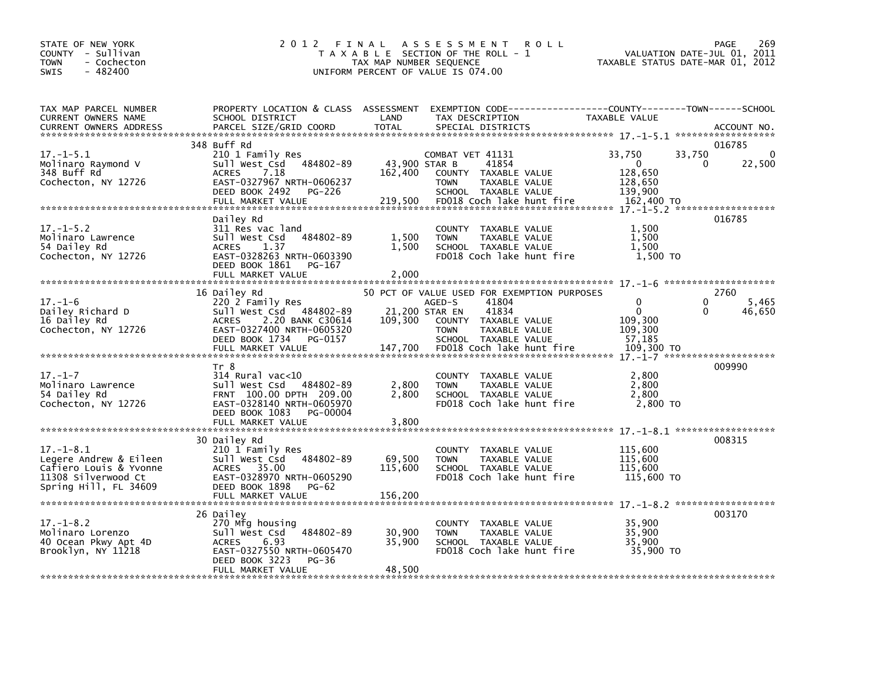| STATE OF NEW YORK<br>COUNTY - Sullivan<br><b>TOWN</b><br>- Cochecton<br>$-482400$<br><b>SWIS</b>                    | 2 0 1 2<br>FINAL                                                                                                                                                               | TAX MAP NUMBER SEQUENCE             | A S S E S S M E N T<br><b>ROLL</b><br>T A X A B L E SECTION OF THE ROLL - 1<br>UNIFORM PERCENT OF VALUE IS 074.00                                                                                      |                                                                       | 269<br><b>PAGE</b><br>2011<br>VALUATION DATE-JUL 01,<br>TAXABLE STATUS DATE-MAR 01, 2012 |
|---------------------------------------------------------------------------------------------------------------------|--------------------------------------------------------------------------------------------------------------------------------------------------------------------------------|-------------------------------------|--------------------------------------------------------------------------------------------------------------------------------------------------------------------------------------------------------|-----------------------------------------------------------------------|------------------------------------------------------------------------------------------|
| TAX MAP PARCEL NUMBER<br>CURRENT OWNERS NAME<br>CURRENT OWNERS ADDRESS                                              | PROPERTY LOCATION & CLASS ASSESSMENT<br>SCHOOL DISTRICT<br>PARCEL SIZE/GRID COORD                                                                                              | LAND<br><b>TOTAL</b>                | EXEMPTION CODE------------------COUNTY--------TOWN------SCHOOL<br>TAX DESCRIPTION<br>SPECIAL DISTRICTS                                                                                                 | TAXABLE VALUE                                                         | ACCOUNT NO.                                                                              |
| $17. - 1 - 5.1$<br>Molinaro Raymond V<br>348 Buff Rd<br>Cochecton, NY 12726                                         | 348 Buff Rd<br>210 1 Family Res<br>Sull West Csd 484802-89<br><b>ACRES</b><br>7.18<br>EAST-0327967 NRTH-0606237<br>DEED BOOK 2492<br>PG-226<br>FULL MARKET VALUE               | 43,900 STAR B<br>162,400<br>219,500 | COMBAT VET 41131<br>41854<br>COUNTY TAXABLE VALUE<br><b>TOWN</b><br>TAXABLE VALUE<br>SCHOOL TAXABLE VALUE<br>FD018 Coch lake hunt fire                                                                 | 33,750<br>$\Omega$<br>128,650<br>128,650<br>139.900<br>162,400 TO     | 016785<br>$\mathbf{0}$<br>33,750<br>22,500<br>0                                          |
| $17. - 1 - 5.2$<br>Molinaro Lawrence<br>54 Dailey Rd<br>Cochecton, NY 12726                                         | Dailey Rd<br>311 Res vac land<br>Sull West Csd<br>484802-89<br>ACRES<br>1.37<br>EAST-0328263 NRTH-0603390<br>DEED BOOK 1861<br>PG-167<br>FULL MARKET VALUE                     | 1,500<br>1,500<br>2.000             | COUNTY TAXABLE VALUE<br><b>TOWN</b><br>TAXABLE VALUE<br>SCHOOL TAXABLE VALUE<br>FD018 Coch lake hunt fire                                                                                              | 1,500<br>1,500<br>1,500<br>1,500 TO                                   | 016785                                                                                   |
| $17. - 1 - 6$<br>Dailey Richard D<br>16 Dailey Rd<br>Cochecton, NY 12726                                            | 16 Dailey Rd<br>220 2 Family Res<br>Sull West Csd 484802-89<br>2.20 BANK C30614<br><b>ACRES</b><br>EAST-0327400 NRTH-0605320<br>DEED BOOK 1734<br>PG-0157<br>FULL MARKET VALUE | 109,300<br>147,700                  | 50 PCT OF VALUE USED FOR EXEMPTION PURPOSES<br>41804<br>AGED-S<br>41834<br>21,200 STAR EN<br>COUNTY TAXABLE VALUE<br><b>TOWN</b><br>TAXABLE VALUE<br>SCHOOL TAXABLE VALUE<br>FD018 Coch lake hunt fire | $\Omega$<br>$\mathbf 0$<br>109.300<br>109,300<br>57.185<br>109,300 TO | 2760<br>0<br>5,465<br>$\Omega$<br>46,650                                                 |
| $17. - 1 - 7$<br>Molinaro Lawrence<br>54 Dailey Rd<br>Cochecton, NY 12726                                           | Tr 8<br>$314$ Rural vac< $10$<br>Sull West Csd 484802-89<br>FRNT 100.00 DPTH 209.00<br>EAST-0328140 NRTH-0605970<br>DEED BOOK 1083 PG-00004<br>FULL MARKET VALUE               | 2,800<br>2,800<br>3,800             | COUNTY TAXABLE VALUE<br>TAXABLE VALUE<br><b>TOWN</b><br>SCHOOL TAXABLE VALUE<br>FD018 Coch lake hunt fire                                                                                              | 2,800<br>2,800<br>2,800<br>2,800 TO                                   | 009990                                                                                   |
| $17. - 1 - 8.1$<br>Legere Andrew & Eileen<br>Cafiero Louis & Yvonne<br>11308 Silverwood Ct<br>Spring Hill, FL 34609 | 30 Dailey Rd<br>210 1 Family Res<br>Sull West Csd<br>484802-89<br>35.00<br><b>ACRES</b><br>EAST-0328970 NRTH-0605290<br>DEED BOOK 1898<br>PG-62                                | 69,500<br>115,600                   | COUNTY TAXABLE VALUE<br>TAXABLE VALUE<br><b>TOWN</b><br>SCHOOL TAXABLE VALUE<br>FD018 Coch lake hunt fire                                                                                              | 115,600<br>115,600<br>115,600<br>115,600 TO                           | 008315                                                                                   |
| $17. - 1 - 8.2$<br>Molinaro Lorenzo<br>40 Ocean Pkwy Apt 4D<br>Brooklyn, NY 11218                                   | 26 Dailey<br>270 Mfg housing<br>Sull West Csd<br>484802-89<br><b>ACRES</b><br>6.93<br>EAST-0327550 NRTH-0605470<br>DEED BOOK 3223<br>PG-36<br>FULL MARKET VALUE                | 30,900<br>35,900<br>48.500          | COUNTY TAXABLE VALUE<br>TAXABLE VALUE<br><b>TOWN</b><br>SCHOOL TAXABLE VALUE<br>FD018 Coch lake hunt fire                                                                                              | 35.900<br>35,900<br>35,900<br>35,900 TO                               | 003170                                                                                   |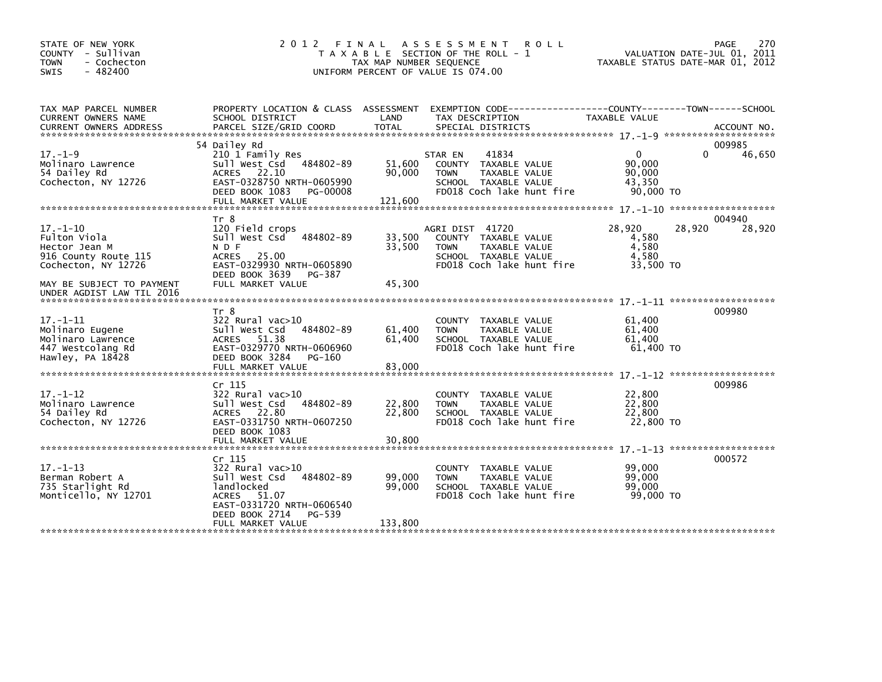| STATE OF NEW YORK<br>COUNTY - Sullivan<br>- Cochecton<br><b>TOWN</b><br>$-482400$<br>SWIS       | 2012 FINAL                                                                                                                                                              | TAX MAP NUMBER SEQUENCE     | ASSESSMENT ROLL<br>T A X A B L E SECTION OF THE ROLL - 1<br>UNIFORM PERCENT OF VALUE IS 074.00                                |                                                                                             | 270<br>PAGE<br>VALUATION DATE-JUL 01, 2011<br>TAXABLE STATUS DATE-MAR 01, 2012 |
|-------------------------------------------------------------------------------------------------|-------------------------------------------------------------------------------------------------------------------------------------------------------------------------|-----------------------------|-------------------------------------------------------------------------------------------------------------------------------|---------------------------------------------------------------------------------------------|--------------------------------------------------------------------------------|
| TAX MAP PARCEL NUMBER<br>CURRENT OWNERS NAME                                                    | PROPERTY LOCATION & CLASS ASSESSMENT<br>SCHOOL DISTRICT                                                                                                                 | LAND                        | TAX DESCRIPTION                                                                                                               | EXEMPTION        CODE-----------------COUNTY-------TOWN------SCHOOL<br><b>TAXABLE VALUE</b> |                                                                                |
|                                                                                                 | 54 Dailey Rd                                                                                                                                                            |                             |                                                                                                                               |                                                                                             | 009985                                                                         |
| $17. - 1 - 9$<br>Molinaro Lawrence<br>54 Dailey Rd<br>Cochecton, NY 12726                       | 210 1 Family Res<br>484802-89<br>Sull West Csd<br>ACRES 22.10<br>EAST-0328750 NRTH-0605990<br>DEED BOOK 1083<br>PG-00008<br>FULL MARKET VALUE                           | 51,600<br>90.000<br>121,600 | 41834<br>STAR EN<br>COUNTY TAXABLE VALUE<br><b>TOWN</b><br>TAXABLE VALUE<br>SCHOOL TAXABLE VALUE<br>FD018 Coch lake hunt fire | $\mathbf{0}$<br>90.000<br>90,000<br>43,350<br>90,000 TO                                     | $\Omega$<br>46,650                                                             |
|                                                                                                 |                                                                                                                                                                         |                             |                                                                                                                               |                                                                                             |                                                                                |
| $17. - 1 - 10$<br>Fulton Viola<br>Hector Jean M<br>916 County Route 115<br>Cochecton, NY 12726  | Tr 8<br>120 Field crops<br>Sull West Csd 484802-89<br>N D F<br>25.00<br><b>ACRES</b><br>EAST-0329930 NRTH-0605890<br>DEED BOOK 3639<br>PG-387                           | 33,500<br>33,500            | AGRI DIST 41720<br>COUNTY TAXABLE VALUE<br>TAXABLE VALUE<br>TOWN<br>SCHOOL TAXABLE VALUE<br>FD018 Coch lake hunt fire         | 28,920<br>4,580<br>4,580<br>4,580<br>33,500 TO                                              | 004940<br>28,920<br>28,920                                                     |
| MAY BE SUBJECT TO PAYMENT<br>UNDER AGDIST LAW TIL 2016                                          | FULL MARKET VALUE                                                                                                                                                       | 45,300                      |                                                                                                                               |                                                                                             |                                                                                |
|                                                                                                 | Tr 8                                                                                                                                                                    |                             |                                                                                                                               |                                                                                             | 009980                                                                         |
| $17. - 1 - 11$<br>Molinaro Eugene<br>Molinaro Lawrence<br>447 Westcolang Rd<br>Hawley, PA 18428 | 322 Rural vac>10<br>sull west Csd<br>484802-89<br>ACRES 51.38<br>EAST-0329770 NRTH-0606960<br>DEED BOOK 3284<br>PG-160                                                  | 61,400<br>61,400            | COUNTY TAXABLE VALUE<br>TAXABLE VALUE<br><b>TOWN</b><br>SCHOOL TAXABLE VALUE<br>FD018 Coch lake hunt fire                     | 61,400<br>61,400<br>61,400<br>61.400 TO                                                     |                                                                                |
|                                                                                                 |                                                                                                                                                                         |                             |                                                                                                                               |                                                                                             |                                                                                |
| $17. - 1 - 12$<br>Molinaro Lawrence<br>54 Dailey Rd<br>Cochecton, NY 12726                      | Cr <sub>115</sub><br>$322$ Rural vac $>10$<br>Sull West Csd 484802-89<br>ACRES 22.80<br>EAST-0331750 NRTH-0607250<br>DEED BOOK 1083                                     | 22,800<br>22,800            | COUNTY TAXABLE VALUE<br><b>TOWN</b><br>TAXABLE VALUE<br>SCHOOL TAXABLE VALUE<br>FD018 Coch lake hunt fire                     | 22,800<br>22,800<br>22,800<br>22,800 TO                                                     | 009986                                                                         |
|                                                                                                 | FULL MARKET VALUE                                                                                                                                                       | 30,800                      |                                                                                                                               |                                                                                             | $17. - 1 - 13$ ********************                                            |
| $17. - 1 - 13$<br>Berman Robert A<br>735 Starlight Rd<br>Monticello, NY 12701                   | Cr 115<br>322 Rural vac>10<br>Sull West Csd 484802-89<br><b>landlocked</b><br>ACRES 51.07<br>EAST-0331720 NRTH-0606540<br>DEED BOOK 2714<br>PG-539<br>FULL MARKET VALUE | 99.000<br>99,000<br>133,800 | COUNTY TAXABLE VALUE<br><b>TOWN</b><br>TAXABLE VALUE<br>SCHOOL TAXABLE VALUE<br>FD018 Coch lake hunt fire                     | 99,000<br>99.000<br>99,000<br>99,000 TO                                                     | 000572                                                                         |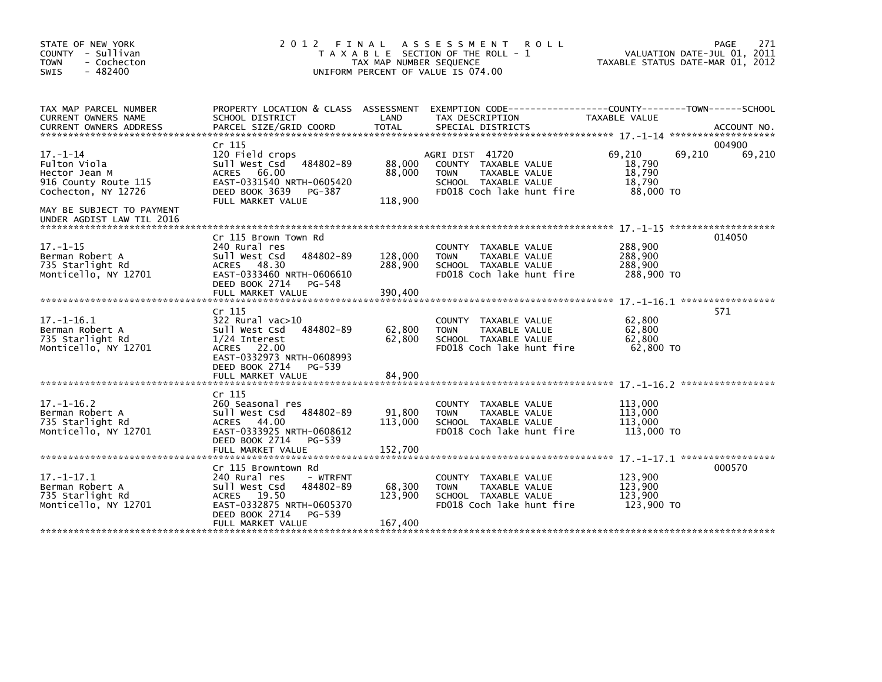| STATE OF NEW YORK<br>COUNTY - Sullivan<br><b>TOWN</b><br>- Cochecton<br>$-482400$<br><b>SWIS</b>                            | 2 0 1 2                                                                                                                                                                     | FINAL<br>TAX MAP NUMBER SEQUENCE | A S S E S S M E N T<br><b>ROLL</b><br>T A X A B L E SECTION OF THE ROLL - 1<br>UNIFORM PERCENT OF VALUE IS 074.00            |                                                   | PAGE<br>271<br>VALUATION DATE-JUL 01, 2011<br>TAXABLE STATUS DATE-MAR 01, 2012 |
|-----------------------------------------------------------------------------------------------------------------------------|-----------------------------------------------------------------------------------------------------------------------------------------------------------------------------|----------------------------------|------------------------------------------------------------------------------------------------------------------------------|---------------------------------------------------|--------------------------------------------------------------------------------|
| TAX MAP PARCEL NUMBER<br>CURRENT OWNERS NAME<br><b>CURRENT OWNERS ADDRESS</b>                                               | PROPERTY LOCATION & CLASS ASSESSMENT<br>SCHOOL DISTRICT<br>PARCEL SIZE/GRID COORD                                                                                           | LAND<br><b>TOTAL</b>             | EXEMPTION CODE-----------------COUNTY-------TOWN------SCHOOL<br>TAX DESCRIPTION<br>SPECIAL DISTRICTS                         | TAXABLE VALUE                                     | ACCOUNT NO.                                                                    |
| $17. - 1 - 14$<br>Fulton Viola<br>Hector Jean M<br>916 County Route 115<br>Cochecton, NY 12726<br>MAY BE SUBJECT TO PAYMENT | Cr 115<br>120 Field crops<br>Sull West Csd<br>484802-89<br><b>ACRES</b><br>66.00<br>EAST-0331540 NRTH-0605420<br>DEED BOOK 3639<br>PG-387<br>FULL MARKET VALUE              | 88,000<br>88,000<br>118,900      | AGRI DIST 41720<br>COUNTY TAXABLE VALUE<br><b>TOWN</b><br>TAXABLE VALUE<br>SCHOOL TAXABLE VALUE<br>FD018 Coch lake hunt fire | 69,210<br>18,790<br>18.790<br>18,790<br>88,000 TO | 004900<br>69,210<br>69,210                                                     |
| UNDER AGDIST LAW TIL 2016<br>$17. - 1 - 15$<br>Berman Robert A<br>735 Starlight Rd<br>Monticello, NY 12701                  | Cr 115 Brown Town Rd<br>240 Rural res<br>Sull West Csd<br>484802-89<br>48.30<br><b>ACRES</b><br>EAST-0333460 NRTH-0606610<br>DEED BOOK 2714<br>PG-548<br>FULL MARKET VALUE  | 128,000<br>288,900<br>390,400    | COUNTY TAXABLE VALUE<br><b>TOWN</b><br>TAXABLE VALUE<br>SCHOOL TAXABLE VALUE<br>FD018 Coch lake hunt fire                    | 288,900<br>288,900<br>288,900<br>288,900 TO       | 014050                                                                         |
| $17. - 1 - 16.1$<br>Berman Robert A<br>735 Starlight Rd<br>Monticello, NY 12701                                             | Cr 115<br>322 Rural vac>10<br>Sull West Csd<br>484802-89<br>1/24 Interest<br>ACRES 22.00<br>EAST-0332973 NRTH-0608993<br>DEED BOOK 2714<br>PG-539<br>FULL MARKET VALUE      | 62,800<br>62,800<br>84,900       | COUNTY TAXABLE VALUE<br>TAXABLE VALUE<br><b>TOWN</b><br>SCHOOL TAXABLE VALUE<br>FD018 Coch lake hunt fire                    | 62,800<br>62,800<br>62,800<br>62,800 TO           | 571<br>****************                                                        |
| $17. - 1 - 16.2$<br>Berman Robert A<br>735 Starlight Rd<br>Monticello, NY 12701                                             | Cr 115<br>260 Seasonal res<br>Sull West Csd<br>484802-89<br>ACRES 44.00<br>EAST-0333925 NRTH-0608612<br>DEED BOOK 2714<br>PG-539<br>FULL MARKET VALUE                       | 91,800<br>113,000<br>152.700     | <b>COUNTY</b><br>TAXABLE VALUE<br><b>TOWN</b><br>TAXABLE VALUE<br>SCHOOL TAXABLE VALUE<br>FD018 Coch lake hunt fire          | 113,000<br>113,000<br>113,000<br>113,000 TO       |                                                                                |
| $17. - 1 - 17.1$<br>Berman Robert A<br>735 Starlight Rd<br>Monticello, NY 12701                                             | Cr 115 Browntown Rd<br>240 Rural res<br>- WTRFNT<br>Sull West Csd<br>484802-89<br>ACRES 19.50<br>EAST-0332875 NRTH-0605370<br>DEED BOOK 2714<br>PG-539<br>FULL MARKET VALUE | 68,300<br>123,900<br>167,400     | <b>COUNTY</b><br>TAXABLE VALUE<br><b>TOWN</b><br>TAXABLE VALUE<br>SCHOOL TAXABLE VALUE<br>FD018 Coch lake hunt fire          | 123,900<br>123,900<br>123,900<br>123,900 TO       | 000570                                                                         |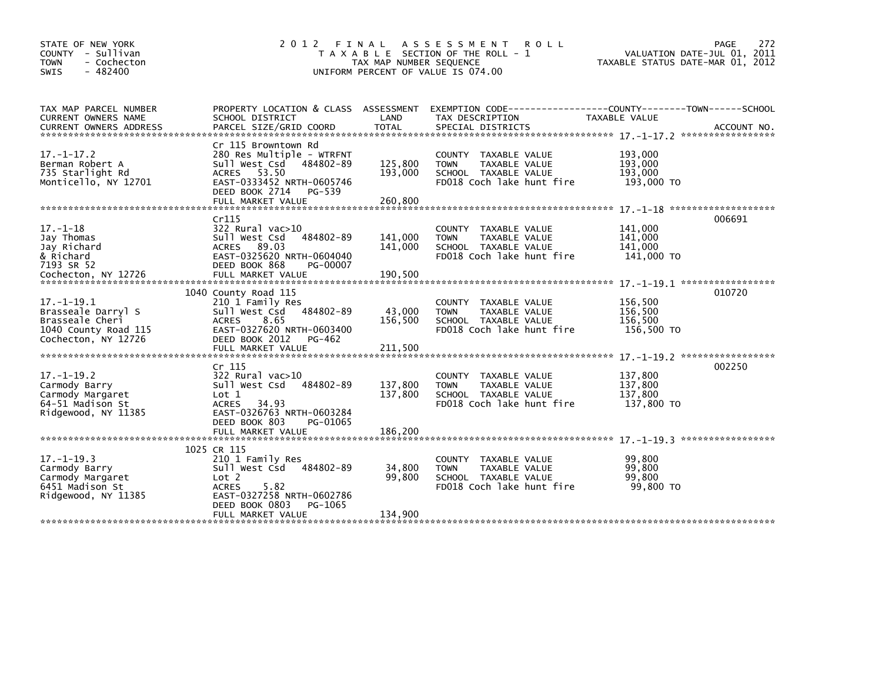| STATE OF NEW YORK                               | 2 0 1 2                                          | FINAL                   | ASSESSMENT ROLL                                      | 272<br><b>PAGE</b>                                              |
|-------------------------------------------------|--------------------------------------------------|-------------------------|------------------------------------------------------|-----------------------------------------------------------------|
| COUNTY - Sullivan<br>- Cochecton<br><b>TOWN</b> |                                                  | TAX MAP NUMBER SEQUENCE | T A X A B L E SECTION OF THE ROLL - 1                | VALUATION DATE-JUL 01, 2011<br>TAXABLE STATUS DATE-MAR 01, 2012 |
| - 482400<br><b>SWIS</b>                         |                                                  |                         | UNIFORM PERCENT OF VALUE IS 074.00                   |                                                                 |
|                                                 |                                                  |                         |                                                      |                                                                 |
|                                                 |                                                  |                         |                                                      |                                                                 |
| TAX MAP PARCEL NUMBER                           | PROPERTY LOCATION & CLASS ASSESSMENT             |                         |                                                      | EXEMPTION CODE-----------------COUNTY-------TOWN------SCHOOL    |
| CURRENT OWNERS NAME                             | SCHOOL DISTRICT                                  | LAND                    | TAX DESCRIPTION                                      | <b>TAXABLE VALUE</b>                                            |
|                                                 |                                                  |                         |                                                      |                                                                 |
|                                                 |                                                  |                         |                                                      |                                                                 |
| $17. - 1 - 17.2$                                | Cr 115 Browntown Rd<br>280 Res Multiple - WTRFNT |                         | COUNTY TAXABLE VALUE                                 | 193,000                                                         |
| Berman Robert A                                 | Sull West Csd 484802-89                          | 125,800                 | TAXABLE VALUE<br><b>TOWN</b>                         | 193,000                                                         |
| 735 Starlight Rd                                | ACRES 53.50                                      | 193,000                 | SCHOOL TAXABLE VALUE                                 | 193,000                                                         |
| Monticello, NY 12701                            | EAST-0333452 NRTH-0605746                        |                         | FD018 Coch lake hunt fire                            | 193,000 TO                                                      |
|                                                 | DEED BOOK 2714<br>PG-539                         |                         |                                                      |                                                                 |
|                                                 | FULL MARKET VALUE                                | 260,800                 |                                                      |                                                                 |
|                                                 |                                                  |                         |                                                      |                                                                 |
| $17. - 1 - 18$                                  | Cr115<br>322 Rural vac>10                        |                         |                                                      | 006691<br>141,000                                               |
| Jay Thomas                                      | 484802-89<br>Sull West Csd                       | 141,000                 | COUNTY TAXABLE VALUE<br>TAXABLE VALUE<br><b>TOWN</b> | 141,000                                                         |
| Jay Richard                                     | ACRES 89.03                                      | 141,000                 | SCHOOL TAXABLE VALUE                                 | 141,000                                                         |
| & Richard                                       | EAST-0325620 NRTH-0604040                        |                         | FD018 Coch lake hunt fire                            | 141,000 TO                                                      |
| 7193 SR 52                                      | DEED BOOK 868<br>PG-00007                        |                         |                                                      |                                                                 |
|                                                 |                                                  |                         |                                                      |                                                                 |
|                                                 |                                                  |                         |                                                      |                                                                 |
|                                                 | 1040 County Road 115                             |                         |                                                      | 010720                                                          |
| $17. - 1 - 19.1$                                | 210 1 Family Res<br>484802-89<br>Sull West Csd   | 43,000                  | COUNTY TAXABLE VALUE<br><b>TOWN</b><br>TAXABLE VALUE | 156,500<br>156,500                                              |
| Brasseale Darryl S<br>Brasseale Cheri           | <b>ACRES</b><br>8.65                             | 156,500                 | SCHOOL TAXABLE VALUE                                 | 156,500                                                         |
| 1040 County Road 115                            | EAST-0327620 NRTH-0603400                        |                         | FD018 Coch lake hunt fire                            | 156,500 TO                                                      |
| Cochecton, NY 12726                             | DEED BOOK 2012<br>PG-462                         |                         |                                                      |                                                                 |
|                                                 | FULL MARKET VALUE                                | 211,500                 |                                                      |                                                                 |
|                                                 |                                                  |                         |                                                      |                                                                 |
|                                                 | Cr <sub>115</sub>                                |                         |                                                      | 002250                                                          |
| $17. - 1 - 19.2$                                | 322 Rural vac>10<br>484802-89                    |                         | COUNTY TAXABLE VALUE                                 | 137,800                                                         |
| Carmody Barry<br>Carmody Margaret               | Sull West Csd<br>Lot 1                           | 137,800<br>137,800      | TAXABLE VALUE<br><b>TOWN</b><br>SCHOOL TAXABLE VALUE | 137,800<br>137,800                                              |
| 64-51 Madison St                                | <b>ACRES</b><br>- 34.93                          |                         | FD018 Coch lake hunt fire                            | 137,800 TO                                                      |
| Ridgewood, NY 11385                             | EAST-0326763 NRTH-0603284                        |                         |                                                      |                                                                 |
|                                                 | DEED BOOK 803<br>PG-01065                        |                         |                                                      |                                                                 |
|                                                 | FULL MARKET VALUE                                | 186,200                 |                                                      |                                                                 |
|                                                 |                                                  |                         |                                                      |                                                                 |
|                                                 | 1025 CR 115                                      |                         |                                                      |                                                                 |
| $17. - 1 - 19.3$<br>Carmody Barry               | 210 1 Family Res<br>Sull West Csd 484802-89      | 34,800                  | COUNTY TAXABLE VALUE<br><b>TOWN</b><br>TAXABLE VALUE | 99,800<br>99,800                                                |
| Carmody Margaret                                | Lot 2                                            | 99,800                  | SCHOOL TAXABLE VALUE                                 | 99,800                                                          |
| 6451 Madison St                                 | <b>ACRES</b><br>5.82                             |                         | FD018 Coch lake hunt fire                            | 99,800 TO                                                       |
| Ridgewood, NY 11385                             | EAST-0327258 NRTH-0602786                        |                         |                                                      |                                                                 |
|                                                 | DEED BOOK 0803<br>PG-1065                        |                         |                                                      |                                                                 |
|                                                 | FULL MARKET VALUE                                | 134,900                 |                                                      |                                                                 |
|                                                 |                                                  |                         |                                                      |                                                                 |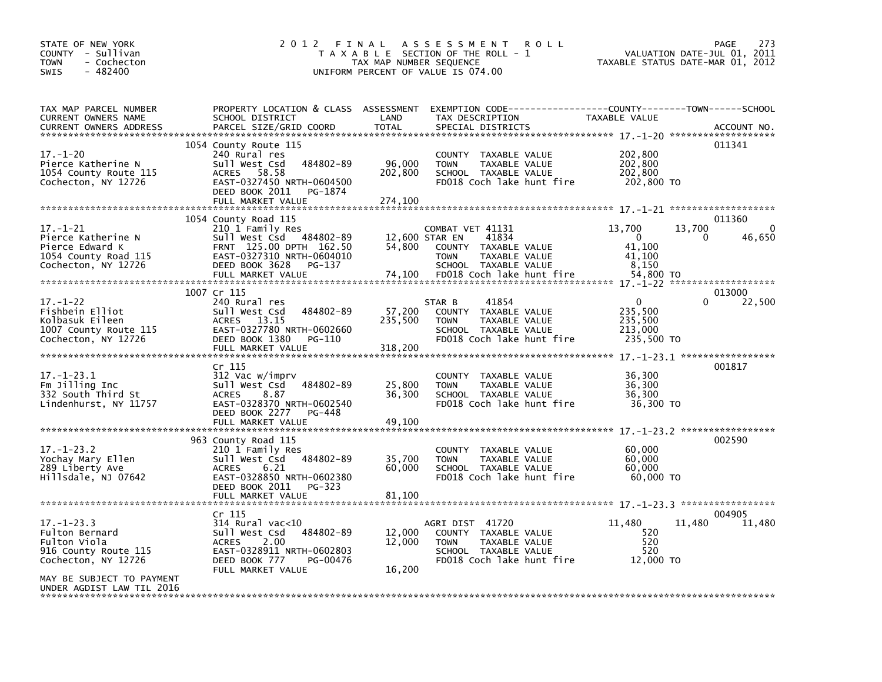| STATE OF NEW YORK<br>COUNTY - Sullivan<br><b>TOWN</b><br>- Cochecton<br>$-482400$<br><b>SWIS</b> | 2 0 1 2                                                 | FINAL<br>TAX MAP NUMBER SEQUENCE | A S S E S S M E N T<br><b>ROLL</b><br>T A X A B L E SECTION OF THE ROLL - 1<br>UNIFORM PERCENT OF VALUE IS 074.00 |                    | <b>PAGE</b><br>273<br>2011<br>VALUATION DATE-JUL 01,<br>TAXABLE STATUS DATE-MAR 01, 2012 |
|--------------------------------------------------------------------------------------------------|---------------------------------------------------------|----------------------------------|-------------------------------------------------------------------------------------------------------------------|--------------------|------------------------------------------------------------------------------------------|
| TAX MAP PARCEL NUMBER<br>CURRENT OWNERS NAME                                                     | PROPERTY LOCATION & CLASS ASSESSMENT<br>SCHOOL DISTRICT | LAND                             | EXEMPTION        CODE------------------COUNTY-------TOWN------SCHOOL<br>TAX DESCRIPTION                           | TAXABLE VALUE      |                                                                                          |
| <b>CURRENT OWNERS ADDRESS</b>                                                                    | PARCEL SIZE/GRID COORD                                  | <b>TOTAL</b>                     | SPECIAL DISTRICTS                                                                                                 |                    | ACCOUNT NO.                                                                              |
|                                                                                                  | 1054 County Route 115                                   |                                  |                                                                                                                   |                    | 011341                                                                                   |
| $17. - 1 - 20$<br>Pierce Katherine N                                                             | 240 Rural res<br>484802-89<br>Sull West Csd             | 96,000                           | COUNTY TAXABLE VALUE<br><b>TOWN</b><br>TAXABLE VALUE                                                              | 202,800<br>202,800 |                                                                                          |
| 1054 County Route 115                                                                            | ACRES 58.58                                             | 202,800                          | SCHOOL TAXABLE VALUE                                                                                              | 202,800            |                                                                                          |
| Cochecton, NY 12726                                                                              | EAST-0327450 NRTH-0604500<br>DEED BOOK 2011<br>PG-1874  |                                  | FD018 Coch lake hunt fire                                                                                         | 202,800 TO         |                                                                                          |
|                                                                                                  | FULL MARKET VALUE                                       | 274,100                          |                                                                                                                   |                    |                                                                                          |
|                                                                                                  | 1054 County Road 115                                    |                                  |                                                                                                                   |                    | 011360                                                                                   |
| $17. - 1 - 21$                                                                                   | 210 1 Family Res                                        |                                  | COMBAT VET 41131                                                                                                  | 13,700             | 13,700<br>0                                                                              |
| Pierce Katherine N<br>Pierce Edward K                                                            | sull west Csd<br>484802-89<br>FRNT 125.00 DPTH 162.50   | 12,600 STAR EN<br>54,800         | 41834<br>COUNTY TAXABLE VALUE                                                                                     | $\Omega$<br>41.100 | 46,650                                                                                   |
| 1054 County Road 115                                                                             | EAST-0327310 NRTH-0604010                               |                                  | TAXABLE VALUE<br><b>TOWN</b>                                                                                      | 41.100             |                                                                                          |
| Cochecton, NY 12726                                                                              | DEED BOOK 3628<br>PG-137                                |                                  | SCHOOL TAXABLE VALUE                                                                                              | 8.150              |                                                                                          |
|                                                                                                  |                                                         |                                  |                                                                                                                   |                    |                                                                                          |
| $17. - 1 - 22$                                                                                   | 1007 Cr 115<br>240 Rural res                            |                                  | 41854<br>STAR B                                                                                                   | 0                  | 013000<br>$\Omega$<br>22,500                                                             |
| Fishbein Elliot                                                                                  | 484802-89<br>Sull West Csd                              | 57,200                           | COUNTY TAXABLE VALUE                                                                                              | 235,500            |                                                                                          |
| Kolbasuk Eileen<br>1007 County Route 115                                                         | ACRES 13.15<br>EAST-0327780 NRTH-0602660                | 235,500                          | <b>TOWN</b><br>TAXABLE VALUE<br>SCHOOL TAXABLE VALUE                                                              | 235,500<br>213,000 |                                                                                          |
| Cochecton, NY 12726                                                                              | DEED BOOK 1380<br>PG-110                                |                                  | FD018 Coch lake hunt fire                                                                                         | 235,500 TO         |                                                                                          |
| *****************************                                                                    | FULL MARKET VALUE                                       | 318,200                          |                                                                                                                   |                    |                                                                                          |
|                                                                                                  | Cr 115                                                  |                                  |                                                                                                                   |                    | 001817                                                                                   |
| $17. - 1 - 23.1$<br>Fm Jilling Inc                                                               | 312 Vac w/imprv<br>Sull West Csd<br>484802-89           | 25,800                           | COUNTY TAXABLE VALUE<br><b>TOWN</b><br>TAXABLE VALUE                                                              | 36,300<br>36,300   |                                                                                          |
| 332 South Third St                                                                               | 8.87<br><b>ACRES</b>                                    | 36,300                           | SCHOOL TAXABLE VALUE                                                                                              | 36,300             |                                                                                          |
| Lindenhurst, NY 11757                                                                            | EAST-0328370 NRTH-0602540<br>PG-448                     |                                  | FD018 Coch lake hunt fire                                                                                         | 36,300 TO          |                                                                                          |
|                                                                                                  | DEED BOOK 2277<br>FULL MARKET VALUE                     | 49,100                           |                                                                                                                   |                    |                                                                                          |
|                                                                                                  | 963 County Road 115                                     |                                  |                                                                                                                   |                    | 002590                                                                                   |
| $17. - 1 - 23.2$                                                                                 | 210 1 Family Res                                        |                                  | COUNTY TAXABLE VALUE                                                                                              | 60,000             |                                                                                          |
| Yochay Mary Ellen                                                                                | 484802-89<br>Sull West Csd<br><b>ACRES</b>              | 35,700<br>60,000                 | <b>TOWN</b><br>TAXABLE VALUE<br>SCHOOL TAXABLE VALUE                                                              | 60,000<br>60.000   |                                                                                          |
| 289 Liberty Ave<br>Hillsdale, NJ 07642                                                           | 6.21<br>EAST-0328850 NRTH-0602380                       |                                  | FD018 Coch lake hunt fire                                                                                         | 60,000 TO          |                                                                                          |
|                                                                                                  | DEED BOOK 2011<br>PG-323<br>FULL MARKET VALUE           | 81,100                           |                                                                                                                   |                    |                                                                                          |
|                                                                                                  |                                                         |                                  |                                                                                                                   |                    |                                                                                          |
| $17. - 1 - 23.3$                                                                                 | Cr 115<br>314 Rural vac<10                              |                                  | AGRI DIST 41720                                                                                                   | 11,480             | 004905<br>11,480<br>11,480                                                               |
| Fulton Bernard                                                                                   | 484802-89<br>Sull West Csd                              | 12,000                           | COUNTY TAXABLE VALUE                                                                                              | 520                |                                                                                          |
| Fulton Viola                                                                                     | 2.00<br><b>ACRES</b>                                    | 12,000                           | TAXABLE VALUE<br><b>TOWN</b>                                                                                      | 520<br>520         |                                                                                          |
| 916 County Route 115<br>Cochecton, NY 12726                                                      | EAST-0328911 NRTH-0602803<br>DEED BOOK 777<br>PG-00476  |                                  | SCHOOL TAXABLE VALUE<br>FD018 Coch lake hunt fire                                                                 | 12,000 TO          |                                                                                          |
|                                                                                                  | FULL MARKET VALUE                                       | 16,200                           |                                                                                                                   |                    |                                                                                          |
| MAY BE SUBJECT TO PAYMENT<br>UNDER AGDIST LAW TIL 2016                                           |                                                         |                                  |                                                                                                                   |                    |                                                                                          |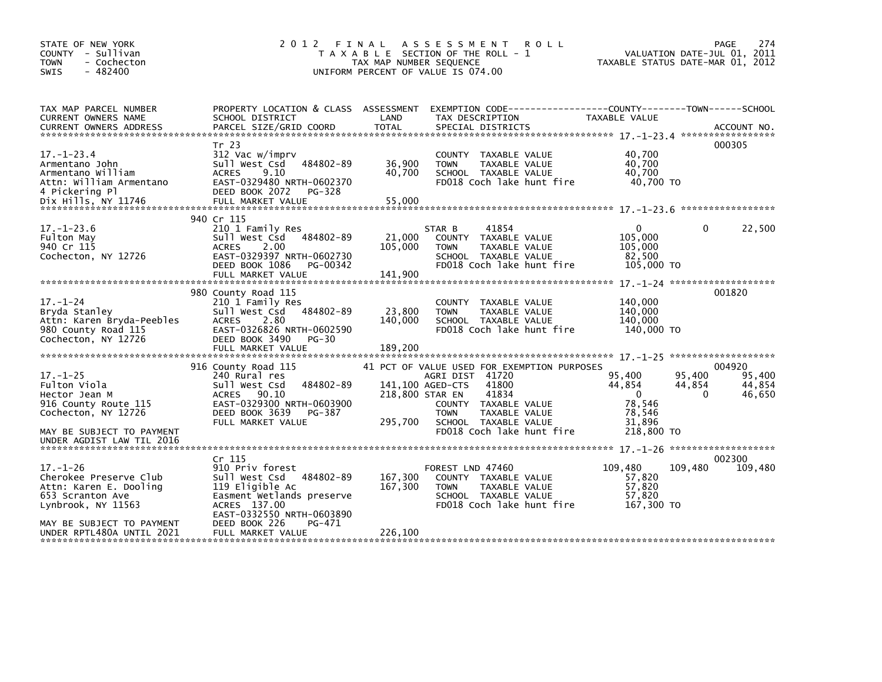| STATE OF NEW YORK<br>COUNTY - Sullivan<br>- Cochecton<br><b>TOWN</b><br>$-482400$<br>SWIS                                                                              | 2 0 1 2                                                                                                                                                                                                         | FINAL<br>TAX MAP NUMBER SEQUENCE               | A S S E S S M E N T<br><b>ROLL</b><br>T A X A B L E SECTION OF THE ROLL - 1<br>UNIFORM PERCENT OF VALUE IS 074.00                                                                                    |                                                                              | 274<br><b>PAGE</b><br>VALUATION DATE-JUL 01, 2011<br>TAXABLE STATUS DATE-MAR 01, 2012 |
|------------------------------------------------------------------------------------------------------------------------------------------------------------------------|-----------------------------------------------------------------------------------------------------------------------------------------------------------------------------------------------------------------|------------------------------------------------|------------------------------------------------------------------------------------------------------------------------------------------------------------------------------------------------------|------------------------------------------------------------------------------|---------------------------------------------------------------------------------------|
| TAX MAP PARCEL NUMBER<br>CURRENT OWNERS NAME<br><b>CURRENT OWNERS ADDRESS</b>                                                                                          | PROPERTY LOCATION & CLASS ASSESSMENT<br>SCHOOL DISTRICT<br>PARCEL SIZE/GRID COORD                                                                                                                               | LAND<br><b>TOTAL</b>                           | EXEMPTION CODE-----------------COUNTY-------TOWN------SCHOOL<br>TAX DESCRIPTION<br>SPECIAL DISTRICTS                                                                                                 | TAXABLE VALUE                                                                | ACCOUNT NO.                                                                           |
| $17. - 1 - 23.4$<br>Armentano John<br>Armentano William<br>Attn: William Armentano<br>4 Pickering Pl                                                                   | Tr 23<br>312 Vac w/imprv<br>484802-89<br>Sull West Csd<br><b>ACRES</b><br>9.10<br>EAST-0329480 NRTH-0602370<br>DEED BOOK 2072<br>PG-328                                                                         | 36,900<br>40,700                               | COUNTY TAXABLE VALUE<br>TAXABLE VALUE<br><b>TOWN</b><br>SCHOOL TAXABLE VALUE<br>FD018 Coch lake hunt fire                                                                                            | 40,700<br>40,700<br>40,700<br>40.700 TO                                      | 000305                                                                                |
| $17. - 1 - 23.6$<br>Fulton May<br>940 Cr 115<br>Cochecton, NY 12726                                                                                                    | 940 Cr 115<br>210 1 Family Res<br>Sull West Csd 484802-89<br><b>ACRES</b><br>2.00<br>EAST-0329397 NRTH-0602730<br>DEED BOOK 1086<br>PG-00342<br>FULL MARKET VALUE                                               | 21,000<br>105,000<br>141,900                   | STAR B<br>41854<br>COUNTY TAXABLE VALUE<br><b>TOWN</b><br>TAXABLE VALUE<br>SCHOOL TAXABLE VALUE<br>FD018 Coch lake hunt fire                                                                         | $\Omega$<br>105,000<br>105,000<br>82,500<br>105,000 TO                       | 22,500<br>0                                                                           |
| $17. - 1 - 24$<br>Bryda Stanley<br>Attn: Karen Bryda-Peebles<br>980 County Road 115<br>Cochecton, NY 12726                                                             | 980 County Road 115<br>210 1 Family Res<br>484802-89<br>Sull West Csd<br><b>ACRES</b><br>2.80<br>EAST-0326826 NRTH-0602590<br>DEED BOOK 3490<br>PG-30                                                           | 23,800<br>140,000                              | COUNTY TAXABLE VALUE<br>TAXABLE VALUE<br><b>TOWN</b><br>SCHOOL TAXABLE VALUE<br>FD018 Coch lake hunt fire                                                                                            | 140,000<br>140,000<br>140,000<br>140,000 TO                                  | 001820                                                                                |
| $17. - 1 - 25$<br>Fulton Viola<br>Hector Jean M<br>916 County Route 115<br>Cochecton, NY 12726<br>MAY BE SUBJECT TO PAYMENT<br>UNDER AGDIST LAW TIL 2016               | 916 County Road 115<br>240 Rural res<br>484802-89<br>Sull West Csd<br>90.10<br><b>ACRES</b><br>EAST-0329300 NRTH-0603900<br>DEED BOOK 3639<br>PG-387<br>FULL MARKET VALUE                                       | 141,100 AGED-CTS<br>218,800 STAR EN<br>295,700 | 41 PCT OF VALUE USED FOR EXEMPTION PURPOSES<br>AGRI DIST 41720<br>41800<br>41834<br>COUNTY TAXABLE VALUE<br><b>TAXABLE VALUE</b><br><b>TOWN</b><br>SCHOOL TAXABLE VALUE<br>FD018 Coch lake hunt fire | 95,400<br>44,854<br>$\mathbf{0}$<br>78,546<br>78,546<br>31,896<br>218,800 TO | 004920<br>95,400<br>95,400<br>44,854<br>44,854<br>$\Omega$<br>46,650                  |
| $17. - 1 - 26$<br>Cherokee Preserve Club<br>Attn: Karen E. Dooling<br>653 Scranton Ave<br>Lynbrook, NY 11563<br>MAY BE SUBJECT TO PAYMENT<br>UNDER RPTL480A UNTIL 2021 | Cr <sub>115</sub><br>910 Priv forest<br>484802-89<br>sull west Csd<br>119 Eligible Ac<br>Easment Wetlands preserve<br>ACRES 137.00<br>EAST-0332550 NRTH-0603890<br>DEED BOOK 226<br>PG-471<br>FULL MARKET VALUE | 167,300<br>167,300<br>226,100                  | FOREST LND 47460<br>COUNTY TAXABLE VALUE<br>TAXABLE VALUE<br><b>TOWN</b><br>SCHOOL TAXABLE VALUE<br>FD018 Coch lake hunt fire                                                                        | 109,480<br>57,820<br>57,820<br>57,820<br>167,300 TO                          | 002300<br>109,480<br>109,480                                                          |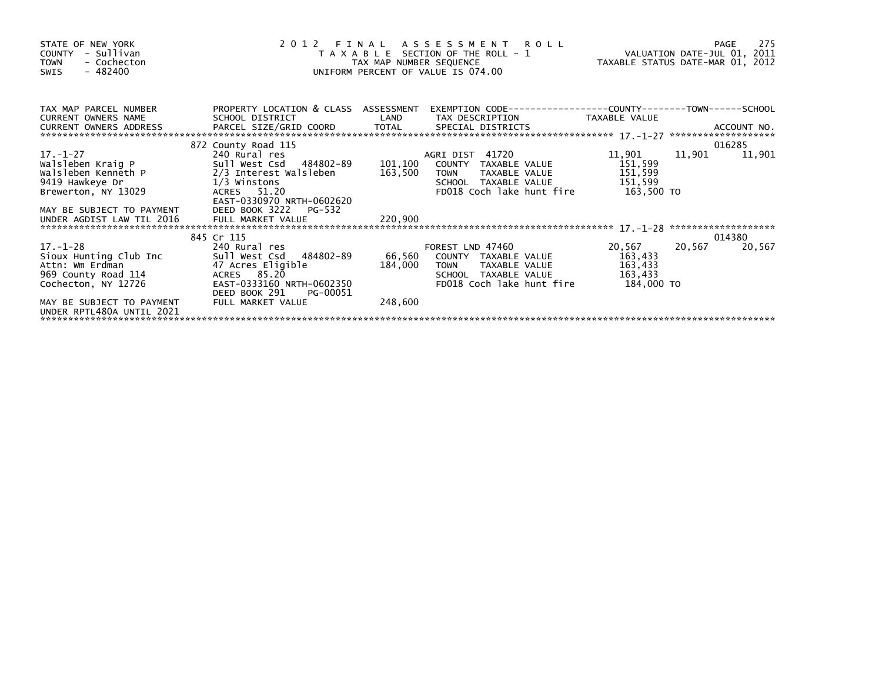| STATE OF NEW YORK<br>COUNTY - Sullivan<br>- Cochecton<br><b>TOWN</b><br>- 482400<br>SWIS                                          |                                                                                                                                                                           | TAX MAP NUMBER SEQUENCE | 2012 FINAL ASSESSMENT ROLL<br>T A X A B L E SECTION OF THE ROLL - 1<br>UNIFORM PERCENT OF VALUE IS 074.00                                    |                                            | 275<br>PAGE<br>VALUATION DATE-JUL 01, 2011<br>TAXABLE STATUS DATE-MAR 01, 2012 |  |
|-----------------------------------------------------------------------------------------------------------------------------------|---------------------------------------------------------------------------------------------------------------------------------------------------------------------------|-------------------------|----------------------------------------------------------------------------------------------------------------------------------------------|--------------------------------------------|--------------------------------------------------------------------------------|--|
| TAX MAP PARCEL NUMBER<br><b>CURRENT OWNERS NAME</b><br>CURRENT OWNERS ADDRESS                                                     | PROPERTY LOCATION & CLASS ASSESSMENT<br>SCHOOL DISTRICT                                                                                                                   | LAND                    | EXEMPTION CODE-----------------COUNTY-------TOWN------SCHOOL<br>TAX DESCRIPTION                                                              | TAXABLE VALUE                              |                                                                                |  |
| 17. –1–27<br>Brewerton, NY 13029                                                                                                  | 872 County Road 115<br>240 Rural res<br>ACRES 51.20<br>EAST-0330970 NRTH-0602620                                                                                          |                         | AGRI DIST 41720<br>101,100 COUNTY TAXABLE VALUE<br>TAXABLE VALUE 151,599<br><b>TOWN</b><br>SCHOOL TAXABLE VALUE<br>FD018 Coch lake hunt fire | 11,901<br>151,599<br>151,599<br>163,500 TO | 016285<br>11,901<br>11,901                                                     |  |
|                                                                                                                                   |                                                                                                                                                                           |                         |                                                                                                                                              |                                            |                                                                                |  |
| 17. –1–28<br>Sioux Hunting Club Inc<br>Attn: Wm Erdman<br>969 County Road 114<br>Cochecton, NY 12726<br>MAY BE SUBJECT TO PAYMENT | 845 Cr 115<br>240 Rural res<br>Sull West Csd 184802-89<br>47 Acres Eligible<br>ACRES 85.20<br>EAST-0333160 NRTH-0602350<br>DEED BOOK 291<br>PG-00051<br>FULL MARKET VALUE | 184,000<br>248,600      | FOREST LND 47460<br>66,560 COUNTY TAXABLE VALUE 163,433<br><b>TOWN</b><br>TAXABLE VALUE<br>SCHOOL TAXABLE VALUE<br>FD018 Coch lake hunt fire | 20,567<br>163,433<br>163,433<br>184,000 TO | 014380<br>20,567<br>20,567                                                     |  |
| UNDER RPTL480A UNTIL 2021                                                                                                         |                                                                                                                                                                           |                         |                                                                                                                                              |                                            |                                                                                |  |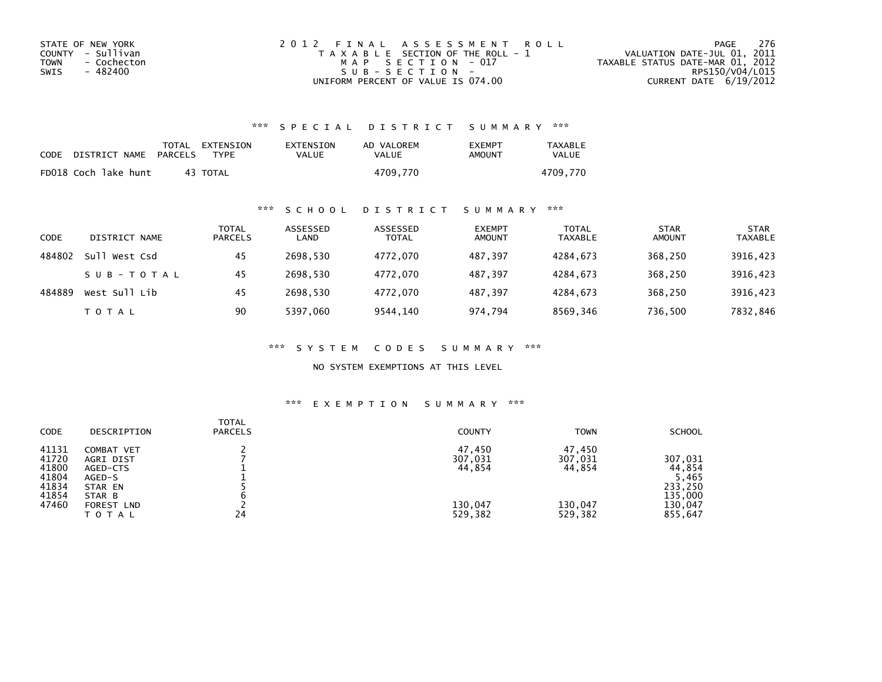| STATE OF NEW YORK   | 2012 FINAL ASSESSMENT ROLL            | 276<br>PAGE                      |
|---------------------|---------------------------------------|----------------------------------|
| COUNTY - Sullivan   | T A X A B L E SECTION OF THE ROLL - 1 | VALUATION DATE-JUL 01, 2011      |
| - Cochecton<br>TOWN | MAP SECTION - 017                     | TAXABLE STATUS DATE-MAR 01, 2012 |
| - 482400<br>SWIS    | SUB-SECTION-                          | RPS150/V04/L015                  |
|                     | UNIFORM PERCENT OF VALUE IS 074.00    | CURRENT DATE 6/19/2012           |

## \*\*\* S P E C I A L D I S T R I C T S U M M A R Y \*\*\*

| <b>CODE</b> | DISTRICT NAME        | PARCELS | TOTAL EXTENSION<br><b>TYPF</b> | EXTENSION<br>VALUE | AD VALOREM<br>VALUE | <b>EXEMPT</b><br>AMOUNT | TAXABLE<br><b>VALUE</b> |
|-------------|----------------------|---------|--------------------------------|--------------------|---------------------|-------------------------|-------------------------|
|             | FD018 Coch lake hunt |         | 43 TOTAL                       |                    | 4709,770            |                         | 4709.770                |

## \*\*\* S C H O O L D I S T R I C T S U M M A R Y \*\*\*

| CODE   | DISTRICT NAME | <b>TOTAL</b><br><b>PARCELS</b> | ASSESSED<br>LAND | ASSESSED<br><b>TOTAL</b> | <b>EXEMPT</b><br><b>AMOUNT</b> | <b>TOTAL</b><br><b>TAXABLE</b> | <b>STAR</b><br><b>AMOUNT</b> | <b>STAR</b><br><b>TAXABLE</b> |
|--------|---------------|--------------------------------|------------------|--------------------------|--------------------------------|--------------------------------|------------------------------|-------------------------------|
| 484802 | Sull West Csd | 45                             | 2698.530         | 4772.070                 | 487.397                        | 4284.673                       | 368,250                      | 3916,423                      |
|        | SUB-TOTAL     | 45                             | 2698.530         | 4772,070                 | 487,397                        | 4284,673                       | 368,250                      | 3916,423                      |
| 484889 | West Sull Lib | 45                             | 2698.530         | 4772.070                 | 487.397                        | 4284.673                       | 368,250                      | 3916,423                      |
|        | T O T A L     | 90                             | 5397.060         | 9544,140                 | 974,794                        | 8569,346                       | 736,500                      | 7832,846                      |

\*\*\* S Y S T E M C O D E S S U M M A R Y \*\*\*

NO SYSTEM EXEMPTIONS AT THIS LEVEL

#### \*\*\* E X E M P T I O N S U M M A R Y \*\*\*

| <b>CODE</b>                                                 | DESCRIPTION                                                                                      | <b>TOTAL</b><br><b>PARCELS</b> | <b>COUNTY</b>                                     | <b>TOWN</b>                                       | <b>SCHOOL</b>                                                          |
|-------------------------------------------------------------|--------------------------------------------------------------------------------------------------|--------------------------------|---------------------------------------------------|---------------------------------------------------|------------------------------------------------------------------------|
| 41131<br>41720<br>41800<br>41804<br>41834<br>41854<br>47460 | COMBAT VET<br>AGRI DIST<br>AGED-CTS<br>AGED-S<br>STAR EN<br>STAR B<br><b>FOREST LND</b><br>TOTAL | 24                             | 47,450<br>307,031<br>44,854<br>130,047<br>529,382 | 47,450<br>307,031<br>44,854<br>130,047<br>529,382 | 307,031<br>44,854<br>5,465<br>233.250<br>135,000<br>130,047<br>855,647 |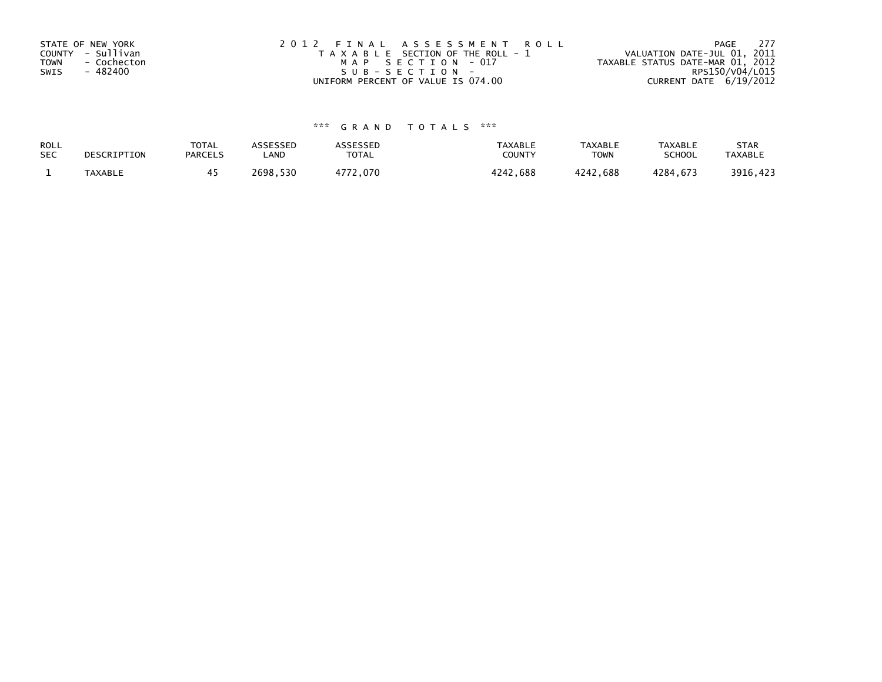| STATE OF NEW YORK<br>COUNTY - Sullivan<br><b>TOWN</b><br>- Cochecton<br>- 482400<br>SWIS | 2012 FINAL ASSESSMENT ROLL<br>T A X A B L E SECTION OF THE ROLL - 1<br>MAP SECTION - 017<br>SUB-SECTION- | 277<br>PAGE<br>VALUATION DATE-JUL 01, 2011<br>TAXABLE STATUS DATE-MAR 01, 2012<br>RPS150/V04/L015 |
|------------------------------------------------------------------------------------------|----------------------------------------------------------------------------------------------------------|---------------------------------------------------------------------------------------------------|
|                                                                                          | UNIFORM PERCENT OF VALUE IS 074.00                                                                       | CURRENT DATE 6/19/2012                                                                            |

# \*\*\* G R A N D T O T A L S \*\*\*

| ROLL       | DESCRIPTION    | <b>TOTAL</b>   | ASSESSED | <b>\SSESSED</b> | TAXABLE  | <b>TAXABLE</b> | <b>TAXABLE</b> | <b>STAR</b>    |
|------------|----------------|----------------|----------|-----------------|----------|----------------|----------------|----------------|
| <b>SEC</b> |                | <b>PARCELS</b> | LAND     | TOTAL           | COUNTY   | <b>TOWN</b>    | <b>SCHOOL</b>  | <b>TAXABLE</b> |
|            | <b>TAXABLE</b> |                | 2698,530 | 4772,070        | 4242,688 | 4242,688       | 4284.673       | 3916,423       |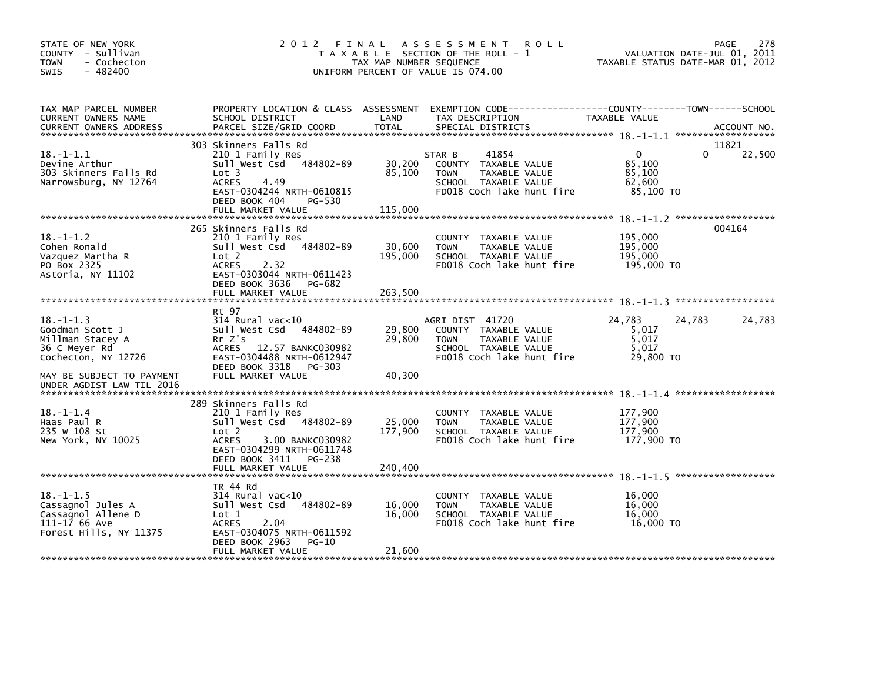| STATE OF NEW YORK<br>COUNTY - Sullivan<br><b>TOWN</b><br>- Cochecton<br>$-482400$<br>SWIS             | 2012 FINAL                                                                                                                                                                    | TAX MAP NUMBER SEQUENCE    | A S S E S S M E N T<br><b>ROLL</b><br>T A X A B L E SECTION OF THE ROLL - 1<br>UNIFORM PERCENT OF VALUE IS 074.00            | TAXABLE STATUS DATE-MAR 01, 2012                        | 278<br>PAGE<br>VALUATION DATE-JUL 01, 2011 |
|-------------------------------------------------------------------------------------------------------|-------------------------------------------------------------------------------------------------------------------------------------------------------------------------------|----------------------------|------------------------------------------------------------------------------------------------------------------------------|---------------------------------------------------------|--------------------------------------------|
| TAX MAP PARCEL NUMBER<br>CURRENT OWNERS NAME<br><b>CURRENT OWNERS ADDRESS</b>                         | PROPERTY LOCATION & CLASS ASSESSMENT<br>SCHOOL DISTRICT<br>PARCEL SIZE/GRID COORD                                                                                             | LAND<br><b>TOTAL</b>       | EXEMPTION CODE----------<br>TAX DESCRIPTION<br>SPECIAL DISTRICTS                                                             | ------COUNTY--------TOWN------SCHOOL<br>TAXABLE VALUE   | ACCOUNT NO.                                |
|                                                                                                       |                                                                                                                                                                               |                            |                                                                                                                              |                                                         |                                            |
| $18. - 1 - 1.1$<br>Devine Arthur<br>303 Skinners Falls Rd<br>Narrowsburg, NY 12764                    | 303 Skinners Falls Rd<br>210 1 Family Res<br>Sull West Csd<br>484802-89<br>Lot 3<br><b>ACRES</b><br>4.49<br>EAST-0304244 NRTH-0610815<br>DEED BOOK 404<br>PG-530              | 30,200<br>85,100           | 41854<br>STAR B<br>COUNTY TAXABLE VALUE<br>TAXABLE VALUE<br><b>TOWN</b><br>SCHOOL TAXABLE VALUE<br>FD018 Coch lake hunt fire | $\mathbf{0}$<br>85,100<br>85,100<br>62,600<br>85,100 TO | 11821<br>22,500<br>$\Omega$                |
|                                                                                                       | FULL MARKET VALUE                                                                                                                                                             | 115,000                    |                                                                                                                              |                                                         |                                            |
| $18. - 1 - 1.2$<br>Cohen Ronald<br>Vazquez Martha R<br>PO Box 2325<br>Astoria, NY 11102               | 265 Skinners Falls Rd<br>210 1 Family Res<br>Sull West Csd 484802-89<br>Lot 2<br><b>ACRES</b><br>2.32<br>EAST-0303044 NRTH-0611423<br>DEED BOOK 3636<br>PG-682                | 30,600<br>195,000          | COUNTY TAXABLE VALUE<br><b>TOWN</b><br>TAXABLE VALUE<br>SCHOOL TAXABLE VALUE<br>FD018 Coch lake hunt fire                    | 195,000<br>195,000<br>195,000<br>195,000 TO             | 004164                                     |
|                                                                                                       | FULL MARKET VALUE                                                                                                                                                             | 263,500                    |                                                                                                                              |                                                         |                                            |
|                                                                                                       |                                                                                                                                                                               |                            |                                                                                                                              |                                                         |                                            |
| $18. - 1 - 1.3$<br>Goodman Scott J<br>Millman Stacey A<br>36 C Meyer Rd<br>Cochecton, NY 12726        | Rt 97<br>$314$ Rural vac< $10$<br>Sull West Csd 484802-89<br>Rr Z's<br><b>ACRES</b><br>12.57 BANKC030982<br>EAST-0304488 NRTH-0612947                                         | 29,800<br>29,800           | AGRI DIST 41720<br>COUNTY TAXABLE VALUE<br>TAXABLE VALUE<br><b>TOWN</b><br>SCHOOL TAXABLE VALUE<br>FD018 Coch lake hunt fire | 24,783<br>5,017<br>5,017<br>5,017<br>29,800 TO          | 24,783<br>24,783                           |
| MAY BE SUBJECT TO PAYMENT<br>UNDER AGDIST LAW TIL 2016                                                | DEED BOOK 3318<br>PG-303<br>FULL MARKET VALUE                                                                                                                                 | 40,300                     |                                                                                                                              |                                                         |                                            |
|                                                                                                       | 289 Skinners Falls Rd                                                                                                                                                         |                            |                                                                                                                              |                                                         |                                            |
| $18. - 1 - 1.4$<br>Haas Paul R<br>235 W 108 St<br>New York, NY 10025                                  | 210 1 Family Res<br>Sull West Csd 484802-89<br>Lot 2<br><b>ACRES</b><br>3.00 BANKC030982<br>EAST-0304299 NRTH-0611748                                                         | 25,000<br>177,900          | <b>COUNTY</b><br>TAXABLE VALUE<br>TAXABLE VALUE<br><b>TOWN</b><br>SCHOOL TAXABLE VALUE<br>FD018 Coch lake hunt fire          | 177,900<br>177,900<br>177,900<br>177,900 TO             |                                            |
|                                                                                                       | DEED BOOK 3411<br>PG-238<br>FULL MARKET VALUE                                                                                                                                 | 240,400                    |                                                                                                                              |                                                         |                                            |
| $18. - 1 - 1.5$<br>Cassagnol Jules A<br>Cassagnol Allene D<br>111-17 66 Ave<br>Forest Hills, NY 11375 | TR 44 Rd<br>$314$ Rural vac< $10$<br>Sull West Csd<br>484802-89<br>Lot 1<br>2.04<br><b>ACRES</b><br>EAST-0304075 NRTH-0611592<br>DEED BOOK 2963<br>PG-10<br>FULL MARKET VALUE | 16,000<br>16,000<br>21,600 | <b>COUNTY</b><br>TAXABLE VALUE<br><b>TOWN</b><br>TAXABLE VALUE<br>SCHOOL TAXABLE VALUE<br>FD018 Coch lake hunt fire          | 16,000<br>16,000<br>16,000<br>16,000 TO                 |                                            |
|                                                                                                       |                                                                                                                                                                               |                            |                                                                                                                              |                                                         |                                            |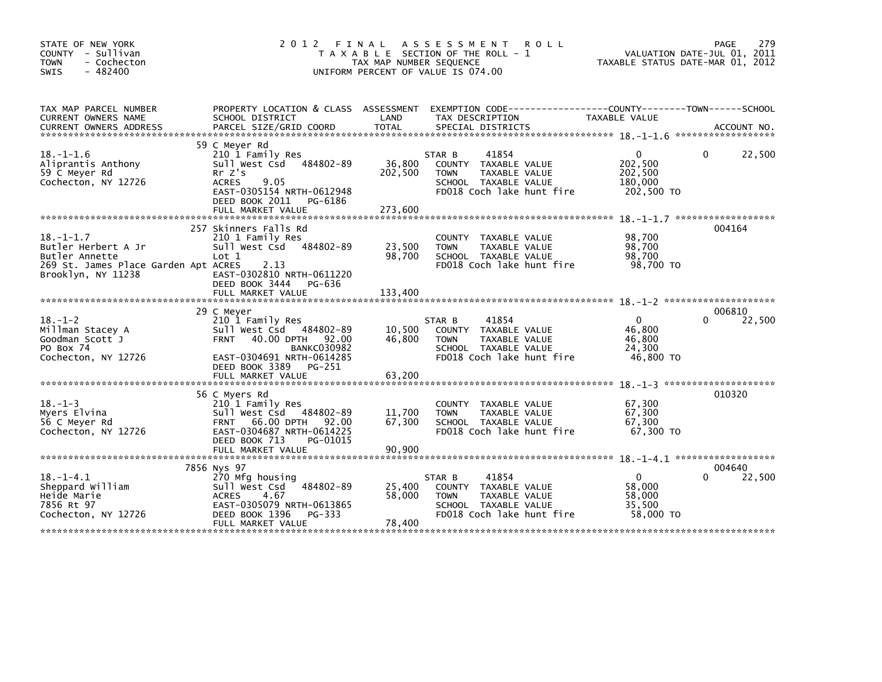| STATE OF NEW YORK<br>COUNTY - Sullivan<br><b>TOWN</b><br>- Cochecton<br>$-482400$<br>SWIS                              | 2012 FINAL                                                                                                                                                                    | TAX MAP NUMBER SEQUENCE      | A S S E S S M E N T<br><b>ROLL</b><br>T A X A B L E SECTION OF THE ROLL - 1<br>UNIFORM PERCENT OF VALUE IS 074.00            | TAXABLE STATUS DATE-MAR 01, 2012                        | 279<br>PAGE<br>VALUATION DATE-JUL 01, 2011 |
|------------------------------------------------------------------------------------------------------------------------|-------------------------------------------------------------------------------------------------------------------------------------------------------------------------------|------------------------------|------------------------------------------------------------------------------------------------------------------------------|---------------------------------------------------------|--------------------------------------------|
| TAX MAP PARCEL NUMBER<br>CURRENT OWNERS NAME                                                                           | SCHOOL DISTRICT                                                                                                                                                               | LAND                         | PROPERTY LOCATION & CLASS ASSESSMENT EXEMPTION CODE----------------COUNTY-------TOWN-----SCHOOL<br>TAX DESCRIPTION           | TAXABLE VALUE                                           |                                            |
|                                                                                                                        |                                                                                                                                                                               |                              |                                                                                                                              |                                                         |                                            |
| $18. - 1 - 1.6$<br>Aliprantis Anthony<br>59 C Meyer Rd<br>Cochecton, NY 12726                                          | 59 C Meyer Rd<br>210 1 Family Res<br>Sull West Csd 484802-89<br>Rr Z's<br><b>ACRES</b><br>9.05<br>EAST-0305154 NRTH-0612948<br>DEED BOOK 2011<br>PG-6186<br>FULL MARKET VALUE | 36,800<br>202,500<br>273,600 | 41854<br>STAR B<br>COUNTY TAXABLE VALUE<br>TAXABLE VALUE<br><b>TOWN</b><br>SCHOOL TAXABLE VALUE<br>FD018 Coch lake hunt fire | 0<br>202,500<br>202,500<br>180,000<br>202,500 TO        | 22,500<br>0                                |
|                                                                                                                        | 257 Skinners Falls Rd                                                                                                                                                         |                              |                                                                                                                              |                                                         | 004164                                     |
| $18. - 1 - 1.7$<br>Butler Herbert A Jr<br>Butler Annette<br>269 St. James Place Garden Apt ACRES<br>Brooklyn, NY 11238 | 210 1 Family Res<br>Sull West Csd<br>484802-89<br>Lot 1<br>2.13<br>EAST-0302810 NRTH-0611220                                                                                  | 23,500<br>98,700             | COUNTY TAXABLE VALUE<br>TAXABLE VALUE<br><b>TOWN</b><br>SCHOOL TAXABLE VALUE<br>FD018 Coch lake hunt fire                    | 98,700<br>98,700<br>98,700<br>98,700 TO                 |                                            |
|                                                                                                                        | DEED BOOK 3444<br>PG-636<br>FULL MARKET VALUE                                                                                                                                 | 133,400                      |                                                                                                                              |                                                         |                                            |
|                                                                                                                        |                                                                                                                                                                               |                              |                                                                                                                              |                                                         | 006810                                     |
| $18. - 1 - 2$<br>Millman Stacey A<br>Goodman Scott J<br>PO Box 74<br>Cochecton, NY 12726                               | 29 C Meyer<br>210 1 Family Res<br>Sull West Csd 484802-89<br><b>FRNT</b><br>40.00 DPTH 92.00<br><b>BANKC030982</b><br>EAST-0304691 NRTH-0614285<br>DEED BOOK 3389<br>PG-251   | 10,500<br>46,800             | 41854<br>STAR B<br>COUNTY TAXABLE VALUE<br>TAXABLE VALUE<br><b>TOWN</b><br>SCHOOL TAXABLE VALUE<br>FD018 Coch lake hunt fire | $\mathbf{0}$<br>46.800<br>46,800<br>24,300<br>46,800 TO | 22,500<br>0                                |
|                                                                                                                        |                                                                                                                                                                               |                              |                                                                                                                              |                                                         |                                            |
| $18. - 1 - 3$<br>Myers Elvina<br>56 C Meyer Rd<br>Cochecton, NY 12726                                                  | 56 C Myers Rd<br>210 1 Family Res<br>Sull West Csd 484802-89<br><b>FRNT 66.00 DPTH</b><br>92.00<br>EAST-0304687 NRTH-0614225<br>DEED BOOK 713<br>PG-01015                     | 11.700<br>67,300             | COUNTY TAXABLE VALUE<br>TAXABLE VALUE<br><b>TOWN</b><br>SCHOOL TAXABLE VALUE<br>FD018 Coch lake hunt fire                    | 67,300<br>67,300<br>67,300<br>67,300 TO                 | 010320                                     |
|                                                                                                                        | FULL MARKET VALUE                                                                                                                                                             | 90.900                       |                                                                                                                              |                                                         |                                            |
| $18. - 1 - 4.1$<br>Sheppard William<br>Heide Marie<br>7856 Rt 97<br>Cochecton, NY 12726                                | 7856 Nys 97<br>270 Mfg housing<br>484802-89<br>Sull West Csd<br><b>ACRES</b><br>4.67<br>EAST-0305079 NRTH-0613865<br>DEED BOOK 1396<br>PG-333<br>FULL MARKET VALUE            | 25,400<br>58.000<br>78,400   | 41854<br>STAR B<br>COUNTY TAXABLE VALUE<br>TAXABLE VALUE<br><b>TOWN</b><br>SCHOOL TAXABLE VALUE<br>FD018 Coch lake hunt fire | $\mathbf{0}$<br>58,000<br>58,000<br>35,500<br>58,000 TO | 004640<br>22,500                           |
|                                                                                                                        |                                                                                                                                                                               |                              |                                                                                                                              | ************************************                    |                                            |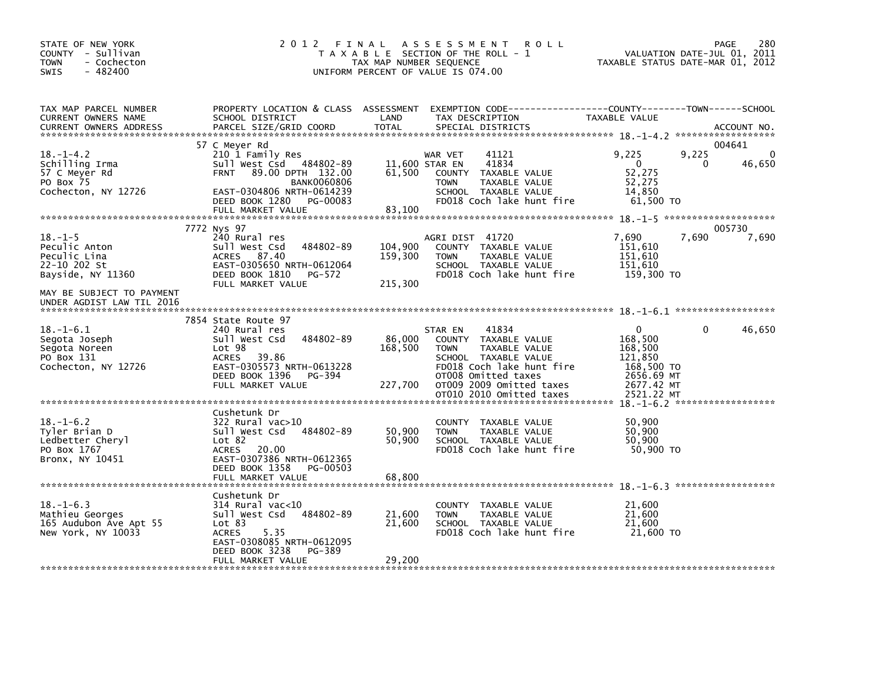| STATE OF NEW YORK<br>COUNTY - Sullivan<br>- Cochecton<br>TOWN<br>$-482400$<br>SWIS     | 2 0 1 2<br>FINAL                                                                                                                                                                       | TAX MAP NUMBER SEQUENCE       | A S S E S S M E N T<br><b>ROLL</b><br>T A X A B L E SECTION OF THE ROLL - 1<br>UNIFORM PERCENT OF VALUE IS 074.00                                                                | VALUATION DATE-JUL 01, 2011<br>TAXABLE STATUS DATE-MAR 01, 2012                         | PAGE       | 280             |
|----------------------------------------------------------------------------------------|----------------------------------------------------------------------------------------------------------------------------------------------------------------------------------------|-------------------------------|----------------------------------------------------------------------------------------------------------------------------------------------------------------------------------|-----------------------------------------------------------------------------------------|------------|-----------------|
| TAX MAP PARCEL NUMBER<br>CURRENT OWNERS NAME<br><b>CURRENT OWNERS ADDRESS</b>          | PROPERTY LOCATION & CLASS ASSESSMENT<br>SCHOOL DISTRICT<br>PARCEL SIZE/GRID COORD                                                                                                      | LAND<br><b>TOTAL</b>          | TAX DESCRIPTION<br>SPECIAL DISTRICTS                                                                                                                                             | TAXABLE VALUE                                                                           |            | ACCOUNT NO.     |
|                                                                                        | 57 C Meyer Rd                                                                                                                                                                          |                               |                                                                                                                                                                                  |                                                                                         |            | 004641          |
| $18. - 1 - 4.2$<br>Schilling Irma<br>57 C Meyer Rd<br>PO Box 75<br>Cochecton, NY 12726 | 210 1 Family Res<br>Sull West Csd 484802-89<br>89.00 DPTH 132.00<br><b>FRNT</b><br><b>BANK0060806</b><br>EAST-0304806 NRTH-0614239<br>DEED BOOK 1280<br>PG-00083                       | 11,600 STAR EN<br>61,500      | 41121<br>WAR VET<br>41834<br><b>COUNTY</b><br>TAXABLE VALUE<br>TAXABLE VALUE<br><b>TOWN</b><br>SCHOOL TAXABLE VALUE<br>FD018 Coch lake hunt fire                                 | 9,225<br>$\Omega$<br>52,275<br>52,275<br>14,850<br>61,500 TO                            | 9,225<br>0 | 0<br>46,650     |
|                                                                                        | FULL MARKET VALUE                                                                                                                                                                      | 83,100                        |                                                                                                                                                                                  |                                                                                         |            |                 |
| $18. - 1 - 5$<br>Peculic Anton<br>Peculic Lina<br>22-10 202 St<br>Bayside, NY 11360    | 7772 Nys 97<br>240 Rural res<br>484802-89<br>Sull West Csd<br>ACRES 87.40<br>EAST-0305650 NRTH-0612064<br>DEED BOOK 1810<br>PG-572<br>FULL MARKET VALUE                                | 104,900<br>159,300<br>215,300 | AGRI DIST 41720<br>COUNTY TAXABLE VALUE<br>TAXABLE VALUE<br><b>TOWN</b><br>SCHOOL TAXABLE VALUE<br>FD018 Coch lake hunt fire                                                     | 7,690<br>151,610<br>151,610<br>151,610<br>159,300 TO                                    | 7,690      | 005730<br>7,690 |
| MAY BE SUBJECT TO PAYMENT<br>UNDER AGDIST LAW TIL 2016                                 |                                                                                                                                                                                        |                               |                                                                                                                                                                                  |                                                                                         |            |                 |
| $18. - 1 - 6.1$<br>Segota Joseph<br>Segota Noreen<br>PO Box 131<br>Cochecton, NY 12726 | 7854 State Route 97<br>240 Rural res<br>484802-89<br>Sull West Csd<br>Lot 98<br>ACRES<br>39.86<br>EAST-0305573 NRTH-0613228<br>DEED BOOK 1396<br>PG-394<br>FULL MARKET VALUE           | 86,000<br>168,500<br>227,700  | 41834<br>STAR EN<br>COUNTY TAXABLE VALUE<br>TAXABLE VALUE<br><b>TOWN</b><br>SCHOOL TAXABLE VALUE<br>FD018 Coch lake hunt fire<br>OT008 Omitted taxes<br>OT009 2009 Omitted taxes | $\mathbf{0}$<br>168,500<br>168,500<br>121,850<br>168,500 TO<br>2656.69 MT<br>2677.42 MT | $\Omega$   | 46,650          |
|                                                                                        |                                                                                                                                                                                        |                               | OT010 2010 Omitted taxes                                                                                                                                                         | 2521.22 MT<br>$18. - 1 - 6.2$ *******************                                       |            |                 |
| $18. - 1 - 6.2$<br>Tyler Brian D<br>Ledbetter Cheryl<br>PO Box 1767<br>Bronx, NY 10451 | Cushetunk Dr<br>$322$ Rural vac $>10$<br>sull west Csd<br>484802-89<br>Lot 82<br><b>ACRES</b><br>20.00<br>EAST-0307386 NRTH-0612365<br>DEED BOOK 1358<br>PG-00503<br>FULL MARKET VALUE | 50,900<br>50,900<br>68,800    | COUNTY TAXABLE VALUE<br>TAXABLE VALUE<br><b>TOWN</b><br>SCHOOL TAXABLE VALUE<br>FD018 Coch lake hunt fire                                                                        | 50,900<br>50,900<br>50,900<br>50,900 TO                                                 |            |                 |
|                                                                                        | Cushetunk Dr                                                                                                                                                                           |                               |                                                                                                                                                                                  |                                                                                         |            |                 |
| $18. - 1 - 6.3$<br>Mathieu Georges<br>165 Audubon Ave Apt 55<br>New York, NY 10033     | $314$ Rural vac<10<br>Sull West Csd<br>484802-89<br>Lot 83<br><b>ACRES</b><br>5.35<br>EAST-0308085 NRTH-0612095<br>DEED BOOK 3238<br>PG-389                                            | 21,600<br>21,600              | COUNTY TAXABLE VALUE<br><b>TOWN</b><br>TAXABLE VALUE<br>SCHOOL TAXABLE VALUE<br>FD018 Coch lake hunt fire                                                                        | 21,600<br>21,600<br>21,600<br>21,600 TO                                                 |            |                 |
|                                                                                        | FULL MARKET VALUE                                                                                                                                                                      | 29,200                        |                                                                                                                                                                                  |                                                                                         |            |                 |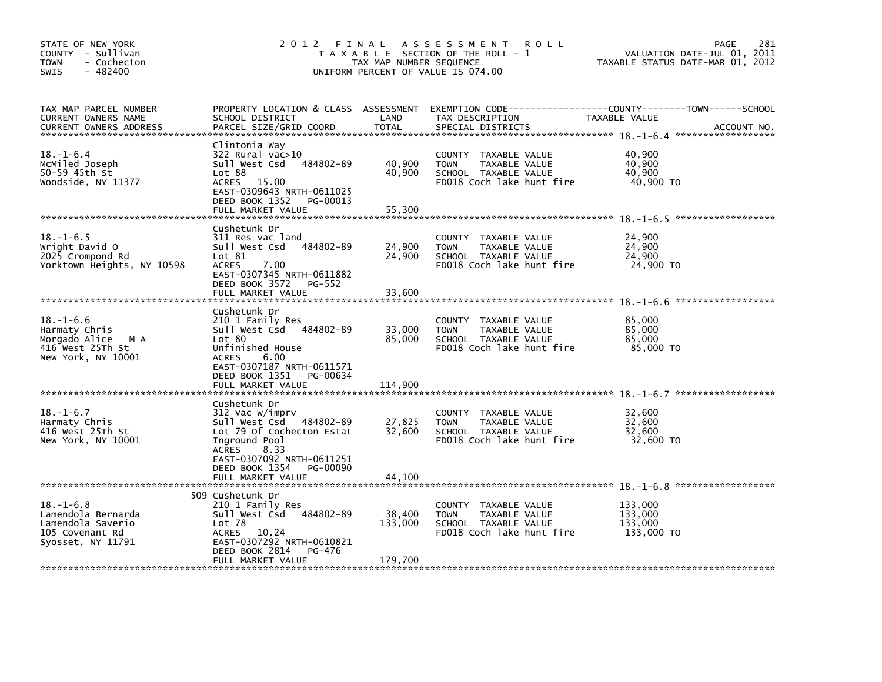| STATE OF NEW YORK<br>COUNTY - Sullivan<br>- Cochecton<br><b>TOWN</b><br>$-482400$<br>SWIS          | 2012                                                                                                                                                                                              | FINAL<br>TAX MAP NUMBER SEQUENCE | A S S E S S M E N T<br><b>ROLL</b><br>T A X A B L E SECTION OF THE ROLL - 1<br>UNIFORM PERCENT OF VALUE IS 074.00   | 281<br>PAGE<br>VALUATION DATE-JUL 01, 2011<br>TAXABLE STATUS DATE-MAR 01, 2012               |
|----------------------------------------------------------------------------------------------------|---------------------------------------------------------------------------------------------------------------------------------------------------------------------------------------------------|----------------------------------|---------------------------------------------------------------------------------------------------------------------|----------------------------------------------------------------------------------------------|
| TAX MAP PARCEL NUMBER<br>CURRENT OWNERS NAME<br><b>CURRENT OWNERS ADDRESS</b>                      | PROPERTY LOCATION & CLASS ASSESSMENT<br>SCHOOL DISTRICT<br>PARCEL SIZE/GRID COORD                                                                                                                 | LAND<br><b>TOTAL</b>             | TAX DESCRIPTION<br>SPECIAL DISTRICTS                                                                                | EXEMPTION CODE-----------------COUNTY-------TOWN------SCHOOL<br>TAXABLE VALUE<br>ACCOUNT NO. |
| $18. - 1 - 6.4$<br>MCMiled Joseph<br>50-59 45th St<br>Woodside, NY 11377                           | Clintonia Way<br>322 Rural vac>10<br>484802-89<br>Sull West Csd<br>Lot 88<br>ACRES 15.00<br>EAST-0309643 NRTH-0611025<br>DEED BOOK 1352<br>PG-00013                                               | 40,900<br>40,900                 | COUNTY TAXABLE VALUE<br><b>TOWN</b><br>TAXABLE VALUE<br>SCHOOL TAXABLE VALUE<br>FD018 Coch lake hunt fire           | 40,900<br>40,900<br>40,900<br>40,900 TO                                                      |
|                                                                                                    | FULL MARKET VALUE                                                                                                                                                                                 | 55,300                           |                                                                                                                     |                                                                                              |
| $18. - 1 - 6.5$<br>Wright David O<br>2025 Crompond Rd<br>Yorktown Heights, NY 10598                | Cushetunk Dr<br>311 Res vac land<br>Sull West Csd<br>484802-89<br>Lot 81<br><b>ACRES</b><br>7.00<br>EAST-0307345 NRTH-0611882<br>DEED BOOK 3572<br>PG-552<br>FULL MARKET VALUE                    | 24,900<br>24,900<br>33,600       | <b>COUNTY</b><br>TAXABLE VALUE<br><b>TOWN</b><br>TAXABLE VALUE<br>SCHOOL TAXABLE VALUE<br>FD018 Coch lake hunt fire | 24,900<br>24,900<br>24,900<br>24,900 TO                                                      |
| $18. - 1 - 6.6$<br>Harmaty Chris<br>Morgado Alice<br>M A<br>416 West 25Th St<br>New York, NY 10001 | Cushetunk Dr<br>210 1 Family Res<br>Sull West Csd 484802-89<br>Lot 80<br>Unfinished House<br><b>ACRES</b><br>6.00<br>EAST-0307187 NRTH-0611571<br>DEED BOOK 1351<br>PG-00634<br>FULL MARKET VALUE | 33,000<br>85,000<br>114,900      | COUNTY TAXABLE VALUE<br>TAXABLE VALUE<br><b>TOWN</b><br>SCHOOL TAXABLE VALUE<br>FD018 Coch lake hunt fire           | ******************<br>85,000<br>85,000<br>85,000<br>85,000 TO                                |
|                                                                                                    |                                                                                                                                                                                                   |                                  |                                                                                                                     |                                                                                              |
| $18. - 1 - 6.7$<br>Harmaty Chris<br>416 West 25Th St<br>New York, NY 10001                         | Cushetunk Dr<br>312 Vac w/imprv<br>Sull West Csd<br>484802-89<br>Lot 79 Of Cochecton Estat<br>Inground Pool<br><b>ACRES</b><br>8.33<br>EAST-0307092 NRTH-0611251<br>DEED BOOK 1354<br>PG-00090    | 27,825<br>32,600                 | COUNTY TAXABLE VALUE<br>TAXABLE VALUE<br><b>TOWN</b><br>SCHOOL TAXABLE VALUE<br>FD018 Coch lake hunt fire           | 32,600<br>32,600<br>32.600<br>32,600 TO                                                      |
|                                                                                                    | FULL MARKET VALUE                                                                                                                                                                                 | 44,100                           |                                                                                                                     |                                                                                              |
| $18. - 1 - 6.8$<br>Lamendola Bernarda<br>Lamendola Saverio<br>105 Covenant Rd<br>Syosset, NY 11791 | 509 Cushetunk Dr<br>210 1 Family Res<br>Sull West Csd 484802-89<br>Lot 78<br><b>ACRES</b><br>10.24<br>EAST-0307292 NRTH-0610821<br>DEED BOOK 2814<br>PG-476<br>FULL MARKET VALUE                  | 38,400<br>133,000<br>179,700     | <b>COUNTY</b><br>TAXABLE VALUE<br><b>TOWN</b><br>TAXABLE VALUE<br>SCHOOL TAXABLE VALUE<br>FD018 Coch lake hunt fire | 133,000<br>133,000<br>133,000<br>133,000 TO                                                  |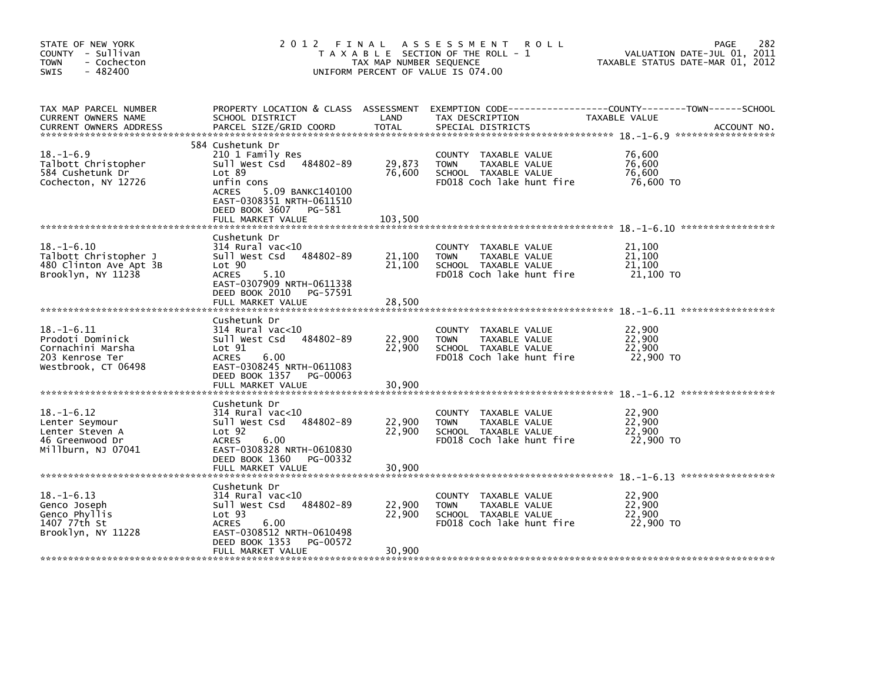| STATE OF NEW YORK<br>COUNTY - Sullivan<br><b>TOWN</b><br>- Cochecton<br>$-482400$<br>SWIS           | 2 0 1 2                                                                                                                                                                                                   | FINAL<br>TAX MAP NUMBER SEQUENCE | <b>ROLL</b><br>A S S E S S M E N T<br>T A X A B L E SECTION OF THE ROLL - 1<br>UNIFORM PERCENT OF VALUE IS 074.00   | 282<br><b>PAGE</b><br>VALUATION DATE-JUL 01, 2011<br>TAXABLE STATUS DATE-MAR 01, 2012 |
|-----------------------------------------------------------------------------------------------------|-----------------------------------------------------------------------------------------------------------------------------------------------------------------------------------------------------------|----------------------------------|---------------------------------------------------------------------------------------------------------------------|---------------------------------------------------------------------------------------|
| TAX MAP PARCEL NUMBER<br>CURRENT OWNERS NAME<br><b>CURRENT OWNERS ADDRESS</b>                       | PROPERTY LOCATION & CLASS ASSESSMENT<br>SCHOOL DISTRICT<br>PARCEL SIZE/GRID COORD                                                                                                                         | LAND<br><b>TOTAL</b>             | TAX DESCRIPTION<br>SPECIAL DISTRICTS                                                                                | TAXABLE VALUE<br>ACCOUNT NO.                                                          |
| $18. - 1 - 6.9$<br>Talbott Christopher<br>584 Cushetunk Dr<br>Cochecton, NY 12726                   | 584 Cushetunk Dr<br>210 1 Family Res<br>Sull West Csd 484802-89<br>Lot 89<br>unfin cons<br><b>ACRES</b><br>5.09 BANKC140100<br>EAST-0308351 NRTH-0611510<br>DEED BOOK 3607<br>PG-581<br>FULL MARKET VALUE | 29,873<br>76.600<br>103,500      | COUNTY TAXABLE VALUE<br><b>TOWN</b><br>TAXABLE VALUE<br>SCHOOL TAXABLE VALUE<br>FD018 Coch lake hunt fire           | 76,600<br>76.600<br>76.600<br>76,600 TO                                               |
| $18. - 1 - 6.10$<br>Talbott Christopher J<br>480 Clinton Ave Apt 3B<br>Brooklyn, NY 11238           | Cushetunk Dr<br>314 Rural vac<10<br>Sull West Csd<br>484802-89<br>Lot 90<br><b>ACRES</b><br>5.10<br>EAST-0307909 NRTH-0611338<br>DEED BOOK 2010<br>PG-57591<br>FULL MARKET VALUE                          | 21,100<br>21,100<br>28,500       | <b>COUNTY</b><br>TAXABLE VALUE<br><b>TOWN</b><br>TAXABLE VALUE<br>SCHOOL TAXABLE VALUE<br>FD018 Coch lake hunt fire | 21,100<br>21,100<br>21,100<br>21,100 TO                                               |
| $18. - 1 - 6.11$<br>Prodoti Dominick<br>Cornachini Marsha<br>203 Kenrose Ter<br>Westbrook, CT 06498 | Cushetunk Dr<br>$314$ Rural vac< $10$<br>484802-89<br>Sull West Csd<br>Lot 91<br><b>ACRES</b><br>6.00<br>EAST-0308245 NRTH-0611083<br>DEED BOOK 1357<br>PG-00063<br>FULL MARKET VALUE                     | 22,900<br>22,900<br>30,900       | <b>COUNTY</b><br>TAXABLE VALUE<br>TAXABLE VALUE<br><b>TOWN</b><br>SCHOOL TAXABLE VALUE<br>FD018 Coch lake hunt fire | 22,900<br>22,900<br>22.900<br>22,900 TO                                               |
| $18. - 1 - 6.12$<br>Lenter Seymour<br>Lenter Steven A<br>46 Greenwood Dr<br>Millburn. NJ 07041      | Cushetunk Dr<br>$314$ Rural vac< $10$<br>Sull West Csd<br>484802-89<br>Lot <sub>92</sub><br><b>ACRES</b><br>6.00<br>EAST-0308328 NRTH-0610830<br>DEED BOOK 1360<br>PG-00332<br>FULL MARKET VALUE          | 22,900<br>22,900<br>30,900       | <b>COUNTY</b><br>TAXABLE VALUE<br>TAXABLE VALUE<br><b>TOWN</b><br>SCHOOL TAXABLE VALUE<br>FD018 Coch lake hunt fire | 22,900<br>22,900<br>22.900<br>22,900 TO                                               |
| $18. - 1 - 6.13$<br>Genco Joseph<br>Genco Phyllis<br>1407 77th St<br>Brooklyn, NY 11228             | Cushetunk Dr<br>$314$ Rural vac<10<br>484802-89<br>Sull West Csd<br>Lot <sub>93</sub><br>6.00<br><b>ACRES</b><br>EAST-0308512 NRTH-0610498<br>DEED BOOK 1353<br>PG-00572<br>FULL MARKET VALUE             | 22,900<br>22,900<br>30,900       | COUNTY TAXABLE VALUE<br><b>TOWN</b><br>TAXABLE VALUE<br>SCHOOL TAXABLE VALUE<br>FD018 Coch lake hunt fire           | 22,900<br>22,900<br>22,900<br>22,900 TO                                               |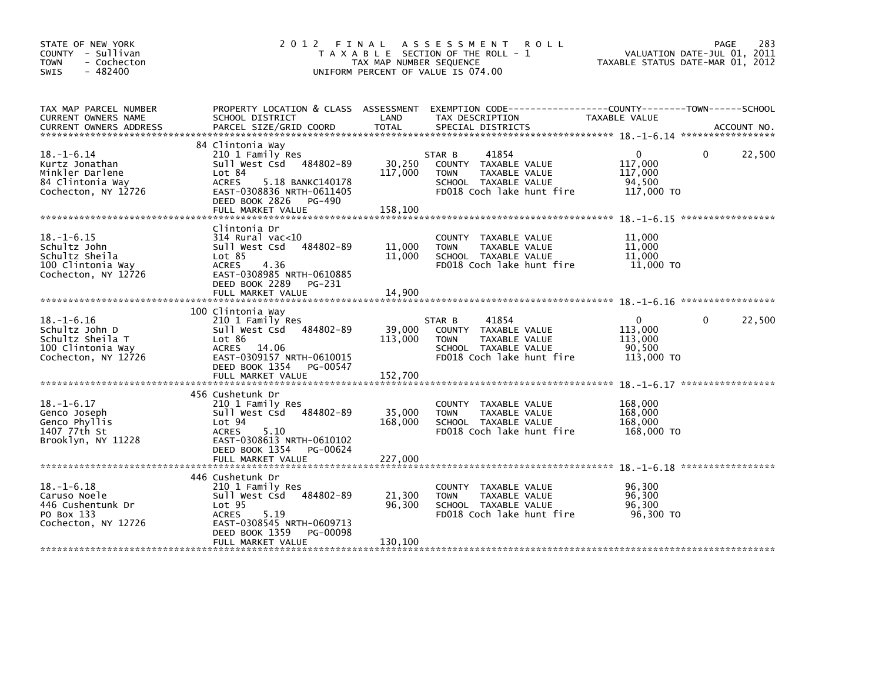| STATE OF NEW YORK<br>COUNTY - Sullivan<br><b>TOWN</b><br>- Cochecton<br>$-482400$<br><b>SWIS</b>   | 2 0 1 2                                                                                                                                                                                         | FINAL<br>TAX MAP NUMBER SEQUENCE | A S S E S S M E N T<br><b>ROLL</b><br>T A X A B L E SECTION OF THE ROLL - 1<br>UNIFORM PERCENT OF VALUE IS 074.00            | TAXABLE STATUS DATE-MAR 01, 2012                       | 283<br><b>PAGE</b><br>VALUATION DATE-JUL 01, 2011 |
|----------------------------------------------------------------------------------------------------|-------------------------------------------------------------------------------------------------------------------------------------------------------------------------------------------------|----------------------------------|------------------------------------------------------------------------------------------------------------------------------|--------------------------------------------------------|---------------------------------------------------|
| TAX MAP PARCEL NUMBER<br>CURRENT OWNERS NAME                                                       | PROPERTY LOCATION & CLASS ASSESSMENT<br>SCHOOL DISTRICT                                                                                                                                         | LAND                             | EXEMPTION CODE-----------------COUNTY-------TOWN------SCHOOL<br>TAX DESCRIPTION                                              | TAXABLE VALUE                                          |                                                   |
| $18. - 1 - 6.14$<br>Kurtz Jonathan<br>Minkler Darlene<br>84 Clintonia Way<br>Cochecton, NY 12726   | 84 Clintonia Way<br>210 1 Family Res<br>Sull West Csd<br>484802-89<br>Lot 84<br><b>ACRES</b><br>5.18 BANKC140178<br>EAST-0308836 NRTH-0611405<br>DEED BOOK 2826 PG-490<br>FULL MARKET VALUE     | 30,250<br>117,000<br>158,100     | 41854<br>STAR B<br>COUNTY TAXABLE VALUE<br>TAXABLE VALUE<br><b>TOWN</b><br>SCHOOL TAXABLE VALUE<br>FD018 Coch lake hunt fire | $\Omega$<br>117,000<br>117,000<br>94,500<br>117,000 TO | 22,500<br>$\Omega$                                |
| $18. - 1 - 6.15$<br>Schultz John<br>Schultz Sheila<br>100 Clintonia Way<br>Cochecton, NY 12726     | Clintonia Dr<br>$314$ Rural vac< $10$<br>484802-89<br>Sull West Csd<br>Lot 85<br><b>ACRES</b><br>4.36<br>EAST-0308985 NRTH-0610885<br>DEED BOOK 2289<br>PG-231<br>FULL MARKET VALUE             | 11,000<br>11,000<br>14,900       | COUNTY TAXABLE VALUE<br>TAXABLE VALUE<br><b>TOWN</b><br>SCHOOL TAXABLE VALUE<br>FD018 Coch lake hunt fire                    | 11,000<br>11,000<br>11,000<br>11,000 TO                |                                                   |
| $18. - 1 - 6.16$<br>Schultz John D<br>Schultz Sheila T<br>100 Clintonia Way<br>Cochecton, NY 12726 | 100 Clintonia Way<br>210 1 Family Res<br>Sull West Csd<br>484802-89<br>Lot 86<br>ACRES 14.06<br>EAST-0309157 NRTH-0610015<br>DEED BOOK 1354<br>PG-00547<br>FULL MARKET VALUE                    | 39,000<br>113,000<br>152,700     | 41854<br>STAR B<br>COUNTY TAXABLE VALUE<br>TAXABLE VALUE<br><b>TOWN</b><br>SCHOOL TAXABLE VALUE<br>FD018 Coch lake hunt fire | $\Omega$<br>113,000<br>113,000<br>90,500<br>113,000 TO | 22,500<br>$\Omega$                                |
| $18. - 1 - 6.17$<br>Genco Joseph<br>Genco Phyllis<br>1407 77th St<br>Brooklyn, NY 11228            | 456 Cushetunk Dr<br>210 1 Family Res<br>Sull West Csd<br>484802-89<br>Lot 94<br><b>ACRES</b><br>5.10<br>EAST-0308613 NRTH-0610102<br>DEED BOOK 1354<br>PG-00624                                 | 35,000<br>168,000                | <b>COUNTY</b><br>TAXABLE VALUE<br><b>TOWN</b><br>TAXABLE VALUE<br>SCHOOL TAXABLE VALUE<br>FD018 Coch lake hunt fire          | 168,000<br>168,000<br>168,000<br>168,000 TO            |                                                   |
| $18. - 1 - 6.18$<br>Caruso Noele<br>446 Cushentunk Dr<br>PO Box 133<br>Cochecton, NY 12726         | 446 Cushetunk Dr<br>210 1 Family Res<br>484802-89<br>Sull West Csd<br>Lot <sub>95</sub><br>5.19<br><b>ACRES</b><br>EAST-0308545 NRTH-0609713<br>DEED BOOK 1359<br>PG-00098<br>FULL MARKET VALUE | 21,300<br>96,300<br>130,100      | <b>COUNTY</b><br>TAXABLE VALUE<br>TAXABLE VALUE<br><b>TOWN</b><br>SCHOOL TAXABLE VALUE<br>FD018 Coch lake hunt fire          | 96.300<br>96,300<br>96,300<br>96,300 TO                |                                                   |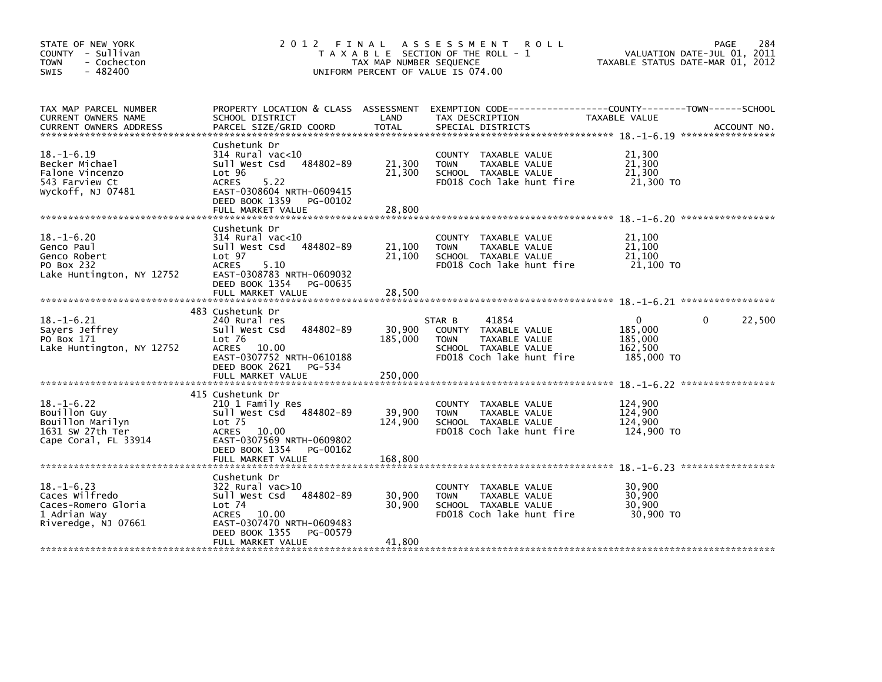| STATE OF NEW YORK<br>COUNTY - Sullivan<br><b>TOWN</b><br>- Cochecton<br>SWIS<br>$-482400$        | 2012 FINAL                                                                                                                                                                  | TAX MAP NUMBER SEQUENCE    | A S S E S S M E N T<br><b>ROLL</b><br>T A X A B L E SECTION OF THE ROLL - 1<br>UNIFORM PERCENT OF VALUE IS 074.00            | VALUATION DATE-JUL 01, 2011<br>TAXABLE STATUS DATE-MAR 01, 2012         | 284<br>PAGE |
|--------------------------------------------------------------------------------------------------|-----------------------------------------------------------------------------------------------------------------------------------------------------------------------------|----------------------------|------------------------------------------------------------------------------------------------------------------------------|-------------------------------------------------------------------------|-------------|
| TAX MAP PARCEL NUMBER<br>CURRENT OWNERS NAME<br><b>CURRENT OWNERS ADDRESS</b>                    | PROPERTY LOCATION & CLASS ASSESSMENT<br>SCHOOL DISTRICT<br>PARCEL SIZE/GRID COORD                                                                                           | LAND<br>TOTAL              | EXEMPTION CODE-----------------COUNTY-------TOWN------SCHOOL<br>TAX DESCRIPTION<br>SPECIAL DISTRICTS                         | TAXABLE VALUE                                                           | ACCOUNT NO. |
| $18. - 1 - 6.19$<br>Becker Michael<br>Falone Vincenzo<br>543 Farview Ct<br>Wyckoff, NJ 07481     | Cushetunk Dr<br>$314$ Rural vac<10<br>484802-89<br>Sull West Csd<br>Lot 96<br>ACRES<br>5.22<br>EAST-0308604 NRTH-0609415<br>DEED BOOK 1359<br>PG-00102<br>FULL MARKET VALUE | 21,300<br>21,300<br>28,800 | COUNTY TAXABLE VALUE<br><b>TOWN</b><br>TAXABLE VALUE<br>SCHOOL TAXABLE VALUE<br>FD018 Coch lake hunt fire                    | 21,300<br>21,300<br>21,300<br>21,300 TO                                 |             |
|                                                                                                  |                                                                                                                                                                             |                            |                                                                                                                              |                                                                         |             |
| $18. - 1 - 6.20$<br>Genco Paul<br>Genco Robert<br>PO Box 232<br>Lake Huntington, NY 12752        | Cushetunk Dr<br>$314$ Rural vac< $10$<br>484802-89<br>Sull West Csd<br>Lot 97<br><b>ACRES</b><br>5.10<br>EAST-0308783 NRTH-0609032                                          | 21,100<br>21,100           | COUNTY TAXABLE VALUE<br>TAXABLE VALUE<br><b>TOWN</b><br>SCHOOL TAXABLE VALUE<br>FD018 Coch lake hunt fire                    | 21,100<br>21,100<br>21,100<br>21,100 TO                                 |             |
|                                                                                                  | DEED BOOK 1354<br>PG-00635<br>FULL MARKET VALUE                                                                                                                             | 28,500                     |                                                                                                                              |                                                                         |             |
| $18. - 1 - 6.21$<br>Sayers Jeffrey<br>PO Box 171<br>Lake Huntington, NY 12752                    | 483 Cushetunk Dr<br>240 Rural res<br>484802-89<br>Sull West Csd<br>Lot 76<br>ACRES 10.00<br>EAST-0307752 NRTH-0610188<br>DEED BOOK 2621 PG-534                              | 30,900<br>185,000          | 41854<br>STAR B<br>COUNTY TAXABLE VALUE<br>TAXABLE VALUE<br><b>TOWN</b><br>SCHOOL TAXABLE VALUE<br>FD018 Coch lake hunt fire | $\Omega$<br>$\mathbf{0}$<br>185,000<br>185,000<br>162.500<br>185,000 TO | 22,500      |
|                                                                                                  | FULL MARKET VALUE                                                                                                                                                           | 250,000                    |                                                                                                                              |                                                                         |             |
| $18. - 1 - 6.22$<br>Bouillon Guy<br>Bouillon Marilyn<br>1631 SW 27th Ter<br>Cape Coral, FL 33914 | 415 Cushetunk Dr<br>210 1 Family Res<br>Sull West Csd 484802-89<br>Lot <sub>75</sub><br>ACRES 10.00<br>EAST-0307569 NRTH-0609802<br>DEED BOOK 1354<br>PG-00162              | 39,900<br>124,900          | COUNTY TAXABLE VALUE<br>TAXABLE VALUE<br><b>TOWN</b><br>SCHOOL TAXABLE VALUE<br>FD018 Coch lake hunt fire                    | 124,900<br>124,900<br>124,900<br>124,900 TO                             |             |
|                                                                                                  | FULL MARKET VALUE                                                                                                                                                           | 168,800                    |                                                                                                                              |                                                                         |             |
| $18. - 1 - 6.23$<br>Caces Wilfredo<br>Caces-Romero Gloria<br>1 Adrian Way<br>Riveredge, NJ 07661 | Cushetunk Dr<br>$322$ Rural vac $>10$<br>Sull West Csd<br>484802-89<br>Lot $74$<br>ACRES 10.00<br>EAST-0307470 NRTH-0609483<br>DEED BOOK 1355<br>PG-00579                   | 30,900<br>30,900           | COUNTY TAXABLE VALUE<br>TAXABLE VALUE<br><b>TOWN</b><br>SCHOOL TAXABLE VALUE<br>FD018 Coch lake hunt fire                    | 30,900<br>30,900<br>30,900<br>30.900 TO                                 |             |
|                                                                                                  | FULL MARKET VALUE                                                                                                                                                           | 41,800                     |                                                                                                                              |                                                                         |             |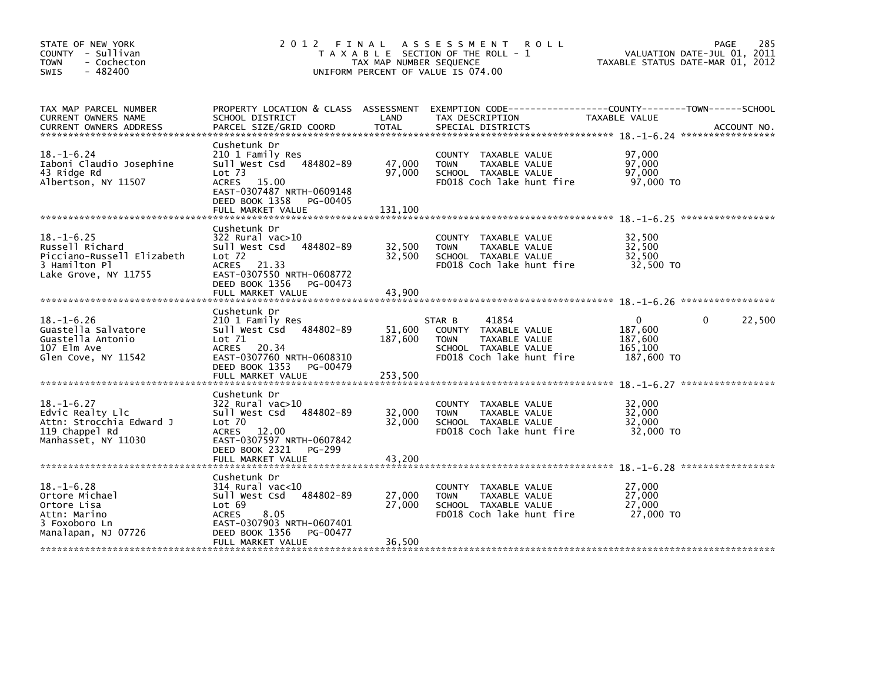| STATE OF NEW YORK<br>COUNTY - Sullivan<br><b>TOWN</b><br>- Cochecton<br>$-482400$<br>SWIS                  | 2012 FINAL                                                                                                                                                                                   | TAX MAP NUMBER SEQUENCE      | A S S E S S M E N T<br><b>ROLL</b><br>T A X A B L E SECTION OF THE ROLL - 1<br>UNIFORM PERCENT OF VALUE IS 074.00            | VALUATION DATE-JUL 01, 2011<br>TAXABLE STATUS DATE-MAR 01, 2012 | 285<br>PAGE            |
|------------------------------------------------------------------------------------------------------------|----------------------------------------------------------------------------------------------------------------------------------------------------------------------------------------------|------------------------------|------------------------------------------------------------------------------------------------------------------------------|-----------------------------------------------------------------|------------------------|
| TAX MAP PARCEL NUMBER<br>CURRENT OWNERS NAME<br><b>CURRENT OWNERS ADDRESS</b>                              | PROPERTY LOCATION & CLASS ASSESSMENT<br>SCHOOL DISTRICT<br>PARCEL SIZE/GRID COORD                                                                                                            | LAND<br><b>TOTAL</b>         | TAX DESCRIPTION<br>SPECIAL DISTRICTS                                                                                         | TAXABLE VALUE                                                   | ACCOUNT NO.            |
| $18. - 1 - 6.24$<br>Iaboni Claudio Josephine<br>43 Ridge Rd<br>Albertson, NY 11507                         | Cushetunk Dr<br>210 1 Family Res<br>484802-89<br>Sull West Csd<br>Lot <sub>73</sub><br><b>ACRES</b><br>15.00<br>EAST-0307487 NRTH-0609148<br>DEED BOOK 1358<br>PG-00405<br>FULL MARKET VALUE | 47,000<br>97,000<br>131,100  | COUNTY TAXABLE VALUE<br>TAXABLE VALUE<br><b>TOWN</b><br>SCHOOL TAXABLE VALUE<br>FD018 Coch lake hunt fire                    | 97,000<br>97,000<br>97.000<br>97,000 TO                         |                        |
|                                                                                                            | Cushetunk Dr                                                                                                                                                                                 |                              |                                                                                                                              |                                                                 |                        |
| $18. - 1 - 6.25$<br>Russell Richard<br>Picciano-Russell Elizabeth<br>3 Hamilton Pl<br>Lake Grove, NY 11755 | 322 Rural vac>10<br>Sull West Csd<br>484802-89<br>$Lot$ 72<br>ACRES 21.33<br>EAST-0307550 NRTH-0608772<br>DEED BOOK 1356<br>PG-00473                                                         | 32,500<br>32,500             | COUNTY TAXABLE VALUE<br>TAXABLE VALUE<br><b>TOWN</b><br>SCHOOL TAXABLE VALUE<br>FD018 Coch lake hunt fire                    | 32,500<br>32,500<br>32,500<br>32,500 TO                         |                        |
|                                                                                                            | FULL MARKET VALUE                                                                                                                                                                            | 43,900                       |                                                                                                                              |                                                                 |                        |
| $18. - 1 - 6.26$<br>Guastella Salvatore<br>Guastella Antonio<br>107 Elm Ave<br>Glen Cove, NY 11542         | Cushetunk Dr<br>210 1 Family Res<br>Sull West Csd<br>484802-89<br>Lot 71<br>ACRES 20.34<br>EAST-0307760 NRTH-0608310<br>DEED BOOK 1353 PG-00479<br>FULL MARKET VALUE                         | 51,600<br>187,600<br>253,500 | 41854<br>STAR B<br>COUNTY TAXABLE VALUE<br><b>TOWN</b><br>TAXABLE VALUE<br>SCHOOL TAXABLE VALUE<br>FD018 Coch lake hunt fire | $\mathbf{0}$<br>187,600<br>187,600<br>165,100<br>187,600 TO     | 22,500<br>$\mathbf{0}$ |
|                                                                                                            | Cushetunk Dr                                                                                                                                                                                 |                              |                                                                                                                              |                                                                 |                        |
| $18. - 1 - 6.27$<br>Edvic Realty Llc<br>Attn: Strocchia Edward J<br>119 Chappel Rd<br>Manhasset, NY 11030  | 322 Rural vac>10<br>Sull West Csd<br>484802-89<br>Lot 70<br>ACRES 12.00<br>EAST-0307597 NRTH-0607842<br>DEED BOOK 2321<br>PG-299                                                             | 32,000<br>32,000             | <b>COUNTY</b><br>TAXABLE VALUE<br>TAXABLE VALUE<br><b>TOWN</b><br>SCHOOL TAXABLE VALUE<br>FD018 Coch lake hunt fire          | 32,000<br>32,000<br>32,000<br>32,000 TO                         |                        |
|                                                                                                            | FULL MARKET VALUE                                                                                                                                                                            | 43,200                       |                                                                                                                              |                                                                 |                        |
| $18. - 1 - 6.28$<br>Ortore Michael<br>Ortore Lisa<br>Attn: Marino<br>3 Foxoboro Ln<br>Manalapan, NJ 07726  | Cushetunk Dr<br>$314$ Rural vac<10<br>484802-89<br>Sull West Csd<br>Lot 69<br>8.05<br><b>ACRES</b><br>EAST-0307903 NRTH-0607401<br>DEED BOOK 1356<br>PG-00477                                | 27,000<br>27,000             | COUNTY TAXABLE VALUE<br>TAXABLE VALUE<br><b>TOWN</b><br>SCHOOL TAXABLE VALUE<br>FD018 Coch lake hunt fire                    | 27,000<br>27,000<br>27,000<br>27,000 TO                         |                        |
|                                                                                                            | FULL MARKET VALUE                                                                                                                                                                            | 36,500                       |                                                                                                                              |                                                                 |                        |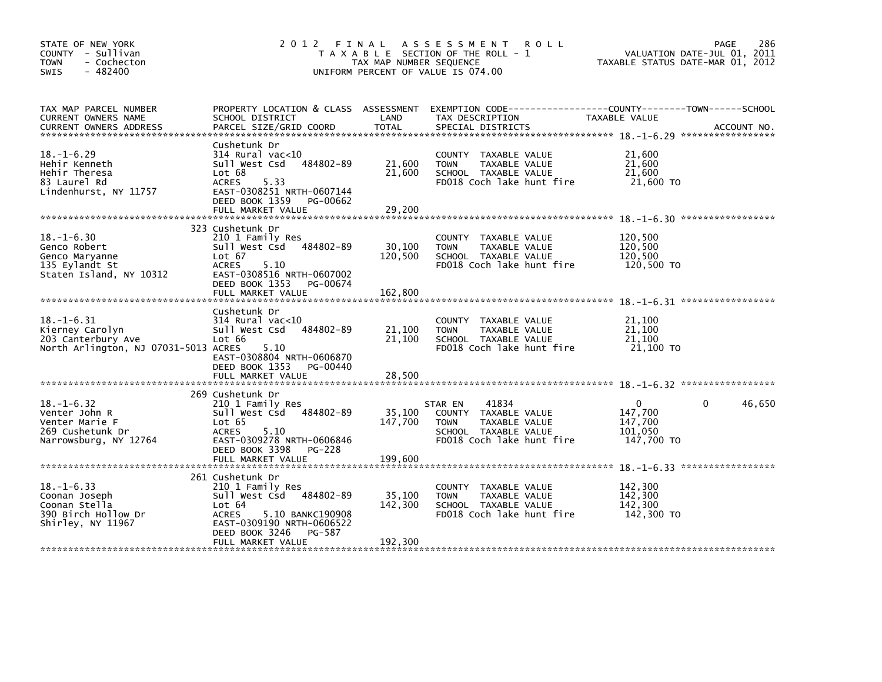| STATE OF NEW YORK<br>COUNTY - Sullivan<br><b>TOWN</b><br>- Cochecton<br>$-482400$<br><b>SWIS</b>  | 2012 FINAL                                                                                                                                                                                             | TAX MAP NUMBER SEQUENCE      | A S S E S S M E N T<br><b>ROLL</b><br>T A X A B L E SECTION OF THE ROLL - 1<br>UNIFORM PERCENT OF VALUE IS 074.00             | 286<br>PAGE<br>VALUATION DATE-JUL 01, 2011<br>TAXABLE STATUS DATE-MAR 01, 2012                 |
|---------------------------------------------------------------------------------------------------|--------------------------------------------------------------------------------------------------------------------------------------------------------------------------------------------------------|------------------------------|-------------------------------------------------------------------------------------------------------------------------------|------------------------------------------------------------------------------------------------|
| TAX MAP PARCEL NUMBER<br>CURRENT OWNERS NAME<br><b>CURRENT OWNERS ADDRESS</b>                     | PROPERTY LOCATION & CLASS ASSESSMENT<br>SCHOOL DISTRICT<br>PARCEL SIZE/GRID COORD                                                                                                                      | LAND<br><b>TOTAL</b>         | TAX DESCRIPTION<br>SPECIAL DISTRICTS                                                                                          | EXEMPTION CODE------------------COUNTY--------TOWN------SCHOOL<br>TAXABLE VALUE<br>ACCOUNT NO. |
| $18. - 1 - 6.29$<br>Hehir Kenneth<br>Hehir Theresa<br>83 Laurel Rd<br>Lindenhurst, NY 11757       | Cushetunk Dr<br>$314$ Rural vac<10<br>484802-89<br>Sull West Csd<br>Lot 68<br>ACRES<br>5.33<br>EAST-0308251 NRTH-0607144<br>DEED BOOK 1359<br>PG-00662<br>FULL MARKET VALUE                            | 21,600<br>21,600<br>29,200   | COUNTY TAXABLE VALUE<br>TAXABLE VALUE<br><b>TOWN</b><br>SCHOOL TAXABLE VALUE<br>FD018 Coch lake hunt fire                     | 21,600<br>21,600<br>21,600<br>21,600 TO                                                        |
| $18. - 1 - 6.30$<br>Genco Robert<br>Genco Maryanne<br>135 Eylandt St<br>Staten Island, NY 10312   | 323 Cushetunk Dr<br>210 1 Family Res<br>484802-89<br>Sull West Csd<br>Lot 67<br><b>ACRES</b><br>5.10<br>EAST-0308516 NRTH-0607002<br>DEED BOOK 1353<br>PG-00674<br>FULL MARKET VALUE                   | 30.100<br>120,500<br>162,800 | COUNTY TAXABLE VALUE<br><b>TOWN</b><br>TAXABLE VALUE<br>SCHOOL TAXABLE VALUE<br>FD018 Coch lake hunt fire                     | 120,500<br>120.500<br>120,500<br>120,500 TO                                                    |
| $18. - 1 - 6.31$<br>Kierney Carolyn<br>203 Canterbury Ave<br>North Arlington, NJ 07031-5013 ACRES | Cushetunk Dr<br>314 Rural vac<10<br>Sull West Csd<br>484802-89<br>Lot 66<br>5.10<br>EAST-0308804 NRTH-0606870<br>DEED BOOK 1353<br>PG-00440<br>FULL MARKET VALUE                                       | 21,100<br>21,100<br>28,500   | COUNTY TAXABLE VALUE<br>TAXABLE VALUE<br><b>TOWN</b><br>SCHOOL TAXABLE VALUE<br>FD018 Coch lake hunt fire                     | 21,100<br>21,100<br>21,100<br>21,100 TO                                                        |
| $18. - 1 - 6.32$<br>Venter John R<br>Venter Marie F<br>269 Cushetunk Dr<br>Narrowsburg, NY 12764  | 269 Cushetunk Dr<br>210 1 Family Res<br>484802-89<br>Sull West Csd<br>Lot 65<br><b>ACRES</b><br>5.10<br>EAST-0309278 NRTH-0606846<br>DEED BOOK 3398 PG-228<br>FULL MARKET VALUE                        | 35,100<br>147,700<br>199,600 | 41834<br>STAR EN<br>COUNTY TAXABLE VALUE<br><b>TOWN</b><br>TAXABLE VALUE<br>SCHOOL TAXABLE VALUE<br>FD018 Coch lake hunt fire | 46,650<br>$\Omega$<br>$\mathbf{0}$<br>147,700<br>147,700<br>101,050<br>147,700 TO              |
| $18. - 1 - 6.33$<br>Coonan Joseph<br>Coonan Stella<br>390 Birch Hollow Dr<br>Shirley, NY 11967    | 261 Cushetunk Dr<br>210 1 Family Res<br>Sull West Csd 484802-89<br>Lot <sub>64</sub><br>5.10 BANKC190908<br><b>ACRES</b><br>EAST-0309190 NRTH-0606522<br>DEED BOOK 3246<br>PG-587<br>FULL MARKET VALUE | 35,100<br>142,300<br>192,300 | COUNTY<br>TAXABLE VALUE<br>TAXABLE VALUE<br><b>TOWN</b><br>SCHOOL TAXABLE VALUE<br>FD018 Coch lake hunt fire                  | 142,300<br>142,300<br>142,300<br>142,300 TO                                                    |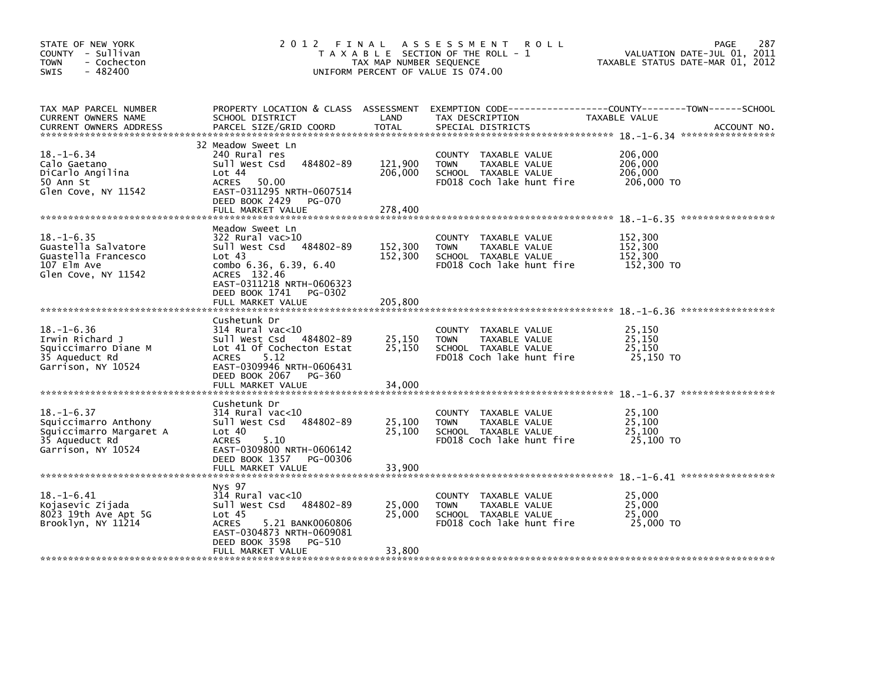| STATE OF NEW YORK<br>COUNTY - Sullivan<br><b>TOWN</b><br>- Cochecton<br>$-482400$<br><b>SWIS</b>            | 2 0 1 2                                                                                                                                                                                             | FINAL<br>TAX MAP NUMBER SEQUENCE | A S S E S S M E N T<br><b>ROLL</b><br>T A X A B L E SECTION OF THE ROLL - 1<br>UNIFORM PERCENT OF VALUE IS 074.00   | 287<br>PAGE<br>VALUATION DATE-JUL 01, 2011<br>TAXABLE STATUS DATE-MAR 01, 2012 |
|-------------------------------------------------------------------------------------------------------------|-----------------------------------------------------------------------------------------------------------------------------------------------------------------------------------------------------|----------------------------------|---------------------------------------------------------------------------------------------------------------------|--------------------------------------------------------------------------------|
| TAX MAP PARCEL NUMBER<br>CURRENT OWNERS NAME<br><b>CURRENT OWNERS ADDRESS</b>                               | PROPERTY LOCATION & CLASS ASSESSMENT<br>SCHOOL DISTRICT<br>PARCEL SIZE/GRID COORD                                                                                                                   | LAND<br><b>TOTAL</b>             | EXEMPTION CODE-----------<br>TAX DESCRIPTION<br>SPECIAL DISTRICTS                                                   | -----COUNTY--------TOWN------SCHOOL<br>TAXABLE VALUE<br>ACCOUNT NO.            |
| $18. - 1 - 6.34$<br>Calo Gaetano<br>DiCarlo Angilina<br>50 Ann St<br>Glen Cove, NY 11542                    | 32 Meadow Sweet Ln<br>240 Rural res<br>Sull West Csd<br>484802-89<br>Lot 44<br>ACRES<br>50.00<br>EAST-0311295 NRTH-0607514<br>DEED BOOK 2429<br>PG-070<br>FULL MARKET VALUE                         | 121,900<br>206,000<br>278,400    | COUNTY TAXABLE VALUE<br>TAXABLE VALUE<br><b>TOWN</b><br>SCHOOL TAXABLE VALUE<br>FD018 Coch lake hunt fire           | 206,000<br>206,000<br>206,000<br>206,000 TO                                    |
| $18. - 1 - 6.35$<br>Guastella Salvatore<br>Guastella Francesco<br>107 Elm Ave<br>Glen Cove, NY 11542        | Meadow Sweet Ln<br>322 Rural vac>10<br>Sull West Csd 484802-89<br>Lot $43$<br>combo 6.36, 6.39, 6.40<br>ACRES 132.46<br>EAST-0311218 NRTH-0606323<br>DEED BOOK 1741<br>PG-0302<br>FULL MARKET VALUE | 152,300<br>152,300<br>205,800    | COUNTY TAXABLE VALUE<br><b>TOWN</b><br>TAXABLE VALUE<br>SCHOOL TAXABLE VALUE<br>FD018 Coch lake hunt fire           | 152,300<br>152,300<br>152,300<br>152,300 TO                                    |
| $18. - 1 - 6.36$<br>Irwin Richard J<br>Squiccimarro Diane M<br>35 Aqueduct Rd<br>Garrison, NY 10524         | Cushetunk Dr<br>314 Rural vac<10<br>Sull West Csd<br>484802-89<br>Lot 41 Of Cochecton Estat<br><b>ACRES</b><br>5.12<br>EAST-0309946 NRTH-0606431<br>DEED BOOK 2067<br>PG-360<br>FULL MARKET VALUE   | 25,150<br>25,150<br>34,000       | COUNTY<br>TAXABLE VALUE<br><b>TOWN</b><br>TAXABLE VALUE<br>SCHOOL TAXABLE VALUE<br>FD018 Coch lake hunt fire        | 25,150<br>25,150<br>25,150<br>25,150 TO                                        |
| $18. - 1 - 6.37$<br>Squiccimarro Anthony<br>Squiccimarro Margaret A<br>35 Aqueduct Rd<br>Garrison, NY 10524 | Cushetunk Dr<br>314 Rural vac<10<br>484802-89<br>Sull West Csd<br>Lot 40<br><b>ACRES</b><br>5.10<br>EAST-0309800 NRTH-0606142<br>DEED BOOK 1357<br>PG-00306<br>FULL MARKET VALUE                    | 25,100<br>25,100<br>33,900       | <b>COUNTY</b><br>TAXABLE VALUE<br>TAXABLE VALUE<br><b>TOWN</b><br>SCHOOL TAXABLE VALUE<br>FD018 Coch lake hunt fire | 25,100<br>25,100<br>25,100<br>25,100 TO                                        |
| $18. - 1 - 6.41$<br>Kojasevic Zijada<br>8023 19th Ave Apt 5G<br>Brooklyn, NY 11214                          | Nys 97<br>$314$ Rural vac<10<br>484802-89<br>Sull West Csd<br>Lot <sub>45</sub><br><b>ACRES</b><br>5.21 BANK0060806<br>EAST-0304873 NRTH-0609081<br>DEED BOOK 3598<br>PG-510<br>FULL MARKET VALUE   | 25,000<br>25,000<br>33,800       | COUNTY<br>TAXABLE VALUE<br><b>TOWN</b><br>TAXABLE VALUE<br>SCHOOL TAXABLE VALUE<br>FD018 Coch lake hunt fire        | 25,000<br>25,000<br>25,000<br>25,000 TO                                        |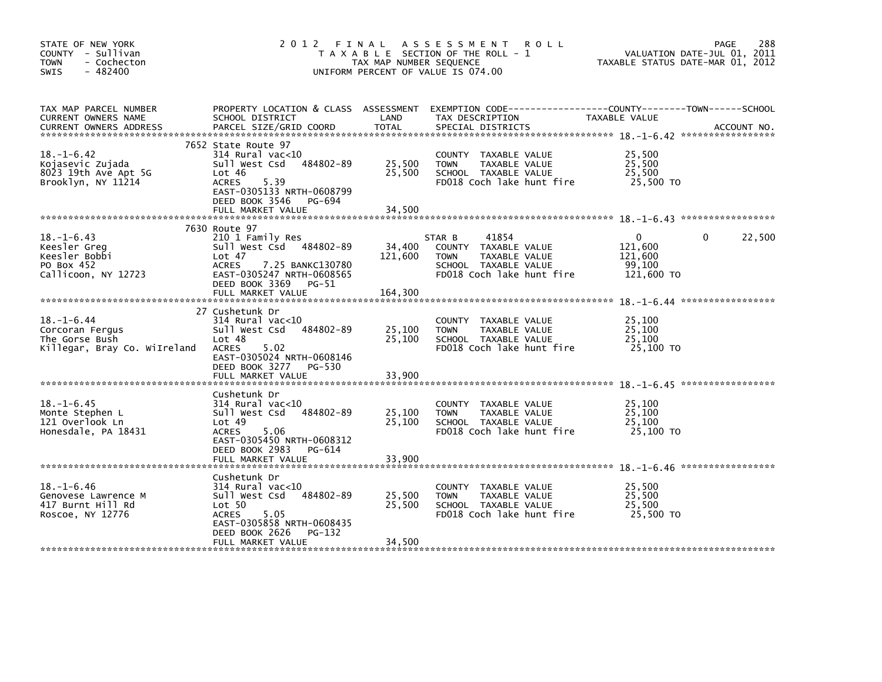| STATE OF NEW YORK<br>COUNTY - Sullivan<br><b>TOWN</b><br>- Cochecton<br>$-482400$<br>SWIS | 2 0 1 2                                                                                                                                                                             | TAX MAP NUMBER SEQUENCE    | FINAL ASSESSMENT<br><b>ROLL</b><br>T A X A B L E SECTION OF THE ROLL - 1<br>UNIFORM PERCENT OF VALUE IS 074.00               | TAXABLE STATUS DATE-MAR 01, 2012                       | 288<br><b>PAGE</b><br>VALUATION DATE-JUL 01, 2011 |
|-------------------------------------------------------------------------------------------|-------------------------------------------------------------------------------------------------------------------------------------------------------------------------------------|----------------------------|------------------------------------------------------------------------------------------------------------------------------|--------------------------------------------------------|---------------------------------------------------|
| TAX MAP PARCEL NUMBER<br>CURRENT OWNERS NAME<br><b>CURRENT OWNERS ADDRESS</b>             | PROPERTY LOCATION & CLASS ASSESSMENT<br>SCHOOL DISTRICT<br>PARCEL SIZE/GRID COORD                                                                                                   | LAND<br>TOTAL              | EXEMPTION CODE-----------------COUNTY-------TOWN------SCHOOL<br>TAX DESCRIPTION<br>SPECIAL DISTRICTS                         | TAXABLE VALUE                                          | ACCOUNT NO.                                       |
| $18. - 1 - 6.42$<br>Kojasevic Zujada<br>8023 19th Ave Apt 5G<br>Brooklyn, NY 11214        | 7652 State Route 97<br>$314$ Rural vac<10<br>Sull West Csd<br>484802-89<br>Lot $46$<br>5.39<br>ACRES<br>EAST-0305133 NRTH-0608799<br>DEED BOOK 3546<br>PG-694<br>FULL MARKET VALUE  | 25,500<br>25,500<br>34,500 | COUNTY TAXABLE VALUE<br><b>TOWN</b><br>TAXABLE VALUE<br>SCHOOL TAXABLE VALUE<br>FD018 Coch lake hunt fire                    | 25,500<br>25,500<br>25,500<br>25,500 TO                |                                                   |
|                                                                                           |                                                                                                                                                                                     |                            |                                                                                                                              |                                                        |                                                   |
| $18. - 1 - 6.43$<br>Keesler Greg<br>Keesler Bobbi<br>PO Box 452<br>Callicoon, NY 12723    | 7630 Route 97<br>210 1 Family Res<br>484802-89<br>Sull West Csd<br>Lot 47<br>ACRES<br>7.25 BANKC130780<br>EAST-0305247 NRTH-0608565<br>DEED BOOK 3369<br>PG-51                      | 34,400<br>121,600          | 41854<br>STAR B<br>COUNTY TAXABLE VALUE<br>TAXABLE VALUE<br><b>TOWN</b><br>SCHOOL TAXABLE VALUE<br>FD018 Coch lake hunt fire | $\Omega$<br>121,600<br>121,600<br>99,100<br>121,600 TO | 22,500<br>$\Omega$                                |
|                                                                                           | FULL MARKET VALUE                                                                                                                                                                   | 164,300                    |                                                                                                                              |                                                        |                                                   |
| $18. - 1 - 6.44$<br>Corcoran Fergus<br>The Gorse Bush<br>Killegar, Bray Co. WiIreland     | 27 Cushetunk Dr<br>$314$ Rural vac<10<br>484802-89<br>Sull West Csd<br>Lot 48<br><b>ACRES</b><br>5.02<br>EAST-0305024 NRTH-0608146<br>DEED BOOK 3277 PG-530<br>FULL MARKET VALUE    | 25,100<br>25,100<br>33,900 | COUNTY TAXABLE VALUE<br><b>TOWN</b><br>TAXABLE VALUE<br>SCHOOL TAXABLE VALUE<br>FD018 Coch lake hunt fire                    | 25,100<br>25,100<br>25,100<br>25,100 TO                |                                                   |
| $18. - 1 - 6.45$<br>Monte Stephen L<br>121 Overlook Ln<br>Honesdale, PA 18431             | Cushetunk Dr<br>$314$ Rural vac< $10$<br>484802-89<br>Sull West Csd<br>Lot 49<br><b>ACRES</b><br>5.06<br>EAST-0305450 NRTH-0608312<br>DEED BOOK 2983<br>PG-614<br>FULL MARKET VALUE | 25,100<br>25,100<br>33,900 | COUNTY TAXABLE VALUE<br><b>TOWN</b><br>TAXABLE VALUE<br>SCHOOL TAXABLE VALUE<br>FD018 Coch lake hunt fire                    | 25.100<br>25,100<br>25,100<br>25,100 TO                |                                                   |
| $18. - 1 - 6.46$<br>Genovese Lawrence M<br>417 Burnt Hill Rd<br>Roscoe, NY 12776          | Cushetunk Dr<br>$314$ Rural vac<10<br>Sull West Csd<br>484802-89<br>Lot 50<br><b>ACRES</b><br>5.05<br>EAST-0305858 NRTH-0608435<br>DEED BOOK 2626<br>PG-132<br>FULL MARKET VALUE    | 25,500<br>25,500<br>34,500 | COUNTY<br>TAXABLE VALUE<br><b>TOWN</b><br>TAXABLE VALUE<br>SCHOOL TAXABLE VALUE<br>FD018 Coch lake hunt fire                 | 25,500<br>25,500<br>25,500<br>25,500 TO                |                                                   |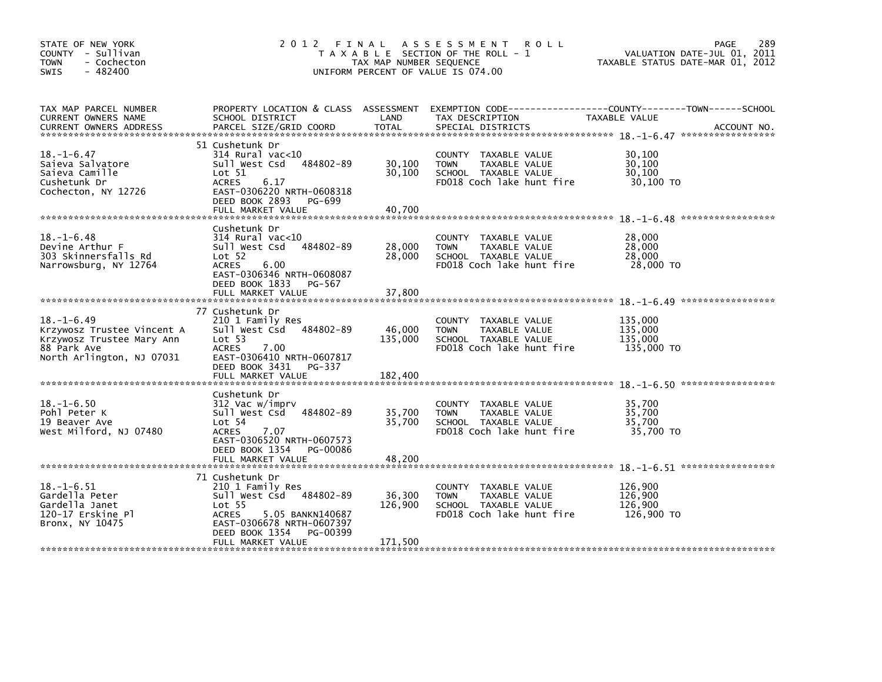| STATE OF NEW YORK<br>COUNTY - Sullivan<br><b>TOWN</b><br>- Cochecton<br>$-482400$<br><b>SWIS</b>                        | 2 0 1 2                                                                                                                                                                                                 | FINAL<br>TAX MAP NUMBER SEQUENCE | A S S E S S M E N T<br><b>ROLL</b><br>T A X A B L E SECTION OF THE ROLL - 1<br>UNIFORM PERCENT OF VALUE IS 074.00 | 289<br><b>PAGE</b><br>VALUATION DATE-JUL 01, 2011<br>TAXABLE STATUS DATE-MAR 01, 2012 |
|-------------------------------------------------------------------------------------------------------------------------|---------------------------------------------------------------------------------------------------------------------------------------------------------------------------------------------------------|----------------------------------|-------------------------------------------------------------------------------------------------------------------|---------------------------------------------------------------------------------------|
| TAX MAP PARCEL NUMBER<br>CURRENT OWNERS NAME<br><b>CURRENT OWNERS ADDRESS</b>                                           | PROPERTY LOCATION & CLASS ASSESSMENT<br>SCHOOL DISTRICT<br>PARCEL SIZE/GRID COORD                                                                                                                       | LAND<br><b>TOTAL</b>             | TAX DESCRIPTION<br>SPECIAL DISTRICTS                                                                              | TAXABLE VALUE<br>ACCOUNT NO.                                                          |
| $18. - 1 - 6.47$<br>Saieva Salvatore<br>Saieva Camille<br>Cushetunk Dr<br>Cochecton, NY 12726                           | 51 Cushetunk Dr<br>$314$ Rural vac< $10$<br>484802-89<br>Sull West Csd<br>Lot 51<br><b>ACRES</b><br>6.17<br>EAST-0306220 NRTH-0608318<br>DEED BOOK 2893 PG-699<br>FULL MARKET VALUE                     | 30,100<br>30,100<br>40,700       | COUNTY TAXABLE VALUE<br><b>TOWN</b><br>TAXABLE VALUE<br>SCHOOL TAXABLE VALUE<br>FD018 Coch lake hunt fire         | 30,100<br>30.100<br>30,100<br>30,100 TO                                               |
|                                                                                                                         | Cushetunk Dr                                                                                                                                                                                            |                                  |                                                                                                                   |                                                                                       |
| $18. - 1 - 6.48$<br>Devine Arthur F<br>303 Skinnersfalls Rd<br>Narrowsburg, NY 12764                                    | $314$ Rural vac<10<br>484802-89<br>Sull West Csd<br>Lot 52<br><b>ACRES</b><br>6.00<br>EAST-0306346 NRTH-0608087<br>DEED BOOK 1833 PG-567                                                                | 28,000<br>28,000                 | COUNTY TAXABLE VALUE<br><b>TOWN</b><br>TAXABLE VALUE<br>SCHOOL TAXABLE VALUE<br>FD018 Coch lake hunt fire         | 28,000<br>28,000<br>28,000<br>28,000 TO                                               |
|                                                                                                                         | FULL MARKET VALUE                                                                                                                                                                                       | 37,800                           |                                                                                                                   |                                                                                       |
| $18. - 1 - 6.49$<br>Krzywosz Trustee Vincent A<br>Krzywosz Trustee Mary Ann<br>88 Park Ave<br>North Arlington, NJ 07031 | 77 Cushetunk Dr<br>210 1 Family Res<br>Sull West Csd<br>484802-89<br>Lot 53<br><b>ACRES</b><br>7.00<br>EAST-0306410 NRTH-0607817<br>DEED BOOK 3431 PG-337                                               | 46,000<br>135,000                | COUNTY TAXABLE VALUE<br>TAXABLE VALUE<br>TOWN<br>SCHOOL TAXABLE VALUE<br>FD018 Coch lake hunt fire                | 135.000<br>135,000<br>135,000<br>135,000 TO                                           |
|                                                                                                                         | FULL MARKET VALUE                                                                                                                                                                                       | 182,400                          |                                                                                                                   |                                                                                       |
| $18. - 1 - 6.50$<br>Pohl Peter K<br>19 Beaver Ave<br>West Milford, NJ 07480                                             | Cushetunk Dr<br>312 Vac w/imprv<br>484802-89<br>Sull West Csd<br>Lot 54<br><b>ACRES</b><br>7.07<br>EAST-0306520 NRTH-0607573<br>DEED BOOK 1354 PG-00086                                                 | 35,700<br>35,700                 | COUNTY TAXABLE VALUE<br>TAXABLE VALUE<br><b>TOWN</b><br>SCHOOL TAXABLE VALUE<br>FD018 Coch lake hunt fire         | 35,700<br>35,700<br>35,700<br>35,700 TO                                               |
|                                                                                                                         | FULL MARKET VALUE                                                                                                                                                                                       | 48,200                           |                                                                                                                   |                                                                                       |
| $18. - 1 - 6.51$<br>Gardella Peter<br>Gardella Janet<br>120-17 Erskine Pl<br>Bronx, NY 10475                            | 71 Cushetunk Dr<br>210 1 Family Res<br>Sull West Csd 484802-89<br>Lot <sub>55</sub><br><b>ACRES</b><br>5.05 BANKN140687<br>EAST-0306678 NRTH-0607397<br>DEED BOOK 1354<br>PG-00399<br>FULL MARKET VALUE | 36,300<br>126,900<br>171,500     | TAXABLE VALUE<br>COUNTY<br>TAXABLE VALUE<br><b>TOWN</b><br>SCHOOL TAXABLE VALUE<br>FD018 Coch lake hunt fire      | 126,900<br>126,900<br>126,900<br>126,900 TO                                           |
|                                                                                                                         |                                                                                                                                                                                                         |                                  |                                                                                                                   |                                                                                       |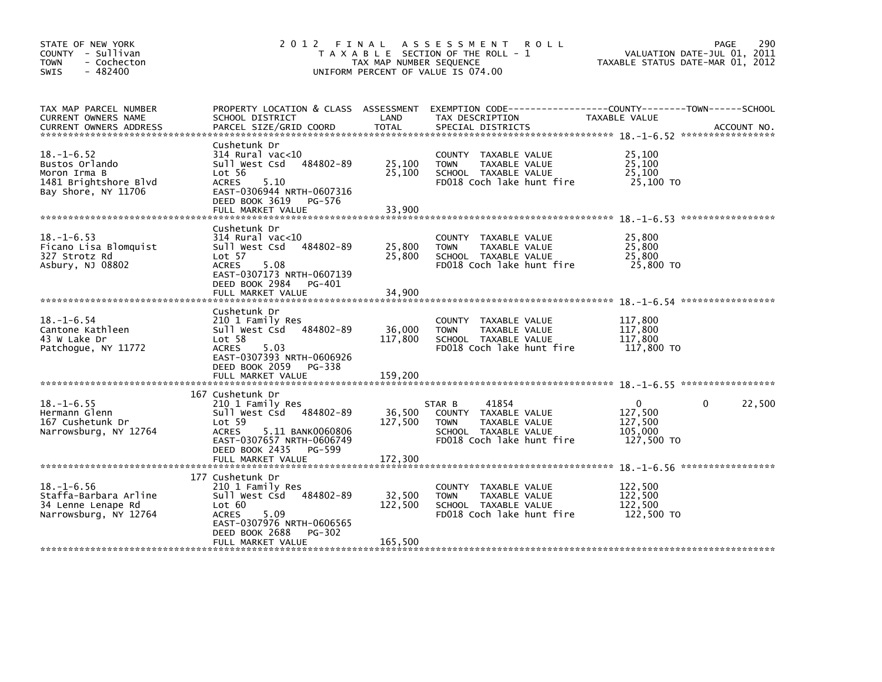| STATE OF NEW YORK<br>COUNTY - Sullivan<br><b>TOWN</b><br>- Cochecton<br>$-482400$<br><b>SWIS</b>   | 2012 FINAL<br>T A X A B L E SECTION OF THE ROLL - 1<br>TAX MAP NUMBER SEQUENCE<br>UNIFORM PERCENT OF VALUE IS 074.00                                                           | 290<br>PAGE<br>VALUATION DATE-JUL 01, 2011<br>TAXABLE STATUS DATE-MAR 01, 2012 |                                                                                                                              |                                                                               |
|----------------------------------------------------------------------------------------------------|--------------------------------------------------------------------------------------------------------------------------------------------------------------------------------|--------------------------------------------------------------------------------|------------------------------------------------------------------------------------------------------------------------------|-------------------------------------------------------------------------------|
| TAX MAP PARCEL NUMBER<br>CURRENT OWNERS NAME<br><b>CURRENT OWNERS ADDRESS</b>                      | PROPERTY LOCATION & CLASS ASSESSMENT<br>SCHOOL DISTRICT<br>PARCEL SIZE/GRID COORD                                                                                              | LAND<br><b>TOTAL</b>                                                           | TAX DESCRIPTION<br>SPECIAL DISTRICTS                                                                                         | TAXABLE VALUE<br>ACCOUNT NO.                                                  |
| $18. - 1 - 6.52$<br>Bustos Orlando<br>Moron Irma B<br>1481 Brightshore Blvd<br>Bay Shore, NY 11706 | Cushetunk Dr<br>314 Rural vac<10<br>484802-89<br>Sull West Csd<br>Lot 56<br><b>ACRES</b><br>5.10<br>EAST-0306944 NRTH-0607316<br>DEED BOOK 3619<br>PG-576<br>FULL MARKET VALUE | 25,100<br>25,100<br>33,900                                                     | COUNTY TAXABLE VALUE<br>TAXABLE VALUE<br><b>TOWN</b><br>SCHOOL TAXABLE VALUE<br>FD018 Coch lake hunt fire                    | 25,100<br>25,100<br>25.100<br>25,100 TO                                       |
| $18. - 1 - 6.53$<br>Ficano Lisa Blomquist<br>327 Strotz Rd<br>Asbury, NJ 08802                     | Cushetunk Dr<br>$314$ Rural vac< $10$<br>484802-89<br>Sull West Csd<br>Lot 57<br><b>ACRES</b><br>5.08<br>EAST-0307173 NRTH-0607139<br>DEED BOOK 2984<br>PG-401                 | 25,800<br>25,800                                                               | COUNTY TAXABLE VALUE<br>TAXABLE VALUE<br><b>TOWN</b><br>SCHOOL TAXABLE VALUE<br>FD018 Coch lake hunt fire                    | 25,800<br>25,800<br>25,800<br>25,800 TO                                       |
|                                                                                                    | FULL MARKET VALUE                                                                                                                                                              | 34,900                                                                         |                                                                                                                              |                                                                               |
| $18. - 1 - 6.54$<br>Cantone Kathleen<br>43 W Lake Dr<br>Patchoque, NY 11772                        | Cushetunk Dr<br>210 1 Family Res<br>484802-89<br>Sull West Csd<br>Lot 58<br>5.03<br>ACRES<br>EAST-0307393 NRTH-0606926<br>DEED BOOK 2059 PG-338                                | 36,000<br>117,800                                                              | COUNTY TAXABLE VALUE<br>TAXABLE VALUE<br><b>TOWN</b><br>SCHOOL TAXABLE VALUE<br>FD018 Coch lake hunt fire                    | 117.800<br>117,800<br>117.800<br>117,800 TO                                   |
|                                                                                                    | FULL MARKET VALUE                                                                                                                                                              | 159,200                                                                        |                                                                                                                              |                                                                               |
| $18. - 1 - 6.55$<br>Hermann Glenn<br>167 Cushetunk Dr<br>Narrowsburg, NY 12764                     | 167 Cushetunk Dr<br>210 1 Family Res<br>Sull West Csd 484802-89<br>Lot 59<br><b>ACRES</b><br>5.11 BANK0060806<br>EAST-0307657 NRTH-0606749<br>DEED BOOK 2435<br>PG-599         | 36,500<br>127,500                                                              | 41854<br>STAR B<br>COUNTY TAXABLE VALUE<br>TAXABLE VALUE<br><b>TOWN</b><br>SCHOOL TAXABLE VALUE<br>FD018 Coch lake hunt fire | 22,500<br>$\Omega$<br>$\Omega$<br>127,500<br>127,500<br>105,000<br>127,500 TO |
|                                                                                                    |                                                                                                                                                                                |                                                                                |                                                                                                                              |                                                                               |
| $18. - 1 - 6.56$<br>Staffa-Barbara Arline<br>34 Lenne Lenape Rd<br>Narrowsburg, NY 12764           | 177 Cushetunk Dr<br>210 1 Family Res<br>Sull West Csd 484802-89<br>Lot 60<br>5.09<br>ACRES<br>EAST-0307976 NRTH-0606565<br>DEED BOOK 2688<br>PG-302                            | 32,500<br>122,500                                                              | COUNTY TAXABLE VALUE<br>TAXABLE VALUE<br><b>TOWN</b><br>SCHOOL TAXABLE VALUE<br>FD018 Coch lake hunt fire                    | 122,500<br>122,500<br>122,500<br>122,500 TO                                   |
|                                                                                                    | FULL MARKET VALUE                                                                                                                                                              | 165,500                                                                        |                                                                                                                              |                                                                               |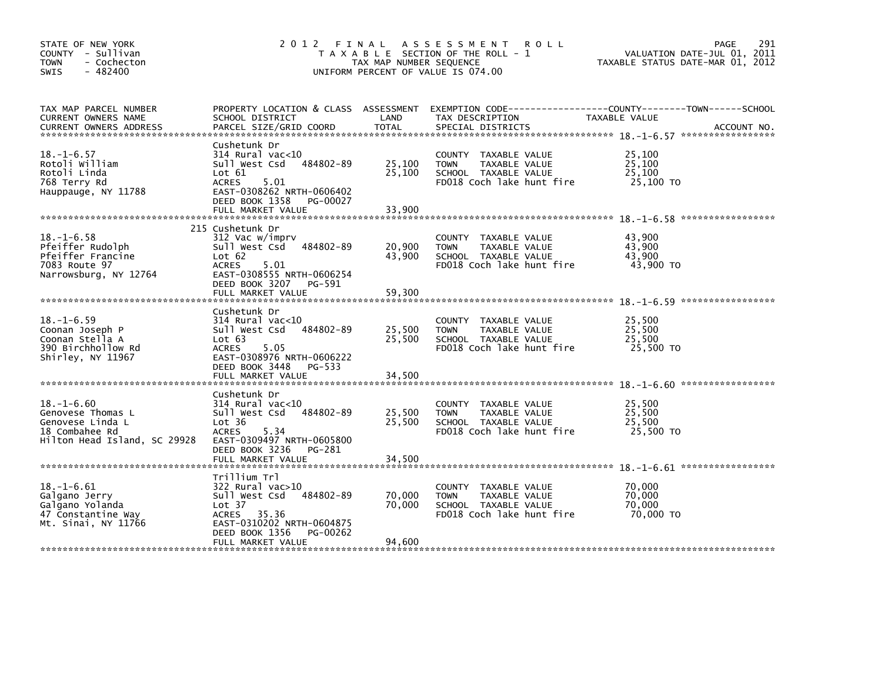| STATE OF NEW YORK<br>COUNTY - Sullivan<br><b>TOWN</b><br>- Cochecton<br>$-482400$<br>SWIS                   | 2012<br>FINAL<br>T A X A B L E SECTION OF THE ROLL - 1<br>TAX MAP NUMBER SEQUENCE<br>UNIFORM PERCENT OF VALUE IS 074.00                                                                              | 291<br><b>PAGE</b><br>VALUATION DATE-JUL 01, 2011<br>TAXABLE STATUS DATE-MAR 01, 2012 |                                                                                                              |                                                                                                                                |
|-------------------------------------------------------------------------------------------------------------|------------------------------------------------------------------------------------------------------------------------------------------------------------------------------------------------------|---------------------------------------------------------------------------------------|--------------------------------------------------------------------------------------------------------------|--------------------------------------------------------------------------------------------------------------------------------|
| TAX MAP PARCEL NUMBER<br>CURRENT OWNERS NAME<br><b>CURRENT OWNERS ADDRESS</b>                               | SCHOOL DISTRICT<br>PARCEL SIZE/GRID COORD                                                                                                                                                            | LAND<br>TOTAL                                                                         | TAX DESCRIPTION<br>SPECIAL DISTRICTS                                                                         | PROPERTY LOCATION & CLASS ASSESSMENT EXEMPTION CODE---------------COUNTY-------TOWN-----SCHOOL<br>TAXABLE VALUE<br>ACCOUNT NO. |
| $18. - 1 - 6.57$<br>Rotoli William<br>Rotoli Linda<br>768 Terry Rd<br>Hauppauge, NY 11788                   | Cushetunk Dr<br>$314$ Rural vac< $10$<br>484802-89<br>Sull West Csd<br>$\textsf{Lot} \ \ 61$<br><b>ACRES</b><br>5.01<br>EAST-0308262 NRTH-0606402<br>DEED BOOK 1358<br>PG-00027<br>FULL MARKET VALUE | 25,100<br>25,100<br>33,900                                                            | COUNTY TAXABLE VALUE<br><b>TOWN</b><br>TAXABLE VALUE<br>SCHOOL TAXABLE VALUE<br>FD018 Coch lake hunt fire    | 25,100<br>25,100<br>25,100<br>25,100 TO                                                                                        |
| $18. - 1 - 6.58$<br>Pfeiffer Rudolph                                                                        | 215 Cushetunk Dr<br>312 Vac w/imprv<br>Sull West Csd<br>484802-89                                                                                                                                    | 20,900                                                                                | COUNTY TAXABLE VALUE<br>TAXABLE VALUE<br><b>TOWN</b>                                                         | 43,900<br>43,900                                                                                                               |
| Pfeiffer Francine<br>7083 Route 97<br>Narrowsburg, NY 12764                                                 | Lot 62<br><b>ACRES</b><br>5.01<br>EAST-0308555 NRTH-0606254<br>DEED BOOK 3207 PG-591                                                                                                                 | 43,900                                                                                | SCHOOL TAXABLE VALUE<br>FD018 Coch lake hunt fire                                                            | 43,900<br>43,900 TO                                                                                                            |
|                                                                                                             | FULL MARKET VALUE                                                                                                                                                                                    | 59,300                                                                                |                                                                                                              |                                                                                                                                |
| $18. - 1 - 6.59$<br>Coonan Joseph P<br>Coonan Stella A<br>390 Birchhollow Rd<br>Shirley, NY 11967           | Cushetunk Dr<br>$314$ Rural vac<10<br>484802-89<br>Sull West Csd<br>Lot 63<br><b>ACRES</b><br>5.05<br>EAST-0308976 NRTH-0606222<br>DEED BOOK 3448 PG-533                                             | 25,500<br>25,500                                                                      | COUNTY TAXABLE VALUE<br>TAXABLE VALUE<br><b>TOWN</b><br>SCHOOL TAXABLE VALUE<br>FD018 Coch lake hunt fire    | 25.500<br>25,500<br>25,500<br>25,500 TO                                                                                        |
|                                                                                                             | FULL MARKET VALUE                                                                                                                                                                                    | 34,500                                                                                |                                                                                                              |                                                                                                                                |
| $18. - 1 - 6.60$<br>Genovese Thomas L<br>Genovese Linda L<br>18 Combahee Rd<br>Hilton Head Island, SC 29928 | Cushetunk Dr<br>$314$ Rural vac<10<br>484802-89<br>Sull West Csd<br>Lot 36<br><b>ACRES</b><br>5.34<br>EAST-0309497 NRTH-0605800                                                                      | 25,500<br>25,500                                                                      | COUNTY TAXABLE VALUE<br>TAXABLE VALUE<br><b>TOWN</b><br>SCHOOL TAXABLE VALUE<br>FD018 Coch lake hunt fire    | 25.500<br>25,500<br>25,500<br>25,500 TO                                                                                        |
|                                                                                                             | DEED BOOK 3236<br>PG-281                                                                                                                                                                             |                                                                                       |                                                                                                              |                                                                                                                                |
| $18. - 1 - 6.61$<br>Galgano Jerry<br>Galgano Yolanda<br>47 Constantine Way<br>Mt. Sinai, NY 11766           | Trillium Trl<br>$322$ Rural vac $>10$<br>Sull West Csd<br>484802-89<br>Lot 37<br>ACRES 35.36<br>EAST-0310202 NRTH-0604875<br>DEED BOOK 1356<br>PG-00262                                              | 70,000<br>70,000                                                                      | COUNTY<br>TAXABLE VALUE<br>TAXABLE VALUE<br><b>TOWN</b><br>SCHOOL TAXABLE VALUE<br>FD018 Coch lake hunt fire | 70,000<br>70.000<br>70,000<br>70,000 TO                                                                                        |
|                                                                                                             | FULL MARKET VALUE                                                                                                                                                                                    | 94,600                                                                                |                                                                                                              |                                                                                                                                |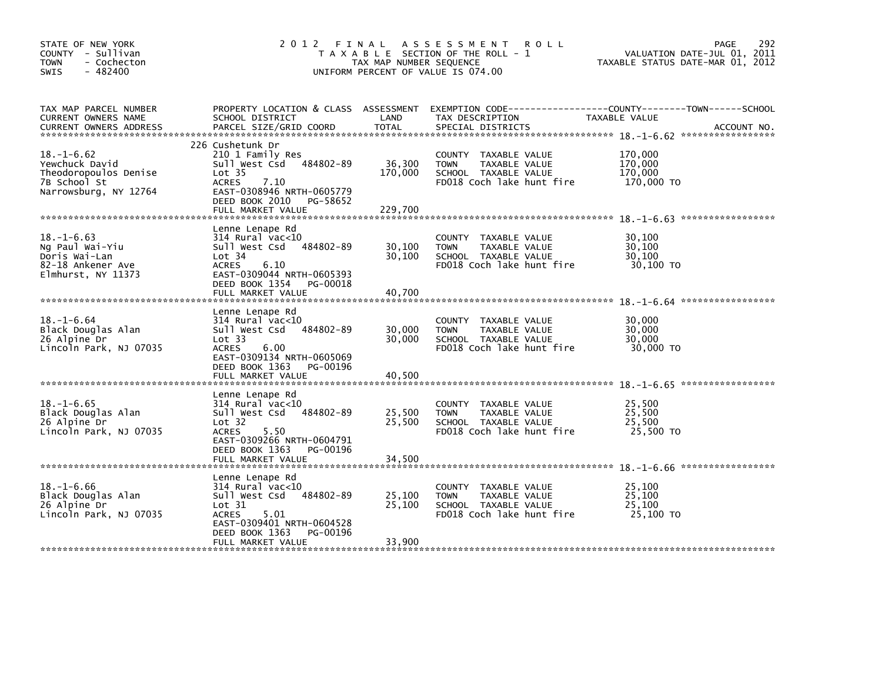| STATE OF NEW YORK<br>COUNTY - Sullivan<br><b>TOWN</b><br>- Cochecton<br>$-482400$<br><b>SWIS</b>                                       | 2 0 1 2                                                                                                                                                                                          | FINAL<br>TAX MAP NUMBER SEQUENCE | A S S E S S M E N T<br><b>ROLL</b><br>T A X A B L E SECTION OF THE ROLL - 1<br>UNIFORM PERCENT OF VALUE IS 074.00   | 292<br><b>PAGE</b><br>VALUATION DATE-JUL 01, 2011<br>TAXABLE STATUS DATE-MAR 01, 2012 |
|----------------------------------------------------------------------------------------------------------------------------------------|--------------------------------------------------------------------------------------------------------------------------------------------------------------------------------------------------|----------------------------------|---------------------------------------------------------------------------------------------------------------------|---------------------------------------------------------------------------------------|
| TAX MAP PARCEL NUMBER<br>CURRENT OWNERS NAME<br><b>CURRENT OWNERS ADDRESS</b>                                                          | PROPERTY LOCATION & CLASS ASSESSMENT<br>SCHOOL DISTRICT<br>PARCEL SIZE/GRID COORD                                                                                                                | LAND<br><b>TOTAL</b>             | TAX DESCRIPTION<br>SPECIAL DISTRICTS                                                                                | TAXABLE VALUE<br>ACCOUNT NO.                                                          |
| $18. - 1 - 6.62$<br>Yewchuck David<br>Theodoropoulos Denise<br>7B School St<br>Narrowsburg, NY 12764<br>****************************** | 226 Cushetunk Dr<br>210 1 Family Res<br>Sull West Csd<br>484802-89<br>Lot <sub>35</sub><br><b>ACRES</b><br>7.10<br>EAST-0308946 NRTH-0605779<br>DEED BOOK 2010<br>PG-58652<br>FULL MARKET VALUE  | 36,300<br>170,000<br>229,700     | COUNTY TAXABLE VALUE<br><b>TOWN</b><br>TAXABLE VALUE<br>SCHOOL TAXABLE VALUE<br>FD018 Coch lake hunt fire           | 170,000<br>170,000<br>170,000<br>170,000 TO                                           |
| $18. - 1 - 6.63$<br>Ng Paul Wai-Yiu<br>Doris Wai-Lan<br>82-18 Ankener Ave<br>Elmhurst, NY 11373                                        | Lenne Lenape Rd<br>314 Rural vac<10<br>Sull West Csd<br>484802-89<br>Lot 34<br><b>ACRES</b><br>6.10<br>EAST-0309044 NRTH-0605393<br>DEED BOOK 1354<br>PG-00018<br>FULL MARKET VALUE              | 30,100<br>30,100<br>40,700       | <b>COUNTY</b><br>TAXABLE VALUE<br>TAXABLE VALUE<br><b>TOWN</b><br>SCHOOL TAXABLE VALUE<br>FD018 Coch lake hunt fire | 30,100<br>30,100<br>30,100<br>30,100 TO                                               |
| $18. - 1 - 6.64$<br>Black Douglas Alan<br>26 Alpine Dr<br>Lincoln Park, NJ 07035                                                       | Lenne Lenape Rd<br>314 Rural vac<10<br>484802-89<br>Sull West Csd<br>Lot 33<br>6.00<br><b>ACRES</b><br>EAST-0309134 NRTH-0605069<br>DEED BOOK 1363<br>PG-00196<br>FULL MARKET VALUE              | 30,000<br>30,000<br>40,500       | <b>COUNTY</b><br>TAXABLE VALUE<br>TAXABLE VALUE<br><b>TOWN</b><br>SCHOOL TAXABLE VALUE<br>FD018 Coch lake hunt fire | 30,000<br>30,000<br>30,000<br>30,000 TO                                               |
| $18. - 1 - 6.65$<br>Black Douglas Alan<br>26 Alpine Dr<br>Lincoln Park, NJ 07035                                                       | Lenne Lenape Rd<br>$314$ Rural vac<10<br>Sull West Csd<br>484802-89<br>Lot <sub>32</sub><br><b>ACRES</b><br>5.50<br>EAST-0309266 NRTH-0604791<br>DEED BOOK 1363<br>PG-00196<br>FULL MARKET VALUE | 25,500<br>25,500<br>34,500       | <b>COUNTY</b><br>TAXABLE VALUE<br><b>TOWN</b><br>TAXABLE VALUE<br>SCHOOL TAXABLE VALUE<br>FD018 Coch lake hunt fire | 25,500<br>25,500<br>25,500<br>25,500 TO                                               |
| $18. - 1 - 6.66$<br>Black Douglas Alan<br>26 Alpine Dr<br>Lincoln Park, NJ 07035                                                       | Lenne Lenape Rd<br>$314$ Rural vac<10<br>484802-89<br>Sull West Csd<br>Lot 31<br>5.01<br><b>ACRES</b><br>EAST-0309401 NRTH-0604528<br>DEED BOOK 1363<br>PG-00196<br>FULL MARKET VALUE            | 25,100<br>25,100<br>33,900       | <b>COUNTY</b><br>TAXABLE VALUE<br>TAXABLE VALUE<br><b>TOWN</b><br>SCHOOL TAXABLE VALUE<br>FD018 Coch lake hunt fire | 25.100<br>25,100<br>25,100<br>25,100 TO                                               |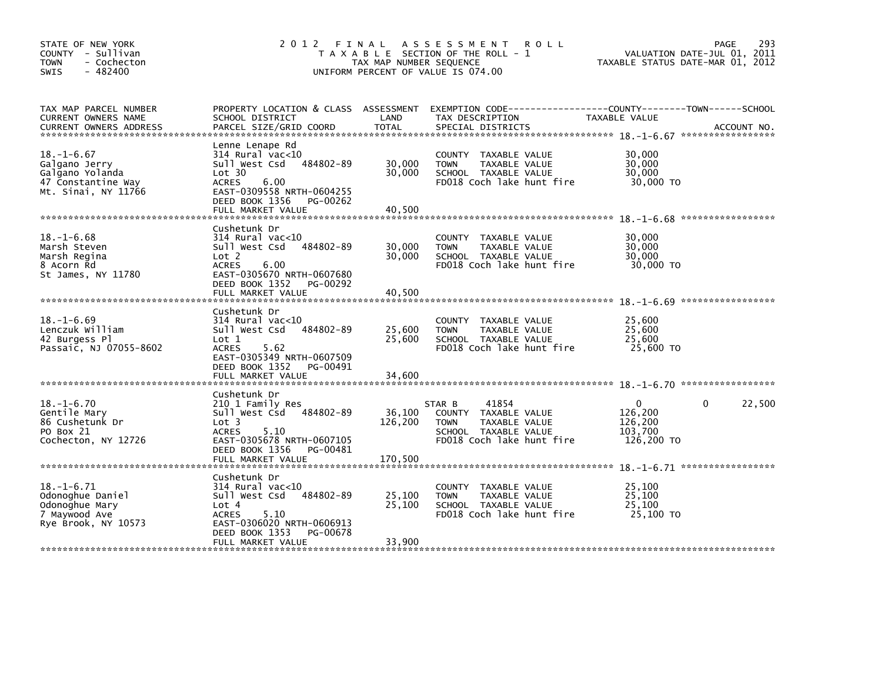| STATE OF NEW YORK<br>COUNTY - Sullivan<br><b>TOWN</b><br>- Cochecton<br>$-482400$<br>SWIS         | 2012<br>FINAL<br>T A X A B L E SECTION OF THE ROLL - 1<br>TAX MAP NUMBER SEQUENCE<br>UNIFORM PERCENT OF VALUE IS 074.00                                                                         | PAGE<br>VALUATION DATE-JUL 01, 2011<br>TAXABLE STATUS DATE-MAR 01, 2012 | 293                                                                                                                          |                                                                             |             |
|---------------------------------------------------------------------------------------------------|-------------------------------------------------------------------------------------------------------------------------------------------------------------------------------------------------|-------------------------------------------------------------------------|------------------------------------------------------------------------------------------------------------------------------|-----------------------------------------------------------------------------|-------------|
| TAX MAP PARCEL NUMBER<br>CURRENT OWNERS NAME<br><b>CURRENT OWNERS ADDRESS</b>                     | PROPERTY LOCATION & CLASS ASSESSMENT<br>SCHOOL DISTRICT<br>PARCEL SIZE/GRID COORD                                                                                                               | LAND<br><b>TOTAL</b>                                                    | TAX DESCRIPTION<br>SPECIAL DISTRICTS                                                                                         | TAXABLE VALUE                                                               | ACCOUNT NO. |
| $18. - 1 - 6.67$<br>Galgano Jerry<br>Galgano Yolanda<br>47 Constantine Way<br>Mt. Sinai, NY 11766 | Lenne Lenape Rd<br>$314$ Rural vac<10<br>484802-89<br>Sull West Csd<br>Lot 30<br><b>ACRES</b><br>6.00<br>EAST-0309558 NRTH-0604255<br>DEED BOOK 1356<br>PG-00262<br>FULL MARKET VALUE           | 30,000<br>30,000<br>40,500                                              | COUNTY TAXABLE VALUE<br><b>TOWN</b><br>TAXABLE VALUE<br>SCHOOL TAXABLE VALUE<br>FD018 Coch lake hunt fire                    | 30,000<br>30,000<br>30,000<br>30,000 TO                                     |             |
| $18. - 1 - 6.68$<br>Marsh Steven<br>Marsh Regina<br>8 Acorn Rd<br>St James, NY 11780              | Cushetunk Dr<br>$314$ Rural vac< $10$<br>Sull West Csd<br>484802-89<br>Lot <sub>2</sub><br><b>ACRES</b><br>6.00<br>EAST-0305670 NRTH-0607680<br>DEED BOOK 1352<br>PG-00292<br>FULL MARKET VALUE | 30,000<br>30,000<br>40,500                                              | COUNTY TAXABLE VALUE<br>TAXABLE VALUE<br><b>TOWN</b><br>SCHOOL TAXABLE VALUE<br>FD018 Coch lake hunt fire                    | 30,000<br>30,000<br>30,000<br>30,000 TO                                     |             |
| $18. - 1 - 6.69$<br>Lenczuk William<br>42 Burgess Pl<br>Passaic, NJ 07055-8602                    | Cushetunk Dr<br>$314$ Rural vac<10<br>Sull West Csd<br>484802-89<br>Lot 1<br><b>ACRES</b><br>5.62<br>EAST-0305349 NRTH-0607509<br>DEED BOOK 1352<br>PG-00491<br>FULL MARKET VALUE               | 25,600<br>25,600<br>34,600                                              | COUNTY TAXABLE VALUE<br>TAXABLE VALUE<br><b>TOWN</b><br>SCHOOL TAXABLE VALUE<br>FD018 Coch lake hunt fire                    | 25,600<br>25,600<br>25,600<br>25,600 TO                                     |             |
| $18. - 1 - 6.70$<br>Gentile Mary<br>86 Cushetunk Dr<br>PO Box 21<br>Cochecton, NY 12726           | Cushetunk Dr<br>210 1 Family Res<br>Sull West Csd<br>484802-89<br>Lot <sub>3</sub><br><b>ACRES</b><br>5.10<br>EAST-0305678 NRTH-0607105<br>DEED BOOK 1356<br>PG-00481                           | 36,100<br>126,200                                                       | 41854<br>STAR B<br>COUNTY TAXABLE VALUE<br>TAXABLE VALUE<br><b>TOWN</b><br>SCHOOL TAXABLE VALUE<br>FD018 Coch lake hunt fire | $\mathbf{0}$<br>$\mathbf{0}$<br>126,200<br>126,200<br>103.700<br>126,200 TO | 22,500      |
| $18. - 1 - 6.71$<br>Odonoghue Daniel<br>Odonoghue Mary<br>7 Maywood Ave<br>Rye Brook, NY 10573    | Cushetunk Dr<br>$314$ Rural vac<10<br>484802-89<br>Sull West Csd<br>Lot 4<br>5.10<br><b>ACRES</b><br>EAST-0306020 NRTH-0606913<br>DEED BOOK 1353<br>PG-00678<br>FULL MARKET VALUE               | 25,100<br>25,100<br>33,900                                              | TAXABLE VALUE<br>COUNTY<br><b>TOWN</b><br>TAXABLE VALUE<br>SCHOOL TAXABLE VALUE<br>FD018 Coch lake hunt fire                 | 25,100<br>25,100<br>25,100<br>25,100 TO                                     |             |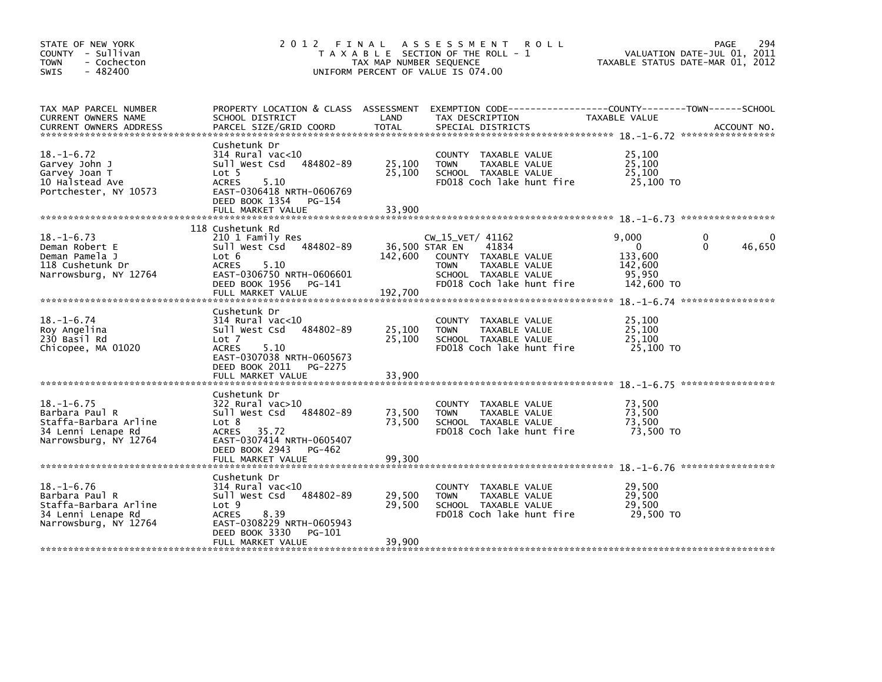| STATE OF NEW YORK<br>COUNTY - Sullivan<br><b>TOWN</b><br>- Cochecton<br>$-482400$<br>SWIS                  | 2012 FINAL                                                                                                                                                                     | TAX MAP NUMBER SEQUENCE    | A S S E S S M E N T<br><b>ROLL</b><br>T A X A B L E SECTION OF THE ROLL - 1<br>UNIFORM PERCENT OF VALUE IS 074.00                                        | TAXABLE STATUS DATE-MAR 01, 2012                                | 294<br>PAGE<br>VALUATION DATE-JUL 01, 2011 |
|------------------------------------------------------------------------------------------------------------|--------------------------------------------------------------------------------------------------------------------------------------------------------------------------------|----------------------------|----------------------------------------------------------------------------------------------------------------------------------------------------------|-----------------------------------------------------------------|--------------------------------------------|
| TAX MAP PARCEL NUMBER<br>CURRENT OWNERS NAME<br><b>CURRENT OWNERS ADDRESS</b>                              | PROPERTY LOCATION & CLASS ASSESSMENT<br>SCHOOL DISTRICT<br>PARCEL SIZE/GRID COORD                                                                                              | LAND<br>TOTAL              | EXEMPTION CODE-----------------COUNTY-------TOWN------SCHOOL<br>TAX DESCRIPTION<br>SPECIAL DISTRICTS                                                     | TAXABLE VALUE                                                   | ACCOUNT NO.                                |
| $18. - 1 - 6.72$<br>Garvey John J<br>Garvey Joan T<br>10 Halstead Ave<br>Portchester, NY 10573             | Cushetunk Dr<br>314 Rural vac<10<br>484802-89<br>Sull West Csd<br>Lot 5<br><b>ACRES</b><br>5.10<br>EAST-0306418 NRTH-0606769<br>DEED BOOK 1354<br>PG-154<br>FULL MARKET VALUE  | 25,100<br>25,100<br>33,900 | COUNTY TAXABLE VALUE<br><b>TOWN</b><br>TAXABLE VALUE<br>SCHOOL TAXABLE VALUE<br>FD018 Coch lake hunt fire                                                | 25,100<br>25,100<br>25,100<br>25,100 TO                         |                                            |
|                                                                                                            |                                                                                                                                                                                |                            |                                                                                                                                                          |                                                                 |                                            |
| $18. - 1 - 6.73$<br>Deman Robert E<br>Deman Pamela J<br>118 Cushetunk Dr<br>Narrowsburg, NY 12764          | 118 Cushetunk Rd<br>210 1 Family Res<br>484802-89<br>Sull West Csd<br>Lot 6<br><b>ACRES</b><br>5.10<br>EAST-0306750 NRTH-0606601<br>DEED BOOK 1956 PG-141<br>FULL MARKET VALUE | 142,600<br>192,700         | CW_15_VET/ 41162<br>36,500 STAR EN<br>41834<br>COUNTY TAXABLE VALUE<br>TAXABLE VALUE<br><b>TOWN</b><br>SCHOOL TAXABLE VALUE<br>FD018 Coch lake hunt fire | 9.000<br>$\Omega$<br>133,600<br>142,600<br>95,950<br>142,600 TO | 0<br>$\Omega$<br>46,650                    |
|                                                                                                            |                                                                                                                                                                                |                            |                                                                                                                                                          |                                                                 |                                            |
| $18. - 1 - 6.74$<br>Roy Angelina<br>230 Basil Rd<br>Chicopee, MA 01020                                     | Cushetunk Dr<br>$314$ Rural vac< $10$<br>484802-89<br>Sull West Csd<br>Lot <sub>7</sub><br><b>ACRES</b><br>5.10<br>EAST-0307038 NRTH-0605673<br>DEED BOOK 2011<br>PG-2275      | 25,100<br>25,100           | COUNTY TAXABLE VALUE<br>TAXABLE VALUE<br><b>TOWN</b><br>SCHOOL TAXABLE VALUE<br>FD018 Coch lake hunt fire                                                | 25,100<br>25,100<br>25,100<br>25,100 TO                         |                                            |
|                                                                                                            | FULL MARKET VALUE                                                                                                                                                              | 33,900                     |                                                                                                                                                          |                                                                 |                                            |
| $18. - 1 - 6.75$<br>Barbara Paul R<br>Staffa-Barbara Arline<br>34 Lenni Lenape Rd<br>Narrowsburg, NY 12764 | Cushetunk Dr<br>$322$ Rural vac $>10$<br>Sull West Csd<br>484802-89<br>Lot 8<br>ACRES 35.72<br>EAST-0307414 NRTH-0605407<br>DEED BOOK 2943<br>PG-462                           | 73,500<br>73,500           | COUNTY TAXABLE VALUE<br>TAXABLE VALUE<br><b>TOWN</b><br>SCHOOL TAXABLE VALUE<br>FD018 Coch lake hunt fire                                                | 73,500<br>73,500<br>73,500<br>73,500 TO                         |                                            |
|                                                                                                            | FULL MARKET VALUE                                                                                                                                                              | 99,300                     |                                                                                                                                                          |                                                                 |                                            |
| $18. - 1 - 6.76$<br>Barbara Paul R<br>Staffa-Barbara Arline<br>34 Lenni Lenape Rd<br>Narrowsburg, NY 12764 | Cushetunk Dr<br>$314$ Rural vac<10<br>484802-89<br>Sull West Csd<br>Lot 9<br>8.39<br><b>ACRES</b><br>EAST-0308229 NRTH-0605943<br>DEED BOOK 3330<br>PG-101                     | 29,500<br>29,500           | COUNTY TAXABLE VALUE<br>TAXABLE VALUE<br><b>TOWN</b><br>SCHOOL TAXABLE VALUE<br>FD018 Coch lake hunt fire                                                | 29,500<br>29,500<br>29,500<br>29,500 TO                         |                                            |
|                                                                                                            | FULL MARKET VALUE                                                                                                                                                              | 39,900                     |                                                                                                                                                          |                                                                 |                                            |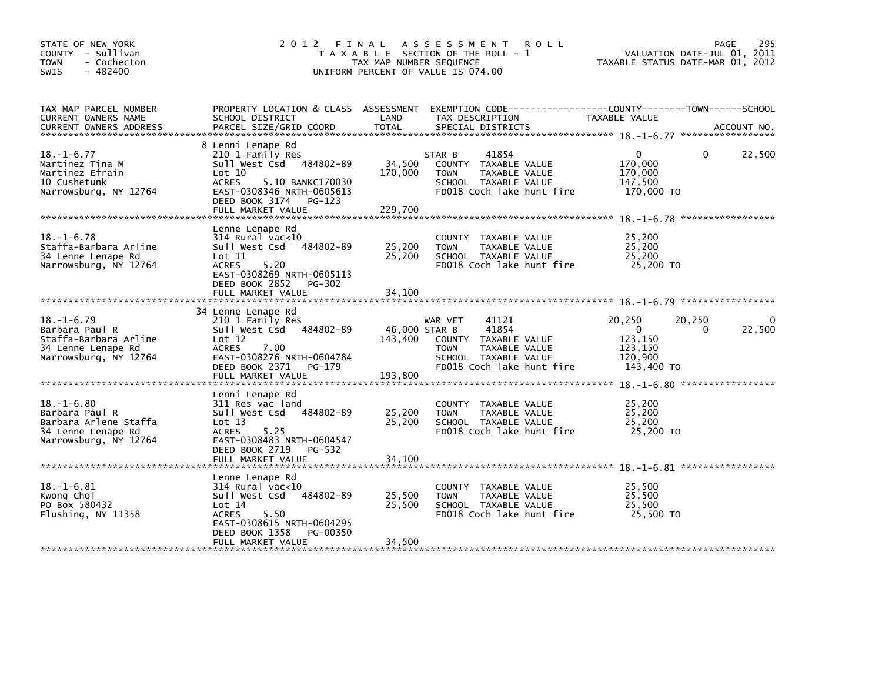| STATE OF NEW YORK<br>COUNTY - Sullivan<br><b>TOWN</b><br>- Cochecton<br>$-482400$<br>SWIS                  | 2012 FINAL                                                                                                                                                                                           | TAX MAP NUMBER SEQUENCE             | A S S E S S M E N T<br><b>ROLL</b><br>T A X A B L E SECTION OF THE ROLL - 1<br>UNIFORM PERCENT OF VALUE IS 074.00                      | VALUATION DATE-JUL 01, 2011<br>TAXABLE STATUS DATE-MAR 01, 2012                   | 295<br>PAGE        |
|------------------------------------------------------------------------------------------------------------|------------------------------------------------------------------------------------------------------------------------------------------------------------------------------------------------------|-------------------------------------|----------------------------------------------------------------------------------------------------------------------------------------|-----------------------------------------------------------------------------------|--------------------|
| TAX MAP PARCEL NUMBER<br>CURRENT OWNERS NAME<br><b>CURRENT OWNERS ADDRESS</b>                              | PROPERTY LOCATION & CLASS ASSESSMENT<br>SCHOOL DISTRICT<br>PARCEL SIZE/GRID COORD                                                                                                                    | LAND<br>TOTAL                       | EXEMPTION CODE-----------------COUNTY-------TOWN------SCHOOL<br>TAX DESCRIPTION<br>SPECIAL DISTRICTS                                   | TAXABLE VALUE                                                                     | ACCOUNT NO.        |
| $18. - 1 - 6.77$<br>Martinez Tina M<br>Martinez Efrain<br>10 Cushetunk<br>Narrowsburg, NY 12764            | 8 Lenni Lenape Rd<br>210 1 Family Res<br>Sull West Csd 484802-89<br>Lot 10<br><b>ACRES</b><br>5.10 BANKC170030<br>EAST-0308346 NRTH-0605613<br>DEED BOOK 3174<br>PG-123<br>FULL MARKET VALUE         | 34,500<br>170,000<br>229,700        | 41854<br>STAR B<br>COUNTY TAXABLE VALUE<br><b>TOWN</b><br>TAXABLE VALUE<br>SCHOOL TAXABLE VALUE<br>FD018 Coch lake hunt fire           | 0<br>170,000<br>170,000<br>147,500<br>170,000 TO                                  | 22,500<br>$\Omega$ |
| $18. - 1 - 6.78$<br>Staffa-Barbara Arline<br>34 Lenne Lenape Rd<br>Narrowsburg, NY 12764                   | Lenne Lenape Rd<br>$314$ Rural vac< $10$<br>484802-89<br>Sull West Csd<br>$\textsf{Lot} \; 11$<br><b>ACRES</b><br>5.20<br>EAST-0308269 NRTH-0605113<br>DEED BOOK 2852<br>PG-302<br>FULL MARKET VALUE | 25,200<br>25,200<br>34,100          | COUNTY TAXABLE VALUE<br><b>TOWN</b><br>TAXABLE VALUE<br>SCHOOL TAXABLE VALUE<br>FD018 Coch lake hunt fire                              | 25,200<br>25,200<br>25,200<br>25,200 TO                                           |                    |
| $18. - 1 - 6.79$<br>Barbara Paul R<br>Staffa-Barbara Arline<br>34 Lenne Lenape Rd<br>Narrowsburg, NY 12764 | 34 Lenne Lenape Rd<br>210 1 Family Res<br>Sull West Csd 484802-89<br>Lot 12<br>ACRES<br>7.00<br>EAST-0308276 NRTH-0604784<br>DEED BOOK 2371<br>PG-179<br>FULL MARKET VALUE                           | 46,000 STAR B<br>143,400<br>193,800 | 41121<br>WAR VET<br>41854<br>COUNTY TAXABLE VALUE<br>TAXABLE VALUE<br><b>TOWN</b><br>SCHOOL TAXABLE VALUE<br>FD018 Coch lake hunt fire | 20,250<br>20,250<br>$\overline{0}$<br>123,150<br>123,150<br>120,900<br>143,400 TO | 22,500<br>$\Omega$ |
| $18. - 1 - 6.80$<br>Barbara Paul R<br>Barbara Arlene Staffa<br>34 Lenne Lenape Rd<br>Narrowsburg, NY 12764 | Lenni Lenape Rd<br>311 Res vac land<br>484802-89<br>Sull West Csd<br>Lot 13<br>5.25<br>ACRES<br>EAST-0308483 NRTH-0604547<br>DEED BOOK 2719<br>PG-532<br>FULL MARKET VALUE                           | 25,200<br>25,200<br>34,100          | COUNTY TAXABLE VALUE<br>TAXABLE VALUE<br><b>TOWN</b><br>SCHOOL TAXABLE VALUE<br>FD018 Coch lake hunt fire                              | 25,200<br>25,200<br>25,200<br>25,200 TO                                           |                    |
| $18. - 1 - 6.81$<br>Kwong Choi<br>PO Box 580432<br>Flushing, NY 11358                                      | Lenne Lenape Rd<br>$314$ Rural vac<10<br>484802-89<br>Sull West Csd<br>Lot 14<br>5.50<br><b>ACRES</b><br>EAST-0308615 NRTH-0604295<br>DEED BOOK 1358<br>PG-00350<br>FULL MARKET VALUE                | 25,500<br>25,500<br>34,500          | COUNTY TAXABLE VALUE<br>TAXABLE VALUE<br><b>TOWN</b><br>SCHOOL TAXABLE VALUE<br>FD018 Coch lake hunt fire                              | 25,500<br>25,500<br>25,500<br>25,500 TO                                           |                    |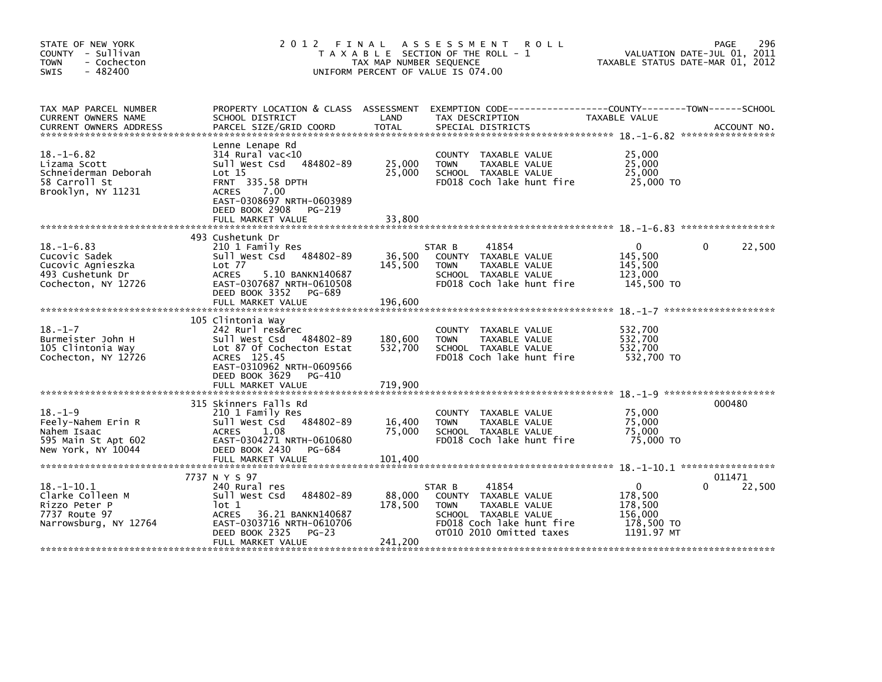| STATE OF NEW YORK<br>COUNTY - Sullivan<br><b>TOWN</b><br>- Cochecton<br>$-482400$<br>SWIS         | 2012 FINAL                                                                                                                                                                                              | TAX MAP NUMBER SEQUENCE       | A S S E S S M E N T<br><b>ROLL</b><br>T A X A B L E SECTION OF THE ROLL - 1<br>UNIFORM PERCENT OF VALUE IS 074.00                                        | TAXABLE STATUS DATE-MAR 01, 2012                                         | 296<br>PAGE<br>VALUATION DATE-JUL 01, 2011 |
|---------------------------------------------------------------------------------------------------|---------------------------------------------------------------------------------------------------------------------------------------------------------------------------------------------------------|-------------------------------|----------------------------------------------------------------------------------------------------------------------------------------------------------|--------------------------------------------------------------------------|--------------------------------------------|
| TAX MAP PARCEL NUMBER<br>CURRENT OWNERS NAME                                                      | PROPERTY LOCATION & CLASS ASSESSMENT<br>SCHOOL DISTRICT                                                                                                                                                 | LAND                          | TAX DESCRIPTION                                                                                                                                          | TAXABLE VALUE                                                            |                                            |
| $18. - 1 - 6.82$<br>Lizama Scott<br>Schneiderman Deborah<br>58 Carroll St<br>Brooklyn, NY 11231   | Lenne Lenape Rd<br>$314$ Rural vac<10<br>Sull West Csd<br>484802-89<br>Lot 15<br><b>FRNT 335.58 DPTH</b><br>ACRES<br>7.00<br>EAST-0308697 NRTH-0603989<br>DEED BOOK 2908<br>PG-219<br>FULL MARKET VALUE | 25,000<br>25,000<br>33,800    | COUNTY TAXABLE VALUE<br><b>TOWN</b><br>TAXABLE VALUE<br>SCHOOL TAXABLE VALUE<br>FD018 Coch lake hunt fire                                                | 25,000<br>25,000<br>25,000<br>25,000 TO                                  |                                            |
|                                                                                                   | 493 Cushetunk Dr                                                                                                                                                                                        |                               |                                                                                                                                                          |                                                                          |                                            |
| $18. - 1 - 6.83$<br>Cucovic Sadek<br>Cucovic Agnieszka<br>493 Cushetunk Dr<br>Cochecton, NY 12726 | 210 1 Family Res<br>Sull West Csd 484802-89<br>Lot 77<br><b>ACRES</b><br>5.10 BANKN140687<br>EAST-0307687 NRTH-0610508<br>DEED BOOK 3352<br>PG-689                                                      | 36,500<br>145,500             | 41854<br>STAR B<br>COUNTY TAXABLE VALUE<br>TAXABLE VALUE<br><b>TOWN</b><br>SCHOOL TAXABLE VALUE<br>FD018 Coch lake hunt fire                             | $\Omega$<br>145,500<br>145.500<br>123,000<br>145,500 TO                  | 22,500<br>$\Omega$                         |
|                                                                                                   | FULL MARKET VALUE                                                                                                                                                                                       | 196,600                       |                                                                                                                                                          |                                                                          |                                            |
| $18. - 1 - 7$<br>Burmeister John H<br>105 Clintonia Way<br>Cochecton, NY 12726                    | 105 Clintonia Way<br>242 Rurl res&rec<br>Sull West Csd 484802-89<br>Lot 87 Of Cochecton Estat<br>ACRES 125.45<br>EAST-0310962 NRTH-0609566<br>DEED BOOK 3629<br>PG-410<br>FULL MARKET VALUE             | 180,600<br>532,700<br>719,900 | COUNTY TAXABLE VALUE<br>TAXABLE VALUE<br><b>TOWN</b><br>SCHOOL TAXABLE VALUE<br>FD018 Coch lake hunt fire                                                | 532,700<br>532,700<br>532.700<br>532,700 TO                              |                                            |
|                                                                                                   |                                                                                                                                                                                                         |                               |                                                                                                                                                          |                                                                          |                                            |
| $18. - 1 - 9$<br>Feely-Nahem Erin R<br>Nahem Isaac<br>595 Main St Apt 602                         | 315 Skinners Falls Rd<br>210 1 Family Res<br>Sull West Csd<br>484802-89<br>1.08<br>ACRES<br>EAST-0304271 NRTH-0610680<br>DEED BOOK 2430<br>PG-684                                                       | 16,400<br>75,000              | COUNTY TAXABLE VALUE<br><b>TOWN</b><br>TAXABLE VALUE<br>SCHOOL TAXABLE VALUE<br>FD018 Coch lake hunt fire                                                | 75,000<br>75,000<br>75,000<br>75,000 TO                                  | 000480                                     |
| New York, NY 10044                                                                                | FULL MARKET VALUE                                                                                                                                                                                       | 101,400                       |                                                                                                                                                          |                                                                          |                                            |
|                                                                                                   | 7737 N Y S 97                                                                                                                                                                                           |                               |                                                                                                                                                          |                                                                          | 011471                                     |
| $18.-1-10.1$<br>Clarke Colleen M<br>Rizzo Peter P<br>7737 Route 97<br>Narrowsburg, NY 12764       | 240 Rural res<br>Sull West Csd<br>484802-89<br>lot 1<br><b>ACRES</b><br>36.21 BANKN140687<br>EAST-0303716 NRTH-0610706<br>DEED BOOK 2325<br>$PG-23$                                                     | 88,000<br>178,500             | 41854<br>STAR B<br>COUNTY TAXABLE VALUE<br>TAXABLE VALUE<br><b>TOWN</b><br>SCHOOL TAXABLE VALUE<br>FD018 Coch lake hunt fire<br>OT010 2010 Omitted taxes | $\mathbf 0$<br>178,500<br>178,500<br>156,000<br>178,500 TO<br>1191.97 MT | 22,500<br>0                                |
|                                                                                                   | FULL MARKET VALUE                                                                                                                                                                                       | 241,200                       |                                                                                                                                                          |                                                                          |                                            |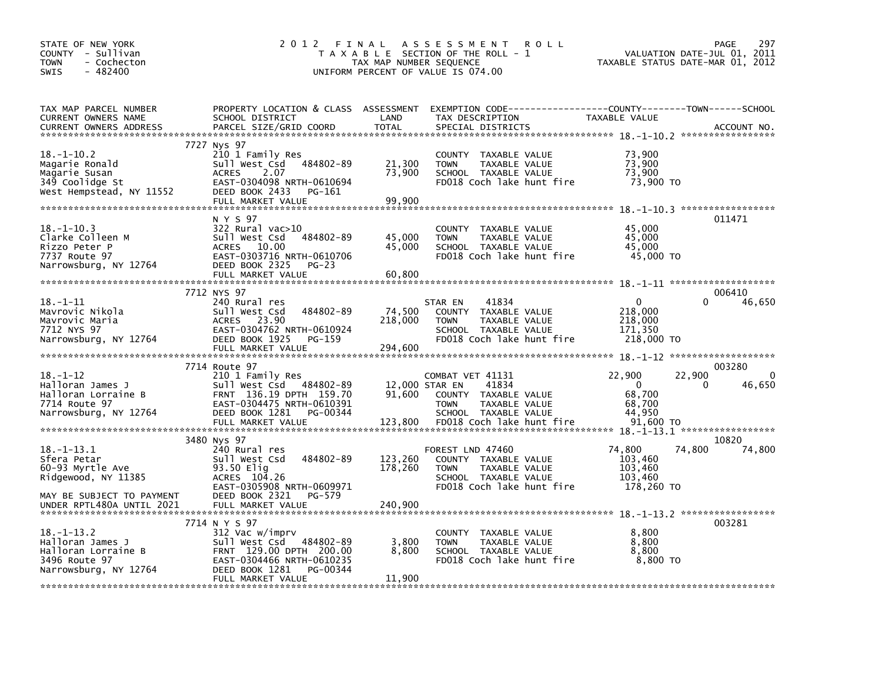| STATE OF NEW YORK<br>COUNTY - Sullivan<br>- Cochecton<br><b>TOWN</b><br>$-482400$<br>SWIS           | 2012 FINAL                                                                                                                                                          | TAX MAP NUMBER SEQUENCE             | A S S E S S M E N T<br><b>ROLL</b><br>T A X A B L E SECTION OF THE ROLL - 1<br>UNIFORM PERCENT OF VALUE IS 074.00                        | TAXABLE STATUS DATE-MAR 01, 2012                                  | 297<br>PAGE<br>VALUATION DATE-JUL 01, 2011 |
|-----------------------------------------------------------------------------------------------------|---------------------------------------------------------------------------------------------------------------------------------------------------------------------|-------------------------------------|------------------------------------------------------------------------------------------------------------------------------------------|-------------------------------------------------------------------|--------------------------------------------|
| TAX MAP PARCEL NUMBER<br>CURRENT OWNERS NAME<br>CURRENT OWNERS ADDRESS                              | SCHOOL DISTRICT<br>PARCEL SIZE/GRID COORD                                                                                                                           | LAND<br><b>TOTAL</b>                | PROPERTY LOCATION & CLASS ASSESSMENT EXEMPTION CODE----------------COUNTY-------TOWN------SCHOOL<br>TAX DESCRIPTION<br>SPECIAL DISTRICTS | TAXABLE VALUE                                                     | ACCOUNT NO.                                |
| $18. - 1 - 10.2$<br>Magarie Ronald<br>Magarie Susan<br>349 Coolidge St<br>West Hempstead, NY 11552  | 7727 Nys 97<br>210 1 Family Res<br>484802-89<br>Sull West Csd<br>2.07<br><b>ACRES</b><br>EAST-0304098 NRTH-0610694<br>DEED BOOK 2433<br>PG-161<br>FULL MARKET VALUE | 21,300<br>73,900<br>99,900          | COUNTY TAXABLE VALUE<br><b>TOWN</b><br>TAXABLE VALUE<br>SCHOOL TAXABLE VALUE<br>FD018 Coch lake hunt fire                                | 73,900<br>73,900<br>73,900<br>73,900 TO                           |                                            |
|                                                                                                     | N Y S 97                                                                                                                                                            |                                     |                                                                                                                                          |                                                                   | 011471                                     |
| $18. - 1 - 10.3$<br>Clarke Colleen M<br>Rizzo Peter P<br>7737 Route 97<br>Narrowsburg, NY 12764     | $322$ Rural vac $>10$<br>484802-89<br>Sull West Csd<br>10.00<br>ACRES<br>EAST-0303716 NRTH-0610706<br>DEED BOOK 2325<br>$PG-23$<br>FULL MARKET VALUE                | 45,000<br>45,000<br>60,800          | COUNTY TAXABLE VALUE<br><b>TOWN</b><br>TAXABLE VALUE<br>SCHOOL TAXABLE VALUE<br>FD018 Coch lake hunt fire                                | 45,000<br>45,000<br>45,000<br>45,000 TO                           |                                            |
|                                                                                                     | 7712 NYS 97                                                                                                                                                         |                                     |                                                                                                                                          |                                                                   | 006410                                     |
| $18. - 1 - 11$<br>Mavrovic Nikola<br>Mavrovic Maria<br>7712 NYS 97<br>Narrowsburg, NY 12764         | 240 Rural res<br>484802-89<br>Sull West Csd<br>23.90<br>ACRES<br>EAST-0304762 NRTH-0610924<br>DEED BOOK 1925<br>PG-159<br>FULL MARKET VALUE                         | 74,500<br>218,000<br>294,600        | 41834<br>STAR EN<br>COUNTY TAXABLE VALUE<br><b>TOWN</b><br>TAXABLE VALUE<br>SCHOOL TAXABLE VALUE<br>FD018 Coch lake hunt fire            | $\mathbf 0$<br>218,000<br>218,000<br>171,350<br>218,000 TO        | 0<br>46,650                                |
|                                                                                                     | 7714 Route 97                                                                                                                                                       |                                     |                                                                                                                                          |                                                                   | 003280                                     |
| $18. - 1 - 12$<br>Halloran James J<br>Halloran Lorraine B<br>7714 Route 97<br>Narrowsburg, NY 12764 | 210 1 Family Res<br>Sull West Csd 484802-89<br>FRNT 136.19 DPTH 159.70<br>EAST-0304475 NRTH-0610391<br>DEED BOOK 1281<br>PG-00344<br>FULL MARKET VALUE              | 12,000 STAR EN<br>91,600<br>123,800 | COMBAT VET 41131<br>41834<br>COUNTY TAXABLE VALUE<br><b>TOWN</b><br>TAXABLE VALUE<br>SCHOOL TAXABLE VALUE<br>FD018 Coch lake hunt fire   | 22,900<br>$\mathbf{0}$<br>68,700<br>68,700<br>44,950<br>91,600 TO | 22,900<br>$\Omega$<br>46,650<br>0          |
|                                                                                                     | 3480 Nys 97                                                                                                                                                         |                                     |                                                                                                                                          |                                                                   | 10820                                      |
| $18. - 1 - 13.1$<br>Sfera Petar<br>60-93 Myrtle Ave<br>Ridgewood, NY 11385                          | 240 Rural res<br>484802-89<br>Sull West Csd<br>93.50 Elig<br>ACRES 104.26<br>EAST-0305908 NRTH-0609971                                                              | 123,260<br>178,260                  | FOREST LND 47460<br>COUNTY TAXABLE VALUE<br>TAXABLE VALUE<br><b>TOWN</b><br>SCHOOL TAXABLE VALUE<br>FD018 Coch lake hunt fire            | 74,800<br>103,460<br>103,460<br>103,460<br>178,260 TO             | 74,800<br>74,800                           |
| MAY BE SUBJECT TO PAYMENT                                                                           | DEED BOOK 2321 PG-579                                                                                                                                               |                                     |                                                                                                                                          |                                                                   |                                            |
| $18. - 1 - 13.2$                                                                                    | 7714 N Y S 97<br>312 Vac w/imprv                                                                                                                                    |                                     | COUNTY TAXABLE VALUE                                                                                                                     | 8,800                                                             | 003281                                     |
| Halloran James J<br>Halloran Lorraine B<br>3496 Route 97<br>Narrowsburg, NY 12764                   | Sull West Csd 484802-89<br>FRNT 129.00 DPTH 200.00<br>EAST-0304466 NRTH-0610235<br>DEED BOOK 1281<br>PG-00344                                                       | 3,800<br>8,800                      | TAXABLE VALUE<br><b>TOWN</b><br>SCHOOL TAXABLE VALUE<br>FD018 Coch lake hunt fire                                                        | 8,800<br>8,800<br>8,800 TO                                        |                                            |
|                                                                                                     | FULL MARKET VALUE                                                                                                                                                   | 11,900                              |                                                                                                                                          |                                                                   |                                            |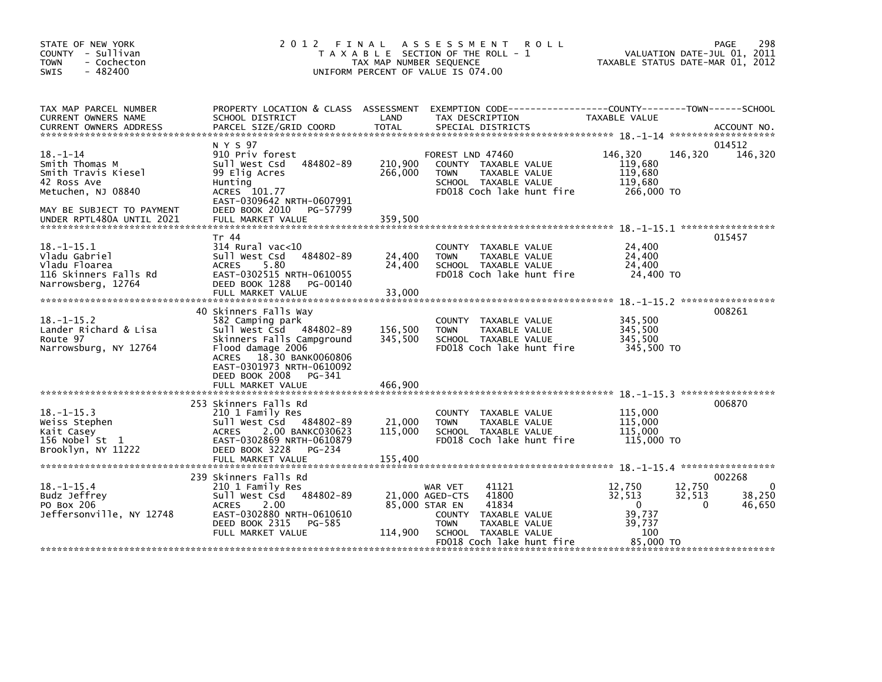| STATE OF NEW YORK<br>COUNTY - Sullivan<br>- Cochecton<br><b>TOWN</b><br>$-482400$<br><b>SWIS</b>                                                                                                                                                                               | 2 0 1 2                                                                                                                                                                                                                      | FINAL<br>TAX MAP NUMBER SEQUENCE | ASSESSMENT ROLL<br>T A X A B L E SECTION OF THE ROLL - 1<br>UNIFORM PERCENT OF VALUE IS 074.00                                                                            | VALUATION DATE-JUL 01, 2011<br>TAXABLE STATUS DATE-MAR 01, 2012                                     | 298<br><b>PAGE</b>                     |
|--------------------------------------------------------------------------------------------------------------------------------------------------------------------------------------------------------------------------------------------------------------------------------|------------------------------------------------------------------------------------------------------------------------------------------------------------------------------------------------------------------------------|----------------------------------|---------------------------------------------------------------------------------------------------------------------------------------------------------------------------|-----------------------------------------------------------------------------------------------------|----------------------------------------|
| TAX MAP PARCEL NUMBER<br>CURRENT OWNERS NAME<br>.CURRENT OWNERS ADDRESS PARCEL SIZE/GRID COORD TOTAL SPECIAL DISTRICTS (ACCOUNT NO ACCOUNT NO ACCOUNT NO AND REALLY SERVER AND REALLY SERVER AND REALLY SERVER AND REALLY AND REALLY AND REALLY AND REALLY AND REALLY AND REAL | SCHOOL DISTRICT                                                                                                                                                                                                              | LAND<br><b>TOTAL</b>             | PROPERTY LOCATION & CLASS ASSESSMENT EXEMPTION CODE---------------COUNTY-------TOWN-----SCHOOL<br>TAX DESCRIPTION                                                         | TAXABLE VALUE                                                                                       |                                        |
| $18. - 1 - 14$<br>Smith Thomas M<br>Smith Travis Kiesel<br>42 Ross Ave<br>Metuchen, NJ 08840<br>MAY BE SUBJECT TO PAYMENT<br>UNDER RPTL480A UNTIL 2021                                                                                                                         | N Y S 97<br>910 Priv forest<br>Sull West Csd 484802-89<br>99 Elig Acres<br>Hunting<br>ACRES 101.77<br>EAST-0309642 NRTH-0607991<br>DEED BOOK 2010 PG-57799<br>FULL MARKET VALUE                                              | 210,900<br>266,000<br>359,500    | FOREST LND 47460<br>COUNTY TAXABLE VALUE<br>TAXABLE VALUE<br><b>TOWN</b><br>SCHOOL TAXABLE VALUE<br>FD018 Coch lake hunt fire                                             | 146,320<br>146,320<br>119,680<br>119.680<br>119,680<br>266,000 TO                                   | 014512<br>146,320                      |
| $18. - 1 - 15.1$<br>Vladu Gabriel<br>Vladu Floarea<br>116 Skinners Falls Rd<br>Narrowsberg, 12764                                                                                                                                                                              | Tr 44<br>$314$ Rural vac<10<br>Sull West Csd 484802-89<br><b>ACRES</b><br>5.80<br>EAST-0302515 NRTH-0610055<br>DEED BOOK 1288<br>PG-00140                                                                                    | 24,400<br>24,400                 | COUNTY TAXABLE VALUE<br>TAXABLE VALUE<br><b>TOWN</b><br>SCHOOL TAXABLE VALUE<br>FD018 Coch lake hunt fire                                                                 | 24,400<br>24,400<br>24,400<br>24,400 TO                                                             | 015457                                 |
| $18. -1 - 15.2$<br>Lander Richard & Lisa<br>Route 97<br>Narrowsburg, NY 12764                                                                                                                                                                                                  | 40 Skinners Falls Way<br>582 Camping park<br>Sull West Csd 484802-89<br>Skinners Falls Campground<br>Flood damage 2006<br>ACRES 18.30 BANK0060806<br>EAST-0301973 NRTH-0610092<br>DEED BOOK 2008 PG-341<br>FULL MARKET VALUE | 156,500<br>345,500<br>466,900    | COUNTY TAXABLE VALUE<br>TAXABLE VALUE<br><b>TOWN</b><br>SCHOOL TAXABLE VALUE<br>FD018 Coch lake hunt fire                                                                 | 345,500<br>345,500<br>345.500<br>345,500 TO                                                         | 008261                                 |
| $18. - 1 - 15.3$<br>Weiss Stephen<br>Kait Casey<br>156 Nobel St 1<br>Brooklyn, NY 11222                                                                                                                                                                                        | 253 Skinners Falls Rd<br>210 1 Family Res<br>Sull West Csd 484802-89<br><b>ACRES</b><br>2.00 BANKC030623<br>EAST-0302869 NRTH-0610879<br>DEED BOOK 3228<br>PG-234                                                            | 21,000<br>115,000                | COUNTY TAXABLE VALUE<br><b>TAXABLE VALUE</b><br><b>TOWN</b><br>SCHOOL TAXABLE VALUE<br>FD018 Coch lake hunt fire                                                          | 115,000<br>115,000<br>115,000<br>115,000 TO                                                         | 006870                                 |
| $18. - 1 - 15.4$<br>Budz Jeffrev<br>PO Box 206<br>Jeffersonville, NY 12748                                                                                                                                                                                                     | 239 Skinners Falls Rd<br>210 1 Family Res<br>Sull West Csd 484802-89<br>2.00<br><b>ACRES</b><br>EAST-0302880 NRTH-0610610<br>DEED BOOK 2315 PG-585<br>FULL MARKET VALUE                                                      | 85,000 STAR EN<br>114,900        | WAR VET<br>41121<br>41800<br>21.000 AGED-CTS<br>41834<br>COUNTY TAXABLE VALUE<br><b>TAXABLE VALUE</b><br><b>TOWN</b><br>SCHOOL TAXABLE VALUE<br>FD018 Coch lake hunt fire | 12,750<br>12,750<br>32,513<br>32,513<br>$\overline{0}$<br>0<br>39,737<br>39.737<br>100<br>85,000 TO | 002268<br>$\Omega$<br>38.250<br>46,650 |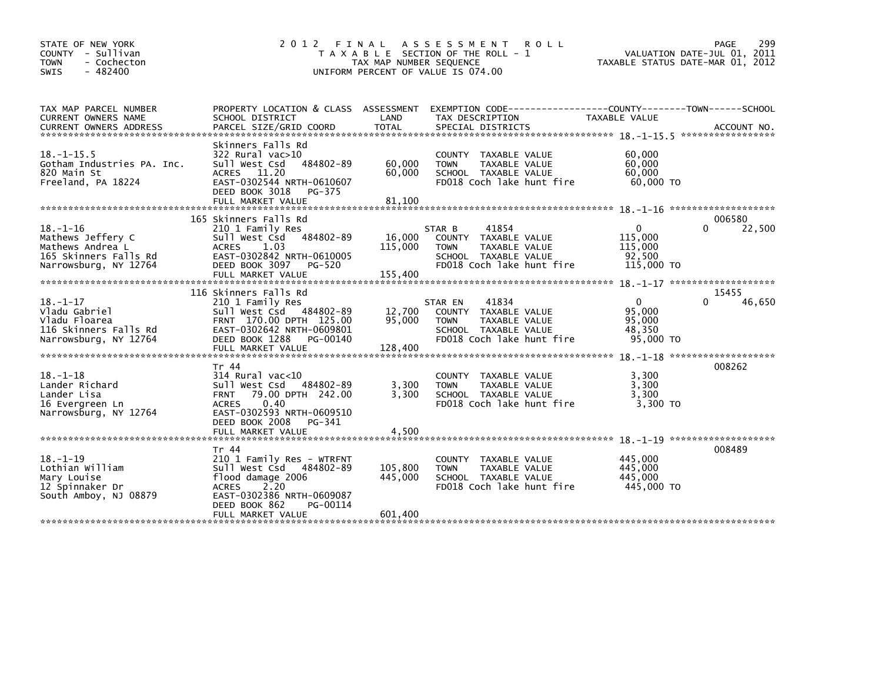| STATE OF NEW YORK<br>COUNTY - Sullivan<br><b>TOWN</b><br>- Cochecton<br>$-482400$<br><b>SWIS</b>          | 2 0 1 2<br>FINAL                                                                                                                                                      | TAX MAP NUMBER SEQUENCE      | A S S E S S M E N T<br><b>ROLL</b><br>T A X A B L E SECTION OF THE ROLL - 1<br>UNIFORM PERCENT OF VALUE IS 074.00                       | TAXABLE STATUS DATE-MAR 01, 2012                           | 299<br>PAGE<br>VALUATION DATE-JUL 01, 2011 |
|-----------------------------------------------------------------------------------------------------------|-----------------------------------------------------------------------------------------------------------------------------------------------------------------------|------------------------------|-----------------------------------------------------------------------------------------------------------------------------------------|------------------------------------------------------------|--------------------------------------------|
|                                                                                                           |                                                                                                                                                                       |                              |                                                                                                                                         |                                                            |                                            |
| TAX MAP PARCEL NUMBER<br>CURRENT OWNERS NAME                                                              | PROPERTY LOCATION & CLASS ASSESSMENT<br>SCHOOL DISTRICT                                                                                                               | LAND                         | EXEMPTION CODE-----------------COUNTY-------TOWN------SCHOOL<br>TAX DESCRIPTION                                                         | TAXABLE VALUE                                              |                                            |
| <b>CURRENT OWNERS ADDRESS</b>                                                                             | PARCEL SIZE/GRID COORD                                                                                                                                                | <b>TOTAL</b>                 | SPECIAL DISTRICTS                                                                                                                       |                                                            | ACCOUNT NO.                                |
| $18. -1 - 15.5$<br>Gotham Industries PA. Inc.<br>820 Main St<br>Freeland, PA 18224                        | Skinners Falls Rd<br>$322$ Rural vac $>10$<br>Sull West Csd<br>484802-89<br>ACRES 11.20<br>EAST-0302544 NRTH-0610607<br>DEED BOOK 3018<br>PG-375<br>FULL MARKET VALUE | 60,000<br>60,000<br>81,100   | COUNTY TAXABLE VALUE<br>TAXABLE VALUE<br><b>TOWN</b><br>SCHOOL TAXABLE VALUE<br>FD018 Coch lake hunt fire                               | 60,000<br>60,000<br>60,000<br>60,000 TO                    |                                            |
|                                                                                                           | 165 Skinners Falls Rd                                                                                                                                                 |                              |                                                                                                                                         |                                                            | 006580                                     |
| $18. - 1 - 16$<br>Mathews Jeffery C<br>Mathews Andrea L<br>165 Skinners Falls Rd<br>Narrowsburg, NY 12764 | 210 1 Family Res<br>484802-89<br>Sull West Csd<br>1.03<br>ACRES<br>EAST-0302842 NRTH-0610005<br>DEED BOOK 3097<br>PG-520<br>FULL MARKET VALUE                         | 16,000<br>115,000<br>155,400 | 41854<br>STAR B<br>COUNTY TAXABLE VALUE<br><b>TOWN</b><br>TAXABLE VALUE<br>SCHOOL TAXABLE VALUE<br>FD018 Coch lake hunt fire            | $\mathbf{0}$<br>115,000<br>115,000<br>92,500<br>115,000 TO | $\Omega$<br>22,500                         |
|                                                                                                           |                                                                                                                                                                       |                              |                                                                                                                                         |                                                            |                                            |
| $18. - 1 - 17$<br>Vladu Gabriel<br>Vladu Floarea<br>116 Skinners Falls Rd<br>Narrowsburg, NY 12764        | 116 Skinners Falls Rd<br>210 1 Family Res<br>Sull West Csd 484802-89<br>FRNT 170.00 DPTH 125.00<br>EAST-0302642 NRTH-0609801<br>DEED BOOK 1288<br>PG-00140            | 12,700<br>95,000             | 41834<br>STAR EN<br><b>COUNTY</b><br>TAXABLE VALUE<br>TAXABLE VALUE<br><b>TOWN</b><br>SCHOOL TAXABLE VALUE<br>FD018 Coch lake hunt fire | $\mathbf{0}$<br>95,000<br>95,000<br>48,350<br>95,000 TO    | 15455<br>46,650<br>O                       |
|                                                                                                           |                                                                                                                                                                       |                              |                                                                                                                                         |                                                            |                                            |
| $18. - 1 - 18$<br>Lander Richard<br>Lander Lisa<br>16 Evergreen Ln<br>Narrowsburg, NY 12764               | Tr 44<br>$314$ Rural vac<10<br>Sull West Csd<br>484802-89<br>79.00 DPTH 242.00<br><b>FRNT</b><br>0.40<br><b>ACRES</b><br>EAST-0302593 NRTH-0609510                    | 3,300<br>3,300               | COUNTY TAXABLE VALUE<br>TAXABLE VALUE<br><b>TOWN</b><br>SCHOOL TAXABLE VALUE<br>FD018 Coch lake hunt fire                               | 3,300<br>3,300<br>3,300<br>3.300 TO                        | 008262                                     |
|                                                                                                           | DEED BOOK 2008<br>PG-341<br>FULL MARKET VALUE                                                                                                                         | 4,500                        |                                                                                                                                         |                                                            |                                            |
| $18. - 1 - 19$<br>Lothian William<br>Mary Louise<br>12 Spinnaker Dr<br>South Amboy, NJ 08879              | Tr 44<br>210 1 Family Res - WTRFNT<br>Sull West Csd 484802-89<br>flood damage 2006<br>2.20<br><b>ACRES</b><br>EAST-0302386 NRTH-0609087<br>DEED BOOK 862<br>PG-00114  | 105,800<br>445,000           | COUNTY TAXABLE VALUE<br>TAXABLE VALUE<br><b>TOWN</b><br>SCHOOL TAXABLE VALUE<br>FD018 Coch lake hunt fire                               | 445,000<br>445,000<br>445,000<br>445,000 TO                | 008489                                     |
|                                                                                                           | FULL MARKET VALUE                                                                                                                                                     | 601,400                      |                                                                                                                                         |                                                            |                                            |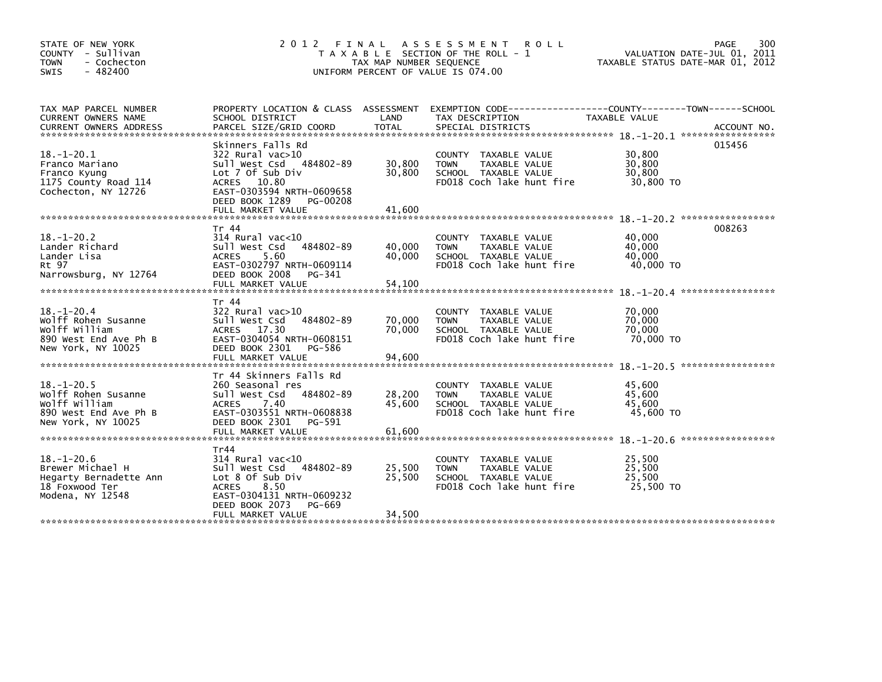| STATE OF NEW YORK<br>COUNTY - Sullivan<br>- Cochecton<br><b>TOWN</b><br>$-482400$<br><b>SWIS</b>        | 2 0 1 2<br>FINAL                                                                                                                                                                         | TAX MAP NUMBER SEQUENCE    | A S S E S S M E N T<br><b>ROLL</b><br>T A X A B L E SECTION OF THE ROLL - 1<br>UNIFORM PERCENT OF VALUE IS 074.00                        | PAGE<br>VALUATION DATE-JUL 01, 2011<br>TAXABLE STATUS DATE-MAR 01, 2012 | 300         |
|---------------------------------------------------------------------------------------------------------|------------------------------------------------------------------------------------------------------------------------------------------------------------------------------------------|----------------------------|------------------------------------------------------------------------------------------------------------------------------------------|-------------------------------------------------------------------------|-------------|
| TAX MAP PARCEL NUMBER<br>CURRENT OWNERS NAME<br><b>CURRENT OWNERS ADDRESS</b>                           | SCHOOL DISTRICT<br>PARCEL SIZE/GRID COORD                                                                                                                                                | LAND<br><b>TOTAL</b>       | PROPERTY LOCATION & CLASS ASSESSMENT EXEMPTION CODE----------------COUNTY-------TOWN------SCHOOL<br>TAX DESCRIPTION<br>SPECIAL DISTRICTS | TAXABLE VALUE                                                           | ACCOUNT NO. |
| $18. - 1 - 20.1$<br>Franco Mariano<br>Franco Kyung<br>1175 County Road 114<br>Cochecton, NY 12726       | Skinners Falls Rd<br>$322$ Rural vac $>10$<br>Sull West Csd 484802-89<br>Lot 7 Of Sub Div<br>ACRES 10.80<br>EAST-0303594 NRTH-0609658<br>DEED BOOK 1289<br>PG-00208<br>FULL MARKET VALUE | 30,800<br>30,800<br>41.600 | COUNTY<br>TAXABLE VALUE<br>TAXABLE VALUE<br><b>TOWN</b><br>SCHOOL TAXABLE VALUE<br>FD018 Coch lake hunt fire                             | 015456<br>30,800<br>30,800<br>30,800<br>30,800 TO                       |             |
| $18. - 1 - 20.2$<br>Lander Richard<br>Lander Lisa<br>Rt 97<br>Narrowsburg, NY 12764                     | Tr 44<br>$314$ Rural vac<10<br>484802-89<br>Sull West Csd<br>5.60<br><b>ACRES</b><br>EAST-0302797 NRTH-0609114<br>DEED BOOK 2008<br>PG-341<br>FULL MARKET VALUE                          | 40,000<br>40,000<br>54,100 | COUNTY TAXABLE VALUE<br><b>TOWN</b><br>TAXABLE VALUE<br>SCHOOL TAXABLE VALUE<br>FD018 Coch lake hunt fire                                | 008263<br>40,000<br>40,000<br>40,000<br>40,000 TO                       |             |
| $18. - 1 - 20.4$<br>Wolff Rohen Susanne<br>Wolff William<br>890 West End Ave Ph B<br>New York, NY 10025 | Tr 44<br>322 Rural vac>10<br>Sull West Csd<br>484802-89<br>ACRES 17.30<br>EAST-0304054 NRTH-0608151<br>DEED BOOK 2301<br>PG-586<br>FULL MARKET VALUE                                     | 70,000<br>70,000<br>94,600 | <b>COUNTY</b><br>TAXABLE VALUE<br><b>TOWN</b><br>TAXABLE VALUE<br>SCHOOL TAXABLE VALUE<br>FD018 Coch lake hunt fire                      | 70,000<br>70,000<br>70,000<br>70,000 TO                                 |             |
| $18. - 1 - 20.5$<br>Wolff Rohen Susanne<br>Wolff William<br>890 West End Ave Ph B<br>New York, NY 10025 | Tr 44 Skinners Falls Rd<br>260 Seasonal res<br>484802-89<br>Sull West Csd<br><b>ACRES</b><br>7.40<br>EAST-0303551 NRTH-0608838<br>DEED BOOK 2301<br>PG-591<br>FULL MARKET VALUE          | 28,200<br>45,600<br>61.600 | TAXABLE VALUE<br><b>COUNTY</b><br><b>TOWN</b><br>TAXABLE VALUE<br>SCHOOL TAXABLE VALUE<br>FD018 Coch lake hunt fire                      | 45,600<br>45.600<br>45,600<br>45,600 TO                                 |             |
| $18. - 1 - 20.6$<br>Brewer Michael H<br>Hegarty Bernadette Ann<br>18 Foxwood Ter<br>Modena, NY 12548    | Tr44<br>314 Rural vac<10<br>Sull West Csd 484802-89<br>Lot 8 Of Sub Div<br>8.50<br><b>ACRES</b><br>EAST-0304131 NRTH-0609232<br>DEED BOOK 2073<br>PG-669<br>FULL MARKET VALUE            | 25,500<br>25.500<br>34,500 | <b>COUNTY</b><br>TAXABLE VALUE<br><b>TOWN</b><br>TAXABLE VALUE<br>SCHOOL TAXABLE VALUE<br>FD018 Coch lake hunt fire                      | 25.500<br>25,500<br>25.500<br>25,500 TO                                 |             |
|                                                                                                         |                                                                                                                                                                                          |                            |                                                                                                                                          |                                                                         |             |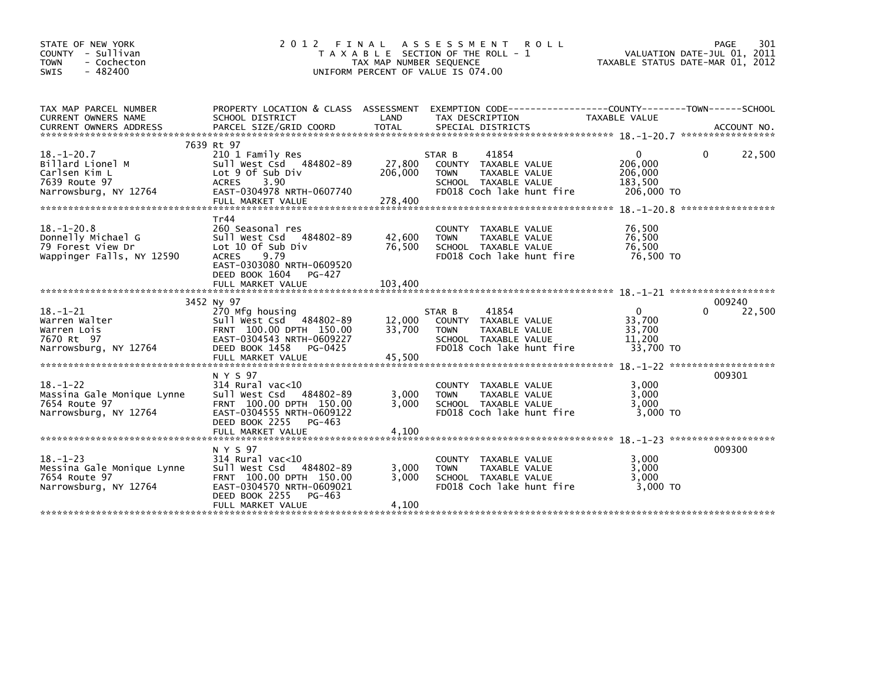| STATE OF NEW YORK<br>COUNTY - Sullivan<br>- Cochecton<br><b>TOWN</b><br>$-482400$<br>SWIS       | 2 0 1 2                                                                                                                                                                           | FINAL<br>TAX MAP NUMBER SEQUENCE | A S S E S S M E N T<br><b>ROLL</b><br>T A X A B L E SECTION OF THE ROLL - 1<br>UNIFORM PERCENT OF VALUE IS 074.00                             | TAXABLE STATUS DATE-MAR 01, 2012                 | PAGE<br>301<br>VALUATION DATE-JUL 01, 2011 |
|-------------------------------------------------------------------------------------------------|-----------------------------------------------------------------------------------------------------------------------------------------------------------------------------------|----------------------------------|-----------------------------------------------------------------------------------------------------------------------------------------------|--------------------------------------------------|--------------------------------------------|
| TAX MAP PARCEL NUMBER<br>CURRENT OWNERS NAME<br><b>CURRENT OWNERS ADDRESS</b>                   | SCHOOL DISTRICT<br>PARCEL SIZE/GRID COORD                                                                                                                                         | LAND<br><b>TOTAL</b>             | PROPERTY LOCATION & CLASS ASSESSMENT EXEMPTION CODE---------------COUNTY-------TOWN------SCHOOL<br>TAX DESCRIPTION<br>SPECIAL DISTRICTS       | <b>TAXABLE VALUE</b>                             | ACCOUNT NO.                                |
| $18. - 1 - 20.7$<br>Billard Lionel M<br>Carlsen Kim L<br>7639 Route 97<br>Narrowsburg, NY 12764 | 7639 Rt 97<br>210 1 Family Res<br>Sull West Csd 484802-89<br>Lot 9 Of Sub Div<br>3.90<br><b>ACRES</b><br>EAST-0304978 NRTH-0607740<br>FULL MARKET VALUE                           | 27,800<br>206,000<br>278,400     | STAR B<br>41854<br><b>COUNTY</b><br>TAXABLE VALUE<br><b>TAXABLE VALUE</b><br><b>TOWN</b><br>SCHOOL TAXABLE VALUE<br>FD018 Coch lake hunt fire | 0<br>206,000<br>206,000<br>183,500<br>206,000 TO | 22,500<br>0<br>*****************           |
| $18. - 1 - 20.8$<br>Donnelly Michael G<br>79 Forest View Dr<br>Wappinger Falls, NY 12590        | Tr44<br>260 Seasonal res<br>484802-89<br>Sull West Csd<br>Lot 10 Of Sub Div<br><b>ACRES</b><br>9.79<br>EAST-0303080 NRTH-0609520<br>DEED BOOK 1604<br>PG-427<br>FULL MARKET VALUE | 42,600<br>76,500<br>103,400      | <b>COUNTY</b><br>TAXABLE VALUE<br><b>TOWN</b><br>TAXABLE VALUE<br>SCHOOL TAXABLE VALUE<br>FD018 Coch lake hunt fire                           | 76,500<br>76,500<br>76,500<br>76,500 TO          |                                            |
|                                                                                                 |                                                                                                                                                                                   |                                  |                                                                                                                                               |                                                  |                                            |
| $18. - 1 - 21$<br>Warren Walter<br>Warren Lois<br>7670 Rt 97<br>Narrowsburg, NY 12764           | 3452 NV 97<br>270 Mfg housing<br>Sull West Csd 484802-89<br>FRNT 100.00 DPTH 150.00<br>EAST-0304543 NRTH-0609227<br>DEED BOOK 1458<br>PG-0425<br>FULL MARKET VALUE                | 12,000<br>33,700<br>45,500       | 41854<br>STAR B<br>TAXABLE VALUE<br><b>COUNTY</b><br><b>TOWN</b><br><b>TAXABLE VALUE</b><br>SCHOOL TAXABLE VALUE<br>FD018 Coch lake hunt fire | 0<br>33,700<br>33,700<br>11,200<br>33,700 TO     | 009240<br>22,500<br>0                      |
| $18. - 1 - 22$<br>Massina Gale Monique Lynne<br>7654 Route 97<br>Narrowsburg, NY 12764          | N Y S 97<br>$314$ Rural vac<10<br>Sull West Csd<br>484802-89<br>FRNT 100.00 DPTH 150.00<br>EAST-0304555 NRTH-0609122<br>DEED BOOK 2255<br>PG-463                                  | 3,000<br>3.000                   | <b>COUNTY</b><br>TAXABLE VALUE<br><b>TAXABLE VALUE</b><br><b>TOWN</b><br>SCHOOL TAXABLE VALUE<br>FD018 Coch lake hunt fire                    | 3,000<br>3,000<br>3,000<br>$3.000$ TO            | 009301                                     |
|                                                                                                 |                                                                                                                                                                                   |                                  |                                                                                                                                               |                                                  |                                            |
| $18. - 1 - 23$<br>Messina Gale Monique Lynne<br>7654 Route 97<br>Narrowsburg, NY 12764          | N Y S 97<br>314 Rural vac<10<br>484802-89<br>Sull West Csd<br>FRNT 100.00 DPTH 150.00<br>EAST-0304570 NRTH-0609021<br>DEED BOOK 2255<br>PG-463<br>FULL MARKET VALUE               | 3,000<br>3,000<br>4,100          | <b>COUNTY</b><br>TAXABLE VALUE<br><b>TOWN</b><br>TAXABLE VALUE<br>SCHOOL TAXABLE VALUE<br>FD018 Coch lake hunt fire                           | 3,000<br>3,000<br>3,000<br>3,000 TO              | 009300                                     |
|                                                                                                 |                                                                                                                                                                                   |                                  |                                                                                                                                               |                                                  |                                            |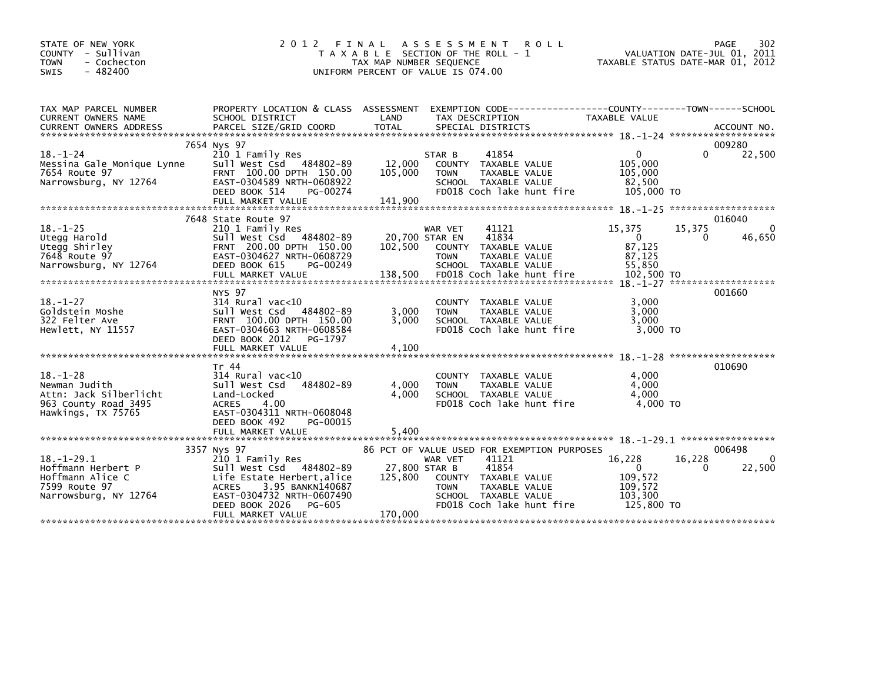| STATE OF NEW YORK<br>COUNTY - Sullivan<br><b>TOWN</b><br>- Cochecton<br>$-482400$<br><b>SWIS</b>        | 2 0 1 2                                                                                                                                                               | FINAL<br>TAX MAP NUMBER SEQUENCE | A S S E S S M E N T<br><b>ROLL</b><br>T A X A B L E SECTION OF THE ROLL - 1<br>UNIFORM PERCENT OF VALUE IS 074.00               | TAXABLE STATUS DATE-MAR 01, 2012                                      |             | 302<br>PAGE<br>VALUATION DATE-JUL 01, 2011 |
|---------------------------------------------------------------------------------------------------------|-----------------------------------------------------------------------------------------------------------------------------------------------------------------------|----------------------------------|---------------------------------------------------------------------------------------------------------------------------------|-----------------------------------------------------------------------|-------------|--------------------------------------------|
| TAX MAP PARCEL NUMBER<br>CURRENT OWNERS NAME                                                            | PROPERTY LOCATION & CLASS ASSESSMENT<br>SCHOOL DISTRICT                                                                                                               | LAND                             | EXEMPTION CODE-----------------COUNTY-------TOWN------SCHOOL<br>TAX DESCRIPTION                                                 | TAXABLE VALUE                                                         |             |                                            |
| $18. - 1 - 24$                                                                                          | 7654 Nys 97<br>210 1 Family Res                                                                                                                                       |                                  | 41854<br>STAR B                                                                                                                 | $\mathbf{0}$                                                          | 0           | 009280<br>22,500                           |
| Messina Gale Monique Lynne<br>7654 Route 97<br>Narrowsburg, NY 12764                                    | Sull West Csd 484802-89<br>FRNT 100.00 DPTH 150.00<br>EAST-0304589 NRTH-0608922<br>DEED BOOK 514<br>PG-00274                                                          | 12,000<br>105,000                | COUNTY TAXABLE VALUE<br><b>TOWN</b><br>TAXABLE VALUE<br>SCHOOL TAXABLE VALUE<br>FD018 Coch lake hunt fire                       | 105,000<br>105,000<br>82.500<br>105,000 TO                            |             |                                            |
|                                                                                                         |                                                                                                                                                                       |                                  |                                                                                                                                 |                                                                       |             |                                            |
| $18. - 1 - 25$<br>Utegg Harold<br>Utegg Shirley                                                         | 7648 State Route 97<br>210 1 Family Res<br>Sull West Csd 484802-89<br>FRNT 200.00 DPTH 150.00                                                                         | 20,700 STAR EN<br>102,500        | 41121<br>WAR VET<br>41834<br>COUNTY TAXABLE VALUE                                                                               | 15,375<br>$\overline{0}$<br>87,125                                    | 15,375<br>0 | 016040<br>$\Omega$<br>46,650               |
| 7648 Route 97<br>Narrowsburg, NY 12764                                                                  | EAST-0304627 NRTH-0608729<br>DEED BOOK 615<br>PG-00249                                                                                                                |                                  | <b>TOWN</b><br>TAXABLE VALUE<br>SCHOOL TAXABLE VALUE                                                                            | 87,125<br>55.850                                                      |             |                                            |
|                                                                                                         | NYS 97                                                                                                                                                                |                                  |                                                                                                                                 |                                                                       |             | 001660                                     |
| $18. - 1 - 27$<br>Goldstein Moshe<br>322 Felter Ave<br>Hewlett, NY 11557                                | $314$ Rural vac<10<br>Sull West Csd 484802-89<br>FRNT 100.00 DPTH 150.00<br>EAST-0304663 NRTH-0608584<br>DEED BOOK 2012<br>PG-1797                                    | 3,000<br>3.000                   | COUNTY TAXABLE VALUE<br>TAXABLE VALUE<br><b>TOWN</b><br>SCHOOL TAXABLE VALUE<br>FD018 Coch lake hunt fire                       | 3,000<br>3,000<br>3.000<br>$3.000$ TO                                 |             |                                            |
|                                                                                                         |                                                                                                                                                                       |                                  |                                                                                                                                 |                                                                       |             |                                            |
| $18. - 1 - 28$<br>Newman Judith<br>Attn: Jack Silberlicht<br>963 County Road 3495<br>Hawkings, TX 75765 | Tr 44<br>$314$ Rural vac<10<br>484802-89<br>sull west Csd<br>Land-Locked<br><b>ACRES</b><br>4.00<br>EAST-0304311 NRTH-0608048                                         | 4,000<br>4.000                   | COUNTY TAXABLE VALUE<br><b>TOWN</b><br>TAXABLE VALUE<br>SCHOOL TAXABLE VALUE<br>FD018 Coch lake hunt fire                       | 4,000<br>4.000<br>4.000<br>4,000 TO                                   |             | 010690                                     |
|                                                                                                         | DEED BOOK 492<br>PG-00015<br>FULL MARKET VALUE                                                                                                                        | 5,400                            |                                                                                                                                 |                                                                       |             |                                            |
|                                                                                                         | 3357 Nys 97                                                                                                                                                           |                                  | 86 PCT OF VALUE USED FOR EXEMPTION PURPOSES                                                                                     |                                                                       |             | 006498                                     |
| $18. - 1 - 29.1$<br>Hoffmann Herbert P<br>Hoffmann Alice C<br>7599 Route 97<br>Narrowsburg, NY 12764    | 210 1 Family Res<br>Sull West Csd 484802-89<br>Life Estate Herbert,alice<br>3.95 BANKN140687<br><b>ACRES</b><br>EAST-0304732 NRTH-0607490<br>DEED BOOK 2026<br>PG-605 | 27,800 STAR B<br>125,800         | 41121<br>WAR VET<br>41854<br>COUNTY TAXABLE VALUE<br>TOWN<br>TAXABLE VALUE<br>SCHOOL TAXABLE VALUE<br>FD018 Coch lake hunt fire | 16,228<br>$\mathbf{0}$<br>109,572<br>109,572<br>103,300<br>125,800 TO | 16,228<br>0 | 0<br>22,500                                |
|                                                                                                         | FULL MARKET VALUE                                                                                                                                                     | 170,000                          |                                                                                                                                 |                                                                       |             |                                            |
|                                                                                                         |                                                                                                                                                                       |                                  |                                                                                                                                 |                                                                       |             |                                            |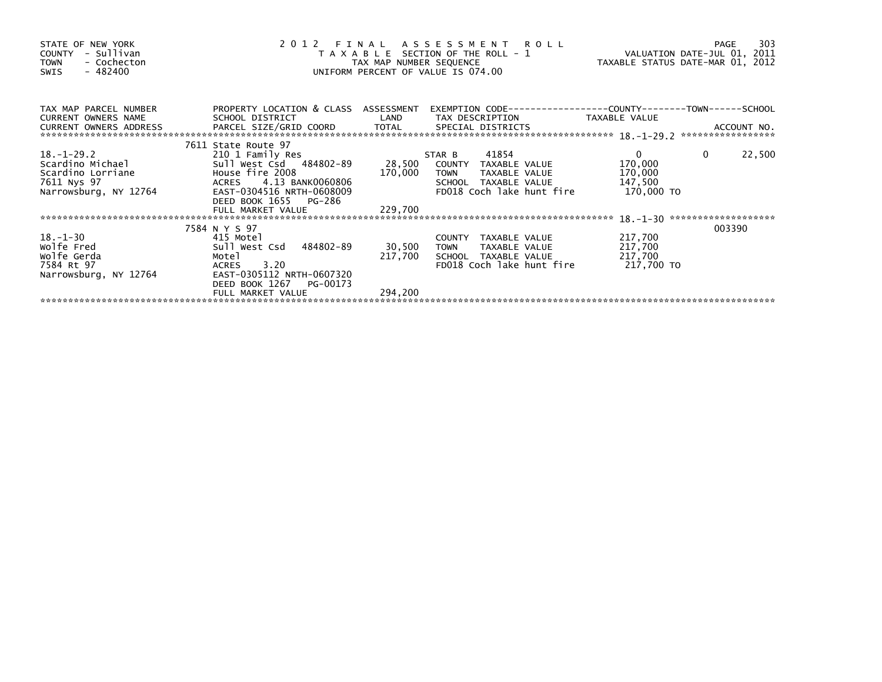| STATE OF NEW YORK<br>COUNTY - Sullivan<br>- Cochecton<br><b>TOWN</b><br>$-482400$<br>SWIS                                       | 2012 FINAL ASSESSMENT ROLL<br>T A X A B L E SECTION OF THE ROLL - 1<br>TAX MAP NUMBER SEQUENCE<br>UNIFORM PERCENT OF VALUE IS 074.00                                    |                    |                                                                                                                                     | VALUATION DATE-JUL 01, 2011<br>TAXABLE STATUS DATE-MAR 01, 2012 | 303<br>PAGE                   |
|---------------------------------------------------------------------------------------------------------------------------------|-------------------------------------------------------------------------------------------------------------------------------------------------------------------------|--------------------|-------------------------------------------------------------------------------------------------------------------------------------|-----------------------------------------------------------------|-------------------------------|
| TAX MAP PARCEL NUMBER<br>CURRENT OWNERS NAME<br>CURRENT OWNERS ADDRESS                                                          | PROPERTY LOCATION & CLASS ASSESSMENT<br>SCHOOL DISTRICT                                                                                                                 | LAND               | EXEMPTION CODE-----------------COUNTY-------TOWN------SCHOOL<br>TAX DESCRIPTION                                                     | TAXABLE VALUE                                                   |                               |
| $18. - 1 - 29.2$<br>Scardino Michael Sull West Csd<br>Scardino Lorriane House fire 2008<br>7611 Nys 97<br>Narrowsburg, NY 12764 | 7611 State Route 97<br>210 1 Family Res<br>Sull West Csd 484802-89<br>ACRES 4.13 BANK0060806<br>EAST-0304516 NRTH-0608009<br>DEED BOOK 1655 PG-286<br>FULL MARKET VALUE | 170,000<br>229,700 | 41854<br>STAR B<br>28,500 COUNTY TAXABLE VALUE<br><b>TOWN</b><br>TAXABLE VALUE<br>SCHOOL TAXABLE VALUE<br>FD018 Coch lake hunt fire | $\mathbf{0}$<br>170,000<br>170,000<br>147,500<br>170,000 TO     | $\mathbf{0}$<br>22,500        |
| $18. - 1 - 30$<br>Wolfe Fred<br>wolfe Gerda<br>7584 Rt 97<br>Narrowsburg, NY 12764                                              | 7584 N Y S 97<br>415 Motel<br>Sull West Csd 484802-89<br>Motel<br>ACRES 3.20<br>EAST-0305112 NRTH-0607320<br>DEED BOOK 1267<br>PG-00173                                 | 30,500<br>217,700  | COUNTY TAXABLE VALUE<br>TOWN<br>TAXABLE VALUE<br>SCHOOL TAXABLE VALUE<br>FD018 Coch lake hunt fire                                  | 217,700<br>217,700<br>217,700<br>217,700 TO                     | *******************<br>003390 |
|                                                                                                                                 | FULL MARKET VALUE                                                                                                                                                       | 294,200            |                                                                                                                                     |                                                                 |                               |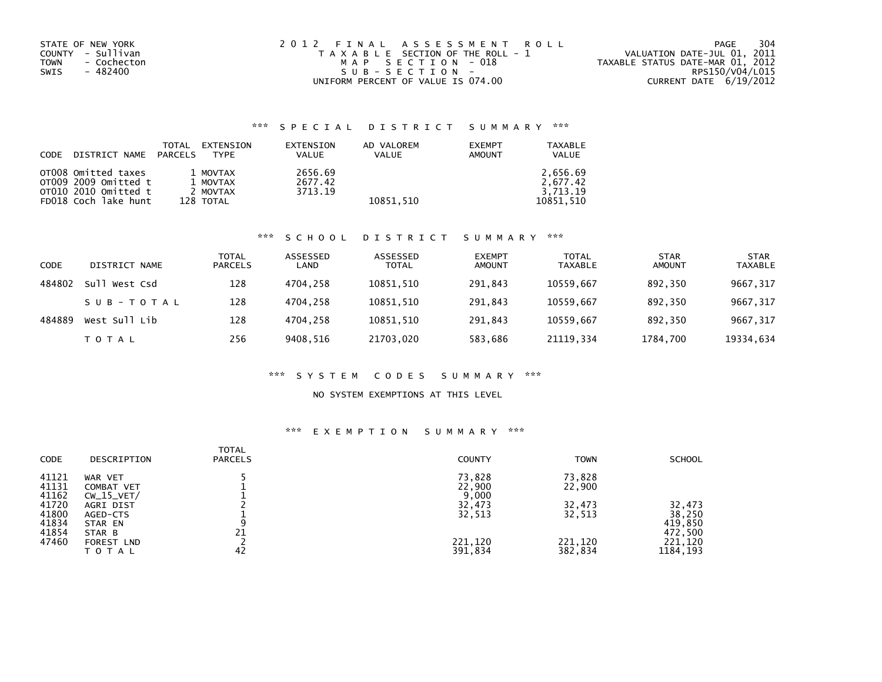| STATE OF NEW YORK<br>COUNTY - Sullivan<br>TOWN<br>- Cochecton<br>- 482400<br>SWIS | 2012 FINAL ASSESSMENT ROLL<br>T A X A B L E SECTION OF THE ROLL - 1<br>MAP SECTION - 018<br>$SUB - SECTION -$ | 304<br>PAGE<br>VALUATION DATE-JUL 01, 2011<br>TAXABLE STATUS DATE-MAR 01, 2012<br>RPS150/V04/L015 |
|-----------------------------------------------------------------------------------|---------------------------------------------------------------------------------------------------------------|---------------------------------------------------------------------------------------------------|
|                                                                                   | UNIFORM PERCENT OF VALUE IS 074.00                                                                            | CURRENT DATE 6/19/2012                                                                            |

# \*\*\* S P E C I A L D I S T R I C T S U M M A R Y \*\*\*

| CODE | DISTRICT NAME        | TOTAL<br>EXTENSION<br>PARCELS<br><b>TYPF</b> | EXTENSION<br>VALUE | AD VALOREM<br><b>VALUE</b> | <b>EXEMPT</b><br>AMOUNT | TAXABLE<br><b>VALUE</b> |
|------|----------------------|----------------------------------------------|--------------------|----------------------------|-------------------------|-------------------------|
|      | OTOO8 Omitted taxes  | 1 MOVTAX                                     | 2656.69            |                            |                         | 2.656.69                |
|      | o⊤009 2009 Omitted t | 1 MOVTAX                                     | 2677.42            |                            |                         | 2.677.42                |
|      | OT010 2010 Omitted t | 2 MOVTAX                                     | 3713.19            |                            |                         | 3.713.19                |
|      | FD018 Coch lake hunt | 128 TOTAL                                    |                    | 10851.510                  |                         | 10851.510               |

### \*\*\* S C H O O L D I S T R I C T S U M M A R Y \*\*\*

| CODE   | DISTRICT NAME | TOTAL<br><b>PARCELS</b> | ASSESSED<br>LAND | ASSESSED<br><b>TOTAL</b> | <b>EXEMPT</b><br><b>AMOUNT</b> | <b>TOTAL</b><br><b>TAXABLE</b> | <b>STAR</b><br><b>AMOUNT</b> | <b>STAR</b><br><b>TAXABLE</b> |
|--------|---------------|-------------------------|------------------|--------------------------|--------------------------------|--------------------------------|------------------------------|-------------------------------|
| 484802 | Sull West Csd | 128                     | 4704.258         | 10851.510                | 291.843                        | 10559.667                      | 892.350                      | 9667, 317                     |
|        | SUB-TOTAL     | 128                     | 4704.258         | 10851,510                | 291.843                        | 10559.667                      | 892.350                      | 9667,317                      |
| 484889 | West Sull Lib | 128                     | 4704.258         | 10851,510                | 291.843                        | 10559.667                      | 892.350                      | 9667,317                      |
|        | TOTAL         | 256                     | 9408.516         | 21703,020                | 583,686                        | 21119.334                      | 1784,700                     | 19334,634                     |

### \*\*\* S Y S T E M C O D E S S U M M A R Y \*\*\*

## NO SYSTEM EXEMPTIONS AT THIS LEVEL

## \*\*\* E X E M P T I O N S U M M A R Y \*\*\*

| <b>CODE</b> | DESCRIPTION  | <b>TOTAL</b><br><b>PARCELS</b> | <b>COUNTY</b> | <b>TOWN</b> | <b>SCHOOL</b> |
|-------------|--------------|--------------------------------|---------------|-------------|---------------|
| 41121       | WAR VET      |                                | 73,828        | 73,828      |               |
| 41131       | COMBAT VET   |                                | 22,900        | 22,900      |               |
| 41162       | $CW_15_VET/$ |                                | 9,000         |             |               |
| 41720       | AGRI DIST    |                                | 32,473        | 32,473      | 32,473        |
| 41800       | AGED-CTS     |                                | 32,513        | 32,513      | 38,250        |
| 41834       | STAR EN      | 9                              |               |             | 419,850       |
| 41854       | STAR B       | 21                             |               |             | 472,500       |
| 47460       | FOREST LND   |                                | 221,120       | 221,120     | 221,120       |
|             | TOTAL        | 42                             | 391,834       | 382,834     | 1184, 193     |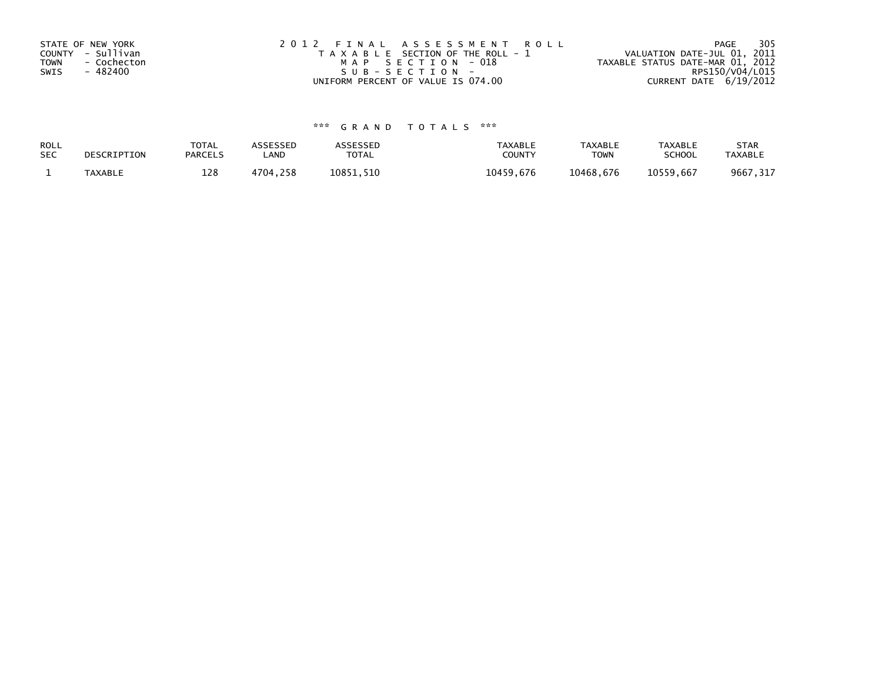| STATE OF NEW YORK          | 2012 FINAL ASSESSMENT ROLL            | - 305<br>PAGE                    |
|----------------------------|---------------------------------------|----------------------------------|
| COUNTY - Sullivan          | T A X A B L E SECTION OF THE ROLL - 1 | VALUATION DATE-JUL 01, 2011      |
| <b>TOWN</b><br>- Cochecton | MAP SECTION - 018                     | TAXABLE STATUS DATE-MAR 01, 2012 |
| SWIS<br>- 482400           | $SUB - SECTION -$                     | RPS150/V04/L015                  |
|                            | UNIFORM PERCENT OF VALUE IS 074.00    | CURRENT DATE 6/19/2012           |

# \*\*\* G R A N D T O T A L S \*\*\*

| ROLL       | DESCRIPTION    | <b>TOTAL</b>   | ASSESSED | ASSESSED  | <b>TAXABLE</b> | <b>TAXABLE</b> | <b>TAXABLE</b> | <b>STAR</b>    |
|------------|----------------|----------------|----------|-----------|----------------|----------------|----------------|----------------|
| <b>SEC</b> |                | <b>PARCELS</b> | LAND     | TOTAL     | <b>COUNTY</b>  | <b>TOWN</b>    | <b>SCHOOL</b>  | <b>TAXABLE</b> |
|            | <b>TAXABLE</b> | 128            | 4704,258 | 10851.510 | 10459.676      | 10468.676      | 10559.667      | 9667,317       |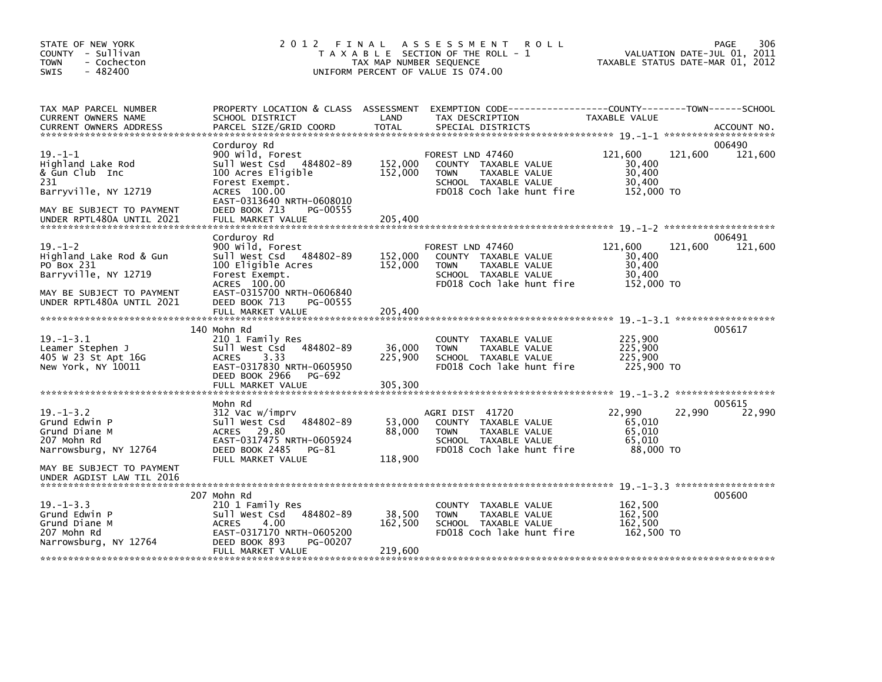| STATE OF NEW YORK<br>COUNTY - Sullivan<br>- Cochecton<br>TOWN<br>$-482400$<br><b>SWIS</b>                                                | 2 0 1 2                                                                                                                                                                                              | FINAL<br>TAX MAP NUMBER SEQUENCE | <b>ROLL</b><br>A S S E S S M E N T<br>T A X A B L E SECTION OF THE ROLL - 1<br>UNIFORM PERCENT OF VALUE IS 074.00                        | VALUATION DATE-JUL 01, 2011<br>TAXABLE STATUS DATE-MAR 01, 2012 | 306<br><b>PAGE</b> |
|------------------------------------------------------------------------------------------------------------------------------------------|------------------------------------------------------------------------------------------------------------------------------------------------------------------------------------------------------|----------------------------------|------------------------------------------------------------------------------------------------------------------------------------------|-----------------------------------------------------------------|--------------------|
| TAX MAP PARCEL NUMBER<br>CURRENT OWNERS NAME<br><b>CURRENT OWNERS ADDRESS</b>                                                            | SCHOOL DISTRICT<br>PARCEL SIZE/GRID COORD                                                                                                                                                            | LAND<br><b>TOTAL</b>             | PROPERTY LOCATION & CLASS ASSESSMENT EXEMPTION CODE----------------COUNTY-------TOWN------SCHOOL<br>TAX DESCRIPTION<br>SPECIAL DISTRICTS | TAXABLE VALUE                                                   | ACCOUNT NO.        |
| $19. - 1 - 1$<br>Highland Lake Rod<br>& Gun Club Inc<br>231<br>Barryville, NY 12719<br>MAY BE SUBJECT TO PAYMENT                         | Corduroy Rd<br>900 wild, Forest<br>Sull West Csd 484802-89<br>100 Acres Eligible<br>Forest Exempt.<br>ACRES 100.00<br>EAST-0313640 NRTH-0608010<br>DEED BOOK 713<br>PG-00555                         | 152,000<br>152,000               | FOREST LND 47460<br>COUNTY TAXABLE VALUE<br><b>TOWN</b><br>TAXABLE VALUE<br>SCHOOL TAXABLE VALUE<br>FD018 Coch lake hunt fire            | 121,600<br>121,600<br>30,400<br>30,400<br>30,400<br>152,000 TO  | 006490<br>121,600  |
| UNDER RPTL480A UNTIL 2021                                                                                                                | FULL MARKET VALUE                                                                                                                                                                                    | 205,400                          |                                                                                                                                          |                                                                 |                    |
| $19. - 1 - 2$<br>Highland Lake Rod & Gun<br>PO Box 231<br>Barryville, NY 12719<br>MAY BE SUBJECT TO PAYMENT<br>UNDER RPTL480A UNTIL 2021 | Corduroy Rd<br>900 Wild, Forest<br>Sull West Csd<br>484802-89<br>100 Eligible Acres<br>Forest Exempt.<br>ACRES 100.00<br>EAST-0315700 NRTH-0606840<br>DEED BOOK 713<br>PG-00555<br>FULL MARKET VALUE | 152,000<br>152,000<br>205,400    | FOREST LND 47460<br>COUNTY TAXABLE VALUE<br><b>TOWN</b><br>TAXABLE VALUE<br>SCHOOL TAXABLE VALUE<br>FD018 Coch lake hunt fire            | 121,600<br>121,600<br>30,400<br>30,400<br>30,400<br>152,000 TO  | 006491<br>121,600  |
|                                                                                                                                          | 140 Mohn Rd                                                                                                                                                                                          |                                  |                                                                                                                                          |                                                                 | 005617             |
| $19. - 1 - 3.1$<br>Leamer Stephen J<br>405 W 23 St Apt 16G<br>New York, NY 10011                                                         | 210 1 Family Res<br>484802-89<br>Sull West Csd<br>3.33<br><b>ACRES</b><br>EAST-0317830 NRTH-0605950<br>DEED BOOK 2966<br>PG-692<br>FULL MARKET VALUE                                                 | 36,000<br>225,900<br>305,300     | COUNTY TAXABLE VALUE<br><b>TOWN</b><br>TAXABLE VALUE<br>SCHOOL TAXABLE VALUE<br>FD018 Coch lake hunt fire                                | 225,900<br>225,900<br>225,900<br>225,900 TO                     |                    |
|                                                                                                                                          | Mohn Rd                                                                                                                                                                                              |                                  |                                                                                                                                          |                                                                 | 005615             |
| $19. - 1 - 3.2$<br>Grund Edwin P<br>Grund Diane M<br>207 Mohn Rd<br>Narrowsburg, NY 12764                                                | 312 Vac w/imprv<br>Sull West Csd<br>484802-89<br>ACRES 29.80<br>EAST-0317475 NRTH-0605924<br>DEED BOOK 2485<br>PG-81<br>FULL MARKET VALUE                                                            | 53,000<br>88,000<br>118,900      | AGRI DIST 41720<br>COUNTY TAXABLE VALUE<br><b>TOWN</b><br>TAXABLE VALUE<br>SCHOOL TAXABLE VALUE<br>FD018 Coch lake hunt fire             | 22,990<br>22,990<br>65,010<br>65,010<br>65,010<br>88,000 TO     | 22,990             |
| MAY BE SUBJECT TO PAYMENT<br>UNDER AGDIST LAW TIL 2016                                                                                   |                                                                                                                                                                                                      |                                  |                                                                                                                                          |                                                                 |                    |
| $19. - 1 - 3.3$<br>Grund Edwin P<br>Grund Diane M<br>207 Mohn Rd<br>Narrowsburg, NY 12764                                                | 207 Mohn Rd<br>210 1 Family Res<br>Sull West Csd<br>484802-89<br>4.00<br><b>ACRES</b><br>EAST-0317170 NRTH-0605200<br>DEED BOOK 893<br>PG-00207<br>FULL MARKET VALUE                                 | 38,500<br>162,500<br>219,600     | COUNTY TAXABLE VALUE<br><b>TOWN</b><br>TAXABLE VALUE<br>SCHOOL TAXABLE VALUE<br>FD018 Coch lake hunt fire                                | 162,500<br>162,500<br>162,500<br>162,500 TO                     | 005600             |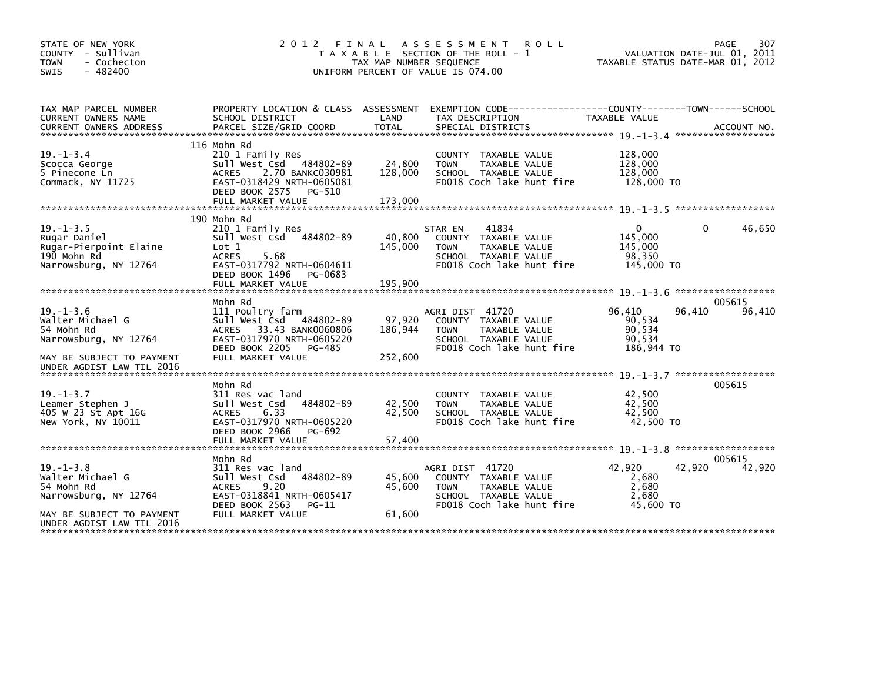| STATE OF NEW YORK<br>COUNTY - Sullivan<br><b>TOWN</b><br>- Cochecton<br>$-482400$<br><b>SWIS</b>                                     | 2 0 1 2                                                                                                                                                                      | FINAL<br>TAX MAP NUMBER SEQUENCE | A S S E S S M E N T<br><b>ROLL</b><br>T A X A B L E SECTION OF THE ROLL - 1<br>UNIFORM PERCENT OF VALUE IS 074.00             |                                                            | 307<br>PAGE<br>VALUATION DATE-JUL 01, 2011<br>TAXABLE STATUS DATE-MAR 01, 2012 |
|--------------------------------------------------------------------------------------------------------------------------------------|------------------------------------------------------------------------------------------------------------------------------------------------------------------------------|----------------------------------|-------------------------------------------------------------------------------------------------------------------------------|------------------------------------------------------------|--------------------------------------------------------------------------------|
| TAX MAP PARCEL NUMBER<br>CURRENT OWNERS NAME                                                                                         | PROPERTY LOCATION & CLASS ASSESSMENT<br>SCHOOL DISTRICT                                                                                                                      | LAND                             | EXEMPTION CODE-----------------COUNTY-------TOWN------SCHOOL<br>TAX DESCRIPTION                                               | TAXABLE VALUE                                              |                                                                                |
| $19. - 1 - 3.4$<br>Scocca George<br>5 Pinecone Ln<br>Commack, NY 11725                                                               | 116 Mohn Rd<br>210 1 Family Res<br>Sull West Csd 484802-89<br>2.70 BANKC030981<br><b>ACRES</b><br>EAST-0318429 NRTH-0605081<br>DEED BOOK 2575<br>PG-510<br>FULL MARKET VALUE | 24,800<br>128,000<br>173,000     | COUNTY TAXABLE VALUE<br><b>TOWN</b><br>TAXABLE VALUE<br>SCHOOL TAXABLE VALUE<br>FD018 Coch lake hunt fire                     | 128,000<br>128,000<br>128,000<br>128,000 TO                |                                                                                |
|                                                                                                                                      |                                                                                                                                                                              |                                  |                                                                                                                               |                                                            |                                                                                |
| $19. - 1 - 3.5$<br>Rugar Daniel<br>Rugar-Pierpoint Elaine<br>190 Mohn Rd<br>Narrowsburg, NY 12764                                    | 190 Mohn Rd<br>210 1 Family Res<br>Sull West Csd<br>484802-89<br>Lot 1<br><b>ACRES</b><br>5.68<br>EAST-0317792 NRTH-0604611<br>DEED BOOK 1496<br>PG-0683                     | 40,800<br>145,000                | 41834<br>STAR EN<br>COUNTY TAXABLE VALUE<br>TAXABLE VALUE<br><b>TOWN</b><br>SCHOOL TAXABLE VALUE<br>FD018 Coch lake hunt fire | $\mathbf{0}$<br>145,000<br>145,000<br>98,350<br>145,000 TO | 46,650<br>$\Omega$                                                             |
|                                                                                                                                      | FULL MARKET VALUE                                                                                                                                                            | 195,900                          |                                                                                                                               |                                                            |                                                                                |
|                                                                                                                                      | Mohn Rd                                                                                                                                                                      |                                  |                                                                                                                               |                                                            | *******************<br>005615                                                  |
| $19. - 1 - 3.6$<br>Walter Michael G<br>54 Mohn Rd<br>Narrowsburg, NY 12764<br>MAY BE SUBJECT TO PAYMENT<br>UNDER AGDIST LAW TIL 2016 | 111 Poultry farm<br>Sull West Csd<br>484802-89<br>ACRES 33.43 BANK0060806<br>EAST-0317970 NRTH-0605220<br>DEED BOOK 2205<br>PG-485<br>FULL MARKET VALUE                      | 97,920<br>186,944<br>252,600     | AGRI DIST 41720<br>COUNTY TAXABLE VALUE<br>TAXABLE VALUE<br><b>TOWN</b><br>SCHOOL TAXABLE VALUE<br>FD018 Coch lake hunt fire  | 96,410<br>90,534<br>90,534<br>90,534<br>186,944 TO         | 96,410<br>96,410                                                               |
|                                                                                                                                      |                                                                                                                                                                              |                                  |                                                                                                                               |                                                            |                                                                                |
| $19. - 1 - 3.7$<br>Leamer Stephen J<br>405 W 23 St Apt 16G<br>New York, NY 10011                                                     | Mohn Rd<br>311 Res vac land<br>Sull West Csd<br>484802-89<br>6.33<br><b>ACRES</b><br>EAST-0317970 NRTH-0605220<br>DEED BOOK 2966<br>PG-692<br>FULL MARKET VALUE              | 42,500<br>42,500<br>57,400       | <b>COUNTY</b><br>TAXABLE VALUE<br><b>TAXABLE VALUE</b><br><b>TOWN</b><br>SCHOOL TAXABLE VALUE<br>FD018 Coch lake hunt fire    | 42,500<br>42.500<br>42,500<br>42,500 TO                    | 005615                                                                         |
|                                                                                                                                      |                                                                                                                                                                              |                                  |                                                                                                                               |                                                            | ******************                                                             |
| $19. - 1 - 3.8$<br>Walter Michael G<br>54 Mohn Rd<br>Narrowsburg, NY 12764<br>MAY BE SUBJECT TO PAYMENT                              | Mohn Rd<br>311 Res vac land<br>484802-89<br>Sull West Csd<br>9.20<br><b>ACRES</b><br>EAST-0318841 NRTH-0605417<br>DEED BOOK 2563<br>$PG-11$<br>FULL MARKET VALUE             | 45.600<br>45,600<br>61,600       | AGRI DIST 41720<br>COUNTY TAXABLE VALUE<br><b>TOWN</b><br>TAXABLE VALUE<br>SCHOOL TAXABLE VALUE<br>FD018 Coch lake hunt fire  | 42.920<br>2,680<br>2,680<br>2.680<br>45,600 TO             | 005615<br>42,920<br>42,920                                                     |
| UNDER AGDIST LAW TIL 2016                                                                                                            |                                                                                                                                                                              |                                  |                                                                                                                               |                                                            |                                                                                |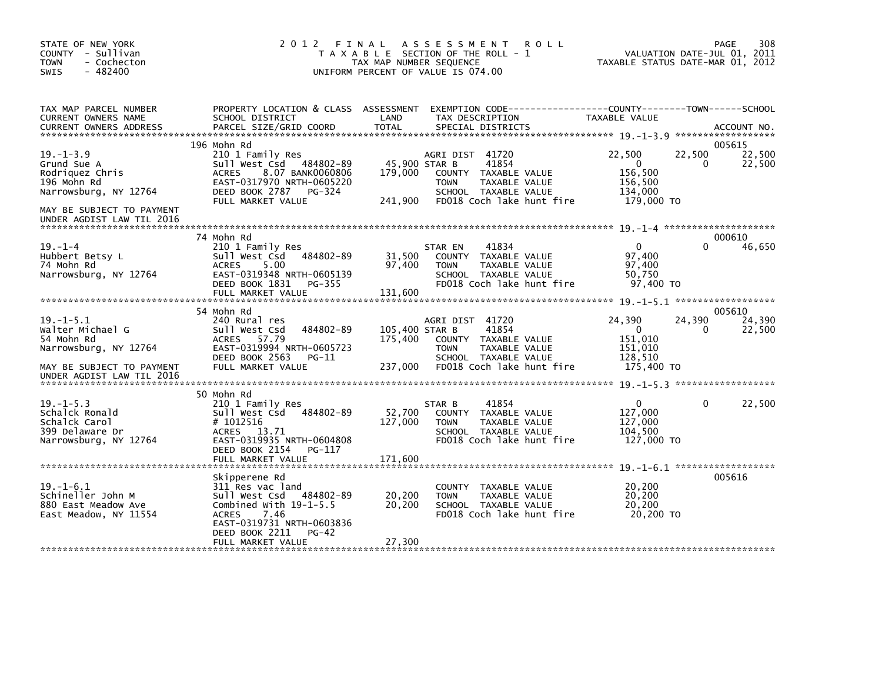| STATE OF NEW YORK<br>COUNTY - Sullivan<br><b>TOWN</b><br>- Cochecton<br>$-482400$<br>SWIS     | 2012 FINAL                                                                                                                                                     | A S S E S S M E N T<br>T A X A B L E SECTION OF THE ROLL - 1<br>TAX MAP NUMBER SEQUENCE<br>UNIFORM PERCENT OF VALUE IS 074.00 | <b>ROLL</b>                                                                   | 308<br>PAGE<br>VALUATION DATE-JUL 01, 2011<br>TAXABLE STATUS DATE-MAR 01, 2012 |
|-----------------------------------------------------------------------------------------------|----------------------------------------------------------------------------------------------------------------------------------------------------------------|-------------------------------------------------------------------------------------------------------------------------------|-------------------------------------------------------------------------------|--------------------------------------------------------------------------------|
| TAX MAP PARCEL NUMBER<br>CURRENT OWNERS NAME<br><b>CURRENT OWNERS ADDRESS</b>                 | PROPERTY LOCATION & CLASS ASSESSMENT<br>SCHOOL DISTRICT<br>PARCEL SIZE/GRID COORD                                                                              | LAND<br>TAX DESCRIPTION<br>TOTAL<br>SPECIAL DISTRICTS                                                                         | EXEMPTION CODE-----------------COUNTY-------TOWN------SCHOOL<br>TAXABLE VALUE | ACCOUNT NO.                                                                    |
|                                                                                               | 196 Mohn Rd                                                                                                                                                    |                                                                                                                               |                                                                               | 005615                                                                         |
| $19. - 1 - 3.9$<br>Grund Sue A<br>Rodriguez Chris                                             | 210 1 Family Res<br>484802-89<br>Sull West Csd<br>8.07 BANK0060806<br><b>ACRES</b>                                                                             | AGRI DIST 41720<br>45,900 STAR B<br>41854<br>179,000<br>COUNTY TAXABLE VALUE                                                  | 22,500<br>$\mathbf 0$<br>156,500                                              | 22,500<br>22,500<br>22,500<br>0                                                |
| 196 Mohn Rd<br>Narrowsburg, NY 12764                                                          | EAST-0317970 NRTH-0605220<br>DEED BOOK 2787 PG-324<br>FULL MARKET VALUE                                                                                        | <b>TOWN</b><br>SCHOOL TAXABLE VALUE<br>241,900                                                                                | TAXABLE VALUE<br>156,500<br>134,000<br>FD018 Coch lake hunt fire              | 179,000 TO                                                                     |
| MAY BE SUBJECT TO PAYMENT<br>UNDER AGDIST LAW TIL 2016                                        |                                                                                                                                                                |                                                                                                                               |                                                                               |                                                                                |
|                                                                                               | 74 Mohn Rd                                                                                                                                                     |                                                                                                                               |                                                                               | 000610                                                                         |
| $19. - 1 - 4$<br>Hubbert Betsy L<br>74 Mohn Rd<br>Narrowsburg, NY 12764                       | 210 1 Family Res<br>484802-89<br>Sull West Csd<br>5.00<br><b>ACRES</b><br>EAST-0319348 NRTH-0605139                                                            | 41834<br>STAR EN<br>31,500<br>COUNTY TAXABLE VALUE<br>97.400<br><b>TOWN</b><br>SCHOOL TAXABLE VALUE                           | TAXABLE VALUE                                                                 | 46,650<br>$\mathbf{0}$<br>97,400<br>97,400<br>50,750                           |
|                                                                                               | DEED BOOK 1831<br>PG-355                                                                                                                                       |                                                                                                                               | FD018 Coch lake hunt fire                                                     | 97.400 TO                                                                      |
|                                                                                               | FULL MARKET VALUE                                                                                                                                              | 131,600                                                                                                                       |                                                                               |                                                                                |
|                                                                                               | 54 Mohn Rd                                                                                                                                                     |                                                                                                                               |                                                                               | 005610                                                                         |
| $19. -1 - 5.1$<br>Walter Michael G<br>54 Mohn Rd<br>Narrowsburg, NY 12764                     | 240 Rural res<br>Sull West Csd<br>484802-89<br>ACRES 57.79<br>EAST-0319994 NRTH-0605723                                                                        | AGRI DIST 41720<br>105.400 STAR B<br>41854<br>175,400<br>COUNTY TAXABLE VALUE<br><b>TOWN</b>                                  | 24,390<br>$\mathbf{0}$<br>151,010<br>151,010<br>TAXABLE VALUE                 | 24,390<br>24,390<br>22,500<br>0                                                |
| MAY BE SUBJECT TO PAYMENT<br>UNDER AGDIST LAW TIL 2016                                        | DEED BOOK 2563<br>PG-11<br>FULL MARKET VALUE                                                                                                                   | SCHOOL TAXABLE VALUE<br>237,000                                                                                               | 128,510<br>FD018 Coch lake hunt fire                                          | 175,400 TO                                                                     |
|                                                                                               |                                                                                                                                                                |                                                                                                                               |                                                                               |                                                                                |
| $19. -1 - 5.3$<br>Schalck Ronald<br>Schalck Carol<br>399 Delaware Dr<br>Narrowsburg, NY 12764 | 50 Mohn Rd<br>210 1 Family Res<br>Sull West Csd<br>484802-89<br># 1012516<br>ACRES 13.71<br>EAST-0319935 NRTH-0604808<br>DEED BOOK 2154<br>PG-117              | 41854<br>STAR B<br>52,700<br>COUNTY TAXABLE VALUE<br>127,000<br><b>TOWN</b><br>SCHOOL TAXABLE VALUE                           | 127,000<br>TAXABLE VALUE<br>104,500<br>FD018 Coch lake hunt fire              | 22,500<br>$\Omega$<br>$\Omega$<br>127,000<br>127,000 TO                        |
|                                                                                               |                                                                                                                                                                |                                                                                                                               |                                                                               |                                                                                |
|                                                                                               | Skipperene Rd                                                                                                                                                  |                                                                                                                               |                                                                               | 005616                                                                         |
| $19. - 1 - 6.1$<br>Schineller John M<br>880 East Meadow Ave<br>East Meadow, NY 11554          | 311 Res vac land<br>Sull West Csd<br>484802-89<br>Combined With $19-1-5.5$<br><b>ACRES</b><br>- 7.46<br>EAST-0319731 NRTH-0603836<br>DEED BOOK 2211<br>$PG-42$ | COUNTY TAXABLE VALUE<br>20,200<br><b>TOWN</b><br>20,200<br>SCHOOL TAXABLE VALUE                                               | TAXABLE VALUE<br>FD018 Coch lake hunt fire                                    | 20,200<br>20,200<br>20,200<br>20,200 TO                                        |
|                                                                                               | FULL MARKET VALUE                                                                                                                                              | 27,300                                                                                                                        |                                                                               |                                                                                |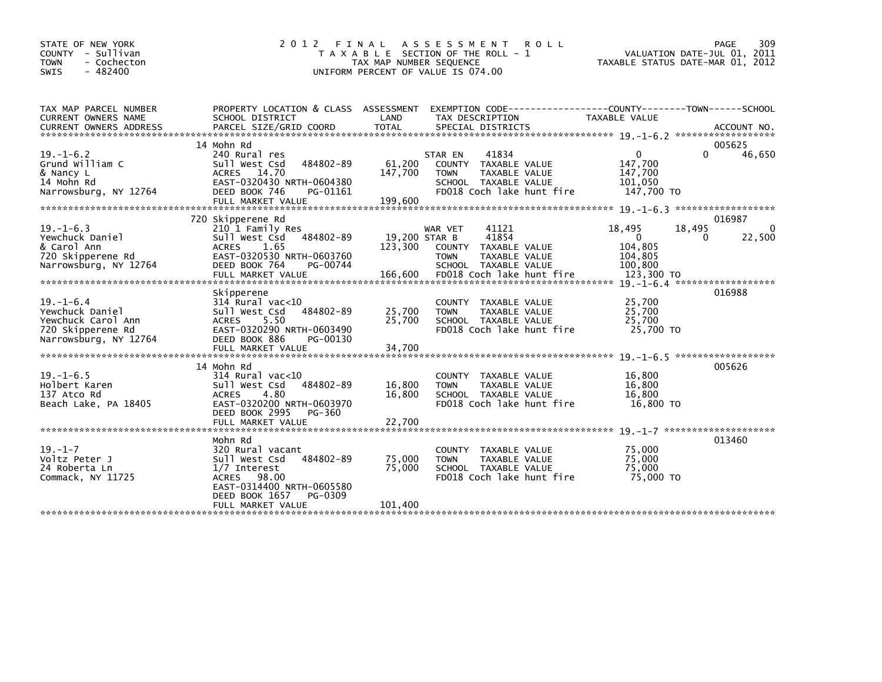| STATE OF NEW YORK<br>COUNTY - Sullivan<br>- Cochecton<br><b>TOWN</b><br>$-482400$<br><b>SWIS</b>       | 2 0 1 2                                                                                                                                                                             | FINAL<br>TAX MAP NUMBER SEQUENCE | ASSESSMENT ROLL<br>T A X A B L E SECTION OF THE ROLL - 1<br>UNIFORM PERCENT OF VALUE IS 074.00                                |                                                             | PAGE<br>309<br>VALUATION DATE-JUL 01, 2011<br>TAXABLE STATUS DATE-MAR 01, 2012 |
|--------------------------------------------------------------------------------------------------------|-------------------------------------------------------------------------------------------------------------------------------------------------------------------------------------|----------------------------------|-------------------------------------------------------------------------------------------------------------------------------|-------------------------------------------------------------|--------------------------------------------------------------------------------|
| TAX MAP PARCEL NUMBER<br>CURRENT OWNERS NAME                                                           | PROPERTY LOCATION & CLASS ASSESSMENT EXEMPTION CODE---------------COUNTY-------TOWN------SCHOOL<br>SCHOOL DISTRICT                                                                  | LAND                             | TAX DESCRIPTION                                                                                                               | <b>TAXABLE VALUE</b>                                        |                                                                                |
|                                                                                                        | 14 Mohn Rd                                                                                                                                                                          |                                  |                                                                                                                               |                                                             | 005625                                                                         |
| $19. - 1 - 6.2$<br>Grund William C<br>& Nancy L<br>14 Mohn Rd<br>Narrowsburg, NY 12764                 | 240 Rural res<br>484802-89<br>Sull West Csd<br>14.70<br><b>ACRES</b><br>EAST-0320430 NRTH-0604380<br>DEED BOOK 746<br>PG-01161                                                      | 61,200<br>147,700                | 41834<br>STAR EN<br>COUNTY TAXABLE VALUE<br><b>TOWN</b><br>TAXABLE VALUE<br>SCHOOL TAXABLE VALUE<br>FD018 Coch lake hunt fire | $\mathbf{0}$<br>147,700<br>147,700<br>101,050<br>147,700 TO | $\Omega$<br>46,650                                                             |
|                                                                                                        |                                                                                                                                                                                     |                                  |                                                                                                                               |                                                             |                                                                                |
| $19. - 1 - 6.3$<br>Yewchuck Daniel<br>& Carol Ann<br>720 Skipperene Rd<br>Narrowsburg, NY 12764        | 720 Skipperene Rd<br>210 1 Family Res<br>Sull West Csd<br>484802-89<br>1.65<br><b>ACRES</b><br>EAST-0320530 NRTH-0603760<br>DEED BOOK 764<br>PG-00744                               | 19,200 STAR B<br>123,300         | 41121<br>WAR VET<br>41854<br>COUNTY TAXABLE VALUE<br>TAXABLE VALUE<br><b>TOWN</b><br>SCHOOL TAXABLE VALUE                     | 18,495<br>$\mathbf 0$<br>104,805<br>104,805<br>100.800      | 016987<br>18,495<br>$\Omega$<br>22,500<br>0                                    |
|                                                                                                        | FULL MARKET VALUE                                                                                                                                                                   | 166,600                          | FD018 Coch lake hunt fire                                                                                                     | 123,300 TO                                                  |                                                                                |
|                                                                                                        |                                                                                                                                                                                     |                                  |                                                                                                                               |                                                             |                                                                                |
| $19. - 1 - 6.4$<br>Yewchuck Daniel<br>Yewchuck Carol Ann<br>720 Skipperene Rd<br>Narrowsburg, NY 12764 | Skipperene<br>$314$ Rural vac<10<br>Sull West Csd<br>484802-89<br>5.50<br><b>ACRES</b><br>EAST-0320290 NRTH-0603490<br>DEED BOOK 886<br>PG-00130<br>FULL MARKET VALUE               | 25,700<br>25,700<br>34,700       | COUNTY TAXABLE VALUE<br>TAXABLE VALUE<br><b>TOWN</b><br>SCHOOL TAXABLE VALUE<br>FD018 Coch lake hunt fire                     | 25,700<br>25,700<br>25,700<br>25,700 TO                     | 016988                                                                         |
|                                                                                                        |                                                                                                                                                                                     |                                  |                                                                                                                               |                                                             | 19. -1-6.5 *******************                                                 |
| $19. - 1 - 6.5$<br>Holbert Karen<br>137 Atco Rd<br>Beach Lake, PA 18405                                | 14 Mohn Rd<br>314 Rural vac<10<br>Sull West Csd<br>484802-89<br>4.80<br><b>ACRES</b><br>EAST-0320200 NRTH-0603970<br>DEED BOOK 2995<br>PG-360                                       | 16,800<br>16,800                 | <b>COUNTY</b><br>TAXABLE VALUE<br>TAXABLE VALUE<br><b>TOWN</b><br>SCHOOL TAXABLE VALUE<br>FD018 Coch lake hunt fire           | 16,800<br>16,800<br>16,800<br>16,800 TO                     | 005626                                                                         |
|                                                                                                        |                                                                                                                                                                                     |                                  |                                                                                                                               |                                                             |                                                                                |
| $19. - 1 - 7$<br>Voltz Peter J<br>24 Roberta Ln<br>Commack, NY 11725                                   | Mohn Rd<br>320 Rural vacant<br>Sull West Csd<br>484802-89<br>$1/7$ Interest<br><b>ACRES</b><br>98.00<br>EAST-0314400 NRTH-0605580<br>DEED BOOK 1657<br>PG-0309<br>FULL MARKET VALUE | 75,000<br>75,000<br>101,400      | COUNTY TAXABLE VALUE<br>TAXABLE VALUE<br><b>TOWN</b><br>SCHOOL TAXABLE VALUE<br>FD018 Coch lake hunt fire                     | 75,000<br>75,000<br>75.000<br>75,000 TO                     | 013460                                                                         |
|                                                                                                        |                                                                                                                                                                                     |                                  |                                                                                                                               |                                                             |                                                                                |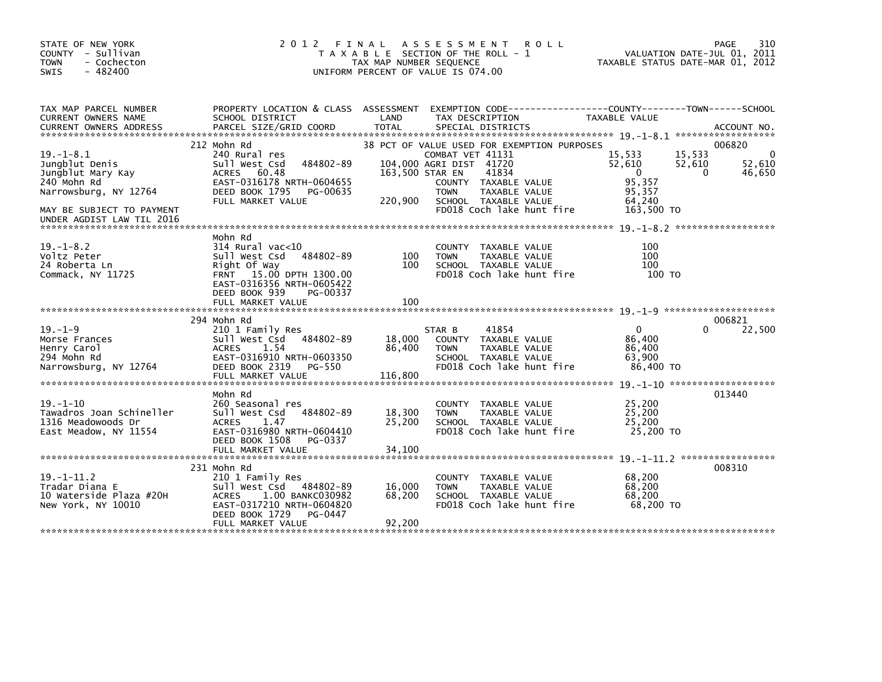| STATE OF NEW YORK<br>COUNTY - Sullivan<br><b>TOWN</b><br>- Cochecton<br>$-482400$<br>SWIS      | 2 0 1 2                                                                                                                                                                          | FINAL<br>TAX MAP NUMBER SEQUENCE | A S S E S S M E N T<br><b>ROLL</b><br>T A X A B L E SECTION OF THE ROLL - 1<br>UNIFORM PERCENT OF VALUE IS 074.00                                                                   | VALUATION DATE-JUL 01, 2011<br>TAXABLE STATUS DATE-MAR 01, 2012                | 310<br>PAGE                                 |
|------------------------------------------------------------------------------------------------|----------------------------------------------------------------------------------------------------------------------------------------------------------------------------------|----------------------------------|-------------------------------------------------------------------------------------------------------------------------------------------------------------------------------------|--------------------------------------------------------------------------------|---------------------------------------------|
| TAX MAP PARCEL NUMBER<br>CURRENT OWNERS NAME                                                   | PROPERTY LOCATION & CLASS ASSESSMENT<br>SCHOOL DISTRICT                                                                                                                          | LAND                             | EXEMPTION CODE-----------------COUNTY-------TOWN------SCHOOL<br>TAX DESCRIPTION                                                                                                     | TAXABLE VALUE                                                                  |                                             |
| $19. - 1 - 8.1$<br>Jungblut Denis<br>Jungblut Mary Kay<br>240 Mohn Rd<br>Narrowsburg, NY 12764 | 212 Mohn Rd<br>240 Rural res<br>484802-89<br>Sull West Csd<br>ACRES 60.48<br>EAST-0316178 NRTH-0604655<br>DEED BOOK 1795<br>PG-00635<br>FULL MARKET VALUE                        | 163,500 STAR EN<br>220,900       | 38 PCT OF VALUE USED FOR EXEMPTION PURPOSES<br>COMBAT VET 41131<br>104.000 AGRI DIST 41720<br>41834<br>COUNTY TAXABLE VALUE<br><b>TOWN</b><br>TAXABLE VALUE<br>SCHOOL TAXABLE VALUE | 15,533<br>15,533<br>52,610<br>52,610<br>$\Omega$<br>95,357<br>95,357<br>64.240 | 006820<br>0<br>52,610<br>46,650<br>$\Omega$ |
| MAY BE SUBJECT TO PAYMENT<br>UNDER AGDIST LAW TIL 2016                                         |                                                                                                                                                                                  |                                  | FD018 Coch lake hunt fire                                                                                                                                                           | 163,500 TO                                                                     |                                             |
| $19. - 1 - 8.2$<br>Voltz Peter<br>24 Roberta Ln<br>Commack, NY 11725                           | Mohn Rd<br>$314$ Rural vac< $10$<br>484802-89<br>Sull West Csd<br>Right Of Way<br>FRNT 15.00 DPTH 1300.00<br>EAST-0316356 NRTH-0605422<br>DEED BOOK 939<br>PG-00337              | 100<br>100                       | COUNTY<br>TAXABLE VALUE<br><b>TOWN</b><br>TAXABLE VALUE<br>SCHOOL TAXABLE VALUE<br>FD018 Coch lake hunt fire                                                                        | 100<br>100<br>100<br>100 TO                                                    |                                             |
|                                                                                                | FULL MARKET VALUE                                                                                                                                                                | 100                              |                                                                                                                                                                                     |                                                                                |                                             |
| $19. - 1 - 9$<br>Morse Frances<br>Henry Carol<br>294 Mohn Rd<br>Narrowsburg, NY 12764          | 294 Mohn Rd<br>210 1 Family Res<br>484802-89<br>Sull West Csd<br>1.54<br><b>ACRES</b><br>EAST-0316910 NRTH-0603350<br>DEED BOOK 2319<br>PG-550<br>FULL MARKET VALUE              | 18,000<br>86,400<br>116,800      | 41854<br>STAR B<br>COUNTY TAXABLE VALUE<br>TAXABLE VALUE<br><b>TOWN</b><br>SCHOOL TAXABLE VALUE<br>FD018 Coch lake hunt fire                                                        | $\mathbf{0}$<br>86,400<br>86,400<br>63.900<br>86,400 TO                        | 006821<br>22,500                            |
|                                                                                                | Mohn Rd                                                                                                                                                                          |                                  |                                                                                                                                                                                     |                                                                                | 013440                                      |
| $19. - 1 - 10$<br>Tawadros Joan Schineller<br>1316 Meadowoods Dr<br>East Meadow, NY 11554      | 260 Seasonal res<br>484802-89<br>Sull West Csd<br><b>ACRES</b><br>1.47<br>EAST-0316980 NRTH-0604410<br>DEED BOOK 1508<br>PG-0337                                                 | 18,300<br>25,200                 | COUNTY TAXABLE VALUE<br>TAXABLE VALUE<br><b>TOWN</b><br>SCHOOL TAXABLE VALUE<br>FD018 Coch lake hunt fire                                                                           | 25,200<br>25,200<br>25,200<br>25,200 TO                                        |                                             |
|                                                                                                | FULL MARKET VALUE                                                                                                                                                                | 34.100                           |                                                                                                                                                                                     |                                                                                |                                             |
| $19. - 1 - 11.2$<br>Tradar Diana E<br>10 Waterside Plaza #20H<br>New York, NY 10010            | 231 Mohn Rd<br>210 1 Family Res<br>Sull West Csd<br>484802-89<br>1.00 BANKC030982<br><b>ACRES</b><br>EAST-0317210 NRTH-0604820<br>DEED BOOK 1729<br>PG-0447<br>FULL MARKET VALUE | 16,000<br>68,200<br>92,200       | <b>COUNTY</b><br>TAXABLE VALUE<br><b>TOWN</b><br>TAXABLE VALUE<br>SCHOOL TAXABLE VALUE<br>FD018 Coch lake hunt fire                                                                 | 68,200<br>68,200<br>68,200<br>68,200 TO                                        | 008310                                      |
|                                                                                                |                                                                                                                                                                                  |                                  |                                                                                                                                                                                     |                                                                                |                                             |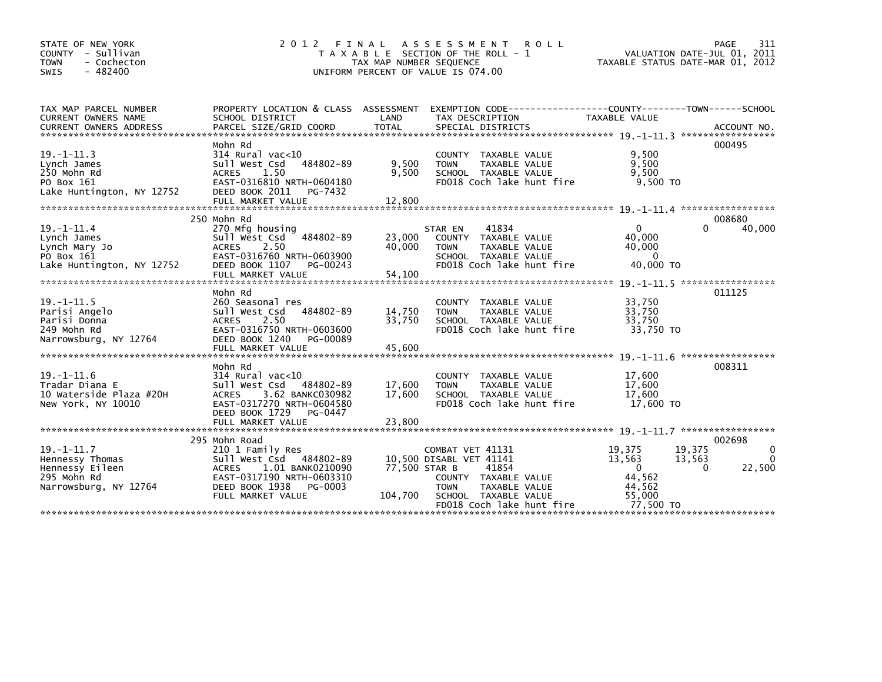| STATE OF NEW YORK<br>COUNTY - Sullivan<br>- Cochecton<br><b>TOWN</b><br>$-482400$<br>SWIS      | 2 0 1 2<br>FINAL                                                                                                                                                                | TAX MAP NUMBER SEQUENCE    | A S S E S S M E N T<br><b>ROLL</b><br>T A X A B L E SECTION OF THE ROLL - 1<br>UNIFORM PERCENT OF VALUE IS 074.00                                                 | VALUATION DATE-JUL 01, 2011<br>TAXABLE STATUS DATE-MAR 01, 2012                                      | 311<br>PAGE                       |
|------------------------------------------------------------------------------------------------|---------------------------------------------------------------------------------------------------------------------------------------------------------------------------------|----------------------------|-------------------------------------------------------------------------------------------------------------------------------------------------------------------|------------------------------------------------------------------------------------------------------|-----------------------------------|
| TAX MAP PARCEL NUMBER<br><b>CURRENT OWNERS NAME</b><br><b>CURRENT OWNERS ADDRESS</b>           | SCHOOL DISTRICT<br>PARCEL SIZE/GRID COORD                                                                                                                                       | LAND<br><b>TOTAL</b>       | PROPERTY LOCATION & CLASS ASSESSMENT EXEMPTION CODE----------------COUNTY-------TOWN------SCHOOL<br>TAX DESCRIPTION<br>SPECIAL DISTRICTS                          | <b>TAXABLE VALUE</b>                                                                                 | ACCOUNT NO.                       |
| $19. - 1 - 11.3$<br>Lynch James<br>250 Mohn Rd<br>PO Box 161<br>Lake Huntington, NY 12752      | Mohn Rd<br>$314$ Rural vac<10<br>Sull West Csd 484802-89<br><b>ACRES</b><br>1.50<br>EAST-0316810 NRTH-0604180<br>DEED BOOK 2011<br>PG-7432                                      | 9,500<br>9.500             | <b>COUNTY</b><br>TAXABLE VALUE<br>TAXABLE VALUE<br><b>TOWN</b><br>SCHOOL TAXABLE VALUE<br>FD018 Coch lake hunt fire                                               | 9.500<br>9.500<br>9.500<br>$9.500$ TO                                                                | 000495                            |
| $19 - 1 - 11.4$<br>Lynch James<br>Lynch Mary Jo<br>PO Box 161<br>Lake Huntington, NY 12752     | 250 Mohn Rd<br>270 Mfg housing<br>Sull West Csd 484802-89<br>2.50<br><b>ACRES</b><br>EAST-0316760 NRTH-0603900<br>DEED BOOK 1107<br>PG-00243<br>FULL MARKET VALUE               | 23,000<br>40,000<br>54,100 | 41834<br>STAR EN<br>TAXABLE VALUE<br><b>COUNTY</b><br><b>TOWN</b><br>TAXABLE VALUE<br>SCHOOL TAXABLE VALUE<br>FD018 Coch lake hunt fire                           | $\Omega$<br>$\Omega$<br>40.000<br>40,000<br>$\Omega$<br>40,000 TO                                    | 008680<br>40,000                  |
| $19. -1 - 11.5$<br>Parisi Angelo<br>Parisi Donna<br>249 Mohn Rd<br>Narrowsburg, NY 12764       | Mohn Rd<br>260 Seasonal res<br>484802-89<br>Sull West Csd<br>2.50<br><b>ACRES</b><br>EAST-0316750 NRTH-0603600<br>DEED BOOK 1240<br>PG-00089<br>FULL MARKET VALUE               | 14,750<br>33.750<br>45,600 | <b>COUNTY</b><br>TAXABLE VALUE<br>TAXABLE VALUE<br><b>TOWN</b><br>SCHOOL TAXABLE VALUE<br>FD018 Coch lake hunt fire                                               | 33,750<br>33,750<br>33,750<br>33,750 TO                                                              | 011125                            |
| 19. -1-11.6<br>Tradar Diana E<br>10 Waterside Plaza #20H<br>New York, NY 10010                 | Mohn Rd<br>314 Rural vac<10<br>Sull West Csd 484802-89<br>3.62 BANKC030982<br><b>ACRES</b><br>EAST-0317270 NRTH-0604580<br>DEED BOOK 1729<br>PG-0447<br>FULL MARKET VALUE       | 17,600<br>17,600<br>23,800 | TAXABLE VALUE<br><b>COUNTY</b><br><b>TOWN</b><br>TAXABLE VALUE<br>SCHOOL TAXABLE VALUE<br>FD018 Coch lake hunt fire                                               | 19. -1-11. 6 *******************<br>17,600<br>17,600<br>17,600<br>17,600 TO                          | 008311                            |
| $19. - 1 - 11.7$<br>Hennessy Thomas<br>Hennessy Eileen<br>295 Mohn Rd<br>Narrowsburg, NY 12764 | 295 Mohn Road<br>210 1 Family Res<br>Sull West Csd 484802-89<br><b>ACRES</b><br>1.01 BANK0210090<br>EAST-0317190 NRTH-0603310<br>DEED BOOK 1938<br>PG-0003<br>FULL MARKET VALUE | 77,500 STAR B<br>104,700   | COMBAT VET 41131<br>10,500 DISABL VET 41141<br>41854<br>COUNTY TAXABLE VALUE<br><b>TOWN</b><br>TAXABLE VALUE<br>SCHOOL TAXABLE VALUE<br>FD018 Coch lake hunt fire | 19,375<br>19,375<br>13,563<br>13,563<br>$\mathbf{0}$<br>0<br>44,562<br>44,562<br>55,000<br>77.500 TO | 002698<br>0<br>$\Omega$<br>22,500 |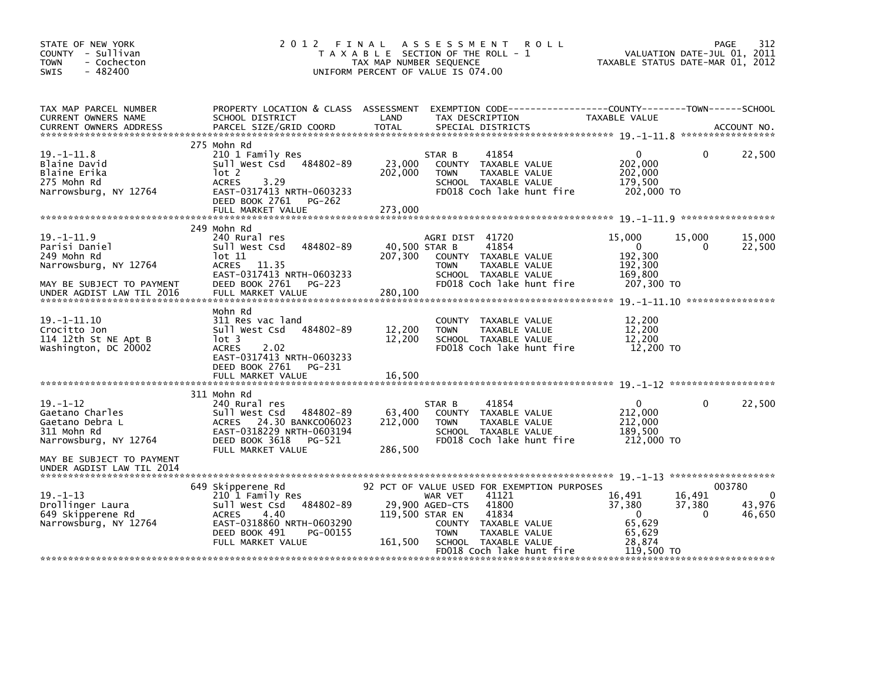| STATE OF NEW YORK<br>COUNTY - Sullivan<br><b>TOWN</b><br>- Cochecton<br>$-482400$<br><b>SWIS</b>                                           | 2 0 1 2                                                                                                                                                                    | FINAL<br>TAX MAP NUMBER SEQUENCE | A S S E S S M E N T<br><b>ROLL</b><br>T A X A B L E SECTION OF THE ROLL - 1<br>UNIFORM PERCENT OF VALUE IS 074.00                                                                                                                    | TAXABLE STATUS DATE-MAR 01, 2012                                         | VALUATION DATE-JUL 01, 2011  | 312<br>PAGE                               |
|--------------------------------------------------------------------------------------------------------------------------------------------|----------------------------------------------------------------------------------------------------------------------------------------------------------------------------|----------------------------------|--------------------------------------------------------------------------------------------------------------------------------------------------------------------------------------------------------------------------------------|--------------------------------------------------------------------------|------------------------------|-------------------------------------------|
| TAX MAP PARCEL NUMBER<br>CURRENT OWNERS NAME<br><b>CURRENT OWNERS ADDRESS</b>                                                              | PROPERTY LOCATION & CLASS ASSESSMENT<br>SCHOOL DISTRICT<br>PARCEL SIZE/GRID COORD                                                                                          | LAND<br><b>TOTAL</b>             | EXEMPTION CODE-----------------COUNTY-------TOWN------SCHOOL<br>TAX DESCRIPTION<br>SPECIAL DISTRICTS                                                                                                                                 | TAXABLE VALUE                                                            |                              | ACCOUNT NO.                               |
| $19. - 1 - 11.8$<br>Blaine David<br>Blaine Erika<br>275 Mohn Rd<br>Narrowsburg, NY 12764                                                   | 275 Mohn Rd<br>210 1 Family Res<br>Sull West Csd 484802-89<br>lot 2<br>3.29<br><b>ACRES</b><br>EAST-0317413 NRTH-0603233<br>DEED BOOK 2761<br>PG-262<br>FULL MARKET VALUE  | 23,000<br>202,000<br>273,000     | 41854<br>STAR B<br>COUNTY TAXABLE VALUE<br><b>TOWN</b><br>TAXABLE VALUE<br>SCHOOL TAXABLE VALUE<br>FD018 Coch lake hunt fire                                                                                                         | $\mathbf{0}$<br>202,000<br>202,000<br>179,500<br>202,000 TO              | $\Omega$                     | 22,500                                    |
| $19. -1 - 11.9$<br>Parisi Daniel<br>249 Mohn Rd<br>Narrowsburg, NY 12764<br>MAY BE SUBJECT TO PAYMENT<br>UNDER AGDIST LAW TIL 2016         | 249 Mohn Rd<br>240 Rural res<br>484802-89<br>Sull West Csd<br>lot 11<br>ACRES 11.35<br>EAST-0317413 NRTH-0603233<br>DEED BOOK 2761<br><b>PG-223</b><br>FULL MARKET VALUE   | 207,300<br>280,100               | AGRI DIST 41720<br>40,500 STAR B<br>41854<br>COUNTY TAXABLE VALUE<br>TAXABLE VALUE<br><b>TOWN</b><br>SCHOOL TAXABLE VALUE<br>FD018 Coch lake hunt fire                                                                               | 15,000<br>0<br>192,300<br>192,300<br>169,800<br>207,300 TO               | 15,000<br>0                  | 15,000<br>22,500                          |
| 19. -1-11.10<br>Crocitto Jon<br>114 12th St NE Apt B<br>Washington, DC 20002                                                               | Mohn Rd<br>311 Res vac land<br>Sull West Csd 484802-89<br>$1$ ot 3<br><b>ACRES</b><br>2.02<br>EAST-0317413 NRTH-0603233<br>DEED BOOK 2761<br>PG-231<br>FULL MARKET VALUE   | 12,200<br>12,200<br>16,500       | COUNTY TAXABLE VALUE<br><b>TOWN</b><br>TAXABLE VALUE<br>SCHOOL TAXABLE VALUE<br>FD018 Coch lake hunt fire                                                                                                                            | 12,200<br>12,200<br>12,200<br>12,200 TO                                  |                              |                                           |
| $19. - 1 - 12$<br>Gaetano Charles<br>Gaetano Debra L<br>311 Mohn Rd<br>Narrowsburg, NY 12764                                               | 311 Mohn Rd<br>240 Rural res<br>484802-89<br>Sull West Csd<br>ACRES 24.30 BANKC006023<br>EAST-0318229 NRTH-0603194<br>DEED BOOK 3618<br>PG-521<br>FULL MARKET VALUE        | 63,400<br>212,000<br>286,500     | STAR B<br>41854<br>COUNTY TAXABLE VALUE<br><b>TOWN</b><br>TAXABLE VALUE<br>SCHOOL TAXABLE VALUE<br>FD018 Coch lake hunt fire                                                                                                         | $\Omega$<br>212,000<br>212,000<br>189.500<br>212,000 TO                  | $\Omega$                     | 22,500                                    |
| MAY BE SUBJECT TO PAYMENT<br>UNDER AGDIST LAW TIL 2014<br>$19. - 1 - 13$<br>Drollinger Laura<br>649 Skipperene Rd<br>Narrowsburg, NY 12764 | 649 Skipperene Rd<br>210 1 Family Res<br>484802-89<br>Sull West Csd<br>4.40<br><b>ACRES</b><br>EAST-0318860 NRTH-0603290<br>DEED BOOK 491<br>PG-00155<br>FULL MARKET VALUE | 161,500                          | 92 PCT OF VALUE USED FOR EXEMPTION PURPOSES<br>41121<br>WAR VET<br>29,900 AGED-CTS<br>41800<br>119,500 STAR EN<br>41834<br>COUNTY TAXABLE VALUE<br>TAXABLE VALUE<br><b>TOWN</b><br>SCHOOL TAXABLE VALUE<br>FD018 Coch lake hunt fire | 16,491<br>37,380<br>$\Omega$<br>65,629<br>65,629<br>28,874<br>119,500 TO | 16,491<br>37,380<br>$\Omega$ | 003780<br>$\mathbf 0$<br>43,976<br>46,650 |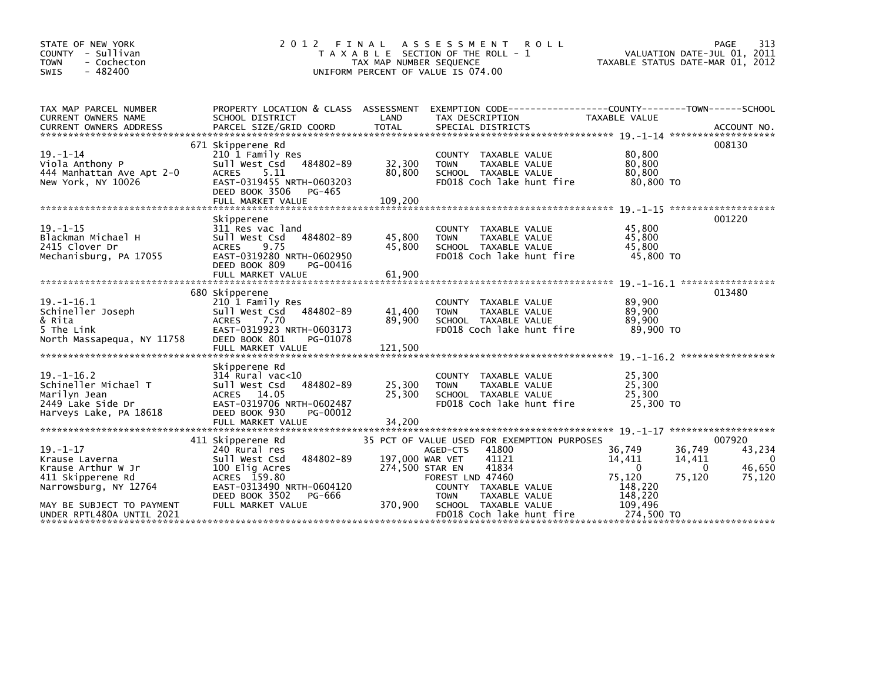| 313<br>PAGE<br>VALUATION DATE-JUL 01, 2011<br>TAXABLE STATUS DATE-MAR 01, 2012                  |  |  |
|-------------------------------------------------------------------------------------------------|--|--|
| PROPERTY LOCATION & CLASS ASSESSMENT EXEMPTION CODE----------------COUNTY-------TOWN-----SCHOOL |  |  |
|                                                                                                 |  |  |
|                                                                                                 |  |  |
|                                                                                                 |  |  |
|                                                                                                 |  |  |
|                                                                                                 |  |  |
| 013480                                                                                          |  |  |
|                                                                                                 |  |  |
|                                                                                                 |  |  |
|                                                                                                 |  |  |
|                                                                                                 |  |  |
| 43,234<br>0<br>46,650<br>75,120                                                                 |  |  |
| 008130<br>001220<br>007920                                                                      |  |  |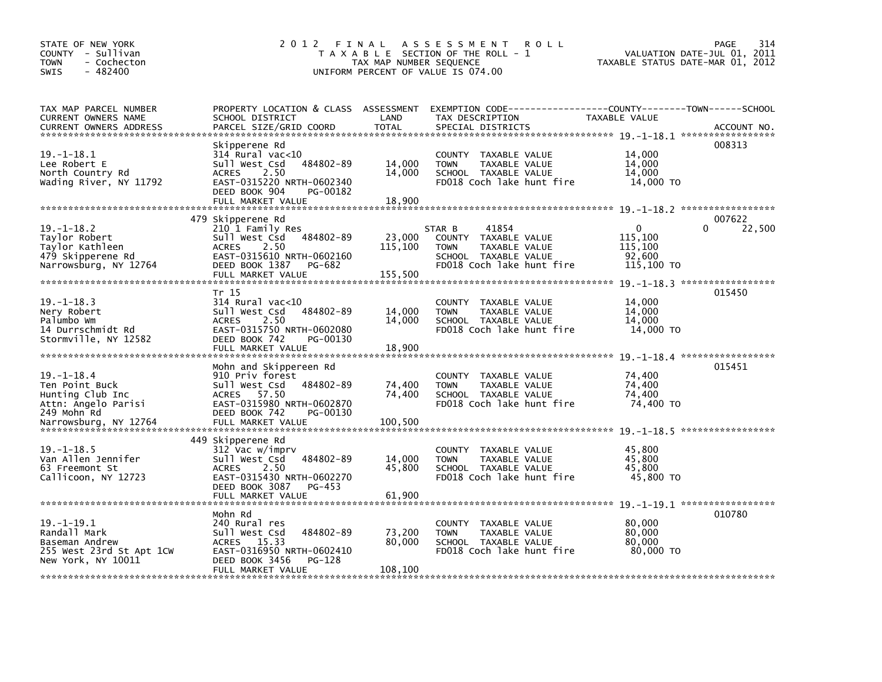| STATE OF NEW YORK<br>COUNTY - Sullivan<br>- Cochecton<br>TOWN<br>$-482400$<br><b>SWIS</b>                             | 2012 FINAL                                                                                                                                                               | TAX MAP NUMBER SEQUENCE      | A S S E S S M E N T<br><b>ROLL</b><br>T A X A B L E SECTION OF THE ROLL - 1<br>UNIFORM PERCENT OF VALUE IS 074.00            | VALUATION DATE-JUL 01, 2011<br>TAXABLE STATUS DATE-MAR 01, 2012 | 314<br><b>PAGE</b> |
|-----------------------------------------------------------------------------------------------------------------------|--------------------------------------------------------------------------------------------------------------------------------------------------------------------------|------------------------------|------------------------------------------------------------------------------------------------------------------------------|-----------------------------------------------------------------|--------------------|
| TAX MAP PARCEL NUMBER<br>CURRENT OWNERS NAME<br><b>CURRENT OWNERS ADDRESS</b>                                         | PROPERTY LOCATION & CLASS ASSESSMENT<br>SCHOOL DISTRICT<br>PARCEL SIZE/GRID COORD                                                                                        | LAND<br><b>TOTAL</b>         | EXEMPTION CODE-----------------COUNTY-------TOWN------SCHOOL<br>TAX DESCRIPTION<br>SPECIAL DISTRICTS                         | TAXABLE VALUE                                                   | ACCOUNT NO.        |
| $19. - 1 - 18.1$<br>Lee Robert E<br>North Country Rd<br>Wading River, NY 11792                                        | Skipperene Rd<br>$314$ Rural vac<10<br>484802-89<br>Sull West Csd<br>2.50<br><b>ACRES</b><br>EAST-0315220 NRTH-0602340<br>DEED BOOK 904<br>PG-00182<br>FULL MARKET VALUE | 14,000<br>14,000<br>18,900   | COUNTY TAXABLE VALUE<br><b>TOWN</b><br>TAXABLE VALUE<br>SCHOOL TAXABLE VALUE<br>FD018 Coch lake hunt fire                    | 14,000<br>14,000<br>14,000<br>14,000 TO                         | 008313             |
| $19. - 1 - 18.2$<br>Taylor Robert<br>Taylor Kathleen<br>479 Skipperene Rd<br>Narrowsburg, NY 12764                    | 479 Skipperene Rd<br>210 1 Family Res<br>Sull West Csd 484802-89<br><b>ACRES</b><br>2.50<br>EAST-0315610 NRTH-0602160<br>DEED BOOK 1387<br>PG-682<br>FULL MARKET VALUE   | 23,000<br>115,100<br>155,500 | 41854<br>STAR B<br>COUNTY TAXABLE VALUE<br>TAXABLE VALUE<br><b>TOWN</b><br>SCHOOL TAXABLE VALUE<br>FD018 Coch lake hunt fire | $\Omega$<br>115,100<br>115,100<br>92,600<br>115,100 TO          | 007622<br>22,500   |
| $19. - 1 - 18.3$<br>Nery Robert<br>Palumbo Wm<br>14 Durrschmidt Rd<br>Stormville, NY 12582                            | Tr 15<br>$314$ Rural vac<10<br>Sull West Csd<br>484802-89<br>2.50<br><b>ACRES</b><br>EAST-0315750 NRTH-0602080<br>DEED BOOK 742<br>PG-00130<br>FULL MARKET VALUE         | 14,000<br>14,000<br>18,900   | COUNTY TAXABLE VALUE<br>TAXABLE VALUE<br><b>TOWN</b><br>SCHOOL TAXABLE VALUE<br>FD018 Coch lake hunt fire                    | 14,000<br>14,000<br>14,000<br>14,000 TO                         | 015450             |
| $19. - 1 - 18.4$<br>Ten Point Buck<br>Hunting Club Inc<br>Attn: Angelo Parisi<br>249 Mohn Rd<br>Narrowsburg, NY 12764 | Mohn and Skippereen Rd<br>910 Priv forest<br>Sull West Csd<br>484802-89<br>ACRES 57.50<br>EAST-0315980 NRTH-0602870<br>DEED BOOK 742<br>PG-00130<br>FULL MARKET VALUE    | 74,400<br>74,400<br>100,500  | COUNTY TAXABLE VALUE<br><b>TOWN</b><br>TAXABLE VALUE<br>SCHOOL TAXABLE VALUE<br>FD018 Coch lake hunt fire                    | 74,400<br>74,400<br>74,400<br>74,400 TO                         | 015451             |
| $19. - 1 - 18.5$<br>Van Allen Jennifer<br>63 Freemont St<br>Callicoon, NY 12723                                       | 449 Skipperene Rd<br>312 Vac w/imprv<br>484802-89<br>Sull West Csd<br>2.50<br><b>ACRES</b><br>EAST-0315430 NRTH-0602270<br>DEED BOOK 3087<br>PG-453                      | 14,000<br>45,800             | COUNTY TAXABLE VALUE<br>TAXABLE VALUE<br><b>TOWN</b><br>SCHOOL TAXABLE VALUE<br>FD018 Coch lake hunt fire                    | 45,800<br>45,800<br>45,800<br>45,800 TO                         |                    |
| $19. - 1 - 19.1$<br>Randall Mark<br>Baseman Andrew<br>255 West 23rd St Apt 1CW<br>New York, NY 10011                  | Mohn Rd<br>240 Rural res<br>484802-89<br>Sull West Csd<br>15.33<br>ACRES<br>EAST-0316950 NRTH-0602410<br>DEED BOOK 3456<br>PG-128<br>FULL MARKET VALUE                   | 73,200<br>80,000<br>108,100  | COUNTY TAXABLE VALUE<br>TAXABLE VALUE<br><b>TOWN</b><br>SCHOOL TAXABLE VALUE<br>FD018 Coch lake hunt fire                    | 80,000<br>80,000<br>80,000<br>80,000 TO                         | 010780             |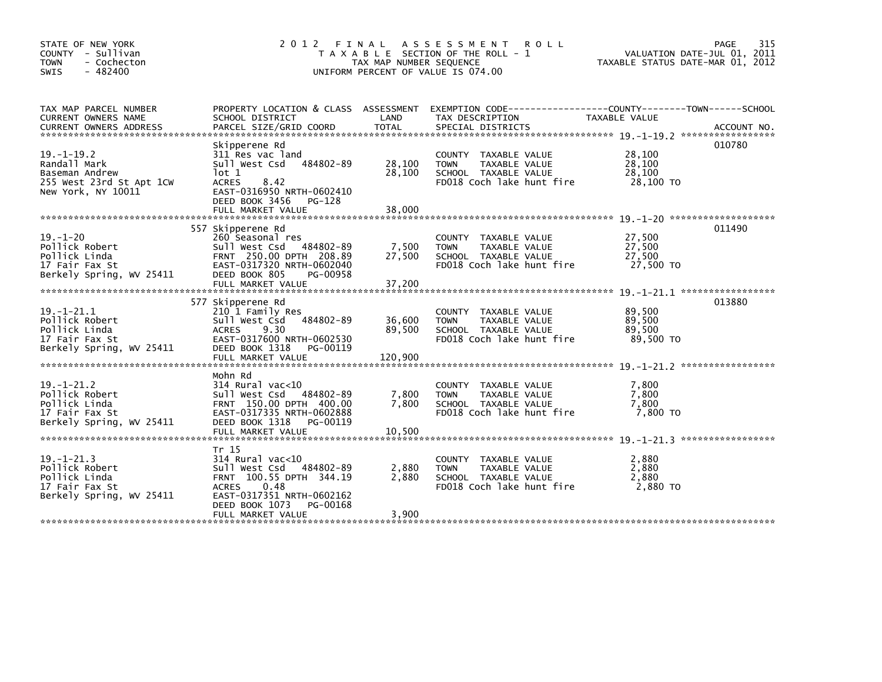| STATE OF NEW YORK<br>COUNTY - Sullivan<br>- Cochecton<br><b>TOWN</b><br>$-482400$<br><b>SWIS</b>     | 2 0 1 2<br>FINAL<br>T A X A B L E SECTION OF THE ROLL - 1<br>TAX MAP NUMBER SEQUENCE<br>UNIFORM PERCENT OF VALUE IS 074.00                                                                   | 315<br>PAGE<br>VALUATION DATE-JUL 01, 2011<br>TAXABLE STATUS DATE-MAR 01, 2012 |                                                                                                                     |                                         |             |
|------------------------------------------------------------------------------------------------------|----------------------------------------------------------------------------------------------------------------------------------------------------------------------------------------------|--------------------------------------------------------------------------------|---------------------------------------------------------------------------------------------------------------------|-----------------------------------------|-------------|
| TAX MAP PARCEL NUMBER<br>CURRENT OWNERS NAME<br><b>CURRENT OWNERS ADDRESS</b>                        | PROPERTY LOCATION & CLASS ASSESSMENT<br>SCHOOL DISTRICT<br>PARCEL SIZE/GRID COORD                                                                                                            | LAND<br><b>TOTAL</b>                                                           | EXEMPTION CODE-----------------COUNTY-------TOWN------SCHOOL<br>TAX DESCRIPTION<br>SPECIAL DISTRICTS                | TAXABLE VALUE                           | ACCOUNT NO. |
| $19. - 1 - 19.2$<br>Randall Mark<br>Baseman Andrew<br>255 West 23rd St Apt 1CW<br>New York, NY 10011 | Skipperene Rd<br>311 Res vac land<br>484802-89<br>Sull West Csd<br>lot 1<br><b>ACRES</b><br>8.42<br>EAST-0316950 NRTH-0602410<br>DEED BOOK 3456 PG-128<br>FULL MARKET VALUE                  | 28,100<br>28,100<br>38,000                                                     | COUNTY TAXABLE VALUE<br><b>TOWN</b><br>TAXABLE VALUE<br>SCHOOL TAXABLE VALUE<br>FD018 Coch lake hunt fire           | 28,100<br>28,100<br>28,100<br>28,100 TO | 010780      |
| $19. - 1 - 20$<br>Pollick Robert<br>Pollick Linda<br>17 Fair Fax St<br>Berkely Spring, WV 25411      | 557 Skipperene Rd<br>260 Seasonal res<br>Sull West Csd 484802-89<br>FRNT 250.00 DPTH 208.89<br>EAST-0317320 NRTH-0602040<br>DEED BOOK 805<br>PG-00958<br>FULL MARKET VALUE                   | 7,500<br>27,500<br>37,200                                                      | COUNTY TAXABLE VALUE<br>TAXABLE VALUE<br><b>TOWN</b><br>SCHOOL TAXABLE VALUE<br>FD018 Coch lake hunt fire           | 27,500<br>27,500<br>27,500<br>27,500 TO | 011490      |
| $19. - 1 - 21.1$<br>Pollick Robert<br>Pollick Linda<br>17 Fair Fax St<br>Berkely Spring, WV 25411    | 577 Skipperene Rd<br>210 1 Family Res<br>484802-89<br>Sull West Csd<br>9.30<br><b>ACRES</b><br>EAST-0317600 NRTH-0602530<br>DEED BOOK 1318<br>PG-00119<br>FULL MARKET VALUE                  | 36,600<br>89,500<br>120,900                                                    | COUNTY TAXABLE VALUE<br><b>TOWN</b><br>TAXABLE VALUE<br>SCHOOL TAXABLE VALUE<br>FD018 Coch lake hunt fire           | 89,500<br>89,500<br>89,500<br>89.500 TO | 013880      |
| $19. - 1 - 21.2$<br>Pollick Robert<br>Pollick Linda<br>17 Fair Fax St<br>Berkely Spring, WV 25411    | Mohn Rd<br>$314$ Rural vac<10<br>Sull West Csd<br>484802-89<br>FRNT 150.00 DPTH 400.00<br>EAST-0317335 NRTH-0602888<br>DEED BOOK 1318<br>PG-00119<br>FULL MARKET VALUE                       | 7,800<br>7,800<br>10.500                                                       | <b>COUNTY</b><br>TAXABLE VALUE<br>TAXABLE VALUE<br><b>TOWN</b><br>SCHOOL TAXABLE VALUE<br>FD018 Coch lake hunt fire | 7,800<br>7,800<br>7,800<br>7,800 TO     |             |
| $19. - 1 - 21.3$<br>Pollick Robert<br>Pollick Linda<br>17 Fair Fax St<br>Berkely Spring, WV 25411    | Tr 15<br>$314$ Rural vac<10<br>sull west Csd<br>484802-89<br>FRNT 100.55 DPTH 344.19<br><b>ACRES</b><br>0.48<br>EAST-0317351 NRTH-0602162<br>DEED BOOK 1073<br>PG-00168<br>FULL MARKET VALUE | 2,880<br>2,880<br>3,900                                                        | COUNTY TAXABLE VALUE<br>TAXABLE VALUE<br><b>TOWN</b><br>SCHOOL TAXABLE VALUE<br>FD018 Coch lake hunt fire           | 2,880<br>2,880<br>2.880<br>2,880 TO     |             |
|                                                                                                      |                                                                                                                                                                                              |                                                                                |                                                                                                                     |                                         |             |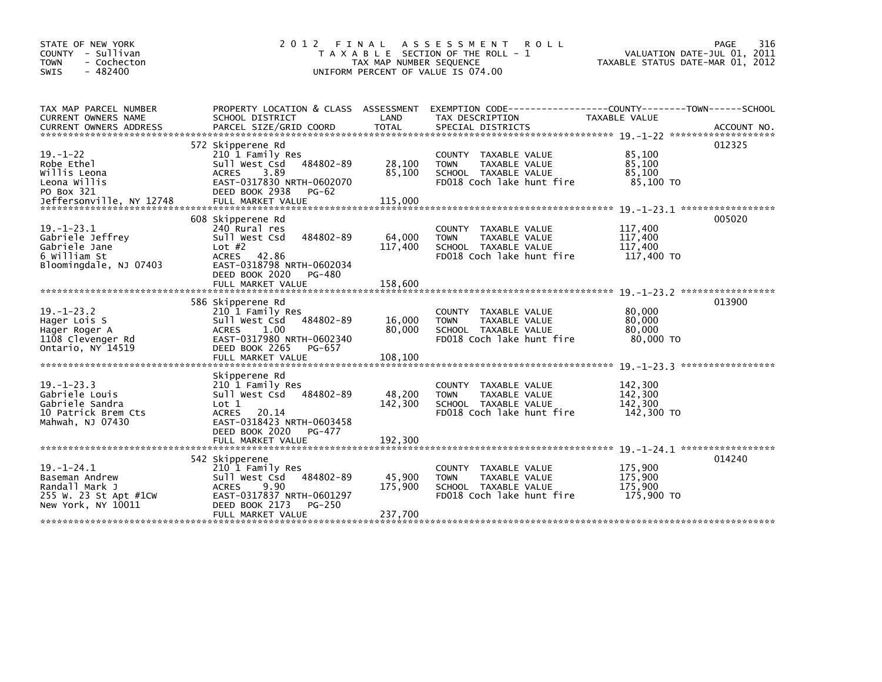| STATE OF NEW YORK<br>COUNTY - Sullivan<br><b>TOWN</b><br>- Cochecton<br>$-482400$<br><b>SWIS</b>       | 2 0 1 2<br>FINAL<br>T A X A B L E SECTION OF THE ROLL - 1<br>TAX MAP NUMBER SEQUENCE<br>UNIFORM PERCENT OF VALUE IS 074.00                                                          | VALUATION DATE-JUL 01, 2011<br>TAXABLE STATUS DATE-MAR 01, 2012 | 316<br>PAGE                                                                                                                              |                                             |             |
|--------------------------------------------------------------------------------------------------------|-------------------------------------------------------------------------------------------------------------------------------------------------------------------------------------|-----------------------------------------------------------------|------------------------------------------------------------------------------------------------------------------------------------------|---------------------------------------------|-------------|
| TAX MAP PARCEL NUMBER<br>CURRENT OWNERS NAME<br><b>CURRENT OWNERS ADDRESS</b>                          | SCHOOL DISTRICT<br>PARCEL SIZE/GRID COORD                                                                                                                                           | LAND<br>TOTAL                                                   | PROPERTY LOCATION & CLASS ASSESSMENT EXEMPTION CODE----------------COUNTY-------TOWN------SCHOOL<br>TAX DESCRIPTION<br>SPECIAL DISTRICTS | TAXABLE VALUE                               | ACCOUNT NO. |
| $19. - 1 - 22$<br>Robe Ethel<br>Willis Leona<br>Leona Willis<br>PO Box 321<br>Jeffersonville, NY 12748 | 572 Skipperene Rd<br>210 1 Family Res<br>484802-89<br>Sull West Csd<br>3.89<br><b>ACRES</b><br>EAST-0317830 NRTH-0602070<br>DEED BOOK 2938<br>PG-62<br>FULL MARKET VALUE            | 28,100<br>85,100<br>115,000                                     | COUNTY TAXABLE VALUE<br>TAXABLE VALUE<br><b>TOWN</b><br>SCHOOL TAXABLE VALUE<br>FD018 Coch lake hunt fire                                | 85,100<br>85,100<br>85.100<br>85,100 TO     | 012325      |
| $19. - 1 - 23.1$<br>Gabriele Jeffrey<br>Gabriele Jane<br>6 William St<br>Bloomingdale, NJ 07403        | 608 Skipperene Rd<br>240 Rural res<br>484802-89<br>Sull West Csd<br>Lot $#2$<br><b>ACRES</b><br>42.86<br>EAST-0318798 NRTH-0602034<br>DEED BOOK 2020<br>PG-480<br>FULL MARKET VALUE | 64,000<br>117,400<br>158,600                                    | TAXABLE VALUE<br>COUNTY<br>TAXABLE VALUE<br><b>TOWN</b><br>SCHOOL TAXABLE VALUE<br>FD018 Coch lake hunt fire                             | 117,400<br>117,400<br>117,400<br>117,400 TO | 005020      |
| $19. - 1 - 23.2$<br>Hager Lois S<br>Hager Roger A<br>1108 Clevenger Rd<br>Ontario, NY 14519            | 586 Skipperene Rd<br>210 1 Family Res<br>484802-89<br>Sull West Csd<br>1.00<br><b>ACRES</b><br>EAST-0317980 NRTH-0602340<br>DEED BOOK 2265<br>PG-657<br>FULL MARKET VALUE           | 16,000<br>80,000<br>108,100                                     | COUNTY TAXABLE VALUE<br>TAXABLE VALUE<br><b>TOWN</b><br>SCHOOL TAXABLE VALUE<br>FD018 Coch lake hunt fire                                | 80,000<br>80,000<br>80,000<br>80,000 TO     | 013900      |
| $19. - 1 - 23.3$<br>Gabriele Louis<br>Gabriele Sandra<br>10 Patrick Brem Cts<br>Mahwah, NJ 07430       | Skipperene Rd<br>210 1 Family Res<br>Sull West Csd<br>484802-89<br>Lot 1<br><b>ACRES</b><br>20.14<br>EAST-0318423 NRTH-0603458<br>DEED BOOK 2020<br>PG-477<br>FULL MARKET VALUE     | 48,200<br>142,300<br>192,300                                    | <b>COUNTY</b><br>TAXABLE VALUE<br><b>TAXABLE VALUE</b><br><b>TOWN</b><br>SCHOOL TAXABLE VALUE<br>FD018 Coch lake hunt fire               | 142,300<br>142,300<br>142,300<br>142,300 TO |             |
| $19. - 1 - 24.1$<br>Baseman Andrew<br>Randall Mark J<br>255 W. 23 St Apt #1CW<br>New York, NY 10011    | 542 Skipperene<br>210 1 Family Res<br>Sull West Csd<br>484802-89<br><b>ACRES</b><br>9.90<br>EAST-0317837 NRTH-0601297<br>DEED BOOK 2173<br>PG-250<br>FULL MARKET VALUE              | 45,900<br>175,900<br>237,700                                    | TAXABLE VALUE<br>COUNTY<br><b>TOWN</b><br>TAXABLE VALUE<br>SCHOOL TAXABLE VALUE<br>FD018 Coch lake hunt fire                             | 175,900<br>175,900<br>175,900<br>175,900 TO | 014240      |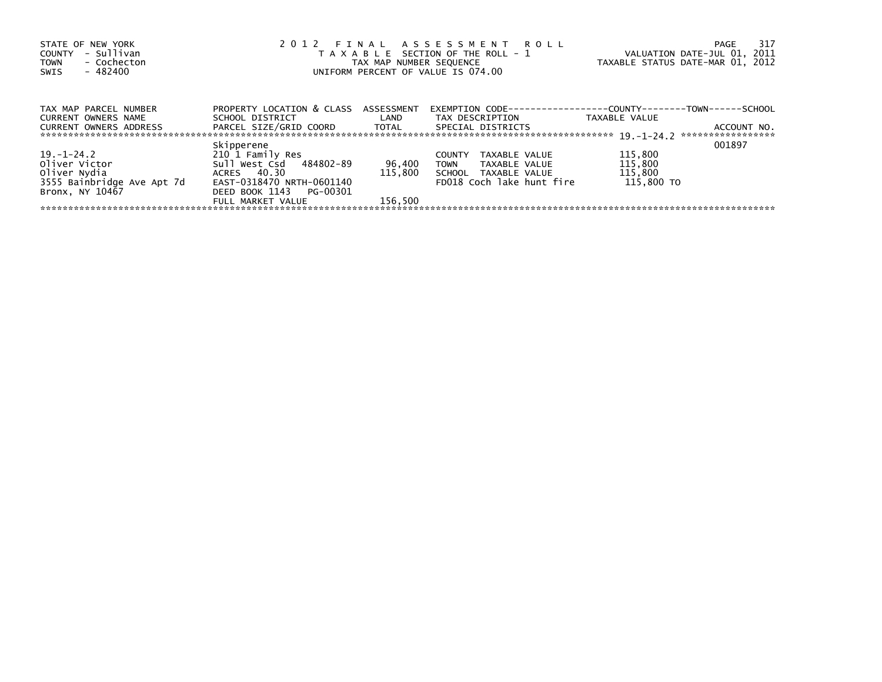| STATE OF NEW YORK<br>- Sullivan<br><b>COUNTY</b><br>- Cochecton<br><b>TOWN</b><br>- 482400<br>SWIS | 2012 FINAL ASSESSMENT ROLL<br>T A X A B L E SECTION OF THE ROLL - 1<br>TAX MAP NUMBER SEQUENCE<br>UNIFORM PERCENT OF VALUE IS 074.00 | VALUATION DATE-JUL 01, 2011<br>TAXABLE STATUS DATE-MAR 01, 2012 | -317<br>PAGE                                                         |               |                                  |
|----------------------------------------------------------------------------------------------------|--------------------------------------------------------------------------------------------------------------------------------------|-----------------------------------------------------------------|----------------------------------------------------------------------|---------------|----------------------------------|
| TAX MAP PARCEL NUMBER                                                                              | PROPERTY LOCATION & CLASS                                                                                                            | ASSESSMENT                                                      | EXEMPTION        CODE-----------------COUNTY--------TOWN------SCHOOL |               |                                  |
| <b>CURRENT OWNERS NAME</b>                                                                         | SCHOOL DISTRICT                                                                                                                      | LAND                                                            | TAX DESCRIPTION                                                      | TAXABLE VALUE |                                  |
| <b>CURRENT OWNERS ADDRESS</b>                                                                      | PARCEL SIZE/GRID COORD TOTAL                                                                                                         |                                                                 | SPECIAL DISTRICTS                                                    |               | ACCOUNT NO.<br>***************** |
|                                                                                                    | Skipperene                                                                                                                           |                                                                 |                                                                      |               | 001897                           |
| $19. - 1 - 24.2$                                                                                   | 210 1 Family Res                                                                                                                     |                                                                 | TAXABLE VALUE<br><b>COUNTY</b>                                       | 115,800       |                                  |
| Oliver Victor                                                                                      | Sull West Csd 484802-89                                                                                                              | 96,400                                                          | <b>TOWN</b><br>TAXABLE VALUE                                         | 115,800       |                                  |
| Oliver Nydia                                                                                       | ACRES 40.30                                                                                                                          | 115,800                                                         | SCHOOL TAXABLE VALUE                                                 | 115,800       |                                  |
| 3555 Bainbridge Ave Apt 7d                                                                         | EAST-0318470 NRTH-0601140                                                                                                            |                                                                 | FD018 Coch lake hunt fire                                            | 115,800 TO    |                                  |
| Bronx, NY 10467                                                                                    | DEED BOOK 1143<br>PG-00301                                                                                                           |                                                                 |                                                                      |               |                                  |
|                                                                                                    | FULL MARKET VALUE                                                                                                                    | 156.500                                                         |                                                                      |               |                                  |
|                                                                                                    |                                                                                                                                      |                                                                 |                                                                      |               |                                  |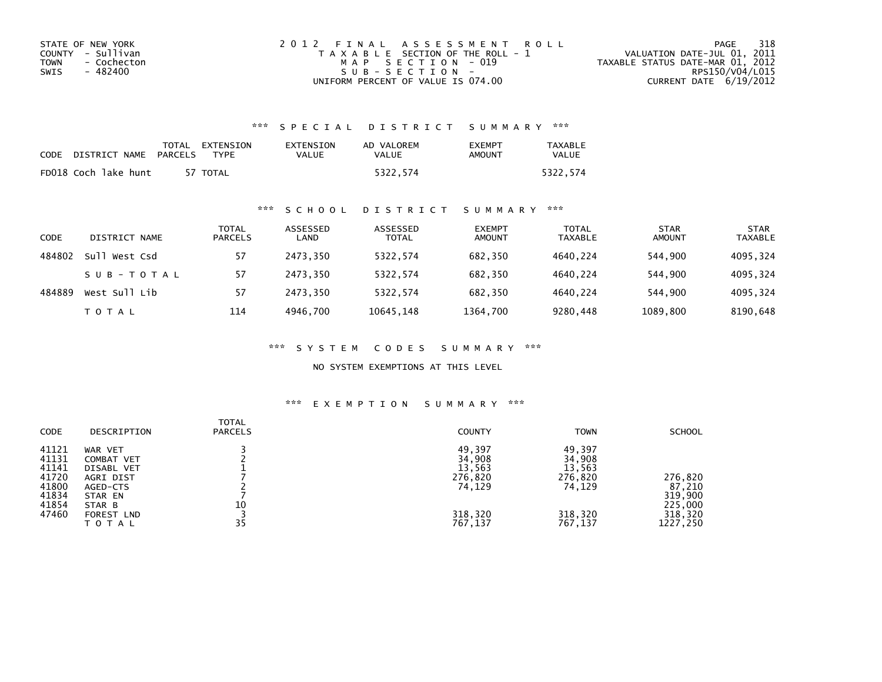| STATE OF NEW YORK   | 2012 FINAL ASSESSMENT ROLL            | 318<br>PAGE                      |
|---------------------|---------------------------------------|----------------------------------|
| COUNTY - Sullivan   | T A X A B L E SECTION OF THE ROLL - 1 | VALUATION DATE-JUL 01, 2011      |
| - Cochecton<br>TOWN | MAP SECTION - 019                     | TAXABLE STATUS DATE-MAR 01, 2012 |
| - 482400<br>SWIS    | SUB-SECTION-                          | RPS150/V04/L015                  |
|                     | UNIFORM PERCENT OF VALUE IS 074.00    | CURRENT DATE 6/19/2012           |

# \*\*\* S P E C I A L D I S T R I C T S U M M A R Y \*\*\*

| CODE | DISTRICT NAME        | PARCELS | TOTAL EXTENSION<br>TYPF | EXTENSION<br><b>VALUE</b> | AD VALOREM<br>VALUE | <b>EXEMPT</b><br>AMOUNT | <b>TAXABLE</b><br><b>VALUE</b> |
|------|----------------------|---------|-------------------------|---------------------------|---------------------|-------------------------|--------------------------------|
|      | FD018 Coch lake hunt |         | 57 TOTAL                |                           | 5322.574            |                         | 5322.574                       |

# \*\*\* S C H O O L D I S T R I C T S U M M A R Y \*\*\*

| CODE   | DISTRICT NAME    | <b>TOTAL</b><br><b>PARCELS</b> | ASSESSED<br>LAND | ASSESSED<br><b>TOTAL</b> | <b>EXEMPT</b><br><b>AMOUNT</b> | <b>TOTAL</b><br><b>TAXABLE</b> | <b>STAR</b><br><b>AMOUNT</b> | <b>STAR</b><br><b>TAXABLE</b> |
|--------|------------------|--------------------------------|------------------|--------------------------|--------------------------------|--------------------------------|------------------------------|-------------------------------|
| 484802 | sull<br>West Csd | 57                             | 2473.350         | 5322.574                 | 682,350                        | 4640.224                       | 544.900                      | 4095,324                      |
|        | SUB-TOTAL        | 57                             | 2473.350         | 5322,574                 | 682,350                        | 4640.224                       | 544.900                      | 4095,324                      |
| 484889 | West Sull Lib    | 57                             | 2473.350         | 5322.574                 | 682.350                        | 4640.224                       | 544,900                      | 4095,324                      |
|        | T O T A L        | 114                            | 4946.700         | 10645,148                | 1364,700                       | 9280,448                       | 1089,800                     | 8190,648                      |

\*\*\* S Y S T E M C O D E S S U M M A R Y \*\*\*

NO SYSTEM EXEMPTIONS AT THIS LEVEL

### \*\*\* E X E M P T I O N S U M M A R Y \*\*\*

| <b>CODE</b>                                                          | DESCRIPTION                                                                                     | TOTAL<br><b>PARCELS</b> | <b>COUNTY</b>                                              | <b>TOWN</b>                                                | <b>SCHOOL</b>                                      |
|----------------------------------------------------------------------|-------------------------------------------------------------------------------------------------|-------------------------|------------------------------------------------------------|------------------------------------------------------------|----------------------------------------------------|
| 41121<br>41131<br>41141<br>41720<br>41800<br>41834<br>41854<br>47460 | WAR VET<br>COMBAT VET<br>DISABL VET<br>AGRI DIST<br>AGED-CTS<br>STAR EN<br>STAR B<br>FOREST LND | 10                      | 49,397<br>34,908<br>13,563<br>276,820<br>74,129<br>318,320 | 49,397<br>34,908<br>13,563<br>276,820<br>74,129<br>318,320 | 276,820<br>87,210<br>319,900<br>225,000<br>318,320 |
|                                                                      | TOTAL                                                                                           | 35                      | 767,137                                                    | 767,137                                                    | 1227,250                                           |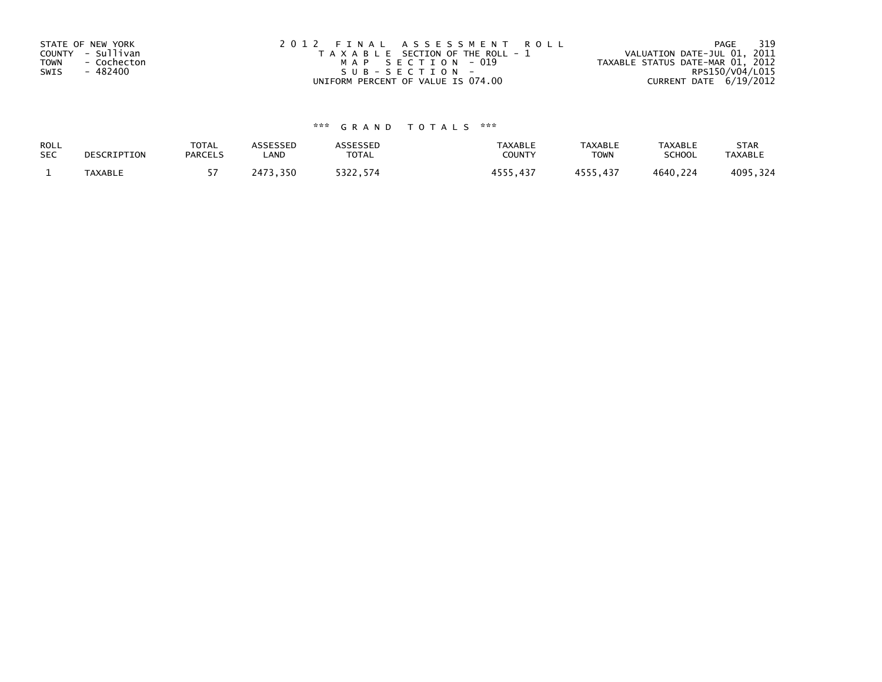| STATE OF NEW YORK<br>COUNTY - Sullivan<br>TOWN<br>- Cochecton<br>- 482400<br>SWIS | 2012 FINAL ASSESSMENT ROLL<br>T A X A B L E SECTION OF THE ROLL - 1<br>MAP SECTION - 019<br>$SUB - SECTION -$ | 319<br>PAGE<br>VALUATION DATE-JUL 01, 2011<br>TAXABLE STATUS DATE-MAR 01, 2012<br>RPS150/V04/L015 |
|-----------------------------------------------------------------------------------|---------------------------------------------------------------------------------------------------------------|---------------------------------------------------------------------------------------------------|
|                                                                                   | UNIFORM PERCENT OF VALUE IS 074.00                                                                            | CURRENT DATE 6/19/2012                                                                            |

# \*\*\* G R A N D T O T A L S \*\*\*

| ROLL       | DESCRIPTION    | <b>TOTAL</b>   | ASSESSED       | <b>\SSESSED</b> | <b>TAXABLE</b> | <b>TAXABLE</b> | <b>TAXABLE</b> | <b>STAR</b>    |
|------------|----------------|----------------|----------------|-----------------|----------------|----------------|----------------|----------------|
| <b>SEC</b> |                | <b>PARCELS</b> | LAND           | <b>TOTAL</b>    | COUNTY         | <b>TOWN</b>    | <b>SCHOOL</b>  | <b>TAXABLE</b> |
|            | <b>TAXABLE</b> |                | , 350<br>?473. | 5322,574        | , 437          | 4555,437       | 4640,224       | 4095,324       |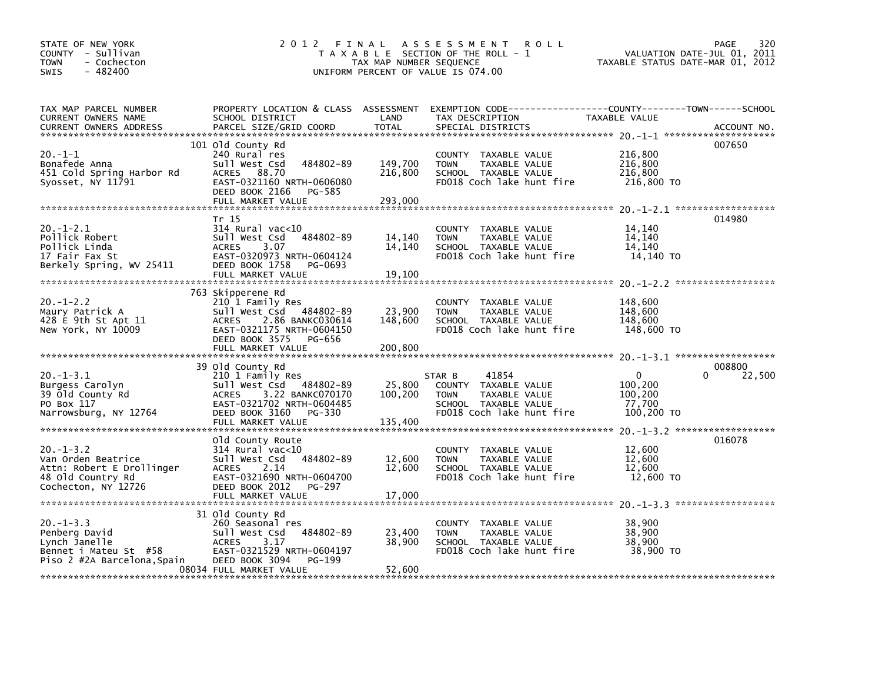| STATE OF NEW YORK<br>COUNTY - Sullivan<br>- Cochecton<br><b>TOWN</b><br>$-482400$<br><b>SWIS</b>              | 2012 FINAL                                                                                                                                                                            | TAX MAP NUMBER SEQUENCE      | <b>ROLL</b><br>A S S E S S M E N T<br>T A X A B L E SECTION OF THE ROLL - 1<br>UNIFORM PERCENT OF VALUE IS 074.00            | TAXABLE STATUS DATE-MAR 01, 2012                           | 320<br>PAGE<br>VALUATION DATE-JUL 01, 2011 |
|---------------------------------------------------------------------------------------------------------------|---------------------------------------------------------------------------------------------------------------------------------------------------------------------------------------|------------------------------|------------------------------------------------------------------------------------------------------------------------------|------------------------------------------------------------|--------------------------------------------|
| TAX MAP PARCEL NUMBER<br>CURRENT OWNERS NAME<br><b>CURRENT OWNERS ADDRESS</b>                                 | PROPERTY LOCATION & CLASS ASSESSMENT<br>SCHOOL DISTRICT<br>PARCEL SIZE/GRID COORD                                                                                                     | LAND<br><b>TOTAL</b>         | EXEMPTION CODE-----------------COUNTY-------TOWN------SCHOOL<br>TAX DESCRIPTION<br>SPECIAL DISTRICTS                         | TAXABLE VALUE                                              | ACCOUNT NO.                                |
| 20.-1-1<br>Bonafede Anna<br>451 Cold Spring Harbor Rd<br>Syosset, NY 11791                                    | 101 Old County Rd<br>240 Rural res<br>484802-89<br>Sull West Csd<br>88.70<br><b>ACRES</b><br>EAST-0321160 NRTH-0606080<br>DEED BOOK 2166<br>PG-585                                    | 149,700<br>216,800           | COUNTY TAXABLE VALUE<br>TAXABLE VALUE<br><b>TOWN</b><br>SCHOOL TAXABLE VALUE<br>FD018 Coch lake hunt fire                    | 216,800<br>216,800<br>216,800<br>216,800 TO                | 007650                                     |
|                                                                                                               | FULL MARKET VALUE                                                                                                                                                                     | 293,000                      |                                                                                                                              |                                                            |                                            |
| $20.-1-2.1$<br>Pollick Robert<br>Pollick Linda<br>17 Fair Fax St<br>Berkely Spring, WV 25411                  | Tr 15<br>$314$ Rural vac< $10$<br>Sull West Csd<br>484802-89<br><b>ACRES</b><br>3.07<br>EAST-0320973 NRTH-0604124<br>DEED BOOK 1758<br>PG-0693<br>FULL MARKET VALUE                   | 14,140<br>14,140<br>19,100   | COUNTY TAXABLE VALUE<br>TAXABLE VALUE<br><b>TOWN</b><br>SCHOOL TAXABLE VALUE<br>FD018 Coch lake hunt fire                    | 14,140<br>14,140<br>14.140<br>14,140 TO                    | 014980                                     |
| $20. -1 - 2.2$<br>Maury Patrick A<br>428 E 9th St Apt 11<br>New York, NY 10009                                | 763 Skipperene Rd<br>210 1 Family Res<br>484802-89<br>Sull West Csd<br>2.86 BANKC030614<br><b>ACRES</b><br>EAST-0321175 NRTH-0604150<br>DEED BOOK 3575<br>PG-656<br>FULL MARKET VALUE | 23,900<br>148,600<br>200,800 | COUNTY TAXABLE VALUE<br><b>TOWN</b><br>TAXABLE VALUE<br>SCHOOL TAXABLE VALUE<br>FD018 Coch lake hunt fire                    | 148,600<br>148.600<br>148,600<br>148,600 TO                |                                            |
|                                                                                                               | 39 Old County Rd                                                                                                                                                                      |                              |                                                                                                                              |                                                            | 008800                                     |
| $20. -1 - 3.1$<br>Burgess Carolyn<br>39 Old County Rd<br>PO Box 117<br>Narrowsburg, NY 12764                  | 210 1 Family Res<br>Sull West Csd 484802-89<br><b>ACRES</b><br>3.22 BANKC070170<br>EAST-0321702 NRTH-0604485<br>DEED BOOK 3160<br>PG-330<br>FULL MARKET VALUE                         | 25,800<br>100,200<br>135,400 | 41854<br>STAR B<br>COUNTY TAXABLE VALUE<br><b>TOWN</b><br>TAXABLE VALUE<br>SCHOOL TAXABLE VALUE<br>FD018 Coch lake hunt fire | $\mathbf{0}$<br>100,200<br>100,200<br>77,700<br>100,200 TO | 22,500                                     |
|                                                                                                               |                                                                                                                                                                                       |                              |                                                                                                                              |                                                            |                                            |
| $20. -1 - 3.2$<br>Van Orden Beatrice<br>Attn: Robert E Drollinger<br>48 Old Country Rd<br>Cochecton, NY 12726 | Old County Route<br>$314$ Rural vac< $10$<br>484802-89<br>Sull West Csd<br>2.14<br><b>ACRES</b><br>EAST-0321690 NRTH-0604700<br>DEED BOOK 2012<br>PG-297                              | 12,600<br>12,600             | COUNTY TAXABLE VALUE<br><b>TOWN</b><br>TAXABLE VALUE<br>SCHOOL TAXABLE VALUE<br>FD018 Coch lake hunt fire                    | 12,600<br>12,600<br>12,600<br>12,600 TO                    | 016078                                     |
| $20 - 1 - 3.3$<br>Penberg David<br>Lynch Janelle<br>Bennet i Mateu St #58<br>Piso 2 #2A Barcelona, Spain      | 31 Old County Rd<br>260 Seasonal res<br>484802-89<br>Sull West Csd<br>3.17<br><b>ACRES</b><br>EAST-0321529 NRTH-0604197<br>DEED BOOK 3094<br>PG-199<br>08034 FULL MARKET VALUE        | 23,400<br>38,900<br>52,600   | COUNTY TAXABLE VALUE<br>TAXABLE VALUE<br><b>TOWN</b><br>SCHOOL TAXABLE VALUE<br>FD018 Coch lake hunt fire                    | 38,900<br>38,900<br>38,900<br>38,900 TO                    |                                            |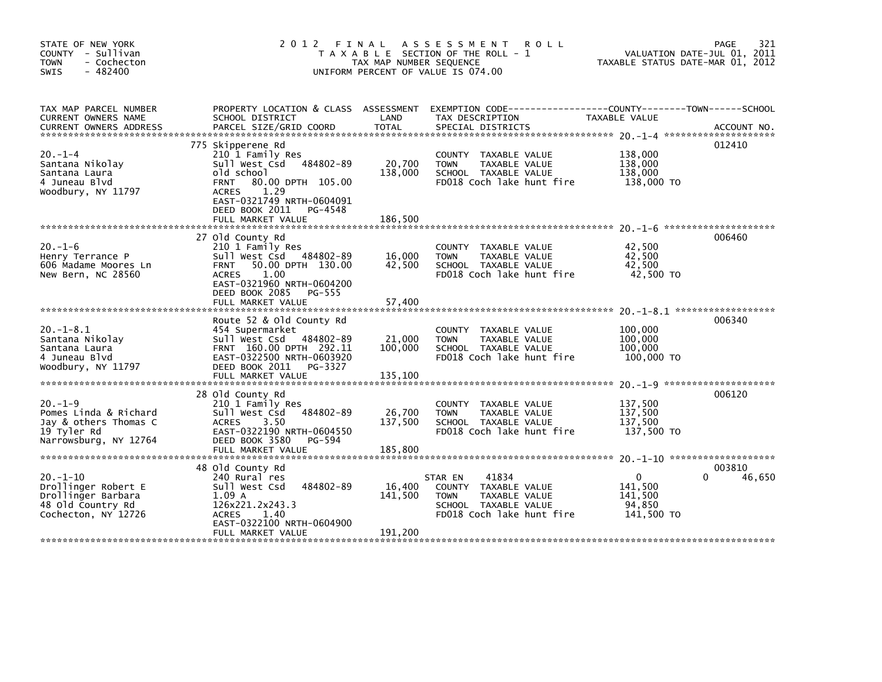| STATE OF NEW YORK<br>COUNTY - Sullivan<br><b>TOWN</b><br>- Cochecton<br>$-482400$<br>SWIS              | 2012 FINAL                                                                                                                                                                                                                   | TAX MAP NUMBER SEQUENCE      | A S S E S S M E N T<br><b>ROLL</b><br>T A X A B L E SECTION OF THE ROLL - 1<br>UNIFORM PERCENT OF VALUE IS 074.00             | TAXABLE STATUS DATE-MAR 01, 2012                           | 321<br>PAGE<br>VALUATION DATE-JUL 01, 2011 |
|--------------------------------------------------------------------------------------------------------|------------------------------------------------------------------------------------------------------------------------------------------------------------------------------------------------------------------------------|------------------------------|-------------------------------------------------------------------------------------------------------------------------------|------------------------------------------------------------|--------------------------------------------|
| TAX MAP PARCEL NUMBER<br>CURRENT OWNERS NAME<br><b>CURRENT OWNERS ADDRESS</b>                          | PROPERTY LOCATION & CLASS ASSESSMENT<br>SCHOOL DISTRICT<br>PARCEL SIZE/GRID COORD                                                                                                                                            | LAND<br><b>TOTAL</b>         | EXEMPTION CODE------------------COUNTY--------TOWN------SCHOOL<br>TAX DESCRIPTION<br>SPECIAL DISTRICTS                        | TAXABLE VALUE                                              | ACCOUNT NO.                                |
| $20. -1 - 4$<br>Santana Nikolay<br>Santana Laura<br>4 Juneau Blvd<br>Woodbury, NY 11797                | 775 Skipperene Rd<br>210 1 Family Res<br>Sull West Csd<br>484802-89<br>old school<br>80.00 DPTH 105.00<br><b>FRNT</b><br>1.29<br><b>ACRES</b><br>EAST-0321749 NRTH-0604091<br>DEED BOOK 2011<br>PG-4548<br>FULL MARKET VALUE | 20,700<br>138,000<br>186,500 | COUNTY TAXABLE VALUE<br><b>TOWN</b><br>TAXABLE VALUE<br>SCHOOL TAXABLE VALUE<br>FD018 Coch lake hunt fire                     | 138,000<br>138,000<br>138,000<br>138,000 TO                | 012410                                     |
|                                                                                                        | 27 Old County Rd                                                                                                                                                                                                             |                              |                                                                                                                               |                                                            | 006460                                     |
| $20. -1 - 6$<br>Henry Terrance P<br>606 Madame Moores Ln<br>New Bern, NC 28560                         | 210 1 Family Res<br>Sull West Csd 484802-89<br>50.00 DPTH 130.00<br><b>FRNT</b><br>1.00<br>ACRES<br>EAST-0321960 NRTH-0604200<br>DEED BOOK 2085<br>PG-555<br>FULL MARKET VALUE                                               | 16,000<br>42,500<br>57,400   | COUNTY TAXABLE VALUE<br>TAXABLE VALUE<br><b>TOWN</b><br>SCHOOL TAXABLE VALUE<br>FD018 Coch lake hunt fire                     | 42,500<br>42,500<br>42,500<br>42,500 TO                    |                                            |
|                                                                                                        |                                                                                                                                                                                                                              |                              |                                                                                                                               |                                                            |                                            |
| $20. -1 - 8.1$<br>Santana Nikolay<br>Santana Laura<br>4 Juneau Blyd<br>Woodbury, NY 11797              | Route 52 & Old County Rd<br>454 Supermarket<br>Sull West Csd<br>484802-89<br>FRNT 160.00 DPTH 292.11<br>EAST-0322500 NRTH-0603920<br>DEED BOOK 2011<br>PG-3327<br>FULL MARKET VALUE                                          | 21,000<br>100,000<br>135,100 | COUNTY TAXABLE VALUE<br>TAXABLE VALUE<br><b>TOWN</b><br>SCHOOL TAXABLE VALUE<br>FD018 Coch lake hunt fire                     | 100,000<br>100,000<br>100,000<br>100,000 TO                | 006340                                     |
|                                                                                                        |                                                                                                                                                                                                                              |                              |                                                                                                                               |                                                            |                                            |
| $20.-1-9$<br>Pomes Linda & Richard<br>Jay & others Thomas C<br>19 Tyler Rd<br>Narrowsburg, NY 12764    | 28 Old County Rd<br>210 1 Family Res<br>484802-89<br>Sull West Csd<br><b>ACRES</b><br>3.50<br>EAST-0322190 NRTH-0604550<br>DEED BOOK 3580<br>PG-594<br>FULL MARKET VALUE                                                     | 26,700<br>137,500<br>185,800 | COUNTY TAXABLE VALUE<br><b>TOWN</b><br>TAXABLE VALUE<br>SCHOOL TAXABLE VALUE<br>FD018 Coch lake hunt fire                     | 137,500<br>137,500<br>137,500<br>137.500 TO                | 006120                                     |
|                                                                                                        | 48 Old County Rd                                                                                                                                                                                                             |                              |                                                                                                                               |                                                            | 003810                                     |
| $20. -1 - 10$<br>Drollinger Robert E<br>Drollinger Barbara<br>48 Old Country Rd<br>Cochecton, NY 12726 | 240 Rural res<br>Sull West Csd<br>484802-89<br>1.09A<br>126x221.2x243.3<br><b>ACRES</b><br>1.40<br>EAST-0322100 NRTH-0604900                                                                                                 | 16,400<br>141,500            | 41834<br>STAR EN<br>COUNTY TAXABLE VALUE<br><b>TOWN</b><br>TAXABLE VALUE<br>SCHOOL TAXABLE VALUE<br>FD018 Coch lake hunt fire | $\mathbf{0}$<br>141.500<br>141,500<br>94.850<br>141,500 TO | 46,650<br>0                                |
|                                                                                                        | FULL MARKET VALUE                                                                                                                                                                                                            | 191,200                      |                                                                                                                               |                                                            |                                            |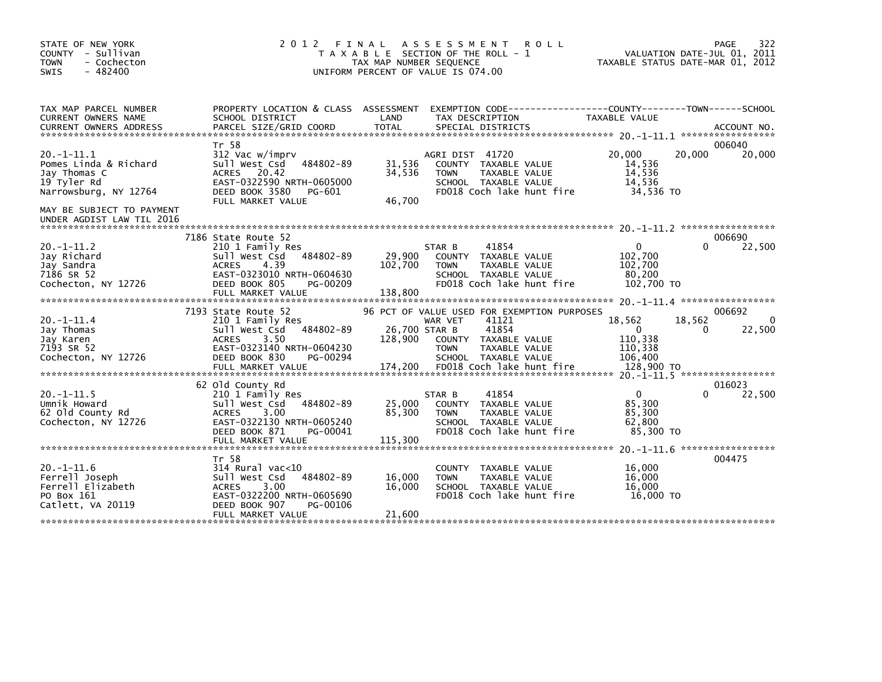| STATE OF NEW YORK<br>COUNTY - Sullivan<br><b>TOWN</b><br>- Cochecton<br>$-482400$<br><b>SWIS</b> | 2 0 1 2                                                                                                                                                                      | FINAL<br>T A X A B L E SECTION OF THE ROLL - 1<br>TAX MAP NUMBER SEQUENCE<br>UNIFORM PERCENT OF VALUE IS 074.00 | A S S E S S M E N T                  | <b>ROLL</b>                                                                                                                                                 | TAXABLE STATUS DATE-MAR 01, 2012                                              |             | 322<br>PAGE<br>VALUATION DATE-JUL 01, 2011                     |
|--------------------------------------------------------------------------------------------------|------------------------------------------------------------------------------------------------------------------------------------------------------------------------------|-----------------------------------------------------------------------------------------------------------------|--------------------------------------|-------------------------------------------------------------------------------------------------------------------------------------------------------------|-------------------------------------------------------------------------------|-------------|----------------------------------------------------------------|
| TAX MAP PARCEL NUMBER<br><b>CURRENT OWNERS NAME</b><br><b>CURRENT OWNERS ADDRESS</b>             | PROPERTY LOCATION & CLASS ASSESSMENT<br>SCHOOL DISTRICT<br>PARCEL SIZE/GRID COORD                                                                                            | LAND<br><b>TOTAL</b>                                                                                            | TAX DESCRIPTION<br>SPECIAL DISTRICTS |                                                                                                                                                             | EXEMPTION CODE-----------------COUNTY-------TOWN------SCHOOL<br>TAXABLE VALUE |             | ACCOUNT NO.                                                    |
| $20. -1 - 11.1$<br>Pomes Linda & Richard<br>Jay Thomas C<br>19 Tyler Rd<br>Narrowsburg, NY 12764 | Tr 58<br>312 Vac w/imprv<br>484802-89<br>Sull West Csd<br><b>ACRES</b><br>20.42<br>EAST-0322590 NRTH-0605000<br>DEED BOOK 3580<br>PG-601<br>FULL MARKET VALUE                | 31,536<br>34,536<br>46,700                                                                                      | AGRI DIST 41720<br><b>TOWN</b>       | COUNTY TAXABLE VALUE<br>TAXABLE VALUE<br>SCHOOL TAXABLE VALUE<br>FD018 Coch lake hunt fire                                                                  | 20,000<br>14,536<br>14,536<br>14,536<br>34,536 TO                             | 20,000      | 006040<br>20,000                                               |
| MAY BE SUBJECT TO PAYMENT<br>UNDER AGDIST LAW TIL 2016                                           |                                                                                                                                                                              |                                                                                                                 |                                      |                                                                                                                                                             |                                                                               |             |                                                                |
| $20. -1 - 11.2$<br>Jay Richard<br>Jay Sandra<br>7186 SR 52<br>Cochecton, NY 12726                | 7186 State Route 52<br>210 1 Family Res<br>484802-89<br>Sull West Csd<br><b>ACRES</b><br>4.39<br>EAST-0323010 NRTH-0604630<br>DEED BOOK 805<br>PG-00209<br>FULL MARKET VALUE | 29,900<br>102,700<br>138,800                                                                                    | STAR B<br><b>TOWN</b>                | 41854<br>COUNTY TAXABLE VALUE<br>TAXABLE VALUE<br>SCHOOL TAXABLE VALUE<br>FD018 Coch lake hunt fire                                                         | $\Omega$<br>102,700<br>102,700<br>80,200<br>102,700 TO                        | 0           | 006690<br>22,500                                               |
| $20. -1 - 11.4$<br>Jay Thomas<br>Jay Karen<br>7193 SR 52<br>Cochecton, NY 12726                  | 7193 State Route 52<br>210 1 Family Res<br>484802-89<br>Sull West Csd<br><b>ACRES</b><br>3.50<br>EAST-0323140 NRTH-0604230<br>DEED BOOK 830<br>PG-00294<br>FULL MARKET VALUE | 26,700 STAR B<br>128,900<br>174,200                                                                             | WAR VET<br><b>TOWN</b>               | 96 PCT OF VALUE USED FOR EXEMPTION PURPOSES<br>41121<br>41854<br>COUNTY TAXABLE VALUE<br>TAXABLE VALUE<br>SCHOOL TAXABLE VALUE<br>FD018 Coch lake hunt fire | 18,562<br>$\mathbf{0}$<br>110,338<br>110,338<br>106,400<br>128,900 TO         | 18,562<br>0 | 006692<br>$\Omega$<br>22,500<br>20. -1-11.5 ****************** |
| $20. -1 - 11.5$<br>Umnik Howard<br>62 Old County Rd<br>Cochecton, NY 12726                       | 62 Old County Rd<br>210 1 Family Res<br>Sull West Csd<br>484802-89<br>3.00<br><b>ACRES</b><br>EAST-0322130 NRTH-0605240<br>DEED BOOK 871<br>PG-00041<br>FULL MARKET VALUE    | 25,000<br>85,300<br>115,300                                                                                     | STAR B<br><b>TOWN</b>                | 41854<br>COUNTY TAXABLE VALUE<br>TAXABLE VALUE<br>SCHOOL TAXABLE VALUE<br>FD018 Coch lake hunt fire                                                         | $\mathbf{0}$<br>85,300<br>85,300<br>62,800<br>85.300 TO                       | 0           | 016023<br>22,500                                               |
| $20. -1 - 11.6$<br>Ferrell Joseph<br>Ferrell Elizabeth<br>PO Box 161<br>Catlett, VA 20119        | Tr 58<br>$314$ Rural vac<10<br>484802-89<br>Sull West Csd<br><b>ACRES</b><br>3.00<br>EAST-0322200 NRTH-0605690<br>DEED BOOK 907<br>PG-00106<br>FULL MARKET VALUE             | 16,000<br>16,000<br>21,600                                                                                      | <b>COUNTY</b><br><b>TOWN</b>         | TAXABLE VALUE<br>TAXABLE VALUE<br>SCHOOL TAXABLE VALUE<br>FD018 Coch lake hunt fire                                                                         | 16,000<br>16,000<br>16,000<br>16,000 TO                                       |             | 004475                                                         |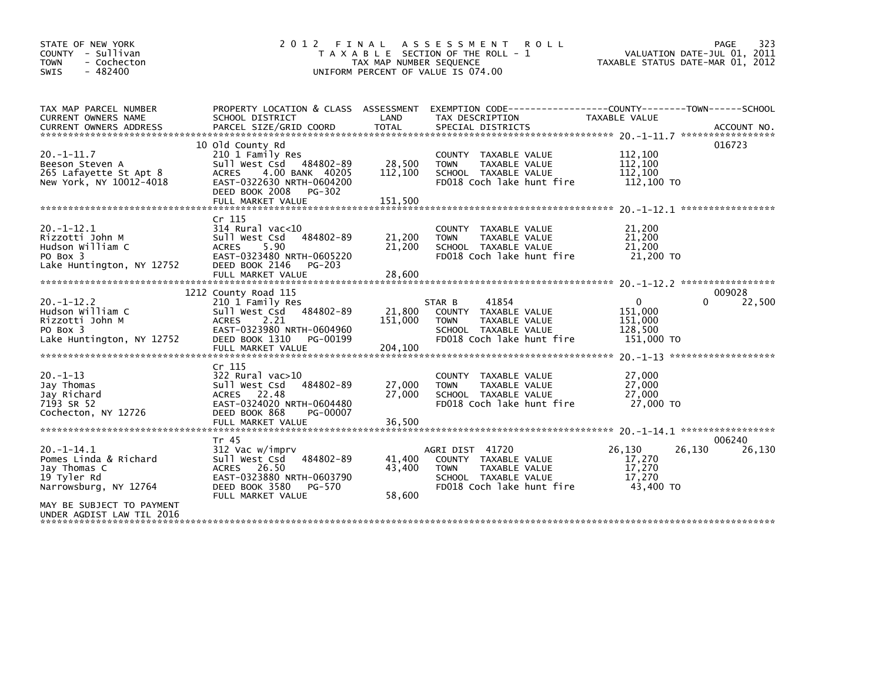| STATE OF NEW YORK<br>COUNTY - Sullivan<br>- Cochecton<br><b>TOWN</b><br>SWIS<br>$-482400$        | 2 0 1 2<br>FINAL                                                                                                                                                                    | TAX MAP NUMBER SEQUENCE      | A S S E S S M E N T<br><b>ROLL</b><br>T A X A B L E SECTION OF THE ROLL - 1<br>UNIFORM PERCENT OF VALUE IS 074.00                      | VALUATION DATE-JUL 01, 2011<br>TAXABLE STATUS DATE-MAR 01, 2012 | 323<br><b>PAGE</b> |
|--------------------------------------------------------------------------------------------------|-------------------------------------------------------------------------------------------------------------------------------------------------------------------------------------|------------------------------|----------------------------------------------------------------------------------------------------------------------------------------|-----------------------------------------------------------------|--------------------|
| TAX MAP PARCEL NUMBER<br><b>CURRENT OWNERS NAME</b><br><b>CURRENT OWNERS ADDRESS</b>             | SCHOOL DISTRICT<br>PARCEL SIZE/GRID COORD                                                                                                                                           | LAND<br><b>TOTAL</b>         | PROPERTY LOCATION & CLASS ASSESSMENT EXEMPTION CODE---------------COUNTY-------TOWN-----SCHOOL<br>TAX DESCRIPTION<br>SPECIAL DISTRICTS | TAXABLE VALUE                                                   | ACCOUNT NO.        |
| $20. -1 - 11.7$<br>Beeson Steven A<br>265 Lafayette St Apt 8<br>New York, NY 10012-4018          | 10 Old County Rd<br>210 1 Family Res<br>484802-89<br>Sull West Csd<br>4.00 BANK 40205<br><b>ACRES</b><br>EAST-0322630 NRTH-0604200<br>DEED BOOK 2008<br>PG-302<br>FULL MARKET VALUE | 28,500<br>112,100<br>151,500 | COUNTY TAXABLE VALUE<br>TAXABLE VALUE<br><b>TOWN</b><br>SCHOOL TAXABLE VALUE<br>FD018 Coch lake hunt fire                              | 112,100<br>112,100<br>112,100<br>112,100 TO                     | 016723             |
| $20. -1 - 12.1$<br>Rizzotti John M<br>Hudson William C<br>PO Box 3<br>Lake Huntington, NY 12752  | Cr 115<br>$314$ Rural vac<10<br>484802-89<br>Sull West Csd<br>5.90<br><b>ACRES</b><br>EAST-0323480 NRTH-0605220<br>DEED BOOK 2146<br><b>PG-203</b><br>FULL MARKET VALUE             | 21,200<br>21,200<br>28,600   | COUNTY TAXABLE VALUE<br><b>TOWN</b><br>TAXABLE VALUE<br>SCHOOL TAXABLE VALUE<br>FD018 Coch lake hunt fire                              | 21,200<br>21,200<br>21,200<br>21,200 TO                         |                    |
| $20. -1 - 12.2$<br>Hudson William C                                                              | 1212 County Road 115<br>210 1 Family Res<br>Sull West Csd<br>484802-89                                                                                                              | 21,800                       | 41854<br>STAR B<br>COUNTY TAXABLE VALUE                                                                                                | $\mathbf{0}$<br>0<br>151,000                                    | 009028<br>22,500   |
| Rizzotti John M<br>PO Box 3<br>Lake Huntington, NY 12752                                         | 2.21<br><b>ACRES</b><br>EAST-0323980 NRTH-0604960<br>DEED BOOK 1310<br>PG-00199<br>FULL MARKET VALUE                                                                                | 151,000<br>204,100           | TAXABLE VALUE<br><b>TOWN</b><br>SCHOOL TAXABLE VALUE<br>FD018 Coch lake hunt fire                                                      | 151,000<br>128,500<br>151,000 TO                                |                    |
|                                                                                                  | Cr 115                                                                                                                                                                              |                              |                                                                                                                                        |                                                                 |                    |
| $20. -1 - 13$<br>Jay Thomas<br>Jay Richard<br>7193 SR 52<br>Cochecton, NY 12726                  | 322 Rural vac>10<br>Sull West Csd<br>484802-89<br>ACRES 22.48<br>EAST-0324020 NRTH-0604480<br>DEED BOOK 868<br>PG-00007                                                             | 27,000<br>27,000             | COUNTY TAXABLE VALUE<br>TAXABLE VALUE<br><b>TOWN</b><br>SCHOOL TAXABLE VALUE<br>FD018 Coch lake hunt fire                              | 27,000<br>27,000<br>27,000<br>27,000 TO                         |                    |
|                                                                                                  | FULL MARKET VALUE                                                                                                                                                                   | 36,500                       |                                                                                                                                        |                                                                 |                    |
| $20. -1 - 14.1$<br>Pomes Linda & Richard<br>Jay Thomas C<br>19 Tyler Rd<br>Narrowsburg, NY 12764 | Tr 45<br>312 Vac w/imprv<br>484802-89<br>Sull West Csd<br>ACRES 26.50<br>EAST-0323880 NRTH-0603790<br>DEED BOOK 3580<br>PG-570<br>FULL MARKET VALUE                                 | 41,400<br>43.400<br>58,600   | AGRI DIST 41720<br>COUNTY TAXABLE VALUE<br><b>TOWN</b><br>TAXABLE VALUE<br>SCHOOL TAXABLE VALUE<br>FD018 Coch lake hunt fire           | 26,130<br>26,130<br>17,270<br>17,270<br>17,270<br>43,400 TO     | 006240<br>26,130   |
| MAY BE SUBJECT TO PAYMENT<br>UNDER AGDIST LAW TIL 2016                                           |                                                                                                                                                                                     |                              |                                                                                                                                        |                                                                 |                    |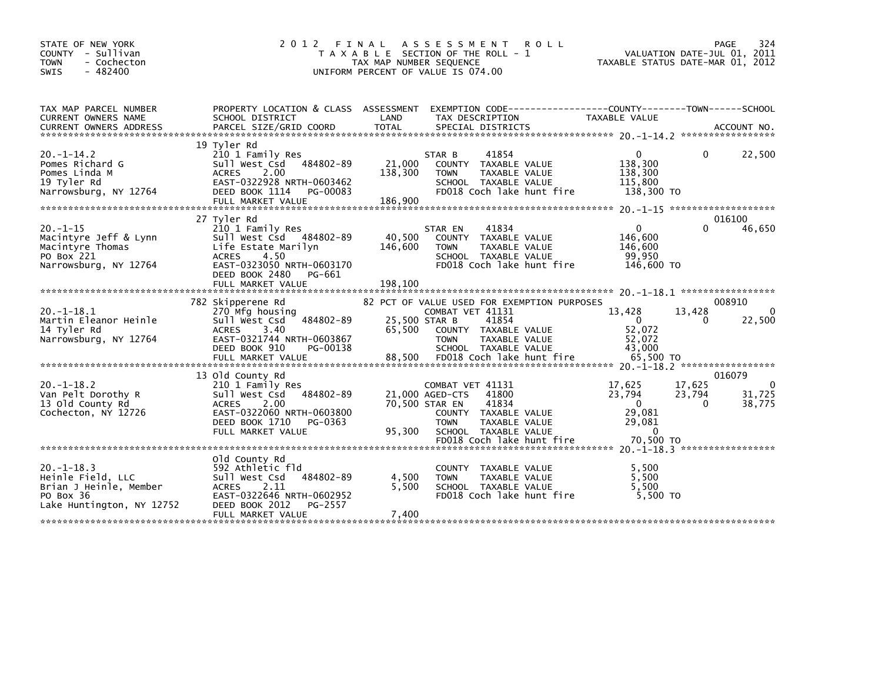| STATE OF NEW YORK<br>COUNTY - Sullivan<br><b>TOWN</b><br>- Cochecton<br>$-482400$<br><b>SWIS</b>         | 2 0 1 2                                                                                                                                                                   | FINAL<br>A S S E S S M E N T<br><b>ROLL</b><br>T A X A B L E SECTION OF THE ROLL - 1<br>TAX MAP NUMBER SEQUENCE<br>UNIFORM PERCENT OF VALUE IS 074.00                                                                   | 324<br>PAGE<br>VALUATION DATE-JUL 01, 2011<br>TAXABLE STATUS DATE-MAR 01, 2012                                                                      |
|----------------------------------------------------------------------------------------------------------|---------------------------------------------------------------------------------------------------------------------------------------------------------------------------|-------------------------------------------------------------------------------------------------------------------------------------------------------------------------------------------------------------------------|-----------------------------------------------------------------------------------------------------------------------------------------------------|
| TAX MAP PARCEL NUMBER<br><b>CURRENT OWNERS NAME</b>                                                      | PROPERTY LOCATION & CLASS ASSESSMENT<br>SCHOOL DISTRICT                                                                                                                   | LAND<br>TAX DESCRIPTION                                                                                                                                                                                                 | EXEMPTION CODE-----------------COUNTY-------TOWN------SCHOOL<br>TAXABLE VALUE                                                                       |
| $20. -1 - 14.2$<br>Pomes Richard G<br>Pomes Linda M<br>19 Tyler Rd<br>Narrowsburg, NY 12764              | 19 Tyler Rd<br>210 1 Family Res<br>Sull West Csd 484802-89<br>2.00<br><b>ACRES</b><br>EAST-0322928 NRTH-0603462<br>DEED BOOK 1114<br>PG-00083<br>FULL MARKET VALUE        | 41854<br>STAR B<br>21,000<br>COUNTY TAXABLE VALUE<br>138,300<br>TAXABLE VALUE<br><b>TOWN</b><br>SCHOOL TAXABLE VALUE<br>FD018 Coch lake hunt fire<br>186,900                                                            | 22,500<br>0<br>0<br>138,300<br>138,300<br>115,800<br>138,300 TO                                                                                     |
| $20. -1 - 15$<br>Macintyre Jeff & Lynn<br>Macintyre Thomas<br>PO Box 221<br>Narrowsburg, NY 12764        | 27 Tyler Rd<br>210 1 Family Res<br>Sull West Csd 484802-89<br>Life Estate Marilyn<br><b>ACRES</b><br>4.50<br>EAST-0323050 NRTH-0603170<br>DEED BOOK 2480<br>PG-661        | 41834<br>STAR EN<br>40,500<br>COUNTY TAXABLE VALUE<br>146,600<br><b>TOWN</b><br>TAXABLE VALUE<br>SCHOOL TAXABLE VALUE<br>FD018 Coch lake hunt fire                                                                      | 016100<br>$\mathbf 0$<br>0<br>46,650<br>146,600<br>146,600<br>99,950<br>146,600 TO                                                                  |
| $20. -1 - 18.1$<br>Martin Eleanor Heinle<br>14 Tyler Rd<br>Narrowsburg, NY 12764                         | 782 Skipperene Rd<br>270 Mfg housing<br>484802-89<br>Sull West Csd<br><b>ACRES</b><br>3.40<br>EAST-0321744 NRTH-0603867<br>DEED BOOK 910<br>PG-00138<br>FULL MARKET VALUE | 82 PCT OF VALUE USED FOR EXEMPTION PURPOSES<br>COMBAT VET 41131<br>41854<br>25,500 STAR B<br>65.500<br>COUNTY TAXABLE VALUE<br><b>TOWN</b><br>TAXABLE VALUE<br>SCHOOL TAXABLE VALUE<br>88,500 FD018 Coch lake hunt fire | 008910<br>13,428<br>13,428<br>$\mathbf{0}$<br>$\Omega$<br>22,500<br>0<br>52,072<br>52,072<br>43,000<br>65,500 TO                                    |
| $20. -1 - 18.2$<br>Van Pelt Dorothy R<br>13 Old County Rd<br>Cochecton, NY 12726                         | 13 Old County Rd<br>210 1 Family Res<br>Sull West Csd<br>484802-89<br>2.00<br><b>ACRES</b><br>EAST-0322060 NRTH-0603800<br>DEED BOOK 1710<br>PG-0363<br>FULL MARKET VALUE | COMBAT VET 41131<br>41800<br>21,000 AGED-CTS<br>41834<br>70,500 STAR EN<br>COUNTY TAXABLE VALUE<br><b>TOWN</b><br>TAXABLE VALUE<br>95,300<br>SCHOOL TAXABLE VALUE<br>FD018 Coch lake hunt fire                          | 016079<br>17,625<br>17,625<br>$\Omega$<br>23,794<br>23,794<br>31,725<br>$\Omega$<br>38,775<br>$\Omega$<br>29,081<br>29,081<br>$\Omega$<br>70.500 TO |
| $20. -1 - 18.3$<br>Heinle Field, LLC<br>Brian J Heinle, Member<br>PO Box 36<br>Lake Huntington, NY 12752 | old County Rd<br>592 Athletic fld<br>484802-89<br>Sull West Csd<br>2.11<br><b>ACRES</b><br>EAST-0322646 NRTH-0602952<br>DEED BOOK 2012<br>PG-2557<br>FULL MARKET VALUE    | COUNTY TAXABLE VALUE<br>4,500<br><b>TOWN</b><br>TAXABLE VALUE<br>5,500<br>SCHOOL TAXABLE VALUE<br>FD018 Coch lake hunt fire<br>7,400                                                                                    | 5,500<br>5.500<br>5,500<br>5.500 TO                                                                                                                 |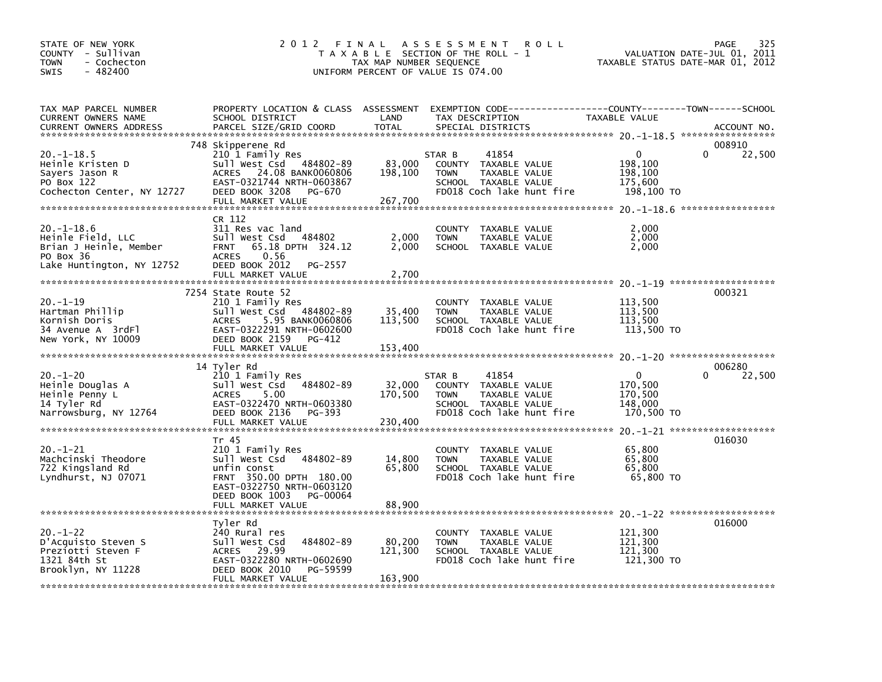| STATE OF NEW YORK<br>COUNTY - Sullivan<br><b>TOWN</b><br>- Cochecton<br>$-482400$<br><b>SWIS</b>         | 2012 FINAL                                                                                                                                                                           | TAX MAP NUMBER SEQUENCE      | A S S E S S M E N T<br><b>ROLL</b><br>T A X A B L E SECTION OF THE ROLL - 1<br>UNIFORM PERCENT OF VALUE IS 074.00                         | TAXABLE STATUS DATE-MAR 01, 2012                        | 325<br>PAGE<br>VALUATION DATE-JUL 01, 2011 |
|----------------------------------------------------------------------------------------------------------|--------------------------------------------------------------------------------------------------------------------------------------------------------------------------------------|------------------------------|-------------------------------------------------------------------------------------------------------------------------------------------|---------------------------------------------------------|--------------------------------------------|
| TAX MAP PARCEL NUMBER<br>CURRENT OWNERS NAME<br><b>CURRENT OWNERS ADDRESS</b>                            | SCHOOL DISTRICT<br>PARCEL SIZE/GRID COORD                                                                                                                                            | LAND<br><b>TOTAL</b>         | PROPERTY LOCATION & CLASS ASSESSMENT EXEMPTION CODE-----------------COUNTY-------TOWN------SCHOOL<br>TAX DESCRIPTION<br>SPECIAL DISTRICTS | TAXABLE VALUE                                           | ACCOUNT NO.                                |
| $20. -1 - 18.5$<br>Heinle Kristen D<br>Sayers Jason R<br>PO Box 122<br>Cochecton Center, NY 12727        | 748 Skipperene Rd<br>210 1 Family Res<br>Sull West Csd 484802-89<br>ACRES 24.08 BANK0060806<br>EAST-0321744 NRTH-0603867<br>DEED BOOK 3208<br>PG-670<br>FULL MARKET VALUE            | 83,000<br>198,100<br>267,700 | 41854<br>STAR B<br>COUNTY TAXABLE VALUE<br>TAXABLE VALUE<br><b>TOWN</b><br>SCHOOL TAXABLE VALUE<br>FD018 Coch lake hunt fire              | $\Omega$<br>198,100<br>198,100<br>175,600<br>198,100 TO | 008910<br>22,500                           |
| $20. -1 - 18.6$<br>Heinle Field, LLC<br>Brian J Heinle, Member<br>PO Box 36<br>Lake Huntington, NY 12752 | CR 112<br>311 Res vac land<br>Sull West Csd<br>484802<br>65.18 DPTH 324.12<br><b>FRNT</b><br>0.56<br>ACRES<br>DEED BOOK 2012<br>PG-2557<br>FULL MARKET VALUE                         | 2,000<br>2,000<br>2,700      | TAXABLE VALUE<br>COUNTY<br><b>TOWN</b><br>TAXABLE VALUE<br>SCHOOL TAXABLE VALUE                                                           | 2,000<br>2,000<br>2,000                                 |                                            |
| $20. -1 - 19$<br>Hartman Phillip<br>Kornish Doris<br>34 Avenue A 3rdFl<br>New York, NY 10009             | 7254 State Route 52<br>210 1 Family Res<br>Sull West Csd 484802-89<br>5.95 BANK0060806<br><b>ACRES</b><br>EAST-0322291 NRTH-0602600<br>DEED BOOK 2159<br>PG-412<br>FULL MARKET VALUE | 35,400<br>113,500<br>153,400 | COUNTY TAXABLE VALUE<br><b>TOWN</b><br>TAXABLE VALUE<br>SCHOOL TAXABLE VALUE<br>FD018 Coch lake hunt fire                                 | 113,500<br>113,500<br>113,500<br>113,500 TO             | 000321                                     |
| $20. - 1 - 20$<br>Heinle Douglas A<br>Heinle Penny L<br>14 Tyler Rd<br>Narrowsburg, NY 12764             | 14 Tyler Rd<br>210 1 Family Res<br>484802-89<br>Sull West Csd<br>5.00<br><b>ACRES</b><br>EAST-0322470 NRTH-0603380<br>DEED BOOK 2136<br>PG-393<br>FULL MARKET VALUE                  | 32,000<br>170,500<br>230,400 | 41854<br>STAR B<br>COUNTY TAXABLE VALUE<br>TAXABLE VALUE<br><b>TOWN</b><br>SCHOOL TAXABLE VALUE<br>FD018 Coch lake hunt fire              | 0<br>170,500<br>170,500<br>148,000<br>170,500 TO        | 006280<br>22,500<br>0                      |
| $20. - 1 - 21$<br>Machcinski Theodore<br>722 Kingsland Rd<br>Lyndhurst, NJ 07071                         | Tr 45<br>210 1 Family Res<br>Sull West Csd 484802-89<br>unfin const<br>FRNT 350.00 DPTH 180.00<br>EAST-0322750 NRTH-0603120<br>DEED BOOK 1003<br>PG-00064<br>FULL MARKET VALUE       | 14,800<br>65,800<br>88,900   | COUNTY TAXABLE VALUE<br><b>TOWN</b><br>TAXABLE VALUE<br>SCHOOL TAXABLE VALUE<br>FD018 Coch lake hunt fire                                 | 65,800<br>65.800<br>65,800<br>65,800 TO                 | 016030                                     |
| $20. - 1 - 22$<br>D'Acquisto Steven S<br>Preziotti Steven F<br>1321 84th St<br>Brooklyn, NY 11228        | Tyler Rd<br>240 Rural res<br>Sull West Csd<br>484802-89<br>ACRES 29.99<br>EAST-0322280 NRTH-0602690<br>DEED BOOK 2010<br>PG-59599<br>FULL MARKET VALUE                               | 80,200<br>121,300<br>163,900 | COUNTY TAXABLE VALUE<br><b>TOWN</b><br>TAXABLE VALUE<br>SCHOOL TAXABLE VALUE<br>FD018 Coch lake hunt fire                                 | 121,300<br>121,300<br>121,300<br>121,300 TO             | 016000                                     |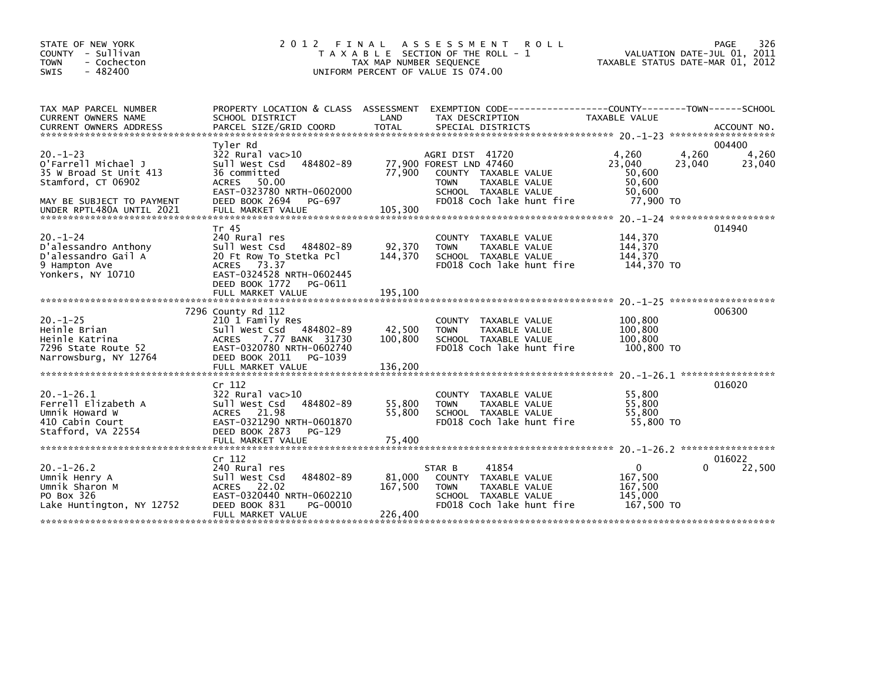| STATE OF NEW YORK<br>COUNTY - Sullivan<br><b>TOWN</b><br>- Cochecton<br>$-482400$<br><b>SWIS</b>                   | 2 0 1 2<br>FINAL                                                                                                                                                                        | TAX MAP NUMBER SEQUENCE      | A S S E S S M E N T<br><b>ROLL</b><br>T A X A B L E SECTION OF THE ROLL - 1<br>UNIFORM PERCENT OF VALUE IS 074.00                                       | TAXABLE STATUS DATE-MAR 01, 2012                           | 326<br>PAGE<br>VALUATION DATE-JUL 01, 2011    |
|--------------------------------------------------------------------------------------------------------------------|-----------------------------------------------------------------------------------------------------------------------------------------------------------------------------------------|------------------------------|---------------------------------------------------------------------------------------------------------------------------------------------------------|------------------------------------------------------------|-----------------------------------------------|
| TAX MAP PARCEL NUMBER<br>CURRENT OWNERS NAME                                                                       | PROPERTY LOCATION & CLASS ASSESSMENT<br>SCHOOL DISTRICT                                                                                                                                 | LAND                         | EXEMPTION CODE-----------------COUNTY-------TOWN------SCHOOL<br>TAX DESCRIPTION                                                                         | TAXABLE VALUE                                              |                                               |
|                                                                                                                    |                                                                                                                                                                                         |                              |                                                                                                                                                         |                                                            | 004400                                        |
| $20. - 1 - 23$<br>o'Farrell Michael J<br>35 W Broad St Unit 413<br>Stamford, CT 06902<br>MAY BE SUBJECT TO PAYMENT | Tyler Rd<br>$322$ Rural vac $>10$<br>Sull West Csd<br>484802-89<br>36 committed<br><b>ACRES</b><br>50.00<br>EAST-0323780 NRTH-0602000<br>DEED BOOK 2694<br>PG-697                       | 77,900                       | AGRI DIST 41720<br>77,900 FOREST LND 47460<br>COUNTY TAXABLE VALUE<br><b>TOWN</b><br>TAXABLE VALUE<br>SCHOOL TAXABLE VALUE<br>FD018 Coch lake hunt fire | 4,260<br>23.040<br>50,600<br>50,600<br>50,600<br>77,900 TO | 4,260<br>4,260<br>23,040<br>23,040            |
| UNDER RPTL480A UNTIL 2021                                                                                          | FULL MARKET VALUE                                                                                                                                                                       | 105,300                      |                                                                                                                                                         |                                                            |                                               |
| $20. - 1 - 24$<br>D'alessandro Anthony<br>D'alessandro Gail A<br>9 Hampton Ave<br>Yonkers, NY 10710                | Tr 45<br>240 Rural res<br>Sull West Csd<br>484802-89<br>20 Ft Row To Stetka Pcl<br><b>ACRES</b><br>73.37<br>EAST-0324528 NRTH-0602445<br>DEED BOOK 1772<br>PG-0611<br>FULL MARKET VALUE | 92,370<br>144,370<br>195,100 | COUNTY TAXABLE VALUE<br><b>TOWN</b><br>TAXABLE VALUE<br>SCHOOL TAXABLE VALUE<br>FD018 Coch lake hunt fire                                               | 144,370<br>144,370<br>144,370<br>144.370 TO                | 014940                                        |
|                                                                                                                    | 7296 County Rd 112                                                                                                                                                                      |                              |                                                                                                                                                         |                                                            | $20. -1 - 25$ ********************<br>006300  |
| $20. -1 - 25$<br>Heinle Brian<br>Heinle Katrina<br>7296 State Route 52<br>Narrowsburg, NY 12764                    | 210 1 Family Res<br>Sull West Csd<br>484802-89<br>7.77 BANK 31730<br><b>ACRES</b><br>EAST-0320780 NRTH-0602740<br>DEED BOOK 2011<br>PG-1039<br>FULL MARKET VALUE                        | 42,500<br>100,800<br>136,200 | COUNTY TAXABLE VALUE<br>TAXABLE VALUE<br><b>TOWN</b><br>SCHOOL TAXABLE VALUE<br>FD018 Coch lake hunt fire                                               | 100,800<br>100,800<br>100,800<br>100,800 TO                |                                               |
|                                                                                                                    | Cr 112                                                                                                                                                                                  |                              |                                                                                                                                                         |                                                            | $20. -1 - 26.1$ *******************<br>016020 |
| $20. -1 - 26.1$<br>Ferrell Elizabeth A<br>Umnik Howard W<br>410 Cabin Court<br>Stafford, VA 22554                  | $322$ Rural vac $>10$<br>484802-89<br>Sull West Csd<br>ACRES 21.98<br>EAST-0321290 NRTH-0601870<br>DEED BOOK 2873<br>PG-129                                                             | 55,800<br>55,800             | COUNTY TAXABLE VALUE<br><b>TOWN</b><br>TAXABLE VALUE<br>SCHOOL TAXABLE VALUE<br>FD018 Coch lake hunt fire                                               | 55,800<br>55.800<br>55,800<br>55,800 TO                    |                                               |
|                                                                                                                    |                                                                                                                                                                                         |                              |                                                                                                                                                         |                                                            |                                               |
| $20. -1 - 26.2$<br>Umnik Henry A<br>Umnik Sharon M<br>PO Box 326<br>Lake Huntington, NY 12752                      | Cr 112<br>240 Rural res<br>Sull West Csd<br>484802-89<br>22.02<br><b>ACRES</b><br>EAST-0320440 NRTH-0602210<br>DEED BOOK 831<br>PG-00010<br>FULL MARKET VALUE                           | 81,000<br>167,500<br>226,400 | 41854<br>STAR B<br>COUNTY TAXABLE VALUE<br>TAXABLE VALUE<br><b>TOWN</b><br>SCHOOL TAXABLE VALUE<br>FD018 Coch lake hunt fire                            | 0<br>167,500<br>167,500<br>145,000<br>167,500 TO           | 016022<br>22,500<br>∩                         |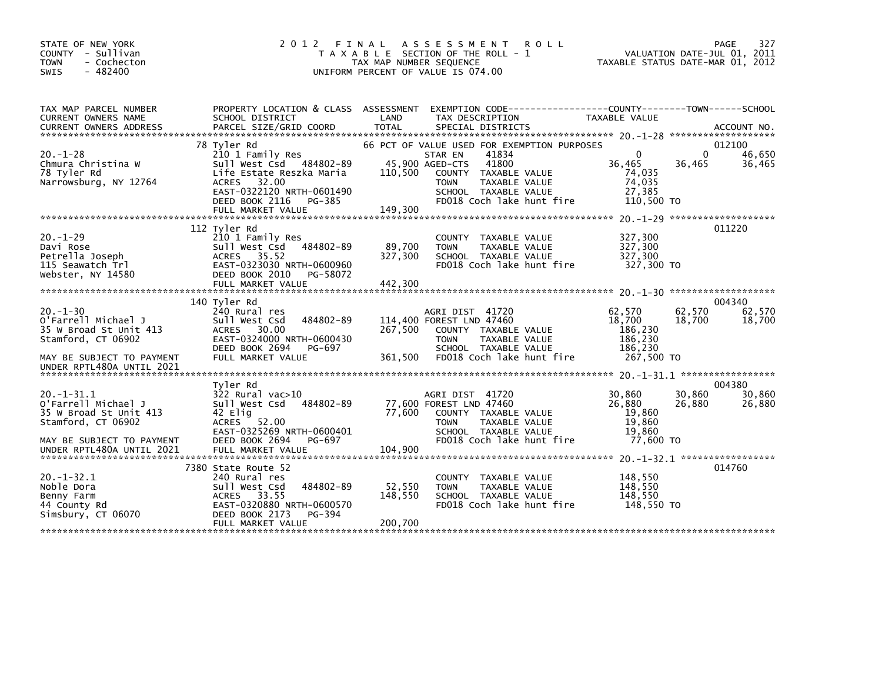| STATE OF NEW YORK<br><b>COUNTY</b><br>- Sullivan<br>- Cochecton<br><b>TOWN</b><br>$-482400$<br>SWIS               | 2 0 1 2                                                                                                                                                   | FINAL<br>T A X A B L E SECTION OF THE ROLL - 1<br>TAX MAP NUMBER SEQUENCE<br>UNIFORM PERCENT OF VALUE IS 074.00 | A S S E S S M E N T                                                  |                                                                          | <b>ROLL</b>               | TAXABLE STATUS DATE-MAR 01, 2012                                               |                  | 327<br>PAGE<br>VALUATION DATE-JUL 01, 2011 |
|-------------------------------------------------------------------------------------------------------------------|-----------------------------------------------------------------------------------------------------------------------------------------------------------|-----------------------------------------------------------------------------------------------------------------|----------------------------------------------------------------------|--------------------------------------------------------------------------|---------------------------|--------------------------------------------------------------------------------|------------------|--------------------------------------------|
| TAX MAP PARCEL NUMBER<br>CURRENT OWNERS NAME                                                                      | PROPERTY LOCATION & CLASS ASSESSMENT<br>SCHOOL DISTRICT                                                                                                   | LAND                                                                                                            | TAX DESCRIPTION                                                      |                                                                          |                           | EXEMPTION CODE-----------------COUNTY--------TOWN------SCHOOL<br>TAXABLE VALUE |                  |                                            |
|                                                                                                                   | 78 Tyler Rd                                                                                                                                               | 66 PCT OF VALUE USED FOR EXEMPTION PURPOSES                                                                     |                                                                      |                                                                          |                           |                                                                                |                  | 012100                                     |
| $20. - 1 - 28$<br>Chmura Christina W<br>78 Tyler Rd<br>Narrowsburg, NY 12764                                      | 210 1 Family Res<br>Sull West Csd 484802-89<br>Life Estate Reszka Maria<br>32.00<br><b>ACRES</b><br>EAST-0322120 NRTH-0601490<br>DEED BOOK 2116<br>PG-385 | 110,500                                                                                                         | STAR EN<br>45,900 AGED-CTS<br>COUNTY<br><b>TOWN</b>                  | 41834<br>41800<br>TAXABLE VALUE<br>TAXABLE VALUE<br>SCHOOL TAXABLE VALUE | FD018 Coch lake hunt fire | 0<br>36,465<br>74,035<br>74,035<br>27.385<br>110,500 TO                        | 0<br>36,465      | 46,650<br>36,465                           |
|                                                                                                                   |                                                                                                                                                           |                                                                                                                 |                                                                      |                                                                          |                           |                                                                                |                  | $20. -1 - 29$ *********************        |
| $20. -1 - 29$<br>Davi Rose<br>Petrella Joseph<br>115 Seawatch Trl<br>Webster, NY 14580                            | 112 Tyler Rd<br>210 1 Family Res<br>Sull West Csd<br>484802-89<br>35.52<br><b>ACRES</b><br>EAST-0323030 NRTH-0600960<br>DEED BOOK 2010<br>PG-58072        | 89,700<br>327,300                                                                                               | COUNTY<br><b>TOWN</b>                                                | TAXABLE VALUE<br>TAXABLE VALUE<br>SCHOOL TAXABLE VALUE                   | FD018 Coch lake hunt fire | 327,300<br>327,300<br>327,300<br>327,300 TO                                    |                  | 011220                                     |
|                                                                                                                   | 140 Tyler Rd                                                                                                                                              |                                                                                                                 |                                                                      |                                                                          |                           |                                                                                |                  | 004340                                     |
| $20. -1 - 30$<br>o'Farrell Michael J<br>35 W Broad St Unit 413<br>Stamford, CT 06902<br>MAY BE SUBJECT TO PAYMENT | 240 Rural res<br>484802-89<br>Sull West Csd<br><b>ACRES</b><br>30.00<br>EAST-0324000 NRTH-0600430<br>DEED BOOK 2694<br>PG-697<br>FULL MARKET VALUE        | 267,500<br>361,500                                                                                              | AGRI DIST 41720<br>114,400 FOREST LND 47460<br>COUNTY<br><b>TOWN</b> | TAXABLE VALUE<br><b>TAXABLE VALUE</b><br>SCHOOL TAXABLE VALUE            | FD018 Coch lake hunt fire | 62.570<br>18,700<br>186,230<br>186,230<br>186,230<br>267.500 TO                | 62,570<br>18,700 | 62.570<br>18,700                           |
| UNDER RPTL480A UNTIL 2021                                                                                         |                                                                                                                                                           |                                                                                                                 |                                                                      |                                                                          |                           |                                                                                |                  |                                            |
|                                                                                                                   | Tvler Rd                                                                                                                                                  |                                                                                                                 |                                                                      |                                                                          |                           |                                                                                |                  | 004380                                     |
| $20. -1 - 31.1$<br>O'Farrell Michael J<br>35 W Broad St Unit 413<br>Stamford, CT 06902                            | $322$ Rural vac $>10$<br>Sull West Csd<br>484802-89<br>42 Elig<br><b>ACRES</b><br>52.00<br>EAST-0325269 NRTH-0600401                                      | 77,600                                                                                                          | AGRI DIST 41720<br>77,600 FOREST LND 47460<br><b>TOWN</b>            | COUNTY TAXABLE VALUE<br>TAXABLE VALUE<br>SCHOOL TAXABLE VALUE            |                           | 30,860<br>26,880<br>19,860<br>19,860<br>19.860                                 | 30,860<br>26,880 | 30,860<br>26,880                           |
| MAY BE SUBJECT TO PAYMENT<br>UNDER RPTL480A UNTIL 2021                                                            | DEED BOOK 2694<br>PG-697<br>FULL MARKET VALUE                                                                                                             | 104,900                                                                                                         |                                                                      |                                                                          | FD018 Coch lake hunt fire | 77,600 TO                                                                      |                  |                                            |
|                                                                                                                   |                                                                                                                                                           |                                                                                                                 |                                                                      |                                                                          |                           |                                                                                |                  | $20. -1 - 32.1$ ******************         |
| $20. -1 - 32.1$<br>Noble Dora<br>Benny Farm<br>44 County Rd<br>Simsbury, CT 06070                                 | 7380 State Route 52<br>240 Rural res<br>Sull West Csd<br>484802-89<br>- 33.55<br><b>ACRES</b><br>EAST-0320880 NRTH-0600570<br>DEED BOOK 2173<br>PG-394    | 52,550<br>148,550                                                                                               | COUNTY<br><b>TOWN</b>                                                | TAXABLE VALUE<br>TAXABLE VALUE<br>SCHOOL TAXABLE VALUE                   | FD018 Coch lake hunt fire | 148,550<br>148,550<br>148,550<br>148,550 TO                                    |                  | 014760                                     |
|                                                                                                                   | FULL MARKET VALUE                                                                                                                                         | 200,700                                                                                                         |                                                                      |                                                                          |                           |                                                                                |                  |                                            |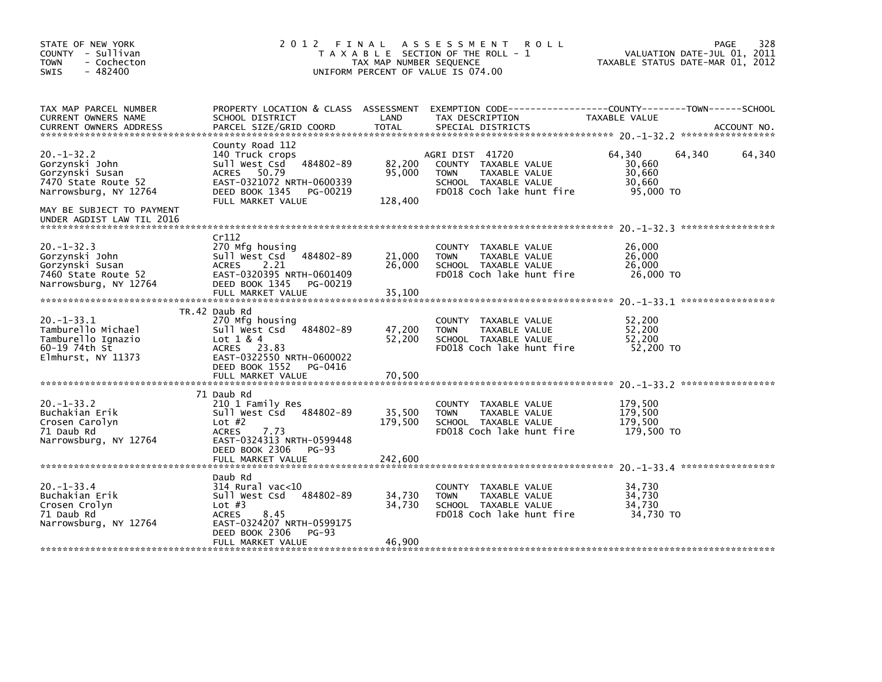| STATE OF NEW YORK<br>COUNTY - Sullivan<br><b>TOWN</b><br>- Cochecton<br>$-482400$<br>SWIS                                         | 2012                                                                                                                                                                           | FINAL<br>TAX MAP NUMBER SEQUENCE | <b>ROLL</b><br>A S S E S S M E N T<br>T A X A B L E SECTION OF THE ROLL - 1<br>UNIFORM PERCENT OF VALUE IS 074.00            | VALUATION DATE-JUL 01, 2011<br>TAXABLE STATUS DATE-MAR 01, 2012 | 328<br>PAGE |
|-----------------------------------------------------------------------------------------------------------------------------------|--------------------------------------------------------------------------------------------------------------------------------------------------------------------------------|----------------------------------|------------------------------------------------------------------------------------------------------------------------------|-----------------------------------------------------------------|-------------|
| TAX MAP PARCEL NUMBER<br>CURRENT OWNERS NAME<br><b>CURRENT OWNERS ADDRESS</b>                                                     | PROPERTY LOCATION & CLASS ASSESSMENT<br>SCHOOL DISTRICT<br>PARCEL SIZE/GRID COORD                                                                                              | LAND<br><b>TOTAL</b>             | EXEMPTION CODE-----------------COUNTY-------TOWN------SCHOOL<br>TAX DESCRIPTION<br>SPECIAL DISTRICTS                         | TAXABLE VALUE                                                   | ACCOUNT NO. |
| $20. -1 - 32.2$<br>Gorzynski John<br>Gorzynski Susan<br>7470 State Route 52<br>Narrowsburg, NY 12764<br>MAY BE SUBJECT TO PAYMENT | County Road 112<br>140 Truck crops<br>484802-89<br>Sull West Csd<br><b>ACRES</b><br>50.79<br>EAST-0321072 NRTH-0600339<br>DEED BOOK 1345<br>PG-00219<br>FULL MARKET VALUE      | 82,200<br>95,000<br>128,400      | AGRI DIST 41720<br>COUNTY TAXABLE VALUE<br>TAXABLE VALUE<br><b>TOWN</b><br>SCHOOL TAXABLE VALUE<br>FD018 Coch lake hunt fire | 64,340<br>64,340<br>30,660<br>30,660<br>30,660<br>95,000 TO     | 64,340      |
| UNDER AGDIST LAW TIL 2016<br>$20. -1 - 32.3$<br>Gorzynski John<br>Gorzynski Susan<br>7460 State Route 52<br>Narrowsburg, NY 12764 | Cr112<br>270 Mfg housing<br>484802-89<br>sull west Csd<br>2.21<br><b>ACRES</b><br>EAST-0320395 NRTH-0601409<br>DEED BOOK 1345 PG-00219<br>FULL MARKET VALUE                    | 21,000<br>26,000<br>35,100       | COUNTY TAXABLE VALUE<br><b>TOWN</b><br>TAXABLE VALUE<br>SCHOOL TAXABLE VALUE<br>FD018 Coch lake hunt fire                    | 26,000<br>26,000<br>26,000<br>26,000 TO                         |             |
| $20. -1 - 33.1$<br>Tamburello Michael<br>Tamburello Ignazio<br>60-19 74th St<br>Elmhurst, NY 11373                                | TR.42 Daub Rd<br>270 Mfg housing<br>484802-89<br>Sull West Csd<br>Lot $1 & 4$<br>ACRES 23.83<br>EAST-0322550 NRTH-0600022<br>DEED BOOK 1552 PG-0416<br>FULL MARKET VALUE       | 47,200<br>52,200<br>70,500       | COUNTY TAXABLE VALUE<br>TAXABLE VALUE<br><b>TOWN</b><br>SCHOOL TAXABLE VALUE<br>FD018 Coch lake hunt fire                    | 52,200<br>52,200<br>52,200<br>52,200 TO                         |             |
| $20. -1 - 33.2$<br>Buchakian Erik<br>Crosen Carolyn<br>71 Daub Rd<br>Narrowsburg, NY 12764                                        | 71 Daub Rd<br>210 1 Family Res<br>Sull West Csd 484802-89<br>Lot $#2$<br><b>ACRES</b><br>7.73<br>EAST-0324313 NRTH-0599448<br>DEED BOOK 2306 PG-93<br>FULL MARKET VALUE        | 35,500<br>179,500<br>242,600     | COUNTY<br>TAXABLE VALUE<br>TAXABLE VALUE<br><b>TOWN</b><br>SCHOOL TAXABLE VALUE<br>FD018 Coch lake hunt fire                 | 179,500<br>179,500<br>179,500<br>179,500 TO                     |             |
| $20 - 1 - 33.4$<br>Buchakian Erik<br>Crosen Crolyn<br>71 Daub Rd<br>Narrowsburg, NY 12764                                         | Daub Rd<br>$314$ Rural vac<10<br>484802-89<br>Sull West Csd<br>Lot $#3$<br>8.45<br><b>ACRES</b><br>EAST-0324207 NRTH-0599175<br>DEED BOOK 2306<br>$PG-93$<br>FULL MARKET VALUE | 34,730<br>34,730<br>46,900       | COUNTY<br>TAXABLE VALUE<br>TAXABLE VALUE<br><b>TOWN</b><br>SCHOOL TAXABLE VALUE<br>FD018 Coch lake hunt fire                 | 34,730<br>34,730<br>34,730<br>34.730 TO                         |             |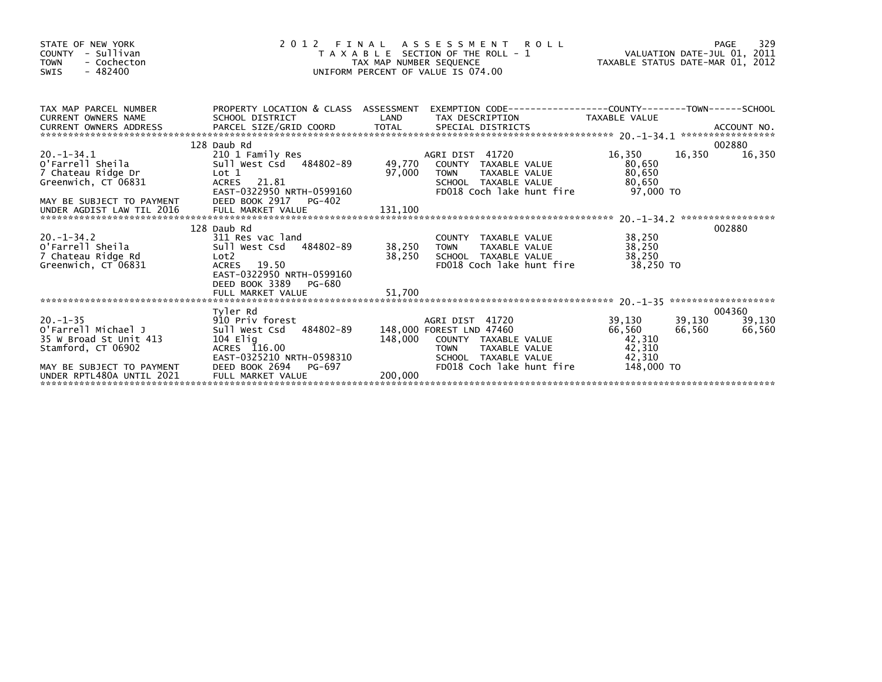| STATE OF NEW YORK<br>- Sullivan<br>COUNTY<br>- Cochecton<br><b>TOWN</b><br>$-482400$<br><b>SWIS</b>               | 2 0 1 2                                                                                                                                     | TAX MAP NUMBER SEQUENCE | R O L L<br>FINAL ASSESSMENT<br>T A X A B L E SECTION OF THE ROLL - 1<br>UNIFORM PERCENT OF VALUE IS 074.00                                               | N I KULL<br>VALUATION DATE-JUL 01, 2011<br>TAXABLE STATUS DATE-MAR 01, 2012 |                  | 329<br>PAGE                |
|-------------------------------------------------------------------------------------------------------------------|---------------------------------------------------------------------------------------------------------------------------------------------|-------------------------|----------------------------------------------------------------------------------------------------------------------------------------------------------|-----------------------------------------------------------------------------|------------------|----------------------------|
| TAX MAP PARCEL NUMBER<br><b>CURRENT OWNERS NAME</b>                                                               | SCHOOL DISTRICT                                                                                                                             | LAND                    | PROPERTY LOCATION & CLASS ASSESSMENT EXEMPTION CODE---------------COUNTY-------TOWN------SCHOOL<br>TAX DESCRIPTION                                       | TAXABLE VALUE                                                               |                  |                            |
|                                                                                                                   |                                                                                                                                             |                         |                                                                                                                                                          |                                                                             |                  |                            |
| $20. -1 - 34.1$<br>O'Farrell Sheila<br>7 Chateau Ridge Dr<br>Greenwich, CT 06831                                  | 128 Daub Rd<br>210 1 Family Res<br>Sull west Csd 484802-89 49,770 COUNTY TAXABLE VALUE<br>Lot 1<br>ACRES 21.81<br>EAST-0322950 NRTH-0599160 | 97,000                  | AGRI DIST 41720<br><b>TOWN</b><br>TAXABLE VALUE<br>SCHOOL TAXABLE VALUE<br>FD018 Coch lake hunt fire                                                     | 16,350<br>80,650<br>80,650<br>80,650<br>97.000 TO                           | 16,350           | 002880<br>16,350           |
|                                                                                                                   |                                                                                                                                             |                         |                                                                                                                                                          |                                                                             |                  |                            |
|                                                                                                                   | 128 Daub Rd                                                                                                                                 |                         |                                                                                                                                                          |                                                                             |                  | 002880                     |
| $20. -1 - 34.2$<br>O'Farrell Sheila<br>7 Chateau Ridge Rd<br>Greenwich, CT 06831                                  | 311 Res vac land<br>Sull West Csd 484802-89<br>Lot2<br>ACRES 19.50<br>EAST-0322950 NRTH-0599160<br>DEED BOOK 3389 PG-680                    | 38,250 TOWN<br>38,250   | COUNTY TAXABLE VALUE<br>TAXABLE VALUE<br>SCHOOL TAXABLE VALUE<br>FD018 Coch lake hunt fire                                                               | 38,250<br>38,250<br>38,250<br>38,250 TO                                     |                  |                            |
|                                                                                                                   |                                                                                                                                             |                         |                                                                                                                                                          |                                                                             |                  |                            |
| $20. -1 - 35$<br>O'Farrell Michael J<br>35 W Broad St Unit 413<br>Stamford, CT 06902<br>MAY BE SUBJECT TO PAYMENT | Tyler Rd<br>910 Priv forest<br>Sull West Csd 484802-89<br>104 Elia<br>ACRES 116.00<br>EAST-0325210 NRTH-0598310<br>DEED BOOK 2694 PG-697    | 148,000                 | AGRI DIST 41720<br>148,000 FOREST LND 47460<br>COUNTY TAXABLE VALUE<br>TAXABLE VALUE<br><b>TOWN</b><br>SCHOOL TAXABLE VALUE<br>FD018 Coch lake hunt fire | 39,130<br>66,560<br>42,310<br>42,310<br>42,310<br>148,000 TO                | 39,130<br>66,560 | 004360<br>39,130<br>66,560 |
| UNDER RPTL480A UNTIL 2021                                                                                         | FULL MARKET VALUE                                                                                                                           | 200,000                 |                                                                                                                                                          |                                                                             |                  |                            |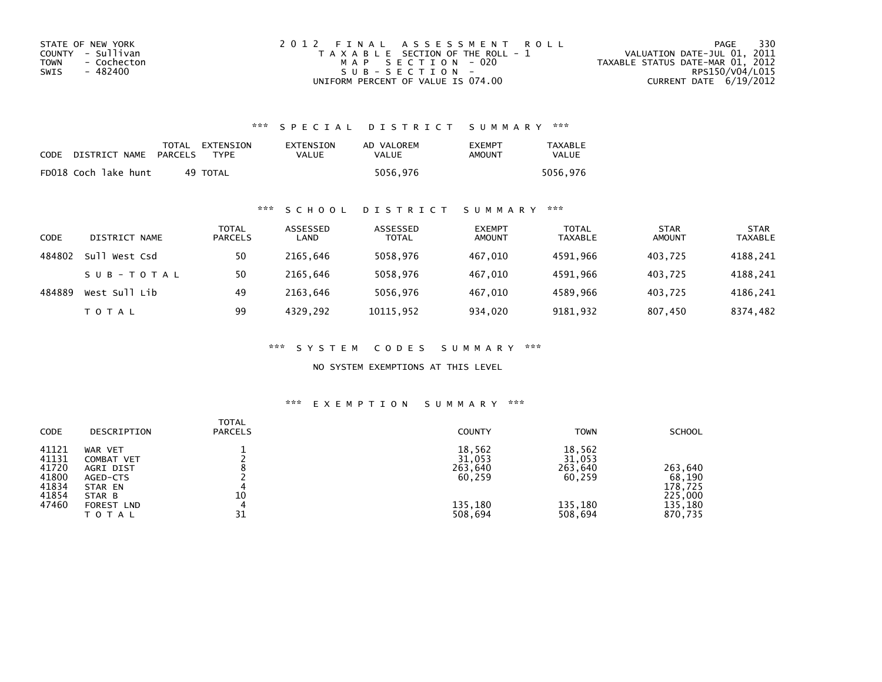| STATE OF NEW YORK   | 2012 FINAL ASSESSMENT ROLL            | 330<br>PAGE                      |
|---------------------|---------------------------------------|----------------------------------|
| COUNTY - Sullivan   | T A X A B L E SECTION OF THE ROLL - 1 | VALUATION DATE-JUL 01, 2011      |
| TOWN<br>- Cochecton | MAP SECTION - 020                     | TAXABLE STATUS DATE-MAR 01, 2012 |
| - 482400<br>SWIS    | SUB-SECTION-                          | RPS150/V04/L015                  |
|                     | UNIFORM PERCENT OF VALUE IS 074.00    | CURRENT DATE 6/19/2012           |

## \*\*\* S P E C I A L D I S T R I C T S U M M A R Y \*\*\*

| CODE | DISTRICT NAME        | PARCELS | TOTAL EXTENSION<br><b>TYPF</b> | EXTENSION<br>VALUE | AD VALOREM<br>VALUE | <b>EXEMPT</b><br>AMOUNT | <b>TAXABLE</b><br><b>VALUE</b> |
|------|----------------------|---------|--------------------------------|--------------------|---------------------|-------------------------|--------------------------------|
|      | FD018 Coch lake hunt |         | 49 TOTAL                       |                    | 5056,976            |                         | 5056.976                       |

### \*\*\* S C H O O L D I S T R I C T S U M M A R Y \*\*\*

| CODE   | DISTRICT NAME    | TOTAL<br><b>PARCELS</b> | ASSESSED<br>LAND | ASSESSED<br><b>TOTAL</b> | <b>EXEMPT</b><br><b>AMOUNT</b> | <b>TOTAL</b><br><b>TAXABLE</b> | <b>STAR</b><br><b>AMOUNT</b> | <b>STAR</b><br>TAXABLE |
|--------|------------------|-------------------------|------------------|--------------------------|--------------------------------|--------------------------------|------------------------------|------------------------|
| 484802 | Sul'<br>West Csd | 50                      | 2165.646         | 5058.976                 | 467.010                        | 4591.966                       | 403.725                      | 4188,241               |
|        | SUB-TOTAL        | 50                      | 2165.646         | 5058.976                 | 467.010                        | 4591.966                       | 403.725                      | 4188,241               |
| 484889 | West Sull Lib    | 49                      | 2163.646         | 5056,976                 | 467.010                        | 4589.966                       | 403,725                      | 4186,241               |
|        | T O T A L        | 99                      | 4329,292         | 10115,952                | 934,020                        | 9181,932                       | 807,450                      | 8374,482               |

\*\*\* S Y S T E M C O D E S S U M M A R Y \*\*\*

NO SYSTEM EXEMPTIONS AT THIS LEVEL

## \*\*\* E X E M P T I O N S U M M A R Y \*\*\*

| <b>CODE</b>                                                 | DESCRIPTION                                                                                    | <b>TOTAL</b><br><b>PARCELS</b> | <b>COUNTY</b>                                               | <b>TOWN</b>                                                 | <b>SCHOOL</b>                                                 |
|-------------------------------------------------------------|------------------------------------------------------------------------------------------------|--------------------------------|-------------------------------------------------------------|-------------------------------------------------------------|---------------------------------------------------------------|
| 41121<br>41131<br>41720<br>41800<br>41834<br>41854<br>47460 | WAR VET<br>COMBAT VET<br>AGRI DIST<br>AGED-CTS<br>STAR EN<br>STAR B<br>FOREST LND<br>T O T A L | 10<br>4<br>31                  | 18,562<br>31,053<br>263,640<br>60,259<br>135,180<br>508,694 | 18,562<br>31,053<br>263,640<br>60,259<br>135,180<br>508,694 | 263,640<br>68,190<br>178,725<br>225,000<br>135,180<br>870,735 |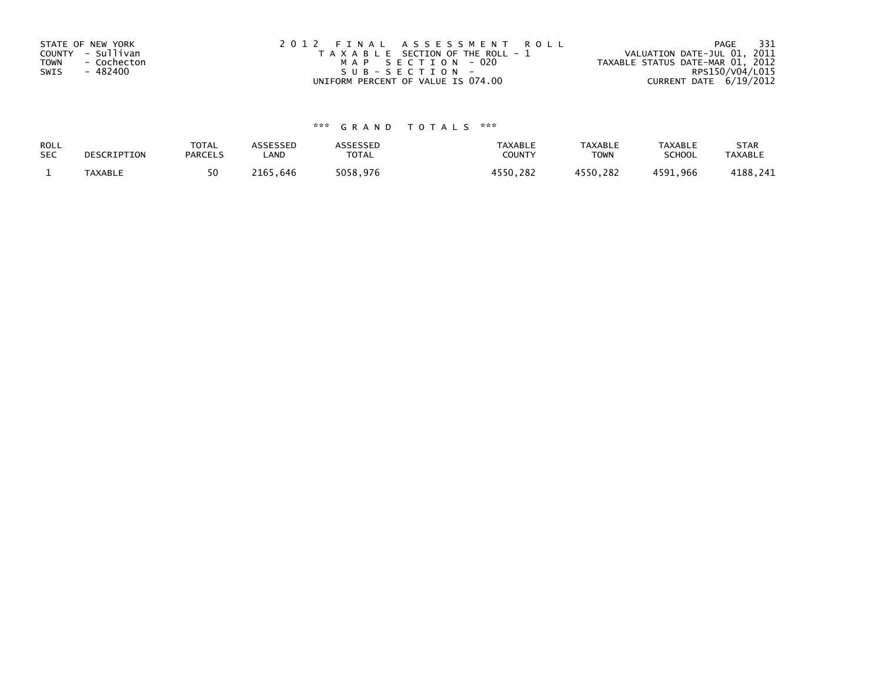| STATE OF NEW YORK<br>COUNTY - Sullivan<br><b>TOWN</b><br>- Cochecton<br>- 482400<br>SWIS | 2012 FINAL ASSESSMENT ROLL<br>T A X A B L E SECTION OF THE ROLL - 1<br>MAP SECTION - 020<br>SUB-SECTION- | - 331<br>PAGE<br>VALUATION DATE-JUL 01, 2011<br>TAXABLE STATUS DATE-MAR 01, 2012<br>RPS150/V04/L015 |
|------------------------------------------------------------------------------------------|----------------------------------------------------------------------------------------------------------|-----------------------------------------------------------------------------------------------------|
|                                                                                          | UNIFORM PERCENT OF VALUE IS 074.00                                                                       | CURRENT DATE 6/19/2012                                                                              |

# \*\*\* G R A N D T O T A L S \*\*\*

| ROLL       | DESCRIPTION    | <b>TOTAL</b>   | ASSESSED | <b>ASSESSED</b> | <b>TAXABLE</b> | <b>TAXABLE</b> | TAXABLE       | <b>STAR</b>    |
|------------|----------------|----------------|----------|-----------------|----------------|----------------|---------------|----------------|
| <b>SEC</b> |                | <b>PARCELS</b> | LAND     | TOTAL           | COUNT          | TOWN           | <b>SCHOOL</b> | <b>TAXABLE</b> |
|            | <b>TAXABLE</b> |                | 2165.646 | 5058,976        | 4550.282       | 4550,282       | 4591,966      | 4188,241       |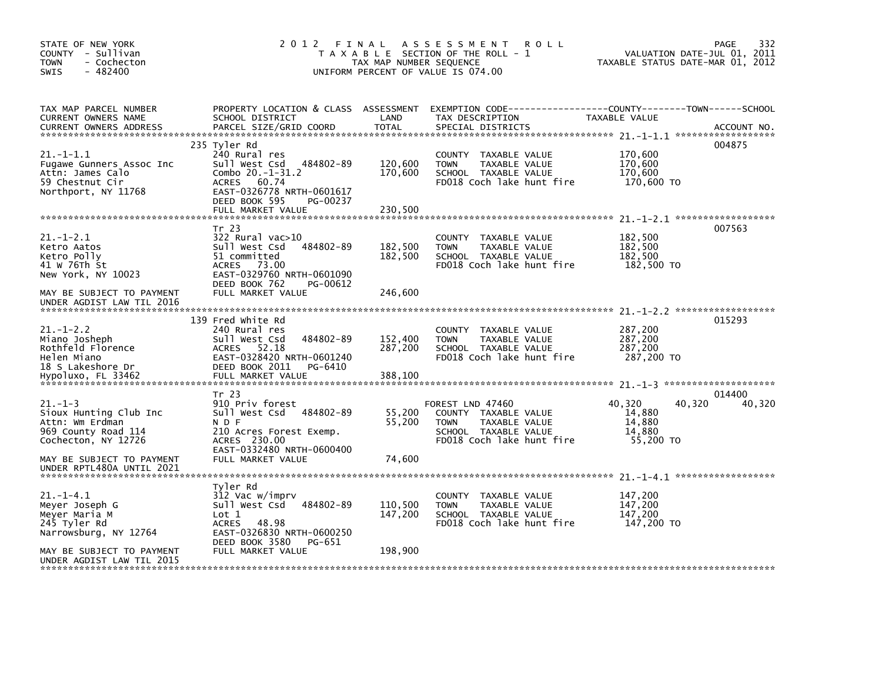| STATE OF NEW YORK<br>COUNTY - Sullivan<br>- Cochecton<br><b>TOWN</b><br>$-482400$<br><b>SWIS</b>                                                     | 2 0 1 2                                                                                                                                                                                   | FINAL<br>TAX MAP NUMBER SEQUENCE | A S S E S S M E N T<br><b>ROLL</b><br>T A X A B L E SECTION OF THE ROLL - 1<br>UNIFORM PERCENT OF VALUE IS 074.00             | TAXABLE STATUS DATE-MAR 01, 2012                            | 332<br>PAGE<br>VALUATION DATE-JUL 01, 2011 |
|------------------------------------------------------------------------------------------------------------------------------------------------------|-------------------------------------------------------------------------------------------------------------------------------------------------------------------------------------------|----------------------------------|-------------------------------------------------------------------------------------------------------------------------------|-------------------------------------------------------------|--------------------------------------------|
| TAX MAP PARCEL NUMBER<br>CURRENT OWNERS NAME<br><b>CURRENT OWNERS ADDRESS</b>                                                                        | PROPERTY LOCATION & CLASS ASSESSMENT<br>SCHOOL DISTRICT<br>PARCEL SIZE/GRID COORD                                                                                                         | LAND<br><b>TOTAL</b>             | TAX DESCRIPTION<br>SPECIAL DISTRICTS                                                                                          | TAXABLE VALUE                                               | ACCOUNT NO.                                |
| $21. -1 - 1.1$<br>Fugawe Gunners Assoc Inc<br>Attn: James Calo<br>59 Chestnut Cir<br>Northport, NY 11768                                             | 235 Tyler Rd<br>240 Rural res<br>Sull West Csd<br>484802-89<br>Combo $20.-1-31.2$<br>60.74<br><b>ACRES</b><br>EAST-0326778 NRTH-0601617<br>DEED BOOK 595<br>PG-00237<br>FULL MARKET VALUE | 120,600<br>170,600<br>230,500    | COUNTY TAXABLE VALUE<br><b>TOWN</b><br>TAXABLE VALUE<br>SCHOOL TAXABLE VALUE<br>FD018 Coch lake hunt fire                     | 170,600<br>170,600<br>170.600<br>170,600 TO                 | 004875                                     |
| $21.-1-2.1$<br>Ketro Aatos<br>Ketro Polly<br>41 W 76Th St<br>New York, NY 10023<br>MAY BE SUBJECT TO PAYMENT                                         | Tr 23<br>322 Rural vac>10<br>484802-89<br>Sull West Csd<br>51 committed<br><b>ACRES</b><br>73.00<br>EAST-0329760 NRTH-0601090<br>DEED BOOK 762<br>PG-00612<br>FULL MARKET VALUE           | 182,500<br>182,500<br>246,600    | <b>COUNTY</b><br>TAXABLE VALUE<br><b>TOWN</b><br>TAXABLE VALUE<br>SCHOOL TAXABLE VALUE<br>FD018 Coch lake hunt fire           | 182,500<br>182,500<br>182,500<br>182,500 TO                 | 007563                                     |
| UNDER AGDIST LAW TIL 2016<br>$21. - 1 - 2.2$<br>Miano Josheph<br>Rothfeld Florence<br>Helen Miano<br>18 S Lakeshore Dr<br>Hypoluxo, FL 33462         | 139 Fred White Rd<br>240 Rural res<br>Sull West Csd<br>484802-89<br><b>ACRES</b><br>52.18<br>EAST-0328420 NRTH-0601240<br>DEED BOOK 2011<br>PG-6410<br>FULL MARKET VALUE                  | 152,400<br>287,200<br>388,100    | <b>COUNTY</b><br>TAXABLE VALUE<br><b>TOWN</b><br>TAXABLE VALUE<br>SCHOOL TAXABLE VALUE<br>FD018 Coch lake hunt fire           | 287,200<br>287,200<br>287,200<br>287,200 TO                 | 015293                                     |
| $21. -1 - 3$<br>Sioux Hunting Club Inc<br>Attn: Wm Erdman<br>969 County Road 114<br>Cochecton, NY 12726<br>MAY BE SUBJECT TO PAYMENT                 | Tr 23<br>910 Priv forest<br>Sull West Csd<br>484802-89<br>N D F<br>210 Acres Forest Exemp.<br>ACRES 230.00<br>EAST-0332480 NRTH-0600400<br>FULL MARKET VALUE                              | 55,200<br>55,200<br>74,600       | FOREST LND 47460<br>COUNTY TAXABLE VALUE<br><b>TOWN</b><br>TAXABLE VALUE<br>SCHOOL TAXABLE VALUE<br>FD018 Coch lake hunt fire | 40.320<br>40,320<br>14,880<br>14,880<br>14,880<br>55,200 TO | 014400<br>40,320                           |
| UNDER RPTL480A UNTIL 2021<br>$21. -1 - 4.1$<br>Meyer Joseph G<br>Meyer Maria M<br>245 Tyler Rd<br>Narrowsburg, NY 12764<br>MAY BE SUBJECT TO PAYMENT | Tyler Rd<br>312 Vac w/imprv<br>Sull West Csd<br>484802-89<br>$\text{Lot} 1$<br>48.98<br><b>ACRES</b><br>EAST-0326830 NRTH-0600250<br>DEED BOOK 3580<br>PG-651<br>FULL MARKET VALUE        | 110,500<br>147,200<br>198,900    | <b>COUNTY</b><br>TAXABLE VALUE<br><b>TOWN</b><br>TAXABLE VALUE<br>SCHOOL TAXABLE VALUE<br>FD018 Coch lake hunt fire           | 147,200<br>147,200<br>147,200<br>147,200 TO                 |                                            |
| UNDER AGDIST LAW TIL 2015                                                                                                                            |                                                                                                                                                                                           |                                  |                                                                                                                               |                                                             |                                            |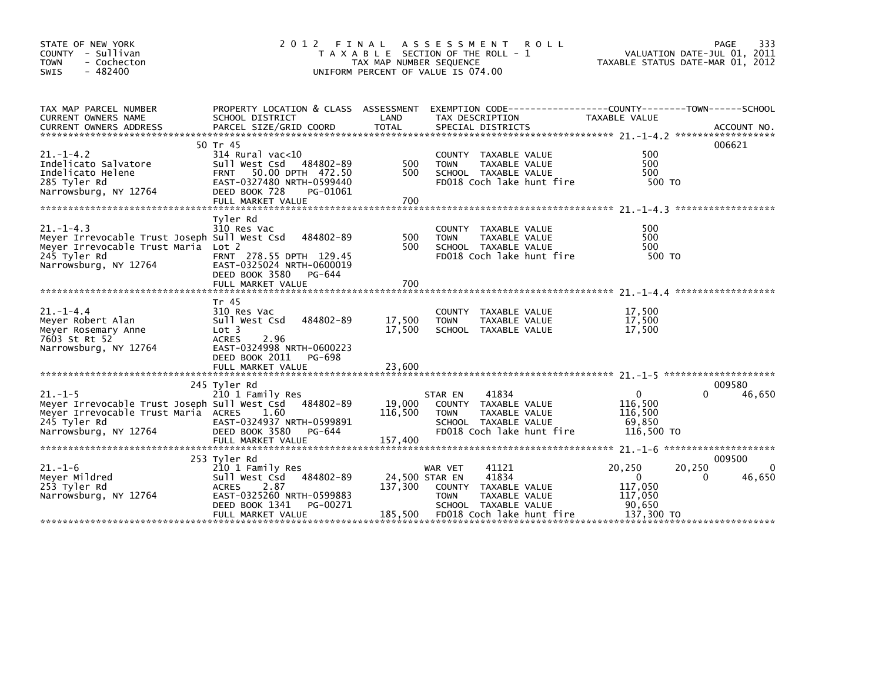| STATE OF NEW YORK<br>COUNTY - Sullivan<br><b>TOWN</b><br>- Cochecton<br>- 482400<br><b>SWIS</b>                                                        | 2 0 1 2                                                                                                                                                             | TAX MAP NUMBER SEQUENCE    | FINAL ASSESSMENT<br><b>ROLL</b><br>T A X A B L E SECTION OF THE ROLL - 1<br>UNIFORM PERCENT OF VALUE IS 074.00                                                     | PAGE<br>VALUATION DATE-JUL 01, 2011<br>TAXABLE STATUS DATE-MAR 01, 2012                   | 333                    |
|--------------------------------------------------------------------------------------------------------------------------------------------------------|---------------------------------------------------------------------------------------------------------------------------------------------------------------------|----------------------------|--------------------------------------------------------------------------------------------------------------------------------------------------------------------|-------------------------------------------------------------------------------------------|------------------------|
| TAX MAP PARCEL NUMBER<br>CURRENT OWNERS NAME                                                                                                           | SCHOOL DISTRICT                                                                                                                                                     | LAND                       | PROPERTY LOCATION & CLASS ASSESSMENT EXEMPTION CODE---------------COUNTY-------TOWN-----SCHOOL<br>TAX DESCRIPTION                                                  | TAXABLE VALUE                                                                             |                        |
| $21. - 1 - 4.2$<br>Indelicato Salvatore<br>Indelicato Helene<br>285 Tyler Rd<br>Narrowsburg, NY 12764                                                  | 50 Tr 45<br>$314$ Rural vac<10<br>Sull West Csd 484802-89<br>FRNT 50.00 DPTH 472.50<br>EAST-0327480 NRTH-0599440<br>DEED BOOK 728<br>PG-01061<br>FULL MARKET VALUE  | 500<br>500<br>700          | COUNTY TAXABLE VALUE<br><b>TOWN</b><br>TAXABLE VALUE<br>SCHOOL TAXABLE VALUE<br>FD018 Coch lake hunt fire                                                          | 006621<br>500<br>500<br>500<br>500 TO                                                     |                        |
| $21. -1 - 4.3$<br>Meyer Irrevocable Trust Joseph Sull West Csd<br>Meyer Irrevocable Trust Maria Lot 2<br>245 Tyler Rd<br>Narrowsburg, NY 12764         | Tyler Rd<br>310 Res Vac<br>484802-89<br>FRNT 278.55 DPTH 129.45<br>EAST-0325024 NRTH-0600019<br>DEED BOOK 3580<br>PG-644                                            | 500<br>500                 | COUNTY TAXABLE VALUE<br><b>TOWN</b><br>TAXABLE VALUE<br>SCHOOL TAXABLE VALUE<br>FD018 Coch lake hunt fire                                                          | 500<br>500<br>500<br>500 TO                                                               |                        |
| $21. -1 - 4.4$<br>Meyer Robert Alan<br>Meyer Rosemary Anne<br>7603 St Rt 52<br>Narrowsburg, NY 12764                                                   | Tr 45<br>310 Res Vac<br>484802-89<br>Sull West Csd<br>Lot 3<br>2.96<br><b>ACRES</b><br>EAST-0324998 NRTH-0600223<br>DEED BOOK 2011<br>PG-698<br>FULL MARKET VALUE   | 17,500<br>17,500<br>23,600 | COUNTY TAXABLE VALUE<br>TAXABLE VALUE<br><b>TOWN</b><br>SCHOOL TAXABLE VALUE                                                                                       | 17,500<br>17.500<br>17,500                                                                |                        |
| $21. -1 - 5$<br>Meyer Irrevocable Trust Joseph Sull West Csd 484802-89<br>Meyer Irrevocable Trust Maria ACRES<br>245 Tyler Rd<br>Narrowsburg, NY 12764 | 245 Tyler Rd<br>210 1 Family Res<br>1.60<br>EAST-0324937 NRTH-0599891<br>DEED BOOK 3580<br>PG-644                                                                   | 19,000<br>116,500          | 41834<br>STAR EN<br><b>COUNTY</b><br>TAXABLE VALUE<br><b>TOWN</b><br>TAXABLE VALUE<br>SCHOOL TAXABLE VALUE<br>FD018 Coch lake hunt fire                            | 009580<br>$\mathbf{0}$<br>0<br>116,500<br>116,500<br>69,850<br>116,500 TO                 | 46,650                 |
| $21 - 1 - 6$<br>Meyer Mildred<br>253 Tyler Rd<br>Narrowsburg, NY 12764                                                                                 | 253 Tyler Rd<br>210 1 Family Res<br>Sull West Csd 484802-89<br><b>ACRES</b><br>2.87<br>EAST-0325260 NRTH-0599883<br>DEED BOOK 1341<br>PG-00271<br>FULL MARKET VALUE | 137,300<br>185,500         | WAR VET<br>41121<br>41834<br>24,500 STAR EN<br><b>COUNTY</b><br>TAXABLE VALUE<br>TAXABLE VALUE<br><b>TOWN</b><br>SCHOOL TAXABLE VALUE<br>FD018 Coch lake hunt fire | 009500<br>20,250<br>20,250<br>$\Omega$<br>0<br>117,050<br>117,050<br>90,650<br>137,300 TO | $\mathbf{0}$<br>46,650 |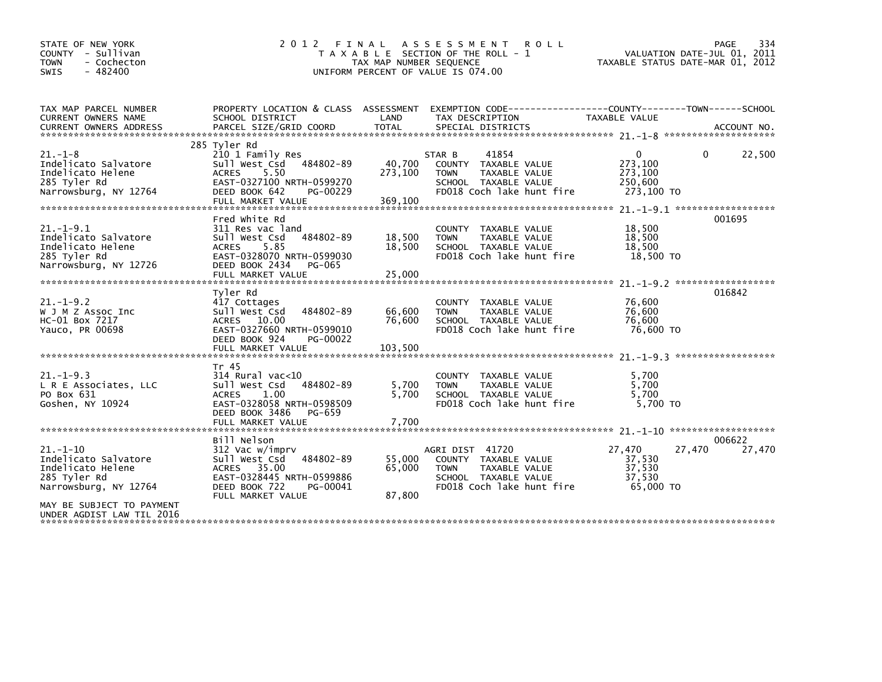| STATE OF NEW YORK<br>COUNTY - Sullivan<br><b>TOWN</b><br>- Cochecton<br>- 482400<br><b>SWIS</b>      | 2 0 1 2<br>FINAL                                                                                                                                                      | TAX MAP NUMBER SEQUENCE      | A S S E S S M E N T<br><b>ROLL</b><br>T A X A B L E SECTION OF THE ROLL - 1<br>UNIFORM PERCENT OF VALUE IS 074.00            |                                                             | 334<br>PAGE<br>VALUATION DATE-JUL 01, 2011<br>TAXABLE STATUS DATE-MAR 01, 2012 |
|------------------------------------------------------------------------------------------------------|-----------------------------------------------------------------------------------------------------------------------------------------------------------------------|------------------------------|------------------------------------------------------------------------------------------------------------------------------|-------------------------------------------------------------|--------------------------------------------------------------------------------|
| TAX MAP PARCEL NUMBER<br>CURRENT OWNERS NAME                                                         | PROPERTY LOCATION & CLASS ASSESSMENT EXEMPTION CODE---------------COUNTY-------TOWN-----SCHOOL<br>SCHOOL DISTRICT                                                     | LAND                         | TAX DESCRIPTION                                                                                                              | TAXABLE VALUE                                               |                                                                                |
|                                                                                                      |                                                                                                                                                                       |                              |                                                                                                                              |                                                             |                                                                                |
| $21. - 1 - 8$<br>Indelicato Salvatore<br>Indelicato Helene<br>285 Tyler Rd<br>Narrowsburg, NY 12764  | 285 Tyler Rd<br>210 1 Family Res<br>Sull West Csd<br>484802-89<br>5.50<br><b>ACRES</b><br>EAST-0327100 NRTH-0599270<br>DEED BOOK 642<br>PG-00229<br>FULL MARKET VALUE | 40,700<br>273,100<br>369,100 | 41854<br>STAR B<br>COUNTY TAXABLE VALUE<br>TAXABLE VALUE<br><b>TOWN</b><br>SCHOOL TAXABLE VALUE<br>FD018 Coch lake hunt fire | $\mathbf{0}$<br>273,100<br>273,100<br>250,600<br>273,100 TO | 22,500<br>0                                                                    |
|                                                                                                      | Fred White Rd                                                                                                                                                         |                              |                                                                                                                              |                                                             | 001695                                                                         |
| $21. -1 - 9.1$<br>Indelicato Salvatore<br>Indelicato Helene<br>285 Tyler Rd<br>Narrowsburg, NY 12726 | 311 Res vac land<br>484802-89<br>Sull West Csd<br><b>ACRES</b><br>5.85<br>EAST-0328070 NRTH-0599030<br>DEED BOOK 2434<br>PG-065                                       | 18,500<br>18,500             | COUNTY TAXABLE VALUE<br>TAXABLE VALUE<br><b>TOWN</b><br>SCHOOL TAXABLE VALUE<br>FD018 Coch lake hunt fire                    | 18,500<br>18,500<br>18,500<br>18,500 TO                     |                                                                                |
|                                                                                                      | Tvler Rd                                                                                                                                                              |                              |                                                                                                                              |                                                             | 016842                                                                         |
| $21. - 1 - 9.2$<br>W J M Z Assoc Inc<br>HC-01 Box 7217<br>Yauco, PR 00698                            | 417 Cottages<br>484802-89<br>Sull West Csd<br>ACRES 10.00<br>EAST-0327660 NRTH-0599010<br>DEED BOOK 924<br>PG-00022                                                   | 66,600<br>76,600             | COUNTY TAXABLE VALUE<br>TAXABLE VALUE<br><b>TOWN</b><br>SCHOOL TAXABLE VALUE<br>FD018 Coch lake hunt fire                    | 76,600<br>76,600<br>76.600<br>76,600 TO                     |                                                                                |
|                                                                                                      |                                                                                                                                                                       |                              |                                                                                                                              |                                                             |                                                                                |
| $21. -1 - 9.3$<br>L R E Associates, LLC<br>PO Box 631<br>Goshen, NY 10924                            | Tr 45<br>$314$ Rural vac<10<br>484802-89<br>Sull West Csd<br>1.00<br><b>ACRES</b><br>EAST-0328058 NRTH-0598509<br>DEED BOOK 3486<br>PG-659                            | 5,700<br>5,700               | COUNTY TAXABLE VALUE<br><b>TOWN</b><br>TAXABLE VALUE<br>SCHOOL TAXABLE VALUE<br>FD018 Coch lake hunt fire                    | 5,700<br>5,700<br>5,700<br>5.700 TO                         |                                                                                |
|                                                                                                      |                                                                                                                                                                       |                              |                                                                                                                              |                                                             |                                                                                |
|                                                                                                      | Bill Nelson                                                                                                                                                           |                              |                                                                                                                              |                                                             | 006622                                                                         |
| $21. - 1 - 10$<br>Indelicato Salvatore<br>Indelicato Helene<br>285 Tyler Rd<br>Narrowsburg, NY 12764 | 312 Vac w/imprv<br>Sull West Csd<br>484802-89<br>ACRES 35.00<br>EAST-0328445 NRTH-0599886<br>DEED BOOK 722<br>PG-00041<br>FULL MARKET VALUE                           | 55,000<br>65,000<br>87,800   | AGRI DIST 41720<br>COUNTY TAXABLE VALUE<br><b>TOWN</b><br>TAXABLE VALUE<br>SCHOOL TAXABLE VALUE<br>FD018 Coch lake hunt fire | 27,470<br>37,530<br>37,530<br>37,530<br>65,000 TO           | 27,470<br>27,470                                                               |
| MAY BE SUBJECT TO PAYMENT<br>UNDER AGDIST LAW TIL 2016                                               |                                                                                                                                                                       |                              |                                                                                                                              |                                                             |                                                                                |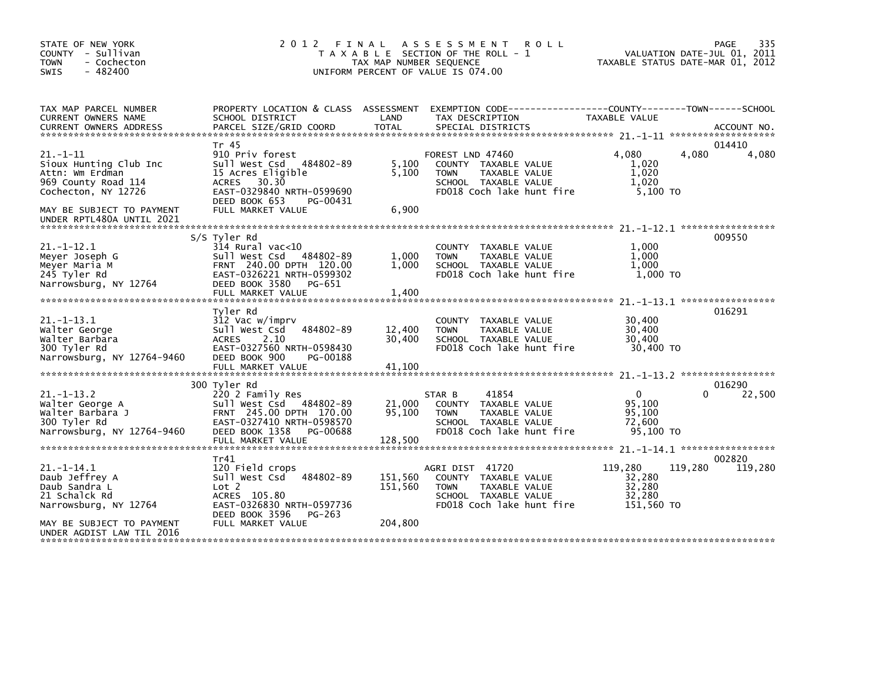| STATE OF NEW YORK<br>COUNTY - Sullivan<br><b>TOWN</b><br>- Cochecton<br>$-482400$<br><b>SWIS</b>                                                                    | 2 0 1 2                                                                                                                                                                             | FINAL<br>TAX MAP NUMBER SEQUENCE | A S S E S S M E N T<br><b>ROLL</b><br>T A X A B L E SECTION OF THE ROLL - 1<br>UNIFORM PERCENT OF VALUE IS 074.00                         | TAXABLE STATUS DATE-MAR 01, 2012                    | 335<br>PAGE<br>VALUATION DATE-JUL 01, 2011 |
|---------------------------------------------------------------------------------------------------------------------------------------------------------------------|-------------------------------------------------------------------------------------------------------------------------------------------------------------------------------------|----------------------------------|-------------------------------------------------------------------------------------------------------------------------------------------|-----------------------------------------------------|--------------------------------------------|
| TAX MAP PARCEL NUMBER<br>CURRENT OWNERS NAME<br><b>CURRENT OWNERS ADDRESS</b>                                                                                       | SCHOOL DISTRICT<br>PARCEL SIZE/GRID COORD                                                                                                                                           | LAND<br><b>TOTAL</b>             | PROPERTY LOCATION & CLASS ASSESSMENT EXEMPTION CODE-----------------COUNTY-------TOWN------SCHOOL<br>TAX DESCRIPTION<br>SPECIAL DISTRICTS | TAXABLE VALUE                                       | ACCOUNT NO.                                |
| $21. - 1 - 11$<br>Sioux Hunting Club Inc<br>Attn: Wm Erdman<br>969 County Road 114<br>Cochecton, NY 12726<br>MAY BE SUBJECT TO PAYMENT<br>UNDER RPTL480A UNTIL 2021 | Tr 45<br>910 Priv forest<br>Sull West Csd<br>484802-89<br>15 Acres Eligible<br><b>ACRES</b><br>30.30<br>EAST-0329840 NRTH-0599690<br>DEED BOOK 653<br>PG-00431<br>FULL MARKET VALUE | 5,100<br>5,100<br>6,900          | FOREST LND 47460<br>COUNTY TAXABLE VALUE<br><b>TAXABLE VALUE</b><br><b>TOWN</b><br>SCHOOL TAXABLE VALUE<br>FD018 Coch lake hunt fire      | 4.080<br>1,020<br>1,020<br>1,020<br>5,100 TO        | 014410<br>4,080<br>4,080                   |
|                                                                                                                                                                     |                                                                                                                                                                                     |                                  |                                                                                                                                           |                                                     |                                            |
| $21. -1 - 12.1$<br>Meyer Joseph G<br>Meyer Maria M<br>245 Tyler Rd<br>Narrowsburg, NY 12764                                                                         | S/S Tyler Rd<br>314 Rural vac<10<br>Sull West Csd<br>484802-89<br>FRNT 240.00 DPTH 120.00<br>EAST-0326221 NRTH-0599302<br>DEED BOOK 3580<br>PG-651<br>FULL MARKET VALUE             | 1,000<br>1,000<br>1,400          | COUNTY TAXABLE VALUE<br>TAXABLE VALUE<br><b>TOWN</b><br>SCHOOL TAXABLE VALUE<br>FD018 Coch lake hunt fire                                 | 1.000<br>1,000<br>1,000<br>1,000 TO                 | 009550                                     |
|                                                                                                                                                                     | Tvler Rd                                                                                                                                                                            |                                  |                                                                                                                                           |                                                     | 016291                                     |
| $21. -1 - 13.1$<br>Walter George<br>Walter Barbara<br>300 Tyler Rd<br>Narrowsburg, NY 12764-9460                                                                    | 312 Vac w/imprv<br>Sull West Csd<br>484802-89<br><b>ACRES</b><br>2.10<br>EAST-0327560 NRTH-0598430<br>DEED BOOK 900<br>PG-00188                                                     | 12,400<br>30,400                 | TAXABLE VALUE<br><b>COUNTY</b><br>TAXABLE VALUE<br><b>TOWN</b><br>SCHOOL TAXABLE VALUE<br>FD018 Coch lake hunt fire                       | 30,400<br>30,400<br>30,400<br>30,400 TO             |                                            |
|                                                                                                                                                                     | FULL MARKET VALUE                                                                                                                                                                   | 41,100                           |                                                                                                                                           |                                                     |                                            |
| $21. - 1 - 13.2$<br>Walter George A<br>Walter Barbara J<br>300 Tyler Rd                                                                                             | 300 Tyler Rd<br>220 2 Family Res<br>Sull West Csd 484802-89<br>FRNT 245.00 DPTH 170.00<br>EAST-0327410 NRTH-0598570                                                                 | 21,000<br>95,100                 | 41854<br>STAR B<br>COUNTY TAXABLE VALUE<br><b>TOWN</b><br>TAXABLE VALUE<br>SCHOOL TAXABLE VALUE                                           | $\Omega$<br>95,100<br>95,100<br>72,600              | 016290<br>22,500<br>0                      |
| Narrowsburg, NY 12764-9460                                                                                                                                          | DEED BOOK 1358<br>PG-00688<br>FULL MARKET VALUE                                                                                                                                     | 128,500                          | FD018 Coch lake hunt fire                                                                                                                 | 95,100 TO                                           |                                            |
|                                                                                                                                                                     | Tr41                                                                                                                                                                                |                                  |                                                                                                                                           |                                                     | 002820                                     |
| $21. -1 - 14.1$<br>Daub Jeffrey A<br>Daub Sandra L<br>21 Schalck Rd<br>Narrowsburg, NY 12764                                                                        | 120 Field crops<br>484802-89<br>Sull West Csd<br>Lot 2<br>ACRES 105.80<br>EAST-0326830 NRTH-0597736                                                                                 | 151,560<br>151,560               | AGRI DIST 41720<br>COUNTY TAXABLE VALUE<br><b>TOWN</b><br>TAXABLE VALUE<br>SCHOOL TAXABLE VALUE<br>FD018 Coch lake hunt fire              | 119,280<br>32,280<br>32,280<br>32,280<br>151,560 TO | 119,280<br>119,280                         |
| MAY BE SUBJECT TO PAYMENT<br>UNDER AGDIST LAW TIL 2016                                                                                                              | DEED BOOK 3596<br>PG-263<br>FULL MARKET VALUE                                                                                                                                       | 204,800                          |                                                                                                                                           |                                                     |                                            |
|                                                                                                                                                                     |                                                                                                                                                                                     |                                  |                                                                                                                                           |                                                     |                                            |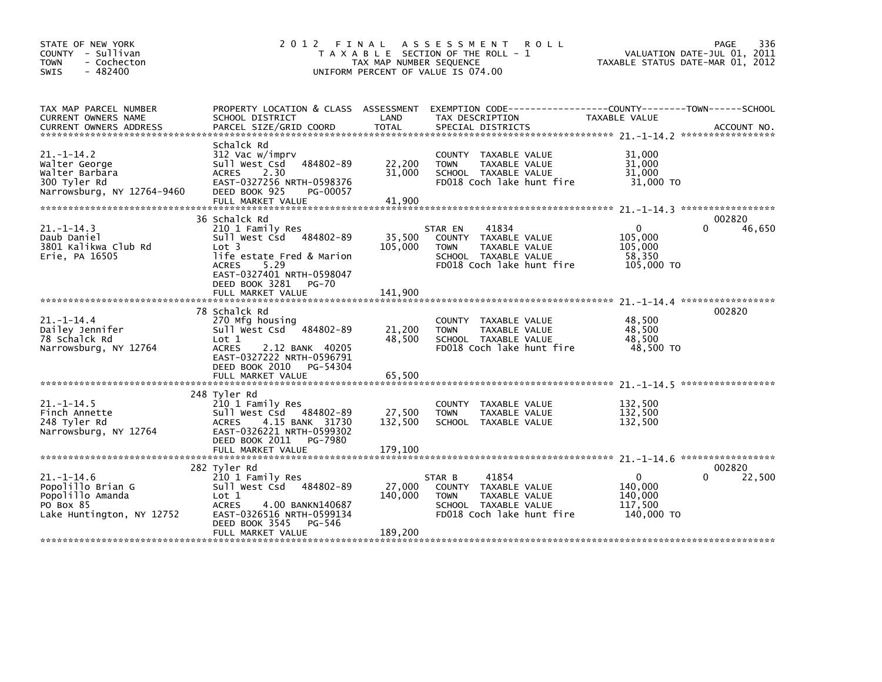| STATE OF NEW YORK<br>COUNTY - Sullivan<br><b>TOWN</b><br>- Cochecton<br>$-482400$<br>SWIS           |                                                                                                                                                                                                                    | TAX MAP NUMBER SEQUENCE      | 2012 FINAL ASSESSMENT<br><b>ROLL</b><br>T A X A B L E SECTION OF THE ROLL - 1<br>UNIFORM PERCENT OF VALUE IS 074.00                    | VALUATION DATE-JUL 01, 2011<br>TAXABLE STATUS DATE-MAR 01, 2012 | 336<br><b>PAGE</b>           |
|-----------------------------------------------------------------------------------------------------|--------------------------------------------------------------------------------------------------------------------------------------------------------------------------------------------------------------------|------------------------------|----------------------------------------------------------------------------------------------------------------------------------------|-----------------------------------------------------------------|------------------------------|
| TAX MAP PARCEL NUMBER<br>CURRENT OWNERS NAME                                                        | SCHOOL DISTRICT                                                                                                                                                                                                    | LAND                         | PROPERTY LOCATION & CLASS ASSESSMENT EXEMPTION CODE---------------COUNTY-------TOWN-----SCHOOL<br>TAX DESCRIPTION                      | TAXABLE VALUE                                                   |                              |
| $21. - 1 - 14.2$<br>Walter George<br>Walter Barbara<br>300 Tyler Rd<br>Narrowsburg, NY 12764-9460   | Schalck Rd<br>312 Vac w/imprv<br>484802-89<br>Sull West Csd<br><b>ACRES</b><br>2.30<br>EAST-0327256 NRTH-0598376<br>DEED BOOK 925<br>PG-00057<br>FULL MARKET VALUE                                                 | 22,200<br>31,000<br>41,900   | TAXABLE VALUE<br><b>COUNTY</b><br>TAXABLE VALUE<br><b>TOWN</b><br>SCHOOL TAXABLE VALUE<br>FD018 Coch lake hunt fire                    | 31.000<br>31,000<br>31,000<br>31,000 TO                         |                              |
| $21. - 1 - 14.3$<br>Daub Daniel<br>3801 Kalikwa Club Rd<br>Erie, PA 16505                           | 36 Schalck Rd<br>210 1 Family Res<br>Sull West Csd 484802-89<br>Lot <sub>3</sub><br>life estate Fred & Marion<br><b>ACRES</b><br>5.29<br>EAST-0327401 NRTH-0598047<br>DEED BOOK 3281<br>PG-70<br>FULL MARKET VALUE | 35,500<br>105,000<br>141,900 | 41834<br>STAR EN<br>COUNTY TAXABLE VALUE<br><b>TOWN</b><br>TAXABLE VALUE<br>SCHOOL TAXABLE VALUE<br>FD018 Coch lake hunt fire          | $\Omega$<br>105.000<br>105,000<br>58,350<br>105,000 TO          | 002820<br>$\Omega$<br>46,650 |
| $21. - 1 - 14.4$<br>Dailey Jennifer<br>78 Schalck Rd<br>Narrowsburg, NY 12764                       | 78 Schalck Rd<br>270 Mfg housing<br>Sull West Csd 484802-89<br>Lot 1<br>2.12 BANK 40205<br><b>ACRES</b><br>EAST-0327222 NRTH-0596791<br>DEED BOOK 2010 PG-54304<br>FULL MARKET VALUE                               | 21,200<br>48.500<br>65,500   | <b>COUNTY</b><br>TAXABLE VALUE<br>TAXABLE VALUE<br><b>TOWN</b><br>SCHOOL TAXABLE VALUE<br>FD018 Coch lake hunt fire                    | 48,500<br>48,500<br>48.500<br>48,500 TO                         | 002820                       |
| $21 - 1 - 14.5$<br>Finch Annette<br>248 Tyler Rd<br>Narrowsburg, NY 12764                           | 248 Tyler Rd<br>210 1 Family Res<br>Sull West Csd 484802-89<br>4.15 BANK 31730<br><b>ACRES</b><br>EAST-0326221 NRTH-0599302<br>DEED BOOK 2011 PG-7980                                                              | 27,500<br>132,500            | <b>COUNTY</b><br>TAXABLE VALUE<br><b>TOWN</b><br>TAXABLE VALUE<br>SCHOOL TAXABLE VALUE                                                 | 132,500<br>132,500<br>132,500                                   |                              |
| $21. - 1 - 14.6$<br>Popolillo Brian G<br>Popolillo Amanda<br>PO Box 85<br>Lake Huntington, NY 12752 | 282 Tyler Rd<br>210 1 Family Res<br>Sull West Csd 484802-89<br>Lot 1<br><b>ACRES</b><br>4.00 BANKN140687<br>EAST-0326516 NRTH-0599134<br>DEED BOOK 3545<br>PG-546<br>FULL MARKET VALUE                             | 27,000<br>140,000<br>189,200 | STAR B<br>41854<br>TAXABLE VALUE<br><b>COUNTY</b><br>TAXABLE VALUE<br><b>TOWN</b><br>SCHOOL TAXABLE VALUE<br>FD018 Coch lake hunt fire | $\mathbf 0$<br>140,000<br>140,000<br>117,500<br>140,000 TO      | 002820<br>22,500<br>0        |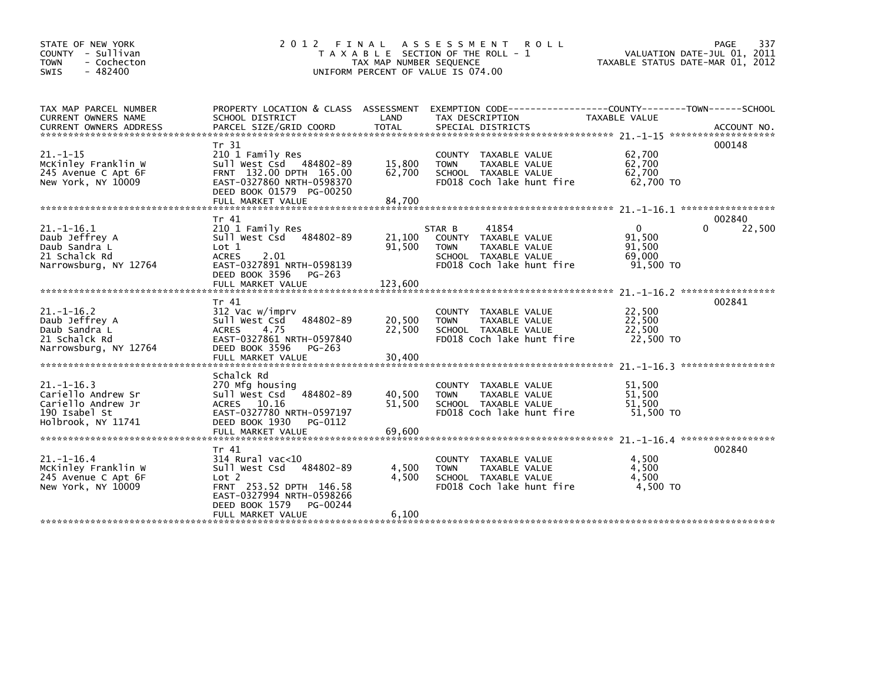| STATE OF NEW YORK<br>COUNTY - Sullivan<br>- Cochecton<br><b>TOWN</b><br>$-482400$<br><b>SWIS</b>    |                                                                                                                                                                                  | TAX MAP NUMBER SEQUENCE | 2012 FINAL ASSESSMENT ROLL<br>T A X A B L E SECTION OF THE ROLL - 1<br>UNIFORM PERCENT OF VALUE IS 074.00                    | VALUATION DATE-JUL 01, 2011<br>TAXABLE STATUS DATE-MAR 01, 2012 | 337<br>PAGE                  |
|-----------------------------------------------------------------------------------------------------|----------------------------------------------------------------------------------------------------------------------------------------------------------------------------------|-------------------------|------------------------------------------------------------------------------------------------------------------------------|-----------------------------------------------------------------|------------------------------|
| TAX MAP PARCEL NUMBER<br>CURRENT OWNERS NAME                                                        | SCHOOL DISTRICT                                                                                                                                                                  | LAND                    | PROPERTY LOCATION & CLASS ASSESSMENT EXEMPTION CODE----------------COUNTY-------TOWN-----SCHOOL<br>TAX DESCRIPTION           | TAXABLE VALUE                                                   |                              |
| $21. - 1 - 15$<br>McKinley Franklin W<br>245 Avenue C Apt 6F<br>New York, NY 10009                  | Tr 31<br>210 1 Family Res<br>Sull West Csd 484802-89<br>FRNT 132.00 DPTH 165.00<br>EAST-0327860 NRTH-0598370<br>DEED BOOK 01579 PG-00250                                         | 15,800<br>62,700        | COUNTY TAXABLE VALUE<br>TAXABLE VALUE<br><b>TOWN</b><br>SCHOOL TAXABLE VALUE<br>FD018 Coch lake hunt fire                    | 62,700<br>62,700<br>62,700<br>62,700 TO                         | 000148                       |
|                                                                                                     |                                                                                                                                                                                  |                         |                                                                                                                              |                                                                 |                              |
| $21. - 1 - 16.1$<br>Daub Jeffrey A<br>Daub Sandra L<br>21 Schalck Rd<br>Narrowsburg, NY 12764       | Tr 41<br>210 1 Family Res<br>Sull West Csd<br>484802-89<br>Lot 1<br>2.01<br><b>ACRES</b><br>EAST-0327891 NRTH-0598139<br>DEED BOOK 3596<br>PG-263                                | 21,100<br>91,500        | 41854<br>STAR B<br>COUNTY TAXABLE VALUE<br><b>TOWN</b><br>TAXABLE VALUE<br>SCHOOL TAXABLE VALUE<br>FD018 Coch lake hunt fire | $\mathbf{0}$<br>91.500<br>91,500<br>69,000<br>91,500 TO         | 002840<br>$\Omega$<br>22,500 |
|                                                                                                     |                                                                                                                                                                                  |                         |                                                                                                                              |                                                                 |                              |
| $21. - 1 - 16.2$<br>Daub Jeffrey A<br>Daub Sandra L<br>21 Schalck Rd<br>Narrowsburg, NY 12764       | Tr 41<br>312 Vac w/imprv<br>484802-89<br>Sull West Csd<br>4.75<br><b>ACRES</b><br>EAST-0327861 NRTH-0597840<br>DEED BOOK 3596<br>PG-263                                          | 20,500<br>22,500        | COUNTY TAXABLE VALUE<br>TAXABLE VALUE<br><b>TOWN</b><br>SCHOOL TAXABLE VALUE<br>FD018 Coch lake hunt fire                    | 22,500<br>22,500<br>22,500<br>22,500 TO                         | 002841                       |
|                                                                                                     | FULL MARKET VALUE                                                                                                                                                                | 30,400                  |                                                                                                                              |                                                                 |                              |
| $21. - 1 - 16.3$<br>Cariello Andrew Sr<br>Cariello Andrew Jr<br>190 Isabel St<br>Holbrook, NY 11741 | Schalck Rd<br>270 Mfg housing<br>Sull West Csd<br>484802-89<br>ACRES 10.16<br>EAST-0327780 NRTH-0597197<br>DEED BOOK 1930<br>PG-0112                                             | 40,500<br>51,500        | COUNTY<br>TAXABLE VALUE<br>TAXABLE VALUE<br><b>TOWN</b><br>SCHOOL TAXABLE VALUE<br>FD018 Coch lake hunt fire                 | 51,500<br>51,500<br>51.500<br>51,500 TO                         |                              |
|                                                                                                     | FULL MARKET VALUE                                                                                                                                                                | 69,600                  |                                                                                                                              |                                                                 |                              |
| $21. - 1 - 16.4$<br>McKinley Franklin W<br>245 Avenue C Apt 6F<br>New York, NY 10009                | Tr 41<br>$314$ Rural vac< $10$<br>484802-89<br>Sull West Csd<br>Lot 2<br>FRNT 253.52 DPTH 146.58<br>EAST-0327994 NRTH-0598266<br>DEED BOOK 1579<br>PG-00244<br>FULL MARKET VALUE | 4,500<br>4,500<br>6,100 | COUNTY TAXABLE VALUE<br><b>TOWN</b><br>TAXABLE VALUE<br>SCHOOL TAXABLE VALUE<br>FD018 Coch lake hunt fire                    | 4,500<br>4,500<br>4.500<br>4,500 TO                             | 002840                       |
|                                                                                                     |                                                                                                                                                                                  |                         |                                                                                                                              |                                                                 |                              |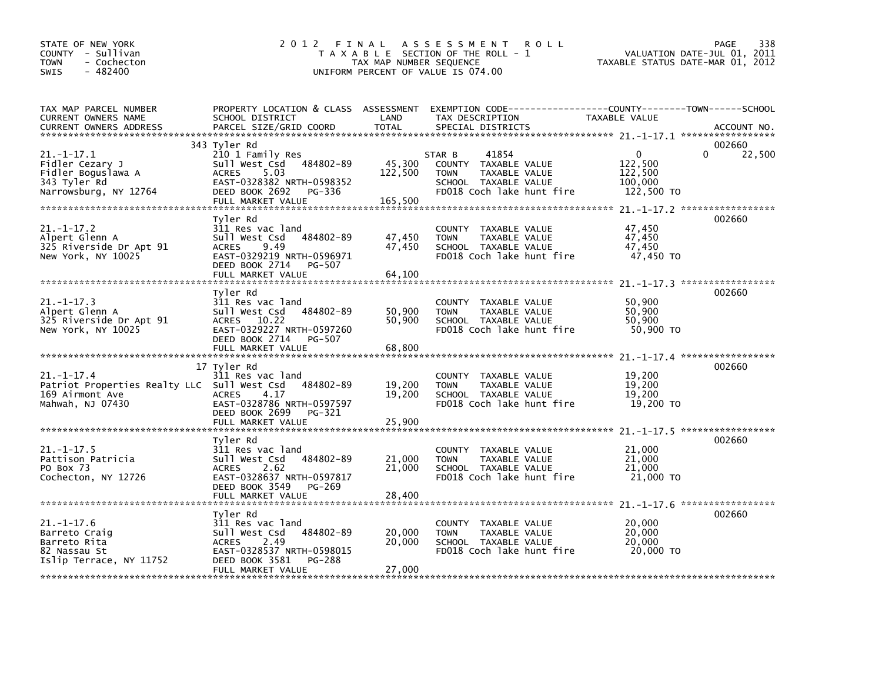| STATE OF NEW YORK<br>COUNTY - Sullivan<br><b>TOWN</b><br>- Cochecton<br>$-482400$<br>SWIS              | 2 0 1 2<br>FINAL                                                                                                                                                     | TAX MAP NUMBER SEQUENCE      | A S S E S S M E N T<br><b>ROLL</b><br>T A X A B L E SECTION OF THE ROLL - 1<br>UNIFORM PERCENT OF VALUE IS 074.00                        | VALUATION DATE-JUL 01, 2011<br>TAXABLE STATUS DATE-MAR 01, 2012                | 338<br><b>PAGE</b> |
|--------------------------------------------------------------------------------------------------------|----------------------------------------------------------------------------------------------------------------------------------------------------------------------|------------------------------|------------------------------------------------------------------------------------------------------------------------------------------|--------------------------------------------------------------------------------|--------------------|
| TAX MAP PARCEL NUMBER<br>CURRENT OWNERS NAME<br><b>CURRENT OWNERS ADDRESS</b>                          | SCHOOL DISTRICT<br>PARCEL SIZE/GRID COORD                                                                                                                            | LAND<br><b>TOTAL</b>         | PROPERTY LOCATION & CLASS ASSESSMENT EXEMPTION CODE----------------COUNTY-------TOWN------SCHOOL<br>TAX DESCRIPTION<br>SPECIAL DISTRICTS | TAXABLE VALUE                                                                  | ACCOUNT NO.        |
| $21. - 1 - 17.1$<br>Fidler Cezary J<br>Fidler Boguslawa A<br>343 Tyler Rd<br>Narrowsburg, NY 12764     | 343 Tyler Rd<br>210 1 Family Res<br>484802-89<br>sull west Csd<br>5.03<br><b>ACRES</b><br>EAST-0328382 NRTH-0598352<br>DEED BOOK 2692<br>PG-336<br>FULL MARKET VALUE | 45,300<br>122,500<br>165,500 | 41854<br>STAR B<br>COUNTY TAXABLE VALUE<br><b>TAXABLE VALUE</b><br><b>TOWN</b><br>SCHOOL TAXABLE VALUE<br>FD018 Coch lake hunt fire      | $\mathbf 0$<br>122,500<br>122,500<br>100,000<br>122,500 TO                     | 002660<br>22,500   |
| $21. - 1 - 17.2$<br>Alpert Glenn A<br>325 Riverside Dr Apt 91<br>New York, NY 10025                    | Tyler Rd<br>311 Res vac land<br>Sull West Csd<br>484802-89<br>9.49<br><b>ACRES</b><br>EAST-0329219 NRTH-0596971<br>DEED BOOK 2714<br>PG-507<br>FULL MARKET VALUE     | 47,450<br>47,450<br>64,100   | COUNTY TAXABLE VALUE<br><b>TAXABLE VALUE</b><br><b>TOWN</b><br>SCHOOL TAXABLE VALUE<br>FD018 Coch lake hunt fire                         | 47,450<br>47,450<br>47,450<br>47,450 TO                                        | 002660             |
| $21. - 1 - 17.3$<br>Alpert Glenn A<br>325 Riverside Dr Apt 91<br>New York, NY 10025                    | Tyler Rd<br>311 Res vac land<br>Sull West Csd<br>484802-89<br>ACRES 10.22<br>EAST-0329227 NRTH-0597260<br>DEED BOOK 2714<br>PG-507                                   | 50,900<br>50,900             | COUNTY TAXABLE VALUE<br>TAXABLE VALUE<br><b>TOWN</b><br>SCHOOL TAXABLE VALUE<br>FD018 Coch lake hunt fire                                | $21. - 1 - 17.3$ ******************<br>50,900<br>50,900<br>50,900<br>50,900 TO | 002660             |
|                                                                                                        | FULL MARKET VALUE                                                                                                                                                    | 68,800                       |                                                                                                                                          | 21. -1-17. 4 ******************                                                |                    |
| $21. - 1 - 17.4$<br>Patriot Properties Realty LLC Sull West Csd<br>169 Airmont Ave<br>Mahwah, NJ 07430 | 17 Tyler Rd<br>311 Res vac land<br>484802-89<br>4.17<br><b>ACRES</b><br>EAST-0328786 NRTH-0597597<br>DEED BOOK 2699<br>PG-321                                        | 19,200<br>19,200             | COUNTY TAXABLE VALUE<br><b>TOWN</b><br>TAXABLE VALUE<br>SCHOOL TAXABLE VALUE<br>FD018 Coch lake hunt fire                                | 19,200<br>19,200<br>19,200<br>19,200 TO                                        | 002660             |
|                                                                                                        | FULL MARKET VALUE                                                                                                                                                    | 25,900                       |                                                                                                                                          | 21. -1-17.5 ******************                                                 |                    |
| $21. -1 - 17.5$<br>Pattison Patricia<br>PO Box 73<br>Cochecton, NY 12726                               | Tvler Rd<br>311 Res vac land<br>484802-89<br>Sull West Csd<br><b>ACRES</b><br>2.62<br>EAST-0328637 NRTH-0597817<br>DEED BOOK 3549<br>PG-269<br>FULL MARKET VALUE     | 21,000<br>21,000<br>28,400   | COUNTY TAXABLE VALUE<br><b>TOWN</b><br>TAXABLE VALUE<br>SCHOOL TAXABLE VALUE<br>FD018 Coch lake hunt fire                                | 21,000<br>21,000<br>21,000<br>21,000 TO                                        | 002660             |
|                                                                                                        |                                                                                                                                                                      |                              |                                                                                                                                          | 21. -1-17.6 ******************                                                 |                    |
| $21. - 1 - 17.6$<br>Barreto Craig<br>Barreto Rita<br>82 Nassau St<br>Islip Terrace, NY 11752           | Tyler Rd<br>311 Res vac land<br>484802-89<br>Sull West Csd<br>2.49<br><b>ACRES</b><br>EAST-0328537 NRTH-0598015<br>DEED BOOK 3581<br>PG-288                          | 20,000<br>20,000             | COUNTY TAXABLE VALUE<br><b>TOWN</b><br>TAXABLE VALUE<br>SCHOOL TAXABLE VALUE<br>FD018 Coch lake hunt fire                                | 20,000<br>20,000<br>20,000<br>20,000 TO                                        | 002660             |
|                                                                                                        | FULL MARKET VALUE                                                                                                                                                    | 27,000                       |                                                                                                                                          |                                                                                |                    |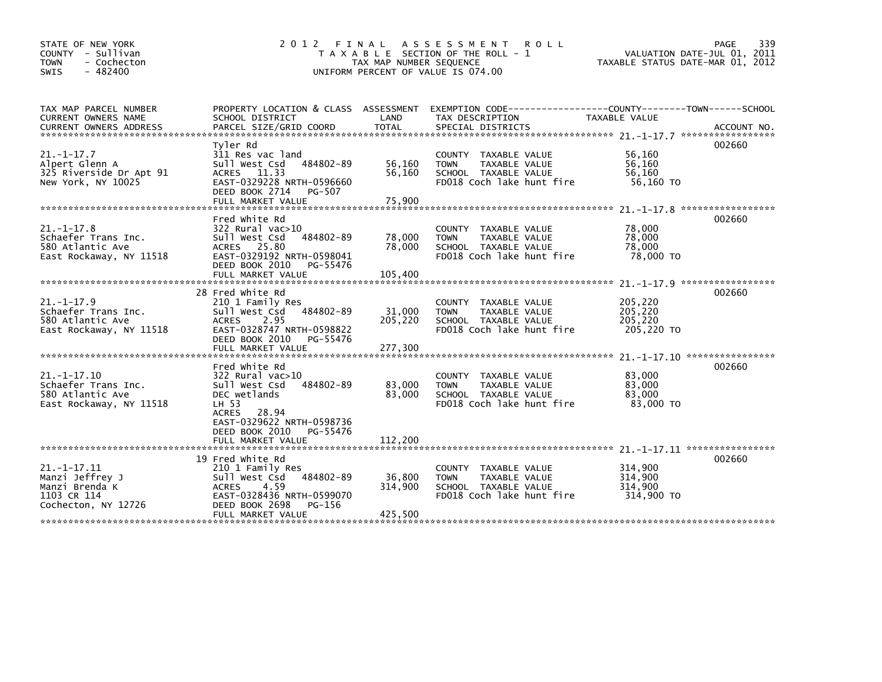| STATE OF NEW YORK<br>COUNTY - Sullivan<br>- Cochecton<br><b>TOWN</b><br>- 482400<br><b>SWIS</b> | 2 0 1 2<br>FINAL                                                                                                                                                                                  | TAX MAP NUMBER SEQUENCE      | A S S E S S M E N T<br><b>ROLL</b><br>T A X A B L E SECTION OF THE ROLL - 1<br>UNIFORM PERCENT OF VALUE IS 074.00 | VALUATION DATE-JUL 01, 2011<br>TAXABLE STATUS DATE-MAR 01, 2012                                   | 339<br>PAGE                 |
|-------------------------------------------------------------------------------------------------|---------------------------------------------------------------------------------------------------------------------------------------------------------------------------------------------------|------------------------------|-------------------------------------------------------------------------------------------------------------------|---------------------------------------------------------------------------------------------------|-----------------------------|
| TAX MAP PARCEL NUMBER<br><b>CURRENT OWNERS NAME</b>                                             | PROPERTY LOCATION & CLASS ASSESSMENT<br>SCHOOL DISTRICT                                                                                                                                           | LAND                         | EXEMPTION CODE-----------------COUNTY-------TOWN------SCHOOL<br>TAX DESCRIPTION                                   | TAXABLE VALUE                                                                                     |                             |
| $21. - 1 - 17.7$<br>Alpert Glenn A<br>325 Riverside Dr Apt 91<br>New York, NY 10025             | Tyler Rd<br>311 Res vac land<br>Sull West Csd<br>484802-89<br>ACRES 11.33<br>EAST-0329228 NRTH-0596660<br>DEED BOOK 2714<br>PG-507<br>FULL MARKET VALUE                                           | 56,160<br>56,160<br>75,900   | COUNTY TAXABLE VALUE<br>TAXABLE VALUE<br><b>TOWN</b><br>SCHOOL TAXABLE VALUE<br>FD018 Coch lake hunt fire         | 56,160<br>56,160<br>56,160<br>56,160 TO                                                           | 002660                      |
| $21. -1 - 17.8$<br>Schaefer Trans Inc.<br>580 Atlantic Ave<br>East Rockaway, NY 11518           | Fred White Rd<br>322 Rural vac>10<br>484802-89<br>Sull West Csd<br>ACRES 25.80<br>EAST-0329192 NRTH-0598041<br>DEED BOOK 2010<br>PG-55476<br>FULL MARKET VALUE                                    | 78,000<br>78,000<br>105,400  | COUNTY TAXABLE VALUE<br>TAXABLE VALUE<br><b>TOWN</b><br>SCHOOL TAXABLE VALUE<br>FD018 Coch lake hunt fire         | $21 - 1 - 17.8$<br>78,000<br>78,000<br>78,000<br>78,000 TO<br>$21. - 1 - 17.9$ ****************** | *****************<br>002660 |
| $21. - 1 - 17.9$<br>Schaefer Trans Inc.<br>580 Atlantic Ave<br>East Rockaway, NY 11518          | 28 Fred White Rd<br>210 1 Family Res<br>484802-89<br>Sull West Csd<br>2.95<br><b>ACRES</b><br>EAST-0328747 NRTH-0598822<br>DEED BOOK 2010<br>PG-55476                                             | 31,000<br>205,220            | COUNTY TAXABLE VALUE<br><b>TOWN</b><br>TAXABLE VALUE<br>SCHOOL TAXABLE VALUE<br>FD018 Coch lake hunt fire         | 205,220<br>205,220<br>205,220<br>205,220 TO                                                       | 002660                      |
| $21. - 1 - 17.10$<br>Schaefer Trans Inc.<br>580 Atlantic Ave<br>East Rockaway, NY 11518         | Fred White Rd<br>322 Rural vac>10<br>Sull West Csd<br>484802-89<br>DEC wetlands<br>LH 53<br>28.94<br><b>ACRES</b><br>EAST-0329622 NRTH-0598736<br>DEED BOOK 2010<br>PG-55476<br>FULL MARKET VALUE | 83,000<br>83,000<br>112,200  | COUNTY TAXABLE VALUE<br><b>TOWN</b><br>TAXABLE VALUE<br>SCHOOL TAXABLE VALUE<br>FD018 Coch lake hunt fire         | 83,000<br>83,000<br>83,000<br>83,000 TO                                                           | 002660                      |
| $21. -1 - 17.11$<br>Manzi Jeffrey J<br>Manzi Brenda K<br>1103 CR 114<br>Cochecton, NY 12726     | 19 Fred White Rd<br>210 1 Family Res<br>484802-89<br>Sull West Csd<br><b>ACRES</b><br>4.59<br>EAST-0328436 NRTH-0599070<br>DEED BOOK 2698<br>PG-156<br>FULL MARKET VALUE                          | 36,800<br>314,900<br>425,500 | COUNTY TAXABLE VALUE<br><b>TOWN</b><br>TAXABLE VALUE<br>SCHOOL TAXABLE VALUE<br>FD018 Coch lake hunt fire         | 314,900<br>314,900<br>314,900<br>314,900 TO                                                       | 002660                      |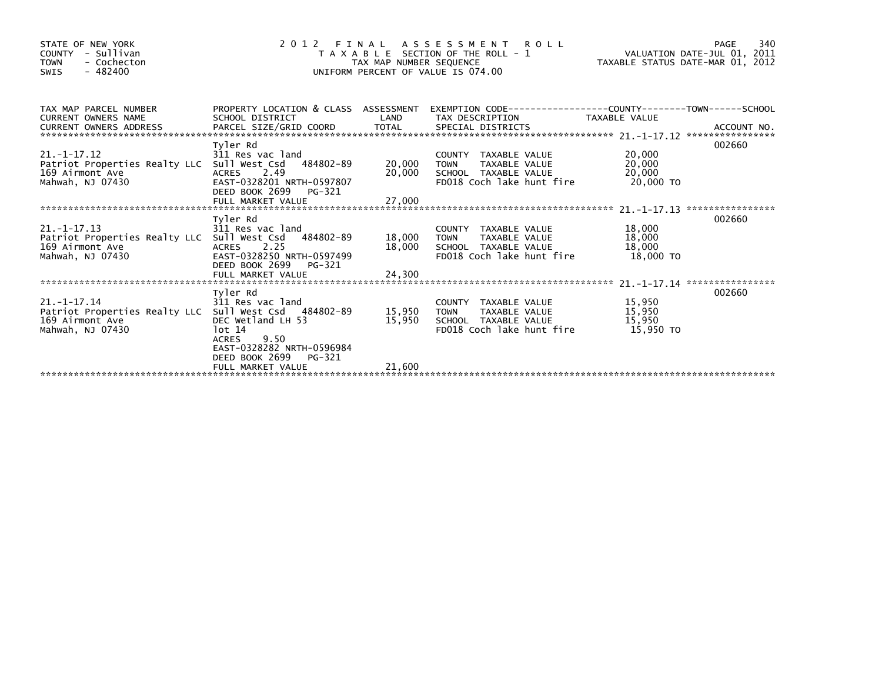| STATE OF NEW YORK<br>COUNTY - Sullivan<br>- Cochecton<br><b>TOWN</b><br>$-482400$<br><b>SWIS</b>                      | 2012                                                                          | TAX MAP NUMBER SEQUENCE | FINAL ASSESSMENT ROLL<br>T A X A B L E SECTION OF THE ROLL - 1<br>UNIFORM PERCENT OF VALUE IS 074.00               | VALUATION DATE-JUL 01, 2011<br>TAXABLE STATUS DATE-MAR 01, 2012 | 340<br>PAGE |
|-----------------------------------------------------------------------------------------------------------------------|-------------------------------------------------------------------------------|-------------------------|--------------------------------------------------------------------------------------------------------------------|-----------------------------------------------------------------|-------------|
| TAX MAP PARCEL NUMBER<br><b>CURRENT OWNERS NAME</b>                                                                   | SCHOOL DISTRICT                                                               | LAND                    | PROPERTY LOCATION & CLASS ASSESSMENT EXEMPTION CODE----------------COUNTY-------TOWN-----SCHOOL<br>TAX DESCRIPTION | TAXABLE VALUE                                                   |             |
|                                                                                                                       |                                                                               |                         |                                                                                                                    |                                                                 |             |
|                                                                                                                       | Tyler Rd                                                                      |                         |                                                                                                                    |                                                                 | 002660      |
| $21. -1 - 17.12$<br>Patriot Properties Realty LLC Sull West Csd 484802-89<br>.<br>169 Airmont Ave<br>Mahwah. NJ 07430 | 311 Res vac land<br>ACRES 2.49<br>EAST-0328201 NRTH-0597807                   | 20,000<br>20,000        | COUNTY TAXABLE VALUE<br>TAXABLE VALUE<br><b>TOWN</b><br>SCHOOL TAXABLE VALUE<br>FD018 Coch lake hunt fire          | 20,000<br>20,000<br>20,000<br>20.000 TO                         |             |
|                                                                                                                       | DEED BOOK 2699 PG-321                                                         | 27,000                  |                                                                                                                    |                                                                 |             |
|                                                                                                                       | FULL MARKET VALUE                                                             |                         |                                                                                                                    |                                                                 |             |
| $21. -1 - 17.13$                                                                                                      | Tyler Rd<br>311 Res vac land                                                  |                         | COUNTY TAXABLE VALUE                                                                                               | 18,000                                                          | 002660      |
| Patriot Properties Realty LLC Sull West Csd 484802-89                                                                 |                                                                               | 18.000                  | TAXABLE VALUE<br>TOWN                                                                                              | 18,000                                                          |             |
| 169 Airmont Ave                                                                                                       | ACRES 2.25                                                                    | 18,000                  | SCHOOL TAXABLE VALUE                                                                                               | 18,000                                                          |             |
| Mahwah, NJ 07430                                                                                                      | EAST-0328250 NRTH-0597499<br>DEED BOOK 2699<br>PG-321                         |                         | FD018 Coch lake hunt fire                                                                                          | 18,000 TO                                                       |             |
|                                                                                                                       |                                                                               |                         |                                                                                                                    |                                                                 |             |
|                                                                                                                       | Tyler Rd                                                                      |                         |                                                                                                                    |                                                                 | 002660      |
| $21. -1 - 17.14$<br>Patriot Properties Realty LLC Sull West Csd 484802-89                                             | 311 Res vac land                                                              | 15,950                  | COUNTY TAXABLE VALUE<br>TAXABLE VALUE<br>TOWN                                                                      | 15,950<br>15,950                                                |             |
| 169 Airmont Ave                                                                                                       | DEC Wetland LH 53                                                             | 15,950                  | SCHOOL TAXABLE VALUE                                                                                               | 15,950                                                          |             |
| Mahwah, NJ 07430                                                                                                      | lot 14<br>9.50<br>ACRES<br>EAST-0328282 NRTH-0596984<br>DEED BOOK 2699 PG-321 |                         | FD018 Coch lake hunt fire                                                                                          | 15.950 TO                                                       |             |
|                                                                                                                       | FULL MARKET VALUE                                                             | 21,600                  |                                                                                                                    |                                                                 |             |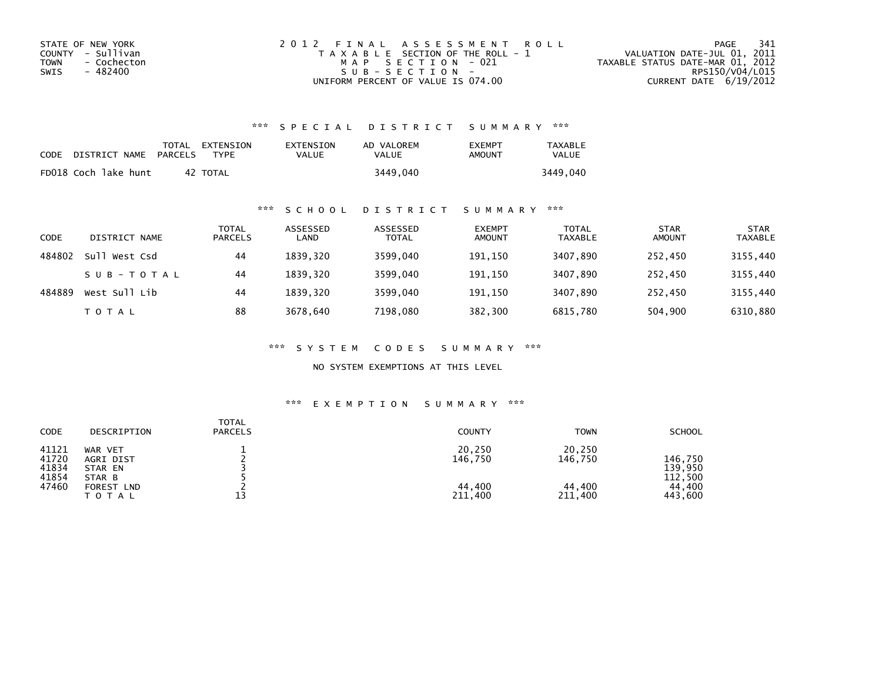| STATE OF NEW YORK   | 2012 FINAL ASSESSMENT ROLL            | -341<br>PAGE                     |
|---------------------|---------------------------------------|----------------------------------|
| COUNTY - Sullivan   | T A X A B L E SECTION OF THE ROLL - 1 | VALUATION DATE-JUL 01, 2011      |
| - Cochecton<br>TOWN | MAP SECTION - 021                     | TAXABLE STATUS DATE-MAR 01, 2012 |
| - 482400<br>SWIS    | SUB-SECTION-                          | RPS150/V04/L015                  |
|                     | UNIFORM PERCENT OF VALUE IS 074.00    | CURRENT DATE 6/19/2012           |

## \*\*\* S P E C I A L D I S T R I C T S U M M A R Y \*\*\*

| CODE | DISTRICT NAME        | PARCELS | TOTAL EXTENSION<br><b>TYPF</b> | EXTENSION<br>VALUE | AD VALOREM<br>VALUE | <b>EXEMPT</b><br>AMOUNT | <b>TAXABLE</b><br><b>VALUE</b> |
|------|----------------------|---------|--------------------------------|--------------------|---------------------|-------------------------|--------------------------------|
|      | FD018 Coch lake hunt | 42      | TOTAL                          |                    | 3449,040            |                         | 3449.040                       |

### \*\*\* S C H O O L D I S T R I C T S U M M A R Y \*\*\*

| CODE   | DISTRICT NAME    | TOTAL<br><b>PARCELS</b> | ASSESSED<br>LAND | ASSESSED<br><b>TOTAL</b> | <b>EXEMPT</b><br><b>AMOUNT</b> | <b>TOTAL</b><br><b>TAXABLE</b> | <b>STAR</b><br><b>AMOUNT</b> | <b>STAR</b><br>TAXABLE |
|--------|------------------|-------------------------|------------------|--------------------------|--------------------------------|--------------------------------|------------------------------|------------------------|
| 484802 | sull<br>West Csd | 44                      | 1839.320         | 3599.040                 | 191,150                        | 3407.890                       | 252.450                      | 3155,440               |
|        | SUB-TOTAL        | 44                      | 1839.320         | 3599.040                 | 191.150                        | 3407.890                       | 252.450                      | 3155,440               |
| 484889 | West Sull Lib    | 44                      | 1839.320         | 3599,040                 | 191,150                        | 3407,890                       | 252,450                      | 3155,440               |
|        | T O T A L        | 88                      | 3678,640         | 7198,080                 | 382,300                        | 6815,780                       | 504,900                      | 6310,880               |

\*\*\* S Y S T E M C O D E S S U M M A R Y \*\*\*

NO SYSTEM EXEMPTIONS AT THIS LEVEL

## \*\*\* E X E M P T I O N S U M M A R Y \*\*\*

| <b>TOTAL</b><br><b>CODE</b><br><b>PARCELS</b><br>DESCRIPTION                                                      | <b>COUNTY</b>                                | <b>TOWN</b>                            | <b>SCHOOL</b>                                      |
|-------------------------------------------------------------------------------------------------------------------|----------------------------------------------|----------------------------------------|----------------------------------------------------|
| 41121<br>WAR VET<br>41720<br>AGRI DIST<br>41834<br>STAR EN<br>41854<br>STAR B<br>47460<br>FOREST LND<br>T O T A L | 20,250<br>146,750<br>44,400<br>13<br>211,400 | 20,250<br>146,750<br>44,400<br>211,400 | 146.750<br>139,950<br>112,500<br>44,400<br>443,600 |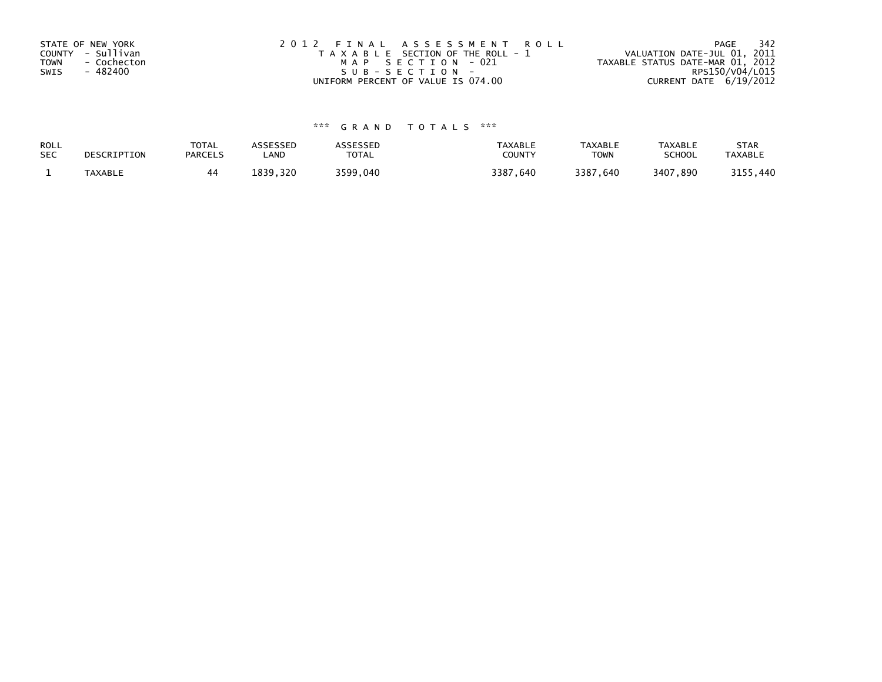| STATE OF NEW YORK          | 2012 FINAL ASSESSMENT ROLL            | 342<br>PAGE                      |
|----------------------------|---------------------------------------|----------------------------------|
| COUNTY - Sullivan          | T A X A B L E SECTION OF THE ROLL - 1 | VALUATION DATE-JUL 01, 2011      |
| <b>TOWN</b><br>- Cochecton | MAP SECTION - 021                     | TAXABLE STATUS DATE-MAR 01, 2012 |
| - 482400<br>SWIS           | SUB-SECTION-                          | RPS150/V04/L015                  |
|                            | UNIFORM PERCENT OF VALUE IS 074.00    | CURRENT DATE 6/19/2012           |

# \*\*\* G R A N D T O T A L S \*\*\*

| ROLL       | DESCRIPTION | <b>TOTAL</b>   | <b>ASSESSED</b> | <b>ASSESSED</b> | <b>TAXABLE</b> | <b>TAXABLE</b> | TAXABLE       | <b>STAR</b>    |
|------------|-------------|----------------|-----------------|-----------------|----------------|----------------|---------------|----------------|
| <b>SEC</b> |             | <b>PARCELS</b> | LAND            | <b>TOTAL</b>    | COUNTY         | TOWN           | <b>SCHOOL</b> | <b>TAXABLE</b> |
|            | TAXABLE     |                | 1839.320        | 3599.040        | 3387,640       | 3387,640       | 3407,890      | 3155,440       |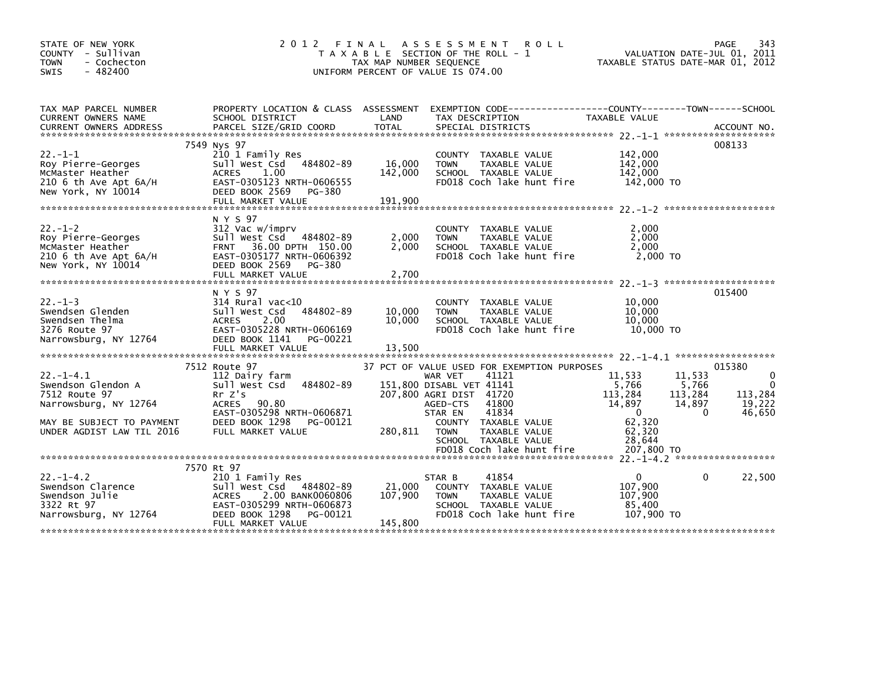| STATE OF NEW YORK<br>COUNTY - Sullivan<br><b>TOWN</b><br>- Cochecton<br>$-482400$<br><b>SWIS</b>                                          |                                                                                                                                                                        | TAX MAP NUMBER SEQUENCE      | 2012 FINAL ASSESSMENT ROLL<br>T A X A B L E SECTION OF THE ROLL - 1<br>UNIFORM PERCENT OF VALUE IS 074.00                                                                                                                                       | VALUATION DATE-JUL 01, 2011<br>TAXABLE STATUS DATE-MAR 01, 2012                                                                        | PAGE<br>343                                                      |
|-------------------------------------------------------------------------------------------------------------------------------------------|------------------------------------------------------------------------------------------------------------------------------------------------------------------------|------------------------------|-------------------------------------------------------------------------------------------------------------------------------------------------------------------------------------------------------------------------------------------------|----------------------------------------------------------------------------------------------------------------------------------------|------------------------------------------------------------------|
| TAX MAP PARCEL NUMBER<br>CURRENT OWNERS NAME                                                                                              | SCHOOL DISTRICT                                                                                                                                                        | LAND                         | PROPERTY LOCATION & CLASS ASSESSMENT EXEMPTION CODE----------------COUNTY-------TOWN-----SCHOOL<br>TAX DESCRIPTION                                                                                                                              | TAXABLE VALUE                                                                                                                          |                                                                  |
| $22. -1 - 1$<br>Roy Pierre-Georges<br>McMaster Heather<br>210 6 th Ave Apt 6A/H<br>New York, NY 10014                                     | 7549 Nys 97<br>210 1 Family Res<br>484802-89<br>Sull West Csd<br><b>ACRES</b><br>1.00<br>EAST-0305123 NRTH-0606555<br>DEED BOOK 2569<br>PG-380<br>FULL MARKET VALUE    | 16,000<br>142,000<br>191,900 | COUNTY TAXABLE VALUE<br>TAXABLE VALUE<br><b>TOWN</b><br>SCHOOL TAXABLE VALUE<br>FD018 Coch lake hunt fire                                                                                                                                       | 142,000<br>142,000<br>142,000<br>142,000 TO                                                                                            | 008133                                                           |
| $22. - 1 - 2$<br>Roy Pierre-Georges<br>McMaster Heather<br>$210$ 6 th Ave Apt $6A/H$<br>New York, NY 10014                                | N Y S 97<br>312 Vac w/imprv<br>Sull West Csd 484802-89<br>FRNT 36.00 DPTH 150.00<br>EAST-0305177 NRTH-0606392<br>DEED BOOK 2569<br>PG-380<br>FULL MARKET VALUE         | 2,000<br>2,000<br>2,700      | COUNTY TAXABLE VALUE<br>TAXABLE VALUE<br><b>TOWN</b><br>SCHOOL TAXABLE VALUE<br>FD018 Coch lake hunt fire                                                                                                                                       | 2,000<br>2,000<br>2.000<br>2,000 TO                                                                                                    |                                                                  |
| $22. -1 - 3$<br>Swendsen Glenden<br>Swendsen Thelma<br>3276 Route 97<br>Narrowsburg, NY 12764                                             | N Y S 97<br>$314$ Rural vac<10<br>484802-89<br>Sull West Csd<br>2.00<br>ACRES<br>EAST-0305228 NRTH-0606169<br>DEED BOOK 1141<br>PG-00221<br>FULL MARKET VALUE          | 10,000<br>10,000<br>13,500   | COUNTY TAXABLE VALUE<br>TAXABLE VALUE<br><b>TOWN</b><br>SCHOOL TAXABLE VALUE<br>FD018 Coch lake hunt fire                                                                                                                                       | 10,000<br>10,000<br>10.000<br>10,000 TO                                                                                                | 015400                                                           |
|                                                                                                                                           |                                                                                                                                                                        |                              |                                                                                                                                                                                                                                                 |                                                                                                                                        |                                                                  |
| $22. - 1 - 4.1$<br>Swendson Glendon A<br>7512 Route 97<br>Narrowsburg, NY 12764<br>MAY BE SUBJECT TO PAYMENT<br>UNDER AGDIST LAW TIL 2016 | 7512 Route 97<br>112 Dairy farm<br>484802-89<br>Sull West Csd<br>Rr Z's<br>ACRES 90.80<br>EAST-0305298 NRTH-0606871<br>DEED BOOK 1298<br>PG-00121<br>FULL MARKET VALUE | 280,811                      | 37 PCT OF VALUE USED FOR EXEMPTION PURPOSES<br>41121<br>WAR VET<br>151,800 DISABL VET 41141<br>207,800 AGRI DIST 41720<br>41800<br>AGED-CTS<br>41834<br>STAR EN<br>COUNTY TAXABLE VALUE<br>TAXABLE VALUE<br><b>TOWN</b><br>SCHOOL TAXABLE VALUE | 11,533<br>11,533<br>5.766<br>5,766<br>113,284<br>113,284<br>14,897<br>14,897<br>$\mathbf{0}$<br>$\Omega$<br>62,320<br>62,320<br>28,644 | 015380<br>$\mathbf 0$<br>$\Omega$<br>113,284<br>19,222<br>46.650 |
|                                                                                                                                           |                                                                                                                                                                        |                              | FD018 Coch lake hunt fire                                                                                                                                                                                                                       | 207,800 TO                                                                                                                             |                                                                  |
| $22. -1 - 4.2$<br>Swendson Clarence<br>Swendson Julie<br>3322 Rt 97<br>Narrowsburg, NY 12764                                              | 7570 Rt 97<br>210 1 Family Res<br>Sull West Csd 484802-89<br>2.00 BANK0060806<br>ACRES<br>EAST-0305299 NRTH-0606873<br>DEED BOOK 1298<br>PG-00121<br>FULL MARKET VALUE | 21,000<br>107,900<br>145,800 | 41854<br>STAR B<br>COUNTY TAXABLE VALUE<br>TAXABLE VALUE<br><b>TOWN</b><br>SCHOOL TAXABLE VALUE<br>FD018 Coch lake hunt fire                                                                                                                    | $\Omega$<br>107,900<br>107,900<br>85,400<br>107,900 TO                                                                                 | 22,500                                                           |
|                                                                                                                                           |                                                                                                                                                                        |                              |                                                                                                                                                                                                                                                 |                                                                                                                                        |                                                                  |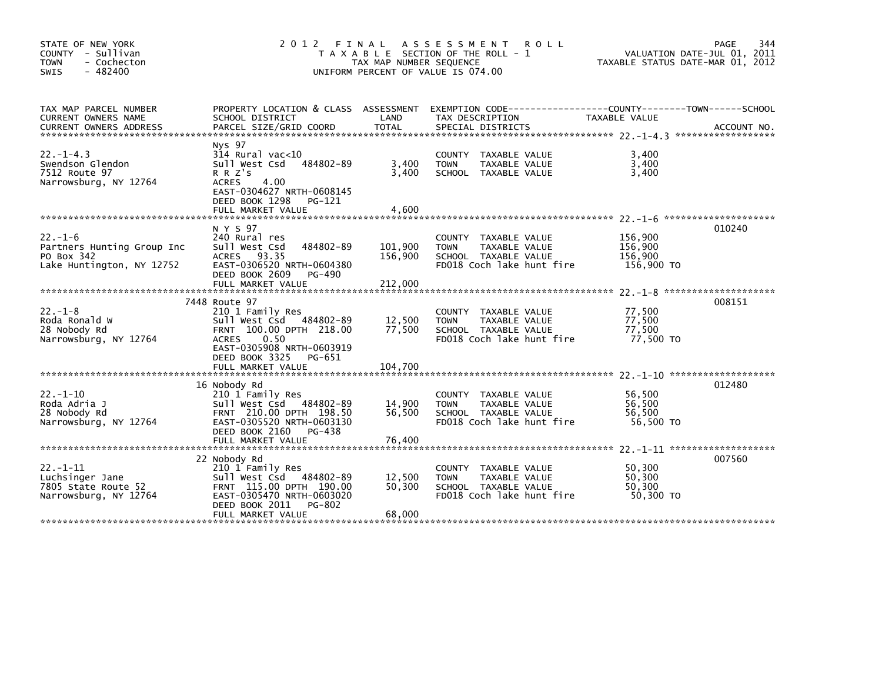| STATE OF NEW YORK<br>COUNTY - Sullivan<br>- Cochecton<br><b>TOWN</b><br>$-482400$<br><b>SWIS</b> | 2 0 1 2                                                                                                                                                                   | FINAL<br>TAX MAP NUMBER SEQUENCE | A S S E S S M E N T<br><b>ROLL</b><br>T A X A B L E SECTION OF THE ROLL - 1<br>UNIFORM PERCENT OF VALUE IS 074.00 |                                             | 344<br>PAGE<br>VALUATION DATE-JUL 01, 2011<br>TAXABLE STATUS DATE-MAR 01, 2012 |
|--------------------------------------------------------------------------------------------------|---------------------------------------------------------------------------------------------------------------------------------------------------------------------------|----------------------------------|-------------------------------------------------------------------------------------------------------------------|---------------------------------------------|--------------------------------------------------------------------------------|
| TAX MAP PARCEL NUMBER<br>CURRENT OWNERS NAME<br><b>CURRENT OWNERS ADDRESS</b>                    | PROPERTY LOCATION & CLASS ASSESSMENT<br>SCHOOL DISTRICT<br>PARCEL SIZE/GRID COORD                                                                                         | LAND<br><b>TOTAL</b>             | TAX DESCRIPTION<br>SPECIAL DISTRICTS                                                                              | TAXABLE VALUE                               | ACCOUNT NO.                                                                    |
| $22. -1 - 4.3$<br>Swendson Glendon<br>7512 Route 97<br>Narrowsburg, NY 12764                     | Nys 97<br>314 Rural vac<10<br>484802-89<br>Sull West Csd<br>R R Z's<br>4.00<br><b>ACRES</b><br>EAST-0304627 NRTH-0608145<br>DEED BOOK 1298<br>PG-121<br>FULL MARKET VALUE | 3,400<br>3,400<br>4,600          | COUNTY TAXABLE VALUE<br><b>TOWN</b><br>TAXABLE VALUE<br>SCHOOL TAXABLE VALUE                                      | 3,400<br>3,400<br>3,400                     |                                                                                |
|                                                                                                  |                                                                                                                                                                           |                                  |                                                                                                                   |                                             |                                                                                |
| $22. - 1 - 6$<br>Partners Hunting Group Inc<br>PO Box 342<br>Lake Huntington, NY 12752           | N Y S 97<br>240 Rural res<br>484802-89<br>Sull West Csd<br>ACRES 93.35<br>EAST-0306520 NRTH-0604380<br>DEED BOOK 2609<br>PG-490<br>FULL MARKET VALUE                      | 101,900<br>156,900<br>212,000    | COUNTY TAXABLE VALUE<br>TAXABLE VALUE<br><b>TOWN</b><br>SCHOOL TAXABLE VALUE<br>FD018 Coch lake hunt fire         | 156,900<br>156,900<br>156,900<br>156,900 TO | 010240                                                                         |
|                                                                                                  | 7448 Route 97                                                                                                                                                             |                                  |                                                                                                                   |                                             | 008151                                                                         |
| $22 - 1 - 8$<br>Roda Ronald W<br>28 Nobody Rd<br>Narrowsburg, NY 12764                           | 210 1 Family Res<br>Sull West Csd 484802-89<br>FRNT 100.00 DPTH 218.00<br>0.50<br><b>ACRES</b><br>EAST-0305908 NRTH-0603919<br>DEED BOOK 3325<br>PG-651                   | 12,500<br>77,500                 | COUNTY TAXABLE VALUE<br>TAXABLE VALUE<br><b>TOWN</b><br>SCHOOL TAXABLE VALUE<br>FD018 Coch lake hunt fire         | 77,500<br>77,500<br>77,500<br>77,500 TO     |                                                                                |
|                                                                                                  | FULL MARKET VALUE                                                                                                                                                         | 104,700                          |                                                                                                                   |                                             |                                                                                |
| $22. - 1 - 10$<br>Roda Adria J<br>28 Nobody Rd<br>Narrowsburg, NY 12764                          | 16 Nobody Rd<br>210 1 Family Res<br>Sull West Csd 484802-89<br>FRNT 210.00 DPTH 198.50<br>EAST-0305520 NRTH-0603130<br>DEED BOOK 2160<br>PG-438                           | 14,900<br>56,500                 | COUNTY TAXABLE VALUE<br>TAXABLE VALUE<br><b>TOWN</b><br>SCHOOL TAXABLE VALUE<br>FD018 Coch lake hunt fire         | 56,500<br>56,500<br>56,500<br>56,500 TO     | 012480                                                                         |
|                                                                                                  | FULL MARKET VALUE                                                                                                                                                         | 76,400                           |                                                                                                                   |                                             |                                                                                |
| $22. - 1 - 11$<br>Luchsinger Jane<br>7805 State Route 52<br>Narrowsburg, NY 12764                | 22 Nobody Rd<br>210 1 Family Res<br>Sull West Csd 484802-89<br>FRNT 115.00 DPTH 190.00<br>EAST-0305470 NRTH-0603020<br>DEED BOOK 2011<br>PG-802<br>FULL MARKET VALUE      | 12,500<br>50,300<br>68,000       | TAXABLE VALUE<br>COUNTY<br><b>TOWN</b><br>TAXABLE VALUE<br>SCHOOL TAXABLE VALUE<br>FD018 Coch lake hunt fire      | 50,300<br>50,300<br>50,300<br>50.300 TO     | 007560                                                                         |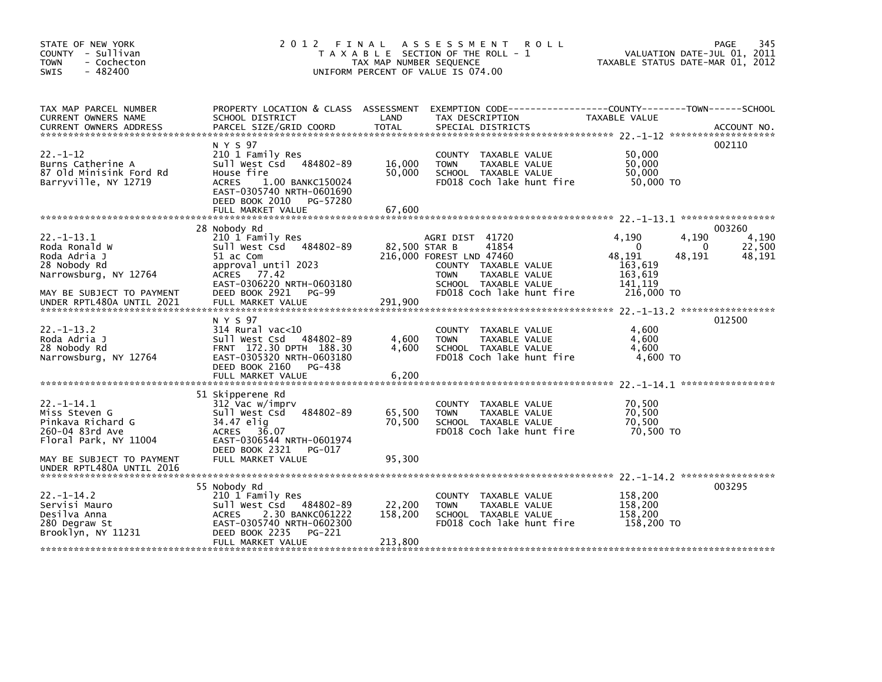| STATE OF NEW YORK<br>COUNTY - Sullivan<br><b>TOWN</b><br>- Cochecton<br>$-482400$<br>SWIS                              | 2012 FINAL                                                                                                                                                                                   | TAX MAP NUMBER SEQUENCE    | A S S E S S M E N T<br><b>ROLL</b><br>T A X A B L E SECTION OF THE ROLL - 1<br>UNIFORM PERCENT OF VALUE IS 074.00                                                                  | VALUATION DATE-JUL 01, 2011<br>TAXABLE STATUS DATE-MAR 01, 2012                               | 345<br>PAGE                              |
|------------------------------------------------------------------------------------------------------------------------|----------------------------------------------------------------------------------------------------------------------------------------------------------------------------------------------|----------------------------|------------------------------------------------------------------------------------------------------------------------------------------------------------------------------------|-----------------------------------------------------------------------------------------------|------------------------------------------|
| TAX MAP PARCEL NUMBER<br>CURRENT OWNERS NAME                                                                           | PROPERTY LOCATION & CLASS ASSESSMENT<br>SCHOOL DISTRICT                                                                                                                                      | LAND                       | EXEMPTION CODE-----------------COUNTY-------TOWN------SCHOOL<br>TAX DESCRIPTION                                                                                                    | TAXABLE VALUE                                                                                 |                                          |
| $22. - 1 - 12$<br>Burns Catherine A<br>87 Old Minisink Ford Rd<br>Barryville, NY 12719                                 | N Y S 97<br>210 1 Family Res<br>Sull West Csd<br>484802-89<br>House fire<br>1.00 BANKC150024<br><b>ACRES</b><br>EAST-0305740 NRTH-0601690<br>DEED BOOK 2010<br>PG-57280<br>FULL MARKET VALUE | 16,000<br>50,000<br>67,600 | COUNTY TAXABLE VALUE<br><b>TOWN</b><br>TAXABLE VALUE<br>SCHOOL TAXABLE VALUE<br>FD018 Coch lake hunt fire                                                                          | 50,000<br>50.000<br>50,000<br>50,000 TO                                                       | 002110                                   |
|                                                                                                                        |                                                                                                                                                                                              |                            |                                                                                                                                                                                    |                                                                                               |                                          |
| $22. -1 - 13.1$<br>Roda Ronald W<br>Roda Adria J<br>28 Nobody Rd<br>Narrowsburg, NY 12764<br>MAY BE SUBJECT TO PAYMENT | 28 Nobody Rd<br>210 1 Family Res<br>Sull West Csd<br>484802-89<br>51 ac Com<br>approval until 2023<br>ACRES 77.42<br>EAST-0306220 NRTH-0603180<br>DEED BOOK 2921<br>PG-99                    |                            | AGRI DIST 41720<br>82,500 STAR B<br>41854<br>216,000 FOREST LND 47460<br>COUNTY TAXABLE VALUE<br>TAXABLE VALUE<br><b>TOWN</b><br>SCHOOL TAXABLE VALUE<br>FD018 Coch lake hunt fire | 4,190<br>4,190<br>$\Omega$<br>48,191<br>48,191<br>163,619<br>163,619<br>141,119<br>216,000 TO | 003260<br>4,190<br>22,500<br>0<br>48,191 |
| UNDER RPTL480A UNTIL 2021                                                                                              | FULL MARKET VALUE                                                                                                                                                                            | 291,900                    |                                                                                                                                                                                    |                                                                                               |                                          |
| $22 - 1 - 13.2$<br>Roda Adria J<br>28 Nobody Rd<br>Narrowsburg, NY 12764                                               | N Y S 97<br>$314$ Rural vac<10<br>Sull West Csd 484802-89<br>FRNT 172.30 DPTH 188.30<br>EAST-0305320 NRTH-0603180<br>DEED BOOK 2160<br>PG-438                                                | 4,600<br>4.600             | COUNTY TAXABLE VALUE<br><b>TOWN</b><br>TAXABLE VALUE<br>SCHOOL TAXABLE VALUE<br>FD018 Coch lake hunt fire                                                                          | 4,600<br>4,600<br>4.600<br>4,600 TO                                                           | 012500                                   |
|                                                                                                                        | FULL MARKET VALUE                                                                                                                                                                            | 6,200                      |                                                                                                                                                                                    |                                                                                               |                                          |
| $22. -1 - 14.1$<br>Miss Steven G<br>Pinkava Richard G<br>260-04 83rd Ave<br>Floral Park, NY 11004                      | 51 Skipperene Rd<br>312 Vac w/imprv<br>Sull West Csd<br>484802-89<br>34.47 elig<br>36.07<br><b>ACRES</b><br>EAST-0306544 NRTH-0601974                                                        | 65,500<br>70,500           | COUNTY TAXABLE VALUE<br><b>TOWN</b><br>TAXABLE VALUE<br>SCHOOL TAXABLE VALUE<br>FD018 Coch lake hunt fire                                                                          | 70,500<br>70,500<br>70,500<br>70,500 TO                                                       |                                          |
| MAY BE SUBJECT TO PAYMENT                                                                                              | DEED BOOK 2321<br>PG-017<br>FULL MARKET VALUE                                                                                                                                                | 95,300                     |                                                                                                                                                                                    |                                                                                               |                                          |
| UNDER RPTL480A UNTIL 2016                                                                                              |                                                                                                                                                                                              |                            |                                                                                                                                                                                    |                                                                                               |                                          |
| $22 - 1 - 14.2$<br>Servisi Mauro<br>Desilva Anna<br>280 Degraw St                                                      | 55 Nobody Rd<br>210 1 Family Res<br>Sull West Csd 484802-89<br>2.30 BANKC061222<br><b>ACRES</b><br>EAST-0305740 NRTH-0602300<br>DEED BOOK 2235                                               | 22,200<br>158,200          | COUNTY TAXABLE VALUE<br><b>TOWN</b><br><b>TAXABLE VALUE</b><br>SCHOOL TAXABLE VALUE<br>FD018 Coch lake hunt fire                                                                   | 158,200<br>158,200<br>158,200<br>158,200 TO                                                   | 003295                                   |
| Brooklyn, NY 11231                                                                                                     | PG-221<br>FULL MARKET VALUE                                                                                                                                                                  | 213,800                    |                                                                                                                                                                                    |                                                                                               |                                          |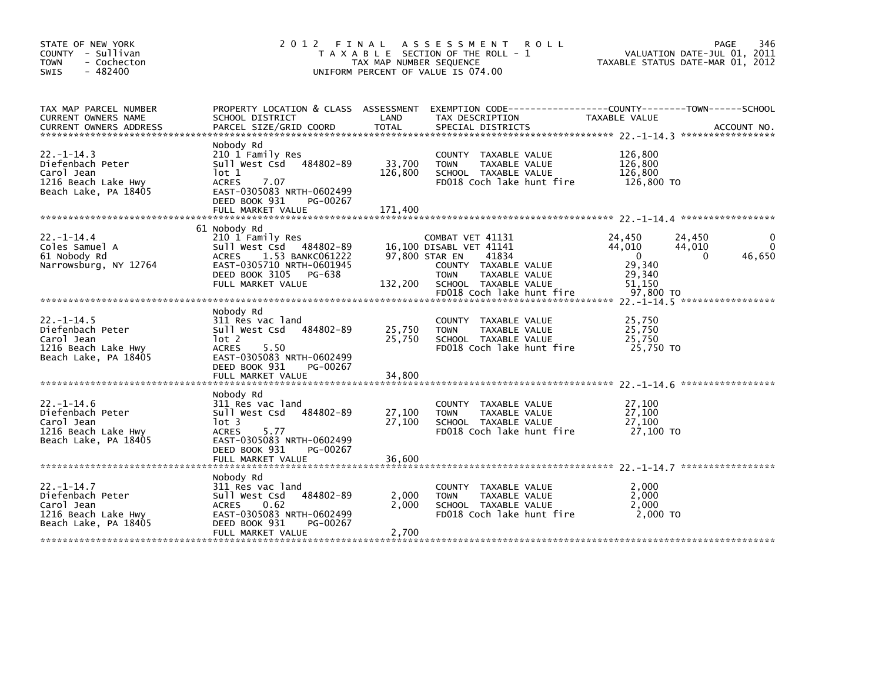| STATE OF NEW YORK<br>COUNTY - Sullivan<br><b>TOWN</b><br>- Cochecton<br>$-482400$<br><b>SWIS</b>  | 2012 FINAL                                                                                                                                                                     | TAX MAP NUMBER SEQUENCE      | A S S E S S M E N T<br><b>ROLL</b><br>T A X A B L E SECTION OF THE ROLL - 1<br>UNIFORM PERCENT OF VALUE IS 074.00 |                                                     | 346<br>PAGE<br>VALUATION DATE-JUL 01, 2011<br>TAXABLE STATUS DATE-MAR 01, 2012 |
|---------------------------------------------------------------------------------------------------|--------------------------------------------------------------------------------------------------------------------------------------------------------------------------------|------------------------------|-------------------------------------------------------------------------------------------------------------------|-----------------------------------------------------|--------------------------------------------------------------------------------|
| TAX MAP PARCEL NUMBER<br>CURRENT OWNERS NAME                                                      | PROPERTY LOCATION & CLASS ASSESSMENT<br>SCHOOL DISTRICT                                                                                                                        | LAND                         | TAX DESCRIPTION                                                                                                   | TAXABLE VALUE                                       |                                                                                |
| $22. -1 - 14.3$<br>Diefenbach Peter<br>Carol Jean<br>1216 Beach Lake Hwy<br>Beach Lake, PA 18405  | Nobody Rd<br>210 1 Family Res<br>Sull West Csd 484802-89<br>lot 1<br><b>ACRES</b><br>7.07<br>EAST-0305083 NRTH-0602499<br>DEED BOOK 931<br>PG-00267<br>FULL MARKET VALUE       | 33,700<br>126,800<br>171,400 | COUNTY TAXABLE VALUE<br>TAXABLE VALUE<br><b>TOWN</b><br>SCHOOL TAXABLE VALUE<br>FD018 Coch lake hunt fire         | 126,800<br>126,800<br>126,800<br>126,800 TO         |                                                                                |
| $22 - 1 - 14.4$<br>Coles Samuel A                                                                 | 61 Nobody Rd<br>210 1 Family Res<br>Sull West Csd 484802-89                                                                                                                    |                              | COMBAT VET 41131<br>16,100 DISABL VET 41141                                                                       | 24,450<br>44,010                                    | 24,450<br>$\Omega$<br>44,010                                                   |
| 61 Nobody Rd<br>Narrowsburg, NY 12764                                                             | 1.53 BANKC061222<br><b>ACRES</b><br>EAST-0305710 NRTH-0601945<br>DEED BOOK 3105 PG-638<br>FULL MARKET VALUE                                                                    | 132,200                      | 97,800 STAR EN<br>41834<br>COUNTY TAXABLE VALUE<br>TAXABLE VALUE<br><b>TOWN</b><br>SCHOOL TAXABLE VALUE           | $\Omega$<br>29,340<br>29,340<br>51,150<br>97,800 TO | 46,650<br>0                                                                    |
|                                                                                                   |                                                                                                                                                                                |                              | FD018 Coch lake hunt fire                                                                                         |                                                     |                                                                                |
| $22. - 1 - 14.5$<br>Diefenbach Peter<br>Carol Jean<br>1216 Beach Lake Hwy<br>Beach Lake, PA 18405 | Nobody Rd<br>311 Res vac land<br>Sull West Csd<br>484802-89<br>$1$ ot 2<br><b>ACRES</b><br>5.50<br>EAST-0305083 NRTH-0602499<br>DEED BOOK 931<br>PG-00267<br>FULL MARKET VALUE | 25,750<br>25,750<br>34,800   | COUNTY TAXABLE VALUE<br><b>TOWN</b><br>TAXABLE VALUE<br>SCHOOL TAXABLE VALUE<br>FD018 Coch lake hunt fire         | 25,750<br>25,750<br>25,750<br>25.750 TO             |                                                                                |
|                                                                                                   | Nobody Rd                                                                                                                                                                      |                              |                                                                                                                   |                                                     |                                                                                |
| $22 - 1 - 14.6$<br>Diefenbach Peter<br>Carol Jean<br>1216 Beach Lake Hwy<br>Beach Lake, PA 18405  | 311 Res vac land<br>Sull West Csd 484802-89<br>$1$ ot 3<br><b>ACRES</b><br>5.77<br>EAST-0305083 NRTH-0602499<br>DEED BOOK 931<br>PG-00267                                      | 27,100<br>27,100             | COUNTY TAXABLE VALUE<br><b>TOWN</b><br>TAXABLE VALUE<br>SCHOOL TAXABLE VALUE<br>FD018 Coch lake hunt fire         | 27,100<br>27,100<br>27,100<br>27,100 TO             |                                                                                |
|                                                                                                   | FULL MARKET VALUE                                                                                                                                                              | 36.600                       |                                                                                                                   |                                                     |                                                                                |
| $22. -1 - 14.7$<br>Diefenbach Peter<br>Carol Jean<br>1216 Beach Lake Hwy<br>Beach Lake, PA 18405  | Nobody Rd<br>311 Res vac land<br>484802-89<br>Sull West Csd<br><b>ACRES</b><br>0.62<br>EAST-0305083 NRTH-0602499<br>DEED BOOK 931<br>PG-00267<br>FULL MARKET VALUE             | 2,000<br>2,000<br>2,700      | COUNTY TAXABLE VALUE<br>TAXABLE VALUE<br><b>TOWN</b><br>SCHOOL TAXABLE VALUE<br>FD018 Coch lake hunt fire         | 2,000<br>2,000<br>2,000<br>2,000 TO                 |                                                                                |
|                                                                                                   |                                                                                                                                                                                |                              |                                                                                                                   |                                                     |                                                                                |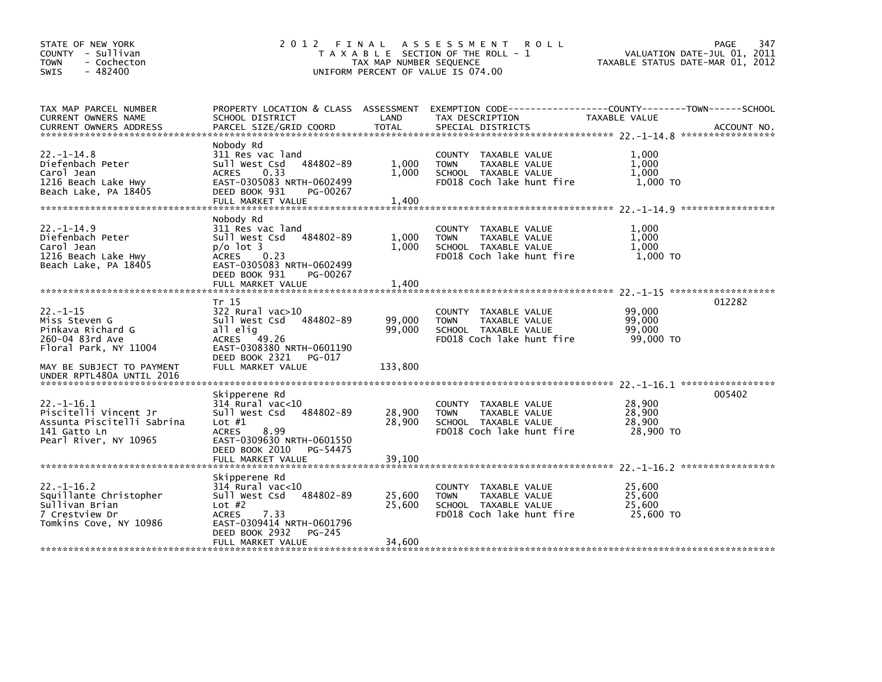| STATE OF NEW YORK<br>COUNTY - Sullivan<br><b>TOWN</b><br>- Cochecton<br>$-482400$<br><b>SWIS</b>                | 2 0 1 2<br>FINAL<br>T A X A B L E SECTION OF THE ROLL - 1<br>TAX MAP NUMBER SEQUENCE<br>UNIFORM PERCENT OF VALUE IS 074.00                                                        | 347<br>PAGE<br>VALUATION DATE-JUL 01, 2011<br>TAXABLE STATUS DATE-MAR 01, 2012 |                                                                                                                     |                                         |             |
|-----------------------------------------------------------------------------------------------------------------|-----------------------------------------------------------------------------------------------------------------------------------------------------------------------------------|--------------------------------------------------------------------------------|---------------------------------------------------------------------------------------------------------------------|-----------------------------------------|-------------|
| TAX MAP PARCEL NUMBER<br><b>CURRENT OWNERS NAME</b><br><b>CURRENT OWNERS ADDRESS</b>                            | PROPERTY LOCATION & CLASS ASSESSMENT<br>SCHOOL DISTRICT<br>PARCEL SIZE/GRID COORD                                                                                                 | LAND<br><b>TOTAL</b>                                                           | EXEMPTION CODE------------------COUNTY--------TOWN------SCHOOL<br>TAX DESCRIPTION<br>SPECIAL DISTRICTS              | TAXABLE VALUE                           | ACCOUNT NO. |
| $22. - 1 - 14.8$<br>Diefenbach Peter<br>Carol Jean<br>1216 Beach Lake Hwy<br>Beach Lake, PA 18405               | Nobody Rd<br>311 Res vac land<br>Sull West Csd<br>484802-89<br><b>ACRES</b><br>0.33<br>EAST-0305083 NRTH-0602499<br>DEED BOOK 931<br>PG-00267<br>FULL MARKET VALUE                | 1,000<br>1,000<br>1,400                                                        | COUNTY TAXABLE VALUE<br><b>TOWN</b><br>TAXABLE VALUE<br>SCHOOL TAXABLE VALUE<br>FD018 Coch lake hunt fire           | 1,000<br>1.000<br>1,000<br>1,000 TO     |             |
| $22. -1 - 14.9$<br>Diefenbach Peter<br>Carol Jean<br>1216 Beach Lake Hwy<br>Beach Lake, PA 18405                | Nobody Rd<br>311 Res vac land<br>Sull West Csd<br>484802-89<br>$p/o$ lot 3<br>0.23<br><b>ACRES</b><br>EAST-0305083 NRTH-0602499<br>DEED BOOK 931<br>PG-00267<br>FULL MARKET VALUE | 1,000<br>1,000<br>1,400                                                        | <b>COUNTY</b><br>TAXABLE VALUE<br><b>TOWN</b><br>TAXABLE VALUE<br>SCHOOL TAXABLE VALUE<br>FD018 Coch lake hunt fire | 1,000<br>1,000<br>1.000<br>1.000 TO     |             |
| $22 - 1 - 15$<br>Miss Steven G<br>Pinkava Richard G<br>260-04 83rd Ave<br>Floral Park, NY 11004                 | Tr 15<br>$322$ Rural vac $>10$<br>Sull West Csd<br>484802-89<br>all elig<br>ACRES 49.26<br>EAST-0308380 NRTH-0601190<br>DEED BOOK 2321<br>PG-017                                  | 99,000<br>99,000                                                               | <b>COUNTY</b><br>TAXABLE VALUE<br>TAXABLE VALUE<br><b>TOWN</b><br>SCHOOL TAXABLE VALUE<br>FD018 Coch lake hunt fire | 99,000<br>99,000<br>99,000<br>99,000 TO | 012282      |
| MAY BE SUBJECT TO PAYMENT<br>UNDER RPTL480A UNTIL 2016                                                          | FULL MARKET VALUE                                                                                                                                                                 | 133,800                                                                        |                                                                                                                     |                                         |             |
| $22. -1 - 16.1$<br>Piscitelli Vincent Jr<br>Assunta Piscitelli Sabrina<br>141 Gatto Ln<br>Pearl River, NY 10965 | Skipperene Rd<br>$314$ Rural vac< $10$<br>Sull West Csd<br>484802-89<br>Lot $#1$<br><b>ACRES</b><br>8.99<br>EAST-0309630 NRTH-0601550<br>DEED BOOK 2010<br>PG-54475               | 28,900<br>28,900                                                               | <b>COUNTY</b><br>TAXABLE VALUE<br><b>TOWN</b><br>TAXABLE VALUE<br>SCHOOL TAXABLE VALUE<br>FD018 Coch lake hunt fire | 28,900<br>28,900<br>28,900<br>28,900 TO | 005402      |
|                                                                                                                 | FULL MARKET VALUE                                                                                                                                                                 | 39,100                                                                         |                                                                                                                     |                                         |             |
| $22. -1 - 16.2$<br>Squillante Christopher<br>Sullivan Brian<br>7 Crestview Dr<br>Tomkins Cove, NY 10986         | Skipperene Rd<br>$314$ Rural vac< $10$<br>Sull West Csd<br>484802-89<br>Lot $#2$<br><b>ACRES</b><br>7.33<br>EAST-0309414 NRTH-0601796<br>DEED BOOK 2932<br>PG-245                 | 25,600<br>25,600                                                               | <b>COUNTY</b><br>TAXABLE VALUE<br>TAXABLE VALUE<br><b>TOWN</b><br>SCHOOL TAXABLE VALUE<br>FD018 Coch lake hunt fire | 25,600<br>25,600<br>25.600<br>25,600 TO |             |
|                                                                                                                 | FULL MARKET VALUE                                                                                                                                                                 | 34,600                                                                         |                                                                                                                     |                                         |             |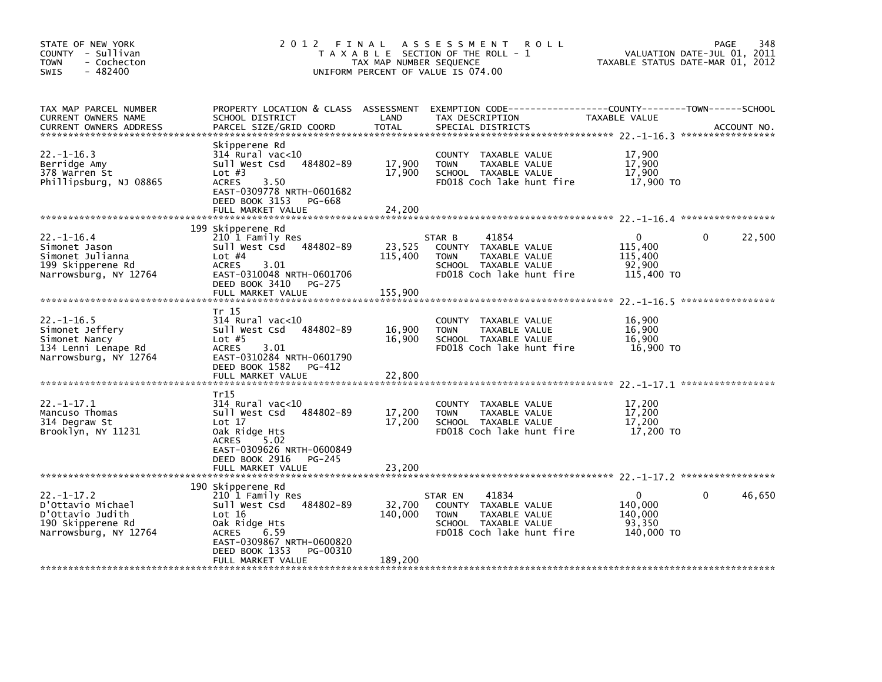| STATE OF NEW YORK<br>COUNTY - Sullivan<br><b>TOWN</b><br>- Cochecton<br>$-482400$<br>SWIS              | 2 0 1 2                                                                                                                                                                                             | FINAL<br>TAX MAP NUMBER SEQUENCE | A S S E S S M E N T<br><b>ROLL</b><br>T A X A B L E SECTION OF THE ROLL - 1<br>UNIFORM PERCENT OF VALUE IS 074.00             | 348<br>PAGE<br>VALUATION DATE-JUL 01, 2011<br>TAXABLE STATUS DATE-MAR 01, 2012                      |
|--------------------------------------------------------------------------------------------------------|-----------------------------------------------------------------------------------------------------------------------------------------------------------------------------------------------------|----------------------------------|-------------------------------------------------------------------------------------------------------------------------------|-----------------------------------------------------------------------------------------------------|
| TAX MAP PARCEL NUMBER<br>CURRENT OWNERS NAME<br><b>CURRENT OWNERS ADDRESS</b>                          | PROPERTY LOCATION & CLASS ASSESSMENT<br>SCHOOL DISTRICT<br>PARCEL SIZE/GRID COORD                                                                                                                   | LAND<br><b>TOTAL</b>             | TAX DESCRIPTION<br>SPECIAL DISTRICTS                                                                                          | EXEMPTION CODE-----------------COUNTY-------TOWN------SCHOOL<br><b>TAXABLE VALUE</b><br>ACCOUNT NO. |
| $22. -1 - 16.3$<br>Berridge Amy<br>378 Warren St<br>Phillipsburg, NJ 08865                             | Skipperene Rd<br>$314$ Rural vac< $10$<br>484802-89<br>Sull West Csd<br>Lot $#3$<br><b>ACRES</b><br>3.50<br>EAST-0309778 NRTH-0601682<br>DEED BOOK 3153<br>PG-668                                   | 17.900<br>17,900                 | COUNTY TAXABLE VALUE<br>TAXABLE VALUE<br><b>TOWN</b><br>SCHOOL TAXABLE VALUE<br>FD018 Coch lake hunt fire                     | 17,900<br>17,900<br>17,900<br>17,900 TO                                                             |
|                                                                                                        | FULL MARKET VALUE                                                                                                                                                                                   | 24,200                           |                                                                                                                               |                                                                                                     |
| $22. - 1 - 16.4$<br>Simonet Jason<br>Simonet Julianna<br>199 Skipperene Rd<br>Narrowsburg, NY 12764    | 199 Skipperene Rd<br>210 1 Family Res<br>Sull West Csd<br>484802-89<br>Lot $#4$<br><b>ACRES</b><br>3.01<br>EAST-0310048 NRTH-0601706<br>DEED BOOK 3410<br>PG-275<br>FULL MARKET VALUE               | 23,525<br>115,400<br>155,900     | 41854<br>STAR B<br>COUNTY TAXABLE VALUE<br>TAXABLE VALUE<br><b>TOWN</b><br>SCHOOL TAXABLE VALUE<br>FD018 Coch lake hunt fire  | 0<br>22,500<br>0<br>115,400<br>115,400<br>92,900<br>115,400 TO                                      |
| $22. - 1 - 16.5$<br>Simonet Jeffery<br>Simonet Nancy<br>134 Lenni Lenape Rd<br>Narrowsburg, NY 12764   | Tr 15<br>$314$ Rural vac<10<br>484802-89<br>Sull West Csd<br>Lot $#5$<br><b>ACRES</b><br>3.01<br>EAST-0310284 NRTH-0601790<br>DEED BOOK 1582<br>PG-412<br>FULL MARKET VALUE                         | 16,900<br>16,900<br>22,800       | TAXABLE VALUE<br>COUNTY<br><b>TOWN</b><br>TAXABLE VALUE<br>SCHOOL TAXABLE VALUE<br>FD018 Coch lake hunt fire                  | 16,900<br>16,900<br>16.900<br>16,900 TO                                                             |
| $22 - 1 - 17.1$<br>Mancuso Thomas<br>314 Degraw St<br>Brooklyn, NY 11231                               | Tr15<br>$314$ Rural vac<10<br>484802-89<br>Sull West Csd<br>Lot $17$<br>Oak Ridge Hts<br><b>ACRES</b><br>5.02<br>EAST-0309626 NRTH-0600849<br>DEED BOOK 2916<br>PG-245<br>FULL MARKET VALUE         | 17,200<br>17,200<br>23,200       | COUNTY TAXABLE VALUE<br>TAXABLE VALUE<br><b>TOWN</b><br>SCHOOL TAXABLE VALUE<br>FD018 Coch lake hunt fire                     | 17,200<br>17,200<br>17,200<br>17,200 TO                                                             |
| $22 - 1 - 17.2$<br>D'Ottavio Michael<br>D'Ottavio Judith<br>190 Skipperene Rd<br>Narrowsburg, NY 12764 | 190 Skipperene Rd<br>210 1 Family Res<br>Sull West Csd 484802-89<br>Lot 16<br>Oak Ridge Hts<br><b>ACRES</b><br>6.59<br>EAST-0309867 NRTH-0600820<br>DEED BOOK 1353<br>PG-00310<br>FULL MARKET VALUE | 32,700<br>140,000<br>189,200     | STAR EN<br>41834<br>COUNTY TAXABLE VALUE<br><b>TOWN</b><br>TAXABLE VALUE<br>SCHOOL TAXABLE VALUE<br>FD018 Coch lake hunt fire | 46,650<br>$\Omega$<br>$\Omega$<br>140,000<br>140,000<br>93,350<br>140,000 TO                        |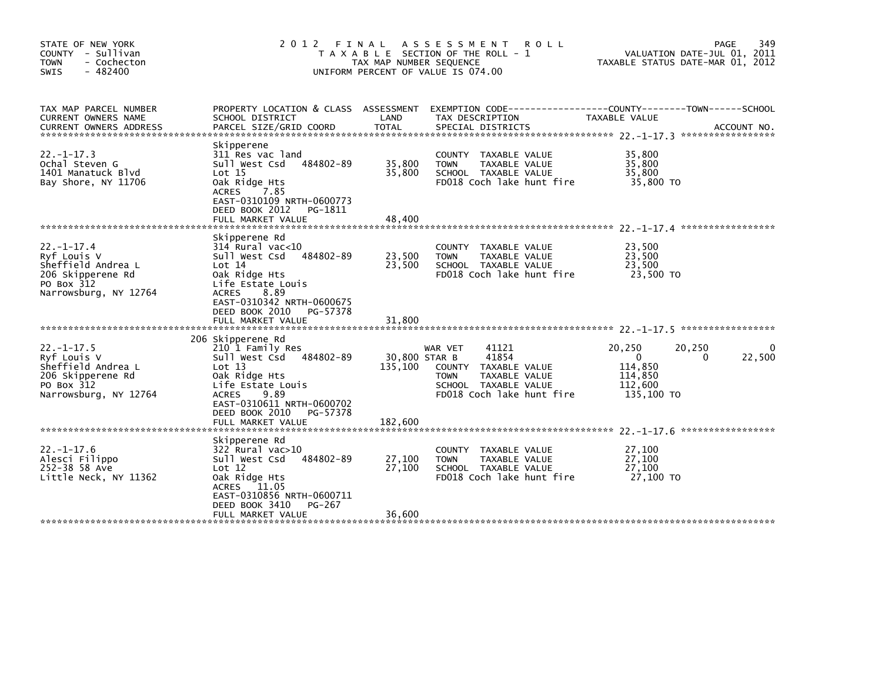| STATE OF NEW YORK<br>COUNTY - Sullivan<br><b>TOWN</b><br>- Cochecton<br>$-482400$<br>SWIS                         | 2 0 1 2<br>FINAL                                                                                                                                                                                                            | TAX MAP NUMBER SEQUENCE             | ASSESSMENT<br><b>ROLL</b><br>T A X A B L E SECTION OF THE ROLL - 1<br>UNIFORM PERCENT OF VALUE IS 074.00                               |                                                                   | 349<br>PAGE<br>VALUATION DATE-JUL 01, 2011<br>TAXABLE STATUS DATE-MAR 01, 2012 |
|-------------------------------------------------------------------------------------------------------------------|-----------------------------------------------------------------------------------------------------------------------------------------------------------------------------------------------------------------------------|-------------------------------------|----------------------------------------------------------------------------------------------------------------------------------------|-------------------------------------------------------------------|--------------------------------------------------------------------------------|
| TAX MAP PARCEL NUMBER<br>CURRENT OWNERS NAME<br><b>CURRENT OWNERS ADDRESS</b>                                     | PROPERTY LOCATION & CLASS ASSESSMENT<br>SCHOOL DISTRICT<br>PARCEL SIZE/GRID COORD                                                                                                                                           | LAND<br><b>TOTAL</b>                | EXEMPTION CODE-----------------COUNTY-------TOWN------SCHOOL<br>TAX DESCRIPTION<br>SPECIAL DISTRICTS                                   | TAXABLE VALUE                                                     | ACCOUNT NO.                                                                    |
| $22. - 1 - 17.3$<br>Ochal Steven G<br>1401 Manatuck Blvd<br>Bay Shore, NY 11706                                   | Skipperene<br>311 Res vac land<br>484802-89<br>Sull West Csd<br>Lot 15<br>Oak Ridge Hts<br><b>ACRES</b><br>7.85<br>EAST-0310109 NRTH-0600773<br>DEED BOOK 2012<br>PG-1811<br>FULL MARKET VALUE                              | 35,800<br>35,800<br>48,400          | COUNTY TAXABLE VALUE<br>TAXABLE VALUE<br><b>TOWN</b><br>SCHOOL TAXABLE VALUE<br>FD018 Coch lake hunt fire                              | 35,800<br>35,800<br>35,800<br>35,800 TO                           |                                                                                |
| $22. - 1 - 17.4$<br>Ryf Louis V<br>Sheffield Andrea L<br>206 Skipperene Rd<br>PO Box 312<br>Narrowsburg, NY 12764 | Skipperene Rd<br>$314$ Rural vac<10<br>Sull West Csd<br>484802-89<br>Lot 14<br>Oak Ridge Hts<br>Life Estate Louis<br><b>ACRES</b><br>8.89<br>EAST-0310342 NRTH-0600675<br>DEED BOOK 2010<br>PG-57378                        | 23,500<br>23,500                    | COUNTY TAXABLE VALUE<br>TAXABLE VALUE<br><b>TOWN</b><br>SCHOOL TAXABLE VALUE<br>FD018 Coch lake hunt fire                              | 23,500<br>23,500<br>23,500<br>23.500 TO                           |                                                                                |
| $22. - 1 - 17.5$<br>Ryf Louis V<br>Sheffield Andrea L<br>206 Skipperene Rd<br>PO Box 312<br>Narrowsburg, NY 12764 | 206 Skipperene Rd<br>210 1 Family Res<br>484802-89<br>Sull West Csd<br>Lot 13<br>Oak Ridge Hts<br>Life Estate Louis<br>9.89<br><b>ACRES</b><br>EAST-0310611 NRTH-0600702<br>DEED BOOK 2010<br>PG-57378<br>FULL MARKET VALUE | 30,800 STAR B<br>135,100<br>182,600 | 41121<br>WAR VET<br>41854<br>COUNTY TAXABLE VALUE<br><b>TOWN</b><br>TAXABLE VALUE<br>SCHOOL TAXABLE VALUE<br>FD018 Coch lake hunt fire | 20,250<br>$\Omega$<br>114,850<br>114,850<br>112,600<br>135,100 TO | 20,250<br>22,500<br>0                                                          |
| $22. - 1 - 17.6$<br>Alesci Filippo<br>252-38 58 Ave<br>Little Neck, NY 11362                                      | Skipperene Rd<br>$322$ Rural vac $>10$<br>Sull West Csd<br>484802-89<br>Lot $12$<br>Oak Ridge Hts<br>ACRES<br>11.05<br>EAST-0310856 NRTH-0600711<br>DEED BOOK 3410<br>PG-267<br>FULL MARKET VALUE                           | 27,100<br>27,100<br>36,600          | TAXABLE VALUE<br><b>COUNTY</b><br>TAXABLE VALUE<br><b>TOWN</b><br>SCHOOL TAXABLE VALUE<br>FD018 Coch lake hunt fire                    | 27,100<br>27,100<br>27,100<br>27,100 TO                           |                                                                                |
|                                                                                                                   |                                                                                                                                                                                                                             |                                     |                                                                                                                                        |                                                                   |                                                                                |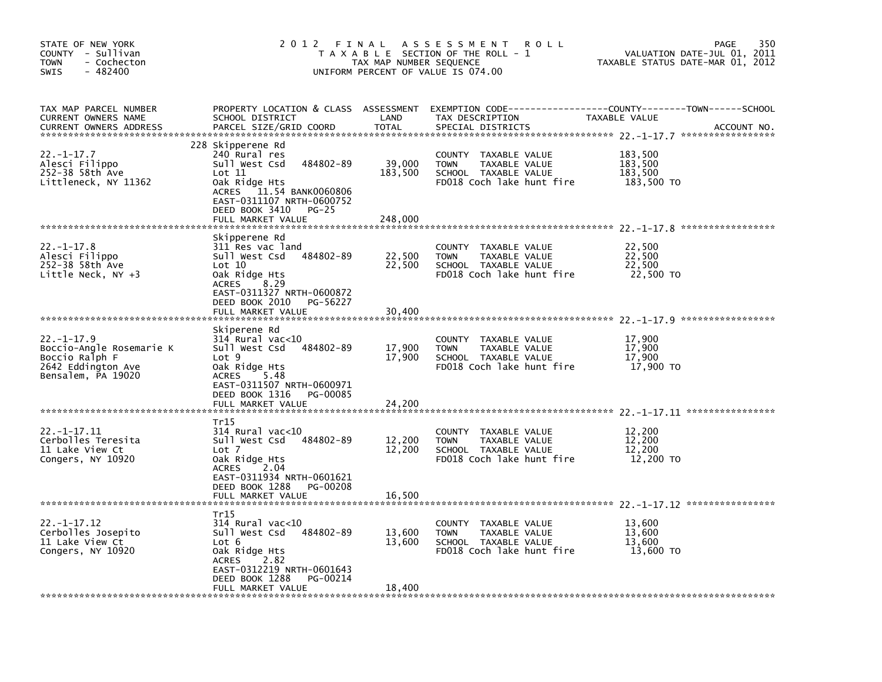| STATE OF NEW YORK<br>COUNTY - Sullivan<br>- Cochecton<br><b>TOWN</b><br>$-482400$<br><b>SWIS</b>           | 2 0 1 2                                                                                                                                                                                               | FINAL<br>TAX MAP NUMBER SEQUENCE | A S S E S S M E N T<br><b>ROLL</b><br>T A X A B L E SECTION OF THE ROLL - 1<br>UNIFORM PERCENT OF VALUE IS 074.00   | VALUATION DATE-JUL 01, 2011<br>TAXABLE STATUS DATE-MAR 01, 2012 | 350<br>PAGE |
|------------------------------------------------------------------------------------------------------------|-------------------------------------------------------------------------------------------------------------------------------------------------------------------------------------------------------|----------------------------------|---------------------------------------------------------------------------------------------------------------------|-----------------------------------------------------------------|-------------|
| TAX MAP PARCEL NUMBER<br><b>CURRENT OWNERS NAME</b><br><b>CURRENT OWNERS ADDRESS</b>                       | PROPERTY LOCATION & CLASS ASSESSMENT<br>SCHOOL DISTRICT<br>PARCEL SIZE/GRID COORD                                                                                                                     | LAND<br><b>TOTAL</b>             | EXEMPTION CODE-----------------COUNTY-------TOWN------SCHOOL<br>TAX DESCRIPTION<br>SPECIAL DISTRICTS                | TAXABLE VALUE                                                   | ACCOUNT NO. |
| $22. -1 - 17.7$<br>Alesci Filippo<br>252-38 58th Ave<br>Littleneck, NY 11362                               | 228 Skipperene Rd<br>240 Rural res<br>Sull West Csd<br>484802-89<br>Lot 11<br>Oak Ridge Hts<br>ACRES 11.54 BANK0060806<br>EAST-0311107 NRTH-0600752<br>DEED BOOK 3410<br>$PG-25$<br>FULL MARKET VALUE | 39,000<br>183,500<br>248,000     | <b>COUNTY</b><br>TAXABLE VALUE<br><b>TOWN</b><br>TAXABLE VALUE<br>SCHOOL TAXABLE VALUE<br>FD018 Coch lake hunt fire | 183,500<br>183,500<br>183,500<br>183,500 TO                     |             |
|                                                                                                            |                                                                                                                                                                                                       |                                  |                                                                                                                     |                                                                 |             |
| $22. - 1 - 17.8$<br>Alesci Filippo<br>252-38 58th Ave<br>Little Neck, $NY +3$                              | Skipperene Rd<br>311 Res vac land<br>484802-89<br>Sull West Csd<br>Lot 10<br>Oak Ridge Hts<br><b>ACRES</b><br>8.29<br>EAST-0311327 NRTH-0600872                                                       | 22,500<br>22,500                 | COUNTY<br>TAXABLE VALUE<br><b>TOWN</b><br>TAXABLE VALUE<br>SCHOOL TAXABLE VALUE<br>FD018 Coch lake hunt fire        | 22,500<br>22,500<br>22.500<br>22,500 TO                         |             |
|                                                                                                            | DEED BOOK 2010<br>PG-56227<br>FULL MARKET VALUE                                                                                                                                                       | 30.400                           |                                                                                                                     |                                                                 |             |
|                                                                                                            |                                                                                                                                                                                                       |                                  |                                                                                                                     |                                                                 |             |
| $22. - 1 - 17.9$<br>Boccio-Angle Rosemarie K<br>Boccio Ralph F<br>2642 Eddington Ave<br>Bensalem, PA 19020 | Skiperene Rd<br>314 Rural vac<10<br>484802-89<br>Sull West Csd<br>Lot 9<br>Oak Ridge Hts<br>5.48<br>ACRES<br>EAST-0311507 NRTH-0600971<br>DEED BOOK 1316<br><b>PG-00085</b><br>FULL MARKET VALUE      | 17,900<br>17,900<br>24,200       | COUNTY TAXABLE VALUE<br>TAXABLE VALUE<br><b>TOWN</b><br>SCHOOL TAXABLE VALUE<br>FD018 Coch lake hunt fire           | 17,900<br>17,900<br>17,900<br>17,900 TO                         |             |
|                                                                                                            |                                                                                                                                                                                                       |                                  |                                                                                                                     |                                                                 |             |
| $22. -1 - 17.11$<br>Cerbolles Teresita<br>11 Lake View Ct<br>Congers, NY 10920                             | Tr15<br>314 Rural vac<10<br>Sull West Csd<br>484802-89<br>Lot 7<br>Oak Ridge Hts<br>2.04<br><b>ACRES</b><br>EAST-0311934 NRTH-0601621<br>DEED BOOK 1288<br>PG-00208<br>FULL MARKET VALUE              | 12,200<br>12,200                 | COUNTY TAXABLE VALUE<br><b>TOWN</b><br>TAXABLE VALUE<br>SCHOOL TAXABLE VALUE<br>FD018 Coch lake hunt fire           | 12,200<br>12,200<br>12,200<br>12,200 TO                         |             |
|                                                                                                            |                                                                                                                                                                                                       | 16,500                           |                                                                                                                     |                                                                 |             |
| $22. -1 - 17.12$<br>Cerbolles Josepito<br>11 Lake View Ct<br>Congers, NY 10920                             | Tr15<br>$314$ Rural vac< $10$<br>Sull West Csd<br>484802-89<br>Lot 6<br>Oak Ridge Hts<br>2.82<br><b>ACRES</b><br>EAST-0312219 NRTH-0601643<br>DEED BOOK 1288<br>PG-00214<br>FULL MARKET VALUE         | 13,600<br>13,600<br>18,400       | COUNTY TAXABLE VALUE<br>TAXABLE VALUE<br><b>TOWN</b><br>SCHOOL TAXABLE VALUE<br>FD018 Coch lake hunt fire           | 13,600<br>13,600<br>13,600<br>13,600 TO                         |             |
|                                                                                                            |                                                                                                                                                                                                       |                                  |                                                                                                                     |                                                                 |             |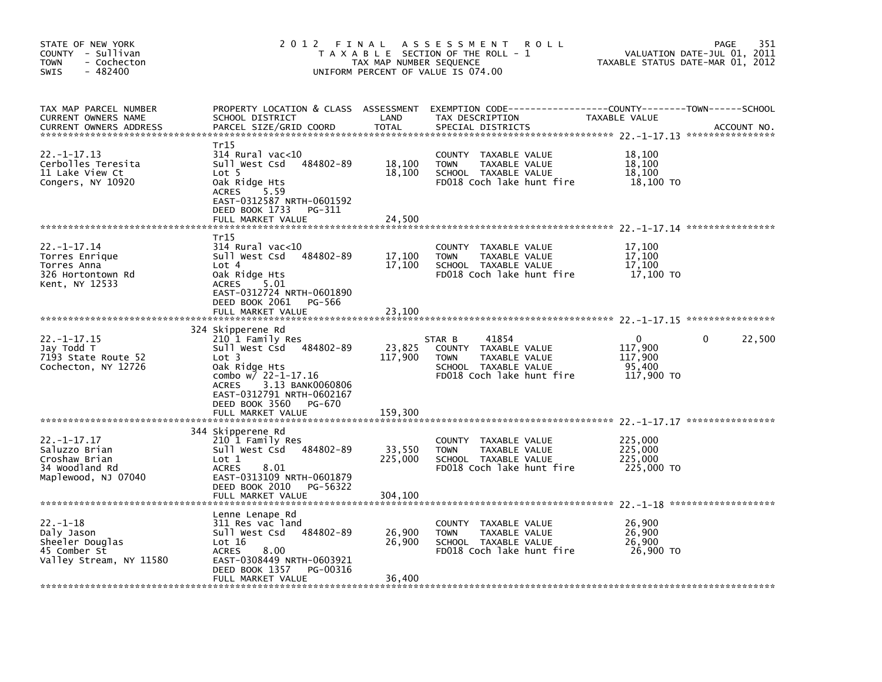| STATE OF NEW YORK<br>COUNTY - Sullivan<br><b>TOWN</b><br>- Cochecton<br>$-482400$<br><b>SWIS</b> | 2 0 1 2                                                                                                                                                                                                                             | FINAL<br>TAX MAP NUMBER SEQUENCE | <b>ROLL</b><br>A S S E S S M E N T<br>T A X A B L E SECTION OF THE ROLL - 1<br>UNIFORM PERCENT OF VALUE IS 074.00            | TAXABLE STATUS DATE-MAR 01, 2012                           | 351<br>PAGE<br>VALUATION DATE-JUL 01, 2011 |
|--------------------------------------------------------------------------------------------------|-------------------------------------------------------------------------------------------------------------------------------------------------------------------------------------------------------------------------------------|----------------------------------|------------------------------------------------------------------------------------------------------------------------------|------------------------------------------------------------|--------------------------------------------|
| TAX MAP PARCEL NUMBER<br>CURRENT OWNERS NAME<br><b>CURRENT OWNERS ADDRESS</b>                    | PROPERTY LOCATION & CLASS ASSESSMENT<br>SCHOOL DISTRICT<br>PARCEL SIZE/GRID COORD                                                                                                                                                   | LAND<br><b>TOTAL</b>             | EXEMPTION        CODE------------------COUNTY--------TOWN------SCHOOL<br>TAX DESCRIPTION<br>SPECIAL DISTRICTS                | TAXABLE VALUE                                              | ACCOUNT NO.                                |
| $22. -1 - 17.13$<br>Cerbolles Teresita<br>11 Lake View Ct<br>Congers, NY 10920                   | Tr15<br>$314$ Rural vac<10<br>484802-89<br>Sull West Csd<br>Lot 5<br>Oak Ridge Hts<br>5.59<br><b>ACRES</b><br>EAST-0312587 NRTH-0601592<br>DEED BOOK 1733<br>PG-311<br>FULL MARKET VALUE                                            | 18,100<br>18,100<br>24,500       | COUNTY<br>TAXABLE VALUE<br><b>TOWN</b><br>TAXABLE VALUE<br>SCHOOL TAXABLE VALUE<br>FD018 Coch lake hunt fire                 | 18,100<br>18,100<br>18,100<br>18,100 TO                    |                                            |
|                                                                                                  |                                                                                                                                                                                                                                     |                                  |                                                                                                                              |                                                            |                                            |
| $22. -1 - 17.14$<br>Torres Enrique<br>Torres Anna<br>326 Hortontown Rd<br>Kent, NY 12533         | Tr15<br>$314$ Rural vac<10<br>484802-89<br>Sull West Csd<br>Lot 4<br>Oak Ridge Hts<br><b>ACRES</b><br>5.01<br>EAST-0312724 NRTH-0601890                                                                                             | 17,100<br>17,100                 | COUNTY<br>TAXABLE VALUE<br>TAXABLE VALUE<br><b>TOWN</b><br>SCHOOL TAXABLE VALUE<br>FD018 Coch lake hunt fire                 | 17,100<br>17,100<br>17,100<br>17,100 TO                    |                                            |
|                                                                                                  | DEED BOOK 2061<br>PG-566<br>FULL MARKET VALUE                                                                                                                                                                                       | 23,100                           |                                                                                                                              |                                                            |                                            |
|                                                                                                  |                                                                                                                                                                                                                                     |                                  |                                                                                                                              |                                                            |                                            |
| $22. -1 - 17.15$<br>Jay Todd T<br>7193 State Route 52<br>Cochecton, NY 12726                     | 324 Skipperene Rd<br>210 1 Family Res<br>Sull West Csd 484802-89<br>Lot 3<br>Oak Ridge Hts<br>combo w/ 22-1-17.16<br>3.13 BANK0060806<br><b>ACRES</b><br>EAST-0312791 NRTH-0602167<br>DEED BOOK 3560<br>PG-670<br>FULL MARKET VALUE | 23,825<br>117,900<br>159,300     | 41854<br>STAR B<br>COUNTY TAXABLE VALUE<br>TAXABLE VALUE<br><b>TOWN</b><br>SCHOOL TAXABLE VALUE<br>FD018 Coch lake hunt fire | $\mathbf{0}$<br>117,900<br>117,900<br>95,400<br>117,900 TO | 22,500<br>0                                |
|                                                                                                  |                                                                                                                                                                                                                                     |                                  |                                                                                                                              |                                                            |                                            |
| $22. - 1 - 17.17$<br>Saluzzo Brian<br>Croshaw Brian<br>34 Woodland Rd<br>Maplewood, NJ 07040     | 344 Skipperene Rd<br>210 1 Family Res<br>484802-89<br>Sull West Csd<br>Lot 1<br><b>ACRES</b><br>8.01<br>EAST-0313109 NRTH-0601879                                                                                                   | 33,550<br>225,000                | COUNTY TAXABLE VALUE<br><b>TOWN</b><br>TAXABLE VALUE<br>SCHOOL TAXABLE VALUE<br>FD018 Coch lake hunt fire                    | 225,000<br>225,000<br>225,000<br>225,000 TO                |                                            |
|                                                                                                  | DEED BOOK 2010<br>PG-56322<br>FULL MARKET VALUE                                                                                                                                                                                     | 304,100                          |                                                                                                                              |                                                            |                                            |
| $22. - 1 - 18$<br>Daly Jason<br>Sheeler Douglas<br>45 Comber St<br>Valley Stream, NY 11580       | Lenne Lenape Rd<br>311 Res vac land<br>Sull West Csd<br>484802-89<br>Lot 16<br><b>ACRES</b><br>8.00<br>EAST-0308449 NRTH-0603921<br>DEED BOOK 1357<br>PG-00316<br>FULL MARKET VALUE                                                 | 26,900<br>26,900<br>36,400       | <b>COUNTY</b><br>TAXABLE VALUE<br><b>TOWN</b><br>TAXABLE VALUE<br>SCHOOL TAXABLE VALUE<br>FD018 Coch lake hunt fire          | 26,900<br>26,900<br>26,900<br>26,900 TO                    |                                            |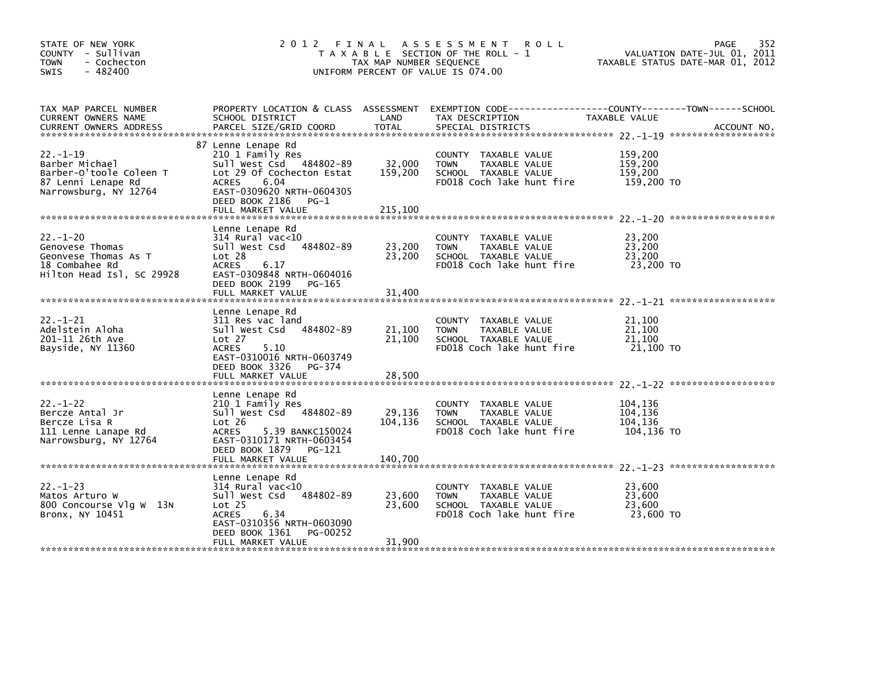| STATE OF NEW YORK<br>COUNTY - Sullivan<br><b>TOWN</b><br>- Cochecton<br>$-482400$<br>SWIS                 | 2012 FINAL                                                                                                                                                                                          | TAX MAP NUMBER SEQUENCE              | A S S E S S M E N T<br><b>ROLL</b><br>T A X A B L E SECTION OF THE ROLL - 1<br>UNIFORM PERCENT OF VALUE IS 074.00   |                                             | 352<br>PAGE<br>VALUATION DATE-JUL 01, 2011<br>TAXABLE STATUS DATE-MAR 01, 2012 |
|-----------------------------------------------------------------------------------------------------------|-----------------------------------------------------------------------------------------------------------------------------------------------------------------------------------------------------|--------------------------------------|---------------------------------------------------------------------------------------------------------------------|---------------------------------------------|--------------------------------------------------------------------------------|
| TAX MAP PARCEL NUMBER<br>CURRENT OWNERS NAME                                                              | PROPERTY LOCATION & CLASS ASSESSMENT<br>SCHOOL DISTRICT                                                                                                                                             | LAND                                 | TAX DESCRIPTION                                                                                                     | TAXABLE VALUE                               |                                                                                |
| $22 - 1 - 19$<br>Barber Michael<br>Barber-O'toole Coleen T<br>87 Lenni Lenape Rd<br>Narrowsburg, NY 12764 | 87 Lenne Lenape Rd<br>210 1 Family Res<br>Sull West Csd 484802-89<br>Lot 29 Of Cochecton Estat<br><b>ACRES</b><br>6.04<br>EAST-0309620 NRTH-0604305<br>DEED BOOK 2186<br>PG-1<br>FULL MARKET VALUE  | 32,000<br>159,200<br>215,100         | COUNTY TAXABLE VALUE<br>TAXABLE VALUE<br><b>TOWN</b><br>SCHOOL TAXABLE VALUE<br>FD018 Coch lake hunt fire           | 159,200<br>159,200<br>159.200<br>159,200 TO |                                                                                |
| $22 - 1 - 20$<br>Genovese Thomas<br>Geonvese Thomas As T<br>18 Combahee Rd<br>Hilton Head Isl, SC 29928   | Lenne Lenape Rd<br>314 Rural vac<10<br>Sull West Csd<br>484802-89<br>Lot 28<br><b>ACRES</b><br>6.17<br>EAST-0309848 NRTH-0604016<br>DEED BOOK 2199 PG-165                                           | 23,200<br>23,200                     | COUNTY TAXABLE VALUE<br>TAXABLE VALUE<br><b>TOWN</b><br>SCHOOL TAXABLE VALUE<br>FD018 Coch lake hunt fire           | 23,200<br>23,200<br>23,200<br>23,200 TO     |                                                                                |
| $22. - 1 - 21$<br>Adelstein Aloha<br>201-11 26th Ave<br>Bayside, NY 11360                                 | FULL MARKET VALUE<br>Lenne Lenape Rd<br>311 Res vac land<br>Sull West Csd<br>484802-89<br>Lot 27<br>5.10<br><b>ACRES</b><br>EAST-0310016 NRTH-0603749<br>DEED BOOK 3326 PG-374<br>FULL MARKET VALUE | 31,400<br>21,100<br>21,100<br>28,500 | <b>COUNTY</b><br>TAXABLE VALUE<br>TAXABLE VALUE<br><b>TOWN</b><br>SCHOOL TAXABLE VALUE<br>FD018 Coch lake hunt fire | 21,100<br>21,100<br>21,100<br>21,100 TO     |                                                                                |
| $22 - 1 - 22$<br>Bercze Antal Jr<br>Bercze Lisa R<br>111 Lenne Lanape Rd<br>Narrowsburg, NY 12764         | Lenne Lenape Rd<br>210 1 Family Res<br>Sull West Csd 484802-89<br>Lot 26<br><b>ACRES</b><br>5.39 BANKC150024<br>EAST-0310171 NRTH-0603454<br>DEED BOOK 1879<br>PG-121<br>FULL MARKET VALUE          | 29,136<br>104,136<br>140,700         | <b>COUNTY</b><br>TAXABLE VALUE<br><b>TOWN</b><br>TAXABLE VALUE<br>SCHOOL TAXABLE VALUE<br>FD018 Coch lake hunt fire | 104,136<br>104,136<br>104,136<br>104,136 TO |                                                                                |
| $22 - 1 - 23$<br>Matos Arturo W<br>800 Concourse Vlg W 13N<br>Bronx, NY 10451                             | Lenne Lenape Rd<br>$314$ Rural vac<10<br>484802-89<br>Sull West Csd<br>Lot <sub>25</sub><br>6.34<br><b>ACRES</b><br>EAST-0310356 NRTH-0603090<br>DEED BOOK 1361<br>PG-00252<br>FULL MARKET VALUE    | 23,600<br>23,600<br>31,900           | COUNTY TAXABLE VALUE<br>TAXABLE VALUE<br><b>TOWN</b><br>SCHOOL TAXABLE VALUE<br>FD018 Coch lake hunt fire           | 23,600<br>23,600<br>23,600<br>23,600 TO     |                                                                                |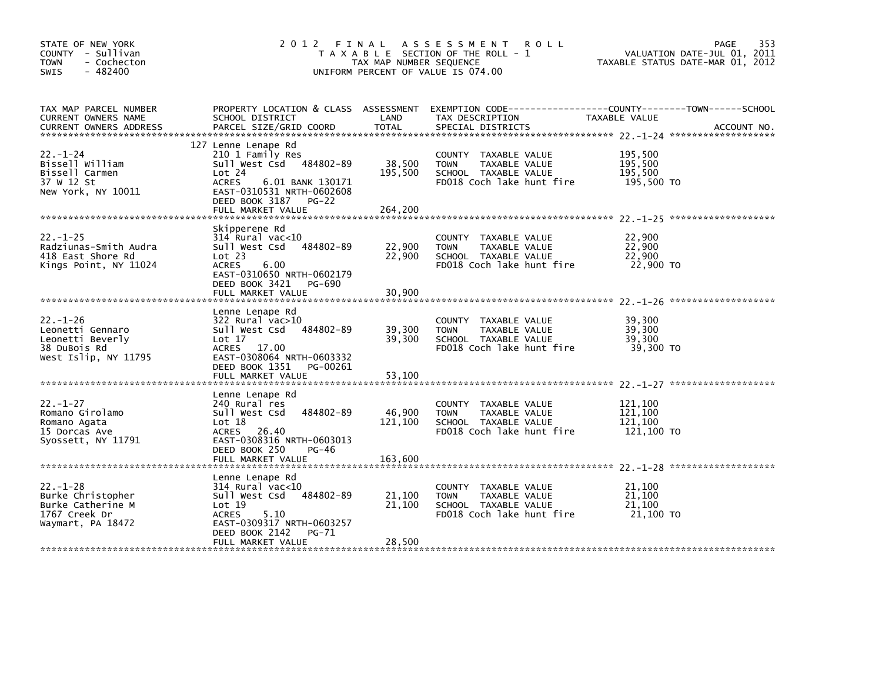| STATE OF NEW YORK<br>COUNTY - Sullivan<br><b>TOWN</b><br>- Cochecton<br>$-482400$<br><b>SWIS</b>                                                                                                                                                       | 2012 FINAL                                                                                                                                                                                 | TAX MAP NUMBER SEQUENCE      | A S S E S S M E N T<br><b>ROLL</b><br>T A X A B L E SECTION OF THE ROLL - 1<br>UNIFORM PERCENT OF VALUE IS 074.00 |                                             | 353<br>PAGE<br>VALUATION DATE-JUL 01, 2011<br>TAXABLE STATUS DATE-MAR 01, 2012 |
|--------------------------------------------------------------------------------------------------------------------------------------------------------------------------------------------------------------------------------------------------------|--------------------------------------------------------------------------------------------------------------------------------------------------------------------------------------------|------------------------------|-------------------------------------------------------------------------------------------------------------------|---------------------------------------------|--------------------------------------------------------------------------------|
| TAX MAP PARCEL NUMBER<br>CURRENT OWNERS NAME<br>.CURRENT OWNERS ADDRESS PARCEL SIZE/GRID COORD TOTAL SPECIAL DISTRICTS AND MESS ADDRESS PARCEL SIZE/GRID COORD TOTAL SPECIAL DISTRICTS AND MESS ADDRESS PARCEL SIZE/GRID COORD TOTAL SPECIAL DISTRICTS | PROPERTY LOCATION & CLASS ASSESSMENT<br>SCHOOL DISTRICT                                                                                                                                    | LAND                         | EXEMPTION CODE-----------------COUNTY-------TOWN------SCHOOL<br>TAX DESCRIPTION                                   | TAXABLE VALUE                               |                                                                                |
| $22 - 1 - 24$<br>Bissell William<br>Bissell Carmen<br>37 W 12 St<br>New York, NY 10011                                                                                                                                                                 | 127 Lenne Lenape Rd<br>210 1 Family Res<br>Sull West Csd 484802-89<br>Lot 24<br><b>ACRES</b><br>6.01 BANK 130171<br>EAST-0310531 NRTH-0602608<br>DEED BOOK 3187 PG-22<br>FULL MARKET VALUE | 38,500<br>195,500<br>264,200 | COUNTY TAXABLE VALUE<br>TAXABLE VALUE<br><b>TOWN</b><br>SCHOOL TAXABLE VALUE<br>FD018 Coch lake hunt fire         | 195,500<br>195,500<br>195,500<br>195,500 TO |                                                                                |
| $22. - 1 - 25$<br>Radziunas-Smith Audra<br>418 East Shore Rd<br>Kings Point, NY 11024                                                                                                                                                                  | Skipperene Rd<br>$314$ Rural vac<10<br>484802-89<br>Sull West Csd<br>Lot 23<br>6.00<br><b>ACRES</b><br>EAST-0310650 NRTH-0602179<br>DEED BOOK 3421<br>PG-690<br>FULL MARKET VALUE          | 22,900<br>22,900<br>30,900   | COUNTY TAXABLE VALUE<br>TAXABLE VALUE<br><b>TOWN</b><br>SCHOOL TAXABLE VALUE<br>FD018 Coch lake hunt fire         | 22,900<br>22,900<br>22,900<br>22,900 TO     |                                                                                |
| $22 - 1 - 26$<br>Leonetti Gennaro<br>Leonetti Beverly<br>38 DuBois Rd<br>West Islip, NY 11795                                                                                                                                                          | Lenne Lenape Rd<br>$322$ Rural vac $>10$<br>Sull West Csd<br>484802-89<br>Lot $17$<br>ACRES 17.00<br>EAST-0308064 NRTH-0603332<br>DEED BOOK 1351<br>PG-00261<br>FULL MARKET VALUE          | 39,300<br>39,300<br>53,100   | COUNTY TAXABLE VALUE<br><b>TOWN</b><br>TAXABLE VALUE<br>SCHOOL TAXABLE VALUE<br>FD018 Coch lake hunt fire         | 39,300<br>39.300<br>39,300<br>39,300 TO     |                                                                                |
| $22 - 1 - 27$<br>Romano Girolamo<br>Romano Agata<br>15 Dorcas Ave<br>Syossett, NY 11791                                                                                                                                                                | Lenne Lenape Rd<br>240 Rural res<br>484802-89<br>Sull West Csd<br>Lot 18<br>ACRES 26.40<br>EAST-0308316 NRTH-0603013<br>DEED BOOK 250<br>PG-46<br>FULL MARKET VALUE                        | 46,900<br>121,100<br>163,600 | COUNTY TAXABLE VALUE<br>TAXABLE VALUE<br><b>TOWN</b><br>SCHOOL TAXABLE VALUE<br>FD018 Coch lake hunt fire         | 121,100<br>121,100<br>121,100<br>121,100 TO |                                                                                |
| $22. - 1 - 28$<br>Burke Christopher<br>Burke Catherine M<br>1767 Creek Dr<br>Waymart, PA 18472                                                                                                                                                         | Lenne Lenape Rd<br>$314$ Rural vac<10<br>484802-89<br>Sull West Csd<br>Lot 19<br>5.10<br><b>ACRES</b><br>EAST-0309317 NRTH-0603257<br>DEED BOOK 2142<br><b>PG-71</b><br>FULL MARKET VALUE  | 21,100<br>21,100<br>28,500   | COUNTY TAXABLE VALUE<br>TAXABLE VALUE<br><b>TOWN</b><br>SCHOOL TAXABLE VALUE<br>FD018 Coch lake hunt fire         | 21,100<br>21,100<br>21,100<br>21,100 TO     |                                                                                |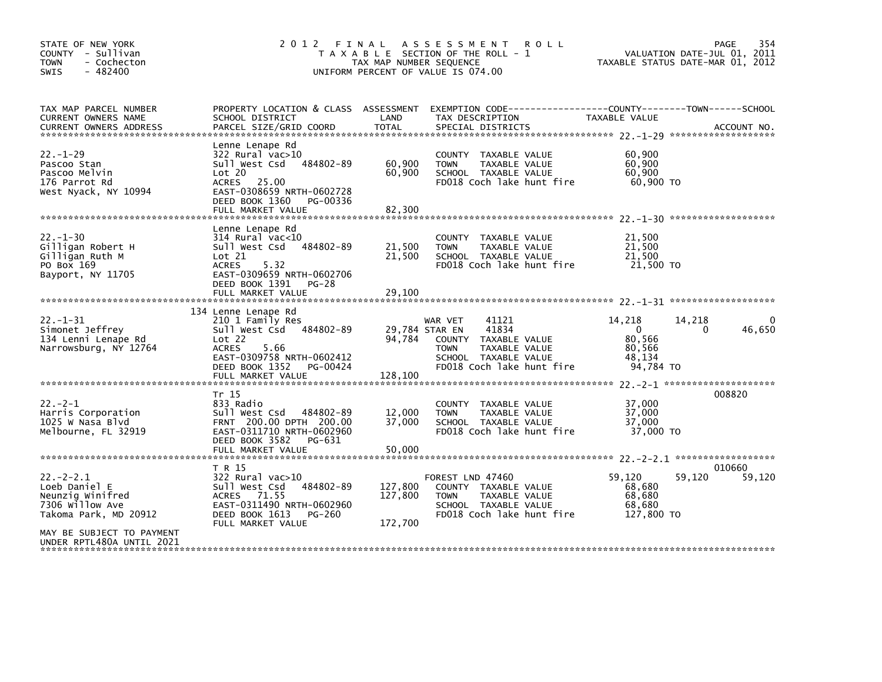| STATE OF NEW YORK<br>COUNTY - Sullivan<br><b>TOWN</b><br>- Cochecton<br>$-482400$<br>SWIS                                                                 |                                                                                                                                                                                      | TAX MAP NUMBER SEQUENCE             | 2012 FINAL ASSESSMENT<br><b>ROLL</b><br>T A X A B L E SECTION OF THE ROLL - 1<br>UNIFORM PERCENT OF VALUE IS 074.00                              | VALUATION DATE-JUL 01, 2011<br>TAXABLE STATUS DATE-MAR 01, 2012                               | PAGE<br>354      |
|-----------------------------------------------------------------------------------------------------------------------------------------------------------|--------------------------------------------------------------------------------------------------------------------------------------------------------------------------------------|-------------------------------------|--------------------------------------------------------------------------------------------------------------------------------------------------|-----------------------------------------------------------------------------------------------|------------------|
| TAX MAP PARCEL NUMBER<br>CURRENT OWNERS NAME                                                                                                              | SCHOOL DISTRICT                                                                                                                                                                      | LAND                                | PROPERTY LOCATION & CLASS ASSESSMENT EXEMPTION CODE----------------COUNTY-------TOWN------SCHOOL<br>TAX DESCRIPTION                              | TAXABLE VALUE                                                                                 |                  |
| $22 - 1 - 29$<br>Pascoo Stan<br>Pascoo Melvin<br>176 Parrot Rd<br>West Nyack, NY 10994                                                                    | Lenne Lenape Rd<br>$322$ Rural vac $>10$<br>484802-89<br>Sull West Csd<br>Lot 20<br>ACRES 25.00<br>EAST-0308659 NRTH-0602728<br>DEED BOOK 1360<br>PG-00336<br>FULL MARKET VALUE      | 60,900<br>60,900<br>82,300          | COUNTY TAXABLE VALUE<br><b>TOWN</b><br>TAXABLE VALUE<br>SCHOOL TAXABLE VALUE<br>FD018 Coch lake hunt fire                                        | 60,900<br>60,900<br>60,900<br>60,900 TO                                                       |                  |
| $22 - 1 - 30$<br>Gilligan Robert H<br>Gilligan Ruth M<br>PO Box 169<br>Bayport, NY 11705                                                                  | Lenne Lenape Rd<br>$314$ Rural vac< $10$<br>Sull West Csd<br>484802-89<br>Lot 21<br><b>ACRES</b><br>5.32<br>EAST-0309659 NRTH-0602706<br>DEED BOOK 1391<br>PG-28                     | 21,500<br>21,500                    | COUNTY TAXABLE VALUE<br>TAXABLE VALUE<br><b>TOWN</b><br>SCHOOL TAXABLE VALUE<br>FD018 Coch lake hunt fire                                        | 21,500<br>21,500<br>21,500<br>21,500 TO                                                       |                  |
|                                                                                                                                                           | FULL MARKET VALUE                                                                                                                                                                    | 29,100                              |                                                                                                                                                  |                                                                                               |                  |
| $22. - 1 - 31$<br>Simonet Jeffrey<br>134 Lenni Lenape Rd<br>Narrowsburg, NY 12764                                                                         | 134 Lenne Lenape Rd<br>210 1 Family Res<br>Sull West Csd 484802-89<br>Lot 22<br>5.66<br><b>ACRES</b><br>EAST-0309758 NRTH-0602412<br>DEED BOOK 1352<br>PG-00424<br>FULL MARKET VALUE | 29,784 STAR EN<br>94,784<br>128,100 | 41121<br>WAR VET<br>41834<br>TAXABLE VALUE<br><b>COUNTY</b><br>TAXABLE VALUE<br><b>TOWN</b><br>SCHOOL TAXABLE VALUE<br>FD018 Coch lake hunt fire | 14,218<br>14,218<br>$\overline{0}$<br>$\mathbf{0}$<br>80.566<br>80.566<br>48.134<br>94,784 TO | 46,650           |
| $22 - 2 - 1$<br>Harris Corporation<br>1025 W Nasa Blvd<br>Melbourne, FL 32919                                                                             | Tr 15<br>833 Radio<br>Sull West Csd 484802-89<br>FRNT 200.00 DPTH 200.00<br>EAST-0311710 NRTH-0602960<br>DEED BOOK 3582<br>PG-631<br>FULL MARKET VALUE                               | 12,000<br>37,000<br>50,000          | COUNTY TAXABLE VALUE<br><b>TOWN</b><br>TAXABLE VALUE<br>SCHOOL TAXABLE VALUE<br>FD018 Coch lake hunt fire                                        | 37,000<br>37,000<br>37,000<br>37,000 TO                                                       | 008820           |
| $22 - 2 - 2.1$<br>Loeb Daniel E<br>Neunzig Winifred<br>7306 willow Ave<br>Takoma Park, MD 20912<br>MAY BE SUBJECT TO PAYMENT<br>UNDER RPTL480A UNTIL 2021 | T R 15<br>322 Rural vac>10<br>Sull West Csd<br>484802-89<br>ACRES 71.55<br>EAST-0311490 NRTH-0602960<br>DEED BOOK 1613<br>PG-260<br>FULL MARKET VALUE                                | 127,800<br>127,800<br>172,700       | FOREST LND 47460<br>COUNTY TAXABLE VALUE<br><b>TOWN</b><br>TAXABLE VALUE<br>SCHOOL TAXABLE VALUE<br>FD018 Coch lake hunt fire                    | 59,120<br>59,120<br>68,680<br>68,680<br>68.680<br>127,800 TO                                  | 010660<br>59,120 |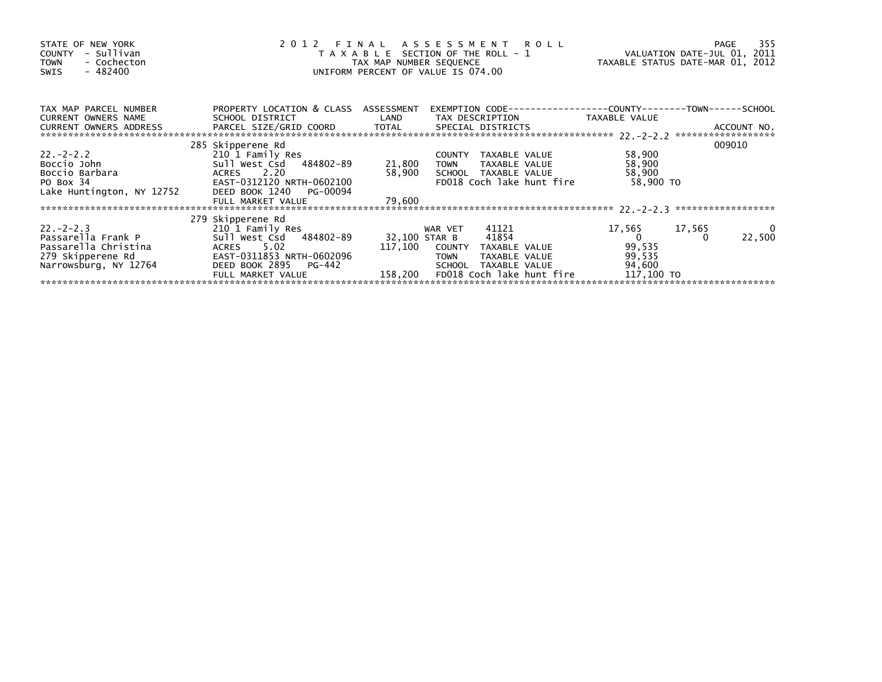| STATE OF NEW YORK<br>- Sullivan<br><b>COUNTY</b><br><b>TOWN</b><br>- Cochecton<br>$-482400$<br>SWIS |                                       |                         | 2012 FINAL ASSESSMENT ROLL<br>T A X A B L E SECTION OF THE ROLL - 1<br>TAX MAP NUMBER SEQUENCE<br>UNIFORM PERCENT OF VALUE IS 074.00 | VALUATION DATE-JUL 01, 2011<br>TAXABLE STATUS DATE-MAR 01, 2012 | 355<br>PAGE |
|-----------------------------------------------------------------------------------------------------|---------------------------------------|-------------------------|--------------------------------------------------------------------------------------------------------------------------------------|-----------------------------------------------------------------|-------------|
| TAX MAP PARCEL NUMBER<br>CURRENT OWNERS NAME                                                        | PROPERTY LOCATION & CLASS ASSESSMENT  |                         | SCHOOL DISTRICT                      LAND        TAX DESCRIPTION                 TAXABLE VALUE                                       |                                                                 |             |
| CURRENT OWNERS ADDRESS                                                                              |                                       |                         |                                                                                                                                      |                                                                 |             |
|                                                                                                     | 285 Skipperene Rd                     |                         |                                                                                                                                      |                                                                 | 009010      |
| $22 - 2 - 2 - 2$                                                                                    | 210 1 Family Res                      | $\frac{21,800}{50,905}$ | COUNTY TAXABLE VALUE                                                                                                                 | 58,900                                                          |             |
| Boccio John                                                                                         | Sull West Csd 484802-89               |                         | <b>TOWN</b><br>TAXABLE VALUE                                                                                                         | 58,900                                                          |             |
| Boccio Barbara                                                                                      | ACRES 2.20                            |                         | 58,900 SCHOOL TAXABLE VALUE                                                                                                          | 58,900                                                          |             |
| PO Box 34                                                                                           | EAST-0312120 NRTH-0602100             |                         | FD018 Coch lake hunt fire                                                                                                            | 58,900 TO                                                       |             |
| Lake Huntington, NY 12752                                                                           | DEED BOOK 1240 PG-00094               |                         |                                                                                                                                      |                                                                 |             |
|                                                                                                     | FULL MARKET VALUE                     | 79,600                  |                                                                                                                                      |                                                                 |             |
|                                                                                                     |                                       |                         |                                                                                                                                      |                                                                 |             |
| $22 - 2 - 2 - 3$                                                                                    | 279 Skipperene Rd<br>210 1 Family Res |                         | 41121<br>WAR VET                                                                                                                     | 17,565<br>17,565                                                |             |
| Passarella Frank P                                                                                  | Sull West Csd 484802-89               | 32,100 STAR B           | 41854                                                                                                                                | $\overline{0}$                                                  | 0<br>22,500 |
| Passarella Christina                                                                                | ACRES 5.02                            |                         | 117,100 COUNTY TAXABLE VALUE                                                                                                         | 99,535                                                          |             |
| 279 Skipperene Rd                                                                                   | EAST-0311853 NRTH-0602096             |                         | TAXABLE VALUE<br><b>TOWN</b>                                                                                                         | 99,535                                                          |             |
| Narrowsburg, NY 12764                                                                               | DEED BOOK 2895<br>PG-442              |                         | TAXABLE VALUE<br>SCHOOL                                                                                                              | 94,600                                                          |             |
|                                                                                                     | FULL MARKET VALUE                     |                         | 158,200 FD018 Coch lake hunt fire                                                                                                    | 117,100 TO                                                      |             |
|                                                                                                     |                                       |                         |                                                                                                                                      |                                                                 |             |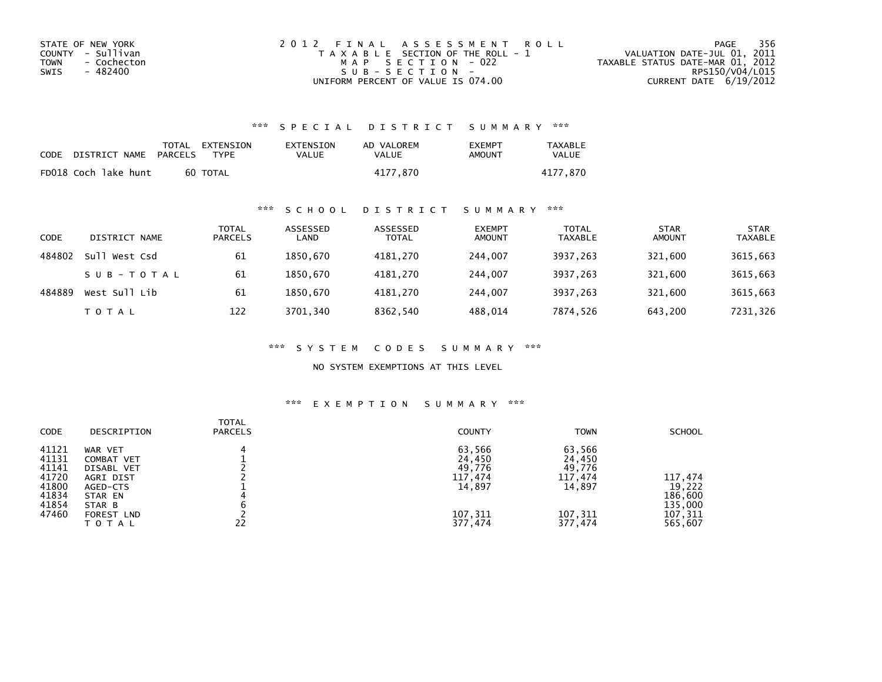| STATE OF NEW YORK   | 2012 FINAL ASSESSMENT ROLL            | 356<br>PAGE                      |
|---------------------|---------------------------------------|----------------------------------|
| COUNTY - Sullivan   | T A X A B L E SECTION OF THE ROLL - 1 | VALUATION DATE-JUL 01, 2011      |
| - Cochecton<br>TOWN | MAP SECTION - 022                     | TAXABLE STATUS DATE-MAR 01, 2012 |
| - 482400<br>SWIS    | SUB-SECTION-                          | RPS150/V04/L015                  |
|                     | UNIFORM PERCENT OF VALUE IS 074.00    | CURRENT DATE 6/19/2012           |

## \*\*\* S P E C I A L D I S T R I C T S U M M A R Y \*\*\*

| CODE | DISTRICT NAME        | PARCELS | TOTAL EXTENSION<br><b>TYPF</b> | EXTENSION<br>VALUE | AD VALOREM<br>VALUE | EXEMPT<br>AMOUNT | <b>TAXABLE</b><br>VALUE |
|------|----------------------|---------|--------------------------------|--------------------|---------------------|------------------|-------------------------|
|      | FD018 Coch lake hunt |         | 60 TOTAL                       |                    | 4177.870            |                  | 4177.870                |

## \*\*\* S C H O O L D I S T R I C T S U M M A R Y \*\*\*

| CODE   | DISTRICT NAME    | TOTAL<br><b>PARCELS</b> | ASSESSED<br>LAND | ASSESSED<br><b>TOTAL</b> | <b>EXEMPT</b><br><b>AMOUNT</b> | <b>TOTAL</b><br><b>TAXABLE</b> | <b>STAR</b><br><b>AMOUNT</b> | <b>STAR</b><br><b>TAXABLE</b> |
|--------|------------------|-------------------------|------------------|--------------------------|--------------------------------|--------------------------------|------------------------------|-------------------------------|
| 484802 | sull<br>West Csd | 61                      | 1850.670         | 4181.270                 | 244,007                        | 3937,263                       | 321.600                      | 3615,663                      |
|        | SUB-TOTAL        | -61                     | 1850.670         | 4181.270                 | 244,007                        | 3937.263                       | 321.600                      | 3615,663                      |
| 484889 | West Sull Lib    | 61                      | 1850.670         | 4181,270                 | 244,007                        | 3937,263                       | 321,600                      | 3615,663                      |
|        | T O T A L        | 122                     | 3701,340         | 8362,540                 | 488,014                        | 7874,526                       | 643,200                      | 7231,326                      |

\*\*\* S Y S T E M C O D E S S U M M A R Y \*\*\*

NO SYSTEM EXEMPTIONS AT THIS LEVEL

#### \*\*\* E X E M P T I O N S U M M A R Y \*\*\*

| <b>CODE</b> | DESCRIPTION  | <b>TOTAL</b><br><b>PARCELS</b> | <b>COUNTY</b> | <b>TOWN</b> | <b>SCHOOL</b> |
|-------------|--------------|--------------------------------|---------------|-------------|---------------|
| 41121       | WAR VET      | 4                              | 63,566        | 63,566      |               |
| 41131       | COMBAT VET   |                                | 24,450        | 24,450      |               |
| 41141       | DISABL VET   |                                | 49,776        | 49,776      |               |
| 41720       | AGRI DIST    |                                | 117,474       | 117,474     | 117,474       |
| 41800       | AGED-CTS     |                                | 14,897        | 14,897      | 19,222        |
| 41834       | STAR EN      |                                |               |             | 186,600       |
| 41854       | STAR B       |                                |               |             | 135,000       |
| 47460       | FOREST LND   |                                | 107,311       | 107,311     | 107,311       |
|             | <b>TOTAL</b> | 22                             | 377,474       | 377,474     | 565,607       |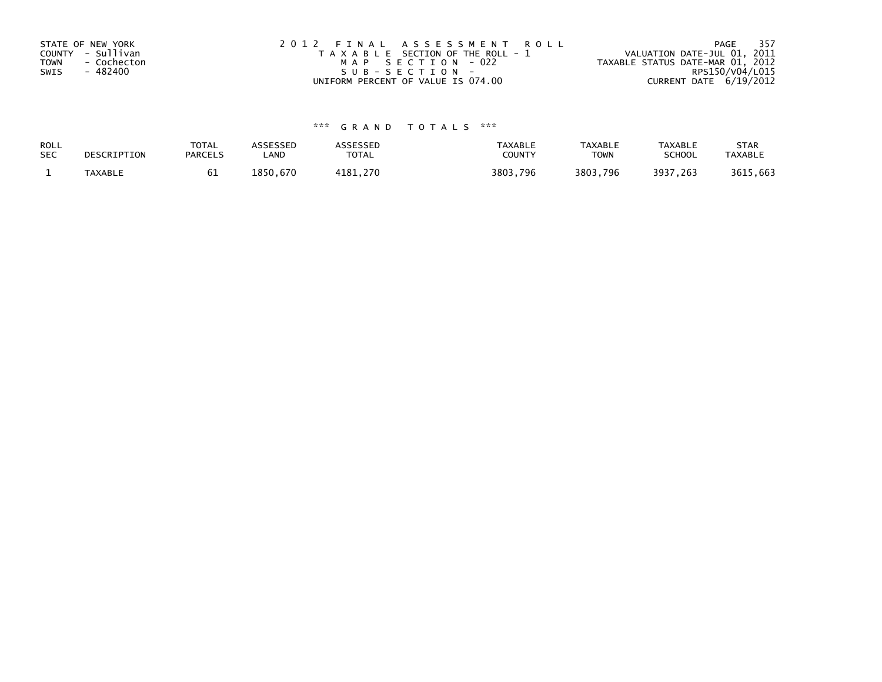| STATE OF NEW YORK          | 2012 FINAL ASSESSMENT ROLL            | 357<br>PAGE                      |
|----------------------------|---------------------------------------|----------------------------------|
| COUNTY - Sullivan          | T A X A B L E SECTION OF THE ROLL - 1 | VALUATION DATE-JUL 01, 2011      |
| <b>TOWN</b><br>- Cochecton | MAP SECTION - 022                     | TAXABLE STATUS DATE-MAR 01, 2012 |
| - 482400<br>SWIS           | SUB-SECTION-                          | RPS150/V04/L015                  |
|                            | UNIFORM PERCENT OF VALUE IS 074.00    | CURRENT DATE 6/19/2012           |

# \*\*\* G R A N D T O T A L S \*\*\*

| ROLL<br><b>SEC</b> | DESCRIPTION | <b>TOTAL</b><br><b>PARCELS</b> | ASSESSED<br>LAND | <b>\SSESSED</b><br>TOTAL | TAXABLE<br>COUNTY | <b>TAXABLE</b><br><b>TOWN</b> | <b>TAXABLE</b><br><b>SCHOOL</b> | <b>STAR</b><br><b>TAXABLE</b> |
|--------------------|-------------|--------------------------------|------------------|--------------------------|-------------------|-------------------------------|---------------------------------|-------------------------------|
|                    | TAXABLE     | υ⊥                             | .850.<br>.670    | . 270<br>11 R 1          | 3803,796          | 3803,796                      | 3937,263                        | 3615,663                      |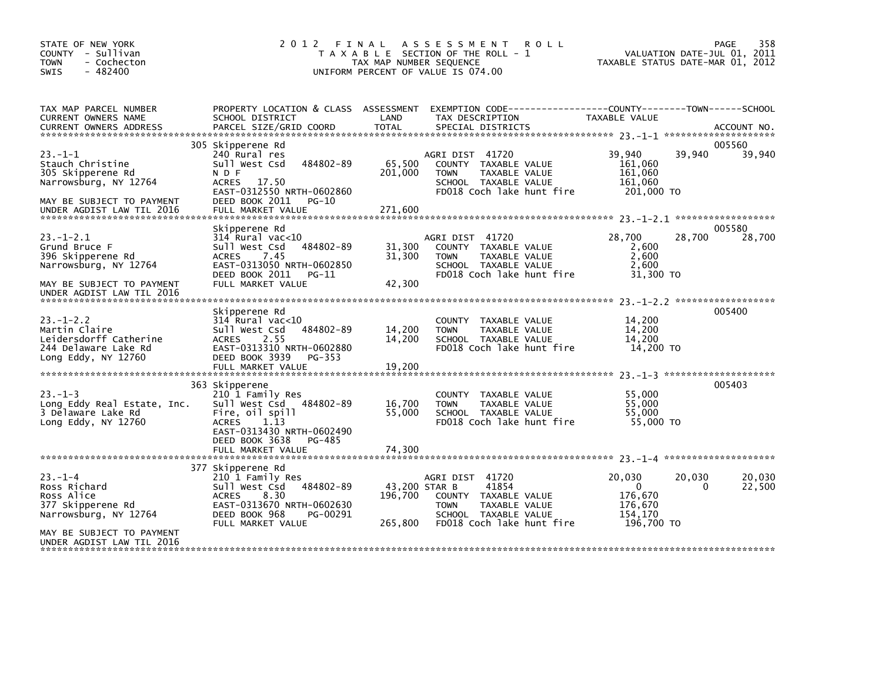| EXEMPTION CODE------------------COUNTY--------TOWN------SCHOOL<br>TAX MAP PARCEL NUMBER<br>PROPERTY LOCATION & CLASS ASSESSMENT                                                                                                                                                                                                                                                                                                                                                                                                                                                                                              | STATE OF NEW YORK<br>COUNTY - Sullivan<br>- Cochecton<br>$-482400$ | 2012 FINAL      | TAX MAP NUMBER SEQUENCE | A S S E S S M E N T<br>T A X A B L E SECTION OF THE ROLL - 1<br>UNIFORM PERCENT OF VALUE IS 074.00 | <b>ROLL</b> | TAXABLE STATUS DATE-MAR 01, 2012 | 358<br>PAGE<br>VALUATION DATE-JUL 01, 2011 |
|------------------------------------------------------------------------------------------------------------------------------------------------------------------------------------------------------------------------------------------------------------------------------------------------------------------------------------------------------------------------------------------------------------------------------------------------------------------------------------------------------------------------------------------------------------------------------------------------------------------------------|--------------------------------------------------------------------|-----------------|-------------------------|----------------------------------------------------------------------------------------------------|-------------|----------------------------------|--------------------------------------------|
| <b>TOTAL</b><br>PARCEL SIZE/GRID COORD<br><b>CURRENT OWNERS ADDRESS</b><br>SPECIAL DISTRICTS<br>ACCOUNT NO.                                                                                                                                                                                                                                                                                                                                                                                                                                                                                                                  | CURRENT OWNERS NAME                                                | SCHOOL DISTRICT | LAND                    | TAX DESCRIPTION                                                                                    |             | TAXABLE VALUE                    |                                            |
| 305 Skipperene Rd<br>005560<br>$23 - 1 - 1$<br>39,940<br>39,940<br>39,940<br>240 Rural res<br>AGRI DIST 41720<br>484802-89<br>65,500<br>Stauch Christine<br>Sull West Csd<br>COUNTY TAXABLE VALUE<br>161,060<br>161,060<br>305 Skipperene Rd<br>N D F<br>201,000<br><b>TOWN</b><br>TAXABLE VALUE<br>ACRES 17.50<br>161,060<br>Narrowsburg, NY 12764<br>SCHOOL TAXABLE VALUE<br>FD018 Coch lake hunt fire<br>201,000 TO<br>EAST-0312550 NRTH-0602860<br>DEED BOOK 2011<br>PG-10<br>MAY BE SUBJECT TO PAYMENT<br>FULL MARKET VALUE<br>271,600<br>UNDER AGDIST LAW TIL 2016                                                     |                                                                    |                 |                         |                                                                                                    |             |                                  |                                            |
| 005580<br>Skipperene Rd<br>$23. - 1 - 2.1$<br>28,700<br>28,700<br>$314$ Rural vac< $10$<br>AGRI DIST 41720<br>28,700<br>484802-89<br>31,300<br>Grund Bruce F<br>Sull West Csd<br>COUNTY TAXABLE VALUE<br>2.600<br>7.45<br>31,300<br>2,600<br>396 Skipperene Rd<br><b>ACRES</b><br>TAXABLE VALUE<br><b>TOWN</b><br>EAST-0313050 NRTH-0602850<br>2,600<br>Narrowsburg, NY 12764<br>SCHOOL TAXABLE VALUE<br>FD018 Coch lake hunt fire<br>DEED BOOK 2011<br>31,300 TO<br>PG-11<br>42,300<br>FULL MARKET VALUE<br>MAY BE SUBJECT TO PAYMENT<br>UNDER AGDIST LAW TIL 2016                                                          |                                                                    |                 |                         |                                                                                                    |             |                                  |                                            |
| 005400<br>Skipperene Rd<br>$23. - 1 - 2.2$<br>$314$ Rural vac<10<br>14,200<br>COUNTY TAXABLE VALUE<br>Martin Claire<br>Sull West Csd<br>484802-89<br>14,200<br>14,200<br>TAXABLE VALUE<br><b>TOWN</b><br>Leidersdorff Catherine<br>2.55<br>14,200<br>14,200<br><b>ACRES</b><br>SCHOOL TAXABLE VALUE<br>14,200 TO<br>244 Delaware Lake Rd<br>EAST-0313310 NRTH-0602880<br>FD018 Coch lake hunt fire<br>DEED BOOK 3939<br>Long Eddy, NY $12760$<br>PG-353<br>19,200<br>FULL MARKET VALUE                                                                                                                                       |                                                                    |                 |                         |                                                                                                    |             |                                  |                                            |
| 363 Skipperene<br>005403<br>$23 - 1 - 3$<br>210 1 Family Res<br>55,000<br>COUNTY TAXABLE VALUE<br>Sull West Csd 484802-89<br>16,700<br>55,000<br>Long Eddy Real Estate, Inc.<br><b>TOWN</b><br>TAXABLE VALUE<br>3 Delaware Lake Rd<br>Fire, oil spill<br>55,000<br>55,000<br>SCHOOL TAXABLE VALUE<br>Long Eddy, NY $12760$<br><b>ACRES</b><br>1.13<br>FD018 Coch lake hunt fire<br>55,000 TO<br>EAST-0313430 NRTH-0602490<br>DEED BOOK 3638<br>PG-485<br>FULL MARKET VALUE<br>74,300                                                                                                                                         |                                                                    |                 |                         |                                                                                                    |             |                                  |                                            |
| 377 Skipperene Rd<br>$23 - 1 - 4$<br>20,030<br>210 1 Family Res<br>AGRI DIST 41720<br>20,030<br>20,030<br>Sull West Csd 484802-89<br>43,200 STAR B<br>41854<br>22,500<br>Ross Richard<br>$\Omega$<br>$\Omega$<br>Ross Alice<br>196,700<br>8.30<br>COUNTY TAXABLE VALUE<br>176,670<br><b>ACRES</b><br>EAST-0313670 NRTH-0602630<br>176.670<br>377 Skipperene Rd<br><b>TOWN</b><br>TAXABLE VALUE<br>DEED BOOK 968<br>Narrowsburg, NY 12764<br>PG-00291<br>SCHOOL TAXABLE VALUE<br>154.170<br>FD018 Coch lake hunt fire<br>196,700 TO<br>FULL MARKET VALUE<br>265,800<br>MAY BE SUBJECT TO PAYMENT<br>UNDER AGDIST LAW TIL 2016 |                                                                    |                 |                         |                                                                                                    |             |                                  |                                            |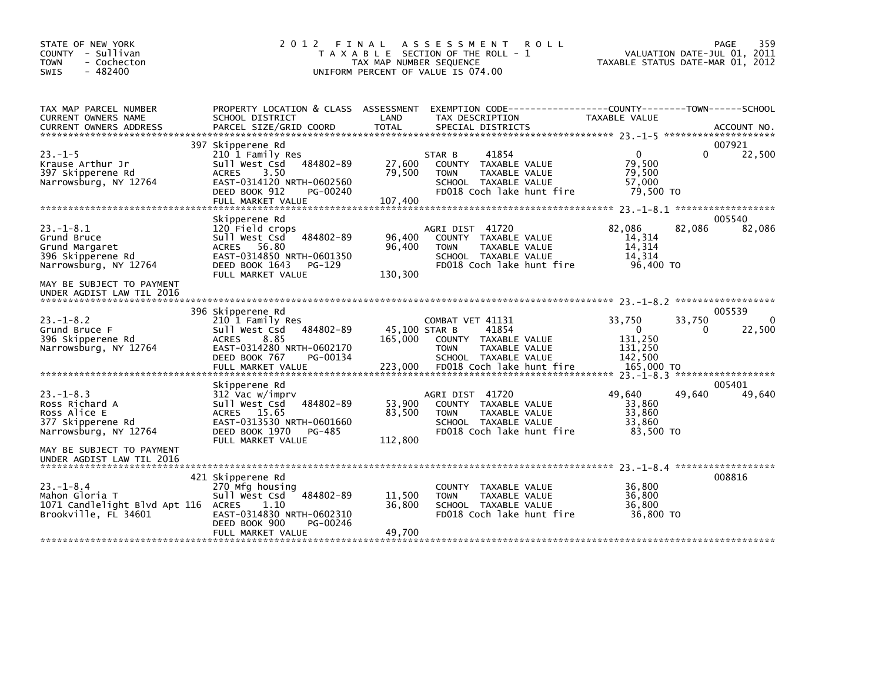| STATE OF NEW YORK<br>COUNTY - Sullivan<br><b>TOWN</b><br>- Cochecton<br>$-482400$<br><b>SWIS</b>                                                        | 2 0 1 2<br>FINAL                                                                                                                                                           | TAX MAP NUMBER SEQUENCE             | A S S E S S M E N T<br><b>ROLL</b><br>T A X A B L E SECTION OF THE ROLL - 1<br>UNIFORM PERCENT OF VALUE IS 074.00                       | VALUATION DATE-JUL 01, 2011<br>TAXABLE STATUS DATE-MAR 01, 2012                  | PAGE<br>359                  |
|---------------------------------------------------------------------------------------------------------------------------------------------------------|----------------------------------------------------------------------------------------------------------------------------------------------------------------------------|-------------------------------------|-----------------------------------------------------------------------------------------------------------------------------------------|----------------------------------------------------------------------------------|------------------------------|
| TAX MAP PARCEL NUMBER<br>CURRENT OWNERS NAME<br><b>CURRENT OWNERS ADDRESS</b>                                                                           | SCHOOL DISTRICT<br>PARCEL SIZE/GRID COORD                                                                                                                                  | LAND<br><b>TOTAL</b>                | PROPERTY LOCATION & CLASS ASSESSMENT EXEMPTION CODE---------------COUNTY-------TOWN------SCHOOL<br>TAX DESCRIPTION<br>SPECIAL DISTRICTS | TAXABLE VALUE                                                                    | ACCOUNT NO.                  |
| $23. -1 - 5$<br>Krause Arthur Jr<br>397 Skipperene Rd<br>Narrowsburg, NY 12764                                                                          | 397 Skipperene Rd<br>210 1 Family Res<br>484802-89<br>Sull West Csd<br>3.50<br><b>ACRES</b><br>EAST-0314120 NRTH-0602560<br>DEED BOOK 912<br>PG-00240<br>FULL MARKET VALUE | 27,600<br>79,500<br>107,400         | 41854<br>STAR B<br>COUNTY TAXABLE VALUE<br>TAXABLE VALUE<br><b>TOWN</b><br>SCHOOL TAXABLE VALUE<br>FD018 Coch lake hunt fire            | $\mathbf{0}$<br>0<br>79,500<br>79,500<br>57,000<br>79,500 TO                     | 007921<br>22,500             |
| $23 - 1 - 8.1$<br>Grund Bruce<br>Grund Margaret<br>396 Skipperene Rd<br>Narrowsburg, NY 12764<br>MAY BE SUBJECT TO PAYMENT<br>UNDER AGDIST LAW TIL 2016 | Skipperene Rd<br>120 Field crops<br>Sull West Csd<br>484802-89<br>ACRES 56.80<br>EAST-0314850 NRTH-0601350<br>DEED BOOK 1643<br>PG-129<br>FULL MARKET VALUE                | 96,400<br>96,400<br>130,300         | AGRI DIST 41720<br>COUNTY TAXABLE VALUE<br><b>TAXABLE VALUE</b><br><b>TOWN</b><br>SCHOOL TAXABLE VALUE<br>FD018 Coch lake hunt fire     | 82,086<br>82,086<br>14,314<br>14,314<br>14.314<br>96,400 TO                      | 005540<br>82,086             |
| $23 - 1 - 8.2$<br>Grund Bruce F<br>396 Skipperene Rd<br>Narrowsburg, NY 12764                                                                           | 396 Skipperene Rd<br>210 1 Family Res<br>Sull West Csd<br>484802-89<br><b>ACRES</b><br>8.85<br>EAST-0314280 NRTH-0602170<br>DEED BOOK 767<br>PG-00134<br>FULL MARKET VALUE | 45,100 STAR B<br>165,000<br>223,000 | COMBAT VET 41131<br>41854<br>COUNTY TAXABLE VALUE<br><b>TOWN</b><br>TAXABLE VALUE<br>SCHOOL TAXABLE VALUE<br>FD018 Coch lake hunt fire  | 33,750<br>33,750<br>$\Omega$<br>0<br>131,250<br>131,250<br>142,500<br>165,000 TO | 005539<br>$\Omega$<br>22,500 |
| $23 - 1 - 8.3$<br>Ross Richard A<br>Ross Alice E<br>377 Skipperene Rd<br>Narrowsburg, NY 12764<br>MAY BE SUBJECT TO PAYMENT                             | Skipperene Rd<br>312 Vac w/imprv<br>Sull West Csd<br>484802-89<br>ACRES 15.65<br>EAST-0313530 NRTH-0601660<br>DEED BOOK 1970<br>PG-485<br>FULL MARKET VALUE                | 53,900<br>83,500<br>112,800         | AGRI DIST 41720<br>COUNTY TAXABLE VALUE<br>TAXABLE VALUE<br><b>TOWN</b><br>SCHOOL TAXABLE VALUE<br>FD018 Coch lake hunt fire            | 49,640<br>49,640<br>33,860<br>33,860<br>33.860<br>83,500 TO                      | 005401<br>49,640             |
| UNDER AGDIST LAW TIL 2016<br>$23 - 1 - 8.4$<br>Mahon Gloria T<br>1071 Candlelight Blvd Apt 116 ACRES<br>Brookville, FL 34601                            | 421 Skipperene Rd<br>270 Mfg housing<br>Sull West Csd<br>484802-89<br>1.10<br>EAST-0314830 NRTH-0602310<br>DEED BOOK 900<br>PG-00246<br>FULL MARKET VALUE                  | 11,500<br>36,800<br>49,700          | COUNTY TAXABLE VALUE<br>TAXABLE VALUE<br><b>TOWN</b><br>SCHOOL TAXABLE VALUE<br>FD018 Coch lake hunt fire                               | 36,800<br>36,800<br>36,800<br>36,800 TO                                          | 008816                       |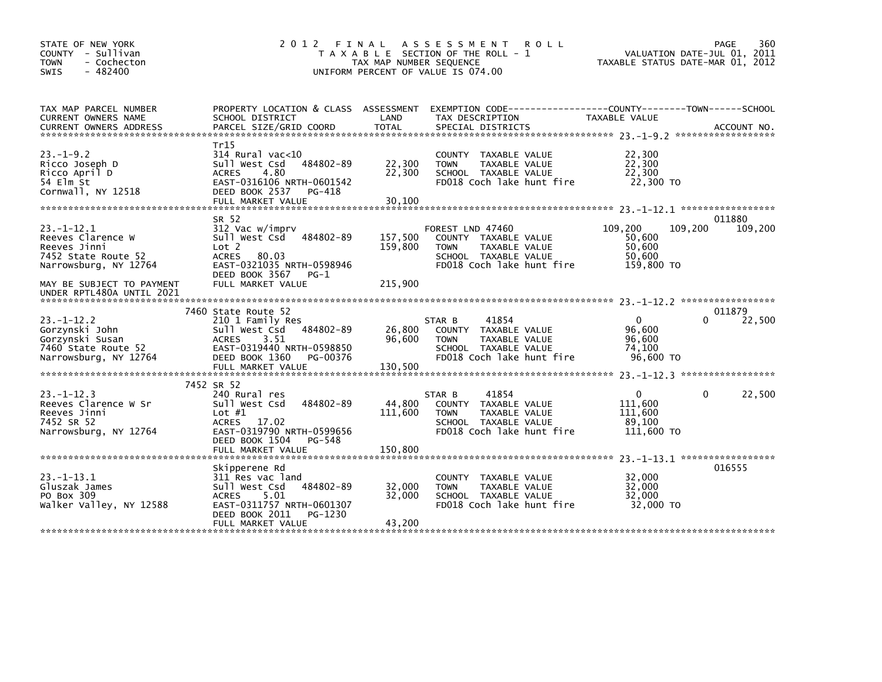| STATE OF NEW YORK<br>COUNTY - Sullivan<br><b>TOWN</b><br>- Cochecton<br>$-482400$<br><b>SWIS</b>      | 2012 FINAL                                                                                                                                   | TAX MAP NUMBER SEQUENCE | ASSESSMENT ROLL<br>T A X A B L E SECTION OF THE ROLL - 1<br>UNIFORM PERCENT OF VALUE IS 074.00                                | VALUATION DATE-JUL 01, 2011<br>TAXABLE STATUS DATE-MAR 01, 2012 | 360<br>PAGE       |
|-------------------------------------------------------------------------------------------------------|----------------------------------------------------------------------------------------------------------------------------------------------|-------------------------|-------------------------------------------------------------------------------------------------------------------------------|-----------------------------------------------------------------|-------------------|
| TAX MAP PARCEL NUMBER<br>CURRENT OWNERS NAME<br><b>CURRENT OWNERS ADDRESS</b>                         | PROPERTY LOCATION & CLASS ASSESSMENT<br>SCHOOL DISTRICT<br>PARCEL SIZE/GRID COORD                                                            | LAND<br><b>TOTAL</b>    | TAX DESCRIPTION<br>SPECIAL DISTRICTS                                                                                          | TAXABLE VALUE                                                   | ACCOUNT NO.       |
| $23 - 1 - 9.2$<br>Ricco Joseph D<br>Ricco April D<br>54 Elm St<br>Cornwall, NY 12518                  | Tr15<br>$314$ Rural vac<10<br>484802-89<br>Sull West Csd<br><b>ACRES</b><br>4.80<br>EAST-0316106 NRTH-0601542<br>DEED BOOK 2537<br>PG-418    | 22,300<br>22,300        | COUNTY TAXABLE VALUE<br><b>TOWN</b><br>TAXABLE VALUE<br>SCHOOL TAXABLE VALUE<br>FD018 Coch lake hunt fire                     | 22,300<br>22,300<br>22,300<br>22,300 TO                         |                   |
|                                                                                                       | FULL MARKET VALUE                                                                                                                            | 30,100                  |                                                                                                                               |                                                                 |                   |
| $23 - 1 - 12.1$<br>Reeves Clarence W<br>Reeves Jinni<br>7452 State Route 52<br>Narrowsburg, NY 12764  | SR 52<br>312 Vac w/imprv<br>Sull West Csd<br>484802-89<br>Lot 2<br><b>ACRES</b><br>80.03<br>EAST-0321035 NRTH-0598946<br>DEED BOOK 3567 PG-1 | 157,500<br>159,800      | FOREST LND 47460<br>COUNTY TAXABLE VALUE<br>TAXABLE VALUE<br><b>TOWN</b><br>SCHOOL TAXABLE VALUE<br>FD018 Coch lake hunt fire | 109,200<br>109.200<br>50,600<br>50,600<br>50,600<br>159,800 TO  | 011880<br>109,200 |
| MAY BE SUBJECT TO PAYMENT<br>UNDER RPTL480A UNTIL 2021                                                | FULL MARKET VALUE                                                                                                                            | 215,900                 |                                                                                                                               |                                                                 |                   |
|                                                                                                       | 7460 State Route 52                                                                                                                          |                         |                                                                                                                               |                                                                 | 011879            |
| $23. - 1 - 12.2$<br>Gorzynski John<br>Gorzynski Susan<br>7460 State Route 52<br>Narrowsburg, NY 12764 | 210 1 Family Res<br>484802-89<br>Sull West Csd<br><b>ACRES</b><br>3.51<br>EAST-0319440 NRTH-0598850<br>DEED BOOK 1360<br>PG-00376            | 26,800<br>96,600        | 41854<br>STAR B<br>COUNTY TAXABLE VALUE<br>TAXABLE VALUE<br><b>TOWN</b><br>SCHOOL TAXABLE VALUE<br>FD018 Coch lake hunt fire  | $\mathbf{0}$<br>0<br>96,600<br>96,600<br>74.100<br>96,600 TO    | 22,500            |
|                                                                                                       |                                                                                                                                              |                         |                                                                                                                               |                                                                 |                   |
|                                                                                                       | 7452 SR 52                                                                                                                                   |                         |                                                                                                                               |                                                                 |                   |
| $23 - 1 - 12.3$<br>Reeves Clarence W Sr<br>Reeves Jinni<br>7452 SR 52<br>Narrowsburg, NY 12764        | 240 Rural res<br>484802-89<br>Sull West Csd<br>Lot $#1$<br>ACRES<br>17.02<br>EAST-0319790 NRTH-0599656<br>DEED BOOK 1504<br>PG-548           | 44,800<br>111,600       | 41854<br>STAR B<br>COUNTY TAXABLE VALUE<br><b>TOWN</b><br>TAXABLE VALUE<br>SCHOOL TAXABLE VALUE<br>FD018 Coch lake hunt fire  | 0<br>0<br>111,600<br>111,600<br>89,100<br>111,600 TO            | 22,500            |
|                                                                                                       | FULL MARKET VALUE                                                                                                                            | 150,800                 |                                                                                                                               |                                                                 |                   |
|                                                                                                       | Skipperene Rd                                                                                                                                |                         |                                                                                                                               |                                                                 | 016555            |
| $23 - 1 - 13.1$<br>Gluszak James<br>PO Box 309<br>walker Valley, NY 12588                             | 311 Res vac land<br>Sull West Csd<br>484802-89<br>5.01<br><b>ACRES</b><br>EAST-0311757 NRTH-0601307<br>DEED BOOK 2011<br>PG-1230             | 32,000<br>32,000        | <b>COUNTY</b><br>TAXABLE VALUE<br>TAXABLE VALUE<br><b>TOWN</b><br>SCHOOL TAXABLE VALUE<br>FD018 Coch lake hunt fire           | 32,000<br>32,000<br>32,000<br>32,000 TO                         |                   |
|                                                                                                       | FULL MARKET VALUE                                                                                                                            | 43,200                  |                                                                                                                               |                                                                 |                   |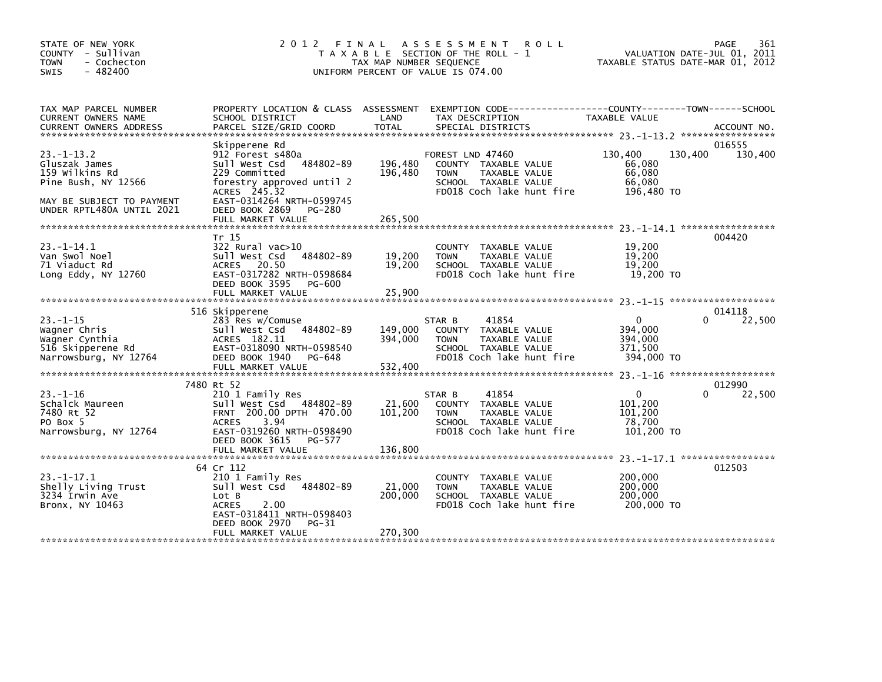| STATE OF NEW YORK<br>COUNTY - Sullivan<br>- Cochecton<br><b>TOWN</b><br>$-482400$<br><b>SWIS</b>                                    | 2012 FINAL                                                                                                                                                                                                  | TAX MAP NUMBER SEQUENCE       | A S S E S S M E N T R O L L<br>T A X A B L E SECTION OF THE ROLL - 1<br>UNIFORM PERCENT OF VALUE IS 074.00                          | VALUATION DATE-JUL 01, 2011<br>TAXABLE STATUS DATE-MAR 01, 2012  | 361<br>PAGE       |
|-------------------------------------------------------------------------------------------------------------------------------------|-------------------------------------------------------------------------------------------------------------------------------------------------------------------------------------------------------------|-------------------------------|-------------------------------------------------------------------------------------------------------------------------------------|------------------------------------------------------------------|-------------------|
| TAX MAP PARCEL NUMBER<br>CURRENT OWNERS NAME                                                                                        | PROPERTY LOCATION & CLASS ASSESSMENT<br>SCHOOL DISTRICT                                                                                                                                                     | LAND                          | EXEMPTION CODE-----------------COUNTY-------TOWN------SCHOOL<br>TAX DESCRIPTION                                                     | TAXABLE VALUE                                                    |                   |
| $23 - 1 - 13.2$<br>Gluszak James<br>159 Wilkins Rd<br>Pine Bush, NY 12566<br>MAY BE SUBJECT TO PAYMENT<br>UNDER RPTL480A UNTIL 2021 | Skipperene Rd<br>912 Forest s480a<br>484802-89<br>Sull West Csd<br>229 Committed<br>forestry approved until 2<br>ACRES 245.32<br>EAST-0314264 NRTH-0599745<br>DEED BOOK 2869<br>PG-280<br>FULL MARKET VALUE | 196,480<br>196,480<br>265,500 | FOREST LND 47460<br>COUNTY TAXABLE VALUE<br><b>TOWN</b><br>TAXABLE VALUE<br>SCHOOL TAXABLE VALUE<br>FD018 Coch lake hunt fire       | 130,400<br>130,400<br>66,080<br>66,080<br>66,080<br>196,480 TO   | 016555<br>130,400 |
|                                                                                                                                     |                                                                                                                                                                                                             |                               |                                                                                                                                     |                                                                  |                   |
| 23. –1–14.1<br>Van Swol Noel<br>71 Viaduct Rd<br>Long Eddy, $NY$ 12760                                                              | Tr 15<br>322 Rural vac>10<br>sull west Csd<br>484802-89<br>ACRES 20.50<br>EAST-0317282 NRTH-0598684<br>DEED BOOK 3595<br>PG-600<br>FULL MARKET VALUE                                                        | 19,200<br>19,200<br>25,900    | COUNTY TAXABLE VALUE<br>TAXABLE VALUE<br><b>TOWN</b><br>SCHOOL TAXABLE VALUE<br>FD018 Coch lake hunt fire                           | 19,200<br>19,200<br>19,200<br>19,200 TO                          | 004420            |
|                                                                                                                                     |                                                                                                                                                                                                             |                               |                                                                                                                                     |                                                                  | 014118            |
| $23 - 1 - 15$<br>Wagner Chris<br>Wagner Cynthia<br>516 Skipperene Rd<br>Narrowsburg, NY 12764                                       | 516 Skipperene<br>283 Res w/Comuse<br>Sull West Csd<br>484802-89<br>ACRES 182.11<br>EAST-0318090 NRTH-0598540<br>DEED BOOK 1940<br>PG-648<br>FULL MARKET VALUE                                              | 149,000<br>394,000<br>532,400 | 41854<br>STAR B<br>COUNTY TAXABLE VALUE<br><b>TOWN</b><br><b>TAXABLE VALUE</b><br>SCHOOL TAXABLE VALUE<br>FD018 Coch lake hunt fire | $\mathbf{0}$<br>0<br>394,000<br>394,000<br>371,500<br>394,000 TO | 22,500            |
|                                                                                                                                     |                                                                                                                                                                                                             |                               |                                                                                                                                     |                                                                  |                   |
| $23 - 1 - 16$<br>Schalck Maureen<br>7480 Rt 52<br>PO Box 5<br>Narrowsburg, NY 12764                                                 | 7480 Rt 52<br>210 1 Family Res<br>Sull West Csd 484802-89<br>FRNT 200.00 DPTH 470.00<br>3.94<br><b>ACRES</b><br>EAST-0319260 NRTH-0598490<br>DEED BOOK 3615<br>PG-577<br>FULL MARKET VALUE                  | 21,600<br>101,200<br>136,800  | 41854<br>STAR B<br>COUNTY TAXABLE VALUE<br>TAXABLE VALUE<br><b>TOWN</b><br>SCHOOL TAXABLE VALUE<br>FD018 Coch lake hunt fire        | $\mathbf{0}$<br>0<br>101,200<br>101,200<br>78,700<br>101,200 TO  | 012990<br>22,500  |
|                                                                                                                                     | 64 Cr 112                                                                                                                                                                                                   |                               |                                                                                                                                     |                                                                  | 012503            |
| $23. -1 - 17.1$<br>Shelly Living Trust<br>3234 Irwin Ave<br>Bronx, NY 10463                                                         | 210 1 Family Res<br>Sull West Csd 484802-89<br>Lot B<br><b>ACRES</b><br>2.00<br>EAST-0318411 NRTH-0598403<br>DEED BOOK 2970<br>PG-31                                                                        | 21,000<br>200,000             | COUNTY TAXABLE VALUE<br><b>TOWN</b><br>TAXABLE VALUE<br>SCHOOL TAXABLE VALUE<br>FD018 Coch lake hunt fire                           | 200,000<br>200,000<br>200,000<br>200,000 TO                      |                   |
|                                                                                                                                     | FULL MARKET VALUE                                                                                                                                                                                           | 270,300                       |                                                                                                                                     |                                                                  |                   |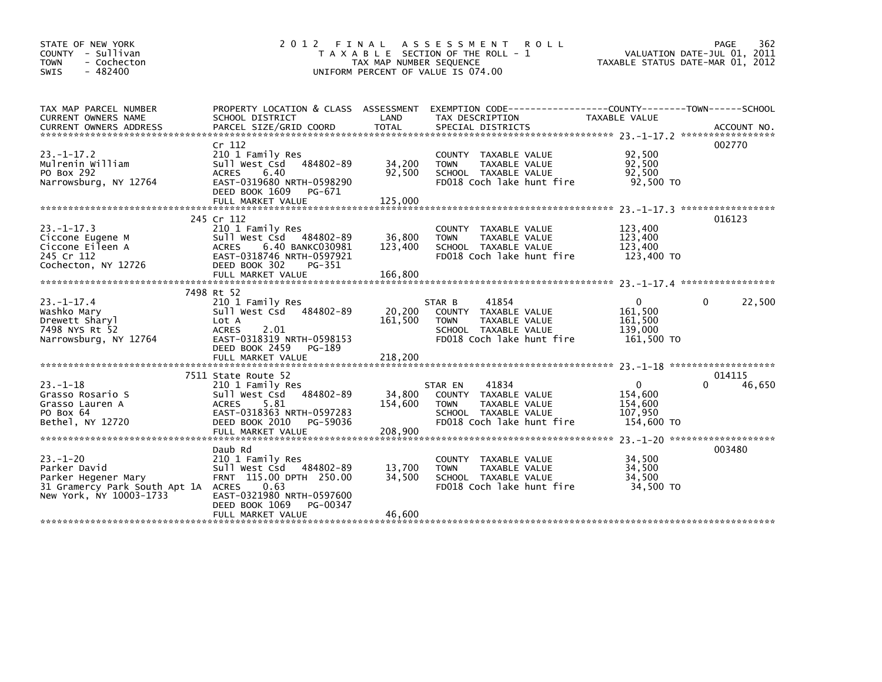| STATE OF NEW YORK<br>COUNTY - Sullivan<br>- Cochecton<br><b>TOWN</b><br>$-482400$<br><b>SWIS</b>                       | 2012 FINAL                                                                                                                                                                    | TAX MAP NUMBER SEQUENCE      | ASSESSMENT ROLL<br>T A X A B L E SECTION OF THE ROLL - 1<br>UNIFORM PERCENT OF VALUE IS 074.00                                         | VALUATION DATE-JUL 01, 2011<br>TAXABLE STATUS DATE-MAR 01, 2012                    | PAGE<br>362           |
|------------------------------------------------------------------------------------------------------------------------|-------------------------------------------------------------------------------------------------------------------------------------------------------------------------------|------------------------------|----------------------------------------------------------------------------------------------------------------------------------------|------------------------------------------------------------------------------------|-----------------------|
| TAX MAP PARCEL NUMBER<br>CURRENT OWNERS NAME<br><b>CURRENT OWNERS ADDRESS</b>                                          | PROPERTY LOCATION & CLASS ASSESSMENT<br>SCHOOL DISTRICT<br>PARCEL SIZE/GRID COORD                                                                                             | LAND<br><b>TOTAL</b>         | EXEMPTION        CODE-----------------COUNTY-------TOWN------SCHOOL<br>TAX DESCRIPTION<br>SPECIAL DISTRICTS                            | TAXABLE VALUE                                                                      | ACCOUNT NO.           |
| $23 - 1 - 17.2$<br>Mulrenin William<br>PO Box 292<br>Narrowsburg, NY 12764                                             | Cr 112<br>210 1 Family Res<br>Sull West Csd<br>484802-89<br><b>ACRES</b><br>6.40<br>EAST-0319680 NRTH-0598290<br>DEED BOOK 1609<br>PG-671                                     | 34,200<br>92,500             | COUNTY TAXABLE VALUE<br>TAXABLE VALUE<br><b>TOWN</b><br>SCHOOL TAXABLE VALUE<br>FD018 Coch lake hunt fire                              | 92,500<br>92,500<br>92,500<br>92,500 TO                                            | 002770                |
|                                                                                                                        | FULL MARKET VALUE                                                                                                                                                             | 125,000                      |                                                                                                                                        |                                                                                    |                       |
| $23 - 1 - 17.3$<br>Ciccone Eugene M<br>Ciccone Eileen A<br>245 Cr 112<br>Cochecton, NY 12726                           | 245 Cr 112<br>210 1 Family Res<br>Sull West Csd<br>484802-89<br><b>ACRES</b><br>6.40 BANKC030981<br>EAST-0318746 NRTH-0597921<br>DEED BOOK 302<br>PG-351                      | 36,800<br>123,400            | COUNTY TAXABLE VALUE<br><b>TAXABLE VALUE</b><br><b>TOWN</b><br>SCHOOL TAXABLE VALUE<br>FD018 Coch lake hunt fire                       | 123,400<br>123,400<br>123,400<br>123,400 TO                                        | 016123                |
|                                                                                                                        | FULL MARKET VALUE                                                                                                                                                             | 166,800                      |                                                                                                                                        |                                                                                    |                       |
| $23 - 1 - 17.4$<br>Washko Mary<br>Drewett Sharyl<br>7498 NYS Rt 52<br>Narrowsburg, NY 12764                            | 7498 Rt 52<br>210 1 Family Res<br>Sull West Csd<br>484802-89<br>Lot A<br><b>ACRES</b><br>2.01<br>EAST-0318319 NRTH-0598153<br>DEED BOOK 2459<br>PG-189                        | 20,200<br>161,500            | 41854<br>STAR B<br><b>COUNTY</b><br>TAXABLE VALUE<br>TAXABLE VALUE<br><b>TOWN</b><br>SCHOOL TAXABLE VALUE<br>FD018 Coch lake hunt fire | 0<br>161,500<br>161.500<br>139,000<br>161,500 TO                                   | 22,500<br>0           |
|                                                                                                                        | FULL MARKET VALUE                                                                                                                                                             | 218,200                      |                                                                                                                                        |                                                                                    |                       |
| $23 - 1 - 18$<br>Grasso Rosario S<br>Grasso Lauren A<br>PO Box 64<br>Bethel, NY 12720                                  | 7511 State Route 52<br>210 1 Family Res<br>Sull West Csd<br>484802-89<br><b>ACRES</b><br>5.81<br>EAST-0318363 NRTH-0597283<br>DEED BOOK 2010<br>PG-59036<br>FULL MARKET VALUE | 34,800<br>154,600<br>208,900 | 41834<br>STAR EN<br>COUNTY TAXABLE VALUE<br><b>TOWN</b><br>TAXABLE VALUE<br>SCHOOL TAXABLE VALUE<br>FD018 Coch lake hunt fire          | 0<br>154,600<br>154,600<br>107,950<br>154,600 TO<br>23. -1-20 ******************** | 014115<br>0<br>46,650 |
|                                                                                                                        | Daub Rd                                                                                                                                                                       |                              |                                                                                                                                        |                                                                                    | 003480                |
| $23 - 1 - 20$<br>Parker David<br>Parker Hegener Mary<br>31 Gramercy Park South Apt 1A ACRES<br>New York, NY 10003-1733 | 210 1 Family Res<br>Sull West Csd 484802-89<br>FRNT 115.00 DPTH 250.00<br>0.63<br>EAST-0321980 NRTH-0597600<br>DEED BOOK 1069<br>PG-00347                                     | 13,700<br>34,500             | COUNTY TAXABLE VALUE<br><b>TOWN</b><br>TAXABLE VALUE<br>SCHOOL TAXABLE VALUE<br>FD018 Coch lake hunt fire                              | 34,500<br>34,500<br>34.500<br>34,500 TO                                            |                       |
|                                                                                                                        | FULL MARKET VALUE                                                                                                                                                             | 46,600                       |                                                                                                                                        |                                                                                    |                       |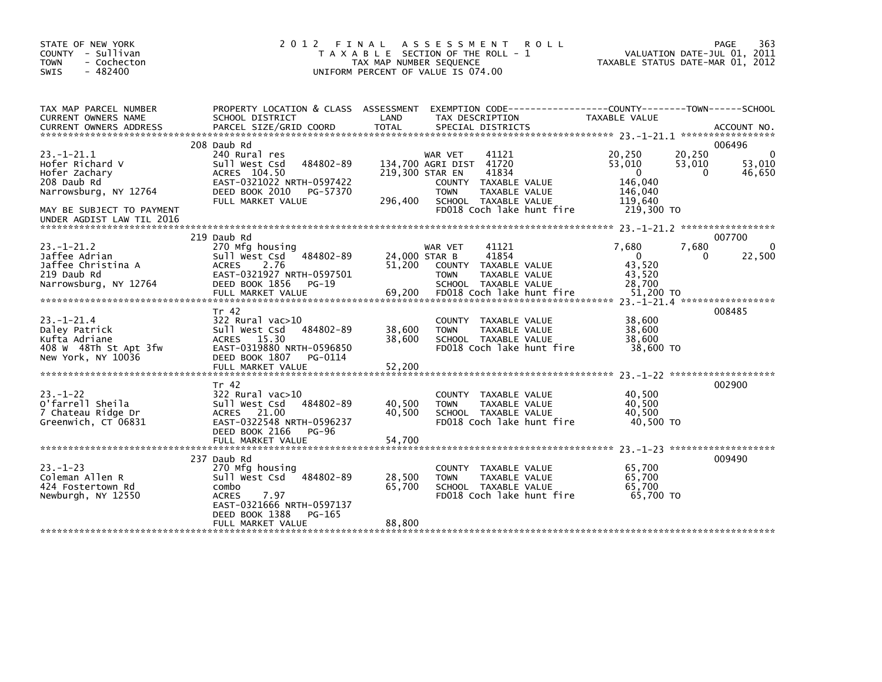| STATE OF NEW YORK<br>COUNTY - Sullivan<br>- Cochecton<br><b>TOWN</b><br>$-482400$<br><b>SWIS</b>                                                      | 2 0 1 2                                                                                                                                                                     | ASSESSMENT<br>FINAL<br><b>ROLL</b><br>T A X A B L E SECTION OF THE ROLL - 1<br>TAX MAP NUMBER SEQUENCE<br>UNIFORM PERCENT OF VALUE IS 074.00                                                       | 363<br>PAGE<br>VALUATION DATE-JUL 01, 2011<br>TAXABLE STATUS DATE-MAR 01, 2012                                                          |
|-------------------------------------------------------------------------------------------------------------------------------------------------------|-----------------------------------------------------------------------------------------------------------------------------------------------------------------------------|----------------------------------------------------------------------------------------------------------------------------------------------------------------------------------------------------|-----------------------------------------------------------------------------------------------------------------------------------------|
| TAX MAP PARCEL NUMBER<br>CURRENT OWNERS NAME<br><b>CURRENT OWNERS ADDRESS</b>                                                                         | PROPERTY LOCATION & CLASS ASSESSMENT<br>SCHOOL DISTRICT<br>PARCEL SIZE/GRID COORD                                                                                           | LAND<br>TAX DESCRIPTION<br><b>TOTAL</b><br>SPECIAL DISTRICTS                                                                                                                                       | EXEMPTION        CODE-----------------COUNTY-------TOWN------SCHOOL<br>TAXABLE VALUE<br>ACCOUNT NO.                                     |
| $23 - 1 - 21.1$<br>Hofer Richard V<br>Hofer Zachary<br>208 Daub Rd<br>Narrowsburg, NY 12764<br>MAY BE SUBJECT TO PAYMENT<br>UNDER AGDIST LAW TIL 2016 | 208 Daub Rd<br>240 Rural res<br>484802-89<br>Sull West Csd<br>ACRES 104.50<br>EAST-0321022 NRTH-0597422<br>DEED BOOK 2010<br>PG-57370<br>FULL MARKET VALUE                  | WAR VET<br>41121<br>134,700 AGRI DIST 41720<br>219,300 STAR EN<br>41834<br>COUNTY<br>TAXABLE VALUE<br>TAXABLE VALUE<br><b>TOWN</b><br>296,400<br>SCHOOL TAXABLE VALUE<br>FD018 Coch lake hunt fire | 006496<br>20,250<br>20,250<br>0<br>53,010<br>53,010<br>53,010<br>46,650<br>0<br>$\Omega$<br>146,040<br>146,040<br>119,640<br>219,300 TO |
| $23 - 1 - 21.2$<br>Jaffee Adrian<br>Jaffee Christina A<br>219 Daub Rd<br>Narrowsburg, NY 12764                                                        | 219 Daub Rd<br>270 Mfg housing<br>484802-89<br>Sull West Csd<br>2.76<br><b>ACRES</b><br>EAST-0321927 NRTH-0597501<br>DEED BOOK 1856<br>PG-19<br>FULL MARKET VALUE           | 41121<br>WAR VET<br>41854<br>24,000 STAR B<br>51.200<br>TAXABLE VALUE<br><b>COUNTY</b><br>TAXABLE VALUE<br><b>TOWN</b><br>SCHOOL TAXABLE VALUE<br>69,200<br>FD018 Coch lake hunt fire              | *****************<br>007700<br>7,680<br>7,680<br>0<br>22,500<br>$\mathbf{0}$<br>0<br>43.520<br>43,520<br>28,700<br>51,200 TO            |
| $23 - 1 - 21.4$<br>Daley Patrick<br>Kufta Adriane<br>408 W 48Th St Apt 3fw<br>New York, NY 10036                                                      | Tr 42<br>$322$ Rural vac $>10$<br>Sull West Csd<br>484802-89<br><b>ACRES</b><br>15.30<br>EAST-0319880 NRTH-0596850<br>DEED BOOK 1807<br>PG-0114<br>FULL MARKET VALUE        | COUNTY TAXABLE VALUE<br>38,600<br><b>TOWN</b><br>TAXABLE VALUE<br>38.600<br>SCHOOL TAXABLE VALUE<br>FD018 Coch lake hunt fire<br>52,200                                                            | 008485<br>38,600<br>38,600<br>38.600<br>38,600 TO                                                                                       |
| $23 - 1 - 22$<br>O'farrell Sheila<br>7 Chateau Ridge Dr<br>Greenwich, CT 06831                                                                        | Tr 42<br>$322$ Rural vac $>10$<br>484802-89<br>Sull West Csd<br>ACRES 21.00<br>EAST-0322548 NRTH-0596237<br>DEED BOOK 2166<br><b>PG-96</b><br>FULL MARKET VALUE             | TAXABLE VALUE<br><b>COUNTY</b><br>40,500<br><b>TAXABLE VALUE</b><br><b>TOWN</b><br>40,500<br>SCHOOL TAXABLE VALUE<br>FD018 Coch lake hunt fire<br>54,700                                           | 002900<br>40,500<br>40,500<br>40.500<br>40.500 TO                                                                                       |
| $23. - 1 - 23$<br>Coleman Allen R<br>424 Fostertown Rd<br>Newburgh, NY 12550                                                                          | 237 Daub Rd<br>270 Mfg housing<br>Sull West Csd<br>484802-89<br>combo<br><b>ACRES</b><br>7.97<br>EAST-0321666 NRTH-0597137<br>DEED BOOK 1388<br>PG-165<br>FULL MARKET VALUE | COUNTY TAXABLE VALUE<br>28,500<br>TAXABLE VALUE<br><b>TOWN</b><br>65,700<br>SCHOOL TAXABLE VALUE<br>FD018 Coch lake hunt fire<br>88,800                                                            | 009490<br>65,700<br>65.700<br>65.700<br>65,700 TO                                                                                       |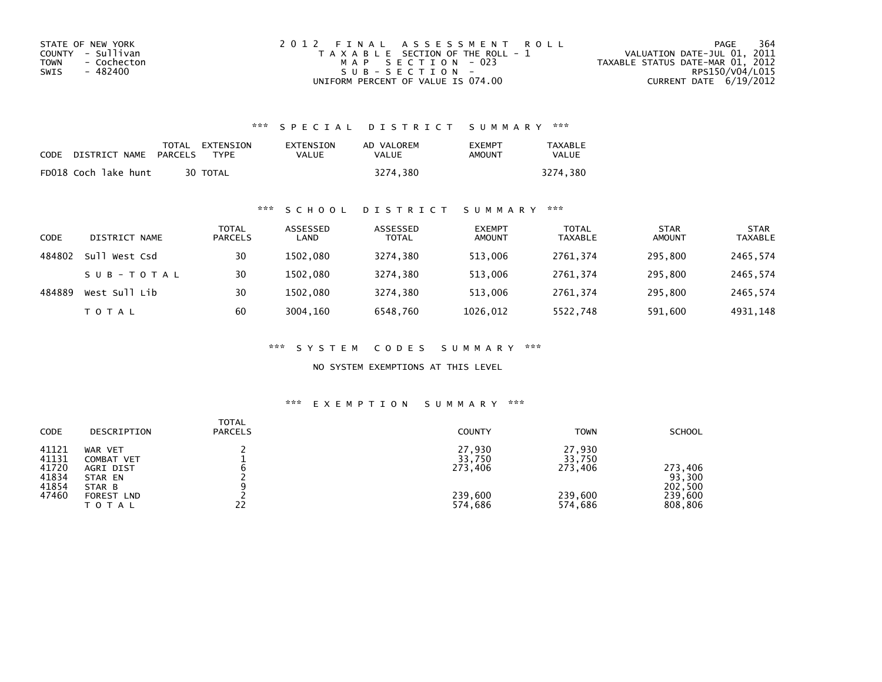| STATE OF NEW YORK   | 2012 FINAL ASSESSMENT ROLL            | 364<br>PAGE                      |
|---------------------|---------------------------------------|----------------------------------|
| COUNTY - Sullivan   | T A X A B L E SECTION OF THE ROLL - 1 | VALUATION DATE-JUL 01, 2011      |
| - Cochecton<br>TOWN | MAP SECTION - 023                     | TAXABLE STATUS DATE-MAR 01, 2012 |
| - 482400<br>SWIS    | SUB-SECTION-                          | RPS150/V04/L015                  |
|                     | UNIFORM PERCENT OF VALUE IS 074.00    | CURRENT DATE 6/19/2012           |

| CODE | DISTRICT NAME        | TOTAL EXTENSION<br>PARCELS | EXTENSION<br>VALUE<br>TYPF | AD VALOREM<br>VALUE | <b>FXFMPT</b><br>AMOUNT | <b>TAXABLE</b><br><b>VALUE</b> |
|------|----------------------|----------------------------|----------------------------|---------------------|-------------------------|--------------------------------|
|      | FD018 Coch lake hunt | 30 TOTAL                   |                            | 3274.380            |                         | 3274.380                       |

# \*\*\* S C H O O L D I S T R I C T S U M M A R Y \*\*\*

| CODE   | DISTRICT NAME    | TOTAL<br><b>PARCELS</b> | ASSESSED<br>LAND | ASSESSED<br><b>TOTAL</b> | <b>EXEMPT</b><br><b>AMOUNT</b> | <b>TOTAL</b><br><b>TAXABLE</b> | <b>STAR</b><br><b>AMOUNT</b> | <b>STAR</b><br><b>TAXABLE</b> |
|--------|------------------|-------------------------|------------------|--------------------------|--------------------------------|--------------------------------|------------------------------|-------------------------------|
| 484802 | Sull<br>West Csd | 30                      | 1502.080         | 3274,380                 | 513,006                        | 2761.374                       | 295,800                      | 2465,574                      |
|        | SUB-TOTAL        | 30                      | 1502.080         | 3274.380                 | 513,006                        | 2761.374                       | 295,800                      | 2465,574                      |
| 484889 | West Sull Lib    | 30                      | 1502.080         | 3274.380                 | 513,006                        | 2761.374                       | 295,800                      | 2465,574                      |
|        | T O T A L        | 60                      | 3004,160         | 6548,760                 | 1026,012                       | 5522,748                       | 591,600                      | 4931,148                      |

\*\*\* S Y S T E M C O D E S S U M M A R Y \*\*\*

NO SYSTEM EXEMPTIONS AT THIS LEVEL

| <b>CODE</b>                                        | DESCRIPTION                                                                                  | <b>TOTAL</b><br><b>PARCELS</b> | <b>COUNTY</b>                                     | <b>TOWN</b>                                       | <b>SCHOOL</b>                                      |
|----------------------------------------------------|----------------------------------------------------------------------------------------------|--------------------------------|---------------------------------------------------|---------------------------------------------------|----------------------------------------------------|
| 41121<br>41131<br>41720<br>41834<br>41854<br>47460 | WAR VET<br>COMBAT VET<br>AGRI DIST<br>STAR EN<br>STAR B<br><b>FOREST LND</b><br><b>TOTAL</b> | 22                             | 27,930<br>33,750<br>273.406<br>239,600<br>574,686 | 27,930<br>33,750<br>273.406<br>239,600<br>574,686 | 273.406<br>93,300<br>202,500<br>239,600<br>808,806 |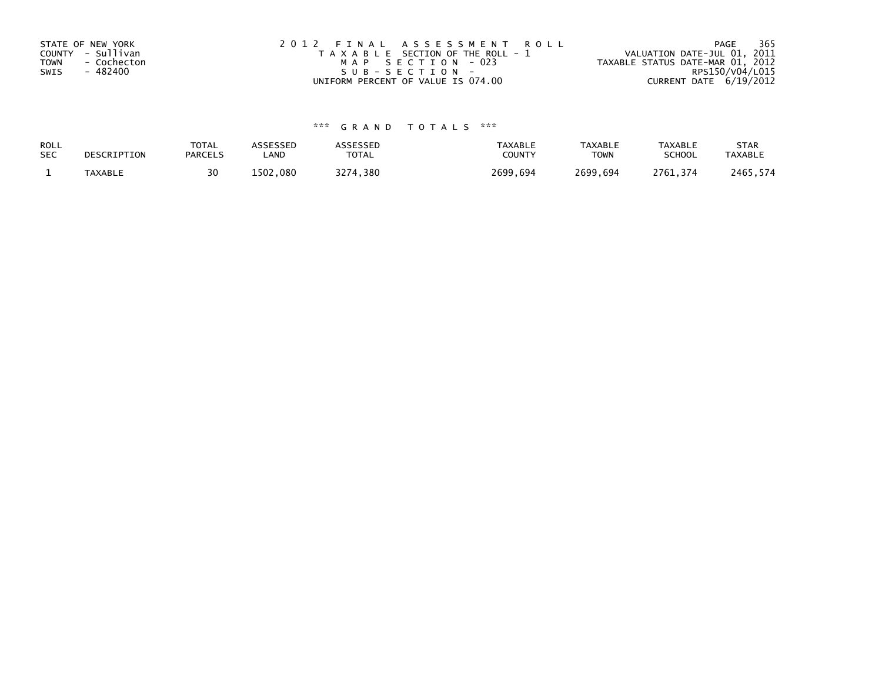| STATE OF NEW YORK<br>COUNTY - Sullivan<br><b>TOWN</b><br>- Cochecton<br>- 482400<br>SWIS | 2012 FINAL ASSESSMENT ROLL<br>T A X A B L E SECTION OF THE ROLL - 1<br>MAP SECTION - 023<br>SUB-SECTION- | - 365<br>PAGE<br>VALUATION DATE-JUL 01, 2011<br>TAXABLE STATUS DATE-MAR 01, 2012<br>RPS150/V04/L015 |
|------------------------------------------------------------------------------------------|----------------------------------------------------------------------------------------------------------|-----------------------------------------------------------------------------------------------------|
|                                                                                          | UNIFORM PERCENT OF VALUE IS 074.00                                                                       | CURRENT DATE 6/19/2012                                                                              |

| ROLL       | DESCRIPTION    | <b>TOTAL</b>   | ASSESSED | ASSESSED     | <b>TAXABLE</b> | <b>TAXABLE</b> | <b>TAXABLE</b> | <b>STAR</b>    |
|------------|----------------|----------------|----------|--------------|----------------|----------------|----------------|----------------|
| <b>SEC</b> |                | <b>PARCELS</b> | _AND     | <b>TOTAL</b> | COUNTY         | <b>TOWN</b>    | <b>SCHOOL</b>  | <b>TAXABLE</b> |
|            | <b>TAXABLE</b> |                | 1502,080 | 3274,380     | 2699.694       | 2699,694       | 2761.374       | 2465,574       |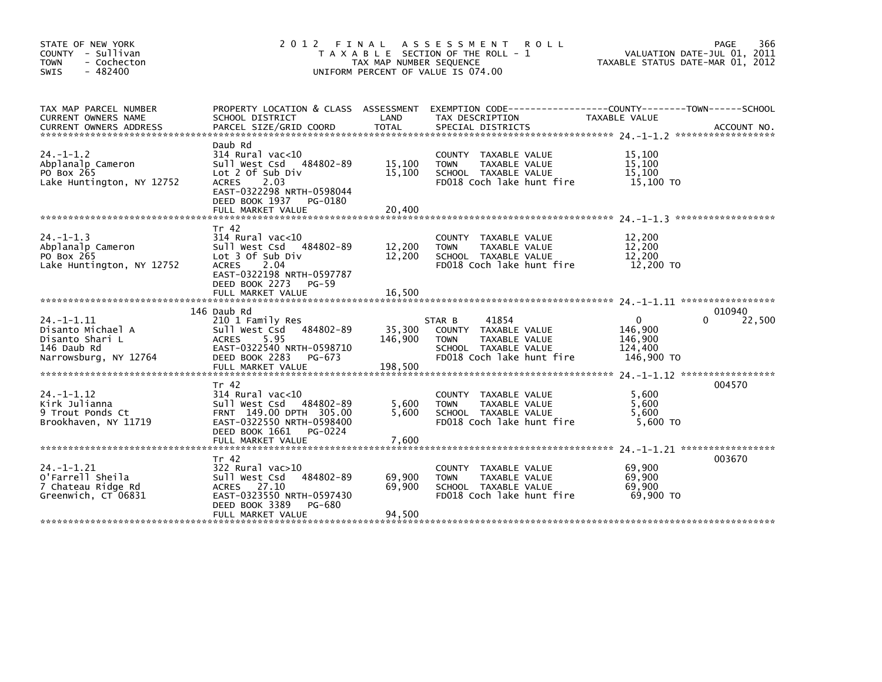| STATE OF NEW YORK<br>COUNTY - Sullivan<br>- Cochecton<br><b>TOWN</b><br>$-482400$<br><b>SWIS</b> | 2 0 1 2                                                                                                                                                                                | FINAL<br>TAX MAP NUMBER SEQUENCE | A S S E S S M E N T<br><b>ROLL</b><br>T A X A B L E SECTION OF THE ROLL - 1<br>UNIFORM PERCENT OF VALUE IS 074.00            | TAXABLE STATUS DATE-MAR 01, 2012                        | 366<br>PAGE<br>VALUATION DATE-JUL 01, 2011 |
|--------------------------------------------------------------------------------------------------|----------------------------------------------------------------------------------------------------------------------------------------------------------------------------------------|----------------------------------|------------------------------------------------------------------------------------------------------------------------------|---------------------------------------------------------|--------------------------------------------|
| TAX MAP PARCEL NUMBER<br><b>CURRENT OWNERS NAME</b>                                              | PROPERTY LOCATION & CLASS ASSESSMENT<br>SCHOOL DISTRICT                                                                                                                                | LAND                             | EXEMPTION CODE-----------------COUNTY-------TOWN------SCHOOL<br>TAX DESCRIPTION                                              | TAXABLE VALUE                                           |                                            |
| $24. - 1 - 1.2$<br>Abplanalp Cameron<br>PO Box 265<br>Lake Huntington, NY 12752                  | Daub Rd<br>$314$ Rural vac< $10$<br>Sull West Csd 484802-89<br>Lot 2 Of Sub Div<br><b>ACRES</b><br>2.03<br>EAST-0322298 NRTH-0598044<br>DEED BOOK 1937<br>PG-0180<br>FULL MARKET VALUE | 15,100<br>15,100<br>20,400       | COUNTY<br>TAXABLE VALUE<br>TAXABLE VALUE<br><b>TOWN</b><br>SCHOOL TAXABLE VALUE<br>FD018 Coch lake hunt fire                 | 15,100<br>15,100<br>15,100<br>15,100 TO                 |                                            |
| $24. -1 - 1.3$<br>Abplanalp Cameron<br>PO Box 265<br>Lake Huntington, NY 12752                   | Tr 42<br>$314$ Rural vac<10<br>Sull West Csd 484802-89<br>Lot 3 Of Sub Div<br><b>ACRES</b><br>2.04<br>EAST-0322198 NRTH-0597787<br>DEED BOOK 2273<br>$PG-59$<br>FULL MARKET VALUE      | 12,200<br>12,200<br>16,500       | COUNTY TAXABLE VALUE<br><b>TOWN</b><br>TAXABLE VALUE<br>SCHOOL TAXABLE VALUE<br>FD018 Coch lake hunt fire                    | 12,200<br>12,200<br>12,200<br>12,200 TO                 |                                            |
|                                                                                                  |                                                                                                                                                                                        |                                  |                                                                                                                              |                                                         | 010940                                     |
| $24. -1 - 1.11$<br>Disanto Michael A<br>Disanto Shari L<br>146 Daub Rd<br>Narrowsburg, NY 12764  | 146 Daub Rd<br>210 1 Family Res<br>Sull West Csd<br>484802-89<br><b>ACRES</b><br>5.95<br>EAST-0322540 NRTH-0598710<br>DEED BOOK 2283<br>PG-673<br>FULL MARKET VALUE                    | 35,300<br>146,900<br>198,500     | 41854<br>STAR B<br>COUNTY TAXABLE VALUE<br>TAXABLE VALUE<br><b>TOWN</b><br>SCHOOL TAXABLE VALUE<br>FD018 Coch lake hunt fire | $\Omega$<br>146.900<br>146,900<br>124,400<br>146,900 TO | 22,500<br>0                                |
| $24. -1 - 1.12$<br>Kirk Julianna<br>9 Trout Ponds Ct<br>Brookhaven, NY 11719                     | Tr 42<br>$314$ Rural vac<10<br>Sull West Csd 484802-89<br>FRNT 149.00 DPTH 305.00<br>EAST-0322550 NRTH-0598400<br>DEED BOOK 1661<br>PG-0224<br>FULL MARKET VALUE                       | 5,600<br>5.600<br>7,600          | COUNTY TAXABLE VALUE<br>TAXABLE VALUE<br><b>TOWN</b><br>SCHOOL TAXABLE VALUE<br>FD018 Coch lake hunt fire                    | 5.600<br>5,600<br>5.600<br>5,600 TO                     | 004570                                     |
|                                                                                                  | Tr 42                                                                                                                                                                                  |                                  |                                                                                                                              |                                                         | 003670                                     |
| $24. -1 - 1.21$<br>O'Farrell Sheila<br>7 Chateau Ridge Rd<br>Greenwich, CT 06831                 | $322$ Rural vac $>10$<br>484802-89<br>Sull West Csd<br>ACRES 27.10<br>EAST-0323550 NRTH-0597430<br>DEED BOOK 3389<br>PG-680                                                            | 69,900<br>69,900                 | TAXABLE VALUE<br><b>COUNTY</b><br><b>TOWN</b><br>TAXABLE VALUE<br>SCHOOL TAXABLE VALUE<br>FD018 Coch lake hunt fire          | 69,900<br>69,900<br>69,900<br>69.900 TO                 |                                            |
|                                                                                                  | FULL MARKET VALUE                                                                                                                                                                      | 94,500                           |                                                                                                                              |                                                         |                                            |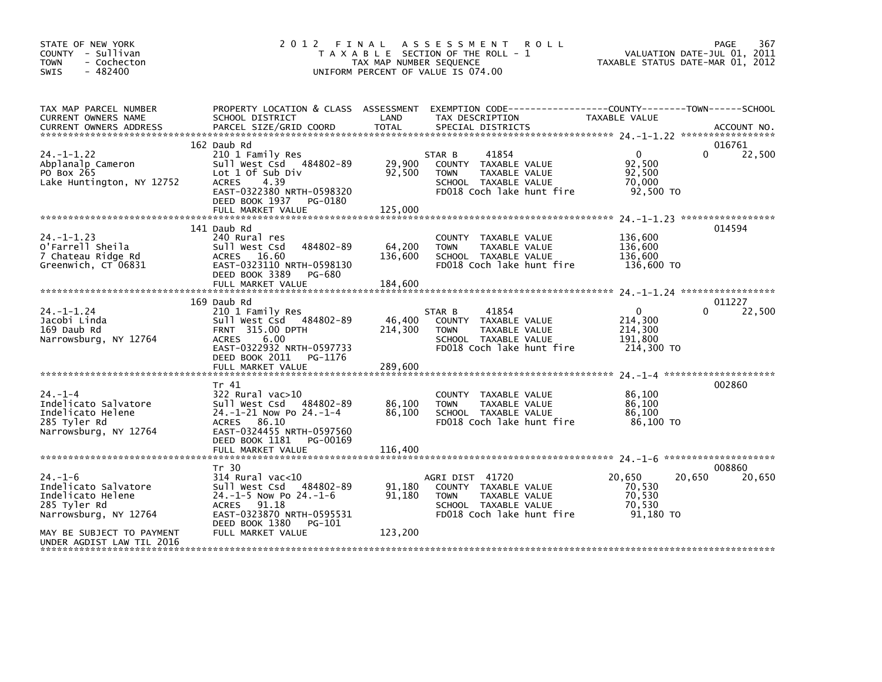| STATE OF NEW YORK<br>COUNTY - Sullivan<br>- Cochecton<br><b>TOWN</b><br>$-482400$<br><b>SWIS</b>    | 2012                                                                                                                                                                                | FINAL<br>TAX MAP NUMBER SEQUENCE | ASSESSMENT ROLL<br>T A X A B L E SECTION OF THE ROLL - 1<br>UNIFORM PERCENT OF VALUE IS 074.00                               | TAXABLE STATUS DATE-MAR 01, 2012                            | 367<br>PAGE<br>VALUATION DATE-JUL 01, 2011 |
|-----------------------------------------------------------------------------------------------------|-------------------------------------------------------------------------------------------------------------------------------------------------------------------------------------|----------------------------------|------------------------------------------------------------------------------------------------------------------------------|-------------------------------------------------------------|--------------------------------------------|
| TAX MAP PARCEL NUMBER<br>CURRENT OWNERS NAME<br><b>CURRENT OWNERS ADDRESS</b>                       | PROPERTY LOCATION & CLASS ASSESSMENT<br>SCHOOL DISTRICT<br>PARCEL SIZE/GRID COORD                                                                                                   | LAND<br><b>TOTAL</b>             | TAX DESCRIPTION<br>SPECIAL DISTRICTS                                                                                         | TAXABLE VALUE                                               | ACCOUNT NO.                                |
|                                                                                                     | 162 Daub Rd                                                                                                                                                                         |                                  |                                                                                                                              |                                                             | 016761                                     |
| $24. -1 - 1.22$<br>Abplanalp Cameron<br>PO Box 265<br>Lake Huntington, NY 12752                     | 210 1 Family Res<br>Sull West Csd 484802-89<br>Lot 1 Of Sub Div<br><b>ACRES</b><br>4.39<br>EAST-0322380 NRTH-0598320<br>DEED BOOK 1937 PG-0180                                      | 29,900<br>92,500                 | 41854<br>STAR B<br>COUNTY TAXABLE VALUE<br>TAXABLE VALUE<br><b>TOWN</b><br>SCHOOL TAXABLE VALUE<br>FD018 Coch lake hunt fire | $\overline{0}$<br>92,500<br>92,500<br>70,000<br>92,500 TO   | 22,500<br>$\Omega$                         |
|                                                                                                     | FULL MARKET VALUE                                                                                                                                                                   | 125,000                          |                                                                                                                              |                                                             |                                            |
| $24. -1 - 1.23$<br>O'Farrell Sheila<br>7 Chateau Ridge Rd<br>Greenwich, CT 06831                    | 141 Daub Rd<br>240 Rural res<br>484802-89<br>Sull West Csd<br>ACRES 16.60<br>EAST-0323110 NRTH-0598130<br>DEED BOOK 3389<br>PG-680<br>FULL MARKET VALUE                             | 64,200<br>136,600<br>184,600     | COUNTY TAXABLE VALUE<br><b>TOWN</b><br>TAXABLE VALUE<br>SCHOOL TAXABLE VALUE<br>FD018 Coch lake hunt fire                    | 136,600<br>136,600<br>136,600<br>136,600 TO                 | 014594                                     |
|                                                                                                     | 169 Daub Rd                                                                                                                                                                         |                                  |                                                                                                                              |                                                             | 011227                                     |
| 24. –1–1.24<br>Jacobi Linda<br>169 Daub Rd<br>Narrowsburg, NY 12764                                 | 210 1 Family Res<br>Sull West Csd 484802-89<br>FRNT 315.00 DPTH<br><b>ACRES</b><br>6.00<br>EAST-0322932 NRTH-0597733<br>DEED BOOK 2011<br>PG-1176<br>FULL MARKET VALUE              | 46,400<br>214,300<br>289,600     | 41854<br>STAR B<br>COUNTY TAXABLE VALUE<br>TAXABLE VALUE<br><b>TOWN</b><br>SCHOOL TAXABLE VALUE<br>FD018 Coch lake hunt fire | $\mathbf{0}$<br>214,300<br>214,300<br>191,800<br>214,300 TO | 22,500<br>0                                |
|                                                                                                     |                                                                                                                                                                                     |                                  |                                                                                                                              |                                                             |                                            |
| $24. -1 -4$<br>Indelicato Salvatore<br>Indelicato Helene<br>285 Tyler Rd<br>Narrowsburg, NY 12764   | Tr 41<br>$322$ Rural vac $>10$<br>Sull West Csd 484802-89<br>24.-1-21 Now Po 24.-1-4<br>ACRES 86.10<br>EAST-0324455 NRTH-0597560<br>DEED BOOK 1181<br>PG-00169<br>FULL MARKET VALUE | 86,100<br>86,100<br>116,400      | COUNTY TAXABLE VALUE<br>TAXABLE VALUE<br><b>TOWN</b><br>SCHOOL TAXABLE VALUE<br>FD018 Coch lake hunt fire                    | 86,100<br>86,100<br>86,100<br>86,100 TO                     | 002860                                     |
|                                                                                                     |                                                                                                                                                                                     |                                  |                                                                                                                              |                                                             |                                            |
| $24. - 1 - 6$<br>Indelicato Salvatore<br>Indelicato Helene<br>285 Tyler Rd<br>Narrowsburg, NY 12764 | Tr 30<br>$314$ Rural vac<10<br>Sull West Csd<br>484802-89<br>$24.-1-5$ Now Po $24.-1-6$<br>ACRES 91.18<br>EAST-0323870 NRTH-0595531<br>DEED BOOK 1380<br>PG-101                     | 91,180<br>91,180                 | AGRI DIST 41720<br>COUNTY TAXABLE VALUE<br>TAXABLE VALUE<br><b>TOWN</b><br>SCHOOL TAXABLE VALUE<br>FD018 Coch lake hunt fire | 20,650<br>70,530<br>70,530<br>70,530<br>91,180 TO           | 008860<br>20,650<br>20,650                 |
| MAY BE SUBJECT TO PAYMENT<br>UNDER AGDIST LAW TIL 2016                                              | FULL MARKET VALUE                                                                                                                                                                   | 123,200                          |                                                                                                                              |                                                             |                                            |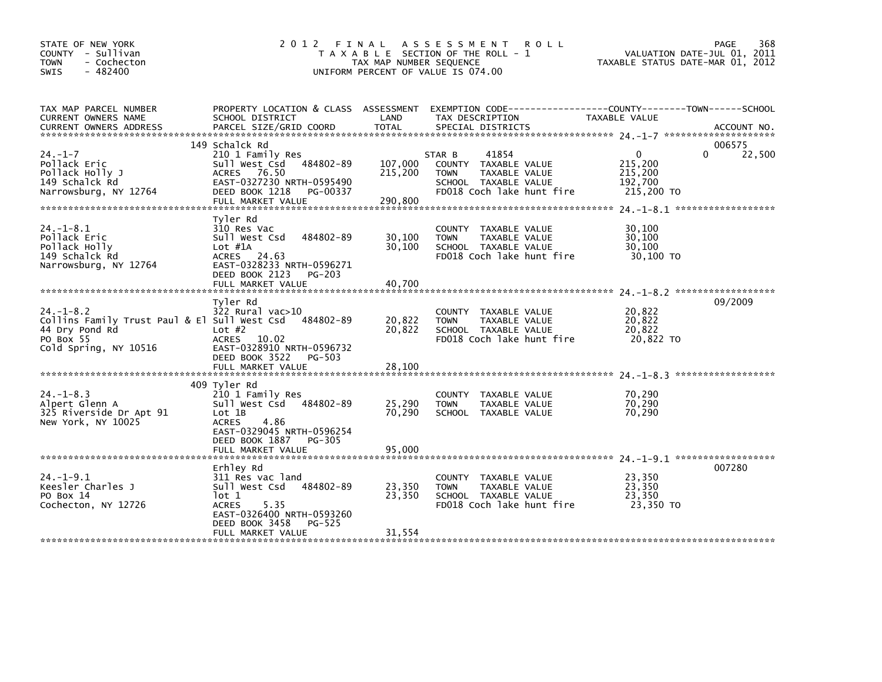| STATE OF NEW YORK<br>COUNTY - Sullivan<br><b>TOWN</b><br>- Cochecton<br>$-482400$<br><b>SWIS</b>                                  | 2 0 1 2                                                                                                                                                                     | FINAL<br>TAX MAP NUMBER SEQUENCE | A S S E S S M E N T<br>R O L L<br>T A X A B L E SECTION OF THE ROLL - 1<br>UNIFORM PERCENT OF VALUE IS 074.00                | TAXABLE STATUS DATE-MAR 01, 2012                            | 368<br>PAGE<br>VALUATION DATE-JUL 01, 2011 |
|-----------------------------------------------------------------------------------------------------------------------------------|-----------------------------------------------------------------------------------------------------------------------------------------------------------------------------|----------------------------------|------------------------------------------------------------------------------------------------------------------------------|-------------------------------------------------------------|--------------------------------------------|
| TAX MAP PARCEL NUMBER<br>CURRENT OWNERS NAME<br><b>CURRENT OWNERS ADDRESS</b>                                                     | PROPERTY LOCATION & CLASS ASSESSMENT<br>SCHOOL DISTRICT<br>PARCEL SIZE/GRID COORD                                                                                           | LAND<br><b>TOTAL</b>             | TAX DESCRIPTION<br>SPECIAL DISTRICTS                                                                                         | TAXABLE VALUE                                               | ACCOUNT NO.                                |
| $24. - 1 - 7$<br>Pollack Eric<br>Pollack Holly J<br>149 Schalck Rd<br>Narrowsburg, NY 12764                                       | 149 Schalck Rd<br>210 1 Family Res<br>Sull West Csd<br>484802-89<br>ACRES 76.50<br>EAST-0327230 NRTH-0595490<br>DEED BOOK 1218<br>PG-00337<br>FULL MARKET VALUE             | 107,000<br>215,200<br>290,800    | 41854<br>STAR B<br>COUNTY TAXABLE VALUE<br><b>TOWN</b><br>TAXABLE VALUE<br>SCHOOL TAXABLE VALUE<br>FD018 Coch lake hunt fire | $\mathbf{0}$<br>215,200<br>215,200<br>192,700<br>215,200 TO | 006575<br>22,500<br>0                      |
| $24. - 1 - 8.1$<br>Pollack Eric<br>Pollack Holly<br>149 Schalck Rd<br>Narrowsburg, NY 12764                                       | Tyler Rd<br>310 Res Vac<br>484802-89<br>Sull West Csd<br>Lot $#1A$<br>ACRES 24.63<br>EAST-0328233 NRTH-0596271<br>DEED BOOK 2123 PG-203<br>FULL MARKET VALUE                | 30,100<br>30,100<br>40.700       | COUNTY TAXABLE VALUE<br><b>TOWN</b><br>TAXABLE VALUE<br>SCHOOL TAXABLE VALUE<br>FD018 Coch lake hunt fire                    | 30,100<br>30,100<br>30,100<br>30.100 TO                     |                                            |
| $24. - 1 - 8.2$<br>Collins Family Trust Paul & El Sull West Csd 484802-89<br>44 Dry Pond Rd<br>PO Box 55<br>Cold Spring, NY 10516 | Tyler Rd<br>$322$ Rural vac $>10$<br>Lot $#2$<br>ACRES 10.02<br>EAST-0328910 NRTH-0596732<br>DEED BOOK 3522<br>PG-503<br>FULL MARKET VALUE                                  | 20,822<br>20,822<br>28.100       | COUNTY TAXABLE VALUE<br><b>TOWN</b><br>TAXABLE VALUE<br>SCHOOL TAXABLE VALUE<br>FD018 Coch lake hunt fire                    | 20,822<br>20,822<br>20,822<br>20,822 TO                     | 09/2009                                    |
| $24. - 1 - 8.3$<br>Alpert Glenn A<br>325 Riverside Dr Apt 91<br>New York, NY 10025                                                | 409 Tyler Rd<br>210 1 Family Res<br>Sull West Csd 484802-89<br>Lot 1B<br><b>ACRES</b><br>4.86<br>EAST-0329045 NRTH-0596254<br>DEED BOOK 1887<br>PG-305<br>FULL MARKET VALUE | 25,290<br>70,290<br>95,000       | COUNTY TAXABLE VALUE<br><b>TOWN</b><br>TAXABLE VALUE<br>SCHOOL TAXABLE VALUE                                                 | 70,290<br>70,290<br>70,290                                  |                                            |
| $24. -1 - 9.1$<br>Keesler Charles J<br>PO Box 14<br>Cochecton, NY 12726                                                           | Erhley Rd<br>311 Res vac land<br>484802-89<br>Sull West Csd<br>lot 1<br><b>ACRES</b><br>5.35<br>EAST-0326400 NRTH-0593260<br>DEED BOOK 3458<br>PG-525<br>FULL MARKET VALUE  | 23,350<br>23,350<br>31,554       | COUNTY TAXABLE VALUE<br>TAXABLE VALUE<br><b>TOWN</b><br>SCHOOL TAXABLE VALUE<br>FD018 Coch lake hunt fire                    | 23,350<br>23,350<br>23,350<br>23,350 TO                     | 007280                                     |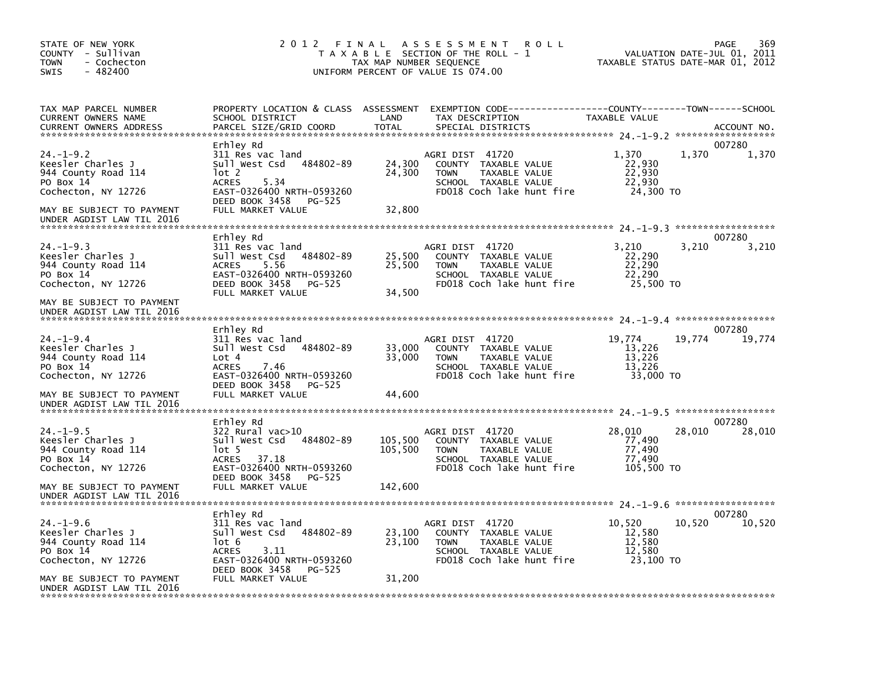| STATE OF NEW YORK<br>COUNTY - Sullivan<br><b>TOWN</b><br>- Cochecton<br>$-482400$<br><b>SWIS</b>                            | 2012 FINAL                                                                                                                                                                 | TAX MAP NUMBER SEQUENCE       | A S S E S S M E N T<br><b>ROLL</b><br>T A X A B L E SECTION OF THE ROLL - 1<br>UNIFORM PERCENT OF VALUE IS 074.00                   |                                                    | 369<br>PAGE<br>VALUATION DATE-JUL 01, 2011<br>TAXABLE STATUS DATE-MAR 01, 2012 |
|-----------------------------------------------------------------------------------------------------------------------------|----------------------------------------------------------------------------------------------------------------------------------------------------------------------------|-------------------------------|-------------------------------------------------------------------------------------------------------------------------------------|----------------------------------------------------|--------------------------------------------------------------------------------|
| TAX MAP PARCEL NUMBER<br>CURRENT OWNERS NAME<br><b>CURRENT OWNERS ADDRESS</b>                                               | PROPERTY LOCATION & CLASS ASSESSMENT<br>SCHOOL DISTRICT<br>PARCEL SIZE/GRID COORD                                                                                          | LAND<br><b>TOTAL</b>          | EXEMPTION CODE-----------------COUNTY-------TOWN------SCHOOL<br>TAX DESCRIPTION<br>SPECIAL DISTRICTS                                | TAXABLE VALUE                                      | ACCOUNT NO.                                                                    |
| $24. -1 - 9.2$<br>Keesler Charles J<br>944 County Road 114<br>PO Box 14<br>Cochecton, NY 12726<br>MAY BE SUBJECT TO PAYMENT | Erhley Rd<br>311 Res vac land<br>Sull West Csd<br>484802-89<br>lot 2<br>5.34<br><b>ACRES</b><br>EAST-0326400 NRTH-0593260<br>DEED BOOK 3458<br>PG-525<br>FULL MARKET VALUE | 24,300<br>24,300<br>32,800    | AGRI DIST 41720<br>COUNTY TAXABLE VALUE<br>TAXABLE VALUE<br><b>TOWN</b><br>SCHOOL TAXABLE VALUE<br>FD018 Coch lake hunt fire        | 1,370<br>22,930<br>22,930<br>22,930<br>24,300 TO   | 007280<br>1,370<br>1,370                                                       |
| UNDER AGDIST LAW TIL 2016<br>$24. -1 - 9.3$                                                                                 | Erhley Rd                                                                                                                                                                  |                               |                                                                                                                                     | 3.210                                              | 007280                                                                         |
| Keesler Charles J<br>944 County Road 114<br>PO Box 14<br>Cochecton, NY 12726                                                | 311 Res vac land<br>Sull West Csd<br>484802-89<br>5.56<br><b>ACRES</b><br>EAST-0326400 NRTH-0593260<br>DEED BOOK 3458<br>PG-525<br>FULL MARKET VALUE                       | 25,500<br>25,500<br>34.500    | AGRI DIST 41720<br>COUNTY TAXABLE VALUE<br><b>TOWN</b><br>TAXABLE VALUE<br>SCHOOL TAXABLE VALUE<br>FD018 Coch lake hunt fire        | 22,290<br>22,290<br>22,290<br>25,500 TO            | 3,210<br>3,210                                                                 |
| MAY BE SUBJECT TO PAYMENT<br>UNDER AGDIST LAW TIL 2016                                                                      |                                                                                                                                                                            |                               |                                                                                                                                     |                                                    |                                                                                |
| $24. -1 - 9.4$<br>Keesler Charles J<br>944 County Road 114<br>PO Box 14<br>Cochecton, NY 12726<br>MAY BE SUBJECT TO PAYMENT | Erhley Rd<br>311 Res vac land<br>Sull West Csd<br>484802-89<br>Lot 4<br><b>ACRES</b><br>7.46<br>EAST-0326400 NRTH-0593260<br>DEED BOOK 3458<br>PG-525<br>FULL MARKET VALUE | 33,000<br>33,000<br>44,600    | AGRI DIST 41720<br>COUNTY TAXABLE VALUE<br><b>TAXABLE VALUE</b><br><b>TOWN</b><br>SCHOOL TAXABLE VALUE<br>FD018 Coch lake hunt fire | 19,774<br>13,226<br>13,226<br>13,226<br>33,000 TO  | 007280<br>19,774<br>19,774                                                     |
| UNDER AGDIST LAW TIL 2016                                                                                                   | Erhley Rd                                                                                                                                                                  |                               |                                                                                                                                     |                                                    | 007280                                                                         |
| $24. -1 - 9.5$<br>Keesler Charles J<br>944 County Road 114<br>PO Box 14<br>Cochecton, NY 12726<br>MAY BE SUBJECT TO PAYMENT | $322$ Rural vac $>10$<br>Sull West Csd<br>484802-89<br>lot 5<br>ACRES<br>37.18<br>EAST-0326400 NRTH-0593260<br>DEED BOOK 3458<br>PG-525<br>FULL MARKET VALUE               | 105,500<br>105,500<br>142,600 | AGRI DIST 41720<br>COUNTY TAXABLE VALUE<br><b>TAXABLE VALUE</b><br><b>TOWN</b><br>SCHOOL TAXABLE VALUE<br>FD018 Coch lake hunt fire | 28,010<br>77,490<br>77,490<br>77,490<br>105,500 TO | 28,010<br>28,010                                                               |
| UNDER AGDIST LAW TIL 2016                                                                                                   |                                                                                                                                                                            |                               |                                                                                                                                     |                                                    |                                                                                |
| $24. - 1 - 9.6$<br>Keesler Charles J<br>944 County Road 114<br>PO Box 14<br>Cochecton, NY 12726                             | Erhlev Rd<br>311 Res vac land<br>Sull West Csd<br>484802-89<br>lot 6<br><b>ACRES</b><br>3.11<br>EAST-0326400 NRTH-0593260<br>DEED BOOK 3458<br>PG-525                      | 23,100<br>23,100              | AGRI DIST 41720<br>COUNTY TAXABLE VALUE<br><b>TAXABLE VALUE</b><br><b>TOWN</b><br>SCHOOL TAXABLE VALUE<br>FD018 Coch lake hunt fire | 10,520<br>12,580<br>12,580<br>12.580<br>23.100 TO  | 007280<br>10,520<br>10,520                                                     |
| MAY BE SUBJECT TO PAYMENT<br>UNDER AGDIST LAW TIL 2016                                                                      | FULL MARKET VALUE                                                                                                                                                          | 31,200                        |                                                                                                                                     |                                                    |                                                                                |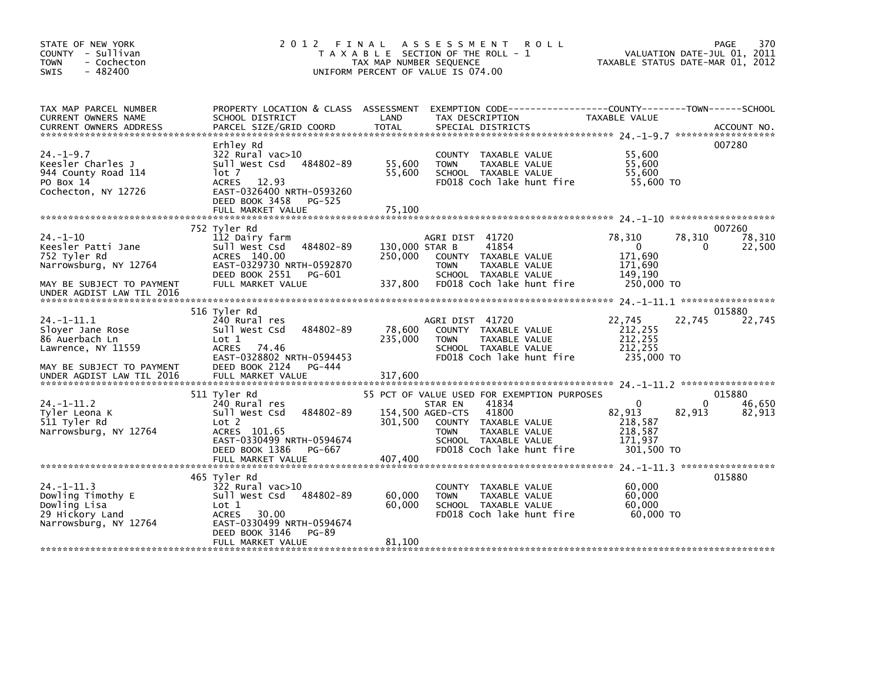| STATE OF NEW YORK<br>COUNTY - Sullivan<br><b>TOWN</b><br>- Cochecton<br>$-482400$<br><b>SWIS</b>           | 2012 FINAL                                                                                                                                                 | TAX MAP NUMBER SEQUENCE              | A S S E S S M E N T<br><b>ROLL</b><br>T A X A B L E SECTION OF THE ROLL - 1<br>UNIFORM PERCENT OF VALUE IS 074.00                                                                     |                                                                       | 370<br>PAGE<br>VALUATION DATE-JUL 01, 2011<br>TAXABLE STATUS DATE-MAR 01, 2012 |
|------------------------------------------------------------------------------------------------------------|------------------------------------------------------------------------------------------------------------------------------------------------------------|--------------------------------------|---------------------------------------------------------------------------------------------------------------------------------------------------------------------------------------|-----------------------------------------------------------------------|--------------------------------------------------------------------------------|
| TAX MAP PARCEL NUMBER<br>CURRENT OWNERS NAME<br><b>CURRENT OWNERS ADDRESS</b>                              | SCHOOL DISTRICT<br>PARCEL SIZE/GRID COORD                                                                                                                  | LAND<br><b>TOTAL</b>                 | PROPERTY LOCATION & CLASS ASSESSMENT EXEMPTION CODE----------------COUNTY-------TOWN------SCHOOL<br>TAX DESCRIPTION<br>SPECIAL DISTRICTS                                              | TAXABLE VALUE                                                         | ACCOUNT NO.                                                                    |
| $24. - 1 - 9.7$<br>Keesler Charles J<br>944 County Road 114<br>PO Box 14<br>Cochecton, NY 12726            | Erhley Rd<br>322 Rural vac>10<br>Sull West Csd 484802-89<br>lot 7<br>ACRES 12.93<br>EAST-0326400 NRTH-0593260<br>DEED BOOK 3458<br>PG-525                  | 55,600<br>55,600                     | COUNTY TAXABLE VALUE<br><b>TOWN</b><br>TAXABLE VALUE<br>SCHOOL TAXABLE VALUE<br>FD018 Coch lake hunt fire                                                                             | 55.600<br>55,600<br>55,600<br>55,600 TO                               | 007280                                                                         |
|                                                                                                            | FULL MARKET VALUE                                                                                                                                          | 75,100                               |                                                                                                                                                                                       |                                                                       |                                                                                |
| $24. - 1 - 10$<br>Keesler Patti Jane<br>752 Tyler Rd<br>Narrowsburg, NY 12764<br>MAY BE SUBJECT TO PAYMENT | 752 Tyler Rd<br>112 Dairy farm<br>484802-89<br>Sull West Csd<br>ACRES 140.00<br>EAST-0329730 NRTH-0592870<br>DEED BOOK 2551<br>PG-601<br>FULL MARKET VALUE | 130,000 STAR B<br>250,000<br>337,800 | AGRI DIST 41720<br>41854<br>COUNTY TAXABLE VALUE<br>TAXABLE VALUE<br><b>TOWN</b><br>SCHOOL TAXABLE VALUE<br>FD018 Coch lake hunt fire                                                 | 78,310<br>$\Omega$<br>171,690<br>171,690<br>149.190<br>250,000 TO     | 007260<br>78,310<br>78,310<br>0<br>22,500                                      |
| UNDER AGDIST LAW TIL 2016                                                                                  | 516 Tyler Rd                                                                                                                                               |                                      |                                                                                                                                                                                       |                                                                       | 015880                                                                         |
| $24. -1 - 11.1$<br>Slover Jane Rose<br>86 Auerbach Ln<br>Lawrence, NY 11559<br>MAY BE SUBJECT TO PAYMENT   | 240 Rural res<br>484802-89<br>Sull West Csd<br>Lot 1<br>ACRES 74.46<br>EAST-0328802 NRTH-0594453<br>DEED BOOK 2124<br>PG-444                               | 78,600<br>235,000                    | AGRI DIST 41720<br>COUNTY TAXABLE VALUE<br>TAXABLE VALUE<br><b>TOWN</b><br>SCHOOL TAXABLE VALUE<br>FD018 Coch lake hunt fire                                                          | 22,745<br>212,255<br>212,255<br>212,255<br>235,000 ΤΟ                 | 22,745<br>22,745                                                               |
|                                                                                                            |                                                                                                                                                            |                                      |                                                                                                                                                                                       |                                                                       |                                                                                |
| $24. -1 - 11.2$<br>Tyler Leona K<br>511 Tyler Rd<br>Narrowsburg, NY 12764                                  | 511 Tyler Rd<br>240 Rural res<br>484802-89<br>Sull West Csd<br>Lot <sub>2</sub><br>ACRES 101.65<br>EAST-0330499 NRTH-0594674<br>DEED BOOK 1386 PG-667      | 154,500 AGED-CTS<br>301,500          | 55 PCT OF VALUE USED FOR EXEMPTION PURPOSES<br>STAR EN<br>41834<br>41800<br>COUNTY TAXABLE VALUE<br>TAXABLE VALUE<br><b>TOWN</b><br>SCHOOL TAXABLE VALUE<br>FD018 Coch lake hunt fire | $\mathbf{0}$<br>82,913<br>218,587<br>218,587<br>171,937<br>301,500 TO | 015880<br>$\mathbf{0}$<br>46,650<br>82,913<br>82.913                           |
|                                                                                                            |                                                                                                                                                            |                                      |                                                                                                                                                                                       |                                                                       |                                                                                |
| $24. -1 - 11.3$<br>Dowling Timothy E<br>Dowling Lisa<br>29 Hickory Land<br>Narrowsburg, NY 12764           | 465 Tyler Rd<br>$322$ Rural vac $>10$<br>484802-89<br>Sull West Csd<br>Lot 1<br>ACRES 30.00<br>EAST-0330499 NRTH-0594674                                   | 60,000<br>60,000                     | COUNTY TAXABLE VALUE<br><b>TOWN</b><br>TAXABLE VALUE<br>SCHOOL TAXABLE VALUE<br>FD018 Coch lake hunt fire                                                                             | 60,000<br>60.000<br>60,000<br>60,000 TO                               | 015880                                                                         |
|                                                                                                            | DEED BOOK 3146<br>PG-89<br>FULL MARKET VALUE                                                                                                               | 81,100                               |                                                                                                                                                                                       |                                                                       |                                                                                |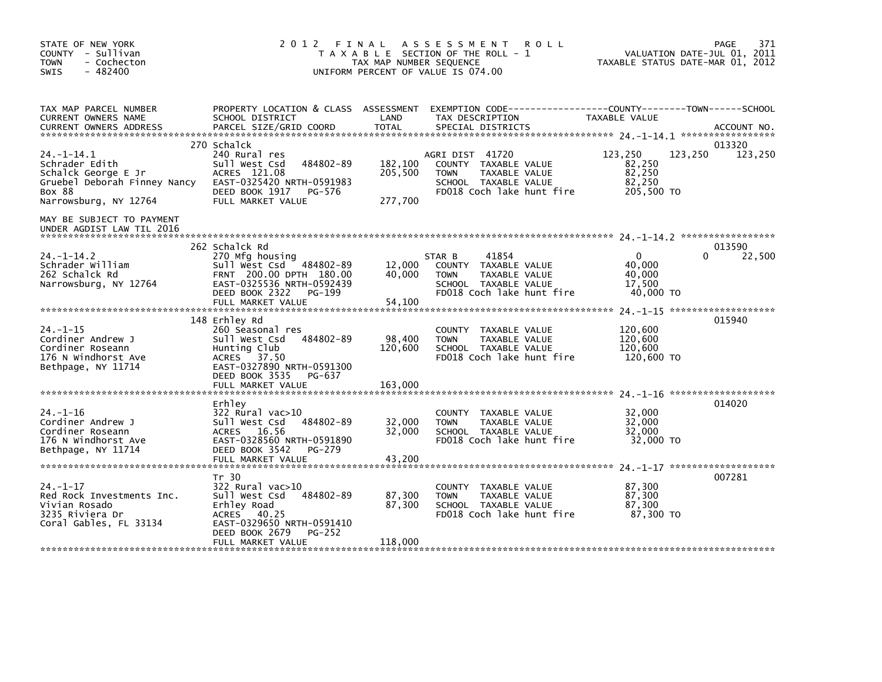| STATE OF NEW YORK<br>COUNTY - Sullivan<br><b>TOWN</b><br>- Cochecton<br>$-482400$<br><b>SWIS</b>                                   | 2 0 1 2                                                                                                                                                 | FINAL<br>TAX MAP NUMBER SEQUENCE | A S S E S S M E N T<br><b>ROLL</b><br>T A X A B L E SECTION OF THE ROLL - 1<br>UNIFORM PERCENT OF VALUE IS 074.00            |                                                     | 371<br>PAGE<br>VALUATION DATE-JUL 01, 2011<br>TAXABLE STATUS DATE-MAR 01, 2012 |
|------------------------------------------------------------------------------------------------------------------------------------|---------------------------------------------------------------------------------------------------------------------------------------------------------|----------------------------------|------------------------------------------------------------------------------------------------------------------------------|-----------------------------------------------------|--------------------------------------------------------------------------------|
| TAX MAP PARCEL NUMBER<br>CURRENT OWNERS NAME<br><b>CURRENT OWNERS ADDRESS</b>                                                      | PROPERTY LOCATION & CLASS ASSESSMENT<br>SCHOOL DISTRICT<br>PARCEL SIZE/GRID COORD                                                                       | LAND<br><b>TOTAL</b>             | EXEMPTION CODE-----------------COUNTY-------TOWN------SCHOOL<br>TAX DESCRIPTION<br>SPECIAL DISTRICTS                         | TAXABLE VALUE                                       | ACCOUNT NO.                                                                    |
|                                                                                                                                    | 270 Schalck                                                                                                                                             |                                  |                                                                                                                              |                                                     | 013320                                                                         |
| $24. -1 - 14.1$<br>Schrader Edith<br>Schalck George E Jr<br>Gruebel Deborah Finney Nancy<br><b>BOX 88</b><br>Narrowsburg, NY 12764 | 240 Rural res<br>Sull West Csd<br>484802-89<br>ACRES 121.08<br>EAST-0325420 NRTH-0591983<br>DEED BOOK 1917<br>PG-576<br>FULL MARKET VALUE               | 182,100<br>205,500<br>277,700    | AGRI DIST 41720<br>COUNTY TAXABLE VALUE<br>TAXABLE VALUE<br><b>TOWN</b><br>SCHOOL TAXABLE VALUE<br>FD018 Coch lake hunt fire | 123,250<br>82,250<br>82,250<br>82,250<br>205,500 TO | 123,250<br>123,250                                                             |
| MAY BE SUBJECT TO PAYMENT<br>UNDER AGDIST LAW TIL 2016                                                                             |                                                                                                                                                         |                                  |                                                                                                                              |                                                     |                                                                                |
| $24. -1 - 14.2$<br>Schrader William                                                                                                | 262 Schalck Rd<br>270 Mfg housing<br>Sull West Csd 484802-89                                                                                            | 12,000                           | 41854<br>STAR B<br>COUNTY TAXABLE VALUE                                                                                      | $\Omega$<br>40.000                                  | 013590<br>22,500<br>0                                                          |
| 262 Schalck Rd<br>Narrowsburg, NY 12764                                                                                            | FRNT 200.00 DPTH 180.00<br>EAST-0325536 NRTH-0592439<br>DEED BOOK 2322<br>PG-199<br>FULL MARKET VALUE                                                   | 40,000<br>54,100                 | TAXABLE VALUE<br><b>TOWN</b><br>SCHOOL TAXABLE VALUE<br>FD018 Coch lake hunt fire                                            | 40,000<br>17.500<br>40,000 TO                       |                                                                                |
|                                                                                                                                    |                                                                                                                                                         |                                  |                                                                                                                              |                                                     |                                                                                |
| $24. -1 - 15$<br>Cordiner Andrew J<br>Cordiner Roseann<br>176 N Windhorst Ave<br>Bethpage, NY 11714                                | 148 Erhley Rd<br>260 Seasonal res<br>484802-89<br>Sull West Csd<br>Hunting Club<br>ACRES 37.50<br>EAST-0327890 NRTH-0591300<br>DEED BOOK 3535<br>PG-637 | 98,400<br>120,600                | COUNTY TAXABLE VALUE<br><b>TOWN</b><br>TAXABLE VALUE<br>SCHOOL TAXABLE VALUE<br>FD018 Coch lake hunt fire                    | 120,600<br>120,600<br>120,600<br>120,600 TO         | 015940                                                                         |
|                                                                                                                                    | FULL MARKET VALUE                                                                                                                                       | 163,000                          |                                                                                                                              |                                                     |                                                                                |
| $24. - 1 - 16$<br>Cordiner Andrew J<br>Cordiner Roseann<br>176 N Windhorst Ave<br>Bethpage, NY 11714                               | Erhley<br>322 Rural vac>10<br>Sull West Csd<br>484802-89<br>ACRES 16.56<br>EAST-0328560 NRTH-0591890<br>DEED BOOK 3542<br>PG-279                        | 32,000<br>32,000                 | COUNTY TAXABLE VALUE<br>TAXABLE VALUE<br><b>TOWN</b><br>SCHOOL TAXABLE VALUE<br>FD018 Coch lake hunt fire                    | 32,000<br>32,000<br>32,000<br>32,000 TO             | 014020                                                                         |
|                                                                                                                                    | FULL MARKET VALUE                                                                                                                                       | 43,200                           |                                                                                                                              |                                                     |                                                                                |
| $24. - 1 - 17$<br>Red Rock Investments Inc.<br>Vivian Rosado<br>3235 Riviera Dr<br>Coral Gables, FL 33134                          | Tr 30<br>322 Rural vac>10<br>Sull West Csd<br>484802-89<br>Erhley Road<br>ACRES 40.25<br>EAST-0329650 NRTH-0591410<br>DEED BOOK 2679<br>PG-252          | 87,300<br>87,300                 | COUNTY TAXABLE VALUE<br>TAXABLE VALUE<br><b>TOWN</b><br>SCHOOL TAXABLE VALUE<br>FD018 Coch lake hunt fire                    | 87,300<br>87,300<br>87,300<br>87,300 TO             | 007281                                                                         |
|                                                                                                                                    | FULL MARKET VALUE                                                                                                                                       | 118,000                          |                                                                                                                              |                                                     |                                                                                |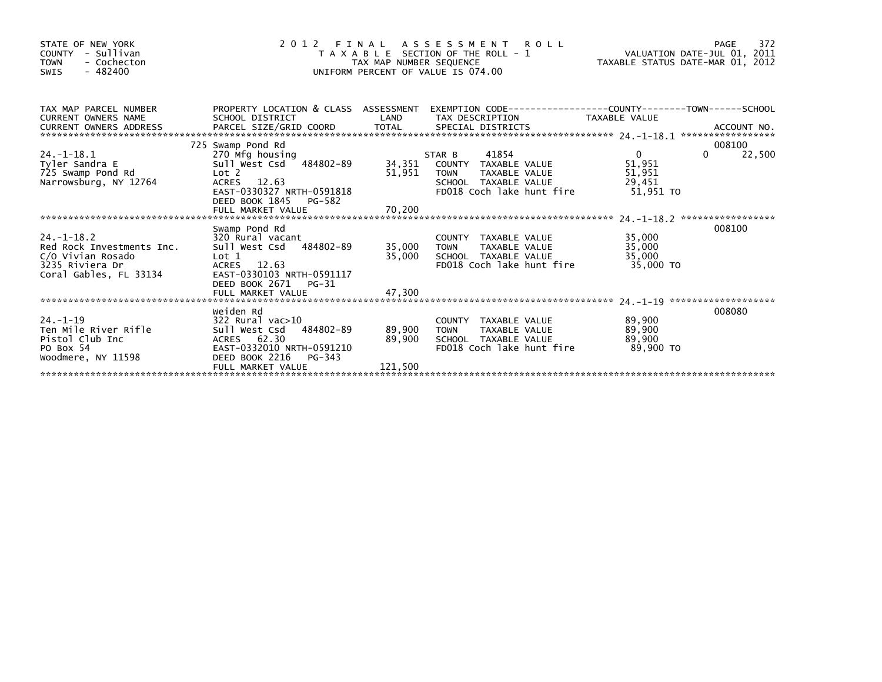| STATE OF NEW YORK<br>- Sullivan<br><b>COUNTY</b><br>- Cochecton<br><b>TOWN</b><br>$-482400$<br><b>SWIS</b>      | 2 0 1 2                                                                                                                                                               | FINAL<br>TAX MAP NUMBER SEQUENCE | A S S E S S M E N T R O L L<br>T A X A B L E SECTION OF THE ROLL - 1<br>UNIFORM PERCENT OF VALUE IS 074.00                          | r HAS - 1972<br>2011, 2011 VALUATION DATE-JUL<br>2012 TAXABLE STATUS DATE-MAR 01, 2012 | 372<br>PAGE                  |
|-----------------------------------------------------------------------------------------------------------------|-----------------------------------------------------------------------------------------------------------------------------------------------------------------------|----------------------------------|-------------------------------------------------------------------------------------------------------------------------------------|----------------------------------------------------------------------------------------|------------------------------|
| TAX MAP PARCEL NUMBER<br>CURRENT OWNERS NAME<br>CURRENT OWNERS ADDRESS                                          | SCHOOL DISTRICT                                                                                                                                                       | LAND                             | PROPERTY LOCATION & CLASS ASSESSMENT EXEMPTION CODE----------------COUNTY-------TOWN-----SCHOOL<br>TAX DESCRIPTION                  | TAXABLE VALUE                                                                          |                              |
| 24. -1-18. 1<br>Tyler Sandra E<br>725 Swamp Pond Rd<br>Narrowsburg, NY 12764                                    | 725 Swamp Pond Rd<br>270 Mfg housing<br>Sull West Csd 484802-89<br>Lot 2<br>ACRES 12.63<br>EAST-0330327 NRTH-0591818<br>DEED BOOK 1845<br>PG-582<br>FULL MARKET VALUE | 51,951<br>70,200                 | 41854<br>STAR B<br>34,351 COUNTY TAXABLE VALUE<br>TAXABLE VALUE<br><b>TOWN</b><br>SCHOOL TAXABLE VALUE<br>FD018 Coch lake hunt fire | $\overline{0}$<br>51,951<br>51,951<br>29,451<br>51,951 TO                              | 008100<br>22,500<br>$\Omega$ |
| $24. - 1 - 18.2$<br>Red Rock Investments Inc.<br>C/O Vivian Rosado<br>3235 Riviera Dr<br>Coral Gables, FL 33134 | Swamp Pond Rd<br>320 Rural vacant<br>Sull West Csd 484802-89<br>Lot 1<br>12.63<br>ACRES<br>EAST-0330103 NRTH-0591117<br>DEED BOOK 2671<br>PG-31<br>FULL MARKET VALUE  | 35,000<br>35,000<br>47,300       | COUNTY TAXABLE VALUE<br>TAXABLE VALUE<br><b>TOWN</b><br>SCHOOL TAXABLE VALUE<br>FD018 Coch lake hunt fire                           | 35,000<br>35,000<br>35,000<br>35.000 TO                                                | 008100                       |
| $24. -1 - 19$<br>Ten Mile River Rifle<br>Pistol Club Inc<br>PO Box 54<br>Woodmere, NY 11598                     | Weiden Rd<br>$322$ Rural vac $>10$<br>484802-89<br>Sull West Csd<br>ACRES 62.30<br>EAST-0332010 NRTH-0591210<br>DEED BOOK 2216 PG-343<br>FULL MARKET VALUE            | 89,900<br>89,900<br>121,500      | COUNTY TAXABLE VALUE<br><b>TOWN</b><br>TAXABLE VALUE<br>SCHOOL TAXABLE VALUE<br>FD018 Coch lake hunt fire                           | 89,900<br>89,900<br>89,900<br>89,900 TO                                                | 008080                       |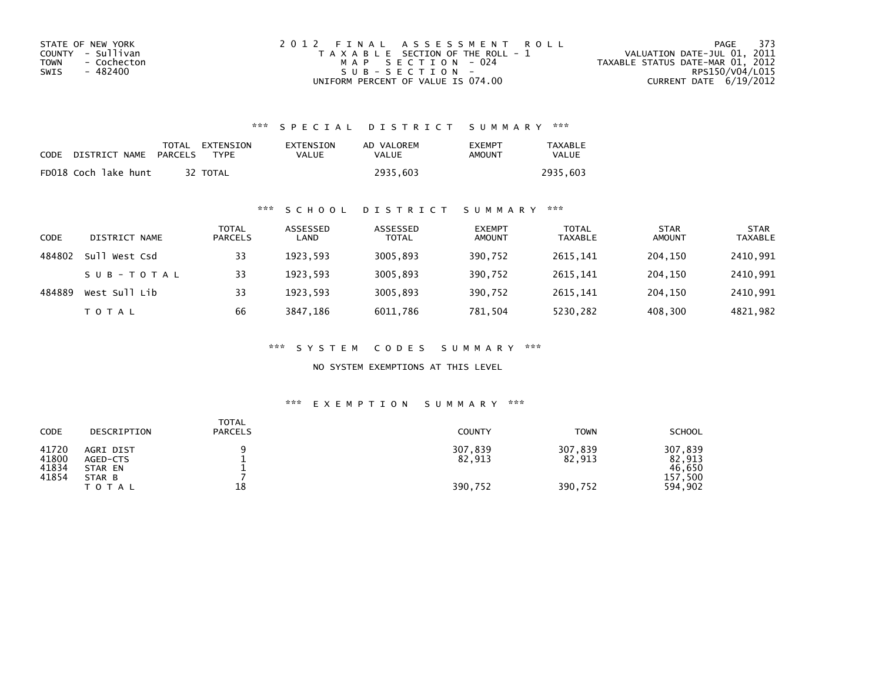| STATE OF NEW YORK   | 2012 FINAL ASSESSMENT ROLL            | 373<br>PAGE                      |
|---------------------|---------------------------------------|----------------------------------|
| COUNTY - Sullivan   | T A X A B L E SECTION OF THE ROLL - 1 | VALUATION DATE-JUL 01, 2011      |
| - Cochecton<br>TOWN | MAP SECTION - 024                     | TAXABLE STATUS DATE-MAR 01, 2012 |
| - 482400<br>SWIS    | SUB-SECTION-                          | RPS150/V04/L015                  |
|                     | UNIFORM PERCENT OF VALUE IS 074.00    | CURRENT DATE 6/19/2012           |

| CODE | DISTRICT NAME        | PARCELS | TOTAL EXTENSION<br>TYPF | EXTENSION<br>VALUE | AD VALOREM<br>VALUE | <b>EXEMPT</b><br>AMOUNT | <b>TAXABLE</b><br><b>VALUE</b> |
|------|----------------------|---------|-------------------------|--------------------|---------------------|-------------------------|--------------------------------|
|      | FD018 Coch lake hunt |         | 32 TOTAL                |                    | 2935.603            |                         | 2935.603                       |

# \*\*\* S C H O O L D I S T R I C T S U M M A R Y \*\*\*

| CODE   | DISTRICT NAME       | TOTAL<br><b>PARCELS</b> | ASSESSED<br>LAND | ASSESSED<br><b>TOTAL</b> | <b>EXEMPT</b><br><b>AMOUNT</b> | <b>TOTAL</b><br><b>TAXABLE</b> | <b>STAR</b><br><b>AMOUNT</b> | <b>STAR</b><br><b>TAXABLE</b> |
|--------|---------------------|-------------------------|------------------|--------------------------|--------------------------------|--------------------------------|------------------------------|-------------------------------|
| 484802 | $S$ ull<br>West Csd | 33                      | 1923.593         | 3005,893                 | 390,752                        | 2615.141                       | 204.150                      | 2410,991                      |
|        | SUB-TOTAL           | 33                      | 1923.593         | 3005,893                 | 390,752                        | 2615.141                       | 204,150                      | 2410,991                      |
| 484889 | West Sull Lib       | 33                      | 1923.593         | 3005,893                 | 390,752                        | 2615.141                       | 204,150                      | 2410,991                      |
|        | T O T A L           | 66                      | 3847,186         | 6011,786                 | 781,504                        | 5230,282                       | 408,300                      | 4821,982                      |

\*\*\* S Y S T E M C O D E S S U M M A R Y \*\*\*

NO SYSTEM EXEMPTIONS AT THIS LEVEL

| CODE                             | DESCRIPTION                                             | <b>TOTAL</b><br><b>PARCELS</b> | <b>COUNTY</b>                | <b>TOWN</b>                  | <b>SCHOOL</b>                                     |
|----------------------------------|---------------------------------------------------------|--------------------------------|------------------------------|------------------------------|---------------------------------------------------|
| 41720<br>41800<br>41834<br>41854 | AGRI DIST<br>AGED-CTS<br>STAR EN<br>STAR B<br>T O T A L | 18                             | 307,839<br>82,913<br>390.752 | 307,839<br>82,913<br>390,752 | 307,839<br>82,913<br>46.650<br>157,500<br>594,902 |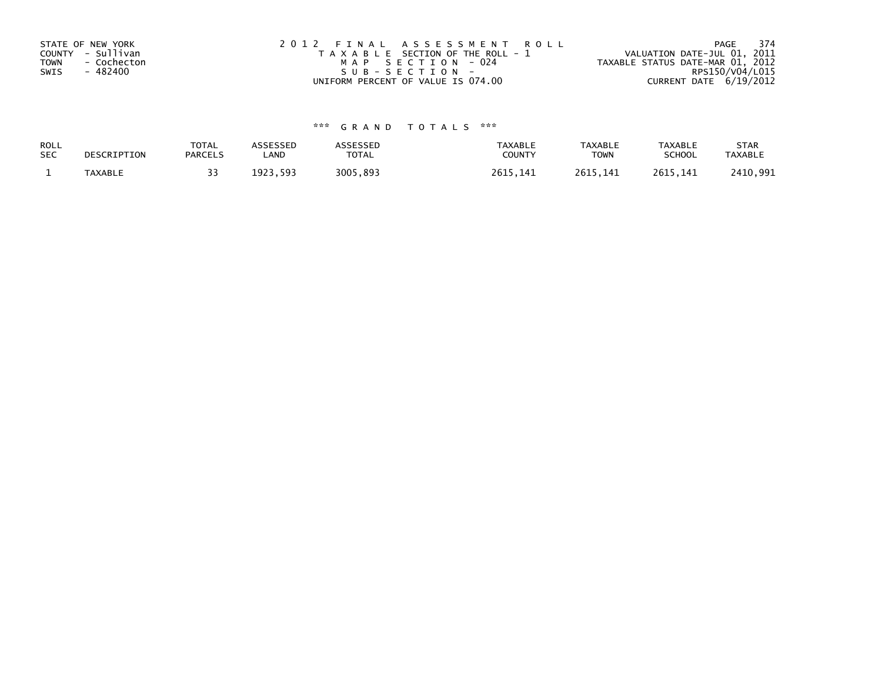| STATE OF NEW YORK          | 2012 FINAL ASSESSMENT ROLL            | 374<br>PAGE                      |
|----------------------------|---------------------------------------|----------------------------------|
| COUNTY - Sullivan          | T A X A B L E SECTION OF THE ROLL - 1 | VALUATION DATE-JUL 01, 2011      |
| <b>TOWN</b><br>- Cochecton | MAP SECTION - 024                     | TAXABLE STATUS DATE-MAR 01, 2012 |
| - 482400<br>SWIS           | SUB-SECTION-                          | RPS150/V04/L015                  |
|                            | UNIFORM PERCENT OF VALUE IS 074.00    | CURRENT DATE 6/19/2012           |

| ROLL<br><b>SEC</b> | DESCRIPTION    | <b>TOTAL</b><br><b>PARCELS</b> | ASSESSEP<br>LAND   | <b>\SSESSED</b><br>TOTAL | <b>TAXABLE</b><br><b>COUNT</b> | <b>TAXABLE</b><br><b>TOWN</b> | <b>TAXABLE</b><br><b>SCHOOL</b> | <b>STAR</b><br><b>TAXABLE</b> |
|--------------------|----------------|--------------------------------|--------------------|--------------------------|--------------------------------|-------------------------------|---------------------------------|-------------------------------|
|                    | <b>TAXABLE</b> |                                | 593<br>1923<br>--- | 3005.<br>.893            | 261                            | 2615<br>. .                   | 2615<br>. 141                   | ,991<br>110                   |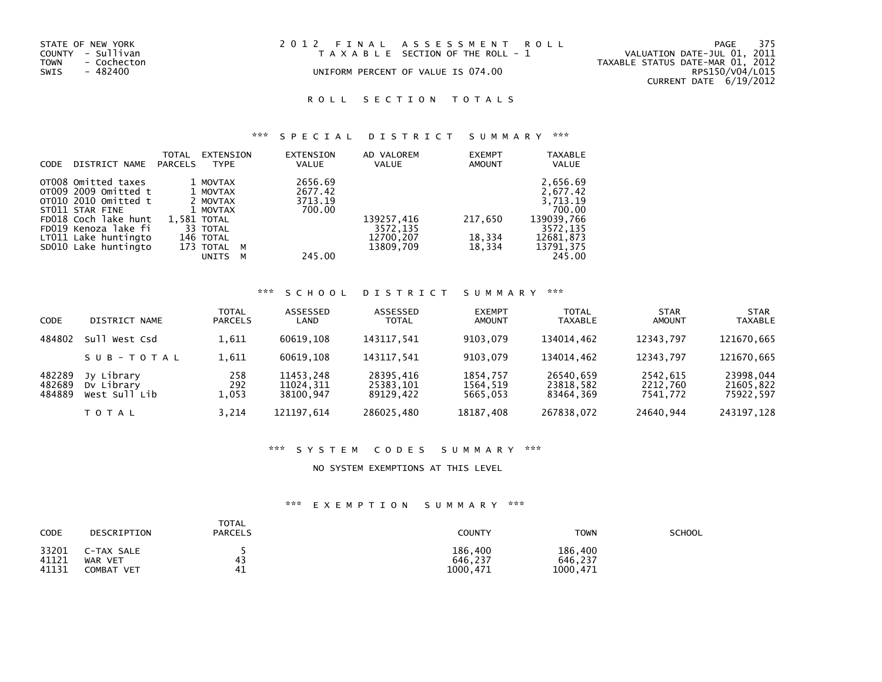| STATE OF NEW YORK<br>COUNTY - Sullivan |             | 2012 FINAL ASSESSMENT ROLL<br>T A X A B L E SECTION OF THE ROLL - 1 | 375<br>PAGE<br>VALUATION DATE-JUL 01, 2011 |
|----------------------------------------|-------------|---------------------------------------------------------------------|--------------------------------------------|
| <b>TOWN</b>                            | - Cochecton |                                                                     | TAXABLE STATUS DATE-MAR 01, 2012           |
| SWIS                                   | - 482400    | UNIFORM PERCENT OF VALUE IS 074.00                                  | RPS150/V04/L015                            |
|                                        |             |                                                                     | CURRENT DATE 6/19/2012                     |

### \*\*\* S P E C I A L D I S T R I C T S U M M A R Y \*\*\*

| <b>CODE</b> | DISTRICT NAME                                                                                                  | TOTAL<br><b>PARCELS</b> | EXTENSION<br><b>TYPE</b>                                    |        | <b>EXTENSION</b><br><b>VALUE</b>        | AD VALOREM<br><b>VALUE</b>         | <b>EXEMPT</b><br><b>AMOUNT</b> | <b>TAXABLE</b><br><b>VALUE</b>                           |
|-------------|----------------------------------------------------------------------------------------------------------------|-------------------------|-------------------------------------------------------------|--------|-----------------------------------------|------------------------------------|--------------------------------|----------------------------------------------------------|
|             | OT008 Omitted taxes<br>OT009 2009 Omitted t<br>OT010 2010 Omitted t<br>ST011 STAR FINE<br>FD018 Coch lake hunt |                         | 1 MOVTAX<br>1 MOVTAX<br>2 MOVTAX<br>1 MOVTAX<br>1,581 TOTAL |        | 2656.69<br>2677.42<br>3713.19<br>700.00 | 139257,416                         | 217,650                        | 2,656.69<br>2,677.42<br>3,713.19<br>700.00<br>139039,766 |
|             | FD019 Kenoza lake fi<br>LT011 Lake huntingto<br>SD010 Lake huntingto                                           |                         | 33 TOTAL<br>146 TOTAL<br>173 TOTAL<br><b>UNITS</b>          | м<br>м | 245.00                                  | 3572,135<br>12700,207<br>13809.709 | 18,334<br>18,334               | 3572,135<br>12681,873<br>13791,375<br>245.00             |

#### \*\*\* S C H O O L D I S T R I C T S U M M A R Y \*\*\*

| <b>CODE</b>                | DISTRICT NAME                             | <b>TOTAL</b><br><b>PARCELS</b> | ASSESSED<br>LAND                    | ASSESSED<br><b>TOTAL</b>            | <b>EXEMPT</b><br><b>AMOUNT</b>   | <b>TOTAL</b><br><b>TAXABLE</b>      | <b>STAR</b><br><b>AMOUNT</b>     | <b>STAR</b><br><b>TAXABLE</b>       |
|----------------------------|-------------------------------------------|--------------------------------|-------------------------------------|-------------------------------------|----------------------------------|-------------------------------------|----------------------------------|-------------------------------------|
| 484802                     | West Csd<br>su1                           | 1,611                          | 60619.108                           | 143117,541                          | 9103.079                         | 134014,462                          | 12343.797                        | 121670,665                          |
|                            | SUB-TOTAL                                 | 1,611                          | 60619.108                           | 143117.541                          | 9103.079                         | 134014.462                          | 12343.797                        | 121670,665                          |
| 482289<br>482689<br>484889 | Jy Library<br>Dy Library<br>West Sull Lib | 258<br>292<br>1,053            | 11453.248<br>11024.311<br>38100.947 | 28395,416<br>25383,101<br>89129.422 | 1854,757<br>1564,519<br>5665.053 | 26540,659<br>23818,582<br>83464.369 | 2542,615<br>2212,760<br>7541.772 | 23998,044<br>21605,822<br>75922,597 |
|                            | T O T A L                                 | 3.214                          | 121197.614                          | 286025,480                          | 18187,408                        | 267838,072                          | 24640,944                        | 243197.128                          |

#### \*\*\* S Y S T E M C O D E S S U M M A R Y \*\*\*

#### NO SYSTEM EXEMPTIONS AT THIS LEVEL

| <b>CODE</b>             | DESCRIPTION                         | TOTAL<br><b>PARCELS</b> | COUNTY                         | <b>TOWN</b>                    | SCHOOL |
|-------------------------|-------------------------------------|-------------------------|--------------------------------|--------------------------------|--------|
| 33201<br>41121<br>41131 | C-TAX SALE<br>WAR VET<br>COMBAT VET | 42<br>41                | 186,400<br>646.237<br>1000.471 | 186.400<br>646.237<br>1000,471 |        |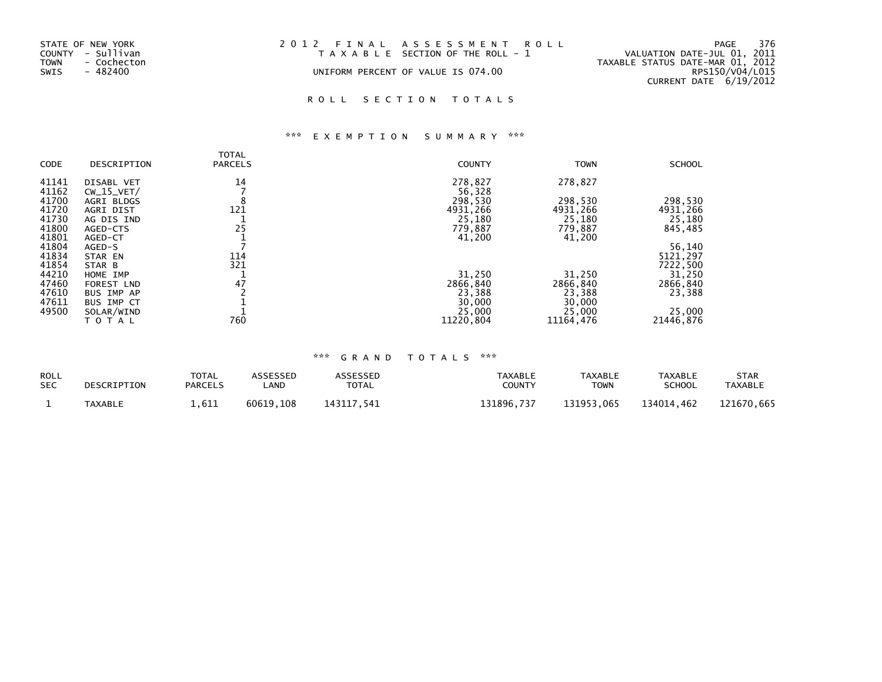| STATE OF NEW YORK<br>COUNTY - Sullivan<br><b>TOWN</b><br>- Cochecton<br>SWIS<br>- 482400 | 2012 FINAL ASSESSMENT ROLL<br>T A X A B L E SECTION OF THE ROLL - 1<br>UNIFORM PERCENT OF VALUE IS 074.00 | - 376<br>PAGE<br>VALUATION DATE-JUL 01, 2011<br>TAXABLE STATUS DATE-MAR 01, 2012<br>RPS150/V04/L015 |
|------------------------------------------------------------------------------------------|-----------------------------------------------------------------------------------------------------------|-----------------------------------------------------------------------------------------------------|
|                                                                                          |                                                                                                           | CURRENT DATE 6/19/2012                                                                              |

# \*\*\* E X E M P T I O N S U M M A R Y \*\*\*

|       |              | <b>TOTAL</b>   |               |             |               |
|-------|--------------|----------------|---------------|-------------|---------------|
| CODE  | DESCRIPTION  | <b>PARCELS</b> | <b>COUNTY</b> | <b>TOWN</b> | <b>SCHOOL</b> |
| 41141 | DISABL VET   | 14             | 278,827       | 278,827     |               |
| 41162 | $CW_15_VET/$ |                | 56.328        |             |               |
| 41700 | AGRI BLDGS   |                | 298,530       | 298,530     | 298,530       |
| 41720 | AGRI DIST    | 121            | 4931,266      | 4931,266    | 4931,266      |
| 41730 | AG DIS IND   |                | 25,180        | 25,180      | 25,180        |
| 41800 | AGED-CTS     | 25             | 779,887       | 779,887     | 845,485       |
| 41801 | AGED-CT      |                | 41,200        | 41,200      |               |
| 41804 | AGED-S       |                |               |             | 56,140        |
| 41834 | STAR EN      | 114            |               |             | 5121,297      |
| 41854 | STAR B       | 321            |               |             | 7222,500      |
| 44210 | HOME IMP     |                | 31,250        | 31,250      | 31,250        |
| 47460 | FOREST LND   | 47             | 2866,840      | 2866,840    | 2866,840      |
| 47610 | BUS IMP AP   |                | 23,388        | 23,388      | 23,388        |
| 47611 | BUS IMP CT   |                | 30,000        | 30,000      |               |
| 49500 | SOLAR/WIND   |                | 25,000        | 25,000      | 25,000        |
|       | TOTAL        | 760            | 11220.804     | 11164.476   | 21446.876     |

| <b>ROLL</b> | DESCRIPTION    | TOTAL          | ASSESSED  | <b>ASSESSED</b> | TAXABLE    | <b>TAXABLE</b> | TAXABLE    | <b>STAR</b>    |
|-------------|----------------|----------------|-----------|-----------------|------------|----------------|------------|----------------|
| <b>SEC</b>  |                | <b>PARCELS</b> | .AND      | <b>TOTAL</b>    | COUNTY     | <b>TOWN</b>    | SCHOOL     | <b>TAXABLE</b> |
|             | <b>TAXABLE</b> | 1.611          | 60619.108 | 143117.541      | 131896.737 | 131953.065     | 134014.462 | 121670.665     |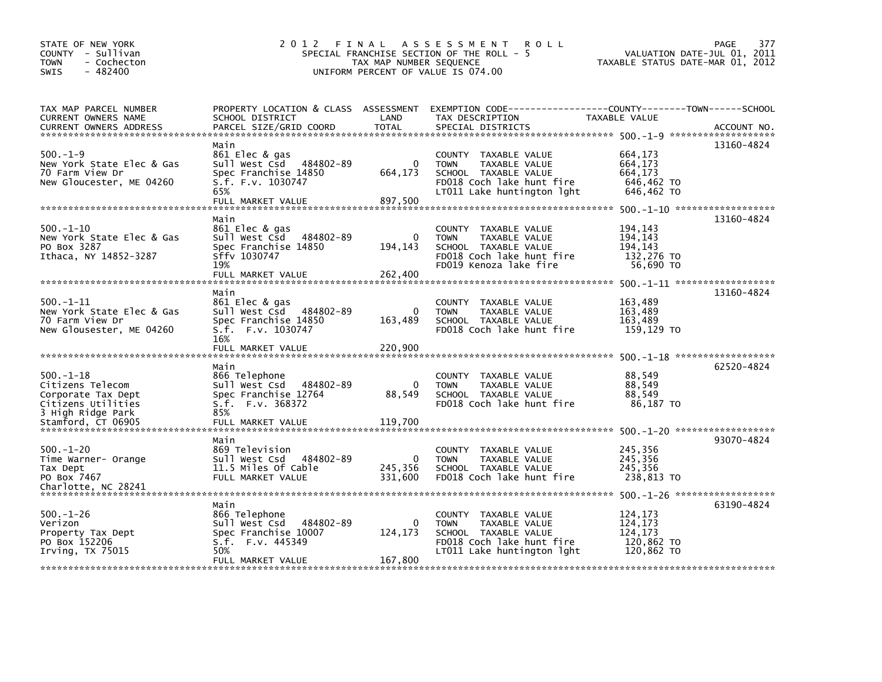| STATE OF NEW YORK<br>COUNTY - Sullivan<br>- Cochecton<br>TOWN<br>$-482400$<br><b>SWIS</b> | 2012                                        | FINAL<br>TAX MAP NUMBER SEQUENCE | A S S E S S M E N T<br>R O L L<br>SPECIAL FRANCHISE SECTION OF THE ROLL - 5<br>UNIFORM PERCENT OF VALUE IS 074.00 | PAGE<br>VALUATION DATE-JUL 01, 2011<br>TAXABLE STATUS DATE-MAR 01, 2012 | 377         |
|-------------------------------------------------------------------------------------------|---------------------------------------------|----------------------------------|-------------------------------------------------------------------------------------------------------------------|-------------------------------------------------------------------------|-------------|
|                                                                                           |                                             |                                  |                                                                                                                   |                                                                         |             |
| TAX MAP PARCEL NUMBER                                                                     | PROPERTY LOCATION & CLASS ASSESSMENT        |                                  | EXEMPTION CODE-----------------COUNTY-------TOWN------SCHOOL                                                      |                                                                         |             |
| CURRENT OWNERS NAME                                                                       | SCHOOL DISTRICT                             | LAND                             | TAX DESCRIPTION                                                                                                   | TAXABLE VALUE                                                           |             |
| <b>CURRENT OWNERS ADDRESS</b>                                                             | PARCEL SIZE/GRID COORD                      | <b>TOTAL</b>                     | SPECIAL DISTRICTS                                                                                                 |                                                                         | ACCOUNT NO. |
|                                                                                           | Main                                        |                                  |                                                                                                                   |                                                                         | 13160-4824  |
| $500.-1-9$                                                                                | 861 Elec & gas                              |                                  | COUNTY TAXABLE VALUE                                                                                              | 664,173                                                                 |             |
| New York State Elec & Gas                                                                 | Sull West Csd 484802-89                     | $\Omega$                         | <b>TOWN</b><br>TAXABLE VALUE                                                                                      | 664,173                                                                 |             |
| 70 Farm View Dr                                                                           | Spec Franchise 14850                        | 664,173                          | SCHOOL TAXABLE VALUE                                                                                              | 664,173                                                                 |             |
| New Gloucester, ME 04260                                                                  | S.f. F.v. 1030747                           |                                  | FD018 Coch lake hunt fire                                                                                         | 646,462 TO                                                              |             |
|                                                                                           | 65%                                         |                                  | LT011 Lake huntington lght                                                                                        | 646,462 TO                                                              |             |
|                                                                                           | FULL MARKET VALUE                           | 897,500                          |                                                                                                                   |                                                                         |             |
|                                                                                           | матп                                        |                                  |                                                                                                                   |                                                                         | 13160-4824  |
| $500 - 1 - 10$                                                                            | 861 Elec & gas                              |                                  | COUNTY TAXABLE VALUE                                                                                              | 194,143                                                                 |             |
| New York State Elec & Gas                                                                 | Sull West Csd<br>484802-89                  | $\mathbf{0}$                     | TAXABLE VALUE<br><b>TOWN</b>                                                                                      | 194,143                                                                 |             |
| PO Box 3287                                                                               | Spec Franchise 14850                        | 194,143                          | SCHOOL TAXABLE VALUE                                                                                              | 194,143                                                                 |             |
| Ithaca, NY 14852-3287                                                                     | Sffv 1030747                                |                                  | FD018 Coch lake hunt fire                                                                                         | 132,276 TO                                                              |             |
|                                                                                           | 19%                                         |                                  | FD019 Kenoza lake fire                                                                                            | 56,690 TO                                                               |             |
|                                                                                           | FULL MARKET VALUE                           | 262,400                          |                                                                                                                   |                                                                         |             |
|                                                                                           |                                             |                                  |                                                                                                                   |                                                                         |             |
| $500. -1 - 11$                                                                            | Main<br>861 Elec & gas                      |                                  | COUNTY TAXABLE VALUE                                                                                              | 163,489                                                                 | 13160-4824  |
| New York State Elec & Gas                                                                 | Sull West Csd<br>484802-89                  | $\Omega$                         | TAXABLE VALUE<br><b>TOWN</b>                                                                                      | 163,489                                                                 |             |
| 70 Farm View Dr                                                                           | Spec Franchise 14850                        | 163,489                          | SCHOOL TAXABLE VALUE                                                                                              | 163,489                                                                 |             |
| New Glousester, ME 04260                                                                  | S.f. F.v. 1030747                           |                                  | FD018 Coch lake hunt fire                                                                                         | 159,129 TO                                                              |             |
|                                                                                           | 16%                                         |                                  |                                                                                                                   |                                                                         |             |
|                                                                                           |                                             |                                  |                                                                                                                   |                                                                         |             |
|                                                                                           |                                             |                                  |                                                                                                                   |                                                                         |             |
|                                                                                           | Main                                        |                                  |                                                                                                                   |                                                                         | 62520-4824  |
| $500.-1-18$<br>Citizens Telecom                                                           | 866 Telephone<br>Sull West Csd<br>484802-89 | $\Omega$                         | COUNTY TAXABLE VALUE<br><b>TOWN</b><br>TAXABLE VALUE                                                              | 88,549<br>88,549                                                        |             |
| Corporate Tax Dept                                                                        | Spec Franchise 12764                        | 88,549                           | SCHOOL TAXABLE VALUE                                                                                              | 88,549                                                                  |             |
| Citizens Utilities                                                                        | S.f. F.v. 368372                            |                                  | FD018 Coch lake hunt fire                                                                                         | 86,187 TO                                                               |             |
| 3 High Ridge Park                                                                         | 85%                                         |                                  |                                                                                                                   |                                                                         |             |
| Stamford, CT 06905                                                                        | FULL MARKET VALUE                           | 119,700                          |                                                                                                                   |                                                                         |             |
|                                                                                           |                                             |                                  |                                                                                                                   |                                                                         |             |
|                                                                                           | Main                                        |                                  |                                                                                                                   |                                                                         | 93070-4824  |
| $500 - 1 - 20$                                                                            | 869 Television                              |                                  | COUNTY TAXABLE VALUE                                                                                              | 245,356                                                                 |             |
| Time Warner- Orange                                                                       | Sull West Csd 484802-89                     | $\Omega$                         | TAXABLE VALUE<br><b>TOWN</b>                                                                                      | 245,356                                                                 |             |
| Tax Dept<br>PO Box 7467                                                                   | 11.5 Miles Of Cable<br>FULL MARKET VALUE    | 245,356<br>331,600               | SCHOOL TAXABLE VALUE<br>FD018 Coch lake hunt fire                                                                 | 245,356<br>238,813 TO                                                   |             |
| Charlotte, NC 28241                                                                       |                                             |                                  |                                                                                                                   |                                                                         |             |
|                                                                                           |                                             |                                  |                                                                                                                   |                                                                         |             |
|                                                                                           | Main                                        |                                  |                                                                                                                   |                                                                         | 63190-4824  |
| $500. - 1 - 26$                                                                           | 866 Telephone                               |                                  | COUNTY TAXABLE VALUE                                                                                              | 124,173                                                                 |             |
| Verizon                                                                                   | 484802-89<br>Sull West Csd                  | 0                                | TAXABLE VALUE<br><b>TOWN</b>                                                                                      | 124,173                                                                 |             |
| Property Tax Dept                                                                         | Spec Franchise 10007                        | 124,173                          | SCHOOL TAXABLE VALUE                                                                                              | 124,173                                                                 |             |
| PO Box 152206                                                                             | S.f. F.v. 445349                            |                                  | FD018 Coch lake hunt fire                                                                                         | 120,862 TO                                                              |             |
| Irving, $TX$ 75015                                                                        | 50%                                         |                                  | LT011 Lake huntington lght                                                                                        | 120,862 TO                                                              |             |
|                                                                                           | FULL MARKET VALUE                           | 167,800                          |                                                                                                                   |                                                                         |             |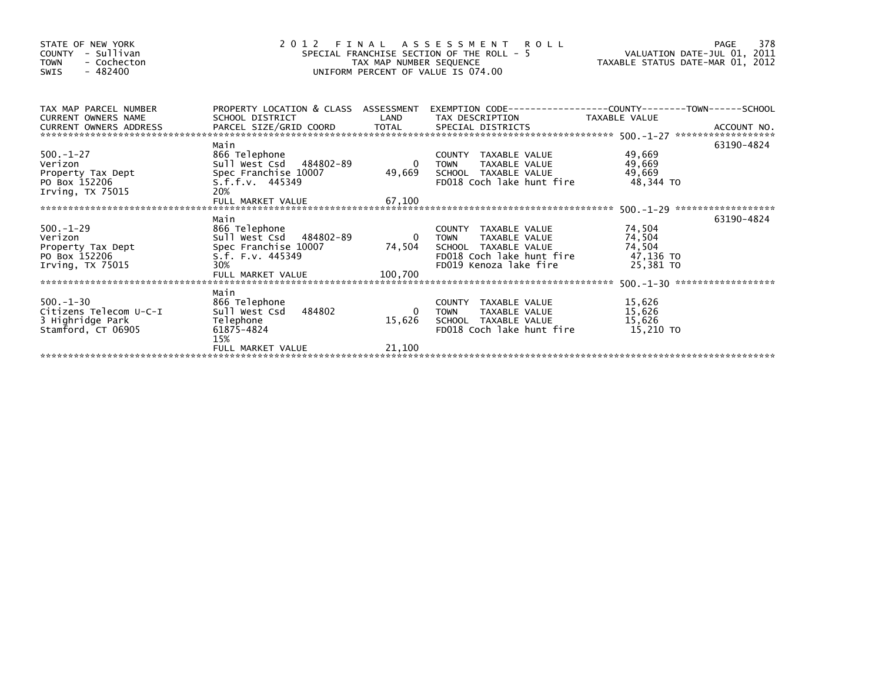| PROPERTY LOCATION & CLASS ASSESSMENT<br>TAX MAP PARCEL NUMBER<br>EXEMPTION        CODE-----------------COUNTY--------TOWN------SCHOOL<br>SCHOOL DISTRICT<br>LAND<br>TAX DESCRIPTION TAXABLE VALUE<br><b>CURRENT OWNERS NAME</b><br>CURRENT OWNERS ADDRESS                                                                                                                                                                                                      | 378<br>VALUATION DATE-JUL 01, 2011<br>TAXABLE STATUS DATE-MAR 01, 2012 |
|----------------------------------------------------------------------------------------------------------------------------------------------------------------------------------------------------------------------------------------------------------------------------------------------------------------------------------------------------------------------------------------------------------------------------------------------------------------|------------------------------------------------------------------------|
|                                                                                                                                                                                                                                                                                                                                                                                                                                                                |                                                                        |
| Main<br>63190-4824<br>$500. - 1 - 27$<br>866 Telephone<br>49,669<br>COUNTY TAXABLE VALUE<br>Verizon<br>Sull West Csd 484802-89<br>$\overline{\phantom{0}}$<br>49,669<br><b>TOWN</b><br>TAXABLE VALUE<br>49,669<br>49,669<br>Spec Franchise 10007<br>SCHOOL TAXABLE VALUE<br>Property Tax Dept<br>FD018 Coch lake hunt fire<br>48.344 TO<br>PO Box 152206<br>$S.f.f.v.$ 445349<br>20%<br>Irving, TX 75015<br>67,100<br>FULL MARKET VALUE                        |                                                                        |
| 63190-4824<br>Main<br>$500 - 1 - 29$<br>866 Telephone<br>74,504<br>COUNTY TAXABLE VALUE<br>74,504<br>Sull West Csd 484802-89<br>Verizon<br>TAXABLE VALUE<br>$\overline{0}$<br>TOWN<br>74,504<br>Spec Franchise 10007<br>74,504<br>SCHOOL TAXABLE VALUE<br>Property Tax Dept<br>47,136 TO<br>FD018 Coch lake hunt fire<br>PO Box 152206<br>S.f. F.v. 445349<br>30%<br>FD019 Kenoza lake fire<br>25,381 TO<br>Irving, $TX$ 75015<br>100,700<br>FULL MARKET VALUE |                                                                        |
| Main<br>$500 - 1 - 30$<br>866 Telephone<br>15,626<br>COUNTY TAXABLE VALUE<br>484802<br>Sull West Csd<br>15,626<br>Citizens Telecom U-C-I<br>TAXABLE VALUE<br><b>TOWN</b><br>15,626<br>3 Highridge Park<br>Telephone<br>15,626<br>SCHOOL TAXABLE VALUE<br>15,210 TO<br>Stamford, CT 06905<br>61875-4824<br>FD018 Coch lake hunt fire<br>15%<br>21,100<br>FULL MARKET VALUE                                                                                      |                                                                        |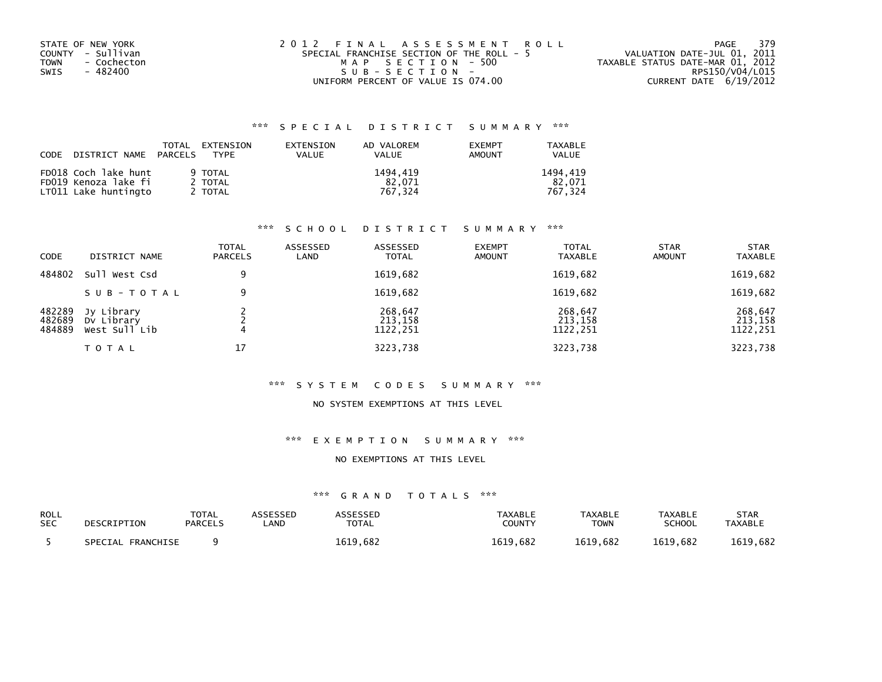| STATE OF NEW YORK          | 2012 FINAL ASSESSMENT ROLL                | - 379<br>PAGE                    |
|----------------------------|-------------------------------------------|----------------------------------|
| COUNTY - Sullivan          | SPECIAL FRANCHISE SECTION OF THE ROLL - 5 | VALUATION DATE-JUL 01, 2011      |
| <b>TOWN</b><br>- Cochecton | MAP SECTION - 500                         | TAXABLE STATUS DATE-MAR 01, 2012 |
| SWIS<br>- 482400           | SUB-SECTION-                              | RPS150/V04/L015                  |
|                            | UNIFORM PERCENT OF VALUE IS 074.00        | CURRENT DATE 6/19/2012           |

| CODE | DISTRICT NAME PARCELS                                                | TOTAL | EXTENSION<br><b>TYPF</b>      | EXTENSION<br>VALUE | AD VALOREM<br>VALUE           | <b>EXEMPT</b><br><b>AMOUNT</b> | TAXABLE<br><b>VALUE</b>       |
|------|----------------------------------------------------------------------|-------|-------------------------------|--------------------|-------------------------------|--------------------------------|-------------------------------|
|      | FD018 Coch lake hunt<br>FD019 Kenoza lake fi<br>LT011 Lake huntingto |       | 9 TOTAL<br>2 TOTAL<br>2 TOTAL |                    | 1494.419<br>82.071<br>767.324 |                                | 1494.419<br>82.071<br>767.324 |

### \*\*\* S C H O O L D I S T R I C T S U M M A R Y \*\*\*

| CODE                       | DISTRICT NAME                             | <b>TOTAL</b><br><b>PARCELS</b> | ASSESSED<br>LAND | ASSESSED<br><b>TOTAL</b>       | <b>EXEMPT</b><br><b>AMOUNT</b> | <b>TOTAL</b><br><b>TAXABLE</b> | <b>STAR</b><br><b>AMOUNT</b> | <b>STAR</b><br><b>TAXABLE</b>  |
|----------------------------|-------------------------------------------|--------------------------------|------------------|--------------------------------|--------------------------------|--------------------------------|------------------------------|--------------------------------|
| 484802                     | Sull West Csd                             | 9                              |                  | 1619,682                       |                                | 1619,682                       |                              | 1619,682                       |
|                            | SUB-TOTAL                                 | 9                              |                  | 1619,682                       |                                | 1619,682                       |                              | 1619,682                       |
| 482289<br>482689<br>484889 | Jy Library<br>Dy Library<br>West Sull Lib |                                |                  | 268,647<br>213,158<br>1122,251 |                                | 268,647<br>213,158<br>1122,251 |                              | 268,647<br>213,158<br>1122,251 |
|                            | T O T A L                                 | 17                             |                  | 3223,738                       |                                | 3223,738                       |                              | 3223,738                       |

#### \*\*\* S Y S T E M C O D E S S U M M A R Y \*\*\*

### NO SYSTEM EXEMPTIONS AT THIS LEVEL

### \*\*\* E X E M P T I O N S U M M A R Y \*\*\*

#### NO EXEMPTIONS AT THIS LEVEL

| ROLL       | DESCRIPTION          | <b>TOTAL</b>   | <b>\SSESSED</b> | <b>\SSESSED</b> | <b>TAXABLE</b> | <b>TAXABLE</b> | <b>TAXABLE</b> | <b>STAR</b>    |
|------------|----------------------|----------------|-----------------|-----------------|----------------|----------------|----------------|----------------|
| <b>SEC</b> |                      | <b>PARCELS</b> | _AND            | <b>TOTAL</b>    | <b>COUNTY</b>  | <b>TOWN</b>    | <b>SCHOOL</b>  | <b>TAXABLE</b> |
|            | SPECIAL<br>FRANCHISE |                |                 | 1619,682        | 1619.682       | 1619.682       | 1619.682       | 1619,682       |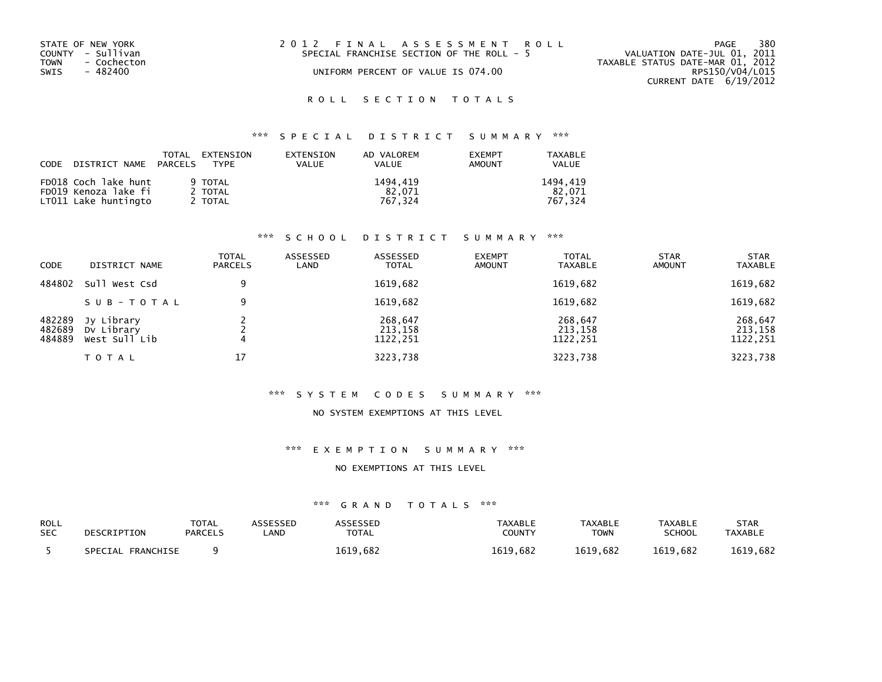| STATE OF NEW YORK<br>COUNTY - Sullivan<br>TOWN - Cochecton<br>SWIS<br>- 482400 | 2012 FINAL ASSESSMENT ROLL<br>SPECIAL FRANCHISE SECTION OF THE ROLL - 5<br>UNIFORM PERCENT OF VALUE IS 074.00 | 380<br>PAGE<br>VALUATION DATE-JUL 01, 2011<br>TAXABLE STATUS DATE-MAR 01, 2012<br>RPS150/V04/L015<br>CURRENT DATE 6/19/2012 |
|--------------------------------------------------------------------------------|---------------------------------------------------------------------------------------------------------------|-----------------------------------------------------------------------------------------------------------------------------|
|                                                                                |                                                                                                               |                                                                                                                             |

# \*\*\* S P E C I A L D I S T R I C T S U M M A R Y \*\*\*

| CODE DISTRICT NAME PARCELS | TOTAL<br>EXTENSION<br>TYPF | EXTENSION<br><b>VALUE</b> | AD VALOREM<br><b>VALUE</b> | <b>EXEMPT</b><br>AMOUNT | TAXABLE<br><b>VALUE</b> |
|----------------------------|----------------------------|---------------------------|----------------------------|-------------------------|-------------------------|
| FD018 Coch lake hunt       | 9 TOTAL                    |                           | 1494.419                   |                         | 1494.419                |
| FD019 Kenoza lake fi       | 2 TOTAL                    |                           | 82.071                     |                         | 82.071                  |
| LT011 Lake huntingto       | 2 TOTAL                    |                           | 767.324                    |                         | 767.324                 |

### \*\*\* S C H O O L D I S T R I C T S U M M A R Y \*\*\*

| CODE                       | DISTRICT NAME                             | <b>TOTAL</b><br><b>PARCELS</b> | ASSESSED<br>LAND | ASSESSED<br><b>TOTAL</b>       | <b>EXEMPT</b><br><b>AMOUNT</b> | <b>TOTAL</b><br><b>TAXABLE</b> | <b>STAR</b><br><b>AMOUNT</b> | <b>STAR</b><br><b>TAXABLE</b>  |
|----------------------------|-------------------------------------------|--------------------------------|------------------|--------------------------------|--------------------------------|--------------------------------|------------------------------|--------------------------------|
| 484802                     | Sull West Csd                             | 9                              |                  | 1619,682                       |                                | 1619,682                       |                              | 1619,682                       |
|                            | SUB-TOTAL                                 | 9                              |                  | 1619,682                       |                                | 1619,682                       |                              | 1619,682                       |
| 482289<br>482689<br>484889 | Jy Library<br>Dy Library<br>West Sull Lib |                                |                  | 268,647<br>213,158<br>1122,251 |                                | 268,647<br>213,158<br>1122,251 |                              | 268,647<br>213,158<br>1122,251 |
|                            | T O T A L                                 | 17                             |                  | 3223,738                       |                                | 3223,738                       |                              | 3223,738                       |

#### \*\*\* S Y S T E M C O D E S S U M M A R Y \*\*\*

#### NO SYSTEM EXEMPTIONS AT THIS LEVEL

#### \*\*\* E X E M P T I O N S U M M A R Y \*\*\*

#### NO EXEMPTIONS AT THIS LEVEL

| <b>ROLL</b> | DESCRIPTION          | TOTAL          | ASSESSED | <b>ASSESSED</b> | <b>TAXABLE</b> | <b>TAXABLE</b> | <b>TAXABLE</b> | <b>STAR</b>    |
|-------------|----------------------|----------------|----------|-----------------|----------------|----------------|----------------|----------------|
| <b>SEC</b>  |                      | <b>PARCELS</b> | _AND     | <b>TOTAL</b>    | <b>COUNTY</b>  | TOWN           | SCHOOL         | <b>TAXABLE</b> |
|             | FRANCHISE<br>SPECIAL |                |          | 1619,682        | 1619,682       | 1619.682       | 1619.682       | 1619,682       |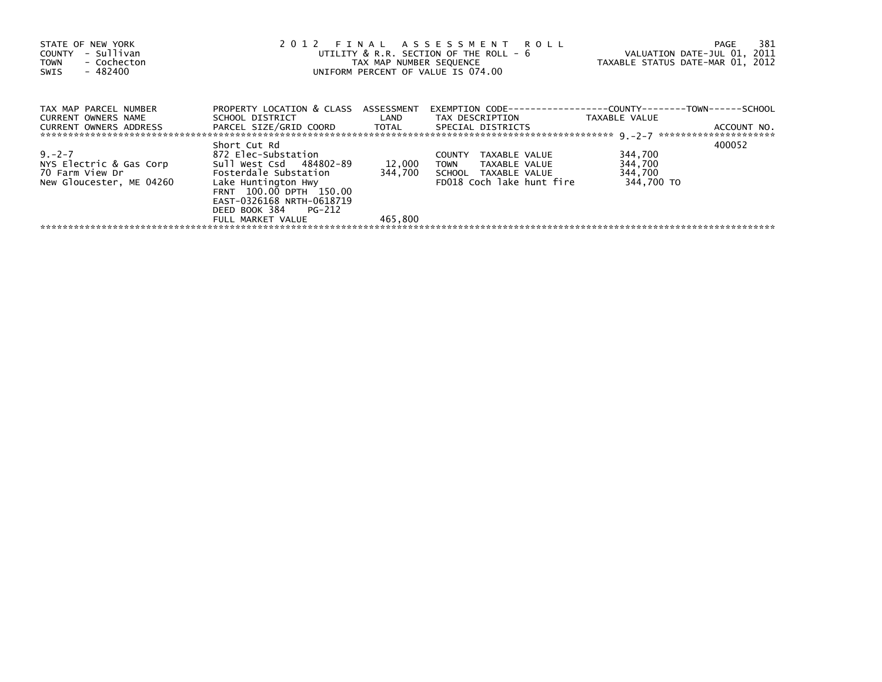| STATE OF NEW YORK<br>- Sullivan<br>COUNTY<br>- Cochecton<br><b>TOWN</b><br>- 482400<br>SWIS | 2012 FINAL ASSESSMENT ROLL<br>UNIFORM PERCENT OF VALUE IS 074.00                                                                                                                                                    | 381<br>PAGE<br>UTILITY & R.R. SECTION OF THE ROLL - 6 VALUATION DATE-JUL 01, 2011<br>TAX MAP NUMBER SEQUENCE TAXABLE STATUS DATE-MAR 01, 2012 |                                                                                                                               |                                             |             |
|---------------------------------------------------------------------------------------------|---------------------------------------------------------------------------------------------------------------------------------------------------------------------------------------------------------------------|-----------------------------------------------------------------------------------------------------------------------------------------------|-------------------------------------------------------------------------------------------------------------------------------|---------------------------------------------|-------------|
| TAX MAP PARCEL NUMBER<br><b>CURRENT OWNERS NAME</b><br><b>CURRENT OWNERS ADDRESS</b>        | PROPERTY LOCATION & CLASS ASSESSMENT<br>PARCEL SIZE/GRID COORD TOTAL SPECIAL DISTRICTS                                                                                                                              |                                                                                                                                               | EXEMPTION        CODE-----------------COUNTY-------TOWN------SCHOOL<br>SCHOOL DISTRICT TAN LAND TAX DESCRIPTION TAXABLE VALUE |                                             | ACCOUNT NO. |
| $9. -2 - 7$<br>NYS Electric & Gas Corp<br>70 Farm View Dr<br>New Gloucester, ME 04260       | Short Cut Rd<br>872 Elec-Substation<br>Sull West Csd 484802-89<br>Fosterdale Substation<br>Lake Huntington Hwy<br>FRNT 100.00 DPTH 150.00<br>EAST-0326168 NRTH-0618719<br>DEED BOOK 384 PG-212<br>FULL MARKET VALUE | 12,000<br>344.700<br>465.800                                                                                                                  | COUNTY<br>TAXABLE VALUE<br><b>TOWN</b><br>TAXABLE VALUE<br>SCHOOL TAXABLE VALUE<br>FD018 Coch lake hunt fire                  | 344,700<br>344,700<br>344,700<br>344,700 TO | 400052      |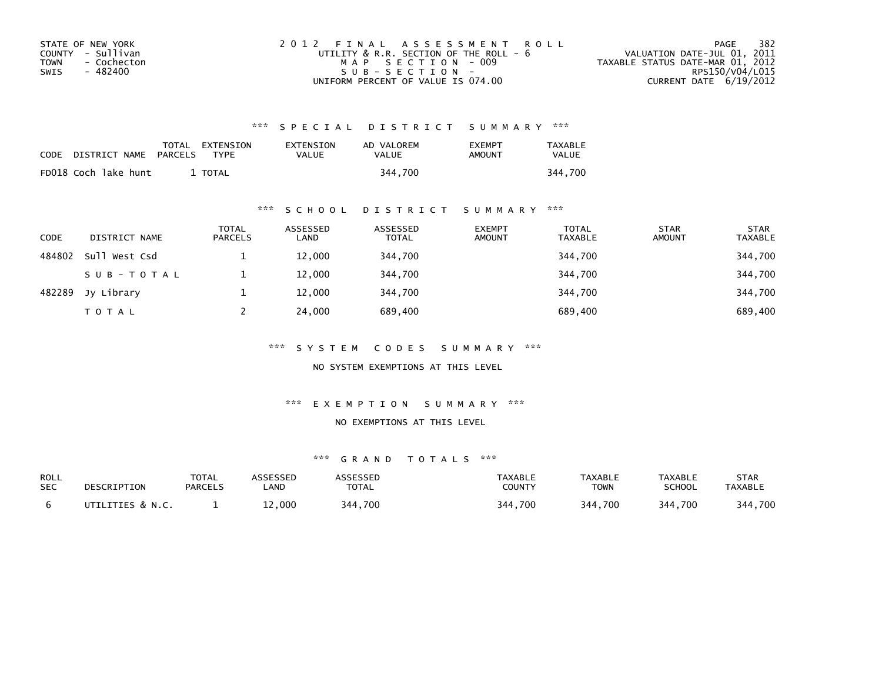| STATE OF NEW YORK   | 2012 FINAL ASSESSMENT ROLL                  | 382<br>PAGE                      |
|---------------------|---------------------------------------------|----------------------------------|
| COUNTY - Sullivan   | UTILITY $\&$ R.R. SECTION OF THE ROLL - $6$ | VALUATION DATE-JUL 01, 2011      |
| - Cochecton<br>TOWN | MAP SECTION - 009                           | TAXABLE STATUS DATE-MAR 01, 2012 |
| - 482400<br>SWIS    | SUB-SECTION-                                | RPS150/V04/L015                  |
|                     | UNIFORM PERCENT OF VALUE IS 074.00          | CURRENT DATE 6/19/2012           |

| CODE | DISTRICT NAME        | PARCELS | TOTAL EXTENSION<br>TYPF | EXTENSION<br><b>VALUE</b> | AD VALOREM<br>VALUE | <b>EXEMPT</b><br>AMOUNT | <b>TAXABLE</b><br><b>VALUE</b> |
|------|----------------------|---------|-------------------------|---------------------------|---------------------|-------------------------|--------------------------------|
|      | FD018 Coch lake hunt |         | TOTAL                   |                           | 344.700             |                         | 344,700                        |

### \*\*\* S C H O O L D I S T R I C T S U M M A R Y \*\*\*

| <b>CODE</b> | DISTRICT NAME | <b>TOTAL</b><br><b>PARCELS</b> | ASSESSED<br>LAND | ASSESSED<br><b>TOTAL</b> | <b>EXEMPT</b><br><b>AMOUNT</b> | <b>TOTAL</b><br><b>TAXABLE</b> | <b>STAR</b><br><b>AMOUNT</b> | <b>STAR</b><br><b>TAXABLE</b> |
|-------------|---------------|--------------------------------|------------------|--------------------------|--------------------------------|--------------------------------|------------------------------|-------------------------------|
| 484802      | Sull West Csd |                                | 12,000           | 344,700                  |                                | 344,700                        |                              | 344,700                       |
|             | SUB-TOTAL     |                                | 12,000           | 344,700                  |                                | 344,700                        |                              | 344,700                       |
| 482289      | Jy Library    |                                | 12,000           | 344,700                  |                                | 344.700                        |                              | 344,700                       |
|             | <b>TOTAL</b>  |                                | 24,000           | 689,400                  |                                | 689,400                        |                              | 689,400                       |

\*\*\* S Y S T E M C O D E S S U M M A R Y \*\*\*

NO SYSTEM EXEMPTIONS AT THIS LEVEL

\*\*\* E X E M P T I O N S U M M A R Y \*\*\*

#### NO EXEMPTIONS AT THIS LEVEL

| ROLL       | DESCRIPTION      | <b>TOTAL</b>   | ASSESSED | ASSESSED     | <b>TAXABLE</b> | <b>TAXABLE</b> | TAXABLE       | STAR           |
|------------|------------------|----------------|----------|--------------|----------------|----------------|---------------|----------------|
| <b>SEC</b> |                  | <b>PARCELS</b> | .AND     | <b>TOTAL</b> | COUNTY         | TOWN           | <b>SCHOOL</b> | <b>TAXABLE</b> |
|            | UTILITIES & N.C. |                | 000.∠⊾   | 344,700      | 344,700        | 344,700        | 344,700       | 344,700        |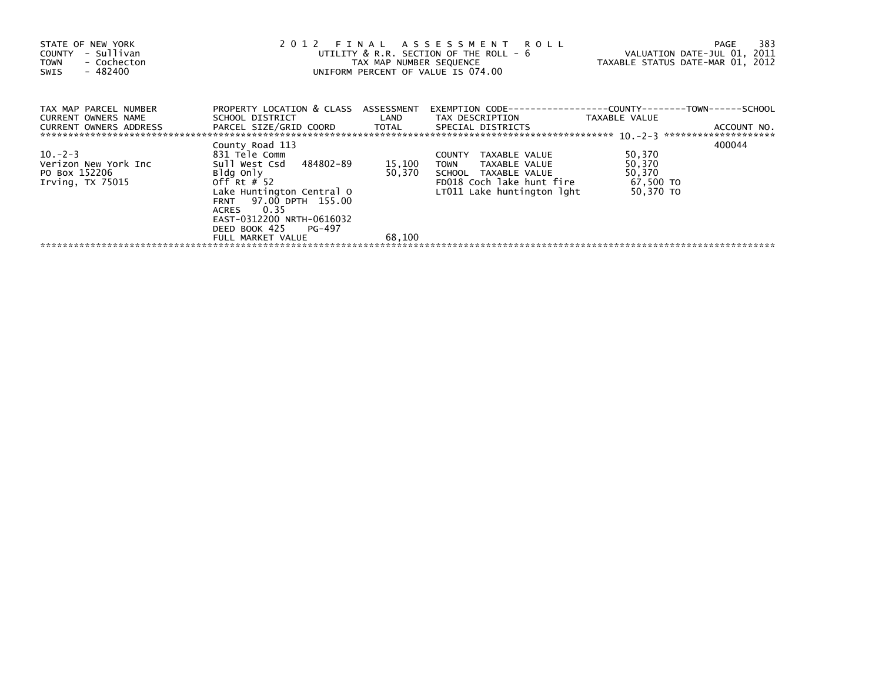| STATE OF NEW YORK<br>- Sullivan<br>COUNTY<br>- Cochecton<br><b>TOWN</b><br>- 482400<br>SWIS | 2012 FINAL ASSESSMENT ROLL<br>UTILITY & R.R. SECTION OF THE ROLL - 6<br>TAX MAP NUMBER SEQUENCE<br>UNIFORM PERCENT OF VALUE IS 074.00                                       | 383<br>PAGE<br>VALUATION DATE-JUL 01, 2011<br>TAXABLE STATUS DATE-MAR 01, 2012 |                                                                                                                                                      |                                                      |             |
|---------------------------------------------------------------------------------------------|-----------------------------------------------------------------------------------------------------------------------------------------------------------------------------|--------------------------------------------------------------------------------|------------------------------------------------------------------------------------------------------------------------------------------------------|------------------------------------------------------|-------------|
| TAX MAP PARCEL NUMBER<br>CURRENT OWNERS NAME<br><b>CURRENT OWNERS ADDRESS</b>               | PROPERTY LOCATION & CLASS ASSESSMENT<br>SCHOOL DISTRICT<br>PARCEL SIZE/GRID COORD TOTAL                                                                                     | LAND                                                                           | EXEMPTION CODE-----------------COUNTY-------TOWN------SCHOOL<br>TAX DESCRIPTION<br>SPECIAL DISTRICTS                                                 | TAXABLE VALUE                                        | ACCOUNT NO. |
| $10. -2 - 3$<br>Verizon New York Inc<br>PO Box 152206<br>Irving, TX 75015                   | County Road 113<br>831 Tele Comm<br>Sull West Csd 484802-89<br>Bldg Only<br>Off Rt $#$ 52<br>Lake Huntington Central O<br>97.00 DPTH 155.00<br><b>FRNT</b><br>0.35<br>ACRES | 15,100<br>50,370                                                               | TAXABLE VALUE<br><b>COUNTY</b><br>TAXABLE VALUE<br>TOWN<br>TAXABLE VALUE<br><b>SCHOOL</b><br>FD018 Coch lake hunt fire<br>LT011 Lake huntington lght | 50,370<br>50,370<br>50,370<br>67,500 TO<br>50,370 TO | 400044      |
|                                                                                             | EAST-0312200 NRTH-0616032<br>DEED BOOK 425<br>PG-497<br>FULL MARKET VALUE                                                                                                   | 68,100                                                                         |                                                                                                                                                      |                                                      |             |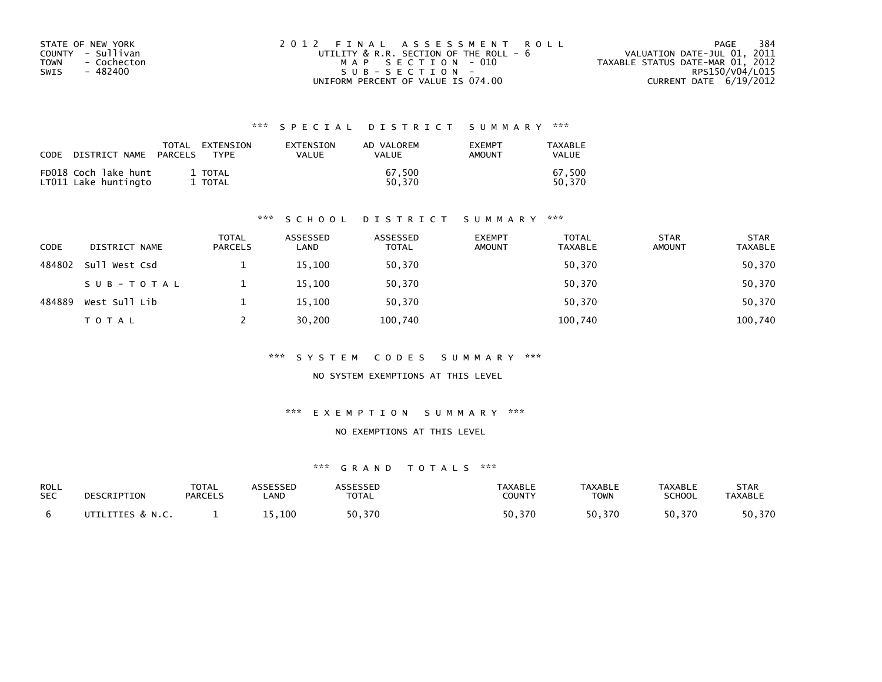| STATE OF NEW YORK   | 2012 FINAL ASSESSMENT ROLL             | 384<br>PAGE                      |
|---------------------|----------------------------------------|----------------------------------|
| COUNTY - Sullivan   | UTILITY & R.R. SECTION OF THE ROLL - 6 | VALUATION DATE-JUL 01, 2011      |
| - Cochecton<br>TOWN | MAP SECTION - 010                      | TAXABLE STATUS DATE-MAR 01, 2012 |
| SWIS<br>- 482400    | $SUB - SECTION -$                      | RPS150/V04/L015                  |
|                     | UNIFORM PERCENT OF VALUE IS 074.00     | CURRENT DATE 6/19/2012           |

| CODE | DISTRICT NAME                                | PARCELS | TOTAL EXTENSION<br>TYPF | EXTENSION<br><b>VALUE</b> | AD VALOREM<br><b>VALUE</b> | <b>EXEMPT</b><br>AMOUNT | TAXABLE<br><b>VALUE</b> |
|------|----------------------------------------------|---------|-------------------------|---------------------------|----------------------------|-------------------------|-------------------------|
|      | FD018 Coch lake hunt<br>LTO11 Lake huntingto |         | 1 TOTAL<br>1 TOTAL      |                           | 67.500<br>50.370           |                         | 67.500<br>50.370        |

#### \*\*\* S C H O O L D I S T R I C T S U M M A R Y \*\*\*

| <b>CODE</b> | DISTRICT NAME | <b>TOTAL</b><br><b>PARCELS</b> | ASSESSED<br>LAND | ASSESSED<br><b>TOTAL</b> | <b>EXEMPT</b><br><b>AMOUNT</b> | <b>TOTAL</b><br><b>TAXABLE</b> | <b>STAR</b><br><b>AMOUNT</b> | <b>STAR</b><br><b>TAXABLE</b> |
|-------------|---------------|--------------------------------|------------------|--------------------------|--------------------------------|--------------------------------|------------------------------|-------------------------------|
| 484802      | Sull West Csd |                                | 15,100           | 50,370                   |                                | 50,370                         |                              | 50,370                        |
|             | SUB-TOTAL     |                                | 15,100           | 50,370                   |                                | 50,370                         |                              | 50,370                        |
| 484889      | West Sull Lib |                                | 15,100           | 50,370                   |                                | 50,370                         |                              | 50,370                        |
|             | TOTAL         |                                | 30,200           | 100,740                  |                                | 100,740                        |                              | 100,740                       |

#### \*\*\* S Y S T E M C O D E S S U M M A R Y \*\*\*

NO SYSTEM EXEMPTIONS AT THIS LEVEL

#### \*\*\* E X E M P T I O N S U M M A R Y \*\*\*

### NO EXEMPTIONS AT THIS LEVEL

| <b>ROLL</b> | DESCRIPTION      | <b>TOTAL</b>   | ASSESSED | <b>ASSESSED</b> | <b>TAXABLE</b> | <b>TAXABLE</b> | <b>TAXABLE</b> | <b>STAR</b>    |
|-------------|------------------|----------------|----------|-----------------|----------------|----------------|----------------|----------------|
| <b>SEC</b>  |                  | <b>PARCELS</b> | .AND     | <b>TOTAL</b>    | <b>COUNTY</b>  | <b>TOWN</b>    | <b>SCHOOL</b>  | <b>TAXABLE</b> |
|             | UTILITIES & N.C. |                | 15,100   | 50,370          | 50.370         | 50,370         | 50,370         | 50,370         |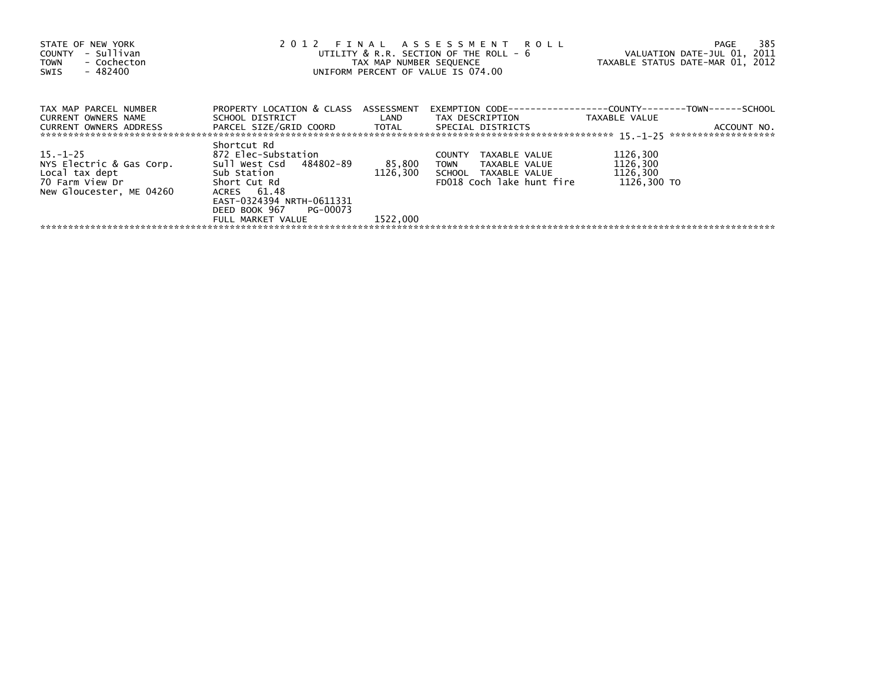| STATE OF NEW YORK<br>- Sullivan<br>COUNTY<br>- Cochecton<br>TOWN<br>- 482400<br>SWIS                                          |                                                                                                                                                     |          | 2012 FINAL ASSESSMENT ROLL<br>UTILITY $&$ R.R. SECTION OF THE ROLL - $&$<br>TAX MAP NUMBER SEQUENCE TAXABLE STATUS DATE-MAR 01, 2012<br>UNIFORM PERCENT OF VALUE IS 074.00    | VALUATION DATE-JUL 01, 2011         | 385<br>PAGE |
|-------------------------------------------------------------------------------------------------------------------------------|-----------------------------------------------------------------------------------------------------------------------------------------------------|----------|-------------------------------------------------------------------------------------------------------------------------------------------------------------------------------|-------------------------------------|-------------|
| TAX MAP PARCEL NUMBER<br>CURRENT OWNERS NAME<br>CURRENT OWNERS ADDRESS                                                        | PROPERTY LOCATION & CLASS ASSESSMENT                                                                                                                |          | EXEMPTION        CODE-----------------COUNTY-------TOWN------SCHOOL<br>SCHOOL DISTRICT                          LAND         TAX DESCRIPTION                    TAXABLE VALUE |                                     | ACCOUNT NO. |
| $15. -1 - 25$<br>NYS Electric & Gas Corp.<br>Local tax dept in the Sub Station<br>70 Farm View Dr<br>New Gloucester, ME 04260 | Shortcut Rd<br>872 Elec-Substation<br>Sull West Csd 484802-89<br>Short Cut Rd<br>ACRES 61.48<br>EAST-0324394 NRTH-0611331<br>DEED BOOK 967 PG-00073 | 85,800   | COUNTY<br>TAXABLE VALUE<br>TOWN TAXABLE VALUE<br>1126,300 SCHOOL TAXABLE VALUE 1126,300<br>FD018 Coch lake hunt fire                                                          | 1126,300<br>1126,300<br>1126.300 TO |             |
|                                                                                                                               | FULL MARKET VALUE                                                                                                                                   | 1522.000 |                                                                                                                                                                               |                                     |             |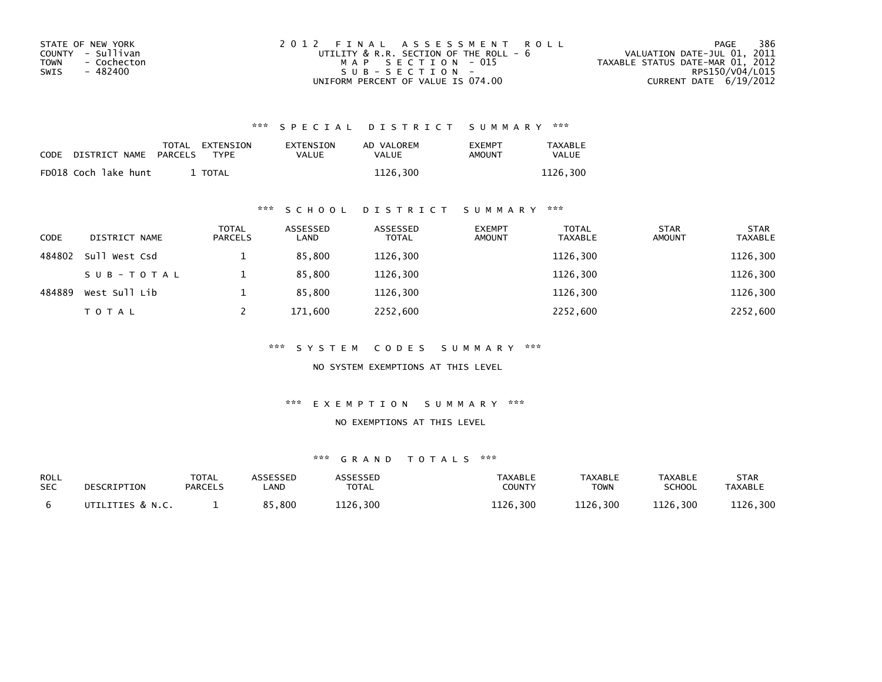| STATE OF NEW YORK   | 2012 FINAL ASSESSMENT ROLL                  | 386<br>PAGE                      |
|---------------------|---------------------------------------------|----------------------------------|
| COUNTY - Sullivan   | UTILITY $\&$ R.R. SECTION OF THE ROLL - $6$ | VALUATION DATE-JUL 01, 2011      |
| - Cochecton<br>TOWN | MAP SECTION - 015                           | TAXABLE STATUS DATE-MAR 01, 2012 |
| - 482400<br>SWIS    | SUB-SECTION-                                | RPS150/V04/L015                  |
|                     | UNIFORM PERCENT OF VALUE IS 074.00          | CURRENT DATE 6/19/2012           |

| CODE | DISTRICT NAME PARCELS | TOTAL EXTENSION<br>TYPF | EXTENSION<br>VALUE | AD VALOREM<br>VALUE | <b>EXEMPT</b><br>AMOUNT | <b>TAXABLE</b><br><b>VALUE</b> |
|------|-----------------------|-------------------------|--------------------|---------------------|-------------------------|--------------------------------|
|      | FD018 Coch lake hunt  | TOTAL                   |                    | 1126,300            |                         | 1126.300                       |

### \*\*\* S C H O O L D I S T R I C T S U M M A R Y \*\*\*

| <b>CODE</b> | DISTRICT NAME | <b>TOTAL</b><br><b>PARCELS</b> | ASSESSED<br>LAND | ASSESSED<br><b>TOTAL</b> | <b>EXEMPT</b><br><b>AMOUNT</b> | <b>TOTAL</b><br><b>TAXABLE</b> | <b>STAR</b><br><b>AMOUNT</b> | <b>STAR</b><br><b>TAXABLE</b> |
|-------------|---------------|--------------------------------|------------------|--------------------------|--------------------------------|--------------------------------|------------------------------|-------------------------------|
| 484802      | Sull West Csd |                                | 85,800           | 1126,300                 |                                | 1126,300                       |                              | 1126,300                      |
|             | SUB-TOTAL     |                                | 85,800           | 1126,300                 |                                | 1126,300                       |                              | 1126,300                      |
| 484889      | West Sull Lib |                                | 85.800           | 1126.300                 |                                | 1126.300                       |                              | 1126,300                      |
|             | <b>TOTAL</b>  |                                | 171,600          | 2252,600                 |                                | 2252,600                       |                              | 2252,600                      |

\*\*\* S Y S T E M C O D E S S U M M A R Y \*\*\*

NO SYSTEM EXEMPTIONS AT THIS LEVEL

\*\*\* E X E M P T I O N S U M M A R Y \*\*\*

#### NO EXEMPTIONS AT THIS LEVEL

| ROLL       | DESCRIPTION      | <b>TOTAL</b>   | <b>ISSESSEN</b> | <b>ASSESSED</b> | TAXABLE       | <b>TAXABLE</b> | <b>TAXABLE</b> | STAR           |
|------------|------------------|----------------|-----------------|-----------------|---------------|----------------|----------------|----------------|
| <b>SEC</b> |                  | <b>PARCELS</b> | .AND            | TOTAL           | <b>COUNTY</b> | <b>TOWN</b>    | SCHOOL         | <b>TAXABLE</b> |
|            | UTILITIES & N.C. |                | 85,800<br>O E.  | 1126,300        | 1126,300      | 1126,300       | 1126,300       | 1126,300       |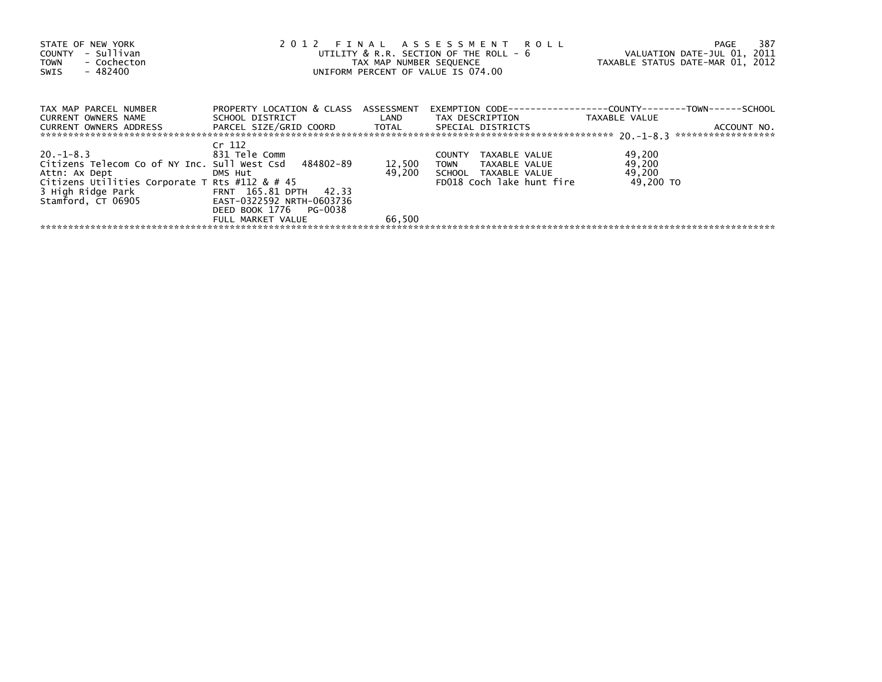| STATE OF NEW YORK<br>COUNTY - Sullivan<br>- Cochecton<br><b>TOWN</b><br>- 482400<br>SWIS |                                      |        | 2012 FINAL ASSESSMENT ROLL<br>UTILITY & R.R. SECTION OF THE ROLL - 6 VALUATION DATE-JUL 01, 2011<br>TAX MAP NUMBER SEQUENCE TAXABLE STATUS DATE-MAR 01, 2012<br>UNIFORM PERCENT OF VALUE IS 074.00 |                     | 387<br>PAGE |
|------------------------------------------------------------------------------------------|--------------------------------------|--------|----------------------------------------------------------------------------------------------------------------------------------------------------------------------------------------------------|---------------------|-------------|
| TAX MAP PARCEL NUMBER<br>CURRENT OWNERS NAME                                             | PROPERTY LOCATION & CLASS ASSESSMENT |        | EXEMPTION        CODE-----------------COUNTY-------TOWN------SCHOOL                                                                                                                                |                     |             |
| CURRENT OWNERS ADDRESS PARCEL SIZE/GRID COORD TOTAL SPECIAL DISTRICTS                    |                                      |        | SCHOOL DISTRICT                       LAND        TAX DESCRIPTION                  TAXABLE VALUE                                                                                                   |                     | ACCOUNT NO. |
| $20. -1 - 8.3$                                                                           | Cr 112<br>831 Tele Comm              |        | TAXABLE VALUE<br><b>COUNTY</b>                                                                                                                                                                     | 49,200              |             |
| Citizens Telecom Co of NY Inc. Sull West Csd 484802-89                                   |                                      | 12,500 | TOWN TAXABLE VALUE                                                                                                                                                                                 | 49,200              |             |
| Attn: Ax Dept DMS Hut<br>Citizens Utilities Corporate T Rts #112 & # 45                  |                                      |        | 49,200 SCHOOL TAXABLE VALUE<br>FD018 Coch lake hunt fire                                                                                                                                           | 49,200<br>49.200 TO |             |
| 3 High Ridge Park FRNT 165.81 DPTH 42.33<br>Stamford, CT 06905                           | EAST-0322592 NRTH-0603736            |        |                                                                                                                                                                                                    |                     |             |
|                                                                                          | DEED BOOK 1776 PG-0038               |        |                                                                                                                                                                                                    |                     |             |
|                                                                                          | FULL MARKET VALUE                    | 66,500 |                                                                                                                                                                                                    |                     |             |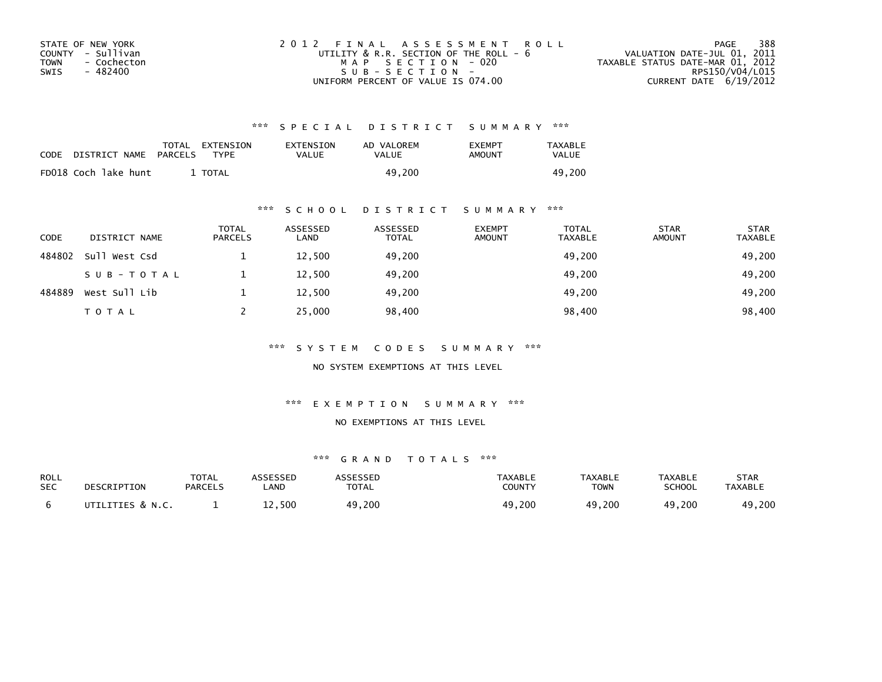| STATE OF NEW YORK   | 2012 FINAL ASSESSMENT ROLL                  | 388<br>PAGE                      |
|---------------------|---------------------------------------------|----------------------------------|
| COUNTY - Sullivan   | UTILITY $\&$ R.R. SECTION OF THE ROLL - $6$ | VALUATION DATE-JUL 01, 2011      |
| TOWN<br>- Cochecton | MAP SECTION - 020                           | TAXABLE STATUS DATE-MAR 01, 2012 |
| - 482400<br>SWIS    | $SUB - SECTION -$                           | RPS150/V04/L015                  |
|                     | UNIFORM PERCENT OF VALUE IS 074.00          | CURRENT DATE $6/19/2012$         |

| <b>CODE</b> | DISTRICT NAME        | TOTAL EXTENSION<br>PARCELS<br><b>TYPF</b> | EXTENSION<br>VALUE | AD VALOREM<br>VALUE | <b>FXFMPT</b><br>AMOUNT | <b>TAXABLE</b><br>VALUE |
|-------------|----------------------|-------------------------------------------|--------------------|---------------------|-------------------------|-------------------------|
|             | FD018 Coch lake hunt | TOTAL                                     |                    | 49.200              |                         | 49.200                  |

### \*\*\* S C H O O L D I S T R I C T S U M M A R Y \*\*\*

| <b>CODE</b> | DISTRICT NAME | <b>TOTAL</b><br><b>PARCELS</b> | ASSESSED<br>LAND | ASSESSED<br><b>TOTAL</b> | <b>EXEMPT</b><br><b>AMOUNT</b> | <b>TOTAL</b><br><b>TAXABLE</b> | <b>STAR</b><br><b>AMOUNT</b> | <b>STAR</b><br><b>TAXABLE</b> |
|-------------|---------------|--------------------------------|------------------|--------------------------|--------------------------------|--------------------------------|------------------------------|-------------------------------|
| 484802      | Sull West Csd |                                | 12,500           | 49,200                   |                                | 49,200                         |                              | 49,200                        |
|             | SUB-TOTAL     |                                | 12,500           | 49,200                   |                                | 49,200                         |                              | 49,200                        |
| 484889      | West Sull Lib |                                | 12,500           | 49.200                   |                                | 49,200                         |                              | 49,200                        |
|             | <b>TOTAL</b>  |                                | 25,000           | 98,400                   |                                | 98,400                         |                              | 98,400                        |

\*\*\* S Y S T E M C O D E S S U M M A R Y \*\*\*

NO SYSTEM EXEMPTIONS AT THIS LEVEL

\*\*\* E X E M P T I O N S U M M A R Y \*\*\*

#### NO EXEMPTIONS AT THIS LEVEL

| ROLL       | DESCRIPTION      | <b>TOTAL</b>   | ASSESSED   | ASSESSED      | TAXABLE       | <b>TAXABLE</b> | <b>TAXABLE</b> | STAR           |
|------------|------------------|----------------|------------|---------------|---------------|----------------|----------------|----------------|
| <b>SEC</b> |                  | <b>PARCELS</b> | <b>AND</b> | <b>TOTAL</b>  | <b>COUNTY</b> | <b>TOWN</b>    | <b>SCHOOL</b>  | <b>TAXABLE</b> |
|            | UTILITIES & N.C. |                | 12,500     | .9,200<br>49. | 49,200        | 49,200         | 49,200         | 49,200         |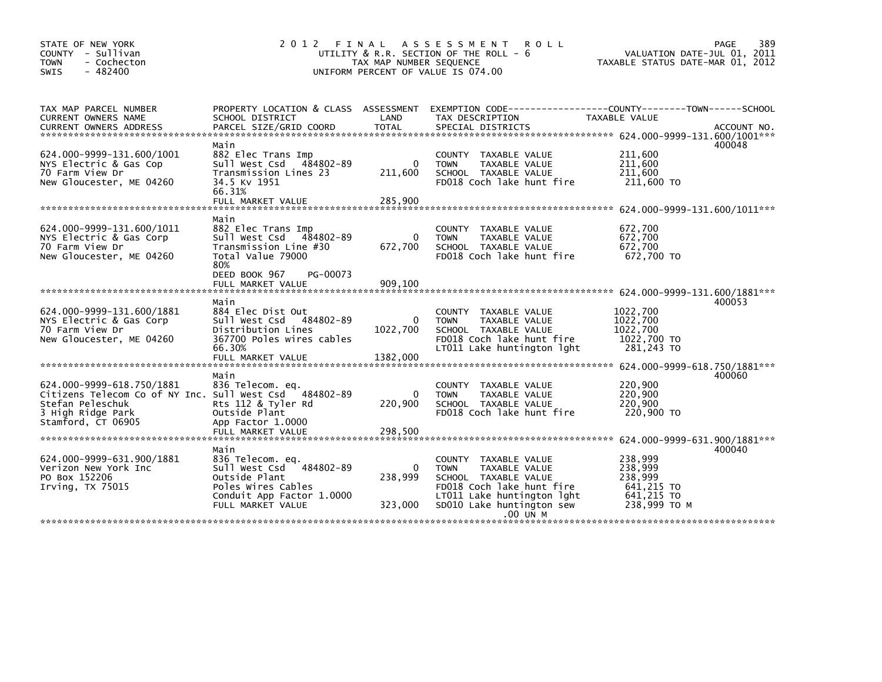| STATE OF NEW YORK<br>COUNTY - Sullivan<br>- Cochecton<br><b>TOWN</b><br>$-482400$<br><b>SWIS</b>                                                   | 2 0 1 2                                                                                                                                      | TAX MAP NUMBER SEQUENCE            | FINAL ASSESSMENT<br><b>ROLL</b><br>UTILITY $\&$ R.R. SECTION OF THE ROLL - $6$<br>UNIFORM PERCENT OF VALUE IS 074.00                                                 | PAGE<br>VALUATION DATE-JUL 01, 2011<br>TAXABLE STATUS DATE-MAR 01, 2012                                                         | 389 |
|----------------------------------------------------------------------------------------------------------------------------------------------------|----------------------------------------------------------------------------------------------------------------------------------------------|------------------------------------|----------------------------------------------------------------------------------------------------------------------------------------------------------------------|---------------------------------------------------------------------------------------------------------------------------------|-----|
| TAX MAP PARCEL NUMBER<br>CURRENT OWNERS NAME<br><b>CURRENT OWNERS ADDRESS</b>                                                                      | SCHOOL DISTRICT<br>PARCEL SIZE/GRID COORD                                                                                                    | LAND<br><b>TOTAL</b>               | TAX DESCRIPTION<br>SPECIAL DISTRICTS                                                                                                                                 | PROPERTY LOCATION & CLASS ASSESSMENT EXEMPTION CODE---------------COUNTY-------TOWN------SCHOOL<br>TAXABLE VALUE<br>ACCOUNT NO. |     |
| 624.000-9999-131.600/1001<br>NYS Electric & Gas Cop<br>70 Farm View Dr<br>New Gloucester, ME 04260                                                 | Main<br>882 Elec Trans Imp<br>484802-89<br>sull west Csd<br>Transmission Lines 23<br>34.5 KV 1951<br>66.31%                                  | $\Omega$<br>211,600                | COUNTY TAXABLE VALUE<br><b>TOWN</b><br>TAXABLE VALUE<br>SCHOOL TAXABLE VALUE<br>FD018 Coch lake hunt fire                                                            | 400048<br>211,600<br>211,600<br>211,600<br>211,600 TO                                                                           |     |
|                                                                                                                                                    | FULL MARKET VALUE                                                                                                                            | 285,900                            |                                                                                                                                                                      |                                                                                                                                 |     |
| 624.000-9999-131.600/1011<br>NYS Electric & Gas Corp<br>70 Farm View Dr<br>New Gloucester, ME 04260                                                | Main<br>882 Elec Trans Imp<br>Sull West Csd 484802-89<br>Transmission Line #30<br>Total Value 79000<br>80%<br>DEED BOOK 967<br>PG-00073      | $\mathbf{0}$<br>672,700            | COUNTY TAXABLE VALUE<br><b>TOWN</b><br>TAXABLE VALUE<br>SCHOOL TAXABLE VALUE<br>FD018 Coch lake hunt fire                                                            | 672,700<br>672,700<br>672,700<br>672.700 TO                                                                                     |     |
|                                                                                                                                                    | FULL MARKET VALUE                                                                                                                            | 909,100                            |                                                                                                                                                                      |                                                                                                                                 |     |
| 624.000-9999-131.600/1881<br>NYS Electric & Gas Corp<br>70 Farm View Dr<br>New Gloucester, ME 04260                                                | Main<br>884 Elec Dist Out<br>Sull West Csd<br>484802-89<br>Distribution Lines<br>367700 Poles wires cables<br>66.30%                         | 0<br>1022,700                      | COUNTY TAXABLE VALUE<br>TAXABLE VALUE<br><b>TOWN</b><br>SCHOOL TAXABLE VALUE<br>FD018 Coch lake hunt fire<br>LT011 Lake huntington lght                              | 400053<br>1022,700<br>1022,700<br>1022,700<br>1022,700 TO<br>281,243 TO                                                         |     |
|                                                                                                                                                    | FULL MARKET VALUE                                                                                                                            | 1382,000                           |                                                                                                                                                                      |                                                                                                                                 |     |
| 624.000-9999-618.750/1881<br>Citizens Telecom Co of NY Inc. Sull West Csd 484802-89<br>Stefan Peleschuk<br>3 High Ridge Park<br>Stamford, CT 06905 | Main<br>836 Telecom. eq.<br>Rts 112 & Tyler Rd<br>Outside Plant<br>App Factor 1.0000                                                         | $\Omega$<br>220,900                | COUNTY TAXABLE VALUE<br>TAXABLE VALUE<br><b>TOWN</b><br>SCHOOL TAXABLE VALUE<br>FD018 Coch lake hunt fire                                                            | 400060<br>220,900<br>220,900<br>220,900<br>220,900 TO                                                                           |     |
|                                                                                                                                                    | FULL MARKET VALUE                                                                                                                            | 298,500                            |                                                                                                                                                                      |                                                                                                                                 |     |
| 624.000-9999-631.900/1881<br>Verizon New York Inc<br>PO Box 152206<br>Irving, TX 75015                                                             | Main<br>836 Telecom. eq.<br>Sull West Csd 484802-89<br>Outside Plant<br>Poles Wires Cables<br>Conduit App Factor 1.0000<br>FULL MARKET VALUE | $\mathbf{0}$<br>238,999<br>323,000 | COUNTY TAXABLE VALUE<br><b>TOWN</b><br>TAXABLE VALUE<br>SCHOOL TAXABLE VALUE<br>FD018 Coch lake hunt fire<br>LT011 Lake huntington lght<br>SD010 Lake huntington sew | 400040<br>238,999<br>238,999<br>238,999<br>641,215 TO<br>641,215 TO<br>238,999 ТО М                                             |     |
|                                                                                                                                                    |                                                                                                                                              |                                    | .00 UN M                                                                                                                                                             |                                                                                                                                 |     |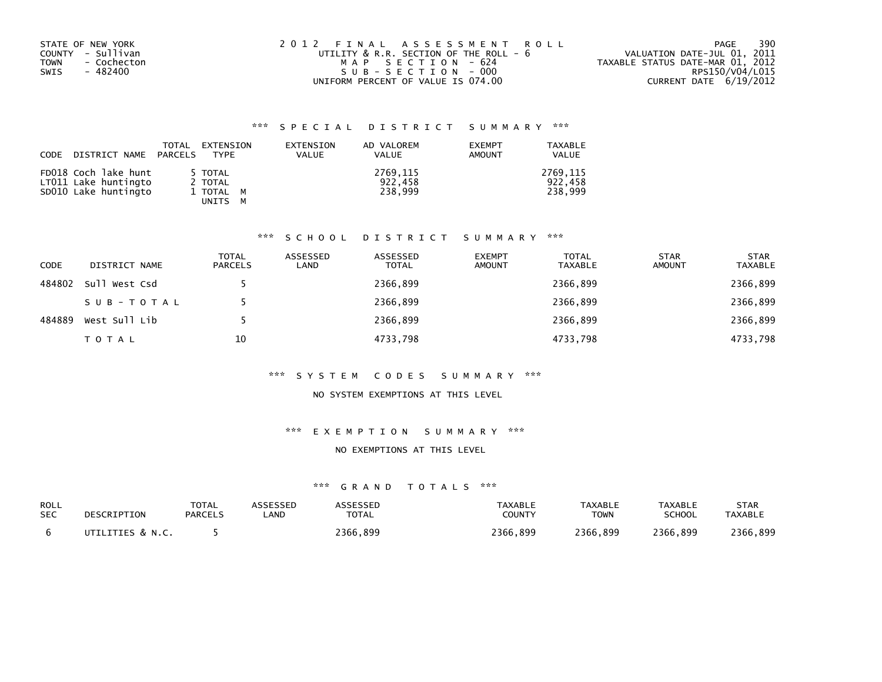| STATE OF NEW YORK   | 2012 FINAL ASSESSMENT ROLL             | 390<br>PAGE                      |
|---------------------|----------------------------------------|----------------------------------|
| COUNTY - Sullivan   | UTILITY & R.R. SECTION OF THE ROLL - 6 | VALUATION DATE-JUL 01, 2011      |
| - Cochecton<br>TOWN | MAP SECTION - 624                      | TAXABLE STATUS DATE-MAR 01, 2012 |
| SWIS<br>- 482400    | SUB-SECTION-000                        | RPS150/V04/L015                  |
|                     | UNIFORM PERCENT OF VALUE IS 074.00     | CURRENT DATE 6/19/2012           |

| CODE DISTRICT NAME PARCELS                                           | TOTAL | EXTENSION<br>TYPE                          | EXTENSION<br><b>VALUE</b> | AD VALOREM<br>VALUE            | <b>EXEMPT</b><br>AMOUNT | TAXABLE<br><b>VALUE</b>        |
|----------------------------------------------------------------------|-------|--------------------------------------------|---------------------------|--------------------------------|-------------------------|--------------------------------|
| FD018 Coch lake hunt<br>LT011 Lake huntingto<br>SD010 Lake huntingto |       | 5 TOTAL<br>2 TOTAL<br>1 TOTAL M<br>UNITS M |                           | 2769,115<br>922,458<br>238.999 |                         | 2769.115<br>922.458<br>238,999 |

#### \*\*\* S C H O O L D I S T R I C T S U M M A R Y \*\*\*

| <b>CODE</b> | DISTRICT NAME | TOTAL<br><b>PARCELS</b> | ASSESSED<br>LAND | ASSESSED<br><b>TOTAL</b> | <b>EXEMPT</b><br><b>AMOUNT</b> | <b>TOTAL</b><br>TAXABLE | <b>STAR</b><br><b>AMOUNT</b> | <b>STAR</b><br><b>TAXABLE</b> |
|-------------|---------------|-------------------------|------------------|--------------------------|--------------------------------|-------------------------|------------------------------|-------------------------------|
| 484802      | Sull West Csd |                         |                  | 2366,899                 |                                | 2366,899                |                              | 2366,899                      |
|             | SUB-TOTAL     |                         |                  | 2366,899                 |                                | 2366,899                |                              | 2366,899                      |
| 484889      | West Sull Lib |                         |                  | 2366,899                 |                                | 2366,899                |                              | 2366,899                      |
|             | <b>TOTAL</b>  | 10                      |                  | 4733,798                 |                                | 4733,798                |                              | 4733,798                      |

#### \*\*\* S Y S T E M C O D E S S U M M A R Y \*\*\*

### NO SYSTEM EXEMPTIONS AT THIS LEVEL

#### \*\*\* E X E M P T I O N S U M M A R Y \*\*\*

#### NO EXEMPTIONS AT THIS LEVEL

| ROLL       | DESCRIPTION      | <b>TOTAL</b> | ASSESSED | <b>ASSESSED</b> | <b>TAXABLE</b> | TAXABLE     | TAXABLE       | <b>STAR</b>    |
|------------|------------------|--------------|----------|-----------------|----------------|-------------|---------------|----------------|
| <b>SEC</b> |                  | PARCELS      | _AND     | <b>TOTAL</b>    | COUNTY         | <b>TOWN</b> | <b>SCHOOL</b> | <b>TAXABLE</b> |
|            | UTILITIES & N.C. |              |          | 2366.899        | 2366.899       | 2366.899    | 2366.899      | 2366,899       |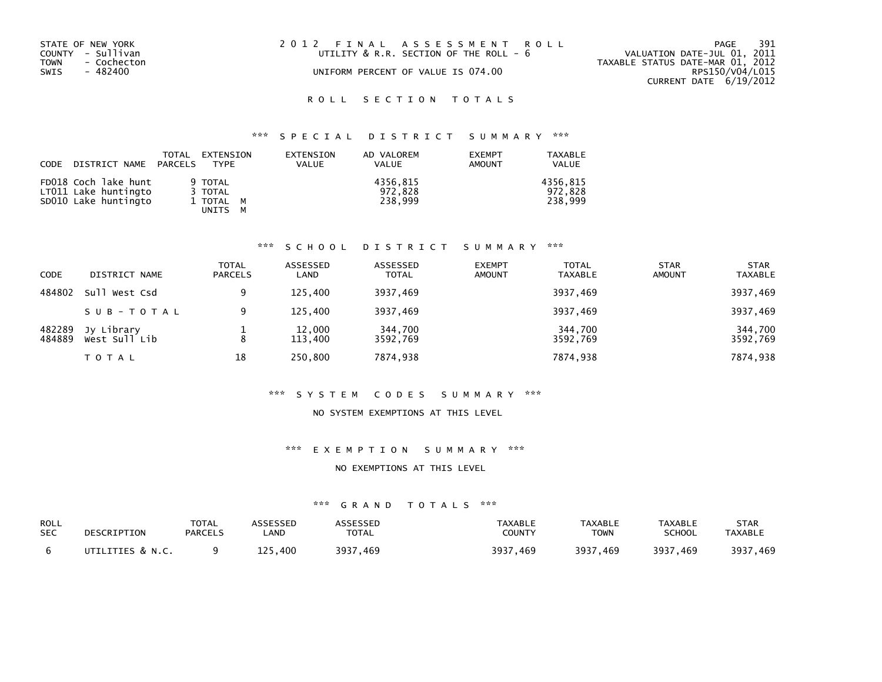| STATE OF NEW YORK<br>COUNTY - Sullivan<br>- Cochecton<br>TOWN<br>SWIS<br>- 482400 | 2012 FINAL ASSESSMENT ROLL<br>UTILITY & R.R. SECTION OF THE ROLL - 6<br>UNIFORM PERCENT OF VALUE IS 074.00 | 391<br>PAGE<br>VALUATION DATE-JUL 01, 2011<br>TAXABLE STATUS DATE-MAR 01, 2012<br>RPS150/V04/L015<br>CURRENT DATE 6/19/2012 |
|-----------------------------------------------------------------------------------|------------------------------------------------------------------------------------------------------------|-----------------------------------------------------------------------------------------------------------------------------|
|                                                                                   |                                                                                                            |                                                                                                                             |

# \*\*\* S P E C I A L D I S T R I C T S U M M A R Y \*\*\*

| CODE | DISTRICT NAME PARCELS                                                | TOTAL | EXTENSION<br>TYPF                                    | EXTENSION<br><b>VALUE</b> | AD VALOREM<br><b>VALUE</b>     | <b>EXEMPT</b><br>AMOUNT | <b>TAXABLE</b><br><b>VALUE</b> |
|------|----------------------------------------------------------------------|-------|------------------------------------------------------|---------------------------|--------------------------------|-------------------------|--------------------------------|
|      | FD018 Coch lake hunt<br>LT011 Lake huntingto<br>SD010 Lake huntingto |       | 9 TOTAL<br>3 TOTAL<br>1 TOTAL M<br>UNITS<br><b>M</b> |                           | 4356.815<br>972.828<br>238.999 |                         | 4356.815<br>972.828<br>238.999 |

#### \*\*\* S C H O O L D I S T R I C T S U M M A R Y \*\*\*

| <b>CODE</b>      | DISTRICT NAME               | <b>TOTAL</b><br><b>PARCELS</b> | ASSESSED<br>LAND  | ASSESSED<br><b>TOTAL</b> | <b>EXEMPT</b><br><b>AMOUNT</b> | <b>TOTAL</b><br><b>TAXABLE</b> | <b>STAR</b><br><b>AMOUNT</b> | <b>STAR</b><br><b>TAXABLE</b> |
|------------------|-----------------------------|--------------------------------|-------------------|--------------------------|--------------------------------|--------------------------------|------------------------------|-------------------------------|
| 484802           | Sull West Csd               | Q                              | 125.400           | 3937,469                 |                                | 3937,469                       |                              | 3937,469                      |
|                  | SUB-TOTAL                   | 9                              | 125.400           | 3937,469                 |                                | 3937,469                       |                              | 3937,469                      |
| 482289<br>484889 | Jy Library<br>West Sull Lib | 8                              | 12,000<br>113,400 | 344,700<br>3592,769      |                                | 344,700<br>3592,769            |                              | 344,700<br>3592,769           |
|                  | T O T A L                   | 18                             | 250,800           | 7874,938                 |                                | 7874,938                       |                              | 7874,938                      |

#### \*\*\* S Y S T E M C O D E S S U M M A R Y \*\*\*

#### NO SYSTEM EXEMPTIONS AT THIS LEVEL

#### \*\*\* E X E M P T I O N S U M M A R Y \*\*\*

#### NO EXEMPTIONS AT THIS LEVEL

| ROLL       | DESCRIPTION      | <b>TOTAL</b>   | ASSESSED | ASSESSED     | <b>TAXABLE</b> | <b>TAXABLE</b> | <b>TAXABLE</b> | <b>STAR</b>    |
|------------|------------------|----------------|----------|--------------|----------------|----------------|----------------|----------------|
| <b>SEC</b> |                  | <b>PARCELS</b> | LAND     | <b>TOTAL</b> | COUNTY         | <b>TOWN</b>    | <b>SCHOOL</b>  | <b>TAXABLE</b> |
|            | UTILITIES & N.C. |                | 125.400  | 3937.469     | 3937.469       | 3937.469       | 3937.469       | 3937,469       |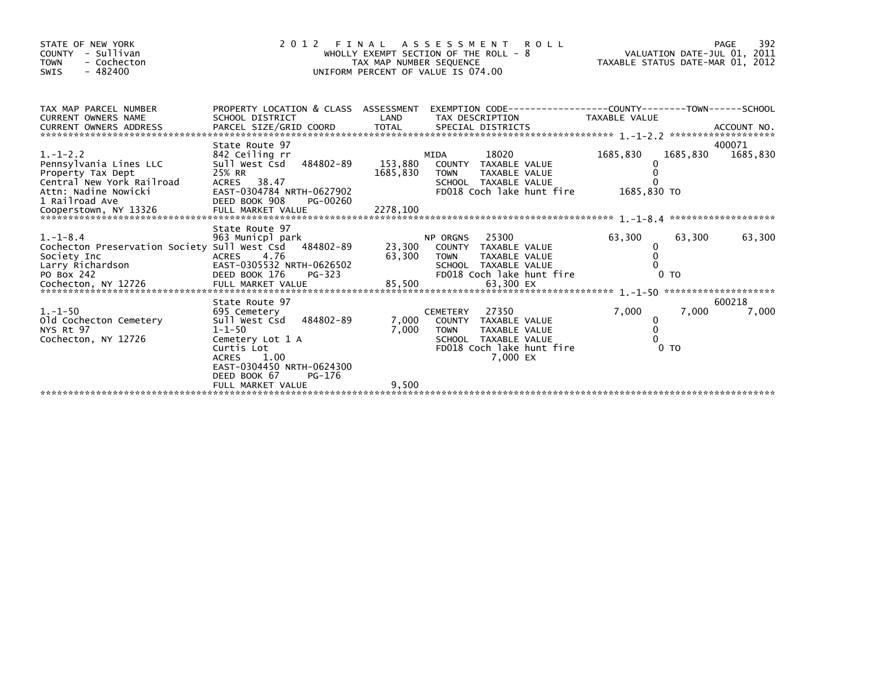| STATE OF NEW YORK<br>COUNTY - Sullivan<br><b>TOWN</b><br>- Cochecton<br>$-482400$<br>SWIS  | 2 0 1 2                                                                                                                                                                                       | TAX MAP NUMBER SEQUENCE | FINAL ASSESSMENT ROLL<br>WHOLLY EXEMPT SECTION OF THE ROLL - 8<br>UNIFORM PERCENT OF VALUE IS 074.00                                              | 992 - PAGE<br>VALUATION DATE-JUL 01, 2011<br>TAXABLE STATUS DATE-MAR 01, 2012 | 392<br>PAGE                    |
|--------------------------------------------------------------------------------------------|-----------------------------------------------------------------------------------------------------------------------------------------------------------------------------------------------|-------------------------|---------------------------------------------------------------------------------------------------------------------------------------------------|-------------------------------------------------------------------------------|--------------------------------|
| TAX MAP PARCEL NUMBER<br><b>CURRENT OWNERS NAME</b><br>CURRENT OWNERS ADDRESS              | SCHOOL DISTRICT                                                                                                                                                                               | LAND                    | PROPERTY LOCATION & CLASS ASSESSMENT EXEMPTION CODE----------------COUNTY-------TOWN-----SCHOOL<br>TAX DESCRIPTION TAXABLE VALUE                  |                                                                               |                                |
| $1. - 1 - 2.2$<br>Pennsylvania Lines LLC<br>Property Tax Dept<br>Central New York Railroad | State Route 97<br>842 Ceiling rr<br>Sull West Csd 484802-89<br>25% RR<br>ACRES 38.47                                                                                                          | 153,880<br>1685,830     | MIDA<br>18020<br>COUNTY TAXABLE VALUE<br>TAXABLE VALUE<br><b>TOWN</b><br>SCHOOL TAXABLE VALUE                                                     | 1685,830<br>$\Omega$                                                          | 400071<br>1685,830<br>1685,830 |
| $1. - 1 - 8.4$<br>Cochecton Preservation Society Sull West Csd 484802-89                   | State Route 97<br>963 Municpl park<br>ACRES 4.76<br>EAST-0305532 NRTH-0626502<br>DEED BOOK 176<br>PG-323                                                                                      |                         | NP ORGINS 23,300<br>23,300 COUNTY TAXABLE VALUE<br>SCHOOL TAXABLE VALUE<br>FD018 Coch lake hunt fire                                              | 63,300<br>0<br>0<br>0 <sub>T</sub>                                            | 63,300<br>63,300               |
| $1.-1-50$<br>old Cochecton Cemetery<br>NYS Rt 97<br>Cochecton, NY 12726                    | State Route 97<br>695 Cemetery<br>484802-89<br>Sull West Csd<br>$1 - 1 - 50$<br>Cemetery Lot 1 A<br>Curtis Lot<br><b>ACRES</b><br>1.00<br>EAST-0304450 NRTH-0624300<br>DEED BOOK 67<br>PG-176 | 7,000<br>7,000          | 27350<br><b>CEMETERY</b><br>COUNTY TAXABLE VALUE<br><b>TOWN</b><br>TAXABLE VALUE<br>SCHOOL TAXABLE VALUE<br>FD018 Coch lake hunt fire<br>7,000 EX | 7,000<br>0<br>$\mathbf 0$<br>$\Omega$<br>0 <sub>T</sub>                       | 600218<br>7,000<br>7,000       |
|                                                                                            | FULL MARKET VALUE                                                                                                                                                                             | 9,500                   |                                                                                                                                                   |                                                                               |                                |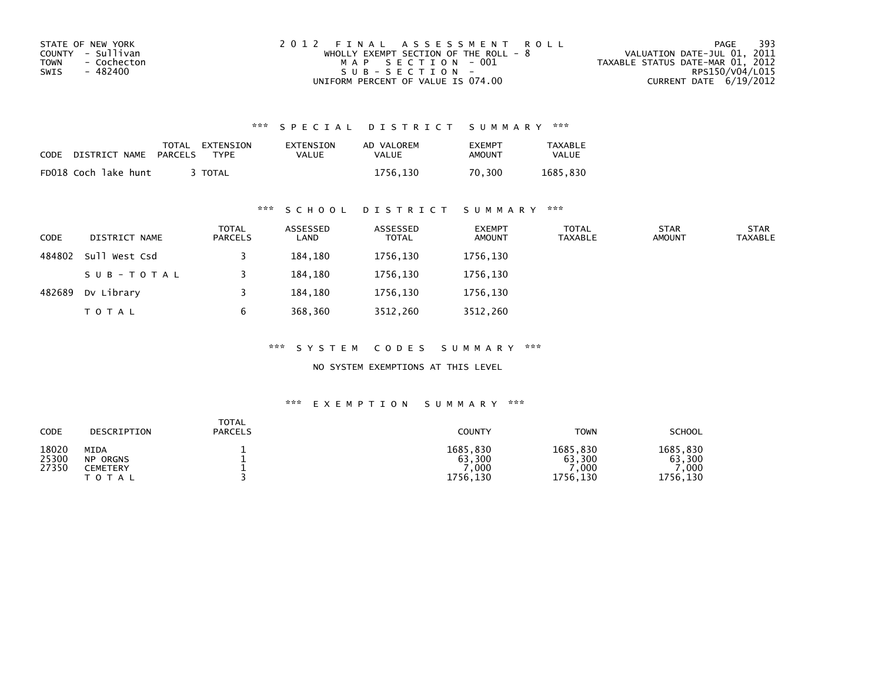| STATE OF NEW YORK   | 2012 FINAL ASSESSMENT ROLL            | 393<br>PAGE                      |
|---------------------|---------------------------------------|----------------------------------|
| COUNTY - Sullivan   | WHOLLY EXEMPT SECTION OF THE ROLL - 8 | VALUATION DATE-JUL 01, 2011      |
| TOWN<br>- Cochecton | MAP SECTION - 001                     | TAXABLE STATUS DATE-MAR 01, 2012 |
| - 482400<br>SWIS    | SUB-SECTION-                          | RPS150/V04/L015                  |
|                     | UNIFORM PERCENT OF VALUE IS 074.00    | CURRENT DATE 6/19/2012           |

| CODE | DISTRICT NAME        | TOTAL<br>PARCELS | EXTENSION<br>TYPF | EXTENSION<br>VALUE | AD VALOREM<br>VALUE | <b>EXEMPT</b><br>AMOUNT | TAXABLE<br>VALUE |
|------|----------------------|------------------|-------------------|--------------------|---------------------|-------------------------|------------------|
|      | FD018 Coch lake hunt |                  | <b>TOTAL</b>      |                    | 1756.130            | 70.300                  | 1685.830         |

# \*\*\* S C H O O L D I S T R I C T S U M M A R Y \*\*\*

| <b>CODE</b> | DISTRICT NAME | <b>TOTAL</b><br>PARCELS | ASSESSED<br>LAND | ASSESSED<br><b>TOTAL</b> | <b>EXEMPT</b><br><b>AMOUNT</b> | <b>TOTAL</b><br><b>TAXABLE</b> | <b>STAR</b><br><b>AMOUNT</b> | <b>STAR</b><br><b>TAXABLE</b> |
|-------------|---------------|-------------------------|------------------|--------------------------|--------------------------------|--------------------------------|------------------------------|-------------------------------|
| 484802      | Sull West Csd |                         | 184,180          | 1756,130                 | 1756,130                       |                                |                              |                               |
|             | SUB-TOTAL     |                         | 184,180          | 1756,130                 | 1756,130                       |                                |                              |                               |
| 482689      | Dv Library    |                         | 184,180          | 1756,130                 | 1756,130                       |                                |                              |                               |
|             | <b>TOTAL</b>  | b                       | 368,360          | 3512,260                 | 3512,260                       |                                |                              |                               |

\*\*\* S Y S T E M C O D E S S U M M A R Y \*\*\*

NO SYSTEM EXEMPTIONS AT THIS LEVEL

| CODE                    | DESCRIPTION                                      | <b>TOTAL</b><br><b>PARCELS</b> | COUNTY                                 | <b>TOWN</b>                                         | <b>SCHOOL</b>                          |
|-------------------------|--------------------------------------------------|--------------------------------|----------------------------------------|-----------------------------------------------------|----------------------------------------|
| 18020<br>25300<br>27350 | MIDA<br><b>NP ORGNS</b><br>CEMETERY<br>T O T A L |                                | 1685,830<br>63,300<br>,000<br>1756,130 | 1685.830<br>63,300<br>$^{\prime}$ , 000<br>1756,130 | 1685,830<br>63,300<br>.000<br>1756,130 |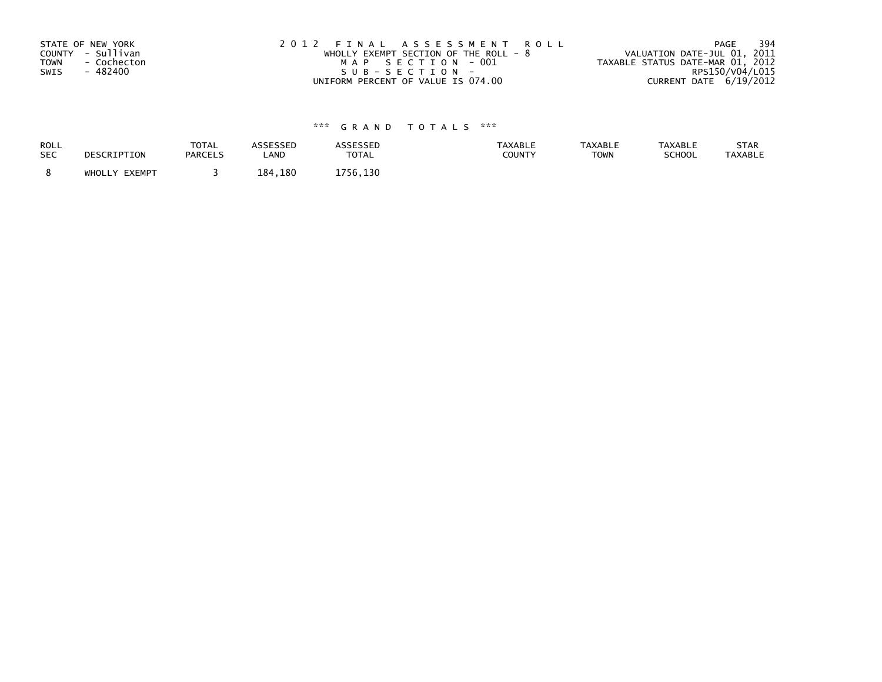| STATE OF NEW YORK          | 2012 FINAL ASSESSMENT ROLL              | 394<br>PAGE                      |
|----------------------------|-----------------------------------------|----------------------------------|
| COUNTY - Sullivan          | WHOLLY EXEMPT SECTION OF THE ROLL - $8$ | VALUATION DATE-JUL 01, 2011      |
| <b>TOWN</b><br>- Cochecton | MAP SECTION - 001                       | TAXABLE STATUS DATE-MAR 01, 2012 |
| SWIS<br>- 482400           | SUB-SECTION-                            | RPS150/V04/L015                  |
|                            | UNIFORM PERCENT OF VALUE IS 074.00      | CURRENT DATE 6/19/2012           |

| ROLL       | DESCRIPTION   | <b>TOTAL</b>   | <b>ASSESSED</b> | <b>ASSESSED</b> | <b>TAXABLE</b> | <b>TAXABLE</b> | <b>TAXABLE</b> | STAR           |
|------------|---------------|----------------|-----------------|-----------------|----------------|----------------|----------------|----------------|
| <b>SEC</b> |               | <b>PARCELS</b> | <b>_AND</b>     | <b>TOTAL</b>    | <b>COUNTY</b>  | <b>TOWN</b>    | <b>SCHOOL</b>  | <b>TAXABLE</b> |
|            | WHOLLY EXEMPT |                | 184,180         | 1756.130        |                |                |                |                |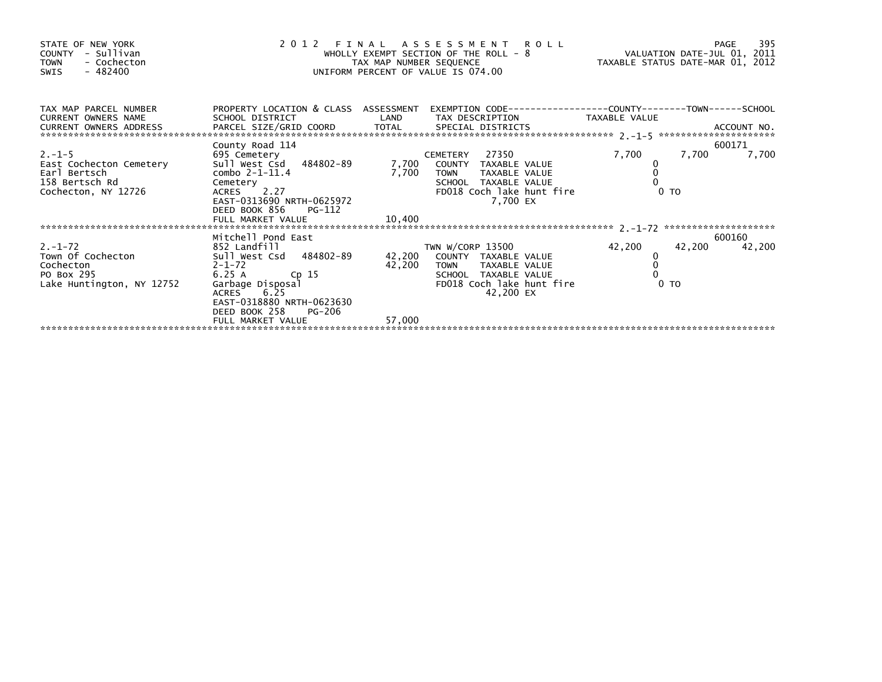| STATE OF NEW YORK<br>COUNTY - Sullivan<br>TOWN - Cochecton<br>SWIS - 482400 | WHOLLY EXEMPT SEAT SEQUENCE<br>TAX MAP NUMBER SEQUENCE<br>UNIFORM PERCENT OF VALUE IS 074.00                                      | 2012 FINAL ASSESSMENT ROLL<br>WHOLLY EXEMPT SECTION OF THE ROLL - 8 WHOLLY EXEMPT SECTION OF THE ROLL - 8 VALUATION DATE-JUL 01, 2011<br>TAX MAP NUMBER SEQUENCE TAXABLE STATUS DATE-MAR 01, 2012<br>UNIFORM PERCENT OF VALUE IS 074.00                                                                   |                                                                                             |        |
|-----------------------------------------------------------------------------|-----------------------------------------------------------------------------------------------------------------------------------|-----------------------------------------------------------------------------------------------------------------------------------------------------------------------------------------------------------------------------------------------------------------------------------------------------------|---------------------------------------------------------------------------------------------|--------|
| CURRENT OWNERS NAME                                                         |                                                                                                                                   | TAX MAP PARCEL NUMBER PROPERTY LOCATION & CLASS ASSESSMENT EXEMPTION CODE---------------COUNTY--------TOWN------SCHOOL<br>SCHOOL DISTRICT                       LAND        TAX DESCRIPTION                 TAXABLE VALUE                                                                                 |                                                                                             |        |
| Earl Bertsch<br>158 Bertsch Rd<br>Cochecton, NY 12726                       | County Road 114<br>Sull West CSu<br>combo 2-1-11.4<br>Cemetery<br>ACRES 2.27<br>EAST-0313690_NRTH-0625972<br>DEED BOOK 856 PG-112 | 2.-1-5<br>East Cochecton Cemetery 695 Cemetry<br>East Cochecton Cemetery 501 West Csd 484802-89 7,700 COUNTY TAXABLE VALUE<br>Earl Bertsch<br>Cemetery Cemetery 158 Bertsch Bd Cemetery<br>Cemetery 158 Bertsch Bd Cemetery Cemetery SCH<br>SCHOOL TAXABLE VALUE<br>FD018 Coch lake hunt fire<br>7,700 EX | 600171<br>7,700<br>7,700<br>0 <sub>T</sub>                                                  | 7,700  |
|                                                                             |                                                                                                                                   |                                                                                                                                                                                                                                                                                                           |                                                                                             |        |
|                                                                             | DEED BOOK 258 PG-206<br>FULL MARKET VALUE                                                                                         | 57,000                                                                                                                                                                                                                                                                                                    | 600160<br>42,200<br>42,200<br>$\begin{smallmatrix}0\0\0\end{smallmatrix}$<br>0 <sub>T</sub> | 42,200 |
|                                                                             |                                                                                                                                   |                                                                                                                                                                                                                                                                                                           |                                                                                             |        |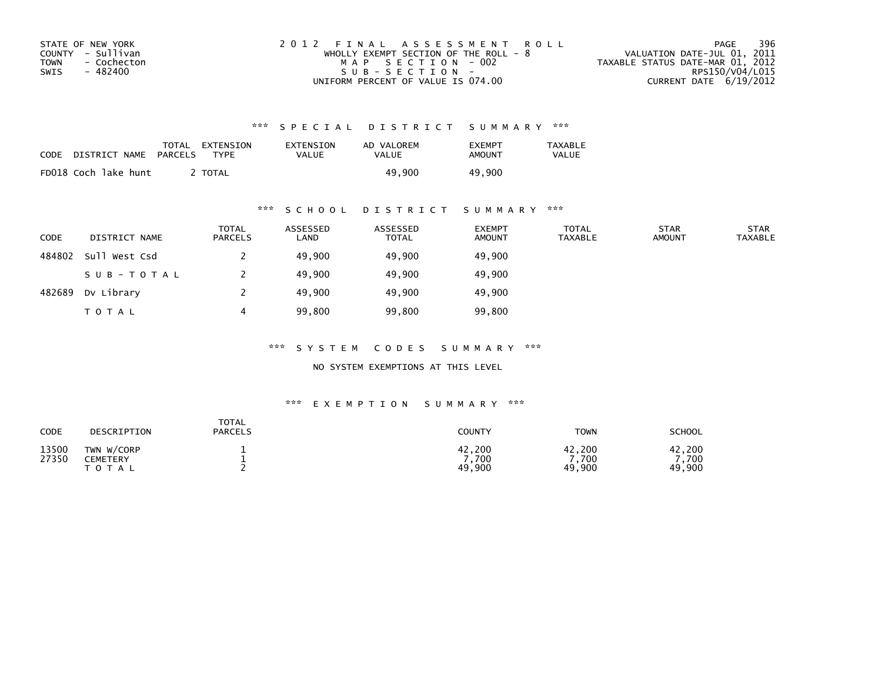| STATE OF NEW YORK   | 2012 FINAL ASSESSMENT ROLL              | 396<br>PAGE                      |
|---------------------|-----------------------------------------|----------------------------------|
| COUNTY - Sullivan   | WHOLLY EXEMPT SECTION OF THE ROLL - $8$ | VALUATION DATE-JUL 01, 2011      |
| TOWN<br>- Cochecton | MAP SECTION - 002                       | TAXABLE STATUS DATE-MAR 01, 2012 |
| - 482400<br>SWIS    | SUB-SECTION-                            | RPS150/V04/L015                  |
|                     | UNIFORM PERCENT OF VALUE IS 074.00      | CURRENT DATE $6/19/2012$         |

| CODE | DISTRICT NAME        | TOTAL<br>PARCELS | EXTENSION<br>TYPF | EXTENSION<br>VALUE | AD VALOREM<br>VALUE | <b>FXFMPT</b><br>AMOUNT | TAXABLE<br><b>VALUE</b> |
|------|----------------------|------------------|-------------------|--------------------|---------------------|-------------------------|-------------------------|
|      | FD018 Coch lake hunt |                  | <b>TOTAL</b>      |                    | 49.900              | 49,900                  |                         |

### \*\*\* S C H O O L D I S T R I C T S U M M A R Y \*\*\*

| <b>CODE</b> | DISTRICT NAME | <b>TOTAL</b><br>PARCELS | ASSESSED<br>LAND | ASSESSED<br><b>TOTAL</b> | <b>EXEMPT</b><br><b>AMOUNT</b> | <b>TOTAL</b><br><b>TAXABLE</b> | <b>STAR</b><br><b>AMOUNT</b> | <b>STAR</b><br><b>TAXABLE</b> |
|-------------|---------------|-------------------------|------------------|--------------------------|--------------------------------|--------------------------------|------------------------------|-------------------------------|
| 484802      | Sull West Csd |                         | 49,900           | 49,900                   | 49,900                         |                                |                              |                               |
|             | SUB-TOTAL     |                         | 49,900           | 49,900                   | 49,900                         |                                |                              |                               |
| 482689      | Dv Library    |                         | 49,900           | 49,900                   | 49,900                         |                                |                              |                               |
|             | <b>TOTAL</b>  |                         | 99,800           | 99,800                   | 99,800                         |                                |                              |                               |

\*\*\* S Y S T E M C O D E S S U M M A R Y \*\*\*

NO SYSTEM EXEMPTIONS AT THIS LEVEL

| CODE           | DESCRIPTION                                | <b>TOTAL</b><br><b>PARCELS</b> | <b>COUNTY</b>             | <b>TOWN</b>              | SCHOOL                  |
|----------------|--------------------------------------------|--------------------------------|---------------------------|--------------------------|-------------------------|
| 13500<br>27350 | TWN W/CORP<br><b>CEMETERY</b><br>T O T A L |                                | 42,200<br>7.700<br>49,900 | 42,200<br>,700<br>49,900 | 42,200<br>700<br>49,900 |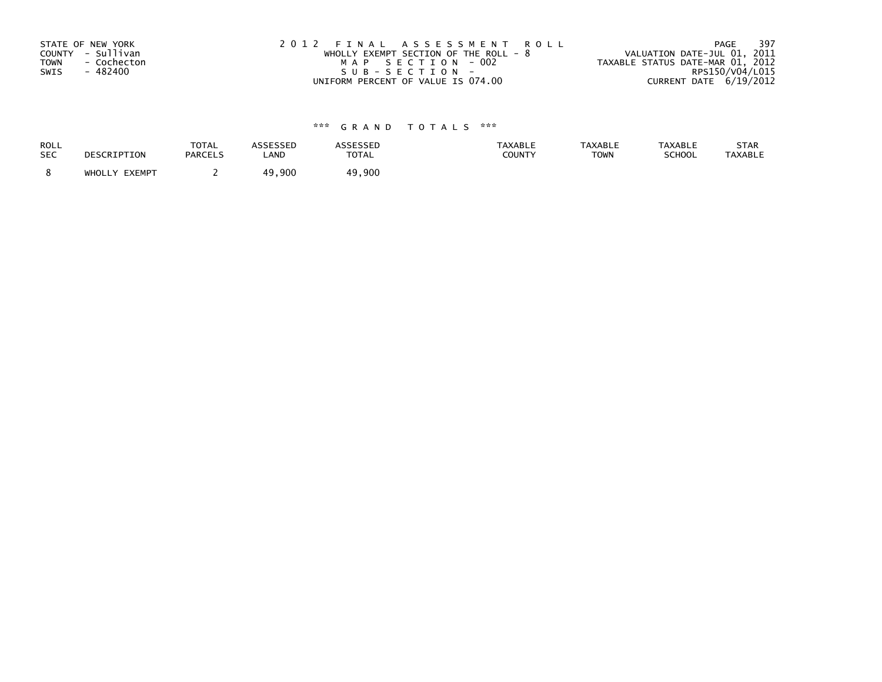| STATE OF NEW YORK          | 2012 FINAL ASSESSMENT ROLL              | -397<br>PAGE                     |
|----------------------------|-----------------------------------------|----------------------------------|
| COUNTY - Sullivan          | WHOLLY EXEMPT SECTION OF THE ROLL - $8$ | VALUATION DATE-JUL 01, 2011      |
| <b>TOWN</b><br>- Cochecton | MAP SECTION - 002                       | TAXABLE STATUS DATE-MAR 01, 2012 |
| SWIS<br>- 482400           | SUB-SECTION-                            | RPS150/V04/L015                  |
|                            | UNIFORM PERCENT OF VALUE IS 074.00      | CURRENT DATE 6/19/2012           |

| <b>ROLL</b> | DESCRIPTION   | <b>TOTAL</b>   | <b>ASSESSED</b> | <b>ASSESSED</b> | <b>TAXABLE</b> | <b>TAXABLE</b> | <b>TAXABLE</b> | STAR           |
|-------------|---------------|----------------|-----------------|-----------------|----------------|----------------|----------------|----------------|
| <b>SEC</b>  |               | <b>PARCELS</b> | LAND            | <b>TOTAL</b>    | <b>COUNTY</b>  | <b>TOWN</b>    | SCHOOL         | <b>TAXABLE</b> |
|             | WHOLLY EXEMPT |                | 900. ن<br>49    | 49,900          |                |                |                |                |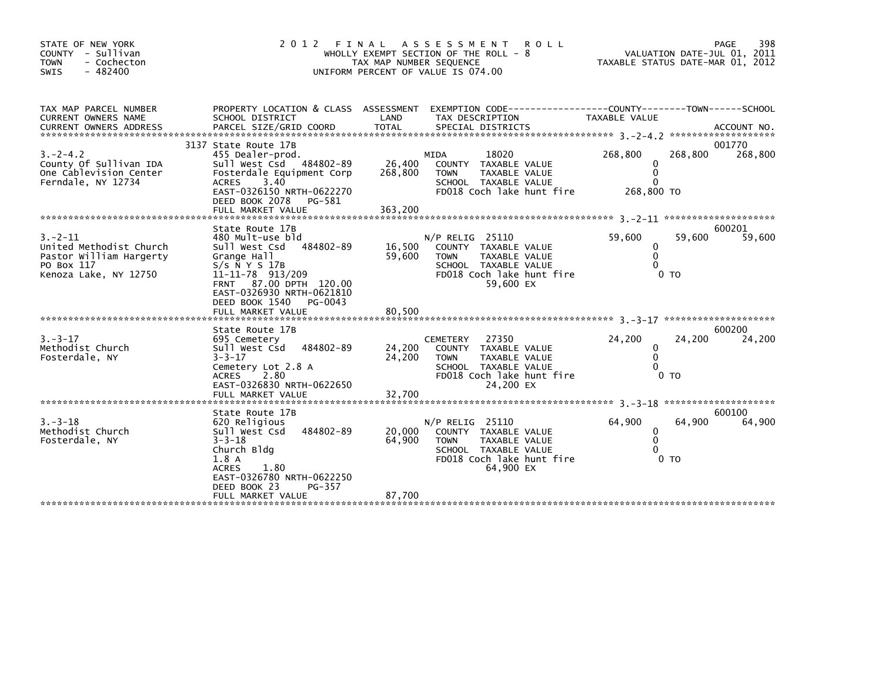| STATE OF NEW YORK<br>COUNTY - Sullivan<br>- Cochecton<br><b>TOWN</b><br>$-482400$<br><b>SWIS</b>          | 2 0 1 2<br>FINAL                                                                                                                                                                                                                                  | A S S E S S M E N T<br>WHOLLY EXEMPT SECTION OF THE ROLL - 8<br>TAX MAP NUMBER SEQUENCE<br>UNIFORM PERCENT OF VALUE IS 074.00 | <b>ROLL</b>                                                                                                      | TAXABLE STATUS DATE-MAR 01, 2012                   | VALUATION DATE-JUL 01, 2011 | 398<br>PAGE       |
|-----------------------------------------------------------------------------------------------------------|---------------------------------------------------------------------------------------------------------------------------------------------------------------------------------------------------------------------------------------------------|-------------------------------------------------------------------------------------------------------------------------------|------------------------------------------------------------------------------------------------------------------|----------------------------------------------------|-----------------------------|-------------------|
| TAX MAP PARCEL NUMBER<br>CURRENT OWNERS NAME                                                              | PROPERTY LOCATION & CLASS ASSESSMENT<br>SCHOOL DISTRICT                                                                                                                                                                                           | LAND<br>TAX DESCRIPTION                                                                                                       | EXEMPTION CODE-----------------COUNTY-------TOWN------SCHOOL                                                     | TAXABLE VALUE                                      | *******************         | ACCOUNT NO.       |
| $3. -2 - 4.2$<br>County Of Sullivan IDA<br>One Cablevision Center<br>Ferndale, NY 12734                   | 3137 State Route 17B<br>455 Dealer-prod.<br>Sull West Csd 484802-89<br>Fosterdale Equipment Corp<br><b>ACRES</b><br>3.40<br>EAST-0326150 NRTH-0622270<br>DEED BOOK 2078<br>PG-581<br>FULL MARKET VALUE                                            | MIDA<br>26,400<br>268,800<br><b>TOWN</b><br>363,200                                                                           | 18020<br>COUNTY TAXABLE VALUE<br>TAXABLE VALUE<br>SCHOOL TAXABLE VALUE<br>FD018 Coch lake hunt fire              | 268,800<br>0<br>$\Omega$<br>$\Omega$<br>268,800 TO | 268,800                     | 001770<br>268,800 |
| $3 - 2 - 11$<br>United Methodist Church<br>Pastor William Hargerty<br>PO Box 117<br>Kenoza Lake, NY 12750 | State Route 17B<br>480 Mult-use bld<br>484802-89<br>sull west Csd<br>Grange Hall<br>$S/S$ $\bar{N}$ $\gamma$ $S$ 17B<br>11-11-78 913/209<br>FRNT 87.00 DPTH 120.00<br>EAST-0326930 NRTH-0621810<br>DEED BOOK 1540<br>PG-0043<br>FULL MARKET VALUE | $N/P$ RELIG 25110<br>16,500<br>59,600<br><b>TOWN</b><br>80,500                                                                | COUNTY TAXABLE VALUE<br>TAXABLE VALUE<br>SCHOOL TAXABLE VALUE<br>FD018 Coch lake hunt fire<br>59,600 EX          | 59,600<br>0<br>$\mathbf{0}$<br>$\Omega$            | 59,600<br>0 <sub>T</sub>    | 600201<br>59,600  |
| $3. - 3 - 17$<br>Methodist Church<br>Fosterdale, NY                                                       | State Route 17B<br>695 Cemetery<br>Sull West Csd<br>484802-89<br>$3 - 3 - 17$<br>Cemetery Lot 2.8 A<br>ACRES 2.80<br>EAST-0326830 NRTH-0622650<br>FULL MARKET VALUE                                                                               | <b>CEMETERY</b><br>24,200<br>24,200<br><b>TOWN</b><br>32,700                                                                  | 27350<br>COUNTY TAXABLE VALUE<br>TAXABLE VALUE<br>SCHOOL TAXABLE VALUE<br>FD018 Coch lake hunt fire<br>24,200 EX | 24,200<br>0<br>$\mathbf{0}$<br>$\Omega$            | 24,200<br>0 <sub>T</sub>    | 600200<br>24,200  |
| $3 - 3 - 18$<br>Methodist Church<br>Fosterdale, NY                                                        | State Route 17B<br>620 Religious<br>Sull West Csd<br>484802-89<br>$3 - 3 - 18$<br>Church Bldg<br>1.8A<br><b>ACRES</b><br>1.80<br>EAST-0326780 NRTH-0622250<br>DEED BOOK 23<br>PG-357<br>FULL MARKET VALUE                                         | $N/P$ RELIG 25110<br>20,000<br>64,900<br><b>TOWN</b><br>87,700                                                                | COUNTY TAXABLE VALUE<br>TAXABLE VALUE<br>SCHOOL TAXABLE VALUE<br>FD018 Coch lake hunt fire<br>64,900 EX          | 64,900<br>0<br>$\mathbf{0}$<br>$\Omega$            | 64,900<br>0 <sub>T</sub>    | 600100<br>64,900  |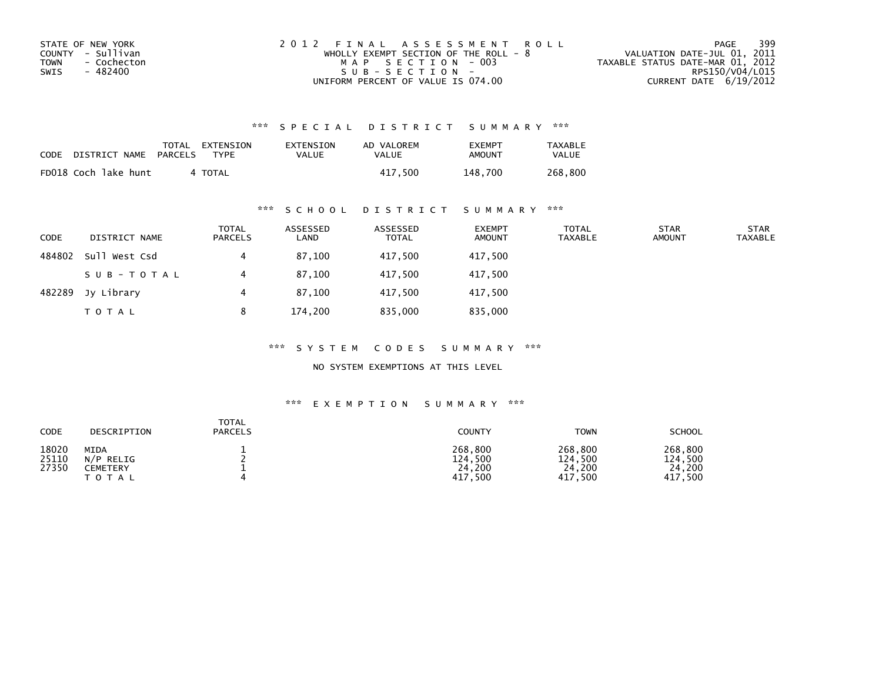| STATE OF NEW YORK   | 2012 FINAL ASSESSMENT ROLL            | 399<br>PAGE                      |
|---------------------|---------------------------------------|----------------------------------|
| COUNTY - Sullivan   | WHOLLY EXEMPT SECTION OF THE ROLL - 8 | VALUATION DATE-JUL 01, 2011      |
| TOWN<br>- Cochecton | MAP SECTION - 003                     | TAXABLE STATUS DATE-MAR 01, 2012 |
| - 482400<br>SWIS    | $SUB - SECTION -$                     | RPS150/V04/L015                  |
|                     | UNIFORM PERCENT OF VALUE IS 074.00    | CURRENT DATE 6/19/2012           |

| <b>CODE</b> | DISTRICT NAME        | TOTAL<br>PARCELS | EXTENSION<br><b>TYPE</b> | <b>EXTENSION</b><br>VALUE | AD VALOREM<br>VALUE | <b>EXEMPT</b><br>AMOUNT | TAXABLE<br><b>VALUE</b> |
|-------------|----------------------|------------------|--------------------------|---------------------------|---------------------|-------------------------|-------------------------|
|             | FD018 Coch lake hunt |                  | 4 TOTAL                  |                           | 417.500             | 148.700                 | 268.800                 |

## \*\*\* S C H O O L D I S T R I C T S U M M A R Y \*\*\*

| <b>CODE</b> | DISTRICT NAME | <b>TOTAL</b><br>PARCELS | ASSESSED<br>LAND | ASSESSED<br>TOTAL | <b>EXEMPT</b><br><b>AMOUNT</b> | <b>TOTAL</b><br><b>TAXABLE</b> | <b>STAR</b><br><b>AMOUNT</b> | <b>STAR</b><br><b>TAXABLE</b> |
|-------------|---------------|-------------------------|------------------|-------------------|--------------------------------|--------------------------------|------------------------------|-------------------------------|
| 484802      | Sull West Csd |                         | 87,100           | 417,500           | 417,500                        |                                |                              |                               |
|             | SUB-TOTAL     | 4                       | 87,100           | 417,500           | 417,500                        |                                |                              |                               |
| 482289      | Jy Library    | 4                       | 87,100           | 417,500           | 417,500                        |                                |                              |                               |
|             | <b>TOTAL</b>  | 8                       | 174,200          | 835,000           | 835,000                        |                                |                              |                               |

\*\*\* S Y S T E M C O D E S S U M M A R Y \*\*\*

NO SYSTEM EXEMPTIONS AT THIS LEVEL

| CODE                    | DESCRIPTION                                | <b>TOTAL</b><br><b>PARCELS</b> | COUNTY                                      | <b>TOWN</b>                             | SCHOOL                                  |
|-------------------------|--------------------------------------------|--------------------------------|---------------------------------------------|-----------------------------------------|-----------------------------------------|
| 18020<br>25110<br>27350 | MIDA<br>N/P RELIG<br>CEMETERY<br>T O T A L |                                | 268,800<br>124,500<br>24,200<br>,500<br>417 | 268,800<br>124,500<br>24,200<br>417,500 | 268,800<br>124,500<br>24,200<br>417,500 |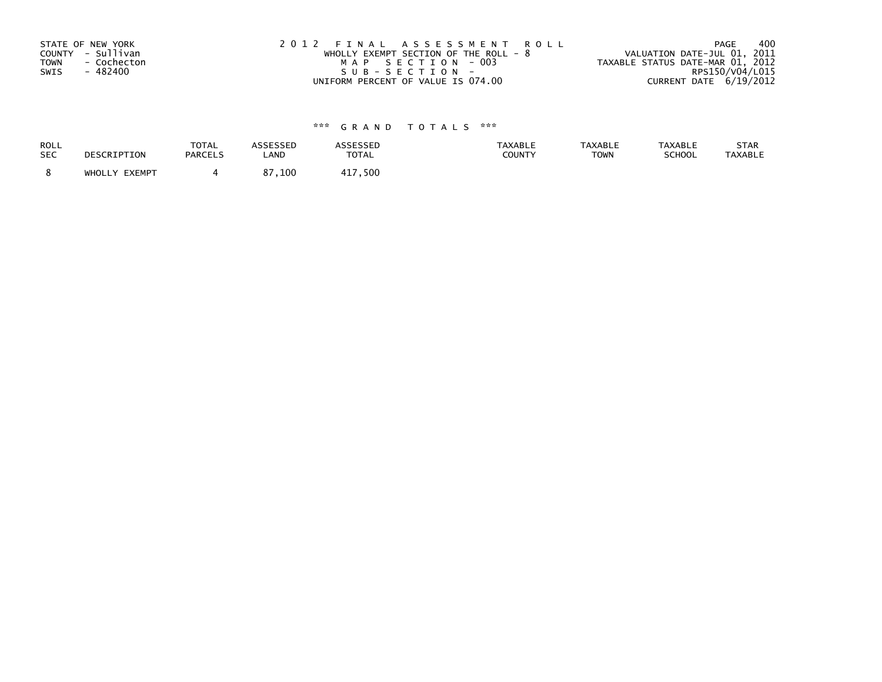| STATE OF NEW YORK          | 2012 FINAL ASSESSMENT ROLL              | 400<br>PAGE                      |
|----------------------------|-----------------------------------------|----------------------------------|
| COUNTY - Sullivan          | WHOLLY EXEMPT SECTION OF THE ROLL - $8$ | VALUATION DATE-JUL 01, 2011      |
| <b>TOWN</b><br>- Cochecton | MAP SECTION - 003                       | TAXABLE STATUS DATE-MAR 01, 2012 |
| - 482400<br>SWIS           | SUB-SECTION-                            | RPS150/V04/L015                  |
|                            | UNIFORM PERCENT OF VALUE IS 074.00      | CURRENT DATE $6/19/2012$         |

| ROLL       | DESCRIPTION   | <b>TOTAL</b>   | ASSESSED | <b>ASSESSED</b> | <b>TAXABLE</b> | <b>TAXABLE</b> | <b>TAXABLE</b> | STAR           |
|------------|---------------|----------------|----------|-----------------|----------------|----------------|----------------|----------------|
| <b>SEC</b> |               | <b>PARCELS</b> | LAND     | TOTAL           | COUNTY         | <b>TOWN</b>    | SCHOOL         | <b>TAXABLE</b> |
|            | WHOLLY EXEMPT |                | 87,100   | 417,500         |                |                |                |                |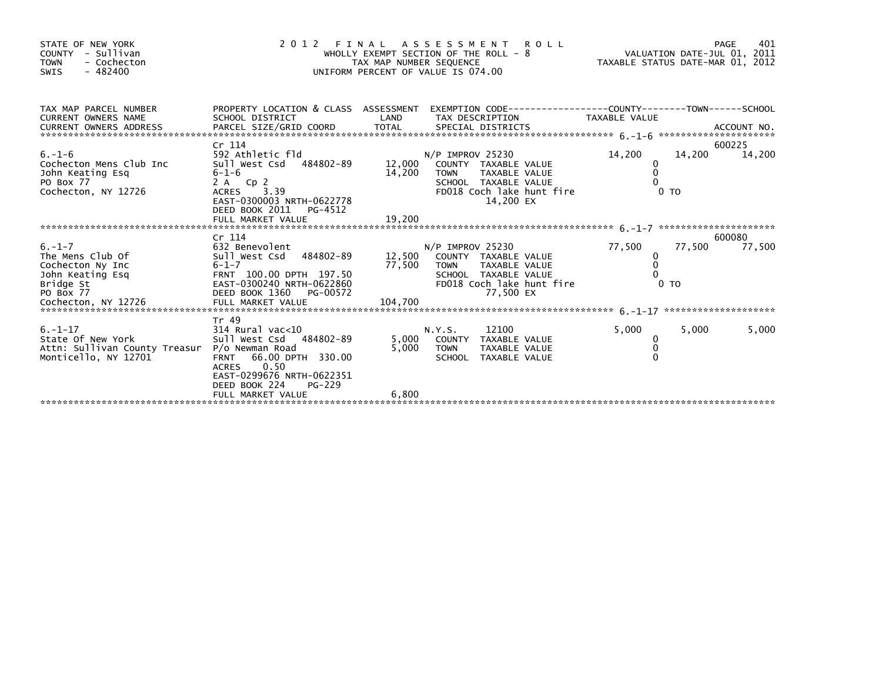| STATE OF NEW YORK<br>COUNTY - Sullivan<br><b>TOWN</b><br>- Cochecton<br>$-482400$<br>SWIS                                 | 2 0 1 2                                                                                                                                                                       | TAX MAP NUMBER SEQUENCE | FINAL ASSESSMENT ROLL<br>WHOLLY EXEMPT SECTION OF THE ROLL - 8<br>UNIFORM PERCENT OF VALUE IS 074.00                                                       |                                           | 401<br>PAGE<br>VALUATION DATE-JUL 01, 2011<br>TAXABLE STATUS DATE-MAR 01, 2012 |
|---------------------------------------------------------------------------------------------------------------------------|-------------------------------------------------------------------------------------------------------------------------------------------------------------------------------|-------------------------|------------------------------------------------------------------------------------------------------------------------------------------------------------|-------------------------------------------|--------------------------------------------------------------------------------|
| TAX MAP PARCEL NUMBER<br>CURRENT OWNERS NAME<br><b>CURRENT OWNERS ADDRESS</b>                                             | SCHOOL DISTRICT                                                                                                                                                               | LAND                    | PROPERTY LOCATION & CLASS ASSESSMENT EXEMPTION CODE----------------COUNTY-------TOWN------SCHOOL<br>TAX DESCRIPTION                                        | TAXABLE VALUE                             |                                                                                |
| $6. - 1 - 6$<br>Cochecton Mens Club Inc<br>John Keating Esq<br>PO Box 77<br>Cochecton, NY 12726                           | Cr 114<br>592 Athletic fld<br>Sull West Csd 484802-89<br>$6 - 1 - 6$<br>2 A Cp 2<br>3.39<br>ACRES<br>EAST-0300003 NRTH-0622778<br>DEED BOOK 2011<br>PG-4512                   | 14,200                  | N/P IMPROV 25230<br>12,000 COUNTY TAXABLE VALUE<br><b>TOWN</b><br><b>TAXABLE VALUE</b><br>SCHOOL TAXABLE VALUE<br>FD018 Coch lake hunt fire<br>14,200 EX   | 14,200<br>0<br>$\Omega$<br>0 <sub>T</sub> | 600225<br>14,200<br>14,200                                                     |
|                                                                                                                           |                                                                                                                                                                               |                         |                                                                                                                                                            |                                           |                                                                                |
| $6. - 1 - 7$<br>The Mens Club Of<br>Cochecton Ny Inc<br>John Keating Esq<br>Bridge St<br>PO Box 77<br>Cochecton, NY 12726 | Cr 114<br>632 Benevolent<br>Sull West Csd 484802-89<br>$6 - 1 - 7$<br>FRNT 100.00 DPTH 197.50<br>EAST-0300240 NRTH-0622860<br>DEED BOOK 1360<br>PG-00572<br>FULL MARKET VALUE | 104,700                 | $N/P$ IMPROV 25230<br>12,500 COUNTY TAXABLE VALUE<br>77,500 TOWN<br><b>TAXABLE VALUE</b><br>SCHOOL TAXABLE VALUE<br>FD018 Coch lake hunt fire<br>77,500 EX | 77,500<br>0<br>0 <sub>T</sub>             | 600080<br>77,500<br>77,500                                                     |
| $6. - 1 - 17$<br>State Of New York<br>Attn: Sullivan County Treasur<br>Monticello, NY 12701                               | Tr 49<br>$314$ Rural vac<10<br>Sull West Csd 484802-89<br>P/o Newman Road<br>66.00 DPTH 330.00<br><b>FRNT</b><br>0.50<br><b>ACRES</b><br>EAST-0299676 NRTH-0622351            | 5,000<br>5,000          | 12100<br>N.Y.S.<br>COUNTY TAXABLE VALUE<br><b>TOWN</b><br>TAXABLE VALUE<br>SCHOOL TAXABLE VALUE                                                            | 5,000<br>0<br>$\Omega$                    | 5,000<br>5,000                                                                 |
|                                                                                                                           | DEED BOOK 224<br>PG-229<br>FULL MARKET VALUE                                                                                                                                  | 6,800                   |                                                                                                                                                            |                                           |                                                                                |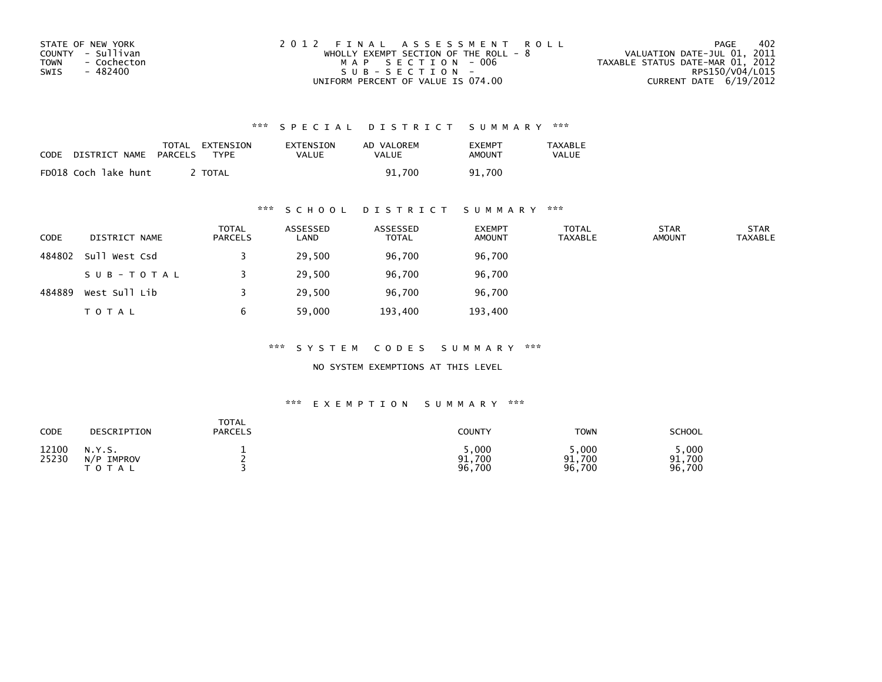| STATE OF NEW YORK   | 2012 FINAL ASSESSMENT ROLL            | 402<br>PAGE                      |
|---------------------|---------------------------------------|----------------------------------|
| COUNTY - Sullivan   | WHOLLY EXEMPT SECTION OF THE ROLL - 8 | VALUATION DATE-JUL 01, 2011      |
| TOWN<br>- Cochecton | MAP SECTION - 006                     | TAXABLE STATUS DATE-MAR 01, 2012 |
| - 482400<br>SWIS    | $SUB - SECTION -$                     | RPS150/V04/L015                  |
|                     | UNIFORM PERCENT OF VALUE IS 074.00    | CURRENT DATE 6/19/2012           |

| CODE | DISTRICT NAME        | TOTAL<br>PARCELS | EXTENSION<br>TYPF | EXTENSION<br>VALUE | AD VALOREM<br>VALUE | <b>EXEMPT</b><br>AMOUNT | TAXABLE<br><b>VALUE</b> |
|------|----------------------|------------------|-------------------|--------------------|---------------------|-------------------------|-------------------------|
|      | FD018 Coch lake hunt |                  | <b>TOTAL</b>      |                    | 91.700              | 91.700                  |                         |

## \*\*\* S C H O O L D I S T R I C T S U M M A R Y \*\*\*

| <b>CODE</b> | DISTRICT NAME | <b>TOTAL</b><br><b>PARCELS</b> | ASSESSED<br>LAND | ASSESSED<br><b>TOTAL</b> | <b>EXEMPT</b><br><b>AMOUNT</b> | <b>TOTAL</b><br><b>TAXABLE</b> | <b>STAR</b><br><b>AMOUNT</b> | <b>STAR</b><br><b>TAXABLE</b> |
|-------------|---------------|--------------------------------|------------------|--------------------------|--------------------------------|--------------------------------|------------------------------|-------------------------------|
| 484802      | Sull West Csd |                                | 29,500           | 96,700                   | 96,700                         |                                |                              |                               |
|             | SUB-TOTAL     |                                | 29,500           | 96,700                   | 96,700                         |                                |                              |                               |
| 484889      | West Sull Lib |                                | 29,500           | 96,700                   | 96,700                         |                                |                              |                               |
|             | <b>TOTAL</b>  | b                              | 59,000           | 193,400                  | 193,400                        |                                |                              |                               |

\*\*\* S Y S T E M C O D E S S U M M A R Y \*\*\*

NO SYSTEM EXEMPTIONS AT THIS LEVEL

| CODE           | DESCRIPTION                          | TOTAL<br><b>PARCELS</b> | COUNTY                    | <b>TOWN</b>              | <b>SCHOOL</b>            |
|----------------|--------------------------------------|-------------------------|---------------------------|--------------------------|--------------------------|
| 12100<br>25230 | N.Y.S.<br>N/P<br>IMPROV<br>T O T A L |                         | 5,000<br>91,700<br>96,700 | ,000<br>91,700<br>96,700 | .000<br>91,700<br>96,700 |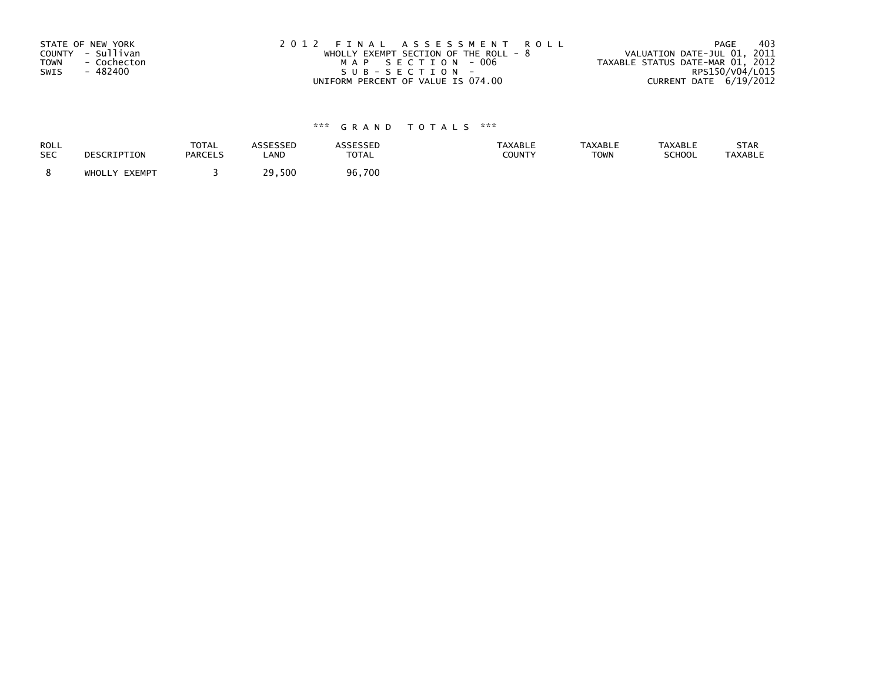| STATE OF NEW YORK          | 2012 FINAL ASSESSMENT ROLL              | -403<br>PAGE                     |
|----------------------------|-----------------------------------------|----------------------------------|
| COUNTY - Sullivan          | WHOLLY EXEMPT SECTION OF THE ROLL - $8$ | VALUATION DATE-JUL 01, 2011      |
| <b>TOWN</b><br>- Cochecton | MAP SECTION - 006                       | TAXABLE STATUS DATE-MAR 01, 2012 |
| SWIS<br>- 482400           | SUB-SECTION-                            | RPS150/V04/L015                  |
|                            | UNIFORM PERCENT OF VALUE IS 074.00      | CURRENT DATE 6/19/2012           |

| <b>ROLL</b> | DESCRIPTION   | <b>TOTAL</b>   | <b>ASSESSED</b> | ASSESSED     | <b>TAXABLE</b> | <b>TAXABLE</b> | <b>TAXABLE</b> | STAR           |
|-------------|---------------|----------------|-----------------|--------------|----------------|----------------|----------------|----------------|
| <b>SEC</b>  |               | <b>PARCELS</b> | LAND            | <b>TOTAL</b> | <b>COUNTY</b>  | <b>TOWN</b>    | SCHOOL         | <b>TAXABLE</b> |
|             | WHOLLY EXEMPT |                | 29,500          | 96,700       |                |                |                |                |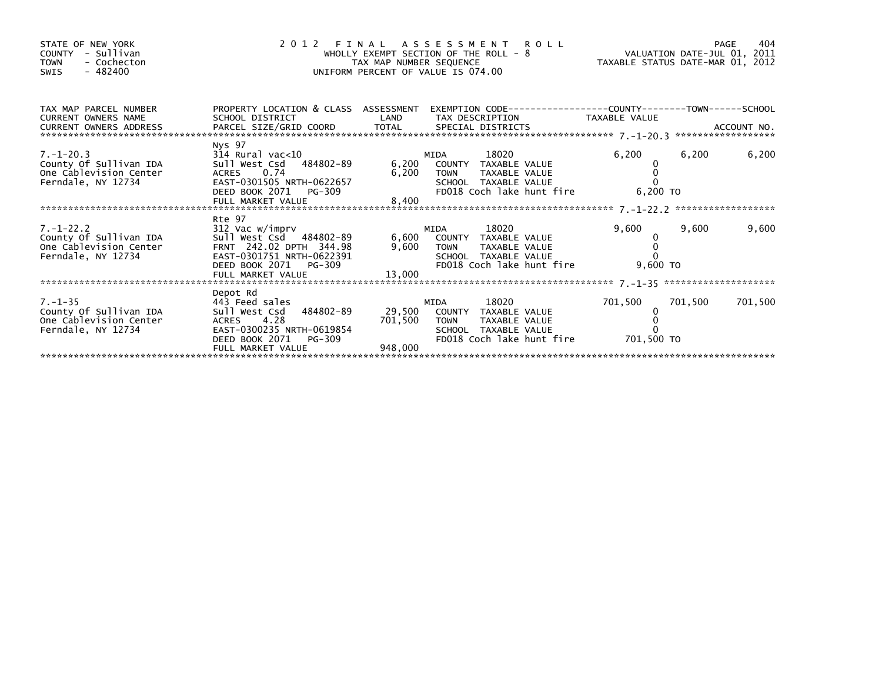| STATE OF NEW YORK<br>COUNTY - Sullivan<br>- Cochecton<br><b>TOWN</b><br>- 482400<br>SWIS                                                                                                                                                                                                                                                                                        | +04 FINAL ASSESSMENT ROLL<br>WHOLLY EXEMPT SECTION OF THE ROLL - 8<br>WHOLLY EXEMPT SECTION OF THE ROLL - 8<br>TAXABLE STATUS DATE-MAR 01, 2012<br>$\overline{a}$<br>UNIFORM PERCENT OF VALUE IS 074.00 |                         |                                                                                                                                                             |         |         |         |
|---------------------------------------------------------------------------------------------------------------------------------------------------------------------------------------------------------------------------------------------------------------------------------------------------------------------------------------------------------------------------------|---------------------------------------------------------------------------------------------------------------------------------------------------------------------------------------------------------|-------------------------|-------------------------------------------------------------------------------------------------------------------------------------------------------------|---------|---------|---------|
| TAX MAP PARCEL NUMBER PROPERTY LOCATION & CLASS ASSESSMENT EXEMPTION CODE--------------COUNTY--------TOWN-----SCHOOL<br>CURRENT OWNERS NAME<br>CURRENT OWNERS (WILLING THE STATE OF THE SPECIAL DISTRICTS AND RESERVE AND ACCOUNT NO.<br>- ARCEL SIZE/GRID COORD TOTAL SPECIAL DISTRICTS AND ARCOUNT NO. ACCOUNT NO. AND A SPECIAL DISTRICTS AND A SPECIAL PRESS, AND A SPECIAL |                                                                                                                                                                                                         |                         | SCHOOL DISTRICT                     LAND       TAX DESCRIPTION                TAXABLE VALUE                                                                 |         |         |         |
| $7. - 1 - 20.3$<br>County Of Sullivan IDA<br>One Cablevision Center<br>Ferndale, NY 12734                                                                                                                                                                                                                                                                                       | Nys 97<br>$314$ Rural vac< $10$<br>Sull West Csd 484802-89 6,200 COUNTY TAXABLE VALUE                                                                                                                   |                         | 18020<br>MIDA<br>6,200 TOWN<br>TAXABLE VALUE<br>SCHOOL TAXABLE VALUE<br>FD018 Coch lake hunt fire 6,200 TO                                                  | 6,200   | 6,200   | 6,200   |
| 7.-1-22.2<br>County Of Sullivan IDA<br>One Cablevision Center<br>Ferndale, NY 12734                                                                                                                                                                                                                                                                                             | Rte 97<br>312 Vac w/imprv<br>sull west Csd 484802-89<br>FRNT 242.02 DPTH 344.98<br>EAST-0301751 NRTH-0622391<br>DEED BOOK 2071 PG-309<br>FULL MARKET VALUE                                              | 13,000                  | <b>MIDA</b><br>6,600 COUNTY TAXABLE VALUE<br>9,600 TOWN TAXABLE VALUE<br>SCHOOL TAXABLE VALUE<br>SCHOOL TAXABLE VALUE<br>FD018 Coch lake hunt fire 9,600 TO | 9,600   | 9,600   | 9,600   |
| $7. - 1 - 35$<br>County Of Sullivan IDA<br>One Cablevision Center<br>Ferndale, NY 12734                                                                                                                                                                                                                                                                                         | Depot Rd<br>443 Feed sales<br>Sull West Csd 484802-89 29,500 COUNTY TAXABLE VALUE<br>ACRES 4.28<br>EAST-0300235 NRTH-0619854<br>DEED BOOK 2071 PG-309<br>FULL MARKET VALUE                              | 701,500 TOWN<br>948,000 | 18020 — 18020 — 18020 — 18020 — 18020 — 18020 — 18020 — 18020 — 18020 — 18030 — 1804<br>MIDA<br>TAXABLE VALUE<br>SCHOOL TAXABLE VALUE                       | 701,500 | 701,500 | 701,500 |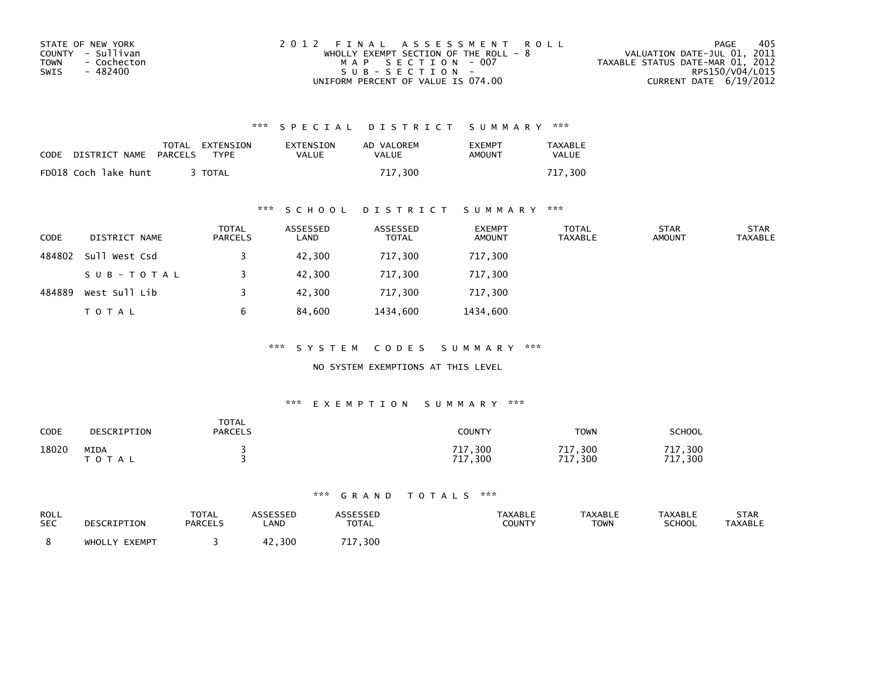| STATE OF NEW YORK          | 2012 FINAL ASSESSMENT ROLL              | 405<br>PAGE                      |
|----------------------------|-----------------------------------------|----------------------------------|
| COUNTY - Sullivan          | WHOLLY EXEMPT SECTION OF THE ROLL - $8$ | VALUATION DATE-JUL 01, 2011      |
| <b>TOWN</b><br>- Cochecton | MAP SECTION - 007                       | TAXABLE STATUS DATE-MAR 01, 2012 |
| - 482400<br>SWIS           | SUB-SECTION-                            | RPS150/V04/L015                  |
|                            | UNIFORM PERCENT OF VALUE IS 074.00      | CURRENT DATE 6/19/2012           |

| CODE | DISTRICT NAME        | PARCELS | TOTAL EXTENSION<br><b>TYPF</b> | EXTENSION<br>VALUE | AD VALOREM<br>VALUE | <b>FXFMPT</b><br>AMOUNT | TAXABLE<br><b>VALUE</b> |
|------|----------------------|---------|--------------------------------|--------------------|---------------------|-------------------------|-------------------------|
|      | FD018 Coch lake hunt |         | <b>TOTAL</b>                   |                    | 717.300             |                         | 717.300                 |

## \*\*\* S C H O O L D I S T R I C T S U M M A R Y \*\*\*

| <b>CODE</b> | DISTRICT NAME | <b>TOTAL</b><br>PARCELS | ASSESSED<br>LAND | ASSESSED<br><b>TOTAL</b> | <b>EXEMPT</b><br><b>AMOUNT</b> | <b>TOTAL</b><br>TAXABLE | <b>STAR</b><br><b>AMOUNT</b> | <b>STAR</b><br><b>TAXABLE</b> |
|-------------|---------------|-------------------------|------------------|--------------------------|--------------------------------|-------------------------|------------------------------|-------------------------------|
| 484802      | Sull West Csd |                         | 42,300           | 717,300                  | 717,300                        |                         |                              |                               |
|             | SUB-TOTAL     |                         | 42,300           | 717,300                  | 717,300                        |                         |                              |                               |
| 484889      | West Sull Lib |                         | 42,300           | 717,300                  | 717,300                        |                         |                              |                               |
|             | <b>TOTAL</b>  | 6                       | 84,600           | 1434,600                 | 1434,600                       |                         |                              |                               |

\*\*\* S Y S T E M C O D E S S U M M A R Y \*\*\*

#### NO SYSTEM EXEMPTIONS AT THIS LEVEL

#### \*\*\* E X E M P T I O N S U M M A R Y \*\*\*

| CODE  | DESCRIPTION       | <b>TOTAL</b><br><b>PARCELS</b> | <b>COUNTY</b>                               | <b>TOWN</b>                                        | <b>SCHOOL</b>            |
|-------|-------------------|--------------------------------|---------------------------------------------|----------------------------------------------------|--------------------------|
| 18020 | MIDA<br>T O T A L |                                | 717,300<br>717<br>$^{\prime}$ ,300<br>$\pm$ | ,300<br>717<br>717<br>$^{\prime}$ ,300<br><b>L</b> | 717<br>300<br>717<br>300 |

| ROLL       | DESCRIPTION   | <b>TOTAL</b>   | ASSESSED    | ASSESSED                | <b>TAXABLE</b> | <b>TAXABLE</b> | <b>TAXABLE</b> | STAR           |
|------------|---------------|----------------|-------------|-------------------------|----------------|----------------|----------------|----------------|
| <b>SEC</b> |               | <b>PARCELS</b> | <b>_AND</b> | <b>TOTAL</b>            | <b>COUNTY</b>  | <b>TOWN</b>    | <b>SCHOOL</b>  | <b>TAXABLE</b> |
|            | WHOLLY EXEMPT |                | .300        | $^{\prime}$ ,300<br>717 |                |                |                |                |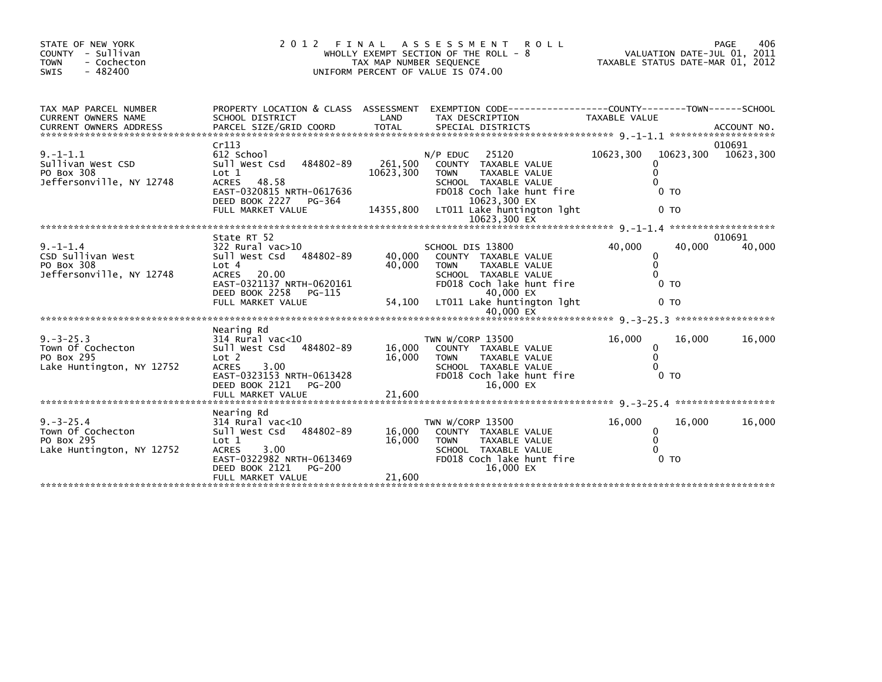| STATE OF NEW YORK<br>COUNTY - Sullivan<br>- Cochecton<br><b>TOWN</b><br>$-482400$<br>SWIS | 2 0 1 2<br>FINAL<br>ASSESSMENT<br><b>ROLL</b><br>WHOLLY EXEMPT SECTION OF THE ROLL - 8<br>TAX MAP NUMBER SEQUENCE<br>UNIFORM PERCENT OF VALUE IS 074.00                              |                                   |                                                                                                                                                                                       | PAGE<br>406<br>VALUATION DATE-JUL 01, 2011<br>TAXABLE STATUS DATE-MAR 01, 2012      |                     |  |
|-------------------------------------------------------------------------------------------|--------------------------------------------------------------------------------------------------------------------------------------------------------------------------------------|-----------------------------------|---------------------------------------------------------------------------------------------------------------------------------------------------------------------------------------|-------------------------------------------------------------------------------------|---------------------|--|
| TAX MAP PARCEL NUMBER<br>CURRENT OWNERS NAME                                              | SCHOOL DISTRICT                                                                                                                                                                      | LAND                              | PROPERTY LOCATION & CLASS ASSESSMENT EXEMPTION CODE----------------COUNTY-------TOWN-----SCHOOL<br>TAX DESCRIPTION                                                                    | TAXABLE VALUE                                                                       |                     |  |
| $9. -1 - 1.1$<br>Sullivan West CSD<br>PO Box 308<br>Jeffersonville, NY 12748              | Cr113<br>612 School<br>484802-89<br>Sull West Csd<br>Lot 1<br>48.58<br><b>ACRES</b><br>EAST-0320815 NRTH-0617636<br>DEED BOOK 2227<br>PG-364<br>FULL MARKET VALUE                    | 261,500<br>10623,300<br>14355,800 | $N/P$ EDUC<br>25120<br>COUNTY TAXABLE VALUE<br><b>TAXABLE VALUE</b><br><b>TOWN</b><br>SCHOOL TAXABLE VALUE<br>FD018 Coch lake hunt fire<br>10623,300 EX<br>LT011 Lake huntington lght | 10623,300<br>10623,300<br>$\Omega$<br>$\Omega$<br>0 <sub>T</sub><br>0 <sub>TO</sub> | 010691<br>10623,300 |  |
|                                                                                           |                                                                                                                                                                                      |                                   |                                                                                                                                                                                       |                                                                                     |                     |  |
| $9. - 1 - 1.4$<br>CSD Sullivan West<br>PO Box 308<br>Jeffersonville, NY 12748             | State RT 52<br>322 Rural vac>10<br>Sull West Csd<br>484802-89<br>Lot 4<br><b>ACRES</b><br>20.00<br>EAST-0321137 NRTH-0620161<br>DEED BOOK 2258<br>PG-115<br>FULL MARKET VALUE        | 40.000<br>40,000<br>54,100        | SCHOOL DIS 13800<br>COUNTY TAXABLE VALUE<br><b>TOWN</b><br><b>TAXABLE VALUE</b><br>SCHOOL TAXABLE VALUE<br>FD018 Coch lake hunt fire<br>40,000 EX<br>LT011 Lake huntington lght       | 40,000<br>40,000<br>0<br>$\mathbf{0}$<br>$\Omega$<br>0 TO<br>0 <sub>T</sub>         | 010691<br>40,000    |  |
|                                                                                           |                                                                                                                                                                                      |                                   | 40,000 EX                                                                                                                                                                             |                                                                                     |                     |  |
| $9. -3 - 25.3$<br>Town Of Cochecton<br>PO Box 295<br>Lake Huntington, NY 12752            | Nearing Rd<br>$314$ Rural vac<10<br>sull west Csd<br>484802-89<br>Lot 2<br>3.00<br><b>ACRES</b><br>EAST-0323153 NRTH-0613428<br>DEED BOOK 2121<br><b>PG-200</b>                      | 16,000<br>16,000                  | TWN W/CORP 13500<br>COUNTY TAXABLE VALUE<br><b>TOWN</b><br><b>TAXABLE VALUE</b><br>SCHOOL TAXABLE VALUE<br>FD018 Coch lake hunt fire<br>16,000 EX                                     | 16,000<br>16,000<br>0<br>$\mathbf{0}$<br>$\Omega$<br>0 <sub>T</sub>                 | 16,000              |  |
|                                                                                           |                                                                                                                                                                                      |                                   |                                                                                                                                                                                       |                                                                                     |                     |  |
| $9. -3 - 25.4$<br>Town Of Cochecton<br>PO Box 295<br>Lake Huntington, NY 12752            | Nearing Rd<br>$314$ Rural vac<10<br>484802-89<br>sull west Csd<br>Lot 1<br><b>ACRES</b><br>3.00<br>EAST-0322982 NRTH-0613469<br>DEED BOOK 2121<br><b>PG-200</b><br>FULL MARKET VALUE | 16,000<br>16,000<br>21,600        | TWN W/CORP 13500<br>COUNTY TAXABLE VALUE<br><b>TOWN</b><br>TAXABLE VALUE<br>SCHOOL TAXABLE VALUE<br>FD018 Coch lake hunt fire<br>16,000 EX                                            | 16,000<br>16,000<br>$\mathbf{0}$<br>0<br>$\Omega$<br>0 <sub>T</sub>                 | 16,000              |  |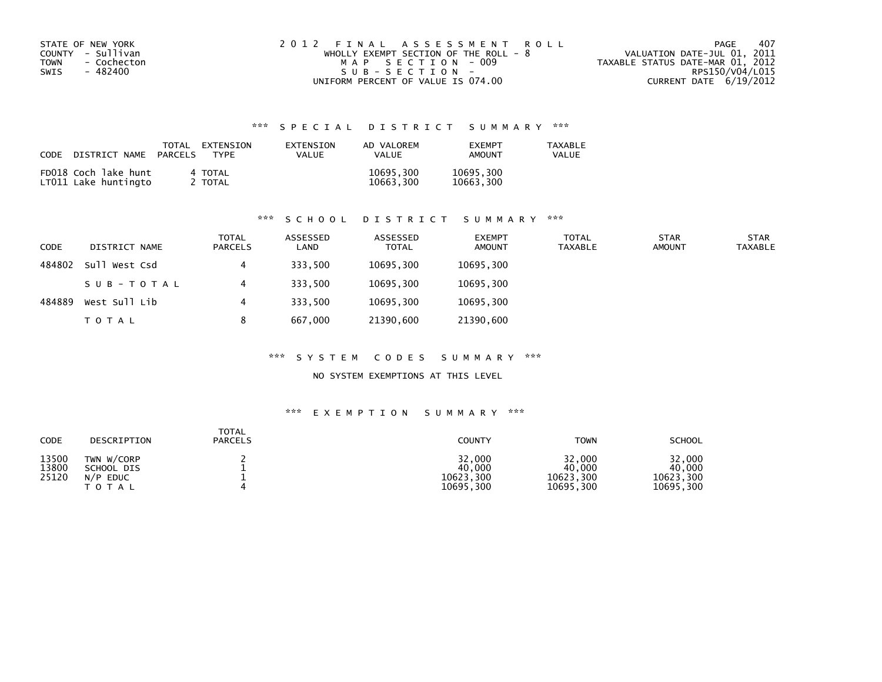| STATE OF NEW YORK<br>COUNTY - Sullivan<br><b>TOWN</b><br>- Cochecton | 2012 FINAL ASSESSMENT ROLL<br>WHOLLY EXEMPT SECTION OF THE ROLL - 8<br>MAP SECTION - 009 | -407<br>PAGE<br>VALUATION DATE-JUL 01, 2011<br>TAXABLE STATUS DATE-MAR 01, 2012 |
|----------------------------------------------------------------------|------------------------------------------------------------------------------------------|---------------------------------------------------------------------------------|
| - 482400<br>SWIS                                                     | $SUB - SECTION -$                                                                        | RPS150/V04/L015                                                                 |
|                                                                      | UNIFORM PERCENT OF VALUE IS 074.00                                                       | CURRENT DATE 6/19/2012                                                          |

| CODE | DISTRICT NAME                                | TOTAL<br>PARCELS | EXTENSION<br>TYPF  | EXTENSION<br>VALUE | AD VALOREM<br><b>VALUE</b> | <b>FXFMPT</b><br>AMOUNT | <b>TAXABLE</b><br>VALUE |
|------|----------------------------------------------|------------------|--------------------|--------------------|----------------------------|-------------------------|-------------------------|
|      | FD018 Coch lake hunt<br>LT011 Lake huntingto |                  | 4 TOTAL<br>2 TOTAL |                    | 10695,300<br>10663,300     | 10695,300<br>10663,300  |                         |

# \*\*\* S C H O O L D I S T R I C T S U M M A R Y \*\*\*

| CODE   | DISTRICT NAME | TOTAL<br><b>PARCELS</b> | ASSESSED<br>LAND | ASSESSED<br><b>TOTAL</b> | <b>EXEMPT</b><br><b>AMOUNT</b> | <b>TOTAL</b><br>TAXABLE | <b>STAR</b><br><b>AMOUNT</b> | <b>STAR</b><br><b>TAXABLE</b> |
|--------|---------------|-------------------------|------------------|--------------------------|--------------------------------|-------------------------|------------------------------|-------------------------------|
| 484802 | Sull West Csd | 4                       | 333,500          | 10695,300                | 10695,300                      |                         |                              |                               |
|        | SUB-TOTAL     | 4                       | 333,500          | 10695,300                | 10695,300                      |                         |                              |                               |
| 484889 | West Sull Lib | 4                       | 333.500          | 10695,300                | 10695,300                      |                         |                              |                               |
|        | T O T A L     | 8                       | 667,000          | 21390,600                | 21390,600                      |                         |                              |                               |

#### \*\*\* S Y S T E M C O D E S S U M M A R Y \*\*\*

## NO SYSTEM EXEMPTIONS AT THIS LEVEL

| CODE                    | DESCRIPTION                                                    | <b>TOTAL</b><br><b>PARCELS</b> | COUNTY                                     | <b>TOWN</b>                                | <b>SCHOOL</b>                              |
|-------------------------|----------------------------------------------------------------|--------------------------------|--------------------------------------------|--------------------------------------------|--------------------------------------------|
| 13500<br>13800<br>25120 | TWN W/CORP<br>SCHOOL DIS<br>N/P<br><b>EDUC</b><br><b>TOTAL</b> |                                | 32,000<br>40,000<br>10623,300<br>10695,300 | 32,000<br>40.000<br>10623,300<br>10695,300 | 32,000<br>40,000<br>10623,300<br>10695,300 |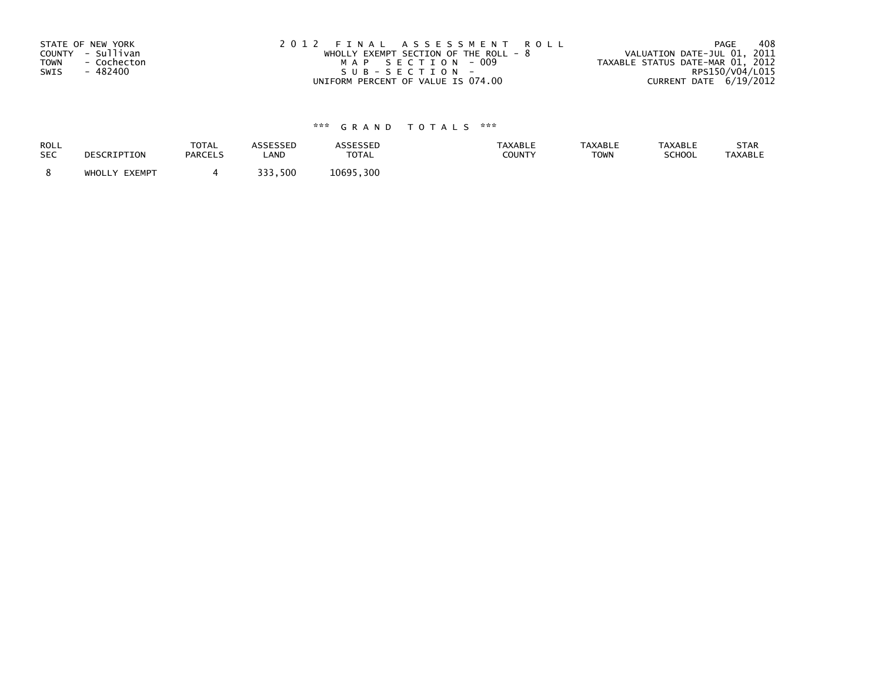| STATE OF NEW YORK   | 2012 FINAL ASSESSMENT ROLL              | 408<br>PAGE                      |
|---------------------|-----------------------------------------|----------------------------------|
| COUNTY - Sullivan   | WHOLLY EXEMPT SECTION OF THE ROLL - $8$ | VALUATION DATE-JUL 01, 2011      |
| TOWN<br>- Cochecton | MAP SECTION - 009                       | TAXABLE STATUS DATE-MAR 01, 2012 |
| SWIS<br>- 482400    | SUB-SECTION-                            | RPS150/V04/L015                  |
|                     | UNIFORM PERCENT OF VALUE IS 074.00      | CURRENT DATE 6/19/2012           |

| <b>ROLL</b> | DESCRIPTION   | <b>TOTAL</b>   | <b>ASSESSED</b> | <b>ASSESSED</b> | <b>TAXABLE</b> | <b>TAXABLE</b> | <b>TAXABLE</b> | STAR           |
|-------------|---------------|----------------|-----------------|-----------------|----------------|----------------|----------------|----------------|
| <b>SEC</b>  |               | <b>PARCELS</b> | LAND            | TOTAL           | <b>COUNTY</b>  | <b>TOWN</b>    | <b>SCHOOL</b>  | <b>TAXABLE</b> |
|             | WHOLLY EXEMPT |                | 333.500         | 10695,300       |                |                |                |                |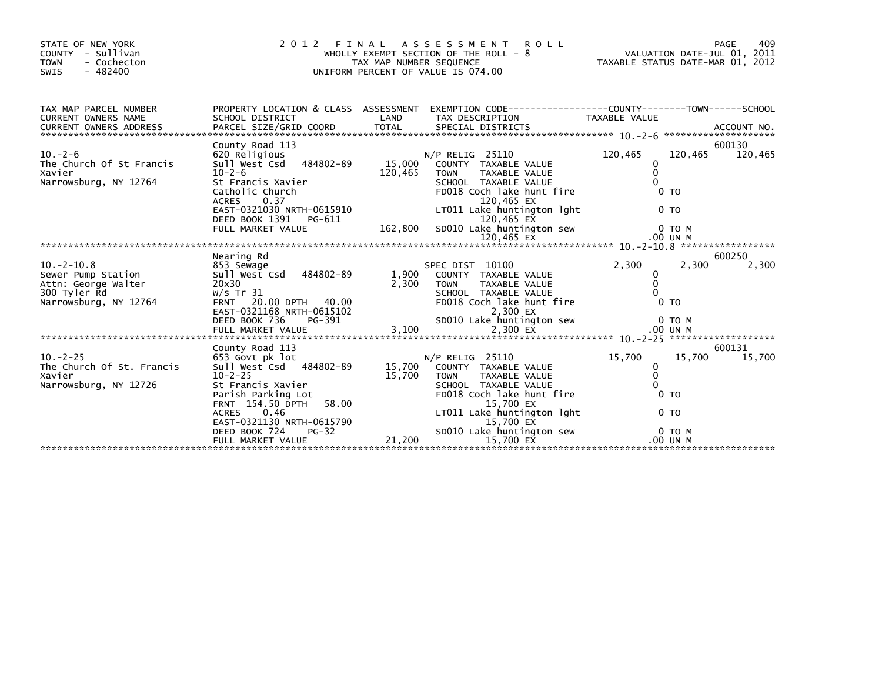| STATE OF NEW YORK<br>COUNTY - Sullivan<br>- Cochecton<br><b>TOWN</b><br>$-482400$<br><b>SWIS</b> | 2 0 1 2                                                                                              | TAX MAP NUMBER SEQUENCE | FINAL ASSESSMENT ROLL<br>WHOLLY EXEMPT SECTION OF THE ROLL - 8<br>UNIFORM PERCENT OF VALUE IS 074.00                           | VALUATION DATE-JUL 01, 2011<br>TAXABLE STATUS DATE-MAR 01, 2012 |         | 409<br>PAGE |
|--------------------------------------------------------------------------------------------------|------------------------------------------------------------------------------------------------------|-------------------------|--------------------------------------------------------------------------------------------------------------------------------|-----------------------------------------------------------------|---------|-------------|
| TAX MAP PARCEL NUMBER                                                                            |                                                                                                      | LAND                    | PROPERTY LOCATION & CLASS ASSESSMENT EXEMPTION CODE----------------COUNTY-------TOWN------SCHOOL                               |                                                                 |         |             |
| CURRENT OWNERS NAME                                                                              | SCHOOL DISTRICT                                                                                      |                         | TAX DESCRIPTION                                                                                                                | TAXABLE VALUE                                                   |         |             |
|                                                                                                  | County Road 113                                                                                      |                         |                                                                                                                                |                                                                 |         | 600130      |
| $10. -2 - 6$<br>The Church Of St Francis<br>Xavier<br>Narrowsburg, NY 12764                      | 620 Religious<br>Sull West Csd 484802-89<br>$10 - 2 - 6$<br>St Francis Xavier<br>Catholic Church     | 15,000<br>120,465       | $N/P$ RELIG 25110<br>COUNTY TAXABLE VALUE<br><b>TOWN</b><br>TAXABLE VALUE<br>SCHOOL TAXABLE VALUE<br>FD018 Coch lake hunt fire | 120,465<br>0<br>$\Omega$<br>$\Omega$<br>0 <sub>T</sub>          | 120,465 | 120,465     |
|                                                                                                  | 0.37<br><b>ACRES</b><br>EAST-0321030 NRTH-0615910<br>DEED BOOK 1391 PG-611<br>FULL MARKET VALUE      | 162,800                 | 120,465 EX<br>LT011 Lake huntington lght<br>120.465 EX<br>SD010 Lake huntington sew                                            | 0 <sub>T</sub>                                                  | 0 TO M  |             |
|                                                                                                  |                                                                                                      |                         |                                                                                                                                |                                                                 |         |             |
|                                                                                                  | Nearing Rd                                                                                           |                         |                                                                                                                                |                                                                 |         | 600250      |
| $10.-2-10.8$<br>Sewer Pump Station<br>Attn: George Walter                                        | 853 Sewage<br>Sull West Csd<br>484802-89<br>20x30                                                    | 1,900<br>2,300          | SPEC DIST 10100<br>COUNTY TAXABLE VALUE<br><b>TAXABLE VALUE</b><br><b>TOWN</b>                                                 | 2.300<br>0<br>0                                                 | 2.300   | 2,300       |
| 300 Tyler Rd<br>Narrowsburg, NY 12764                                                            | W/s Tr $31$<br>FRNT 20.00 DPTH 40.00<br>EAST-0321168 NRTH-0615102                                    |                         | SCHOOL TAXABLE VALUE<br>FD018 Coch lake hunt fire<br>2.300 EX                                                                  | $\Omega$<br>0 <sub>T</sub>                                      |         |             |
|                                                                                                  | PG-391<br>DEED BOOK 736                                                                              |                         | SD010 Lake huntington sew                                                                                                      |                                                                 | 0 TO M  |             |
|                                                                                                  | County Road 113                                                                                      |                         |                                                                                                                                |                                                                 |         | 600131      |
| $10. -2 - 25$<br>The Church Of St. Francis<br>Xavier<br>Narrowsburg, NY 12726                    | 653 Govt pk lot<br>Sull West Csd 484802-89<br>$10 - 2 - 25$<br>St Francis Xavier                     | 15,700<br>15,700        | $N/P$ RELIG 25110<br>COUNTY TAXABLE VALUE<br><b>TOWN</b><br>TAXABLE VALUE<br>SCHOOL TAXABLE VALUE                              | 15,700<br>0<br>$\mathbf{0}$<br>$\Omega$                         | 15,700  | 15.700      |
|                                                                                                  | Parish Parking Lot<br>58.00<br>FRNT 154.50 DPTH<br>0.46<br><b>ACRES</b><br>EAST-0321130 NRTH-0615790 |                         | FD018 Coch lake hunt fire<br>15,700 EX<br>LT011 Lake huntington lght<br>15.700 EX                                              | 0 <sub>T</sub><br>0 <sub>T</sub>                                |         |             |
|                                                                                                  | DEED BOOK 724<br>$PG-32$<br>FULL MARKET VALUE                                                        | 21,200                  | SD010 Lake huntington sew<br>15,700 EX                                                                                         | .00 UN M                                                        | 0 TO M  |             |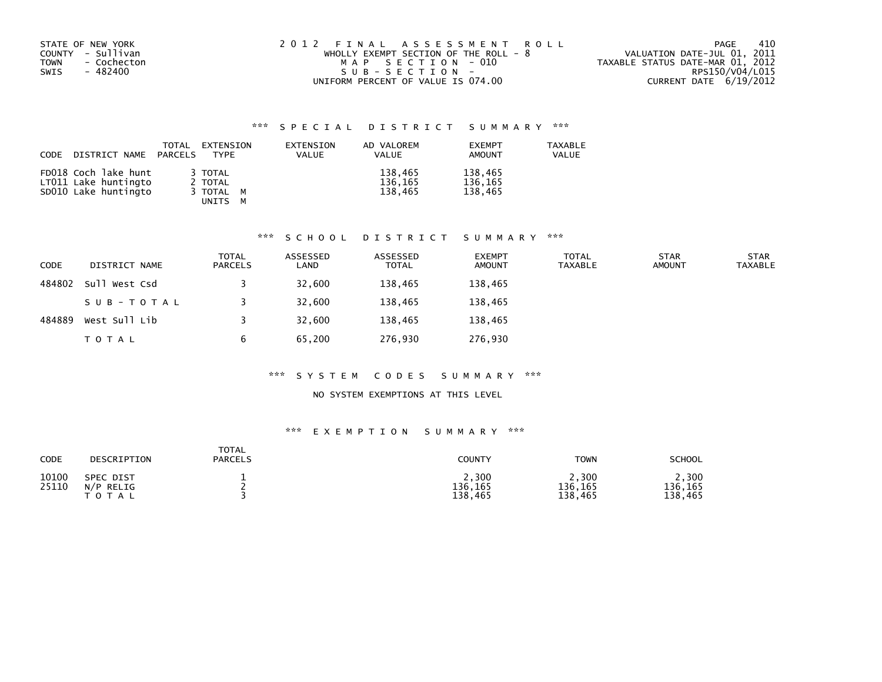| STATE OF NEW YORK   | 2012 FINAL ASSESSMENT ROLL              | -410<br>PAGE                     |
|---------------------|-----------------------------------------|----------------------------------|
| COUNTY - Sullivan   | WHOLLY EXEMPT SECTION OF THE ROLL - $8$ | VALUATION DATE-JUL 01, 2011      |
| - Cochecton<br>TOWN | MAP SECTION - 010                       | TAXABLE STATUS DATE-MAR 01, 2012 |
| SWIS<br>- 482400    | $SUB - SECTION -$                       | RPS150/V04/L015                  |
|                     | UNIFORM PERCENT OF VALUE IS 074.00      | CURRENT DATE 6/19/2012           |

| CODE | DISTRICT NAME PARCELS                                                | TOTAL | EXTENSION<br>TYPF                          | EXTENSION<br><b>VALUE</b> | AD VALOREM<br>VALUE           | <b>EXEMPT</b><br>AMOUNT       | <b>TAXABLE</b><br>VALUE |
|------|----------------------------------------------------------------------|-------|--------------------------------------------|---------------------------|-------------------------------|-------------------------------|-------------------------|
|      | FD018 Coch lake hunt<br>LT011 Lake huntingto<br>SD010 Lake huntingto |       | 3 TOTAL<br>2 TOTAL<br>3 TOTAL M<br>UNITS M |                           | 138,465<br>136,165<br>138.465 | 138,465<br>136,165<br>138.465 |                         |

#### \*\*\* S C H O O L D I S T R I C T S U M M A R Y \*\*\*

| <b>CODE</b> | DISTRICT NAME | TOTAL<br><b>PARCELS</b> | ASSESSED<br>LAND | ASSESSED<br><b>TOTAL</b> | <b>EXEMPT</b><br><b>AMOUNT</b> | <b>TOTAL</b><br>TAXABLE | <b>STAR</b><br><b>AMOUNT</b> | <b>STAR</b><br><b>TAXABLE</b> |
|-------------|---------------|-------------------------|------------------|--------------------------|--------------------------------|-------------------------|------------------------------|-------------------------------|
| 484802      | Sull West Csd |                         | 32,600           | 138,465                  | 138,465                        |                         |                              |                               |
|             | SUB-TOTAL     |                         | 32,600           | 138,465                  | 138,465                        |                         |                              |                               |
| 484889      | West Sull Lib |                         | 32,600           | 138,465                  | 138,465                        |                         |                              |                               |
|             | T O T A L     | b                       | 65,200           | 276,930                  | 276,930                        |                         |                              |                               |

#### \*\*\* S Y S T E M C O D E S S U M M A R Y \*\*\*

## NO SYSTEM EXEMPTIONS AT THIS LEVEL

| CODE           | DESCRIPTION                                   | <b>TOTAL</b><br><b>PARCELS</b> | COUNTY                      | <b>TOWN</b>                 | <b>SCHOOL</b>               |
|----------------|-----------------------------------------------|--------------------------------|-----------------------------|-----------------------------|-----------------------------|
| 10100<br>25110 | <b>SPEC DIST</b><br>N/P<br>RELIG<br>T O T A L |                                | 2,300<br>136,165<br>138,465 | 2,300<br>136,165<br>138.465 | 2,300<br>136,165<br>138.465 |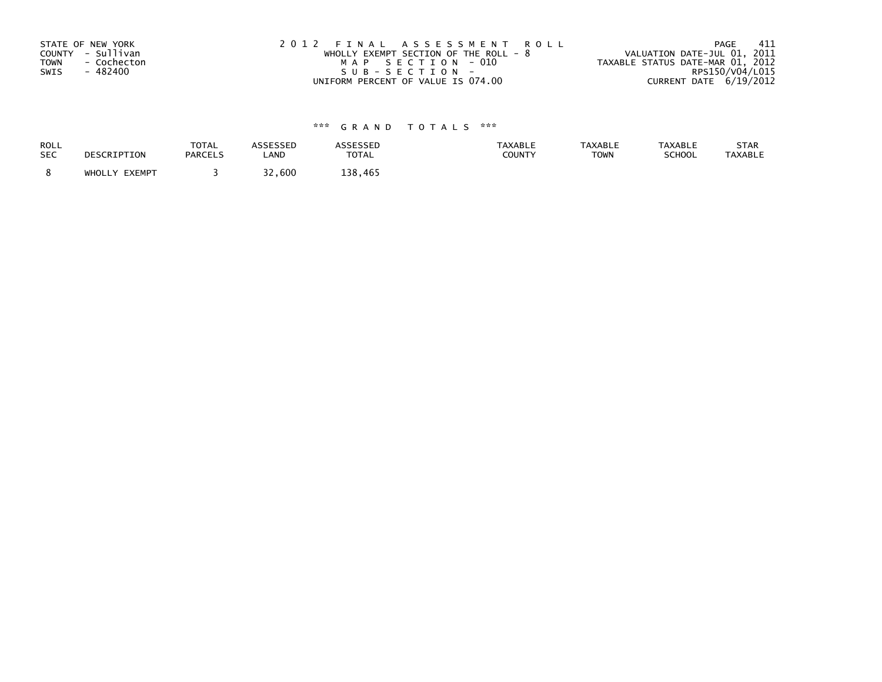| STATE OF NEW YORK          | 2012 FINAL ASSESSMENT ROLL              | - 411<br>PAGE                    |
|----------------------------|-----------------------------------------|----------------------------------|
| COUNTY - Sullivan          | WHOLLY EXEMPT SECTION OF THE ROLL - $8$ | VALUATION DATE-JUL 01, 2011      |
| <b>TOWN</b><br>- Cochecton | MAP SECTION - 010                       | TAXABLE STATUS DATE-MAR 01, 2012 |
| SWIS<br>- 482400           | SUB-SECTION-                            | RPS150/V04/L015                  |
|                            | UNIFORM PERCENT OF VALUE IS 074.00      | CURRENT DATE 6/19/2012           |

| <b>ROLL</b> | DESCRIPTION   | <b>TOTAL</b>   | <b>ASSESSED</b> | <b>ASSESSED</b> | <b>TAXABLE</b> | <b>TAXABLE</b> | <b>TAXABLE</b> | STAR           |
|-------------|---------------|----------------|-----------------|-----------------|----------------|----------------|----------------|----------------|
| <b>SEC</b>  |               | <b>PARCELS</b> | LAND            | <b>TOTAL</b>    | COUNTY         | <b>TOWN</b>    | SCHOOL         | <b>TAXABLE</b> |
|             | WHOLLY EXEMPT |                | 32,600          | 138.465         |                |                |                |                |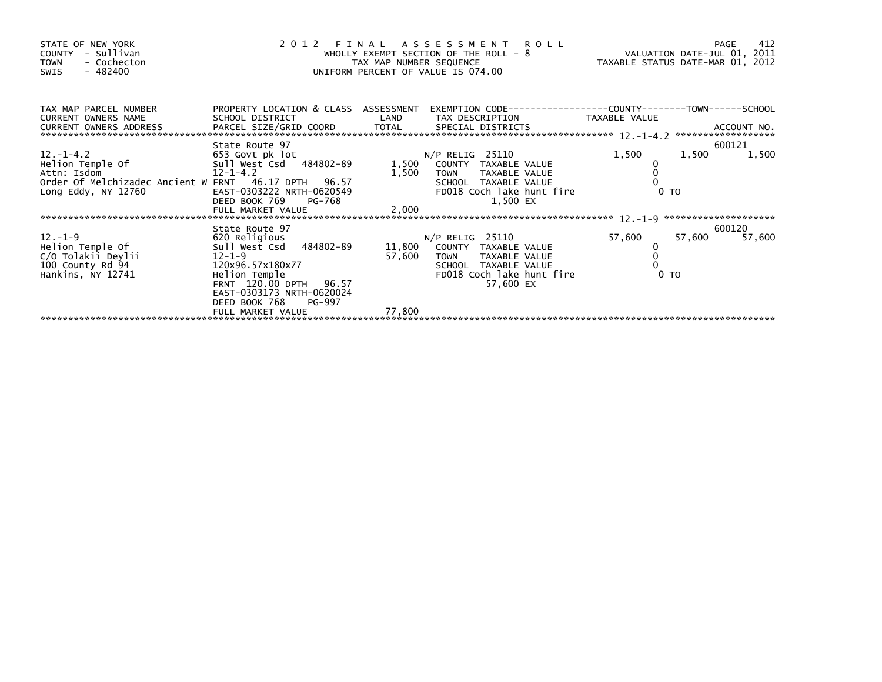| STATE OF NEW YORK<br>COUNTY - Sullivan<br>- Cochecton<br><b>TOWN</b><br>- 482400<br>SWIS         | UNIFORM PERCENT OF VALUE IS 074.00                                                                                                               | 2012 FINAL ASSESSMENT KULL<br>WHOLLY EXEMPT SECTION OF THE ROLL - 8<br>TAXABLE STATUS DATE-MAR 01, 2012 |                                                                                                                                          |                                    |                          |
|--------------------------------------------------------------------------------------------------|--------------------------------------------------------------------------------------------------------------------------------------------------|---------------------------------------------------------------------------------------------------------|------------------------------------------------------------------------------------------------------------------------------------------|------------------------------------|--------------------------|
| TAX MAP PARCEL NUMBER<br><b>CURRENT OWNERS NAME</b><br>CURRENT OWNERS ADDRESS                    | PROPERTY LOCATION & CLASS ASSESSMENT<br>SCHOOL DISTRICT                                                                                          | LAND                                                                                                    | EXEMPTION CODE-----------------COUNTY-------TOWN------SCHOOL<br>TAX DESCRIPTION                                                          | TAXABLE VALUE                      |                          |
| Attn: Isdom<br>Order Of Melchizadec Ancient W FRNT 46.17 DPTH 96.57<br>Long Eddy, NY 12760       | State Route 97<br>653 Govt pk lot<br>$12 - 1 - 4.2$<br>EAST-0303222 NRTH-0620549<br>DEED BOOK 769<br>PG-768                                      | 1,500                                                                                                   | <b>TOWN</b><br>TAXABLE VALUE<br>SCHOOL TAXABLE VALUE<br>FD018 Coch lake hunt fire<br>1,500 EX                                            | 1,500<br>$0$ TO                    | 600121<br>1,500<br>1,500 |
| $12. - 1 - 9$<br>Helion Temple Of<br>C/O Tolakii Deylii<br>100 County Rd 94<br>Hankins, NY 12741 | State Route 97<br>620 Religious<br>Sull West Csd 484802-89<br>12-1-9<br>120x96.57x180x77<br>EAST-0303173 NRTH-0620024<br>DEED BOOK 768<br>PG-997 | 57,600                                                                                                  | $N/P$ RELIG 25110<br>11,800 COUNTY TAXABLE VALUE<br>TOWN TAXABLE VALUE<br>SCHOOL TAXABLE VALUE<br>FD018 Coch lake hunt fire<br>57,600 EX | 57,600<br>57,600<br>0 <sub>T</sub> | 600120<br>57,600         |
|                                                                                                  | FULL MARKET VALUE                                                                                                                                | 77,800                                                                                                  |                                                                                                                                          |                                    |                          |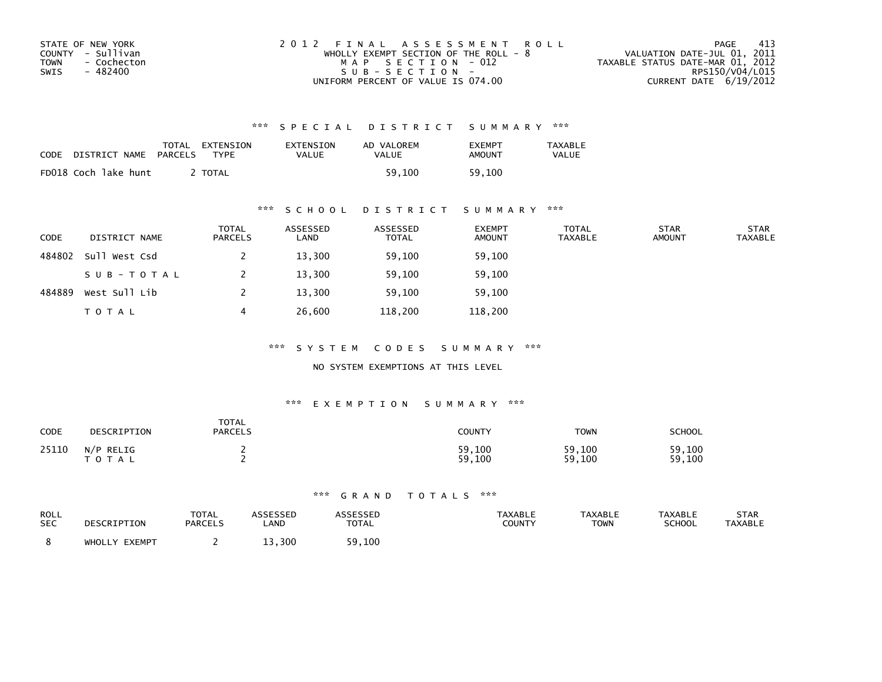| STATE OF NEW YORK   | 2012 FINAL ASSESSMENT ROLL            | -413<br>PAGE                     |
|---------------------|---------------------------------------|----------------------------------|
| COUNTY - Sullivan   | WHOLLY EXEMPT SECTION OF THE ROLL - 8 | VALUATION DATE-JUL 01, 2011      |
| TOWN<br>- Cochecton | MAP SECTION - 012                     | TAXABLE STATUS DATE-MAR 01, 2012 |
| - 482400<br>SWIS    | $SUB - SECTION -$                     | RPS150/V04/L015                  |
|                     | UNIFORM PERCENT OF VALUE IS 074.00    | CURRENT DATE 6/19/2012           |

| CODE | DISTRICT NAME        | TOTAL<br>PARCELS | EXTENSION<br><b>TYPF</b> | EXTENSION<br>VALUE | AD VALOREM<br>VALUE | <b>EXEMPT</b><br>AMOUNT | TAXABLE<br>VALUE |
|------|----------------------|------------------|--------------------------|--------------------|---------------------|-------------------------|------------------|
|      | FD018 Coch lake hunt |                  | <b>TOTAL</b>             |                    | 59.100              | 59.100                  |                  |

## \*\*\* S C H O O L D I S T R I C T S U M M A R Y \*\*\*

| CODE   | DISTRICT NAME | <b>TOTAL</b><br>PARCELS | ASSESSED<br>LAND | ASSESSED<br><b>TOTAL</b> | <b>EXEMPT</b><br><b>AMOUNT</b> | <b>TOTAL</b><br><b>TAXABLE</b> | <b>STAR</b><br><b>AMOUNT</b> | <b>STAR</b><br><b>TAXABLE</b> |
|--------|---------------|-------------------------|------------------|--------------------------|--------------------------------|--------------------------------|------------------------------|-------------------------------|
| 484802 | Sull West Csd |                         | 13,300           | 59,100                   | 59,100                         |                                |                              |                               |
|        | SUB-TOTAL     |                         | 13,300           | 59,100                   | 59,100                         |                                |                              |                               |
| 484889 | West Sull Lib |                         | 13,300           | 59.100                   | 59,100                         |                                |                              |                               |
|        | <b>TOTAL</b>  |                         | 26,600           | 118,200                  | 118,200                        |                                |                              |                               |

\*\*\* S Y S T E M C O D E S S U M M A R Y \*\*\*

NO SYSTEM EXEMPTIONS AT THIS LEVEL

#### \*\*\* E X E M P T I O N S U M M A R Y \*\*\*

| CODE  | DESCRIPTION               | <b>TOTAL</b><br><b>PARCELS</b> | <b>COUNTY</b>    | TOWN             | SCHOOL           |
|-------|---------------------------|--------------------------------|------------------|------------------|------------------|
| 25110 | N/P RELIG<br><b>TOTAL</b> |                                | 59,100<br>59,100 | 59,100<br>59,100 | 59,100<br>59,100 |

| ROLL       | DESCRIPTION   | TOTAL          | <b>ASSESSED</b> | <b>ASSESSED</b> | <b>TAXABLE</b> | <b>TAXABLE</b> | <b>TAXABLE</b> | STAR           |
|------------|---------------|----------------|-----------------|-----------------|----------------|----------------|----------------|----------------|
| <b>SEC</b> |               | <b>PARCELS</b> | LAND            | <b>TOTAL</b>    | COUNTY         | TOWN           | <b>SCHOOL</b>  | <b>TAXABLE</b> |
|            | WHOLLY EXEMPT |                | 13,300          | 59,100          |                |                |                |                |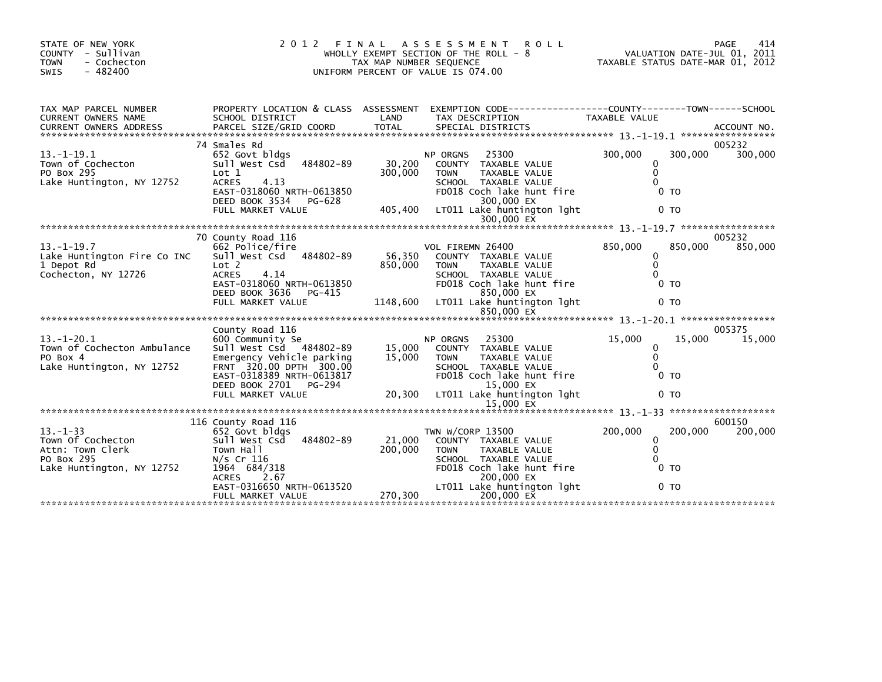| STATE OF NEW YORK<br>- Sullivan<br><b>COUNTY</b><br>- Cochecton<br><b>TOWN</b><br>$-482400$<br>SWIS                                                                                                                                                              | 2 0 1 2<br>FINAL<br>WHOLLY EXEMPT SECTION OF THE ROLL - 8<br>TAX MAP NUMBER SEQUENCE<br>UNIFORM PERCENT OF VALUE IS 074.00                                                                        | 414<br>PAGE<br>VALUATION DATE-JUL 01, 2011<br>TAXABLE STATUS DATE-MAR 01, 2012 |                                 |                                                                                                                                                               |               |                                                                                     |                   |
|------------------------------------------------------------------------------------------------------------------------------------------------------------------------------------------------------------------------------------------------------------------|---------------------------------------------------------------------------------------------------------------------------------------------------------------------------------------------------|--------------------------------------------------------------------------------|---------------------------------|---------------------------------------------------------------------------------------------------------------------------------------------------------------|---------------|-------------------------------------------------------------------------------------|-------------------|
| TAX MAP PARCEL NUMBER<br><b>CURRENT OWNERS NAME</b><br>CURRENT OWNERS ADDRESS FORCEL SIZE/GRID COORD TOTAL SPECIAL DISTRICTS (2001) ACCOUNT NO.<br>EURRENT OWNERS ADDRESS PARCEL SIZE/GRID COORD TOTAL SPECIAL DISTRICTS (2001) 2014 - 2014 - 2014 - 2014 - 2014 | PROPERTY LOCATION & CLASS ASSESSMENT<br>SCHOOL DISTRICT                                                                                                                                           | LAND                                                                           |                                 | TAX DESCRIPTION                                                                                                                                               | TAXABLE VALUE |                                                                                     |                   |
| $13 - 1 - 19.1$<br>Town of Cochecton<br>PO Box 295<br>Lake Huntington, NY 12752                                                                                                                                                                                  | 74 Smales Rd<br>652 Govt bldgs<br>484802-89<br>Sull West Csd<br>Lot 1<br><b>ACRES</b><br>4.13<br>EAST-0318060 NRTH-0613850<br>DEED BOOK 3534<br>PG-628<br>FULL MARKET VALUE                       | 30,200<br>300,000<br>405,400                                                   | <b>NP ORGNS</b><br><b>TOWN</b>  | 25300<br>COUNTY TAXABLE VALUE<br>TAXABLE VALUE<br>SCHOOL TAXABLE VALUE<br>FD018 Coch lake hunt fire<br>300,000 EX<br>LT011 Lake huntington lght<br>300,000 EX | 300,000       | 300,000<br>$\mathbf{0}$<br>$\Omega$<br>$\Omega$<br>0 <sub>T</sub><br>0 <sub>T</sub> | 005232<br>300,000 |
|                                                                                                                                                                                                                                                                  |                                                                                                                                                                                                   |                                                                                |                                 |                                                                                                                                                               |               |                                                                                     |                   |
| $13 - 1 - 19.7$<br>Lake Huntington Fire Co INC<br>1 Depot Rd<br>Cochecton, NY 12726                                                                                                                                                                              | 70 County Road 116<br>662 Police/fire<br>Sull West Csd<br>484802-89<br>Lot 2<br><b>ACRES</b><br>4.14<br>EAST-0318060 NRTH-0613850<br>DEED BOOK 3636<br>PG-415<br>FULL MARKET VALUE                | 56,350<br>850,000<br>1148,600                                                  | VOL FIREMN 26400<br><b>TOWN</b> | COUNTY TAXABLE VALUE<br><b>TAXABLE VALUE</b><br>SCHOOL TAXABLE VALUE<br>FD018 Coch lake hunt fire<br>850,000 EX<br>LT011 Lake huntington lght<br>850,000 EX   | 850,000       | 850,000<br>$\mathbf{0}$<br>$\mathbf{0}$<br>0 TO<br>0 <sub>T</sub>                   | 005232<br>850,000 |
|                                                                                                                                                                                                                                                                  |                                                                                                                                                                                                   |                                                                                |                                 |                                                                                                                                                               |               |                                                                                     |                   |
| $13 - 1 - 20.1$<br>Town of Cochecton Ambulance<br>PO Box 4<br>Lake Huntington, NY 12752                                                                                                                                                                          | County Road 116<br>600 Community Se<br>Sull West Csd 484802-89<br>Emergency Vehicle parking<br>FRNT 320.00 DPTH 300.00<br>EAST-0318389 NRTH-0613817<br>DEED BOOK 2701 PG-294<br>FULL MARKET VALUE | 15,000<br>15,000<br>20,300                                                     | <b>NP ORGNS</b><br><b>TOWN</b>  | 25300<br>COUNTY TAXABLE VALUE<br>TAXABLE VALUE<br>SCHOOL TAXABLE VALUE<br>FD018 Coch lake hunt fire<br>15,000 EX<br>LT011 Lake huntington lght                | 15,000        | 15,000<br>0<br>$\Omega$<br>0 <sub>T</sub><br>0 <sub>T</sub>                         | 005375<br>15,000  |
|                                                                                                                                                                                                                                                                  |                                                                                                                                                                                                   |                                                                                |                                 | 15,000 EX                                                                                                                                                     |               |                                                                                     |                   |
|                                                                                                                                                                                                                                                                  |                                                                                                                                                                                                   |                                                                                |                                 |                                                                                                                                                               |               |                                                                                     |                   |
| $13 - 1 - 33$<br>Town Of Cochecton<br>Attn: Town Clerk<br>PO Box 295<br>Lake Huntington, NY 12752                                                                                                                                                                | 116 County Road 116<br>652 Govt bldgs<br>484802-89<br>Sull West Csd<br>Town Hall<br>$N/s$ Cr 116<br>1964 684/318<br><b>ACRES</b><br>2.67<br>EAST-0316650 NRTH-0613520<br>FULL MARKET VALUE        | 21,000<br>200,000<br>270,300                                                   | TWN W/CORP 13500<br><b>TOWN</b> | COUNTY TAXABLE VALUE<br>TAXABLE VALUE<br>SCHOOL TAXABLE VALUE<br>FD018 Coch lake hunt fire<br>200,000 EX<br>LT011 Lake huntington lght<br>200,000 EX          | 200,000       | 200,000<br>0<br>$\Omega$<br>$\Omega$<br>0 <sub>T</sub><br>0 <sub>T</sub>            | 600150<br>200,000 |
|                                                                                                                                                                                                                                                                  |                                                                                                                                                                                                   |                                                                                |                                 |                                                                                                                                                               |               |                                                                                     |                   |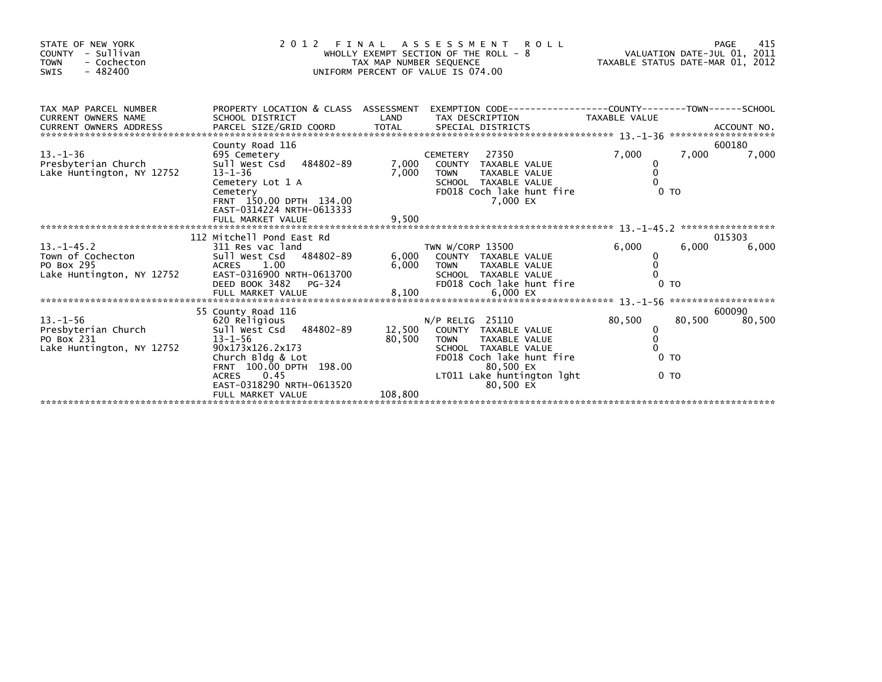| STATE OF NEW YORK<br>- Sullivan<br><b>COUNTY</b><br><b>TOWN</b><br>- Cochecton<br>$-482400$<br>SWIS | 2 0 1 2<br>FINAL                                                                                                                                                                                                                 | TAX MAP NUMBER SEQUENCE     | <b>ROLL</b><br>ASSESSMENT<br>WHOLLY EXEMPT SECTION OF THE ROLL - 8<br>UNIFORM PERCENT OF VALUE IS 074.00                                                                                    | TAXABLE STATUS DATE-MAR 01, 2012 | 415<br>PAGE<br>VALUATION DATE-JUL 01, 2011 |                                    |
|-----------------------------------------------------------------------------------------------------|----------------------------------------------------------------------------------------------------------------------------------------------------------------------------------------------------------------------------------|-----------------------------|---------------------------------------------------------------------------------------------------------------------------------------------------------------------------------------------|----------------------------------|--------------------------------------------|------------------------------------|
| TAX MAP PARCEL NUMBER<br><b>CURRENT OWNERS NAME</b>                                                 | PROPERTY LOCATION & CLASS ASSESSMENT<br>SCHOOL DISTRICT                                                                                                                                                                          | LAND                        | EXEMPTION        CODE-----------------COUNTY-------TOWN------SCHOOL<br>TAX DESCRIPTION                                                                                                      | TAXABLE VALUE                    |                                            | ACCOUNT NO.<br>******************* |
| $13. - 1 - 36$<br>Presbyterian Church<br>Lake Huntington, NY 12752                                  | County Road 116<br>695 Cemetery<br>484802-89<br>Sull West Csd<br>$13 - 1 - 36$<br>Cemetery Lot 1 A<br>Cemetery<br>FRNT 150.00 DPTH 134.00<br>EAST-0314224 NRTH-0613333                                                           | 7,000<br>7,000              | 27350<br><b>CEMETERY</b><br>COUNTY TAXABLE VALUE<br><b>TOWN</b><br><b>TAXABLE VALUE</b><br>SCHOOL TAXABLE VALUE<br>FD018 Coch lake hunt fire<br>7.000 EX                                    | 7,000<br>0<br>$\Omega$           | 7,000<br>0 <sub>T</sub>                    | 600180<br>7,000                    |
|                                                                                                     | FULL MARKET VALUE<br>112 Mitchell Pond East Rd                                                                                                                                                                                   | 9,500                       |                                                                                                                                                                                             |                                  |                                            | *****************<br>015303        |
| $13 - 1 - 45.2$<br>Town of Cochecton<br>PO Box 295<br>Lake Huntington, NY 12752                     | 311 Res vac land<br>Sull West Csd 484802-89<br><b>ACRES</b><br>1.00<br>EAST-0316900 NRTH-0613700<br>DEED BOOK 3482<br>PG-324                                                                                                     | 6,000<br>6,000              | TWN W/CORP 13500<br>COUNTY TAXABLE VALUE<br>TAXABLE VALUE<br><b>TOWN</b><br>SCHOOL TAXABLE VALUE<br>FD018 Coch lake hunt fire                                                               | 6.000<br>0                       | 6.000<br>0 <sub>T</sub>                    | 6,000                              |
|                                                                                                     | FULL MARKET VALUE                                                                                                                                                                                                                | 8,100                       | 6,000 EX                                                                                                                                                                                    |                                  |                                            | *******************                |
| $13. - 1 - 56$<br>Presbyterian Church<br>PO Box 231<br>Lake Huntington, NY 12752                    | 55 County Road 116<br>620 Religious<br>Sull West Csd<br>484802-89<br>$13 - 1 - 56$<br>90x173x126.2x173<br>Church Bldg & Lot<br>FRNT 100.00 DPTH 198.00<br>0.45<br><b>ACRES</b><br>EAST-0318290 NRTH-0613520<br>FULL MARKET VALUE | 12,500<br>80,500<br>108,800 | N/P RELIG 25110<br>COUNTY TAXABLE VALUE<br><b>TOWN</b><br><b>TAXABLE VALUE</b><br>SCHOOL TAXABLE VALUE<br>FD018 Coch lake hunt fire<br>80.500 EX<br>LT011 Lake huntington lght<br>80,500 EX | 80,500<br>0<br>$\mathbf 0$       | 80,500<br>0 <sub>T</sub><br>0 <sub>T</sub> | 600090<br>80,500                   |
|                                                                                                     |                                                                                                                                                                                                                                  |                             |                                                                                                                                                                                             |                                  |                                            |                                    |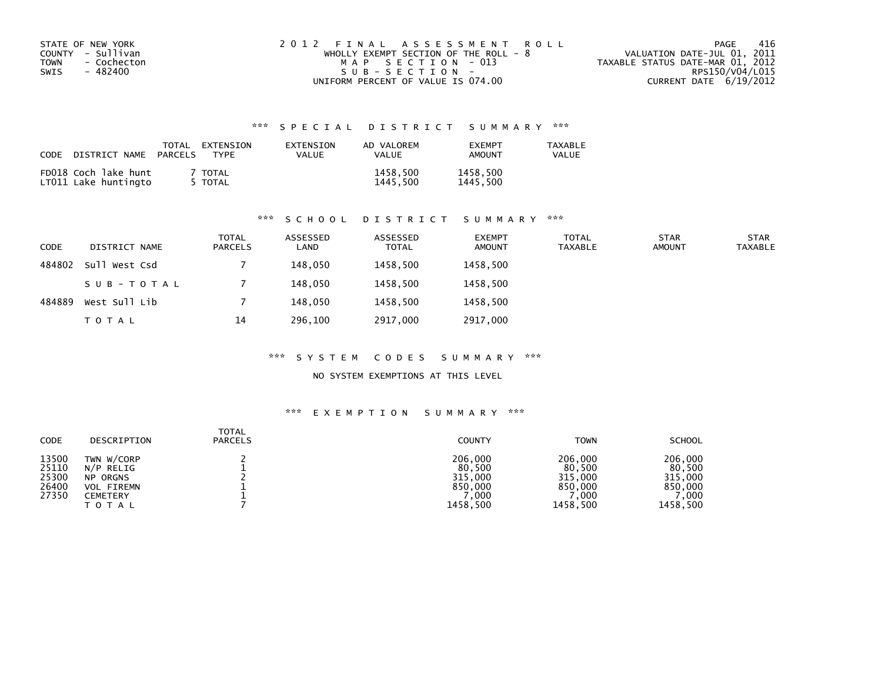| STATE OF NEW YORK<br>COUNTY - Sullivan<br>TOWN<br>- Cochecton<br>- 482400<br>SWIS | 2012 FINAL ASSESSMENT ROLL<br>WHOLLY EXEMPT SECTION OF THE ROLL - $8$<br>MAP SECTION - 013<br>$SUB - SECTION -$ | -416<br>PAGE<br>VALUATION DATE-JUL 01, 2011<br>TAXABLE STATUS DATE-MAR 01, 2012<br>RPS150/V04/L015 |
|-----------------------------------------------------------------------------------|-----------------------------------------------------------------------------------------------------------------|----------------------------------------------------------------------------------------------------|
|                                                                                   | UNIFORM PERCENT OF VALUE IS 074.00                                                                              | CURRENT DATE 6/19/2012                                                                             |

| CODE DISTRICT NAME                           | TOTAL<br>PARCELS | EXTENSION<br><b>TYPF</b> | EXTENSION<br><b>VALUE</b> | AD VALOREM<br><b>VALUE</b> | <b>FXFMPT</b><br>AMOUNT | <b>TAXABLE</b><br>VALUE |
|----------------------------------------------|------------------|--------------------------|---------------------------|----------------------------|-------------------------|-------------------------|
| FD018 Coch lake hunt<br>LT011 Lake huntingto |                  | TOTAL<br>5 TOTAL         |                           | 1458,500<br>1445.500       | 1458,500<br>1445,500    |                         |

#### \*\*\* S C H O O L D I S T R I C T S U M M A R Y \*\*\*

| <b>CODE</b> | DISTRICT NAME | <b>TOTAL</b><br><b>PARCELS</b> | ASSESSED<br>LAND | ASSESSED<br><b>TOTAL</b> | <b>EXEMPT</b><br><b>AMOUNT</b> | <b>TOTAL</b><br><b>TAXABLE</b> | <b>STAR</b><br><b>AMOUNT</b> | <b>STAR</b><br><b>TAXABLE</b> |
|-------------|---------------|--------------------------------|------------------|--------------------------|--------------------------------|--------------------------------|------------------------------|-------------------------------|
| 484802      | Sull West Csd |                                | 148,050          | 1458,500                 | 1458,500                       |                                |                              |                               |
|             | SUB-TOTAL     |                                | 148,050          | 1458,500                 | 1458,500                       |                                |                              |                               |
| 484889      | West Sull Lib |                                | 148,050          | 1458,500                 | 1458,500                       |                                |                              |                               |
|             | T O T A L     | 14                             | 296,100          | 2917,000                 | 2917,000                       |                                |                              |                               |

#### \*\*\* S Y S T E M C O D E S S U M M A R Y \*\*\*

#### NO SYSTEM EXEMPTIONS AT THIS LEVEL

| <b>CODE</b>                               | DESCRIPTION                                                                                 | <b>TOTAL</b><br><b>PARCELS</b> | <b>COUNTY</b>                                               | <b>TOWN</b>                                                 | <b>SCHOOL</b>                                               |
|-------------------------------------------|---------------------------------------------------------------------------------------------|--------------------------------|-------------------------------------------------------------|-------------------------------------------------------------|-------------------------------------------------------------|
| 13500<br>25110<br>25300<br>26400<br>27350 | TWN W/CORP<br>N/P RELIG<br><b>NP ORGNS</b><br><b>VOL FIREMN</b><br>CEMETERY<br><b>TOTAL</b> |                                | 206,000<br>80,500<br>315,000<br>850,000<br>.000<br>1458,500 | 206,000<br>80,500<br>315,000<br>850.000<br>.000<br>1458.500 | 206,000<br>80,500<br>315,000<br>850,000<br>.000<br>1458,500 |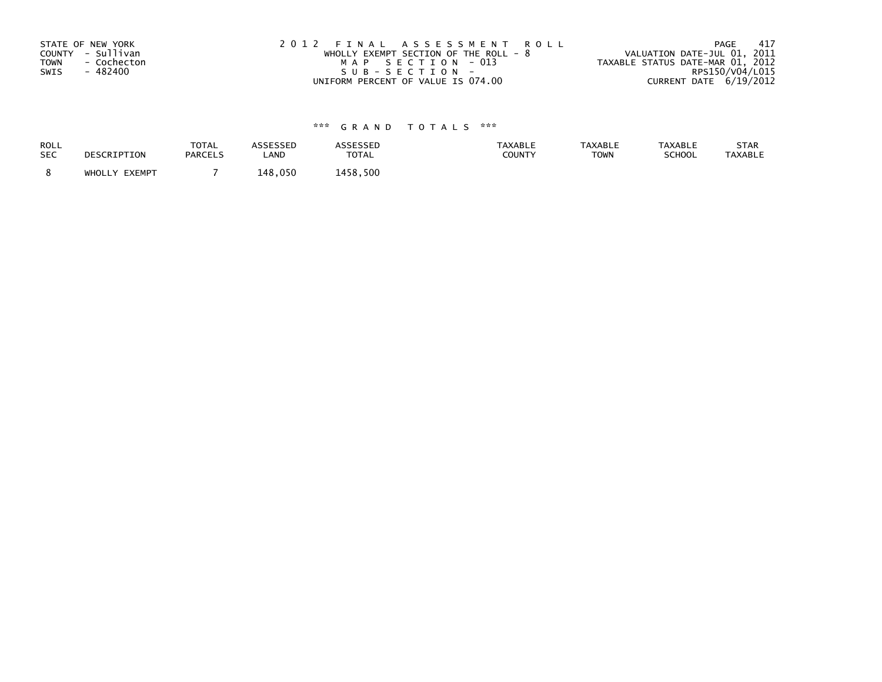| STATE OF NEW YORK          | 2012 FINAL ASSESSMENT ROLL             | 417<br>PAGE                      |
|----------------------------|----------------------------------------|----------------------------------|
| COUNTY - Sullivan          | WHOLLY EXEMPT SECTION OF THE ROLL $-8$ | VALUATION DATE-JUL 01, 2011      |
| <b>TOWN</b><br>- Cochecton | MAP SECTION - 013                      | TAXABLE STATUS DATE-MAR 01, 2012 |
| SWIS<br>- 482400           | SUB-SECTION-                           | RPS150/V04/L015                  |
|                            | UNIFORM PERCENT OF VALUE IS 074.00     | CURRENT DATE 6/19/2012           |

| ROLL       | DESCRIPTION   | <b>TOTAL</b>   | ASSESSED | <b>ASSESSED</b> | <b>TAXABLE</b> | <b>TAXABLE</b> | <b>TAXABLE</b> | STAR           |
|------------|---------------|----------------|----------|-----------------|----------------|----------------|----------------|----------------|
| <b>SEC</b> |               | <b>PARCELS</b> | LAND     | <b>TOTAL</b>    | COUNTY         | <b>TOWN</b>    | SCHOOL         | <b>TAXABLE</b> |
|            | WHOLLY EXEMPT |                | 148,050  | 1458,500        |                |                |                |                |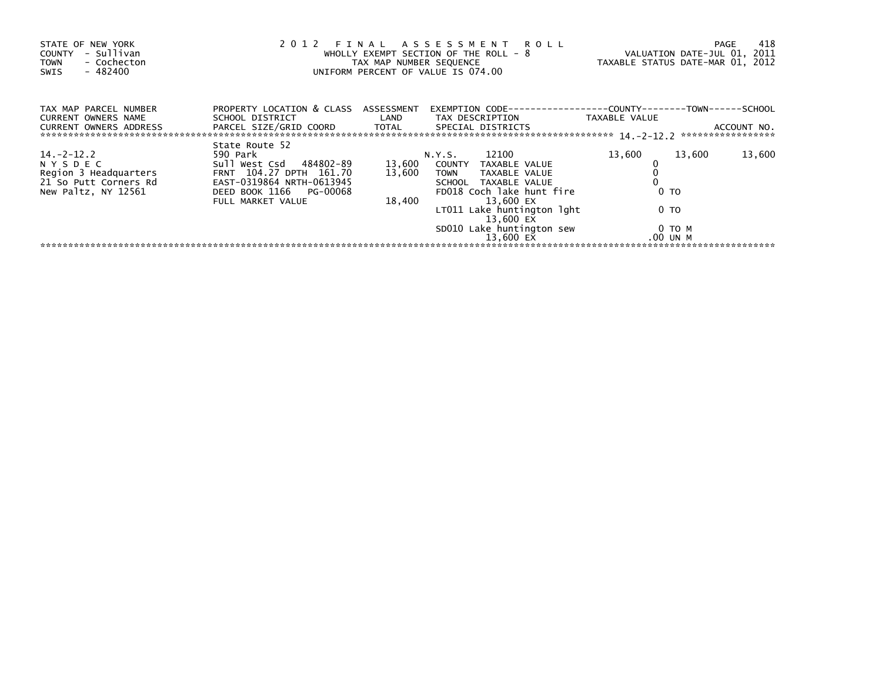| STATE OF NEW YORK<br>- Sullivan<br><b>COUNTY</b><br>- Cochecton<br><b>TOWN</b><br>- 482400<br>SWIS      | FINAL<br>2012<br>WHOLLY EXEMPT SECTION OF THE ROLL - 8<br>TAX MAP NUMBER SEQUENCE<br>UNIFORM PERCENT OF VALUE IS 074.00                                       | VALUATION DATE-JUL 01, 2011<br>TAXABLE STATUS DATE-MAR 01, 2012 | 418<br>PAGE                                                                                                                                                                                                                                 |                                                                  |                                  |
|---------------------------------------------------------------------------------------------------------|---------------------------------------------------------------------------------------------------------------------------------------------------------------|-----------------------------------------------------------------|---------------------------------------------------------------------------------------------------------------------------------------------------------------------------------------------------------------------------------------------|------------------------------------------------------------------|----------------------------------|
| TAX MAP PARCEL NUMBER<br><b>CURRENT OWNERS NAME</b><br><b>CURRENT OWNERS ADDRESS</b>                    | PROPERTY LOCATION & CLASS ASSESSMENT<br>SCHOOL DISTRICT<br>PARCEL SIZE/GRID COORD                                                                             | LAND<br>TOTAL                                                   | EXEMPTION        CODE-----------------COUNTY--------TOWN------SCHOOL<br>TAX DESCRIPTION<br>SPECIAL DISTRICTS                                                                                                                                | TAXABLE VALUE                                                    | ACCOUNT NO.<br>***************** |
| 14. -2 -12. 2<br><b>NYSDEC</b><br>Region 3 Headquarters<br>21 So Putt Corners Rd<br>New Paltz, NY 12561 | State Route 52<br>590 Park<br>Sull West Csd 484802-89<br>FRNT 104.27 DPTH 161.70<br>EAST-0319864 NRTH-0613945<br>DEED BOOK 1166 PG-00068<br>FULL MARKET VALUE | 13,600<br>13,600<br>18,400                                      | 12100<br>N.Y.S.<br>COUNTY<br>TAXABLE VALUE<br><b>TOWN</b><br>TAXABLE VALUE<br><b>SCHOOL</b><br>TAXABLE VALUE<br>FD018 Coch lake hunt fire<br>13.600 EX<br>LT011 Lake huntington lght<br>13.600 EX<br>SD010 Lake huntington sew<br>13,600 EX | 13,600<br>13,600<br>0 <sub>T</sub><br>0 TO<br>0 TO M<br>.00 UN M | 13,600                           |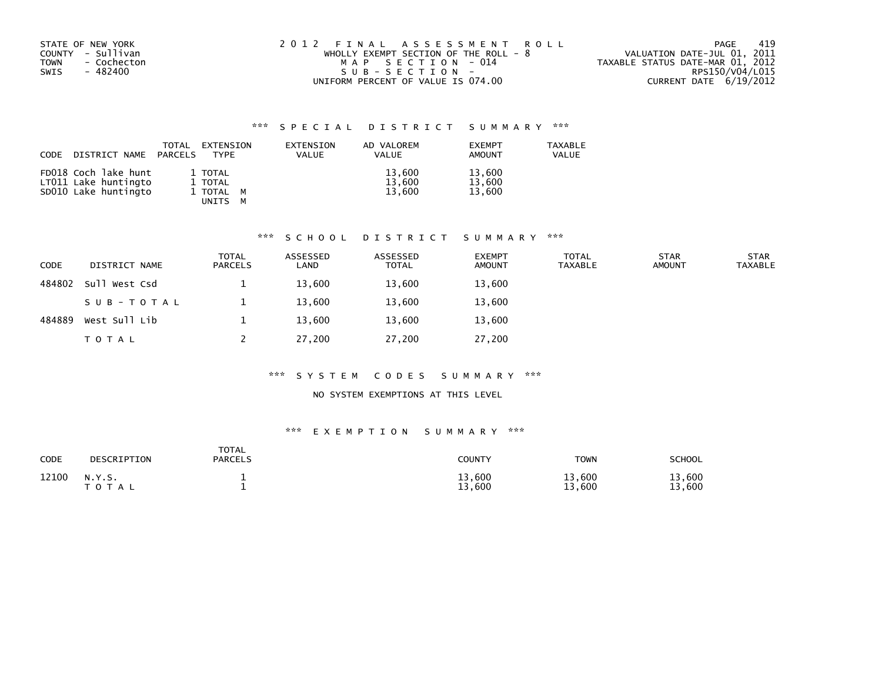| STATE OF NEW YORK<br>COUNTY - Sullivan<br><b>TOWN</b><br>- Cochecton<br>SWIS<br>- 482400 | 2012 FINAL ASSESSMENT ROLL<br>WHOLLY EXEMPT SECTION OF THE ROLL - $8$<br>MAP SECTION - 014<br>SUB-SECTION- | -419<br>PAGE<br>VALUATION DATE-JUL 01, 2011<br>TAXABLE STATUS DATE-MAR 01, 2012<br>RPS150/V04/L015 |
|------------------------------------------------------------------------------------------|------------------------------------------------------------------------------------------------------------|----------------------------------------------------------------------------------------------------|
|                                                                                          | UNIFORM PERCENT OF VALUE IS 074.00                                                                         | CURRENT DATE 6/19/2012                                                                             |

| CODE | DISTRICT NAME                                                        | <b>TOTAL</b><br>PARCELS | EXTENSION<br><b>TYPE</b>                      | EXTENSION<br><b>VALUE</b> | AD VALOREM<br>VALUE        | <b>EXEMPT</b><br>AMOUNT    | <b>TAXABLE</b><br>VALUE |
|------|----------------------------------------------------------------------|-------------------------|-----------------------------------------------|---------------------------|----------------------------|----------------------------|-------------------------|
|      | FD018 Coch lake hunt<br>LT011 Lake huntingto<br>SD010 Lake huntingto |                         | 1 TOTAL<br>1 TOTAL<br>1 TOTAL M<br>UNITS<br>м |                           | 13,600<br>13,600<br>13.600 | 13,600<br>13,600<br>13.600 |                         |

#### \*\*\* S C H O O L D I S T R I C T S U M M A R Y \*\*\*

| <b>CODE</b> | DISTRICT NAME | <b>TOTAL</b><br><b>PARCELS</b> | ASSESSED<br>LAND | ASSESSED<br><b>TOTAL</b> | <b>EXEMPT</b><br><b>AMOUNT</b> | <b>TOTAL</b><br>TAXABLE | <b>STAR</b><br><b>AMOUNT</b> | <b>STAR</b><br><b>TAXABLE</b> |
|-------------|---------------|--------------------------------|------------------|--------------------------|--------------------------------|-------------------------|------------------------------|-------------------------------|
| 484802      | Sull West Csd |                                | 13,600           | 13,600                   | 13,600                         |                         |                              |                               |
|             | SUB-TOTAL     |                                | 13,600           | 13,600                   | 13,600                         |                         |                              |                               |
| 484889      | West Sull Lib |                                | 13,600           | 13,600                   | 13,600                         |                         |                              |                               |
|             | T O T A L     |                                | 27,200           | 27,200                   | 27,200                         |                         |                              |                               |

#### \*\*\* S Y S T E M C O D E S S U M M A R Y \*\*\*

## NO SYSTEM EXEMPTIONS AT THIS LEVEL

| <b>CODE</b> | DESCRIPTION         | TOTAL<br><b>PARCELS</b> | <b>COUNTY</b>    | <b>TOWN</b>      | <b>SCHOOL</b>    |
|-------------|---------------------|-------------------------|------------------|------------------|------------------|
| 12100       | N.Y.S.<br>T O T A L |                         | 13,600<br>13,600 | 13,600<br>13,600 | 13,600<br>13,600 |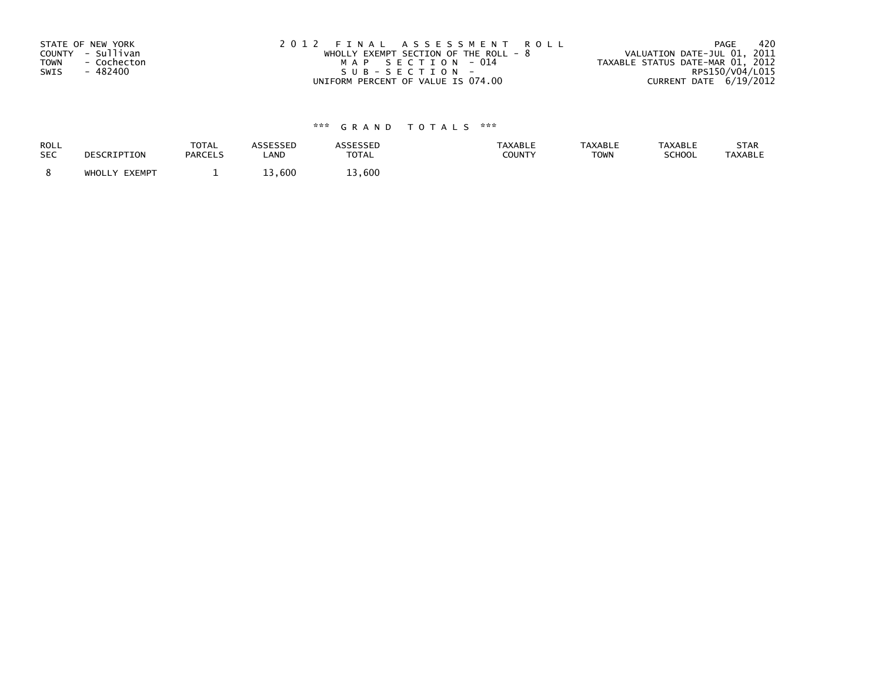| STATE OF NEW YORK          | 2012 FINAL ASSESSMENT ROLL              | - 420<br>PAGE                    |
|----------------------------|-----------------------------------------|----------------------------------|
| COUNTY - Sullivan          | WHOLLY EXEMPT SECTION OF THE ROLL - $8$ | VALUATION DATE-JUL 01, 2011      |
| <b>TOWN</b><br>- Cochecton | MAP SECTION - 014                       | TAXABLE STATUS DATE-MAR 01, 2012 |
| SWIS<br>- 482400           | SUB-SECTION-                            | RPS150/V04/L015                  |
|                            | UNIFORM PERCENT OF VALUE IS 074.00      | CURRENT DATE 6/19/2012           |

| ROLL       | DESCRIPTION   | <b>TOTAL</b>   | ASSESSED | <b>ASSESSED</b> | <b>TAXABLE</b> | <b>TAXABLE</b> | <b>TAXABLE</b> | STAR           |
|------------|---------------|----------------|----------|-----------------|----------------|----------------|----------------|----------------|
| <b>SEC</b> |               | <b>PARCELS</b> | LAND     | <b>TOTAL</b>    | COUNTY         | <b>TOWN</b>    | SCHOOL         | <b>TAXABLE</b> |
|            | WHOLLY EXEMPT |                | 13,600   | 13,600          |                |                |                |                |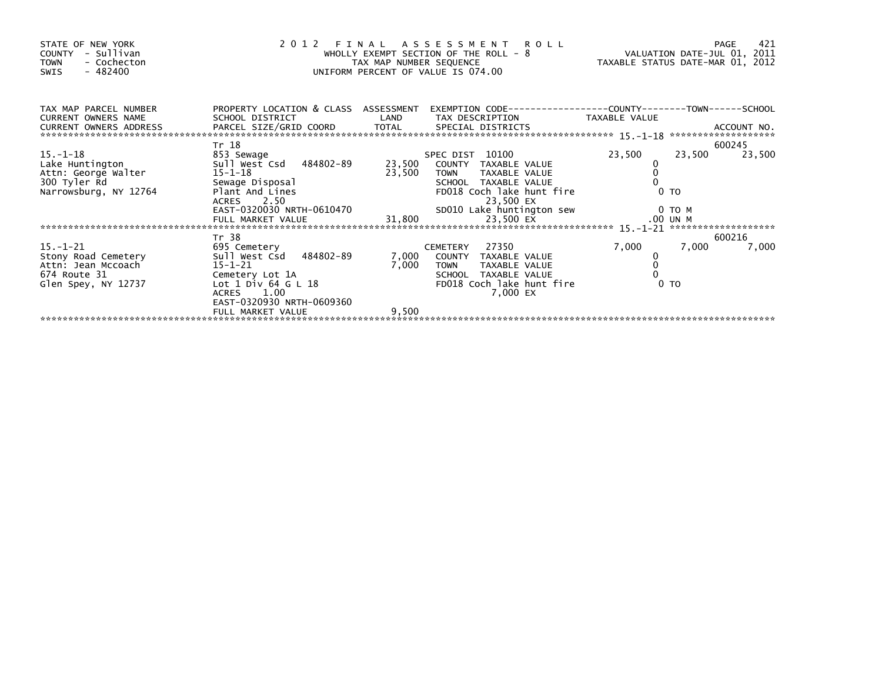| STATE OF NEW YORK<br>COUNTY - Sullivan<br><b>TOWN</b><br>- Cochecton<br>- 482400<br>SWIS                                                                                                                                                     | UNIFORM PERCENT OF VALUE IS 074.00   | 2012 FINAL ASSESSMENT ROLL<br>WHOLLY EXEMPT SECTION OF THE ROLL - 8<br>TAXABLE STATUS DATE-JUL 01, 2011 |                                                                     |                |                  |
|----------------------------------------------------------------------------------------------------------------------------------------------------------------------------------------------------------------------------------------------|--------------------------------------|---------------------------------------------------------------------------------------------------------|---------------------------------------------------------------------|----------------|------------------|
| TAX MAP PARCEL NUMBER<br>CURRENT OWNERS NAME                                                                                                                                                                                                 | PROPERTY LOCATION & CLASS ASSESSMENT |                                                                                                         | EXEMPTION        CODE-----------------COUNTY-------TOWN------SCHOOL |                |                  |
|                                                                                                                                                                                                                                              | Tr 18                                |                                                                                                         |                                                                     |                | 600245           |
| 15. –1–18                                                                                                                                                                                                                                    | 853 Sewage                           |                                                                                                         | SPEC DIST 10100                                                     | 23,500         | 23,500<br>23,500 |
|                                                                                                                                                                                                                                              |                                      |                                                                                                         | 23,500 COUNTY TAXABLE VALUE                                         |                |                  |
|                                                                                                                                                                                                                                              |                                      | 23,500                                                                                                  | <b>TOWN</b><br>TAXABLE VALUE                                        |                |                  |
|                                                                                                                                                                                                                                              |                                      |                                                                                                         |                                                                     |                |                  |
|                                                                                                                                                                                                                                              |                                      |                                                                                                         |                                                                     |                |                  |
|                                                                                                                                                                                                                                              |                                      |                                                                                                         |                                                                     |                |                  |
|                                                                                                                                                                                                                                              |                                      |                                                                                                         |                                                                     |                |                  |
| ATCHO CONTRABLE VALUE<br>300 Tyler Rd<br>Narrowsburg, NY 12764 Plant And Lines<br>ACRES 2.50 EX<br>EAST-0320030 NRTH-0610470 31,800 23,500 EX<br>FULL MARKET VALUE 31,800 23,500 EX<br>PULL MARKET VALUE 31,800 23,500 EX .00 UN M<br>FULL M |                                      |                                                                                                         |                                                                     |                |                  |
|                                                                                                                                                                                                                                              | Tr 38                                |                                                                                                         |                                                                     |                | 600216           |
| $15. - 1 - 21$                                                                                                                                                                                                                               | 695 Cemetery                         |                                                                                                         | CEMETERY 27350                                                      | 7,000          | 7,000<br>7,000   |
| Stony Road Cemetery                                                                                                                                                                                                                          | Sull West Csd 484802-89              |                                                                                                         | 7,000 COUNTY TAXABLE VALUE                                          |                |                  |
| Attn: Jean Mccoach                                                                                                                                                                                                                           | $15 - 1 - 21$                        | 7,000                                                                                                   | TAXABLE VALUE<br><b>TOWN</b>                                        |                |                  |
| 674 Route 31                                                                                                                                                                                                                                 | Cemetery Lot 1A                      |                                                                                                         | SCHOOL TAXABLE VALUE                                                |                |                  |
| Glen Spey, NY 12737                                                                                                                                                                                                                          | Lot $1$ Div 64 G L $18$              |                                                                                                         | FD018 Coch lake hunt fire                                           | 0 <sub>T</sub> |                  |
|                                                                                                                                                                                                                                              | ACRES 1.00                           |                                                                                                         | 7,000 EX                                                            |                |                  |
|                                                                                                                                                                                                                                              | EAST-0320930 NRTH-0609360            |                                                                                                         |                                                                     |                |                  |
|                                                                                                                                                                                                                                              | FULL MARKET VALUE                    | 9,500                                                                                                   |                                                                     |                |                  |
|                                                                                                                                                                                                                                              |                                      |                                                                                                         |                                                                     |                |                  |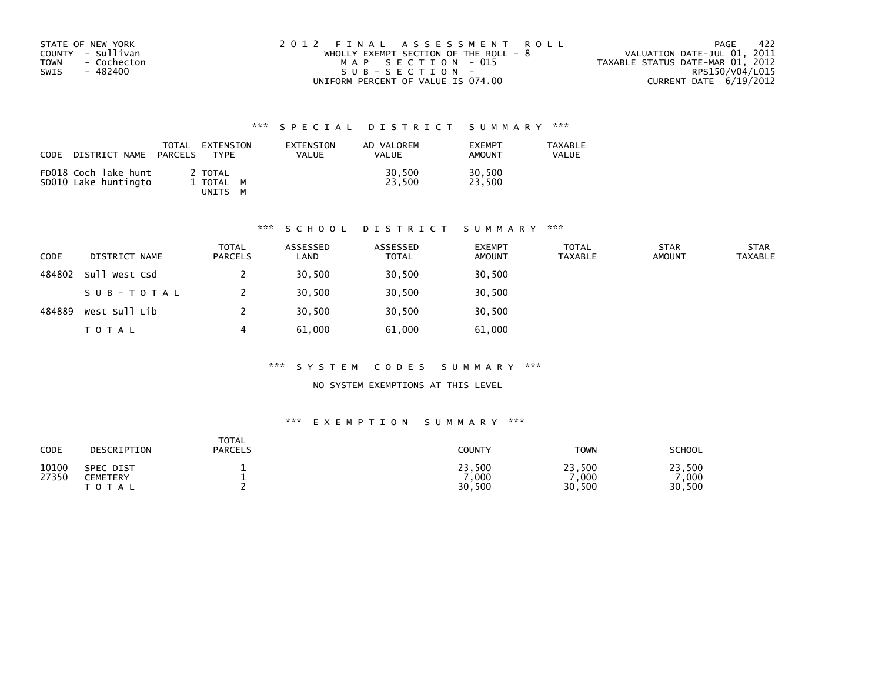| STATE OF NEW YORK   | 2012 FINAL ASSESSMENT ROLL              | - 422<br>PAGE                    |
|---------------------|-----------------------------------------|----------------------------------|
| COUNTY - Sullivan   | WHOLLY EXEMPT SECTION OF THE ROLL - $8$ | VALUATION DATE-JUL 01, 2011      |
| TOWN<br>- Cochecton | MAP SECTION - 015                       | TAXABLE STATUS DATE-MAR 01, 2012 |
| - 482400<br>SWIS    | SUB-SECTION-                            | RPS150/V04/L015                  |
|                     | UNIFORM PERCENT OF VALUE IS 074.00      | CURRENT DATE $6/19/2012$         |

| CODE<br>DISTRICT NAME                        | EXTENSION<br>TOTAL<br>PARCELS<br><b>TYPF</b> | EXTENSION<br><b>VALUE</b> | AD VALOREM<br><b>VALUE</b> | <b>FXFMPT</b><br><b>AMOUNT</b> | <b>TAXABLE</b><br>VALUE |
|----------------------------------------------|----------------------------------------------|---------------------------|----------------------------|--------------------------------|-------------------------|
| FD018 Coch lake hunt<br>SD010 Lake huntingto | 2 TOTAL<br>1 TOTAL M<br>UNITS                |                           | 30,500<br>23.500           | 30,500<br>23.500               |                         |

## \*\*\* S C H O O L D I S T R I C T S U M M A R Y \*\*\*

| <b>CODE</b> | DISTRICT NAME     | TOTAL<br><b>PARCELS</b> | ASSESSED<br>LAND | ASSESSED<br><b>TOTAL</b> | <b>EXEMPT</b><br><b>AMOUNT</b> | <b>TOTAL</b><br><b>TAXABLE</b> | <b>STAR</b><br><b>AMOUNT</b> | <b>STAR</b><br><b>TAXABLE</b> |
|-------------|-------------------|-------------------------|------------------|--------------------------|--------------------------------|--------------------------------|------------------------------|-------------------------------|
| 484802      | Sull West Csd     |                         | 30,500           | 30,500                   | 30,500                         |                                |                              |                               |
|             | S U B - T O T A L |                         | 30,500           | 30,500                   | 30,500                         |                                |                              |                               |
| 484889      | West Sull Lib     |                         | 30,500           | 30,500                   | 30,500                         |                                |                              |                               |
|             | T O T A L         | 4                       | 61,000           | 61,000                   | 61,000                         |                                |                              |                               |

#### \*\*\* S Y S T E M C O D E S S U M M A R Y \*\*\*

## NO SYSTEM EXEMPTIONS AT THIS LEVEL

| <b>CODE</b>    | DESCRIPTION                               | <b>TOTAL</b><br><b>PARCELS</b> | <b>COUNTY</b>            | <b>TOWN</b>              | SCHOOL                   |
|----------------|-------------------------------------------|--------------------------------|--------------------------|--------------------------|--------------------------|
| 10100<br>27350 | <b>SPEC DIST</b><br>CEMETERY<br>T O T A L |                                | 23,500<br>,000<br>30,500 | 23,500<br>,000<br>30,500 | 23,500<br>,000<br>30,500 |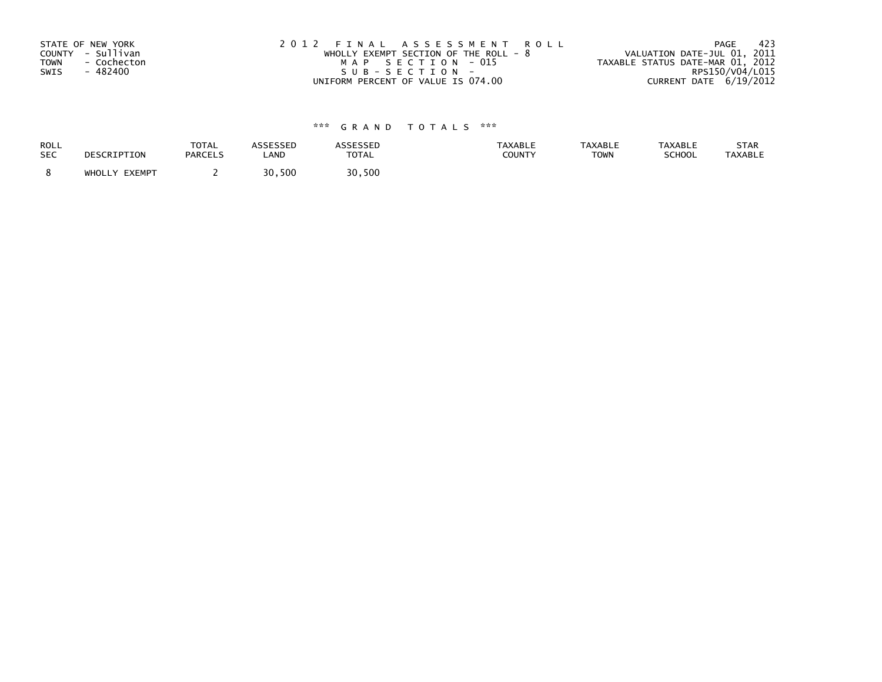| STATE OF NEW YORK          | 2012 FINAL ASSESSMENT ROLL             | - 423<br>PAGE                    |
|----------------------------|----------------------------------------|----------------------------------|
| COUNTY - Sullivan          | WHOLLY EXEMPT SECTION OF THE ROLL $-8$ | VALUATION DATE-JUL 01, 2011      |
| <b>TOWN</b><br>- Cochecton | MAP SECTION - 015                      | TAXABLE STATUS DATE-MAR 01, 2012 |
| SWIS<br>- 482400           | SUB-SECTION-                           | RPS150/V04/L015                  |
|                            | UNIFORM PERCENT OF VALUE IS 074.00     | CURRENT DATE 6/19/2012           |

| ROLL       | DESCRIPTION   | <b>TOTAL</b>   | ASSESSED | <b>ASSESSED</b> | <b>TAXABLE</b> | <b>TAXABLE</b> | <b>TAXABLE</b> | STAR           |
|------------|---------------|----------------|----------|-----------------|----------------|----------------|----------------|----------------|
| <b>SEC</b> |               | <b>PARCELS</b> | LAND     | <b>TOTAL</b>    | COUNTY         | <b>TOWN</b>    | SCHOOL         | <b>TAXABLE</b> |
|            | WHOLLY EXEMPT |                | 30,500   | 30,500          |                |                |                |                |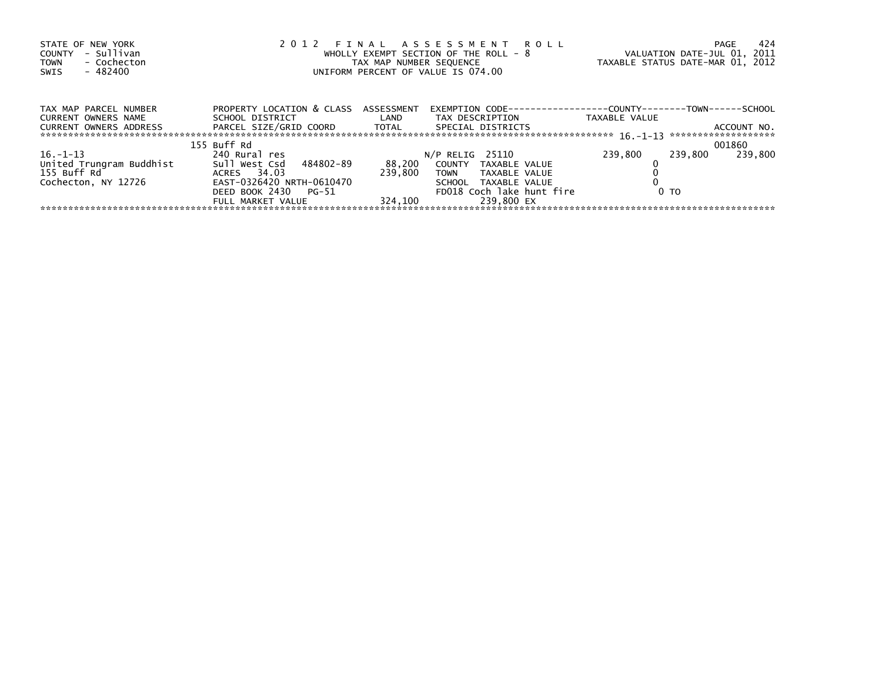| STATE OF NEW YORK<br>- Sullivan<br>COUNTY<br>- Cochecton<br><b>TOWN</b><br>- 482400<br>SWIS | 2012 FINAL ASSESSMENT ROLL<br>WHOLLY EXEMPT SECTION OF THE ROLL - 8<br>TAX MAP NUMBER SEQUENCE<br>UNIFORM PERCENT OF VALUE IS 074.00 |                   |                                                                      | -424<br>PAGE<br>VALUATION DATE-JUL 01, 2011<br>TAXABLE STATUS DATE-MAR 01, 2012 |                    |  |
|---------------------------------------------------------------------------------------------|--------------------------------------------------------------------------------------------------------------------------------------|-------------------|----------------------------------------------------------------------|---------------------------------------------------------------------------------|--------------------|--|
|                                                                                             |                                                                                                                                      |                   |                                                                      |                                                                                 |                    |  |
| TAX MAP PARCEL NUMBER                                                                       | PROPERTY LOCATION & CLASS ASSESSMENT                                                                                                 |                   | EXEMPTION        CODE-----------------COUNTY--------TOWN------SCHOOL |                                                                                 |                    |  |
| CURRENT OWNERS NAME                                                                         | SCHOOL DISTRICT                                                                                                                      | <b>Example 12</b> | TAX DESCRIPTION                                                      | TAXABLE VALUE                                                                   |                    |  |
| CURRENT OWNERS ADDRESS                                                                      |                                                                                                                                      |                   | SPECIAL DISTRICTS                                                    |                                                                                 | ACCOUNT NO.        |  |
|                                                                                             | 155 Buff Rd                                                                                                                          |                   |                                                                      |                                                                                 | 001860             |  |
| $16. - 1 - 13$                                                                              | 240 Rural res                                                                                                                        |                   | $N/P$ RELIG 25110                                                    | 239,800                                                                         | 239,800<br>239.800 |  |
| United Trungram Buddhist                                                                    | Sull West Csd 484802-89                                                                                                              | 88,200            | COUNTY TAXABLE VALUE                                                 |                                                                                 |                    |  |
| 155 Buff Rd <sup>o</sup>                                                                    | ACRES 34.03                                                                                                                          | 239.800           | TOWN<br>TAXABLE VALUE                                                |                                                                                 |                    |  |
| Cochecton, NY 12726                                                                         | EAST-0326420 NRTH-0610470                                                                                                            |                   | SCHOOL TAXABLE VALUE                                                 |                                                                                 |                    |  |
|                                                                                             | DEED BOOK 2430<br>PG-51                                                                                                              |                   | FD018 Coch lake hunt fire                                            | 0 <sub>T</sub>                                                                  |                    |  |
|                                                                                             | FULL MARKET VALUE                                                                                                                    | 324.100           | 239.800 EX                                                           |                                                                                 |                    |  |
|                                                                                             |                                                                                                                                      |                   |                                                                      |                                                                                 |                    |  |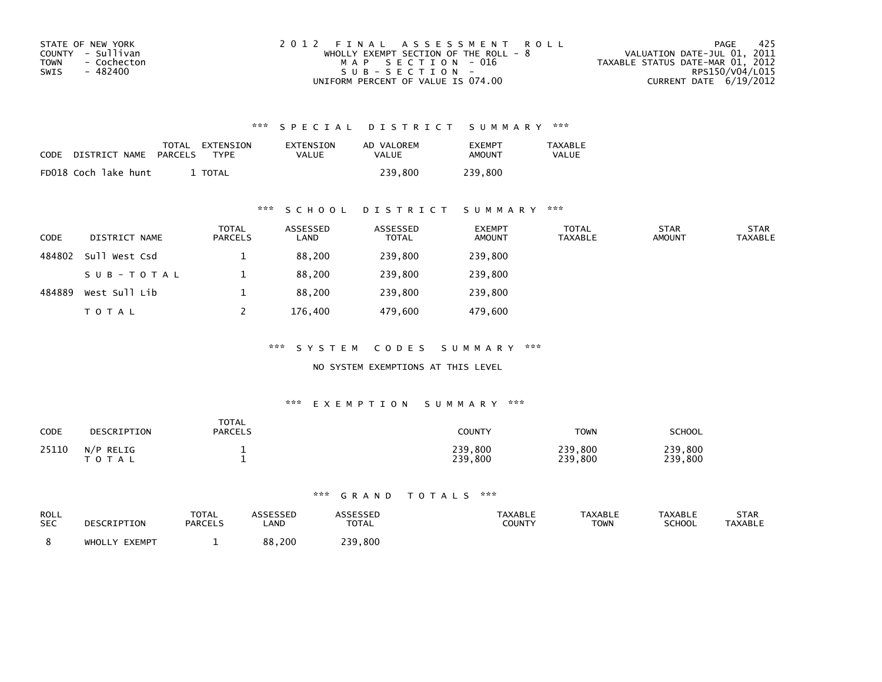| STATE OF NEW YORK   | 2012 FINAL ASSESSMENT ROLL            | -425<br>PAGE                     |
|---------------------|---------------------------------------|----------------------------------|
| COUNTY - Sullivan   | WHOLLY EXEMPT SECTION OF THE ROLL - 8 | VALUATION DATE-JUL 01, 2011      |
| TOWN<br>- Cochecton | MAP SECTION - 016                     | TAXABLE STATUS DATE-MAR 01, 2012 |
| - 482400<br>SWIS    | $SUB - SECTION -$                     | RPS150/V04/L015                  |
|                     | UNIFORM PERCENT OF VALUE IS 074.00    | CURRENT DATE 6/19/2012           |

| <b>CODE</b> | DISTRICT NAME        | TOTAL<br>PARCELS | EXTENSION<br>TYPF | EXTENSION<br>VALUE | AD VALOREM<br>VALUE | <b>EXEMPT</b><br>AMOUNT | TAXABLE<br><b>VALUE</b> |
|-------------|----------------------|------------------|-------------------|--------------------|---------------------|-------------------------|-------------------------|
|             | FD018 Coch lake hunt |                  | TOTAL             |                    | 239.800             | 239,800                 |                         |

## \*\*\* S C H O O L D I S T R I C T S U M M A R Y \*\*\*

| <b>CODE</b> | DISTRICT NAME | <b>TOTAL</b><br>PARCELS | ASSESSED<br>LAND | ASSESSED<br><b>TOTAL</b> | <b>EXEMPT</b><br><b>AMOUNT</b> | <b>TOTAL</b><br><b>TAXABLE</b> | <b>STAR</b><br><b>AMOUNT</b> | <b>STAR</b><br><b>TAXABLE</b> |
|-------------|---------------|-------------------------|------------------|--------------------------|--------------------------------|--------------------------------|------------------------------|-------------------------------|
| 484802      | Sull West Csd |                         | 88,200           | 239,800                  | 239,800                        |                                |                              |                               |
|             | SUB-TOTAL     |                         | 88,200           | 239,800                  | 239,800                        |                                |                              |                               |
| 484889      | West Sull Lib |                         | 88.200           | 239,800                  | 239,800                        |                                |                              |                               |
|             | <b>TOTAL</b>  |                         | 176,400          | 479,600                  | 479,600                        |                                |                              |                               |

\*\*\* S Y S T E M C O D E S S U M M A R Y \*\*\*

NO SYSTEM EXEMPTIONS AT THIS LEVEL

#### \*\*\* E X E M P T I O N S U M M A R Y \*\*\*

| <b>CODE</b> | DESCRIPTION               | <b>TOTAL</b><br><b>PARCELS</b> | <b>COUNTY</b>      | <b>TOWN</b>        | <b>SCHOOL</b>      |
|-------------|---------------------------|--------------------------------|--------------------|--------------------|--------------------|
| 25110       | N/P RELIG<br><b>TOTAL</b> |                                | 239,800<br>239,800 | 239,800<br>239,800 | 239,800<br>239,800 |

| ROLL<br><b>SEC</b> | DESCRIPTION   | <b>TOTAL</b><br><b>PARCELS</b> | ASSESSEP<br>LAND | <b>\SSESSED</b><br><b>TOTAL</b> | <b>TAXABLE</b><br>COUNTY | <b>TAXABLE</b><br>TOWN | <b>TAXABLE</b><br><b>SCHOOL</b> | <b>STAR</b><br><b>TAXABLE</b> |
|--------------------|---------------|--------------------------------|------------------|---------------------------------|--------------------------|------------------------|---------------------------------|-------------------------------|
|                    | WHOLLY EXEMPT |                                | 88,200           | 239,800                         |                          |                        |                                 |                               |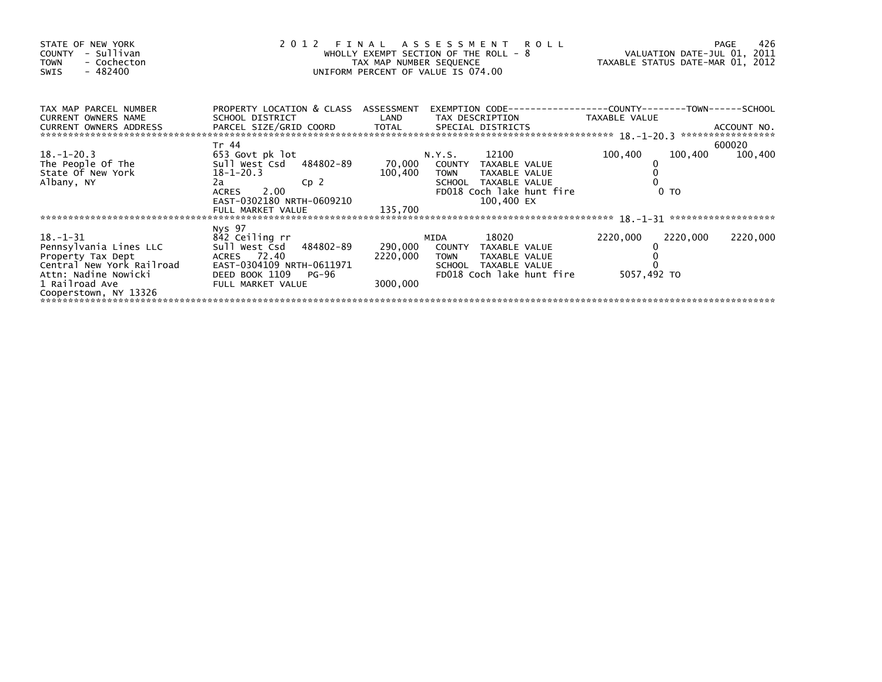| STATE OF NEW YORK<br>- Sullivan<br><b>COUNTY</b><br>- Cochecton<br><b>TOWN</b><br>$-482400$<br>SWIS | 2 0 1 2                                                 | FINAL<br>TAX MAP NUMBER SEQUENCE | A S S E S S M E N T<br>R O L L<br>WHOLLY EXEMPT SECTION OF THE ROLL - 8<br>UNIFORM PERCENT OF VALUE IS 074.00 | VALUATION DATE-JUL 01, 2011<br>TAXABLE STATUS DATE-MAR 01, 2012 | 426<br><b>PAGE</b> |
|-----------------------------------------------------------------------------------------------------|---------------------------------------------------------|----------------------------------|---------------------------------------------------------------------------------------------------------------|-----------------------------------------------------------------|--------------------|
| TAX MAP PARCEL NUMBER<br>CURRENT OWNERS NAME                                                        | PROPERTY LOCATION & CLASS ASSESSMENT<br>SCHOOL DISTRICT | LAND                             | TAX DESCRIPTION                                                                                               | TAXABLE VALUE                                                   |                    |
|                                                                                                     | Tr 44                                                   |                                  |                                                                                                               |                                                                 | 600020             |
| $18. - 1 - 20.3$                                                                                    | 653 Govt pk lot                                         |                                  | 12100<br>N.Y.S.                                                                                               | 100,400<br>100,400                                              | 100,400            |
| The People Of The                                                                                   | Sull West Csd 484802-89                                 | 70,000                           | COUNTY<br>TAXABLE VALUE                                                                                       |                                                                 |                    |
| State Of New York                                                                                   | $18 - 1 - 20.3$                                         | 100,400                          | <b>TOWN</b><br>TAXABLE VALUE                                                                                  |                                                                 |                    |
| Albany, NY                                                                                          | 2a<br>Cp <sub>2</sub><br>2.00<br>ACRES                  |                                  | SCHOOL TAXABLE VALUE<br>FD018 Coch lake hunt fire                                                             | 0 <sub>T</sub>                                                  |                    |
|                                                                                                     | EAST-0302180 NRTH-0609210                               |                                  | 100,400 EX                                                                                                    |                                                                 |                    |
|                                                                                                     | FULL MARKET VALUE                                       | 135,700                          |                                                                                                               |                                                                 |                    |
|                                                                                                     |                                                         |                                  |                                                                                                               |                                                                 |                    |
|                                                                                                     | Nys 97                                                  |                                  |                                                                                                               |                                                                 |                    |
| $18. - 1 - 31$                                                                                      | 842 Ceiling rr                                          |                                  | 18020<br>MIDA                                                                                                 | 2220,000<br>2220,000                                            | 2220,000           |
| Pennsylvania Lines LLC                                                                              | Sull West Csd 484802-89                                 | 290,000                          | COUNTY TAXABLE VALUE                                                                                          |                                                                 |                    |
| Property Tax Dept                                                                                   | ACRES 72.40                                             | 2220,000                         | TAXABLE VALUE<br><b>TOWN</b>                                                                                  |                                                                 |                    |
| Central New York Railroad                                                                           | EAST-0304109 NRTH-0611971                               |                                  | TAXABLE VALUE<br>SCHOOL                                                                                       |                                                                 |                    |
| Attn: Nadine Nowicki                                                                                | DEED BOOK 1109<br>PG-96                                 |                                  | FD018 Coch lake hunt fire                                                                                     | 5057,492 TO                                                     |                    |
| 1 Railroad Ave                                                                                      | FULL MARKET VALUE                                       | 3000,000                         |                                                                                                               |                                                                 |                    |
| Cooperstown, NY 13326                                                                               |                                                         |                                  |                                                                                                               |                                                                 |                    |
|                                                                                                     |                                                         |                                  |                                                                                                               |                                                                 |                    |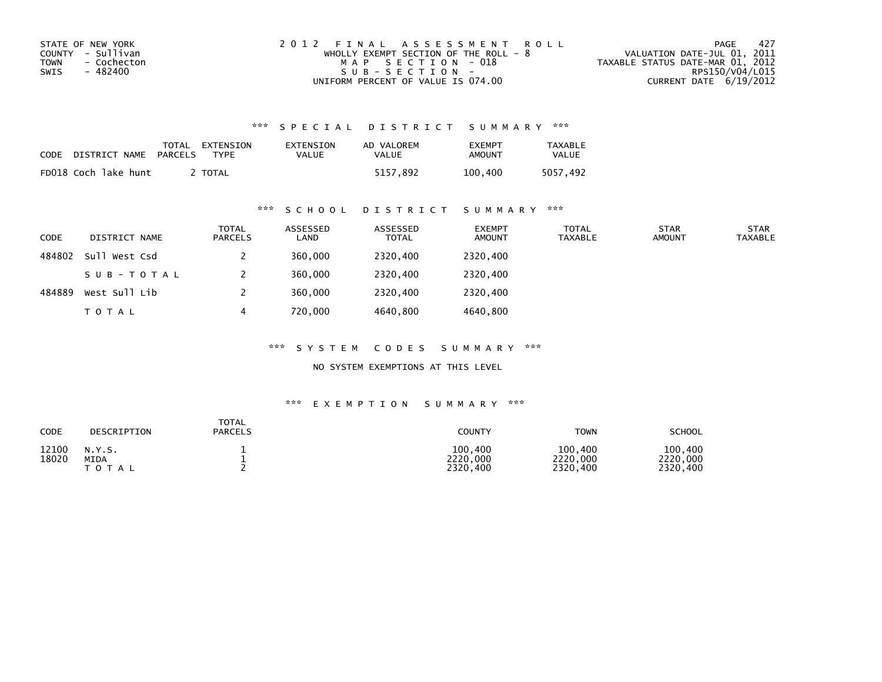| STATE OF NEW YORK   | 2012 FINAL ASSESSMENT ROLL            | -427<br>PAGE                     |
|---------------------|---------------------------------------|----------------------------------|
| COUNTY - Sullivan   | WHOLLY EXEMPT SECTION OF THE ROLL - 8 | VALUATION DATE-JUL 01, 2011      |
| TOWN<br>- Cochecton | MAP SECTION - 018                     | TAXABLE STATUS DATE-MAR 01, 2012 |
| - 482400<br>SWIS    | $SUB - SECTION -$                     | RPS150/V04/L015                  |
|                     | UNIFORM PERCENT OF VALUE IS 074.00    | CURRENT DATE 6/19/2012           |

| CODE | DISTRICT NAME        | TOTAL<br>PARCELS | EXTENSION<br><b>TYPF</b> | <b>EXTENSION</b><br>VALUE | AD VALOREM<br>VALUE | <b>EXEMPT</b><br>AMOUNT | <b>TAXABLE</b><br><b>VALUE</b> |
|------|----------------------|------------------|--------------------------|---------------------------|---------------------|-------------------------|--------------------------------|
|      | FD018 Coch lake hunt |                  | <b>TOTAL</b>             |                           | 5157.892            | 100.400                 | 5057.492                       |

## \*\*\* S C H O O L D I S T R I C T S U M M A R Y \*\*\*

| <b>CODE</b> | DISTRICT NAME | <b>TOTAL</b><br>PARCELS | ASSESSED<br>LAND | ASSESSED<br><b>TOTAL</b> | <b>EXEMPT</b><br><b>AMOUNT</b> | <b>TOTAL</b><br><b>TAXABLE</b> | <b>STAR</b><br><b>AMOUNT</b> | <b>STAR</b><br><b>TAXABLE</b> |
|-------------|---------------|-------------------------|------------------|--------------------------|--------------------------------|--------------------------------|------------------------------|-------------------------------|
| 484802      | Sull West Csd |                         | 360,000          | 2320,400                 | 2320,400                       |                                |                              |                               |
|             | SUB-TOTAL     |                         | 360,000          | 2320,400                 | 2320.400                       |                                |                              |                               |
| 484889      | West Sull Lib |                         | 360,000          | 2320,400                 | 2320,400                       |                                |                              |                               |
|             | <b>TOTAL</b>  |                         | 720,000          | 4640,800                 | 4640,800                       |                                |                              |                               |

\*\*\* S Y S T E M C O D E S S U M M A R Y \*\*\*

NO SYSTEM EXEMPTIONS AT THIS LEVEL

| <b>CODE</b>    | DESCRIPTION             | <b>TOTAL</b><br><b>PARCELS</b> | <b>COUNTY</b>                   | <b>TOWN</b>                     | <b>SCHOOL</b>                   |
|----------------|-------------------------|--------------------------------|---------------------------------|---------------------------------|---------------------------------|
| 12100<br>18020 | N.Y.S.<br>MIDA<br>TOTAL |                                | 100.400<br>2220,000<br>2320,400 | 100,400<br>2220,000<br>2320,400 | 100,400<br>2220,000<br>2320,400 |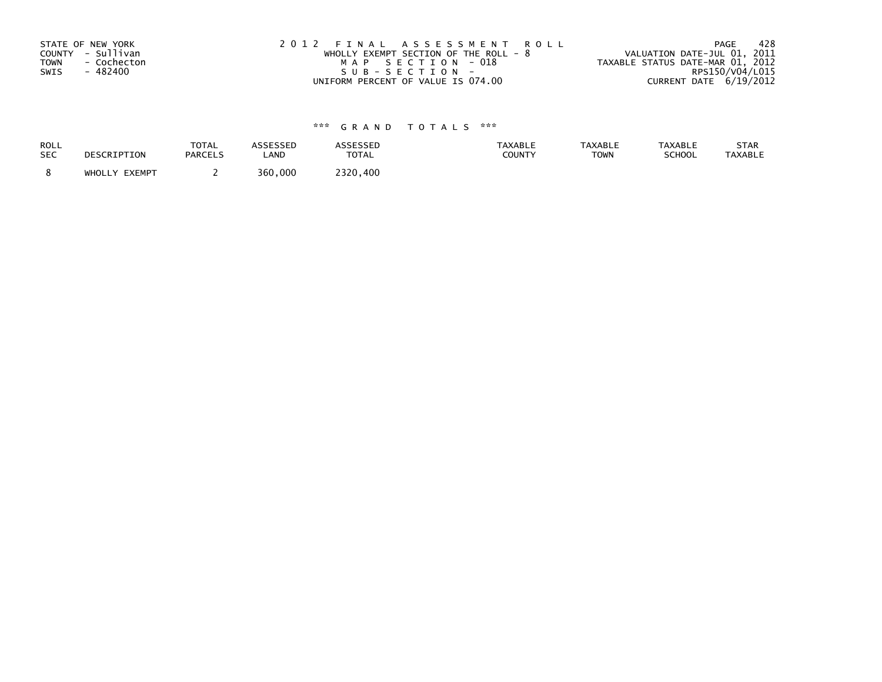| STATE OF NEW YORK          | 2012 FINAL ASSESSMENT ROLL             | -428<br>PAGE                     |
|----------------------------|----------------------------------------|----------------------------------|
| COUNTY - Sullivan          | WHOLLY EXEMPT SECTION OF THE ROLL $-8$ | VALUATION DATE-JUL 01, 2011      |
| <b>TOWN</b><br>- Cochecton | MAP SECTION - 018                      | TAXABLE STATUS DATE-MAR 01, 2012 |
| SWIS<br>- 482400           | SUB-SECTION-                           | RPS150/V04/L015                  |
|                            | UNIFORM PERCENT OF VALUE IS 074.00     | CURRENT DATE 6/19/2012           |

| ROLL       | DESCRIPTION   | <b>TOTAL</b>   | ASSESSED | <b>ASSESSED</b> | <b>TAXABLE</b> | <b>TAXABLE</b> | <b>TAXABLE</b> | STAR           |
|------------|---------------|----------------|----------|-----------------|----------------|----------------|----------------|----------------|
| <b>SEC</b> |               | <b>PARCELS</b> | LAND     | <b>TOTAL</b>    | COUNTY         | <b>TOWN</b>    | SCHOOL         | <b>TAXABLE</b> |
|            | WHOLLY EXEMPT |                | 360,000  | 2320.400        |                |                |                |                |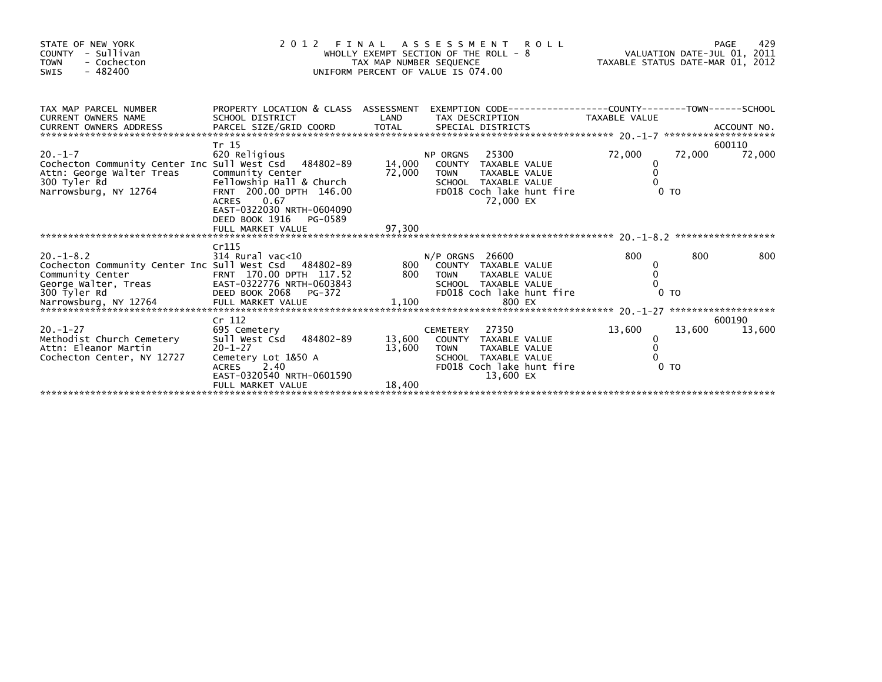| STATE OF NEW YORK<br>COUNTY - Sullivan<br><b>TOWN</b><br>- Cochecton<br>$-482400$<br>SWIS                                                                                                                                                                                                                                  |                                                                                                                                                                                             |                            | 2012 FINAL ASSESSMENT ROLL<br>WHOLLY EXEMPT SECTION OF THE ROLL - 8 VALUATION DATE-JUL 01, 2011<br>TAX MAP NUMBER SEQUENCE<br>UNIFORM PERCENT OF VALUE IS 074.00 |                                              |        |                  |
|----------------------------------------------------------------------------------------------------------------------------------------------------------------------------------------------------------------------------------------------------------------------------------------------------------------------------|---------------------------------------------------------------------------------------------------------------------------------------------------------------------------------------------|----------------------------|------------------------------------------------------------------------------------------------------------------------------------------------------------------|----------------------------------------------|--------|------------------|
| TAX MAP PARCEL NUMBER<br><b>CURRENT OWNERS NAME</b>                                                                                                                                                                                                                                                                        | SCHOOL DISTRICT                                                                                                                                                                             | LAND                       | PROPERTY LOCATION & CLASS ASSESSMENT EXEMPTION CODE---------------COUNTY-------TOWN------SCHOOL<br>TAX DESCRIPTION TAXABLE VALUE                                 |                                              |        |                  |
| $20 - 1 - 7$<br>Cochecton Community Center Inc Sull West Csd 484802-89<br>Attn: George Walter Treas<br>300 Tyler Rd<br>Narrowsburg, NY 12764                                                                                                                                                                               | Tr 15<br>620 Religious<br>Community Center<br>Fellowship Hall & Church<br>FRNT 200.00 DPTH 146.00<br>ACRES 0.67<br>EAST-0322030 NRTH-0604090<br>DEED BOOK 1916 PG-0589<br>FULL MARKET VALUE | 14,000<br>72,000<br>97,300 | 25300<br>NP ORGNS<br>COUNTY TAXABLE VALUE<br>TAXABLE VALUE<br><b>TOWN</b><br>SCHOOL TAXABLE VALUE<br>FD018 Coch lake hunt fire<br>72,000 EX                      | 72,000<br>0<br>0<br>0 <sub>T</sub>           | 72,000 | 600110<br>72,000 |
| $20. -1 - 8.2$<br>Cochecton Community Center Inc Sull West Csd 484802-89 800<br>Community Center<br>Community Center<br>Community Center<br>EAST-0322776 NRTH-0603843<br>DEED BOOK 2068 PG-372 FULL MARKET VALUE<br>Narrowsburg, NY 12764 FULL MARKET VALUE 71,100<br>Narrowsburg, NY 12764 FULL MARKET VALUE 71,100 800 E | Cr115<br>314 Rural vac<10                                                                                                                                                                   |                            | $N/P$ ORGNS 26600<br>COUNTY TAXABLE VALUE                                                                                                                        | 800<br>0                                     | 800    | 800              |
| $20. - 1 - 27$<br>Methodist Church Cemetery<br>Attn: Eleanor Martin<br>Cochecton Center, NY 12727                                                                                                                                                                                                                          | Cr 112<br>695 Cemetery<br>Sull West Csd 484802-89<br>$20 - 1 - 27$<br>Cemetery Lot 1&50 A<br>ACRES 2.40<br>EAST-0320540 NRTH-0601590<br>FULL MARKET VALUE                                   | 13,600<br>13,600<br>18,400 | 27350<br><b>CEMETERY</b><br>COUNTY TAXABLE VALUE<br>TAXABLE VALUE<br><b>TOWN</b><br>SCHOOL TAXABLE VALUE<br>FD018 Coch lake hunt fire<br>13,600 EX               | 13,600<br>0<br>$\mathbf 0$<br>0 <sub>T</sub> | 13,600 | 600190<br>13,600 |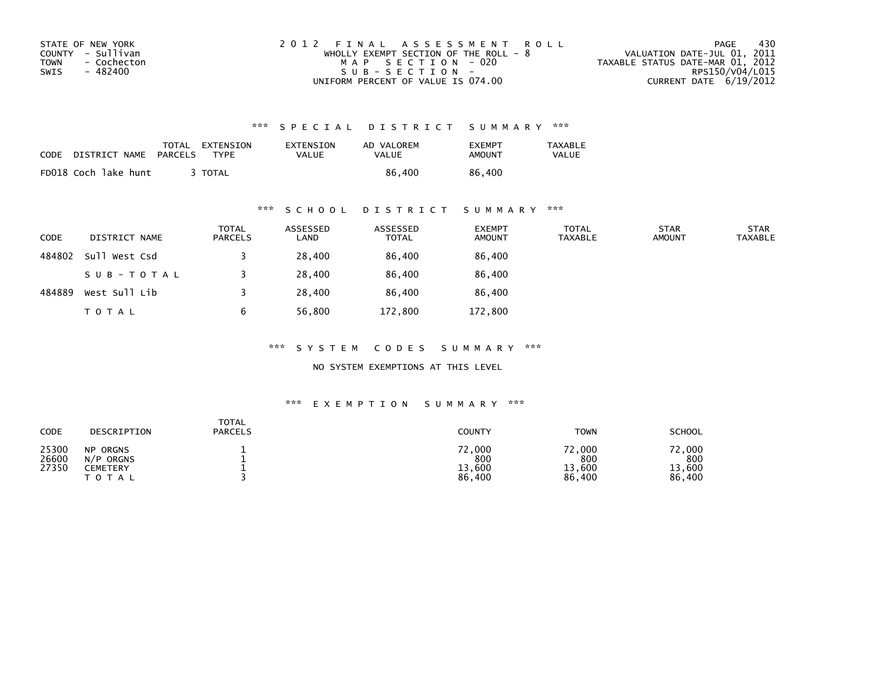| STATE OF NEW YORK   | 2012 FINAL ASSESSMENT ROLL              | - 430<br>PAGE                    |
|---------------------|-----------------------------------------|----------------------------------|
| COUNTY - Sullivan   | WHOLLY EXEMPT SECTION OF THE ROLL - $8$ | VALUATION DATE-JUL 01, 2011      |
| TOWN<br>- Cochecton | MAP SECTION - 020                       | TAXABLE STATUS DATE-MAR 01, 2012 |
| - 482400<br>SWIS    | SUB-SECTION-                            | RPS150/V04/L015                  |
|                     | UNIFORM PERCENT OF VALUE IS 074.00      | CURRENT DATE $6/19/2012$         |

| CODE | DISTRICT NAME        | TOTAL<br>PARCELS | EXTENSION<br><b>TYPF</b> | EXTENSION<br>VALUE | AD VALOREM<br>VALUE | <b>EXEMPT</b><br>AMOUNT | TAXABLE<br>VALUE |
|------|----------------------|------------------|--------------------------|--------------------|---------------------|-------------------------|------------------|
|      | FD018 Coch lake hunt |                  | TOTAL                    |                    | 86,400              | 86,400                  |                  |

## \*\*\* S C H O O L D I S T R I C T S U M M A R Y \*\*\*

| CODE   | DISTRICT NAME | <b>TOTAL</b><br>PARCELS | ASSESSED<br>LAND | ASSESSED<br><b>TOTAL</b> | <b>EXEMPT</b><br><b>AMOUNT</b> | <b>TOTAL</b><br><b>TAXABLE</b> | <b>STAR</b><br><b>AMOUNT</b> | <b>STAR</b><br><b>TAXABLE</b> |
|--------|---------------|-------------------------|------------------|--------------------------|--------------------------------|--------------------------------|------------------------------|-------------------------------|
| 484802 | Sull West Csd |                         | 28,400           | 86,400                   | 86,400                         |                                |                              |                               |
|        | SUB-TOTAL     |                         | 28,400           | 86,400                   | 86,400                         |                                |                              |                               |
| 484889 | West Sull Lib |                         | 28,400           | 86.400                   | 86,400                         |                                |                              |                               |
|        | <b>TOTAL</b>  | b                       | 56,800           | 172,800                  | 172,800                        |                                |                              |                               |

\*\*\* S Y S T E M C O D E S S U M M A R Y \*\*\*

NO SYSTEM EXEMPTIONS AT THIS LEVEL

| CODE                    | DESCRIPTION                                                    | TOTAL<br><b>PARCELS</b> | <b>COUNTY</b>                     | <b>TOWN</b>                       | <b>SCHOOL</b>                     |
|-------------------------|----------------------------------------------------------------|-------------------------|-----------------------------------|-----------------------------------|-----------------------------------|
| 25300<br>26600<br>27350 | <b>NP ORGNS</b><br>$N/P$ ORGNS<br><b>CEMETERY</b><br>T O T A L |                         | 72,000<br>800<br>13,600<br>86,400 | 72,000<br>800<br>13,600<br>86,400 | 72,000<br>800<br>13,600<br>86,400 |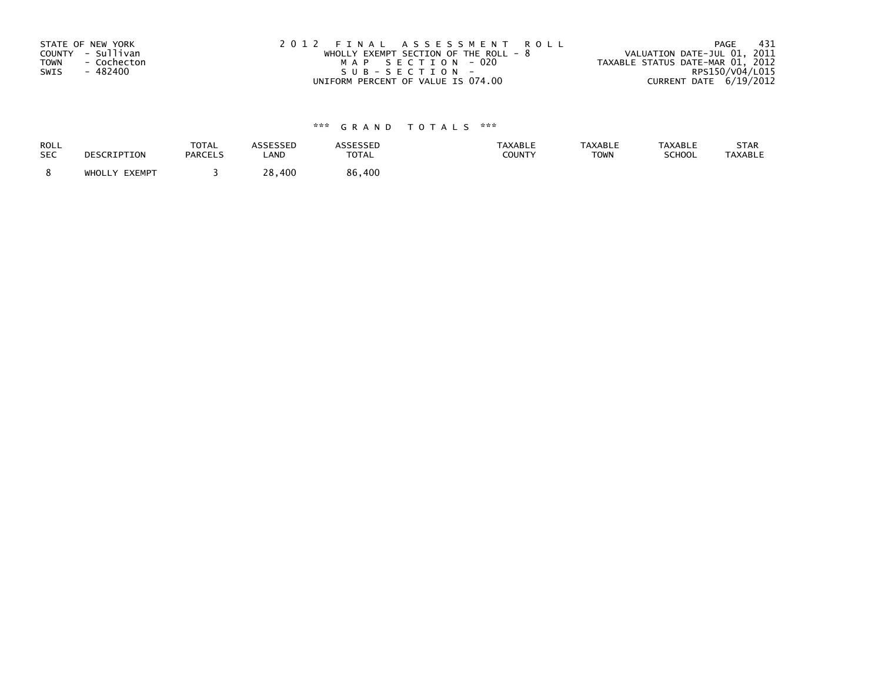| STATE OF NEW YORK          | 2012 FINAL ASSESSMENT ROLL              | - 431<br>PAGE                    |
|----------------------------|-----------------------------------------|----------------------------------|
| COUNTY - Sullivan          | WHOLLY EXEMPT SECTION OF THE ROLL - $8$ | VALUATION DATE-JUL 01, 2011      |
| <b>TOWN</b><br>- Cochecton | MAP SECTION - 020                       | TAXABLE STATUS DATE-MAR 01, 2012 |
| SWIS<br>- 482400           | SUB-SECTION-                            | RPS150/V04/L015                  |
|                            | UNIFORM PERCENT OF VALUE IS 074.00      | CURRENT DATE 6/19/2012           |

| <b>ROLL</b> | DESCRIPTION   | <b>TOTAL</b>   | <b>ASSESSED</b> | <b>ASSESSED</b> | <b>TAXABLE</b> | <b>TAXABLE</b> | <b>TAXABLE</b> | STAR           |
|-------------|---------------|----------------|-----------------|-----------------|----------------|----------------|----------------|----------------|
| <b>SEC</b>  |               | <b>PARCELS</b> | LAND            | <b>TOTAL</b>    | <b>COUNTY</b>  | <b>TOWN</b>    | SCHOOL         | <b>TAXABLE</b> |
|             | WHOLLY EXEMPT |                | 28,400          | 86,400          |                |                |                |                |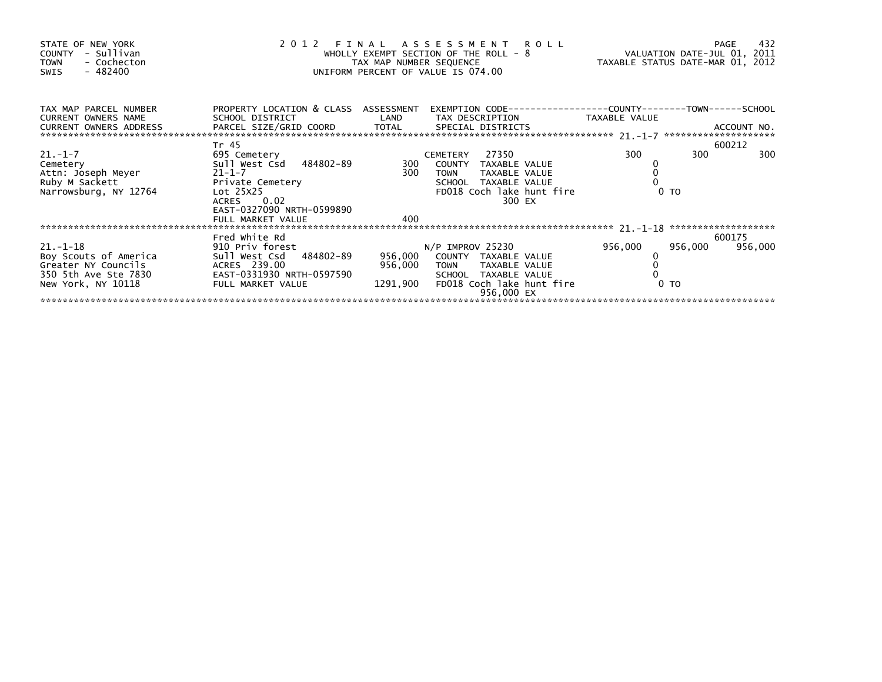| STATE OF NEW YORK<br>COUNTY - Sullivan<br>- Cochecton<br><b>TOWN</b><br>$-482400$<br>SWIS                   | 2012 FINAL ASSESSMENT ROLL<br>WHOLLY EXEMPT SECTION OF THE ROLL - 8<br>TAX MAP NUMBER SEQUENCE<br>UNIFORM PERCENT OF VALUE IS 074.00                        |                    |                                                                                                                              |                                                      | 432<br>PAGE<br>VALUATION DATE-JUL 01, 2011<br>TAXABLE STATUS DATE-MAR 01, 2012                |                           |                   |
|-------------------------------------------------------------------------------------------------------------|-------------------------------------------------------------------------------------------------------------------------------------------------------------|--------------------|------------------------------------------------------------------------------------------------------------------------------|------------------------------------------------------|-----------------------------------------------------------------------------------------------|---------------------------|-------------------|
| TAX MAP PARCEL NUMBER<br>CURRENT OWNERS NAME                                                                | PROPERTY LOCATION & CLASS ASSESSMENT<br>SCHOOL DISTRICT                                                                                                     | LAND               |                                                                                                                              |                                                      | EXEMPTION CODE-----------------COUNTY-------TOWN------SCHOOL<br>TAX DESCRIPTION TAXABLE VALUE |                           |                   |
| $21. - 1 - 7$<br>21.-1-7<br>Cemetery<br>Attn: Joseph Meyer<br>Ruby M Sackett<br>Narrowsburg, NY 12764       | Tr 45<br>695 Cemetery<br>Sull West Csd 484802-89<br>21-1-7<br>Private Cemetery<br>Lot 25X25<br>ACRES 0.02<br>EAST-0327090 NRTH-0599890<br>FULL MARKET VALUE | 300<br>300<br>400  | 27350<br>CEMETERY<br>COUNTY TAXABLE VALUE<br><b>TOWN</b><br>SCHOOL TAXABLE VALUE                                             | TAXABLE VALUE<br>FD018 Coch lake hunt fire<br>300 EX | 300                                                                                           | 300<br>0 <sub>T</sub>     | 600212<br>300     |
|                                                                                                             |                                                                                                                                                             |                    |                                                                                                                              |                                                      |                                                                                               |                           |                   |
| $21 - 1 - 18$<br>Boy Scouts of America<br>Greater NY Councils<br>350 5th Ave Ste 7830<br>New York, NY 10118 | Fred White Rd<br>910 Priv forest<br>Sull West Csd 484802-89<br>ACRES 239.00<br>EAST-0331930 NRTH-0597590<br>FULL MARKET VALUE                               | 956,000<br>956,000 | N/P IMPROV 25230<br>COUNTY TAXABLE VALUE<br>TOWN TAXABLE VALUE<br>SCHOOL TAXABLE VALUE<br>1291,900 FD018 Coch lake hunt fire | 956,000 EX                                           | 956,000                                                                                       | 956,000<br>0 <sub>T</sub> | 600175<br>956,000 |
|                                                                                                             |                                                                                                                                                             |                    |                                                                                                                              |                                                      |                                                                                               |                           |                   |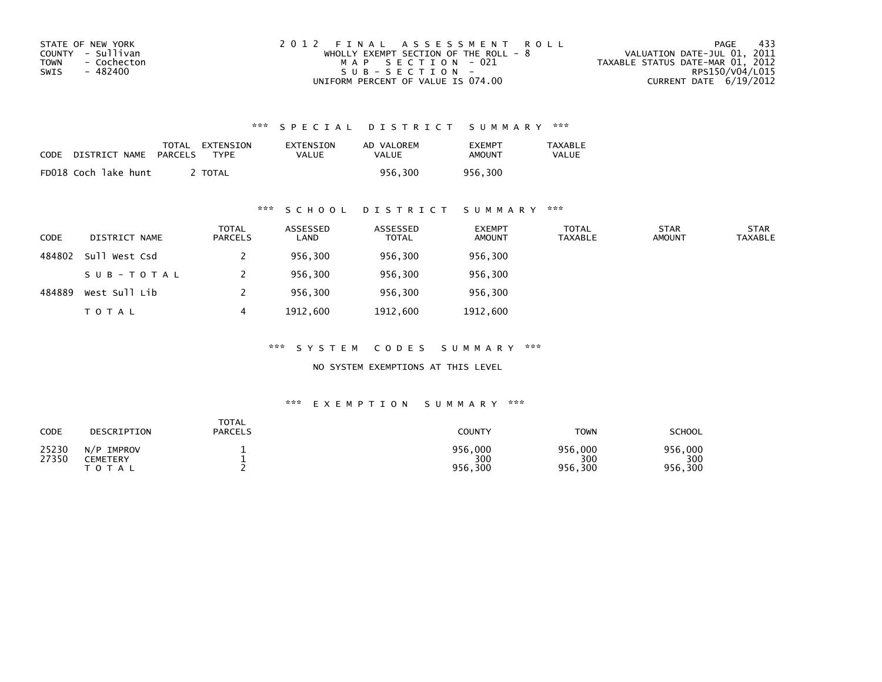| STATE OF NEW YORK   | 2012 FINAL ASSESSMENT ROLL              | - 433<br>PAGE                    |
|---------------------|-----------------------------------------|----------------------------------|
| COUNTY - Sullivan   | WHOLLY EXEMPT SECTION OF THE ROLL - $8$ | VALUATION DATE-JUL 01, 2011      |
| TOWN<br>- Cochecton | MAP SECTION - 021                       | TAXABLE STATUS DATE-MAR 01, 2012 |
| - 482400<br>SWIS    | $SUB - SECTION -$                       | RPS150/V04/L015                  |
|                     | UNIFORM PERCENT OF VALUE IS 074.00      | CURRENT DATE $6/19/2012$         |

| CODE | DISTRICT NAME        | TOTAL<br>PARCELS | EXTENSION<br><b>TYPF</b> | EXTENSION<br>VALUE | AD VALOREM<br>VALUE | <b>FXFMPT</b><br><b>AMOUNT</b> | <b>TAXABLE</b><br>VALUE |
|------|----------------------|------------------|--------------------------|--------------------|---------------------|--------------------------------|-------------------------|
|      | FD018 Coch lake hunt |                  | <b>TOTAL</b>             |                    | 956.300             | 956.300                        |                         |

### \*\*\* S C H O O L D I S T R I C T S U M M A R Y \*\*\*

| <b>CODE</b> | DISTRICT NAME | <b>TOTAL</b><br>PARCELS | ASSESSED<br>LAND | ASSESSED<br><b>TOTAL</b> | <b>EXEMPT</b><br><b>AMOUNT</b> | <b>TOTAL</b><br>TAXABLE | <b>STAR</b><br><b>AMOUNT</b> | <b>STAR</b><br><b>TAXABLE</b> |
|-------------|---------------|-------------------------|------------------|--------------------------|--------------------------------|-------------------------|------------------------------|-------------------------------|
| 484802      | Sull West Csd |                         | 956,300          | 956,300                  | 956,300                        |                         |                              |                               |
|             | SUB-TOTAL     |                         | 956,300          | 956,300                  | 956,300                        |                         |                              |                               |
| 484889      | West Sull Lib |                         | 956,300          | 956,300                  | 956,300                        |                         |                              |                               |
|             | <b>TOTAL</b>  | 4                       | 1912,600         | 1912,600                 | 1912,600                       |                         |                              |                               |

\*\*\* S Y S T E M C O D E S S U M M A R Y \*\*\*

NO SYSTEM EXEMPTIONS AT THIS LEVEL

| <b>CODE</b>    | DESCRIPTION                            | TOTAL<br><b>PARCELS</b> | COUNTY                    | <b>TOWN</b>               | <b>SCHOOL</b>             |
|----------------|----------------------------------------|-------------------------|---------------------------|---------------------------|---------------------------|
| 25230<br>27350 | N/P IMPROV<br>CEMETERY<br><b>TOTAL</b> |                         | 956,000<br>300<br>956,300 | 956,000<br>300<br>956,300 | 956,000<br>300<br>956,300 |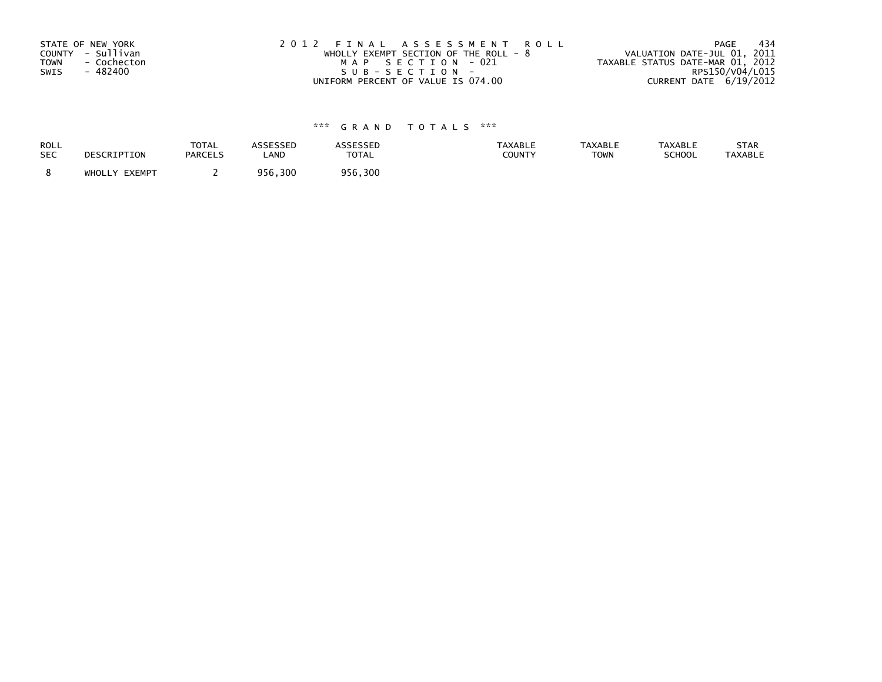| STATE OF NEW YORK          | 2012 FINAL ASSESSMENT ROLL             | -434<br>PAGE                     |
|----------------------------|----------------------------------------|----------------------------------|
| COUNTY - Sullivan          | WHOLLY EXEMPT SECTION OF THE ROLL $-8$ | VALUATION DATE-JUL 01, 2011      |
| <b>TOWN</b><br>- Cochecton | MAP SECTION - 021                      | TAXABLE STATUS DATE-MAR 01, 2012 |
| SWIS<br>- 482400           | SUB-SECTION-                           | RPS150/V04/L015                  |
|                            | UNIFORM PERCENT OF VALUE IS 074.00     | CURRENT DATE 6/19/2012           |

| ROLL       | DESCRIPTION   | <b>TOTAL</b>   | ASSESSED | <b>ASSESSED</b> | TAXABLE | <b>TAXABLE</b> | <b>TAXABLE</b> | STAR           |
|------------|---------------|----------------|----------|-----------------|---------|----------------|----------------|----------------|
| <b>SEC</b> |               | <b>PARCELS</b> | LAND     | <b>TOTAL</b>    | COUNTY  | <b>TOWN</b>    | SCHOOL         | <b>TAXABLE</b> |
|            | WHOLLY EXEMPT |                | 956,300  | 956,300         |         |                |                |                |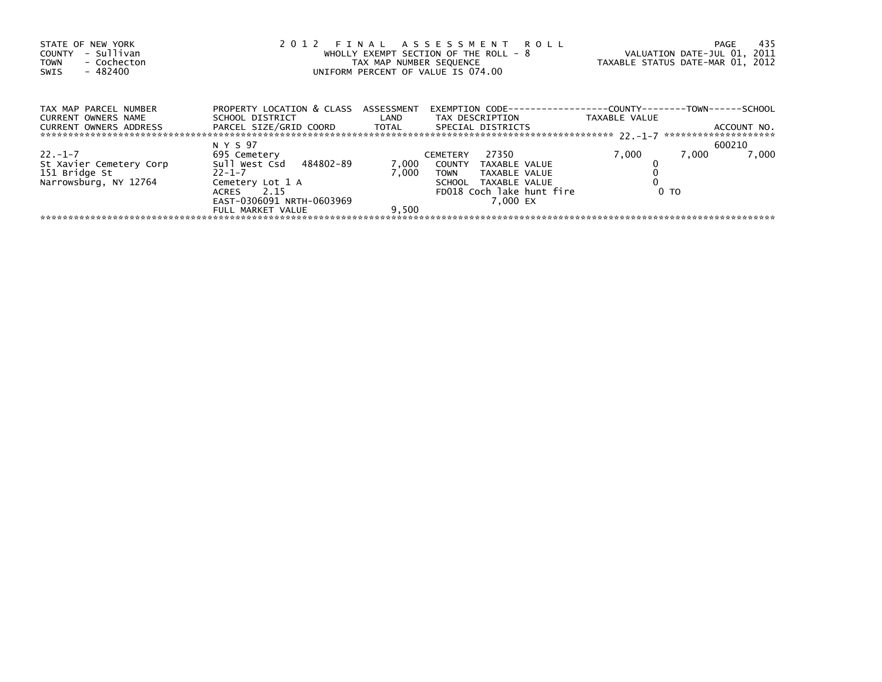| STATE OF NEW YORK<br>- Sullivan<br>COUNTY<br>- Cochecton<br><b>TOWN</b><br>- 482400<br>SWIS | 2012 FINAL ASSESSMENT ROLL<br>WHOLLY EXEMPT SECTION OF THE ROLL - 8<br>TAX MAP NUMBER SEQUENCE<br>UNIFORM PERCENT OF VALUE IS 074.00 | TAXABLE STATUS DATE-MAR 01, 2012 | -435<br>PAGE<br>VALUATION DATE-JUL 01, 2011                                            |                |                |
|---------------------------------------------------------------------------------------------|--------------------------------------------------------------------------------------------------------------------------------------|----------------------------------|----------------------------------------------------------------------------------------|----------------|----------------|
| TAX MAP PARCEL NUMBER<br>CURRENT OWNERS NAME                                                | PROPERTY LOCATION & CLASS ASSESSMENT<br>SCHOOL DISTRICT LAND                                                                         |                                  | EXEMPTION        CODE-----------------COUNTY-------TOWN------SCHOOL<br>TAX DESCRIPTION | TAXABLE VALUE  |                |
|                                                                                             | CURRENT OWNERS ADDRESS FARCEL SIZE/GRID COORD TOTAL SPECIAL DISTRICTS                                                                |                                  |                                                                                        |                | ACCOUNT NO.    |
|                                                                                             | N Y S 97                                                                                                                             |                                  |                                                                                        |                | 600210         |
| $22. - 1 - 7$                                                                               | 695 Cemetery                                                                                                                         |                                  | 27350<br>CEMETERY                                                                      | 7,000          | 7,000<br>7,000 |
| St Xavier Cemetery Corp                                                                     | Sull West Csd 484802-89                                                                                                              | 7,000                            | COUNTY TAXABLE VALUE                                                                   |                |                |
| 151 Bridge St                                                                               | $22 - 1 - 7$                                                                                                                         | 7.000                            | TOWN<br>TAXABLE VALUE                                                                  |                |                |
| Narrowsburg, NY 12764                                                                       | Cemetery Lot 1 A                                                                                                                     |                                  | SCHOOL TAXABLE VALUE                                                                   |                |                |
|                                                                                             | ACRES 2.15                                                                                                                           |                                  | FD018 Coch lake hunt fire                                                              | 0 <sub>T</sub> |                |
|                                                                                             | EAST-0306091 NRTH-0603969                                                                                                            |                                  | 7.000 EX                                                                               |                |                |
|                                                                                             | FULL MARKET VALUE                                                                                                                    | 9.500                            |                                                                                        |                |                |
|                                                                                             |                                                                                                                                      |                                  |                                                                                        |                |                |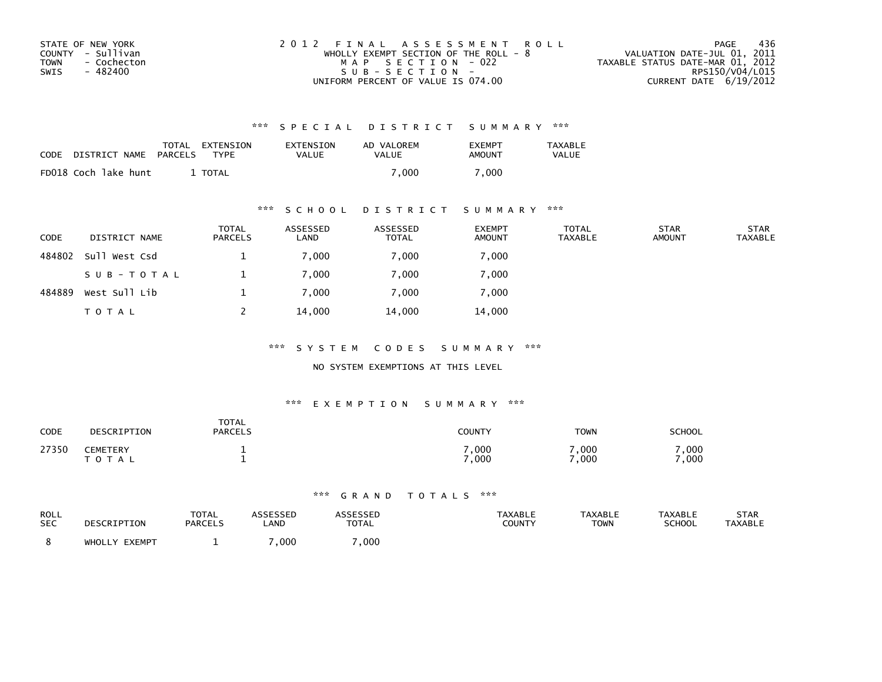| STATE OF NEW YORK   | 2012 FINAL ASSESSMENT ROLL              | 436<br>PAGE                      |
|---------------------|-----------------------------------------|----------------------------------|
| COUNTY - Sullivan   | WHOLLY EXEMPT SECTION OF THE ROLL - $8$ | VALUATION DATE-JUL 01, 2011      |
| TOWN<br>- Cochecton | MAP SECTION - 022                       | TAXABLE STATUS DATE-MAR 01, 2012 |
| - 482400<br>SWIS    | $SUB - SECTION -$                       | RPS150/V04/L015                  |
|                     | UNIFORM PERCENT OF VALUE IS 074.00      | CURRENT DATE $6/19/2012$         |

| CODE | DISTRICT NAME        | PARCELS | TOTAL EXTENSION<br>TYPF | EXTENSION<br><b>VALUE</b> | AD VALOREM<br><b>VALUE</b> | <b>EXEMPT</b><br>AMOUNT | TAXABLE<br><b>VALUE</b> |
|------|----------------------|---------|-------------------------|---------------------------|----------------------------|-------------------------|-------------------------|
|      | FD018 Coch lake hunt |         | TOTAL                   |                           | 7.000                      | .000                    |                         |

### \*\*\* S C H O O L D I S T R I C T S U M M A R Y \*\*\*

| <b>CODE</b> | DISTRICT NAME | <b>TOTAL</b><br>PARCELS | ASSESSED<br>LAND | ASSESSED<br><b>TOTAL</b> | <b>EXEMPT</b><br><b>AMOUNT</b> | <b>TOTAL</b><br><b>TAXABLE</b> | <b>STAR</b><br><b>AMOUNT</b> | <b>STAR</b><br><b>TAXABLE</b> |
|-------------|---------------|-------------------------|------------------|--------------------------|--------------------------------|--------------------------------|------------------------------|-------------------------------|
| 484802      | Sull West Csd |                         | 7,000            | 7,000                    | 7,000                          |                                |                              |                               |
|             | SUB-TOTAL     |                         | 7,000            | 7,000                    | 7,000                          |                                |                              |                               |
| 484889      | West Sull Lib |                         | 7,000            | 7,000                    | 7,000                          |                                |                              |                               |
|             | T O T A L     |                         | 14,000           | 14,000                   | 14,000                         |                                |                              |                               |

\*\*\* S Y S T E M C O D E S S U M M A R Y \*\*\*

NO SYSTEM EXEMPTIONS AT THIS LEVEL

### \*\*\* E X E M P T I O N S U M M A R Y \*\*\*

| CODE  | DESCRIPTION                   | <b>TOTAL</b><br><b>PARCELS</b> | COUNTY                  | <b>TOWN</b>   | SCHOOL       |
|-------|-------------------------------|--------------------------------|-------------------------|---------------|--------------|
| 27350 | <b>CEMETERY</b><br>тот<br>A L |                                | $\,$ , 000 $\,$<br>,000 | 7,000<br>.000 | ,000<br>,000 |

| ROLL       | DESCRIPTION   | TOTAL          | <b>ASSESSED</b> | <b>ASSESSED</b> | <b>TAXABLE</b> | <b>TAXABLE</b> | <b>TAXABLE</b> | <b>STAR</b>    |
|------------|---------------|----------------|-----------------|-----------------|----------------|----------------|----------------|----------------|
| <b>SEC</b> |               | <b>PARCELS</b> | LAND            | <b>TOTAL</b>    | COUNTY         | <b>TOWN</b>    | <b>SCHOOL</b>  | <b>TAXABLE</b> |
|            | WHOLLY EXEMPT |                | 000,            | ,000            |                |                |                |                |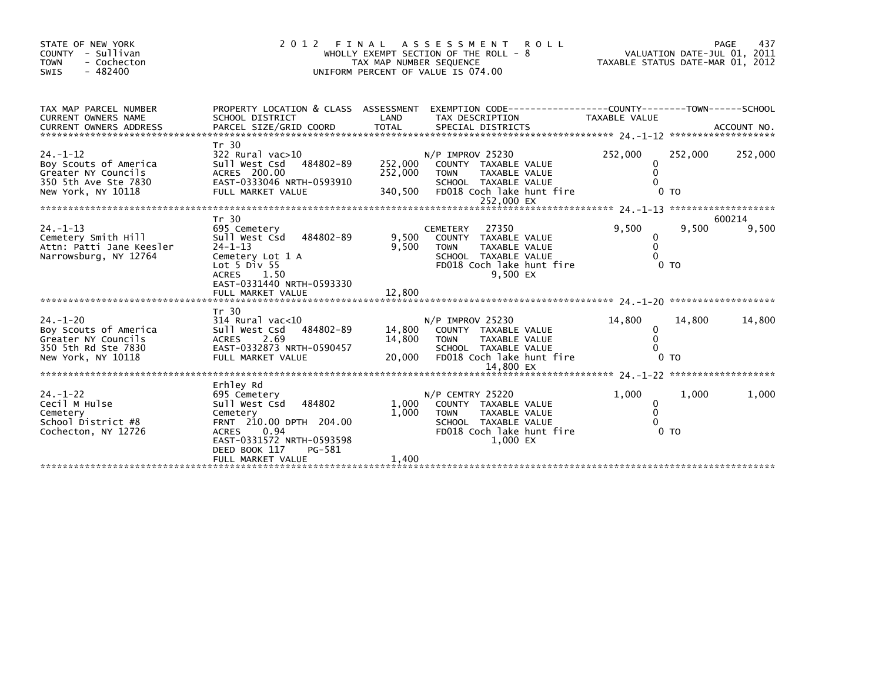| STATE OF NEW YORK<br>COUNTY - Sullivan<br><b>TOWN</b><br>- Cochecton<br>$-482400$<br>SWIS                    | 2 0 1 2                                                                                                                                                                     | TAX MAP NUMBER SEQUENCE       | FINAL ASSESSMENT<br><b>ROLL</b><br>WHOLLY EXEMPT SECTION OF THE ROLL - 8<br>UNIFORM PERCENT OF VALUE IS 074.00                                    | TAXABLE STATUS DATE-MAR 01, 2012 |                           | 437<br>PAGE<br>VALUATION DATE-JUL 01, 2011 |
|--------------------------------------------------------------------------------------------------------------|-----------------------------------------------------------------------------------------------------------------------------------------------------------------------------|-------------------------------|---------------------------------------------------------------------------------------------------------------------------------------------------|----------------------------------|---------------------------|--------------------------------------------|
| TAX MAP PARCEL NUMBER<br>CURRENT OWNERS NAME<br><b>CURRENT OWNERS ADDRESS</b>                                | PROPERTY LOCATION & CLASS ASSESSMENT<br>SCHOOL DISTRICT                                                                                                                     | LAND                          | EXEMPTION CODE-----------------COUNTY-------TOWN------SCHOOL<br>TAX DESCRIPTION                                                                   | TAXABLE VALUE                    |                           |                                            |
| $24. - 1 - 12$<br>Boy Scouts of America<br>Greater NY Councils<br>350 5th Ave Ste 7830<br>New York, NY 10118 | Tr 30<br>322 Rural vac>10<br>Sull West Csd 484802-89<br>ACRES 200.00<br>EAST-0333046 NRTH-0593910<br>FULL MARKET VALUE                                                      | 252,000<br>252,000<br>340,500 | $N/P$ IMPROV 25230<br>COUNTY TAXABLE VALUE<br>TAXABLE VALUE<br><b>TOWN</b><br>SCHOOL TAXABLE VALUE<br>FD018 Coch lake hunt fire<br>252,000 EX     | 252,000<br>0<br>$\Omega$         | 252,000<br>0 <sub>T</sub> | 252,000                                    |
|                                                                                                              | Tr 30                                                                                                                                                                       |                               |                                                                                                                                                   |                                  |                           | 600214                                     |
| $24. - 1 - 13$<br>Cemetery Smith Hill<br>Attn: Patti Jane Keesler<br>Narrowsburg, NY 12764                   | 695 Cemetery<br>Sull West Csd<br>484802-89<br>$24 - 1 - 13$<br>Cemetery Lot 1 A<br>Lot $5$ Div $55$<br>ACRES 1.50<br>EAST-0331440 NRTH-0593330                              | 9.500<br>9,500                | 27350<br><b>CEMETERY</b><br>COUNTY TAXABLE VALUE<br>TAXABLE VALUE<br><b>TOWN</b><br>SCHOOL TAXABLE VALUE<br>FD018 Coch lake hunt fire<br>9.500 EX | 9.500<br>0<br>$\mathbf{0}$       | 9,500<br>0 <sub>T</sub>   | 9,500                                      |
|                                                                                                              | FULL MARKET VALUE                                                                                                                                                           | 12,800                        |                                                                                                                                                   |                                  |                           |                                            |
|                                                                                                              | Tr 30                                                                                                                                                                       |                               |                                                                                                                                                   |                                  |                           |                                            |
| $24. - 1 - 20$<br>Boy Scouts of America<br>Greater NY Councils<br>350 5th Rd Ste 7830<br>New York, NY 10118  | $314$ Rural vac<10<br>Sull West Csd<br>484802-89<br>2.69<br><b>ACRES</b><br>EAST-0332873 NRTH-0590457<br>FULL MARKET VALUE                                                  | 14,800<br>14,800<br>20,000    | $N/P$ IMPROV 25230<br>COUNTY TAXABLE VALUE<br>TAXABLE VALUE<br>TOWN<br>SCHOOL TAXABLE VALUE<br>FD018 Coch lake hunt fire                          | 14,800<br>0                      | 14,800<br>0 <sub>T</sub>  | 14,800                                     |
|                                                                                                              |                                                                                                                                                                             |                               |                                                                                                                                                   |                                  |                           |                                            |
| $24. - 1 - 22$<br>Cecil M Hulse<br>Cemetery<br>School District #8<br>Cochecton, NY 12726                     | Erhley Rd<br>695 Cemetery<br>484802<br>Sull West Csd<br>Cemetery<br>FRNT 210.00 DPTH 204.00<br><b>ACRES</b><br>0.94<br>EAST-0331572 NRTH-0593598<br>DEED BOOK 117<br>PG-581 | 1,000<br>1,000                | N/P CEMTRY 25220<br>COUNTY TAXABLE VALUE<br><b>TOWN</b><br>TAXABLE VALUE<br>SCHOOL TAXABLE VALUE<br>FD018 Coch lake hunt fire<br>1.000 EX         | 1,000<br>0<br>$\Omega$           | 1,000<br>0 <sub>T</sub>   | 1,000                                      |
|                                                                                                              | FULL MARKET VALUE                                                                                                                                                           | 1,400                         |                                                                                                                                                   |                                  |                           |                                            |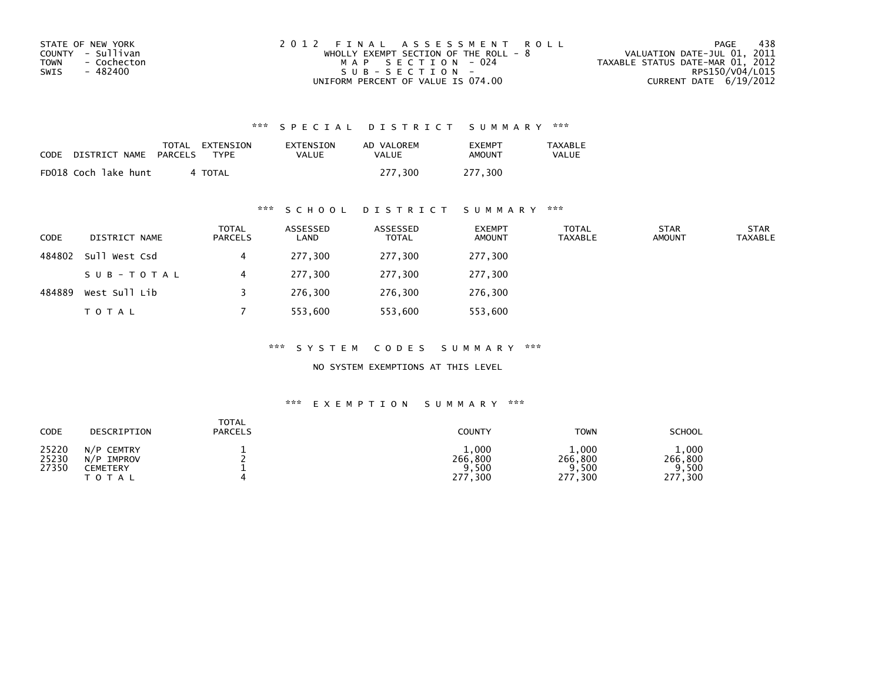| STATE OF NEW YORK   | 2012 FINAL ASSESSMENT ROLL            | 438<br>PAGE                      |
|---------------------|---------------------------------------|----------------------------------|
| COUNTY - Sullivan   | WHOLLY EXEMPT SECTION OF THE ROLL - 8 | VALUATION DATE-JUL 01, 2011      |
| TOWN<br>- Cochecton | MAP SECTION - 024                     | TAXABLE STATUS DATE-MAR 01, 2012 |
| - 482400<br>SWIS    | SUB-SECTION-                          | RPS150/V04/L015                  |
|                     | UNIFORM PERCENT OF VALUE IS 074.00    | CURRENT DATE 6/19/2012           |

| CODE | DISTRICT NAME        | TOTAL<br>PARCELS | EXTENSION<br><b>TYPF</b> | EXTENSION<br>VALUE | AD VALOREM<br><b>VALUE</b> | <b>EXEMPT</b><br>AMOUNT | TAXABLE<br><b>VALUE</b> |
|------|----------------------|------------------|--------------------------|--------------------|----------------------------|-------------------------|-------------------------|
|      | FD018 Coch lake hunt |                  | 4 TOTAL                  |                    | 277.300                    | 277.300                 |                         |

### \*\*\* S C H O O L D I S T R I C T S U M M A R Y \*\*\*

| <b>CODE</b> | DISTRICT NAME | <b>TOTAL</b><br>PARCELS | ASSESSED<br>LAND | ASSESSED<br><b>TOTAL</b> | <b>EXEMPT</b><br><b>AMOUNT</b> | <b>TOTAL</b><br>TAXABLE | <b>STAR</b><br><b>AMOUNT</b> | <b>STAR</b><br><b>TAXABLE</b> |
|-------------|---------------|-------------------------|------------------|--------------------------|--------------------------------|-------------------------|------------------------------|-------------------------------|
| 484802      | Sull West Csd | 4                       | 277,300          | 277,300                  | 277,300                        |                         |                              |                               |
|             | SUB-TOTAL     | 4                       | 277,300          | 277,300                  | 277,300                        |                         |                              |                               |
| 484889      | West Sull Lib |                         | 276,300          | 276,300                  | 276,300                        |                         |                              |                               |
|             | <b>TOTAL</b>  |                         | 553,600          | 553,600                  | 553,600                        |                         |                              |                               |

\*\*\* S Y S T E M C O D E S S U M M A R Y \*\*\*

NO SYSTEM EXEMPTIONS AT THIS LEVEL

| CODE                    | DESCRIPTION                                                           | TOTAL<br><b>PARCELS</b> | <b>COUNTY</b>                                        | <b>TOWN</b>                                   | <b>SCHOOL</b>                          |
|-------------------------|-----------------------------------------------------------------------|-------------------------|------------------------------------------------------|-----------------------------------------------|----------------------------------------|
| 25220<br>25230<br>27350 | <b>CEMTRY</b><br>N/P<br><b>IMPROV</b><br>N/P<br>CEMETERY<br>T O T A L |                         | 1,000<br>266,800<br>9,500<br>$^{\prime}$ ,300<br>277 | 1,000<br>266,800<br>, 500<br>a<br>277<br>,300 | 1,000<br>266,800<br>500<br>277<br>,300 |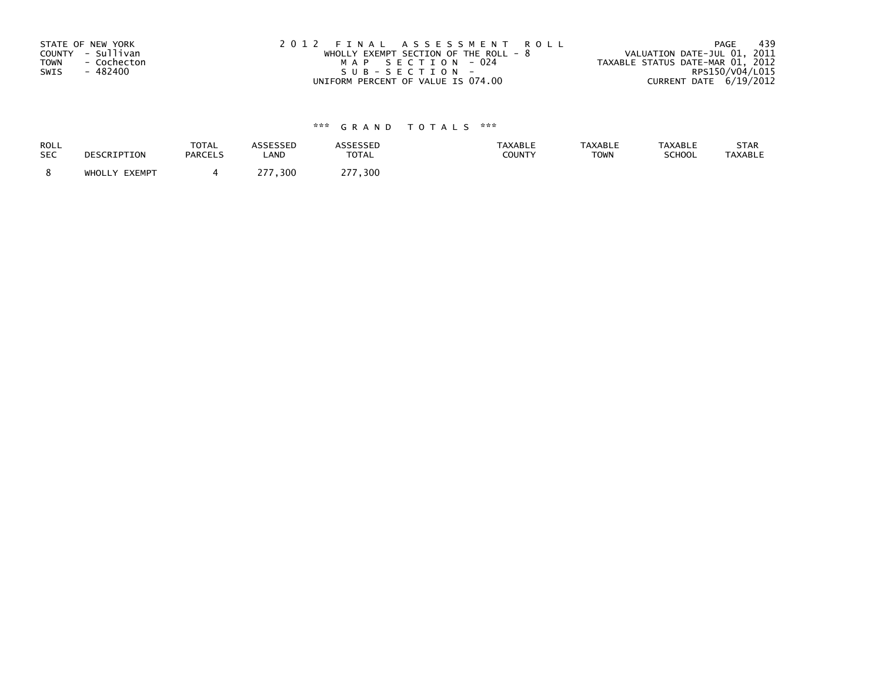| STATE OF NEW YORK<br>COUNTY - Sullivan<br><b>TOWN</b><br>- Cochecton<br>SWIS<br>- 482400 | 2012 FINAL ASSESSMENT ROLL<br>WHOLLY EXEMPT SECTION OF THE ROLL - $8$<br>MAP SECTION - 024<br>SUB-SECTION- | - 439<br>PAGE<br>VALUATION DATE-JUL 01, 2011<br>TAXABLE STATUS DATE-MAR 01, 2012<br>RPS150/V04/L015 |
|------------------------------------------------------------------------------------------|------------------------------------------------------------------------------------------------------------|-----------------------------------------------------------------------------------------------------|
|                                                                                          | UNIFORM PERCENT OF VALUE IS 074.00                                                                         | CURRENT DATE 6/19/2012                                                                              |

| <b>ROLL</b> | DESCRIPTION   | TOTAL          | ASSESSED     | <b>ASSESSED</b>         | <b>TAXABLE</b> | <b>TAXABLE</b> | <b>TAXABLE</b> | STAR           |
|-------------|---------------|----------------|--------------|-------------------------|----------------|----------------|----------------|----------------|
| <b>SEC</b>  |               | <b>PARCELS</b> | LAND         | <b>TOTAL</b>            | COUNTY         | <b>TOWN</b>    | SCHOOL         | <b>TAXABLE</b> |
|             | WHOLLY EXEMPT |                | つフフ<br>, 300 | 277<br>$^{\prime}$ .300 |                |                |                |                |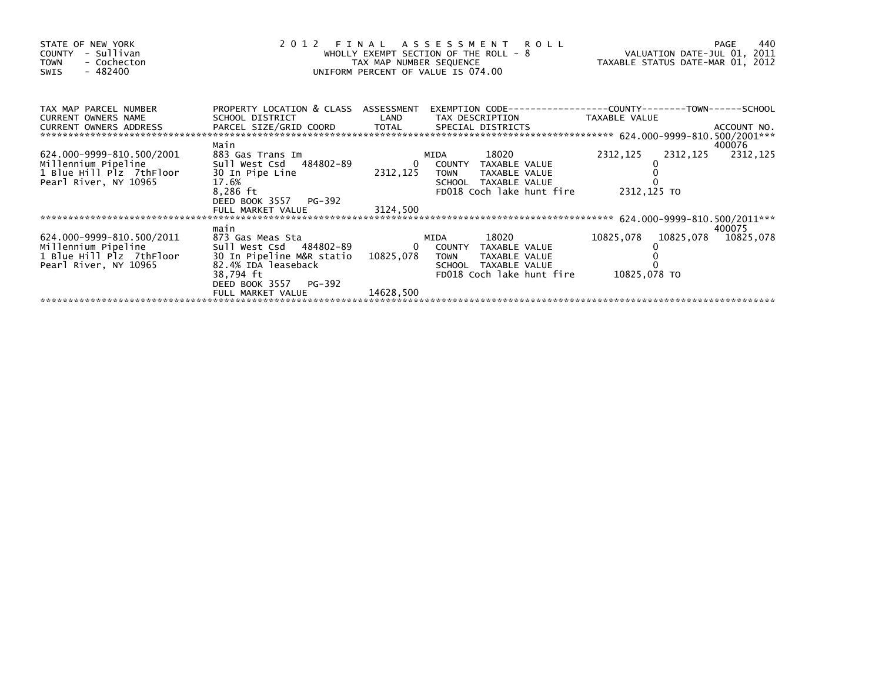| STATE OF NEW YORK<br>- Sullivan<br>COUNTY<br>- Cochecton<br><b>TOWN</b><br>- 482400<br>SWIS           | 2012<br>and a strong of the state.<br>The strong of the strong of the strong of the strong of the strong strong strong strong strong strong strong s |               | FINAL ASSESSMENT ROLL<br>WHOLLY EXEMPT SECTION OF THE ROLL - 8<br>TAX MAP NUMBER SEQUENCE<br>UNIFORM PERCENT OF VALUE IS 074.00 |                                                 | -440<br>PAGE       |
|-------------------------------------------------------------------------------------------------------|------------------------------------------------------------------------------------------------------------------------------------------------------|---------------|---------------------------------------------------------------------------------------------------------------------------------|-------------------------------------------------|--------------------|
| TAX MAP PARCEL NUMBER<br>CURRENT OWNERS NAME                                                          | PROPERTY LOCATION & CLASS ASSESSMENT<br>SCHOOL DISTRICT                                                                                              |               | LAND TAX DESCRIPTION TAXABLE VALUE                                                                                              |                                                 |                    |
| 624.000-9999-810.500/2001<br>Millennium Pipeline<br>1 Blue Hill Plz 7thFloor<br>Pearl River, NY 10965 | Main<br>883 Gas Trans Im<br>sull West Csd 484802-89<br>30 In Pipe Line<br>17.6%<br>8,286 ft<br>DEED BOOK 3557 PG-392                                 | 2312,125 TOWN | 18020<br>MIDA<br>0 COUNTY TAXABLE VALUE<br>TAXABLE VALUE<br>SCHOOL TAXABLE VALUE<br>FD018 Coch lake hunt fire                   | 2312,125<br>2312,125<br>2312,125 TO             | 400076<br>2312,125 |
|                                                                                                       |                                                                                                                                                      |               |                                                                                                                                 |                                                 |                    |
|                                                                                                       | main                                                                                                                                                 |               |                                                                                                                                 |                                                 | 400075             |
| 624.000-9999-810.500/2011<br>Millennium Pipeline<br>1 Blue Hill Plz 7thFloor<br>Pearl River, NY 10965 | 873 Gas Meas Sta<br>30 In Pipeline M&R statio 10825.078 TOWN<br>82.4% IDA leaseback<br>38,794 ft<br>DEED BOOK 3557 PG-392                            |               | 18020<br>TAXABLE VALUE<br>SCHOOL TAXABLE VALUE<br>FD018 Coch lake hunt fire                                                     | 10825,078  10825,078  10825,078<br>10825,078 TO |                    |
|                                                                                                       | FULL MARKET VALUE                                                                                                                                    | 14628,500     |                                                                                                                                 |                                                 |                    |
|                                                                                                       |                                                                                                                                                      |               |                                                                                                                                 |                                                 |                    |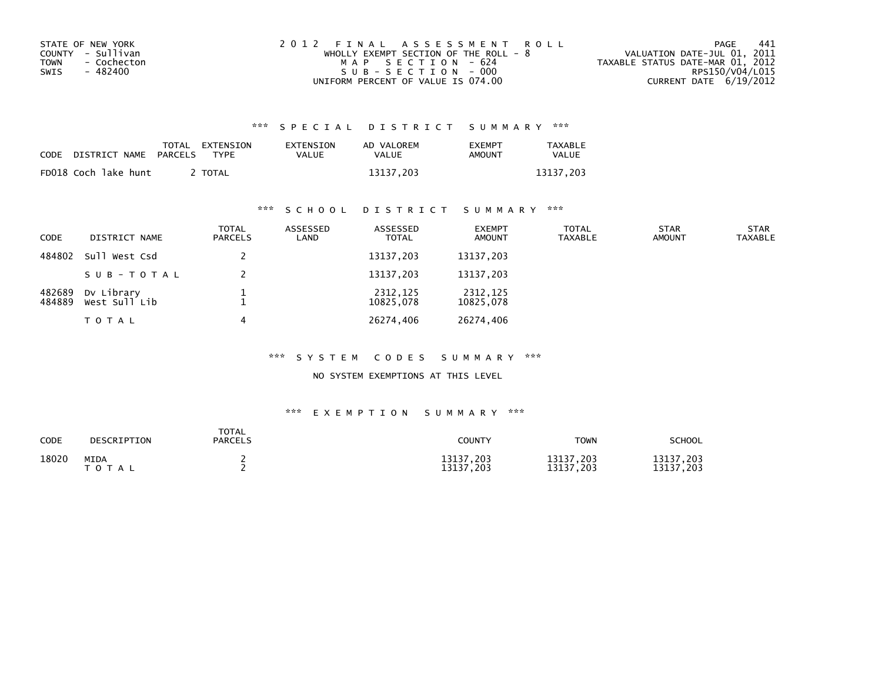| STATE OF NEW YORK   | 2012 FINAL ASSESSMENT ROLL              | 441<br>PAGE                      |
|---------------------|-----------------------------------------|----------------------------------|
| COUNTY - Sullivan   | WHOLLY EXEMPT SECTION OF THE ROLL - $8$ | VALUATION DATE-JUL 01, 2011      |
| - Cochecton<br>TOWN | MAP SECTION - 624                       | TAXABLE STATUS DATE-MAR 01, 2012 |
| - 482400<br>SWIS    | SUB-SECTION - 000                       | RPS150/V04/L015                  |
|                     | UNIFORM PERCENT OF VALUE IS 074.00      | CURRENT DATE 6/19/2012           |

| CODE | DISTRICT NAME PARCELS | TOTAL EXTENSION<br><b>TYPF</b> | EXTENSION<br>VALUE | AD VALOREM<br>VALUE | <b>FXFMPT</b><br>AMOUNT | TAXABLE<br><b>VALUE</b> |
|------|-----------------------|--------------------------------|--------------------|---------------------|-------------------------|-------------------------|
|      | FD018 Coch lake hunt  | <b>TOTAL</b>                   |                    | 13137.203           |                         | 13137.203               |

# \*\*\* S C H O O L D I S T R I C T S U M M A R Y \*\*\*

| CODE             | DISTRICT NAME               | <b>TOTAL</b><br>PARCELS | ASSESSED<br>LAND | ASSESSED<br><b>TOTAL</b> | <b>EXEMPT</b><br><b>AMOUNT</b> | <b>TOTAL</b><br><b>TAXABLE</b> | <b>STAR</b><br><b>AMOUNT</b> | <b>STAR</b><br>TAXABLE |
|------------------|-----------------------------|-------------------------|------------------|--------------------------|--------------------------------|--------------------------------|------------------------------|------------------------|
| 484802           | Sull West Csd               |                         |                  | 13137,203                | 13137,203                      |                                |                              |                        |
|                  | SUB-TOTAL                   |                         |                  | 13137,203                | 13137,203                      |                                |                              |                        |
| 482689<br>484889 | Dv Library<br>West Sull Lib |                         |                  | 2312,125<br>10825,078    | 2312,125<br>10825,078          |                                |                              |                        |
|                  | TOTAL                       |                         |                  | 26274,406                | 26274,406                      |                                |                              |                        |

### \*\*\* S Y S T E M C O D E S S U M M A R Y \*\*\*

### NO SYSTEM EXEMPTIONS AT THIS LEVEL

| <b>CODE</b> | DESCRIPTION              | <b>TOTAL</b><br><b>PARCELS</b> | <b>COUNTY</b>          | <b>TOWN</b>            | <b>SCHOOL</b>          |
|-------------|--------------------------|--------------------------------|------------------------|------------------------|------------------------|
| 18020       | <b>MIDA</b><br>T O T A L |                                | 13137,203<br>13137,203 | 13137,203<br>13137,203 | 13137,203<br>13137,203 |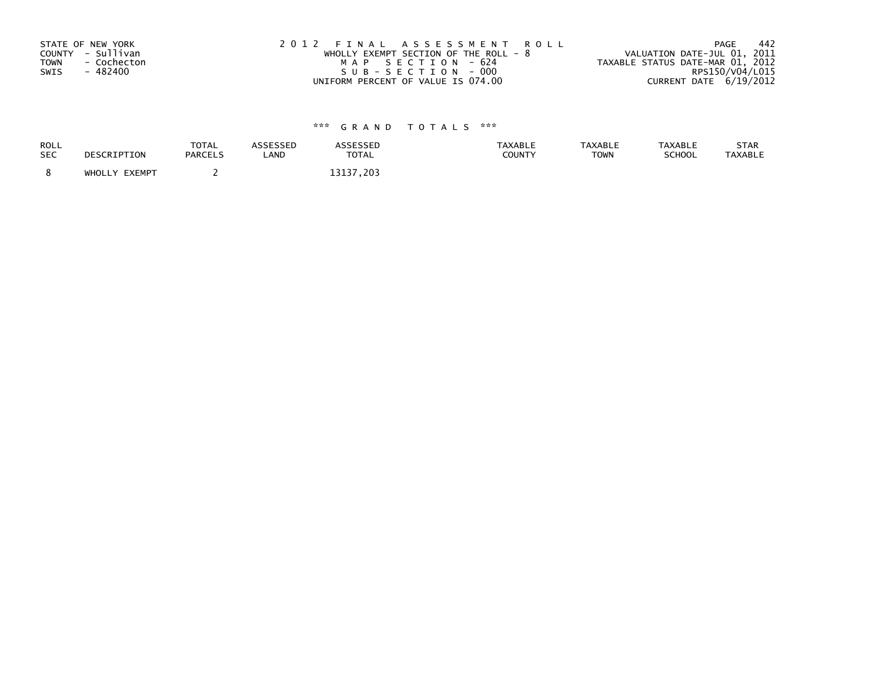| STATE OF NEW YORK          | 2012 FINAL ASSESSMENT ROLL              | -442<br>PAGE                     |
|----------------------------|-----------------------------------------|----------------------------------|
| COUNTY - Sullivan          | WHOLLY EXEMPT SECTION OF THE ROLL - $8$ | VALUATION DATE-JUL 01, 2011      |
| - Cochecton<br><b>TOWN</b> | MAP SECTION - 624                       | TAXABLE STATUS DATE-MAR 01, 2012 |
| - 482400<br>SWIS           | SUB-SECTION-000                         | RPS150/V04/L015                  |
|                            | UNIFORM PERCENT OF VALUE IS 074.00      | CURRENT DATE 6/19/2012           |

| ROLL<br><b>SEC</b> | DESCRIPTION   | <b>TOTAL</b><br><b>PARCELS</b> | ASSESSED<br>LAND | <b>ASSESSED</b><br><b>TOTAL</b> | <b>TAXABLE</b><br><b>COUNTY</b> | <b>TAXABLE</b><br><b>TOWN</b> | <b>TAXABLE</b><br>SCHOOL | <b>STAR</b><br><b>TAXABLE</b> |
|--------------------|---------------|--------------------------------|------------------|---------------------------------|---------------------------------|-------------------------------|--------------------------|-------------------------------|
|                    | WHOLLY EXEMPT |                                |                  | 3137<br>$^{\prime}$ . 203       |                                 |                               |                          |                               |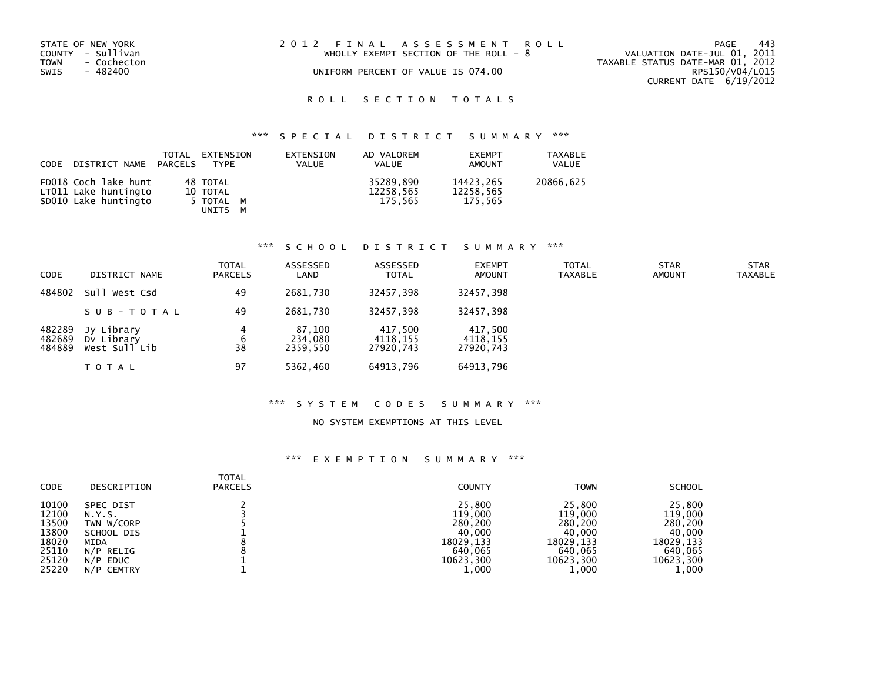| STATE OF NEW YORK<br>COUNTY - Sullivan<br><b>TOWN</b><br>- Cochecton<br>SWIS<br>- 482400 | 2012 FINAL ASSESSMENT ROLL<br>WHOLLY EXEMPT SECTION OF THE ROLL - 8<br>UNIFORM PERCENT OF VALUE IS 074.00 | 443<br>PAGE<br>VALUATION DATE-JUL 01, 2011<br>TAXABLE STATUS DATE-MAR 01, 2012<br>RPS150/V04/L015<br>CURRENT DATE 6/19/2012 |
|------------------------------------------------------------------------------------------|-----------------------------------------------------------------------------------------------------------|-----------------------------------------------------------------------------------------------------------------------------|
|                                                                                          |                                                                                                           |                                                                                                                             |
|                                                                                          |                                                                                                           |                                                                                                                             |

# ROLL SECTION TOTALS

# \*\*\* S P E C I A L D I S T R I C T S U M M A R Y \*\*\*

| CODE DISTRICT NAME PARCELS                                           | TOTAL | EXTENSION<br>TYPF                            | EXTENSION<br><b>VALUE</b> | AD VALOREM<br><b>VALUE</b>        | <b>EXEMPT</b><br>AMOUNT           | <b>TAXABLE</b><br>VALUE |
|----------------------------------------------------------------------|-------|----------------------------------------------|---------------------------|-----------------------------------|-----------------------------------|-------------------------|
| FD018 Coch lake hunt<br>LT011 Lake huntingto<br>SD010 Lake huntingto |       | 48 TOTAL<br>10 TOTAL<br>5 TOTAL M<br>UNITS M |                           | 35289.890<br>12258,565<br>175.565 | 14423.265<br>12258,565<br>175.565 | 20866,625               |

### \*\*\* S C H O O L D I S T R I C T S U M M A R Y \*\*\*

| <b>CODE</b>                | DISTRICT NAME                             | TOTAL<br><b>PARCELS</b> | ASSESSED<br>LAND              | ASSESSED<br><b>TOTAL</b>         | <b>EXEMPT</b><br><b>AMOUNT</b>   | <b>TOTAL</b><br><b>TAXABLE</b> | <b>STAR</b><br><b>AMOUNT</b> | <b>STAR</b><br><b>TAXABLE</b> |
|----------------------------|-------------------------------------------|-------------------------|-------------------------------|----------------------------------|----------------------------------|--------------------------------|------------------------------|-------------------------------|
| 484802                     | Sull West Csd                             | 49                      | 2681.730                      | 32457.398                        | 32457,398                        |                                |                              |                               |
|                            | SUB-TOTAL                                 | 49                      | 2681.730                      | 32457.398                        | 32457,398                        |                                |                              |                               |
| 482289<br>482689<br>484889 | Jy Library<br>Dy Library<br>West Sull Lib | 4<br>6<br>38            | 87,100<br>234,080<br>2359.550 | 417,500<br>4118.155<br>27920,743 | 417,500<br>4118,155<br>27920,743 |                                |                              |                               |
|                            | <b>TOTAL</b>                              | 97                      | 5362,460                      | 64913,796                        | 64913,796                        |                                |                              |                               |

### \*\*\* S Y S T E M C O D E S S U M M A R Y \*\*\*

### NO SYSTEM EXEMPTIONS AT THIS LEVEL

| <b>CODE</b>                                                 | DESCRIPTION                                                                        | <b>TOTAL</b><br><b>PARCELS</b> | <b>COUNTY</b>                                                               | <b>TOWN</b>                                                                 | <b>SCHOOL</b>                                                               |
|-------------------------------------------------------------|------------------------------------------------------------------------------------|--------------------------------|-----------------------------------------------------------------------------|-----------------------------------------------------------------------------|-----------------------------------------------------------------------------|
| 10100<br>12100<br>13500<br>13800<br>18020<br>25110<br>25120 | SPEC DIST<br>N.Y.S.<br>TWN W/CORP<br>SCHOOL DIS<br>MIDA<br>N/P RELIG<br>$N/P$ EDUC |                                | 25,800<br>119,000<br>280,200<br>40.000<br>18029.133<br>640,065<br>10623.300 | 25,800<br>119,000<br>280,200<br>40.000<br>18029.133<br>640,065<br>10623.300 | 25,800<br>119,000<br>280,200<br>40,000<br>18029.133<br>640,065<br>10623,300 |
| 25220                                                       | N/P CEMTRY                                                                         |                                | 1,000                                                                       | 1,000                                                                       | 1,000                                                                       |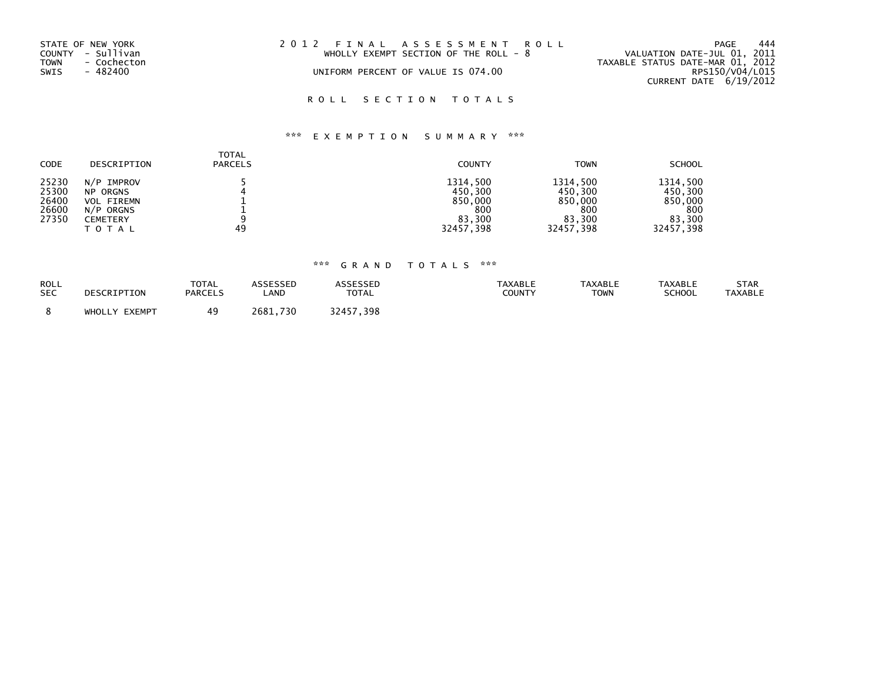| STATE OF NEW YORK   | 2012 FINAL ASSESSMENT ROLL              | 444<br>PAGE                      |
|---------------------|-----------------------------------------|----------------------------------|
| COUNTY - Sullivan   | WHOLLY EXEMPT SECTION OF THE ROLL - $8$ | VALUATION DATE-JUL 01, 2011      |
| TOWN<br>- Cochecton |                                         | TAXABLE STATUS DATE-MAR 01, 2012 |
| SWIS<br>- 482400    | UNIFORM PERCENT OF VALUE IS 074.00      | RPS150/V04/L015                  |
|                     |                                         | CURRENT DATE 6/19/2012           |
|                     |                                         |                                  |

# ROLL SECTION TOTALS

# \*\*\* E X E M P T I O N S U M M A R Y \*\*\*

| <b>CODE</b>                               | DESCRIPTION                                                                          | <b>TOTAL</b><br><b>PARCELS</b> | <b>COUNTY</b>                                                | <b>TOWN</b>                                                  | <b>SCHOOL</b>                                                |
|-------------------------------------------|--------------------------------------------------------------------------------------|--------------------------------|--------------------------------------------------------------|--------------------------------------------------------------|--------------------------------------------------------------|
| 25230<br>25300<br>26400<br>26600<br>27350 | N/P IMPROV<br><b>NP ORGNS</b><br><b>VOL FIREMN</b><br>N/P ORGNS<br>CEMETERY<br>TOTAL | 49                             | 1314,500<br>450,300<br>850,000<br>800<br>83.300<br>32457,398 | 1314.500<br>450,300<br>850,000<br>800<br>83.300<br>32457,398 | 1314.500<br>450,300<br>850,000<br>800<br>83.300<br>32457,398 |

| ROLL<br><b>SEC</b> | DESCRIPTION   | <b>TOTAL</b><br><b>PARCELS</b> | <b>ISSESSED</b><br>_AND | <b>ASSESSED</b><br><b>TOTAL</b> | <b>TAXABLE</b><br>COUNTY | <b>TAXABLE</b><br><b>TOWN</b> | TAXABLE<br><b>SCHOOL</b> | STAR<br><b>TAXABLE</b> |
|--------------------|---------------|--------------------------------|-------------------------|---------------------------------|--------------------------|-------------------------------|--------------------------|------------------------|
|                    | WHOLLY EXEMPT | 49.                            | 2681<br>730             | つつ ハ ロ フ<br>-398                |                          |                               |                          |                        |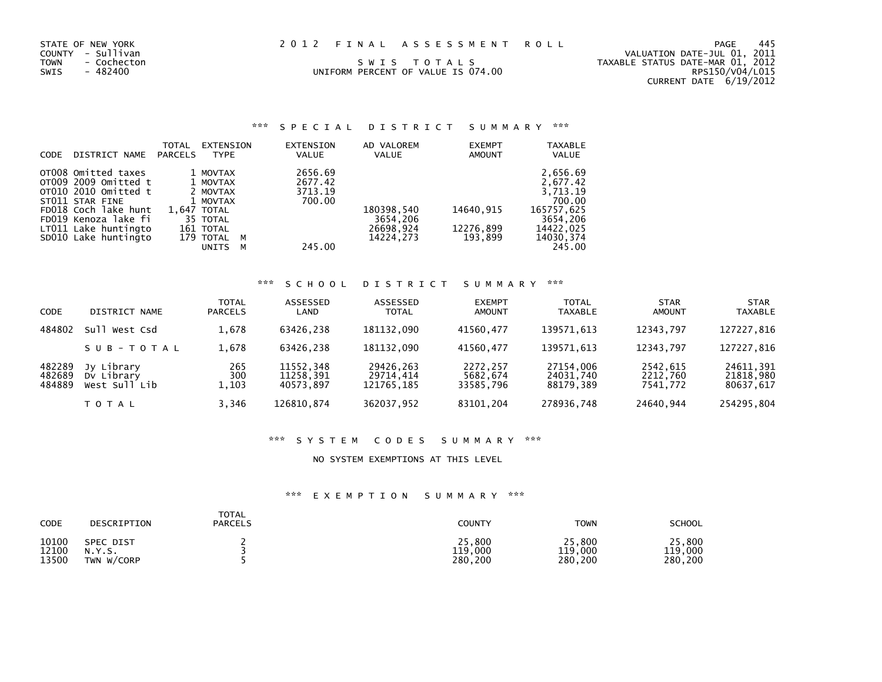|  |  |  | 2012 FINAL ASSESSMENT ROLL |  |  |  |
|--|--|--|----------------------------|--|--|--|
|--|--|--|----------------------------|--|--|--|

UNIFORM PERCENT OF VALUE IS 074.00

STATE OF NEW YORK PAGE 445<br>COUNTY - Sullivan and the surface that the conduct of the surface of the surface of the surface of the surface<br>TOWN - Cochecton swits - 482400 swits - 482400 swits - 482400 swits - 482400 swits - COUNTY - Sullivan VALUATION DATE-JUL 01, 2011 TOWN - Cochecton S W I S T O T A L S TAXABLE STATUS DATE-MAR 01, 2012RPS150/V04/L015 CURRENT DATE 6/19/2012

### \*\*\* S P E C I A L D I S T R I C T S U M M A R Y \*\*\*

| <b>CODE</b> | DISTRICT NAME        | TOTAL<br><b>PARCELS</b> | EXTENSION<br><b>TYPE</b> |   | EXTENSION<br><b>VALUE</b> | AD VALOREM<br><b>VALUE</b> | <b>EXEMPT</b><br><b>AMOUNT</b> | <b>TAXABLE</b><br><b>VALUE</b> |
|-------------|----------------------|-------------------------|--------------------------|---|---------------------------|----------------------------|--------------------------------|--------------------------------|
|             | OT008 Omitted taxes  |                         | 1 MOVTAX                 |   | 2656.69                   |                            |                                | 2,656.69                       |
|             | OT009 2009 Omitted t |                         | 1 MOVTAX                 |   | 2677.42                   |                            |                                | 2,677.42                       |
|             | OT010 2010 Omitted t |                         | 2 MOVTAX                 |   | 3713.19                   |                            |                                | 3.713.19                       |
|             | ST011 STAR FINE      |                         | 1 MOVTAX                 |   | 700.00                    |                            |                                | 700.00                         |
|             | FD018 Coch lake hunt |                         | 1,647 TOTAL              |   |                           | 180398,540                 | 14640,915                      | 165757,625                     |
|             | FD019 Kenoza lake fi |                         | 35 TOTAL                 |   |                           | 3654,206                   |                                | 3654,206                       |
|             | LT011 Lake huntingto |                         | 161 TOTAL                |   |                           | 26698.924                  | 12276,899                      | 14422.025                      |
|             | SD010 Lake huntingto |                         | 179 TOTAL                | M |                           | 14224.273                  | 193.899                        | 14030, 374                     |
|             |                      |                         | <b>UNITS</b>             | м | 245.00                    |                            |                                | 245.00                         |

### \*\*\* S C H O O L D I S T R I C T S U M M A R Y \*\*\*

| <b>CODE</b>                | DISTRICT NAME                             | <b>TOTAL</b><br><b>PARCELS</b> | ASSESSED<br>LAND                    | ASSESSED<br><b>TOTAL</b>             | <b>EXEMPT</b><br><b>AMOUNT</b>    | <b>TOTAL</b><br><b>TAXABLE</b>      | <b>STAR</b><br><b>AMOUNT</b>     | <b>STAR</b><br><b>TAXABLE</b>       |
|----------------------------|-------------------------------------------|--------------------------------|-------------------------------------|--------------------------------------|-----------------------------------|-------------------------------------|----------------------------------|-------------------------------------|
| 484802                     | Sull<br>West Csd                          | 1,678                          | 63426.238                           | 181132.090                           | 41560.477                         | 139571.613                          | 12343.797                        | 127227,816                          |
|                            | SUB-TOTAL                                 | 1,678                          | 63426.238                           | 181132.090                           | 41560.477                         | 139571,613                          | 12343.797                        | 127227,816                          |
| 482289<br>482689<br>484889 | Jy Library<br>Dy Library<br>West Sull Lib | 265<br>300<br>1,103            | 11552,348<br>11258,391<br>40573.897 | 29426,263<br>29714,414<br>121765.185 | 2272,257<br>5682,674<br>33585.796 | 27154.006<br>24031,740<br>88179.389 | 2542,615<br>2212,760<br>7541.772 | 24611,391<br>21818,980<br>80637,617 |
|                            | TOTAL                                     | 3.346                          | 126810.874                          | 362037,952                           | 83101.204                         | 278936,748                          | 24640.944                        | 254295,804                          |

### \*\*\* S Y S T E M C O D E S S U M M A R Y \*\*\*

#### NO SYSTEM EXEMPTIONS AT THIS LEVEL

| CODE  | DESCRIPTION      | <b>TOTAL</b><br>PARCELS | <b>COUNTY</b> | <b>TOWN</b> | <b>SCHOOL</b> |
|-------|------------------|-------------------------|---------------|-------------|---------------|
| 10100 | <b>SPEC DIST</b> |                         | 25,800        | 25,800      | 25,800        |
| 12100 | N.Y.S.           |                         | 119,000       | 119,000     | 119,000       |
| 13500 | TWN W/CORP       |                         | 280.200       | 280,200     | 280,200       |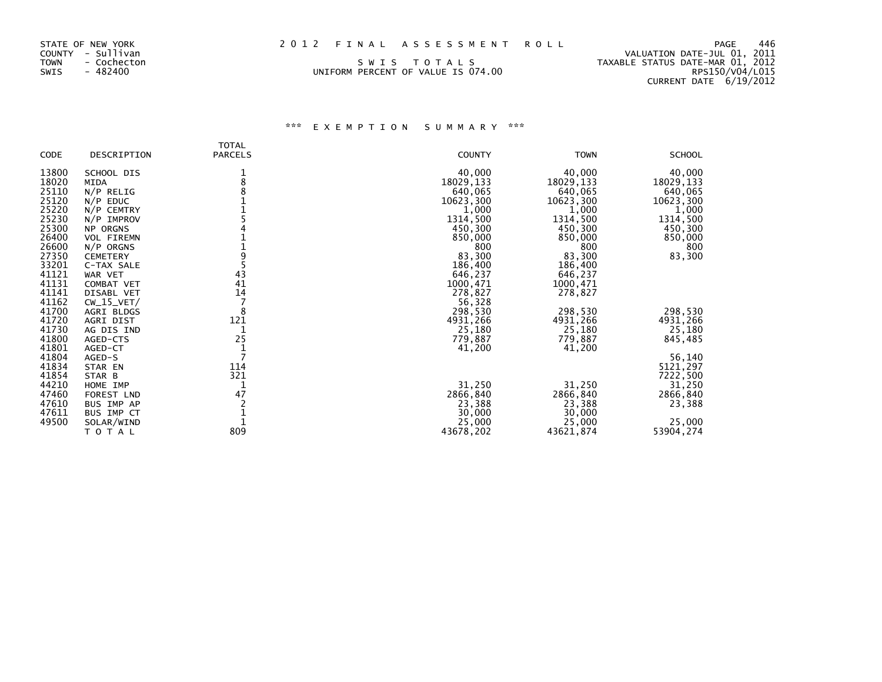| STATE OF NEW YORK   | 2012 FINAL ASSESSMENT ROLL         | 446<br>PAGE                      |
|---------------------|------------------------------------|----------------------------------|
| COUNTY - Sullivan   |                                    | VALUATION DATE-JUL 01, 2011      |
| TOWN<br>- Cochecton | SWIS TOTALS                        | TAXABLE STATUS DATE-MAR 01, 2012 |
| SWIS<br>- 482400    | UNIFORM PERCENT OF VALUE IS 074.00 | RPS150/V04/L015                  |
|                     |                                    | CURRENT DATE 6/19/2012           |

### STATE OF NEW YORK 2012 FINAL ASSESSMENT R

| <b>CODE</b>    | DESCRIPTION       | <b>TOTAL</b><br><b>PARCELS</b> | <b>COUNTY</b> | <b>TOWN</b> | <b>SCHOOL</b>      |
|----------------|-------------------|--------------------------------|---------------|-------------|--------------------|
| 13800          | SCHOOL DIS        | 1<br>8                         | 40,000        | 40,000      | 40,000             |
| 18020          | <b>MIDA</b>       |                                | 18029,133     | 18029,133   | 18029, 133         |
| 25110          | $N/P$ RELIG       |                                | 640,065       | 640,065     | 640,065            |
| 25120          | $N/P$ EDUC        |                                | 10623,300     | 10623,300   | 10623,300          |
| 25220          | N/P CEMTRY        |                                | 1,000         | 1,000       | 1,000              |
| 25230          | $N/P$ IMPROV      |                                | 1314,500      | 1314,500    | 1314,500           |
| 25300          | NP ORGNS          |                                | 450,300       | 450,300     | 450,300            |
| 26400          | <b>VOL FIREMN</b> |                                | 850,000       | 850,000     | 850,000            |
| 26600          | $N/P$ ORGNS       |                                | 800           | 800         | 800                |
| 27350          | <b>CEMETERY</b>   | 9                              | 83,300        | 83,300      | 83,300             |
| 33201          | C-TAX SALE        |                                | 186,400       | 186,400     |                    |
| 41121          | WAR VET           | 43                             | 646,237       | 646,237     |                    |
| 41131          | COMBAT VET        | 41                             | 1000,471      | 1000,471    |                    |
| 41141          | DISABL VET        | 14                             | 278,827       | 278,827     |                    |
| 41162          | $CW_15_VET/$      |                                | 56,328        |             |                    |
| 41700          | AGRI BLDGS        | 8                              | 298,530       | 298,530     | 298,530            |
| 41720          | AGRI DIST         | 121                            | 4931,266      | 4931,266    | 4931,266           |
| 41730          | AG DIS IND        |                                | 25,180        | 25,180      | 25,180             |
| 41800          | AGED-CTS          | 25                             | 779,887       | 779,887     | 845,485            |
| 41801<br>41804 | AGED-CT<br>AGED-S | 7                              | 41,200        | 41,200      |                    |
| 41834          | STAR EN           | 114                            |               |             | 56,140<br>5121,297 |
| 41854          | STAR B            | 321                            |               |             | 7222,500           |
| 44210          | HOME IMP          | 1                              | 31,250        | 31,250      | 31,250             |
| 47460          | FOREST LND        | 47                             | 2866,840      | 2866,840    | 2866,840           |
| 47610          | BUS IMP AP        | 2                              | 23,388        | 23,388      | 23,388             |
| 47611          | BUS IMP CT        |                                | 30,000        | 30,000      |                    |
| 49500          | SOLAR/WIND        |                                | 25,000        | 25,000      | 25,000             |
|                | ΤΟΤΑL             | 809                            | 43678,202     | 43621,874   | 53904,274          |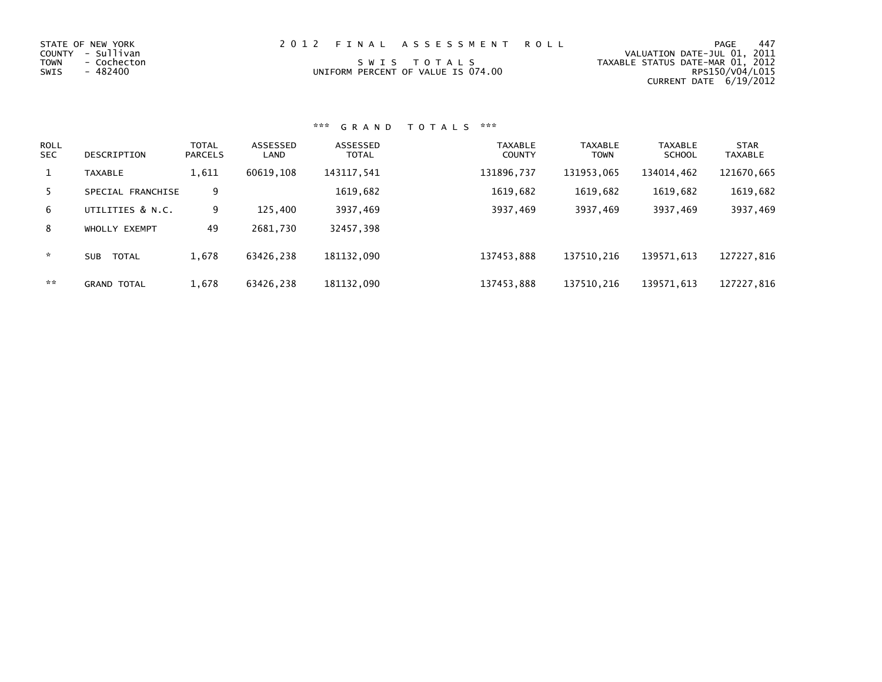| STATE OF NEW YORK   | 2012 FINAL ASSESSMENT ROLL         | -447<br>PAGE                     |
|---------------------|------------------------------------|----------------------------------|
| COUNTY - Sullivan   |                                    | VALUATION DATE-JUL 01, 2011      |
| TOWN<br>- Cochecton | SWIS TOTALS                        | TAXABLE STATUS DATE-MAR 01, 2012 |
| SWIS<br>- 482400    | UNIFORM PERCENT OF VALUE IS 074.00 | RPS150/V04/L015                  |
|                     |                                    | CURRENT DATE 6/19/2012           |

| <b>ROLL</b><br><b>SEC</b> | DESCRIPTION                | <b>TOTAL</b><br><b>PARCELS</b> | ASSESSED<br>LAND | ASSESSED<br><b>TOTAL</b> | <b>TAXABLE</b><br><b>COUNTY</b> | <b>TAXABLE</b><br><b>TOWN</b> | <b>TAXABLE</b><br><b>SCHOOL</b> | <b>STAR</b><br><b>TAXABLE</b> |
|---------------------------|----------------------------|--------------------------------|------------------|--------------------------|---------------------------------|-------------------------------|---------------------------------|-------------------------------|
| 1                         | <b>TAXABLE</b>             | 1,611                          | 60619,108        | 143117,541               | 131896,737                      | 131953,065                    | 134014,462                      | 121670,665                    |
| 5.                        | SPECIAL FRANCHISE          | 9                              |                  | 1619,682                 | 1619,682                        | 1619,682                      | 1619,682                        | 1619,682                      |
| 6                         | UTILITIES & N.C.           | 9                              | 125,400          | 3937,469                 | 3937,469                        | 3937,469                      | 3937,469                        | 3937,469                      |
| 8                         | WHOLLY EXEMPT              | 49                             | 2681,730         | 32457,398                |                                 |                               |                                 |                               |
| $\star$                   | <b>TOTAL</b><br><b>SUB</b> | 1,678                          | 63426,238        | 181132,090               | 137453,888                      | 137510,216                    | 139571,613                      | 127227,816                    |
| **                        | <b>GRAND TOTAL</b>         | 1.678                          | 63426.238        | 181132.090               | 137453.888                      | 137510.216                    | 139571.613                      | 127227,816                    |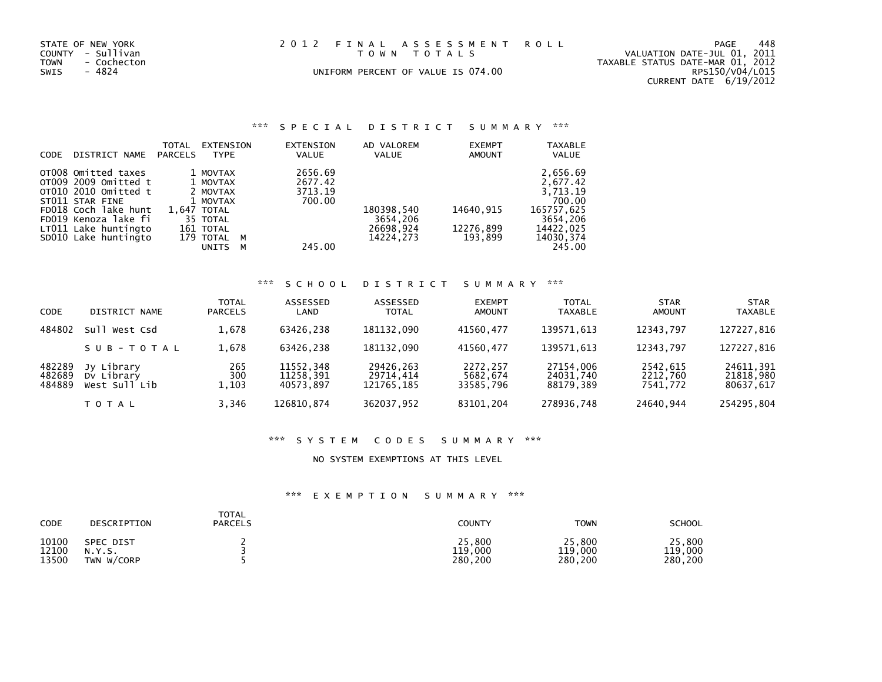| STATE OF NEW YORK<br>COUNTY - Sullivan<br>TOWN<br>- Cochecton | 2012 FINAL ASSESSMENT ROLL<br>TOWN TOTALS | 448<br>PAGE<br>VALUATION DATE-JUL 01, 2011<br>TAXABLE STATUS DATE-MAR 01, 2012 |
|---------------------------------------------------------------|-------------------------------------------|--------------------------------------------------------------------------------|
| SWIS<br>- 4824                                                | UNIFORM PERCENT OF VALUE IS 074.00        | RPS150/V04/L015<br>CURRENT DATE 6/19/2012                                      |

#### STATE OF NEW YORK 2012 FINAL ASSESSMENT T O W N T O T A L S

### UNIFORM PERCENT OF VALUE IS 074.00

### \*\*\* S P E C I A L D I S T R I C T S U M M A R Y \*\*\*

| CODE | DISTRICT NAME        | <b>TOTAL</b><br><b>PARCELS</b> | EXTENSION<br><b>TYPE</b> |   | <b>EXTENSION</b><br><b>VALUE</b> | AD VALOREM<br><b>VALUE</b> | <b>EXEMPT</b><br><b>AMOUNT</b> | <b>TAXABLE</b><br><b>VALUE</b> |
|------|----------------------|--------------------------------|--------------------------|---|----------------------------------|----------------------------|--------------------------------|--------------------------------|
|      |                      |                                |                          |   |                                  |                            |                                |                                |
|      | OTO08 Omitted taxes  |                                | 1 MOVTAX                 |   | 2656.69                          |                            |                                | 2,656.69                       |
|      | OT009 2009 Omitted t |                                | 1 MOVTAX                 |   | 2677.42                          |                            |                                | 2,677.42                       |
|      | OT010 2010 Omitted t |                                | 2 MOVTAX                 |   | 3713.19                          |                            |                                | 3.713.19                       |
|      | ST011 STAR FINE      |                                | 1 MOVTAX                 |   | 700.00                           |                            |                                | 700.00                         |
|      | FD018 Coch lake hunt |                                | 1.647 TOTAL              |   |                                  | 180398,540                 | 14640.915                      | 165757.625                     |
|      | FD019 Kenoza lake fi |                                | 35 TOTAL                 |   |                                  | 3654,206                   |                                | 3654.206                       |
|      | LT011 Lake huntingto |                                | 161 TOTAL                |   |                                  | 26698,924                  | 12276,899                      | 14422,025                      |
|      | SD010 Lake huntingto |                                | 179 TOTAL                | M |                                  | 14224.273                  | 193.899                        | 14030, 374                     |
|      |                      |                                | <b>UNITS</b>             | м | 245.00                           |                            |                                | 245.00                         |

### \*\*\* S C H O O L D I S T R I C T S U M M A R Y \*\*\*

| <b>CODE</b>                | DISTRICT NAME                             | <b>TOTAL</b><br><b>PARCELS</b> | ASSESSED<br>LAND                    | ASSESSED<br><b>TOTAL</b>             | <b>EXEMPT</b><br><b>AMOUNT</b>    | <b>TOTAL</b><br><b>TAXABLE</b>      | <b>STAR</b><br><b>AMOUNT</b>     | <b>STAR</b><br><b>TAXABLE</b>       |
|----------------------------|-------------------------------------------|--------------------------------|-------------------------------------|--------------------------------------|-----------------------------------|-------------------------------------|----------------------------------|-------------------------------------|
| 484802                     | sull.<br>West Csd                         | 1,678                          | 63426.238                           | 181132.090                           | 41560.477                         | 139571,613                          | 12343.797                        | 127227,816                          |
|                            | SUB-TOTAL                                 | 1,678                          | 63426.238                           | 181132.090                           | 41560.477                         | 139571.613                          | 12343.797                        | 127227,816                          |
| 482289<br>482689<br>484889 | Jy Library<br>Dy Library<br>West Sull Lib | 265<br>300<br>1,103            | 11552,348<br>11258,391<br>40573.897 | 29426,263<br>29714,414<br>121765,185 | 2272,257<br>5682,674<br>33585,796 | 27154.006<br>24031,740<br>88179,389 | 2542,615<br>2212,760<br>7541,772 | 24611,391<br>21818,980<br>80637,617 |
|                            | TOTAL                                     | 3,346                          | 126810,874                          | 362037,952                           | 83101,204                         | 278936,748                          | 24640,944                        | 254295,804                          |

### \*\*\* S Y S T E M C O D E S S U M M A R Y \*\*\*

#### NO SYSTEM EXEMPTIONS AT THIS LEVEL

| CODE  | DESCRIPTION | TOTAL<br><b>PARCELS</b> | COUNTY  | <b>TOWN</b> | <b>SCHOOL</b> |
|-------|-------------|-------------------------|---------|-------------|---------------|
| 10100 | SPEC DIST   |                         | 25,800  | 25,800      | 25,800        |
| 12100 | N.Y.S.      |                         | 119,000 | 119,000     | 119,000       |
| 13500 | TWN W/CORP  |                         | 280,200 | 280,200     | 280,200       |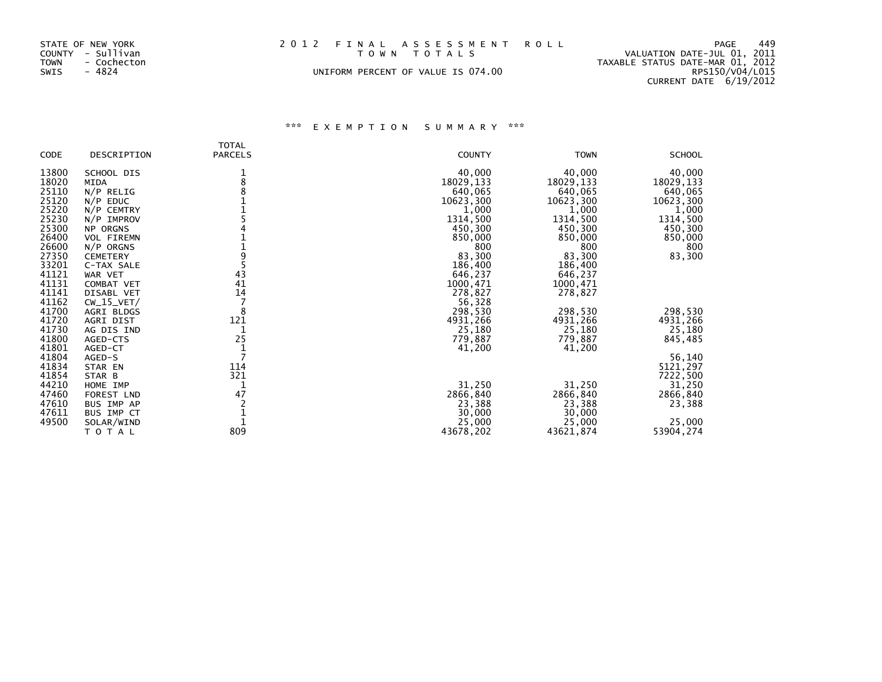| STATE OF NEW YORK   | 2012 FINAL ASSESSMENT ROLL         | 449<br>PAGE                      |
|---------------------|------------------------------------|----------------------------------|
| COUNTY - Sullivan   | TOWN TOTALS                        | VALUATION DATE-JUL 01, 2011      |
| TOWN<br>- Cochecton |                                    | TAXABLE STATUS DATE-MAR 01, 2012 |
| SWIS<br>- 4824      | UNIFORM PERCENT OF VALUE IS 074.00 | RPS150/V04/L015                  |
|                     |                                    | CURRENT DATE 6/19/2012           |

### STATE OF NEW YORK 2012 FINAL ASSESSMENT ROLL T O W N T O T A L S

### UNIFORM PERCENT OF VALUE IS 074.00

| <b>CODE</b>    | DESCRIPTION             | <b>TOTAL</b><br><b>PARCELS</b> | <b>COUNTY</b>       | <b>TOWN</b>         | <b>SCHOOL</b>       |
|----------------|-------------------------|--------------------------------|---------------------|---------------------|---------------------|
| 13800          | SCHOOL DIS              |                                | 40,000              | 40,000              | 40,000              |
| 18020          | MIDA                    | 1<br>8                         | 18029,133           | 18029,133           | 18029, 133          |
| 25110          | $N/P$ RELIG             |                                | 640,065             | 640,065             | 640,065             |
| 25120          | $N/P$ EDUC              |                                | 10623,300           | 10623,300           | 10623,300           |
| 25220          | N/P CEMTRY              |                                | 1,000               | 1,000               | 1,000               |
| 25230          | N/P IMPROV              |                                | 1314,500            | 1314,500            | 1314,500            |
| 25300          | NP ORGNS                |                                | 450,300             | 450,300             | 450,300             |
| 26400          | <b>VOL FIREMN</b>       |                                | 850,000             | 850,000             | 850,000             |
| 26600          | $N/P$ ORGNS             |                                | 800                 | 800                 | 800                 |
| 27350          | <b>CEMETERY</b>         | 9                              | 83,300              | 83,300              | 83,300              |
| 33201          | C-TAX SALE              |                                | 186,400             | 186,400             |                     |
| 41121          | WAR VET                 | 43                             | 646,237             | 646,237             |                     |
| 41131          | <b>COMBAT VET</b>       | 41                             | 1000,471            | 1000,471            |                     |
| 41141          | DISABL VET              | 14                             | 278,827             | 278,827             |                     |
| 41162<br>41700 | $CW_15_VET/$            | 8                              | 56,328              |                     |                     |
| 41720          | AGRI BLDGS<br>AGRI DIST | 121                            | 298,530<br>4931,266 | 298,530<br>4931,266 | 298,530<br>4931,266 |
| 41730          | AG DIS IND              |                                | 25,180              | 25,180              | 25,180              |
| 41800          | AGED-CTS                | 25                             | 779,887             | 779,887             | 845,485             |
| 41801          | AGED-CT                 |                                | 41,200              | 41,200              |                     |
| 41804          | AGED-S                  |                                |                     |                     | 56,140              |
| 41834          | STAR EN                 | 114                            |                     |                     | 5121,297            |
| 41854          | STAR B                  | 321                            |                     |                     | 7222,500            |
| 44210          | HOME IMP                |                                | 31,250              | 31,250              | 31,250              |
| 47460          | FOREST LND              | 47                             | 2866,840            | 2866,840            | 2866,840            |
| 47610          | BUS IMP AP              |                                | 23,388              | 23,388              | 23,388              |
| 47611          | BUS IMP CT              |                                | 30,000              | 30,000              |                     |
| 49500          | SOLAR/WIND              |                                | 25,000              | 25,000              | 25,000              |
|                | ΤΟΤΑΙ                   | 809                            | 43678,202           | 43621,874           | 53904,274           |